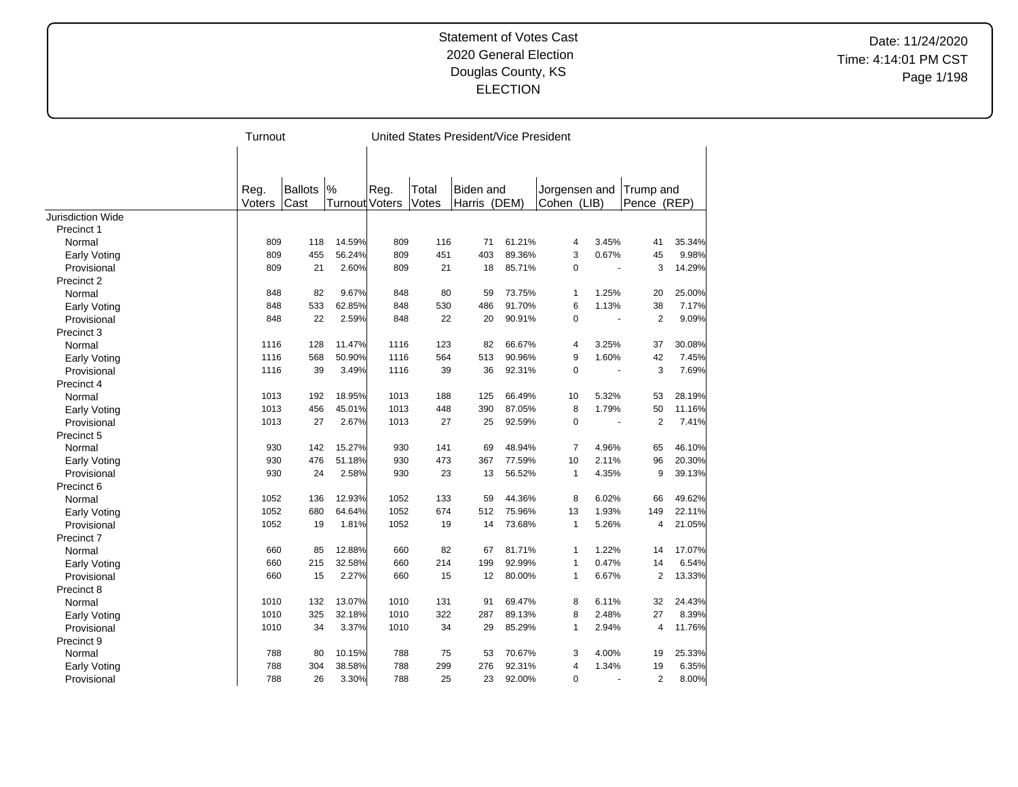Date: 11/24/2020 Time: 4:14:01 PM CST Page 1/198

|                          | Turnout |         |                |      |       | United States President/Vice President |        |                |                |                |        |
|--------------------------|---------|---------|----------------|------|-------|----------------------------------------|--------|----------------|----------------|----------------|--------|
|                          |         |         |                |      |       |                                        |        |                |                |                |        |
|                          |         |         |                |      |       |                                        |        |                |                |                |        |
|                          | Reg.    | Ballots | $\frac{9}{6}$  | Reg. | Total | <b>Biden and</b>                       |        | Jorgensen and  |                | Trump and      |        |
|                          | Voters  | Cast    | Turnout Voters |      | Votes | Harris (DEM)                           |        | Cohen (LIB)    |                | Pence (REP)    |        |
| <b>Jurisdiction Wide</b> |         |         |                |      |       |                                        |        |                |                |                |        |
| Precinct 1               |         |         |                |      |       |                                        |        |                |                |                |        |
| Normal                   | 809     | 118     | 14.59%         | 809  | 116   | 71                                     | 61.21% | $\overline{4}$ | 3.45%          | 41             | 35.34% |
| <b>Early Voting</b>      | 809     | 455     | 56.24%         | 809  | 451   | 403                                    | 89.36% | 3              | 0.67%          | 45             | 9.98%  |
| Provisional              | 809     | 21      | 2.60%          | 809  | 21    | 18                                     | 85.71% | $\mathbf 0$    | ÷,             | 3              | 14.29% |
| Precinct 2               |         |         |                |      |       |                                        |        |                |                |                |        |
| Normal                   | 848     | 82      | 9.67%          | 848  | 80    | 59                                     | 73.75% | $\mathbf{1}$   | 1.25%          | 20             | 25.00% |
| <b>Early Voting</b>      | 848     | 533     | 62.85%         | 848  | 530   | 486                                    | 91.70% | 6              | 1.13%          | 38             | 7.17%  |
| Provisional              | 848     | 22      | 2.59%          | 848  | 22    | 20                                     | 90.91% | $\mathbf 0$    | $\blacksquare$ | $\overline{2}$ | 9.09%  |
| Precinct 3               |         |         |                |      |       |                                        |        |                |                |                |        |
| Normal                   | 1116    | 128     | 11.47%         | 1116 | 123   | 82                                     | 66.67% | $\overline{4}$ | 3.25%          | 37             | 30.08% |
| <b>Early Voting</b>      | 1116    | 568     | 50.90%         | 1116 | 564   | 513                                    | 90.96% | 9              | 1.60%          | 42             | 7.45%  |
| Provisional              | 1116    | 39      | 3.49%          | 1116 | 39    | 36                                     | 92.31% | $\mathbf 0$    | ÷,             | 3              | 7.69%  |
| Precinct 4               |         |         |                |      |       |                                        |        |                |                |                |        |
| Normal                   | 1013    | 192     | 18.95%         | 1013 | 188   | 125                                    | 66.49% | 10             | 5.32%          | 53             | 28.19% |
| <b>Early Voting</b>      | 1013    | 456     | 45.01%         | 1013 | 448   | 390                                    | 87.05% | 8              | 1.79%          | 50             | 11.16% |
| Provisional              | 1013    | 27      | 2.67%          | 1013 | 27    | 25                                     | 92.59% | $\mathbf 0$    | ÷,             | $\overline{2}$ | 7.41%  |
| Precinct 5               |         |         |                |      |       |                                        |        |                |                |                |        |
| Normal                   | 930     | 142     | 15.27%         | 930  | 141   | 69                                     | 48.94% | 7              | 4.96%          | 65             | 46.10% |
| <b>Early Voting</b>      | 930     | 476     | 51.18%         | 930  | 473   | 367                                    | 77.59% | 10             | 2.11%          | 96             | 20.30% |
| Provisional              | 930     | 24      | 2.58%          | 930  | 23    | 13                                     | 56.52% | $\mathbf{1}$   | 4.35%          | 9              | 39.13% |
| Precinct 6               |         |         |                |      |       |                                        |        |                |                |                |        |
| Normal                   | 1052    | 136     | 12.93%         | 1052 | 133   | 59                                     | 44.36% | 8              | 6.02%          | 66             | 49.62% |
| <b>Early Voting</b>      | 1052    | 680     | 64.64%         | 1052 | 674   | 512                                    | 75.96% | 13             | 1.93%          | 149            | 22.11% |
| Provisional              | 1052    | 19      | 1.81%          | 1052 | 19    | 14                                     | 73.68% | $\mathbf{1}$   | 5.26%          | 4              | 21.05% |
| Precinct 7               |         |         |                |      |       |                                        |        |                |                |                |        |
|                          | 660     | 85      | 12.88%         | 660  | 82    | 67                                     | 81.71% | $\mathbf{1}$   | 1.22%          | 14             | 17.07% |
| Normal                   | 660     | 215     | 32.58%         | 660  | 214   | 199                                    | 92.99% | $\mathbf{1}$   | 0.47%          | 14             | 6.54%  |
| <b>Early Voting</b>      |         |         |                |      |       |                                        |        |                |                |                |        |
| Provisional              | 660     | 15      | 2.27%          | 660  | 15    | 12                                     | 80.00% | $\mathbf{1}$   | 6.67%          | $\overline{2}$ | 13.33% |
| Precinct 8               |         |         |                |      |       |                                        |        |                |                |                |        |
| Normal                   | 1010    | 132     | 13.07%         | 1010 | 131   | 91                                     | 69.47% | 8              | 6.11%          | 32             | 24.43% |
| Early Voting             | 1010    | 325     | 32.18%         | 1010 | 322   | 287                                    | 89.13% | 8              | 2.48%          | 27             | 8.39%  |
| Provisional              | 1010    | 34      | 3.37%          | 1010 | 34    | 29                                     | 85.29% | $\mathbf{1}$   | 2.94%          | 4              | 11.76% |
| Precinct 9               |         |         |                |      |       |                                        |        |                |                |                |        |
| Normal                   | 788     | 80      | 10.15%         | 788  | 75    | 53                                     | 70.67% | 3              | 4.00%          | 19             | 25.33% |
| Early Voting             | 788     | 304     | 38.58%         | 788  | 299   | 276                                    | 92.31% | $\overline{4}$ | 1.34%          | 19             | 6.35%  |
| Provisional              | 788     | 26      | 3.30%          | 788  | 25    | 23                                     | 92.00% | $\mathbf 0$    |                | $\overline{2}$ | 8.00%  |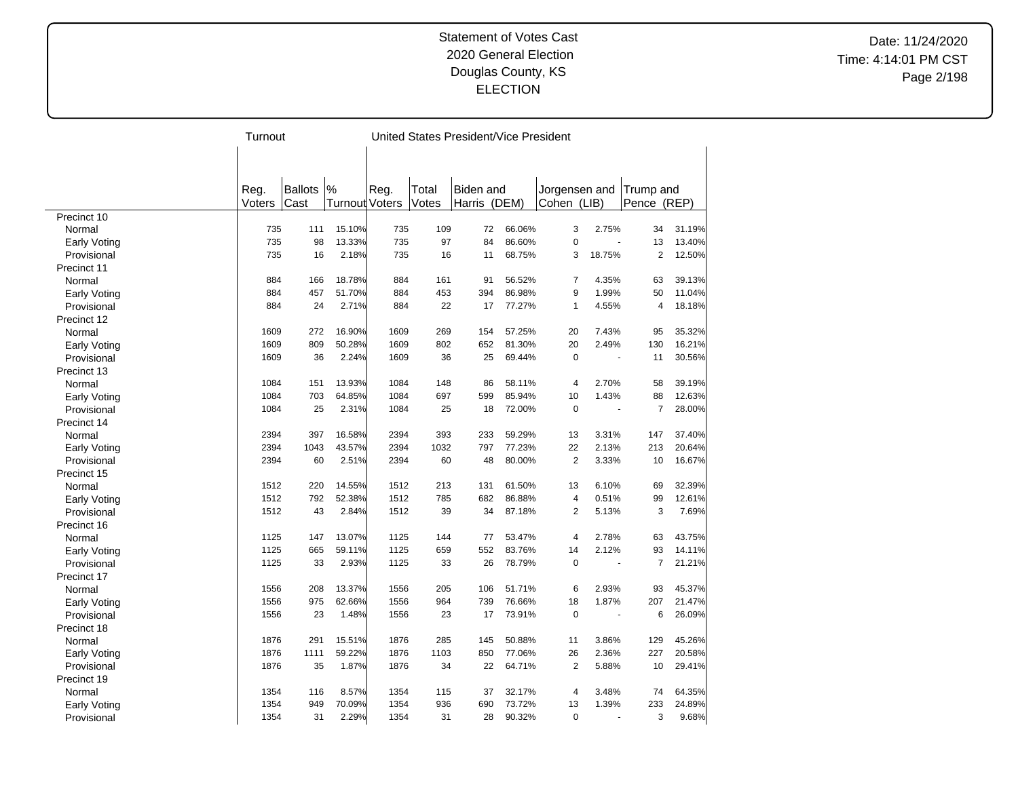Date: 11/24/2020 Time: 4:14:01 PM CST Page 2/198

|              |        | Turnout        |                |      |       | United States President/Vice President |        |                |        |                         |        |
|--------------|--------|----------------|----------------|------|-------|----------------------------------------|--------|----------------|--------|-------------------------|--------|
|              |        |                |                |      |       |                                        |        |                |        |                         |        |
|              |        |                |                |      |       |                                        |        |                |        |                         |        |
|              |        |                |                |      |       |                                        |        |                |        |                         |        |
|              | Reg.   | <b>Ballots</b> | %              | Reg. | Total | <b>Biden</b> and                       |        | Jorgensen and  |        | Trump and               |        |
|              | Voters | Cast           | Turnout Voters |      | Votes | Harris                                 | (DEM)  | Cohen (LIB)    |        | Pence (REP)             |        |
| Precinct 10  |        |                |                |      |       |                                        |        |                |        |                         |        |
| Normal       | 735    | 111            | 15.10%         | 735  | 109   | 72                                     | 66.06% | 3              | 2.75%  | 34                      | 31.19% |
| Early Voting | 735    | 98             | 13.33%         | 735  | 97    | 84                                     | 86.60% | $\mathbf 0$    |        | 13                      | 13.40% |
| Provisional  | 735    | 16             | 2.18%          | 735  | 16    | 11                                     | 68.75% | 3              | 18.75% | 2                       | 12.50% |
| Precinct 11  |        |                |                |      |       |                                        |        |                |        |                         |        |
| Normal       | 884    | 166            | 18.78%         | 884  | 161   | 91                                     | 56.52% | $\overline{7}$ | 4.35%  | 63                      | 39.13% |
| Early Voting | 884    | 457            | 51.70%         | 884  | 453   | 394                                    | 86.98% | 9              | 1.99%  | 50                      | 11.04% |
| Provisional  | 884    | 24             | 2.71%          | 884  | 22    | 17                                     | 77.27% | $\mathbf{1}$   | 4.55%  | $\overline{\mathbf{4}}$ | 18.18% |
| Precinct 12  |        |                |                |      |       |                                        |        |                |        |                         |        |
| Normal       | 1609   | 272            | 16.90%         | 1609 | 269   | 154                                    | 57.25% | 20             | 7.43%  | 95                      | 35.32% |
| Early Voting | 1609   | 809            | 50.28%         | 1609 | 802   | 652                                    | 81.30% | 20             | 2.49%  | 130                     | 16.21% |
| Provisional  | 1609   | 36             | 2.24%          | 1609 | 36    | 25                                     | 69.44% | $\mathbf 0$    | $\sim$ | 11                      | 30.56% |
| Precinct 13  |        |                |                |      |       |                                        |        |                |        |                         |        |
| Normal       | 1084   | 151            | 13.93%         | 1084 | 148   | 86                                     | 58.11% | $\overline{4}$ | 2.70%  | 58                      | 39.19% |
| Early Voting | 1084   | 703            | 64.85%         | 1084 | 697   | 599                                    | 85.94% | 10             | 1.43%  | 88                      | 12.63% |
| Provisional  | 1084   | 25             | 2.31%          | 1084 | 25    | 18                                     | 72.00% | $\mathbf 0$    |        | $\overline{7}$          | 28.00% |
| Precinct 14  |        |                |                |      |       |                                        |        |                |        |                         |        |
| Normal       | 2394   | 397            | 16.58%         | 2394 | 393   | 233                                    | 59.29% | 13             | 3.31%  | 147                     | 37.40% |
| Early Voting | 2394   | 1043           | 43.57%         | 2394 | 1032  | 797                                    | 77.23% | 22             | 2.13%  | 213                     | 20.64% |
| Provisional  | 2394   | 60             | 2.51%          | 2394 | 60    | 48                                     | 80.00% | $\overline{2}$ | 3.33%  | 10                      | 16.67% |
| Precinct 15  |        |                |                |      |       |                                        |        |                |        |                         |        |
| Normal       | 1512   | 220            | 14.55%         | 1512 | 213   | 131                                    | 61.50% | 13             | 6.10%  | 69                      | 32.39% |
| Early Voting | 1512   | 792            | 52.38%         | 1512 | 785   | 682                                    | 86.88% | $\overline{4}$ | 0.51%  | 99                      | 12.61% |
| Provisional  | 1512   | 43             | 2.84%          | 1512 | 39    | 34                                     | 87.18% | $\overline{2}$ | 5.13%  | 3                       | 7.69%  |
| Precinct 16  |        |                |                |      |       |                                        |        |                |        |                         |        |
| Normal       | 1125   | 147            | 13.07%         | 1125 | 144   | 77                                     | 53.47% | $\overline{4}$ | 2.78%  | 63                      | 43.75% |
| Early Voting | 1125   | 665            | 59.11%         | 1125 | 659   | 552                                    | 83.76% | 14             | 2.12%  | 93                      | 14.11% |
| Provisional  | 1125   | 33             | 2.93%          | 1125 | 33    | 26                                     | 78.79% | $\mathbf 0$    |        | $\overline{7}$          | 21.21% |
| Precinct 17  |        |                |                |      |       |                                        |        |                |        |                         |        |
| Normal       | 1556   | 208            | 13.37%         | 1556 | 205   | 106                                    | 51.71% | 6              | 2.93%  | 93                      | 45.37% |
| Early Voting | 1556   | 975            | 62.66%         | 1556 | 964   | 739                                    | 76.66% | 18             | 1.87%  | 207                     | 21.47% |
| Provisional  | 1556   | 23             | 1.48%          | 1556 | 23    | 17                                     | 73.91% | $\mathbf 0$    |        | 6                       | 26.09% |
| Precinct 18  |        |                |                |      |       |                                        |        |                |        |                         |        |
| Normal       | 1876   | 291            | 15.51%         | 1876 | 285   | 145                                    | 50.88% | 11             | 3.86%  | 129                     | 45.26% |
| Early Voting | 1876   | 1111           | 59.22%         | 1876 | 1103  | 850                                    | 77.06% | 26             | 2.36%  | 227                     | 20.58% |
| Provisional  | 1876   | 35             | 1.87%          | 1876 | 34    | 22                                     | 64.71% | $\overline{2}$ | 5.88%  | 10                      | 29.41% |
| Precinct 19  |        |                |                |      |       |                                        |        |                |        |                         |        |
| Normal       | 1354   | 116            | 8.57%          | 1354 | 115   | 37                                     | 32.17% | 4              | 3.48%  | 74                      | 64.35% |
| Early Voting | 1354   | 949            | 70.09%         | 1354 | 936   | 690                                    | 73.72% | 13             | 1.39%  | 233                     | 24.89% |
| Provisional  | 1354   | 31             | 2.29%          | 1354 | 31    | 28                                     | 90.32% | $\mathbf 0$    |        | 3                       | 9.68%  |
|              |        |                |                |      |       |                                        |        |                |        |                         |        |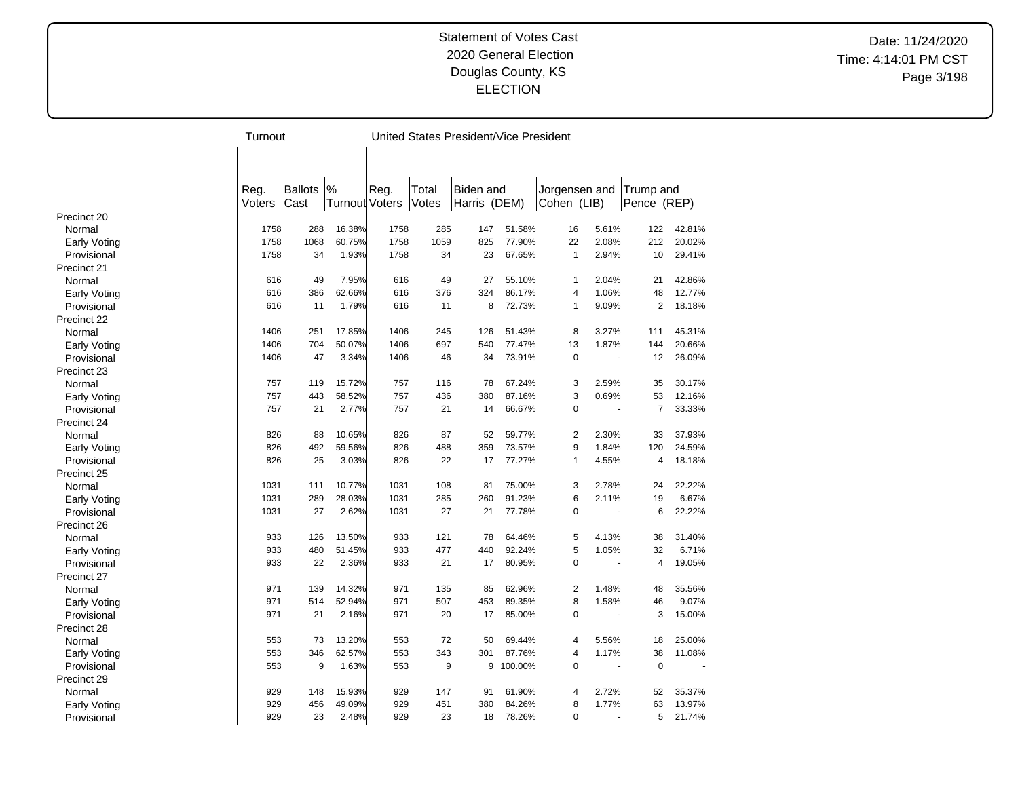Date: 11/24/2020 Time: 4:14:01 PM CST Page 3/198

|                     | Turnout |         |                |      |       | United States President/Vice President |         |                |       |                |        |
|---------------------|---------|---------|----------------|------|-------|----------------------------------------|---------|----------------|-------|----------------|--------|
|                     |         |         |                |      |       |                                        |         |                |       |                |        |
|                     |         |         |                |      |       |                                        |         |                |       |                |        |
|                     |         |         |                |      |       |                                        |         |                |       |                |        |
|                     | Reg.    | Ballots | %              | Reg. | Total | <b>Biden and</b>                       |         | Jorgensen and  |       | Trump and      |        |
|                     | Voters  | Cast    | Turnout Voters |      | Votes | Harris (DEM)                           |         | Cohen (LIB)    |       | Pence (REP)    |        |
| Precinct 20         |         |         |                |      |       |                                        |         |                |       |                |        |
| Normal              | 1758    | 288     | 16.38%         | 1758 | 285   | 147                                    | 51.58%  | 16             | 5.61% | 122            | 42.81% |
| <b>Early Voting</b> | 1758    | 1068    | 60.75%         | 1758 | 1059  | 825                                    | 77.90%  | 22             | 2.08% | 212            | 20.02% |
| Provisional         | 1758    | 34      | 1.93%          | 1758 | 34    | 23                                     | 67.65%  | $\mathbf{1}$   | 2.94% | 10             | 29.41% |
| Precinct 21         |         |         |                |      |       |                                        |         |                |       |                |        |
| Normal              | 616     | 49      | 7.95%          | 616  | 49    | 27                                     | 55.10%  | 1              | 2.04% | 21             | 42.86% |
| Early Voting        | 616     | 386     | 62.66%         | 616  | 376   | 324                                    | 86.17%  | 4              | 1.06% | 48             | 12.77% |
| Provisional         | 616     | 11      | 1.79%          | 616  | 11    | 8                                      | 72.73%  | 1              | 9.09% | $\overline{2}$ | 18.18% |
| Precinct 22         |         |         |                |      |       |                                        |         |                |       |                |        |
| Normal              | 1406    | 251     | 17.85%         | 1406 | 245   | 126                                    | 51.43%  | 8              | 3.27% | 111            | 45.31% |
| Early Voting        | 1406    | 704     | 50.07%         | 1406 | 697   | 540                                    | 77.47%  | 13             | 1.87% | 144            | 20.66% |
| Provisional         | 1406    | 47      | 3.34%          | 1406 | 46    | 34                                     | 73.91%  | $\pmb{0}$      | ä,    | 12             | 26.09% |
| Precinct 23         |         |         |                |      |       |                                        |         |                |       |                |        |
| Normal              | 757     | 119     | 15.72%         | 757  | 116   | 78                                     | 67.24%  | 3              | 2.59% | 35             | 30.17% |
| <b>Early Voting</b> | 757     | 443     | 58.52%         | 757  | 436   | 380                                    | 87.16%  | 3              | 0.69% | 53             | 12.16% |
| Provisional         | 757     | 21      | 2.77%          | 757  | 21    | 14                                     | 66.67%  | 0              |       | $\overline{7}$ | 33.33% |
| Precinct 24         |         |         |                |      |       |                                        |         |                |       |                |        |
| Normal              | 826     | 88      | 10.65%         | 826  | 87    | 52                                     | 59.77%  | $\overline{2}$ | 2.30% | 33             | 37.93% |
| Early Voting        | 826     | 492     | 59.56%         | 826  | 488   | 359                                    | 73.57%  | 9              | 1.84% | 120            | 24.59% |
| Provisional         | 826     | 25      | 3.03%          | 826  | 22    | 17                                     | 77.27%  | $\mathbf{1}$   | 4.55% | 4              | 18.18% |
| Precinct 25         |         |         |                |      |       |                                        |         |                |       |                |        |
| Normal              | 1031    | 111     | 10.77%         | 1031 | 108   | 81                                     | 75.00%  | 3              | 2.78% | 24             | 22.22% |
| Early Voting        | 1031    | 289     | 28.03%         | 1031 | 285   | 260                                    | 91.23%  | 6              | 2.11% | 19             | 6.67%  |
| Provisional         | 1031    | 27      | 2.62%          | 1031 | 27    | 21                                     | 77.78%  | $\mathbf 0$    |       | 6              | 22.22% |
| Precinct 26         |         |         |                |      |       |                                        |         |                |       |                |        |
| Normal              | 933     | 126     | 13.50%         | 933  | 121   | 78                                     | 64.46%  | 5              | 4.13% | 38             | 31.40% |
| Early Voting        | 933     | 480     | 51.45%         | 933  | 477   | 440                                    | 92.24%  | 5              | 1.05% | 32             | 6.71%  |
| Provisional         | 933     | 22      | 2.36%          | 933  | 21    | 17                                     | 80.95%  | $\mathbf 0$    | ä,    | 4              | 19.05% |
| Precinct 27         |         |         |                |      |       |                                        |         |                |       |                |        |
|                     | 971     | 139     | 14.32%         | 971  | 135   | 85                                     | 62.96%  | $\overline{2}$ | 1.48% | 48             | 35.56% |
| Normal              | 971     | 514     | 52.94%         | 971  | 507   | 453                                    | 89.35%  | 8              | 1.58% | 46             | 9.07%  |
| Early Voting        | 971     | 21      | 2.16%          | 971  | 20    | 17                                     | 85.00%  | 0              |       | 3              | 15.00% |
| Provisional         |         |         |                |      |       |                                        |         |                |       |                |        |
| Precinct 28         |         |         |                |      |       |                                        |         |                |       |                |        |
| Normal              | 553     | 73      | 13.20%         | 553  | 72    | 50                                     | 69.44%  | 4              | 5.56% | 18             | 25.00% |
| Early Voting        | 553     | 346     | 62.57%         | 553  | 343   | 301                                    | 87.76%  | $\overline{4}$ | 1.17% | 38             | 11.08% |
| Provisional         | 553     | 9       | 1.63%          | 553  | 9     | 9                                      | 100.00% | $\mathbf 0$    | ÷.    | $\mathbf 0$    |        |
| Precinct 29         |         |         |                |      |       |                                        |         |                |       |                |        |
| Normal              | 929     | 148     | 15.93%         | 929  | 147   | 91                                     | 61.90%  | 4              | 2.72% | 52             | 35.37% |
| Early Voting        | 929     | 456     | 49.09%         | 929  | 451   | 380                                    | 84.26%  | 8              | 1.77% | 63             | 13.97% |
| Provisional         | 929     | 23      | 2.48%          | 929  | 23    | 18                                     | 78.26%  | $\Omega$       |       | 5              | 21.74% |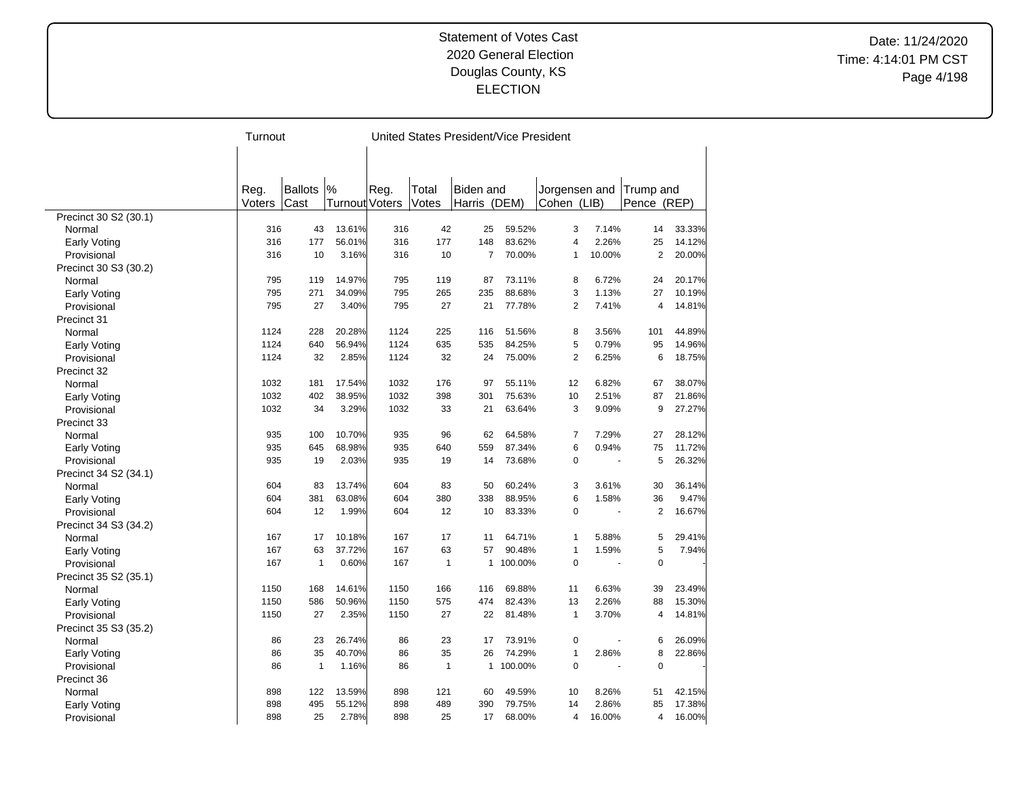Date: 11/24/2020 Time: 4:14:01 PM CST Page 4/198

|                       | Turnout |                |                       |      |              | United States President/Vice President |         |                |        |                |        |
|-----------------------|---------|----------------|-----------------------|------|--------------|----------------------------------------|---------|----------------|--------|----------------|--------|
|                       |         |                |                       |      |              |                                        |         |                |        |                |        |
|                       |         |                |                       |      |              |                                        |         |                |        |                |        |
|                       |         |                |                       |      |              |                                        |         |                |        |                |        |
|                       | Reg.    | <b>Ballots</b> | %                     | Reg. | Total        | Biden and                              |         | Jorgensen and  |        | Trump and      |        |
|                       | Voters  | Cast           | <b>Turnout Voters</b> |      | Votes        | Harris                                 | (DEM)   | Cohen (LIB)    |        | Pence (REP)    |        |
| Precinct 30 S2 (30.1) |         |                |                       |      |              |                                        |         |                |        |                |        |
| Normal                | 316     | 43             | 13.61%                | 316  | 42           | 25                                     | 59.52%  | 3              | 7.14%  | 14             | 33.33% |
| Early Voting          | 316     | 177            | 56.01%                | 316  | 177          | 148                                    | 83.62%  | 4              | 2.26%  | 25             | 14.12% |
| Provisional           | 316     | 10             | 3.16%                 | 316  | 10           | $\overline{7}$                         | 70.00%  | $\mathbf{1}$   | 10.00% | $\overline{2}$ | 20.00% |
| Precinct 30 S3 (30.2) |         |                |                       |      |              |                                        |         |                |        |                |        |
| Normal                | 795     | 119            | 14.97%                | 795  | 119          | 87                                     | 73.11%  | 8              | 6.72%  | 24             | 20.17% |
| Early Voting          | 795     | 271            | 34.09%                | 795  | 265          | 235                                    | 88.68%  | 3              | 1.13%  | 27             | 10.19% |
| Provisional           | 795     | 27             | 3.40%                 | 795  | 27           | 21                                     | 77.78%  | $\overline{2}$ | 7.41%  | 4              | 14.81% |
| Precinct 31           |         |                |                       |      |              |                                        |         |                |        |                |        |
| Normal                | 1124    | 228            | 20.28%                | 1124 | 225          | 116                                    | 51.56%  | 8              | 3.56%  | 101            | 44.89% |
| Early Voting          | 1124    | 640            | 56.94%                | 1124 | 635          | 535                                    | 84.25%  | 5              | 0.79%  | 95             | 14.96% |
| Provisional           | 1124    | 32             | 2.85%                 | 1124 | 32           | 24                                     | 75.00%  | $\overline{2}$ | 6.25%  | 6              | 18.75% |
| Precinct 32           |         |                |                       |      |              |                                        |         |                |        |                |        |
| Normal                | 1032    | 181            | 17.54%                | 1032 | 176          | 97                                     | 55.11%  | 12             | 6.82%  | 67             | 38.07% |
| Early Voting          | 1032    | 402            | 38.95%                | 1032 | 398          | 301                                    | 75.63%  | 10             | 2.51%  | 87             | 21.86% |
| Provisional           | 1032    | 34             | 3.29%                 | 1032 | 33           | 21                                     | 63.64%  | 3              | 9.09%  | 9              | 27.27% |
| Precinct 33           |         |                |                       |      |              |                                        |         |                |        |                |        |
| Normal                | 935     | 100            | 10.70%                | 935  | 96           | 62                                     | 64.58%  | $\overline{7}$ | 7.29%  | 27             | 28.12% |
| Early Voting          | 935     | 645            | 68.98%                | 935  | 640          | 559                                    | 87.34%  | 6              | 0.94%  | 75             | 11.72% |
| Provisional           | 935     | 19             | 2.03%                 | 935  | 19           | 14                                     | 73.68%  | $\mathbf 0$    | ÷.     | 5              | 26.32% |
| Precinct 34 S2 (34.1) |         |                |                       |      |              |                                        |         |                |        |                |        |
| Normal                | 604     | 83             | 13.74%                | 604  | 83           | 50                                     | 60.24%  | 3              | 3.61%  | 30             | 36.14% |
| Early Voting          | 604     | 381            | 63.08%                | 604  | 380          | 338                                    | 88.95%  | 6              | 1.58%  | 36             | 9.47%  |
| Provisional           | 604     | 12             | 1.99%                 | 604  | 12           | 10                                     | 83.33%  | $\pmb{0}$      |        | 2              | 16.67% |
| Precinct 34 S3 (34.2) |         |                |                       |      |              |                                        |         |                |        |                |        |
| Normal                | 167     | 17             | 10.18%                | 167  | 17           | 11                                     | 64.71%  | $\mathbf{1}$   | 5.88%  | 5              | 29.41% |
| Early Voting          | 167     | 63             | 37.72%                | 167  | 63           | 57                                     | 90.48%  | $\mathbf{1}$   | 1.59%  | 5              | 7.94%  |
| Provisional           | 167     | $\mathbf{1}$   | 0.60%                 | 167  | $\mathbf{1}$ | 1                                      | 100.00% | $\mathbf 0$    |        | $\mathbf 0$    |        |
| Precinct 35 S2 (35.1) |         |                |                       |      |              |                                        |         |                |        |                |        |
| Normal                | 1150    | 168            | 14.61%                | 1150 | 166          | 116                                    | 69.88%  | 11             | 6.63%  | 39             | 23.49% |
| Early Voting          | 1150    | 586            | 50.96%                | 1150 | 575          | 474                                    | 82.43%  | 13             | 2.26%  | 88             | 15.30% |
| Provisional           | 1150    | 27             | 2.35%                 | 1150 | 27           | 22                                     | 81.48%  | $\mathbf{1}$   | 3.70%  | $\overline{4}$ | 14.81% |
| Precinct 35 S3 (35.2) |         |                |                       |      |              |                                        |         |                |        |                |        |
| Normal                | 86      | 23             | 26.74%                | 86   | 23           | 17                                     | 73.91%  | $\mathbf 0$    |        | 6              | 26.09% |
| Early Voting          | 86      | 35             | 40.70%                | 86   | 35           | 26                                     | 74.29%  | $\mathbf{1}$   | 2.86%  | 8              | 22.86% |
| Provisional           | 86      | $\mathbf{1}$   | 1.16%                 | 86   | $\mathbf{1}$ | $\mathbf{1}$                           | 100.00% | $\Omega$       |        | $\mathbf 0$    |        |
| Precinct 36           |         |                |                       |      |              |                                        |         |                |        |                |        |
| Normal                | 898     | 122            | 13.59%                | 898  | 121          | 60                                     | 49.59%  | 10             | 8.26%  | 51             | 42.15% |
| Early Voting          | 898     | 495            | 55.12%                | 898  | 489          | 390                                    | 79.75%  | 14             | 2.86%  | 85             | 17.38% |
| Provisional           | 898     | 25             | 2.78%                 | 898  | 25           | 17                                     | 68.00%  | $\overline{4}$ | 16.00% | 4              | 16.00% |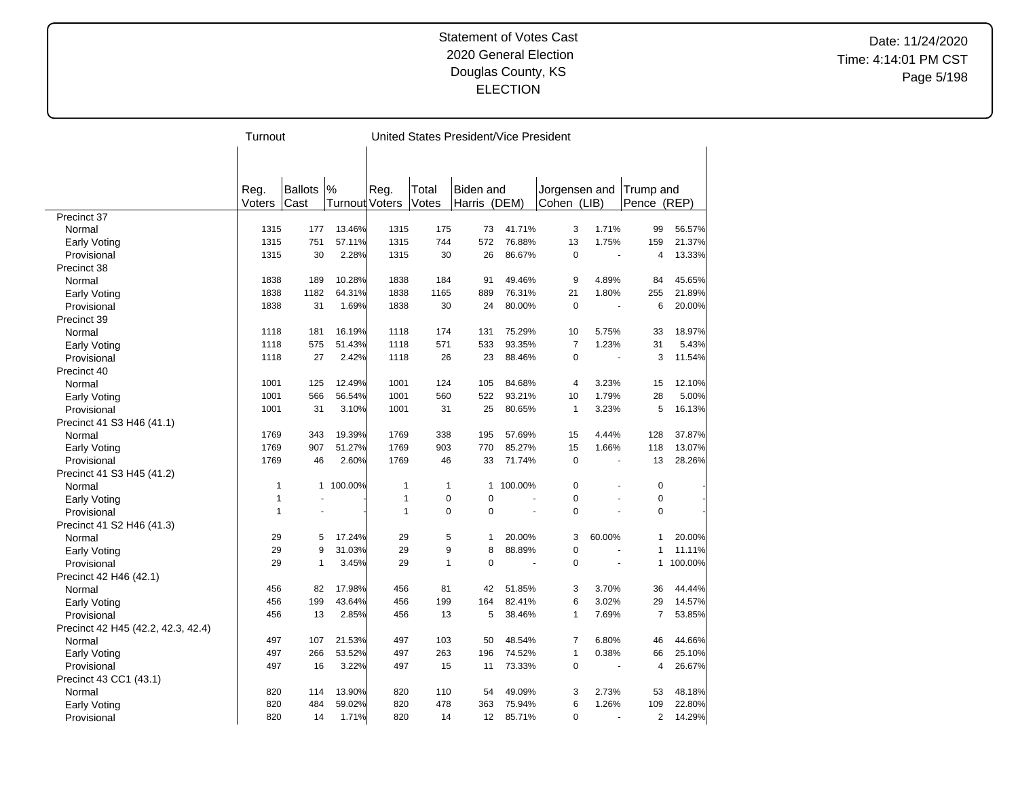Date: 11/24/2020 Time: 4:14:01 PM CST Page 5/198

|                                    | Turnout      |                |                       |              |              | United States President/Vice President |         |                |        |                |         |
|------------------------------------|--------------|----------------|-----------------------|--------------|--------------|----------------------------------------|---------|----------------|--------|----------------|---------|
|                                    |              |                |                       |              |              |                                        |         |                |        |                |         |
|                                    |              |                |                       |              |              |                                        |         |                |        |                |         |
|                                    |              |                |                       |              |              |                                        |         |                |        |                |         |
|                                    | Reg.         | <b>Ballots</b> | %                     | Reg.         | Total        | <b>Biden</b> and                       |         | Jorgensen and  |        | Trump and      |         |
|                                    | Voters       | Cast           | <b>Turnout Voters</b> |              | Votes        | Harris                                 | (DEM)   | Cohen (LIB)    |        | Pence (REP)    |         |
| Precinct 37                        |              |                |                       |              |              |                                        |         |                |        |                |         |
| Normal                             | 1315         | 177            | 13.46%                | 1315         | 175          | 73                                     | 41.71%  | 3              | 1.71%  | 99             | 56.57%  |
| Early Voting                       | 1315         | 751            | 57.11%                | 1315         | 744          | 572                                    | 76.88%  | 13             | 1.75%  | 159            | 21.37%  |
| Provisional                        | 1315         | 30             | 2.28%                 | 1315         | 30           | 26                                     | 86.67%  | $\Omega$       |        | 4              | 13.33%  |
| Precinct 38                        |              |                |                       |              |              |                                        |         |                |        |                |         |
| Normal                             | 1838         | 189            | 10.28%                | 1838         | 184          | 91                                     | 49.46%  | 9              | 4.89%  | 84             | 45.65%  |
| Early Voting                       | 1838         | 1182           | 64.31%                | 1838         | 1165         | 889                                    | 76.31%  | 21             | 1.80%  | 255            | 21.89%  |
| Provisional                        | 1838         | 31             | 1.69%                 | 1838         | 30           | 24                                     | 80.00%  | $\mathbf 0$    |        | 6              | 20.00%  |
| Precinct 39                        |              |                |                       |              |              |                                        |         |                |        |                |         |
| Normal                             | 1118         | 181            | 16.19%                | 1118         | 174          | 131                                    | 75.29%  | 10             | 5.75%  | 33             | 18.97%  |
| Early Voting                       | 1118         | 575            | 51.43%                | 1118         | 571          | 533                                    | 93.35%  | $\overline{7}$ | 1.23%  | 31             | 5.43%   |
| Provisional                        | 1118         | 27             | 2.42%                 | 1118         | 26           | 23                                     | 88.46%  | $\mathbf 0$    |        | 3              | 11.54%  |
| Precinct 40                        |              |                |                       |              |              |                                        |         |                |        |                |         |
| Normal                             | 1001         | 125            | 12.49%                | 1001         | 124          | 105                                    | 84.68%  | $\overline{4}$ | 3.23%  | 15             | 12.10%  |
| Early Voting                       | 1001         | 566            | 56.54%                | 1001         | 560          | 522                                    | 93.21%  | 10             | 1.79%  | 28             | 5.00%   |
| Provisional                        | 1001         | 31             | 3.10%                 | 1001         | 31           | 25                                     | 80.65%  | $\mathbf{1}$   | 3.23%  | 5              | 16.13%  |
| Precinct 41 S3 H46 (41.1)          |              |                |                       |              |              |                                        |         |                |        |                |         |
| Normal                             | 1769         | 343            | 19.39%                | 1769         | 338          | 195                                    | 57.69%  | 15             | 4.44%  | 128            | 37.87%  |
| Early Voting                       | 1769         | 907            | 51.27%                | 1769         | 903          | 770                                    | 85.27%  | 15             | 1.66%  | 118            | 13.07%  |
| Provisional                        | 1769         | 46             | 2.60%                 | 1769         | 46           | 33                                     | 71.74%  | $\mathbf 0$    | ÷.     | 13             | 28.26%  |
| Precinct 41 S3 H45 (41.2)          |              |                |                       |              |              |                                        |         |                |        |                |         |
| Normal                             | $\mathbf{1}$ | $\mathbf{1}$   | 100.00%               | $\mathbf{1}$ | $\mathbf{1}$ | $\mathbf{1}$                           | 100.00% | $\mathbf 0$    |        | $\mathbf 0$    |         |
| Early Voting                       | 1            |                |                       | $\mathbf{1}$ | $\mathbf 0$  | $\mathbf 0$                            |         | $\Omega$       |        | $\mathbf 0$    |         |
| Provisional                        | $\mathbf{1}$ |                |                       | $\mathbf{1}$ | $\mathbf 0$  | $\mathbf 0$                            |         | $\mathbf 0$    |        | $\mathbf 0$    |         |
|                                    |              |                |                       |              |              |                                        |         |                |        |                |         |
| Precinct 41 S2 H46 (41.3)          | 29           | 5              | 17.24%                | 29           | 5            | 1                                      | 20.00%  | 3              | 60.00% | $\mathbf{1}$   | 20.00%  |
| Normal                             | 29           | 9              | 31.03%                | 29           | 9            | 8                                      | 88.89%  | $\mathbf 0$    |        | $\mathbf{1}$   | 11.11%  |
| Early Voting                       | 29           | $\mathbf{1}$   | 3.45%                 | 29           | $\mathbf{1}$ | $\mathbf 0$                            |         | $\Omega$       |        | $\mathbf{1}$   | 100.00% |
| Provisional                        |              |                |                       |              |              |                                        |         |                |        |                |         |
| Precinct 42 H46 (42.1)             |              |                |                       |              |              |                                        |         |                |        |                |         |
| Normal                             | 456          | 82             | 17.98%                | 456          | 81           | 42                                     | 51.85%  | 3<br>6         | 3.70%  | 36             | 44.44%  |
| Early Voting                       | 456          | 199            | 43.64%                | 456          | 199          | 164                                    | 82.41%  |                | 3.02%  | 29             | 14.57%  |
| Provisional                        | 456          | 13             | 2.85%                 | 456          | 13           | 5                                      | 38.46%  | $\mathbf{1}$   | 7.69%  | $\overline{7}$ | 53.85%  |
| Precinct 42 H45 (42.2, 42.3, 42.4) |              |                |                       |              |              |                                        |         |                |        |                |         |
| Normal                             | 497          | 107            | 21.53%                | 497          | 103          | 50                                     | 48.54%  | $\overline{7}$ | 6.80%  | 46             | 44.66%  |
| Early Voting                       | 497          | 266            | 53.52%                | 497          | 263          | 196                                    | 74.52%  | $\mathbf{1}$   | 0.38%  | 66             | 25.10%  |
| Provisional                        | 497          | 16             | 3.22%                 | 497          | 15           | 11                                     | 73.33%  | $\mathbf 0$    |        | $\overline{4}$ | 26.67%  |
| Precinct 43 CC1 (43.1)             |              |                |                       |              |              |                                        |         |                |        |                |         |
| Normal                             | 820          | 114            | 13.90%                | 820          | 110          | 54                                     | 49.09%  | 3              | 2.73%  | 53             | 48.18%  |
| Early Voting                       | 820          | 484            | 59.02%                | 820          | 478          | 363                                    | 75.94%  | 6              | 1.26%  | 109            | 22.80%  |
| Provisional                        | 820          | 14             | 1.71%                 | 820          | 14           | 12                                     | 85.71%  | $\Omega$       |        | $\overline{2}$ | 14.29%  |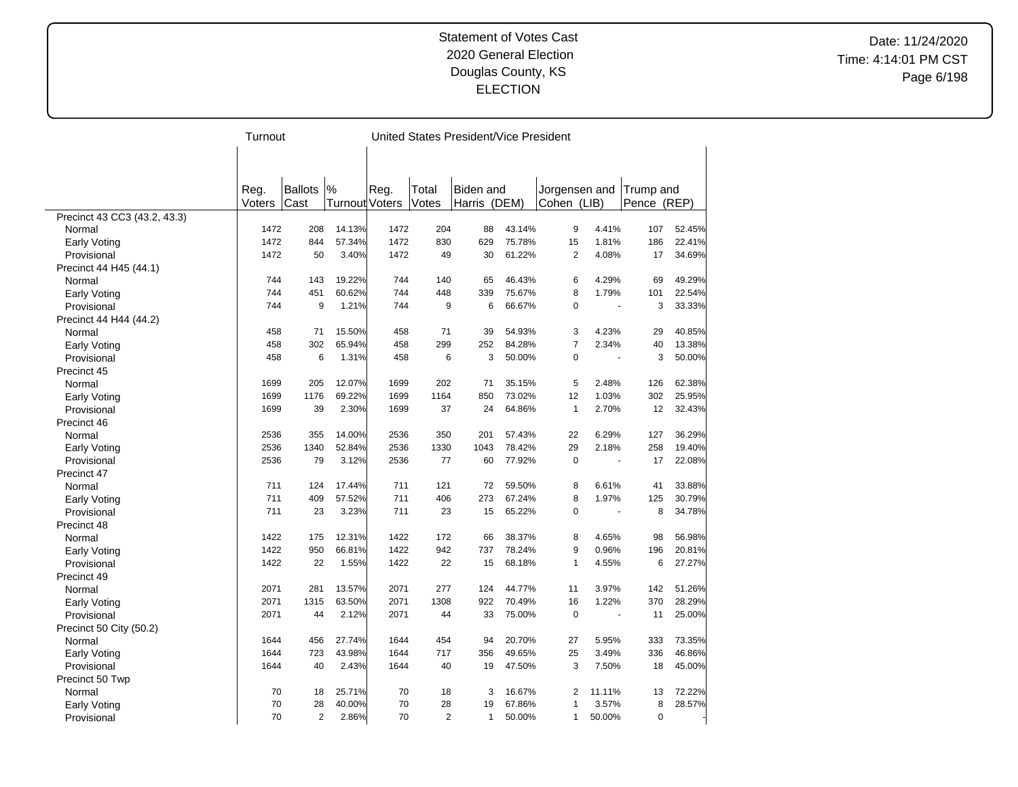Date: 11/24/2020 Time: 4:14:01 PM CST Page 6/198

|                              | Turnout |                |                |      | United States President/Vice President |                  |        |                |        |             |        |
|------------------------------|---------|----------------|----------------|------|----------------------------------------|------------------|--------|----------------|--------|-------------|--------|
|                              |         |                |                |      |                                        |                  |        |                |        |             |        |
|                              |         |                |                |      |                                        |                  |        |                |        |             |        |
|                              |         |                |                |      |                                        |                  |        |                |        |             |        |
|                              | Reg.    | <b>Ballots</b> | %              | Reg. | Total                                  | <b>Biden</b> and |        | Jorgensen and  |        | Trump and   |        |
|                              | Voters  | Cast           | Turnout Voters |      | Votes                                  | Harris (DEM)     |        | Cohen (LIB)    |        | Pence (REP) |        |
| Precinct 43 CC3 (43.2, 43.3) |         |                |                |      |                                        |                  |        |                |        |             |        |
| Normal                       | 1472    | 208            | 14.13%         | 1472 | 204                                    | 88               | 43.14% | 9              | 4.41%  | 107         | 52.45% |
| <b>Early Voting</b>          | 1472    | 844            | 57.34%         | 1472 | 830                                    | 629              | 75.78% | 15             | 1.81%  | 186         | 22.41% |
| Provisional                  | 1472    | 50             | 3.40%          | 1472 | 49                                     | 30               | 61.22% | $\overline{2}$ | 4.08%  | 17          | 34.69% |
| Precinct 44 H45 (44.1)       |         |                |                |      |                                        |                  |        |                |        |             |        |
| Normal                       | 744     | 143            | 19.22%         | 744  | 140                                    | 65               | 46.43% | 6              | 4.29%  | 69          | 49.29% |
| Early Voting                 | 744     | 451            | 60.62%         | 744  | 448                                    | 339              | 75.67% | 8              | 1.79%  | 101         | 22.54% |
| Provisional                  | 744     | 9              | 1.21%          | 744  | 9                                      | 6                | 66.67% | $\mathbf 0$    |        | 3           | 33.33% |
| Precinct 44 H44 (44.2)       |         |                |                |      |                                        |                  |        |                |        |             |        |
| Normal                       | 458     | 71             | 15.50%         | 458  | 71                                     | 39               | 54.93% | 3              | 4.23%  | 29          | 40.85% |
| <b>Early Voting</b>          | 458     | 302            | 65.94%         | 458  | 299                                    | 252              | 84.28% | $\overline{7}$ | 2.34%  | 40          | 13.38% |
| Provisional                  | 458     | 6              | 1.31%          | 458  | 6                                      | 3                | 50.00% | $\mathbf 0$    | ä,     | 3           | 50.00% |
| Precinct 45                  |         |                |                |      |                                        |                  |        |                |        |             |        |
| Normal                       | 1699    | 205            | 12.07%         | 1699 | 202                                    | 71               | 35.15% | 5              | 2.48%  | 126         | 62.38% |
| Early Voting                 | 1699    | 1176           | 69.22%         | 1699 | 1164                                   | 850              | 73.02% | 12             | 1.03%  | 302         | 25.95% |
| Provisional                  | 1699    | 39             | 2.30%          | 1699 | 37                                     | 24               | 64.86% | $\mathbf{1}$   | 2.70%  | 12          | 32.43% |
| Precinct 46                  |         |                |                |      |                                        |                  |        |                |        |             |        |
| Normal                       | 2536    | 355            | 14.00%         | 2536 | 350                                    | 201              | 57.43% | 22             | 6.29%  | 127         | 36.29% |
| Early Voting                 | 2536    | 1340           | 52.84%         | 2536 | 1330                                   | 1043             | 78.42% | 29             | 2.18%  | 258         | 19.40% |
| Provisional                  | 2536    | 79             | 3.12%          | 2536 | 77                                     | 60               | 77.92% | $\mathbf 0$    | ÷.     | 17          | 22.08% |
| Precinct 47                  |         |                |                |      |                                        |                  |        |                |        |             |        |
| Normal                       | 711     | 124            | 17.44%         | 711  | 121                                    | 72               | 59.50% | 8              | 6.61%  | 41          | 33.88% |
| Early Voting                 | 711     | 409            | 57.52%         | 711  | 406                                    | 273              | 67.24% | 8              | 1.97%  | 125         | 30.79% |
| Provisional                  | 711     | 23             | 3.23%          | 711  | 23                                     | 15               | 65.22% | $\mathbf 0$    |        | 8           | 34.78% |
| Precinct 48                  |         |                |                |      |                                        |                  |        |                |        |             |        |
| Normal                       | 1422    | 175            | 12.31%         | 1422 | 172                                    | 66               | 38.37% | 8              | 4.65%  | 98          | 56.98% |
| Early Voting                 | 1422    | 950            | 66.81%         | 1422 | 942                                    | 737              | 78.24% | 9              | 0.96%  | 196         | 20.81% |
| Provisional                  | 1422    | 22             | 1.55%          | 1422 | 22                                     | 15               | 68.18% | $\mathbf{1}$   | 4.55%  | 6           | 27.27% |
| Precinct 49                  |         |                |                |      |                                        |                  |        |                |        |             |        |
| Normal                       | 2071    | 281            | 13.57%         | 2071 | 277                                    | 124              | 44.77% | 11             | 3.97%  | 142         | 51.26% |
| <b>Early Voting</b>          | 2071    | 1315           | 63.50%         | 2071 | 1308                                   | 922              | 70.49% | 16             | 1.22%  | 370         | 28.29% |
| Provisional                  | 2071    | 44             | 2.12%          | 2071 | 44                                     | 33               | 75.00% | $\mathbf 0$    |        | 11          | 25.00% |
| Precinct 50 City (50.2)      |         |                |                |      |                                        |                  |        |                |        |             |        |
| Normal                       | 1644    | 456            | 27.74%         | 1644 | 454                                    | 94               | 20.70% | 27             | 5.95%  | 333         | 73.35% |
| <b>Early Voting</b>          | 1644    | 723            | 43.98%         | 1644 | 717                                    | 356              | 49.65% | 25             | 3.49%  | 336         | 46.86% |
| Provisional                  | 1644    | 40             | 2.43%          | 1644 | 40                                     | 19               | 47.50% | 3              | 7.50%  | 18          | 45.00% |
| Precinct 50 Twp              |         |                |                |      |                                        |                  |        |                |        |             |        |
| Normal                       | 70      | 18             | 25.71%         | 70   | 18                                     | 3                | 16.67% | $\overline{2}$ | 11.11% | 13          | 72.22% |
| Early Voting                 | 70      | 28             | 40.00%         | 70   | 28                                     | 19               | 67.86% | 1              | 3.57%  | 8           | 28.57% |
| Provisional                  | 70      | $\overline{2}$ | 2.86%          | 70   | $\overline{2}$                         | 1                | 50.00% | 1              | 50.00% | $\mathbf 0$ |        |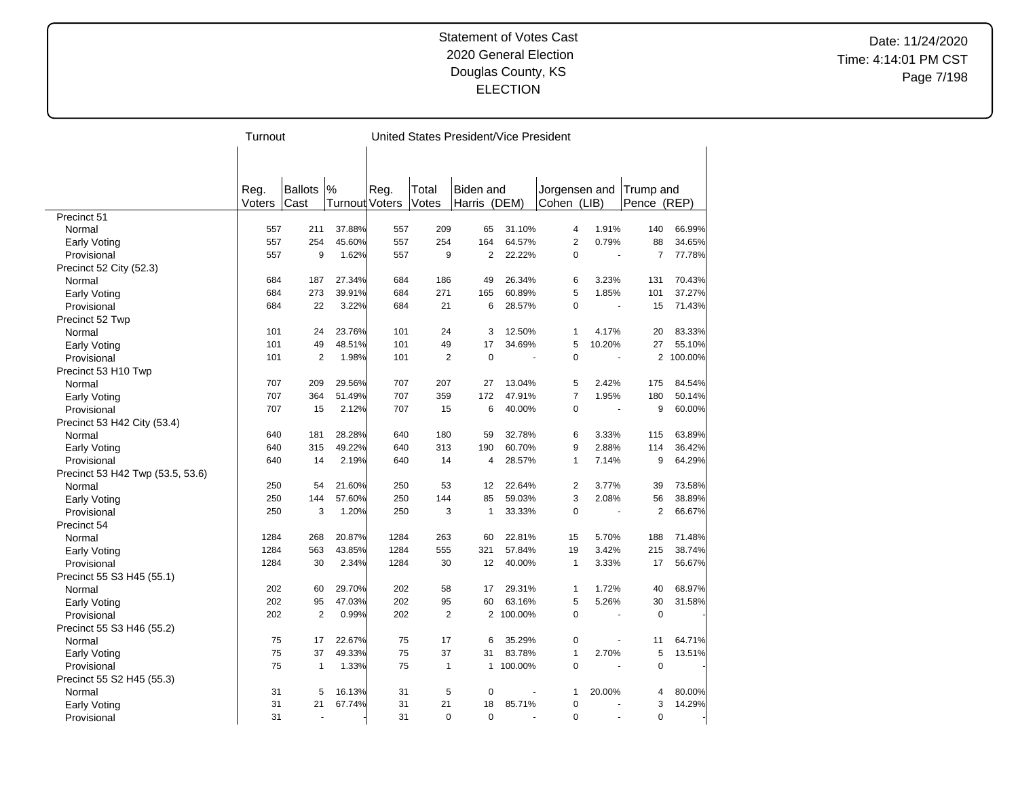Date: 11/24/2020 Time: 4:14:01 PM CST Page 7/198

|                                  | Turnout |                |                       |      |                | United States President/Vice President |           |                |        |                |           |
|----------------------------------|---------|----------------|-----------------------|------|----------------|----------------------------------------|-----------|----------------|--------|----------------|-----------|
|                                  |         |                |                       |      |                |                                        |           |                |        |                |           |
|                                  |         |                |                       |      |                |                                        |           |                |        |                |           |
|                                  |         |                |                       |      |                |                                        |           |                |        |                |           |
|                                  | Reg.    | <b>Ballots</b> | %                     | Reg. | Total          | Biden and                              |           | Jorgensen and  |        | Trump and      |           |
|                                  | Voters  | Cast           | <b>Turnout Voters</b> |      | Votes          | Harris (DEM)                           |           | Cohen (LIB)    |        | Pence (REP)    |           |
| Precinct 51                      |         |                |                       |      |                |                                        |           |                |        |                |           |
| Normal                           | 557     | 211            | 37.88%                | 557  | 209            | 65                                     | 31.10%    | 4              | 1.91%  | 140            | 66.99%    |
| Early Voting                     | 557     | 254            | 45.60%                | 557  | 254            | 164                                    | 64.57%    | $\overline{2}$ | 0.79%  | 88             | 34.65%    |
| Provisional                      | 557     | 9              | 1.62%                 | 557  | 9              | $\overline{2}$                         | 22.22%    | $\Omega$       |        | $\overline{7}$ | 77.78%    |
| Precinct 52 City (52.3)          |         |                |                       |      |                |                                        |           |                |        |                |           |
| Normal                           | 684     | 187            | 27.34%                | 684  | 186            | 49                                     | 26.34%    | 6              | 3.23%  | 131            | 70.43%    |
| Early Voting                     | 684     | 273            | 39.91%                | 684  | 271            | 165                                    | 60.89%    | 5              | 1.85%  | 101            | 37.27%    |
| Provisional                      | 684     | 22             | 3.22%                 | 684  | 21             | 6                                      | 28.57%    | $\mathbf 0$    |        | 15             | 71.43%    |
| Precinct 52 Twp                  |         |                |                       |      |                |                                        |           |                |        |                |           |
| Normal                           | 101     | 24             | 23.76%                | 101  | 24             | 3                                      | 12.50%    | $\mathbf{1}$   | 4.17%  | 20             | 83.33%    |
| Early Voting                     | 101     | 49             | 48.51%                | 101  | 49             | 17                                     | 34.69%    | 5              | 10.20% | 27             | 55.10%    |
| Provisional                      | 101     | $\overline{2}$ | 1.98%                 | 101  | $\overline{2}$ | $\mathbf 0$                            |           | $\mathbf 0$    |        |                | 2 100.00% |
| Precinct 53 H10 Twp              |         |                |                       |      |                |                                        |           |                |        |                |           |
| Normal                           | 707     | 209            | 29.56%                | 707  | 207            | 27                                     | 13.04%    | 5              | 2.42%  | 175            | 84.54%    |
| Early Voting                     | 707     | 364            | 51.49%                | 707  | 359            | 172                                    | 47.91%    | $\overline{7}$ | 1.95%  | 180            | 50.14%    |
| Provisional                      | 707     | 15             | 2.12%                 | 707  | 15             | 6                                      | 40.00%    | $\mathbf 0$    |        | 9              | 60.00%    |
| Precinct 53 H42 City (53.4)      |         |                |                       |      |                |                                        |           |                |        |                |           |
| Normal                           | 640     | 181            | 28.28%                | 640  | 180            | 59                                     | 32.78%    | 6              | 3.33%  | 115            | 63.89%    |
| Early Voting                     | 640     | 315            | 49.22%                | 640  | 313            | 190                                    | 60.70%    | 9              | 2.88%  | 114            | 36.42%    |
| Provisional                      | 640     | 14             | 2.19%                 | 640  | 14             | $\overline{4}$                         | 28.57%    | $\mathbf{1}$   | 7.14%  | 9              | 64.29%    |
| Precinct 53 H42 Twp (53.5, 53.6) |         |                |                       |      |                |                                        |           |                |        |                |           |
| Normal                           | 250     | 54             | 21.60%                | 250  | 53             | 12                                     | 22.64%    | $\overline{2}$ | 3.77%  | 39             | 73.58%    |
| Early Voting                     | 250     | 144            | 57.60%                | 250  | 144            | 85                                     | 59.03%    | 3              | 2.08%  | 56             | 38.89%    |
| Provisional                      | 250     | 3              | 1.20%                 | 250  | 3              | $\mathbf{1}$                           | 33.33%    | $\Omega$       |        | $\overline{2}$ | 66.67%    |
| Precinct 54                      |         |                |                       |      |                |                                        |           |                |        |                |           |
| Normal                           | 1284    | 268            | 20.87%                | 1284 | 263            | 60                                     | 22.81%    | 15             | 5.70%  | 188            | 71.48%    |
| Early Voting                     | 1284    | 563            | 43.85%                | 1284 | 555            | 321                                    | 57.84%    | 19             | 3.42%  | 215            | 38.74%    |
| Provisional                      | 1284    | 30             | 2.34%                 | 1284 | 30             | 12                                     | 40.00%    | $\mathbf{1}$   | 3.33%  | 17             | 56.67%    |
| Precinct 55 S3 H45 (55.1)        |         |                |                       |      |                |                                        |           |                |        |                |           |
| Normal                           | 202     | 60             | 29.70%                | 202  | 58             | 17                                     | 29.31%    | $\mathbf{1}$   | 1.72%  | 40             | 68.97%    |
| Early Voting                     | 202     | 95             | 47.03%                | 202  | 95             | 60                                     | 63.16%    | 5              | 5.26%  | 30             | 31.58%    |
| Provisional                      | 202     | $\overline{2}$ | 0.99%                 | 202  | $\overline{2}$ | $\overline{2}$                         | 100.00%   | $\mathbf 0$    |        | $\mathbf 0$    |           |
| Precinct 55 S3 H46 (55.2)        |         |                |                       |      |                |                                        |           |                |        |                |           |
| Normal                           | 75      | 17             | 22.67%                | 75   | 17             | 6                                      | 35.29%    | $\mathbf 0$    |        | 11             | 64.71%    |
| Early Voting                     | 75      | 37             | 49.33%                | 75   | 37             | 31                                     | 83.78%    | $\mathbf{1}$   | 2.70%  | 5              | 13.51%    |
| Provisional                      | 75      | $\mathbf{1}$   | 1.33%                 | 75   | $\mathbf{1}$   |                                        | 1 100.00% | $\mathbf 0$    |        | $\mathbf 0$    |           |
| Precinct 55 S2 H45 (55.3)        |         |                |                       |      |                |                                        |           |                |        |                |           |
| Normal                           | 31      | 5              | 16.13%                | 31   | 5              | $\mathbf 0$                            |           | $\mathbf{1}$   | 20.00% | 4              | 80.00%    |
| Early Voting                     | 31      | 21             | 67.74%                | 31   | 21             | 18                                     | 85.71%    | $\mathbf 0$    |        | 3              | 14.29%    |
| Provisional                      | 31      | ÷.             |                       | 31   | $\mathbf 0$    | $\mathbf 0$                            |           | $\Omega$       | ÷.     | 0              |           |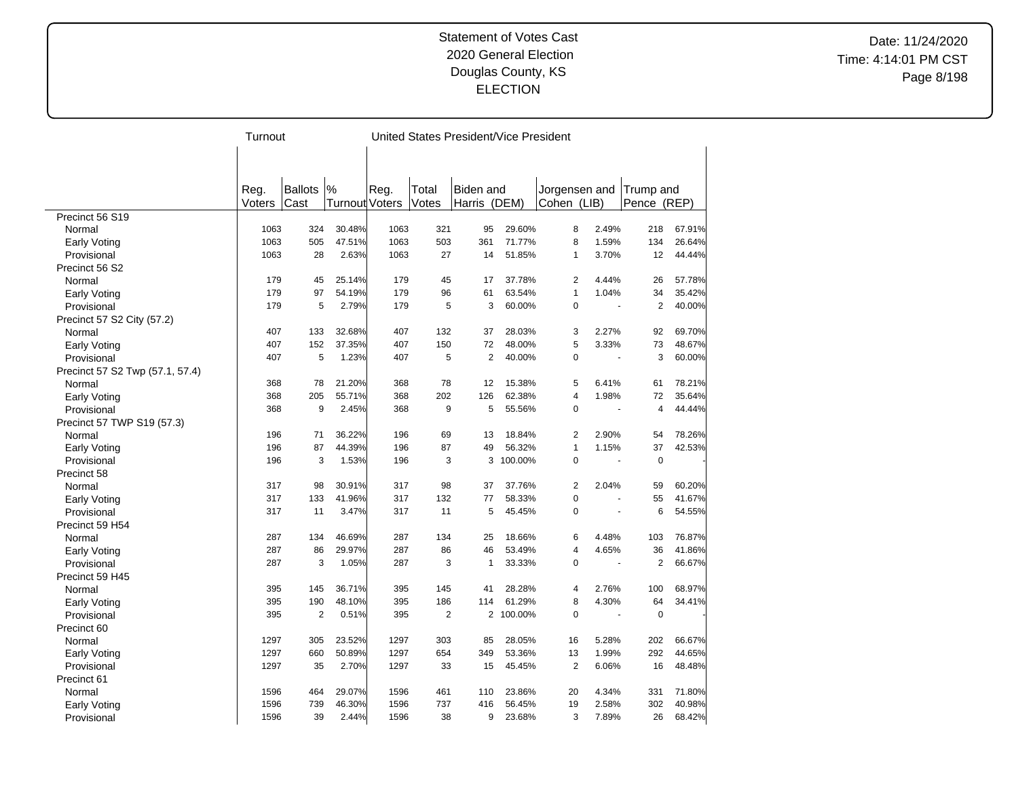Date: 11/24/2020 Time: 4:14:01 PM CST Page 8/198

|                                 | Turnout |                |                | United States President/Vice President |                |                  |         |                |                |                |        |
|---------------------------------|---------|----------------|----------------|----------------------------------------|----------------|------------------|---------|----------------|----------------|----------------|--------|
|                                 |         |                |                |                                        |                |                  |         |                |                |                |        |
|                                 |         |                |                |                                        |                |                  |         |                |                |                |        |
|                                 |         |                |                |                                        |                |                  |         |                |                |                |        |
|                                 | Reg.    | <b>Ballots</b> | %              | Reg.                                   | Total          | <b>Biden</b> and |         | Jorgensen and  |                | Trump and      |        |
|                                 | Voters  | Cast           | Turnout Voters |                                        | Votes          | Harris (DEM)     |         | Cohen (LIB)    |                | Pence (REP)    |        |
| Precinct 56 S19                 |         |                |                |                                        |                |                  |         |                |                |                |        |
| Normal                          | 1063    | 324            | 30.48%         | 1063                                   | 321            | 95               | 29.60%  | 8              | 2.49%          | 218            | 67.91% |
| <b>Early Voting</b>             | 1063    | 505            | 47.51%         | 1063                                   | 503            | 361              | 71.77%  | 8              | 1.59%          | 134            | 26.64% |
| Provisional                     | 1063    | 28             | 2.63%          | 1063                                   | 27             | 14               | 51.85%  | $\mathbf{1}$   | 3.70%          | 12             | 44.44% |
| Precinct 56 S2                  |         |                |                |                                        |                |                  |         |                |                |                |        |
| Normal                          | 179     | 45             | 25.14%         | 179                                    | 45             | 17               | 37.78%  | $\overline{2}$ | 4.44%          | 26             | 57.78% |
| Early Voting                    | 179     | 97             | 54.19%         | 179                                    | 96             | 61               | 63.54%  | $\mathbf{1}$   | 1.04%          | 34             | 35.42% |
| Provisional                     | 179     | 5              | 2.79%          | 179                                    | 5              | 3                | 60.00%  | $\mathbf 0$    |                | $\overline{2}$ | 40.00% |
| Precinct 57 S2 City (57.2)      |         |                |                |                                        |                |                  |         |                |                |                |        |
| Normal                          | 407     | 133            | 32.68%         | 407                                    | 132            | 37               | 28.03%  | 3              | 2.27%          | 92             | 69.70% |
| Early Voting                    | 407     | 152            | 37.35%         | 407                                    | 150            | 72               | 48.00%  | 5              | 3.33%          | 73             | 48.67% |
| Provisional                     | 407     | 5              | 1.23%          | 407                                    | 5              | $\overline{2}$   | 40.00%  | $\mathbf 0$    | $\overline{a}$ | 3              | 60.00% |
| Precinct 57 S2 Twp (57.1, 57.4) |         |                |                |                                        |                |                  |         |                |                |                |        |
| Normal                          | 368     | 78             | 21.20%         | 368                                    | 78             | 12               | 15.38%  | 5              | 6.41%          | 61             | 78.21% |
| Early Voting                    | 368     | 205            | 55.71%         | 368                                    | 202            | 126              | 62.38%  | $\overline{4}$ | 1.98%          | 72             | 35.64% |
| Provisional                     | 368     | 9              | 2.45%          | 368                                    | 9              | 5                | 55.56%  | $\mathbf 0$    |                | $\overline{4}$ | 44.44% |
| Precinct 57 TWP S19 (57.3)      |         |                |                |                                        |                |                  |         |                |                |                |        |
| Normal                          | 196     | 71             | 36.22%         | 196                                    | 69             | 13               | 18.84%  | $\overline{2}$ | 2.90%          | 54             | 78.26% |
| Early Voting                    | 196     | 87             | 44.39%         | 196                                    | 87             | 49               | 56.32%  | $\mathbf{1}$   | 1.15%          | 37             | 42.53% |
| Provisional                     | 196     | 3              | 1.53%          | 196                                    | 3              | 3                | 100.00% | $\Omega$       | ä,             | $\mathbf 0$    |        |
| Precinct 58                     |         |                |                |                                        |                |                  |         |                |                |                |        |
| Normal                          | 317     | 98             | 30.91%         | 317                                    | 98             | 37               | 37.76%  | $\overline{2}$ | 2.04%          | 59             | 60.20% |
| Early Voting                    | 317     | 133            | 41.96%         | 317                                    | 132            | 77               | 58.33%  | $\mathbf 0$    | ä,             | 55             | 41.67% |
| Provisional                     | 317     | 11             | 3.47%          | 317                                    | 11             | 5                | 45.45%  | $\mathbf 0$    |                | 6              | 54.55% |
| Precinct 59 H54                 |         |                |                |                                        |                |                  |         |                |                |                |        |
| Normal                          | 287     | 134            | 46.69%         | 287                                    | 134            | 25               | 18.66%  | 6              | 4.48%          | 103            | 76.87% |
| Early Voting                    | 287     | 86             | 29.97%         | 287                                    | 86             | 46               | 53.49%  | 4              | 4.65%          | 36             | 41.86% |
| Provisional                     | 287     | 3              | 1.05%          | 287                                    | 3              | 1                | 33.33%  | 0              |                | $\overline{2}$ | 66.67% |
| Precinct 59 H45                 |         |                |                |                                        |                |                  |         |                |                |                |        |
| Normal                          | 395     | 145            | 36.71%         | 395                                    | 145            | 41               | 28.28%  | 4              | 2.76%          | 100            | 68.97% |
| Early Voting                    | 395     | 190            | 48.10%         | 395                                    | 186            | 114              | 61.29%  | 8              | 4.30%          | 64             | 34.41% |
| Provisional                     | 395     | $\overline{2}$ | 0.51%          | 395                                    | $\overline{2}$ | $\overline{2}$   | 100.00% | $\Omega$       |                | $\mathbf 0$    |        |
| Precinct 60                     |         |                |                |                                        |                |                  |         |                |                |                |        |
| Normal                          | 1297    | 305            | 23.52%         | 1297                                   | 303            | 85               | 28.05%  | 16             | 5.28%          | 202            | 66.67% |
| Early Voting                    | 1297    | 660            | 50.89%         | 1297                                   | 654            | 349              | 53.36%  | 13             | 1.99%          | 292            | 44.65% |
| Provisional                     | 1297    | 35             | 2.70%          | 1297                                   | 33             | 15               | 45.45%  | $\overline{2}$ | 6.06%          | 16             | 48.48% |
| Precinct 61                     |         |                |                |                                        |                |                  |         |                |                |                |        |
| Normal                          | 1596    | 464            | 29.07%         | 1596                                   | 461            | 110              | 23.86%  | 20             | 4.34%          | 331            | 71.80% |
| Early Voting                    | 1596    | 739            | 46.30%         | 1596                                   | 737            | 416              | 56.45%  | 19             | 2.58%          | 302            | 40.98% |
| Provisional                     | 1596    | 39             | 2.44%          | 1596                                   | 38             | 9                | 23.68%  | 3              | 7.89%          | 26             | 68.42% |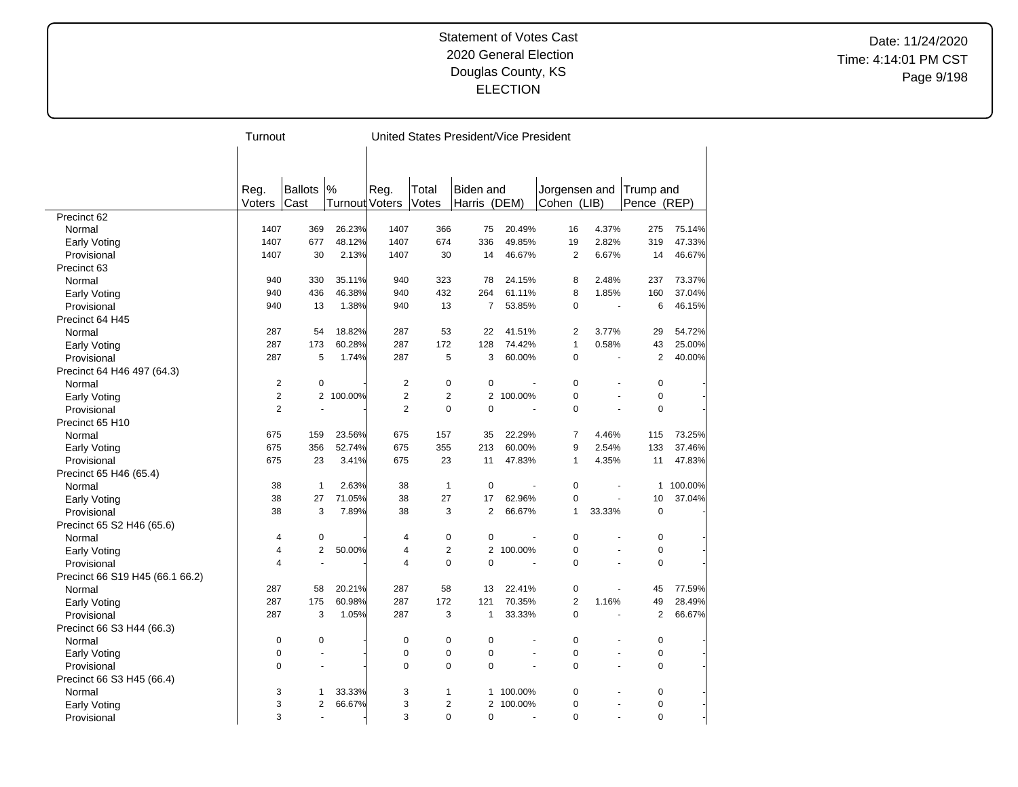Date: 11/24/2020 Time: 4:14:01 PM CST Page 9/198

|                                 | Turnout        |                          |                       |                  |                | United States President/Vice President |                |                |        |                |         |
|---------------------------------|----------------|--------------------------|-----------------------|------------------|----------------|----------------------------------------|----------------|----------------|--------|----------------|---------|
|                                 |                |                          |                       |                  |                |                                        |                |                |        |                |         |
|                                 |                |                          |                       |                  |                |                                        |                |                |        |                |         |
|                                 |                |                          |                       |                  |                |                                        |                |                |        |                |         |
|                                 | Reg.           | <b>Ballots</b>           | %                     | Reg.             | Total          | <b>Biden</b> and                       |                | Jorgensen and  |        | Trump and      |         |
|                                 | Voters         | Cast                     | <b>Turnout Voters</b> |                  | Votes          | Harris                                 | (DEM)          | Cohen (LIB)    |        | Pence (REP)    |         |
| Precinct 62                     |                |                          |                       |                  |                |                                        |                |                |        |                |         |
| Normal                          | 1407           | 369                      | 26.23%                | 1407             | 366            | 75                                     | 20.49%         | 16             | 4.37%  | 275            | 75.14%  |
| Early Voting                    | 1407           | 677                      | 48.12%                | 1407             | 674            | 336                                    | 49.85%         | 19             | 2.82%  | 319            | 47.33%  |
| Provisional                     | 1407           | 30                       | 2.13%                 | 1407             | 30             | 14                                     | 46.67%         | 2              | 6.67%  | 14             | 46.67%  |
| Precinct 63                     |                |                          |                       |                  |                |                                        |                |                |        |                |         |
| Normal                          | 940            | 330                      | 35.11%                | 940              | 323            | 78                                     | 24.15%         | 8              | 2.48%  | 237            | 73.37%  |
| Early Voting                    | 940            | 436                      | 46.38%                | 940              | 432            | 264                                    | 61.11%         | 8              | 1.85%  | 160            | 37.04%  |
| Provisional                     | 940            | 13                       | 1.38%                 | 940              | 13             | $\overline{7}$                         | 53.85%         | $\mathbf 0$    |        | 6              | 46.15%  |
| Precinct 64 H45                 |                |                          |                       |                  |                |                                        |                |                |        |                |         |
| Normal                          | 287            | 54                       | 18.82%                | 287              | 53             | 22                                     | 41.51%         | $\overline{2}$ | 3.77%  | 29             | 54.72%  |
| Early Voting                    | 287            | 173                      | 60.28%                | 287              | 172            | 128                                    | 74.42%         | $\mathbf{1}$   | 0.58%  | 43             | 25.00%  |
| Provisional                     | 287            | 5                        | 1.74%                 | 287              | 5              | 3                                      | 60.00%         | $\mathbf 0$    | ÷,     | $\overline{2}$ | 40.00%  |
| Precinct 64 H46 497 (64.3)      |                |                          |                       |                  |                |                                        |                |                |        |                |         |
| Normal                          | $\overline{2}$ | $\mathbf 0$              |                       | $\boldsymbol{2}$ | $\mathbf 0$    | $\Omega$                               |                | $\mathbf 0$    |        | $\mathbf 0$    |         |
| Early Voting                    | $\overline{2}$ |                          | 2 100.00%             | $\overline{2}$   | $\overline{2}$ |                                        | 2 100.00%      | $\overline{0}$ |        | $\mathbf 0$    |         |
| Provisional                     | $\overline{2}$ |                          |                       | $\overline{2}$   | $\mathbf 0$    | $\mathbf 0$                            |                | $\mathbf 0$    |        | $\mathbf 0$    |         |
| Precinct 65 H10                 |                |                          |                       |                  |                |                                        |                |                |        |                |         |
| Normal                          | 675            | 159                      | 23.56%                | 675              | 157            | 35                                     | 22.29%         | $\overline{7}$ | 4.46%  | 115            | 73.25%  |
| Early Voting                    | 675            | 356                      | 52.74%                | 675              | 355            | 213                                    | 60.00%         | 9              | 2.54%  | 133            | 37.46%  |
| Provisional                     | 675            | 23                       | 3.41%                 | 675              | 23             | 11                                     | 47.83%         | $\mathbf{1}$   | 4.35%  | 11             | 47.83%  |
| Precinct 65 H46 (65.4)          |                |                          |                       |                  |                |                                        |                |                |        |                |         |
| Normal                          | 38             | $\mathbf{1}$             | 2.63%                 | 38               | $\mathbf{1}$   | $\mathbf 0$                            |                | $\mathbf 0$    | ÷,     | $\mathbf{1}$   | 100.00% |
| Early Voting                    | 38             | 27                       | 71.05%                | 38               | 27             | 17                                     | 62.96%         | $\overline{0}$ |        | 10             | 37.04%  |
| Provisional                     | 38             | 3                        | 7.89%                 | 38               | 3              | $\overline{2}$                         | 66.67%         | $\mathbf{1}$   | 33.33% | $\mathbf 0$    |         |
| Precinct 65 S2 H46 (65.6)       |                |                          |                       |                  |                |                                        |                |                |        |                |         |
| Normal                          | 4              | 0                        |                       | 4                | $\mathbf 0$    | $\mathbf 0$                            |                | $\mathbf 0$    |        | 0              |         |
|                                 | $\overline{4}$ | $\overline{2}$           | 50.00%                | 4                | $\overline{c}$ | $\overline{2}$                         | 100.00%        | $\overline{0}$ |        | $\mathbf 0$    |         |
| Early Voting                    | 4              | $\overline{a}$           |                       | 4                | $\Omega$       | $\Omega$                               |                | $\Omega$       |        | $\Omega$       |         |
| Provisional                     |                |                          |                       |                  |                |                                        |                |                |        |                |         |
| Precinct 66 S19 H45 (66.1 66.2) | 287            | 58                       | 20.21%                | 287              | 58             | 13                                     | 22.41%         | $\mathbf 0$    |        | 45             | 77.59%  |
| Normal                          | 287            |                          | 60.98%                |                  | 172            |                                        | 70.35%         | $\overline{2}$ | 1.16%  | 49             | 28.49%  |
| Early Voting                    |                | 175                      |                       | 287              |                | 121                                    |                |                |        |                |         |
| Provisional                     | 287            | 3                        | 1.05%                 | 287              | 3              | $\mathbf{1}$                           | 33.33%         | $\Omega$       |        | 2              | 66.67%  |
| Precinct 66 S3 H44 (66.3)       |                |                          |                       |                  |                |                                        |                |                |        |                |         |
| Normal                          | $\pmb{0}$      | 0                        |                       | $\mathbf 0$      | 0              | 0                                      |                | $\mathbf 0$    |        | $\mathbf 0$    |         |
| Early Voting                    | $\pmb{0}$      |                          |                       | $\mathbf 0$      | $\mathbf 0$    | $\mathbf 0$                            |                | $\mathbf 0$    |        | $\mathbf 0$    |         |
| Provisional                     | $\Omega$       | ÷.                       |                       | $\Omega$         | $\Omega$       | $\Omega$                               | $\overline{a}$ | $\Omega$       | ÷.     | 0              |         |
| Precinct 66 S3 H45 (66.4)       |                |                          |                       |                  |                |                                        |                |                |        |                |         |
| Normal                          | 3              | 1                        | 33.33%                | 3                | $\mathbf{1}$   | 1.                                     | 100.00%        | 0              |        | $\mathbf 0$    |         |
| Early Voting                    | 3              | $\overline{2}$           | 66.67%                | 3                | $\overline{2}$ |                                        | 2 100.00%      | $\overline{0}$ |        | $\mathbf 0$    |         |
| Provisional                     | 3              | $\overline{\phantom{a}}$ |                       | 3                | $\Omega$       | $\Omega$                               |                | $\Omega$       |        | $\Omega$       |         |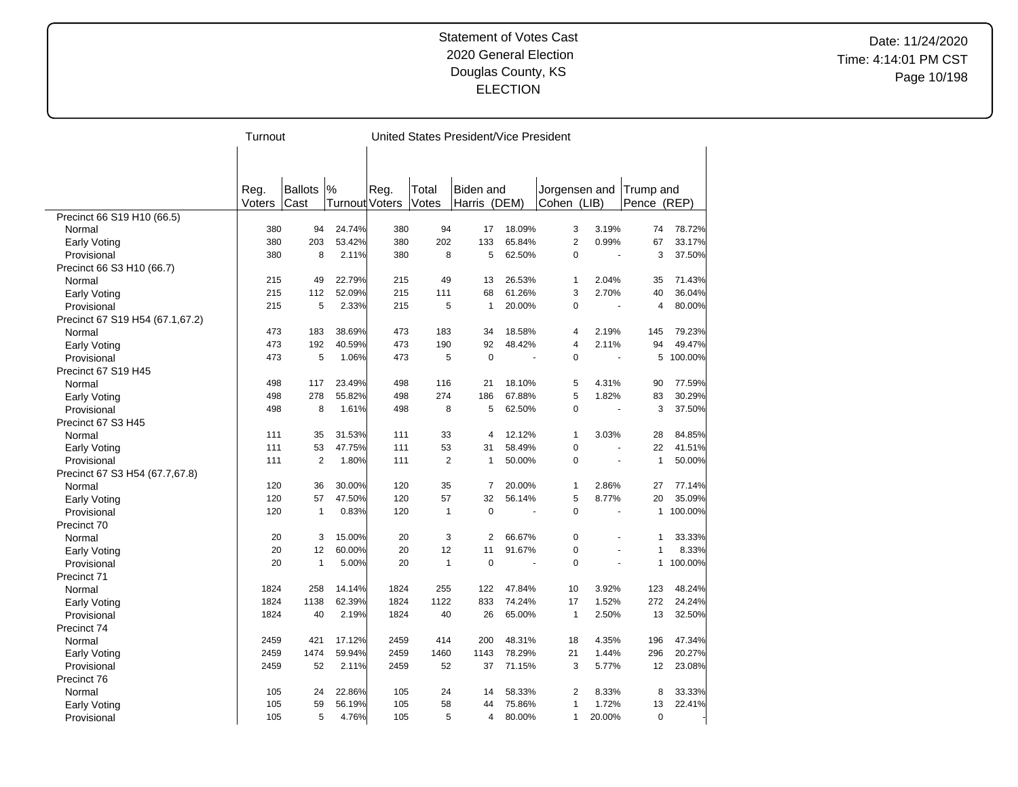Date: 11/24/2020 Time: 4:14:01 PM CST Page 10/198

|                                 | Turnout |                |                |      | United States President/Vice President |                |        |                |                |                |         |
|---------------------------------|---------|----------------|----------------|------|----------------------------------------|----------------|--------|----------------|----------------|----------------|---------|
|                                 |         |                |                |      |                                        |                |        |                |                |                |         |
|                                 |         |                |                |      |                                        |                |        |                |                |                |         |
|                                 |         |                |                |      |                                        |                |        |                |                |                |         |
|                                 | Reg.    | <b>Ballots</b> | %              | Reg. | Total                                  | Biden and      |        | Jorgensen and  |                | Trump and      |         |
|                                 | Voters  | Cast           | Turnout Voters |      | Votes                                  | Harris (DEM)   |        | Cohen (LIB)    |                | Pence (REP)    |         |
| Precinct 66 S19 H10 (66.5)      |         |                |                |      |                                        |                |        |                |                |                |         |
| Normal                          | 380     | 94             | 24.74%         | 380  | 94                                     | 17             | 18.09% | 3              | 3.19%          | 74             | 78.72%  |
| <b>Early Voting</b>             | 380     | 203            | 53.42%         | 380  | 202                                    | 133            | 65.84% | $\overline{2}$ | 0.99%          | 67             | 33.17%  |
| Provisional                     | 380     | 8              | 2.11%          | 380  | 8                                      | 5              | 62.50% | $\overline{0}$ | ÷,             | 3              | 37.50%  |
| Precinct 66 S3 H10 (66.7)       |         |                |                |      |                                        |                |        |                |                |                |         |
| Normal                          | 215     | 49             | 22.79%         | 215  | 49                                     | 13             | 26.53% | 1              | 2.04%          | 35             | 71.43%  |
| Early Voting                    | 215     | 112            | 52.09%         | 215  | 111                                    | 68             | 61.26% | 3              | 2.70%          | 40             | 36.04%  |
| Provisional                     | 215     | 5              | 2.33%          | 215  | 5                                      | 1              | 20.00% | 0              |                | $\overline{4}$ | 80.00%  |
| Precinct 67 S19 H54 (67.1,67.2) |         |                |                |      |                                        |                |        |                |                |                |         |
| Normal                          | 473     | 183            | 38.69%         | 473  | 183                                    | 34             | 18.58% | 4              | 2.19%          | 145            | 79.23%  |
| Early Voting                    | 473     | 192            | 40.59%         | 473  | 190                                    | 92             | 48.42% | 4              | 2.11%          | 94             | 49.47%  |
| Provisional                     | 473     | 5              | 1.06%          | 473  | 5                                      | $\overline{0}$ |        | $\mathbf 0$    | $\overline{a}$ | 5              | 100.00% |
| Precinct 67 S19 H45             |         |                |                |      |                                        |                |        |                |                |                |         |
| Normal                          | 498     | 117            | 23.49%         | 498  | 116                                    | 21             | 18.10% | 5              | 4.31%          | 90             | 77.59%  |
| <b>Early Voting</b>             | 498     | 278            | 55.82%         | 498  | 274                                    | 186            | 67.88% | 5              | 1.82%          | 83             | 30.29%  |
| Provisional                     | 498     | 8              | 1.61%          | 498  | 8                                      | 5              | 62.50% | $\overline{0}$ |                | 3              | 37.50%  |
| Precinct 67 S3 H45              |         |                |                |      |                                        |                |        |                |                |                |         |
| Normal                          | 111     | 35             | 31.53%         | 111  | 33                                     | 4              | 12.12% | 1              | 3.03%          | 28             | 84.85%  |
| Early Voting                    | 111     | 53             | 47.75%         | 111  | 53                                     | 31             | 58.49% | $\mathbf 0$    |                | 22             | 41.51%  |
| Provisional                     | 111     | 2              | 1.80%          | 111  | $\overline{2}$                         | $\mathbf{1}$   | 50.00% | $\Omega$       | ÷.             | $\mathbf{1}$   | 50.00%  |
| Precinct 67 S3 H54 (67.7,67.8)  |         |                |                |      |                                        |                |        |                |                |                |         |
| Normal                          | 120     | 36             | 30.00%         | 120  | 35                                     | 7              | 20.00% | 1              | 2.86%          | 27             | 77.14%  |
| Early Voting                    | 120     | 57             | 47.50%         | 120  | 57                                     | 32             | 56.14% | 5              | 8.77%          | 20             | 35.09%  |
| Provisional                     | 120     | 1              | 0.83%          | 120  | $\mathbf{1}$                           | $\mathbf 0$    |        | $\mathbf 0$    |                | $\mathbf{1}$   | 100.00% |
| Precinct 70                     |         |                |                |      |                                        |                |        |                |                |                |         |
| Normal                          | 20      | 3              | 15.00%         | 20   | 3                                      | $\overline{2}$ | 66.67% | $\mathbf 0$    |                | 1              | 33.33%  |
| Early Voting                    | 20      | 12             | 60.00%         | 20   | 12                                     | 11             | 91.67% | $\mathbf 0$    |                | $\mathbf{1}$   | 8.33%   |
| Provisional                     | 20      | 1              | 5.00%          | 20   | $\mathbf{1}$                           | $\mathbf 0$    |        | $\Omega$       | ä,             | $\mathbf{1}$   | 100.00% |
| Precinct 71                     |         |                |                |      |                                        |                |        |                |                |                |         |
| Normal                          | 1824    | 258            | 14.14%         | 1824 | 255                                    | 122            | 47.84% | 10             | 3.92%          | 123            | 48.24%  |
| Early Voting                    | 1824    | 1138           | 62.39%         | 1824 | 1122                                   | 833            | 74.24% | 17             | 1.52%          | 272            | 24.24%  |
| Provisional                     | 1824    | 40             | 2.19%          | 1824 | 40                                     | 26             | 65.00% | $\mathbf{1}$   | 2.50%          | 13             | 32.50%  |
| Precinct 74                     |         |                |                |      |                                        |                |        |                |                |                |         |
| Normal                          | 2459    | 421            | 17.12%         | 2459 | 414                                    | 200            | 48.31% | 18             | 4.35%          | 196            | 47.34%  |
| Early Voting                    | 2459    | 1474           | 59.94%         | 2459 | 1460                                   | 1143           | 78.29% | 21             | 1.44%          | 296            | 20.27%  |
| Provisional                     | 2459    | 52             | 2.11%          | 2459 | 52                                     | 37             | 71.15% | 3              | 5.77%          | 12             | 23.08%  |
| Precinct 76                     |         |                |                |      |                                        |                |        |                |                |                |         |
| Normal                          | 105     | 24             | 22.86%         | 105  | 24                                     | 14             | 58.33% | $\overline{2}$ | 8.33%          | 8              | 33.33%  |
| Early Voting                    | 105     | 59             | 56.19%         | 105  | 58                                     | 44             | 75.86% | 1              | 1.72%          | 13             | 22.41%  |
| Provisional                     | 105     | 5              | 4.76%          | 105  | 5                                      | 4              | 80.00% | 1              | 20.00%         | 0              |         |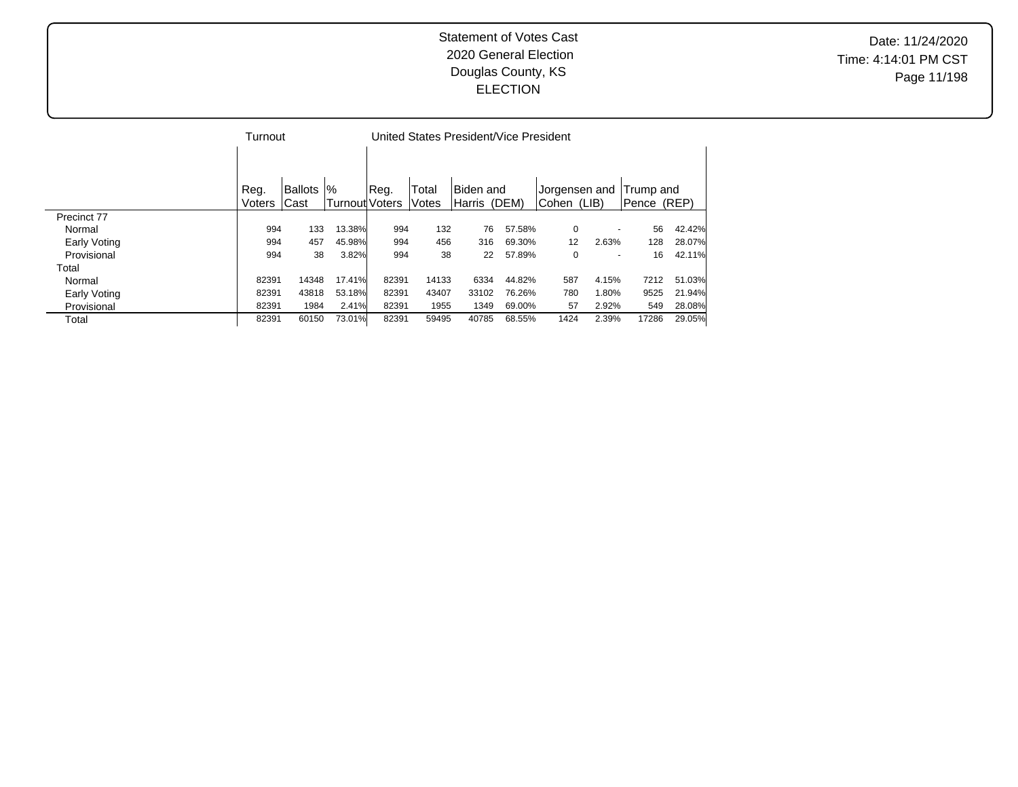Date: 11/24/2020 Time: 4:14:01 PM CST Page 11/198

|              | Turnout |         |                 |       |       |           | United States President/Vice President |         |               |             |        |
|--------------|---------|---------|-----------------|-------|-------|-----------|----------------------------------------|---------|---------------|-------------|--------|
|              |         |         |                 |       |       |           |                                        |         |               |             |        |
|              |         |         |                 |       |       |           |                                        |         |               |             |        |
|              | Reg.    | Ballots | $\frac{10}{6}$  | Reg.  | Total | Biden and |                                        |         | Jorgensen and | Trump and   |        |
|              | Voters  | lCast   | Turnoutl Voters |       | Votes | lHarris   | (DEM)                                  | lCohen. | (LIB)         | Pence (REP) |        |
| Precinct 77  |         |         |                 |       |       |           |                                        |         |               |             |        |
| Normal       | 994     | 133     | 13.38%          | 994   | 132   | 76        | 57.58%                                 | 0       |               | 56          | 42.42% |
| Early Voting | 994     | 457     | 45.98%          | 994   | 456   | 316       | 69.30%                                 | 12      | 2.63%         | 128         | 28.07% |
| Provisional  | 994     | 38      | 3.82%           | 994   | 38    | 22        | 57.89%                                 | 0       |               | 16          | 42.11% |
| Total        |         |         |                 |       |       |           |                                        |         |               |             |        |
| Normal       | 82391   | 14348   | 17.41%          | 82391 | 14133 | 6334      | 44.82%                                 | 587     | 4.15%         | 7212        | 51.03% |
| Early Voting | 82391   | 43818   | 53.18%          | 82391 | 43407 | 33102     | 76.26%                                 | 780     | 1.80%         | 9525        | 21.94% |
| Provisional  | 82391   | 1984    | 2.41%           | 82391 | 1955  | 1349      | 69.00%                                 | 57      | 2.92%         | 549         | 28.08% |
| Total        | 82391   | 60150   | 73.01%          | 82391 | 59495 | 40785     | 68.55%                                 | 1424    | 2.39%         | 17286       | 29.05% |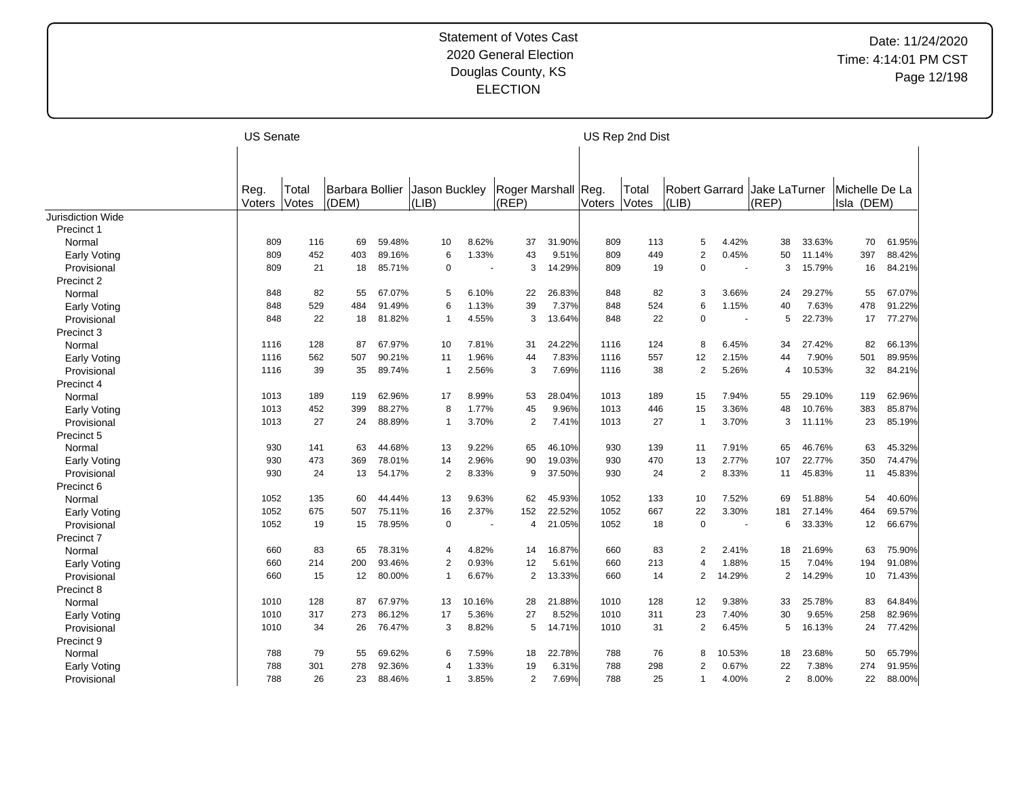|                     | <b>US Senate</b> |       |                        |        |                |        |                |        |        | US Rep 2nd Dist |       |                         |                |        |                |        |
|---------------------|------------------|-------|------------------------|--------|----------------|--------|----------------|--------|--------|-----------------|-------|-------------------------|----------------|--------|----------------|--------|
|                     |                  |       |                        |        |                |        |                |        |        |                 |       |                         |                |        |                |        |
|                     | Reg.             | Total | <b>Barbara Bollier</b> |        | Jason Buckley  |        | Roger Marshall |        | Reg.   | Total           |       | <b>Robert Garrard</b>   | Jake LaTurner  |        | Michelle De La |        |
|                     | Voters           | Votes | (DEM)                  |        | (LIB)          |        | (REP)          |        | Voters | Votes           | (LIB) |                         | (REP)          |        | Isla (DEM)     |        |
| Jurisdiction Wide   |                  |       |                        |        |                |        |                |        |        |                 |       |                         |                |        |                |        |
| Precinct 1          |                  |       |                        |        |                |        |                |        |        |                 |       |                         |                |        |                |        |
| Normal              | 809              | 116   | 69                     | 59.48% | 10             | 8.62%  | 37             | 31.90% | 809    | 113             |       | 5<br>4.42%              | 38             | 33.63% | 70             | 61.95% |
| Early Voting        | 809              | 452   | 403                    | 89.16% | 6              | 1.33%  | 43             | 9.51%  | 809    | 449             |       | $\overline{2}$<br>0.45% | 50             | 11.14% | 397            | 88.42% |
| Provisional         | 809              | 21    | 18                     | 85.71% | $\mathbf 0$    |        | 3              | 14.29% | 809    | 19              |       | $\mathbf 0$             | 3              | 15.79% | 16             | 84.21% |
| Precinct 2          |                  |       |                        |        |                |        |                |        |        |                 |       |                         |                |        |                |        |
| Normal              | 848              | 82    | 55                     | 67.07% | 5              | 6.10%  | 22             | 26.83% | 848    | 82              |       | 3.66%<br>3              | 24             | 29.27% | 55             | 67.07% |
| Early Voting        | 848              | 529   | 484                    | 91.49% | 6              | 1.13%  | 39             | 7.37%  | 848    | 524             |       | 6<br>1.15%              | 40             | 7.63%  | 478            | 91.22% |
| Provisional         | 848              | 22    | 18                     | 81.82% | -1             | 4.55%  | 3              | 13.64% | 848    | 22              |       | $\Omega$<br>$\sim$      | 5              | 22.73% | 17             | 77.27% |
| Precinct 3          |                  |       |                        |        |                |        |                |        |        |                 |       |                         |                |        |                |        |
| Normal              | 1116             | 128   | 87                     | 67.97% | 10             | 7.81%  | 31             | 24.22% | 1116   | 124             |       | 8<br>6.45%              | 34             | 27.42% | 82             | 66.13% |
| Early Voting        | 1116             | 562   | 507                    | 90.21% | 11             | 1.96%  | 44             | 7.83%  | 1116   | 557             | 12    | 2.15%                   | 44             | 7.90%  | 501            | 89.95% |
| Provisional         | 1116             | 39    | 35                     | 89.74% | $\overline{1}$ | 2.56%  | 3              | 7.69%  | 1116   | 38              |       | $\overline{2}$<br>5.26% | $\overline{4}$ | 10.53% | 32             | 84.21% |
| Precinct 4          |                  |       |                        |        |                |        |                |        |        |                 |       |                         |                |        |                |        |
| Normal              | 1013             | 189   | 119                    | 62.96% | 17             | 8.99%  | 53             | 28.04% | 1013   | 189             | 15    | 7.94%                   | 55             | 29.10% | 119            | 62.96% |
| Early Voting        | 1013             | 452   | 399                    | 88.27% | 8              | 1.77%  | 45             | 9.96%  | 1013   | 446             | 15    | 3.36%                   | 48             | 10.76% | 383            | 85.87% |
| Provisional         | 1013             | 27    | 24                     | 88.89% | $\overline{1}$ | 3.70%  | $\overline{2}$ | 7.41%  | 1013   | 27              | 1     | 3.70%                   | 3              | 11.11% | 23             | 85.19% |
| Precinct 5          |                  |       |                        |        |                |        |                |        |        |                 |       |                         |                |        |                |        |
| Normal              | 930              | 141   | 63                     | 44.68% | 13             | 9.22%  | 65             | 46.10% | 930    | 139             | 11    | 7.91%                   | 65             | 46.76% | 63             | 45.32% |
| <b>Early Voting</b> | 930              | 473   | 369                    | 78.01% | 14             | 2.96%  | 90             | 19.03% | 930    | 470             | 13    | 2.77%                   | 107            | 22.77% | 350            | 74.47% |
| Provisional         | 930              | 24    | 13                     | 54.17% | $\overline{2}$ | 8.33%  | 9              | 37.50% | 930    | 24              |       | 2<br>8.33%              | 11             | 45.83% | 11             | 45.83% |
| Precinct 6          |                  |       |                        |        |                |        |                |        |        |                 |       |                         |                |        |                |        |
| Normal              | 1052             | 135   | 60                     | 44.44% | 13             | 9.63%  | 62             | 45.93% | 1052   | 133             | 10    | 7.52%                   | 69             | 51.88% | 54             | 40.60% |
| <b>Early Voting</b> | 1052             | 675   | 507                    | 75.11% | 16             | 2.37%  | 152            | 22.52% | 1052   | 667             | 22    | 3.30%                   | 181            | 27.14% | 464            | 69.57% |
| Provisional         | 1052             | 19    | 15                     | 78.95% | $\mathbf 0$    | ÷.     | 4              | 21.05% | 1052   | 18              |       | $\Omega$<br>$\sim$      | 6              | 33.33% | 12             | 66.67% |
| Precinct 7          |                  |       |                        |        |                |        |                |        |        |                 |       |                         |                |        |                |        |
| Normal              | 660              | 83    | 65                     | 78.31% | 4              | 4.82%  | 14             | 16.87% | 660    | 83              |       | 2<br>2.41%              | 18             | 21.69% | 63             | 75.90% |
| Early Voting        | 660              | 214   | 200                    | 93.46% | $\overline{2}$ | 0.93%  | 12             | 5.61%  | 660    | 213             |       | 1.88%<br>4              | 15             | 7.04%  | 194            | 91.08% |
| Provisional         | 660              | 15    | 12                     | 80.00% | $\overline{1}$ | 6.67%  | $\overline{2}$ | 13.33% | 660    | 14              |       | 2<br>14.29%             | 2              | 14.29% | 10             | 71.43% |
| Precinct 8          |                  |       |                        |        |                |        |                |        |        |                 |       |                         |                |        |                |        |
| Normal              | 1010             | 128   | 87                     | 67.97% | 13             | 10.16% | 28             | 21.88% | 1010   | 128             | 12    | 9.38%                   | 33             | 25.78% | 83             | 64.84% |
| <b>Early Voting</b> | 1010             | 317   | 273                    | 86.12% | 17             | 5.36%  | 27             | 8.52%  | 1010   | 311             | 23    | 7.40%                   | 30             | 9.65%  | 258            | 82.96% |
| Provisional         | 1010             | 34    | 26                     | 76.47% | 3              | 8.82%  | 5              | 14.71% | 1010   | 31              |       | $\overline{2}$<br>6.45% | 5              | 16.13% | 24             | 77.42% |
| Precinct 9          |                  |       |                        |        |                |        |                |        |        |                 |       |                         |                |        |                |        |
| Normal              | 788              | 79    | 55                     | 69.62% | 6              | 7.59%  | 18             | 22.78% | 788    | 76              |       | 10.53%<br>8             | 18             | 23.68% | 50             | 65.79% |
| Early Voting        | 788              | 301   | 278                    | 92.36% | $\overline{4}$ | 1.33%  | 19             | 6.31%  | 788    | 298             |       | $\overline{2}$<br>0.67% | 22             | 7.38%  | 274            | 91.95% |
| Provisional         | 788              | 26    | 23                     | 88.46% | $\overline{1}$ | 3.85%  | $\overline{2}$ | 7.69%  | 788    | 25              |       | 4.00%<br>$\mathbf 1$    | $\overline{2}$ | 8.00%  | 22             | 88.00% |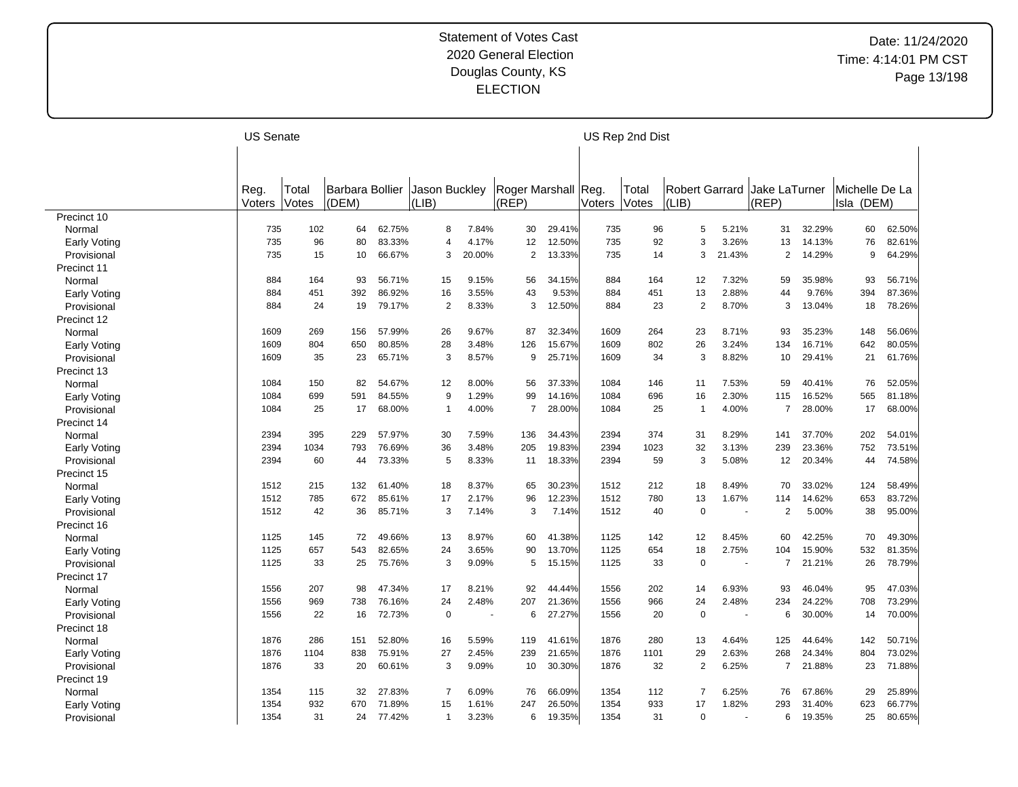|                     | <b>US Senate</b> |       |                        |        |                |        |                     |        |        | US Rep 2nd Dist |                       |        |                |        |                |        |
|---------------------|------------------|-------|------------------------|--------|----------------|--------|---------------------|--------|--------|-----------------|-----------------------|--------|----------------|--------|----------------|--------|
|                     |                  |       |                        |        |                |        |                     |        |        |                 |                       |        |                |        |                |        |
|                     |                  |       |                        |        |                |        |                     |        |        |                 |                       |        |                |        |                |        |
|                     | Reg.             | Total | <b>Barbara Bollier</b> |        | Jason Buckley  |        | Roger Marshall Reg. |        |        | Total           | <b>Robert Garrard</b> |        | Jake LaTurner  |        | Michelle De La |        |
|                     | Voters           | Votes | (DEM)                  |        | (LIB)          |        | (REP)               |        | Voters | Votes           | (LIB)                 |        | (REP)          |        | Isla (DEM)     |        |
| Precinct 10         |                  |       |                        |        |                |        |                     |        |        |                 |                       |        |                |        |                |        |
| Normal              | 735              | 102   | 64                     | 62.75% | 8              | 7.84%  | 30                  | 29.41% | 735    | 96              | 5                     | 5.21%  | 31             | 32.29% | 60             | 62.50% |
| Early Voting        | 735              | 96    | 80                     | 83.33% | $\overline{4}$ | 4.17%  | 12                  | 12.50% | 735    | 92              | 3                     | 3.26%  | 13             | 14.13% | 76             | 82.61% |
| Provisional         | 735              | 15    | 10                     | 66.67% | 3              | 20.00% | $\overline{2}$      | 13.33% | 735    | 14              | 3                     | 21.43% | $\overline{2}$ | 14.29% | 9              | 64.29% |
| Precinct 11         |                  |       |                        |        |                |        |                     |        |        |                 |                       |        |                |        |                |        |
| Normal              | 884              | 164   | 93                     | 56.71% | 15             | 9.15%  | 56                  | 34.15% | 884    | 164             | 12                    | 7.32%  | 59             | 35.98% | 93             | 56.71% |
| Early Voting        | 884              | 451   | 392                    | 86.92% | 16             | 3.55%  | 43                  | 9.53%  | 884    | 451             | 13                    | 2.88%  | 44             | 9.76%  | 394            | 87.36% |
| Provisional         | 884              | 24    | 19                     | 79.17% | $\overline{2}$ | 8.33%  | 3                   | 12.50% | 884    | 23              | $\overline{2}$        | 8.70%  | 3              | 13.04% | 18             | 78.26% |
| Precinct 12         |                  |       |                        |        |                |        |                     |        |        |                 |                       |        |                |        |                |        |
| Normal              | 1609             | 269   | 156                    | 57.99% | 26             | 9.67%  | 87                  | 32.34% | 1609   | 264             | 23                    | 8.71%  | 93             | 35.23% | 148            | 56.06% |
| Early Voting        | 1609             | 804   | 650                    | 80.85% | 28             | 3.48%  | 126                 | 15.67% | 1609   | 802             | 26                    | 3.24%  | 134            | 16.71% | 642            | 80.05% |
| Provisional         | 1609             | 35    | 23                     | 65.71% | 3              | 8.57%  | 9                   | 25.71% | 1609   | 34              | 3                     | 8.82%  | 10             | 29.41% | 21             | 61.76% |
| Precinct 13         |                  |       |                        |        |                |        |                     |        |        |                 |                       |        |                |        |                |        |
| Normal              | 1084             | 150   | 82                     | 54.67% | 12             | 8.00%  | 56                  | 37.33% | 1084   | 146             | 11                    | 7.53%  | 59             | 40.41% | 76             | 52.05% |
| Early Voting        | 1084             | 699   | 591                    | 84.55% | 9              | 1.29%  | 99                  | 14.16% | 1084   | 696             | 16                    | 2.30%  | 115            | 16.52% | 565            | 81.18% |
| Provisional         | 1084             | 25    | 17                     | 68.00% | $\overline{1}$ | 4.00%  | $\overline{7}$      | 28.00% | 1084   | 25              | 1                     | 4.00%  | $\overline{7}$ | 28.00% | 17             | 68.00% |
| Precinct 14         |                  |       |                        |        |                |        |                     |        |        |                 |                       |        |                |        |                |        |
| Normal              | 2394             | 395   | 229                    | 57.97% | 30             | 7.59%  | 136                 | 34.43% | 2394   | 374             | 31                    | 8.29%  | 141            | 37.70% | 202            | 54.01% |
| Early Voting        | 2394             | 1034  | 793                    | 76.69% | 36             | 3.48%  | 205                 | 19.83% | 2394   | 1023            | 32                    | 3.13%  | 239            | 23.36% | 752            | 73.51% |
| Provisional         | 2394             | 60    | 44                     | 73.33% | 5              | 8.33%  | 11                  | 18.33% | 2394   | 59              | 3                     | 5.08%  | 12             | 20.34% | 44             | 74.58% |
| Precinct 15         |                  |       |                        |        |                |        |                     |        |        |                 |                       |        |                |        |                |        |
| Normal              | 1512             | 215   | 132                    | 61.40% | 18             | 8.37%  | 65                  | 30.23% | 1512   | 212             | 18                    | 8.49%  | 70             | 33.02% | 124            | 58.49% |
| <b>Early Voting</b> | 1512             | 785   | 672                    | 85.61% | 17             | 2.17%  | 96                  | 12.23% | 1512   | 780             | 13                    | 1.67%  | 114            | 14.62% | 653            | 83.72% |
| Provisional         | 1512             | 42    | 36                     | 85.71% | 3              | 7.14%  | 3                   | 7.14%  | 1512   | 40              | $\mathbf 0$           |        | $\overline{2}$ | 5.00%  | 38             | 95.00% |
| Precinct 16         |                  |       |                        |        |                |        |                     |        |        |                 |                       |        |                |        |                |        |
| Normal              | 1125             | 145   | 72                     | 49.66% | 13             | 8.97%  | 60                  | 41.38% | 1125   | 142             | 12                    | 8.45%  | 60             | 42.25% | 70             | 49.30% |
| <b>Early Voting</b> | 1125             | 657   | 543                    | 82.65% | 24             | 3.65%  | 90                  | 13.70% | 1125   | 654             | 18                    | 2.75%  | 104            | 15.90% | 532            | 81.35% |
| Provisional         | 1125             | 33    | 25                     | 75.76% | 3              | 9.09%  | 5                   | 15.15% | 1125   | 33              | $\mathbf 0$           | ÷.     | $\overline{7}$ | 21.21% | 26             | 78.79% |
| Precinct 17         |                  |       |                        |        |                |        |                     |        |        |                 |                       |        |                |        |                |        |
| Normal              | 1556             | 207   | 98                     | 47.34% | 17             | 8.21%  | 92                  | 44.44% | 1556   | 202             | 14                    | 6.93%  | 93             | 46.04% | 95             | 47.03% |
| Early Voting        | 1556             | 969   | 738                    | 76.16% | 24             | 2.48%  | 207                 | 21.36% | 1556   | 966             | 24                    | 2.48%  | 234            | 24.22% | 708            | 73.29% |
| Provisional         | 1556             | 22    | 16                     | 72.73% | 0              |        | 6                   | 27.27% | 1556   | 20              | $\mathbf 0$           | . —    | 6              | 30.00% | 14             | 70.00% |
| Precinct 18         |                  |       |                        |        |                |        |                     |        |        |                 |                       |        |                |        |                |        |
| Normal              | 1876             | 286   | 151                    | 52.80% | 16             | 5.59%  | 119                 | 41.61% | 1876   | 280             | 13                    | 4.64%  | 125            | 44.64% | 142            | 50.71% |
| <b>Early Voting</b> | 1876             | 1104  | 838                    | 75.91% | 27             | 2.45%  | 239                 | 21.65% | 1876   | 1101            | 29                    | 2.63%  | 268            | 24.34% | 804            | 73.02% |
| Provisional         | 1876             | 33    | 20                     | 60.61% | 3              | 9.09%  | 10                  | 30.30% | 1876   | 32              | $\overline{2}$        | 6.25%  | 7              | 21.88% | 23             | 71.88% |
| Precinct 19         |                  |       |                        |        |                |        |                     |        |        |                 |                       |        |                |        |                |        |
| Normal              | 1354             | 115   | 32                     | 27.83% | $\overline{7}$ | 6.09%  | 76                  | 66.09% | 1354   | 112             | $\overline{7}$        | 6.25%  | 76             | 67.86% | 29             | 25.89% |
| Early Voting        | 1354             | 932   | 670                    | 71.89% | 15             | 1.61%  | 247                 | 26.50% | 1354   | 933             | 17                    | 1.82%  | 293            | 31.40% | 623            | 66.77% |
| Provisional         | 1354             | 31    | 24                     | 77.42% | -1             | 3.23%  | 6                   | 19.35% | 1354   | 31              | $\Omega$              |        | 6              | 19.35% | 25             | 80.65% |
|                     |                  |       |                        |        |                |        |                     |        |        |                 |                       |        |                |        |                |        |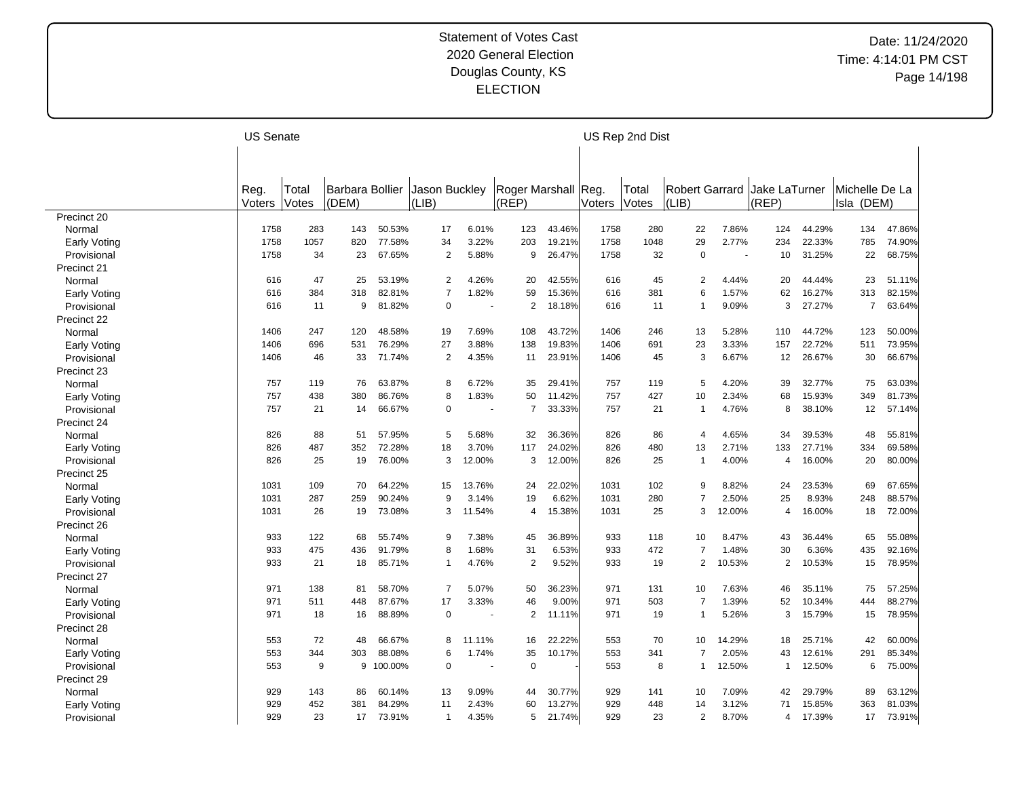|              | <b>US Senate</b> |                |                          |           |                        |        |                              |        |        | US Rep 2nd Dist |                         |        |                        |        |                              |        |
|--------------|------------------|----------------|--------------------------|-----------|------------------------|--------|------------------------------|--------|--------|-----------------|-------------------------|--------|------------------------|--------|------------------------------|--------|
|              |                  |                |                          |           |                        |        |                              |        |        |                 |                         |        |                        |        |                              |        |
|              |                  |                |                          |           |                        |        |                              |        |        |                 |                         |        |                        |        |                              |        |
|              | Reg.<br>Voters   | Total<br>Votes | Barbara Bollier<br>(DEM) |           | Jason Buckley<br>(LIB) |        | Roger Marshall Reg.<br>(REP) |        | Voters | Total<br>Votes  | Robert Garrard<br>(LIB) |        | Jake LaTurner<br>(REF) |        | Michelle De La<br>Isla (DEM) |        |
| Precinct 20  |                  |                |                          |           |                        |        |                              |        |        |                 |                         |        |                        |        |                              |        |
| Normal       | 1758             | 283            | 143                      | 50.53%    | 17                     | 6.01%  | 123                          | 43.46% | 1758   | 280             | 22                      | 7.86%  | 124                    | 44.29% | 134                          | 47.86% |
| Early Voting | 1758             | 1057           | 820                      | 77.58%    | 34                     | 3.22%  | 203                          | 19.21% | 1758   | 1048            | 29                      | 2.77%  | 234                    | 22.33% | 785                          | 74.90% |
| Provisional  | 1758             | 34             | 23                       | 67.65%    | 2                      | 5.88%  | 9                            | 26.47% | 1758   | 32              | $\mathbf 0$             |        | 10                     | 31.25% | 22                           | 68.75% |
| Precinct 21  |                  |                |                          |           |                        |        |                              |        |        |                 |                         |        |                        |        |                              |        |
| Normal       | 616              | 47             | 25                       | 53.19%    | $\overline{2}$         | 4.26%  | 20                           | 42.55% | 616    | 45              | 2                       | 4.44%  | 20                     | 44.44% | 23                           | 51.11% |
| Early Voting | 616              | 384            | 318                      | 82.81%    | $\overline{7}$         | 1.82%  | 59                           | 15.36% | 616    | 381             | 6                       | 1.57%  | 62                     | 16.27% | 313                          | 82.15% |
| Provisional  | 616              | 11             | 9                        | 81.82%    | $\mathbf 0$            |        | 2                            | 18.18% | 616    | 11              | $\overline{1}$          | 9.09%  | 3                      | 27.27% | $\overline{7}$               | 63.64% |
| Precinct 22  |                  |                |                          |           |                        |        |                              |        |        |                 |                         |        |                        |        |                              |        |
| Normal       | 1406             | 247            | 120                      | 48.58%    | 19                     | 7.69%  | 108                          | 43.72% | 1406   | 246             | 13                      | 5.28%  | 110                    | 44.72% | 123                          | 50.00% |
| Early Voting | 1406             | 696            | 531                      | 76.29%    | 27                     | 3.88%  | 138                          | 19.83% | 1406   | 691             | 23                      | 3.33%  | 157                    | 22.72% | 511                          | 73.95% |
| Provisional  | 1406             | 46             | 33                       | 71.74%    | 2                      | 4.35%  | 11                           | 23.91% | 1406   | 45              | 3                       | 6.67%  | $12 \overline{ }$      | 26.67% | 30                           | 66.67% |
| Precinct 23  |                  |                |                          |           |                        |        |                              |        |        |                 |                         |        |                        |        |                              |        |
| Normal       | 757              | 119            | 76                       | 63.87%    | 8                      | 6.72%  | 35                           | 29.41% | 757    | 119             | 5                       | 4.20%  | 39                     | 32.77% | 75                           | 63.03% |
| Early Voting | 757              | 438            | 380                      | 86.76%    | 8                      | 1.83%  | 50                           | 11.42% | 757    | 427             | 10                      | 2.34%  | 68                     | 15.93% | 349                          | 81.73% |
| Provisional  | 757              | 21             | 14                       | 66.67%    | $\mathbf 0$            |        | 7                            | 33.33% | 757    | 21              | -1                      | 4.76%  | 8                      | 38.10% | 12                           | 57.14% |
| Precinct 24  |                  |                |                          |           |                        |        |                              |        |        |                 |                         |        |                        |        |                              |        |
| Normal       | 826              | 88             | 51                       | 57.95%    | 5                      | 5.68%  | 32                           | 36.36% | 826    | 86              | 4                       | 4.65%  | 34                     | 39.53% | 48                           | 55.81% |
| Early Voting | 826              | 487            | 352                      | 72.28%    | 18                     | 3.70%  | 117                          | 24.02% | 826    | 480             | 13                      | 2.71%  | 133                    | 27.71% | 334                          | 69.58% |
| Provisional  | 826              | 25             | 19                       | 76.00%    | 3                      | 12.00% | 3                            | 12.00% | 826    | 25              | $\overline{1}$          | 4.00%  | 4                      | 16.00% | 20                           | 80.00% |
| Precinct 25  |                  |                |                          |           |                        |        |                              |        |        |                 |                         |        |                        |        |                              |        |
| Normal       | 1031             | 109            | 70                       | 64.22%    | 15                     | 13.76% | 24                           | 22.02% | 1031   | 102             | 9                       | 8.82%  | 24                     | 23.53% | 69                           | 67.65% |
| Early Voting | 1031             | 287            | 259                      | 90.24%    | 9                      | 3.14%  | 19                           | 6.62%  | 1031   | 280             | $\overline{7}$          | 2.50%  | 25                     | 8.93%  | 248                          | 88.57% |
| Provisional  | 1031             | 26             | 19                       | 73.08%    | 3                      | 11.54% | $\overline{4}$               | 15.38% | 1031   | 25              | 3                       | 12.00% | $\overline{4}$         | 16.00% | 18                           | 72.00% |
| Precinct 26  |                  |                |                          |           |                        |        |                              |        |        |                 |                         |        |                        |        |                              |        |
| Normal       | 933              | 122            | 68                       | 55.74%    | 9                      | 7.38%  | 45                           | 36.89% | 933    | 118             | 10                      | 8.47%  | 43                     | 36.44% | 65                           | 55.08% |
| Early Voting | 933              | 475            | 436                      | 91.79%    | 8                      | 1.68%  | 31                           | 6.53%  | 933    | 472             | 7                       | 1.48%  | 30                     | 6.36%  | 435                          | 92.16% |
| Provisional  | 933              | 21             | 18                       | 85.71%    | $\mathbf 1$            | 4.76%  | $\overline{2}$               | 9.52%  | 933    | 19              | $\mathbf{2}$            | 10.53% | $\overline{2}$         | 10.53% | 15                           | 78.95% |
| Precinct 27  |                  |                |                          |           |                        |        |                              |        |        |                 |                         |        |                        |        |                              |        |
| Normal       | 971              | 138            | 81                       | 58.70%    | $\overline{7}$         | 5.07%  | 50                           | 36.23% | 971    | 131             | 10                      | 7.63%  | 46                     | 35.11% | 75                           | 57.25% |
| Early Voting | 971              | 511            | 448                      | 87.67%    | 17                     | 3.33%  | 46                           | 9.00%  | 971    | 503             | 7                       | 1.39%  | 52                     | 10.34% | 444                          | 88.27% |
| Provisional  | 971              | 18             | 16                       | 88.89%    | $\mathbf 0$            |        | 2                            | 11.11% | 971    | 19              | $\overline{1}$          | 5.26%  | 3                      | 15.79% | 15                           | 78.95% |
| Precinct 28  |                  |                |                          |           |                        |        |                              |        |        |                 |                         |        |                        |        |                              |        |
| Normal       | 553              | 72             | 48                       | 66.67%    | 8                      | 11.11% | 16                           | 22.22% | 553    | 70              | 10                      | 14.29% | 18                     | 25.71% | 42                           | 60.00% |
| Early Voting | 553              | 344            | 303                      | 88.08%    | 6                      | 1.74%  | 35                           | 10.17% | 553    | 341             | 7                       | 2.05%  | 43                     | 12.61% | 291                          | 85.34% |
| Provisional  | 553              | 9              |                          | 9 100.00% | $\mathbf 0$            |        | $\mathbf 0$                  |        | 553    | 8               | $\mathbf{1}$            | 12.50% | $\mathbf{1}$           | 12.50% | 6                            | 75.00% |
| Precinct 29  |                  |                |                          |           |                        |        |                              |        |        |                 |                         |        |                        |        |                              |        |
| Normal       | 929              | 143            | 86                       | 60.14%    | 13                     | 9.09%  | 44                           | 30.77% | 929    | 141             | 10                      | 7.09%  | 42                     | 29.79% | 89                           | 63.12% |
| Early Voting | 929              | 452            | 381                      | 84.29%    | 11                     | 2.43%  | 60                           | 13.27% | 929    | 448             | 14                      | 3.12%  | 71                     | 15.85% | 363                          | 81.03% |
| Provisional  | 929              | 23             | 17                       | 73.91%    | $\mathbf 1$            | 4.35%  | 5                            | 21.74% | 929    | 23              | 2                       | 8.70%  | 4                      | 17.39% | 17                           | 73.91% |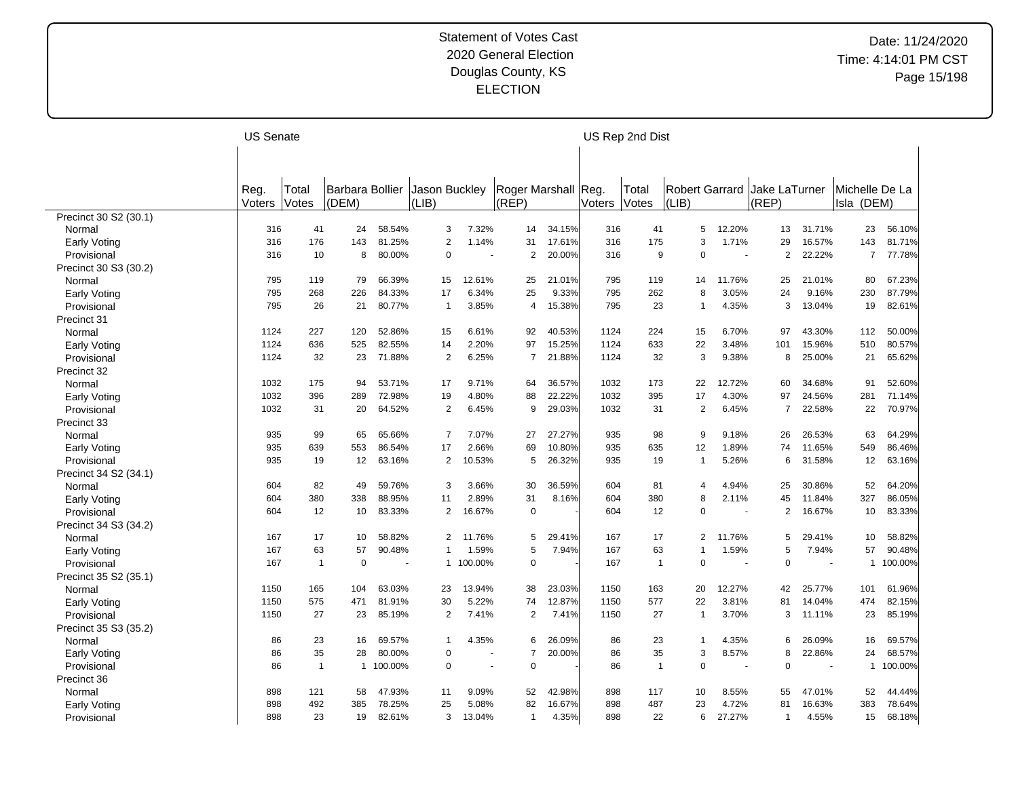|                       | <b>US Senate</b> |              |                 |           |                |                       |                     |        |        | US Rep 2nd Dist |                       |                          |                |                |                |         |
|-----------------------|------------------|--------------|-----------------|-----------|----------------|-----------------------|---------------------|--------|--------|-----------------|-----------------------|--------------------------|----------------|----------------|----------------|---------|
|                       |                  |              |                 |           |                |                       |                     |        |        |                 |                       |                          |                |                |                |         |
|                       |                  |              |                 |           |                |                       |                     |        |        |                 |                       |                          |                |                |                |         |
|                       | Reg.             | Total        | Barbara Bollier |           | Jason Buckley  |                       | Roger Marshall Reg. |        |        | Total           | <b>Robert Garrard</b> |                          | Jake LaTurner  |                | Michelle De La |         |
|                       | Voters           | Votes        | (DEM)           |           | (LIB)          |                       | (REP)               |        | Voters | Votes           | (LIB)                 |                          | (REP)          |                | Isla (DEM)     |         |
| Precinct 30 S2 (30.1) |                  |              |                 |           |                |                       |                     |        |        |                 |                       |                          |                |                |                |         |
| Normal                | 316              | 41           | 24              | 58.54%    | 3              | 7.32%                 | 14                  | 34.15% | 316    | 41              | 5                     | 12.20%                   | 13             | 31.71%         | 23             | 56.10%  |
| Early Voting          | 316              | 176          | 143             | 81.25%    | $\overline{2}$ | 1.14%                 | 31                  | 17.61% | 316    | 175             | 3                     | 1.71%                    | 29             | 16.57%         | 143            | 81.71%  |
| Provisional           | 316              | 10           | 8               | 80.00%    | $\mathbf 0$    |                       | $\overline{2}$      | 20.00% | 316    | 9               | 0                     | ٠.                       | 2              | 22.22%         | $\overline{7}$ | 77.78%  |
| Precinct 30 S3 (30.2) |                  |              |                 |           |                |                       |                     |        |        |                 |                       |                          |                |                |                |         |
| Normal                | 795              | 119          | 79              | 66.39%    | 15             | 12.61%                | 25                  | 21.01% | 795    | 119             | 14                    | 11.76%                   | 25             | 21.01%         | 80             | 67.23%  |
| Early Voting          | 795              | 268          | 226             | 84.33%    | 17             | 6.34%                 | 25                  | 9.33%  | 795    | 262             | 8                     | 3.05%                    | 24             | 9.16%          | 230            | 87.79%  |
| Provisional           | 795              | 26           | 21              | 80.77%    | $\mathbf 1$    | 3.85%                 | 4                   | 15.38% | 795    | 23              | 1                     | 4.35%                    | 3              | 13.04%         | 19             | 82.61%  |
| Precinct 31           |                  |              |                 |           |                |                       |                     |        |        |                 |                       |                          |                |                |                |         |
| Normal                | 1124             | 227          | 120             | 52.86%    | 15             | 6.61%                 | 92                  | 40.53% | 1124   | 224             | 15                    | 6.70%                    | 97             | 43.30%         | 112            | 50.00%  |
| Early Voting          | 1124             | 636          | 525             | 82.55%    | 14             | 2.20%                 | 97                  | 15.25% | 1124   | 633             | 22                    | 3.48%                    | 101            | 15.96%         | 510            | 80.57%  |
| Provisional           | 1124             | 32           | 23              | 71.88%    | 2              | 6.25%                 | $\overline{7}$      | 21.88% | 1124   | 32              | 3                     | 9.38%                    | 8              | 25.00%         | 21             | 65.62%  |
| Precinct 32           |                  |              |                 |           |                |                       |                     |        |        |                 |                       |                          |                |                |                |         |
| Normal                | 1032             | 175          | 94              | 53.71%    | 17             | 9.71%                 | 64                  | 36.57% | 1032   | 173             | 22                    | 12.72%                   | 60             | 34.68%         | 91             | 52.60%  |
| Early Voting          | 1032             | 396          | 289             | 72.98%    | 19             | 4.80%                 | 88                  | 22.22% | 1032   | 395             | 17                    | 4.30%                    | 97             | 24.56%         | 281            | 71.14%  |
| Provisional           | 1032             | 31           | 20              | 64.52%    | $\overline{2}$ | 6.45%                 | 9                   | 29.03% | 1032   | 31              | $\overline{2}$        | 6.45%                    | $\overline{7}$ | 22.58%         | 22             | 70.97%  |
| Precinct 33           |                  |              |                 |           |                |                       |                     |        |        |                 |                       |                          |                |                |                |         |
| Normal                | 935              | 99           | 65              | 65.66%    | $\overline{7}$ | 7.07%                 | 27                  | 27.27% | 935    | 98              | 9                     | 9.18%                    | 26             | 26.53%         | 63             | 64.29%  |
| Early Voting          | 935              | 639          | 553             | 86.54%    | 17             | 2.66%                 | 69                  | 10.80% | 935    | 635             | 12                    | 1.89%                    | 74             | 11.65%         | 549            | 86.46%  |
| Provisional           | 935              | 19           | 12              | 63.16%    | 2              | 10.53%                | 5                   | 26.32% | 935    | 19              | $\overline{1}$        | 5.26%                    | 6              | 31.58%         | 12             | 63.16%  |
| Precinct 34 S2 (34.1) |                  |              |                 |           |                |                       |                     |        |        |                 |                       |                          |                |                |                |         |
| Normal                | 604              | 82           | 49              | 59.76%    | 3              | 3.66%                 | 30                  | 36.59% | 604    | 81              | 4                     | 4.94%                    | 25             | 30.86%         | 52             | 64.20%  |
| Early Voting          | 604              | 380          | 338             | 88.95%    | 11             | 2.89%                 | 31                  | 8.16%  | 604    | 380             | 8                     | 2.11%                    | 45             | 11.84%         | 327            | 86.05%  |
| Provisional           | 604              | 12           | 10              | 83.33%    | 2              | 16.67%                | $\mathbf 0$         |        | 604    | 12              | 0                     |                          | $\overline{c}$ | 16.67%         | 10             | 83.33%  |
| Precinct 34 S3 (34.2) |                  |              |                 |           |                |                       |                     |        |        |                 |                       |                          |                |                |                |         |
| Normal                | 167              | 17           | 10              | 58.82%    | $\overline{2}$ | 11.76%                | 5                   | 29.41% | 167    | 17              | 2                     | 11.76%                   | 5              | 29.41%         | 10             | 58.82%  |
| Early Voting          | 167              | 63           | 57              | 90.48%    | $\mathbf 1$    | 1.59%                 | 5                   | 7.94%  | 167    | 63              | 1                     | 1.59%                    | 5              | 7.94%          | 57             | 90.48%  |
| Provisional           | 167              | $\mathbf{1}$ | $\overline{0}$  |           |                | 1 100.00%             | $\Omega$            |        | 167    | $\mathbf{1}$    | 0                     | $\overline{\phantom{a}}$ | $\Omega$       | $\blacksquare$ | $\mathbf{1}$   | 100.00% |
| Precinct 35 S2 (35.1) |                  |              |                 |           |                |                       |                     |        |        |                 |                       |                          |                |                |                |         |
| Normal                | 1150             | 165          | 104             | 63.03%    | 23             | 13.94%                | 38                  | 23.03% | 1150   | 163             | 20                    | 12.27%                   | 42             | 25.77%         | 101            | 61.96%  |
|                       | 1150             | 575          | 471             | 81.91%    | 30             | 5.22%                 | 74                  | 12.87% | 1150   | 577             | 22                    | 3.81%                    | 81             | 14.04%         | 474            | 82.15%  |
| Early Voting          | 1150             | 27           | 23              | 85.19%    | $\overline{2}$ | 7.41%                 | $\overline{2}$      | 7.41%  | 1150   | 27              | $\overline{1}$        | 3.70%                    | 3              | 11.11%         | 23             | 85.19%  |
| Provisional           |                  |              |                 |           |                |                       |                     |        |        |                 |                       |                          |                |                |                |         |
| Precinct 35 S3 (35.2) |                  |              |                 |           | $\mathbf{1}$   |                       |                     |        |        |                 |                       |                          |                |                |                |         |
| Normal                | 86               | 23           | 16              | 69.57%    |                | 4.35%                 | 6<br>$\overline{7}$ | 26.09% | 86     | 23              | 1                     | 4.35%                    | 6              | 26.09%         | 16             | 69.57%  |
| Early Voting          | 86               | 35           | 28              | 80.00%    | $\mathbf 0$    |                       |                     | 20.00% | 86     | 35              | 3                     | 8.57%                    | 8<br>$\Omega$  | 22.86%         | 24             | 68.57%  |
| Provisional           | 86               | $\mathbf{1}$ |                 | 1 100.00% | $\mathbf 0$    | $\tilde{\phantom{a}}$ | $\mathbf 0$         |        | 86     | $\overline{1}$  | 0                     |                          |                |                | $\mathbf{1}$   | 100.00% |
| Precinct 36           |                  |              |                 |           |                |                       |                     |        |        |                 |                       |                          |                |                |                |         |
| Normal                | 898              | 121          | 58              | 47.93%    | 11             | 9.09%                 | 52                  | 42.98% | 898    | 117             | 10                    | 8.55%                    | 55             | 47.01%         | 52             | 44.44%  |
| Early Voting          | 898              | 492          | 385             | 78.25%    | 25             | 5.08%                 | 82                  | 16.67% | 898    | 487             | 23                    | 4.72%                    | 81             | 16.63%         | 383            | 78.64%  |
| Provisional           | 898              | 23           | 19              | 82.61%    | 3              | 13.04%                | $\mathbf{1}$        | 4.35%  | 898    | 22              | 6                     | 27.27%                   | $\mathbf 1$    | 4.55%          | 15             | 68.18%  |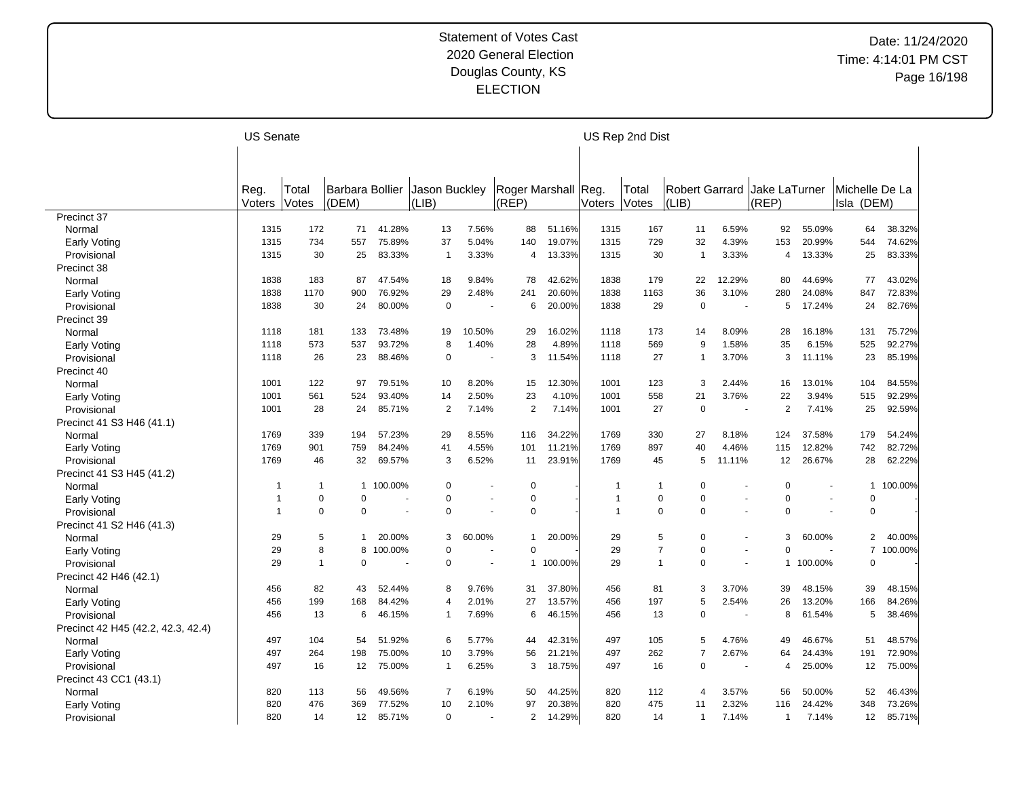|                                    | <b>US Senate</b> |              |                 |         |                |                |                     |         |                | US Rep 2nd Dist |                |                          |                |         |                |         |
|------------------------------------|------------------|--------------|-----------------|---------|----------------|----------------|---------------------|---------|----------------|-----------------|----------------|--------------------------|----------------|---------|----------------|---------|
|                                    |                  |              |                 |         |                |                |                     |         |                |                 |                |                          |                |         |                |         |
|                                    |                  |              |                 |         |                |                |                     |         |                |                 |                |                          |                |         |                |         |
|                                    | Reg.             | Total        | Barbara Bollier |         | Jason Buckley  |                | Roger Marshall Reg. |         |                | Total           | Robert Garrard |                          | Jake LaTurner  |         | Michelle De La |         |
|                                    | Voters           | Votes        | (DEM)           |         | (LIB)          |                | (REP)               |         | Voters         | Votes           | (LIB)          |                          | (REF)          |         | Isla (DEM)     |         |
| Precinct 37                        |                  |              |                 |         |                |                |                     |         |                |                 |                |                          |                |         |                |         |
| Normal                             | 1315             | 172          | 71              | 41.28%  | 13             | 7.56%          | 88                  | 51.16%  | 1315           | 167             | 11             | 6.59%                    | 92             | 55.09%  | 64             | 38.32%  |
| Early Voting                       | 1315             | 734          | 557             | 75.89%  | 37             | 5.04%          | 140                 | 19.07%  | 1315           | 729             | 32             | 4.39%                    | 153            | 20.99%  | 544            | 74.62%  |
| Provisional                        | 1315             | 30           | 25              | 83.33%  | $\mathbf{1}$   | 3.33%          | 4                   | 13.33%  | 1315           | 30              | $\overline{1}$ | 3.33%                    | 4              | 13.33%  | 25             | 83.33%  |
| Precinct 38                        |                  |              |                 |         |                |                |                     |         |                |                 |                |                          |                |         |                |         |
| Normal                             | 1838             | 183          | 87              | 47.54%  | 18             | 9.84%          | 78                  | 42.62%  | 1838           | 179             | 22             | 12.29%                   | 80             | 44.69%  | 77             | 43.02%  |
| Early Voting                       | 1838             | 1170         | 900             | 76.92%  | 29             | 2.48%          | 241                 | 20.60%  | 1838           | 1163            | 36             | 3.10%                    | 280            | 24.08%  | 847            | 72.83%  |
| Provisional                        | 1838             | 30           | 24              | 80.00%  | $\mathbf 0$    |                | 6                   | 20.00%  | 1838           | 29              | $\pmb{0}$      | $\sim$                   | 5              | 17.24%  | 24             | 82.76%  |
| Precinct 39                        |                  |              |                 |         |                |                |                     |         |                |                 |                |                          |                |         |                |         |
| Normal                             | 1118             | 181          | 133             | 73.48%  | 19             | 10.50%         | 29                  | 16.02%  | 1118           | 173             | 14             | 8.09%                    | 28             | 16.18%  | 131            | 75.72%  |
| Early Voting                       | 1118             | 573          | 537             | 93.72%  | 8              | 1.40%          | 28                  | 4.89%   | 1118           | 569             | 9              | 1.58%                    | 35             | 6.15%   | 525            | 92.27%  |
| Provisional                        | 1118             | 26           | 23              | 88.46%  | $\mathbf 0$    |                | 3                   | 11.54%  | 1118           | 27              | $\overline{1}$ | 3.70%                    | 3              | 11.11%  | 23             | 85.19%  |
| Precinct 40                        |                  |              |                 |         |                |                |                     |         |                |                 |                |                          |                |         |                |         |
| Normal                             | 1001             | 122          | 97              | 79.51%  | 10             | 8.20%          | 15                  | 12.30%  | 1001           | 123             | 3              | 2.44%                    | 16             | 13.01%  | 104            | 84.55%  |
| Early Voting                       | 1001             | 561          | 524             | 93.40%  | 14             | 2.50%          | 23                  | 4.10%   | 1001           | 558             | 21             | 3.76%                    | 22             | 3.94%   | 515            | 92.29%  |
| Provisional                        | 1001             | 28           | 24              | 85.71%  | 2              | 7.14%          | $\overline{2}$      | 7.14%   | 1001           | 27              | 0              | $\overline{\phantom{a}}$ | $\overline{2}$ | 7.41%   | 25             | 92.59%  |
| Precinct 41 S3 H46 (41.1)          |                  |              |                 |         |                |                |                     |         |                |                 |                |                          |                |         |                |         |
|                                    | 1769             | 339          | 194             | 57.23%  | 29             | 8.55%          | 116                 | 34.22%  | 1769           | 330             | 27             | 8.18%                    | 124            | 37.58%  | 179            | 54.24%  |
| Normal                             | 1769             | 901          | 759             | 84.24%  | 41             | 4.55%          | 101                 | 11.21%  | 1769           | 897             | 40             | 4.46%                    | 115            | 12.82%  | 742            | 82.72%  |
| Early Voting                       |                  |              |                 |         |                |                | 11                  |         |                |                 | 5              |                          |                |         |                |         |
| Provisional                        | 1769             | 46           | 32              | 69.57%  | 3              | 6.52%          |                     | 23.91%  | 1769           | 45              |                | 11.11%                   | 12             | 26.67%  | 28             | 62.22%  |
| Precinct 41 S3 H45 (41.2)          |                  |              |                 |         |                |                |                     |         |                |                 |                |                          |                |         |                |         |
| Normal                             | -1               | $\mathbf{1}$ | $\mathbf{1}$    | 100.00% | $\mathbf 0$    |                | $\mathbf 0$         |         | -1             | $\mathbf{1}$    | $\mathbf 0$    |                          | $\Omega$       |         | $\mathbf{1}$   | 100.00% |
| Early Voting                       | -1               | $\mathbf 0$  | $\mathbf 0$     |         | $\mathbf 0$    |                | $\Omega$            |         | $\overline{1}$ | $\pmb{0}$       | $\mathbf 0$    |                          | $\Omega$       |         | 0              |         |
| Provisional                        | $\overline{1}$   | $\mathbf 0$  | $\mathbf 0$     |         | $\mathbf 0$    |                | $\Omega$            |         | -1             | $\mathbf 0$     | $\mathbf 0$    |                          | $\Omega$       |         | $\mathbf 0$    |         |
| Precinct 41 S2 H46 (41.3)          |                  |              |                 |         |                |                |                     |         |                |                 |                |                          |                |         |                |         |
| Normal                             | 29               | 5            | $\mathbf{1}$    | 20.00%  | 3              | 60.00%         | 1                   | 20.00%  | 29             | 5               | $\mathbf 0$    | $\ddot{\phantom{1}}$     | 3              | 60.00%  | 2              | 40.00%  |
| Early Voting                       | 29               | 8            | 8               | 100.00% | $\mathbf 0$    |                | $\Omega$            |         | 29             | $\overline{7}$  | $\mathbf 0$    | $\ddot{\phantom{1}}$     | $\Omega$       |         | $\overline{7}$ | 100.00% |
| Provisional                        | 29               | $\mathbf{1}$ | $\mathbf 0$     |         | $\mathbf 0$    | $\overline{a}$ | $\mathbf{1}$        | 100.00% | 29             | $\mathbf{1}$    | $\mathbf 0$    | ÷.                       | $\mathbf{1}$   | 100.00% | $\mathbf 0$    |         |
| Precinct 42 H46 (42.1)             |                  |              |                 |         |                |                |                     |         |                |                 |                |                          |                |         |                |         |
| Normal                             | 456              | 82           | 43              | 52.44%  | 8              | 9.76%          | 31                  | 37.80%  | 456            | 81              | 3              | 3.70%                    | 39             | 48.15%  | 39             | 48.15%  |
| Early Voting                       | 456              | 199          | 168             | 84.42%  | $\overline{4}$ | 2.01%          | 27                  | 13.57%  | 456            | 197             | 5              | 2.54%                    | 26             | 13.20%  | 166            | 84.26%  |
| Provisional                        | 456              | 13           | 6               | 46.15%  | $\mathbf 1$    | 7.69%          | 6                   | 46.15%  | 456            | 13              | $\mathbf 0$    |                          | 8              | 61.54%  | 5              | 38.46%  |
| Precinct 42 H45 (42.2, 42.3, 42.4) |                  |              |                 |         |                |                |                     |         |                |                 |                |                          |                |         |                |         |
| Normal                             | 497              | 104          | 54              | 51.92%  | 6              | 5.77%          | 44                  | 42.31%  | 497            | 105             | 5              | 4.76%                    | 49             | 46.67%  | 51             | 48.57%  |
| Early Voting                       | 497              | 264          | 198             | 75.00%  | 10             | 3.79%          | 56                  | 21.21%  | 497            | 262             | $\overline{7}$ | 2.67%                    | 64             | 24.43%  | 191            | 72.90%  |
| Provisional                        | 497              | 16           | 12              | 75.00%  | $\mathbf 1$    | 6.25%          | 3                   | 18.75%  | 497            | 16              | $\mathbf 0$    | $\overline{\phantom{a}}$ | 4              | 25.00%  | 12             | 75.00%  |
| Precinct 43 CC1 (43.1)             |                  |              |                 |         |                |                |                     |         |                |                 |                |                          |                |         |                |         |
| Normal                             | 820              | 113          | 56              | 49.56%  | $\overline{7}$ | 6.19%          | 50                  | 44.25%  | 820            | 112             | 4              | 3.57%                    | 56             | 50.00%  | 52             | 46.43%  |
| Early Voting                       | 820              | 476          | 369             | 77.52%  | 10             | 2.10%          | 97                  | 20.38%  | 820            | 475             | 11             | 2.32%                    | 116            | 24.42%  | 348            | 73.26%  |
| Provisional                        | 820              | 14           | 12              | 85.71%  | $\Omega$       |                | 2                   | 14.29%  | 820            | 14              | $\mathbf 1$    | 7.14%                    | $\overline{1}$ | 7.14%   | 12             | 85.71%  |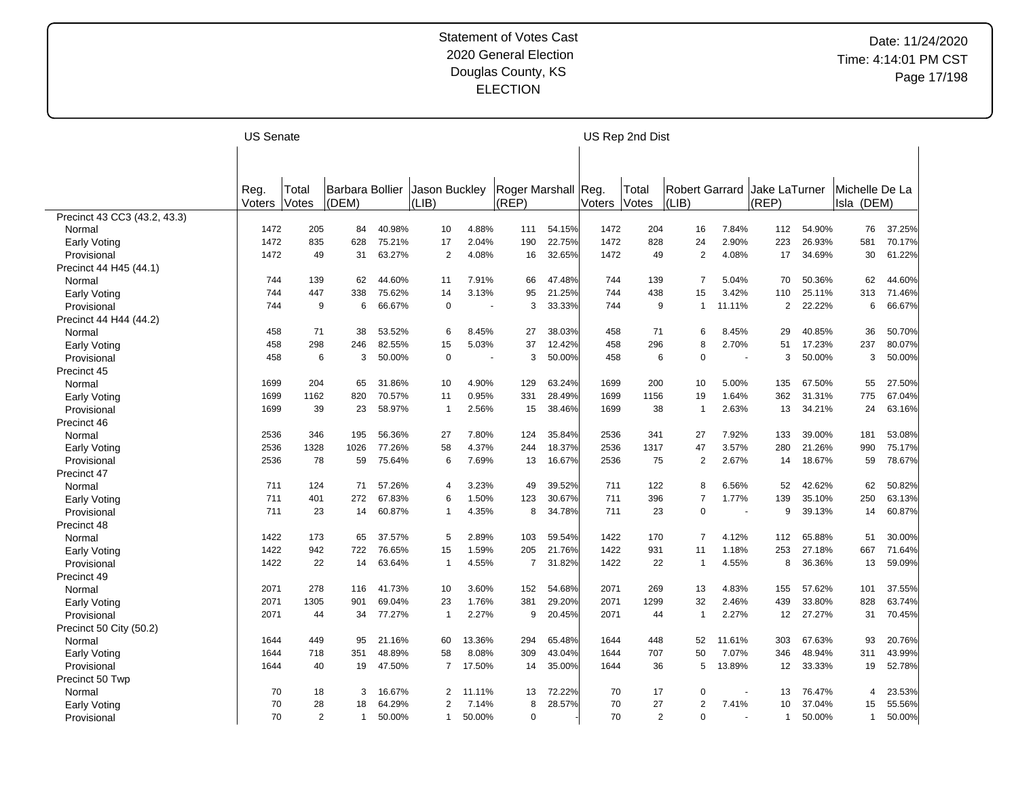|                              | <b>US Senate</b> |                |                 |        |                |        |                     |        |        | US Rep 2nd Dist |                       |                          |                |        |                |        |
|------------------------------|------------------|----------------|-----------------|--------|----------------|--------|---------------------|--------|--------|-----------------|-----------------------|--------------------------|----------------|--------|----------------|--------|
|                              |                  |                |                 |        |                |        |                     |        |        |                 |                       |                          |                |        |                |        |
|                              |                  |                |                 |        |                |        |                     |        |        |                 |                       |                          |                |        |                |        |
|                              | Reg.             | Total          | Barbara Bollier |        | Jason Buckley  |        | Roger Marshall Reg. |        |        | Total           | <b>Robert Garrard</b> |                          | Jake LaTurner  |        | Michelle De La |        |
|                              | Voters           | Votes          | (DEM)           |        | (LIB)          |        | (REP)               |        | Voters | Votes           | (LIB)                 |                          | (REP)          |        | Isla (DEM)     |        |
| Precinct 43 CC3 (43.2, 43.3) |                  |                |                 |        |                |        |                     |        |        |                 |                       |                          |                |        |                |        |
| Normal                       | 1472             | 205            | 84              | 40.98% | 10             | 4.88%  | 111                 | 54.15% | 1472   | 204             | 16                    | 7.84%                    | 112            | 54.90% | 76             | 37.25% |
| Early Voting                 | 1472             | 835            | 628             | 75.21% | 17             | 2.04%  | 190                 | 22.75% | 1472   | 828             | 24                    | 2.90%                    | 223            | 26.93% | 581            | 70.17% |
| Provisional                  | 1472             | 49             | 31              | 63.27% | $\overline{2}$ | 4.08%  | 16                  | 32.65% | 1472   | 49              | $\overline{2}$        | 4.08%                    | 17             | 34.69% | 30             | 61.22% |
| Precinct 44 H45 (44.1)       |                  |                |                 |        |                |        |                     |        |        |                 |                       |                          |                |        |                |        |
| Normal                       | 744              | 139            | 62              | 44.60% | 11             | 7.91%  | 66                  | 47.48% | 744    | 139             | $\overline{7}$        | 5.04%                    | 70             | 50.36% | 62             | 44.60% |
| Early Voting                 | 744              | 447            | 338             | 75.62% | 14             | 3.13%  | 95                  | 21.25% | 744    | 438             | 15                    | 3.42%                    | 110            | 25.11% | 313            | 71.46% |
| Provisional                  | 744              | 9              | 6               | 66.67% | $\pmb{0}$      |        | 3                   | 33.33% | 744    | 9               | 1                     | 11.11%                   | $\overline{2}$ | 22.22% | 6              | 66.67% |
| Precinct 44 H44 (44.2)       |                  |                |                 |        |                |        |                     |        |        |                 |                       |                          |                |        |                |        |
| Normal                       | 458              | 71             | 38              | 53.52% | 6              | 8.45%  | 27                  | 38.03% | 458    | 71              | 6                     | 8.45%                    | 29             | 40.85% | 36             | 50.70% |
| Early Voting                 | 458              | 298            | 246             | 82.55% | 15             | 5.03%  | 37                  | 12.42% | 458    | 296             | 8                     | 2.70%                    | 51             | 17.23% | 237            | 80.07% |
| Provisional                  | 458              | 6              | 3               | 50.00% | $\Omega$       |        | 3                   | 50.00% | 458    | 6               | 0                     | $\overline{\phantom{a}}$ | 3              | 50.00% | 3              | 50.00% |
| Precinct 45                  |                  |                |                 |        |                |        |                     |        |        |                 |                       |                          |                |        |                |        |
| Normal                       | 1699             | 204            | 65              | 31.86% | 10             | 4.90%  | 129                 | 63.24% | 1699   | 200             | 10                    | 5.00%                    | 135            | 67.50% | 55             | 27.50% |
| <b>Early Voting</b>          | 1699             | 1162           | 820             | 70.57% | 11             | 0.95%  | 331                 | 28.49% | 1699   | 1156            | 19                    | 1.64%                    | 362            | 31.31% | 775            | 67.04% |
| Provisional                  | 1699             | 39             | 23              | 58.97% | $\mathbf{1}$   | 2.56%  | 15                  | 38.46% | 1699   | 38              | $\overline{1}$        | 2.63%                    | 13             | 34.21% | 24             | 63.16% |
| Precinct 46                  |                  |                |                 |        |                |        |                     |        |        |                 |                       |                          |                |        |                |        |
| Normal                       | 2536             | 346            | 195             | 56.36% | 27             | 7.80%  | 124                 | 35.84% | 2536   | 341             | 27                    | 7.92%                    | 133            | 39.00% | 181            | 53.08% |
| Early Voting                 | 2536             | 1328           | 1026            | 77.26% | 58             | 4.37%  | 244                 | 18.37% | 2536   | 1317            | 47                    | 3.57%                    | 280            | 21.26% | 990            | 75.17% |
| Provisional                  | 2536             | 78             | 59              | 75.64% | 6              | 7.69%  | 13                  | 16.67% | 2536   | 75              | 2                     | 2.67%                    | 14             | 18.67% | 59             | 78.67% |
| Precinct 47                  |                  |                |                 |        |                |        |                     |        |        |                 |                       |                          |                |        |                |        |
| Normal                       | 711              | 124            | 71              | 57.26% | 4              | 3.23%  | 49                  | 39.52% | 711    | 122             | 8                     | 6.56%                    | 52             | 42.62% | 62             | 50.82% |
| Early Voting                 | 711              | 401            | 272             | 67.83% | 6              | 1.50%  | 123                 | 30.67% | 711    | 396             | 7                     | 1.77%                    | 139            | 35.10% | 250            | 63.13% |
| Provisional                  | 711              | 23             | 14              | 60.87% | $\mathbf 1$    | 4.35%  | 8                   | 34.78% | 711    | 23              | 0                     | $\overline{\phantom{a}}$ | 9              | 39.13% | 14             | 60.87% |
| Precinct 48                  |                  |                |                 |        |                |        |                     |        |        |                 |                       |                          |                |        |                |        |
| Normal                       | 1422             | 173            | 65              | 37.57% | 5              | 2.89%  | 103                 | 59.54% | 1422   | 170             | $\overline{7}$        | 4.12%                    | 112            | 65.88% | 51             | 30.00% |
| Early Voting                 | 1422             | 942            | 722             | 76.65% | 15             | 1.59%  | 205                 | 21.76% | 1422   | 931             | 11                    | 1.18%                    | 253            | 27.18% | 667            | 71.64% |
| Provisional                  | 1422             | 22             | 14              | 63.64% | $\mathbf{1}$   | 4.55%  | 7                   | 31.82% | 1422   | 22              | -1                    | 4.55%                    | 8              | 36.36% | 13             | 59.09% |
| Precinct 49                  |                  |                |                 |        |                |        |                     |        |        |                 |                       |                          |                |        |                |        |
| Normal                       | 2071             | 278            | 116             | 41.73% | 10             | 3.60%  | 152                 | 54.68% | 2071   | 269             | 13                    | 4.83%                    | 155            | 57.62% | 101            | 37.55% |
| Early Voting                 | 2071             | 1305           | 901             | 69.04% | 23             | 1.76%  | 381                 | 29.20% | 2071   | 1299            | 32                    | 2.46%                    | 439            | 33.80% | 828            | 63.74% |
| Provisional                  | 2071             | 44             | 34              | 77.27% | $\mathbf{1}$   | 2.27%  | 9                   | 20.45% | 2071   | 44              | -1                    | 2.27%                    | 12             | 27.27% | 31             | 70.45% |
| Precinct 50 City (50.2)      |                  |                |                 |        |                |        |                     |        |        |                 |                       |                          |                |        |                |        |
| Normal                       | 1644             | 449            | 95              | 21.16% | 60             | 13.36% | 294                 | 65.48% | 1644   | 448             | 52                    | 11.61%                   | 303            | 67.63% | 93             | 20.76% |
| Early Voting                 | 1644             | 718            | 351             | 48.89% | 58             | 8.08%  | 309                 | 43.04% | 1644   | 707             | 50                    | 7.07%                    | 346            | 48.94% | 311            | 43.99% |
| Provisional                  | 1644             | 40             | 19              | 47.50% | $\overline{7}$ | 17.50% | 14                  | 35.00% | 1644   | 36              | 5                     | 13.89%                   | 12             | 33.33% | 19             | 52.78% |
| Precinct 50 Twp              |                  |                |                 |        |                |        |                     |        |        |                 |                       |                          |                |        |                |        |
| Normal                       | 70               | 18             | 3               | 16.67% | 2              | 11.11% | 13                  | 72.22% | 70     | 17              | 0                     | $\sim$                   | 13             | 76.47% | $\overline{4}$ | 23.53% |
|                              | 70               | 28             | 18              | 64.29% | $\overline{2}$ | 7.14%  | 8                   | 28.57% | 70     | 27              | $\overline{2}$        | 7.41%                    | 10             | 37.04% | 15             | 55.56% |
| Early Voting                 | 70               | $\overline{2}$ | $\mathbf{1}$    | 50.00% |                | 50.00% | $\overline{0}$      |        | 70     | 2               | 0                     |                          | $\mathbf{1}$   | 50.00% | $\mathbf{1}$   | 50.00% |
| Provisional                  |                  |                |                 |        | 1              |        |                     |        |        |                 |                       |                          |                |        |                |        |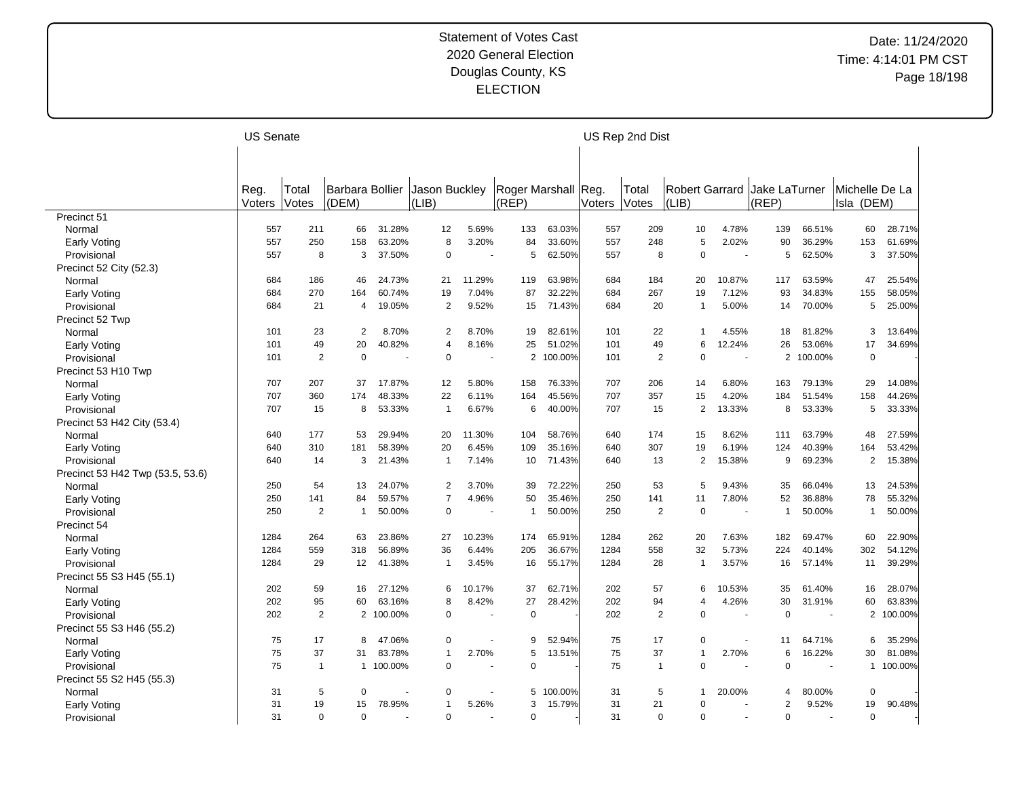|                                  | <b>US Senate</b> |                |                 |           |                |        |                     |         |        | US Rep 2nd Dist |                |                      |                |         |                |         |
|----------------------------------|------------------|----------------|-----------------|-----------|----------------|--------|---------------------|---------|--------|-----------------|----------------|----------------------|----------------|---------|----------------|---------|
|                                  |                  |                |                 |           |                |        |                     |         |        |                 |                |                      |                |         |                |         |
|                                  |                  |                |                 |           |                |        |                     |         |        |                 |                |                      |                |         |                |         |
|                                  | Reg.             | Total          | Barbara Bollier |           | Jason Buckley  |        | Roger Marshall Reg. |         |        | Total           | Robert Garrard |                      | Jake LaTurner  |         | Michelle De La |         |
|                                  | Voters           | Votes          | (DEM)           |           | (LIB)          |        | (REP)               |         | Voters | Votes           | (LIB)          |                      | (REF)          |         | Isla (DEM)     |         |
| Precinct 51                      |                  |                |                 |           |                |        |                     |         |        |                 |                |                      |                |         |                |         |
| Normal                           | 557              | 211            | 66              | 31.28%    | 12             | 5.69%  | 133                 | 63.03%  | 557    | 209             | 10             | 4.78%                | 139            | 66.51%  | 60             | 28.71%  |
| Early Voting                     | 557              | 250            | 158             | 63.20%    | 8              | 3.20%  | 84                  | 33.60%  | 557    | 248             | 5              | 2.02%                | 90             | 36.29%  | 153            | 61.69%  |
| Provisional                      | 557              | 8              | 3               | 37.50%    | $\mathbf 0$    |        | 5                   | 62.50%  | 557    | 8               | $\pmb{0}$      |                      | 5              | 62.50%  | 3              | 37.50%  |
| Precinct 52 City (52.3)          |                  |                |                 |           |                |        |                     |         |        |                 |                |                      |                |         |                |         |
| Normal                           | 684              | 186            | 46              | 24.73%    | 21             | 11.29% | 119                 | 63.98%  | 684    | 184             | 20             | 10.87%               | 117            | 63.59%  | 47             | 25.54%  |
| Early Voting                     | 684              | 270            | 164             | 60.74%    | 19             | 7.04%  | 87                  | 32.22%  | 684    | 267             | 19             | 7.12%                | 93             | 34.83%  | 155            | 58.05%  |
| Provisional                      | 684              | 21             | 4               | 19.05%    | 2              | 9.52%  | 15                  | 71.43%  | 684    | 20              | -1             | 5.00%                | 14             | 70.00%  | 5              | 25.00%  |
| Precinct 52 Twp                  |                  |                |                 |           |                |        |                     |         |        |                 |                |                      |                |         |                |         |
| Normal                           | 101              | 23             | $\overline{2}$  | 8.70%     | 2              | 8.70%  | 19                  | 82.61%  | 101    | 22              | 1              | 4.55%                | 18             | 81.82%  | 3              | 13.64%  |
| Early Voting                     | 101              | 49             | 20              | 40.82%    | $\overline{4}$ | 8.16%  | 25                  | 51.02%  | 101    | 49              | 6              | 12.24%               | 26             | 53.06%  | 17             | 34.69%  |
| Provisional                      | 101              | $\overline{2}$ | $\mathbf 0$     |           | $\mathbf 0$    |        | 2                   | 100.00% | 101    | 2               | $\mathbf 0$    | ÷.                   | $\overline{2}$ | 100.00% | $\mathbf 0$    |         |
| Precinct 53 H10 Twp              |                  |                |                 |           |                |        |                     |         |        |                 |                |                      |                |         |                |         |
| Normal                           | 707              | 207            | 37              | 17.87%    | 12             | 5.80%  | 158                 | 76.33%  | 707    | 206             | 14             | 6.80%                | 163            | 79.13%  | 29             | 14.08%  |
|                                  | 707              | 360            | 174             | 48.33%    | 22             | 6.11%  | 164                 | 45.56%  | 707    | 357             | 15             | 4.20%                | 184            | 51.54%  | 158            | 44.26%  |
| Early Voting                     | 707              | 15             | 8               | 53.33%    | $\mathbf 1$    | 6.67%  | 6                   | 40.00%  | 707    | 15              | 2              | 13.33%               | 8              | 53.33%  | 5              | 33.33%  |
| Provisional                      |                  |                |                 |           |                |        |                     |         |        |                 |                |                      |                |         |                |         |
| Precinct 53 H42 City (53.4)      | 640              | 177            |                 | 29.94%    | 20             | 11.30% | 104                 | 58.76%  | 640    | 174             |                | 8.62%                |                | 63.79%  |                | 27.59%  |
| Normal                           |                  |                | 53              |           |                |        |                     |         |        |                 | 15             |                      | 111            |         | 48             |         |
| Early Voting                     | 640              | 310            | 181             | 58.39%    | 20             | 6.45%  | 109                 | 35.16%  | 640    | 307             | 19             | 6.19%                | 124            | 40.39%  | 164            | 53.42%  |
| Provisional                      | 640              | 14             | 3               | 21.43%    | $\mathbf 1$    | 7.14%  | 10                  | 71.43%  | 640    | 13              | 2              | 15.38%               | 9              | 69.23%  | 2              | 15.38%  |
| Precinct 53 H42 Twp (53.5, 53.6) |                  |                |                 |           |                |        |                     |         |        |                 |                |                      |                |         |                |         |
| Normal                           | 250              | 54             | 13              | 24.07%    | $\overline{2}$ | 3.70%  | 39                  | 72.22%  | 250    | 53              | 5              | 9.43%                | 35             | 66.04%  | 13             | 24.53%  |
| Early Voting                     | 250              | 141            | 84              | 59.57%    | $\overline{7}$ | 4.96%  | 50                  | 35.46%  | 250    | 141             | 11             | 7.80%                | 52             | 36.88%  | 78             | 55.32%  |
| Provisional                      | 250              | $\overline{2}$ | $\mathbf{1}$    | 50.00%    | 0              |        | $\mathbf 1$         | 50.00%  | 250    | $\overline{2}$  | 0              |                      | $\overline{1}$ | 50.00%  | $\mathbf{1}$   | 50.00%  |
| Precinct 54                      |                  |                |                 |           |                |        |                     |         |        |                 |                |                      |                |         |                |         |
| Normal                           | 1284             | 264            | 63              | 23.86%    | 27             | 10.23% | 174                 | 65.91%  | 1284   | 262             | 20             | 7.63%                | 182            | 69.47%  | 60             | 22.90%  |
| Early Voting                     | 1284             | 559            | 318             | 56.89%    | 36             | 6.44%  | 205                 | 36.67%  | 1284   | 558             | 32             | 5.73%                | 224            | 40.14%  | 302            | 54.12%  |
| Provisional                      | 1284             | 29             | 12              | 41.38%    | $\mathbf 1$    | 3.45%  | 16                  | 55.17%  | 1284   | 28              | $\overline{1}$ | 3.57%                | 16             | 57.14%  | 11             | 39.29%  |
| Precinct 55 S3 H45 (55.1)        |                  |                |                 |           |                |        |                     |         |        |                 |                |                      |                |         |                |         |
| Normal                           | 202              | 59             | 16              | 27.12%    | 6              | 10.17% | 37                  | 62.71%  | 202    | 57              | 6              | 10.53%               | 35             | 61.40%  | 16             | 28.07%  |
| Early Voting                     | 202              | 95             | 60              | 63.16%    | 8              | 8.42%  | 27                  | 28.42%  | 202    | 94              | 4              | 4.26%                | 30             | 31.91%  | 60             | 63.83%  |
| Provisional                      | 202              | $\overline{2}$ |                 | 2 100.00% | 0              |        | $\mathbf 0$         |         | 202    | 2               | $\mathbf 0$    |                      | 0              |         | $\overline{2}$ | 100.00% |
| Precinct 55 S3 H46 (55.2)        |                  |                |                 |           |                |        |                     |         |        |                 |                |                      |                |         |                |         |
| Normal                           | 75               | 17             | 8               | 47.06%    | $\mathbf 0$    |        | 9                   | 52.94%  | 75     | 17              | $\Omega$       |                      | 11             | 64.71%  | 6              | 35.29%  |
| Early Voting                     | 75               | 37             | 31              | 83.78%    | $\mathbf{1}$   | 2.70%  | 5                   | 13.51%  | 75     | 37              | 1              | 2.70%                | 6              | 16.22%  | 30             | 81.08%  |
| Provisional                      | 75               | $\mathbf{1}$   |                 | 1 100.00% | $\mathbf 0$    |        | $\mathbf 0$         |         | 75     | $\mathbf{1}$    | $\mathbf 0$    | $\ddot{\phantom{1}}$ | 0              |         | $\mathbf{1}$   | 100.00% |
| Precinct 55 S2 H45 (55.3)        |                  |                |                 |           |                |        |                     |         |        |                 |                |                      |                |         |                |         |
| Normal                           | 31               | 5              | $\mathbf 0$     |           | 0              |        | 5                   | 100.00% | 31     | 5               | 1              | 20.00%               | $\overline{4}$ | 80.00%  | 0              |         |
| Early Voting                     | 31               | 19             | 15              | 78.95%    | $\mathbf 1$    | 5.26%  | 3                   | 15.79%  | 31     | 21              | $\mathbf 0$    |                      | $\overline{2}$ | 9.52%   | 19             | 90.48%  |
| Provisional                      | 31               | $\Omega$       | $\Omega$        |           | $\Omega$       |        | $\Omega$            |         | 31     | $\Omega$        | $\Omega$       |                      | 0              |         | $\mathbf 0$    |         |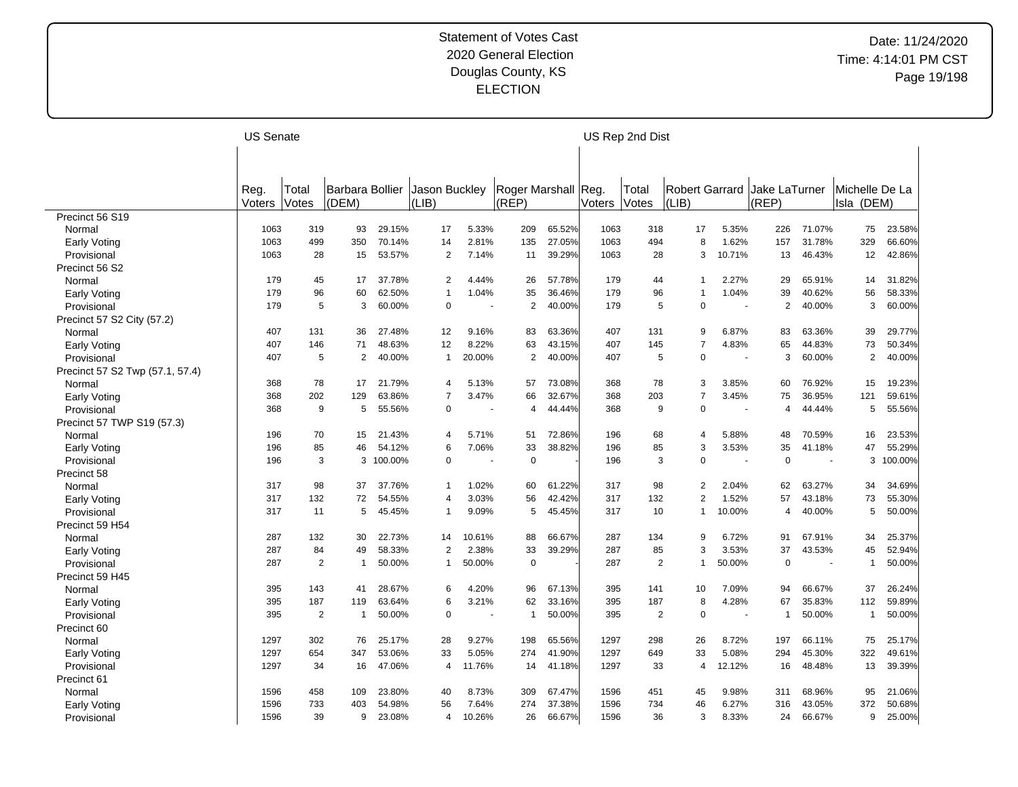|                                 | <b>US Senate</b> |                |                 |         |                |        |                     |        |        | US Rep 2nd Dist |                       |                          |                |                          |                |         |
|---------------------------------|------------------|----------------|-----------------|---------|----------------|--------|---------------------|--------|--------|-----------------|-----------------------|--------------------------|----------------|--------------------------|----------------|---------|
|                                 |                  |                |                 |         |                |        |                     |        |        |                 |                       |                          |                |                          |                |         |
|                                 |                  |                |                 |         |                |        |                     |        |        |                 |                       |                          |                |                          |                |         |
|                                 | Reg.             | Total          | Barbara Bollier |         | Jason Buckley  |        | Roger Marshall Reg. |        |        | Total           | <b>Robert Garrard</b> |                          | Jake LaTurner  |                          | Michelle De La |         |
|                                 | Voters           | Votes          | (DEM)           |         | (LIB)          |        | (REP)               |        | Voters | Votes           | (LIB)                 |                          | (REP)          |                          | Isla (DEM)     |         |
| Precinct 56 S19<br>Normal       | 1063             | 319            | 93              | 29.15%  | 17             | 5.33%  | 209                 | 65.52% | 1063   | 318             | 17                    | 5.35%                    | 226            | 71.07%                   | 75             | 23.58%  |
|                                 | 1063             | 499            | 350             | 70.14%  | 14             | 2.81%  | 135                 | 27.05% | 1063   | 494             | 8                     | 1.62%                    | 157            | 31.78%                   | 329            | 66.60%  |
| Early Voting                    | 1063             | 28             | 15              | 53.57%  | 2              | 7.14%  | 11                  | 39.29% | 1063   | 28              | 3                     | 10.71%                   | 13             | 46.43%                   | 12             | 42.86%  |
| Provisional                     |                  |                |                 |         |                |        |                     |        |        |                 |                       |                          |                |                          |                |         |
| Precinct 56 S2                  |                  |                |                 |         |                |        |                     |        |        |                 |                       |                          |                |                          |                |         |
| Normal                          | 179              | 45             | 17              | 37.78%  | $\overline{2}$ | 4.44%  | 26                  | 57.78% | 179    | 44              | 1                     | 2.27%                    | 29             | 65.91%                   | 14             | 31.82%  |
| Early Voting                    | 179              | 96             | 60              | 62.50%  | $\mathbf{1}$   | 1.04%  | 35                  | 36.46% | 179    | 96              | 1                     | 1.04%                    | 39             | 40.62%                   | 56             | 58.33%  |
| Provisional                     | 179              | 5              | 3               | 60.00%  | $\mathbf 0$    |        | $\overline{2}$      | 40.00% | 179    | 5               | 0                     | $\sim$                   | 2              | 40.00%                   | 3              | 60.00%  |
| Precinct 57 S2 City (57.2)      |                  |                |                 |         |                |        |                     |        |        |                 |                       |                          |                |                          |                |         |
| Normal                          | 407              | 131            | 36              | 27.48%  | 12             | 9.16%  | 83                  | 63.36% | 407    | 131             | 9                     | 6.87%                    | 83             | 63.36%                   | 39             | 29.77%  |
| Early Voting                    | 407              | 146            | 71              | 48.63%  | 12             | 8.22%  | 63                  | 43.15% | 407    | 145             | $\overline{7}$        | 4.83%                    | 65             | 44.83%                   | 73             | 50.34%  |
| Provisional                     | 407              | 5              | 2               | 40.00%  | 1              | 20.00% | $\overline{2}$      | 40.00% | 407    | 5               | $\Omega$              | $\sim$                   | 3              | 60.00%                   | 2              | 40.00%  |
| Precinct 57 S2 Twp (57.1, 57.4) |                  |                |                 |         |                |        |                     |        |        |                 |                       |                          |                |                          |                |         |
| Normal                          | 368              | 78             | 17              | 21.79%  | 4              | 5.13%  | 57                  | 73.08% | 368    | 78              | 3                     | 3.85%                    | 60             | 76.92%                   | 15             | 19.23%  |
| Early Voting                    | 368              | 202            | 129             | 63.86%  | $\overline{7}$ | 3.47%  | 66                  | 32.67% | 368    | 203             | $\overline{7}$        | 3.45%                    | 75             | 36.95%                   | 121            | 59.61%  |
| Provisional                     | 368              | 9              | 5               | 55.56%  | $\Omega$       |        | 4                   | 44.44% | 368    | 9               | 0                     | $\overline{a}$           | $\overline{4}$ | 44.44%                   | 5              | 55.56%  |
| Precinct 57 TWP S19 (57.3)      |                  |                |                 |         |                |        |                     |        |        |                 |                       |                          |                |                          |                |         |
| Normal                          | 196              | 70             | 15              | 21.43%  | 4              | 5.71%  | 51                  | 72.86% | 196    | 68              | 4                     | 5.88%                    | 48             | 70.59%                   | 16             | 23.53%  |
| Early Voting                    | 196              | 85             | 46              | 54.12%  | 6              | 7.06%  | 33                  | 38.82% | 196    | 85              | 3                     | 3.53%                    | 35             | 41.18%                   | 47             | 55.29%  |
| Provisional                     | 196              | 3              | 3               | 100.00% | $\mathbf 0$    |        | $\mathbf 0$         |        | 196    | 3               | 0                     |                          | $\Omega$       |                          | 3              | 100.00% |
| Precinct 58                     |                  |                |                 |         |                |        |                     |        |        |                 |                       |                          |                |                          |                |         |
| Normal                          | 317              | 98             | 37              | 37.76%  | $\mathbf{1}$   | 1.02%  | 60                  | 61.22% | 317    | 98              | 2                     | 2.04%                    | 62             | 63.27%                   | 34             | 34.69%  |
| Early Voting                    | 317              | 132            | 72              | 54.55%  | 4              | 3.03%  | 56                  | 42.42% | 317    | 132             | $\overline{2}$        | 1.52%                    | 57             | 43.18%                   | 73             | 55.30%  |
| Provisional                     | 317              | 11             | 5               | 45.45%  | $\mathbf 1$    | 9.09%  | 5                   | 45.45% | 317    | 10              | 1                     | 10.00%                   | $\overline{4}$ | 40.00%                   | 5              | 50.00%  |
| Precinct 59 H54                 |                  |                |                 |         |                |        |                     |        |        |                 |                       |                          |                |                          |                |         |
| Normal                          | 287              | 132            | 30              | 22.73%  | 14             | 10.61% | 88                  | 66.67% | 287    | 134             | 9                     | 6.72%                    | 91             | 67.91%                   | 34             | 25.37%  |
|                                 | 287              | 84             | 49              | 58.33%  | 2              | 2.38%  | 33                  | 39.29% | 287    | 85              | 3                     | 3.53%                    | 37             | 43.53%                   | 45             | 52.94%  |
| Early Voting<br>Provisional     | 287              | 2              | $\mathbf{1}$    | 50.00%  | 1              | 50.00% | $\mathbf 0$         |        | 287    | 2               | 1                     | 50.00%                   | $\Omega$       | $\overline{\phantom{a}}$ | $\mathbf{1}$   | 50.00%  |
| Precinct 59 H45                 |                  |                |                 |         |                |        |                     |        |        |                 |                       |                          |                |                          |                |         |
|                                 | 395              | 143            | 41              | 28.67%  | 6              | 4.20%  | 96                  | 67.13% | 395    | 141             |                       | 7.09%                    | 94             | 66.67%                   | 37             | 26.24%  |
| Normal                          |                  |                |                 |         |                |        |                     |        |        |                 | 10<br>8               |                          |                |                          |                |         |
| Early Voting                    | 395              | 187            | 119             | 63.64%  | 6              | 3.21%  | 62                  | 33.16% | 395    | 187             |                       | 4.28%                    | 67             | 35.83%                   | 112            | 59.89%  |
| Provisional                     | 395              | $\overline{2}$ | $\mathbf{1}$    | 50.00%  | $\Omega$       |        | $\mathbf{1}$        | 50.00% | 395    | $\overline{2}$  | 0                     | $\overline{\phantom{a}}$ | $\overline{1}$ | 50.00%                   | $\mathbf{1}$   | 50.00%  |
| Precinct 60                     |                  |                |                 |         |                |        |                     |        |        |                 |                       |                          |                |                          |                |         |
| Normal                          | 1297             | 302            | 76              | 25.17%  | 28             | 9.27%  | 198                 | 65.56% | 1297   | 298             | 26                    | 8.72%                    | 197            | 66.11%                   | 75             | 25.17%  |
| Early Voting                    | 1297             | 654            | 347             | 53.06%  | 33             | 5.05%  | 274                 | 41.90% | 1297   | 649             | 33                    | 5.08%                    | 294            | 45.30%                   | 322            | 49.61%  |
| Provisional                     | 1297             | 34             | 16              | 47.06%  | 4              | 11.76% | 14                  | 41.18% | 1297   | 33              | 4                     | 12.12%                   | 16             | 48.48%                   | 13             | 39.39%  |
| Precinct 61                     |                  |                |                 |         |                |        |                     |        |        |                 |                       |                          |                |                          |                |         |
| Normal                          | 1596             | 458            | 109             | 23.80%  | 40             | 8.73%  | 309                 | 67.47% | 1596   | 451             | 45                    | 9.98%                    | 311            | 68.96%                   | 95             | 21.06%  |
| Early Voting                    | 1596             | 733            | 403             | 54.98%  | 56             | 7.64%  | 274                 | 37.38% | 1596   | 734             | 46                    | 6.27%                    | 316            | 43.05%                   | 372            | 50.68%  |
| Provisional                     | 1596             | 39             | 9               | 23.08%  | 4              | 10.26% | 26                  | 66.67% | 1596   | 36              | 3                     | 8.33%                    | 24             | 66.67%                   | 9              | 25.00%  |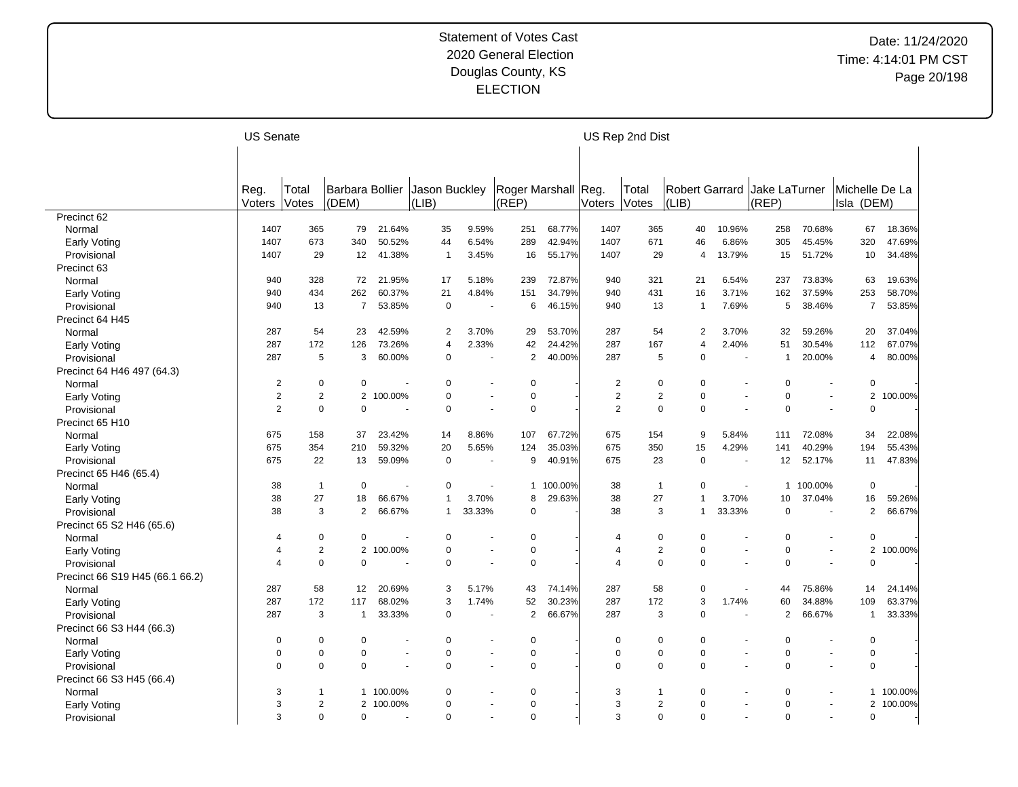| Roger Marshall Reg.<br><b>Robert Garrard</b><br>Barbara Bollier<br>Jason Buckley<br>Total<br>Jake LaTurner<br>Michelle De La<br>Reg.<br>Total<br>(LIB)<br>(REP)<br>$ LIB\rangle$<br>(REP)<br>(DEM)<br>Votes<br>Isla (DEM)<br>Voters<br>Votes<br>Voters<br>Precinct 62<br>1407<br>365<br>79<br>21.64%<br>35<br>9.59%<br>251<br>68.77%<br>1407<br>365<br>258<br>70.68%<br>67<br>18.36%<br>Normal<br>40<br>10.96%<br>340<br>50.52%<br>44<br>6.54%<br>289<br>42.94%<br>1407<br>671<br>46<br>305<br>45.45%<br>320<br>47.69%<br>1407<br>673<br>6.86%<br>Early Voting<br>1407<br>29<br>12<br>41.38%<br>3.45%<br>16<br>55.17%<br>1407<br>29<br>13.79%<br>51.72%<br>10<br>34.48%<br>Provisional<br>$\mathbf{1}$<br>15<br>4<br>Precinct 63<br>328<br>5.18%<br>72.87%<br>321<br>6.54%<br>73.83%<br>19.63%<br>940<br>72<br>21.95%<br>17<br>239<br>940<br>21<br>237<br>63<br>Normal<br>262<br>60.37%<br>21<br>34.79%<br>431<br>37.59%<br>253<br>58.70%<br>434<br>4.84%<br>151<br>940<br>16<br>3.71%<br>162<br>940<br>Early Voting<br>13<br>$\overline{7}$<br>53.85%<br>$\mathbf 0$<br>46.15%<br>940<br>13<br>7.69%<br>5<br>38.46%<br>$\overline{7}$<br>53.85%<br>Provisional<br>940<br>6<br>$\overline{1}$<br>$\overline{\phantom{a}}$<br>Precinct 64 H45<br>54<br>54<br>37.04%<br>287<br>23<br>42.59%<br>2<br>3.70%<br>29<br>53.70%<br>287<br>2<br>3.70%<br>32<br>59.26%<br>20<br>Normal<br>287<br>2.33%<br>42<br>24.42%<br>287<br>2.40%<br>67.07%<br>172<br>126<br>73.26%<br>$\overline{4}$<br>167<br>$\overline{\mathbf{4}}$<br>51<br>30.54%<br>112<br>Early Voting<br>287<br>$\overline{2}$<br>40.00%<br>287<br>5<br>3<br>60.00%<br>$\pmb{0}$<br>5<br>$\Omega$<br>$\mathbf{1}$<br>20.00%<br>80.00%<br>4<br>Provisional<br>Precinct 64 H46 497 (64.3)<br>$\overline{2}$<br>0<br>$\mathbf 0$<br>$\mathbf 0$<br>$\mathbf 0$<br>$\overline{c}$<br>$\mathbf 0$<br>$\mathbf 0$<br>Normal<br>0<br>$\Omega$<br>$\overline{2}$<br>$\overline{c}$<br>100.00%<br>$\mathbf 0$<br>$\pmb{0}$<br>$\overline{c}$<br>$\overline{2}$<br>0<br>2<br>$\overline{2}$<br>$\Omega$<br>100.00%<br><b>Early Voting</b><br>2<br>$\mathbf 0$<br>$\mathbf 0$<br>$\mathbf 0$<br>$\overline{2}$<br>0<br>$\mathbf 0$<br>$\mathbf 0$<br>$\mathbf 0$<br>$\mathbf 0$<br>Provisional<br>÷.<br>$\overline{a}$<br>Precinct 65 H10<br>158<br>23.42%<br>8.86%<br>107<br>67.72%<br>675<br>154<br>9<br>5.84%<br>72.08%<br>34<br>22.08%<br>675<br>37<br>14<br>111<br>Normal<br>354<br>59.32%<br>20<br>35.03%<br>675<br>350<br>4.29%<br>40.29%<br>194<br>55.43%<br>675<br>210<br>5.65%<br>124<br>15<br>141<br>Early Voting<br>47.83%<br>Provisional<br>22<br>13<br>59.09%<br>$\mathbf 0$<br>9<br>40.91%<br>675<br>23<br>0<br>12<br>52.17%<br>11<br>675<br>$\sim$<br>Precinct 65 H46 (65.4)<br>$\mathbf 0$<br>$\pmb{0}$<br>100.00%<br>38<br>100.00%<br>$\mathbf 0$<br>38<br>$\mathbf{1}$<br>$\mathbf{1}$<br>$\overline{1}$<br>0<br>$\mathbf{1}$<br>Normal<br>$\sim$<br>38<br>27<br>66.67%<br>3.70%<br>8<br>29.63%<br>38<br>27<br>3.70%<br>16<br>59.26%<br>18<br>1<br>1<br>10<br>37.04%<br>Early Voting<br>38<br>3<br>$\overline{2}$<br>66.67%<br>33.33%<br>$\mathbf 0$<br>38<br>3<br>33.33%<br>$\mathbf 0$<br>2<br>66.67%<br>Provisional<br>$\mathbf{1}$<br>1<br>Precinct 65 S2 H46 (65.6)<br>$\pmb{0}$<br>$\mathbf 0$<br>$\mathbf 0$<br>$\mathbf 0$<br>$\mathbf 0$<br>$\mathbf 0$<br>0<br>$\mathbf 0$<br>Normal<br>$\overline{4}$<br>$\overline{4}$<br>$\mathbf 2$<br>$\overline{2}$<br>$\pmb{0}$<br>$\sqrt{2}$<br>0<br>$\mathbf 0$<br>$\overline{2}$<br>100.00%<br>100.00%<br>$\pmb{0}$<br>$\overline{4}$<br>4<br>Early Voting<br>$\mathbf 0$<br>$\mathbf 0$<br>$\mathbf 0$<br>$\mathbf 0$<br>0<br>$\Omega$<br>$\mathbf 0$<br>$\mathbf 0$<br>Provisional<br>$\overline{4}$<br>$\overline{4}$<br>$\sim$<br>÷.<br>Precinct 66 S19 H45 (66.1 66.2)<br>58<br>58<br>287<br>12<br>20.69%<br>3<br>5.17%<br>43<br>74.14%<br>287<br>0<br>44<br>75.86%<br>14<br>24.14%<br>Normal<br>$\blacksquare$<br>287<br>172<br>68.02%<br>1.74%<br>52<br>30.23%<br>287<br>172<br>3<br>1.74%<br>34.88%<br>109<br>63.37%<br>117<br>3<br>60<br>Early Voting<br>3<br>$\overline{2}$<br>66.67%<br>287<br>0<br>$\overline{2}$<br>33.33%<br>Provisional<br>287<br>$\mathbf{1}$<br>33.33%<br>$\mathbf 0$<br>3<br>66.67%<br>$\mathbf{1}$<br>Precinct 66 S3 H44 (66.3)<br>$\mathbf 0$<br>$\mathbf 0$<br>$\mathbf 0$<br>$\mathbf 0$<br>0<br>$\Omega$<br>$\mathbf 0$<br>0<br>$\Omega$<br>Normal<br>$\Omega$<br>0<br>$\mathbf 0$<br>$\mathbf 0$<br>$\mathbf 0$<br>$\mathbf 0$<br>0<br>$\mathbf 0$<br>0<br>0<br>$\Omega$<br>Early Voting<br>$\blacksquare$<br>$\overline{\phantom{a}}$<br>$\overline{\phantom{a}}$<br>$\mathbf 0$<br>$\mathbf 0$<br>$\mathbf 0$<br>$\mathbf 0$<br>$\mathbf 0$<br>$\mathbf 0$<br>$\mathbf 0$<br>0<br>$\mathbf 0$<br>$\mathbf 0$<br>Provisional<br>$\overline{\phantom{a}}$<br>$\blacksquare$<br>$\ddot{\phantom{1}}$<br>Precinct 66 S3 H45 (66.4)<br>3<br>100.00%<br>$\mathbf 0$<br>$\Omega$<br>3<br>0<br>$\Omega$<br>100.00%<br>$\mathbf{1}$<br>Normal<br>$\mathbf 1$<br>1<br>1<br>3<br>$\overline{2}$<br>$\mathbf 0$<br>$\overline{2}$<br>0<br>2 100.00%<br>$\Omega$<br>3<br>$\mathbf 0$<br>$\overline{2}$<br>100.00%<br>Early Voting<br>$\mathbf 0$<br>$\mathbf 0$<br>3<br>3<br>٠ |             | <b>US Senate</b> |             |          |          |  | US Rep 2nd Dist |          |          |             |  |
|-----------------------------------------------------------------------------------------------------------------------------------------------------------------------------------------------------------------------------------------------------------------------------------------------------------------------------------------------------------------------------------------------------------------------------------------------------------------------------------------------------------------------------------------------------------------------------------------------------------------------------------------------------------------------------------------------------------------------------------------------------------------------------------------------------------------------------------------------------------------------------------------------------------------------------------------------------------------------------------------------------------------------------------------------------------------------------------------------------------------------------------------------------------------------------------------------------------------------------------------------------------------------------------------------------------------------------------------------------------------------------------------------------------------------------------------------------------------------------------------------------------------------------------------------------------------------------------------------------------------------------------------------------------------------------------------------------------------------------------------------------------------------------------------------------------------------------------------------------------------------------------------------------------------------------------------------------------------------------------------------------------------------------------------------------------------------------------------------------------------------------------------------------------------------------------------------------------------------------------------------------------------------------------------------------------------------------------------------------------------------------------------------------------------------------------------------------------------------------------------------------------------------------------------------------------------------------------------------------------------------------------------------------------------------------------------------------------------------------------------------------------------------------------------------------------------------------------------------------------------------------------------------------------------------------------------------------------------------------------------------------------------------------------------------------------------------------------------------------------------------------------------------------------------------------------------------------------------------------------------------------------------------------------------------------------------------------------------------------------------------------------------------------------------------------------------------------------------------------------------------------------------------------------------------------------------------------------------------------------------------------------------------------------------------------------------------------------------------------------------------------------------------------------------------------------------------------------------------------------------------------------------------------------------------------------------------------------------------------------------------------------------------------------------------------------------------------------------------------------------------------------------------------------------------------------------------------------------------------------------------------------------------------------------------------------------------------------------------------------------------------------------------------------------------------------------------------------------------------------------------------------------------------------------------------------------------------------------------------------------------------------------------------------------------------------------------------------------------------------------------------------------------------------------------------------------------------------------------------------------------------------------------------------------------------------------------------------------------------------------------------------------------------------------------------------------------------------------------------------------------------------------------------------------------------------------------------------------------------|-------------|------------------|-------------|----------|----------|--|-----------------|----------|----------|-------------|--|
|                                                                                                                                                                                                                                                                                                                                                                                                                                                                                                                                                                                                                                                                                                                                                                                                                                                                                                                                                                                                                                                                                                                                                                                                                                                                                                                                                                                                                                                                                                                                                                                                                                                                                                                                                                                                                                                                                                                                                                                                                                                                                                                                                                                                                                                                                                                                                                                                                                                                                                                                                                                                                                                                                                                                                                                                                                                                                                                                                                                                                                                                                                                                                                                                                                                                                                                                                                                                                                                                                                                                                                                                                                                                                                                                                                                                                                                                                                                                                                                                                                                                                                                                                                                                                                                                                                                                                                                                                                                                                                                                                                                                                                                                                                                                                                                                                                                                                                                                                                                                                                                                                                                                                                                                                             |             |                  |             |          |          |  |                 |          |          |             |  |
|                                                                                                                                                                                                                                                                                                                                                                                                                                                                                                                                                                                                                                                                                                                                                                                                                                                                                                                                                                                                                                                                                                                                                                                                                                                                                                                                                                                                                                                                                                                                                                                                                                                                                                                                                                                                                                                                                                                                                                                                                                                                                                                                                                                                                                                                                                                                                                                                                                                                                                                                                                                                                                                                                                                                                                                                                                                                                                                                                                                                                                                                                                                                                                                                                                                                                                                                                                                                                                                                                                                                                                                                                                                                                                                                                                                                                                                                                                                                                                                                                                                                                                                                                                                                                                                                                                                                                                                                                                                                                                                                                                                                                                                                                                                                                                                                                                                                                                                                                                                                                                                                                                                                                                                                                             |             |                  |             |          |          |  |                 |          |          |             |  |
|                                                                                                                                                                                                                                                                                                                                                                                                                                                                                                                                                                                                                                                                                                                                                                                                                                                                                                                                                                                                                                                                                                                                                                                                                                                                                                                                                                                                                                                                                                                                                                                                                                                                                                                                                                                                                                                                                                                                                                                                                                                                                                                                                                                                                                                                                                                                                                                                                                                                                                                                                                                                                                                                                                                                                                                                                                                                                                                                                                                                                                                                                                                                                                                                                                                                                                                                                                                                                                                                                                                                                                                                                                                                                                                                                                                                                                                                                                                                                                                                                                                                                                                                                                                                                                                                                                                                                                                                                                                                                                                                                                                                                                                                                                                                                                                                                                                                                                                                                                                                                                                                                                                                                                                                                             |             |                  |             |          |          |  |                 |          |          |             |  |
|                                                                                                                                                                                                                                                                                                                                                                                                                                                                                                                                                                                                                                                                                                                                                                                                                                                                                                                                                                                                                                                                                                                                                                                                                                                                                                                                                                                                                                                                                                                                                                                                                                                                                                                                                                                                                                                                                                                                                                                                                                                                                                                                                                                                                                                                                                                                                                                                                                                                                                                                                                                                                                                                                                                                                                                                                                                                                                                                                                                                                                                                                                                                                                                                                                                                                                                                                                                                                                                                                                                                                                                                                                                                                                                                                                                                                                                                                                                                                                                                                                                                                                                                                                                                                                                                                                                                                                                                                                                                                                                                                                                                                                                                                                                                                                                                                                                                                                                                                                                                                                                                                                                                                                                                                             |             |                  |             |          |          |  |                 |          |          |             |  |
|                                                                                                                                                                                                                                                                                                                                                                                                                                                                                                                                                                                                                                                                                                                                                                                                                                                                                                                                                                                                                                                                                                                                                                                                                                                                                                                                                                                                                                                                                                                                                                                                                                                                                                                                                                                                                                                                                                                                                                                                                                                                                                                                                                                                                                                                                                                                                                                                                                                                                                                                                                                                                                                                                                                                                                                                                                                                                                                                                                                                                                                                                                                                                                                                                                                                                                                                                                                                                                                                                                                                                                                                                                                                                                                                                                                                                                                                                                                                                                                                                                                                                                                                                                                                                                                                                                                                                                                                                                                                                                                                                                                                                                                                                                                                                                                                                                                                                                                                                                                                                                                                                                                                                                                                                             |             |                  |             |          |          |  |                 |          |          |             |  |
|                                                                                                                                                                                                                                                                                                                                                                                                                                                                                                                                                                                                                                                                                                                                                                                                                                                                                                                                                                                                                                                                                                                                                                                                                                                                                                                                                                                                                                                                                                                                                                                                                                                                                                                                                                                                                                                                                                                                                                                                                                                                                                                                                                                                                                                                                                                                                                                                                                                                                                                                                                                                                                                                                                                                                                                                                                                                                                                                                                                                                                                                                                                                                                                                                                                                                                                                                                                                                                                                                                                                                                                                                                                                                                                                                                                                                                                                                                                                                                                                                                                                                                                                                                                                                                                                                                                                                                                                                                                                                                                                                                                                                                                                                                                                                                                                                                                                                                                                                                                                                                                                                                                                                                                                                             |             |                  |             |          |          |  |                 |          |          |             |  |
|                                                                                                                                                                                                                                                                                                                                                                                                                                                                                                                                                                                                                                                                                                                                                                                                                                                                                                                                                                                                                                                                                                                                                                                                                                                                                                                                                                                                                                                                                                                                                                                                                                                                                                                                                                                                                                                                                                                                                                                                                                                                                                                                                                                                                                                                                                                                                                                                                                                                                                                                                                                                                                                                                                                                                                                                                                                                                                                                                                                                                                                                                                                                                                                                                                                                                                                                                                                                                                                                                                                                                                                                                                                                                                                                                                                                                                                                                                                                                                                                                                                                                                                                                                                                                                                                                                                                                                                                                                                                                                                                                                                                                                                                                                                                                                                                                                                                                                                                                                                                                                                                                                                                                                                                                             |             |                  |             |          |          |  |                 |          |          |             |  |
|                                                                                                                                                                                                                                                                                                                                                                                                                                                                                                                                                                                                                                                                                                                                                                                                                                                                                                                                                                                                                                                                                                                                                                                                                                                                                                                                                                                                                                                                                                                                                                                                                                                                                                                                                                                                                                                                                                                                                                                                                                                                                                                                                                                                                                                                                                                                                                                                                                                                                                                                                                                                                                                                                                                                                                                                                                                                                                                                                                                                                                                                                                                                                                                                                                                                                                                                                                                                                                                                                                                                                                                                                                                                                                                                                                                                                                                                                                                                                                                                                                                                                                                                                                                                                                                                                                                                                                                                                                                                                                                                                                                                                                                                                                                                                                                                                                                                                                                                                                                                                                                                                                                                                                                                                             |             |                  |             |          |          |  |                 |          |          |             |  |
|                                                                                                                                                                                                                                                                                                                                                                                                                                                                                                                                                                                                                                                                                                                                                                                                                                                                                                                                                                                                                                                                                                                                                                                                                                                                                                                                                                                                                                                                                                                                                                                                                                                                                                                                                                                                                                                                                                                                                                                                                                                                                                                                                                                                                                                                                                                                                                                                                                                                                                                                                                                                                                                                                                                                                                                                                                                                                                                                                                                                                                                                                                                                                                                                                                                                                                                                                                                                                                                                                                                                                                                                                                                                                                                                                                                                                                                                                                                                                                                                                                                                                                                                                                                                                                                                                                                                                                                                                                                                                                                                                                                                                                                                                                                                                                                                                                                                                                                                                                                                                                                                                                                                                                                                                             |             |                  |             |          |          |  |                 |          |          |             |  |
|                                                                                                                                                                                                                                                                                                                                                                                                                                                                                                                                                                                                                                                                                                                                                                                                                                                                                                                                                                                                                                                                                                                                                                                                                                                                                                                                                                                                                                                                                                                                                                                                                                                                                                                                                                                                                                                                                                                                                                                                                                                                                                                                                                                                                                                                                                                                                                                                                                                                                                                                                                                                                                                                                                                                                                                                                                                                                                                                                                                                                                                                                                                                                                                                                                                                                                                                                                                                                                                                                                                                                                                                                                                                                                                                                                                                                                                                                                                                                                                                                                                                                                                                                                                                                                                                                                                                                                                                                                                                                                                                                                                                                                                                                                                                                                                                                                                                                                                                                                                                                                                                                                                                                                                                                             |             |                  |             |          |          |  |                 |          |          |             |  |
|                                                                                                                                                                                                                                                                                                                                                                                                                                                                                                                                                                                                                                                                                                                                                                                                                                                                                                                                                                                                                                                                                                                                                                                                                                                                                                                                                                                                                                                                                                                                                                                                                                                                                                                                                                                                                                                                                                                                                                                                                                                                                                                                                                                                                                                                                                                                                                                                                                                                                                                                                                                                                                                                                                                                                                                                                                                                                                                                                                                                                                                                                                                                                                                                                                                                                                                                                                                                                                                                                                                                                                                                                                                                                                                                                                                                                                                                                                                                                                                                                                                                                                                                                                                                                                                                                                                                                                                                                                                                                                                                                                                                                                                                                                                                                                                                                                                                                                                                                                                                                                                                                                                                                                                                                             |             |                  |             |          |          |  |                 |          |          |             |  |
|                                                                                                                                                                                                                                                                                                                                                                                                                                                                                                                                                                                                                                                                                                                                                                                                                                                                                                                                                                                                                                                                                                                                                                                                                                                                                                                                                                                                                                                                                                                                                                                                                                                                                                                                                                                                                                                                                                                                                                                                                                                                                                                                                                                                                                                                                                                                                                                                                                                                                                                                                                                                                                                                                                                                                                                                                                                                                                                                                                                                                                                                                                                                                                                                                                                                                                                                                                                                                                                                                                                                                                                                                                                                                                                                                                                                                                                                                                                                                                                                                                                                                                                                                                                                                                                                                                                                                                                                                                                                                                                                                                                                                                                                                                                                                                                                                                                                                                                                                                                                                                                                                                                                                                                                                             |             |                  |             |          |          |  |                 |          |          |             |  |
|                                                                                                                                                                                                                                                                                                                                                                                                                                                                                                                                                                                                                                                                                                                                                                                                                                                                                                                                                                                                                                                                                                                                                                                                                                                                                                                                                                                                                                                                                                                                                                                                                                                                                                                                                                                                                                                                                                                                                                                                                                                                                                                                                                                                                                                                                                                                                                                                                                                                                                                                                                                                                                                                                                                                                                                                                                                                                                                                                                                                                                                                                                                                                                                                                                                                                                                                                                                                                                                                                                                                                                                                                                                                                                                                                                                                                                                                                                                                                                                                                                                                                                                                                                                                                                                                                                                                                                                                                                                                                                                                                                                                                                                                                                                                                                                                                                                                                                                                                                                                                                                                                                                                                                                                                             |             |                  |             |          |          |  |                 |          |          |             |  |
|                                                                                                                                                                                                                                                                                                                                                                                                                                                                                                                                                                                                                                                                                                                                                                                                                                                                                                                                                                                                                                                                                                                                                                                                                                                                                                                                                                                                                                                                                                                                                                                                                                                                                                                                                                                                                                                                                                                                                                                                                                                                                                                                                                                                                                                                                                                                                                                                                                                                                                                                                                                                                                                                                                                                                                                                                                                                                                                                                                                                                                                                                                                                                                                                                                                                                                                                                                                                                                                                                                                                                                                                                                                                                                                                                                                                                                                                                                                                                                                                                                                                                                                                                                                                                                                                                                                                                                                                                                                                                                                                                                                                                                                                                                                                                                                                                                                                                                                                                                                                                                                                                                                                                                                                                             |             |                  |             |          |          |  |                 |          |          |             |  |
|                                                                                                                                                                                                                                                                                                                                                                                                                                                                                                                                                                                                                                                                                                                                                                                                                                                                                                                                                                                                                                                                                                                                                                                                                                                                                                                                                                                                                                                                                                                                                                                                                                                                                                                                                                                                                                                                                                                                                                                                                                                                                                                                                                                                                                                                                                                                                                                                                                                                                                                                                                                                                                                                                                                                                                                                                                                                                                                                                                                                                                                                                                                                                                                                                                                                                                                                                                                                                                                                                                                                                                                                                                                                                                                                                                                                                                                                                                                                                                                                                                                                                                                                                                                                                                                                                                                                                                                                                                                                                                                                                                                                                                                                                                                                                                                                                                                                                                                                                                                                                                                                                                                                                                                                                             |             |                  |             |          |          |  |                 |          |          |             |  |
|                                                                                                                                                                                                                                                                                                                                                                                                                                                                                                                                                                                                                                                                                                                                                                                                                                                                                                                                                                                                                                                                                                                                                                                                                                                                                                                                                                                                                                                                                                                                                                                                                                                                                                                                                                                                                                                                                                                                                                                                                                                                                                                                                                                                                                                                                                                                                                                                                                                                                                                                                                                                                                                                                                                                                                                                                                                                                                                                                                                                                                                                                                                                                                                                                                                                                                                                                                                                                                                                                                                                                                                                                                                                                                                                                                                                                                                                                                                                                                                                                                                                                                                                                                                                                                                                                                                                                                                                                                                                                                                                                                                                                                                                                                                                                                                                                                                                                                                                                                                                                                                                                                                                                                                                                             |             |                  |             |          |          |  |                 |          |          |             |  |
|                                                                                                                                                                                                                                                                                                                                                                                                                                                                                                                                                                                                                                                                                                                                                                                                                                                                                                                                                                                                                                                                                                                                                                                                                                                                                                                                                                                                                                                                                                                                                                                                                                                                                                                                                                                                                                                                                                                                                                                                                                                                                                                                                                                                                                                                                                                                                                                                                                                                                                                                                                                                                                                                                                                                                                                                                                                                                                                                                                                                                                                                                                                                                                                                                                                                                                                                                                                                                                                                                                                                                                                                                                                                                                                                                                                                                                                                                                                                                                                                                                                                                                                                                                                                                                                                                                                                                                                                                                                                                                                                                                                                                                                                                                                                                                                                                                                                                                                                                                                                                                                                                                                                                                                                                             |             |                  |             |          |          |  |                 |          |          |             |  |
|                                                                                                                                                                                                                                                                                                                                                                                                                                                                                                                                                                                                                                                                                                                                                                                                                                                                                                                                                                                                                                                                                                                                                                                                                                                                                                                                                                                                                                                                                                                                                                                                                                                                                                                                                                                                                                                                                                                                                                                                                                                                                                                                                                                                                                                                                                                                                                                                                                                                                                                                                                                                                                                                                                                                                                                                                                                                                                                                                                                                                                                                                                                                                                                                                                                                                                                                                                                                                                                                                                                                                                                                                                                                                                                                                                                                                                                                                                                                                                                                                                                                                                                                                                                                                                                                                                                                                                                                                                                                                                                                                                                                                                                                                                                                                                                                                                                                                                                                                                                                                                                                                                                                                                                                                             |             |                  |             |          |          |  |                 |          |          |             |  |
|                                                                                                                                                                                                                                                                                                                                                                                                                                                                                                                                                                                                                                                                                                                                                                                                                                                                                                                                                                                                                                                                                                                                                                                                                                                                                                                                                                                                                                                                                                                                                                                                                                                                                                                                                                                                                                                                                                                                                                                                                                                                                                                                                                                                                                                                                                                                                                                                                                                                                                                                                                                                                                                                                                                                                                                                                                                                                                                                                                                                                                                                                                                                                                                                                                                                                                                                                                                                                                                                                                                                                                                                                                                                                                                                                                                                                                                                                                                                                                                                                                                                                                                                                                                                                                                                                                                                                                                                                                                                                                                                                                                                                                                                                                                                                                                                                                                                                                                                                                                                                                                                                                                                                                                                                             |             |                  |             |          |          |  |                 |          |          |             |  |
|                                                                                                                                                                                                                                                                                                                                                                                                                                                                                                                                                                                                                                                                                                                                                                                                                                                                                                                                                                                                                                                                                                                                                                                                                                                                                                                                                                                                                                                                                                                                                                                                                                                                                                                                                                                                                                                                                                                                                                                                                                                                                                                                                                                                                                                                                                                                                                                                                                                                                                                                                                                                                                                                                                                                                                                                                                                                                                                                                                                                                                                                                                                                                                                                                                                                                                                                                                                                                                                                                                                                                                                                                                                                                                                                                                                                                                                                                                                                                                                                                                                                                                                                                                                                                                                                                                                                                                                                                                                                                                                                                                                                                                                                                                                                                                                                                                                                                                                                                                                                                                                                                                                                                                                                                             |             |                  |             |          |          |  |                 |          |          |             |  |
|                                                                                                                                                                                                                                                                                                                                                                                                                                                                                                                                                                                                                                                                                                                                                                                                                                                                                                                                                                                                                                                                                                                                                                                                                                                                                                                                                                                                                                                                                                                                                                                                                                                                                                                                                                                                                                                                                                                                                                                                                                                                                                                                                                                                                                                                                                                                                                                                                                                                                                                                                                                                                                                                                                                                                                                                                                                                                                                                                                                                                                                                                                                                                                                                                                                                                                                                                                                                                                                                                                                                                                                                                                                                                                                                                                                                                                                                                                                                                                                                                                                                                                                                                                                                                                                                                                                                                                                                                                                                                                                                                                                                                                                                                                                                                                                                                                                                                                                                                                                                                                                                                                                                                                                                                             |             |                  |             |          |          |  |                 |          |          |             |  |
|                                                                                                                                                                                                                                                                                                                                                                                                                                                                                                                                                                                                                                                                                                                                                                                                                                                                                                                                                                                                                                                                                                                                                                                                                                                                                                                                                                                                                                                                                                                                                                                                                                                                                                                                                                                                                                                                                                                                                                                                                                                                                                                                                                                                                                                                                                                                                                                                                                                                                                                                                                                                                                                                                                                                                                                                                                                                                                                                                                                                                                                                                                                                                                                                                                                                                                                                                                                                                                                                                                                                                                                                                                                                                                                                                                                                                                                                                                                                                                                                                                                                                                                                                                                                                                                                                                                                                                                                                                                                                                                                                                                                                                                                                                                                                                                                                                                                                                                                                                                                                                                                                                                                                                                                                             |             |                  |             |          |          |  |                 |          |          |             |  |
|                                                                                                                                                                                                                                                                                                                                                                                                                                                                                                                                                                                                                                                                                                                                                                                                                                                                                                                                                                                                                                                                                                                                                                                                                                                                                                                                                                                                                                                                                                                                                                                                                                                                                                                                                                                                                                                                                                                                                                                                                                                                                                                                                                                                                                                                                                                                                                                                                                                                                                                                                                                                                                                                                                                                                                                                                                                                                                                                                                                                                                                                                                                                                                                                                                                                                                                                                                                                                                                                                                                                                                                                                                                                                                                                                                                                                                                                                                                                                                                                                                                                                                                                                                                                                                                                                                                                                                                                                                                                                                                                                                                                                                                                                                                                                                                                                                                                                                                                                                                                                                                                                                                                                                                                                             |             |                  |             |          |          |  |                 |          |          |             |  |
|                                                                                                                                                                                                                                                                                                                                                                                                                                                                                                                                                                                                                                                                                                                                                                                                                                                                                                                                                                                                                                                                                                                                                                                                                                                                                                                                                                                                                                                                                                                                                                                                                                                                                                                                                                                                                                                                                                                                                                                                                                                                                                                                                                                                                                                                                                                                                                                                                                                                                                                                                                                                                                                                                                                                                                                                                                                                                                                                                                                                                                                                                                                                                                                                                                                                                                                                                                                                                                                                                                                                                                                                                                                                                                                                                                                                                                                                                                                                                                                                                                                                                                                                                                                                                                                                                                                                                                                                                                                                                                                                                                                                                                                                                                                                                                                                                                                                                                                                                                                                                                                                                                                                                                                                                             |             |                  |             |          |          |  |                 |          |          |             |  |
|                                                                                                                                                                                                                                                                                                                                                                                                                                                                                                                                                                                                                                                                                                                                                                                                                                                                                                                                                                                                                                                                                                                                                                                                                                                                                                                                                                                                                                                                                                                                                                                                                                                                                                                                                                                                                                                                                                                                                                                                                                                                                                                                                                                                                                                                                                                                                                                                                                                                                                                                                                                                                                                                                                                                                                                                                                                                                                                                                                                                                                                                                                                                                                                                                                                                                                                                                                                                                                                                                                                                                                                                                                                                                                                                                                                                                                                                                                                                                                                                                                                                                                                                                                                                                                                                                                                                                                                                                                                                                                                                                                                                                                                                                                                                                                                                                                                                                                                                                                                                                                                                                                                                                                                                                             |             |                  |             |          |          |  |                 |          |          |             |  |
|                                                                                                                                                                                                                                                                                                                                                                                                                                                                                                                                                                                                                                                                                                                                                                                                                                                                                                                                                                                                                                                                                                                                                                                                                                                                                                                                                                                                                                                                                                                                                                                                                                                                                                                                                                                                                                                                                                                                                                                                                                                                                                                                                                                                                                                                                                                                                                                                                                                                                                                                                                                                                                                                                                                                                                                                                                                                                                                                                                                                                                                                                                                                                                                                                                                                                                                                                                                                                                                                                                                                                                                                                                                                                                                                                                                                                                                                                                                                                                                                                                                                                                                                                                                                                                                                                                                                                                                                                                                                                                                                                                                                                                                                                                                                                                                                                                                                                                                                                                                                                                                                                                                                                                                                                             |             |                  |             |          |          |  |                 |          |          |             |  |
|                                                                                                                                                                                                                                                                                                                                                                                                                                                                                                                                                                                                                                                                                                                                                                                                                                                                                                                                                                                                                                                                                                                                                                                                                                                                                                                                                                                                                                                                                                                                                                                                                                                                                                                                                                                                                                                                                                                                                                                                                                                                                                                                                                                                                                                                                                                                                                                                                                                                                                                                                                                                                                                                                                                                                                                                                                                                                                                                                                                                                                                                                                                                                                                                                                                                                                                                                                                                                                                                                                                                                                                                                                                                                                                                                                                                                                                                                                                                                                                                                                                                                                                                                                                                                                                                                                                                                                                                                                                                                                                                                                                                                                                                                                                                                                                                                                                                                                                                                                                                                                                                                                                                                                                                                             |             |                  |             |          |          |  |                 |          |          |             |  |
|                                                                                                                                                                                                                                                                                                                                                                                                                                                                                                                                                                                                                                                                                                                                                                                                                                                                                                                                                                                                                                                                                                                                                                                                                                                                                                                                                                                                                                                                                                                                                                                                                                                                                                                                                                                                                                                                                                                                                                                                                                                                                                                                                                                                                                                                                                                                                                                                                                                                                                                                                                                                                                                                                                                                                                                                                                                                                                                                                                                                                                                                                                                                                                                                                                                                                                                                                                                                                                                                                                                                                                                                                                                                                                                                                                                                                                                                                                                                                                                                                                                                                                                                                                                                                                                                                                                                                                                                                                                                                                                                                                                                                                                                                                                                                                                                                                                                                                                                                                                                                                                                                                                                                                                                                             |             |                  |             |          |          |  |                 |          |          |             |  |
|                                                                                                                                                                                                                                                                                                                                                                                                                                                                                                                                                                                                                                                                                                                                                                                                                                                                                                                                                                                                                                                                                                                                                                                                                                                                                                                                                                                                                                                                                                                                                                                                                                                                                                                                                                                                                                                                                                                                                                                                                                                                                                                                                                                                                                                                                                                                                                                                                                                                                                                                                                                                                                                                                                                                                                                                                                                                                                                                                                                                                                                                                                                                                                                                                                                                                                                                                                                                                                                                                                                                                                                                                                                                                                                                                                                                                                                                                                                                                                                                                                                                                                                                                                                                                                                                                                                                                                                                                                                                                                                                                                                                                                                                                                                                                                                                                                                                                                                                                                                                                                                                                                                                                                                                                             |             |                  |             |          |          |  |                 |          |          |             |  |
|                                                                                                                                                                                                                                                                                                                                                                                                                                                                                                                                                                                                                                                                                                                                                                                                                                                                                                                                                                                                                                                                                                                                                                                                                                                                                                                                                                                                                                                                                                                                                                                                                                                                                                                                                                                                                                                                                                                                                                                                                                                                                                                                                                                                                                                                                                                                                                                                                                                                                                                                                                                                                                                                                                                                                                                                                                                                                                                                                                                                                                                                                                                                                                                                                                                                                                                                                                                                                                                                                                                                                                                                                                                                                                                                                                                                                                                                                                                                                                                                                                                                                                                                                                                                                                                                                                                                                                                                                                                                                                                                                                                                                                                                                                                                                                                                                                                                                                                                                                                                                                                                                                                                                                                                                             |             |                  |             |          |          |  |                 |          |          |             |  |
|                                                                                                                                                                                                                                                                                                                                                                                                                                                                                                                                                                                                                                                                                                                                                                                                                                                                                                                                                                                                                                                                                                                                                                                                                                                                                                                                                                                                                                                                                                                                                                                                                                                                                                                                                                                                                                                                                                                                                                                                                                                                                                                                                                                                                                                                                                                                                                                                                                                                                                                                                                                                                                                                                                                                                                                                                                                                                                                                                                                                                                                                                                                                                                                                                                                                                                                                                                                                                                                                                                                                                                                                                                                                                                                                                                                                                                                                                                                                                                                                                                                                                                                                                                                                                                                                                                                                                                                                                                                                                                                                                                                                                                                                                                                                                                                                                                                                                                                                                                                                                                                                                                                                                                                                                             |             |                  |             |          |          |  |                 |          |          |             |  |
|                                                                                                                                                                                                                                                                                                                                                                                                                                                                                                                                                                                                                                                                                                                                                                                                                                                                                                                                                                                                                                                                                                                                                                                                                                                                                                                                                                                                                                                                                                                                                                                                                                                                                                                                                                                                                                                                                                                                                                                                                                                                                                                                                                                                                                                                                                                                                                                                                                                                                                                                                                                                                                                                                                                                                                                                                                                                                                                                                                                                                                                                                                                                                                                                                                                                                                                                                                                                                                                                                                                                                                                                                                                                                                                                                                                                                                                                                                                                                                                                                                                                                                                                                                                                                                                                                                                                                                                                                                                                                                                                                                                                                                                                                                                                                                                                                                                                                                                                                                                                                                                                                                                                                                                                                             |             |                  |             |          |          |  |                 |          |          |             |  |
|                                                                                                                                                                                                                                                                                                                                                                                                                                                                                                                                                                                                                                                                                                                                                                                                                                                                                                                                                                                                                                                                                                                                                                                                                                                                                                                                                                                                                                                                                                                                                                                                                                                                                                                                                                                                                                                                                                                                                                                                                                                                                                                                                                                                                                                                                                                                                                                                                                                                                                                                                                                                                                                                                                                                                                                                                                                                                                                                                                                                                                                                                                                                                                                                                                                                                                                                                                                                                                                                                                                                                                                                                                                                                                                                                                                                                                                                                                                                                                                                                                                                                                                                                                                                                                                                                                                                                                                                                                                                                                                                                                                                                                                                                                                                                                                                                                                                                                                                                                                                                                                                                                                                                                                                                             |             |                  |             |          |          |  |                 |          |          |             |  |
|                                                                                                                                                                                                                                                                                                                                                                                                                                                                                                                                                                                                                                                                                                                                                                                                                                                                                                                                                                                                                                                                                                                                                                                                                                                                                                                                                                                                                                                                                                                                                                                                                                                                                                                                                                                                                                                                                                                                                                                                                                                                                                                                                                                                                                                                                                                                                                                                                                                                                                                                                                                                                                                                                                                                                                                                                                                                                                                                                                                                                                                                                                                                                                                                                                                                                                                                                                                                                                                                                                                                                                                                                                                                                                                                                                                                                                                                                                                                                                                                                                                                                                                                                                                                                                                                                                                                                                                                                                                                                                                                                                                                                                                                                                                                                                                                                                                                                                                                                                                                                                                                                                                                                                                                                             |             |                  |             |          |          |  |                 |          |          |             |  |
|                                                                                                                                                                                                                                                                                                                                                                                                                                                                                                                                                                                                                                                                                                                                                                                                                                                                                                                                                                                                                                                                                                                                                                                                                                                                                                                                                                                                                                                                                                                                                                                                                                                                                                                                                                                                                                                                                                                                                                                                                                                                                                                                                                                                                                                                                                                                                                                                                                                                                                                                                                                                                                                                                                                                                                                                                                                                                                                                                                                                                                                                                                                                                                                                                                                                                                                                                                                                                                                                                                                                                                                                                                                                                                                                                                                                                                                                                                                                                                                                                                                                                                                                                                                                                                                                                                                                                                                                                                                                                                                                                                                                                                                                                                                                                                                                                                                                                                                                                                                                                                                                                                                                                                                                                             |             |                  |             |          |          |  |                 |          |          |             |  |
|                                                                                                                                                                                                                                                                                                                                                                                                                                                                                                                                                                                                                                                                                                                                                                                                                                                                                                                                                                                                                                                                                                                                                                                                                                                                                                                                                                                                                                                                                                                                                                                                                                                                                                                                                                                                                                                                                                                                                                                                                                                                                                                                                                                                                                                                                                                                                                                                                                                                                                                                                                                                                                                                                                                                                                                                                                                                                                                                                                                                                                                                                                                                                                                                                                                                                                                                                                                                                                                                                                                                                                                                                                                                                                                                                                                                                                                                                                                                                                                                                                                                                                                                                                                                                                                                                                                                                                                                                                                                                                                                                                                                                                                                                                                                                                                                                                                                                                                                                                                                                                                                                                                                                                                                                             |             |                  |             |          |          |  |                 |          |          |             |  |
|                                                                                                                                                                                                                                                                                                                                                                                                                                                                                                                                                                                                                                                                                                                                                                                                                                                                                                                                                                                                                                                                                                                                                                                                                                                                                                                                                                                                                                                                                                                                                                                                                                                                                                                                                                                                                                                                                                                                                                                                                                                                                                                                                                                                                                                                                                                                                                                                                                                                                                                                                                                                                                                                                                                                                                                                                                                                                                                                                                                                                                                                                                                                                                                                                                                                                                                                                                                                                                                                                                                                                                                                                                                                                                                                                                                                                                                                                                                                                                                                                                                                                                                                                                                                                                                                                                                                                                                                                                                                                                                                                                                                                                                                                                                                                                                                                                                                                                                                                                                                                                                                                                                                                                                                                             |             |                  |             |          |          |  |                 |          |          |             |  |
|                                                                                                                                                                                                                                                                                                                                                                                                                                                                                                                                                                                                                                                                                                                                                                                                                                                                                                                                                                                                                                                                                                                                                                                                                                                                                                                                                                                                                                                                                                                                                                                                                                                                                                                                                                                                                                                                                                                                                                                                                                                                                                                                                                                                                                                                                                                                                                                                                                                                                                                                                                                                                                                                                                                                                                                                                                                                                                                                                                                                                                                                                                                                                                                                                                                                                                                                                                                                                                                                                                                                                                                                                                                                                                                                                                                                                                                                                                                                                                                                                                                                                                                                                                                                                                                                                                                                                                                                                                                                                                                                                                                                                                                                                                                                                                                                                                                                                                                                                                                                                                                                                                                                                                                                                             |             |                  |             |          |          |  |                 |          |          |             |  |
|                                                                                                                                                                                                                                                                                                                                                                                                                                                                                                                                                                                                                                                                                                                                                                                                                                                                                                                                                                                                                                                                                                                                                                                                                                                                                                                                                                                                                                                                                                                                                                                                                                                                                                                                                                                                                                                                                                                                                                                                                                                                                                                                                                                                                                                                                                                                                                                                                                                                                                                                                                                                                                                                                                                                                                                                                                                                                                                                                                                                                                                                                                                                                                                                                                                                                                                                                                                                                                                                                                                                                                                                                                                                                                                                                                                                                                                                                                                                                                                                                                                                                                                                                                                                                                                                                                                                                                                                                                                                                                                                                                                                                                                                                                                                                                                                                                                                                                                                                                                                                                                                                                                                                                                                                             |             |                  |             |          |          |  |                 |          |          |             |  |
|                                                                                                                                                                                                                                                                                                                                                                                                                                                                                                                                                                                                                                                                                                                                                                                                                                                                                                                                                                                                                                                                                                                                                                                                                                                                                                                                                                                                                                                                                                                                                                                                                                                                                                                                                                                                                                                                                                                                                                                                                                                                                                                                                                                                                                                                                                                                                                                                                                                                                                                                                                                                                                                                                                                                                                                                                                                                                                                                                                                                                                                                                                                                                                                                                                                                                                                                                                                                                                                                                                                                                                                                                                                                                                                                                                                                                                                                                                                                                                                                                                                                                                                                                                                                                                                                                                                                                                                                                                                                                                                                                                                                                                                                                                                                                                                                                                                                                                                                                                                                                                                                                                                                                                                                                             |             |                  |             |          |          |  |                 |          |          |             |  |
|                                                                                                                                                                                                                                                                                                                                                                                                                                                                                                                                                                                                                                                                                                                                                                                                                                                                                                                                                                                                                                                                                                                                                                                                                                                                                                                                                                                                                                                                                                                                                                                                                                                                                                                                                                                                                                                                                                                                                                                                                                                                                                                                                                                                                                                                                                                                                                                                                                                                                                                                                                                                                                                                                                                                                                                                                                                                                                                                                                                                                                                                                                                                                                                                                                                                                                                                                                                                                                                                                                                                                                                                                                                                                                                                                                                                                                                                                                                                                                                                                                                                                                                                                                                                                                                                                                                                                                                                                                                                                                                                                                                                                                                                                                                                                                                                                                                                                                                                                                                                                                                                                                                                                                                                                             |             |                  |             |          |          |  |                 |          |          |             |  |
|                                                                                                                                                                                                                                                                                                                                                                                                                                                                                                                                                                                                                                                                                                                                                                                                                                                                                                                                                                                                                                                                                                                                                                                                                                                                                                                                                                                                                                                                                                                                                                                                                                                                                                                                                                                                                                                                                                                                                                                                                                                                                                                                                                                                                                                                                                                                                                                                                                                                                                                                                                                                                                                                                                                                                                                                                                                                                                                                                                                                                                                                                                                                                                                                                                                                                                                                                                                                                                                                                                                                                                                                                                                                                                                                                                                                                                                                                                                                                                                                                                                                                                                                                                                                                                                                                                                                                                                                                                                                                                                                                                                                                                                                                                                                                                                                                                                                                                                                                                                                                                                                                                                                                                                                                             |             |                  |             |          |          |  |                 |          |          |             |  |
|                                                                                                                                                                                                                                                                                                                                                                                                                                                                                                                                                                                                                                                                                                                                                                                                                                                                                                                                                                                                                                                                                                                                                                                                                                                                                                                                                                                                                                                                                                                                                                                                                                                                                                                                                                                                                                                                                                                                                                                                                                                                                                                                                                                                                                                                                                                                                                                                                                                                                                                                                                                                                                                                                                                                                                                                                                                                                                                                                                                                                                                                                                                                                                                                                                                                                                                                                                                                                                                                                                                                                                                                                                                                                                                                                                                                                                                                                                                                                                                                                                                                                                                                                                                                                                                                                                                                                                                                                                                                                                                                                                                                                                                                                                                                                                                                                                                                                                                                                                                                                                                                                                                                                                                                                             |             |                  |             |          |          |  |                 |          |          |             |  |
|                                                                                                                                                                                                                                                                                                                                                                                                                                                                                                                                                                                                                                                                                                                                                                                                                                                                                                                                                                                                                                                                                                                                                                                                                                                                                                                                                                                                                                                                                                                                                                                                                                                                                                                                                                                                                                                                                                                                                                                                                                                                                                                                                                                                                                                                                                                                                                                                                                                                                                                                                                                                                                                                                                                                                                                                                                                                                                                                                                                                                                                                                                                                                                                                                                                                                                                                                                                                                                                                                                                                                                                                                                                                                                                                                                                                                                                                                                                                                                                                                                                                                                                                                                                                                                                                                                                                                                                                                                                                                                                                                                                                                                                                                                                                                                                                                                                                                                                                                                                                                                                                                                                                                                                                                             |             |                  |             |          |          |  |                 |          |          |             |  |
|                                                                                                                                                                                                                                                                                                                                                                                                                                                                                                                                                                                                                                                                                                                                                                                                                                                                                                                                                                                                                                                                                                                                                                                                                                                                                                                                                                                                                                                                                                                                                                                                                                                                                                                                                                                                                                                                                                                                                                                                                                                                                                                                                                                                                                                                                                                                                                                                                                                                                                                                                                                                                                                                                                                                                                                                                                                                                                                                                                                                                                                                                                                                                                                                                                                                                                                                                                                                                                                                                                                                                                                                                                                                                                                                                                                                                                                                                                                                                                                                                                                                                                                                                                                                                                                                                                                                                                                                                                                                                                                                                                                                                                                                                                                                                                                                                                                                                                                                                                                                                                                                                                                                                                                                                             | Provisional |                  | $\mathbf 0$ | $\Omega$ | $\Omega$ |  |                 | $\Omega$ | $\Omega$ | $\mathbf 0$ |  |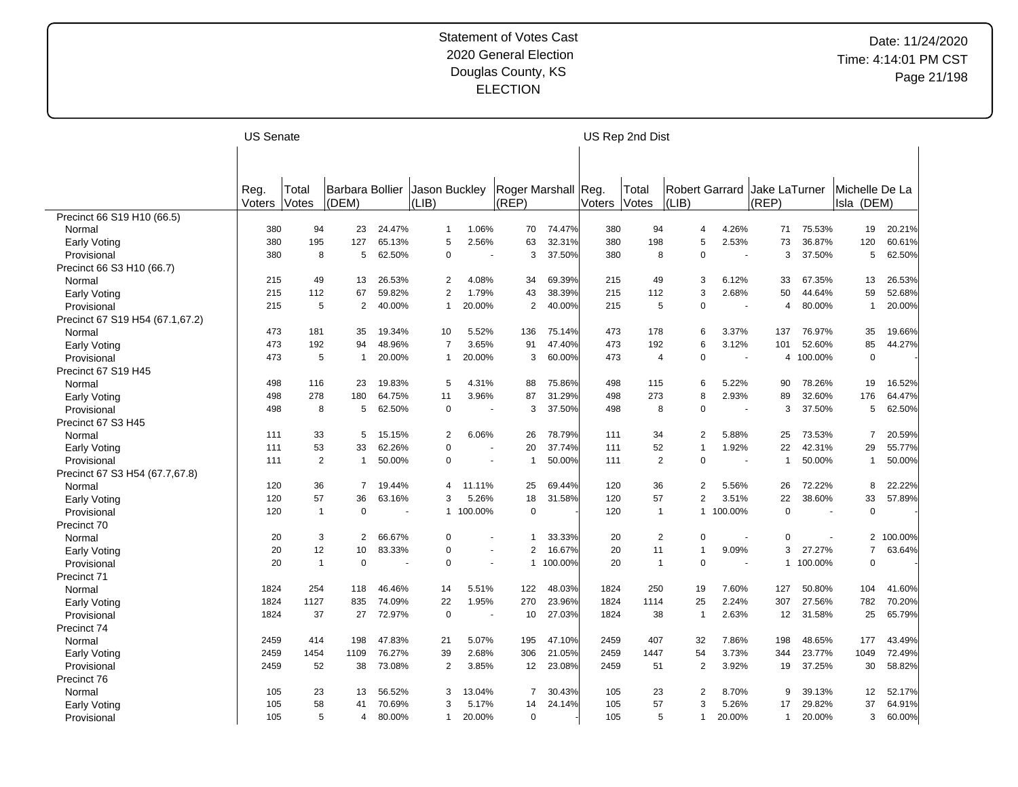|                                 | <b>US Senate</b> |                |                 |        |                |         |                     |         |        | US Rep 2nd Dist |                       |                          |                |         |                |         |
|---------------------------------|------------------|----------------|-----------------|--------|----------------|---------|---------------------|---------|--------|-----------------|-----------------------|--------------------------|----------------|---------|----------------|---------|
|                                 |                  |                |                 |        |                |         |                     |         |        |                 |                       |                          |                |         |                |         |
|                                 |                  |                |                 |        |                |         |                     |         |        |                 |                       |                          |                |         |                |         |
|                                 | Reg.             | Total          | Barbara Bollier |        | Jason Buckley  |         | Roger Marshall Reg. |         |        | Total           | <b>Robert Garrard</b> |                          | Jake LaTurner  |         | Michelle De La |         |
|                                 | Voters           | Votes          | (DEM)           |        | (LIB)          |         | (REP)               |         | Voters | Votes           | (LIB)                 |                          | (REP)          |         | Isla (DEM)     |         |
| Precinct 66 S19 H10 (66.5)      |                  |                |                 |        |                |         |                     |         |        |                 |                       |                          |                |         |                |         |
| Normal                          | 380              | 94             | 23              | 24.47% | $\mathbf 1$    | 1.06%   | 70                  | 74.47%  | 380    | 94              | 4                     | 4.26%                    | 71             | 75.53%  | 19             | 20.21%  |
| Early Voting                    | 380              | 195            | 127             | 65.13% | 5              | 2.56%   | 63                  | 32.31%  | 380    | 198             | 5                     | 2.53%                    | 73             | 36.87%  | 120            | 60.61%  |
| Provisional                     | 380              | 8              | 5               | 62.50% | $\mathbf 0$    |         | 3                   | 37.50%  | 380    | 8               | 0                     | $\overline{a}$           | 3              | 37.50%  | 5              | 62.50%  |
| Precinct 66 S3 H10 (66.7)       |                  |                |                 |        |                |         |                     |         |        |                 |                       |                          |                |         |                |         |
| Normal                          | 215              | 49             | 13              | 26.53% | $\overline{2}$ | 4.08%   | 34                  | 69.39%  | 215    | 49              | 3                     | 6.12%                    | 33             | 67.35%  | 13             | 26.53%  |
| Early Voting                    | 215              | 112            | 67              | 59.82% | $\overline{2}$ | 1.79%   | 43                  | 38.39%  | 215    | 112             | 3                     | 2.68%                    | 50             | 44.64%  | 59             | 52.68%  |
| Provisional                     | 215              | 5              | $\overline{2}$  | 40.00% | 1              | 20.00%  | 2                   | 40.00%  | 215    | 5               | 0                     | ٠.                       | $\overline{4}$ | 80.00%  | $\mathbf{1}$   | 20.00%  |
| Precinct 67 S19 H54 (67.1,67.2) |                  |                |                 |        |                |         |                     |         |        |                 |                       |                          |                |         |                |         |
| Normal                          | 473              | 181            | 35              | 19.34% | 10             | 5.52%   | 136                 | 75.14%  | 473    | 178             | 6                     | 3.37%                    | 137            | 76.97%  | 35             | 19.66%  |
| Early Voting                    | 473              | 192            | 94              | 48.96% | $\overline{7}$ | 3.65%   | 91                  | 47.40%  | 473    | 192             | 6                     | 3.12%                    | 101            | 52.60%  | 85             | 44.27%  |
| Provisional                     | 473              | 5              | $\mathbf{1}$    | 20.00% |                | 20.00%  | 3                   | 60.00%  | 473    | $\overline{4}$  | 0                     | $\overline{\phantom{a}}$ | 4              | 100.00% | $\mathbf 0$    |         |
| Precinct 67 S19 H45             |                  |                |                 |        |                |         |                     |         |        |                 |                       |                          |                |         |                |         |
| Normal                          | 498              | 116            | 23              | 19.83% | 5              | 4.31%   | 88                  | 75.86%  | 498    | 115             | 6                     | 5.22%                    | 90             | 78.26%  | 19             | 16.52%  |
| Early Voting                    | 498              | 278            | 180             | 64.75% | 11             | 3.96%   | 87                  | 31.29%  | 498    | 273             | 8                     | 2.93%                    | 89             | 32.60%  | 176            | 64.47%  |
| Provisional                     | 498              | 8              | 5               | 62.50% | $\mathbf 0$    |         | 3                   | 37.50%  | 498    | 8               | 0                     | ÷.                       | 3              | 37.50%  | 5              | 62.50%  |
| Precinct 67 S3 H45              |                  |                |                 |        |                |         |                     |         |        |                 |                       |                          |                |         |                |         |
| Normal                          | 111              | 33             | 5               | 15.15% | $\overline{2}$ | 6.06%   | 26                  | 78.79%  | 111    | 34              | 2                     | 5.88%                    | 25             | 73.53%  | $\overline{7}$ | 20.59%  |
| Early Voting                    | 111              | 53             | 33              | 62.26% | $\mathbf 0$    |         | 20                  | 37.74%  | 111    | 52              | 1                     | 1.92%                    | 22             | 42.31%  | 29             | 55.77%  |
| Provisional                     | 111              | $\overline{2}$ | $\mathbf{1}$    | 50.00% | 0              | $\sim$  | $\mathbf{1}$        | 50.00%  | 111    | $\overline{2}$  | 0                     |                          | $\overline{1}$ | 50.00%  | $\overline{1}$ | 50.00%  |
| Precinct 67 S3 H54 (67.7,67.8)  |                  |                |                 |        |                |         |                     |         |        |                 |                       |                          |                |         |                |         |
| Normal                          | 120              | 36             | $\overline{7}$  | 19.44% | 4              | 11.11%  | 25                  | 69.44%  | 120    | 36              | $\overline{2}$        | 5.56%                    | 26             | 72.22%  | 8              | 22.22%  |
| Early Voting                    | 120              | 57             | 36              | 63.16% | 3              | 5.26%   | 18                  | 31.58%  | 120    | 57              | 2                     | 3.51%                    | 22             | 38.60%  | 33             | 57.89%  |
| Provisional                     | 120              | $\mathbf{1}$   | $\mathbf 0$     |        | 1              | 100.00% | $\mathbf 0$         |         | 120    | $\overline{1}$  | $\mathbf{1}$          | 100.00%                  | $\mathbf 0$    |         | $\mathbf 0$    |         |
| Precinct 70                     |                  |                |                 |        |                |         |                     |         |        |                 |                       |                          |                |         |                |         |
| Normal                          | 20               | 3              | 2               | 66.67% | $\Omega$       |         | 1                   | 33.33%  | 20     | 2               | 0                     | $\overline{\phantom{a}}$ | $\Omega$       |         | $\overline{2}$ | 100.00% |
| Early Voting                    | 20               | 12             | 10              | 83.33% | $\Omega$       |         | $\overline{2}$      | 16.67%  | 20     | 11              | 1                     | 9.09%                    | 3              | 27.27%  | $\overline{7}$ | 63.64%  |
| Provisional                     | 20               | $\mathbf{1}$   | $\mathbf 0$     |        | $\Omega$       |         | 1                   | 100.00% | 20     | $\mathbf{1}$    | 0                     | $\sim$                   | $\mathbf{1}$   | 100.00% | $\mathbf 0$    |         |
| Precinct 71                     |                  |                |                 |        |                |         |                     |         |        |                 |                       |                          |                |         |                |         |
| Normal                          | 1824             | 254            | 118             | 46.46% | 14             | 5.51%   | 122                 | 48.03%  | 1824   | 250             | 19                    | 7.60%                    | 127            | 50.80%  | 104            | 41.60%  |
| Early Voting                    | 1824             | 1127           | 835             | 74.09% | 22             | 1.95%   | 270                 | 23.96%  | 1824   | 1114            | 25                    | 2.24%                    | 307            | 27.56%  | 782            | 70.20%  |
| Provisional                     | 1824             | 37             | 27              | 72.97% | $\mathbf 0$    |         | 10                  | 27.03%  | 1824   | 38              | -1                    | 2.63%                    | 12             | 31.58%  | 25             | 65.79%  |
| Precinct 74                     |                  |                |                 |        |                |         |                     |         |        |                 |                       |                          |                |         |                |         |
| Normal                          | 2459             | 414            | 198             | 47.83% | 21             | 5.07%   | 195                 | 47.10%  | 2459   | 407             | 32                    | 7.86%                    | 198            | 48.65%  | 177            | 43.49%  |
| Early Voting                    | 2459             | 1454           | 1109            | 76.27% | 39             | 2.68%   | 306                 | 21.05%  | 2459   | 1447            | 54                    | 3.73%                    | 344            | 23.77%  | 1049           | 72.49%  |
| Provisional                     | 2459             | 52             | 38              | 73.08% | $\overline{2}$ | 3.85%   | 12                  | 23.08%  | 2459   | 51              | $\overline{2}$        | 3.92%                    | 19             | 37.25%  | 30             | 58.82%  |
| Precinct 76                     |                  |                |                 |        |                |         |                     |         |        |                 |                       |                          |                |         |                |         |
| Normal                          | 105              | 23             | 13              | 56.52% | 3              | 13.04%  | $\overline{7}$      | 30.43%  | 105    | 23              | $\overline{2}$        | 8.70%                    | 9              | 39.13%  | 12             | 52.17%  |
|                                 | 105              | 58             | 41              | 70.69% | 3              | 5.17%   | 14                  | 24.14%  | 105    | 57              | 3                     | 5.26%                    | 17             | 29.82%  | 37             | 64.91%  |
| Early Voting                    | 105              | 5              | $\overline{4}$  | 80.00% | $\mathbf{1}$   | 20.00%  | $\overline{0}$      |         | 105    | 5               | 1                     | 20.00%                   | $\mathbf{1}$   | 20.00%  | 3              | 60.00%  |
| Provisional                     |                  |                |                 |        |                |         |                     |         |        |                 |                       |                          |                |         |                |         |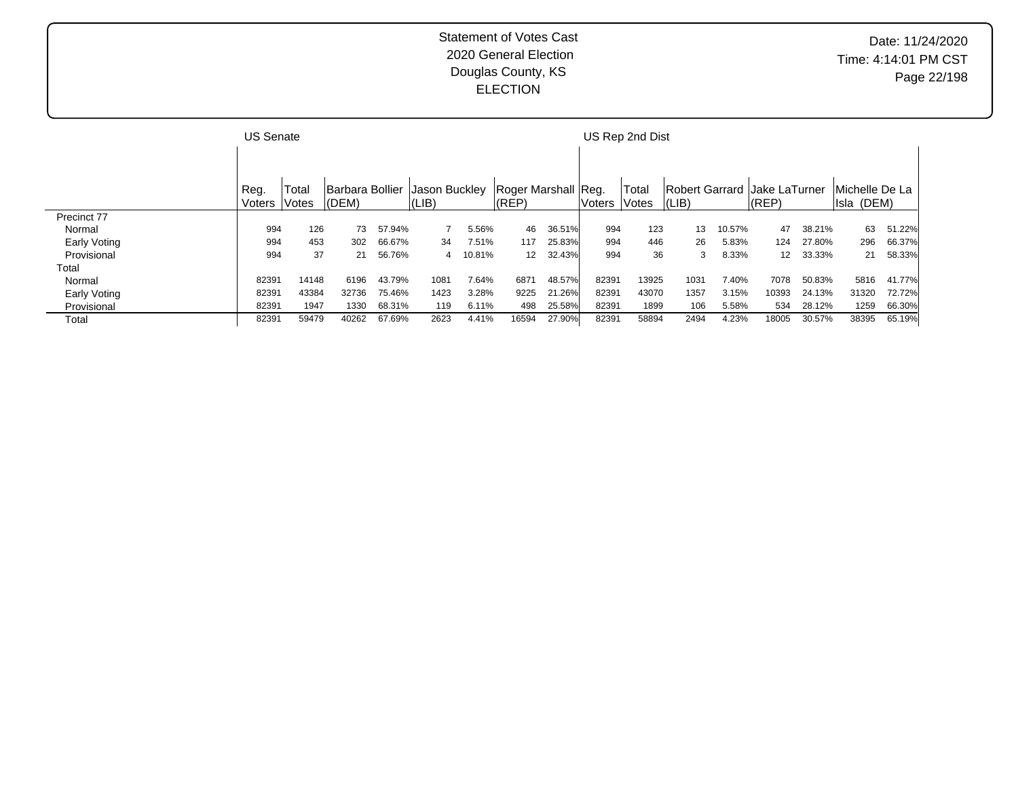|              | <b>US Senate</b> |       |                 |        |               |        |                     |        |        | US Rep 2nd Dist |                                |        |                 |        |                |        |
|--------------|------------------|-------|-----------------|--------|---------------|--------|---------------------|--------|--------|-----------------|--------------------------------|--------|-----------------|--------|----------------|--------|
|              |                  |       |                 |        |               |        |                     |        |        |                 |                                |        |                 |        |                |        |
|              |                  |       |                 |        |               |        |                     |        |        |                 |                                |        |                 |        |                |        |
|              | Reg.             | Total | Barbara Bollier |        | Jason Buckley |        | Roger Marshall Reg. |        |        | Total           | Robert Garrard   Jake LaTurner |        |                 |        | Michelle De La |        |
|              | Voters Votes     |       | $ $ (DEM)       |        | (LIB)         |        | (REP)               |        | Voters | <b>Votes</b>    | (LIB)                          |        | (REP)           |        | Isla (DEM)     |        |
| Precinct 77  |                  |       |                 |        |               |        |                     |        |        |                 |                                |        |                 |        |                |        |
| Normal       | 994              | 126   | 73              | 57.94% |               | 5.56%  | 46                  | 36.51% | 994    | 123             | 13                             | 10.57% | 47              | 38.21% | 63             | 51.22% |
| Early Voting | 994              | 453   | 302             | 66.67% | 34            | 7.51%  | 117                 | 25.83% | 994    | 446             | 26                             | 5.83%  | 124             | 27.80% | 296            | 66.37% |
| Provisional  | 994              | 37    | 21              | 56.76% | 4             | 10.81% | 12                  | 32.43% | 994    | 36              | 3                              | 8.33%  | 12 <sup>2</sup> | 33.33% | 21             | 58.33% |
| Total        |                  |       |                 |        |               |        |                     |        |        |                 |                                |        |                 |        |                |        |
| Normal       | 82391            | 14148 | 6196            | 43.79% | 1081          | 7.64%  | 6871                | 48.57% | 82391  | 13925           | 1031                           | 7.40%  | 7078            | 50.83% | 5816           | 41.77% |
| Early Voting | 82391            | 43384 | 32736           | 75.46% | 1423          | 3.28%  | 9225                | 21.26% | 82391  | 43070           | 1357                           | 3.15%  | 10393           | 24.13% | 31320          | 72.72% |
| Provisional  | 82391            | 1947  | 1330            | 68.31% | 119           | 6.11%  | 498                 | 25.58% | 82391  | 1899            | 106                            | 5.58%  | 534             | 28.12% | 1259           | 66.30% |
| Total        | 82391            | 59479 | 40262           | 67.69% | 2623          | 4.41%  | 16594               | 27.90% | 82391  | 58894           | 2494                           | 4.23%  | 18005           | 30.57% | 38395          | 65.19% |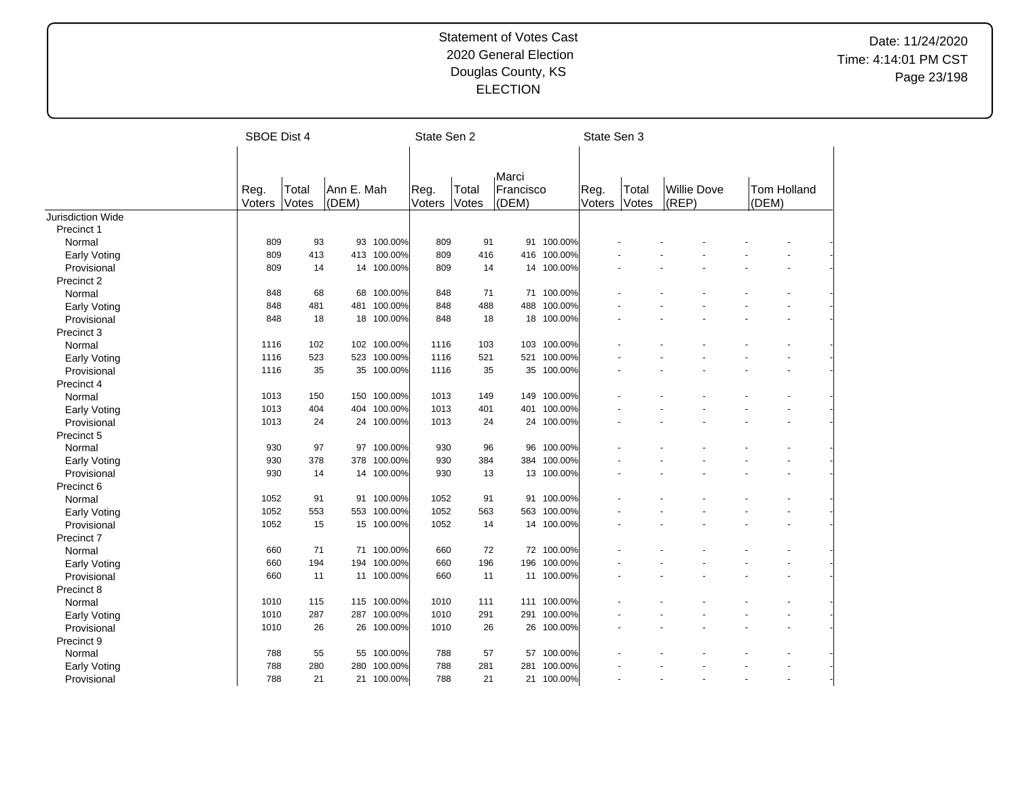|                     | SBOE Dist 4    |                |                     |             | State Sen 2    |                |                             |             | State Sen 3    |                |                             |       |                |  |
|---------------------|----------------|----------------|---------------------|-------------|----------------|----------------|-----------------------------|-------------|----------------|----------------|-----------------------------|-------|----------------|--|
|                     | Reg.<br>Voters | Total<br>Votes | Ann E. Mah<br>(DEM) |             | Reg.<br>Voters | Total<br>Votes | Marci<br>Francisco<br>(DEM) |             | Reg.<br>Voters | Total<br>Votes | <b>Willie Dove</b><br>(REP) | (DEM) | Tom Holland    |  |
| Jurisdiction Wide   |                |                |                     |             |                |                |                             |             |                |                |                             |       |                |  |
| Precinct 1          |                |                |                     |             |                |                |                             |             |                |                |                             |       |                |  |
| Normal              | 809            | 93             |                     | 93 100.00%  | 809            | 91             |                             | 91 100.00%  |                |                |                             |       |                |  |
| <b>Early Voting</b> | 809            | 413            |                     | 413 100.00% | 809            | 416            |                             | 416 100.00% |                |                |                             |       |                |  |
| Provisional         | 809            | 14             |                     | 14 100.00%  | 809            | 14             |                             | 14 100.00%  |                |                |                             |       |                |  |
| Precinct 2          |                |                |                     |             |                |                |                             |             |                |                |                             |       |                |  |
| Normal              | 848            | 68             |                     | 68 100.00%  | 848            | 71             |                             | 71 100.00%  |                |                |                             |       |                |  |
| Early Voting        | 848            | 481            | 481                 | 100.00%     | 848            | 488            |                             | 488 100.00% |                |                |                             |       |                |  |
| Provisional         | 848            | 18             | 18                  | 100.00%     | 848            | 18             |                             | 18 100.00%  |                |                |                             |       |                |  |
| Precinct 3          |                |                |                     |             |                |                |                             |             |                |                |                             |       |                |  |
| Normal              | 1116           | 102            |                     | 102 100.00% | 1116           | 103            |                             | 103 100.00% |                |                |                             |       |                |  |
| Early Voting        | 1116           | 523            | 523                 | 100.00%     | 1116           | 521            | 521                         | 100.00%     |                |                |                             |       |                |  |
| Provisional         | 1116           | 35             |                     | 35 100.00%  | 1116           | 35             |                             | 35 100.00%  |                |                |                             |       |                |  |
| Precinct 4          |                |                |                     |             |                |                |                             |             |                |                |                             |       |                |  |
| Normal              | 1013           | 150            | 150                 | 100.00%     | 1013           | 149            |                             | 149 100.00% |                |                |                             |       |                |  |
| Early Voting        | 1013           | 404            | 404                 | 100.00%     | 1013           | 401            |                             | 401 100.00% |                |                |                             |       |                |  |
| Provisional         | 1013           | 24             |                     | 24 100.00%  | 1013           | 24             |                             | 24 100.00%  |                |                |                             |       |                |  |
| Precinct 5          |                |                |                     |             |                |                |                             |             |                |                |                             |       |                |  |
| Normal              | 930            | 97             | 97                  | 100.00%     | 930            | 96             | 96                          | 100.00%     |                |                |                             |       |                |  |
| Early Voting        | 930            | 378            | 378                 | 100.00%     | 930            | 384            | 384                         | 100.00%     |                |                |                             |       |                |  |
| Provisional         | 930            | 14             |                     | 14 100.00%  | 930            | 13             |                             | 13 100.00%  |                |                |                             |       |                |  |
| Precinct 6          |                |                |                     |             |                |                |                             |             |                |                |                             |       |                |  |
| Normal              | 1052           | 91             | 91                  | 100.00%     | 1052           | 91             |                             | 91 100.00%  |                |                |                             |       |                |  |
| <b>Early Voting</b> | 1052           | 553            | 553                 | 100.00%     | 1052           | 563            |                             | 563 100.00% |                |                |                             |       |                |  |
| Provisional         | 1052           | 15             |                     | 15 100.00%  | 1052           | 14             |                             | 14 100.00%  |                |                |                             |       |                |  |
| Precinct 7          |                |                |                     |             |                |                |                             |             |                |                |                             |       |                |  |
| Normal              | 660            | 71             | 71                  | 100.00%     | 660            | 72             |                             | 72 100.00%  |                |                |                             |       |                |  |
| <b>Early Voting</b> | 660            | 194            | 194                 | 100.00%     | 660            | 196            | 196                         | 100.00%     |                |                |                             |       |                |  |
| Provisional         | 660            | 11             |                     | 11 100.00%  | 660            | 11             |                             | 11 100.00%  |                |                |                             |       |                |  |
| Precinct 8          |                |                |                     |             |                |                |                             |             |                |                |                             |       |                |  |
| Normal              | 1010           | 115            | 115                 | 100.00%     | 1010           | 111            |                             | 111 100.00% |                |                |                             |       |                |  |
| <b>Early Voting</b> | 1010           | 287            |                     | 287 100.00% | 1010           | 291            |                             | 291 100.00% |                |                |                             |       |                |  |
| Provisional         | 1010           | 26             | 26                  | 100.00%     | 1010           | 26             |                             | 26 100.00%  |                |                |                             |       |                |  |
| Precinct 9          |                |                |                     |             |                |                |                             |             |                |                |                             |       |                |  |
| Normal              | 788            | 55             | 55                  | 100.00%     | 788            | 57             |                             | 57 100.00%  |                |                |                             |       |                |  |
| Early Voting        | 788            | 280            | 280                 | 100.00%     | 788            | 281            | 281                         | 100.00%     |                |                |                             |       |                |  |
| Provisional         | 788            | 21             |                     | 21 100.00%  | 788            | 21             |                             | 21 100.00%  |                |                |                             |       | $\overline{a}$ |  |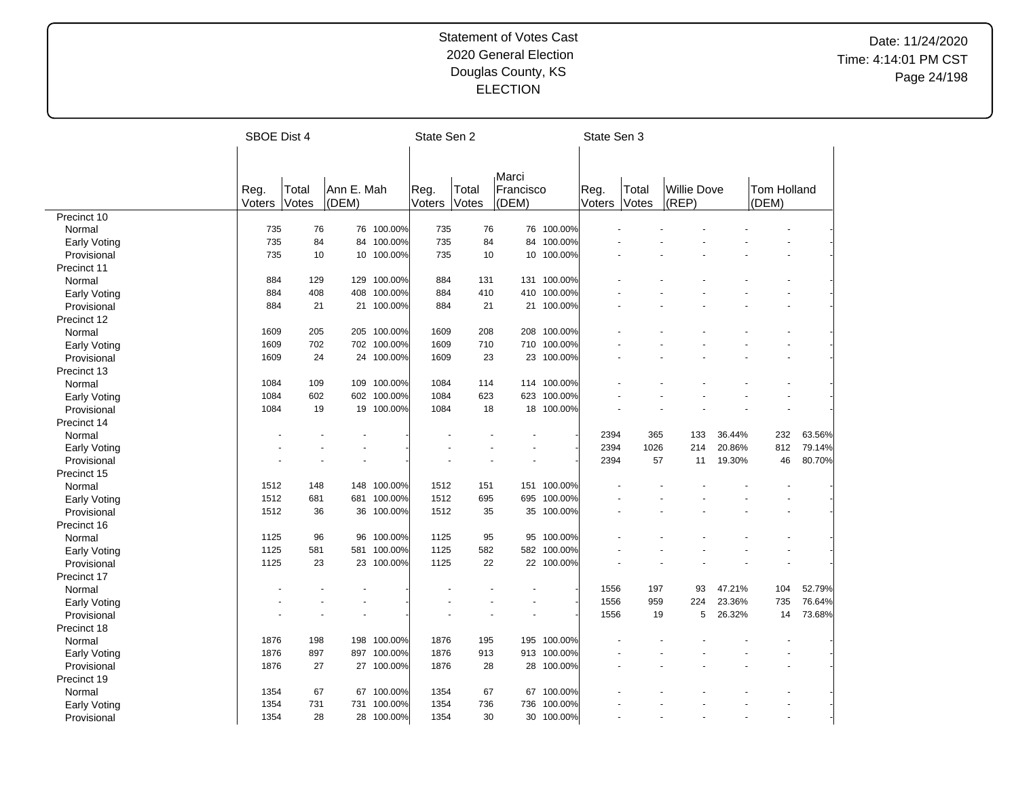|                     | SBOE Dist 4 |       |            |             | State Sen 2 |       |           |             | State Sen 3 |       |                    |        |             |        |
|---------------------|-------------|-------|------------|-------------|-------------|-------|-----------|-------------|-------------|-------|--------------------|--------|-------------|--------|
|                     |             |       |            |             |             |       |           |             |             |       |                    |        |             |        |
|                     |             |       |            |             |             |       |           |             |             |       |                    |        |             |        |
|                     |             |       |            |             |             |       | Marci     |             |             |       |                    |        |             |        |
|                     | Reg.        | Total | Ann E. Mah |             | Reg.        | Total | Francisco |             | Reg.        | Total | <b>Willie Dove</b> |        | Tom Holland |        |
|                     | Voters      | Votes | (DEM)      |             | Voters      | Votes | (DEM)     |             | Voters      | Votes | (REP)              |        | (DEM)       |        |
| Precinct 10         |             |       |            |             |             |       |           |             |             |       |                    |        |             |        |
| Normal              | 735         | 76    | 76         | 100.00%     | 735         | 76    |           | 76 100.00%  |             |       |                    |        |             |        |
| <b>Early Voting</b> | 735         | 84    | 84         | 100.00%     | 735         | 84    | 84        | 100.00%     |             |       |                    |        |             |        |
| Provisional         | 735         | 10    | 10         | 100.00%     | 735         | 10    | 10        | 100.00%     |             |       |                    |        |             |        |
| Precinct 11         |             |       |            |             |             |       |           |             |             |       |                    |        |             |        |
| Normal              | 884         | 129   | 129        | 100.00%     | 884         | 131   |           | 131 100.00% |             |       |                    |        |             |        |
| <b>Early Voting</b> | 884         | 408   | 408        | 100.00%     | 884         | 410   | 410       | 100.00%     |             |       |                    |        |             |        |
| Provisional         | 884         | 21    |            | 21 100.00%  | 884         | 21    |           | 21 100.00%  |             |       |                    |        |             |        |
| Precinct 12         |             |       |            |             |             |       |           |             |             |       |                    |        |             |        |
| Normal              | 1609        | 205   |            | 205 100.00% | 1609        | 208   | 208       | 100.00%     |             |       |                    |        |             |        |
| <b>Early Voting</b> | 1609        | 702   |            | 702 100.00% | 1609        | 710   |           | 710 100.00% |             |       |                    |        |             |        |
| Provisional         | 1609        | 24    |            | 24 100.00%  | 1609        | 23    | 23        | 100.00%     |             |       |                    |        |             |        |
| Precinct 13         |             |       |            |             |             |       |           |             |             |       |                    |        |             |        |
| Normal              | 1084        | 109   | 109        | 100.00%     | 1084        | 114   |           | 114 100.00% |             |       |                    |        |             |        |
| <b>Early Voting</b> | 1084        | 602   |            | 602 100.00% | 1084        | 623   | 623       | 100.00%     |             |       |                    |        |             |        |
| Provisional         | 1084        | 19    |            | 19 100.00%  | 1084        | 18    |           | 18 100.00%  |             |       |                    |        |             |        |
| Precinct 14         |             |       |            |             |             |       |           |             |             |       |                    |        |             |        |
| Normal              |             |       |            |             |             |       |           |             | 2394        | 365   | 133                | 36.44% | 232         | 63.56% |
| <b>Early Voting</b> |             |       |            |             |             |       |           |             | 2394        | 1026  | 214                | 20.86% | 812         | 79.14% |
| Provisional         |             |       |            |             |             |       |           |             | 2394        | 57    | 11                 | 19.30% | 46          | 80.70% |
| Precinct 15         |             |       |            |             |             |       |           |             |             |       |                    |        |             |        |
| Normal              | 1512        | 148   | 148        | 100.00%     | 1512        | 151   |           | 151 100.00% |             |       |                    |        |             |        |
| <b>Early Voting</b> | 1512        | 681   | 681        | 100.00%     | 1512        | 695   | 695       | 100.00%     |             |       |                    |        |             |        |
| Provisional         | 1512        | 36    |            | 36 100.00%  | 1512        | 35    |           | 35 100.00%  |             |       |                    |        |             |        |
| Precinct 16         |             |       |            |             |             |       |           |             |             |       |                    |        |             |        |
| Normal              | 1125        | 96    | 96         | 100.00%     | 1125        | 95    |           | 95 100.00%  |             |       |                    |        |             |        |
| <b>Early Voting</b> | 1125        | 581   | 581        | 100.00%     | 1125        | 582   | 582       | 100.00%     |             |       |                    |        |             |        |
| Provisional         | 1125        | 23    |            | 23 100.00%  | 1125        | 22    |           | 22 100.00%  |             |       |                    |        |             |        |
| Precinct 17         |             |       |            |             |             |       |           |             |             |       |                    |        |             |        |
| Normal              |             |       |            |             |             |       |           |             | 1556        | 197   | 93                 | 47.21% | 104         | 52.79% |
| <b>Early Voting</b> |             |       |            |             |             |       |           |             | 1556        | 959   | 224                | 23.36% | 735         | 76.64% |
| Provisional         |             |       |            |             |             |       |           |             | 1556        | 19    | 5                  | 26.32% | 14          | 73.68% |
| Precinct 18         |             |       |            |             |             |       |           |             |             |       |                    |        |             |        |
| Normal              | 1876        | 198   |            | 198 100.00% | 1876        | 195   |           | 195 100.00% |             |       |                    |        |             |        |
|                     | 1876        | 897   | 897        | 100.00%     | 1876        | 913   | 913       | 100.00%     |             |       |                    |        |             |        |
| <b>Early Voting</b> | 1876        | 27    |            | 27 100.00%  | 1876        | 28    |           | 28 100.00%  |             |       |                    |        |             |        |
| Provisional         |             |       |            |             |             |       |           |             |             |       |                    |        |             |        |
| Precinct 19         |             |       |            |             |             |       |           |             |             |       |                    |        |             |        |
| Normal              | 1354        | 67    | 67         | 100.00%     | 1354        | 67    | 67        | 100.00%     |             |       |                    |        |             |        |
| Early Voting        | 1354        | 731   | 731        | 100.00%     | 1354        | 736   | 736       | 100.00%     |             |       |                    |        |             |        |
| Provisional         | 1354        | 28    |            | 28 100.00%  | 1354        | 30    |           | 30 100.00%  |             |       |                    |        |             |        |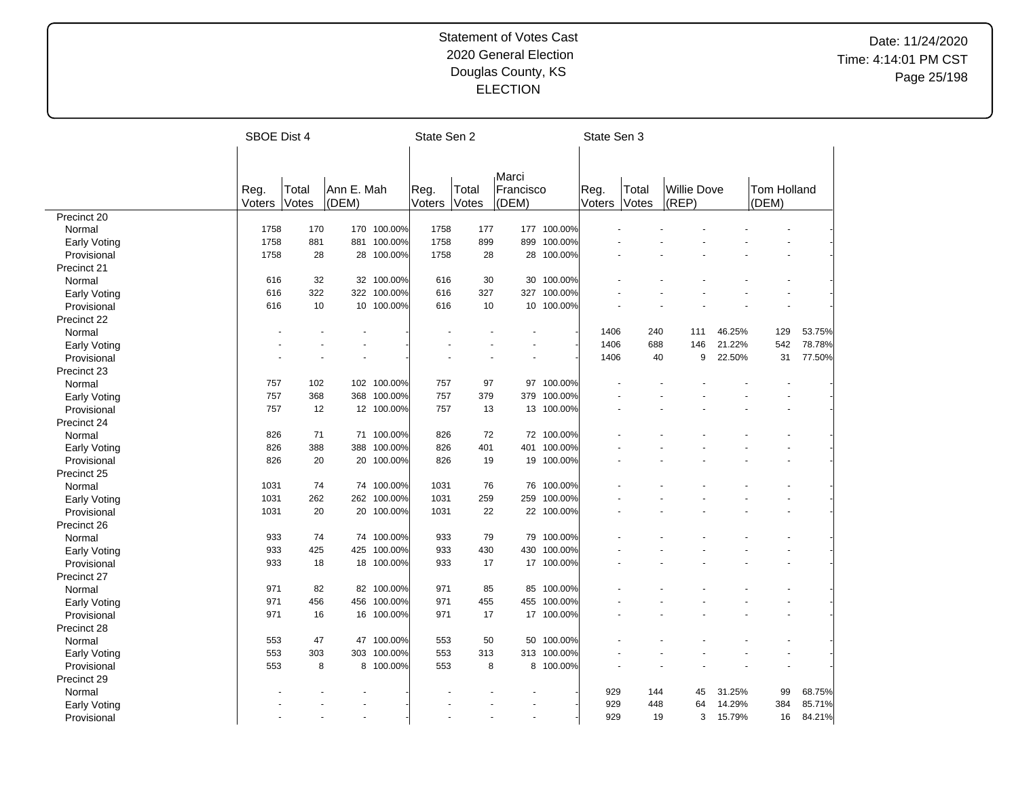|                             | SBOE Dist 4 |       |            |             | State Sen 2 |       |                      |             | State Sen 3 |       |             |     |        |             |        |
|-----------------------------|-------------|-------|------------|-------------|-------------|-------|----------------------|-------------|-------------|-------|-------------|-----|--------|-------------|--------|
|                             |             |       |            |             |             |       |                      |             |             |       |             |     |        |             |        |
|                             |             |       |            |             |             |       |                      |             |             |       |             |     |        |             |        |
|                             | Reg.        | Total | Ann E. Mah |             | Reg.        | Total | Marci<br>Francisco   |             | Reg.        | Total | Willie Dove |     |        | Tom Holland |        |
|                             | Voters      | Votes | (DEM)      |             | Voters      | Votes | (DEM)                |             | Voters      | Votes | (REP)       |     |        | (DEM)       |        |
| Precinct 20                 |             |       |            |             |             |       |                      |             |             |       |             |     |        |             |        |
| Normal                      | 1758        | 170   | 170        | 100.00%     | 1758        | 177   | 177                  | 100.00%     |             |       |             |     |        |             |        |
| Early Voting                | 1758        | 881   | 881        | 100.00%     | 1758        | 899   | 899                  | 100.00%     |             |       |             |     |        |             |        |
| Provisional                 | 1758        | 28    | 28         | 100.00%     | 1758        | 28    | 28                   | 100.00%     |             |       |             |     |        |             |        |
| Precinct 21                 |             |       |            |             |             |       |                      |             |             |       |             |     |        |             |        |
| Normal                      | 616         | 32    |            | 32 100.00%  | 616         | 30    | 30                   | 100.00%     |             |       |             |     |        |             |        |
| Early Voting                | 616         | 322   |            | 322 100.00% | 616         | 327   | 327                  | 100.00%     |             |       |             |     |        |             |        |
| Provisional                 | 616         | 10    |            | 10 100.00%  | 616         | 10    |                      | 10 100.00%  |             |       |             |     |        |             |        |
| Precinct 22                 |             |       |            |             |             |       |                      |             |             |       |             |     |        |             |        |
| Normal                      |             |       |            |             |             |       |                      |             | 1406        | 240   |             | 111 | 46.25% | 129         | 53.75% |
| Early Voting                |             |       |            |             |             |       |                      |             | 1406        | 688   |             | 146 | 21.22% | 542         | 78.78% |
| Provisional                 |             |       |            |             |             |       |                      |             | 1406        | 40    |             | 9   | 22.50% | 31          | 77.50% |
| Precinct 23                 |             |       |            |             |             |       |                      |             |             |       |             |     |        |             |        |
| Normal                      | 757         | 102   |            | 102 100.00% | 757         | 97    | 97                   | 100.00%     |             |       |             |     |        |             |        |
| Early Voting                | 757         | 368   | 368        | 100.00%     | 757         | 379   | 379                  | 100.00%     |             |       |             |     |        |             |        |
| Provisional                 | 757         | 12    |            | 12 100.00%  | 757         | 13    |                      | 13 100.00%  |             |       |             |     |        |             |        |
| Precinct 24                 |             |       |            |             |             |       |                      |             |             |       |             |     |        |             |        |
| Normal                      | 826         | 71    |            | 71 100.00%  | 826         | 72    |                      | 72 100.00%  |             |       |             |     |        |             |        |
| Early Voting                | 826         | 388   | 388        | 100.00%     | 826         | 401   | 401                  | 100.00%     |             |       |             |     |        |             |        |
| Provisional                 | 826         | 20    | 20         | 100.00%     | 826         | 19    | 19                   | 100.00%     |             |       |             |     |        |             |        |
| Precinct 25                 |             |       |            |             |             |       |                      |             |             |       |             |     |        |             |        |
|                             | 1031        | 74    |            | 74 100.00%  | 1031        | 76    | 76                   | 100.00%     |             |       |             |     |        |             |        |
| Normal                      | 1031        | 262   |            | 262 100.00% | 1031        | 259   | 259                  | 100.00%     |             |       |             |     |        |             |        |
| Early Voting<br>Provisional | 1031        | 20    | 20         | 100.00%     | 1031        | 22    |                      | 22 100.00%  |             |       |             |     |        |             |        |
|                             |             |       |            |             |             |       |                      |             |             |       |             |     |        |             |        |
| Precinct 26                 | 933         | 74    |            | 74 100.00%  | 933         | 79    |                      | 79 100.00%  |             |       |             |     |        |             |        |
| Normal                      | 933         | 425   | 425        | 100.00%     | 933         | 430   | 430                  | 100.00%     |             |       |             |     |        |             |        |
| Early Voting                | 933         | 18    |            | 18 100.00%  | 933         | 17    |                      | 17 100.00%  |             |       |             |     |        |             |        |
| Provisional                 |             |       |            |             |             |       |                      |             |             |       |             |     |        |             |        |
| Precinct 27                 |             |       |            |             |             |       |                      |             |             |       |             |     |        |             |        |
| Normal                      | 971         | 82    |            | 82 100.00%  | 971         | 85    | 85                   | 100.00%     |             |       |             |     |        |             |        |
| <b>Early Voting</b>         | 971         | 456   |            | 456 100.00% | 971         | 455   |                      | 455 100.00% |             |       |             |     |        |             |        |
| Provisional                 | 971         | 16    |            | 16 100.00%  | 971         | 17    |                      | 17 100.00%  |             |       |             |     |        |             |        |
| Precinct 28                 |             |       |            |             |             |       |                      |             |             |       |             |     |        |             |        |
| Normal                      | 553         | 47    | 47         | 100.00%     | 553         | 50    | 50                   | 100.00%     |             |       |             |     |        |             |        |
| <b>Early Voting</b>         | 553         | 303   | 303        | 100.00%     | 553         | 313   | 313                  | 100.00%     |             |       |             |     |        |             |        |
| Provisional                 | 553         | 8     |            | 8 100.00%   | 553         | 8     |                      | 8 100.00%   |             |       |             |     |        |             |        |
| Precinct 29                 |             |       |            |             |             |       |                      |             |             |       |             |     |        |             |        |
| Normal                      |             |       |            |             |             |       |                      |             | 929         | 144   |             | 45  | 31.25% | 99          | 68.75% |
| <b>Early Voting</b>         |             |       |            |             |             |       |                      |             | 929         | 448   |             | 64  | 14.29% | 384         | 85.71% |
| Provisional                 |             |       |            |             |             |       | $\ddot{\phantom{1}}$ |             | 929         | 19    |             | 3   | 15.79% | 16          | 84.21% |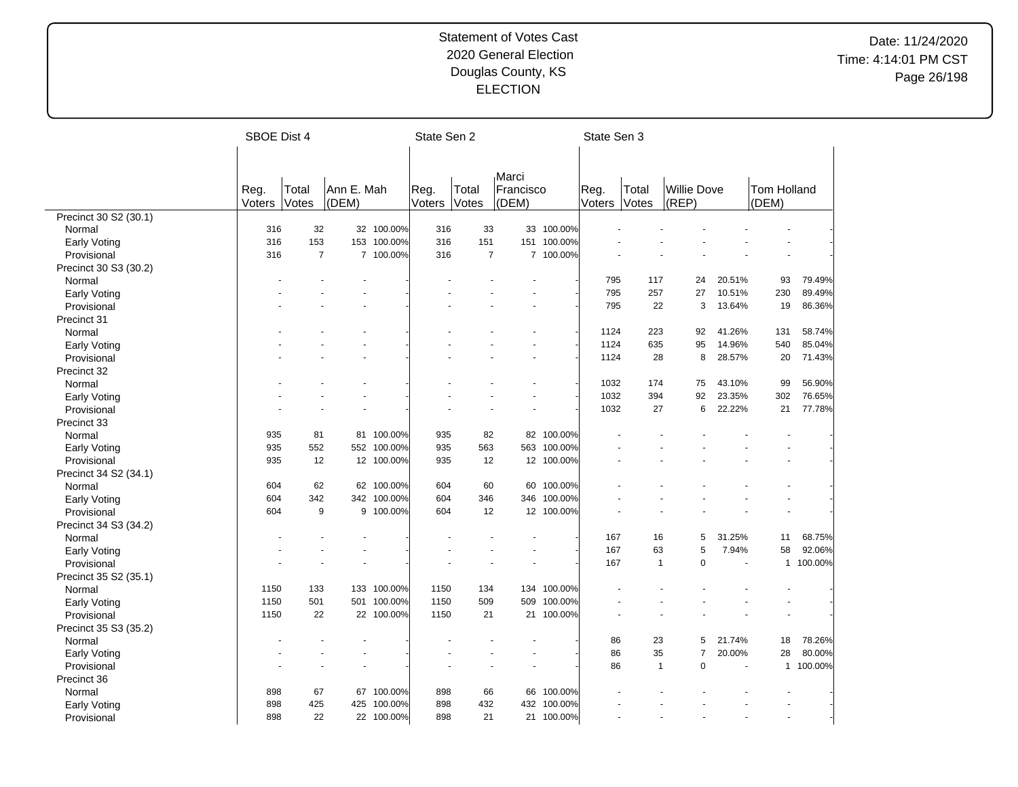|                       | SBOE Dist 4 |                |            |             | State Sen 2 |                |                |             | State Sen 3  |              |                    |                          |             |           |
|-----------------------|-------------|----------------|------------|-------------|-------------|----------------|----------------|-------------|--------------|--------------|--------------------|--------------------------|-------------|-----------|
|                       |             |                |            |             |             |                |                |             |              |              |                    |                          |             |           |
|                       |             |                |            |             |             |                |                |             |              |              |                    |                          |             |           |
|                       |             |                |            |             |             |                | Marci          |             |              |              |                    |                          |             |           |
|                       | Reg.        | Total          | Ann E. Mah |             | Reg.        | Total          | Francisco      |             | Reg.         | Total        | <b>Willie Dove</b> |                          | Tom Holland |           |
|                       | Voters      | Votes          | (DEM)      |             | Voters      | Votes          | (DEM)          |             | Voters Votes |              | (REP)              |                          | (DEM)       |           |
| Precinct 30 S2 (30.1) |             |                |            |             |             |                |                |             |              |              |                    |                          |             |           |
| Normal                | 316         | 32             |            | 32 100.00%  | 316         | 33             | 33             | 100.00%     |              |              |                    |                          |             |           |
| <b>Early Voting</b>   | 316         | 153            | 153        | 100.00%     | 316         | 151            |                | 151 100.00% |              |              |                    |                          |             |           |
| Provisional           | 316         | $\overline{7}$ |            | 7 100.00%   | 316         | $\overline{7}$ | $\overline{7}$ | 100.00%     |              |              |                    |                          |             |           |
| Precinct 30 S3 (30.2) |             |                |            |             |             |                |                |             |              |              |                    |                          |             |           |
| Normal                |             |                |            |             |             |                |                |             | 795          | 117          |                    | 24<br>20.51%             | 93          | 79.49%    |
| Early Voting          |             |                |            |             |             |                |                |             | 795          | 257          |                    | 10.51%<br>27             | 230         | 89.49%    |
| Provisional           |             |                |            |             |             |                |                |             | 795          | 22           |                    | 3<br>13.64%              | 19          | 86.36%    |
| Precinct 31           |             |                |            |             |             |                |                |             |              |              |                    |                          |             |           |
| Normal                |             |                |            |             |             |                |                |             | 1124         | 223          |                    | 41.26%<br>92             | 131         | 58.74%    |
| <b>Early Voting</b>   |             |                |            |             |             |                |                |             | 1124         | 635          |                    | 95<br>14.96%             | 540         | 85.04%    |
| Provisional           |             |                |            |             |             |                |                |             | 1124         | 28           |                    | 8<br>28.57%              | 20          | 71.43%    |
| Precinct 32           |             |                |            |             |             |                |                |             |              |              |                    |                          |             |           |
| Normal                |             |                |            |             |             |                |                |             | 1032         | 174          |                    | 75<br>43.10%             | 99          | 56.90%    |
| <b>Early Voting</b>   |             |                |            |             |             |                |                |             | 1032         | 394          |                    | 92<br>23.35%             | 302         | 76.65%    |
| Provisional           |             |                |            |             |             |                |                |             | 1032         | 27           |                    | 6<br>22.22%              | 21          | 77.78%    |
| Precinct 33           |             |                |            |             |             |                |                |             |              |              |                    |                          |             |           |
| Normal                | 935         | 81             | 81         | 100.00%     | 935         | 82             | 82             | 100.00%     |              |              |                    |                          |             |           |
| <b>Early Voting</b>   | 935         | 552            | 552        | 100.00%     | 935         | 563            | 563            | 100.00%     |              |              |                    |                          |             |           |
| Provisional           | 935         | 12             | 12         | 100.00%     | 935         | 12             | 12             | 100.00%     |              |              |                    |                          |             |           |
| Precinct 34 S2 (34.1) |             |                |            |             |             |                |                |             |              |              |                    |                          |             |           |
| Normal                | 604         | 62             |            | 62 100.00%  | 604         | 60             | 60             | 100.00%     |              |              |                    |                          |             |           |
| <b>Early Voting</b>   | 604         | 342            | 342        | 100.00%     | 604         | 346            | 346            | 100.00%     |              |              |                    |                          |             |           |
| Provisional           | 604         | 9              |            | 9 100.00%   | 604         | 12             |                | 12 100.00%  |              |              |                    |                          |             |           |
| Precinct 34 S3 (34.2) |             |                |            |             |             |                |                |             |              |              |                    |                          |             |           |
| Normal                |             |                |            |             |             |                |                |             | 167          | 16           |                    | 5<br>31.25%              | 11          | 68.75%    |
| <b>Early Voting</b>   |             |                |            |             |             |                |                |             | 167          | 63           |                    | 5<br>7.94%               | 58          | 92.06%    |
| Provisional           |             |                |            |             |             |                |                |             | 167          | $\mathbf{1}$ |                    | $\overline{0}$           |             | 1 100.00% |
| Precinct 35 S2 (35.1) |             |                |            |             |             |                |                |             |              |              |                    |                          |             |           |
| Normal                | 1150        | 133            | 133        | 100.00%     | 1150        | 134            | 134            | 100.00%     |              |              |                    |                          |             |           |
| <b>Early Voting</b>   | 1150        | 501            |            | 501 100.00% | 1150        | 509            | 509            | 100.00%     |              |              |                    |                          |             |           |
| Provisional           | 1150        | 22             |            | 22 100.00%  | 1150        | 21             |                | 21 100.00%  |              |              |                    |                          |             |           |
| Precinct 35 S3 (35.2) |             |                |            |             |             |                |                |             |              |              |                    |                          |             |           |
|                       |             |                |            |             |             |                |                |             | 86           | 23           |                    | 21.74%<br>5              | 18          | 78.26%    |
| Normal                |             |                |            |             |             |                |                |             | 86           | 35           |                    | $\overline{7}$<br>20.00% | 28          | 80.00%    |
| <b>Early Voting</b>   |             |                |            |             |             |                |                |             | 86           | $\mathbf{1}$ |                    | $\mathbf 0$              |             | 1 100.00% |
| Provisional           |             |                |            |             |             |                |                |             |              |              |                    |                          |             |           |
| Precinct 36           |             |                |            |             |             |                |                |             |              |              |                    |                          |             |           |
| Normal                | 898         | 67             | 67         | 100.00%     | 898         | 66             | 66             | 100.00%     |              |              |                    |                          |             |           |
| Early Voting          | 898         | 425            | 425        | 100.00%     | 898         | 432            | 432            | 100.00%     |              |              |                    |                          |             |           |
| Provisional           | 898         | 22             |            | 22 100.00%  | 898         | 21             |                | 21 100.00%  |              |              |                    |                          |             |           |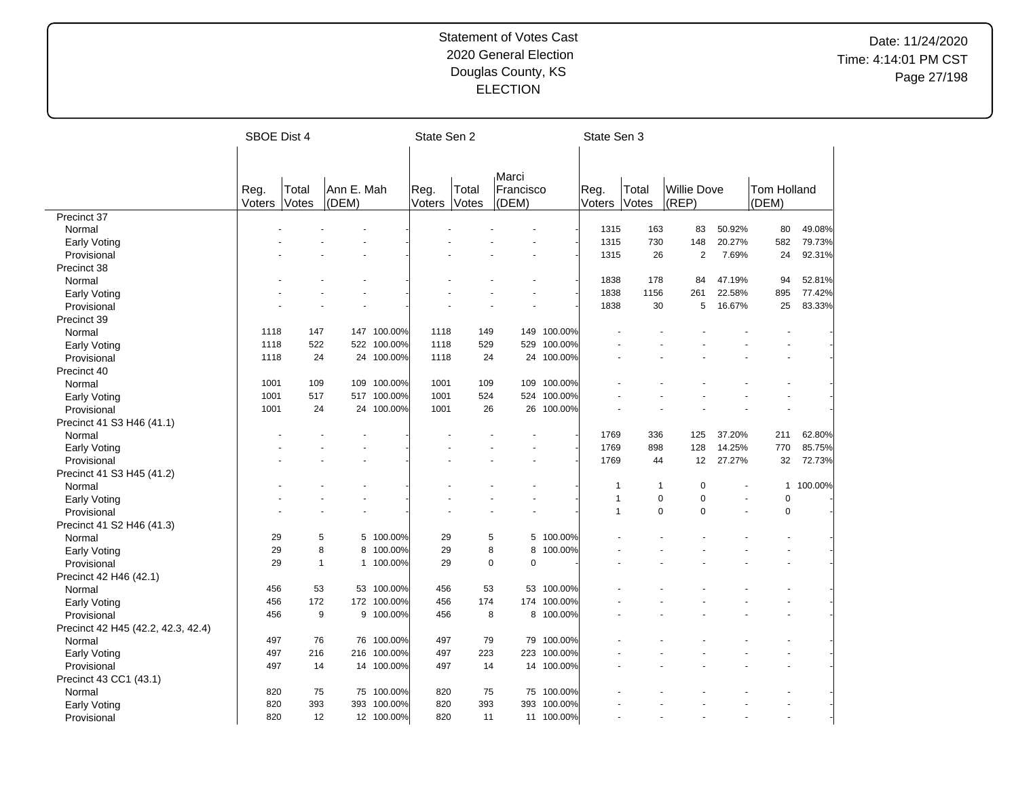|                                    | <b>SBOE Dist 4</b> |              |            |             |        | State Sen 2 |             |             | State Sen 3    |              |                    |        |              |         |
|------------------------------------|--------------------|--------------|------------|-------------|--------|-------------|-------------|-------------|----------------|--------------|--------------------|--------|--------------|---------|
|                                    |                    |              |            |             |        |             |             |             |                |              |                    |        |              |         |
|                                    |                    |              |            |             |        |             |             |             |                |              |                    |        |              |         |
|                                    |                    |              |            |             |        |             | Marci       |             |                |              |                    |        |              |         |
|                                    | Reg.               | Total        | Ann E. Mah |             | Reg.   | Total       | Francisco   |             | Reg.           | Total        | <b>Willie Dove</b> |        | Tom Holland  |         |
|                                    | Voters             | Votes        | (DEM)      |             | Voters | Votes       | (DEM)       |             | Voters         | Votes        | (REF)              |        | (DEM)        |         |
| Precinct 37                        |                    |              |            |             |        |             |             |             |                |              |                    |        |              |         |
| Normal                             |                    |              |            |             |        |             |             |             | 1315           | 163          | 83                 | 50.92% | 80           | 49.08%  |
| Early Voting                       |                    |              |            |             |        |             |             |             | 1315           | 730          | 148                | 20.27% | 582          | 79.73%  |
| Provisional                        |                    |              |            |             |        |             |             |             | 1315           | 26           | $\overline{2}$     | 7.69%  | 24           | 92.31%  |
| Precinct 38                        |                    |              |            |             |        |             |             |             |                |              |                    |        |              |         |
| Normal                             |                    |              |            |             |        |             |             |             | 1838           | 178          | 84                 | 47.19% | 94           | 52.81%  |
| Early Voting                       |                    |              |            |             |        |             |             |             | 1838           | 1156         | 261                | 22.58% | 895          | 77.42%  |
| Provisional                        |                    |              |            |             |        |             |             |             | 1838           | 30           | 5                  | 16.67% | 25           | 83.33%  |
| Precinct 39                        |                    |              |            |             |        |             |             |             |                |              |                    |        |              |         |
| Normal                             | 1118               | 147          |            | 147 100.00% | 1118   | 149         | 149         | 100.00%     |                |              |                    |        |              |         |
| Early Voting                       | 1118               | 522          | 522        | 100.00%     | 1118   | 529         | 529         | 100.00%     |                |              |                    |        |              |         |
| Provisional                        | 1118               | 24           | 24         | 100.00%     | 1118   | 24          | 24          | 100.00%     |                |              |                    |        |              |         |
| Precinct 40                        |                    |              |            |             |        |             |             |             |                |              |                    |        |              |         |
| Normal                             | 1001               | 109          | 109        | 100.00%     | 1001   | 109         | 109         | 100.00%     |                |              |                    |        |              |         |
| <b>Early Voting</b>                | 1001               | 517          |            | 517 100.00% | 1001   | 524         | 524         | 100.00%     |                |              |                    |        |              |         |
| Provisional                        | 1001               | 24           |            | 24 100.00%  | 1001   | 26          |             | 26 100.00%  |                |              |                    |        |              |         |
| Precinct 41 S3 H46 (41.1)          |                    |              |            |             |        |             |             |             |                |              |                    |        |              |         |
| Normal                             |                    |              |            |             |        |             |             |             | 1769           | 336          | 125                | 37.20% | 211          | 62.80%  |
| <b>Early Voting</b>                |                    |              |            |             |        |             |             |             | 1769           | 898          | 128                | 14.25% | 770          | 85.75%  |
| Provisional                        |                    |              |            |             |        |             |             |             | 1769           | 44           | 12                 | 27.27% | 32           | 72.73%  |
| Precinct 41 S3 H45 (41.2)          |                    |              |            |             |        |             |             |             |                |              |                    |        |              |         |
| Normal                             |                    |              |            |             |        |             |             |             | 1              | $\mathbf{1}$ | $\mathbf 0$        |        | $\mathbf{1}$ | 100.00% |
| <b>Early Voting</b>                |                    |              |            |             |        |             |             |             | 1              | 0            | $\mathbf 0$        |        | $\mathbf 0$  |         |
| Provisional                        |                    |              |            |             |        |             |             |             | $\overline{1}$ | $\mathbf 0$  | $\mathbf 0$        | ÷,     | 0            |         |
| Precinct 41 S2 H46 (41.3)          |                    |              |            |             |        |             |             |             |                |              |                    |        |              |         |
| Normal                             | 29                 | 5            |            | 5 100.00%   | 29     | 5           |             | 5 100.00%   |                |              |                    |        |              |         |
| Early Voting                       | 29                 | 8            | 8          | 100.00%     | 29     | 8           | 8           | 100.00%     |                |              |                    |        |              |         |
| Provisional                        | 29                 | $\mathbf{1}$ |            | 1 100.00%   | 29     | $\mathbf 0$ | $\mathbf 0$ |             |                |              |                    |        |              |         |
| Precinct 42 H46 (42.1)             |                    |              |            |             |        |             |             |             |                |              |                    |        |              |         |
| Normal                             | 456                | 53           |            | 53 100.00%  | 456    | 53          |             | 53 100.00%  |                |              |                    |        |              |         |
| <b>Early Voting</b>                | 456                | 172          |            | 172 100.00% | 456    | 174         |             | 174 100.00% |                |              |                    |        |              |         |
| Provisional                        | 456                | 9            |            | 9 100.00%   | 456    | 8           |             | 8 100.00%   |                |              |                    |        |              |         |
| Precinct 42 H45 (42.2, 42.3, 42.4) |                    |              |            |             |        |             |             |             |                |              |                    |        |              |         |
| Normal                             | 497                | 76           |            | 76 100.00%  | 497    | 79          |             | 79 100.00%  |                |              |                    |        |              |         |
| <b>Early Voting</b>                | 497                | 216          | 216        | 100.00%     | 497    | 223         | 223         | 100.00%     |                |              |                    |        |              |         |
| Provisional                        | 497                | 14           |            | 14 100.00%  | 497    | 14          |             | 14 100.00%  |                |              |                    |        |              |         |
| Precinct 43 CC1 (43.1)             |                    |              |            |             |        |             |             |             |                |              |                    |        |              |         |
| Normal                             | 820                | 75           | 75         | 100.00%     | 820    | 75          | 75          | 100.00%     |                |              |                    |        |              |         |
| Early Voting                       | 820                | 393          | 393        | 100.00%     | 820    | 393         | 393         | 100.00%     |                |              |                    |        |              |         |
| Provisional                        | 820                | 12           |            | 12 100.00%  | 820    | 11          |             | 11 100.00%  |                |              |                    |        |              |         |
|                                    |                    |              |            |             |        |             |             |             |                |              |                    |        |              |         |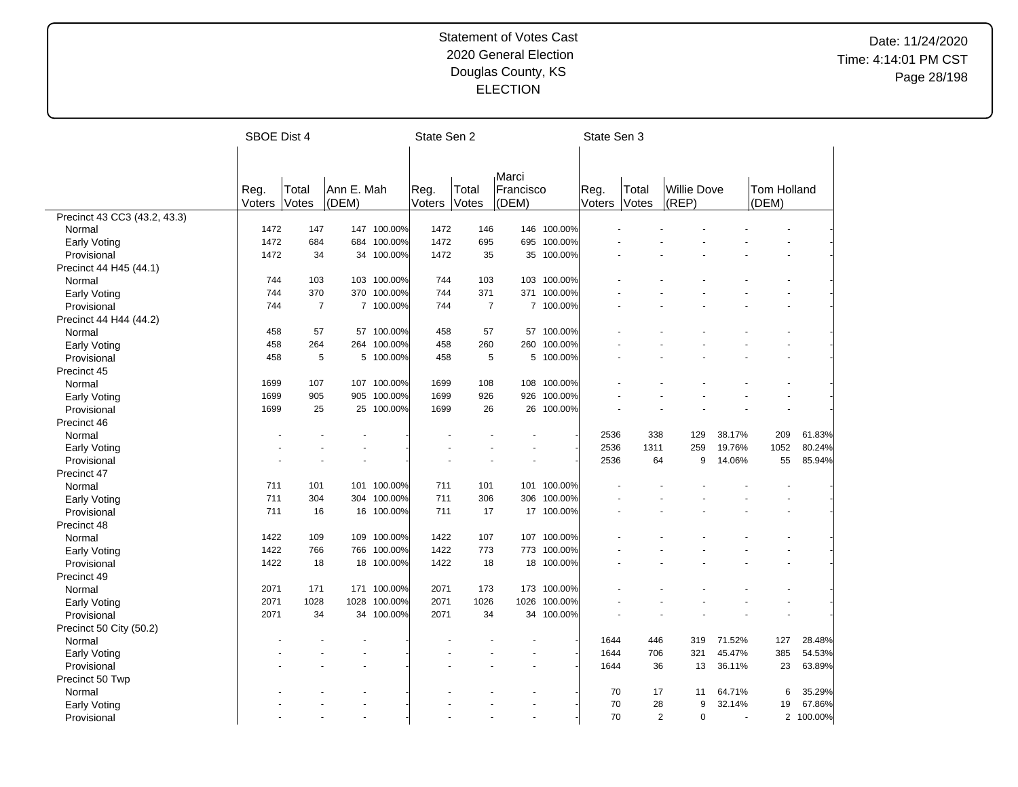|                              |        | SBOE Dist 4    |            |             |        | State Sen 2    |                          |             | State Sen 3  |           |                    |                  |             |                  |
|------------------------------|--------|----------------|------------|-------------|--------|----------------|--------------------------|-------------|--------------|-----------|--------------------|------------------|-------------|------------------|
|                              |        |                |            |             |        |                |                          |             |              |           |                    |                  |             |                  |
|                              |        |                |            |             |        |                |                          |             |              |           |                    |                  |             |                  |
|                              |        |                |            |             |        |                | Marci                    |             |              |           |                    |                  |             |                  |
|                              | Reg.   | Total          | Ann E. Mah |             | Reg.   | Total          | Francisco                |             | Reg.         | Total     | <b>Willie Dove</b> |                  | Tom Holland |                  |
|                              | Voters | Votes          | (DEM)      |             | Voters | Votes          | (DEM)                    |             | Voters       | Votes     | (REP)              |                  | (DEM)       |                  |
| Precinct 43 CC3 (43.2, 43.3) |        |                |            |             |        |                |                          |             |              |           |                    |                  |             |                  |
| Normal                       | 1472   | 147            |            | 147 100.00% | 1472   | 146            |                          | 146 100.00% |              |           |                    |                  |             |                  |
| Early Voting                 | 1472   | 684            |            | 684 100.00% | 1472   | 695            |                          | 695 100.00% |              |           |                    |                  |             |                  |
| Provisional                  | 1472   | 34             | 34         | 100.00%     | 1472   | 35             | 35                       | 100.00%     |              |           |                    |                  |             |                  |
| Precinct 44 H45 (44.1)       |        |                |            |             |        |                |                          |             |              |           |                    |                  |             |                  |
| Normal                       | 744    | 103            |            | 103 100.00% | 744    | 103            |                          | 103 100.00% |              |           |                    |                  |             |                  |
| Early Voting                 | 744    | 370            | 370        | 100.00%     | 744    | 371            |                          | 371 100.00% |              |           |                    |                  |             |                  |
| Provisional                  | 744    | $\overline{7}$ |            | 7 100.00%   | 744    | $\overline{7}$ |                          | 7 100.00%   |              |           |                    |                  |             |                  |
| Precinct 44 H44 (44.2)       |        |                |            |             |        |                |                          |             |              |           |                    |                  |             |                  |
| Normal                       | 458    | 57             |            | 57 100.00%  | 458    | 57             |                          | 57 100.00%  |              |           |                    |                  |             |                  |
| Early Voting                 | 458    | 264            |            | 264 100.00% | 458    | 260            | 260                      | 100.00%     |              |           |                    |                  |             |                  |
| Provisional                  | 458    | 5              |            | 5 100.00%   | 458    | 5              |                          | 5 100.00%   |              |           |                    |                  |             |                  |
| Precinct 45                  |        |                |            |             |        |                |                          |             |              |           |                    |                  |             |                  |
| Normal                       | 1699   | 107            |            | 107 100.00% | 1699   | 108            |                          | 108 100.00% |              |           |                    |                  |             |                  |
| Early Voting                 | 1699   | 905            | 905        | 100.00%     | 1699   | 926            | 926                      | 100.00%     |              |           |                    |                  |             |                  |
| Provisional                  | 1699   | 25             |            | 25 100.00%  | 1699   | 26             |                          | 26 100.00%  |              |           |                    |                  |             |                  |
| Precinct 46                  |        |                |            |             |        |                |                          |             |              |           |                    |                  |             |                  |
| Normal                       |        |                |            |             |        |                |                          |             | 2536         | 338       | 129                | 38.17%           | 209         | 61.83%           |
| Early Voting                 |        |                |            |             |        |                |                          |             | 2536         | 1311      | 259                | 19.76%           | 1052        | 80.24%           |
| Provisional                  |        |                |            |             |        |                |                          |             | 2536         | 64        | 9                  | 14.06%           | 55          | 85.94%           |
| Precinct 47                  |        |                |            |             |        |                |                          |             |              |           |                    |                  |             |                  |
| Normal                       | 711    | 101            |            | 101 100.00% | 711    | 101            |                          | 101 100.00% |              |           |                    |                  |             |                  |
| <b>Early Voting</b>          | 711    | 304            | 304        | 100.00%     | 711    | 306            | 306                      | 100.00%     |              |           |                    |                  |             |                  |
| Provisional                  | 711    | 16             |            | 16 100.00%  | 711    | 17             |                          | 17 100.00%  |              |           |                    |                  |             |                  |
| Precinct 48                  |        |                |            |             |        |                |                          |             |              |           |                    |                  |             |                  |
| Normal                       | 1422   | 109            |            | 109 100.00% | 1422   | 107            |                          | 107 100.00% |              |           |                    |                  |             |                  |
| <b>Early Voting</b>          | 1422   | 766            | 766        | 100.00%     | 1422   | 773            |                          | 773 100.00% |              |           |                    |                  |             |                  |
| Provisional                  | 1422   | 18             |            | 18 100.00%  | 1422   | 18             |                          | 18 100.00%  |              |           |                    |                  |             |                  |
| Precinct 49                  |        |                |            |             |        |                |                          |             |              |           |                    |                  |             |                  |
| Normal                       | 2071   | 171            |            | 171 100.00% | 2071   | 173            |                          | 173 100.00% |              |           |                    |                  |             |                  |
|                              | 2071   | 1028           | 1028       | 100.00%     | 2071   | 1026           | 1026                     | 100.00%     |              |           |                    |                  |             |                  |
| Early Voting<br>Provisional  | 2071   | 34             |            | 34 100.00%  | 2071   | 34             |                          | 34 100.00%  |              |           |                    |                  |             |                  |
|                              |        |                |            |             |        |                |                          |             |              |           |                    |                  |             |                  |
| Precinct 50 City (50.2)      |        |                |            |             |        |                |                          |             |              |           |                    |                  |             |                  |
| Normal                       |        |                |            |             |        |                |                          |             | 1644         | 446       | 319                | 71.52%           | 127         | 28.48%<br>54.53% |
| <b>Early Voting</b>          |        |                |            |             |        |                |                          |             | 1644<br>1644 | 706<br>36 | 321                | 45.47%<br>36.11% | 385<br>23   |                  |
| Provisional                  |        |                |            |             |        |                |                          |             |              |           | 13                 |                  |             | 63.89%           |
| Precinct 50 Twp              |        |                |            |             |        |                |                          |             |              |           |                    |                  |             |                  |
| Normal                       |        |                |            |             |        |                |                          |             | 70           | 17        | 11                 | 64.71%           | 6           | 35.29%           |
| <b>Early Voting</b>          |        |                |            |             |        |                |                          |             | 70           | 28        | 9                  | 32.14%           | 19          | 67.86%           |
| Provisional                  |        |                |            |             |        |                | $\overline{\phantom{a}}$ |             | 70           | 2         | $\Omega$           | $\overline{a}$   |             | 2 100.00%        |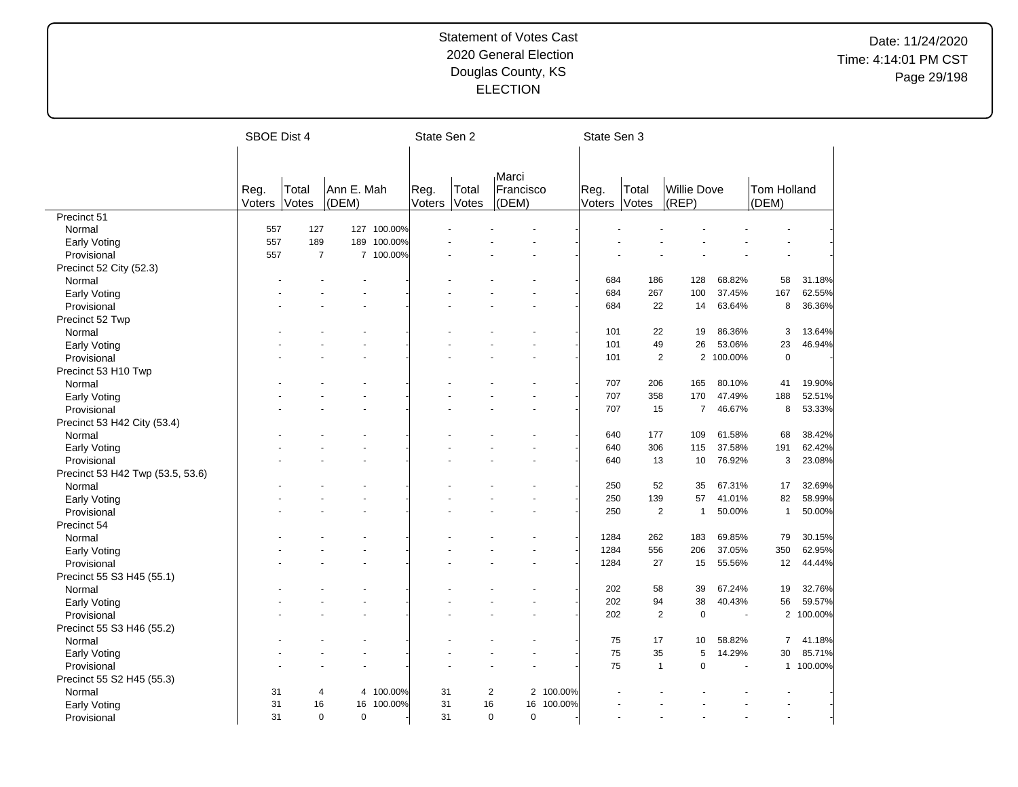|                                  | <b>SBOE Dist 4</b> |                |            |             | State Sen 2 |       |                                  |         | State Sen 3 |                |                |                          |                |           |
|----------------------------------|--------------------|----------------|------------|-------------|-------------|-------|----------------------------------|---------|-------------|----------------|----------------|--------------------------|----------------|-----------|
|                                  |                    |                |            |             |             |       |                                  |         |             |                |                |                          |                |           |
|                                  |                    |                |            |             |             |       |                                  |         |             |                |                |                          |                |           |
|                                  |                    |                |            |             |             |       | Marci                            |         |             |                |                |                          |                |           |
|                                  | Reg.               | Total          | Ann E. Mah |             | Reg.        | Total | Francisco                        |         | Reg.        | Total          | Willie Dove    |                          | Tom Holland    |           |
|                                  | Voters             | Votes          | (DEM)      |             | Voters      | Votes | (DEM)                            |         | Voters      | Votes          | (REP)          |                          | (DEM)          |           |
| Precinct 51                      |                    |                |            |             |             |       |                                  |         |             |                |                |                          |                |           |
| Normal                           | 557                | 127            | 127        | 100.00%     |             |       |                                  |         |             |                |                |                          |                |           |
| Early Voting                     | 557                | 189            |            | 189 100.00% |             |       |                                  |         |             |                |                |                          |                |           |
| Provisional                      | 557                | $\overline{7}$ |            | 7 100.00%   |             |       |                                  |         |             |                |                |                          |                |           |
| Precinct 52 City (52.3)          |                    |                |            |             |             |       |                                  |         |             |                |                |                          |                |           |
| Normal                           |                    |                |            |             |             |       |                                  |         | 684         | 186            | 128            | 68.82%                   | 58             | 31.18%    |
| Early Voting                     |                    |                |            |             |             |       |                                  |         | 684         | 267            | 100            | 37.45%                   | 167            | 62.55%    |
| Provisional                      |                    |                |            |             |             |       |                                  |         | 684         | 22             | 14             | 63.64%                   | 8              | 36.36%    |
| Precinct 52 Twp                  |                    |                |            |             |             |       |                                  |         |             |                |                |                          |                |           |
| Normal                           |                    |                |            |             |             |       |                                  |         | 101         | 22             | 19             | 86.36%                   | 3              | 13.64%    |
| Early Voting                     |                    |                |            |             |             |       |                                  |         | 101         | 49             | 26             | 53.06%                   | 23             | 46.94%    |
| Provisional                      |                    |                |            |             |             |       |                                  |         | 101         | $\overline{2}$ |                | $\mathbf{2}$<br>100.00%  | $\mathbf 0$    |           |
| Precinct 53 H10 Twp              |                    |                |            |             |             |       |                                  |         |             |                |                |                          |                |           |
| Normal                           |                    |                |            |             |             |       |                                  |         | 707         | 206            | 165            | 80.10%                   | 41             | 19.90%    |
| <b>Early Voting</b>              |                    |                |            |             |             |       |                                  |         | 707         | 358            | 170            | 47.49%                   | 188            | 52.51%    |
| Provisional                      |                    |                |            |             |             |       |                                  |         | 707         | 15             |                | $\overline{7}$<br>46.67% | 8              | 53.33%    |
| Precinct 53 H42 City (53.4)      |                    |                |            |             |             |       |                                  |         |             |                |                |                          |                |           |
| Normal                           |                    |                |            |             |             |       |                                  |         | 640         | 177            | 109            | 61.58%                   | 68             | 38.42%    |
| <b>Early Voting</b>              |                    |                |            |             |             |       |                                  |         | 640         | 306            | 115            | 37.58%                   | 191            | 62.42%    |
| Provisional                      |                    |                |            |             |             |       |                                  |         | 640         | 13             | 10             | 76.92%                   | 3              | 23.08%    |
| Precinct 53 H42 Twp (53.5, 53.6) |                    |                |            |             |             |       |                                  |         |             |                |                |                          |                |           |
| Normal                           |                    |                |            |             |             |       |                                  |         | 250         | 52             | 35             | 67.31%                   | 17             | 32.69%    |
|                                  |                    |                |            |             |             |       |                                  |         | 250         | 139            | 57             | 41.01%                   | 82             | 58.99%    |
| Early Voting                     |                    |                |            |             |             |       |                                  |         | 250         | 2              | $\overline{1}$ | 50.00%                   | $\mathbf{1}$   | 50.00%    |
| Provisional                      |                    |                |            |             |             |       |                                  |         |             |                |                |                          |                |           |
| Precinct 54                      |                    |                |            |             |             |       |                                  |         |             |                |                |                          |                |           |
| Normal                           |                    |                |            |             |             |       |                                  |         | 1284        | 262            | 183            | 69.85%                   | 79             | 30.15%    |
| <b>Early Voting</b>              |                    |                |            |             |             |       |                                  |         | 1284        | 556            | 206            | 37.05%                   | 350            | 62.95%    |
| Provisional                      |                    |                |            |             |             |       |                                  |         | 1284        | 27             | 15             | 55.56%                   | 12             | 44.44%    |
| Precinct 55 S3 H45 (55.1)        |                    |                |            |             |             |       |                                  |         |             |                |                |                          |                |           |
| Normal                           |                    |                |            |             |             |       |                                  |         | 202         | 58             | 39             | 67.24%                   | 19             | 32.76%    |
| <b>Early Voting</b>              |                    |                |            |             |             |       |                                  |         | 202         | 94             | 38             | 40.43%                   | 56             | 59.57%    |
| Provisional                      |                    |                |            |             |             |       |                                  |         | 202         | $\overline{2}$ | $\mathbf 0$    |                          |                | 2 100.00% |
| Precinct 55 S3 H46 (55.2)        |                    |                |            |             |             |       |                                  |         |             |                |                |                          |                |           |
| Normal                           |                    |                |            |             |             |       |                                  |         | 75          | 17             | 10             | 58.82%                   | $\overline{7}$ | 41.18%    |
| <b>Early Voting</b>              |                    |                |            |             |             |       |                                  |         | 75          | 35             | 5              | 14.29%                   | 30             | 85.71%    |
| Provisional                      |                    |                |            |             |             |       |                                  |         | 75          | $\overline{1}$ |                | $\mathbf 0$              |                | 1 100.00% |
| Precinct 55 S2 H45 (55.3)        |                    |                |            |             |             |       |                                  |         |             |                |                |                          |                |           |
| Normal                           | 31                 | 4              | 4          | 100.00%     | 31          |       | $\overline{c}$<br>$\overline{c}$ | 100.00% |             |                |                |                          |                |           |
| Early Voting                     | 31                 | 16             | 16         | 100.00%     | 31          | 16    | 16                               | 100.00% |             |                |                |                          |                |           |
| Provisional                      | 31                 | $\Omega$       | $\Omega$   |             | 31          |       | $\Omega$<br>$\Omega$             |         |             |                |                |                          |                |           |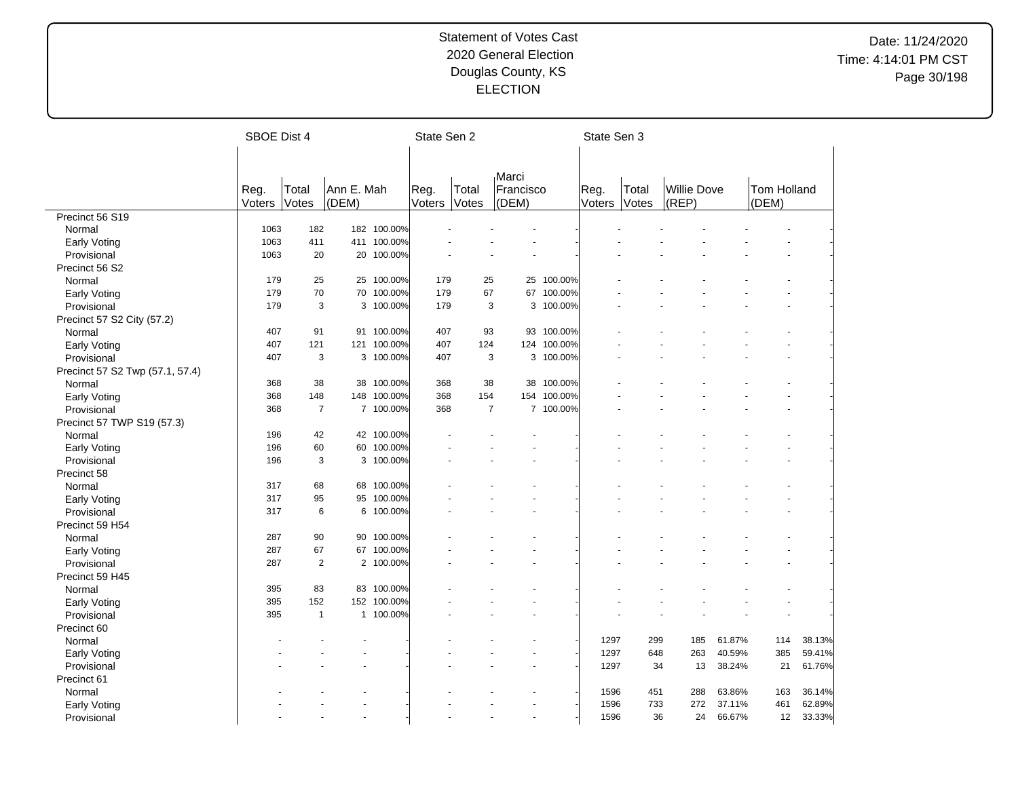|                                 | SBOE Dist 4 |                |            |             |        | State Sen 2    |           |             | State Sen 3 |       |                    |        |             |        |
|---------------------------------|-------------|----------------|------------|-------------|--------|----------------|-----------|-------------|-------------|-------|--------------------|--------|-------------|--------|
|                                 |             |                |            |             |        |                |           |             |             |       |                    |        |             |        |
|                                 |             |                |            |             |        |                |           |             |             |       |                    |        |             |        |
|                                 |             |                |            |             |        |                | Marci     |             |             |       |                    |        |             |        |
|                                 | Reg.        | Total          | Ann E. Mah |             | Reg.   | Total          | Francisco |             | Reg.        | Total | <b>Willie Dove</b> |        | Tom Holland |        |
|                                 | Voters      | Votes          | (DEM)      |             | Voters | Votes          | (DEM)     |             | Voters      | Votes | (REF)              |        | (DEM)       |        |
| Precinct 56 S19                 |             |                |            |             |        |                |           |             |             |       |                    |        |             |        |
| Normal                          | 1063        | 182            |            | 182 100.00% |        |                |           |             |             |       |                    |        |             |        |
| Early Voting                    | 1063        | 411            |            | 411 100.00% |        |                |           |             |             |       |                    |        |             |        |
| Provisional                     | 1063        | 20             | 20         | 100.00%     |        |                |           |             |             |       |                    |        |             |        |
| Precinct 56 S2                  |             |                |            |             |        |                |           |             |             |       |                    |        |             |        |
| Normal                          | 179         | 25             |            | 25 100.00%  | 179    | 25             | 25        | 100.00%     |             |       |                    |        |             |        |
| Early Voting                    | 179         | 70             | 70         | 100.00%     | 179    | 67             | 67        | 100.00%     |             |       |                    |        |             |        |
| Provisional                     | 179         | 3              |            | 3 100.00%   | 179    | 3              |           | 3 100.00%   |             |       |                    |        |             |        |
| Precinct 57 S2 City (57.2)      |             |                |            |             |        |                |           |             |             |       |                    |        |             |        |
| Normal                          | 407         | 91             |            | 91 100.00%  | 407    | 93             |           | 93 100.00%  |             |       |                    |        |             |        |
| Early Voting                    | 407         | 121            | 121        | 100.00%     | 407    | 124            |           | 124 100.00% |             |       |                    |        |             |        |
| Provisional                     | 407         | 3              |            | 3 100.00%   | 407    | 3              |           | 3 100.00%   |             |       |                    |        |             |        |
| Precinct 57 S2 Twp (57.1, 57.4) |             |                |            |             |        |                |           |             |             |       |                    |        |             |        |
| Normal                          | 368         | 38             |            | 38 100.00%  | 368    | 38             | 38        | 100.00%     |             |       |                    |        |             |        |
| Early Voting                    | 368         | 148            | 148        | 100.00%     | 368    | 154            | 154       | 100.00%     |             |       |                    |        |             |        |
| Provisional                     | 368         | $\overline{7}$ |            | 7 100.00%   | 368    | $\overline{7}$ |           | 7 100.00%   |             |       |                    |        |             |        |
| Precinct 57 TWP S19 (57.3)      |             |                |            |             |        |                |           |             |             |       |                    |        |             |        |
| Normal                          | 196         | 42             |            | 42 100.00%  |        |                |           |             |             |       |                    |        |             |        |
| <b>Early Voting</b>             | 196         | 60             | 60         | 100.00%     |        |                |           |             |             |       |                    |        |             |        |
| Provisional                     | 196         | 3              |            | 3 100.00%   |        |                |           |             |             |       |                    |        |             |        |
| Precinct 58                     |             |                |            |             |        |                |           |             |             |       |                    |        |             |        |
| Normal                          | 317         | 68             |            | 68 100.00%  |        |                |           |             |             |       |                    |        |             |        |
| <b>Early Voting</b>             | 317         | 95             | 95         | 100.00%     |        |                |           |             |             |       |                    |        |             |        |
| Provisional                     | 317         | 6              | 6          | 100.00%     |        |                |           |             |             |       |                    |        |             |        |
| Precinct 59 H54                 |             |                |            |             |        |                |           |             |             |       |                    |        |             |        |
| Normal                          | 287         | 90             |            | 90 100.00%  |        |                |           |             |             |       |                    |        |             |        |
|                                 | 287         | 67             | 67         | 100.00%     |        |                |           |             |             |       |                    |        |             |        |
| <b>Early Voting</b>             | 287         | $\overline{2}$ |            | 2 100.00%   |        |                |           |             |             |       |                    |        |             |        |
| Provisional                     |             |                |            |             |        |                |           |             |             |       |                    |        |             |        |
| Precinct 59 H45                 | 395         | 83             |            | 83 100.00%  |        |                |           |             |             |       |                    |        |             |        |
| Normal                          |             |                |            |             |        |                |           |             |             |       |                    |        |             |        |
| Early Voting                    | 395         | 152            |            | 152 100.00% |        |                |           |             |             |       |                    |        |             |        |
| Provisional                     | 395         | $\overline{1}$ |            | 1 100.00%   |        |                |           |             |             |       |                    |        |             |        |
| Precinct 60                     |             |                |            |             |        |                |           |             |             |       |                    |        |             |        |
| Normal                          |             |                |            |             |        |                |           |             | 1297        | 299   | 185                | 61.87% | 114         | 38.13% |
| Early Voting                    |             |                |            |             |        |                |           |             | 1297        | 648   | 263                | 40.59% | 385         | 59.41% |
| Provisional                     |             |                |            |             |        |                |           |             | 1297        | 34    | 13                 | 38.24% | 21          | 61.76% |
| Precinct 61                     |             |                |            |             |        |                |           |             |             |       |                    |        |             |        |
| Normal                          |             |                |            |             |        |                |           |             | 1596        | 451   | 288                | 63.86% | 163         | 36.14% |
| Early Voting                    |             |                |            |             |        |                |           |             | 1596        | 733   | 272                | 37.11% | 461         | 62.89% |
| Provisional                     |             |                |            |             |        |                |           |             | 1596        | 36    | 24                 | 66.67% | 12          | 33.33% |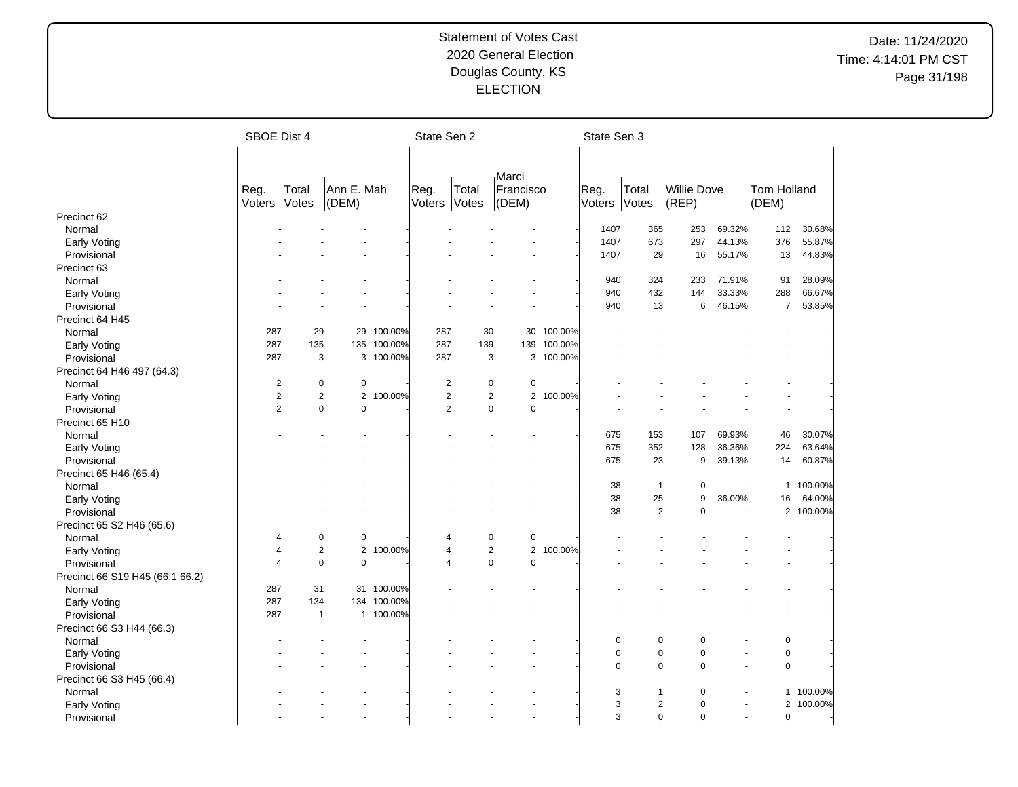|                                 | SBOE Dist 4    |                |                |           | State Sen 2    |                |                    |         | State Sen 3    |                |             |                          |                       |           |
|---------------------------------|----------------|----------------|----------------|-----------|----------------|----------------|--------------------|---------|----------------|----------------|-------------|--------------------------|-----------------------|-----------|
|                                 |                |                |                |           |                |                |                    |         |                |                |             |                          |                       |           |
|                                 |                |                |                |           |                |                |                    |         |                |                |             |                          |                       |           |
|                                 |                |                | Ann E. Mah     |           |                |                | Marci              |         |                | Total          | Willie Dove |                          |                       |           |
|                                 | Reg.<br>Voters | Total<br>Votes | (DEM)          |           | Reg.<br>Voters | Total<br>Votes | Francisco<br>(DEM) |         | Reg.<br>Voters | Votes          | (REP)       |                          | Tom Holland<br>(DEM)  |           |
| Precinct 62                     |                |                |                |           |                |                |                    |         |                |                |             |                          |                       |           |
| Normal                          |                |                |                |           |                |                |                    |         | 1407           | 365            | 253         | 69.32%                   | 112                   | 30.68%    |
| <b>Early Voting</b>             |                |                |                |           |                |                |                    |         | 1407           | 673            | 297         | 44.13%                   | 376                   | 55.87%    |
| Provisional                     |                |                |                |           |                |                |                    |         | 1407           | 29             | 16          | 55.17%                   | 13                    | 44.83%    |
| Precinct 63                     |                |                |                |           |                |                |                    |         |                |                |             |                          |                       |           |
| Normal                          |                |                |                |           |                |                |                    |         | 940            | 324            | 233         | 71.91%                   | 91                    | 28.09%    |
| <b>Early Voting</b>             |                |                |                |           |                |                |                    |         | 940            | 432            | 144         | 33.33%                   | 288                   | 66.67%    |
| Provisional                     |                |                |                |           |                |                |                    |         | 940            | 13             | 6           | 46.15%                   | $\overline{7}$        | 53.85%    |
| Precinct 64 H45                 |                |                |                |           |                |                |                    |         |                |                |             |                          |                       |           |
| Normal                          | 287            | 29             | 29             | 100.00%   | 287            | 30             | 30                 | 100.00% |                |                |             |                          |                       |           |
| Early Voting                    | 287            | 135            | 135            | 100.00%   | 287            | 139            | 139                | 100.00% |                |                |             |                          |                       |           |
| Provisional                     | 287            | 3              | 3              | 100.00%   | 287            | 3              | 3                  | 100.00% |                |                |             |                          |                       |           |
|                                 |                |                |                |           |                |                |                    |         |                |                |             |                          |                       |           |
| Precinct 64 H46 497 (64.3)      | $\overline{2}$ | 0              | $\pmb{0}$      |           | $\overline{2}$ | $\pmb{0}$      | $\pmb{0}$          |         |                |                |             |                          |                       |           |
| Normal                          | $\overline{2}$ | $\overline{2}$ | $\overline{2}$ | 100.00%   | $\overline{2}$ | $\overline{2}$ | $\overline{2}$     | 100.00% |                |                |             |                          |                       |           |
| Early Voting                    | $\overline{2}$ | $\mathbf 0$    | $\mathbf 0$    |           | $\overline{2}$ | 0              | $\mathbf 0$        |         |                |                |             |                          |                       |           |
| Provisional                     |                |                |                |           |                |                |                    |         |                |                |             |                          |                       |           |
| Precinct 65 H10                 |                |                |                |           |                |                |                    |         |                |                |             |                          |                       |           |
| Normal                          |                |                |                |           |                |                |                    |         | 675            | 153            | 107         | 69.93%                   | 46                    | 30.07%    |
| <b>Early Voting</b>             |                |                |                |           |                |                |                    |         | 675            | 352            | 128         | 36.36%                   | 224                   | 63.64%    |
| Provisional                     |                |                |                |           |                |                |                    |         | 675            | 23             | 9           | 39.13%                   | 14                    | 60.87%    |
| Precinct 65 H46 (65.4)          |                |                |                |           |                |                |                    |         |                |                |             |                          |                       |           |
| Normal                          |                |                |                |           |                |                |                    |         | 38             | $\overline{1}$ | $\mathbf 0$ | $\overline{\phantom{a}}$ | $\mathbf{1}$          | 100.00%   |
| Early Voting                    |                |                |                |           |                |                |                    |         | 38             | 25             | 9           | 36.00%                   | 16                    | 64.00%    |
| Provisional                     |                |                |                |           |                |                |                    |         | 38             | $\overline{2}$ | $\mathbf 0$ |                          | $\mathbf{2}^{\prime}$ | 100.00%   |
| Precinct 65 S2 H46 (65.6)       |                |                |                |           |                |                |                    |         |                |                |             |                          |                       |           |
| Normal                          | 4              | $\mathbf 0$    | 0              |           | 4              | $\mathbf 0$    | 0                  |         |                |                |             |                          |                       |           |
| <b>Early Voting</b>             | $\overline{4}$ | $\overline{2}$ | $\overline{2}$ | 100.00%   | 4              | $\overline{2}$ | $\overline{2}$     | 100.00% |                |                |             |                          |                       |           |
| Provisional                     | $\overline{4}$ | $\mathbf 0$    | $\mathbf 0$    |           | 4              | 0              | $\Omega$           |         |                |                |             |                          |                       |           |
| Precinct 66 S19 H45 (66.1 66.2) |                |                |                |           |                |                |                    |         |                |                |             |                          |                       |           |
| Normal                          | 287            | 31             | 31             | 100.00%   |                |                |                    |         |                |                |             |                          |                       |           |
| Early Voting                    | 287            | 134            | 134            | 100.00%   |                |                |                    |         |                |                |             |                          |                       |           |
| Provisional                     | 287            | $\overline{1}$ |                | 1 100.00% |                |                |                    |         |                |                |             |                          |                       |           |
| Precinct 66 S3 H44 (66.3)       |                |                |                |           |                |                |                    |         |                |                |             |                          |                       |           |
| Normal                          |                |                |                |           |                |                |                    |         | $\mathbf 0$    | 0              | $\mathbf 0$ |                          | $\mathbf 0$           |           |
| <b>Early Voting</b>             |                |                |                |           |                |                |                    |         | $\mathbf 0$    | $\mathbf 0$    | $\mathbf 0$ | $\sim$                   | $\mathbf 0$           |           |
| Provisional                     |                |                |                |           |                |                |                    |         | $\mathbf 0$    | $\mathbf 0$    | $\mathbf 0$ |                          | $\mathsf 0$           |           |
| Precinct 66 S3 H45 (66.4)       |                |                |                |           |                |                |                    |         |                |                |             |                          |                       |           |
| Normal                          |                |                |                |           |                |                |                    |         | 3              | $\mathbf 1$    | $\mathbf 0$ |                          |                       | 1 100.00% |
| Early Voting                    |                |                |                |           |                |                |                    |         | 3              | $\overline{2}$ | $\mathbf 0$ |                          | $\overline{2}$        | 100.00%   |
| Provisional                     |                |                |                |           |                |                |                    |         | 3              | $\Omega$       | $\Omega$    |                          | $\mathbf 0$           |           |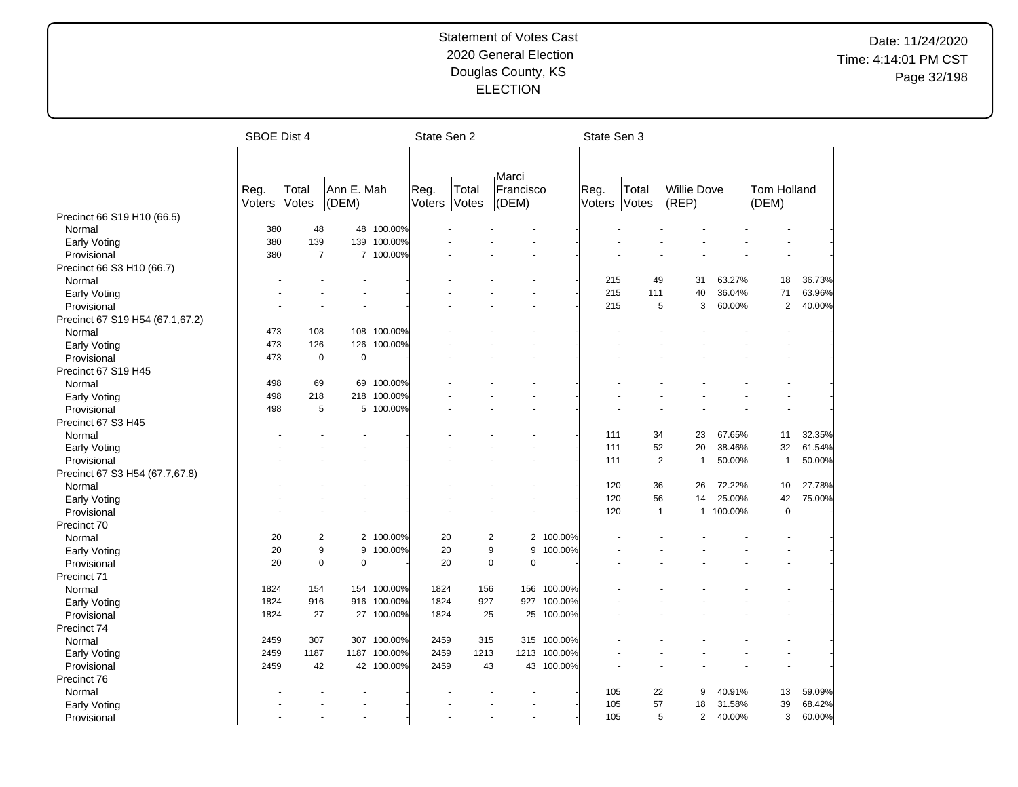|                                 | <b>SBOE Dist 4</b> |                |                     |             | State Sen 2    |                |                    |            | State Sen 3    |                |             |                |         |                             |        |
|---------------------------------|--------------------|----------------|---------------------|-------------|----------------|----------------|--------------------|------------|----------------|----------------|-------------|----------------|---------|-----------------------------|--------|
|                                 |                    |                |                     |             |                |                |                    |            |                |                |             |                |         |                             |        |
|                                 |                    |                |                     |             |                |                |                    |            |                |                |             |                |         |                             |        |
|                                 |                    |                |                     |             |                |                | Marci              |            |                |                | Willie Dove |                |         |                             |        |
|                                 | Reg.<br>Voters     | Total<br>Votes | Ann E. Mah<br>(DEM) |             | Reg.<br>Voters | Total<br>Votes | Francisco<br>(DEM) |            | Reg.<br>Voters | Total<br>Votes | (REP)       |                |         | <b>Tom Holland</b><br>(DEM) |        |
| Precinct 66 S19 H10 (66.5)      |                    |                |                     |             |                |                |                    |            |                |                |             |                |         |                             |        |
| Normal                          | 380                | 48             | 48                  | 100.00%     |                |                |                    |            |                |                |             |                |         |                             |        |
| <b>Early Voting</b>             | 380                | 139            | 139                 | 100.00%     |                |                |                    |            |                |                |             |                |         |                             |        |
| Provisional                     | 380                | $\overline{7}$ | $\overline{7}$      | 100.00%     |                |                |                    |            |                |                |             |                |         |                             |        |
| Precinct 66 S3 H10 (66.7)       |                    |                |                     |             |                |                |                    |            |                |                |             |                |         |                             |        |
|                                 |                    |                |                     |             |                |                |                    |            | 215            | 49             |             | 31             | 63.27%  | 18                          | 36.73% |
| Normal                          |                    |                |                     |             |                |                |                    |            | 215            | 111            |             | 40             | 36.04%  | 71                          | 63.96% |
| <b>Early Voting</b>             |                    |                |                     |             |                |                |                    |            | 215            | 5              |             | 3              |         | $\overline{2}$              |        |
| Provisional                     |                    |                |                     |             |                |                |                    |            |                |                |             |                | 60.00%  |                             | 40.00% |
| Precinct 67 S19 H54 (67.1,67.2) |                    |                |                     |             |                |                |                    |            |                |                |             |                |         |                             |        |
| Normal                          | 473                | 108            |                     | 108 100.00% |                |                |                    |            |                |                |             |                |         |                             |        |
| Early Voting                    | 473                | 126            | 126                 | 100.00%     |                |                |                    |            |                |                |             |                |         |                             |        |
| Provisional                     | 473                | $\mathbf 0$    | $\mathbf 0$         |             |                |                |                    |            |                |                |             |                |         |                             |        |
| Precinct 67 S19 H45             |                    |                |                     |             |                |                |                    |            |                |                |             |                |         |                             |        |
| Normal                          | 498                | 69             | 69                  | 100.00%     |                |                |                    |            |                |                |             |                |         |                             |        |
| <b>Early Voting</b>             | 498                | 218            | 218                 | 100.00%     |                |                |                    |            |                |                |             |                |         |                             |        |
| Provisional                     | 498                | 5              |                     | 5 100.00%   |                |                |                    |            |                |                |             |                |         |                             |        |
| Precinct 67 S3 H45              |                    |                |                     |             |                |                |                    |            |                |                |             |                |         |                             |        |
| Normal                          |                    |                |                     |             |                |                |                    |            | 111            | 34             |             | 23             | 67.65%  | 11                          | 32.35% |
| <b>Early Voting</b>             |                    |                |                     |             |                |                |                    |            | 111            | 52             |             | 20             | 38.46%  | 32                          | 61.54% |
| Provisional                     |                    |                |                     |             |                |                |                    |            | 111            | $\overline{2}$ |             | $\overline{1}$ | 50.00%  | $\overline{1}$              | 50.00% |
| Precinct 67 S3 H54 (67.7,67.8)  |                    |                |                     |             |                |                |                    |            |                |                |             |                |         |                             |        |
| Normal                          |                    |                |                     |             |                |                |                    |            | 120            | 36             |             | 26             | 72.22%  | 10                          | 27.78% |
| Early Voting                    |                    |                |                     |             |                |                |                    |            | 120            | 56             |             | 14             | 25.00%  | 42                          | 75.00% |
| Provisional                     |                    |                |                     |             |                |                |                    |            | 120            | $\overline{1}$ |             | $\mathbf{1}$   | 100.00% | $\mathbf 0$                 |        |
| Precinct 70                     |                    |                |                     |             |                |                |                    |            |                |                |             |                |         |                             |        |
| Normal                          | 20                 | $\overline{2}$ |                     | 2 100.00%   | 20             |                | $\overline{c}$     | 2 100.00%  |                |                |             |                |         |                             |        |
| <b>Early Voting</b>             | 20                 | 9              | 9                   | 100.00%     | 20             |                | 9<br>9             | 100.00%    |                |                |             |                |         |                             |        |
| Provisional                     | 20                 | $\mathbf 0$    | $\mathbf 0$         |             | 20             |                | $\mathbf 0$<br>0   |            |                |                |             |                |         |                             |        |
| Precinct 71                     |                    |                |                     |             |                |                |                    |            |                |                |             |                |         |                             |        |
| Normal                          | 1824               | 154            | 154                 | 100.00%     | 1824           | 156            | 156                | 100.00%    |                |                |             |                |         |                             |        |
| <b>Early Voting</b>             | 1824               | 916            | 916                 | 100.00%     | 1824           | 927            | 927                | 100.00%    |                |                |             |                |         |                             |        |
| Provisional                     | 1824               | 27             | 27                  | 100.00%     | 1824           | 25             | 25                 | 100.00%    |                |                |             |                |         |                             |        |
| Precinct 74                     |                    |                |                     |             |                |                |                    |            |                |                |             |                |         |                             |        |
| Normal                          | 2459               | 307            | 307                 | 100.00%     | 2459           | 315            | 315                | 100.00%    |                |                |             |                |         |                             |        |
| Early Voting                    | 2459               | 1187           | 1187                | 100.00%     | 2459           | 1213           | 1213               | 100.00%    |                |                |             |                |         |                             |        |
| Provisional                     | 2459               | 42             |                     | 42 100.00%  | 2459           | 43             |                    | 43 100.00% |                |                |             |                |         |                             |        |
| Precinct 76                     |                    |                |                     |             |                |                |                    |            |                |                |             |                |         |                             |        |
| Normal                          |                    |                |                     |             |                |                |                    |            | 105            | 22             |             | 9              | 40.91%  | 13                          | 59.09% |
| <b>Early Voting</b>             |                    |                |                     |             |                |                |                    |            | 105            | 57             |             | 18             | 31.58%  | 39                          | 68.42% |
| Provisional                     |                    |                |                     |             |                |                | ÷.                 |            | 105            | 5              |             | 2              | 40.00%  | 3                           | 60.00% |
|                                 |                    |                |                     |             |                |                |                    |            |                |                |             |                |         |                             |        |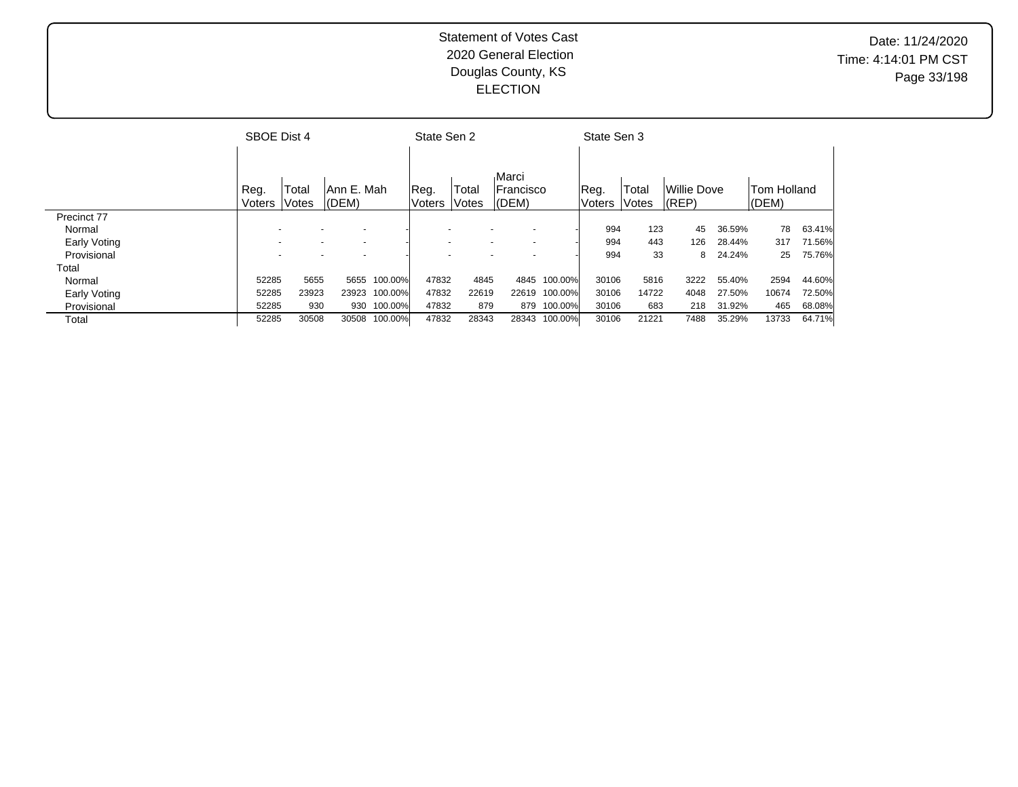|              | SBOE Dist 4 |       |                          |              | State Sen 2   |       |                  |              | State Sen 3   |       |             |        |             |        |
|--------------|-------------|-------|--------------------------|--------------|---------------|-------|------------------|--------------|---------------|-------|-------------|--------|-------------|--------|
|              |             |       |                          |              |               |       |                  |              |               |       |             |        |             |        |
|              |             |       |                          |              |               |       | Marci            |              |               |       |             |        |             |        |
|              | Reg.        | Total | lAnn E. Mah              |              | Reg.          | Total | <b>Francisco</b> |              | Reg.          | Total | Willie Dove |        | Tom Holland |        |
|              | Voters      | Votes | (DEM)                    |              | <b>Voters</b> | Votes | (DEM)            |              | <b>Voters</b> | Votes | $ $ (REP)   |        | $ $ (DEM)   |        |
| Precinct 77  |             |       |                          |              |               |       |                  |              |               |       |             |        |             |        |
| Normal       |             |       |                          |              |               |       |                  |              | 994           | 123   | 45          | 36.59% | 78          | 63.41% |
| Early Voting |             |       | $\overline{\phantom{0}}$ |              |               |       |                  |              | 994           | 443   | 126         | 28.44% | 317         | 71.56% |
| Provisional  |             |       |                          |              |               |       |                  |              | 994           | 33    | 8           | 24.24% | 25          | 75.76% |
| Total        |             |       |                          |              |               |       |                  |              |               |       |             |        |             |        |
| Normal       | 52285       | 5655  |                          | 5655 100.00% | 47832         | 4845  |                  | 4845 100.00% | 30106         | 5816  | 3222        | 55.40% | 2594        | 44.60% |
| Early Voting | 52285       | 23923 | 23923                    | 100.00%      | 47832         | 22619 | 22619            | 100.00%      | 30106         | 14722 | 4048        | 27.50% | 10674       | 72.50% |
| Provisional  | 52285       | 930   |                          | 930 100.00%  | 47832         | 879   |                  | 879 100.00%  | 30106         | 683   | 218         | 31.92% | 465         | 68.08% |
| Total        | 52285       | 30508 | 30508                    | 100.00%      | 47832         | 28343 | 28343            | 100.00%      | 30106         | 21221 | 7488        | 35.29% | 13733       | 64.71% |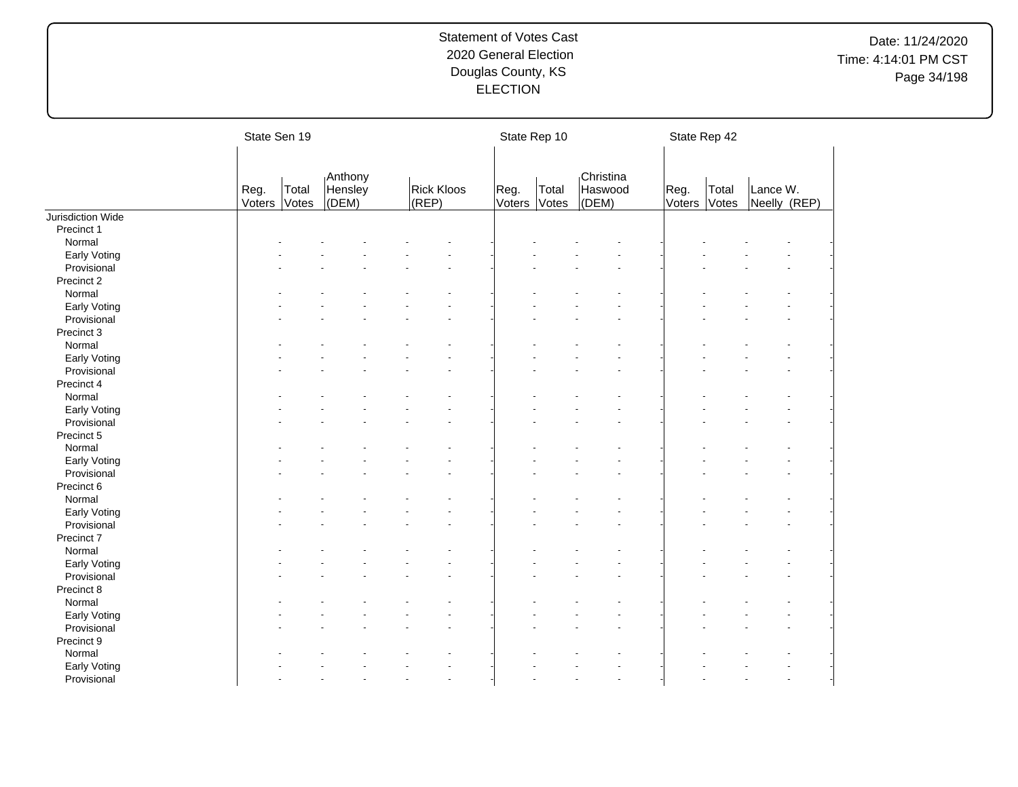# Date: 11/24/2020 Time: 4:14:01 PM CST Page 34/198

|                   | State Sen 19   |                |                             |  |                            |                |                | State Rep 10   |                               |                | State Rep 42   |                          |  |
|-------------------|----------------|----------------|-----------------------------|--|----------------------------|----------------|----------------|----------------|-------------------------------|----------------|----------------|--------------------------|--|
|                   | Reg.<br>Voters | Total<br>Votes | Anthony<br>Hensley<br>(DEM) |  | <b>Rick Kloos</b><br>(REP) |                | Reg.<br>Voters | Total<br>Votes | Christina<br>Haswood<br>(DEM) | Reg.<br>Voters | Total<br>Votes | Lance W.<br>Neelly (REP) |  |
| Jurisdiction Wide |                |                |                             |  |                            |                |                |                |                               |                |                |                          |  |
| Precinct 1        |                |                |                             |  |                            |                |                |                |                               |                |                |                          |  |
| Normal            |                |                |                             |  |                            |                |                |                |                               |                |                |                          |  |
| Early Voting      |                |                |                             |  |                            |                |                |                |                               |                |                |                          |  |
| Provisional       |                |                |                             |  |                            |                |                |                |                               |                |                |                          |  |
| Precinct 2        |                |                |                             |  |                            |                |                |                |                               |                |                |                          |  |
| Normal            |                |                |                             |  |                            |                |                |                |                               |                |                |                          |  |
| Early Voting      |                |                |                             |  |                            |                |                |                |                               |                |                |                          |  |
| Provisional       |                |                |                             |  |                            |                |                |                |                               |                |                |                          |  |
| Precinct 3        |                |                |                             |  |                            |                |                |                |                               |                |                |                          |  |
| Normal            |                |                |                             |  |                            |                |                |                |                               |                |                |                          |  |
| Early Voting      |                |                |                             |  |                            |                |                |                |                               |                |                |                          |  |
| Provisional       |                |                |                             |  |                            |                |                |                |                               |                |                |                          |  |
| Precinct 4        |                |                |                             |  |                            |                |                |                |                               |                |                |                          |  |
| Normal            |                |                |                             |  |                            |                |                |                |                               |                |                |                          |  |
| Early Voting      |                |                |                             |  |                            |                |                |                |                               |                |                |                          |  |
| Provisional       |                |                |                             |  |                            |                |                |                |                               |                |                |                          |  |
| Precinct 5        |                |                |                             |  |                            |                |                |                |                               |                |                |                          |  |
| Normal            |                |                |                             |  |                            |                |                |                |                               |                |                |                          |  |
| Early Voting      |                |                |                             |  |                            |                |                |                |                               |                |                |                          |  |
| Provisional       |                |                |                             |  |                            |                |                |                |                               |                |                |                          |  |
| Precinct 6        |                |                |                             |  |                            |                |                |                |                               |                |                |                          |  |
| Normal            |                |                |                             |  |                            |                |                |                |                               |                |                |                          |  |
| Early Voting      |                |                |                             |  |                            |                |                |                |                               |                |                |                          |  |
| Provisional       |                |                |                             |  |                            |                |                |                |                               |                |                |                          |  |
| Precinct 7        |                |                |                             |  |                            |                |                |                |                               |                |                |                          |  |
| Normal            |                |                |                             |  |                            |                |                |                |                               |                |                |                          |  |
| Early Voting      |                |                |                             |  |                            |                |                |                |                               |                |                |                          |  |
| Provisional       |                |                |                             |  |                            |                |                |                |                               |                |                |                          |  |
| Precinct 8        |                |                |                             |  |                            |                |                |                |                               |                |                |                          |  |
| Normal            |                |                |                             |  |                            |                |                |                |                               |                |                |                          |  |
| Early Voting      |                |                |                             |  |                            |                |                |                |                               |                |                |                          |  |
| Provisional       |                |                |                             |  |                            |                |                |                |                               |                |                |                          |  |
| Precinct 9        |                |                |                             |  |                            |                |                |                |                               |                |                |                          |  |
| Normal            |                |                |                             |  |                            |                |                |                |                               |                |                |                          |  |
| Early Voting      |                |                |                             |  |                            |                |                |                |                               |                |                |                          |  |
| Provisional       |                |                |                             |  |                            | $\blacksquare$ |                |                |                               |                |                |                          |  |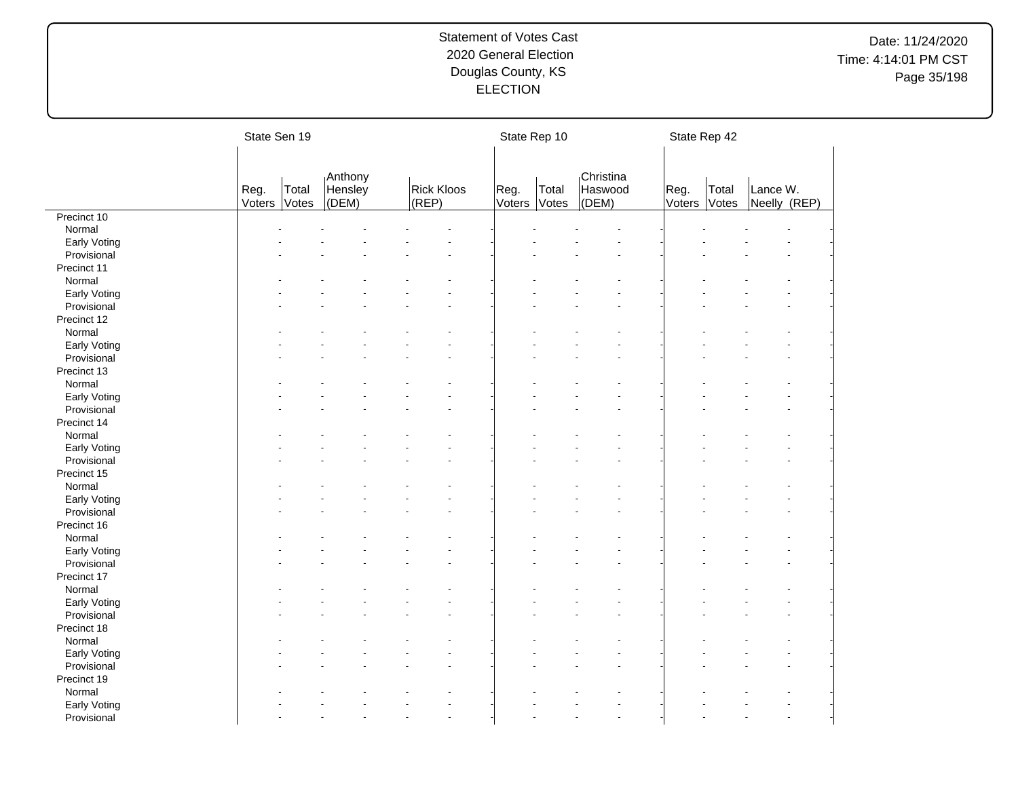# Date: 11/24/2020 Time: 4:14:01 PM CST Page 35/198

|              | State Sen 19   |                |                             |                            |    | State Rep 10   |                |                               | State Rep 42   |                |                          |  |
|--------------|----------------|----------------|-----------------------------|----------------------------|----|----------------|----------------|-------------------------------|----------------|----------------|--------------------------|--|
|              |                |                |                             |                            |    |                |                |                               |                |                |                          |  |
|              | Reg.<br>Voters | Total<br>Votes | Anthony<br>Hensley<br>(DEM) | <b>Rick Kloos</b><br>(REP) |    | Reg.<br>Voters | Total<br>Votes | Christina<br>Haswood<br>(DEM) | Reg.<br>Voters | Total<br>Votes | Lance W.<br>Neelly (REP) |  |
| Precinct 10  |                |                |                             |                            |    |                |                |                               |                |                |                          |  |
| Normal       |                |                |                             |                            |    |                |                |                               |                |                |                          |  |
| Early Voting |                |                |                             |                            |    |                |                |                               |                |                |                          |  |
| Provisional  |                |                |                             |                            |    |                |                |                               |                |                |                          |  |
| Precinct 11  |                |                |                             |                            |    |                |                |                               |                |                |                          |  |
| Normal       |                |                |                             |                            |    |                |                |                               |                |                |                          |  |
| Early Voting |                |                |                             |                            |    |                |                |                               |                |                |                          |  |
| Provisional  |                |                |                             |                            |    |                |                |                               |                |                |                          |  |
| Precinct 12  |                |                |                             |                            |    |                |                |                               |                |                |                          |  |
| Normal       |                |                |                             |                            |    |                |                |                               |                |                |                          |  |
| Early Voting |                |                |                             |                            |    |                |                |                               |                |                |                          |  |
| Provisional  |                |                |                             |                            |    |                |                |                               |                |                |                          |  |
| Precinct 13  |                |                |                             |                            |    |                |                |                               |                |                |                          |  |
| Normal       |                |                |                             |                            |    |                |                |                               |                |                |                          |  |
| Early Voting |                |                |                             |                            |    |                |                |                               |                |                |                          |  |
| Provisional  |                |                |                             |                            |    |                |                |                               |                |                |                          |  |
| Precinct 14  |                |                |                             |                            |    |                |                |                               |                |                |                          |  |
| Normal       |                |                |                             |                            |    |                |                |                               |                |                |                          |  |
| Early Voting |                |                |                             |                            |    |                |                |                               |                |                |                          |  |
| Provisional  |                |                |                             |                            |    |                |                |                               |                |                |                          |  |
| Precinct 15  |                |                |                             |                            |    |                |                |                               |                |                |                          |  |
| Normal       |                |                |                             |                            |    |                |                |                               |                |                |                          |  |
| Early Voting |                |                |                             |                            |    |                |                |                               |                |                |                          |  |
| Provisional  |                |                |                             |                            |    |                |                |                               |                |                |                          |  |
| Precinct 16  |                |                |                             |                            |    |                |                |                               |                |                |                          |  |
| Normal       |                |                |                             |                            |    |                |                |                               |                |                |                          |  |
| Early Voting |                |                |                             |                            |    |                |                |                               |                |                |                          |  |
| Provisional  |                |                |                             |                            |    |                |                |                               |                |                |                          |  |
| Precinct 17  |                |                |                             |                            |    |                |                |                               |                |                |                          |  |
| Normal       |                |                |                             |                            |    |                |                |                               |                |                |                          |  |
| Early Voting |                |                |                             |                            |    |                |                |                               |                |                |                          |  |
| Provisional  |                |                |                             |                            |    |                |                |                               |                |                |                          |  |
| Precinct 18  |                |                |                             |                            |    |                |                |                               |                |                |                          |  |
| Normal       |                |                |                             |                            |    |                |                |                               |                |                |                          |  |
| Early Voting |                |                |                             |                            |    |                |                |                               |                |                |                          |  |
| Provisional  |                |                |                             |                            |    |                |                |                               |                |                |                          |  |
| Precinct 19  |                |                |                             |                            |    |                |                |                               |                |                |                          |  |
| Normal       |                |                |                             |                            |    |                |                |                               |                |                |                          |  |
| Early Voting |                |                |                             |                            |    |                |                |                               |                |                |                          |  |
| Provisional  |                |                |                             |                            | L. |                |                | $\overline{a}$                |                |                |                          |  |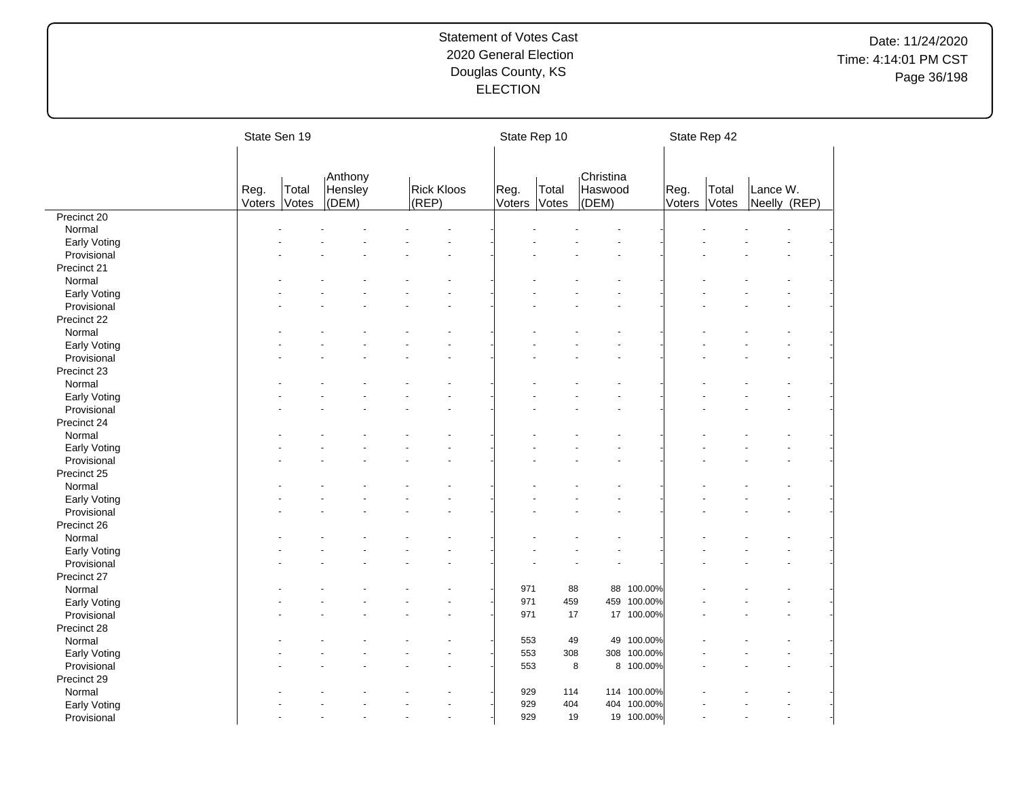# Date: 11/24/2020 Time: 4:14:01 PM CST Page 36/198

|              | State Sen 19 |       |                    |                   |                      |        | State Rep 10 |                      |             |        | State Rep 42 |              |  |
|--------------|--------------|-------|--------------------|-------------------|----------------------|--------|--------------|----------------------|-------------|--------|--------------|--------------|--|
|              | Reg.         | Total | Anthony<br>Hensley | <b>Rick Kloos</b> |                      | Reg.   | Total        | Christina<br>Haswood |             | Reg.   | Total        | Lance W.     |  |
|              | Voters       | Votes | (DEM)              | (REP)             |                      | Voters | Votes        | (DEM)                |             | Voters | Votes        | Neelly (REP) |  |
| Precinct 20  |              |       |                    |                   |                      |        |              |                      |             |        |              |              |  |
| Normal       |              |       |                    |                   |                      |        |              |                      |             |        |              |              |  |
| Early Voting |              |       |                    |                   |                      |        |              |                      |             |        |              |              |  |
| Provisional  |              |       |                    |                   |                      |        |              |                      |             |        |              |              |  |
| Precinct 21  |              |       |                    |                   |                      |        |              |                      |             |        |              |              |  |
| Normal       |              |       |                    |                   |                      |        |              |                      |             |        |              |              |  |
| Early Voting |              |       |                    |                   |                      |        |              |                      |             |        |              |              |  |
| Provisional  |              |       |                    |                   |                      |        |              |                      |             |        |              |              |  |
| Precinct 22  |              |       |                    |                   |                      |        |              |                      |             |        |              |              |  |
| Normal       |              |       |                    |                   |                      |        |              |                      |             |        |              |              |  |
| Early Voting |              |       |                    |                   |                      |        |              |                      |             |        |              |              |  |
| Provisional  |              |       |                    |                   |                      |        |              |                      |             |        |              |              |  |
| Precinct 23  |              |       |                    |                   |                      |        |              |                      |             |        |              |              |  |
| Normal       |              |       |                    |                   |                      |        |              |                      |             |        |              |              |  |
| Early Voting |              |       |                    |                   |                      |        |              |                      |             |        |              |              |  |
| Provisional  |              |       |                    |                   |                      |        |              |                      |             |        |              |              |  |
| Precinct 24  |              |       |                    |                   |                      |        |              |                      |             |        |              |              |  |
| Normal       |              |       |                    |                   |                      |        |              |                      |             |        |              |              |  |
| Early Voting |              |       |                    |                   |                      |        |              |                      |             |        |              |              |  |
| Provisional  |              |       |                    |                   |                      |        |              |                      |             |        |              |              |  |
| Precinct 25  |              |       |                    |                   |                      |        |              |                      |             |        |              |              |  |
| Normal       |              |       |                    |                   |                      |        |              |                      |             |        |              |              |  |
| Early Voting |              |       |                    |                   |                      |        |              |                      |             |        |              |              |  |
| Provisional  |              |       |                    |                   |                      |        |              |                      |             |        |              |              |  |
| Precinct 26  |              |       |                    |                   |                      |        |              |                      |             |        |              |              |  |
| Normal       |              |       |                    |                   |                      |        |              |                      |             |        |              |              |  |
| Early Voting |              |       |                    |                   |                      |        |              |                      |             |        |              |              |  |
| Provisional  |              |       |                    |                   |                      |        |              |                      |             |        |              |              |  |
| Precinct 27  |              |       |                    |                   |                      |        |              |                      |             |        |              |              |  |
| Normal       |              |       |                    |                   |                      | 971    | 88           |                      | 88 100.00%  |        |              |              |  |
| Early Voting |              |       |                    |                   |                      | 971    | 459          |                      | 459 100.00% |        |              |              |  |
| Provisional  |              |       |                    |                   |                      | 971    | 17           |                      | 17 100.00%  |        |              |              |  |
| Precinct 28  |              |       |                    |                   |                      |        |              |                      |             |        |              |              |  |
| Normal       |              |       |                    |                   |                      | 553    | 49           |                      | 49 100.00%  |        |              |              |  |
| Early Voting |              |       |                    |                   |                      | 553    | 308          |                      | 308 100.00% |        |              |              |  |
| Provisional  |              |       |                    |                   |                      | 553    |              | 8                    | 8 100.00%   |        |              |              |  |
| Precinct 29  |              |       |                    |                   |                      |        |              |                      |             |        |              |              |  |
| Normal       |              |       |                    |                   |                      | 929    | 114          |                      | 114 100.00% |        |              |              |  |
|              |              |       |                    |                   |                      | 929    | 404          |                      | 404 100.00% |        |              |              |  |
| Early Voting |              |       |                    |                   | $\ddot{\phantom{1}}$ | 929    | 19           |                      | 19 100.00%  |        |              |              |  |
| Provisional  |              |       |                    |                   |                      |        |              |                      |             |        |              |              |  |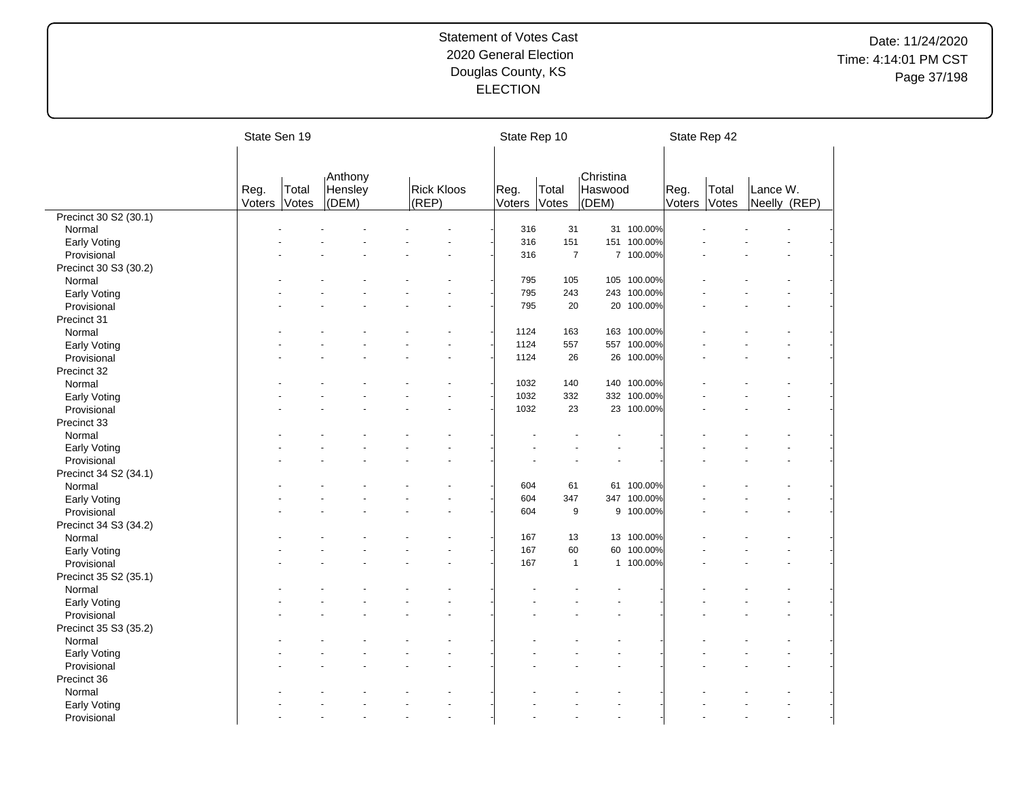# Date: 11/24/2020 Time: 4:14:01 PM CST Page 37/198

|                       | State Sen 19 |       |         |                   | State Rep 10 |                |                |             |        | State Rep 42 |              |  |
|-----------------------|--------------|-------|---------|-------------------|--------------|----------------|----------------|-------------|--------|--------------|--------------|--|
|                       |              |       |         |                   |              |                |                |             |        |              |              |  |
|                       |              |       | Anthony |                   |              |                | Christina      |             |        |              |              |  |
|                       | Reg.         | Total | Hensley | <b>Rick Kloos</b> | Reg.         | Total          | Haswood        |             | Reg.   | Total        | Lance W.     |  |
|                       | Voters       | Votes | (DEM)   | (REP)             | Voters       | Votes          | (DEM)          |             | Voters | Votes        | Neelly (REP) |  |
| Precinct 30 S2 (30.1) |              |       |         |                   |              |                |                |             |        |              |              |  |
| Normal                |              |       |         |                   | 316          | 31             |                | 31 100.00%  |        |              |              |  |
| Early Voting          |              |       |         |                   | 316          | 151            | 151            | 100.00%     |        |              |              |  |
| Provisional           |              |       |         |                   | 316          | $\overline{7}$ |                | 7 100.00%   |        |              |              |  |
| Precinct 30 S3 (30.2) |              |       |         |                   |              |                |                |             |        |              |              |  |
| Normal                |              |       |         |                   | 795          | 105            |                | 105 100.00% |        |              |              |  |
| Early Voting          |              |       |         |                   | 795          | 243            |                | 243 100.00% |        |              |              |  |
| Provisional           |              |       |         |                   | 795          | 20             |                | 20 100.00%  |        |              |              |  |
| Precinct 31           |              |       |         |                   |              |                |                |             |        |              |              |  |
| Normal                |              |       |         |                   | 1124         | 163            |                | 163 100.00% |        |              |              |  |
| Early Voting          |              |       |         |                   | 1124         | 557            |                | 557 100.00% |        |              |              |  |
| Provisional           |              |       |         |                   | 1124         | 26             |                | 26 100.00%  |        |              |              |  |
| Precinct 32           |              |       |         |                   |              |                |                |             |        |              |              |  |
| Normal                |              |       |         |                   | 1032         | 140            |                | 140 100.00% |        |              |              |  |
| Early Voting          |              |       |         |                   | 1032         | 332            |                | 332 100.00% |        |              |              |  |
| Provisional           |              |       |         |                   | 1032         | 23             |                | 23 100.00%  |        |              |              |  |
| Precinct 33           |              |       |         |                   |              |                |                |             |        |              |              |  |
| Normal                |              |       |         |                   |              |                |                |             |        |              |              |  |
| Early Voting          |              |       |         |                   |              |                |                |             |        |              |              |  |
| Provisional           |              |       |         |                   |              |                |                |             |        |              |              |  |
| Precinct 34 S2 (34.1) |              |       |         |                   |              |                |                |             |        |              |              |  |
| Normal                |              |       |         |                   | 604          | 61             |                | 61 100.00%  |        |              |              |  |
| Early Voting          |              |       |         |                   | 604          | 347            |                | 347 100.00% |        |              |              |  |
| Provisional           |              |       |         | L.                | 604          | 9              |                | 9 100.00%   |        |              |              |  |
| Precinct 34 S3 (34.2) |              |       |         |                   |              |                |                |             |        |              |              |  |
| Normal                |              |       |         |                   | 167          | 13             |                | 13 100.00%  |        |              |              |  |
| Early Voting          |              |       |         |                   | 167          | 60             | 60             | 100.00%     |        |              |              |  |
| Provisional           |              |       |         |                   | 167          | $\mathbf{1}$   |                | 1 100.00%   |        |              |              |  |
| Precinct 35 S2 (35.1) |              |       |         |                   |              |                |                |             |        |              |              |  |
| Normal                |              |       |         |                   |              |                |                |             |        |              |              |  |
| Early Voting          |              |       |         |                   |              |                |                |             |        |              |              |  |
| Provisional           |              |       |         |                   |              |                |                |             |        |              |              |  |
| Precinct 35 S3 (35.2) |              |       |         |                   |              |                |                |             |        |              |              |  |
| Normal                |              |       |         |                   |              |                |                |             |        |              |              |  |
| Early Voting          |              |       |         |                   |              |                |                |             |        |              |              |  |
| Provisional           |              |       |         |                   |              |                |                |             |        |              |              |  |
|                       |              |       |         |                   |              |                |                |             |        |              |              |  |
| Precinct 36           |              |       |         |                   |              |                |                |             |        |              |              |  |
| Normal                |              |       |         |                   |              |                |                |             |        |              |              |  |
| Early Voting          |              |       |         | ÷.                |              |                | $\overline{a}$ |             |        |              |              |  |
| Provisional           |              |       |         |                   |              |                |                |             |        |              |              |  |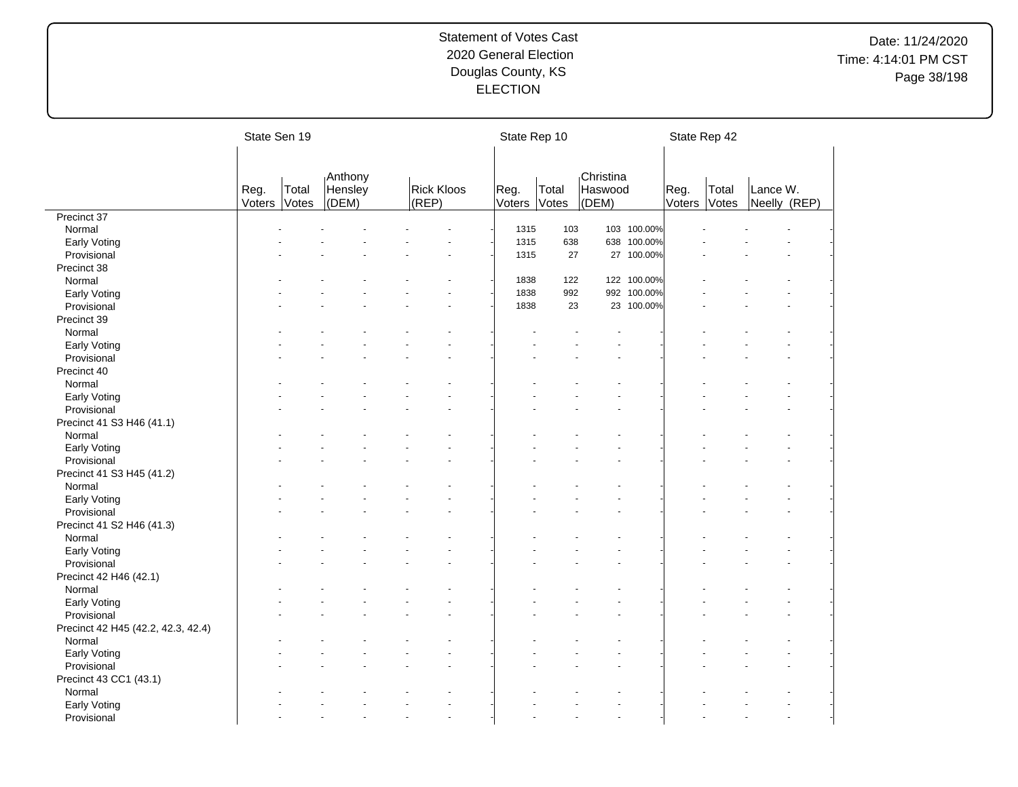# Date: 11/24/2020 Time: 4:14:01 PM CST Page 38/198

|                                    | State Sen 19   |                |                             |                            | State Rep 10   |                |                               |             |                | State Rep 42   |                          |  |
|------------------------------------|----------------|----------------|-----------------------------|----------------------------|----------------|----------------|-------------------------------|-------------|----------------|----------------|--------------------------|--|
|                                    |                |                |                             |                            |                |                |                               |             |                |                |                          |  |
|                                    | Reg.<br>Voters | Total<br>Votes | Anthony<br>Hensley<br>(DEM) | <b>Rick Kloos</b><br>(REP) | Reg.<br>Voters | Total<br>Votes | Christina<br>Haswood<br>(DEM) |             | Reg.<br>Voters | Total<br>Votes | Lance W.<br>Neelly (REP) |  |
| Precinct 37                        |                |                |                             |                            |                |                |                               |             |                |                |                          |  |
| Normal                             |                |                |                             |                            | 1315           | 103            |                               | 103 100.00% |                |                |                          |  |
| Early Voting                       |                |                |                             |                            | 1315           | 638            |                               | 638 100.00% |                |                |                          |  |
| Provisional                        |                |                |                             |                            | 1315           | 27             |                               | 27 100.00%  |                |                |                          |  |
| Precinct 38                        |                |                |                             |                            |                |                |                               |             |                |                |                          |  |
| Normal                             |                |                |                             |                            | 1838           | 122            |                               | 122 100.00% |                |                |                          |  |
| Early Voting                       |                |                |                             |                            | 1838           | 992            |                               | 992 100.00% |                |                |                          |  |
| Provisional                        |                |                |                             |                            | 1838           | 23             |                               | 23 100.00%  |                |                |                          |  |
| Precinct 39                        |                |                |                             |                            |                |                |                               |             |                |                |                          |  |
| Normal                             |                |                |                             |                            |                |                |                               |             |                |                |                          |  |
| Early Voting                       |                |                |                             |                            |                |                |                               |             |                |                |                          |  |
| Provisional                        |                |                |                             |                            |                |                |                               |             |                |                |                          |  |
| Precinct 40                        |                |                |                             |                            |                |                |                               |             |                |                |                          |  |
| Normal                             |                |                |                             |                            |                |                |                               |             |                |                |                          |  |
| Early Voting                       |                |                |                             |                            |                |                |                               |             |                |                |                          |  |
| Provisional                        |                |                |                             |                            |                |                |                               |             |                |                |                          |  |
| Precinct 41 S3 H46 (41.1)          |                |                |                             |                            |                |                |                               |             |                |                |                          |  |
| Normal                             |                |                |                             |                            |                |                |                               |             |                |                |                          |  |
| Early Voting                       |                |                |                             |                            |                |                |                               |             |                |                |                          |  |
| Provisional                        |                |                |                             |                            |                |                |                               |             |                |                |                          |  |
| Precinct 41 S3 H45 (41.2)          |                |                |                             |                            |                |                |                               |             |                |                |                          |  |
| Normal                             |                |                |                             |                            |                |                |                               |             |                |                |                          |  |
| Early Voting                       |                |                |                             |                            |                |                |                               |             |                |                |                          |  |
| Provisional                        |                |                |                             |                            |                |                |                               |             |                |                |                          |  |
| Precinct 41 S2 H46 (41.3)          |                |                |                             |                            |                |                |                               |             |                |                |                          |  |
| Normal                             |                |                |                             |                            |                |                |                               |             |                |                |                          |  |
| Early Voting                       |                |                |                             |                            |                |                |                               |             |                |                |                          |  |
| Provisional                        |                |                |                             |                            |                |                |                               |             |                |                |                          |  |
| Precinct 42 H46 (42.1)             |                |                |                             |                            |                |                |                               |             |                |                |                          |  |
| Normal                             |                |                |                             |                            |                |                |                               |             |                |                |                          |  |
| Early Voting                       |                |                |                             |                            |                |                |                               |             |                |                |                          |  |
| Provisional                        |                |                |                             |                            |                |                |                               |             |                |                |                          |  |
| Precinct 42 H45 (42.2, 42.3, 42.4) |                |                |                             |                            |                |                |                               |             |                |                |                          |  |
| Normal                             |                |                |                             |                            |                |                |                               |             |                |                |                          |  |
| Early Voting                       |                |                |                             |                            |                |                |                               |             |                |                |                          |  |
| Provisional                        |                |                |                             |                            |                |                |                               |             |                |                |                          |  |
| Precinct 43 CC1 (43.1)             |                |                |                             |                            |                |                |                               |             |                |                |                          |  |
| Normal                             |                |                |                             |                            |                |                |                               |             |                |                |                          |  |
| Early Voting                       |                |                |                             |                            |                |                |                               |             |                |                |                          |  |
| Provisional                        |                |                |                             | L.                         |                |                |                               |             |                |                |                          |  |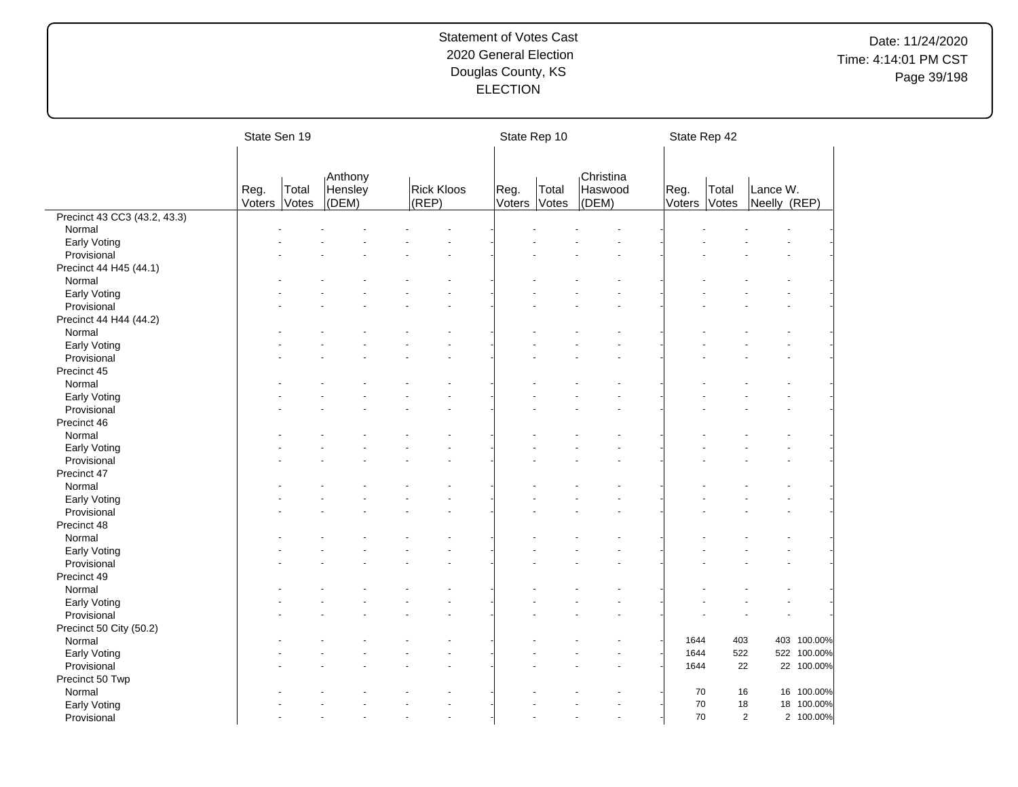|                              | State Sen 19   |                |                             |                            | State Rep 10   |                |                               | State Rep 42         |       |                          |             |
|------------------------------|----------------|----------------|-----------------------------|----------------------------|----------------|----------------|-------------------------------|----------------------|-------|--------------------------|-------------|
|                              | Reg.<br>Voters | Total<br>Votes | Anthony<br>Hensley<br>(DEM) | <b>Rick Kloos</b><br>(REP) | Reg.<br>Voters | Total<br>Votes | Christina<br>Haswood<br>(DEM) | Reg.<br>Voters Votes | Total | Lance W.<br>Neelly (REP) |             |
| Precinct 43 CC3 (43.2, 43.3) |                |                |                             |                            |                |                |                               |                      |       |                          |             |
| Normal                       |                |                |                             |                            |                |                |                               |                      |       |                          |             |
| Early Voting                 |                |                |                             |                            |                |                |                               |                      |       |                          |             |
| Provisional                  |                |                |                             |                            |                |                |                               |                      |       |                          |             |
| Precinct 44 H45 (44.1)       |                |                |                             |                            |                |                |                               |                      |       |                          |             |
| Normal                       |                |                |                             |                            |                |                |                               |                      |       |                          |             |
| Early Voting                 |                |                |                             |                            |                |                |                               |                      |       |                          |             |
| Provisional                  |                |                |                             |                            |                |                |                               |                      |       |                          |             |
| Precinct 44 H44 (44.2)       |                |                |                             |                            |                |                |                               |                      |       |                          |             |
| Normal                       |                |                |                             |                            |                |                |                               |                      |       |                          |             |
| Early Voting                 |                |                |                             |                            |                |                |                               |                      |       |                          |             |
| Provisional                  |                |                |                             |                            |                |                |                               |                      |       |                          |             |
| Precinct 45                  |                |                |                             |                            |                |                |                               |                      |       |                          |             |
| Normal                       |                |                |                             |                            |                |                |                               |                      |       |                          |             |
| Early Voting                 |                |                |                             |                            |                |                |                               |                      |       |                          |             |
| Provisional                  |                |                |                             |                            |                |                |                               |                      |       |                          |             |
| Precinct 46                  |                |                |                             |                            |                |                |                               |                      |       |                          |             |
| Normal                       |                |                |                             |                            |                |                |                               |                      |       |                          |             |
| Early Voting                 |                |                |                             |                            |                |                |                               |                      |       |                          |             |
| Provisional                  |                |                |                             |                            |                |                |                               |                      |       |                          |             |
| Precinct 47                  |                |                |                             |                            |                |                |                               |                      |       |                          |             |
| Normal                       |                |                |                             |                            |                |                |                               |                      |       |                          |             |
| Early Voting                 |                |                |                             |                            |                |                |                               |                      |       |                          |             |
| Provisional                  |                |                |                             |                            |                |                |                               |                      |       |                          |             |
| Precinct 48                  |                |                |                             |                            |                |                |                               |                      |       |                          |             |
| Normal                       |                |                |                             |                            |                |                |                               |                      |       |                          |             |
|                              |                |                |                             |                            |                |                |                               |                      |       |                          |             |
| Early Voting                 |                |                |                             |                            |                |                |                               |                      |       |                          |             |
| Provisional                  |                |                |                             |                            |                |                |                               |                      |       |                          |             |
| Precinct 49                  |                |                |                             |                            |                |                |                               |                      |       |                          |             |
| Normal                       |                |                |                             |                            |                |                |                               |                      |       |                          |             |
| Early Voting                 |                |                |                             |                            |                |                |                               |                      |       |                          |             |
| Provisional                  |                |                |                             |                            |                |                |                               |                      |       |                          |             |
| Precinct 50 City (50.2)      |                |                |                             |                            |                |                |                               |                      |       |                          |             |
| Normal                       |                |                |                             |                            |                |                |                               | 1644                 | 403   |                          | 403 100.00% |
| Early Voting                 |                |                |                             |                            |                |                |                               | 1644                 | 522   |                          | 522 100.00% |
| Provisional                  |                |                |                             |                            |                |                |                               | 1644                 | 22    |                          | 22 100.00%  |
| Precinct 50 Twp              |                |                |                             |                            |                |                |                               |                      |       |                          |             |
| Normal                       |                |                |                             |                            |                |                |                               | 70                   | 16    |                          | 16 100.00%  |
| Early Voting                 |                |                |                             |                            |                |                |                               | 70                   | 18    |                          | 18 100.00%  |
| Provisional                  |                |                |                             |                            |                |                |                               | $70\,$               |       | $\overline{2}$           | 2 100.00%   |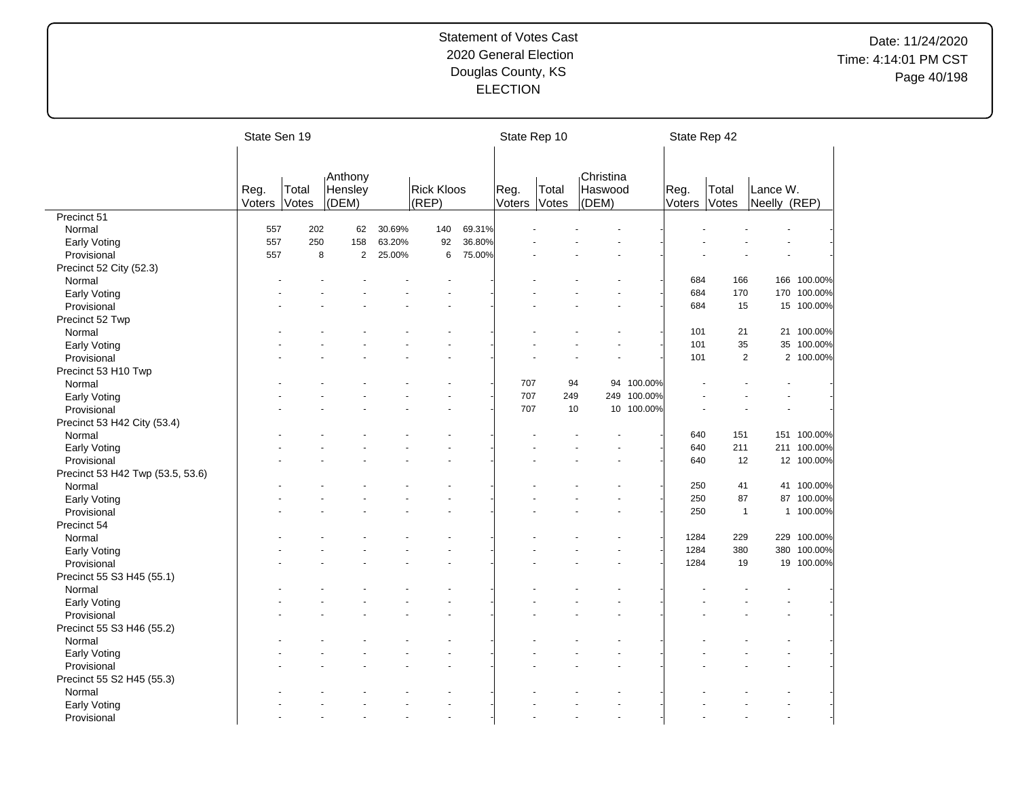# Date: 11/24/2020 Time: 4:14:01 PM CST Page 40/198

|                                  | State Sen 19 |       |                    |        |                   |        |        | State Rep 10 |                      |             | State Rep 42 |              |              |             |
|----------------------------------|--------------|-------|--------------------|--------|-------------------|--------|--------|--------------|----------------------|-------------|--------------|--------------|--------------|-------------|
|                                  |              |       |                    |        |                   |        |        |              |                      |             |              |              |              |             |
|                                  | Reg.         | Total | Anthony<br>Hensley |        | <b>Rick Kloos</b> |        | Reg.   | Total        | Christina<br>Haswood |             | Reg.         | Total        | Lance W.     |             |
|                                  | Voters       | Votes | (DEM)              |        | (REP)             |        | Voters | Votes        | (DEM)                |             | Voters       | Votes        | Neelly (REP) |             |
| Precinct 51                      |              |       |                    |        |                   |        |        |              |                      |             |              |              |              |             |
| Normal                           | 557          | 202   | 62                 | 30.69% | 140               | 69.31% |        |              |                      |             |              |              |              |             |
| Early Voting                     | 557          | 250   | 158                | 63.20% | 92                | 36.80% |        |              |                      |             |              |              |              |             |
| Provisional                      | 557          | 8     | $\overline{2}$     | 25.00% | 6                 | 75.00% |        |              |                      |             |              |              |              |             |
| Precinct 52 City (52.3)          |              |       |                    |        |                   |        |        |              |                      |             |              |              |              |             |
| Normal                           |              |       |                    |        |                   |        |        |              |                      |             | 684          | 166          |              | 166 100.00% |
| Early Voting                     |              |       |                    |        |                   |        |        |              |                      |             | 684          | 170          |              | 170 100.00% |
| Provisional                      |              |       |                    |        |                   |        |        |              |                      |             | 684          | 15           |              | 15 100.00%  |
| Precinct 52 Twp                  |              |       |                    |        |                   |        |        |              |                      |             |              |              |              |             |
| Normal                           |              |       |                    |        |                   |        |        |              |                      |             | 101          | 21           |              | 21 100.00%  |
| Early Voting                     |              |       |                    |        |                   |        |        |              |                      |             | 101          | 35           |              | 35 100.00%  |
| Provisional                      |              |       |                    |        |                   |        |        |              |                      |             | 101          | 2            |              | 2 100.00%   |
| Precinct 53 H10 Twp              |              |       |                    |        |                   |        |        |              |                      |             |              |              |              |             |
| Normal                           |              |       |                    |        |                   |        | 707    |              | 94                   | 94 100.00%  |              |              |              |             |
| Early Voting                     |              |       |                    |        |                   |        | 707    | 249          |                      | 249 100.00% |              |              |              |             |
| Provisional                      |              |       |                    |        |                   |        | 707    | 10           |                      | 10 100.00%  |              |              |              |             |
| Precinct 53 H42 City (53.4)      |              |       |                    |        |                   |        |        |              |                      |             |              |              |              |             |
| Normal                           |              |       |                    |        |                   |        |        |              |                      |             | 640          | 151          |              | 151 100.00% |
| Early Voting                     |              |       |                    |        |                   |        |        |              |                      |             | 640          | 211          |              | 211 100.00% |
| Provisional                      |              |       |                    |        |                   |        |        |              |                      |             | 640          | 12           |              | 12 100.00%  |
| Precinct 53 H42 Twp (53.5, 53.6) |              |       |                    |        |                   |        |        |              |                      |             |              |              |              |             |
| Normal                           |              |       |                    |        |                   |        |        |              |                      |             | 250          | 41           |              | 41 100.00%  |
| Early Voting                     |              |       |                    |        |                   |        |        |              |                      |             | 250          | 87           |              | 87 100.00%  |
| Provisional                      |              |       |                    |        |                   |        |        |              |                      |             | 250          | $\mathbf{1}$ |              | 1 100.00%   |
| Precinct 54                      |              |       |                    |        |                   |        |        |              |                      |             |              |              |              |             |
| Normal                           |              |       |                    |        |                   |        |        |              |                      |             | 1284         | 229          |              | 229 100.00% |
|                                  |              |       |                    |        |                   |        |        |              |                      |             | 1284         | 380          |              | 380 100.00% |
| Early Voting<br>Provisional      |              |       |                    |        |                   |        |        |              |                      |             | 1284         | 19           |              | 19 100.00%  |
|                                  |              |       |                    |        |                   |        |        |              |                      |             |              |              |              |             |
| Precinct 55 S3 H45 (55.1)        |              |       |                    |        |                   |        |        |              |                      |             |              |              |              |             |
| Normal                           |              |       |                    |        |                   |        |        |              |                      |             |              |              |              |             |
| Early Voting                     |              |       |                    |        |                   |        |        |              |                      |             |              |              |              |             |
| Provisional                      |              |       |                    |        |                   |        |        |              |                      |             |              |              |              |             |
| Precinct 55 S3 H46 (55.2)        |              |       |                    |        |                   |        |        |              |                      |             |              |              |              |             |
| Normal                           |              |       |                    |        |                   |        |        |              |                      |             |              |              |              |             |
| Early Voting                     |              |       |                    |        |                   |        |        |              |                      |             |              |              |              |             |
| Provisional                      |              |       |                    |        |                   |        |        |              |                      |             |              |              |              |             |
| Precinct 55 S2 H45 (55.3)        |              |       |                    |        |                   |        |        |              |                      |             |              |              |              |             |
| Normal                           |              |       |                    |        |                   |        |        |              |                      |             |              |              |              |             |
| Early Voting                     |              |       |                    |        |                   |        |        |              |                      |             |              |              |              |             |
| Provisional                      |              |       |                    |        |                   |        |        |              |                      |             |              |              |              |             |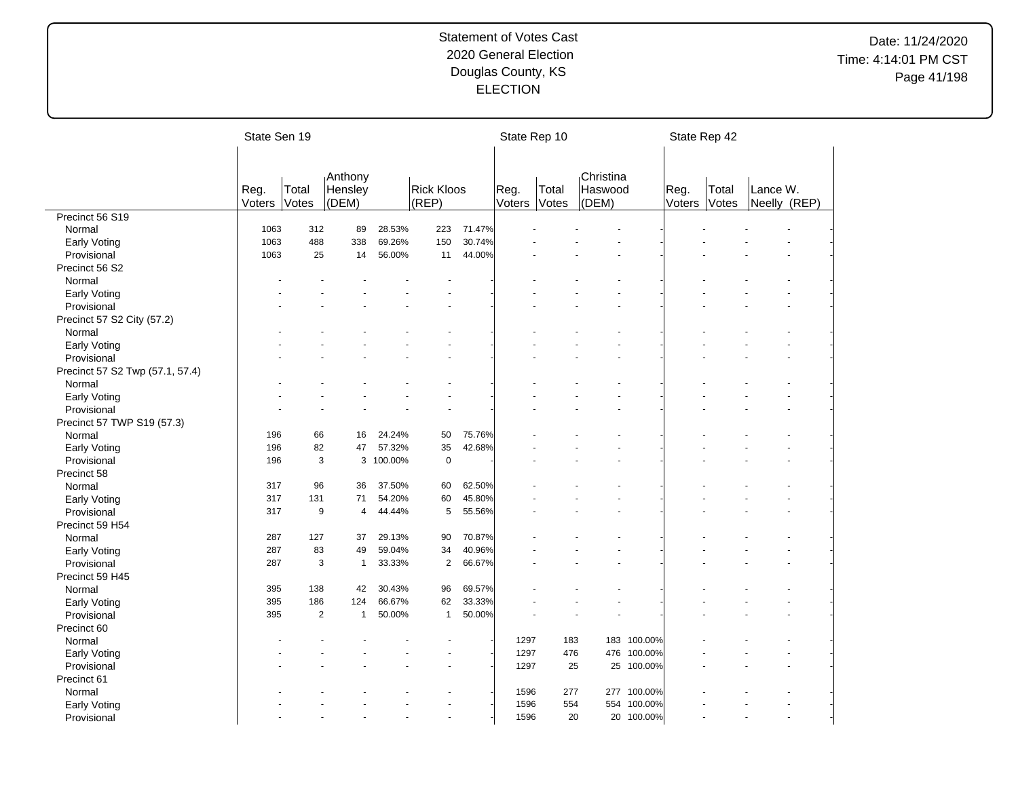# Date: 11/24/2020 Time: 4:14:01 PM CST Page 41/198

|                                 | State Sen 19   |                |                             |         |                            |        |                | State Rep 10   |                               |                        |                | State Rep 42   |                          |  |
|---------------------------------|----------------|----------------|-----------------------------|---------|----------------------------|--------|----------------|----------------|-------------------------------|------------------------|----------------|----------------|--------------------------|--|
|                                 |                |                |                             |         |                            |        |                |                |                               |                        |                |                |                          |  |
|                                 | Reg.<br>Voters | Total<br>Votes | Anthony<br>Hensley<br>(DEM) |         | <b>Rick Kloos</b><br>(REP) |        | Reg.<br>Voters | Total<br>Votes | Christina<br>Haswood<br>(DEM) |                        | Reg.<br>Voters | Total<br>Votes | Lance W.<br>Neelly (REP) |  |
| Precinct 56 S19                 |                |                |                             |         |                            |        |                |                |                               |                        |                |                |                          |  |
| Normal                          | 1063           | 312            | 89                          | 28.53%  | 223                        | 71.47% |                |                |                               |                        |                |                |                          |  |
| Early Voting                    | 1063           | 488            | 338                         | 69.26%  | 150                        | 30.74% |                |                |                               |                        |                |                |                          |  |
| Provisional                     | 1063           | 25             | 14                          | 56.00%  | 11                         | 44.00% |                |                |                               |                        |                |                |                          |  |
| Precinct 56 S2                  |                |                |                             |         |                            |        |                |                |                               |                        |                |                |                          |  |
| Normal                          |                |                |                             |         |                            |        |                |                |                               |                        |                |                |                          |  |
| Early Voting                    |                |                |                             |         |                            |        |                |                |                               |                        |                |                |                          |  |
| Provisional                     |                |                |                             |         |                            |        |                |                |                               |                        |                |                |                          |  |
| Precinct 57 S2 City (57.2)      |                |                |                             |         |                            |        |                |                |                               |                        |                |                |                          |  |
| Normal                          |                |                |                             |         |                            |        |                |                |                               |                        |                |                |                          |  |
| Early Voting                    |                |                |                             |         |                            |        |                |                |                               |                        |                |                |                          |  |
| Provisional                     |                |                |                             |         |                            |        |                |                |                               |                        |                |                |                          |  |
| Precinct 57 S2 Twp (57.1, 57.4) |                |                |                             |         |                            |        |                |                |                               |                        |                |                |                          |  |
| Normal                          |                |                |                             |         |                            |        |                |                |                               |                        |                |                |                          |  |
| <b>Early Voting</b>             |                |                |                             |         |                            |        |                |                |                               |                        |                |                |                          |  |
| Provisional                     |                |                |                             |         |                            |        |                |                |                               |                        |                |                |                          |  |
| Precinct 57 TWP S19 (57.3)      |                |                |                             |         |                            |        |                |                |                               |                        |                |                |                          |  |
| Normal                          | 196            | 66             | 16                          | 24.24%  | 50                         | 75.76% |                |                |                               |                        |                |                |                          |  |
| <b>Early Voting</b>             | 196            | 82             | 47                          | 57.32%  | 35                         | 42.68% |                |                |                               |                        |                |                |                          |  |
| Provisional                     | 196            |                | 3<br>3                      | 100.00% | $\pmb{0}$                  |        |                |                |                               |                        |                |                |                          |  |
| Precinct 58                     |                |                |                             |         |                            |        |                |                |                               |                        |                |                |                          |  |
| Normal                          | 317            | 96             | 36                          | 37.50%  | 60                         | 62.50% |                |                |                               |                        |                |                |                          |  |
| Early Voting                    | 317            | 131            | 71                          | 54.20%  | 60                         | 45.80% |                |                |                               |                        |                |                |                          |  |
| Provisional                     | 317            | 9              | 4                           | 44.44%  | 5                          | 55.56% |                |                | ÷                             |                        |                |                |                          |  |
| Precinct 59 H54                 |                |                |                             |         |                            |        |                |                |                               |                        |                |                |                          |  |
| Normal                          | 287            | 127            | 37                          | 29.13%  | 90                         | 70.87% |                |                |                               |                        |                |                |                          |  |
| Early Voting                    | 287            | 83             | 49                          | 59.04%  | 34                         | 40.96% |                |                |                               |                        |                |                |                          |  |
| Provisional                     | 287            | 3              | $\mathbf{1}$                | 33.33%  | $\overline{2}$             | 66.67% |                |                |                               |                        |                |                |                          |  |
| Precinct 59 H45                 |                |                |                             |         |                            |        |                |                |                               |                        |                |                |                          |  |
| Normal                          | 395            | 138            | 42                          | 30.43%  | 96                         | 69.57% |                |                |                               |                        |                |                |                          |  |
| <b>Early Voting</b>             | 395            | 186            | 124                         | 66.67%  | 62                         | 33.33% |                |                |                               |                        |                |                |                          |  |
| Provisional                     | 395            |                | 2<br>$\mathbf{1}$           | 50.00%  | $\mathbf{1}$               | 50.00% |                |                |                               |                        |                |                |                          |  |
| Precinct 60                     |                |                |                             |         |                            |        |                |                |                               |                        |                |                |                          |  |
| Normal                          |                |                |                             |         |                            |        | 1297           | 183            |                               | 183 100.00%            |                |                |                          |  |
| Early Voting                    |                |                |                             |         |                            |        | 1297           | 476            | 476                           | 100.00%                |                |                |                          |  |
|                                 |                |                |                             |         |                            |        | 1297           |                | 25<br>25                      | 100.00%                |                |                |                          |  |
| Provisional                     |                |                |                             |         |                            |        |                |                |                               |                        |                |                |                          |  |
| Precinct 61                     |                |                |                             |         |                            |        |                |                |                               |                        |                |                |                          |  |
| Normal                          |                |                |                             |         |                            |        | 1596<br>1596   | 277<br>554     | 277                           | 100.00%<br>554 100.00% |                |                |                          |  |
| Early Voting                    |                |                |                             |         | ÷                          |        | 1596           |                |                               |                        |                |                |                          |  |
| Provisional                     |                |                |                             |         |                            |        |                |                | 20                            | 20 100.00%             |                |                |                          |  |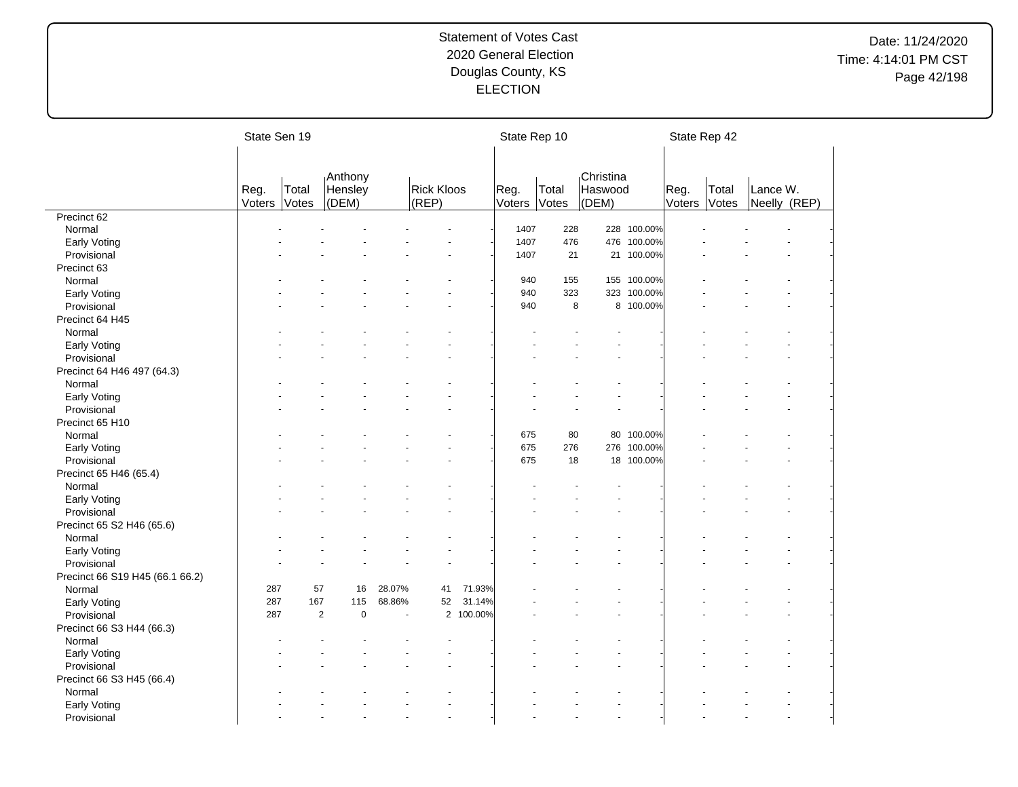# Date: 11/24/2020 Time: 4:14:01 PM CST Page 42/198

|                                 | State Sen 19   |                |                   |        |                            |           | State Rep 10   |                |                  |             |                | State Rep 42   |          |              |
|---------------------------------|----------------|----------------|-------------------|--------|----------------------------|-----------|----------------|----------------|------------------|-------------|----------------|----------------|----------|--------------|
|                                 |                |                |                   |        |                            |           |                |                |                  |             |                |                |          |              |
|                                 |                |                | Anthony           |        |                            |           |                |                | Christina        |             |                |                |          |              |
|                                 | Reg.<br>Voters | Total<br>Votes | Hensley<br>(DEM)  |        | <b>Rick Kloos</b><br>(REP) |           | Reg.<br>Voters | Total<br>Votes | Haswood<br>(DEM) |             | Reg.<br>Voters | Total<br>Votes | Lance W. | Neelly (REP) |
| Precinct 62                     |                |                |                   |        |                            |           |                |                |                  |             |                |                |          |              |
| Normal                          |                |                |                   |        |                            |           | 1407           | 228            |                  | 228 100.00% |                |                |          |              |
| Early Voting                    |                |                |                   |        |                            |           | 1407           | 476            | 476              | 100.00%     |                |                |          |              |
| Provisional                     |                |                |                   |        |                            |           | 1407           | 21             |                  | 21 100.00%  |                |                |          |              |
| Precinct 63                     |                |                |                   |        |                            |           |                |                |                  |             |                |                |          |              |
| Normal                          |                |                |                   |        |                            |           | 940            | 155            |                  | 155 100.00% |                |                |          |              |
| Early Voting                    |                |                |                   |        |                            |           | 940            | 323            |                  | 323 100.00% |                |                |          |              |
| Provisional                     |                |                |                   |        |                            |           | 940            | 8              |                  | 8 100.00%   |                |                |          |              |
| Precinct 64 H45                 |                |                |                   |        |                            |           |                |                |                  |             |                |                |          |              |
| Normal                          |                |                |                   |        |                            |           |                |                |                  |             |                |                |          |              |
| <b>Early Voting</b>             |                |                |                   |        |                            |           |                |                |                  |             |                |                |          |              |
| Provisional                     |                |                |                   |        |                            |           |                |                |                  |             |                |                |          |              |
| Precinct 64 H46 497 (64.3)      |                |                |                   |        |                            |           |                |                |                  |             |                |                |          |              |
| Normal                          |                |                |                   |        |                            |           |                |                |                  |             |                |                |          |              |
| Early Voting                    |                |                |                   |        |                            |           |                |                |                  |             |                |                |          |              |
| Provisional                     |                |                |                   |        |                            |           |                |                |                  |             |                |                |          |              |
| Precinct 65 H10                 |                |                |                   |        |                            |           |                |                |                  |             |                |                |          |              |
| Normal                          |                |                |                   |        |                            |           | 675            | 80             |                  | 80 100.00%  |                |                |          |              |
| Early Voting                    |                |                |                   |        |                            |           | 675            | 276            |                  | 276 100.00% |                |                |          |              |
| Provisional                     |                |                |                   |        |                            |           | 675            | 18             |                  | 18 100.00%  |                |                |          |              |
| Precinct 65 H46 (65.4)          |                |                |                   |        |                            |           |                |                |                  |             |                |                |          |              |
| Normal                          |                |                |                   |        |                            |           |                |                |                  |             |                |                |          |              |
| Early Voting                    |                |                |                   |        |                            |           |                |                |                  |             |                |                |          |              |
| Provisional                     |                |                |                   |        |                            |           |                |                |                  |             |                |                |          |              |
| Precinct 65 S2 H46 (65.6)       |                |                |                   |        |                            |           |                |                |                  |             |                |                |          |              |
| Normal                          |                |                |                   |        |                            |           |                |                |                  |             |                |                |          |              |
| Early Voting                    |                |                |                   |        |                            |           |                |                |                  |             |                |                |          |              |
| Provisional                     |                |                |                   |        |                            |           |                |                |                  |             |                |                |          |              |
| Precinct 66 S19 H45 (66.1 66.2) |                |                |                   |        |                            |           |                |                |                  |             |                |                |          |              |
| Normal                          | 287            | 57             | 16                | 28.07% | 41                         | 71.93%    |                |                |                  |             |                |                |          |              |
| Early Voting                    | 287            | 167            | 115               | 68.86% | 52                         | 31.14%    |                |                |                  |             |                |                |          |              |
| Provisional                     | 287            |                | $\mathbf{2}$<br>0 |        |                            | 2 100.00% |                |                |                  |             |                |                |          |              |
| Precinct 66 S3 H44 (66.3)       |                |                |                   |        |                            |           |                |                |                  |             |                |                |          |              |
| Normal                          |                |                |                   |        |                            |           |                |                |                  |             |                |                |          |              |
| Early Voting                    |                |                |                   |        |                            |           |                |                |                  |             |                |                |          |              |
| Provisional                     |                |                |                   |        |                            |           |                |                |                  |             |                |                |          |              |
| Precinct 66 S3 H45 (66.4)       |                |                |                   |        |                            |           |                |                |                  |             |                |                |          |              |
| Normal                          |                |                |                   |        |                            |           |                |                |                  |             |                |                |          |              |
| <b>Early Voting</b>             |                |                |                   |        |                            |           |                |                |                  |             |                |                |          |              |
| Provisional                     |                |                |                   |        |                            |           |                |                | $\overline{a}$   |             |                |                |          |              |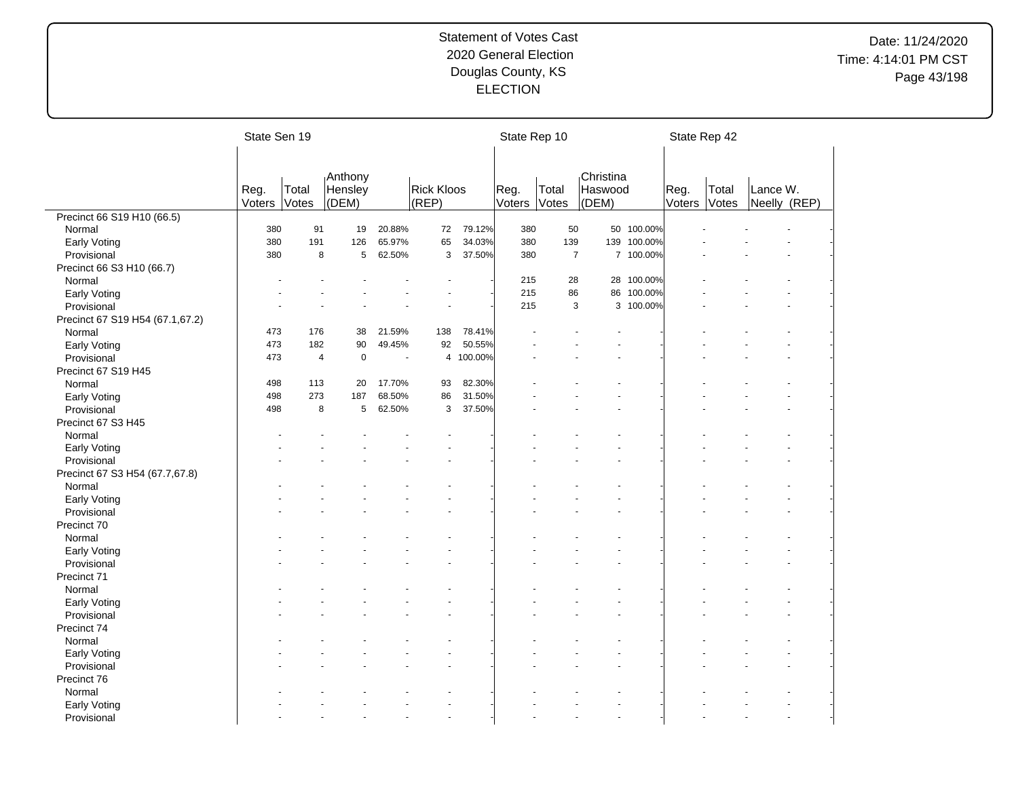# Date: 11/24/2020 Time: 4:14:01 PM CST Page 43/198

|                                 | State Sen 19 |                |                    |        |                   |           | State Rep 10 |                |                      |             | State Rep 42 |       |              |  |
|---------------------------------|--------------|----------------|--------------------|--------|-------------------|-----------|--------------|----------------|----------------------|-------------|--------------|-------|--------------|--|
|                                 |              |                |                    |        |                   |           |              |                |                      |             |              |       |              |  |
|                                 | Reg.         | Total          | Anthony<br>Hensley |        | <b>Rick Kloos</b> |           | Reg.         | Total          | Christina<br>Haswood |             | Reg.         | Total | Lance W.     |  |
|                                 | Voters       | Votes          | (DEM)              |        | (REP)             |           | Voters       | Votes          | (DEM)                |             | Voters       | Votes | Neelly (REP) |  |
| Precinct 66 S19 H10 (66.5)      |              |                |                    |        |                   |           |              |                |                      |             |              |       |              |  |
| Normal                          | 380          | 91             | 19                 | 20.88% | 72                | 79.12%    | 380          | 50             |                      | 50 100.00%  |              |       |              |  |
| Early Voting                    | 380          | 191            | 126                | 65.97% | 65                | 34.03%    | 380          | 139            |                      | 139 100.00% |              |       |              |  |
| Provisional                     | 380          | 8              | 5                  | 62.50% | 3                 | 37.50%    | 380          | $\overline{7}$ |                      | 7 100.00%   |              |       |              |  |
| Precinct 66 S3 H10 (66.7)       |              |                |                    |        |                   |           |              |                |                      |             |              |       |              |  |
| Normal                          |              |                |                    |        |                   |           | 215          | 28             |                      | 28 100.00%  |              |       |              |  |
| <b>Early Voting</b>             |              |                |                    |        |                   |           | 215          | 86             | 86                   | 100.00%     |              |       |              |  |
| Provisional                     |              |                |                    |        |                   |           | 215          | 3              |                      | 3 100.00%   |              |       |              |  |
| Precinct 67 S19 H54 (67.1,67.2) |              |                |                    |        |                   |           |              |                |                      |             |              |       |              |  |
| Normal                          | 473          | 176            | 38                 | 21.59% | 138               | 78.41%    |              |                |                      |             |              |       |              |  |
| Early Voting                    | 473          | 182            | 90                 | 49.45% | 92                | 50.55%    |              |                |                      |             |              |       |              |  |
| Provisional                     | 473          | $\overline{4}$ | $\pmb{0}$          | ÷,     |                   | 4 100.00% |              |                |                      |             |              |       |              |  |
| Precinct 67 S19 H45             |              |                |                    |        |                   |           |              |                |                      |             |              |       |              |  |
| Normal                          | 498          | 113            | 20                 | 17.70% | 93                | 82.30%    |              |                |                      |             |              |       |              |  |
| <b>Early Voting</b>             | 498          | 273            | 187                | 68.50% | 86                | 31.50%    |              |                |                      |             |              |       |              |  |
| Provisional                     | 498          | 8              | 5                  | 62.50% | 3                 | 37.50%    |              |                |                      |             |              |       |              |  |
| Precinct 67 S3 H45              |              |                |                    |        |                   |           |              |                |                      |             |              |       |              |  |
| Normal                          |              |                |                    |        |                   |           |              |                |                      |             |              |       |              |  |
| Early Voting                    |              |                |                    |        |                   |           |              |                |                      |             |              |       |              |  |
| Provisional                     |              |                |                    |        |                   |           |              |                |                      |             |              |       |              |  |
| Precinct 67 S3 H54 (67.7,67.8)  |              |                |                    |        |                   |           |              |                |                      |             |              |       |              |  |
| Normal                          |              |                |                    |        |                   |           |              |                |                      |             |              |       |              |  |
| Early Voting                    |              |                |                    |        |                   |           |              |                |                      |             |              |       |              |  |
| Provisional                     |              |                |                    |        |                   |           |              |                |                      |             |              |       |              |  |
| Precinct 70                     |              |                |                    |        |                   |           |              |                |                      |             |              |       |              |  |
| Normal                          |              |                |                    |        |                   |           |              |                |                      |             |              |       |              |  |
| Early Voting                    |              |                |                    |        |                   |           |              |                |                      |             |              |       |              |  |
| Provisional                     |              |                |                    |        |                   |           |              |                |                      |             |              |       |              |  |
| Precinct 71                     |              |                |                    |        |                   |           |              |                |                      |             |              |       |              |  |
| Normal                          |              |                |                    |        |                   |           |              |                |                      |             |              |       |              |  |
| Early Voting                    |              |                |                    |        |                   |           |              |                |                      |             |              |       |              |  |
| Provisional                     |              |                |                    |        |                   |           |              |                |                      |             |              |       |              |  |
| Precinct 74                     |              |                |                    |        |                   |           |              |                |                      |             |              |       |              |  |
| Normal                          |              |                |                    |        |                   |           |              |                |                      |             |              |       |              |  |
| <b>Early Voting</b>             |              |                |                    |        |                   |           |              |                |                      |             |              |       |              |  |
| Provisional                     |              |                |                    |        |                   |           |              |                |                      |             |              |       |              |  |
| Precinct 76                     |              |                |                    |        |                   |           |              |                |                      |             |              |       |              |  |
| Normal                          |              |                |                    |        |                   |           |              |                |                      |             |              |       |              |  |
| Early Voting                    |              |                |                    |        |                   |           |              |                |                      |             |              |       |              |  |
| Provisional                     |              |                |                    |        |                   |           |              |                |                      |             |              |       |              |  |
|                                 |              |                |                    |        |                   |           |              |                |                      |             |              |       |              |  |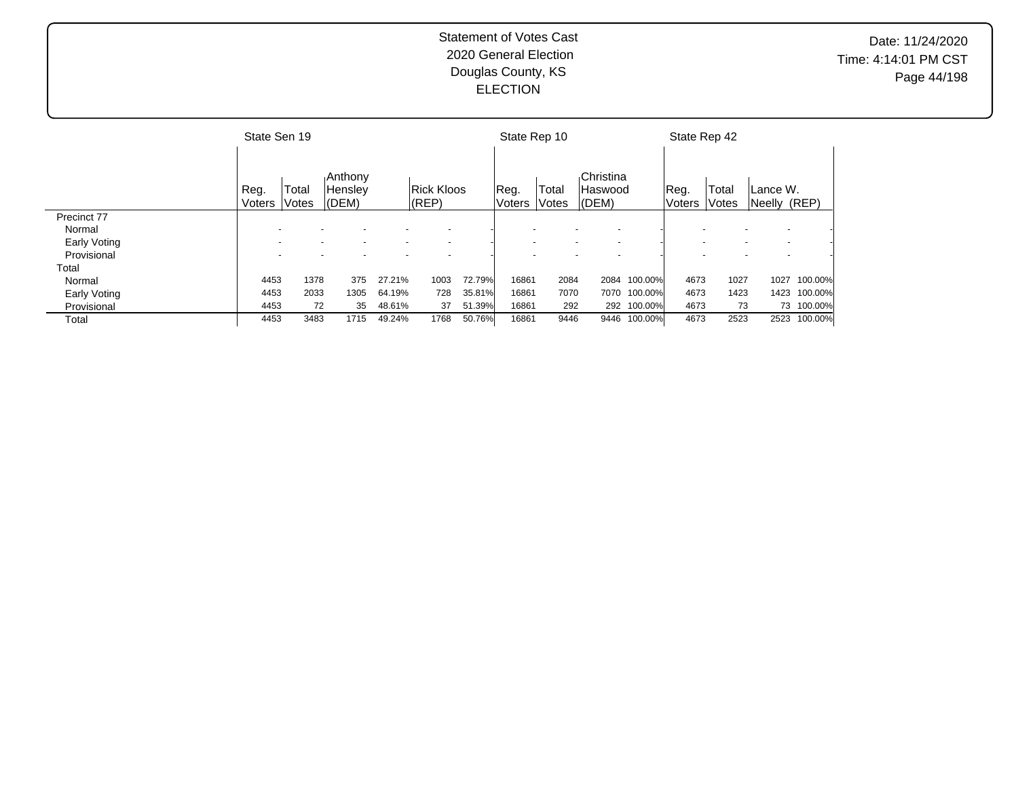# Date: 11/24/2020 Time: 4:14:01 PM CST Page 44/198

|                     | State Sen 19   |                |                                    |        |                                |        | State Rep 10   |                |                                          |             | State Rep 42   |                |                                                      |            |
|---------------------|----------------|----------------|------------------------------------|--------|--------------------------------|--------|----------------|----------------|------------------------------------------|-------------|----------------|----------------|------------------------------------------------------|------------|
|                     | Reg.<br>Voters | Total<br>Votes | <b>Anthony</b><br>Hensley<br>(DEM) |        | <b>Rick Kloos</b><br>$ $ (REP) |        | Reg.<br>Voters | Total<br>Votes | Christina<br><b>Haswood</b><br>$ $ (DEM) |             | Reg.<br>Voters | Total<br>Votes | Lance W.<br>Neelly (REP)                             |            |
| Precinct 77         |                |                |                                    |        |                                |        |                |                |                                          |             |                |                |                                                      |            |
| Normal              |                |                |                                    |        |                                |        |                |                |                                          |             |                |                |                                                      |            |
| Early Voting        |                |                |                                    |        |                                |        |                |                |                                          |             |                |                |                                                      |            |
| Provisional         |                |                |                                    |        |                                |        |                |                |                                          |             |                |                | $\overline{\phantom{a}}$<br>$\overline{\phantom{0}}$ |            |
| Total               |                |                |                                    |        |                                |        |                |                |                                          |             |                |                |                                                      |            |
| Normal              | 4453           | 1378           | 375                                | 27.21% | 1003                           | 72.79% | 16861          | 2084           | 2084                                     | 100.00%     | 4673           | 1027           | 1027                                                 | 100.00%    |
| <b>Early Voting</b> | 4453           | 2033           | 1305                               | 64.19% | 728                            | 35.81% | 16861          | 7070           | 7070                                     | 100.00%     | 4673           | 1423           | 1423                                                 | 100.00%    |
| Provisional         | 4453           | 72             | 35                                 | 48.61% | 37                             | 51.39% | 16861          | 292            |                                          | 292 100.00% | 4673           | 73             |                                                      | 73 100.00% |
| Total               | 4453           | 3483           | 1715                               | 49.24% | 1768                           | 50.76% | 16861          | 9446           | 9446                                     | 100.00%     | 4673           | 2523           | 2523                                                 | 100.00%    |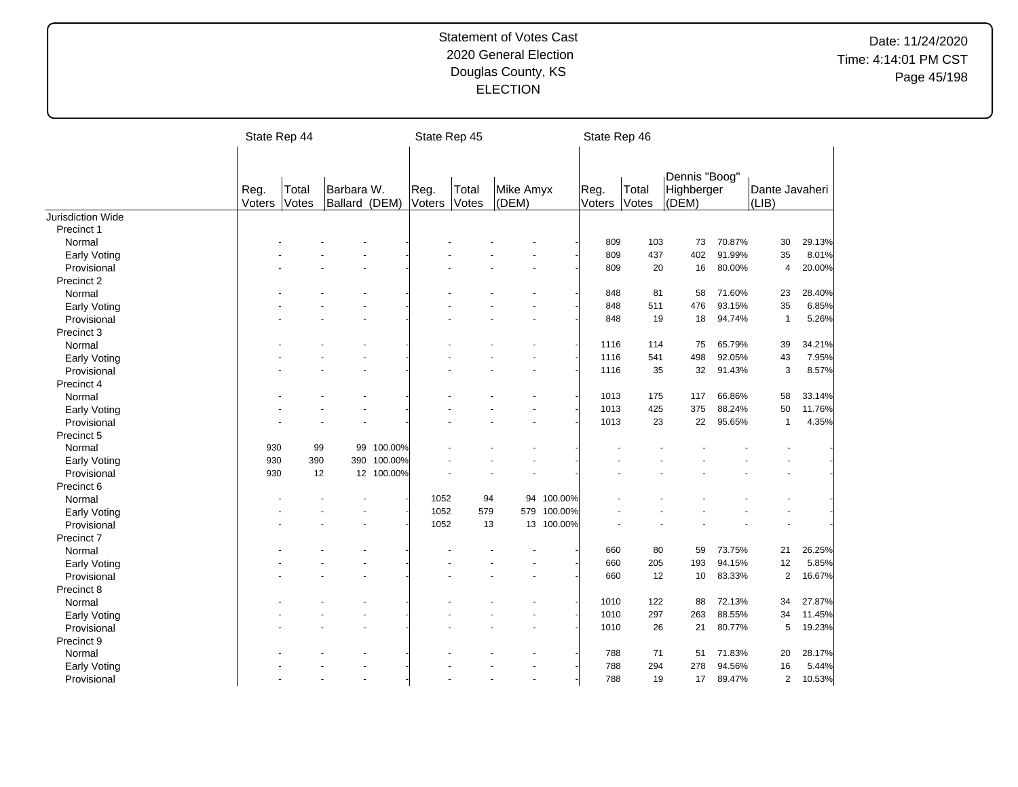|                     | State Rep 44   |                |                             |            | State Rep 45   |                |                    |            | State Rep 46   |                |                                      |        |                         |        |
|---------------------|----------------|----------------|-----------------------------|------------|----------------|----------------|--------------------|------------|----------------|----------------|--------------------------------------|--------|-------------------------|--------|
|                     | Reg.<br>Voters | Total<br>Votes | Barbara W.<br>Ballard (DEM) |            | Reg.<br>Voters | Total<br>Votes | Mike Amyx<br>(DEM) |            | Reg.<br>Voters | Total<br>Votes | Dennis "Boog"<br>Highberger<br>(DEM) |        | Dante Javaheri<br>(LIB) |        |
| Jurisdiction Wide   |                |                |                             |            |                |                |                    |            |                |                |                                      |        |                         |        |
| Precinct 1          |                |                |                             |            |                |                |                    |            |                |                |                                      |        |                         |        |
| Normal              |                |                |                             |            |                |                |                    |            | 809            | 103            | 73                                   | 70.87% | 30                      | 29.13% |
| <b>Early Voting</b> |                |                |                             |            |                |                |                    |            | 809            | 437            | 402                                  | 91.99% | 35                      | 8.01%  |
| Provisional         |                |                |                             |            |                |                |                    |            | 809            | 20             | 16                                   | 80.00% | 4                       | 20.00% |
| Precinct 2          |                |                |                             |            |                |                |                    |            |                |                |                                      |        |                         |        |
| Normal              |                |                |                             |            |                |                |                    |            | 848            | 81             | 58                                   | 71.60% | 23                      | 28.40% |
| <b>Early Voting</b> |                |                |                             |            |                |                |                    |            | 848            | 511            | 476                                  | 93.15% | 35                      | 6.85%  |
| Provisional         |                |                |                             |            |                |                |                    |            | 848            | 19             | 18                                   | 94.74% | $\mathbf{1}$            | 5.26%  |
| Precinct 3          |                |                |                             |            |                |                |                    |            |                |                |                                      |        |                         |        |
| Normal              |                |                |                             |            |                |                |                    |            | 1116           | 114            | 75                                   | 65.79% | 39                      | 34.21% |
| Early Voting        |                |                |                             |            |                |                |                    |            | 1116           | 541            | 498                                  | 92.05% | 43                      | 7.95%  |
| Provisional         |                |                |                             |            |                |                |                    |            | 1116           | 35             | 32                                   | 91.43% | 3                       | 8.57%  |
| Precinct 4          |                |                |                             |            |                |                |                    |            |                |                |                                      |        |                         |        |
| Normal              |                |                |                             |            |                |                |                    |            | 1013           | 175            | 117                                  | 66.86% | 58                      | 33.14% |
| Early Voting        |                |                |                             |            |                |                |                    |            | 1013           | 425            | 375                                  | 88.24% | 50                      | 11.76% |
| Provisional         |                |                |                             |            |                |                |                    |            | 1013           | 23             | 22                                   | 95.65% | $\mathbf{1}$            | 4.35%  |
| Precinct 5          |                |                |                             |            |                |                |                    |            |                |                |                                      |        |                         |        |
| Normal              | 930            | 99             | 99                          | 100.00%    |                |                |                    |            |                |                |                                      |        |                         |        |
| Early Voting        | 930            | 390            | 390                         | 100.00%    |                |                |                    |            |                |                |                                      |        |                         |        |
| Provisional         | 930            | 12             |                             | 12 100.00% |                |                |                    |            |                |                |                                      |        |                         |        |
| Precinct 6          |                |                |                             |            |                |                |                    |            |                |                |                                      |        |                         |        |
| Normal              |                |                |                             |            | 1052           |                | 94                 | 94 100.00% |                |                |                                      |        |                         |        |
| <b>Early Voting</b> |                |                |                             |            | 1052           | 579            | 579                | 100.00%    |                |                |                                      |        |                         |        |
| Provisional         |                |                |                             |            | 1052           | 13             |                    | 13 100.00% |                |                |                                      |        |                         |        |
| Precinct 7          |                |                |                             |            |                |                |                    |            |                |                |                                      |        |                         |        |
| Normal              |                |                |                             |            |                |                |                    |            | 660            | 80             | 59                                   | 73.75% | 21                      | 26.25% |
| Early Voting        |                |                |                             |            |                |                |                    |            | 660            | 205            | 193                                  | 94.15% | 12                      | 5.85%  |
| Provisional         |                |                |                             |            |                |                |                    |            | 660            | 12             | 10                                   | 83.33% | $\overline{2}$          | 16.67% |
| Precinct 8          |                |                |                             |            |                |                |                    |            |                |                |                                      |        |                         |        |
| Normal              |                |                |                             |            |                |                |                    |            | 1010           | 122            | 88                                   | 72.13% | 34                      | 27.87% |
| Early Voting        |                |                |                             |            |                |                |                    |            | 1010           | 297            | 263                                  | 88.55% | 34                      | 11.45% |
| Provisional         |                |                |                             |            |                |                |                    |            | 1010           | 26             | 21                                   | 80.77% | 5                       | 19.23% |
| Precinct 9          |                |                |                             |            |                |                |                    |            |                |                |                                      |        |                         |        |
| Normal              |                |                |                             |            |                |                |                    |            | 788            | 71             | 51                                   | 71.83% | 20                      | 28.17% |
| <b>Early Voting</b> |                |                |                             |            |                |                |                    |            | 788            | 294            | 278                                  | 94.56% | 16                      | 5.44%  |
| Provisional         |                |                |                             |            |                |                |                    |            | 788            | 19             | 17                                   | 89.47% | $\overline{\mathbf{c}}$ | 10.53% |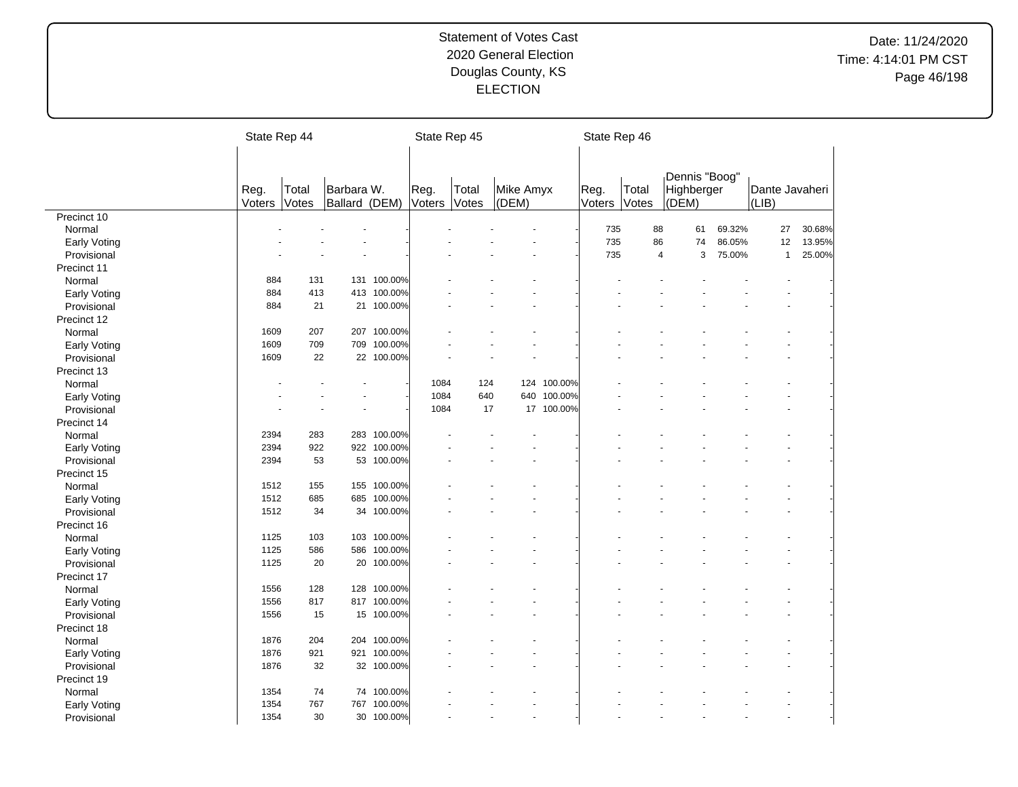|                     | State Rep 44   |                |                             |             |                | State Rep 45   |                    |             | State Rep 46   |                |                                      |        |                         |        |
|---------------------|----------------|----------------|-----------------------------|-------------|----------------|----------------|--------------------|-------------|----------------|----------------|--------------------------------------|--------|-------------------------|--------|
|                     | Reg.<br>Voters | Total<br>Votes | Barbara W.<br>Ballard (DEM) |             | Reg.<br>Voters | Total<br>Votes | Mike Amyx<br>(DEM) |             | Reg.<br>Voters | Total<br>Votes | Dennis "Boog"<br>Highberger<br>(DEM) |        | Dante Javaheri<br>(LIB) |        |
| Precinct 10         |                |                |                             |             |                |                |                    |             |                |                |                                      |        |                         |        |
| Normal              |                |                |                             |             |                |                |                    |             | 735            | 88             | 61                                   | 69.32% | 27                      | 30.68% |
| Early Voting        |                |                |                             |             |                |                |                    |             | 735            | 86             | 74                                   | 86.05% | 12                      | 13.95% |
| Provisional         |                |                |                             |             |                |                |                    |             | 735            | 4              | 3                                    | 75.00% | $\mathbf{1}$            | 25.00% |
| Precinct 11         |                |                |                             |             |                |                |                    |             |                |                |                                      |        |                         |        |
| Normal              | 884            | 131            |                             | 131 100.00% |                |                |                    |             |                |                |                                      |        |                         |        |
| Early Voting        | 884            | 413            | 413                         | 100.00%     |                |                |                    |             |                |                |                                      |        |                         |        |
| Provisional         | 884            | 21             |                             | 21 100.00%  |                |                |                    |             |                |                |                                      |        |                         |        |
| Precinct 12         |                |                |                             |             |                |                |                    |             |                |                |                                      |        |                         |        |
| Normal              | 1609           | 207            | 207                         | 100.00%     |                |                |                    |             |                |                |                                      |        |                         |        |
| <b>Early Voting</b> | 1609           | 709            | 709                         | 100.00%     |                |                |                    |             |                |                |                                      |        |                         |        |
| Provisional         | 1609           | 22             |                             | 22 100.00%  |                |                |                    |             |                |                |                                      |        |                         |        |
| Precinct 13         |                |                |                             |             |                |                |                    |             |                |                |                                      |        |                         |        |
| Normal              |                |                |                             |             | 1084           | 124            |                    | 124 100.00% |                |                |                                      |        |                         |        |
| Early Voting        |                |                |                             |             | 1084           | 640            | 640                | 100.00%     |                |                |                                      |        |                         |        |
| Provisional         |                |                |                             |             | 1084           | 17             |                    | 17 100.00%  |                |                |                                      |        |                         |        |
| Precinct 14         |                |                |                             |             |                |                |                    |             |                |                |                                      |        |                         |        |
| Normal              | 2394           | 283            |                             | 283 100.00% |                |                |                    |             |                |                |                                      |        |                         |        |
| Early Voting        | 2394           | 922            |                             | 922 100.00% |                |                |                    |             |                |                |                                      |        |                         |        |
| Provisional         | 2394           | 53             | 53                          | 100.00%     |                |                |                    |             |                |                |                                      |        |                         |        |
| Precinct 15         |                |                |                             |             |                |                |                    |             |                |                |                                      |        |                         |        |
| Normal              | 1512           | 155            | 155                         | 100.00%     |                |                |                    |             |                |                |                                      |        |                         |        |
| Early Voting        | 1512           | 685            | 685                         | 100.00%     |                |                |                    |             |                |                |                                      |        |                         |        |
| Provisional         | 1512           | 34             |                             | 34 100.00%  |                |                |                    |             |                |                |                                      |        |                         |        |
| Precinct 16         |                |                |                             |             |                |                |                    |             |                |                |                                      |        |                         |        |
| Normal              | 1125           | 103            | 103                         | 100.00%     |                |                |                    |             |                |                |                                      |        |                         |        |
| Early Voting        | 1125           | 586            | 586                         | 100.00%     |                |                |                    |             |                |                |                                      |        |                         |        |
| Provisional         | 1125           | 20             | 20                          | 100.00%     |                |                |                    |             |                |                |                                      |        |                         |        |
| Precinct 17         |                |                |                             |             |                |                |                    |             |                |                |                                      |        |                         |        |
| Normal              | 1556           | 128            | 128                         | 100.00%     |                |                |                    |             |                |                |                                      |        |                         |        |
| <b>Early Voting</b> | 1556           | 817            |                             | 817 100.00% |                |                |                    |             |                |                |                                      |        |                         |        |
| Provisional         | 1556           | 15             |                             | 15 100.00%  |                |                |                    |             |                |                |                                      |        |                         |        |
| Precinct 18         |                |                |                             |             |                |                |                    |             |                |                |                                      |        |                         |        |
| Normal              | 1876           | 204            |                             | 204 100.00% |                |                |                    |             |                |                |                                      |        |                         |        |
|                     | 1876           | 921            | 921                         | 100.00%     |                |                |                    |             |                |                |                                      |        |                         |        |
| Early Voting        | 1876           | 32             |                             | 32 100.00%  |                |                |                    |             |                |                |                                      |        |                         |        |
| Provisional         |                |                |                             |             |                |                |                    |             |                |                |                                      |        |                         |        |
| Precinct 19         |                |                |                             |             |                |                |                    |             |                |                |                                      |        |                         |        |
| Normal              | 1354<br>1354   | 74<br>767      | 74<br>767                   | 100.00%     |                |                |                    |             |                |                |                                      |        |                         |        |
| Early Voting        |                |                |                             | 100.00%     |                |                |                    |             |                |                |                                      |        |                         |        |
| Provisional         | 1354           | 30             |                             | 30 100.00%  |                |                |                    |             |                |                |                                      |        |                         |        |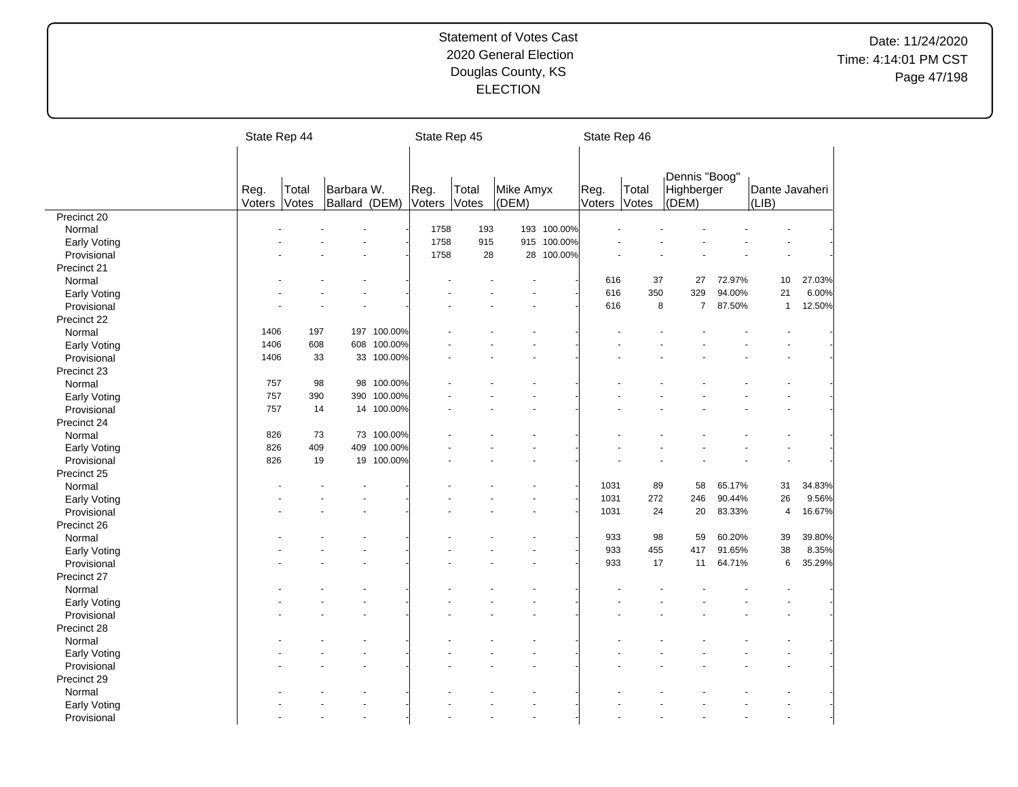|                     | State Rep 44 |       |               |            | State Rep 45 |       |           |             | State Rep 46 |       |                             |        |                |        |
|---------------------|--------------|-------|---------------|------------|--------------|-------|-----------|-------------|--------------|-------|-----------------------------|--------|----------------|--------|
|                     |              |       |               |            |              |       |           |             |              |       |                             |        |                |        |
|                     | Reg.         | Total | Barbara W.    |            | Reg.         | Total | Mike Amyx |             | Reg.         | Total | Dennis "Boog"<br>Highberger |        | Dante Javaheri |        |
|                     | Voters       | Votes | Ballard (DEM) |            | Voters       | Votes | (DEM)     |             | Voters       | Votes | (DEM)                       |        | (LIB)          |        |
| Precinct 20         |              |       |               |            |              |       |           |             |              |       |                             |        |                |        |
| Normal              |              |       |               |            | 1758         | 193   |           | 193 100.00% |              |       |                             |        |                |        |
| Early Voting        |              |       |               |            | 1758         | 915   |           | 915 100.00% |              |       |                             |        |                |        |
| Provisional         |              |       |               |            | 1758         | 28    | 28        | 100.00%     |              |       |                             |        |                |        |
| Precinct 21         |              |       |               |            |              |       |           |             |              |       |                             |        |                |        |
| Normal              |              |       |               |            |              |       |           |             | 616          | 37    | 27                          | 72.97% | 10             | 27.03% |
| <b>Early Voting</b> |              |       |               |            |              |       |           |             | 616          | 350   | 329                         | 94.00% | 21             | 6.00%  |
| Provisional         |              |       |               |            |              |       |           |             | 616          | 8     | $\overline{7}$              | 87.50% | $\mathbf{1}$   | 12.50% |
| Precinct 22         |              |       |               |            |              |       |           |             |              |       |                             |        |                |        |
| Normal              | 1406         | 197   | 197           | 100.00%    |              |       |           |             |              |       |                             |        |                |        |
| <b>Early Voting</b> | 1406         | 608   | 608           | 100.00%    |              |       |           |             |              |       |                             |        |                |        |
| Provisional         | 1406         | 33    | 33            | 100.00%    |              |       |           |             |              |       |                             |        |                |        |
| Precinct 23         |              |       |               |            |              |       |           |             |              |       |                             |        |                |        |
| Normal              | 757          | 98    | 98            | 100.00%    |              |       |           |             |              |       |                             |        |                |        |
| Early Voting        | 757          | 390   | 390           | 100.00%    |              |       |           |             |              |       |                             |        |                |        |
| Provisional         | 757          | 14    |               | 14 100.00% |              |       |           |             |              |       |                             |        |                |        |
| Precinct 24         |              |       |               |            |              |       |           |             |              |       |                             |        |                |        |
| Normal              | 826          | 73    |               | 73 100.00% |              |       |           |             |              |       |                             |        |                |        |
| Early Voting        | 826          | 409   | 409           | 100.00%    |              |       |           |             |              |       |                             |        |                |        |
| Provisional         | 826          | 19    | 19            | 100.00%    |              |       |           |             |              |       |                             |        |                |        |
| Precinct 25         |              |       |               |            |              |       |           |             |              |       |                             |        |                |        |
| Normal              |              |       |               |            |              |       |           |             | 1031         | 89    | 58                          | 65.17% | 31             | 34.83% |
| <b>Early Voting</b> |              |       |               |            |              |       |           |             | 1031         | 272   | 246                         | 90.44% | 26             | 9.56%  |
| Provisional         |              |       |               |            |              |       |           |             | 1031         | 24    | 20                          | 83.33% | $\overline{4}$ | 16.67% |
| Precinct 26         |              |       |               |            |              |       |           |             |              |       |                             |        |                |        |
| Normal              |              |       |               |            |              |       |           |             | 933          | 98    | 59                          | 60.20% | 39             | 39.80% |
| <b>Early Voting</b> |              |       |               |            |              |       |           |             | 933          | 455   | 417                         | 91.65% | 38             | 8.35%  |
| Provisional         |              |       |               |            |              |       |           |             | 933          | 17    | 11                          | 64.71% | 6              | 35.29% |
| Precinct 27         |              |       |               |            |              |       |           |             |              |       |                             |        |                |        |
| Normal              |              |       |               |            |              |       |           |             |              |       |                             |        |                |        |
| <b>Early Voting</b> |              |       |               |            |              |       |           |             |              |       |                             |        |                |        |
| Provisional         |              |       |               |            |              |       |           |             |              |       |                             |        |                |        |
| Precinct 28         |              |       |               |            |              |       |           |             |              |       |                             |        |                |        |
| Normal              |              |       |               |            |              |       |           |             |              |       |                             |        |                |        |
| Early Voting        |              |       |               |            |              |       |           |             |              |       |                             |        |                |        |
| Provisional         |              |       |               |            |              |       |           |             |              |       |                             |        |                |        |
| Precinct 29         |              |       |               |            |              |       |           |             |              |       |                             |        |                |        |
| Normal              |              |       |               |            |              |       |           |             |              |       |                             |        |                |        |
|                     |              |       |               |            |              |       |           |             |              |       |                             |        |                |        |
| Early Voting        |              |       |               |            |              |       |           |             |              |       |                             |        |                |        |
| Provisional         |              |       |               |            |              |       |           |             |              |       |                             |        |                |        |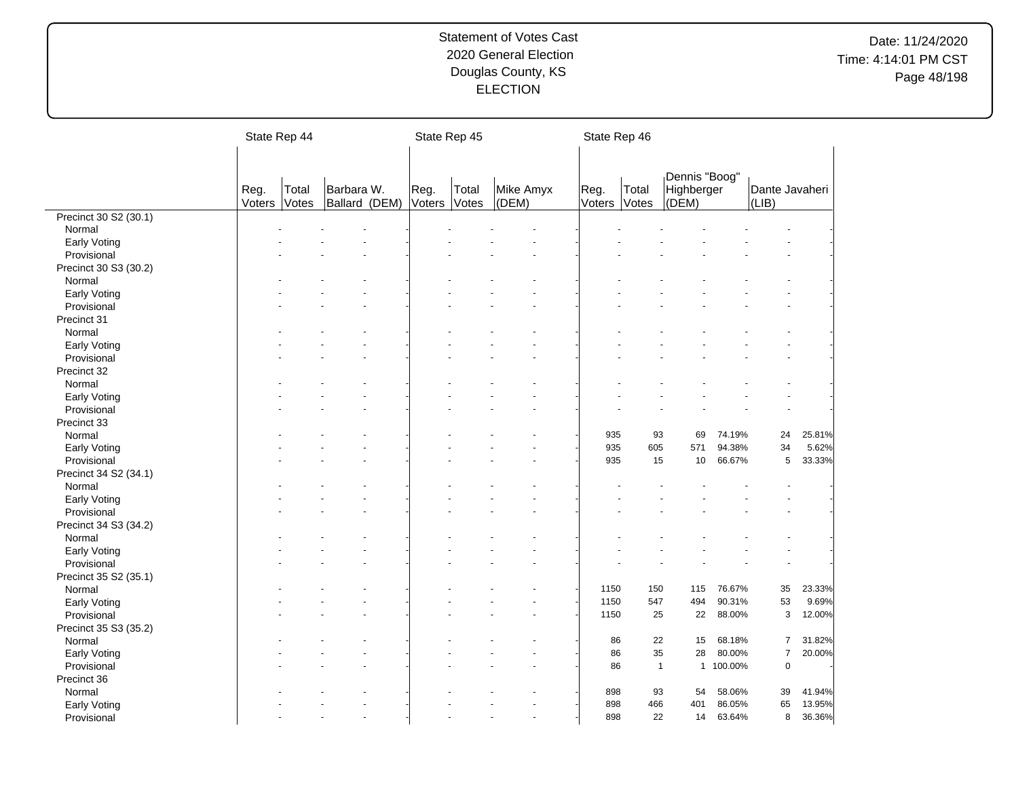|                       | State Rep 44   |                |                             | State Rep 45   |                |                    | State Rep 46   |                |                     |           |                         |        |
|-----------------------|----------------|----------------|-----------------------------|----------------|----------------|--------------------|----------------|----------------|---------------------|-----------|-------------------------|--------|
|                       |                |                |                             |                |                |                    |                |                |                     |           |                         |        |
|                       |                |                |                             |                |                |                    |                |                | Dennis "Boog"       |           |                         |        |
|                       | Reg.<br>Voters | Total<br>Votes | Barbara W.<br>Ballard (DEM) | Reg.<br>Voters | Total<br>Votes | Mike Amyx<br>(DEM) | Reg.<br>Voters | Total<br>Votes | Highberger<br>(DEM) |           | Dante Javaheri<br>(LIB) |        |
| Precinct 30 S2 (30.1) |                |                |                             |                |                |                    |                |                |                     |           |                         |        |
| Normal                |                |                |                             |                |                |                    |                |                |                     |           |                         |        |
| <b>Early Voting</b>   |                |                |                             |                |                |                    |                |                |                     |           |                         |        |
| Provisional           |                |                |                             |                |                |                    |                |                |                     |           |                         |        |
| Precinct 30 S3 (30.2) |                |                |                             |                |                |                    |                |                |                     |           |                         |        |
| Normal                |                |                |                             |                |                |                    |                |                |                     |           |                         |        |
| Early Voting          |                |                |                             |                |                |                    |                |                |                     |           |                         |        |
| Provisional           |                |                |                             |                |                |                    |                |                |                     |           |                         |        |
| Precinct 31           |                |                |                             |                |                |                    |                |                |                     |           |                         |        |
| Normal                |                |                |                             |                |                |                    |                |                |                     |           |                         |        |
| Early Voting          |                |                |                             |                |                |                    |                |                |                     |           |                         |        |
| Provisional           |                |                |                             |                |                |                    |                |                |                     |           |                         |        |
| Precinct 32           |                |                |                             |                |                |                    |                |                |                     |           |                         |        |
| Normal                |                |                |                             |                |                |                    |                |                |                     |           |                         |        |
| Early Voting          |                |                |                             |                |                |                    |                |                |                     |           |                         |        |
| Provisional           |                |                |                             |                |                |                    |                |                |                     |           |                         |        |
| Precinct 33           |                |                |                             |                |                |                    |                |                |                     |           |                         |        |
| Normal                |                |                |                             |                |                |                    | 935            | 93             | 69                  | 74.19%    | 24                      | 25.81% |
| <b>Early Voting</b>   |                |                |                             |                |                |                    | 935            | 605            | 571                 | 94.38%    | 34                      | 5.62%  |
| Provisional           |                |                |                             |                |                |                    | 935            | 15             | 10                  | 66.67%    | 5                       | 33.33% |
| Precinct 34 S2 (34.1) |                |                |                             |                |                |                    |                |                |                     |           |                         |        |
| Normal                |                |                |                             |                |                |                    |                |                |                     |           |                         |        |
| Early Voting          |                |                |                             |                |                |                    |                |                |                     |           |                         |        |
| Provisional           |                |                |                             |                |                |                    |                |                |                     |           |                         |        |
| Precinct 34 S3 (34.2) |                |                |                             |                |                |                    |                |                |                     |           |                         |        |
| Normal                |                |                |                             |                |                |                    |                |                |                     |           |                         |        |
|                       |                |                |                             |                |                |                    |                |                |                     |           |                         |        |
| Early Voting          |                |                |                             |                |                |                    |                |                |                     |           |                         |        |
| Provisional           |                |                |                             |                |                |                    |                |                |                     |           |                         |        |
| Precinct 35 S2 (35.1) |                |                |                             |                |                |                    |                |                |                     |           |                         |        |
| Normal                |                |                |                             |                |                |                    | 1150           | 150            | 115                 | 76.67%    | 35                      | 23.33% |
| <b>Early Voting</b>   |                |                |                             |                |                |                    | 1150           | 547            | 494                 | 90.31%    | 53                      | 9.69%  |
| Provisional           |                |                |                             |                |                |                    | 1150           | 25             | 22                  | 88.00%    | $\sqrt{3}$              | 12.00% |
| Precinct 35 S3 (35.2) |                |                |                             |                |                |                    |                |                |                     |           |                         |        |
| Normal                |                |                |                             |                |                |                    | 86             | 22             | 15                  | 68.18%    | $\overline{7}$          | 31.82% |
| Early Voting          |                |                |                             |                |                |                    | 86             | 35             | 28                  | 80.00%    | $\overline{7}$          | 20.00% |
| Provisional           |                |                |                             |                |                |                    | 86             | $\mathbf{1}$   |                     | 1 100.00% | $\mathbf 0$             |        |
| Precinct 36           |                |                |                             |                |                |                    |                |                |                     |           |                         |        |
| Normal                |                |                |                             |                |                |                    | 898            | 93             | 54                  | 58.06%    | 39                      | 41.94% |
| Early Voting          |                |                |                             |                |                |                    | 898            | 466            | 401                 | 86.05%    | 65                      | 13.95% |
| Provisional           |                |                |                             |                |                |                    | 898            | 22             | 14                  | 63.64%    | 8                       | 36.36% |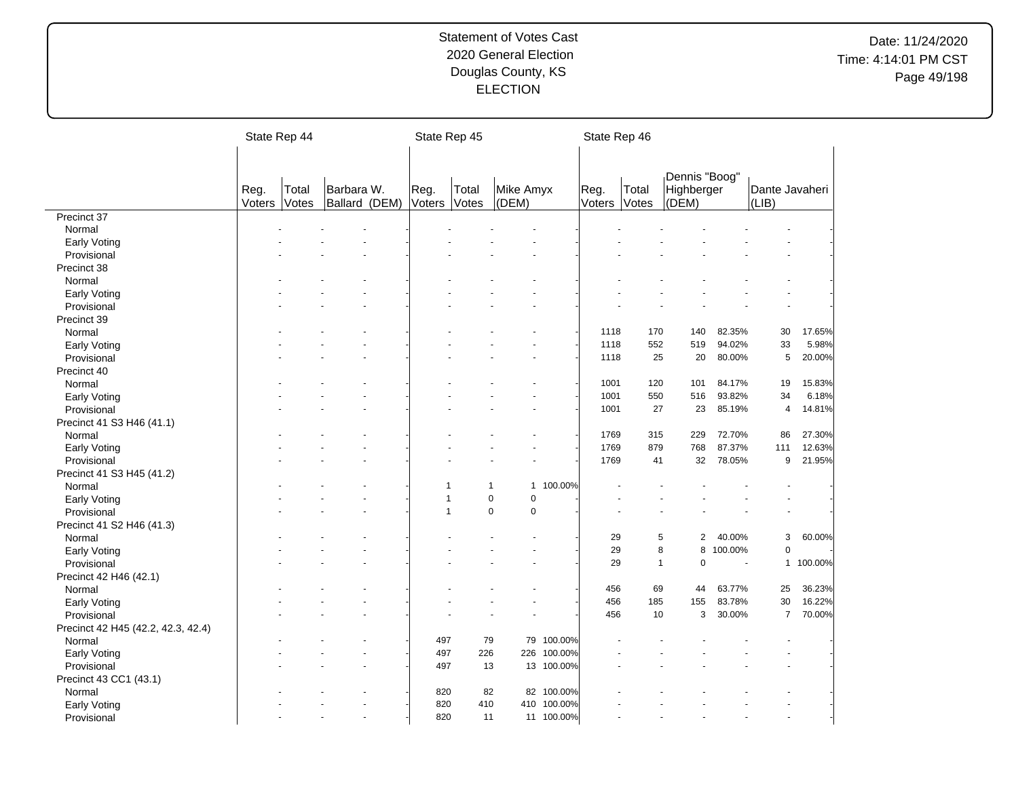|                                    | State Rep 44   |                |            |                          |                | State Rep 45          |                    |             | State Rep 46   |                |                                      |                          |                         |           |
|------------------------------------|----------------|----------------|------------|--------------------------|----------------|-----------------------|--------------------|-------------|----------------|----------------|--------------------------------------|--------------------------|-------------------------|-----------|
|                                    | Reg.<br>Voters | Total<br>Votes | Barbara W. | Ballard (DEM)            | Reg.<br>Voters | Total<br><b>Votes</b> | Mike Amyx<br>(DEM) |             | Reg.<br>Voters | Total<br>Votes | Dennis "Boog"<br>Highberger<br>(DEM) |                          | Dante Javaheri<br>(LIB) |           |
| Precinct 37                        |                |                |            |                          |                |                       |                    |             |                |                |                                      |                          |                         |           |
| Normal                             |                |                |            |                          |                |                       |                    |             |                |                |                                      |                          |                         |           |
| Early Voting                       |                |                |            |                          |                |                       |                    |             |                |                |                                      |                          |                         |           |
| Provisional                        |                |                |            |                          |                |                       |                    |             |                |                |                                      |                          |                         |           |
| Precinct 38                        |                |                |            |                          |                |                       |                    |             |                |                |                                      |                          |                         |           |
| Normal                             |                |                |            |                          |                |                       |                    |             |                |                |                                      |                          |                         |           |
| Early Voting                       |                |                |            |                          |                |                       |                    |             |                |                |                                      |                          |                         |           |
| Provisional                        |                |                |            |                          |                |                       |                    |             |                |                |                                      |                          |                         |           |
| Precinct 39                        |                |                |            |                          |                |                       |                    |             |                |                |                                      |                          |                         |           |
| Normal                             |                |                |            |                          |                |                       |                    |             | 1118           | 170            | 140                                  | 82.35%                   | 30                      | 17.65%    |
| Early Voting                       |                |                |            |                          |                |                       |                    |             | 1118           | 552            | 519                                  | 94.02%                   | 33                      | 5.98%     |
| Provisional                        |                |                |            |                          |                |                       |                    |             | 1118           | 25             | 20                                   | 80.00%                   | 5                       | 20.00%    |
| Precinct 40                        |                |                |            |                          |                |                       |                    |             |                |                |                                      |                          |                         |           |
| Normal                             |                |                |            |                          |                |                       |                    |             | 1001           | 120            | 101                                  | 84.17%                   | 19                      | 15.83%    |
| Early Voting                       |                |                |            |                          |                |                       |                    |             | 1001           | 550            | 516                                  | 93.82%                   | 34                      | 6.18%     |
| Provisional                        |                |                |            |                          |                |                       |                    |             | 1001           | 27             | 23                                   | 85.19%                   | $\overline{4}$          | 14.81%    |
| Precinct 41 S3 H46 (41.1)          |                |                |            |                          |                |                       |                    |             |                |                |                                      |                          |                         |           |
| Normal                             |                |                |            |                          |                |                       |                    |             | 1769           | 315            | 229                                  | 72.70%                   | 86                      | 27.30%    |
| Early Voting                       |                |                |            |                          |                |                       |                    |             | 1769           | 879            | 768                                  | 87.37%                   | 111                     | 12.63%    |
| Provisional                        |                |                |            |                          |                |                       |                    |             | 1769           | 41             | 32                                   | 78.05%                   | 9                       | 21.95%    |
| Precinct 41 S3 H45 (41.2)          |                |                |            |                          |                |                       |                    |             |                |                |                                      |                          |                         |           |
|                                    |                |                |            |                          |                | 1                     | 1                  | 1 100.00%   |                |                |                                      |                          |                         |           |
| Normal                             |                |                |            |                          |                | $\mathbf{1}$          | $\pmb{0}$<br>0     |             |                |                |                                      |                          |                         |           |
| Early Voting                       |                |                |            |                          |                | 1                     | $\pmb{0}$<br>0     |             |                |                |                                      |                          |                         |           |
| Provisional                        |                |                |            |                          |                |                       |                    |             |                |                |                                      |                          |                         |           |
| Precinct 41 S2 H46 (41.3)          |                |                |            |                          |                |                       |                    |             |                |                |                                      |                          |                         |           |
| Normal                             |                |                |            |                          |                |                       |                    |             | 29             | 5              | $\overline{a}$                       | 40.00%                   | 3                       | 60.00%    |
| Early Voting                       |                |                |            |                          |                |                       |                    |             | 29             |                | 8<br>8                               | 100.00%                  | $\mathbf 0$             |           |
| Provisional                        |                |                |            |                          |                |                       |                    |             | 29             | $\mathbf{1}$   | 0                                    | $\overline{\phantom{a}}$ |                         | 1 100.00% |
| Precinct 42 H46 (42.1)             |                |                |            |                          |                |                       |                    |             |                |                |                                      |                          |                         |           |
| Normal                             |                |                |            |                          |                |                       |                    |             | 456            | 69             | 44                                   | 63.77%                   | 25                      | 36.23%    |
| Early Voting                       |                |                |            |                          |                |                       |                    |             | 456            | 185            | 155                                  | 83.78%                   | 30                      | 16.22%    |
| Provisional                        |                |                |            |                          |                |                       |                    |             | 456            | 10             | 3                                    | 30.00%                   | $\overline{7}$          | 70.00%    |
| Precinct 42 H45 (42.2, 42.3, 42.4) |                |                |            |                          |                |                       |                    |             |                |                |                                      |                          |                         |           |
| Normal                             |                |                |            |                          | 497            |                       | 79                 | 79 100.00%  |                |                |                                      |                          |                         |           |
| Early Voting                       |                |                |            |                          | 497            | 226                   |                    | 226 100.00% |                |                |                                      |                          |                         |           |
| Provisional                        |                |                |            |                          | 497            |                       | 13                 | 13 100.00%  |                |                |                                      |                          |                         |           |
| Precinct 43 CC1 (43.1)             |                |                |            |                          |                |                       |                    |             |                |                |                                      |                          |                         |           |
| Normal                             |                |                |            |                          | 820            |                       | 82                 | 82 100.00%  |                |                |                                      |                          |                         |           |
| Early Voting                       |                |                |            |                          | 820            | 410                   |                    | 410 100.00% |                |                |                                      |                          |                         |           |
| Provisional                        |                |                |            | $\overline{\phantom{a}}$ | 820            | 11                    |                    | 11 100.00%  |                |                |                                      |                          |                         |           |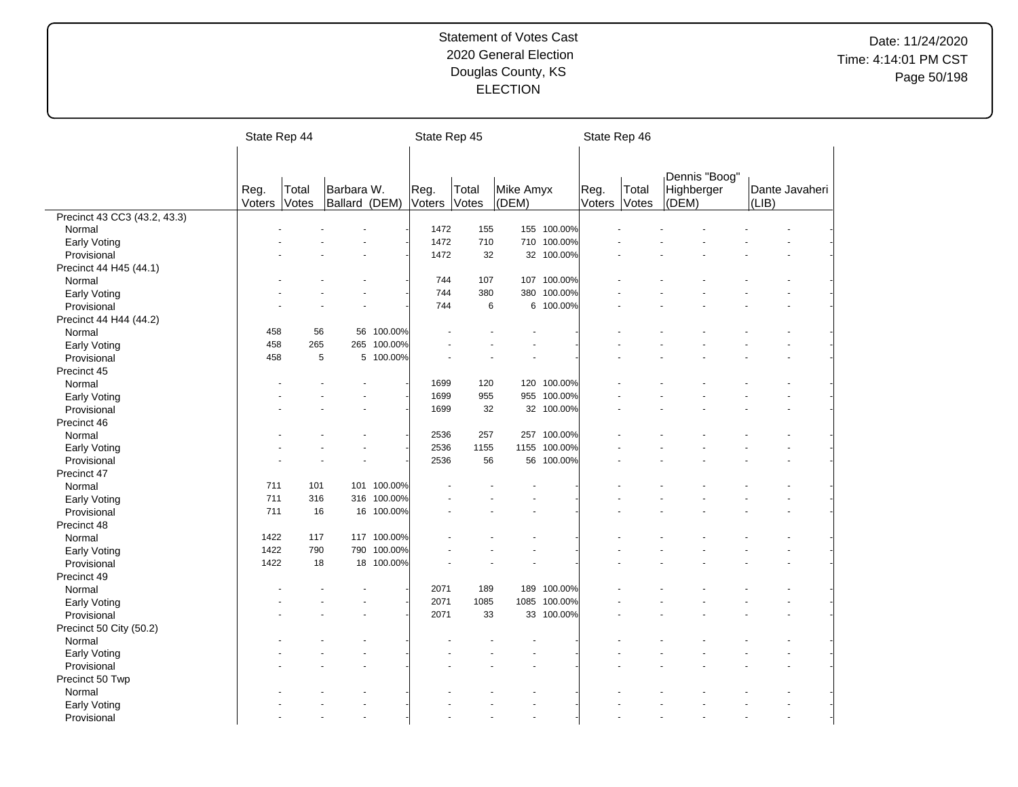|                              | State Rep 44 |       |               |             | State Rep 45 |       |           |              | State Rep 46 |       |            |               |       |                |
|------------------------------|--------------|-------|---------------|-------------|--------------|-------|-----------|--------------|--------------|-------|------------|---------------|-------|----------------|
|                              |              |       |               |             |              |       |           |              |              |       |            |               |       |                |
|                              |              |       |               |             |              |       |           |              |              |       |            |               |       |                |
|                              |              |       |               |             |              |       |           |              |              |       |            | Dennis "Boog" |       |                |
|                              | Reg.         | Total | Barbara W.    |             | Reg.         | Total | Mike Amyx |              | Reg.         | Total | Highberger |               |       | Dante Javaheri |
|                              | Voters       | Votes | Ballard (DEM) |             | Voters       | Votes | (DEM)     |              | Voters       | Votes | (DEM)      |               | (LIB) |                |
| Precinct 43 CC3 (43.2, 43.3) |              |       |               |             |              |       |           |              |              |       |            |               |       |                |
| Normal                       |              |       |               |             | 1472         | 155   |           | 155 100.00%  |              |       |            |               |       |                |
| Early Voting                 |              |       |               |             | 1472         | 710   |           | 710 100.00%  |              |       |            |               |       |                |
| Provisional                  |              |       |               |             | 1472         | 32    | 32        | 100.00%      |              |       |            |               |       |                |
| Precinct 44 H45 (44.1)       |              |       |               |             |              |       |           |              |              |       |            |               |       |                |
| Normal                       |              |       |               |             | 744          | 107   |           | 107 100.00%  |              |       |            |               |       |                |
| Early Voting                 |              |       |               |             | 744          | 380   |           | 380 100.00%  |              |       |            |               |       |                |
| Provisional                  |              |       |               |             | 744          | 6     |           | 6 100.00%    |              |       |            |               |       |                |
| Precinct 44 H44 (44.2)       |              |       |               |             |              |       |           |              |              |       |            |               |       |                |
| Normal                       | 458          | 56    | 56            | 100.00%     |              |       |           |              |              |       |            |               |       |                |
| Early Voting                 | 458          | 265   |               | 265 100.00% |              |       |           |              |              |       |            |               |       |                |
| Provisional                  | 458          | 5     |               | 5 100.00%   |              |       |           |              |              |       |            |               |       |                |
| Precinct 45                  |              |       |               |             |              |       |           |              |              |       |            |               |       |                |
| Normal                       |              |       |               |             | 1699         | 120   |           | 120 100.00%  |              |       |            |               |       |                |
| <b>Early Voting</b>          |              |       |               |             | 1699         | 955   |           | 955 100.00%  |              |       |            |               |       |                |
| Provisional                  |              |       |               |             | 1699         | 32    |           | 32 100.00%   |              |       |            |               |       |                |
| Precinct 46                  |              |       |               |             |              |       |           |              |              |       |            |               |       |                |
| Normal                       |              |       |               |             | 2536         | 257   |           | 257 100.00%  |              |       |            |               |       |                |
| Early Voting                 |              |       |               |             | 2536         | 1155  |           | 1155 100.00% |              |       |            |               |       |                |
| Provisional                  |              |       |               |             | 2536         | 56    | 56        | 100.00%      |              |       |            |               |       |                |
| Precinct 47                  |              |       |               |             |              |       |           |              |              |       |            |               |       |                |
| Normal                       | 711          | 101   |               | 101 100.00% |              |       |           |              |              |       |            |               |       |                |
| <b>Early Voting</b>          | 711          | 316   |               | 316 100.00% |              |       |           |              |              |       |            |               |       |                |
| Provisional                  | 711          | 16    |               | 16 100.00%  |              |       |           |              |              |       |            |               |       |                |
| Precinct 48                  |              |       |               |             |              |       |           |              |              |       |            |               |       |                |
| Normal                       | 1422         | 117   |               | 117 100.00% |              |       |           |              |              |       |            |               |       |                |
| Early Voting                 | 1422         | 790   | 790           | 100.00%     |              |       |           |              |              |       |            |               |       |                |
| Provisional                  | 1422         | 18    |               | 18 100.00%  |              |       |           |              |              |       |            |               |       |                |
| Precinct 49                  |              |       |               |             |              |       |           |              |              |       |            |               |       |                |
| Normal                       |              |       |               |             | 2071         | 189   | 189       | 100.00%      |              |       |            |               |       |                |
| Early Voting                 |              |       |               |             | 2071         | 1085  | 1085      | 100.00%      |              |       |            |               |       |                |
| Provisional                  |              |       |               |             | 2071         | 33    |           | 33 100.00%   |              |       |            |               |       |                |
|                              |              |       |               |             |              |       |           |              |              |       |            |               |       |                |
| Precinct 50 City (50.2)      |              |       |               |             |              |       |           |              |              |       |            |               |       |                |
| Normal                       |              |       |               |             |              |       |           |              |              |       |            |               |       |                |
| Early Voting                 |              |       |               |             |              |       |           |              |              |       |            |               |       |                |
| Provisional                  |              |       |               |             |              |       |           |              |              |       |            |               |       |                |
| Precinct 50 Twp              |              |       |               |             |              |       |           |              |              |       |            |               |       |                |
| Normal                       |              |       |               |             |              |       |           |              |              |       |            |               |       |                |
| Early Voting                 |              |       |               |             |              |       |           |              |              |       |            |               |       |                |
| Provisional                  |              |       |               |             |              |       |           |              |              |       |            |               |       |                |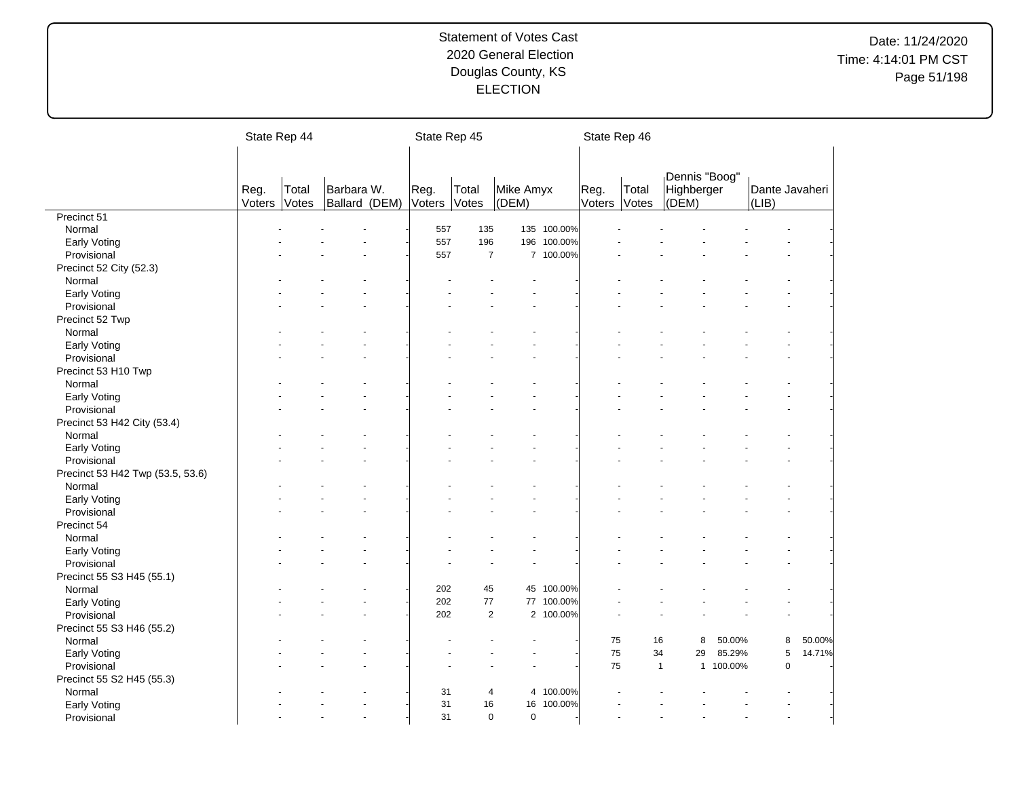|                                  | State Rep 44   |                |                             | State Rep 45   |                |                    |             | State Rep 46   |                |                                      |         |                                 |        |
|----------------------------------|----------------|----------------|-----------------------------|----------------|----------------|--------------------|-------------|----------------|----------------|--------------------------------------|---------|---------------------------------|--------|
|                                  | Reg.<br>Voters | Total<br>Votes | Barbara W.<br>Ballard (DEM) | Reg.<br>Voters | Total<br>Votes | Mike Amyx<br>(DEM) |             | Reg.<br>Voters | Total<br>Votes | Dennis "Boog"<br>Highberger<br>(DEM) |         | Dante Javaheri<br>$ LIB\rangle$ |        |
| Precinct 51                      |                |                |                             |                |                |                    |             |                |                |                                      |         |                                 |        |
| Normal                           |                |                |                             | 557            | 135            |                    | 135 100.00% |                |                |                                      |         |                                 |        |
| Early Voting                     |                |                |                             | 557            | 196            |                    | 196 100.00% |                |                |                                      |         |                                 |        |
| Provisional                      |                |                |                             | 557            | $\overline{7}$ |                    | 7 100.00%   |                |                |                                      |         |                                 |        |
| Precinct 52 City (52.3)          |                |                |                             |                |                |                    |             |                |                |                                      |         |                                 |        |
| Normal                           |                |                |                             |                |                |                    |             |                |                |                                      |         |                                 |        |
| Early Voting                     |                |                |                             |                |                |                    |             |                |                |                                      |         |                                 |        |
| Provisional                      |                |                |                             |                |                |                    |             |                |                |                                      |         |                                 |        |
| Precinct 52 Twp                  |                |                |                             |                |                |                    |             |                |                |                                      |         |                                 |        |
| Normal                           |                |                |                             |                |                |                    |             |                |                |                                      |         |                                 |        |
| Early Voting                     |                |                |                             |                |                |                    |             |                |                |                                      |         |                                 |        |
| Provisional                      |                |                |                             |                |                |                    |             |                |                |                                      |         |                                 |        |
| Precinct 53 H10 Twp              |                |                |                             |                |                |                    |             |                |                |                                      |         |                                 |        |
| Normal                           |                |                |                             |                |                |                    |             |                |                |                                      |         |                                 |        |
| Early Voting                     |                |                |                             |                |                |                    |             |                |                |                                      |         |                                 |        |
| Provisional                      |                |                |                             |                |                |                    |             |                |                |                                      |         |                                 |        |
| Precinct 53 H42 City (53.4)      |                |                |                             |                |                |                    |             |                |                |                                      |         |                                 |        |
| Normal                           |                |                |                             |                |                |                    |             |                |                |                                      |         |                                 |        |
| Early Voting                     |                |                |                             |                |                |                    |             |                |                |                                      |         |                                 |        |
| Provisional                      |                |                |                             |                |                |                    |             |                |                |                                      |         |                                 |        |
|                                  |                |                |                             |                |                |                    |             |                |                |                                      |         |                                 |        |
| Precinct 53 H42 Twp (53.5, 53.6) |                |                |                             |                |                |                    |             |                |                |                                      |         |                                 |        |
| Normal                           |                |                |                             |                |                |                    |             |                |                |                                      |         |                                 |        |
| <b>Early Voting</b>              |                |                |                             |                |                |                    |             |                |                |                                      |         |                                 |        |
| Provisional                      |                |                |                             |                |                |                    |             |                |                |                                      |         |                                 |        |
| Precinct 54                      |                |                |                             |                |                |                    |             |                |                |                                      |         |                                 |        |
| Normal                           |                |                |                             |                |                |                    |             |                |                |                                      |         |                                 |        |
| <b>Early Voting</b>              |                |                |                             |                |                |                    |             |                |                |                                      |         |                                 |        |
| Provisional                      |                |                |                             |                |                |                    |             |                |                |                                      |         |                                 |        |
| Precinct 55 S3 H45 (55.1)        |                |                |                             |                |                |                    |             |                |                |                                      |         |                                 |        |
| Normal                           |                |                |                             | 202            | 45             | 45                 | 100.00%     |                |                |                                      |         |                                 |        |
| Early Voting                     |                |                |                             | 202            | 77             |                    | 77 100.00%  |                |                |                                      |         |                                 |        |
| Provisional                      |                |                |                             | 202            | 2              |                    | 2 100.00%   |                |                |                                      |         |                                 |        |
| Precinct 55 S3 H46 (55.2)        |                |                |                             |                |                |                    |             |                |                |                                      |         |                                 |        |
| Normal                           |                |                |                             |                |                |                    |             | 75             | 16             | 8                                    | 50.00%  | 8                               | 50.00% |
| Early Voting                     |                |                |                             |                |                |                    |             | 75             | 34             | 29                                   | 85.29%  | 5                               | 14.71% |
| Provisional                      |                |                |                             |                |                |                    |             | 75             |                | $\mathbf{1}$<br>1                    | 100.00% | $\mathsf 0$                     |        |
| Precinct 55 S2 H45 (55.3)        |                |                |                             |                |                |                    |             |                |                |                                      |         |                                 |        |
| Normal                           |                |                |                             | 31             | 4              | 4                  | 100.00%     |                |                |                                      |         |                                 |        |
| Early Voting                     |                |                |                             | 31             | 16             | 16                 | 100.00%     |                |                |                                      |         |                                 |        |
| Provisional                      |                |                |                             | 31             | $\mathbf 0$    | $\mathbf 0$        |             |                |                |                                      |         |                                 |        |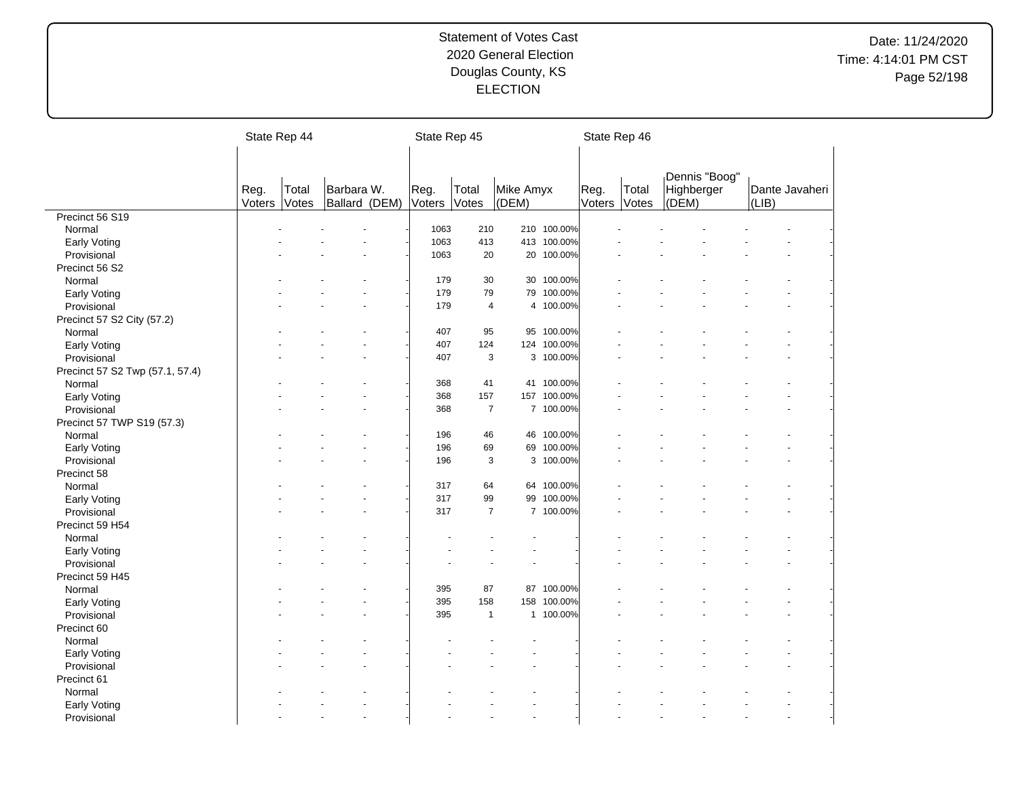|                                 | State Rep 44   |       |               | State Rep 45   |                |           |             | State Rep 46   |       |                             |       |                |
|---------------------------------|----------------|-------|---------------|----------------|----------------|-----------|-------------|----------------|-------|-----------------------------|-------|----------------|
|                                 |                |       |               |                |                |           |             |                |       |                             |       |                |
|                                 |                |       |               |                |                |           |             |                |       |                             |       |                |
|                                 |                | Total | Barbara W.    |                | Total          | Mike Amyx |             |                | Total | Dennis "Boog"<br>Highberger |       | Dante Javaheri |
|                                 | Reg.<br>Voters | Votes | Ballard (DEM) | Reg.<br>Voters | Votes          | (DEM)     |             | Reg.<br>Voters | Votes | (DEM)                       | (LIB) |                |
| Precinct 56 S19                 |                |       |               |                |                |           |             |                |       |                             |       |                |
| Normal                          |                |       |               | 1063           | 210            |           | 210 100.00% |                |       |                             |       |                |
| Early Voting                    |                |       |               | 1063           | 413            |           | 413 100.00% |                |       |                             |       |                |
| Provisional                     |                |       |               | 1063           | 20             | 20        | 100.00%     |                |       |                             |       |                |
| Precinct 56 S2                  |                |       |               |                |                |           |             |                |       |                             |       |                |
| Normal                          |                |       |               | 179            | 30             |           | 30 100.00%  |                |       |                             |       |                |
| Early Voting                    |                |       |               | 179            | 79             | 79        | 100.00%     |                |       |                             |       |                |
| Provisional                     |                |       |               | 179            | $\overline{4}$ |           | 4 100.00%   |                |       |                             |       |                |
| Precinct 57 S2 City (57.2)      |                |       |               |                |                |           |             |                |       |                             |       |                |
| Normal                          |                |       |               | 407            | 95             | 95        | 100.00%     |                |       |                             |       |                |
| Early Voting                    |                |       |               | 407            | 124            |           | 124 100.00% |                |       |                             |       |                |
| Provisional                     |                |       |               | 407            | 3              |           | 3 100.00%   |                |       |                             |       |                |
| Precinct 57 S2 Twp (57.1, 57.4) |                |       |               |                |                |           |             |                |       |                             |       |                |
| Normal                          |                |       |               | 368            | 41             |           | 41 100.00%  |                |       |                             |       |                |
| Early Voting                    |                |       |               | 368            | 157            |           | 157 100.00% |                |       |                             |       |                |
| Provisional                     |                |       |               | 368            | $\overline{7}$ |           | 7 100.00%   |                |       |                             |       |                |
| Precinct 57 TWP S19 (57.3)      |                |       |               |                |                |           |             |                |       |                             |       |                |
| Normal                          |                |       |               | 196            | 46             | 46        | 100.00%     |                |       |                             |       |                |
| Early Voting                    |                |       |               | 196            | 69             |           | 69 100.00%  |                |       |                             |       |                |
| Provisional                     |                |       |               | 196            |                | 3<br>3    | 100.00%     |                |       |                             |       |                |
| Precinct 58                     |                |       |               |                |                |           |             |                |       |                             |       |                |
| Normal                          |                |       |               | 317            | 64             | 64        | 100.00%     |                |       |                             |       |                |
| Early Voting                    |                |       |               | 317            | 99             | 99        | 100.00%     |                |       |                             |       |                |
| Provisional                     |                |       |               | 317            | $\overline{7}$ |           | 7 100.00%   |                |       |                             |       |                |
| Precinct 59 H54                 |                |       |               |                |                |           |             |                |       |                             |       |                |
| Normal                          |                |       |               |                |                |           |             |                |       |                             |       |                |
| Early Voting                    |                |       |               |                |                |           |             |                |       |                             |       |                |
| Provisional                     |                |       |               |                |                |           |             |                |       |                             |       |                |
| Precinct 59 H45                 |                |       |               |                |                |           |             |                |       |                             |       |                |
| Normal                          |                |       |               | 395            | 87             | 87        | 100.00%     |                |       |                             |       |                |
| <b>Early Voting</b>             |                |       |               | 395            | 158            | 158       | 100.00%     |                |       |                             |       |                |
| Provisional                     |                |       |               | 395            | $\mathbf{1}$   |           | 1 100.00%   |                |       |                             |       |                |
| Precinct 60                     |                |       |               |                |                |           |             |                |       |                             |       |                |
| Normal                          |                |       |               |                |                |           |             |                |       |                             |       |                |
| Early Voting                    |                |       |               |                |                |           |             |                |       |                             |       |                |
| Provisional                     |                |       |               |                |                |           |             |                |       |                             |       |                |
| Precinct 61                     |                |       |               |                |                |           |             |                |       |                             |       |                |
| Normal                          |                |       |               |                |                |           |             |                |       |                             |       |                |
| Early Voting                    |                |       |               |                |                |           |             |                |       |                             |       |                |
| Provisional                     |                |       |               |                |                |           |             |                |       |                             |       |                |
|                                 |                |       |               |                |                |           |             |                |       |                             |       |                |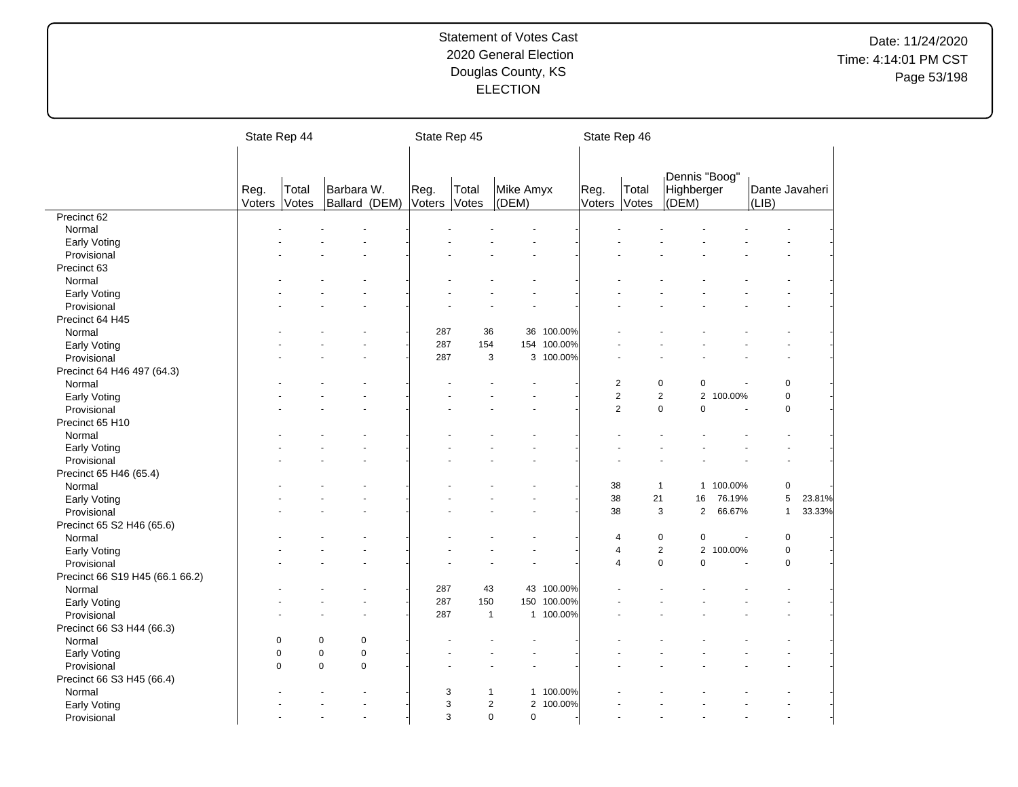|                                 |                | State Rep 44             |                             | State Rep 45         |              |                                         |             | State Rep 46   |                |                                      |         |                                 |        |
|---------------------------------|----------------|--------------------------|-----------------------------|----------------------|--------------|-----------------------------------------|-------------|----------------|----------------|--------------------------------------|---------|---------------------------------|--------|
|                                 | Reg.<br>Voters | Total<br>Votes           | Barbara W.<br>Ballard (DEM) | Reg.<br>Voters Votes | Total        | Mike Amyx<br>(DEM)                      |             | Reg.<br>Voters | Total<br>Votes | Dennis "Boog"<br>Highberger<br>(DEM) |         | Dante Javaheri<br>$ LIB\rangle$ |        |
| Precinct 62                     |                |                          |                             |                      |              |                                         |             |                |                |                                      |         |                                 |        |
| Normal                          |                |                          |                             |                      |              |                                         |             |                |                |                                      |         |                                 |        |
| Early Voting                    |                |                          |                             |                      |              |                                         |             |                |                |                                      |         |                                 |        |
| Provisional                     |                |                          |                             |                      |              |                                         |             |                |                |                                      |         |                                 |        |
| Precinct 63                     |                |                          |                             |                      |              |                                         |             |                |                |                                      |         |                                 |        |
| Normal                          |                |                          |                             |                      |              |                                         |             |                |                |                                      |         |                                 |        |
| Early Voting                    |                |                          |                             |                      |              |                                         |             |                |                |                                      |         |                                 |        |
| Provisional                     |                |                          |                             |                      |              |                                         |             |                |                |                                      |         |                                 |        |
| Precinct 64 H45                 |                |                          |                             |                      |              |                                         |             |                |                |                                      |         |                                 |        |
| Normal                          |                |                          |                             | 287                  | 36           | 36                                      | 100.00%     |                |                |                                      |         |                                 |        |
| Early Voting                    |                |                          |                             | 287                  | 154          |                                         | 154 100.00% |                |                |                                      |         |                                 |        |
| Provisional                     |                |                          |                             | 287                  | 3            | 3                                       | 100.00%     |                |                |                                      |         |                                 |        |
| Precinct 64 H46 497 (64.3)      |                |                          |                             |                      |              |                                         |             |                |                |                                      |         |                                 |        |
| Normal                          |                |                          |                             |                      |              |                                         |             | $\overline{2}$ |                | $\pmb{0}$<br>0                       |         | 0                               |        |
| Early Voting                    |                |                          |                             |                      |              |                                         |             | $\overline{2}$ |                | $\overline{2}$<br>2                  | 100.00% | 0                               |        |
| Provisional                     |                |                          |                             |                      |              |                                         |             | $\overline{2}$ |                | $\mathbf 0$<br>$\mathbf 0$           |         | 0                               |        |
| Precinct 65 H10                 |                |                          |                             |                      |              |                                         |             |                |                |                                      |         |                                 |        |
| Normal                          |                |                          |                             |                      |              |                                         |             |                |                |                                      |         |                                 |        |
| Early Voting                    |                |                          |                             |                      |              |                                         |             |                |                |                                      |         |                                 |        |
| Provisional                     |                |                          |                             |                      |              |                                         |             |                |                |                                      |         |                                 |        |
|                                 |                |                          |                             |                      |              |                                         |             |                |                |                                      |         |                                 |        |
| Precinct 65 H46 (65.4)          |                |                          |                             |                      |              |                                         |             | 38             |                | $\mathbf{1}$<br>$\mathbf{1}$         |         | 0                               |        |
| Normal                          |                |                          |                             |                      |              |                                         |             |                |                |                                      | 100.00% |                                 |        |
| Early Voting                    |                |                          |                             |                      |              |                                         |             | 38             | 21             | 16                                   | 76.19%  | 5                               | 23.81% |
| Provisional                     |                |                          |                             |                      |              |                                         |             | 38             |                | 3<br>$\overline{c}$                  | 66.67%  | $\mathbf{1}$                    | 33.33% |
| Precinct 65 S2 H46 (65.6)       |                |                          |                             |                      |              |                                         |             |                |                |                                      |         |                                 |        |
| Normal                          |                |                          |                             |                      |              |                                         |             | $\overline{4}$ |                | $\mathbf 0$<br>$\pmb{0}$             | $\sim$  | $\mathbf 0$                     |        |
| <b>Early Voting</b>             |                |                          |                             |                      |              |                                         |             | $\overline{4}$ |                | $\mathbf 2$<br>$\overline{2}$        | 100.00% | 0                               |        |
| Provisional                     |                |                          |                             |                      |              |                                         |             | $\overline{4}$ |                | $\overline{0}$<br>$\mathbf 0$        |         | 0                               |        |
| Precinct 66 S19 H45 (66.1 66.2) |                |                          |                             |                      |              |                                         |             |                |                |                                      |         |                                 |        |
| Normal                          |                |                          |                             | 287                  | 43           | 43                                      | 100.00%     |                |                |                                      |         |                                 |        |
| <b>Early Voting</b>             |                |                          |                             | 287                  | 150          | 150                                     | 100.00%     |                |                |                                      |         |                                 |        |
| Provisional                     |                |                          |                             | 287                  | $\mathbf{1}$ |                                         | 1 100.00%   |                |                |                                      |         |                                 |        |
| Precinct 66 S3 H44 (66.3)       |                |                          |                             |                      |              |                                         |             |                |                |                                      |         |                                 |        |
| Normal                          | 0              | $\mathbf 0$              | $\mathbf 0$                 |                      |              |                                         |             |                |                |                                      |         |                                 |        |
| Early Voting                    |                | $\pmb{0}$<br>$\pmb{0}$   | $\mathbf 0$                 |                      |              |                                         |             |                |                |                                      |         |                                 |        |
| Provisional                     |                | $\mathbf 0$<br>$\pmb{0}$ | $\mathbf 0$                 |                      |              |                                         |             |                |                |                                      |         |                                 |        |
| Precinct 66 S3 H45 (66.4)       |                |                          |                             |                      |              |                                         |             |                |                |                                      |         |                                 |        |
| Normal                          |                |                          |                             | 3                    | $\mathbf{1}$ | 1                                       | 100.00%     |                |                |                                      |         |                                 |        |
| Early Voting                    |                |                          |                             | 3                    |              | $\overline{2}$<br>$\mathbf{2}^{\prime}$ | 100.00%     |                |                |                                      |         |                                 |        |
| Provisional                     |                |                          |                             | 3                    |              | $\mathbf 0$<br>$\mathbf 0$              |             |                |                |                                      |         |                                 |        |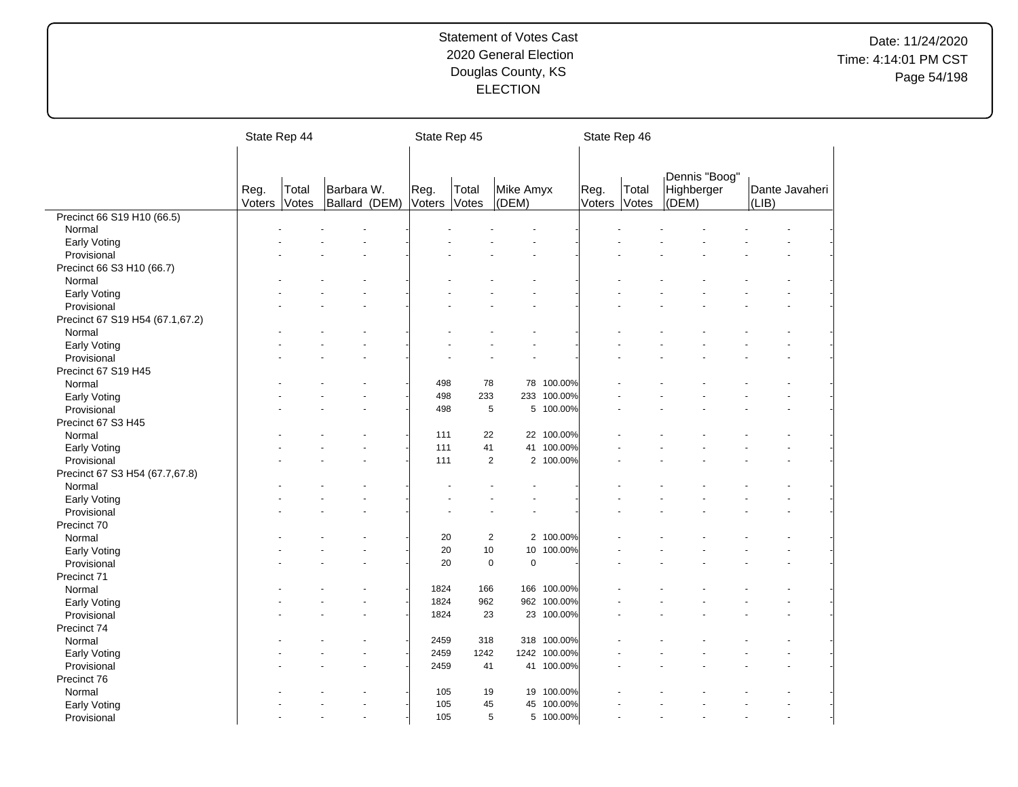|                                 | State Rep 44   |                |                             | State Rep 45   |                |                    |              | State Rep 46   |                |                                      |       |                |
|---------------------------------|----------------|----------------|-----------------------------|----------------|----------------|--------------------|--------------|----------------|----------------|--------------------------------------|-------|----------------|
|                                 |                |                |                             |                |                |                    |              |                |                |                                      |       |                |
|                                 | Reg.<br>Voters | Total<br>Votes | Barbara W.<br>Ballard (DEM) | Reg.<br>Voters | Total<br>Votes | Mike Amyx<br>(DEM) |              | Reg.<br>Voters | Total<br>Votes | Dennis "Boog"<br>Highberger<br>(DEM) | (LIB) | Dante Javaheri |
| Precinct 66 S19 H10 (66.5)      |                |                |                             |                |                |                    |              |                |                |                                      |       |                |
| Normal                          |                |                |                             |                |                |                    |              |                |                |                                      |       |                |
| Early Voting                    |                |                |                             |                |                |                    |              |                |                |                                      |       |                |
| Provisional                     |                |                |                             |                |                |                    |              |                |                |                                      |       |                |
| Precinct 66 S3 H10 (66.7)       |                |                |                             |                |                |                    |              |                |                |                                      |       |                |
| Normal                          |                |                |                             |                |                |                    |              |                |                |                                      |       |                |
| Early Voting                    |                |                |                             |                |                |                    |              |                |                |                                      |       |                |
| Provisional                     |                |                |                             |                |                |                    |              |                |                |                                      |       |                |
| Precinct 67 S19 H54 (67.1,67.2) |                |                |                             |                |                |                    |              |                |                |                                      |       |                |
| Normal                          |                |                |                             |                |                |                    |              |                |                |                                      |       |                |
| Early Voting                    |                |                |                             |                |                |                    |              |                |                |                                      |       |                |
| Provisional                     |                |                |                             |                |                |                    |              |                |                |                                      |       |                |
| Precinct 67 S19 H45             |                |                |                             |                |                |                    |              |                |                |                                      |       |                |
| Normal                          |                |                |                             | 498            | 78             |                    | 78 100.00%   |                |                |                                      |       |                |
| Early Voting                    |                |                |                             | 498            | 233            | 233                | 100.00%      |                |                |                                      |       |                |
| Provisional                     |                |                |                             | 498            | 5              |                    | 5 100.00%    |                |                |                                      |       |                |
| Precinct 67 S3 H45              |                |                |                             |                |                |                    |              |                |                |                                      |       |                |
| Normal                          |                |                |                             | 111            | 22             |                    | 22 100.00%   |                |                |                                      |       |                |
| Early Voting                    |                |                |                             | 111            | 41             |                    | 41 100.00%   |                |                |                                      |       |                |
| Provisional                     |                |                |                             | 111            | $\overline{2}$ | $\mathbf{2}$       | 100.00%      |                |                |                                      |       |                |
| Precinct 67 S3 H54 (67.7,67.8)  |                |                |                             |                |                |                    |              |                |                |                                      |       |                |
| Normal                          |                |                |                             |                |                |                    |              |                |                |                                      |       |                |
| Early Voting                    |                |                |                             |                |                |                    |              |                |                |                                      |       |                |
| Provisional                     |                |                |                             |                |                |                    |              |                |                |                                      |       |                |
| Precinct 70                     |                |                |                             |                |                |                    |              |                |                |                                      |       |                |
| Normal                          |                |                |                             | 20             | $\overline{2}$ |                    | 2 100.00%    |                |                |                                      |       |                |
|                                 |                |                |                             | 20             | 10             | 10                 | 100.00%      |                |                |                                      |       |                |
| Early Voting                    |                |                |                             | 20             | $\mathbf 0$    | $\mathbf 0$        |              |                |                |                                      |       |                |
| Provisional<br>Precinct 71      |                |                |                             |                |                |                    |              |                |                |                                      |       |                |
|                                 |                |                |                             | 1824           | 166            | 166                | 100.00%      |                |                |                                      |       |                |
| Normal                          |                |                |                             | 1824           | 962            |                    | 962 100.00%  |                |                |                                      |       |                |
| <b>Early Voting</b>             |                |                |                             |                |                |                    |              |                |                |                                      |       |                |
| Provisional                     |                |                |                             | 1824           | 23             |                    | 23 100.00%   |                |                |                                      |       |                |
| Precinct 74                     |                |                |                             |                |                |                    |              |                |                |                                      |       |                |
| Normal                          |                |                |                             | 2459           | 318            |                    | 318 100.00%  |                |                |                                      |       |                |
| Early Voting                    |                |                |                             | 2459           | 1242           |                    | 1242 100.00% |                |                |                                      |       |                |
| Provisional                     |                |                |                             | 2459           | 41             |                    | 41 100.00%   |                |                |                                      |       |                |
| Precinct 76                     |                |                |                             |                |                |                    |              |                |                |                                      |       |                |
| Normal                          |                |                |                             | 105            | 19             | 19                 | 100.00%      |                |                |                                      |       |                |
| Early Voting                    |                |                |                             | 105            | 45             | 45                 | 100.00%      |                |                |                                      |       |                |
| Provisional                     |                |                |                             | 105            | 5              |                    | 5 100.00%    |                |                |                                      |       |                |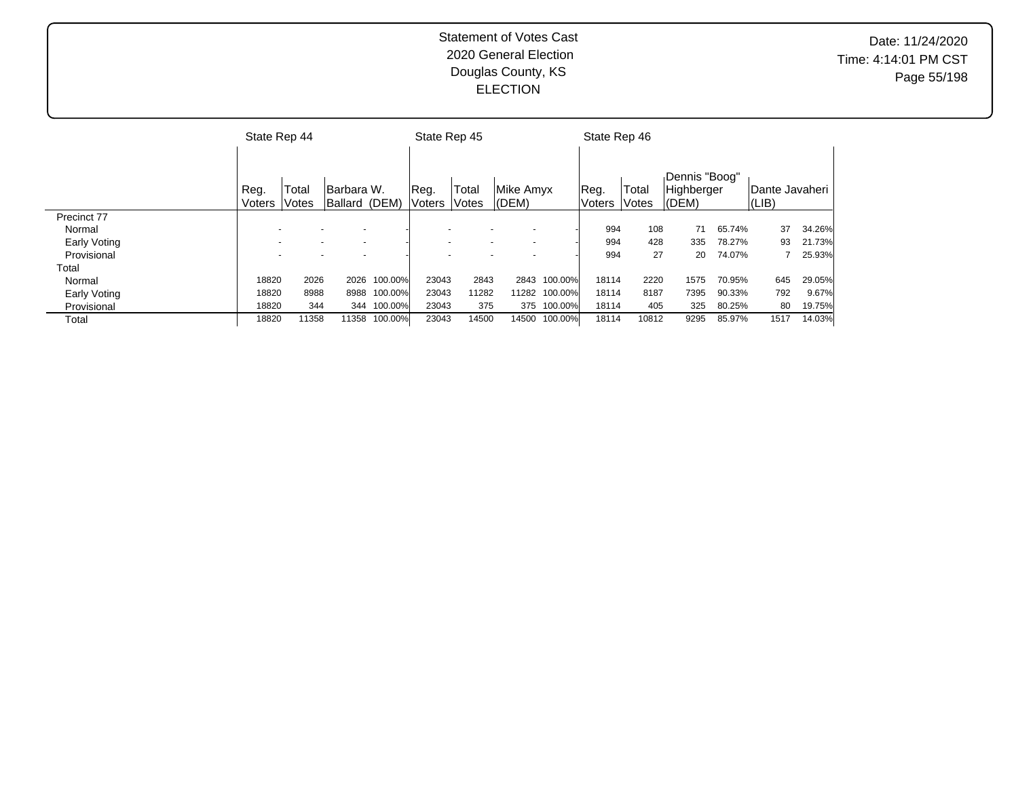|              | State Rep 44   |                |                              |         | State Rep 45    |                |                    |               | State Rep 46   |                |                                      |        |                                 |        |
|--------------|----------------|----------------|------------------------------|---------|-----------------|----------------|--------------------|---------------|----------------|----------------|--------------------------------------|--------|---------------------------------|--------|
|              | Reg.<br>Voters | Total<br>Votes | lBarbara W.<br>Ballard (DEM) |         | Reg.<br>lVoters | Total<br>Votes | Mike Amvx<br>(DEM) |               | Reg.<br>Voters | Total<br>Votes | Dennis "Boog"<br>Highberger<br>(DEM) |        | Dante Javaheri<br>$ LIB\rangle$ |        |
| Precinct 77  |                |                |                              |         |                 |                |                    |               |                |                |                                      |        |                                 |        |
| Normal       |                |                |                              |         |                 |                |                    |               | 994            | 108            | 71                                   | 65.74% | 37                              | 34.26% |
| Early Voting |                |                |                              |         |                 |                |                    |               | 994            | 428            | 335                                  | 78.27% | 93                              | 21.73% |
| Provisional  |                |                |                              |         |                 |                |                    |               | 994            | 27             | 20                                   | 74.07% |                                 | 25.93% |
| Total        |                |                |                              |         |                 |                |                    |               |                |                |                                      |        |                                 |        |
| Normal       | 18820          | 2026           | 2026                         | 100.00% | 23043           | 2843           | 2843               | 100.00%       | 18114          | 2220           | 1575                                 | 70.95% | 645                             | 29.05% |
| Early Voting | 18820          | 8988           | 8988                         | 100.00% | 23043           | 11282          |                    | 11282 100.00% | 18114          | 8187           | 7395                                 | 90.33% | 792                             | 9.67%  |
| Provisional  | 18820          | 344            | 344                          | 100.00% | 23043           | 375            | 375                | 100.00%       | 18114          | 405            | 325                                  | 80.25% | 80                              | 19.75% |
| Total        | 18820          | 11358          | 11358                        | 100.00% | 23043           | 14500          | 14500              | 100.00%       | 18114          | 10812          | 9295                                 | 85.97% | 1517                            | 14.03% |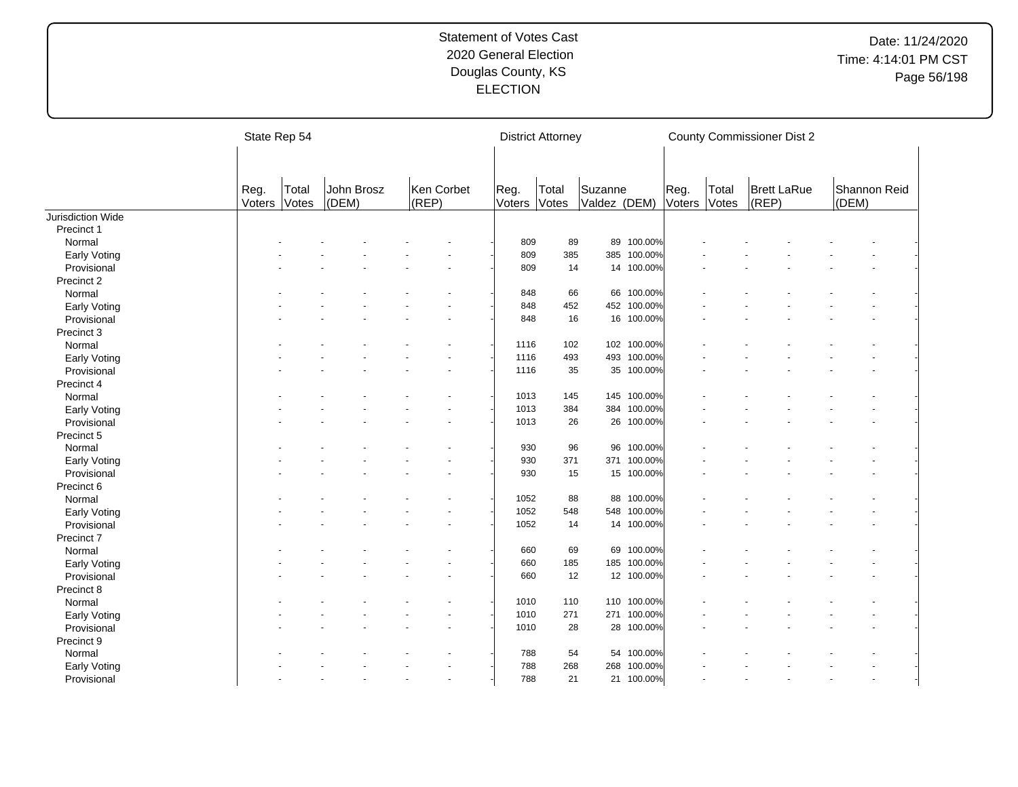|                       |                | State Rep 54   |                     |                     |                | <b>District Attorney</b> |                         |             |                |                | <b>County Commissioner Dist 2</b> |       |              |  |
|-----------------------|----------------|----------------|---------------------|---------------------|----------------|--------------------------|-------------------------|-------------|----------------|----------------|-----------------------------------|-------|--------------|--|
|                       | Reg.<br>Voters | Total<br>Votes | John Brosz<br>(DEM) | Ken Corbet<br>(REP) | Reg.<br>Voters | Total<br>Votes           | Suzanne<br>Valdez (DEM) |             | Reg.<br>Voters | Total<br>Votes | <b>Brett LaRue</b><br>(REP)       | (DEM) | Shannon Reid |  |
| Jurisdiction Wide     |                |                |                     |                     |                |                          |                         |             |                |                |                                   |       |              |  |
| Precinct 1            |                |                |                     |                     |                |                          |                         |             |                |                |                                   |       |              |  |
| Normal                |                |                |                     |                     | 809            | 89                       | 89                      | 100.00%     |                |                |                                   |       |              |  |
| Early Voting          |                |                |                     |                     | 809            | 385                      | 385                     | 100.00%     |                |                |                                   |       |              |  |
| Provisional           |                |                |                     |                     | 809            | 14                       |                         | 14 100.00%  |                |                |                                   |       |              |  |
| Precinct 2            |                |                |                     |                     |                |                          |                         |             |                |                |                                   |       |              |  |
| Normal                |                |                |                     |                     | 848            | 66                       |                         | 66 100.00%  |                |                |                                   |       |              |  |
| Early Voting          |                |                |                     |                     | 848            | 452                      |                         | 452 100.00% |                |                |                                   |       |              |  |
| Provisional           |                |                |                     |                     | 848            | 16                       |                         | 16 100.00%  |                |                |                                   |       |              |  |
| Precinct 3            |                |                |                     |                     |                |                          |                         |             |                |                |                                   |       |              |  |
| Normal                |                |                |                     |                     | 1116           | 102                      |                         | 102 100.00% |                |                |                                   |       |              |  |
| Early Voting          |                |                |                     |                     | 1116           | 493                      | 493                     | 100.00%     |                |                |                                   |       |              |  |
| Provisional           |                |                |                     |                     | 1116           | 35                       |                         | 35 100.00%  |                |                |                                   |       |              |  |
| Precinct 4            |                |                |                     |                     |                |                          |                         |             |                |                |                                   |       |              |  |
| Normal                |                |                |                     |                     | 1013           | 145                      |                         | 145 100.00% |                |                |                                   |       |              |  |
| Early Voting          |                |                |                     |                     | 1013           | 384                      |                         | 384 100.00% |                |                |                                   |       |              |  |
| Provisional           |                |                |                     |                     | 1013           | 26                       |                         | 26 100.00%  |                |                |                                   |       |              |  |
| Precinct 5            |                |                |                     |                     |                |                          |                         |             |                |                |                                   |       |              |  |
| Normal                |                |                |                     |                     | 930            | 96                       | 96                      | 100.00%     |                |                |                                   |       |              |  |
| Early Voting          |                |                |                     |                     | 930            | 371                      |                         | 371 100.00% |                |                |                                   |       |              |  |
| Provisional           |                |                |                     |                     | 930            | 15                       |                         | 15 100.00%  |                |                |                                   |       |              |  |
| Precinct 6            |                |                |                     |                     |                |                          |                         |             |                |                |                                   |       |              |  |
| Normal                |                |                |                     |                     | 1052           | 88                       | 88                      | 100.00%     |                |                |                                   |       |              |  |
| Early Voting          |                |                |                     |                     | 1052           | 548                      | 548                     | 100.00%     |                |                |                                   |       |              |  |
| Provisional           |                |                |                     |                     | 1052           | 14                       |                         | 14 100.00%  |                |                |                                   |       |              |  |
| Precinct <sub>7</sub> |                |                |                     |                     |                |                          |                         |             |                |                |                                   |       |              |  |
| Normal                |                |                |                     |                     | 660            | 69                       | 69                      | 100.00%     |                |                |                                   |       |              |  |
| Early Voting          |                |                |                     |                     | 660            | 185                      | 185                     | 100.00%     |                |                |                                   |       |              |  |
| Provisional           |                |                |                     |                     | 660            | 12                       |                         | 12 100.00%  |                |                |                                   |       |              |  |
| Precinct 8            |                |                |                     |                     |                |                          |                         |             |                |                |                                   |       |              |  |
| Normal                |                |                |                     |                     | 1010           | 110                      | 110                     | 100.00%     |                |                |                                   |       |              |  |
| Early Voting          |                |                |                     |                     | 1010           | 271                      |                         | 271 100.00% |                |                |                                   |       |              |  |
| Provisional           |                |                |                     |                     | 1010           | 28                       |                         | 28 100.00%  |                |                |                                   |       |              |  |
| Precinct 9            |                |                |                     |                     |                |                          |                         |             |                |                |                                   |       |              |  |
| Normal                |                |                |                     |                     | 788            | 54                       |                         | 54 100.00%  |                |                |                                   |       |              |  |
| Early Voting          |                |                |                     |                     | 788            | 268                      | 268                     | 100.00%     |                |                |                                   |       |              |  |
|                       |                |                |                     |                     | 788            | 21                       |                         | 21 100.00%  |                |                |                                   |       |              |  |
| Provisional           |                |                |                     |                     |                |                          |                         |             |                |                |                                   |       |              |  |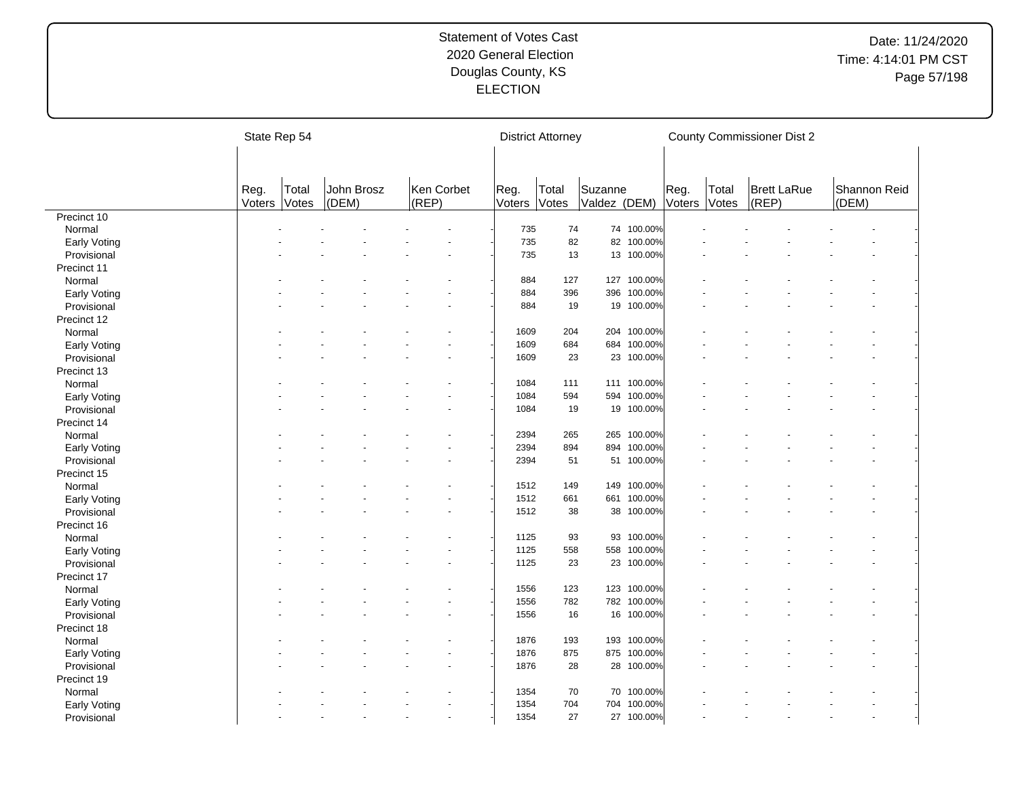|                             | State Rep 54   |                       |                     |                         |                | <b>District Attorney</b> |                         |             |                |                | <b>County Commissioner Dist 2</b> |                       |  |
|-----------------------------|----------------|-----------------------|---------------------|-------------------------|----------------|--------------------------|-------------------------|-------------|----------------|----------------|-----------------------------------|-----------------------|--|
|                             |                |                       |                     |                         |                |                          |                         |             |                |                |                                   |                       |  |
|                             | Reg.<br>Voters | Total<br><b>Votes</b> | John Brosz<br>(DEM) | Ken Corbet<br>$ $ (REP) | Reg.<br>Voters | Total<br>Votes           | Suzanne<br>Valdez (DEM) |             | Reg.<br>Voters | Total<br>Votes | <b>Brett LaRue</b><br>$ $ (REP)   | Shannon Reid<br>(DEM) |  |
| Precinct 10                 |                |                       |                     |                         |                |                          |                         |             |                |                |                                   |                       |  |
| Normal                      |                |                       |                     |                         | 735            | 74                       |                         | 74 100.00%  |                |                |                                   |                       |  |
| Early Voting                |                |                       |                     |                         | 735            | 82                       |                         | 82 100.00%  |                |                |                                   |                       |  |
| Provisional                 |                |                       |                     |                         | 735            | 13                       |                         | 13 100.00%  |                |                |                                   |                       |  |
| Precinct 11                 |                |                       |                     |                         |                |                          |                         |             |                |                |                                   |                       |  |
| Normal                      |                |                       |                     |                         | 884            | 127                      |                         | 127 100.00% |                |                |                                   |                       |  |
| Early Voting                |                |                       |                     |                         | 884            | 396                      | 396                     | 100.00%     |                |                |                                   |                       |  |
| Provisional                 |                |                       |                     |                         | 884            | 19                       |                         | 19 100.00%  |                |                |                                   |                       |  |
| Precinct 12                 |                |                       |                     |                         |                |                          |                         |             |                |                |                                   |                       |  |
| Normal                      |                |                       |                     |                         | 1609           | 204                      | 204                     | 100.00%     |                |                |                                   |                       |  |
| Early Voting                |                |                       |                     |                         | 1609           | 684                      | 684                     | 100.00%     |                |                |                                   |                       |  |
| Provisional                 |                |                       |                     |                         | 1609           | 23                       |                         | 23 100.00%  |                |                |                                   |                       |  |
| Precinct 13                 |                |                       |                     |                         |                |                          |                         |             |                |                |                                   |                       |  |
| Normal                      |                |                       |                     |                         | 1084           | 111                      |                         | 111 100.00% |                |                |                                   |                       |  |
| Early Voting                |                |                       |                     |                         | 1084           | 594                      | 594                     | 100.00%     |                |                |                                   |                       |  |
| Provisional                 |                |                       |                     |                         | 1084           | 19                       |                         | 19 100.00%  |                |                |                                   |                       |  |
| Precinct 14                 |                |                       |                     |                         |                |                          |                         |             |                |                |                                   |                       |  |
| Normal                      |                |                       |                     |                         | 2394           | 265                      | 265                     | 100.00%     |                |                |                                   |                       |  |
| Early Voting                |                |                       |                     |                         | 2394           | 894                      | 894                     | 100.00%     |                |                |                                   |                       |  |
| Provisional                 |                |                       |                     |                         | 2394           | 51                       | 51                      | 100.00%     |                |                |                                   |                       |  |
| Precinct 15                 |                |                       |                     |                         |                |                          |                         |             |                |                |                                   |                       |  |
| Normal                      |                |                       |                     |                         | 1512           | 149                      |                         | 149 100.00% |                |                |                                   |                       |  |
| Early Voting                |                |                       |                     |                         | 1512           | 661                      | 661                     | 100.00%     |                |                |                                   |                       |  |
| Provisional                 |                |                       |                     |                         | 1512           | 38                       |                         | 38 100.00%  |                |                |                                   |                       |  |
| Precinct 16                 |                |                       |                     |                         |                |                          |                         |             |                |                |                                   |                       |  |
| Normal                      |                |                       |                     |                         | 1125           | 93                       | 93                      | 100.00%     |                |                |                                   |                       |  |
| Early Voting                |                |                       |                     |                         | 1125           | 558                      | 558                     | 100.00%     |                |                |                                   |                       |  |
| Provisional                 |                |                       |                     |                         | 1125           | 23                       |                         | 23 100.00%  |                |                |                                   |                       |  |
| Precinct 17                 |                |                       |                     |                         |                |                          |                         |             |                |                |                                   |                       |  |
| Normal                      |                |                       |                     |                         | 1556           | 123                      |                         | 123 100.00% |                |                |                                   |                       |  |
|                             |                |                       |                     |                         | 1556           | 782                      |                         | 782 100.00% |                |                |                                   |                       |  |
| Early Voting<br>Provisional |                |                       |                     |                         |                | 16                       |                         |             |                |                |                                   |                       |  |
|                             |                |                       |                     |                         | 1556           |                          |                         | 16 100.00%  |                |                |                                   |                       |  |
| Precinct 18                 |                |                       |                     |                         |                |                          |                         |             |                |                |                                   |                       |  |
| Normal                      |                |                       |                     |                         | 1876           | 193                      |                         | 193 100.00% |                |                |                                   |                       |  |
| <b>Early Voting</b>         |                |                       |                     |                         | 1876           | 875                      |                         | 875 100.00% |                |                |                                   |                       |  |
| Provisional                 |                |                       |                     |                         | 1876           | 28                       |                         | 28 100.00%  |                |                |                                   |                       |  |
| Precinct 19                 |                |                       |                     |                         |                |                          |                         |             |                |                |                                   |                       |  |
| Normal                      |                |                       |                     |                         | 1354           | 70                       | 70                      | 100.00%     |                |                |                                   |                       |  |
| <b>Early Voting</b>         |                |                       |                     |                         | 1354           | 704                      | 704                     | 100.00%     |                |                |                                   |                       |  |
| Provisional                 |                |                       |                     |                         | 1354           | 27                       |                         | 27 100.00%  |                |                |                                   |                       |  |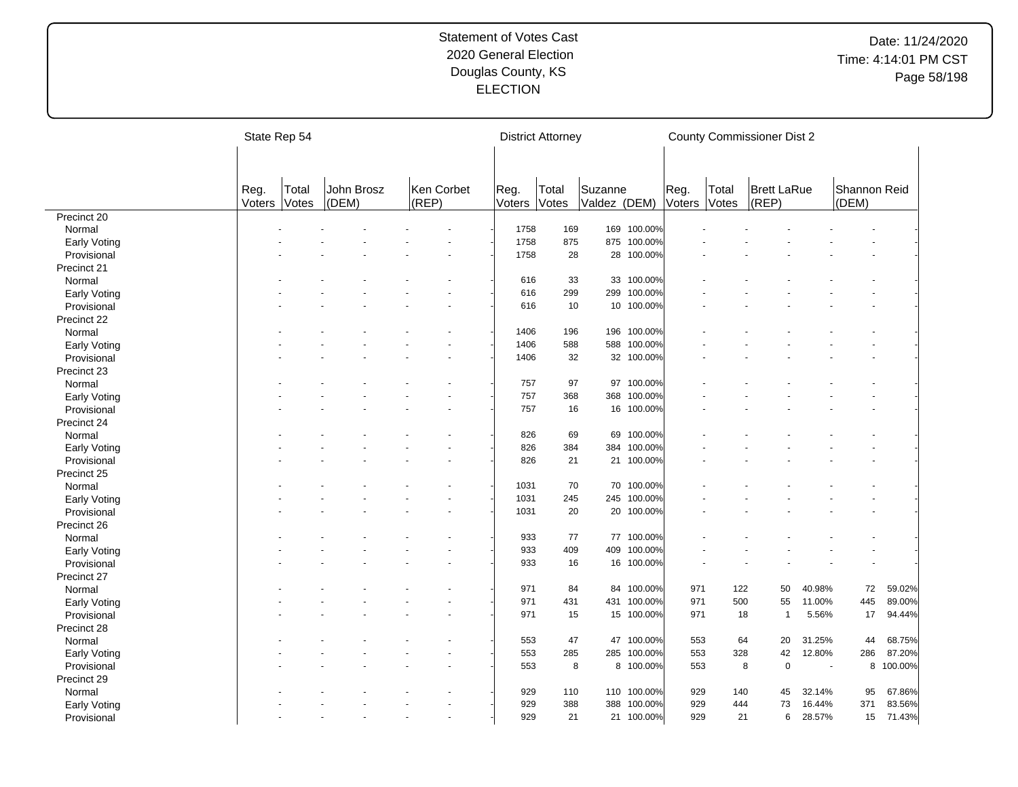|                     | State Rep 54   |                       |                     |                     |                | <b>District Attorney</b> |                         |             |                |                | <b>County Commissioner Dist 2</b> |        |                       |         |
|---------------------|----------------|-----------------------|---------------------|---------------------|----------------|--------------------------|-------------------------|-------------|----------------|----------------|-----------------------------------|--------|-----------------------|---------|
|                     |                |                       |                     |                     |                |                          |                         |             |                |                |                                   |        |                       |         |
|                     | Reg.<br>Voters | Total<br><b>Votes</b> | John Brosz<br>(DEM) | Ken Corbet<br>(REP) | Reg.<br>Voters | Total<br>Votes           | Suzanne<br>Valdez (DEM) |             | Reg.<br>Voters | Total<br>Votes | <b>Brett LaRue</b><br>(REP)       |        | Shannon Reid<br>(DEM) |         |
| Precinct 20         |                |                       |                     |                     |                |                          |                         |             |                |                |                                   |        |                       |         |
| Normal              |                |                       |                     |                     | 1758           | 169                      | 169                     | 100.00%     |                |                |                                   |        |                       |         |
| Early Voting        |                |                       |                     |                     | 1758           | 875                      | 875                     | 100.00%     |                |                |                                   |        |                       |         |
| Provisional         |                |                       |                     |                     | 1758           | 28                       |                         | 28 100.00%  |                |                |                                   |        |                       |         |
| Precinct 21         |                |                       |                     |                     |                |                          |                         |             |                |                |                                   |        |                       |         |
| Normal              |                |                       |                     |                     | 616            | 33                       |                         | 33 100.00%  |                |                |                                   |        |                       |         |
| <b>Early Voting</b> |                |                       |                     |                     | 616            | 299                      | 299                     | 100.00%     |                |                |                                   |        |                       |         |
| Provisional         |                |                       |                     |                     | 616            | 10                       | 10                      | 100.00%     |                |                |                                   |        |                       |         |
| Precinct 22         |                |                       |                     |                     |                |                          |                         |             |                |                |                                   |        |                       |         |
| Normal              |                |                       |                     |                     | 1406           | 196                      | 196                     | 100.00%     |                |                |                                   |        |                       |         |
| Early Voting        |                |                       |                     |                     | 1406           | 588                      | 588                     | 100.00%     |                |                |                                   |        |                       |         |
| Provisional         |                |                       |                     |                     | 1406           | 32                       |                         | 32 100.00%  |                |                |                                   |        |                       |         |
| Precinct 23         |                |                       |                     |                     |                |                          |                         |             |                |                |                                   |        |                       |         |
| Normal              |                |                       |                     |                     | 757            | 97                       |                         | 97 100.00%  |                |                |                                   |        |                       |         |
| Early Voting        |                |                       |                     |                     | 757            | 368                      | 368                     | 100.00%     |                |                |                                   |        |                       |         |
| Provisional         |                |                       |                     |                     | 757            | 16                       |                         | 16 100.00%  |                |                |                                   |        |                       |         |
| Precinct 24         |                |                       |                     |                     |                |                          |                         |             |                |                |                                   |        |                       |         |
| Normal              |                |                       |                     |                     | 826            | 69                       | 69                      | 100.00%     |                |                |                                   |        |                       |         |
| <b>Early Voting</b> |                |                       |                     |                     | 826            | 384                      | 384                     | 100.00%     |                |                |                                   |        |                       |         |
| Provisional         |                |                       |                     |                     | 826            | 21                       |                         | 21 100.00%  |                |                |                                   |        |                       |         |
| Precinct 25         |                |                       |                     |                     |                |                          |                         |             |                |                |                                   |        |                       |         |
| Normal              |                |                       |                     |                     | 1031           | 70                       | 70                      | 100.00%     |                |                |                                   |        |                       |         |
| Early Voting        |                |                       |                     |                     | 1031           | 245                      | 245                     | 100.00%     |                |                |                                   |        |                       |         |
| Provisional         |                |                       |                     |                     | 1031           | 20                       |                         | 20 100.00%  |                |                |                                   |        |                       |         |
| Precinct 26         |                |                       |                     |                     |                |                          |                         |             |                |                |                                   |        |                       |         |
| Normal              |                |                       |                     |                     | 933            | 77                       |                         | 77 100.00%  |                |                |                                   |        |                       |         |
| Early Voting        |                |                       |                     |                     | 933            | 409                      | 409                     | 100.00%     |                |                |                                   |        |                       |         |
| Provisional         |                |                       |                     |                     | 933            | 16                       |                         | 16 100.00%  |                |                |                                   |        |                       |         |
| Precinct 27         |                |                       |                     |                     |                |                          |                         |             |                |                |                                   |        |                       |         |
| Normal              |                |                       |                     |                     | 971            | 84                       | 84                      | 100.00%     | 971            | 122            | 50                                | 40.98% | 72                    | 59.02%  |
| <b>Early Voting</b> |                |                       |                     |                     | 971            | 431                      |                         | 431 100.00% | 971            | 500            | 55                                | 11.00% | 445                   | 89.00%  |
| Provisional         |                |                       |                     |                     | 971            | 15                       |                         | 15 100.00%  | 971            | 18             | $\mathbf{1}$                      | 5.56%  | 17                    | 94.44%  |
| Precinct 28         |                |                       |                     |                     |                |                          |                         |             |                |                |                                   |        |                       |         |
| Normal              |                |                       |                     |                     | 553            | 47                       |                         | 47 100.00%  | 553            | 64             | 20                                | 31.25% | 44                    | 68.75%  |
| <b>Early Voting</b> |                |                       |                     |                     | 553            | 285                      | 285                     | 100.00%     | 553            | 328            | 42                                | 12.80% | 286                   | 87.20%  |
| Provisional         |                |                       |                     |                     | 553            | 8                        |                         | 8 100.00%   | 553            |                | $\mathbf 0$<br>8                  |        | 8                     | 100.00% |
| Precinct 29         |                |                       |                     |                     |                |                          |                         |             |                |                |                                   |        |                       |         |
| Normal              |                |                       |                     |                     | 929            | 110                      | 110                     | 100.00%     | 929            | 140            | 45                                | 32.14% | 95                    | 67.86%  |
| <b>Early Voting</b> |                |                       |                     |                     | 929            | 388                      | 388                     | 100.00%     | 929            | 444            | 73                                | 16.44% | 371                   | 83.56%  |
| Provisional         |                |                       |                     |                     | 929            | 21                       |                         | 21 100.00%  | 929            | 21             | 6                                 | 28.57% | 15                    | 71.43%  |
|                     |                |                       |                     |                     |                |                          |                         |             |                |                |                                   |        |                       |         |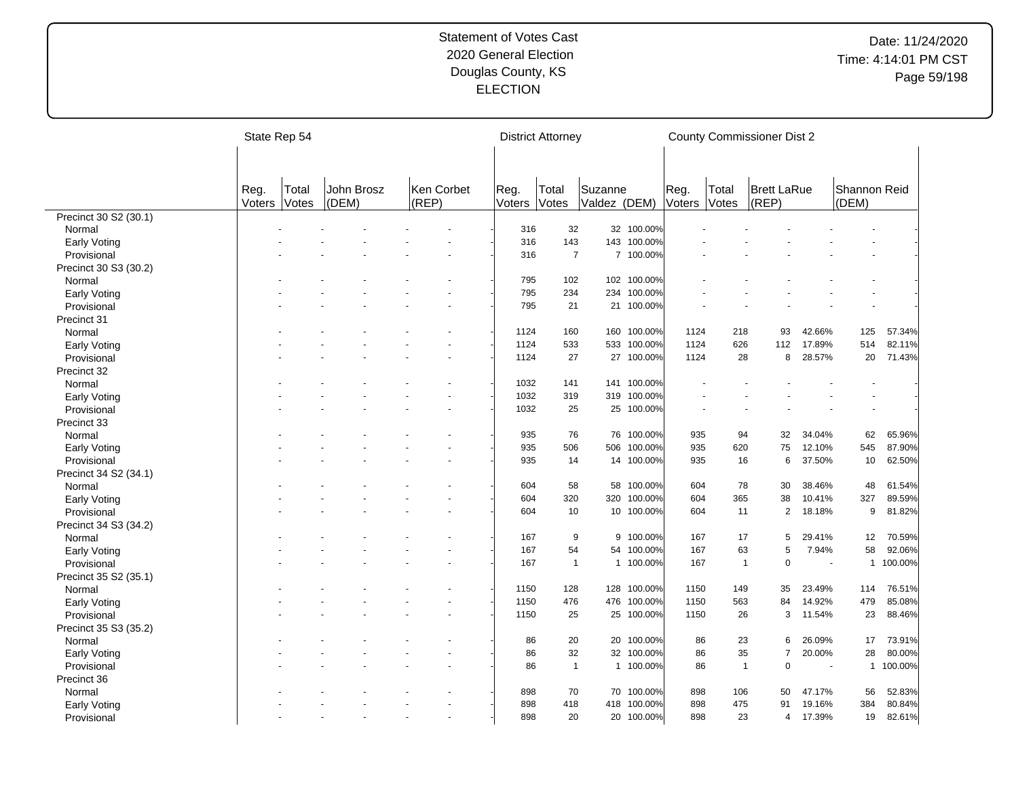|                             | State Rep 54   |                       |                     |                     |                | <b>District Attorney</b> |                         |             |                |                | <b>County Commissioner Dist 2</b> |                          |                       |                  |
|-----------------------------|----------------|-----------------------|---------------------|---------------------|----------------|--------------------------|-------------------------|-------------|----------------|----------------|-----------------------------------|--------------------------|-----------------------|------------------|
|                             |                |                       |                     |                     |                |                          |                         |             |                |                |                                   |                          |                       |                  |
|                             | Reg.<br>Voters | Total<br><b>Votes</b> | John Brosz<br>(DEM) | Ken Corbet<br>(REP) | Reg.<br>Voters | Total<br>Votes           | Suzanne<br>Valdez (DEM) |             | Reg.<br>Voters | Total<br>Votes | <b>Brett LaRue</b><br>(REP)       |                          | Shannon Reid<br>(DEM) |                  |
| Precinct 30 S2 (30.1)       |                |                       |                     |                     |                |                          |                         |             |                |                |                                   |                          |                       |                  |
| Normal                      |                |                       |                     |                     | 316            | 32                       |                         | 32 100.00%  |                |                |                                   |                          |                       |                  |
| <b>Early Voting</b>         |                |                       |                     |                     | 316            | 143                      |                         | 143 100.00% |                |                |                                   |                          |                       |                  |
| Provisional                 |                |                       |                     |                     | 316            | $\overline{7}$           |                         | 7 100.00%   |                |                |                                   |                          |                       |                  |
| Precinct 30 S3 (30.2)       |                |                       |                     |                     |                |                          |                         |             |                |                |                                   |                          |                       |                  |
| Normal                      |                |                       |                     |                     | 795            | 102                      |                         | 102 100.00% |                |                |                                   |                          |                       |                  |
| <b>Early Voting</b>         |                |                       |                     |                     | 795            | 234                      | 234                     | 100.00%     |                |                |                                   |                          |                       |                  |
| Provisional                 |                |                       |                     |                     | 795            | 21                       | 21                      | 100.00%     |                |                |                                   |                          |                       |                  |
| Precinct 31                 |                |                       |                     |                     |                |                          |                         |             |                |                |                                   |                          |                       |                  |
| Normal                      |                |                       |                     |                     | 1124           | 160                      | 160                     | 100.00%     | 1124           | 218            | 93                                | 42.66%                   | 125                   | 57.34%           |
| Early Voting                |                |                       |                     |                     | 1124           | 533                      | 533                     | 100.00%     | 1124           | 626            | 112                               | 17.89%                   | 514                   | 82.11%           |
| Provisional                 |                |                       |                     |                     | 1124           | 27                       |                         | 27 100.00%  | 1124           | 28             | 8                                 | 28.57%                   | 20                    | 71.43%           |
| Precinct 32                 |                |                       |                     |                     |                |                          |                         |             |                |                |                                   |                          |                       |                  |
| Normal                      |                |                       |                     |                     | 1032           | 141                      | 141                     | 100.00%     |                |                |                                   |                          |                       |                  |
| <b>Early Voting</b>         |                |                       |                     |                     | 1032           | 319                      | 319                     | 100.00%     |                |                |                                   |                          |                       |                  |
| Provisional                 |                |                       |                     |                     | 1032           | 25                       |                         | 25 100.00%  |                |                |                                   |                          | ÷,                    |                  |
| Precinct 33                 |                |                       |                     |                     |                |                          |                         |             |                |                |                                   |                          |                       |                  |
|                             |                |                       |                     |                     | 935            | 76                       | 76                      | 100.00%     | 935            | 94             | 32                                | 34.04%                   | 62                    | 65.96%           |
| Normal                      |                |                       |                     |                     | 935            | 506                      | 506                     | 100.00%     | 935            | 620            | 75                                | 12.10%                   | 545                   | 87.90%           |
| Early Voting<br>Provisional |                |                       |                     |                     | 935            | 14                       | 14                      | 100.00%     | 935            | 16             | 6                                 | 37.50%                   | 10                    | 62.50%           |
|                             |                |                       |                     |                     |                |                          |                         |             |                |                |                                   |                          |                       |                  |
| Precinct 34 S2 (34.1)       |                |                       |                     |                     |                |                          |                         | 100.00%     |                | 78             |                                   |                          |                       |                  |
| Normal                      |                |                       |                     |                     | 604            | 58                       | 58<br>320               | 100.00%     | 604<br>604     | 365            | 30                                | 38.46%                   | 48<br>327             | 61.54%<br>89.59% |
| <b>Early Voting</b>         |                |                       |                     |                     | 604<br>604     | 320<br>10                |                         | 10 100.00%  | 604            | 11             | 38<br>$\overline{2}$              | 10.41%                   | 9                     |                  |
| Provisional                 |                |                       |                     |                     |                |                          |                         |             |                |                |                                   | 18.18%                   |                       | 81.82%           |
| Precinct 34 S3 (34.2)       |                |                       |                     |                     |                |                          |                         |             |                |                |                                   |                          |                       |                  |
| Normal                      |                |                       |                     |                     | 167            | 9                        | 9                       | 100.00%     | 167            | 17             | 5                                 | 29.41%                   | 12                    | 70.59%           |
| <b>Early Voting</b>         |                |                       |                     |                     | 167            | 54                       | 54                      | 100.00%     | 167            | 63             | 5                                 | 7.94%                    | 58                    | 92.06%           |
| Provisional                 |                |                       |                     |                     | 167            | $\mathbf{1}$             |                         | 1 100.00%   | 167            | $\mathbf{1}$   | $\overline{0}$                    | $\overline{\phantom{a}}$ | $\mathbf 1$           | 100.00%          |
| Precinct 35 S2 (35.1)       |                |                       |                     |                     |                |                          |                         |             |                |                |                                   |                          |                       |                  |
| Normal                      |                |                       |                     |                     | 1150           | 128                      | 128                     | 100.00%     | 1150           | 149            | 35                                | 23.49%                   | 114                   | 76.51%           |
| Early Voting                |                |                       |                     |                     | 1150           | 476                      | 476                     | 100.00%     | 1150           | 563            | 84                                | 14.92%                   | 479                   | 85.08%           |
| Provisional                 |                |                       |                     |                     | 1150           | 25                       |                         | 25 100.00%  | 1150           | 26             | 3                                 | 11.54%                   | 23                    | 88.46%           |
| Precinct 35 S3 (35.2)       |                |                       |                     |                     |                |                          |                         |             |                |                |                                   |                          |                       |                  |
| Normal                      |                |                       |                     |                     | 86             | 20                       |                         | 20 100.00%  | 86             | 23             | 6                                 | 26.09%                   | 17                    | 73.91%           |
| <b>Early Voting</b>         |                |                       |                     |                     | 86             | 32                       |                         | 32 100.00%  | 86             | 35             | $\overline{7}$                    | 20.00%                   | 28                    | 80.00%           |
| Provisional                 |                |                       |                     |                     | 86             | $\mathbf{1}$             |                         | 1 100.00%   | 86             | $\mathbf{1}$   | $\mathbf 0$                       |                          | $\mathbf{1}$          | 100.00%          |
| Precinct 36                 |                |                       |                     |                     |                |                          |                         |             |                |                |                                   |                          |                       |                  |
| Normal                      |                |                       |                     |                     | 898            | 70                       | 70                      | 100.00%     | 898            | 106            | 50                                | 47.17%                   | 56                    | 52.83%           |
| <b>Early Voting</b>         |                |                       |                     |                     | 898            | 418                      | 418                     | 100.00%     | 898            | 475            | 91                                | 19.16%                   | 384                   | 80.84%           |
| Provisional                 |                |                       |                     |                     | 898            | 20                       |                         | 20 100.00%  | 898            | 23             | 4                                 | 17.39%                   | 19                    | 82.61%           |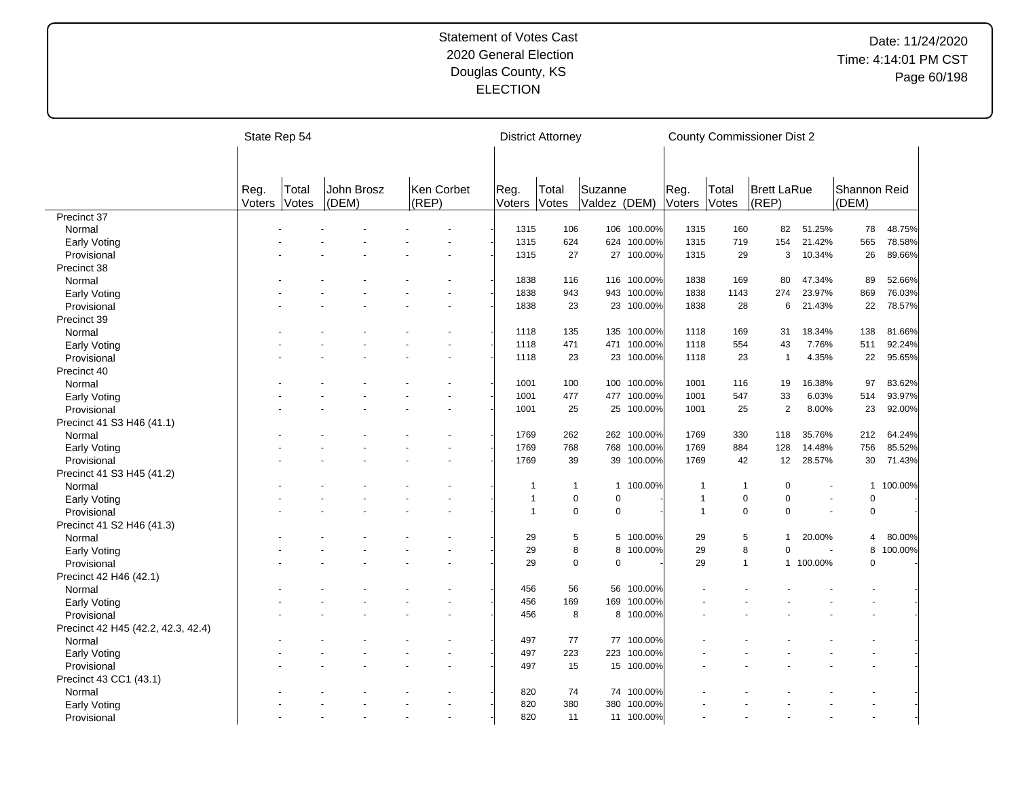|                                    |                | State Rep 54   |                     |                     |                | <b>District Attorney</b> |                         |             |                | <b>County Commissioner Dist 2</b> |                             |           |                       |         |
|------------------------------------|----------------|----------------|---------------------|---------------------|----------------|--------------------------|-------------------------|-------------|----------------|-----------------------------------|-----------------------------|-----------|-----------------------|---------|
|                                    |                |                |                     |                     |                |                          |                         |             |                |                                   |                             |           |                       |         |
|                                    | Reg.<br>Voters | Total<br>Votes | John Brosz<br>(DEM) | Ken Corbet<br>(REP) | Reg.<br>Voters | Total<br>Votes           | Suzanne<br>Valdez (DEM) |             | Reg.<br>Voters | Total<br><b>Votes</b>             | <b>Brett LaRue</b><br>(REP) |           | Shannon Reid<br>(DEM) |         |
| Precinct 37                        |                |                |                     |                     |                |                          |                         |             |                |                                   |                             |           |                       |         |
| Normal                             |                |                |                     |                     | 1315           | 106                      |                         | 106 100.00% | 1315           | 160                               | 82                          | 51.25%    | 78                    | 48.75%  |
| Early Voting                       |                |                |                     |                     | 1315           | 624                      | 624                     | 100.00%     | 1315           | 719                               | 154                         | 21.42%    | 565                   | 78.58%  |
| Provisional                        |                |                |                     |                     | 1315           | 27                       |                         | 27 100.00%  | 1315           | 29                                | 3                           | 10.34%    | 26                    | 89.66%  |
| Precinct 38                        |                |                |                     |                     |                |                          |                         |             |                |                                   |                             |           |                       |         |
| Normal                             |                |                |                     |                     | 1838           | 116                      |                         | 116 100.00% | 1838           | 169                               | 80                          | 47.34%    | 89                    | 52.66%  |
| Early Voting                       |                |                |                     |                     | 1838           | 943                      | 943                     | 100.00%     | 1838           | 1143                              | 274                         | 23.97%    | 869                   | 76.03%  |
| Provisional                        |                |                |                     |                     | 1838           | 23                       |                         | 23 100.00%  | 1838           | 28                                | 6                           | 21.43%    | 22                    | 78.57%  |
| Precinct 39                        |                |                |                     |                     |                |                          |                         |             |                |                                   |                             |           |                       |         |
| Normal                             |                |                |                     |                     | 1118           | 135                      | 135                     | 100.00%     | 1118           | 169                               | 31                          | 18.34%    | 138                   | 81.66%  |
| Early Voting                       |                |                |                     |                     | 1118           | 471                      |                         | 471 100.00% | 1118           | 554                               | 43                          | 7.76%     | 511                   | 92.24%  |
| Provisional                        |                |                |                     |                     | 1118           | 23                       |                         | 23 100.00%  | 1118           | 23                                | $\overline{1}$              | 4.35%     | 22                    | 95.65%  |
| Precinct 40                        |                |                |                     |                     |                |                          |                         |             |                |                                   |                             |           |                       |         |
| Normal                             |                |                |                     |                     | 1001           | 100                      |                         | 100 100.00% | 1001           | 116                               | 19                          | 16.38%    | 97                    | 83.62%  |
| Early Voting                       |                |                |                     |                     | 1001           | 477                      |                         | 477 100.00% | 1001           | 547                               | 33                          | 6.03%     | 514                   | 93.97%  |
| Provisional                        |                |                |                     |                     | 1001           | 25                       |                         | 25 100.00%  | 1001           | 25                                | $\overline{2}$              | 8.00%     | 23                    | 92.00%  |
| Precinct 41 S3 H46 (41.1)          |                |                |                     |                     |                |                          |                         |             |                |                                   |                             |           |                       |         |
| Normal                             |                |                |                     |                     | 1769           | 262                      | 262                     | 100.00%     | 1769           | 330                               | 118                         | 35.76%    | 212                   | 64.24%  |
| Early Voting                       |                |                |                     |                     | 1769           | 768                      | 768                     | 100.00%     | 1769           | 884                               | 128                         | 14.48%    | 756                   | 85.52%  |
| Provisional                        |                |                |                     |                     | 1769           | 39                       | 39                      | 100.00%     | 1769           | 42                                | 12                          | 28.57%    | 30                    | 71.43%  |
| Precinct 41 S3 H45 (41.2)          |                |                |                     |                     |                |                          |                         |             |                |                                   |                             |           |                       |         |
|                                    |                |                |                     |                     | $\mathbf 1$    | $\mathbf{1}$             |                         | 1 100.00%   | 1              | $\mathbf{1}$                      | 0                           |           | $\mathbf{1}$          | 100.00% |
| Normal                             |                |                |                     |                     | $\overline{1}$ | $\mathbf 0$              | $\Omega$                |             | $\mathbf{1}$   | $\mathbf 0$                       | $\Omega$                    |           | 0                     |         |
| Early Voting                       |                |                |                     |                     | $\overline{1}$ | $\mathbf 0$              | $\mathbf 0$             |             | 1              | $\mathbf 0$                       | $\Omega$                    |           | $\mathbf 0$           |         |
| Provisional                        |                |                |                     |                     |                |                          |                         |             |                |                                   |                             |           |                       |         |
| Precinct 41 S2 H46 (41.3)          |                |                |                     |                     |                |                          |                         |             |                |                                   | $\mathbf{1}$                |           |                       |         |
| Normal                             |                |                |                     |                     | 29             | 5                        |                         | 5 100.00%   | 29             | 5                                 |                             | 20.00%    | 4                     | 80.00%  |
| Early Voting                       |                |                |                     |                     | 29             |                          | 8<br>8                  | 100.00%     | 29             | 8                                 | $\Omega$                    |           | 8                     | 100.00% |
| Provisional                        |                |                |                     |                     | 29             | $\Omega$                 | $\Omega$                |             | 29             | $\mathbf{1}$                      |                             | 1 100.00% | 0                     |         |
| Precinct 42 H46 (42.1)             |                |                |                     |                     |                |                          |                         |             |                |                                   |                             |           |                       |         |
| Normal                             |                |                |                     |                     | 456            | 56                       |                         | 56 100.00%  |                |                                   |                             |           |                       |         |
| Early Voting                       |                |                |                     |                     | 456            | 169                      | 169                     | 100.00%     |                |                                   |                             |           |                       |         |
| Provisional                        |                |                |                     |                     | 456            | 8                        |                         | 8 100.00%   |                |                                   |                             |           |                       |         |
| Precinct 42 H45 (42.2, 42.3, 42.4) |                |                |                     |                     |                |                          |                         |             |                |                                   |                             |           |                       |         |
| Normal                             |                |                |                     |                     | 497            | 77                       |                         | 77 100.00%  |                |                                   |                             |           |                       |         |
| Early Voting                       |                |                |                     |                     | 497            | 223                      |                         | 223 100.00% |                |                                   |                             |           |                       |         |
| Provisional                        |                |                |                     |                     | 497            | 15                       |                         | 15 100.00%  |                |                                   |                             |           |                       |         |
| Precinct 43 CC1 (43.1)             |                |                |                     |                     |                |                          |                         |             |                |                                   |                             |           |                       |         |
| Normal                             |                |                |                     |                     | 820            | 74                       | 74                      | 100.00%     |                |                                   |                             |           |                       |         |
| Early Voting                       |                |                |                     |                     | 820            | 380                      | 380                     | 100.00%     |                |                                   |                             |           |                       |         |
| Provisional                        |                |                |                     |                     | 820            | 11                       |                         | 11 100.00%  |                |                                   |                             |           |                       |         |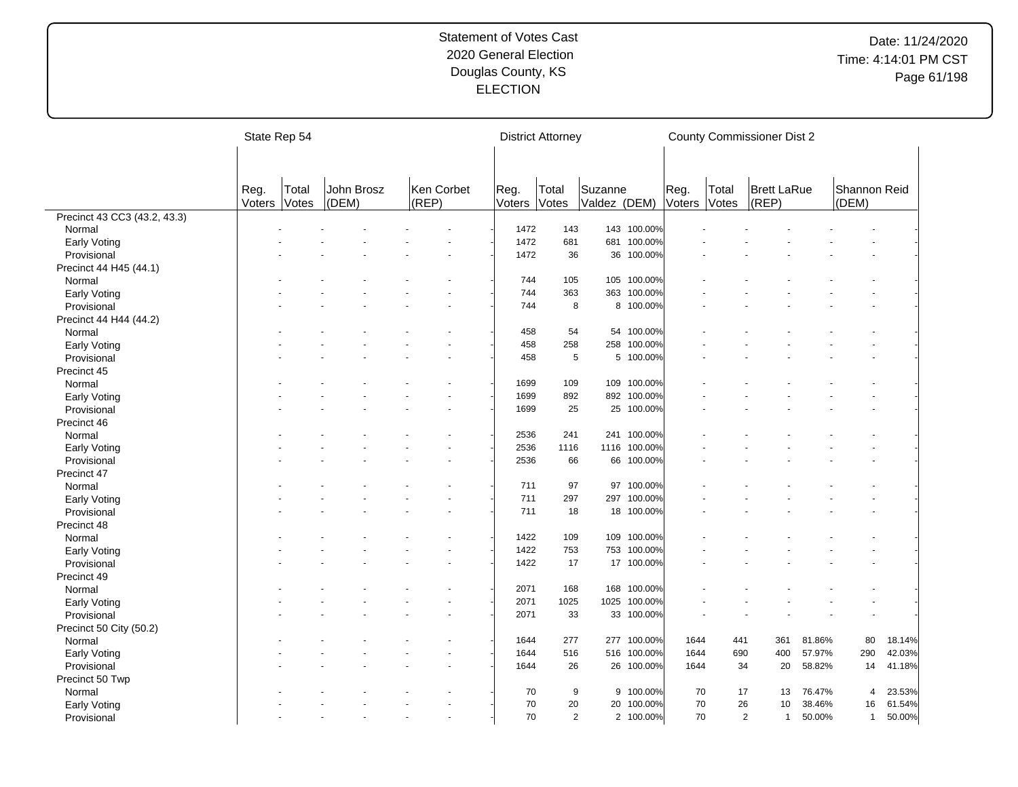|                              |                | State Rep 54   |                     |                     |                | <b>District Attorney</b> |                         |              |                |                | <b>County Commissioner Dist 2</b> |        |                       |        |
|------------------------------|----------------|----------------|---------------------|---------------------|----------------|--------------------------|-------------------------|--------------|----------------|----------------|-----------------------------------|--------|-----------------------|--------|
|                              |                |                |                     |                     |                |                          |                         |              |                |                |                                   |        |                       |        |
|                              | Reg.<br>Voters | Total<br>Votes | John Brosz<br>(DEM) | Ken Corbet<br>(REP) | Reg.<br>Voters | Total<br>Votes           | Suzanne<br>Valdez (DEM) |              | Reg.<br>Voters | Total<br>Votes | <b>Brett LaRue</b><br>(REP)       |        | Shannon Reid<br>(DEM) |        |
| Precinct 43 CC3 (43.2, 43.3) |                |                |                     |                     |                |                          |                         |              |                |                |                                   |        |                       |        |
| Normal                       |                |                |                     |                     | 1472           | 143                      |                         | 143 100.00%  |                |                |                                   |        |                       |        |
| Early Voting                 |                |                |                     |                     | 1472           | 681                      |                         | 681 100.00%  |                |                |                                   |        |                       |        |
| Provisional                  |                |                |                     |                     | 1472           | 36                       |                         | 36 100.00%   |                |                |                                   |        |                       |        |
| Precinct 44 H45 (44.1)       |                |                |                     |                     |                |                          |                         |              |                |                |                                   |        |                       |        |
| Normal                       |                |                |                     |                     | 744            | 105                      |                         | 105 100.00%  |                |                |                                   |        |                       |        |
| Early Voting                 |                |                |                     |                     | 744            | 363                      |                         | 363 100.00%  |                |                |                                   |        |                       |        |
| Provisional                  |                |                |                     |                     | 744            | 8                        |                         | 8 100.00%    |                |                |                                   |        |                       |        |
| Precinct 44 H44 (44.2)       |                |                |                     |                     |                |                          |                         |              |                |                |                                   |        |                       |        |
| Normal                       |                |                |                     |                     | 458            | 54                       |                         | 54 100.00%   |                |                |                                   |        |                       |        |
| Early Voting                 |                |                |                     |                     | 458            | 258                      |                         | 258 100.00%  |                |                |                                   |        |                       |        |
| Provisional                  |                |                |                     |                     | 458            | 5                        |                         | 5 100.00%    |                |                |                                   |        |                       |        |
| Precinct 45                  |                |                |                     |                     |                |                          |                         |              |                |                |                                   |        |                       |        |
| Normal                       |                |                |                     |                     | 1699           | 109                      | 109                     | 100.00%      |                |                |                                   |        |                       |        |
|                              |                |                |                     |                     | 1699           | 892                      |                         | 892 100.00%  |                |                |                                   |        |                       |        |
| Early Voting                 |                |                |                     |                     | 1699           | 25                       |                         | 25 100.00%   |                |                |                                   |        |                       |        |
| Provisional                  |                |                |                     |                     |                |                          |                         |              |                |                |                                   |        |                       |        |
| Precinct 46                  |                |                |                     |                     |                | 241                      |                         |              |                |                |                                   |        |                       |        |
| Normal                       |                |                |                     |                     | 2536           |                          |                         | 241 100.00%  |                |                |                                   |        |                       |        |
| Early Voting                 |                |                |                     |                     | 2536           | 1116                     |                         | 1116 100.00% |                |                |                                   |        |                       |        |
| Provisional                  |                |                |                     |                     | 2536           | 66                       | 66                      | 100.00%      |                |                |                                   |        |                       |        |
| Precinct 47                  |                |                |                     |                     |                |                          |                         |              |                |                |                                   |        |                       |        |
| Normal                       |                |                |                     |                     | 711            | 97                       |                         | 97 100.00%   |                |                |                                   |        |                       |        |
| Early Voting                 |                |                |                     |                     | 711            | 297                      | 297                     | 100.00%      |                |                |                                   |        |                       |        |
| Provisional                  |                |                |                     |                     | 711            | 18                       |                         | 18 100.00%   |                |                |                                   |        |                       |        |
| Precinct 48                  |                |                |                     |                     |                |                          |                         |              |                |                |                                   |        |                       |        |
| Normal                       |                |                |                     |                     | 1422           | 109                      |                         | 109 100.00%  |                |                |                                   |        |                       |        |
| Early Voting                 |                |                |                     |                     | 1422           | 753                      |                         | 753 100.00%  |                |                |                                   |        |                       |        |
| Provisional                  |                |                |                     |                     | 1422           | 17                       |                         | 17 100.00%   |                |                |                                   |        |                       |        |
| Precinct 49                  |                |                |                     |                     |                |                          |                         |              |                |                |                                   |        |                       |        |
| Normal                       |                |                |                     |                     | 2071           | 168                      | 168                     | 100.00%      |                |                |                                   |        |                       |        |
| Early Voting                 |                |                |                     |                     | 2071           | 1025                     | 1025                    | 100.00%      |                |                |                                   |        |                       |        |
| Provisional                  |                |                |                     |                     | 2071           | 33                       |                         | 33 100.00%   |                |                |                                   |        |                       |        |
| Precinct 50 City (50.2)      |                |                |                     |                     |                |                          |                         |              |                |                |                                   |        |                       |        |
| Normal                       |                |                |                     |                     | 1644           | 277                      |                         | 277 100.00%  | 1644           | 441            | 361                               | 81.86% | 80                    | 18.14% |
| Early Voting                 |                |                |                     |                     | 1644           | 516                      |                         | 516 100.00%  | 1644           | 690            | 400                               | 57.97% | 290                   | 42.03% |
| Provisional                  |                |                |                     |                     | 1644           | 26                       |                         | 26 100.00%   | 1644           | 34             | 20                                | 58.82% | 14                    | 41.18% |
| Precinct 50 Twp              |                |                |                     |                     |                |                          |                         |              |                |                |                                   |        |                       |        |
| Normal                       |                |                |                     |                     | 70             | 9                        |                         | 9 100.00%    | 70             | 17             | 13                                | 76.47% | 4                     | 23.53% |
| Early Voting                 |                |                |                     |                     | 70             | 20                       |                         | 20 100.00%   | 70             | 26             | 10                                | 38.46% | 16                    | 61.54% |
| Provisional                  |                |                |                     |                     | 70             | 2                        |                         | 2 100.00%    | 70             |                | $\overline{2}$<br>$\mathbf{1}$    | 50.00% | $\mathbf{1}$          | 50.00% |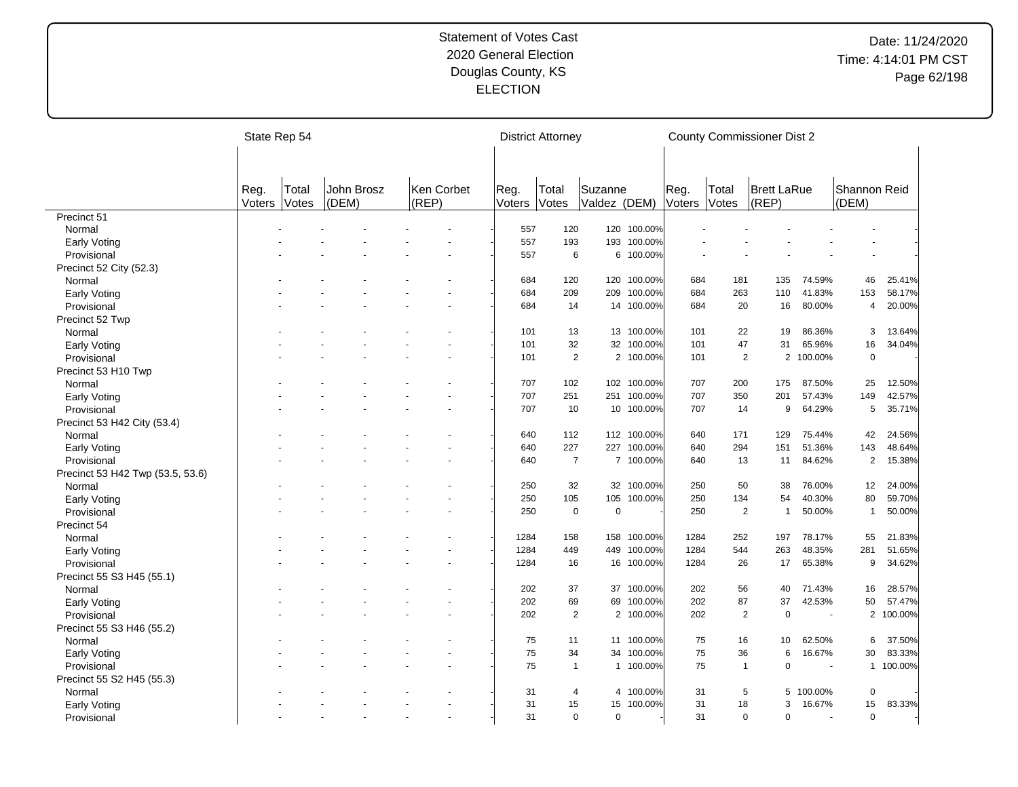|                                  | State Rep 54 |              |            |            |        | <b>District Attorney</b> |              |             |        |                | <b>County Commissioner Dist 2</b> |           |                |           |
|----------------------------------|--------------|--------------|------------|------------|--------|--------------------------|--------------|-------------|--------|----------------|-----------------------------------|-----------|----------------|-----------|
|                                  |              |              |            |            |        |                          |              |             |        |                |                                   |           |                |           |
|                                  | Reg.         | Total        | John Brosz | Ken Corbet | Reg.   | Total                    | Suzanne      |             | Reg.   | Total          | <b>Brett LaRue</b>                |           | Shannon Reid   |           |
|                                  | Voters       | <b>Votes</b> | (DEM)      | (REP)      | Voters | <b>Votes</b>             | Valdez (DEM) |             | Voters | <b>Votes</b>   | (REP)                             |           | (DEM)          |           |
| Precinct 51                      |              |              |            |            |        |                          |              |             |        |                |                                   |           |                |           |
| Normal                           |              |              |            |            | 557    | 120                      |              | 120 100.00% |        |                |                                   |           |                |           |
| Early Voting                     |              |              |            |            | 557    | 193                      | 193          | 100.00%     |        |                |                                   |           |                |           |
| Provisional                      |              |              |            |            | 557    | 6                        |              | 6 100.00%   |        |                |                                   |           |                |           |
| Precinct 52 City (52.3)          |              |              |            |            |        |                          |              |             |        |                |                                   |           |                |           |
| Normal                           |              |              |            |            | 684    | 120                      |              | 120 100.00% | 684    | 181            | 135                               | 74.59%    | 46             | 25.41%    |
| Early Voting                     |              |              |            |            | 684    | 209                      | 209          | 100.00%     | 684    | 263            | 110                               | 41.83%    | 153            | 58.17%    |
| Provisional                      |              |              |            |            | 684    | 14                       | 14           | 100.00%     | 684    | 20             | 16                                | 80.00%    | 4              | 20.00%    |
| Precinct 52 Twp                  |              |              |            |            |        |                          |              |             |        |                |                                   |           |                |           |
| Normal                           |              |              |            |            | 101    | 13                       |              | 13 100.00%  | 101    | 22             | 19                                | 86.36%    | 3              | 13.64%    |
| Early Voting                     |              |              |            |            | 101    | 32                       |              | 32 100.00%  | 101    | 47             | 31                                | 65.96%    | 16             | 34.04%    |
| Provisional                      |              |              |            |            | 101    | $\sqrt{2}$               |              | 2 100.00%   | 101    | $\overline{2}$ |                                   | 2 100.00% | $\pmb{0}$      |           |
| Precinct 53 H10 Twp              |              |              |            |            |        |                          |              |             |        |                |                                   |           |                |           |
| Normal                           |              |              |            |            | 707    | 102                      |              | 102 100.00% | 707    | 200            | 175                               | 87.50%    | 25             | 12.50%    |
| Early Voting                     |              |              |            |            | 707    | 251                      | 251          | 100.00%     | 707    | 350            | 201                               | 57.43%    | 149            | 42.57%    |
| Provisional                      |              |              |            |            | 707    | 10                       |              | 10 100.00%  | 707    | 14             | 9                                 | 64.29%    | 5              | 35.71%    |
| Precinct 53 H42 City (53.4)      |              |              |            |            |        |                          |              |             |        |                |                                   |           |                |           |
| Normal                           |              |              |            |            | 640    | 112                      |              | 112 100.00% | 640    | 171            | 129                               | 75.44%    | 42             | 24.56%    |
| <b>Early Voting</b>              |              |              |            |            | 640    | 227                      |              | 227 100.00% | 640    | 294            | 151                               | 51.36%    | 143            | 48.64%    |
| Provisional                      |              |              |            |            | 640    | $\overline{7}$           |              | 7 100.00%   | 640    | 13             | 11                                | 84.62%    | $\overline{2}$ | 15.38%    |
| Precinct 53 H42 Twp (53.5, 53.6) |              |              |            |            |        |                          |              |             |        |                |                                   |           |                |           |
| Normal                           |              |              |            |            | 250    | 32                       |              | 32 100.00%  | 250    | 50             | 38                                | 76.00%    | 12             | 24.00%    |
| Early Voting                     |              |              |            |            | 250    | 105                      | 105          | 100.00%     | 250    | 134            | 54                                | 40.30%    | 80             | 59.70%    |
| Provisional                      |              |              |            |            | 250    | $\pmb{0}$                | $\mathbf 0$  |             | 250    | $\overline{2}$ | $\mathbf{1}$                      | 50.00%    | $\overline{1}$ | 50.00%    |
| Precinct 54                      |              |              |            |            |        |                          |              |             |        |                |                                   |           |                |           |
| Normal                           |              |              |            |            | 1284   | 158                      | 158          | 100.00%     | 1284   | 252            | 197                               | 78.17%    | 55             | 21.83%    |
| Early Voting                     |              |              |            |            | 1284   | 449                      | 449          | 100.00%     | 1284   | 544            | 263                               | 48.35%    | 281            | 51.65%    |
| Provisional                      |              |              |            |            | 1284   | 16                       | 16           | 100.00%     | 1284   | 26             | 17                                | 65.38%    | 9              | 34.62%    |
| Precinct 55 S3 H45 (55.1)        |              |              |            |            |        |                          |              |             |        |                |                                   |           |                |           |
| Normal                           |              |              |            |            | 202    | 37                       | 37           | 100.00%     | 202    | 56             | 40                                | 71.43%    | 16             | 28.57%    |
| Early Voting                     |              |              |            |            | 202    | 69                       | 69           | 100.00%     | 202    | 87             | 37                                | 42.53%    | 50             | 57.47%    |
| Provisional                      |              |              |            |            | 202    | $\overline{2}$           |              | 2 100.00%   | 202    | $\overline{2}$ | 0                                 | ÷,        |                | 2 100.00% |
| Precinct 55 S3 H46 (55.2)        |              |              |            |            |        |                          |              |             |        |                |                                   |           |                |           |
| Normal                           |              |              |            |            | 75     | 11                       |              | 11 100.00%  | 75     | 16             | 10                                | 62.50%    | 6              | 37.50%    |
| Early Voting                     |              |              |            |            | 75     | 34                       | 34           | 100.00%     | 75     | 36             | 6                                 | 16.67%    | 30             | 83.33%    |
| Provisional                      |              |              |            |            | 75     | $\mathbf{1}$             |              | 1 100.00%   | 75     | $\mathbf{1}$   | $\mathbf 0$                       |           | $\mathbf{1}$   | 100.00%   |
| Precinct 55 S2 H45 (55.3)        |              |              |            |            |        |                          |              |             |        |                |                                   |           |                |           |
| Normal                           |              |              |            |            | 31     | 4                        | 4            | 100.00%     | 31     | 5              | 5                                 | 100.00%   | 0              |           |
| Early Voting                     |              |              |            |            | 31     | 15                       |              | 15 100.00%  | 31     | 18             | 3                                 | 16.67%    | 15             | 83.33%    |
|                                  |              |              |            |            | 31     | $\Omega$                 | $\Omega$     |             | 31     | $\Omega$       | $\Omega$                          |           | $\mathbf 0$    |           |
| Provisional                      |              |              |            |            |        |                          |              |             |        |                |                                   |           |                |           |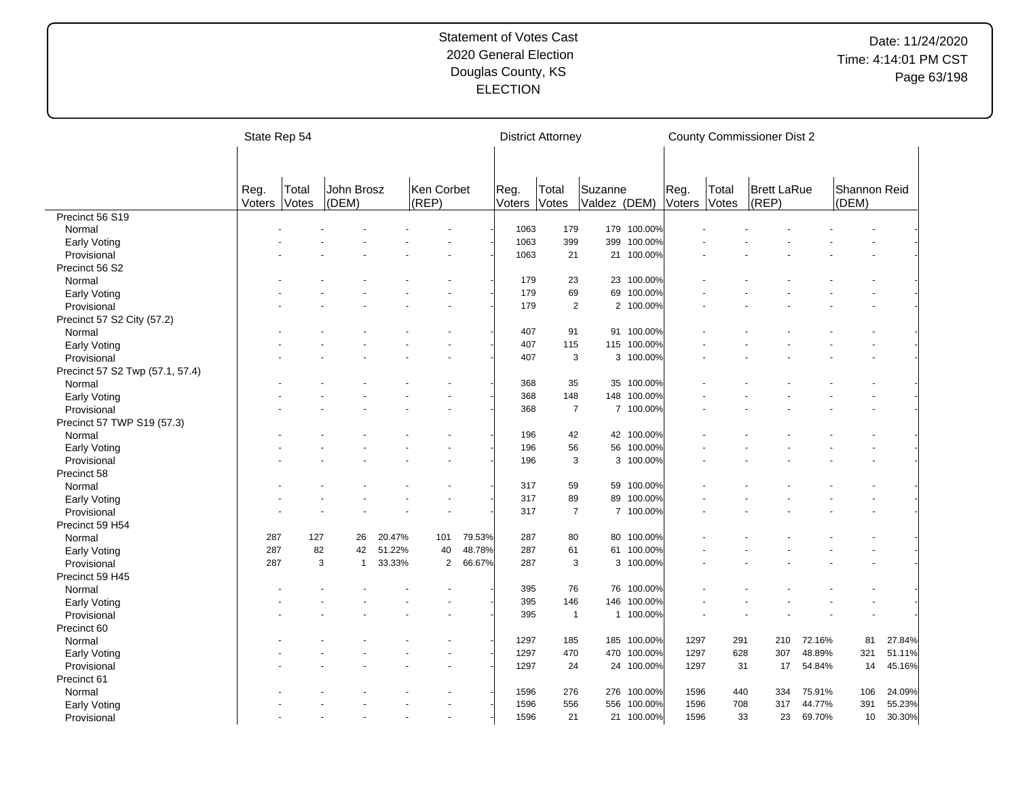|                                 | State Rep 54   |                       |                     |        |                     |        |                | <b>District Attorney</b> |                         |             |                |                       | <b>County Commissioner Dist 2</b> |        |                       |        |
|---------------------------------|----------------|-----------------------|---------------------|--------|---------------------|--------|----------------|--------------------------|-------------------------|-------------|----------------|-----------------------|-----------------------------------|--------|-----------------------|--------|
|                                 |                |                       |                     |        |                     |        |                |                          |                         |             |                |                       |                                   |        |                       |        |
|                                 | Reg.<br>Voters | Total<br><b>Votes</b> | John Brosz<br>(DEM) |        | Ken Corbet<br>(REP) |        | Reg.<br>Voters | Total<br><b>Votes</b>    | Suzanne<br>Valdez (DEM) |             | Reg.<br>Voters | Total<br><b>Votes</b> | <b>Brett LaRue</b><br>(REP)       |        | Shannon Reid<br>(DEM) |        |
| Precinct 56 S19                 |                |                       |                     |        |                     |        |                |                          |                         |             |                |                       |                                   |        |                       |        |
| Normal                          |                |                       |                     |        |                     |        | 1063           | 179                      |                         | 179 100.00% |                |                       |                                   |        |                       |        |
| Early Voting                    |                |                       |                     |        |                     |        | 1063           | 399                      | 399                     | 100.00%     |                |                       |                                   |        |                       |        |
| Provisional                     |                |                       |                     |        |                     |        | 1063           | 21                       |                         | 21 100.00%  |                |                       |                                   |        |                       |        |
| Precinct 56 S2                  |                |                       |                     |        |                     |        |                |                          |                         |             |                |                       |                                   |        |                       |        |
| Normal                          |                |                       |                     |        |                     |        | 179            | 23                       |                         | 23 100.00%  |                |                       |                                   |        |                       |        |
| <b>Early Voting</b>             |                |                       |                     |        |                     |        | 179            | 69                       | 69                      | 100.00%     |                |                       |                                   |        |                       |        |
| Provisional                     |                |                       |                     |        |                     |        | 179            | $\mathbf{2}$             |                         | 2 100.00%   |                |                       |                                   |        |                       |        |
| Precinct 57 S2 City (57.2)      |                |                       |                     |        |                     |        |                |                          |                         |             |                |                       |                                   |        |                       |        |
| Normal                          |                |                       |                     |        |                     |        | 407            | 91                       |                         | 91 100.00%  |                |                       |                                   |        |                       |        |
| Early Voting                    |                |                       |                     |        |                     |        | 407            | 115                      | 115                     | 100.00%     |                |                       |                                   |        |                       |        |
| Provisional                     |                |                       |                     |        |                     |        | 407            | 3                        |                         | 3 100.00%   |                |                       |                                   |        |                       |        |
| Precinct 57 S2 Twp (57.1, 57.4) |                |                       |                     |        |                     |        |                |                          |                         |             |                |                       |                                   |        |                       |        |
| Normal                          |                |                       |                     |        |                     |        | 368            | 35                       | 35                      | 100.00%     |                |                       |                                   |        |                       |        |
| Early Voting                    |                |                       |                     |        |                     |        | 368            | 148                      | 148                     | 100.00%     |                |                       |                                   |        |                       |        |
| Provisional                     |                |                       |                     |        |                     |        | 368            | $\overline{7}$           |                         | 7 100.00%   |                |                       |                                   |        |                       |        |
| Precinct 57 TWP S19 (57.3)      |                |                       |                     |        |                     |        |                |                          |                         |             |                |                       |                                   |        |                       |        |
| Normal                          |                |                       |                     |        |                     |        | 196            | 42                       |                         | 42 100.00%  |                |                       |                                   |        |                       |        |
| Early Voting                    |                |                       |                     |        |                     |        | 196            | 56                       |                         | 56 100.00%  |                |                       |                                   |        |                       |        |
| Provisional                     |                |                       |                     |        |                     |        | 196            | 3                        | 3                       | 100.00%     |                |                       |                                   |        |                       |        |
| Precinct 58                     |                |                       |                     |        |                     |        |                |                          |                         |             |                |                       |                                   |        |                       |        |
| Normal                          |                |                       |                     |        |                     |        | 317            | 59                       | 59                      | 100.00%     |                |                       |                                   |        |                       |        |
| <b>Early Voting</b>             |                |                       |                     |        |                     |        | 317            | 89                       | 89                      | 100.00%     |                |                       |                                   |        |                       |        |
| Provisional                     |                |                       |                     |        |                     |        | 317            | $\overline{7}$           |                         | 7 100.00%   |                |                       |                                   |        |                       |        |
| Precinct 59 H54                 |                |                       |                     |        |                     |        |                |                          |                         |             |                |                       |                                   |        |                       |        |
| Normal                          | 287            | 127                   | 26                  | 20.47% | 101                 | 79.53% | 287            | 80                       | 80                      | 100.00%     |                |                       |                                   |        |                       |        |
| <b>Early Voting</b>             | 287            | 82                    | 42                  | 51.22% | 40                  | 48.78% | 287            | 61                       |                         | 61 100.00%  |                |                       |                                   |        |                       |        |
| Provisional                     | 287            |                       | 3<br>$\mathbf{1}$   | 33.33% | $\overline{2}$      | 66.67% | 287            | 3                        |                         | 3 100.00%   |                |                       |                                   |        |                       |        |
| Precinct 59 H45                 |                |                       |                     |        |                     |        |                |                          |                         |             |                |                       |                                   |        |                       |        |
| Normal                          |                |                       |                     |        |                     |        | 395            | 76                       | 76                      | 100.00%     |                |                       |                                   |        |                       |        |
| Early Voting                    |                |                       |                     |        |                     |        | 395            | 146                      | 146                     | 100.00%     |                |                       |                                   |        |                       |        |
| Provisional                     |                |                       |                     |        |                     |        | 395            | $\mathbf{1}$             |                         | 1 100.00%   |                |                       |                                   |        |                       |        |
| Precinct 60                     |                |                       |                     |        |                     |        |                |                          |                         |             |                |                       |                                   |        |                       |        |
| Normal                          |                |                       |                     |        |                     |        | 1297           | 185                      |                         | 185 100.00% | 1297           | 291                   | 210                               | 72.16% | 81                    | 27.84% |
| Early Voting                    |                |                       |                     |        |                     |        | 1297           | 470                      | 470                     | 100.00%     | 1297           | 628                   | 307                               | 48.89% | 321                   | 51.11% |
| Provisional                     |                |                       |                     |        |                     |        | 1297           | 24                       |                         | 24 100.00%  | 1297           | 31                    | 17                                | 54.84% | 14                    | 45.16% |
| Precinct 61                     |                |                       |                     |        |                     |        |                |                          |                         |             |                |                       |                                   |        |                       |        |
| Normal                          |                |                       |                     |        |                     |        | 1596           | 276                      | 276                     | 100.00%     | 1596           | 440                   | 334                               | 75.91% | 106                   | 24.09% |
| <b>Early Voting</b>             |                |                       |                     |        |                     |        | 1596           | 556                      | 556                     | 100.00%     | 1596           | 708                   | 317                               | 44.77% | 391                   | 55.23% |
| Provisional                     |                |                       |                     |        |                     |        | 1596           | 21                       |                         | 21 100.00%  | 1596           | 33                    | 23                                | 69.70% | 10                    | 30.30% |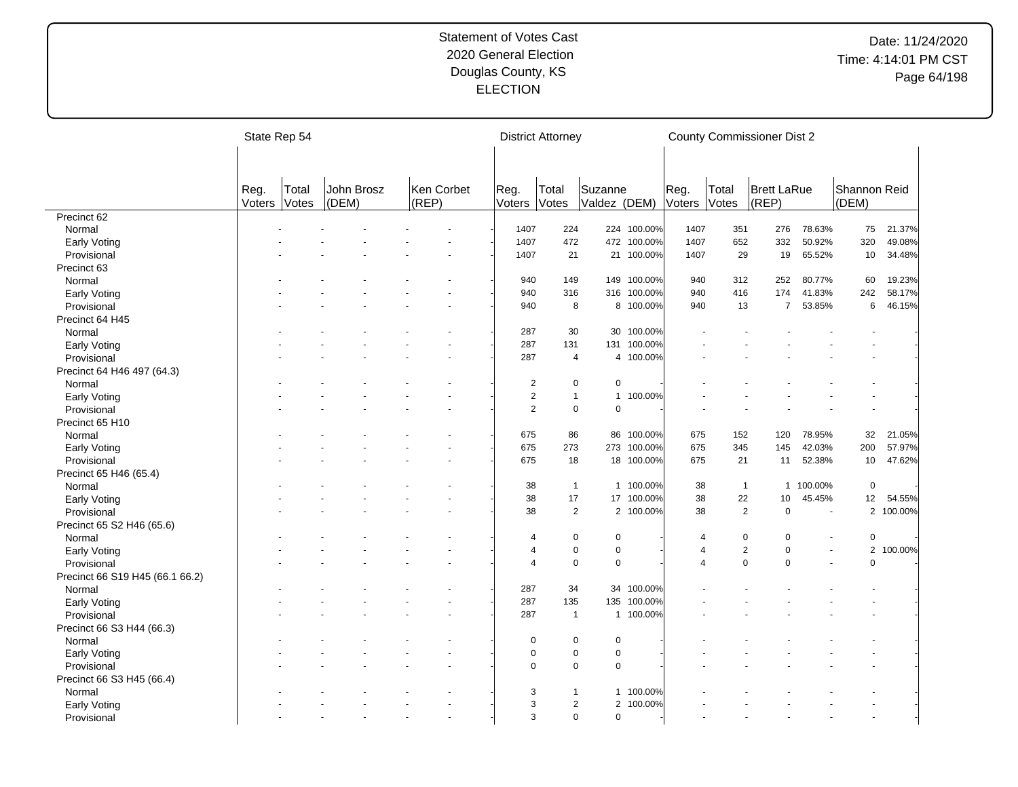|                                 |                | State Rep 54   |                     |                     |                | <b>District Attorney</b> |                         |             |                         | <b>County Commissioner Dist 2</b> |                             |                      |                       |           |
|---------------------------------|----------------|----------------|---------------------|---------------------|----------------|--------------------------|-------------------------|-------------|-------------------------|-----------------------------------|-----------------------------|----------------------|-----------------------|-----------|
|                                 |                |                |                     |                     |                |                          |                         |             |                         |                                   |                             |                      |                       |           |
|                                 | Reg.<br>Voters | Total<br>Votes | John Brosz<br>(DEM) | Ken Corbet<br>(REP) | Reg.<br>Voters | Total<br>Votes           | Suzanne<br>Valdez (DEM) |             | Reg.<br>Voters          | Total<br>Votes                    | <b>Brett LaRue</b><br>(REP) |                      | Shannon Reid<br>(DEM) |           |
| Precinct 62                     |                |                |                     |                     |                |                          |                         |             |                         |                                   |                             |                      |                       |           |
| Normal                          |                |                |                     |                     | 1407           | 224                      |                         | 224 100.00% | 1407                    | 351                               | 276                         | 78.63%               | 75                    | 21.37%    |
| Early Voting                    |                |                |                     |                     | 1407           | 472                      |                         | 472 100.00% | 1407                    | 652                               | 332                         | 50.92%               | 320                   | 49.08%    |
| Provisional                     |                |                |                     |                     | 1407           | 21                       |                         | 21 100.00%  | 1407                    | 29                                | 19                          | 65.52%               | 10                    | 34.48%    |
| Precinct 63                     |                |                |                     |                     |                |                          |                         |             |                         |                                   |                             |                      |                       |           |
| Normal                          |                |                |                     |                     | 940            | 149                      |                         | 149 100.00% | 940                     | 312                               | 252                         | 80.77%               | 60                    | 19.23%    |
| Early Voting                    |                |                |                     |                     | 940            | 316                      |                         | 316 100.00% | 940                     | 416                               | 174                         | 41.83%               | 242                   | 58.17%    |
| Provisional                     |                |                |                     |                     | 940            | 8                        |                         | 8 100.00%   | 940                     | 13                                | $\overline{7}$              | 53.85%               | 6                     | 46.15%    |
|                                 |                |                |                     |                     |                |                          |                         |             |                         |                                   |                             |                      |                       |           |
| Precinct 64 H45                 |                |                |                     |                     |                |                          |                         |             |                         |                                   |                             |                      |                       |           |
| Normal                          |                |                |                     |                     | 287            | 30                       | 30                      | 100.00%     |                         |                                   |                             |                      |                       |           |
| Early Voting                    |                |                |                     |                     | 287            | 131                      |                         | 131 100.00% |                         |                                   |                             |                      |                       |           |
| Provisional                     |                |                |                     |                     | 287            | $\overline{4}$           |                         | 4 100.00%   |                         |                                   |                             |                      |                       |           |
| Precinct 64 H46 497 (64.3)      |                |                |                     |                     |                |                          |                         |             |                         |                                   |                             |                      |                       |           |
| Normal                          |                |                |                     |                     | $\sqrt{2}$     | $\mathbf 0$              | 0                       |             |                         |                                   |                             |                      |                       |           |
| Early Voting                    |                |                |                     |                     | $\sqrt{2}$     | $\mathbf{1}$             |                         | 1 100.00%   |                         |                                   |                             |                      |                       |           |
| Provisional                     |                |                |                     |                     | $\overline{2}$ | $\mathbf 0$              | $\mathbf 0$             |             |                         |                                   |                             |                      |                       |           |
| Precinct 65 H10                 |                |                |                     |                     |                |                          |                         |             |                         |                                   |                             |                      |                       |           |
| Normal                          |                |                |                     |                     | 675            | 86                       | 86                      | 100.00%     | 675                     | 152                               | 120                         | 78.95%               | 32                    | 21.05%    |
| Early Voting                    |                |                |                     |                     | 675            | 273                      |                         | 273 100.00% | 675                     | 345                               | 145                         | 42.03%               | 200                   | 57.97%    |
| Provisional                     |                |                |                     |                     | 675            | 18                       |                         | 18 100.00%  | 675                     | 21                                | 11                          | 52.38%               | 10                    | 47.62%    |
| Precinct 65 H46 (65.4)          |                |                |                     |                     |                |                          |                         |             |                         |                                   |                             |                      |                       |           |
| Normal                          |                |                |                     |                     | 38             | $\mathbf{1}$             |                         | 1 100.00%   | 38                      | $\mathbf{1}$                      | $\mathbf{1}$                | 100.00%              | $\mathbf 0$           |           |
| Early Voting                    |                |                |                     |                     | 38             | 17                       |                         | 17 100.00%  | 38                      | 22                                | 10                          | 45.45%               | 12                    | 54.55%    |
| Provisional                     |                |                |                     |                     | 38             | $\overline{2}$           |                         | 2 100.00%   | 38                      | $\overline{2}$                    | $\mathbf 0$                 | ÷,                   |                       | 2 100.00% |
| Precinct 65 S2 H46 (65.6)       |                |                |                     |                     |                |                          |                         |             |                         |                                   |                             |                      |                       |           |
| Normal                          |                |                |                     |                     | 4              | $\mathbf 0$              | $\mathbf 0$             |             | 4                       | $\mathbf 0$                       | $\Omega$                    |                      | $\mathbf 0$           |           |
| Early Voting                    |                |                |                     |                     | $\overline{4}$ | $\mathbf 0$              | $\pmb{0}$               |             | 4                       | $\overline{2}$                    | $\Omega$                    |                      | $\overline{2}$        | 100.00%   |
| Provisional                     |                |                |                     |                     | $\overline{4}$ | $\mathbf 0$              | $\mathbf 0$             |             | $\overline{\mathbf{4}}$ | $\mathbf 0$                       | $\Omega$                    | $\ddot{\phantom{1}}$ | $\mathbf 0$           |           |
| Precinct 66 S19 H45 (66.1 66.2) |                |                |                     |                     |                |                          |                         |             |                         |                                   |                             |                      |                       |           |
| Normal                          |                |                |                     |                     | 287            | 34                       |                         | 34 100.00%  |                         |                                   |                             |                      |                       |           |
| Early Voting                    |                |                |                     |                     | 287            | 135                      |                         | 135 100.00% |                         |                                   |                             |                      |                       |           |
| Provisional                     |                |                |                     |                     | 287            | $\mathbf{1}$             |                         | 1 100.00%   |                         |                                   |                             |                      |                       |           |
| Precinct 66 S3 H44 (66.3)       |                |                |                     |                     |                |                          |                         |             |                         |                                   |                             |                      |                       |           |
|                                 |                |                |                     |                     |                |                          |                         |             |                         |                                   |                             |                      |                       |           |
| Normal                          |                |                |                     |                     | 0              | 0                        | 0                       |             |                         |                                   |                             |                      |                       |           |
| Early Voting                    |                |                |                     |                     | $\mathbf 0$    | $\mathbf 0$              | 0                       |             |                         |                                   |                             |                      |                       |           |
| Provisional                     |                |                |                     |                     | $\Omega$       | $\mathbf 0$              | $\mathbf 0$             |             |                         |                                   |                             |                      |                       |           |
| Precinct 66 S3 H45 (66.4)       |                |                |                     |                     |                |                          |                         |             |                         |                                   |                             |                      |                       |           |
| Normal                          |                |                |                     |                     | 3              | $\mathbf{1}$             |                         | 1 100.00%   |                         |                                   |                             |                      |                       |           |
| Early Voting                    |                |                |                     |                     | 3              | 2                        |                         | 2 100.00%   |                         |                                   |                             |                      |                       |           |
| Provisional                     |                |                |                     |                     | 3              | $\mathbf 0$              | $\Omega$                |             |                         |                                   |                             |                      |                       |           |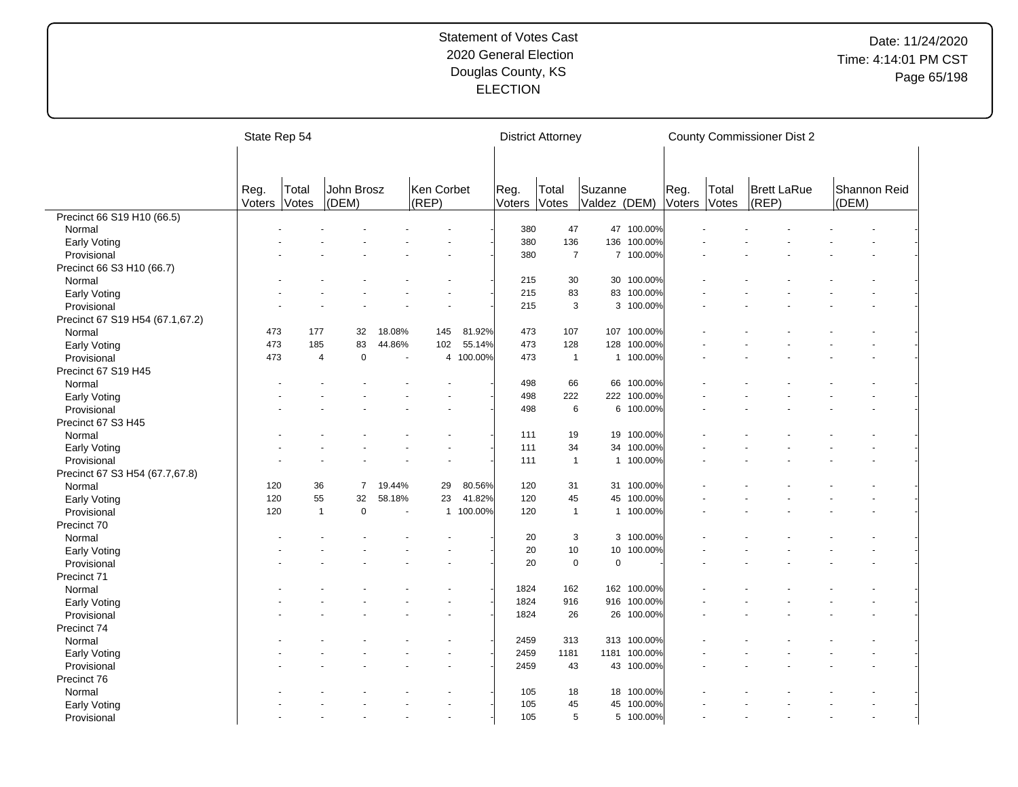|                                 | State Rep 54   |                |                               |                          |                     |           |                | <b>District Attorney</b> |                         |              |                |                | <b>County Commissioner Dist 2</b> |       |              |
|---------------------------------|----------------|----------------|-------------------------------|--------------------------|---------------------|-----------|----------------|--------------------------|-------------------------|--------------|----------------|----------------|-----------------------------------|-------|--------------|
|                                 |                |                |                               |                          |                     |           |                |                          |                         |              |                |                |                                   |       |              |
|                                 |                |                |                               |                          |                     |           |                |                          |                         |              |                |                |                                   |       |              |
|                                 | Reg.<br>Voters | Total<br>Votes | John Brosz<br>(DEM)           |                          | Ken Corbet<br>(REP) |           | Reg.<br>Voters | Total<br>Votes           | Suzanne<br>Valdez (DEM) |              | Reg.<br>Voters | Total<br>Votes | <b>Brett LaRue</b><br>(REP)       | (DEM) | Shannon Reid |
| Precinct 66 S19 H10 (66.5)      |                |                |                               |                          |                     |           |                |                          |                         |              |                |                |                                   |       |              |
| Normal                          |                |                |                               |                          |                     |           | 380            | 47                       |                         | 47 100.00%   |                |                |                                   |       |              |
| <b>Early Voting</b>             |                |                |                               |                          |                     |           | 380            | 136                      |                         | 136 100.00%  |                |                |                                   |       |              |
| Provisional                     |                |                |                               |                          |                     |           | 380            | $\overline{7}$           |                         | 7 100.00%    |                |                |                                   |       |              |
| Precinct 66 S3 H10 (66.7)       |                |                |                               |                          |                     |           |                |                          |                         |              |                |                |                                   |       |              |
| Normal                          |                |                |                               |                          |                     |           | 215            | 30                       |                         | 30 100.00%   |                |                |                                   |       |              |
| <b>Early Voting</b>             |                |                |                               |                          |                     |           | 215            | 83                       |                         | 83 100.00%   |                |                |                                   |       |              |
| Provisional                     |                |                |                               |                          |                     |           | 215            | 3                        |                         | 3 100.00%    |                |                |                                   |       |              |
| Precinct 67 S19 H54 (67.1,67.2) |                |                |                               |                          |                     |           |                |                          |                         |              |                |                |                                   |       |              |
| Normal                          | 473            | 177            | 32                            | 18.08%                   | 145                 | 81.92%    | 473            | 107                      | 107                     | 100.00%      |                |                |                                   |       |              |
| Early Voting                    | 473            | 185            | 83                            | 44.86%                   | 102                 | 55.14%    | 473            | 128                      | 128                     | 100.00%      |                |                |                                   |       |              |
| Provisional                     | 473            |                | $\mathbf 0$<br>$\overline{4}$ | $\overline{\phantom{a}}$ | $\overline{4}$      | 100.00%   | 473            | $\mathbf{1}$             | $\mathbf{1}$            | 100.00%      |                |                |                                   |       |              |
| Precinct 67 S19 H45             |                |                |                               |                          |                     |           |                |                          |                         |              |                |                |                                   |       |              |
| Normal                          |                |                |                               |                          |                     |           | 498            | 66                       |                         | 66 100.00%   |                |                |                                   |       |              |
| Early Voting                    |                |                |                               |                          |                     |           | 498            | 222                      |                         | 222 100.00%  |                |                |                                   |       |              |
| Provisional                     |                |                |                               |                          |                     |           | 498            | 6                        |                         | 6 100.00%    |                |                |                                   |       |              |
| Precinct 67 S3 H45              |                |                |                               |                          |                     |           |                |                          |                         |              |                |                |                                   |       |              |
| Normal                          |                |                |                               |                          |                     |           | 111            | 19                       | 19                      | 100.00%      |                |                |                                   |       |              |
| <b>Early Voting</b>             |                |                |                               |                          |                     |           | 111            | 34                       |                         | 34 100.00%   |                |                |                                   |       |              |
| Provisional                     |                |                |                               |                          |                     |           | 111            | $\mathbf{1}$             | $\mathbf{1}$            | 100.00%      |                |                |                                   |       |              |
| Precinct 67 S3 H54 (67.7,67.8)  |                |                |                               |                          |                     |           |                |                          |                         |              |                |                |                                   |       |              |
| Normal                          | 120            | 36             | 7                             | 19.44%                   | 29                  | 80.56%    | 120            | 31                       |                         | 31 100.00%   |                |                |                                   |       |              |
| <b>Early Voting</b>             | 120            | 55             | 32                            | 58.18%                   | 23                  | 41.82%    | 120            | 45                       | 45                      | 100.00%      |                |                |                                   |       |              |
| Provisional                     | 120            |                | $\mathbf{1}$<br>$\mathbf 0$   | ÷,                       |                     | 1 100.00% | 120            | $\mathbf{1}$             |                         | 1 100.00%    |                |                |                                   |       |              |
| Precinct 70                     |                |                |                               |                          |                     |           |                |                          |                         |              |                |                |                                   |       |              |
| Normal                          |                |                |                               |                          |                     |           | 20             | 3                        |                         | 3 100.00%    |                |                |                                   |       |              |
| <b>Early Voting</b>             |                |                |                               |                          |                     |           | 20             | 10                       | 10 <sup>1</sup>         | 100.00%      |                |                |                                   |       |              |
| Provisional                     |                |                |                               |                          |                     |           | 20             | $\pmb{0}$                | $\mathbf 0$             |              |                |                |                                   |       |              |
| Precinct 71                     |                |                |                               |                          |                     |           |                |                          |                         |              |                |                |                                   |       |              |
| Normal                          |                |                |                               |                          |                     |           | 1824           | 162                      |                         | 162 100.00%  |                |                |                                   |       |              |
| <b>Early Voting</b>             |                |                |                               |                          |                     |           | 1824           | 916                      |                         | 916 100.00%  |                |                |                                   |       |              |
| Provisional                     |                |                |                               |                          |                     |           | 1824           | 26                       |                         | 26 100.00%   |                |                |                                   |       |              |
| Precinct 74                     |                |                |                               |                          |                     |           |                |                          |                         |              |                |                |                                   |       |              |
| Normal                          |                |                |                               |                          |                     |           | 2459           | 313                      |                         | 313 100.00%  |                |                |                                   |       |              |
| Early Voting                    |                |                |                               |                          |                     |           | 2459           | 1181                     |                         | 1181 100.00% |                |                |                                   |       |              |
| Provisional                     |                |                |                               |                          |                     |           | 2459           | 43                       |                         | 43 100.00%   |                |                |                                   |       |              |
| Precinct 76                     |                |                |                               |                          |                     |           |                |                          |                         |              |                |                |                                   |       |              |
|                                 |                |                |                               |                          |                     |           | 105            | 18                       | 18                      | 100.00%      |                |                |                                   |       |              |
| Normal                          |                |                |                               |                          |                     |           | 105            | 45                       |                         | 45 100.00%   |                |                |                                   |       |              |
| Early Voting                    |                |                |                               |                          |                     |           | 105            | 5                        |                         | 5 100.00%    |                |                |                                   |       |              |
| Provisional                     |                |                |                               |                          |                     |           |                |                          |                         |              |                |                |                                   |       |              |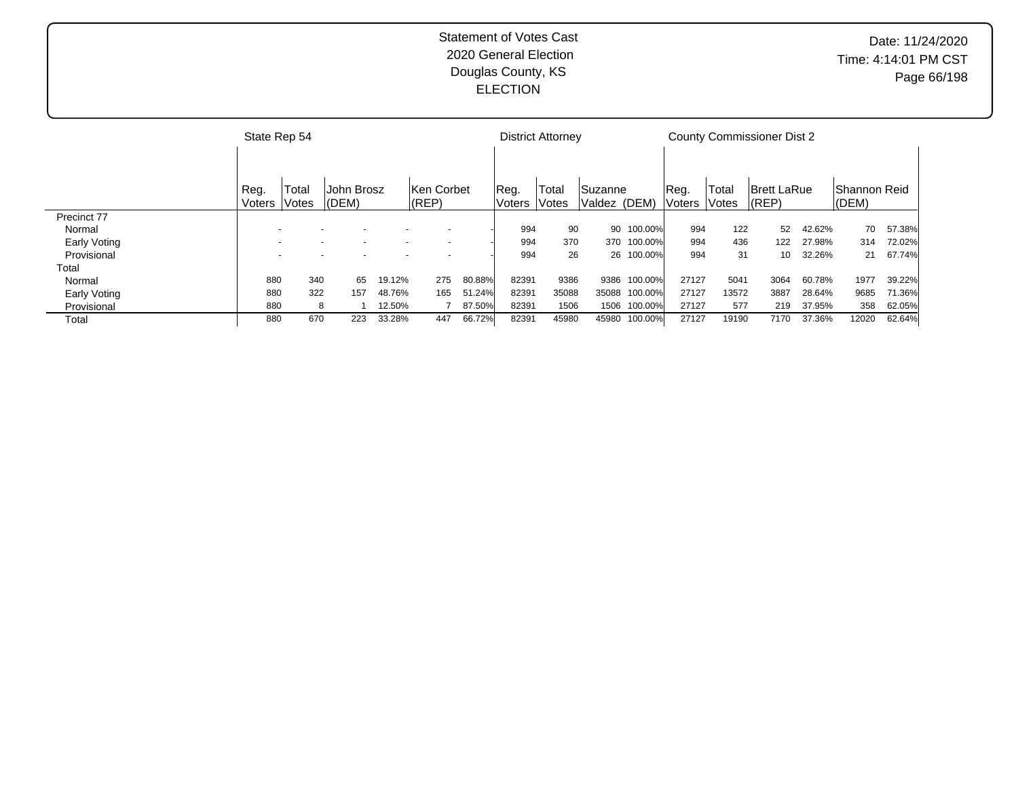|              | State Rep 54 |       |            |        |             |        |                | <b>District Attorney</b> |              |            |               |       | <b>County Commissioner Dist 2</b> |        |               |        |
|--------------|--------------|-------|------------|--------|-------------|--------|----------------|--------------------------|--------------|------------|---------------|-------|-----------------------------------|--------|---------------|--------|
|              |              |       |            |        |             |        |                |                          |              |            |               |       |                                   |        |               |        |
|              | Reg.         | Total | John Brosz |        | lKen Corbet |        | Reg.           | Total                    | Suzanne      |            | Reg.          | Total | <b>Brett LaRue</b>                |        | IShannon Reid |        |
|              | Voters       | Votes | (DEM)      |        | (REP)       |        | Voters   Votes |                          | Valdez (DEM) |            | <b>Noters</b> | Votes | $ $ (REP)                         |        | $ $ (DEM)     |        |
| Precinct 77  |              |       |            |        |             |        |                |                          |              |            |               |       |                                   |        |               |        |
| Normal       |              |       |            |        |             |        | 994            | 90                       |              | 90 100.00% | 994           | 122   | 52                                | 42.62% | 70            | 57.38% |
| Early Voting |              |       |            |        |             |        | 994            | 370                      | 370          | 100.00%    | 994           | 436   | 122                               | 27.98% | 314           | 72.02% |
| Provisional  |              |       |            |        |             |        | 994            | 26                       |              | 26 100.00% | 994           | 31    | 10                                | 32.26% | 21            | 67.74% |
| Total        |              |       |            |        |             |        |                |                          |              |            |               |       |                                   |        |               |        |
| Normal       | 880          | 340   | 65         | 19.12% | 275         | 80.88% | 82391          | 9386                     | 9386         | 100.00%    | 27127         | 5041  | 3064                              | 60.78% | 1977          | 39.22% |
| Early Voting | 880          | 322   | 157        | 48.76% | 165         | 51.24% | 82391          | 35088                    | 35088        | 100.00%    | 27127         | 13572 | 3887                              | 28.64% | 9685          | 71.36% |
| Provisional  | 880          | 8     |            | 12.50% |             | 87.50% | 82391          | 1506                     | 1506         | 100.00%    | 27127         | 577   | 219                               | 37.95% | 358           | 62.05% |
| Total        | 880          | 670   | 223        | 33.28% | 447         | 66.72% | 82391          | 45980                    | 45980        | 100.00%    | 27127         | 19190 | 7170                              | 37.36% | 12020         | 62.64% |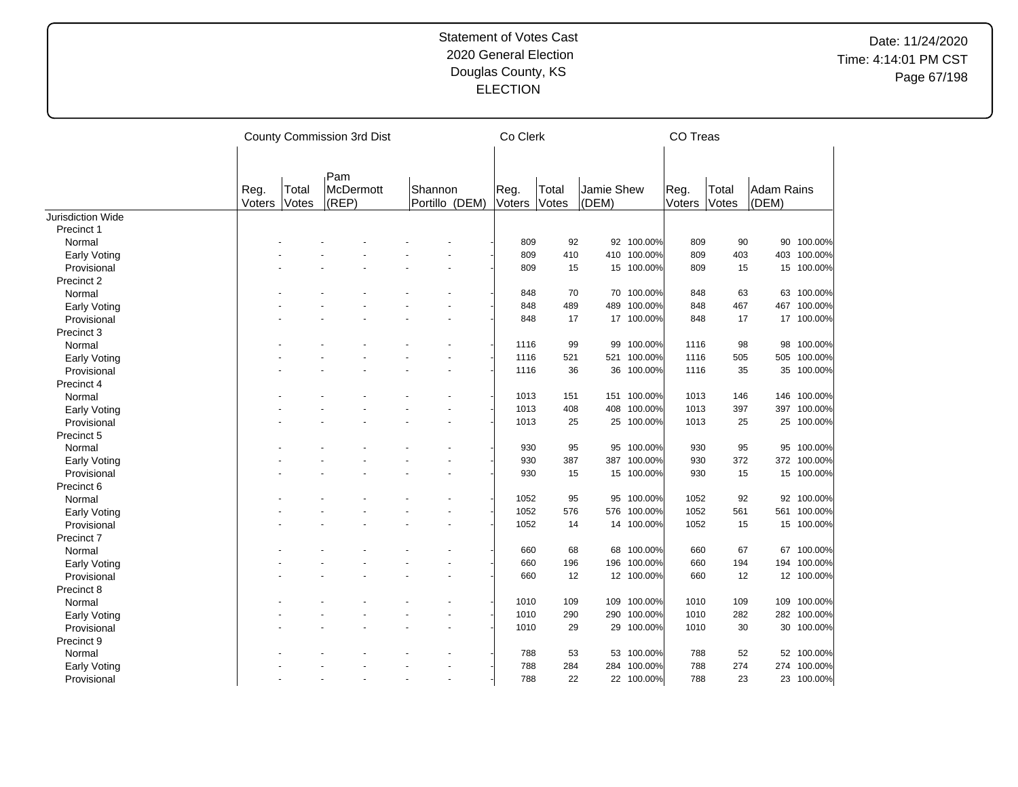|                     |                |                | County Commission 3rd Dist |                           | Co Clerk       |                |                     |             | CO Treas       |                |                            |             |
|---------------------|----------------|----------------|----------------------------|---------------------------|----------------|----------------|---------------------|-------------|----------------|----------------|----------------------------|-------------|
|                     | Reg.<br>Voters | Total<br>Votes | Pam<br>McDermott<br>(REP)  | Shannon<br>Portillo (DEM) | Reg.<br>Voters | Total<br>Votes | Jamie Shew<br>(DEM) |             | Reg.<br>Voters | Total<br>Votes | <b>Adam Rains</b><br>(DEM) |             |
| Jurisdiction Wide   |                |                |                            |                           |                |                |                     |             |                |                |                            |             |
| Precinct 1          |                |                |                            |                           |                |                |                     |             |                |                |                            |             |
| Normal              |                |                |                            |                           | 809            | 92             |                     | 92 100.00%  | 809            | 90             | 90                         | 100.00%     |
| Early Voting        |                |                |                            |                           | 809            | 410            |                     | 410 100.00% | 809            | 403            |                            | 403 100.00% |
| Provisional         |                |                |                            |                           | 809            | 15             |                     | 15 100.00%  | 809            | 15             |                            | 15 100.00%  |
| Precinct 2          |                |                |                            |                           |                |                |                     |             |                |                |                            |             |
| Normal              |                |                |                            |                           | 848            | 70             |                     | 70 100.00%  | 848            | 63             |                            | 63 100.00%  |
| Early Voting        |                |                |                            |                           | 848            | 489            | 489                 | 100.00%     | 848            | 467            |                            | 467 100.00% |
| Provisional         |                |                |                            |                           | 848            | 17             | 17                  | 100.00%     | 848            | 17             |                            | 17 100.00%  |
| Precinct 3          |                |                |                            |                           |                |                |                     |             |                |                |                            |             |
| Normal              |                |                |                            |                           | 1116           | 99             | 99                  | 100.00%     | 1116           | 98             |                            | 98 100.00%  |
| Early Voting        |                |                |                            |                           | 1116           | 521            | 521                 | 100.00%     | 1116           | 505            |                            | 505 100.00% |
| Provisional         |                |                |                            |                           | 1116           | 36             |                     | 36 100.00%  | 1116           | 35             |                            | 35 100.00%  |
| Precinct 4          |                |                |                            |                           |                |                |                     |             |                |                |                            |             |
| Normal              |                |                |                            |                           | 1013           | 151            | 151                 | 100.00%     | 1013           | 146            | 146                        | 100.00%     |
| <b>Early Voting</b> |                |                |                            |                           | 1013           | 408            | 408                 | 100.00%     | 1013           | 397            | 397                        | 100.00%     |
| Provisional         |                |                |                            |                           | 1013           | 25             |                     | 25 100.00%  | 1013           | 25             |                            | 25 100.00%  |
| Precinct 5          |                |                |                            |                           |                |                |                     |             |                |                |                            |             |
| Normal              |                |                |                            |                           | 930            | 95             | 95                  | 100.00%     | 930            | 95             | 95                         | 100.00%     |
| Early Voting        |                |                |                            |                           | 930            | 387            | 387                 | 100.00%     | 930            | 372            |                            | 372 100.00% |
| Provisional         |                |                |                            |                           | 930            | 15             |                     | 15 100.00%  | 930            | 15             |                            | 15 100.00%  |
| Precinct 6          |                |                |                            |                           |                |                |                     |             |                |                |                            |             |
| Normal              |                |                |                            |                           | 1052           | 95             | 95                  | 100.00%     | 1052           | 92             |                            | 92 100.00%  |
| <b>Early Voting</b> |                |                |                            |                           | 1052           | 576            | 576                 | 100.00%     | 1052           | 561            |                            | 561 100.00% |
| Provisional         |                |                |                            |                           | 1052           | 14             |                     | 14 100.00%  | 1052           | 15             |                            | 15 100.00%  |
| Precinct 7          |                |                |                            |                           |                |                |                     |             |                |                |                            |             |
| Normal              |                |                |                            |                           | 660            | 68             | 68                  | 100.00%     | 660            | 67             |                            | 67 100.00%  |
| <b>Early Voting</b> |                |                |                            |                           | 660            | 196            | 196                 | 100.00%     | 660            | 194            | 194                        | 100.00%     |
| Provisional         |                |                |                            |                           | 660            | 12             |                     | 12 100.00%  | 660            | 12             |                            | 12 100.00%  |
| Precinct 8          |                |                |                            |                           |                |                |                     |             |                |                |                            |             |
| Normal              |                |                |                            |                           | 1010           | 109            | 109                 | 100.00%     | 1010           | 109            | 109                        | 100.00%     |
| Early Voting        |                |                |                            |                           | 1010           | 290            | 290                 | 100.00%     | 1010           | 282            |                            | 282 100.00% |
| Provisional         |                |                |                            |                           | 1010           | 29             |                     | 29 100.00%  | 1010           | 30             |                            | 30 100.00%  |
| Precinct 9          |                |                |                            |                           |                |                |                     |             |                |                |                            |             |
| Normal              |                |                |                            |                           | 788            | 53             | 53                  | 100.00%     | 788            | 52             |                            | 52 100.00%  |
| <b>Early Voting</b> |                |                |                            |                           | 788            | 284            | 284                 | 100.00%     | 788            | 274            |                            | 274 100.00% |
| Provisional         |                |                |                            |                           | 788            | 22             |                     | 22 100.00%  | 788            | 23             |                            | 23 100.00%  |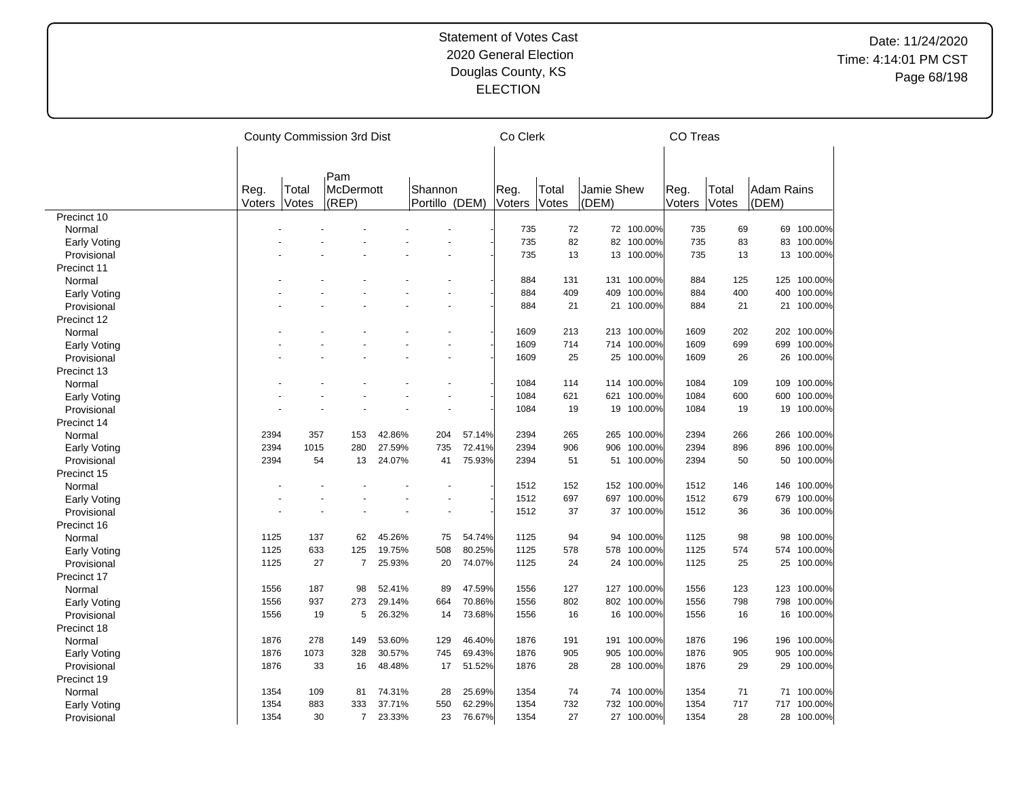|              |        |       | County Commission 3rd Dist |        |                |        | Co Clerk |       |            |             | CO Treas |       |                   |             |
|--------------|--------|-------|----------------------------|--------|----------------|--------|----------|-------|------------|-------------|----------|-------|-------------------|-------------|
|              |        |       |                            |        |                |        |          |       |            |             |          |       |                   |             |
|              |        |       | Pam                        |        |                |        |          |       |            |             |          |       |                   |             |
|              | Reg.   | Total | <b>McDermott</b>           |        | Shannon        |        | Reg.     | Total | Jamie Shew |             | Reg.     | Total | <b>Adam Rains</b> |             |
|              | Voters | Votes | (REF)                      |        | Portillo (DEM) |        | Voters   | Votes | (DEM)      |             | Voters   | Votes | (DEM)             |             |
| Precinct 10  |        |       |                            |        |                |        |          |       |            |             |          |       |                   |             |
| Normal       |        |       |                            |        |                |        | 735      | 72    |            | 72 100.00%  | 735      | 69    |                   | 69 100.00%  |
| Early Voting |        |       |                            |        |                |        | 735      | 82    | 82         | 100.00%     | 735      | 83    | 83                | 100.00%     |
| Provisional  |        |       |                            |        |                |        | 735      | 13    |            | 13 100.00%  | 735      | 13    |                   | 13 100.00%  |
| Precinct 11  |        |       |                            |        |                |        |          |       |            |             |          |       |                   |             |
| Normal       |        |       |                            |        |                |        | 884      | 131   | 131        | 100.00%     | 884      | 125   |                   | 125 100.00% |
| Early Voting |        |       |                            |        |                |        | 884      | 409   | 409        | 100.00%     | 884      | 400   | 400               | 100.00%     |
| Provisional  |        |       |                            |        |                |        | 884      | 21    | 21         | 100.00%     | 884      | 21    |                   | 21 100.00%  |
| Precinct 12  |        |       |                            |        |                |        |          |       |            |             |          |       |                   |             |
| Normal       |        |       |                            |        |                |        | 1609     | 213   | 213        | 100.00%     | 1609     | 202   |                   | 202 100.00% |
| Early Voting |        |       |                            |        |                |        | 1609     | 714   | 714        | 100.00%     | 1609     | 699   | 699               | 100.00%     |
| Provisional  |        |       |                            |        |                |        | 1609     | 25    |            | 25 100.00%  | 1609     | 26    |                   | 26 100.00%  |
| Precinct 13  |        |       |                            |        |                |        |          |       |            |             |          |       |                   |             |
| Normal       |        |       |                            |        |                |        | 1084     | 114   |            | 114 100.00% | 1084     | 109   |                   | 109 100.00% |
| Early Voting |        |       |                            |        |                |        | 1084     | 621   | 621        | 100.00%     | 1084     | 600   | 600               | 100.00%     |
| Provisional  |        |       |                            |        |                |        | 1084     | 19    | 19         | 100.00%     | 1084     | 19    |                   | 19 100.00%  |
| Precinct 14  |        |       |                            |        |                |        |          |       |            |             |          |       |                   |             |
| Normal       | 2394   | 357   | 153                        | 42.86% | 204            | 57.14% | 2394     | 265   | 265        | 100.00%     | 2394     | 266   |                   | 266 100.00% |
|              | 2394   | 1015  | 280                        | 27.59% | 735            | 72.41% | 2394     | 906   | 906        | 100.00%     | 2394     | 896   |                   | 896 100.00% |
| Early Voting | 2394   | 54    | 13                         | 24.07% | 41             | 75.93% | 2394     | 51    | 51         | 100.00%     | 2394     | 50    | 50                |             |
| Provisional  |        |       |                            |        |                |        |          |       |            |             |          |       |                   | 100.00%     |
| Precinct 15  |        |       |                            |        |                |        |          |       |            |             |          |       |                   |             |
| Normal       |        |       |                            |        |                |        | 1512     | 152   |            | 152 100.00% | 1512     | 146   | 146               | 100.00%     |
| Early Voting |        |       |                            |        |                |        | 1512     | 697   | 697        | 100.00%     | 1512     | 679   | 679               | 100.00%     |
| Provisional  |        |       |                            |        |                |        | 1512     | 37    |            | 37 100.00%  | 1512     | 36    |                   | 36 100.00%  |
| Precinct 16  |        |       |                            |        |                |        |          |       |            |             |          |       |                   |             |
| Normal       | 1125   | 137   | 62                         | 45.26% | 75             | 54.74% | 1125     | 94    | 94         | 100.00%     | 1125     | 98    | 98                | 100.00%     |
| Early Voting | 1125   | 633   | 125                        | 19.75% | 508            | 80.25% | 1125     | 578   | 578        | 100.00%     | 1125     | 574   |                   | 574 100.00% |
| Provisional  | 1125   | 27    | $\overline{7}$             | 25.93% | 20             | 74.07% | 1125     | 24    |            | 24 100.00%  | 1125     | 25    |                   | 25 100.00%  |
| Precinct 17  |        |       |                            |        |                |        |          |       |            |             |          |       |                   |             |
| Normal       | 1556   | 187   | 98                         | 52.41% | 89             | 47.59% | 1556     | 127   | 127        | 100.00%     | 1556     | 123   | 123               | 100.00%     |
| Early Voting | 1556   | 937   | 273                        | 29.14% | 664            | 70.86% | 1556     | 802   |            | 802 100.00% | 1556     | 798   | 798               | 100.00%     |
| Provisional  | 1556   | 19    | 5                          | 26.32% | 14             | 73.68% | 1556     | 16    |            | 16 100.00%  | 1556     | 16    |                   | 16 100.00%  |
| Precinct 18  |        |       |                            |        |                |        |          |       |            |             |          |       |                   |             |
| Normal       | 1876   | 278   | 149                        | 53.60% | 129            | 46.40% | 1876     | 191   | 191        | 100.00%     | 1876     | 196   |                   | 196 100.00% |
| Early Voting | 1876   | 1073  | 328                        | 30.57% | 745            | 69.43% | 1876     | 905   | 905        | 100.00%     | 1876     | 905   | 905               | 100.00%     |
| Provisional  | 1876   | 33    | 16                         | 48.48% | 17             | 51.52% | 1876     | 28    | 28         | 100.00%     | 1876     | 29    |                   | 29 100.00%  |
| Precinct 19  |        |       |                            |        |                |        |          |       |            |             |          |       |                   |             |
| Normal       | 1354   | 109   | 81                         | 74.31% | 28             | 25.69% | 1354     | 74    |            | 74 100.00%  | 1354     | 71    | 71                | 100.00%     |
| Early Voting | 1354   | 883   | 333                        | 37.71% | 550            | 62.29% | 1354     | 732   | 732        | 100.00%     | 1354     | 717   |                   | 717 100.00% |
| Provisional  | 1354   | 30    | $\overline{7}$             | 23.33% | 23             | 76.67% | 1354     | 27    |            | 27 100.00%  | 1354     | 28    |                   | 28 100.00%  |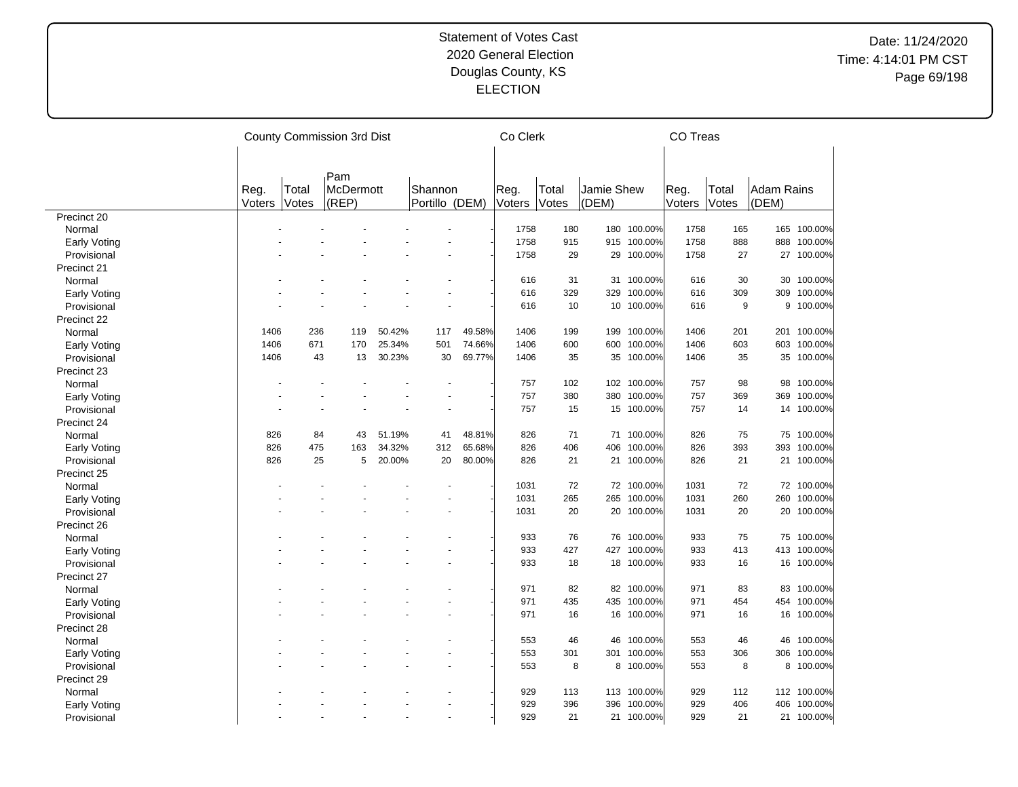|                     |                       |                | County Commission 3rd Dist       |        |                           |        | Co Clerk       |                |                     |             | CO Treas       |                |                     |             |
|---------------------|-----------------------|----------------|----------------------------------|--------|---------------------------|--------|----------------|----------------|---------------------|-------------|----------------|----------------|---------------------|-------------|
|                     |                       |                |                                  |        |                           |        |                |                |                     |             |                |                |                     |             |
|                     | Reg.<br><b>Voters</b> | Total<br>Votes | Pam<br><b>McDermott</b><br>(REP) |        | Shannon<br>Portillo (DEM) |        | Reg.<br>Voters | Total<br>Votes | Jamie Shew<br>(DEM) |             | Reg.<br>Voters | Total<br>Votes | Adam Rains<br>(DEM) |             |
| Precinct 20         |                       |                |                                  |        |                           |        |                |                |                     |             |                |                |                     |             |
| Normal              |                       |                |                                  |        |                           |        | 1758           | 180            |                     | 180 100.00% | 1758           | 165            |                     | 165 100.00% |
| Early Voting        |                       |                |                                  |        |                           |        | 1758           | 915            | 915                 | 100.00%     | 1758           | 888            | 888                 | 100.00%     |
| Provisional         |                       |                |                                  |        |                           |        | 1758           | 29             |                     | 29 100.00%  | 1758           | 27             |                     | 27 100.00%  |
| Precinct 21         |                       |                |                                  |        |                           |        |                |                |                     |             |                |                |                     |             |
| Normal              |                       |                |                                  |        |                           |        | 616            | 31             | 31                  | 100.00%     | 616            | 30             |                     | 30 100.00%  |
| <b>Early Voting</b> |                       |                |                                  |        |                           |        | 616            | 329            | 329                 | 100.00%     | 616            | 309            | 309                 | 100.00%     |
| Provisional         |                       |                |                                  |        |                           |        | 616            | 10             |                     | 10 100.00%  | 616            | 9              |                     | 9 100.00%   |
| Precinct 22         |                       |                |                                  |        |                           |        |                |                |                     |             |                |                |                     |             |
| Normal              | 1406                  | 236            | 119                              | 50.42% | 117                       | 49.58% | 1406           | 199            | 199                 | 100.00%     | 1406           | 201            |                     | 201 100.00% |
| Early Voting        | 1406                  | 671            | 170                              | 25.34% | 501                       | 74.66% | 1406           | 600            | 600                 | 100.00%     | 1406           | 603            | 603                 | 100.00%     |
| Provisional         | 1406                  | 43             | 13                               | 30.23% | 30                        | 69.77% | 1406           | 35             |                     | 35 100.00%  | 1406           | 35             |                     | 35 100.00%  |
| Precinct 23         |                       |                |                                  |        |                           |        |                |                |                     |             |                |                |                     |             |
| Normal              |                       |                |                                  |        |                           |        | 757            | 102            |                     | 102 100.00% | 757            | 98             |                     | 98 100.00%  |
| Early Voting        |                       |                |                                  |        |                           |        | 757            | 380            | 380                 | 100.00%     | 757            | 369            | 369                 | 100.00%     |
| Provisional         |                       |                |                                  |        |                           |        | 757            | 15             |                     | 15 100.00%  | 757            | 14             |                     | 14 100.00%  |
| Precinct 24         |                       |                |                                  |        |                           |        |                |                |                     |             |                |                |                     |             |
|                     | 826                   | 84             | 43                               | 51.19% | 41                        | 48.81% | 826            | 71             | 71                  | 100.00%     | 826            | 75             |                     | 75 100.00%  |
| Normal              | 826                   | 475            |                                  | 34.32% | 312                       | 65.68% | 826            | 406            | 406                 | 100.00%     |                | 393            |                     | 393 100.00% |
| Early Voting        | 826                   | 25             | 163<br>5                         |        | 20                        |        | 826            |                | 21                  |             | 826            |                |                     |             |
| Provisional         |                       |                |                                  | 20.00% |                           | 80.00% |                | 21             |                     | 100.00%     | 826            | 21             | 21                  | 100.00%     |
| Precinct 25         |                       |                |                                  |        |                           |        |                |                |                     |             |                |                |                     |             |
| Normal              |                       |                |                                  |        |                           |        | 1031           | 72             |                     | 72 100.00%  | 1031           | 72             |                     | 72 100.00%  |
| Early Voting        |                       |                |                                  |        |                           |        | 1031           | 265            | 265                 | 100.00%     | 1031           | 260            | 260                 | 100.00%     |
| Provisional         |                       |                |                                  |        |                           |        | 1031           | 20             |                     | 20 100.00%  | 1031           | 20             |                     | 20 100.00%  |
| Precinct 26         |                       |                |                                  |        |                           |        |                |                |                     |             |                |                |                     |             |
| Normal              |                       |                |                                  |        |                           |        | 933            | 76             | 76                  | 100.00%     | 933            | 75             |                     | 75 100.00%  |
| Early Voting        |                       |                |                                  |        |                           |        | 933            | 427            | 427                 | 100.00%     | 933            | 413            |                     | 413 100.00% |
| Provisional         |                       |                |                                  |        |                           |        | 933            | 18             |                     | 18 100.00%  | 933            | 16             |                     | 16 100.00%  |
| Precinct 27         |                       |                |                                  |        |                           |        |                |                |                     |             |                |                |                     |             |
| Normal              |                       |                |                                  |        |                           |        | 971            | 82             | 82                  | 100.00%     | 971            | 83             | 83                  | 100.00%     |
| Early Voting        |                       |                |                                  |        |                           |        | 971            | 435            | 435                 | 100.00%     | 971            | 454            | 454                 | 100.00%     |
| Provisional         |                       |                |                                  |        |                           |        | 971            | 16             |                     | 16 100.00%  | 971            | 16             |                     | 16 100.00%  |
| Precinct 28         |                       |                |                                  |        |                           |        |                |                |                     |             |                |                |                     |             |
| Normal              |                       |                |                                  |        |                           |        | 553            | 46             | 46                  | 100.00%     | 553            | 46             | 46                  | 100.00%     |
| Early Voting        |                       |                |                                  |        |                           |        | 553            | 301            | 301                 | 100.00%     | 553            | 306            | 306                 | 100.00%     |
| Provisional         |                       |                |                                  |        |                           |        | 553            | 8              | 8                   | 100.00%     | 553            | 8              |                     | 8 100.00%   |
| Precinct 29         |                       |                |                                  |        |                           |        |                |                |                     |             |                |                |                     |             |
| Normal              |                       |                |                                  |        |                           |        | 929            | 113            |                     | 113 100.00% | 929            | 112            |                     | 112 100.00% |
| Early Voting        |                       |                |                                  |        |                           |        | 929            | 396            | 396                 | 100.00%     | 929            | 406            | 406                 | 100.00%     |
| Provisional         |                       |                |                                  |        |                           |        | 929            | 21             | 21                  | 100.00%     | 929            | 21             | 21                  | 100.00%     |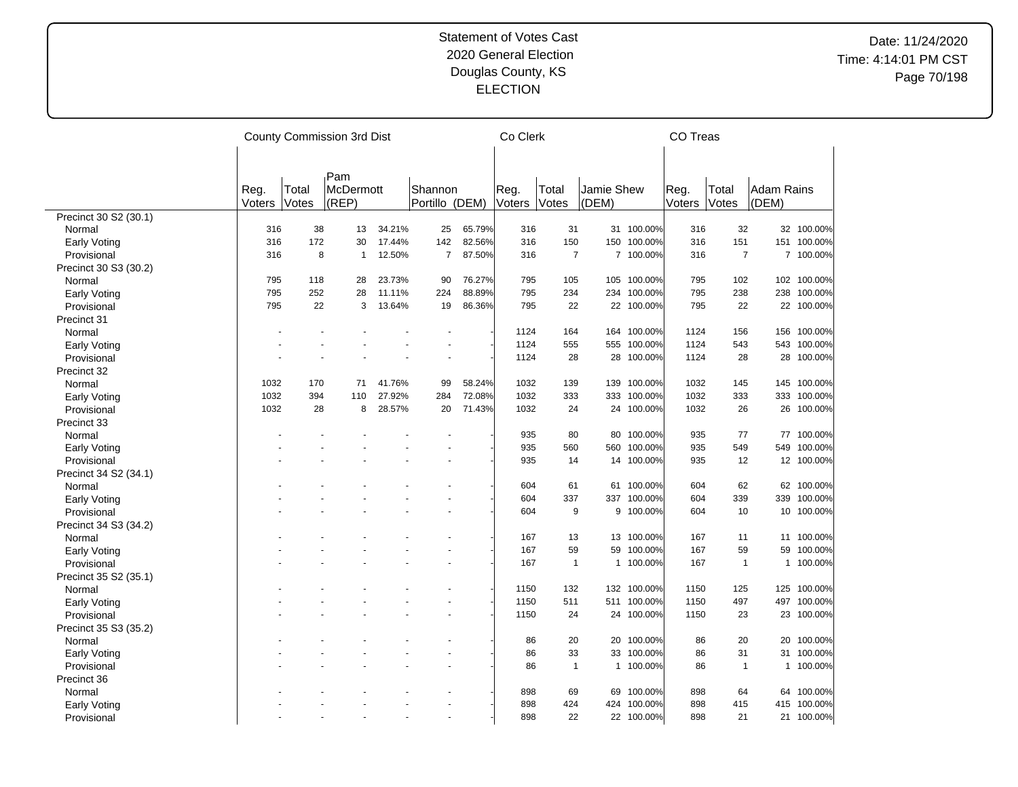|                       |        |       | County Commission 3rd Dist |        |                          |        | Co Clerk |                |              |             | CO Treas |                |              |             |
|-----------------------|--------|-------|----------------------------|--------|--------------------------|--------|----------|----------------|--------------|-------------|----------|----------------|--------------|-------------|
|                       |        |       |                            |        |                          |        |          |                |              |             |          |                |              |             |
|                       |        |       | Pam                        |        |                          |        |          |                |              |             |          |                |              |             |
|                       | Reg.   | Total | McDermott                  |        | Shannon                  |        | Reg.     | Total          | Jamie Shew   |             | Reg.     | Total          | Adam Rains   |             |
|                       | Voters | Votes | (REP)                      |        | Portillo (DEM)           |        | Voters   | Votes          | (DEM)        |             | Voters   | Votes          | (DEM)        |             |
| Precinct 30 S2 (30.1) |        |       |                            |        |                          |        |          |                |              |             |          |                |              |             |
| Normal                | 316    | 38    | 13                         | 34.21% | 25                       | 65.79% | 316      | 31             |              | 31 100.00%  | 316      | 32             |              | 32 100.00%  |
| Early Voting          | 316    | 172   | 30                         | 17.44% | 142                      | 82.56% | 316      | 150            | 150          | 100.00%     | 316      | 151            |              | 151 100.00% |
| Provisional           | 316    | 8     | 1                          | 12.50% | $\overline{7}$           | 87.50% | 316      | $\overline{7}$ |              | 7 100.00%   | 316      | $\overline{7}$ |              | 7 100.00%   |
| Precinct 30 S3 (30.2) |        |       |                            |        |                          |        |          |                |              |             |          |                |              |             |
| Normal                | 795    | 118   | 28                         | 23.73% | 90                       | 76.27% | 795      | 105            |              | 105 100.00% | 795      | 102            |              | 102 100.00% |
| Early Voting          | 795    | 252   | 28                         | 11.11% | 224                      | 88.89% | 795      | 234            |              | 234 100.00% | 795      | 238            |              | 238 100.00% |
| Provisional           | 795    | 22    | 3                          | 13.64% | 19                       | 86.36% | 795      | 22             |              | 22 100.00%  | 795      | 22             |              | 22 100.00%  |
| Precinct 31           |        |       |                            |        |                          |        |          |                |              |             |          |                |              |             |
| Normal                |        |       |                            |        |                          |        | 1124     | 164            | 164          | 100.00%     | 1124     | 156            | 156          | 100.00%     |
| Early Voting          |        |       |                            |        |                          |        | 1124     | 555            | 555          | 100.00%     | 1124     | 543            |              | 543 100.00% |
| Provisional           |        |       |                            |        |                          |        | 1124     | 28             |              | 28 100.00%  | 1124     | 28             |              | 28 100.00%  |
| Precinct 32           |        |       |                            |        |                          |        |          |                |              |             |          |                |              |             |
|                       |        | 170   |                            |        | 99                       |        |          | 139            | 139          | 100.00%     |          |                |              | 145 100.00% |
| Normal                | 1032   |       | 71                         | 41.76% |                          | 58.24% | 1032     |                |              |             | 1032     | 145            |              |             |
| <b>Early Voting</b>   | 1032   | 394   | 110                        | 27.92% | 284                      | 72.08% | 1032     | 333            | 333          | 100.00%     | 1032     | 333            |              | 333 100.00% |
| Provisional           | 1032   | 28    | 8                          | 28.57% | 20                       | 71.43% | 1032     | 24             |              | 24 100.00%  | 1032     | 26             |              | 26 100.00%  |
| Precinct 33           |        |       |                            |        |                          |        |          |                |              |             |          |                |              |             |
| Normal                |        |       |                            |        |                          |        | 935      | 80             | 80           | 100.00%     | 935      | 77             |              | 77 100.00%  |
| Early Voting          |        |       |                            |        |                          |        | 935      | 560            | 560          | 100.00%     | 935      | 549            |              | 549 100.00% |
| Provisional           |        |       |                            |        |                          |        | 935      | 14             | 14           | 100.00%     | 935      | 12             |              | 12 100.00%  |
| Precinct 34 S2 (34.1) |        |       |                            |        |                          |        |          |                |              |             |          |                |              |             |
| Normal                |        |       |                            |        |                          |        | 604      | 61             | 61           | 100.00%     | 604      | 62             |              | 62 100.00%  |
| Early Voting          |        |       |                            |        |                          |        | 604      | 337            | 337          | 100.00%     | 604      | 339            | 339          | 100.00%     |
| Provisional           |        |       |                            |        |                          |        | 604      | 9              |              | 9 100.00%   | 604      | 10             |              | 10 100.00%  |
| Precinct 34 S3 (34.2) |        |       |                            |        |                          |        |          |                |              |             |          |                |              |             |
| Normal                |        |       |                            |        |                          |        | 167      | 13             |              | 13 100.00%  | 167      | 11             |              | 11 100.00%  |
| <b>Early Voting</b>   |        |       |                            |        |                          |        | 167      | 59             | 59           | 100.00%     | 167      | 59             | 59           | 100.00%     |
| Provisional           |        |       |                            |        |                          |        | 167      | $\mathbf{1}$   | 1            | 100.00%     | 167      | $\overline{1}$ | $\mathbf{1}$ | 100.00%     |
| Precinct 35 S2 (35.1) |        |       |                            |        |                          |        |          |                |              |             |          |                |              |             |
| Normal                |        |       |                            |        |                          |        | 1150     | 132            |              | 132 100.00% | 1150     | 125            |              | 125 100.00% |
| Early Voting          |        |       |                            |        |                          |        | 1150     | 511            | 511          | 100.00%     | 1150     | 497            |              | 497 100.00% |
| Provisional           |        |       |                            |        |                          |        | 1150     | 24             |              | 24 100.00%  | 1150     | 23             |              | 23 100.00%  |
| Precinct 35 S3 (35.2) |        |       |                            |        |                          |        |          |                |              |             |          |                |              |             |
| Normal                |        |       |                            |        |                          |        | 86       | 20             |              | 20 100.00%  | 86       | 20             |              | 20 100.00%  |
|                       |        |       |                            |        |                          |        | 86       | 33             | 33           | 100.00%     | 86       | 31             | 31           | 100.00%     |
| Early Voting          |        |       |                            |        |                          |        | 86       | $\mathbf{1}$   | $\mathbf{1}$ | 100.00%     | 86       | $\overline{1}$ |              | 1 100.00%   |
| Provisional           |        |       |                            |        |                          |        |          |                |              |             |          |                |              |             |
| Precinct 36           |        |       |                            |        |                          |        |          |                |              |             |          |                |              |             |
| Normal                |        |       |                            |        |                          |        | 898      | 69             | 69           | 100.00%     | 898      | 64             | 64           | 100.00%     |
| <b>Early Voting</b>   |        |       |                            |        |                          |        | 898      | 424            |              | 424 100.00% | 898      | 415            |              | 415 100.00% |
| Provisional           |        |       |                            |        | $\overline{\phantom{a}}$ |        | 898      | 22             |              | 22 100.00%  | 898      | 21             |              | 21 100.00%  |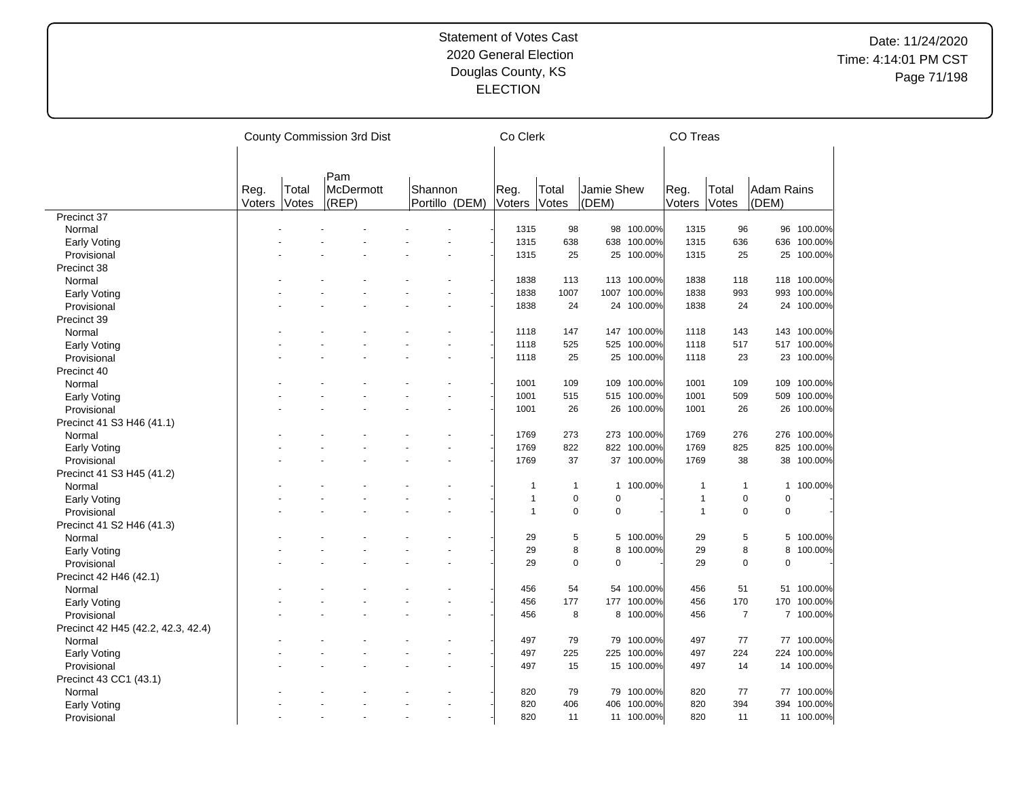|                                    |                       |                | County Commission 3rd Dist       |  | Co Clerk                  |                |                |                     | CO Treas     |                |                |                            |             |
|------------------------------------|-----------------------|----------------|----------------------------------|--|---------------------------|----------------|----------------|---------------------|--------------|----------------|----------------|----------------------------|-------------|
|                                    |                       |                |                                  |  |                           |                |                |                     |              |                |                |                            |             |
|                                    | Reg.<br><b>Voters</b> | Total<br>Votes | Pam<br><b>McDermott</b><br>(REP) |  | Shannon<br>Portillo (DEM) | Reg.<br>Voters | Total<br>Votes | Jamie Shew<br>(DEM) |              | Reg.<br>Voters | Total<br>Votes | <b>Adam Rains</b><br>(DEM) |             |
| Precinct 37                        |                       |                |                                  |  |                           |                |                |                     |              |                |                |                            |             |
| Normal                             |                       |                |                                  |  |                           | 1315           | 98             |                     | 98 100.00%   | 1315           | 96             |                            | 96 100.00%  |
| Early Voting                       |                       |                |                                  |  |                           | 1315           | 638            | 638                 | 100.00%      | 1315           | 636            | 636                        | 100.00%     |
| Provisional                        |                       |                |                                  |  |                           | 1315           | 25             |                     | 25 100.00%   | 1315           | 25             |                            | 25 100.00%  |
| Precinct 38                        |                       |                |                                  |  |                           |                |                |                     |              |                |                |                            |             |
| Normal                             |                       |                |                                  |  |                           | 1838           | 113            |                     | 113 100.00%  | 1838           | 118            |                            | 118 100.00% |
| <b>Early Voting</b>                |                       |                |                                  |  |                           | 1838           | 1007           |                     | 1007 100.00% | 1838           | 993            | 993                        | 100.00%     |
| Provisional                        |                       |                |                                  |  |                           | 1838           | 24             |                     | 24 100.00%   | 1838           | 24             |                            | 24 100.00%  |
| Precinct 39                        |                       |                |                                  |  |                           |                |                |                     |              |                |                |                            |             |
| Normal                             |                       |                |                                  |  |                           | 1118           | 147            |                     | 147 100.00%  | 1118           | 143            |                            | 143 100.00% |
| Early Voting                       |                       |                |                                  |  |                           | 1118           | 525            |                     | 525 100.00%  | 1118           | 517            |                            | 517 100.00% |
| Provisional                        |                       |                |                                  |  |                           | 1118           | 25             |                     | 25 100.00%   | 1118           | 23             |                            | 23 100.00%  |
| Precinct 40                        |                       |                |                                  |  |                           |                |                |                     |              |                |                |                            |             |
| Normal                             |                       |                |                                  |  |                           | 1001           | 109            |                     | 109 100.00%  | 1001           | 109            |                            | 109 100.00% |
| <b>Early Voting</b>                |                       |                |                                  |  |                           | 1001           | 515            |                     | 515 100.00%  | 1001           | 509            | 509                        | 100.00%     |
|                                    |                       |                |                                  |  |                           | 1001           | 26             |                     | 26 100.00%   | 1001           | 26             |                            | 26 100.00%  |
| Provisional                        |                       |                |                                  |  |                           |                |                |                     |              |                |                |                            |             |
| Precinct 41 S3 H46 (41.1)          |                       |                |                                  |  |                           | 1769           | 273            |                     | 273 100.00%  | 1769           | 276            |                            | 276 100.00% |
| Normal                             |                       |                |                                  |  |                           |                |                |                     |              |                |                |                            |             |
| Early Voting                       |                       |                |                                  |  |                           | 1769           | 822            |                     | 822 100.00%  | 1769           | 825            |                            | 825 100.00% |
| Provisional                        |                       |                |                                  |  |                           | 1769           | 37             |                     | 37 100.00%   | 1769           | 38             | 38                         | 100.00%     |
| Precinct 41 S3 H45 (41.2)          |                       |                |                                  |  |                           |                |                |                     |              |                |                |                            |             |
| Normal                             |                       |                |                                  |  |                           | $\mathbf 1$    | $\overline{1}$ |                     | 1 100.00%    | 1              | 1              |                            | 1 100.00%   |
| <b>Early Voting</b>                |                       |                |                                  |  |                           | $\overline{1}$ | $\mathbf 0$    | $\mathbf 0$         |              | 1              | $\mathbf 0$    | $\mathbf 0$                |             |
| Provisional                        |                       |                |                                  |  |                           | $\mathbf{1}$   | $\pmb{0}$      | $\pmb{0}$           |              | 1              | $\pmb{0}$      | $\mathbf 0$                |             |
| Precinct 41 S2 H46 (41.3)          |                       |                |                                  |  |                           |                |                |                     |              |                |                |                            |             |
| Normal                             |                       |                |                                  |  |                           | 29             | 5              |                     | 5 100.00%    | 29             | 5              |                            | 5 100.00%   |
| Early Voting                       |                       |                |                                  |  |                           | 29             | 8              | 8                   | 100.00%      | 29             | 8              | 8                          | 100.00%     |
| Provisional                        |                       |                |                                  |  |                           | 29             | $\mathbf 0$    | $\mathbf 0$         |              | 29             | $\mathbf 0$    | $\mathbf 0$                |             |
| Precinct 42 H46 (42.1)             |                       |                |                                  |  |                           |                |                |                     |              |                |                |                            |             |
| Normal                             |                       |                |                                  |  |                           | 456            | 54             |                     | 54 100.00%   | 456            | 51             |                            | 51 100.00%  |
| <b>Early Voting</b>                |                       |                |                                  |  |                           | 456            | 177            |                     | 177 100.00%  | 456            | 170            | 170                        | 100.00%     |
| Provisional                        |                       |                |                                  |  |                           | 456            | 8              |                     | 8 100.00%    | 456            | $\overline{7}$ |                            | 7 100.00%   |
| Precinct 42 H45 (42.2, 42.3, 42.4) |                       |                |                                  |  |                           |                |                |                     |              |                |                |                            |             |
| Normal                             |                       |                |                                  |  |                           | 497            | 79             |                     | 79 100.00%   | 497            | 77             |                            | 77 100.00%  |
| Early Voting                       |                       |                |                                  |  |                           | 497            | 225            | 225                 | 100.00%      | 497            | 224            | 224                        | 100.00%     |
| Provisional                        |                       |                |                                  |  |                           | 497            | 15             |                     | 15 100.00%   | 497            | 14             |                            | 14 100.00%  |
| Precinct 43 CC1 (43.1)             |                       |                |                                  |  |                           |                |                |                     |              |                |                |                            |             |
| Normal                             |                       |                |                                  |  |                           | 820            | 79             | 79                  | 100.00%      | 820            | 77             |                            | 77 100.00%  |
| <b>Early Voting</b>                |                       |                |                                  |  |                           | 820            | 406            | 406                 | 100.00%      | 820            | 394            |                            | 394 100.00% |
| Provisional                        |                       |                |                                  |  | $\sim$                    | 820            | 11             |                     | 11 100.00%   | 820            | 11             |                            | 11 100.00%  |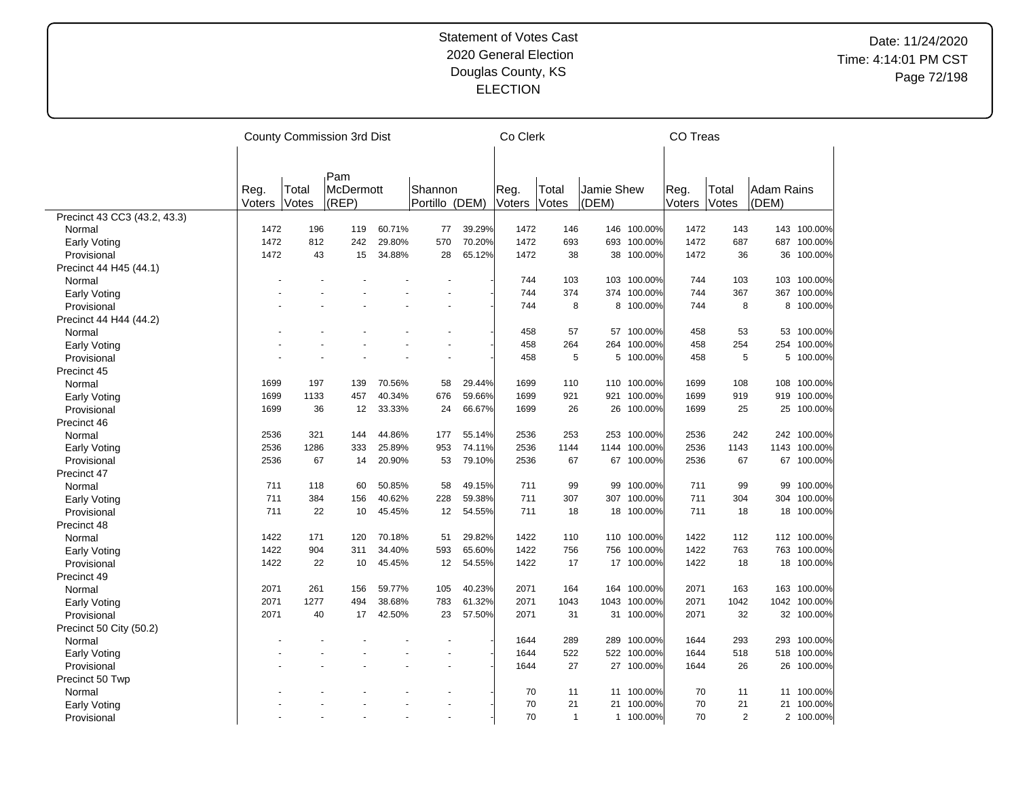|                              |        |       | County Commission 3rd Dist |        |                |        | Co Clerk |              |            |             | <b>CO Treas</b> |                |                   |              |
|------------------------------|--------|-------|----------------------------|--------|----------------|--------|----------|--------------|------------|-------------|-----------------|----------------|-------------------|--------------|
|                              |        |       |                            |        |                |        |          |              |            |             |                 |                |                   |              |
|                              |        |       |                            |        |                |        |          |              |            |             |                 |                |                   |              |
|                              | Reg.   | Total | Pam<br><b>McDermott</b>    |        | Shannon        |        | Reg.     | Total        | Jamie Shew |             | Reg.            | Total          | <b>Adam Rains</b> |              |
|                              | Voters | Votes | (REF)                      |        | Portillo (DEM) |        | Voters   | Votes        | (DEM)      |             | Voters          | Votes          | (DEM)             |              |
| Precinct 43 CC3 (43.2, 43.3) |        |       |                            |        |                |        |          |              |            |             |                 |                |                   |              |
| Normal                       | 1472   | 196   | 119                        | 60.71% | 77             | 39.29% | 1472     | 146          |            | 146 100.00% | 1472            | 143            |                   | 143 100.00%  |
| Early Voting                 | 1472   | 812   | 242                        | 29.80% | 570            | 70.20% | 1472     | 693          | 693        | 100.00%     | 1472            | 687            | 687               | 100.00%      |
| Provisional                  | 1472   | 43    | 15                         | 34.88% | 28             | 65.12% | 1472     | 38           | 38         | 100.00%     | 1472            | 36             | 36                | 100.00%      |
| Precinct 44 H45 (44.1)       |        |       |                            |        |                |        |          |              |            |             |                 |                |                   |              |
| Normal                       |        |       |                            |        |                |        | 744      | 103          |            | 103 100.00% | 744             | 103            |                   | 103 100.00%  |
| Early Voting                 |        |       |                            |        |                |        | 744      | 374          | 374        | 100.00%     | 744             | 367            | 367               | 100.00%      |
| Provisional                  |        |       |                            |        |                |        | 744      | 8            |            | 8 100.00%   | 744             | 8              |                   | 8 100.00%    |
| Precinct 44 H44 (44.2)       |        |       |                            |        |                |        |          |              |            |             |                 |                |                   |              |
| Normal                       |        |       |                            |        |                |        | 458      | 57           | 57         | 100.00%     | 458             | 53             | 53                | 100.00%      |
| <b>Early Voting</b>          |        |       |                            |        |                |        | 458      | 264          | 264        | 100.00%     | 458             | 254            | 254               | 100.00%      |
| Provisional                  |        |       |                            |        |                |        | 458      | 5            | 5          | 100.00%     | 458             | 5              | 5                 | 100.00%      |
| Precinct 45                  |        |       |                            |        |                |        |          |              |            |             |                 |                |                   |              |
| Normal                       | 1699   | 197   | 139                        | 70.56% | 58             | 29.44% | 1699     | 110          |            | 110 100.00% | 1699            | 108            | 108               | 100.00%      |
| <b>Early Voting</b>          | 1699   | 1133  | 457                        | 40.34% | 676            | 59.66% | 1699     | 921          | 921        | 100.00%     | 1699            | 919            |                   | 919 100.00%  |
| Provisional                  | 1699   | 36    | 12                         | 33.33% | 24             | 66.67% | 1699     | 26           |            | 26 100.00%  | 1699            | 25             |                   | 25 100.00%   |
| Precinct 46                  |        |       |                            |        |                |        |          |              |            |             |                 |                |                   |              |
| Normal                       | 2536   | 321   | 144                        | 44.86% | 177            | 55.14% | 2536     | 253          |            | 253 100.00% | 2536            | 242            |                   | 242 100.00%  |
| Early Voting                 | 2536   | 1286  | 333                        | 25.89% | 953            | 74.11% | 2536     | 1144         | 1144       | 100.00%     | 2536            | 1143           |                   | 1143 100.00% |
| Provisional                  | 2536   | 67    | 14                         | 20.90% | 53             | 79.10% | 2536     | 67           | 67         | 100.00%     | 2536            | 67             | 67                | 100.00%      |
| Precinct 47                  |        |       |                            |        |                |        |          |              |            |             |                 |                |                   |              |
| Normal                       | 711    | 118   | 60                         | 50.85% | 58             | 49.15% | 711      | 99           | 99         | 100.00%     | 711             | 99             | 99                | 100.00%      |
| Early Voting                 | 711    | 384   | 156                        | 40.62% | 228            | 59.38% | 711      | 307          | 307        | 100.00%     | 711             | 304            | 304               | 100.00%      |
| Provisional                  | 711    | 22    | 10                         | 45.45% | 12             | 54.55% | 711      | 18           |            | 18 100.00%  | 711             | 18             |                   | 18 100.00%   |
| Precinct 48                  |        |       |                            |        |                |        |          |              |            |             |                 |                |                   |              |
| Normal                       | 1422   | 171   | 120                        | 70.18% | 51             | 29.82% | 1422     | 110          |            | 110 100.00% | 1422            | 112            |                   | 112 100.00%  |
| Early Voting                 | 1422   | 904   | 311                        | 34.40% | 593            | 65.60% | 1422     | 756          | 756        | 100.00%     | 1422            | 763            |                   | 763 100.00%  |
| Provisional                  | 1422   | 22    | 10                         | 45.45% | 12             | 54.55% | 1422     | 17           |            | 17 100.00%  | 1422            | 18             |                   | 18 100.00%   |
| Precinct 49                  |        |       |                            |        |                |        |          |              |            |             |                 |                |                   |              |
| Normal                       | 2071   | 261   | 156                        | 59.77% | 105            | 40.23% | 2071     | 164          | 164        | 100.00%     | 2071            | 163            |                   | 163 100.00%  |
| Early Voting                 | 2071   | 1277  | 494                        | 38.68% | 783            | 61.32% | 2071     | 1043         | 1043       | 100.00%     | 2071            | 1042           |                   | 1042 100.00% |
| Provisional                  | 2071   | 40    | 17                         | 42.50% | 23             | 57.50% | 2071     | 31           |            | 31 100.00%  | 2071            | 32             |                   | 32 100.00%   |
| Precinct 50 City (50.2)      |        |       |                            |        |                |        |          |              |            |             |                 |                |                   |              |
| Normal                       |        |       |                            |        |                |        | 1644     | 289          |            | 289 100.00% | 1644            | 293            |                   | 293 100.00%  |
| Early Voting                 |        |       |                            |        |                |        | 1644     | 522          |            | 522 100.00% | 1644            | 518            |                   | 518 100.00%  |
| Provisional                  |        |       |                            |        |                |        | 1644     | 27           |            | 27 100.00%  | 1644            | 26             | 26                | 100.00%      |
| Precinct 50 Twp              |        |       |                            |        |                |        |          |              |            |             |                 |                |                   |              |
| Normal                       |        |       |                            |        |                |        | 70       | 11           | 11         | 100.00%     | 70              | 11             |                   | 11 100.00%   |
| Early Voting                 |        |       |                            |        |                |        | 70       | 21           | 21         | 100.00%     | 70              | 21             |                   | 21 100.00%   |
| Provisional                  |        |       |                            |        |                |        | 70       | $\mathbf{1}$ |            | 1 100.00%   | 70              | $\overline{2}$ |                   | 2 100.00%    |
|                              |        |       |                            |        |                |        |          |              |            |             |                 |                |                   |              |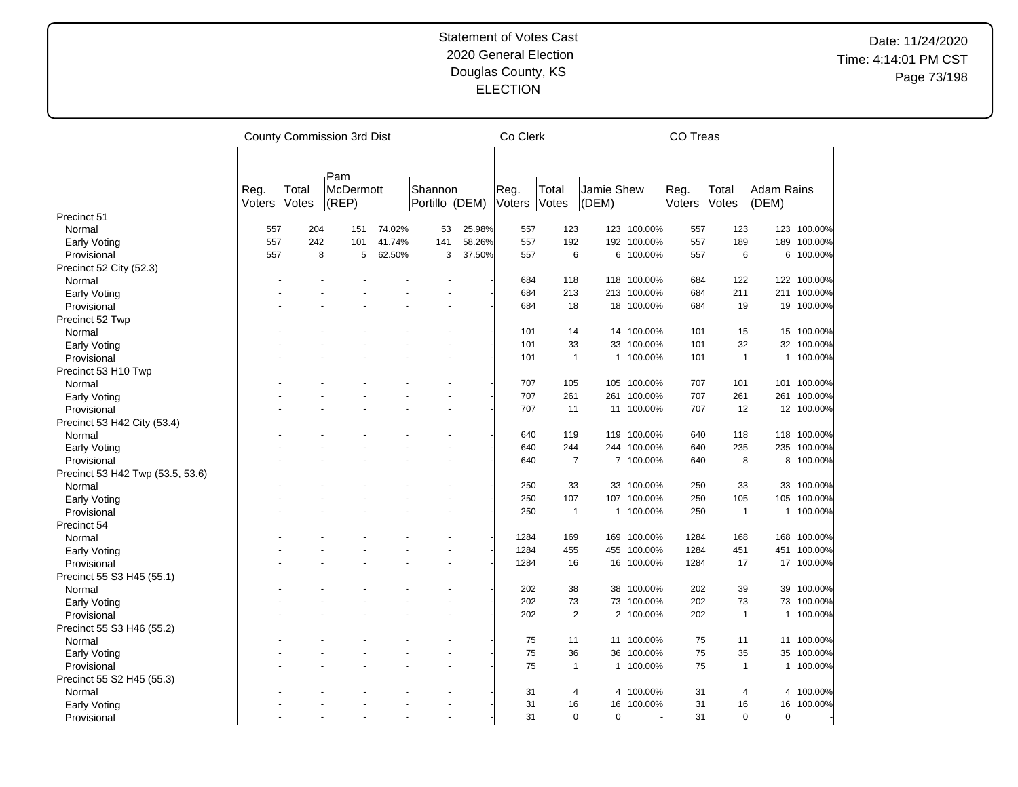|                                    |        |       | County Commission 3rd Dist |        |                |        | Co Clerk |                |              |             | CO Treas |                |            |             |
|------------------------------------|--------|-------|----------------------------|--------|----------------|--------|----------|----------------|--------------|-------------|----------|----------------|------------|-------------|
|                                    |        |       |                            |        |                |        |          |                |              |             |          |                |            |             |
|                                    |        |       | Pam                        |        |                |        |          |                |              |             |          |                |            |             |
|                                    | Reg.   | Total | <b>McDermott</b>           |        | Shannon        |        | Reg.     | Total          | Jamie Shew   |             | Reg.     | <b>Total</b>   | Adam Rains |             |
|                                    | Voters | Votes | (REP)                      |        | Portillo (DEM) |        | Voters   | Votes          | (DEM)        |             | Voters   | Votes          | (DEM)      |             |
| Precinct 51                        |        |       |                            |        |                |        |          |                |              |             |          |                |            |             |
| Normal                             | 557    | 204   | 151                        | 74.02% | 53             | 25.98% | 557      | 123            |              | 123 100.00% | 557      | 123            |            | 123 100.00% |
| Early Voting                       | 557    | 242   | 101                        | 41.74% | 141            | 58.26% | 557      | 192            |              | 192 100.00% | 557      | 189            | 189        | 100.00%     |
| Provisional                        | 557    | 8     | 5                          | 62.50% | 3              | 37.50% | 557      | 6              |              | 6 100.00%   | 557      | 6              |            | 6 100.00%   |
| Precinct 52 City (52.3)            |        |       |                            |        |                |        |          |                |              |             |          |                |            |             |
| Normal                             |        |       |                            |        |                |        | 684      | 118            |              | 118 100.00% | 684      | 122            |            | 122 100.00% |
| <b>Early Voting</b>                |        |       |                            |        |                |        | 684      | 213            |              | 213 100.00% | 684      | 211            |            | 211 100.00% |
| Provisional                        |        |       |                            |        |                |        | 684      | 18             |              | 18 100.00%  | 684      | 19             |            | 19 100.00%  |
| Precinct 52 Twp                    |        |       |                            |        |                |        |          |                |              |             |          |                |            |             |
| Normal                             |        |       |                            |        |                |        | 101      | 14             |              | 14 100.00%  | 101      | 15             |            | 15 100.00%  |
| Early Voting                       |        |       |                            |        |                |        | 101      | 33             | 33           | 100.00%     | 101      | 32             |            | 32 100.00%  |
| Provisional                        |        |       |                            |        |                |        | 101      | $\mathbf{1}$   |              | 1 100.00%   | 101      | $\overline{1}$ |            | 1 100.00%   |
| Precinct 53 H10 Twp                |        |       |                            |        |                |        |          |                |              |             |          |                |            |             |
| Normal                             |        |       |                            |        |                |        | 707      | 105            |              | 105 100.00% | 707      | 101            |            | 101 100.00% |
| Early Voting                       |        |       |                            |        |                |        | 707      | 261            | 261          | 100.00%     | 707      | 261            |            | 261 100.00% |
| Provisional                        |        |       |                            |        |                |        | 707      | 11             |              | 11 100.00%  | 707      | 12             |            | 12 100.00%  |
| Precinct 53 H42 City (53.4)        |        |       |                            |        |                |        |          |                |              |             |          |                |            |             |
| Normal                             |        |       |                            |        |                |        | 640      | 119            |              | 119 100.00% | 640      | 118            |            | 118 100.00% |
|                                    |        |       |                            |        |                |        | 640      | 244            |              | 244 100.00% | 640      | 235            |            | 235 100.00% |
| <b>Early Voting</b><br>Provisional |        |       |                            |        |                |        | 640      | $\overline{7}$ |              | 7 100.00%   | 640      | 8              |            | 8 100.00%   |
|                                    |        |       |                            |        |                |        |          |                |              |             |          |                |            |             |
| Precinct 53 H42 Twp (53.5, 53.6)   |        |       |                            |        |                |        |          |                |              |             |          |                |            |             |
| Normal                             |        |       |                            |        |                |        | 250      | 33             |              | 33 100.00%  | 250      | 33             |            | 33 100.00%  |
| <b>Early Voting</b>                |        |       |                            |        |                |        | 250      | 107            | 107          | 100.00%     | 250      | 105            |            | 105 100.00% |
| Provisional                        |        |       |                            |        |                |        | 250      | $\mathbf{1}$   |              | 1 100.00%   | 250      | $\overline{1}$ |            | 1 100.00%   |
| Precinct 54                        |        |       |                            |        |                |        |          |                |              |             |          |                |            |             |
| Normal                             |        |       |                            |        |                |        | 1284     | 169            |              | 169 100.00% | 1284     | 168            |            | 168 100.00% |
| <b>Early Voting</b>                |        |       |                            |        |                |        | 1284     | 455            |              | 455 100.00% | 1284     | 451            |            | 451 100.00% |
| Provisional                        |        |       |                            |        |                |        | 1284     | 16             |              | 16 100.00%  | 1284     | 17             |            | 17 100.00%  |
| Precinct 55 S3 H45 (55.1)          |        |       |                            |        |                |        |          |                |              |             |          |                |            |             |
| Normal                             |        |       |                            |        |                |        | 202      | 38             | 38           | 100.00%     | 202      | 39             | 39         | 100.00%     |
| Early Voting                       |        |       |                            |        |                |        | 202      | 73             |              | 73 100.00%  | 202      | 73             |            | 73 100.00%  |
| Provisional                        |        |       |                            |        |                |        | 202      | $\overline{2}$ |              | 2 100.00%   | 202      | $\mathbf{1}$   |            | 1 100.00%   |
| Precinct 55 S3 H46 (55.2)          |        |       |                            |        |                |        |          |                |              |             |          |                |            |             |
| Normal                             |        |       |                            |        |                |        | 75       | 11             |              | 11 100.00%  | 75       | 11             |            | 11 100.00%  |
| Early Voting                       |        |       |                            |        |                |        | 75       | 36             | 36           | 100.00%     | 75       | 35             | 35         | 100.00%     |
| Provisional                        |        |       |                            |        |                |        | 75       | $\mathbf{1}$   | $\mathbf{1}$ | 100.00%     | 75       | $\mathbf{1}$   |            | 1 100.00%   |
| Precinct 55 S2 H45 (55.3)          |        |       |                            |        |                |        |          |                |              |             |          |                |            |             |
| Normal                             |        |       |                            |        |                |        | 31       | 4              | 4            | 100.00%     | 31       | 4              |            | 4 100.00%   |
| <b>Early Voting</b>                |        |       |                            |        |                |        | 31       | 16             | 16           | 100.00%     | 31       | 16             | 16         | 100.00%     |
| Provisional                        |        |       |                            |        |                |        | 31       | $\Omega$       | $\Omega$     |             | 31       | $\Omega$       | $\Omega$   |             |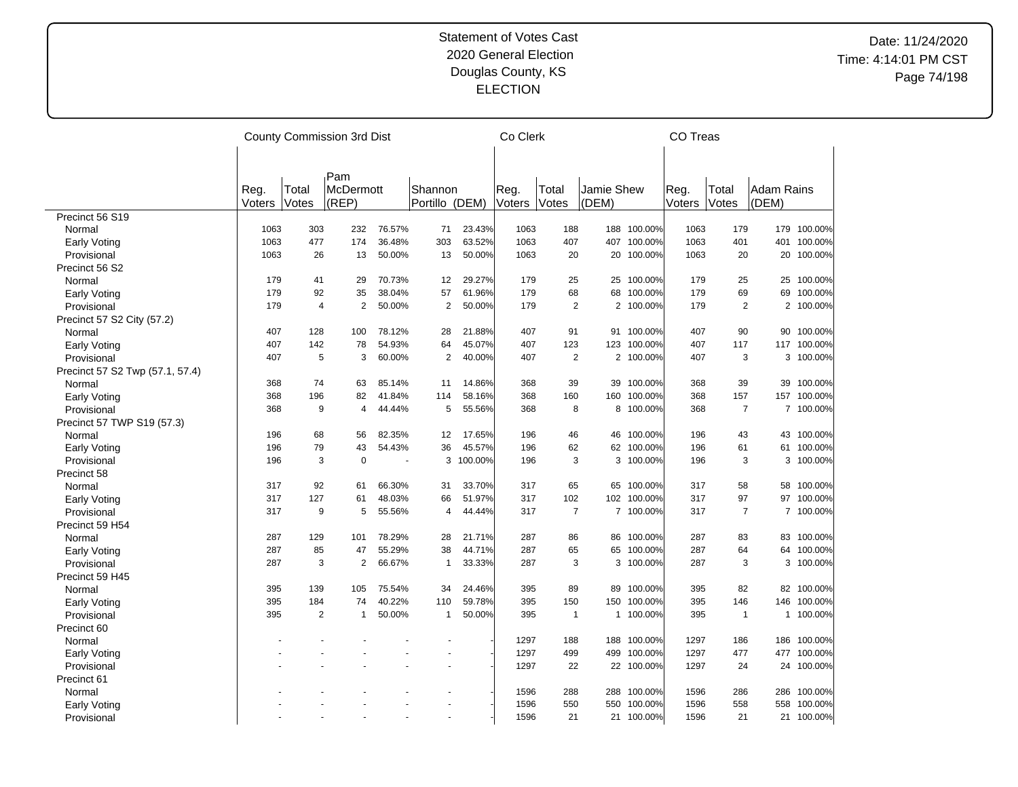|                                 |        |                | County Commission 3rd Dist |        |                |         | Co Clerk |                |            |             | <b>CO Treas</b> |                |            |             |
|---------------------------------|--------|----------------|----------------------------|--------|----------------|---------|----------|----------------|------------|-------------|-----------------|----------------|------------|-------------|
|                                 |        |                |                            |        |                |         |          |                |            |             |                 |                |            |             |
|                                 |        |                | Pam                        |        |                |         |          |                |            |             |                 |                |            |             |
|                                 | Reg.   | Total          | McDermott                  |        | Shannon        |         | Reg.     | Total          | Jamie Shew |             | Reg.            | Total          | Adam Rains |             |
|                                 | Voters | Votes          | (REP)                      |        | Portillo (DEM) |         | Voters   | Votes          | (DEM)      |             | Voters          | Votes          | (DEM)      |             |
| Precinct 56 S19                 |        |                |                            |        |                |         |          |                |            |             |                 |                |            |             |
| Normal                          | 1063   | 303            | 232                        | 76.57% | 71             | 23.43%  | 1063     | 188            |            | 188 100.00% | 1063            | 179            |            | 179 100.00% |
| Early Voting                    | 1063   | 477            | 174                        | 36.48% | 303            | 63.52%  | 1063     | 407            | 407        | 100.00%     | 1063            | 401            | 401        | 100.00%     |
| Provisional                     | 1063   | 26             | 13                         | 50.00% | 13             | 50.00%  | 1063     | 20             |            | 20 100.00%  | 1063            | 20             |            | 20 100.00%  |
| Precinct 56 S2                  |        |                |                            |        |                |         |          |                |            |             |                 |                |            |             |
| Normal                          | 179    | 41             | 29                         | 70.73% | 12             | 29.27%  | 179      | 25             |            | 25 100.00%  | 179             | 25             |            | 25 100.00%  |
| Early Voting                    | 179    | 92             | 35                         | 38.04% | 57             | 61.96%  | 179      | 68             | 68         | 100.00%     | 179             | 69             | 69         | 100.00%     |
| Provisional                     | 179    | $\overline{4}$ | $\overline{2}$             | 50.00% | $\overline{2}$ | 50.00%  | 179      | $\overline{2}$ |            | 2 100.00%   | 179             | $\overline{2}$ |            | 2 100.00%   |
| Precinct 57 S2 City (57.2)      |        |                |                            |        |                |         |          |                |            |             |                 |                |            |             |
| Normal                          | 407    | 128            | 100                        | 78.12% | 28             | 21.88%  | 407      | 91             | 91         | 100.00%     | 407             | 90             | 90         | 100.00%     |
| Early Voting                    | 407    | 142            | 78                         | 54.93% | 64             | 45.07%  | 407      | 123            | 123        | 100.00%     | 407             | 117            | 117        | 100.00%     |
| Provisional                     | 407    | 5              | 3                          | 60.00% | $\overline{2}$ | 40.00%  | 407      | $\mathbf{2}$   |            | 2 100.00%   | 407             | 3              |            | 3 100.00%   |
| Precinct 57 S2 Twp (57.1, 57.4) |        |                |                            |        |                |         |          |                |            |             |                 |                |            |             |
| Normal                          | 368    | 74             | 63                         | 85.14% | 11             | 14.86%  | 368      | 39             | 39         | 100.00%     | 368             | 39             | 39         | 100.00%     |
| Early Voting                    | 368    | 196            | 82                         | 41.84% | 114            | 58.16%  | 368      | 160            | 160        | 100.00%     | 368             | 157            | 157        | 100.00%     |
| Provisional                     | 368    | 9              | 4                          | 44.44% | 5              | 55.56%  | 368      | 8              |            | 8 100.00%   | 368             | $\overline{7}$ |            | 7 100.00%   |
| Precinct 57 TWP S19 (57.3)      |        |                |                            |        |                |         |          |                |            |             |                 |                |            |             |
| Normal                          | 196    | 68             | 56                         | 82.35% | 12             | 17.65%  | 196      | 46             | 46         | 100.00%     | 196             | 43             | 43         | 100.00%     |
| Early Voting                    | 196    | 79             | 43                         | 54.43% | 36             | 45.57%  | 196      | 62             |            | 62 100.00%  | 196             | 61             | 61         | 100.00%     |
| Provisional                     | 196    | 3              | $\mathbf 0$                |        | 3              | 100.00% | 196      | 3              | 3          | 100.00%     | 196             | 3              | 3          | 100.00%     |
| Precinct 58                     |        |                |                            |        |                |         |          |                |            |             |                 |                |            |             |
| Normal                          | 317    | 92             | 61                         | 66.30% | 31             | 33.70%  | 317      | 65             |            | 65 100.00%  | 317             | 58             |            | 58 100.00%  |
| Early Voting                    | 317    | 127            | 61                         | 48.03% | 66             | 51.97%  | 317      | 102            |            | 102 100.00% | 317             | 97             | 97         | 100.00%     |
| Provisional                     | 317    | 9              | 5                          | 55.56% | 4              | 44.44%  | 317      | $\overline{7}$ |            | 7 100.00%   | 317             | $\overline{7}$ |            | 7 100.00%   |
|                                 |        |                |                            |        |                |         |          |                |            |             |                 |                |            |             |
| Precinct 59 H54                 | 287    | 129            | 101                        | 78.29% | 28             | 21.71%  | 287      | 86             | 86         | 100.00%     | 287             | 83             |            | 83 100.00%  |
| Normal                          | 287    | 85             | 47                         | 55.29% | 38             | 44.71%  | 287      | 65             | 65         | 100.00%     | 287             | 64             | 64         | 100.00%     |
| Early Voting                    | 287    | 3              | $\overline{2}$             | 66.67% | $\mathbf{1}$   |         | 287      | 3              | 3          |             | 287             | 3              | 3          |             |
| Provisional                     |        |                |                            |        |                | 33.33%  |          |                |            | 100.00%     |                 |                |            | 100.00%     |
| Precinct 59 H45                 |        |                |                            |        |                |         |          |                |            |             |                 |                |            |             |
| Normal                          | 395    | 139            | 105                        | 75.54% | 34             | 24.46%  | 395      | 89             | 89         | 100.00%     | 395             | 82             |            | 82 100.00%  |
| Early Voting                    | 395    | 184            | 74                         | 40.22% | 110            | 59.78%  | 395      | 150            | 150        | 100.00%     | 395             | 146            | 146        | 100.00%     |
| Provisional                     | 395    | 2              | $\overline{1}$             | 50.00% | $\mathbf{1}$   | 50.00%  | 395      | $\mathbf{1}$   |            | 1 100.00%   | 395             | $\overline{1}$ |            | 1 100.00%   |
| Precinct 60                     |        |                |                            |        |                |         |          |                |            |             |                 |                |            |             |
| Normal                          |        |                |                            |        |                |         | 1297     | 188            |            | 188 100.00% | 1297            | 186            |            | 186 100.00% |
| Early Voting                    |        |                |                            |        |                |         | 1297     | 499            | 499        | 100.00%     | 1297            | 477            | 477        | 100.00%     |
| Provisional                     |        |                |                            |        |                |         | 1297     | 22             |            | 22 100.00%  | 1297            | 24             | 24         | 100.00%     |
| Precinct 61                     |        |                |                            |        |                |         |          |                |            |             |                 |                |            |             |
| Normal                          |        |                |                            |        |                |         | 1596     | 288            | 288        | 100.00%     | 1596            | 286            | 286        | 100.00%     |
| Early Voting                    |        |                |                            |        |                |         | 1596     | 550            | 550        | 100.00%     | 1596            | 558            | 558        | 100.00%     |
| Provisional                     |        |                |                            |        |                |         | 1596     | 21             |            | 21 100.00%  | 1596            | 21             | 21         | 100.00%     |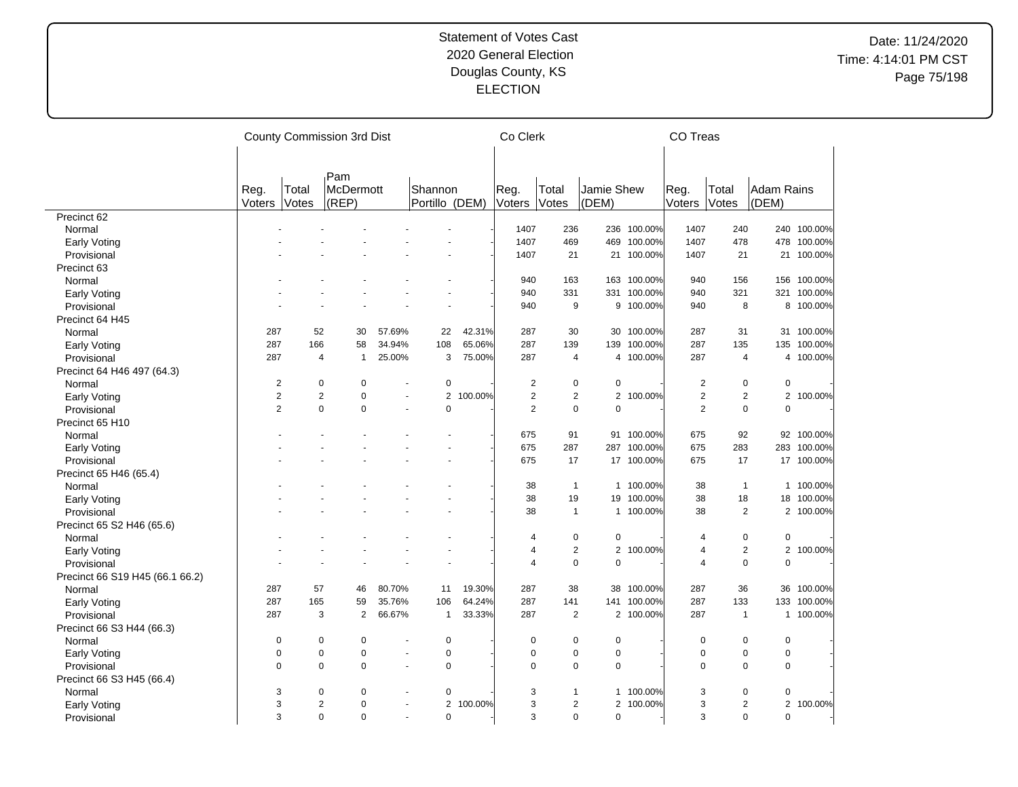|                                 |                |                | County Commission 3rd Dist |                |                |         | Co Clerk       |                |                |             | CO Treas       |                |                   |             |
|---------------------------------|----------------|----------------|----------------------------|----------------|----------------|---------|----------------|----------------|----------------|-------------|----------------|----------------|-------------------|-------------|
|                                 |                |                |                            |                |                |         |                |                |                |             |                |                |                   |             |
|                                 | Reg.           | Total          | Pam<br><b>McDermott</b>    |                | Shannon        |         | Reg.           | Total          | Jamie Shew     |             | Reg.           | Total          | <b>Adam Rains</b> |             |
|                                 | Voters         | Votes          | (REP)                      |                | Portillo (DEM) |         | Voters         | Votes          | (DEM)          |             | Voters         | Votes          | (DEM)             |             |
| Precinct 62                     |                |                |                            |                |                |         |                |                |                |             |                |                |                   |             |
| Normal                          |                |                |                            |                |                |         | 1407           | 236            |                | 236 100.00% | 1407           | 240            |                   | 240 100.00% |
| Early Voting                    |                |                |                            |                |                |         | 1407           | 469            | 469            | 100.00%     | 1407           | 478            |                   | 478 100.00% |
| Provisional                     |                |                |                            |                |                |         | 1407           | 21             |                | 21 100.00%  | 1407           | 21             |                   | 21 100.00%  |
| Precinct 63                     |                |                |                            |                |                |         |                |                |                |             |                |                |                   |             |
| Normal                          |                |                |                            |                |                |         | 940            | 163            |                | 163 100.00% | 940            | 156            |                   | 156 100.00% |
| <b>Early Voting</b>             |                |                |                            |                |                |         | 940            | 331            | 331            | 100.00%     | 940            | 321            |                   | 321 100.00% |
| Provisional                     |                |                |                            |                |                |         | 940            | 9              |                | 9 100.00%   | 940            | 8              |                   | 8 100.00%   |
| Precinct 64 H45                 |                |                |                            |                |                |         |                |                |                |             |                |                |                   |             |
| Normal                          | 287            | 52             | 30                         | 57.69%         | 22             | 42.31%  | 287            | 30             | 30             | 100.00%     | 287            | 31             |                   | 31 100.00%  |
| Early Voting                    | 287            | 166            | 58                         | 34.94%         | 108            | 65.06%  | 287            | 139            | 139            | 100.00%     | 287            | 135            | 135               | 100.00%     |
| Provisional                     | 287            | $\overline{4}$ | $\mathbf{1}$               | 25.00%         | 3              | 75.00%  | 287            | $\overline{4}$ |                | 4 100.00%   | 287            | 4              |                   | 4 100.00%   |
| Precinct 64 H46 497 (64.3)      |                |                |                            |                |                |         |                |                |                |             |                |                |                   |             |
| Normal                          | $\overline{2}$ | $\mathbf 0$    | 0                          |                | 0              |         | $\overline{c}$ | 0              | 0              |             | $\overline{c}$ | $\mathbf 0$    | $\mathbf 0$       |             |
| <b>Early Voting</b>             | $\overline{2}$ | $\overline{2}$ | $\overline{0}$             |                | $\overline{2}$ | 100.00% | $\overline{2}$ | $\overline{2}$ | $\overline{2}$ | 100.00%     | $\overline{2}$ | $\overline{2}$ |                   | 2 100.00%   |
| Provisional                     | $\overline{2}$ | $\mathbf 0$    | 0                          | ÷.             | $\overline{0}$ |         | $\overline{2}$ | $\mathbf 0$    | $\mathbf 0$    |             | 2              | $\mathbf 0$    | $\mathbf 0$       |             |
| Precinct 65 H10                 |                |                |                            |                |                |         |                |                |                |             |                |                |                   |             |
| Normal                          |                |                |                            |                |                |         | 675            | 91             | 91             | 100.00%     | 675            | 92             |                   | 92 100.00%  |
|                                 |                |                |                            |                |                |         | 675            | 287            |                | 287 100.00% | 675            | 283            | 283               | 100.00%     |
| Early Voting<br>Provisional     |                |                |                            |                |                |         | 675            | 17             | 17             | 100.00%     | 675            | 17             | 17                | 100.00%     |
|                                 |                |                |                            |                |                |         |                |                |                |             |                |                |                   |             |
| Precinct 65 H46 (65.4)          |                |                |                            |                |                |         |                | $\mathbf{1}$   |                |             |                | $\mathbf{1}$   |                   | 1 100.00%   |
| Normal                          |                |                |                            |                |                |         | 38<br>38       | 19             |                | 1 100.00%   | 38             |                |                   |             |
| <b>Early Voting</b>             |                |                |                            |                |                |         | 38             |                | 19             | 100.00%     | 38             | 18             | 18                | 100.00%     |
| Provisional                     |                |                |                            |                |                |         |                | $\mathbf{1}$   |                | 1 100.00%   | 38             | $\sqrt{2}$     |                   | 2 100.00%   |
| Precinct 65 S2 H46 (65.6)       |                |                |                            |                |                |         |                |                |                |             |                |                |                   |             |
| Normal                          |                |                |                            |                |                |         | 4              | $\pmb{0}$      | 0              |             | $\overline{4}$ | $\pmb{0}$      | $\mathbf 0$       |             |
| <b>Early Voting</b>             |                |                |                            |                |                |         | 4              | $\sqrt{2}$     | $\overline{2}$ | 100.00%     | 4              | $\overline{2}$ | $\overline{2}$    | 100.00%     |
| Provisional                     |                |                |                            |                |                |         | $\overline{4}$ | $\pmb{0}$      | $\mathbf 0$    |             | $\overline{4}$ | $\pmb{0}$      | $\mathbf 0$       |             |
| Precinct 66 S19 H45 (66.1 66.2) |                |                |                            |                |                |         |                |                |                |             |                |                |                   |             |
| Normal                          | 287            | 57             | 46                         | 80.70%         | 11             | 19.30%  | 287            | 38             | 38             | 100.00%     | 287            | 36             | 36                | 100.00%     |
| <b>Early Voting</b>             | 287            | 165            | 59                         | 35.76%         | 106            | 64.24%  | 287            | 141            | 141            | 100.00%     | 287            | 133            | 133               | 100.00%     |
| Provisional                     | 287            | 3              | $\overline{2}$             | 66.67%         | $\mathbf{1}$   | 33.33%  | 287            | $\overline{2}$ |                | 2 100.00%   | 287            | $\mathbf{1}$   |                   | 1 100.00%   |
| Precinct 66 S3 H44 (66.3)       |                |                |                            |                |                |         |                |                |                |             |                |                |                   |             |
| Normal                          | $\mathbf 0$    | $\mathbf 0$    | 0                          |                | $\mathbf 0$    |         | 0              | 0              | $\mathbf 0$    |             | $\mathbf 0$    | $\pmb{0}$      | $\mathbf 0$       |             |
| <b>Early Voting</b>             | $\mathbf 0$    | $\pmb{0}$      | 0                          | $\overline{a}$ | 0              |         | $\mathbf 0$    | 0              | 0              |             | $\pmb{0}$      | $\pmb{0}$      | $\pmb{0}$         |             |
| Provisional                     | $\mathbf 0$    | $\mathbf 0$    | 0                          | $\blacksquare$ | 0              |         | $\mathbf 0$    | $\mathbf 0$    | $\mathbf 0$    |             | $\mathbf 0$    | $\mathbf 0$    | $\mathbf 0$       |             |
| Precinct 66 S3 H45 (66.4)       |                |                |                            |                |                |         |                |                |                |             |                |                |                   |             |
| Normal                          | 3              | $\mathbf 0$    | 0                          |                | 0              |         | 3              | 1              |                | 1 100.00%   | 3              | $\mathbf 0$    | $\mathbf 0$       |             |
| <b>Early Voting</b>             | 3              | $\overline{2}$ | $\Omega$                   |                | $\overline{2}$ | 100.00% | 3              | $\overline{c}$ |                | 2 100.00%   | 3              | $\overline{2}$ |                   | 2 100.00%   |
| Provisional                     | 3              | $\Omega$       | $\Omega$                   | $\overline{a}$ | 0              |         | 3              | 0              | $\mathbf 0$    |             | 3              | $\mathbf 0$    | $\mathbf 0$       |             |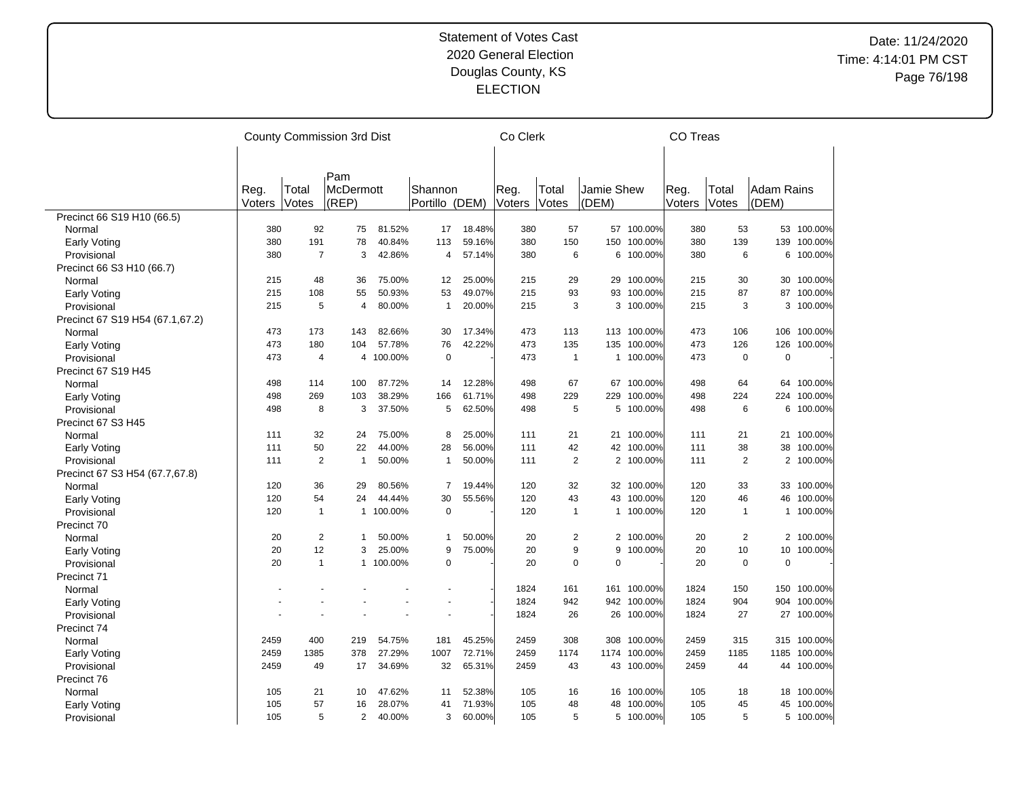# Date: 11/24/2020 Time: 4:14:01 PM CST Page 76/198

| Pam<br>Shannon<br>Reg.<br>Total<br>Jamie Shew<br>Reg.<br>Total<br><b>Adam Rains</b><br>Total<br><b>McDermott</b><br>Reg.<br>Votes<br>(REP)<br>Portillo (DEM)<br>Votes<br>(DEM)<br>Voters<br>Votes<br>(DEM)<br>Voters<br>Voters<br>Precinct 66 S19 H10 (66.5)<br>380<br>92<br>18.48%<br>380<br>57<br>57 100.00%<br>380<br>53<br>53 100.00%<br>Normal<br>75<br>81.52%<br>17<br>380<br>191<br>78<br>40.84%<br>113<br>59.16%<br>380<br>150<br>150<br>100.00%<br>380<br>139<br>139<br>100.00%<br>Early Voting<br>$\overline{7}$<br>380<br>6<br>100.00%<br>6<br>100.00%<br>Provisional<br>380<br>3<br>42.86%<br>4<br>57.14%<br>6<br>380<br>6<br>Precinct 66 S3 H10 (66.7)<br>48<br>36<br>75.00%<br>25.00%<br>215<br>29<br>29<br>100.00%<br>215<br>30<br>30 100.00%<br>215<br>12<br>Normal<br>215<br>108<br>50.93%<br>53<br>49.07%<br>215<br>93<br>93<br>100.00%<br>215<br>87<br>87<br>100.00%<br>55<br>Early Voting<br>215<br>5<br>80.00%<br>20.00%<br>215<br>3<br>3 100.00%<br>215<br>3<br>3 100.00%<br>Provisional<br>1<br>4<br>Precinct 67 S19 H54 (67.1,67.2)<br>473<br>173<br>82.66%<br>17.34%<br>473<br>113<br>113 100.00%<br>473<br>106<br>106 100.00%<br>143<br>30<br>Normal<br>76<br>135<br>473<br>473<br>180<br>57.78%<br>42.22%<br>473<br>135<br>100.00%<br>126<br>126<br>100.00%<br>Early Voting<br>104<br>473<br>100.00%<br>$\mathbf 0$<br>473<br>1 100.00%<br>473<br>$\mathbf 0$<br>0<br>4<br>4<br>$\mathbf{1}$<br>Provisional<br>Precinct 67 S19 H45<br>498<br>114<br>100<br>87.72%<br>12.28%<br>498<br>67<br>67<br>100.00%<br>498<br>64<br>64 100.00%<br>Normal<br>14<br>498<br>269<br>38.29%<br>498<br>229<br>498<br>224<br>103<br>166<br>61.71%<br>229<br>100.00%<br>224 100.00%<br>Early Voting<br>5<br>5<br>6<br>498<br>8<br>3<br>37.50%<br>62.50%<br>498<br>5 100.00%<br>498<br>6 100.00%<br>Provisional<br>Precinct 67 S3 H45<br>32<br>75.00%<br>25.00%<br>111<br>21<br>21 100.00%<br>111<br>21<br>21 100.00%<br>Normal<br>111<br>24<br>8<br>50<br>44.00%<br>56.00%<br>111<br>42<br>42 100.00%<br>38<br>38<br>100.00%<br>111<br>22<br>28<br>111<br>Early Voting<br>$\overline{2}$<br>50.00%<br>50.00%<br>111<br>$\overline{2}$<br>2 100.00%<br>2<br>2 100.00%<br>Provisional<br>111<br>$\mathbf{1}$<br>111<br>$\mathbf{1}$<br>Precinct 67 S3 H54 (67.7,67.8)<br>120<br>36<br>120<br>32<br>33<br>33 100.00%<br>29<br>80.56%<br>7<br>19.44%<br>32 100.00%<br>120<br>Normal<br>43<br>46<br>120<br>54<br>30<br>120<br>43 100.00%<br>120<br>46<br>100.00%<br>24<br>44.44%<br>55.56%<br>Early Voting<br>$\mathbf 0$<br>120<br>100.00%<br>100.00%<br>Provisional<br>120<br>$\mathbf{1}$<br>100.00%<br>120<br>1<br>1<br>$\mathbf{1}$<br>1<br>1<br>Precinct 70<br>2<br>$\overline{2}$<br>2<br>20<br>50.00%<br>50.00%<br>20<br>2 100.00%<br>20<br>2 100.00%<br>Normal<br>1<br>1<br>20<br>12<br>25.00%<br>75.00%<br>20<br>9<br>9<br>100.00%<br>20<br>10<br>10 <sup>°</sup><br>100.00%<br>3<br>9<br>Early Voting<br>20<br>1<br>1 100.00%<br>20<br>$\Omega$<br>$\Omega$<br>20<br>$\Omega$<br>$\mathbf 0$<br>Provisional<br>$\Omega$<br>Precinct 71<br>1824<br>161<br>161 100.00%<br>1824<br>150<br>150 100.00%<br>Normal<br>1824<br>942<br>942 100.00%<br>1824<br>904<br>904 100.00%<br>Early Voting<br>1824<br>26<br>26<br>100.00%<br>1824<br>27<br>27 100.00%<br>Provisional<br>Precinct 74<br>2459<br>400<br>219<br>54.75%<br>181<br>45.25%<br>2459<br>308<br>308<br>100.00%<br>2459<br>315<br>315 100.00%<br>Normal<br>2459<br>1385<br>27.29%<br>72.71%<br>2459<br>2459<br>1185<br>378<br>1007<br>1174<br>1174<br>100.00%<br>1185<br>100.00%<br>Early Voting<br>2459<br>49<br>34.69%<br>32<br>65.31%<br>2459<br>43<br>43 100.00%<br>2459<br>44 100.00%<br>Provisional<br>17<br>44<br>Precinct 76<br>Normal<br>21<br>105<br>16<br>16 100.00%<br>18 100.00%<br>105<br>10<br>47.62%<br>11<br>52.38%<br>105<br>18<br>71.93%<br>100.00%<br>105<br>57<br>28.07%<br>41<br>105<br>48<br>48<br>100.00%<br>105<br>45<br>45<br>16<br>Early Voting<br>5 100.00%<br>5 100.00%<br>5 |             |     |   | County Commission 3rd Dist |        |   |        | Co Clerk |  | <b>CO Treas</b> |   |  |
|------------------------------------------------------------------------------------------------------------------------------------------------------------------------------------------------------------------------------------------------------------------------------------------------------------------------------------------------------------------------------------------------------------------------------------------------------------------------------------------------------------------------------------------------------------------------------------------------------------------------------------------------------------------------------------------------------------------------------------------------------------------------------------------------------------------------------------------------------------------------------------------------------------------------------------------------------------------------------------------------------------------------------------------------------------------------------------------------------------------------------------------------------------------------------------------------------------------------------------------------------------------------------------------------------------------------------------------------------------------------------------------------------------------------------------------------------------------------------------------------------------------------------------------------------------------------------------------------------------------------------------------------------------------------------------------------------------------------------------------------------------------------------------------------------------------------------------------------------------------------------------------------------------------------------------------------------------------------------------------------------------------------------------------------------------------------------------------------------------------------------------------------------------------------------------------------------------------------------------------------------------------------------------------------------------------------------------------------------------------------------------------------------------------------------------------------------------------------------------------------------------------------------------------------------------------------------------------------------------------------------------------------------------------------------------------------------------------------------------------------------------------------------------------------------------------------------------------------------------------------------------------------------------------------------------------------------------------------------------------------------------------------------------------------------------------------------------------------------------------------------------------------------------------------------------------------------------------------------------------------------------------------------------------------------------------------------------------------------------------------------------------------------------------------------------------------------------------------------------------------------------------------------------------------------------------------------------------------------------------------------------------------------------------------------------------------------------------------------------------------------------------------------------------------------------------------------------------------------------------------------------------------------------------------------------------------------------------------------|-------------|-----|---|----------------------------|--------|---|--------|----------|--|-----------------|---|--|
|                                                                                                                                                                                                                                                                                                                                                                                                                                                                                                                                                                                                                                                                                                                                                                                                                                                                                                                                                                                                                                                                                                                                                                                                                                                                                                                                                                                                                                                                                                                                                                                                                                                                                                                                                                                                                                                                                                                                                                                                                                                                                                                                                                                                                                                                                                                                                                                                                                                                                                                                                                                                                                                                                                                                                                                                                                                                                                                                                                                                                                                                                                                                                                                                                                                                                                                                                                                                                                                                                                                                                                                                                                                                                                                                                                                                                                                                                                                                                                              |             |     |   |                            |        |   |        |          |  |                 |   |  |
|                                                                                                                                                                                                                                                                                                                                                                                                                                                                                                                                                                                                                                                                                                                                                                                                                                                                                                                                                                                                                                                                                                                                                                                                                                                                                                                                                                                                                                                                                                                                                                                                                                                                                                                                                                                                                                                                                                                                                                                                                                                                                                                                                                                                                                                                                                                                                                                                                                                                                                                                                                                                                                                                                                                                                                                                                                                                                                                                                                                                                                                                                                                                                                                                                                                                                                                                                                                                                                                                                                                                                                                                                                                                                                                                                                                                                                                                                                                                                                              |             |     |   |                            |        |   |        |          |  |                 |   |  |
|                                                                                                                                                                                                                                                                                                                                                                                                                                                                                                                                                                                                                                                                                                                                                                                                                                                                                                                                                                                                                                                                                                                                                                                                                                                                                                                                                                                                                                                                                                                                                                                                                                                                                                                                                                                                                                                                                                                                                                                                                                                                                                                                                                                                                                                                                                                                                                                                                                                                                                                                                                                                                                                                                                                                                                                                                                                                                                                                                                                                                                                                                                                                                                                                                                                                                                                                                                                                                                                                                                                                                                                                                                                                                                                                                                                                                                                                                                                                                                              |             |     |   |                            |        |   |        |          |  |                 |   |  |
|                                                                                                                                                                                                                                                                                                                                                                                                                                                                                                                                                                                                                                                                                                                                                                                                                                                                                                                                                                                                                                                                                                                                                                                                                                                                                                                                                                                                                                                                                                                                                                                                                                                                                                                                                                                                                                                                                                                                                                                                                                                                                                                                                                                                                                                                                                                                                                                                                                                                                                                                                                                                                                                                                                                                                                                                                                                                                                                                                                                                                                                                                                                                                                                                                                                                                                                                                                                                                                                                                                                                                                                                                                                                                                                                                                                                                                                                                                                                                                              |             |     |   |                            |        |   |        |          |  |                 |   |  |
|                                                                                                                                                                                                                                                                                                                                                                                                                                                                                                                                                                                                                                                                                                                                                                                                                                                                                                                                                                                                                                                                                                                                                                                                                                                                                                                                                                                                                                                                                                                                                                                                                                                                                                                                                                                                                                                                                                                                                                                                                                                                                                                                                                                                                                                                                                                                                                                                                                                                                                                                                                                                                                                                                                                                                                                                                                                                                                                                                                                                                                                                                                                                                                                                                                                                                                                                                                                                                                                                                                                                                                                                                                                                                                                                                                                                                                                                                                                                                                              |             |     |   |                            |        |   |        |          |  |                 |   |  |
|                                                                                                                                                                                                                                                                                                                                                                                                                                                                                                                                                                                                                                                                                                                                                                                                                                                                                                                                                                                                                                                                                                                                                                                                                                                                                                                                                                                                                                                                                                                                                                                                                                                                                                                                                                                                                                                                                                                                                                                                                                                                                                                                                                                                                                                                                                                                                                                                                                                                                                                                                                                                                                                                                                                                                                                                                                                                                                                                                                                                                                                                                                                                                                                                                                                                                                                                                                                                                                                                                                                                                                                                                                                                                                                                                                                                                                                                                                                                                                              |             |     |   |                            |        |   |        |          |  |                 |   |  |
|                                                                                                                                                                                                                                                                                                                                                                                                                                                                                                                                                                                                                                                                                                                                                                                                                                                                                                                                                                                                                                                                                                                                                                                                                                                                                                                                                                                                                                                                                                                                                                                                                                                                                                                                                                                                                                                                                                                                                                                                                                                                                                                                                                                                                                                                                                                                                                                                                                                                                                                                                                                                                                                                                                                                                                                                                                                                                                                                                                                                                                                                                                                                                                                                                                                                                                                                                                                                                                                                                                                                                                                                                                                                                                                                                                                                                                                                                                                                                                              |             |     |   |                            |        |   |        |          |  |                 |   |  |
|                                                                                                                                                                                                                                                                                                                                                                                                                                                                                                                                                                                                                                                                                                                                                                                                                                                                                                                                                                                                                                                                                                                                                                                                                                                                                                                                                                                                                                                                                                                                                                                                                                                                                                                                                                                                                                                                                                                                                                                                                                                                                                                                                                                                                                                                                                                                                                                                                                                                                                                                                                                                                                                                                                                                                                                                                                                                                                                                                                                                                                                                                                                                                                                                                                                                                                                                                                                                                                                                                                                                                                                                                                                                                                                                                                                                                                                                                                                                                                              |             |     |   |                            |        |   |        |          |  |                 |   |  |
|                                                                                                                                                                                                                                                                                                                                                                                                                                                                                                                                                                                                                                                                                                                                                                                                                                                                                                                                                                                                                                                                                                                                                                                                                                                                                                                                                                                                                                                                                                                                                                                                                                                                                                                                                                                                                                                                                                                                                                                                                                                                                                                                                                                                                                                                                                                                                                                                                                                                                                                                                                                                                                                                                                                                                                                                                                                                                                                                                                                                                                                                                                                                                                                                                                                                                                                                                                                                                                                                                                                                                                                                                                                                                                                                                                                                                                                                                                                                                                              |             |     |   |                            |        |   |        |          |  |                 |   |  |
|                                                                                                                                                                                                                                                                                                                                                                                                                                                                                                                                                                                                                                                                                                                                                                                                                                                                                                                                                                                                                                                                                                                                                                                                                                                                                                                                                                                                                                                                                                                                                                                                                                                                                                                                                                                                                                                                                                                                                                                                                                                                                                                                                                                                                                                                                                                                                                                                                                                                                                                                                                                                                                                                                                                                                                                                                                                                                                                                                                                                                                                                                                                                                                                                                                                                                                                                                                                                                                                                                                                                                                                                                                                                                                                                                                                                                                                                                                                                                                              |             |     |   |                            |        |   |        |          |  |                 |   |  |
|                                                                                                                                                                                                                                                                                                                                                                                                                                                                                                                                                                                                                                                                                                                                                                                                                                                                                                                                                                                                                                                                                                                                                                                                                                                                                                                                                                                                                                                                                                                                                                                                                                                                                                                                                                                                                                                                                                                                                                                                                                                                                                                                                                                                                                                                                                                                                                                                                                                                                                                                                                                                                                                                                                                                                                                                                                                                                                                                                                                                                                                                                                                                                                                                                                                                                                                                                                                                                                                                                                                                                                                                                                                                                                                                                                                                                                                                                                                                                                              |             |     |   |                            |        |   |        |          |  |                 |   |  |
|                                                                                                                                                                                                                                                                                                                                                                                                                                                                                                                                                                                                                                                                                                                                                                                                                                                                                                                                                                                                                                                                                                                                                                                                                                                                                                                                                                                                                                                                                                                                                                                                                                                                                                                                                                                                                                                                                                                                                                                                                                                                                                                                                                                                                                                                                                                                                                                                                                                                                                                                                                                                                                                                                                                                                                                                                                                                                                                                                                                                                                                                                                                                                                                                                                                                                                                                                                                                                                                                                                                                                                                                                                                                                                                                                                                                                                                                                                                                                                              |             |     |   |                            |        |   |        |          |  |                 |   |  |
|                                                                                                                                                                                                                                                                                                                                                                                                                                                                                                                                                                                                                                                                                                                                                                                                                                                                                                                                                                                                                                                                                                                                                                                                                                                                                                                                                                                                                                                                                                                                                                                                                                                                                                                                                                                                                                                                                                                                                                                                                                                                                                                                                                                                                                                                                                                                                                                                                                                                                                                                                                                                                                                                                                                                                                                                                                                                                                                                                                                                                                                                                                                                                                                                                                                                                                                                                                                                                                                                                                                                                                                                                                                                                                                                                                                                                                                                                                                                                                              |             |     |   |                            |        |   |        |          |  |                 |   |  |
|                                                                                                                                                                                                                                                                                                                                                                                                                                                                                                                                                                                                                                                                                                                                                                                                                                                                                                                                                                                                                                                                                                                                                                                                                                                                                                                                                                                                                                                                                                                                                                                                                                                                                                                                                                                                                                                                                                                                                                                                                                                                                                                                                                                                                                                                                                                                                                                                                                                                                                                                                                                                                                                                                                                                                                                                                                                                                                                                                                                                                                                                                                                                                                                                                                                                                                                                                                                                                                                                                                                                                                                                                                                                                                                                                                                                                                                                                                                                                                              |             |     |   |                            |        |   |        |          |  |                 |   |  |
|                                                                                                                                                                                                                                                                                                                                                                                                                                                                                                                                                                                                                                                                                                                                                                                                                                                                                                                                                                                                                                                                                                                                                                                                                                                                                                                                                                                                                                                                                                                                                                                                                                                                                                                                                                                                                                                                                                                                                                                                                                                                                                                                                                                                                                                                                                                                                                                                                                                                                                                                                                                                                                                                                                                                                                                                                                                                                                                                                                                                                                                                                                                                                                                                                                                                                                                                                                                                                                                                                                                                                                                                                                                                                                                                                                                                                                                                                                                                                                              |             |     |   |                            |        |   |        |          |  |                 |   |  |
|                                                                                                                                                                                                                                                                                                                                                                                                                                                                                                                                                                                                                                                                                                                                                                                                                                                                                                                                                                                                                                                                                                                                                                                                                                                                                                                                                                                                                                                                                                                                                                                                                                                                                                                                                                                                                                                                                                                                                                                                                                                                                                                                                                                                                                                                                                                                                                                                                                                                                                                                                                                                                                                                                                                                                                                                                                                                                                                                                                                                                                                                                                                                                                                                                                                                                                                                                                                                                                                                                                                                                                                                                                                                                                                                                                                                                                                                                                                                                                              |             |     |   |                            |        |   |        |          |  |                 |   |  |
|                                                                                                                                                                                                                                                                                                                                                                                                                                                                                                                                                                                                                                                                                                                                                                                                                                                                                                                                                                                                                                                                                                                                                                                                                                                                                                                                                                                                                                                                                                                                                                                                                                                                                                                                                                                                                                                                                                                                                                                                                                                                                                                                                                                                                                                                                                                                                                                                                                                                                                                                                                                                                                                                                                                                                                                                                                                                                                                                                                                                                                                                                                                                                                                                                                                                                                                                                                                                                                                                                                                                                                                                                                                                                                                                                                                                                                                                                                                                                                              |             |     |   |                            |        |   |        |          |  |                 |   |  |
|                                                                                                                                                                                                                                                                                                                                                                                                                                                                                                                                                                                                                                                                                                                                                                                                                                                                                                                                                                                                                                                                                                                                                                                                                                                                                                                                                                                                                                                                                                                                                                                                                                                                                                                                                                                                                                                                                                                                                                                                                                                                                                                                                                                                                                                                                                                                                                                                                                                                                                                                                                                                                                                                                                                                                                                                                                                                                                                                                                                                                                                                                                                                                                                                                                                                                                                                                                                                                                                                                                                                                                                                                                                                                                                                                                                                                                                                                                                                                                              |             |     |   |                            |        |   |        |          |  |                 |   |  |
|                                                                                                                                                                                                                                                                                                                                                                                                                                                                                                                                                                                                                                                                                                                                                                                                                                                                                                                                                                                                                                                                                                                                                                                                                                                                                                                                                                                                                                                                                                                                                                                                                                                                                                                                                                                                                                                                                                                                                                                                                                                                                                                                                                                                                                                                                                                                                                                                                                                                                                                                                                                                                                                                                                                                                                                                                                                                                                                                                                                                                                                                                                                                                                                                                                                                                                                                                                                                                                                                                                                                                                                                                                                                                                                                                                                                                                                                                                                                                                              |             |     |   |                            |        |   |        |          |  |                 |   |  |
|                                                                                                                                                                                                                                                                                                                                                                                                                                                                                                                                                                                                                                                                                                                                                                                                                                                                                                                                                                                                                                                                                                                                                                                                                                                                                                                                                                                                                                                                                                                                                                                                                                                                                                                                                                                                                                                                                                                                                                                                                                                                                                                                                                                                                                                                                                                                                                                                                                                                                                                                                                                                                                                                                                                                                                                                                                                                                                                                                                                                                                                                                                                                                                                                                                                                                                                                                                                                                                                                                                                                                                                                                                                                                                                                                                                                                                                                                                                                                                              |             |     |   |                            |        |   |        |          |  |                 |   |  |
|                                                                                                                                                                                                                                                                                                                                                                                                                                                                                                                                                                                                                                                                                                                                                                                                                                                                                                                                                                                                                                                                                                                                                                                                                                                                                                                                                                                                                                                                                                                                                                                                                                                                                                                                                                                                                                                                                                                                                                                                                                                                                                                                                                                                                                                                                                                                                                                                                                                                                                                                                                                                                                                                                                                                                                                                                                                                                                                                                                                                                                                                                                                                                                                                                                                                                                                                                                                                                                                                                                                                                                                                                                                                                                                                                                                                                                                                                                                                                                              |             |     |   |                            |        |   |        |          |  |                 |   |  |
|                                                                                                                                                                                                                                                                                                                                                                                                                                                                                                                                                                                                                                                                                                                                                                                                                                                                                                                                                                                                                                                                                                                                                                                                                                                                                                                                                                                                                                                                                                                                                                                                                                                                                                                                                                                                                                                                                                                                                                                                                                                                                                                                                                                                                                                                                                                                                                                                                                                                                                                                                                                                                                                                                                                                                                                                                                                                                                                                                                                                                                                                                                                                                                                                                                                                                                                                                                                                                                                                                                                                                                                                                                                                                                                                                                                                                                                                                                                                                                              |             |     |   |                            |        |   |        |          |  |                 |   |  |
|                                                                                                                                                                                                                                                                                                                                                                                                                                                                                                                                                                                                                                                                                                                                                                                                                                                                                                                                                                                                                                                                                                                                                                                                                                                                                                                                                                                                                                                                                                                                                                                                                                                                                                                                                                                                                                                                                                                                                                                                                                                                                                                                                                                                                                                                                                                                                                                                                                                                                                                                                                                                                                                                                                                                                                                                                                                                                                                                                                                                                                                                                                                                                                                                                                                                                                                                                                                                                                                                                                                                                                                                                                                                                                                                                                                                                                                                                                                                                                              |             |     |   |                            |        |   |        |          |  |                 |   |  |
|                                                                                                                                                                                                                                                                                                                                                                                                                                                                                                                                                                                                                                                                                                                                                                                                                                                                                                                                                                                                                                                                                                                                                                                                                                                                                                                                                                                                                                                                                                                                                                                                                                                                                                                                                                                                                                                                                                                                                                                                                                                                                                                                                                                                                                                                                                                                                                                                                                                                                                                                                                                                                                                                                                                                                                                                                                                                                                                                                                                                                                                                                                                                                                                                                                                                                                                                                                                                                                                                                                                                                                                                                                                                                                                                                                                                                                                                                                                                                                              |             |     |   |                            |        |   |        |          |  |                 |   |  |
|                                                                                                                                                                                                                                                                                                                                                                                                                                                                                                                                                                                                                                                                                                                                                                                                                                                                                                                                                                                                                                                                                                                                                                                                                                                                                                                                                                                                                                                                                                                                                                                                                                                                                                                                                                                                                                                                                                                                                                                                                                                                                                                                                                                                                                                                                                                                                                                                                                                                                                                                                                                                                                                                                                                                                                                                                                                                                                                                                                                                                                                                                                                                                                                                                                                                                                                                                                                                                                                                                                                                                                                                                                                                                                                                                                                                                                                                                                                                                                              |             |     |   |                            |        |   |        |          |  |                 |   |  |
|                                                                                                                                                                                                                                                                                                                                                                                                                                                                                                                                                                                                                                                                                                                                                                                                                                                                                                                                                                                                                                                                                                                                                                                                                                                                                                                                                                                                                                                                                                                                                                                                                                                                                                                                                                                                                                                                                                                                                                                                                                                                                                                                                                                                                                                                                                                                                                                                                                                                                                                                                                                                                                                                                                                                                                                                                                                                                                                                                                                                                                                                                                                                                                                                                                                                                                                                                                                                                                                                                                                                                                                                                                                                                                                                                                                                                                                                                                                                                                              |             |     |   |                            |        |   |        |          |  |                 |   |  |
|                                                                                                                                                                                                                                                                                                                                                                                                                                                                                                                                                                                                                                                                                                                                                                                                                                                                                                                                                                                                                                                                                                                                                                                                                                                                                                                                                                                                                                                                                                                                                                                                                                                                                                                                                                                                                                                                                                                                                                                                                                                                                                                                                                                                                                                                                                                                                                                                                                                                                                                                                                                                                                                                                                                                                                                                                                                                                                                                                                                                                                                                                                                                                                                                                                                                                                                                                                                                                                                                                                                                                                                                                                                                                                                                                                                                                                                                                                                                                                              |             |     |   |                            |        |   |        |          |  |                 |   |  |
|                                                                                                                                                                                                                                                                                                                                                                                                                                                                                                                                                                                                                                                                                                                                                                                                                                                                                                                                                                                                                                                                                                                                                                                                                                                                                                                                                                                                                                                                                                                                                                                                                                                                                                                                                                                                                                                                                                                                                                                                                                                                                                                                                                                                                                                                                                                                                                                                                                                                                                                                                                                                                                                                                                                                                                                                                                                                                                                                                                                                                                                                                                                                                                                                                                                                                                                                                                                                                                                                                                                                                                                                                                                                                                                                                                                                                                                                                                                                                                              |             |     |   |                            |        |   |        |          |  |                 |   |  |
|                                                                                                                                                                                                                                                                                                                                                                                                                                                                                                                                                                                                                                                                                                                                                                                                                                                                                                                                                                                                                                                                                                                                                                                                                                                                                                                                                                                                                                                                                                                                                                                                                                                                                                                                                                                                                                                                                                                                                                                                                                                                                                                                                                                                                                                                                                                                                                                                                                                                                                                                                                                                                                                                                                                                                                                                                                                                                                                                                                                                                                                                                                                                                                                                                                                                                                                                                                                                                                                                                                                                                                                                                                                                                                                                                                                                                                                                                                                                                                              |             |     |   |                            |        |   |        |          |  |                 |   |  |
|                                                                                                                                                                                                                                                                                                                                                                                                                                                                                                                                                                                                                                                                                                                                                                                                                                                                                                                                                                                                                                                                                                                                                                                                                                                                                                                                                                                                                                                                                                                                                                                                                                                                                                                                                                                                                                                                                                                                                                                                                                                                                                                                                                                                                                                                                                                                                                                                                                                                                                                                                                                                                                                                                                                                                                                                                                                                                                                                                                                                                                                                                                                                                                                                                                                                                                                                                                                                                                                                                                                                                                                                                                                                                                                                                                                                                                                                                                                                                                              |             |     |   |                            |        |   |        |          |  |                 |   |  |
|                                                                                                                                                                                                                                                                                                                                                                                                                                                                                                                                                                                                                                                                                                                                                                                                                                                                                                                                                                                                                                                                                                                                                                                                                                                                                                                                                                                                                                                                                                                                                                                                                                                                                                                                                                                                                                                                                                                                                                                                                                                                                                                                                                                                                                                                                                                                                                                                                                                                                                                                                                                                                                                                                                                                                                                                                                                                                                                                                                                                                                                                                                                                                                                                                                                                                                                                                                                                                                                                                                                                                                                                                                                                                                                                                                                                                                                                                                                                                                              |             |     |   |                            |        |   |        |          |  |                 |   |  |
|                                                                                                                                                                                                                                                                                                                                                                                                                                                                                                                                                                                                                                                                                                                                                                                                                                                                                                                                                                                                                                                                                                                                                                                                                                                                                                                                                                                                                                                                                                                                                                                                                                                                                                                                                                                                                                                                                                                                                                                                                                                                                                                                                                                                                                                                                                                                                                                                                                                                                                                                                                                                                                                                                                                                                                                                                                                                                                                                                                                                                                                                                                                                                                                                                                                                                                                                                                                                                                                                                                                                                                                                                                                                                                                                                                                                                                                                                                                                                                              |             |     |   |                            |        |   |        |          |  |                 |   |  |
|                                                                                                                                                                                                                                                                                                                                                                                                                                                                                                                                                                                                                                                                                                                                                                                                                                                                                                                                                                                                                                                                                                                                                                                                                                                                                                                                                                                                                                                                                                                                                                                                                                                                                                                                                                                                                                                                                                                                                                                                                                                                                                                                                                                                                                                                                                                                                                                                                                                                                                                                                                                                                                                                                                                                                                                                                                                                                                                                                                                                                                                                                                                                                                                                                                                                                                                                                                                                                                                                                                                                                                                                                                                                                                                                                                                                                                                                                                                                                                              |             |     |   |                            |        |   |        |          |  |                 |   |  |
|                                                                                                                                                                                                                                                                                                                                                                                                                                                                                                                                                                                                                                                                                                                                                                                                                                                                                                                                                                                                                                                                                                                                                                                                                                                                                                                                                                                                                                                                                                                                                                                                                                                                                                                                                                                                                                                                                                                                                                                                                                                                                                                                                                                                                                                                                                                                                                                                                                                                                                                                                                                                                                                                                                                                                                                                                                                                                                                                                                                                                                                                                                                                                                                                                                                                                                                                                                                                                                                                                                                                                                                                                                                                                                                                                                                                                                                                                                                                                                              |             |     |   |                            |        |   |        |          |  |                 |   |  |
|                                                                                                                                                                                                                                                                                                                                                                                                                                                                                                                                                                                                                                                                                                                                                                                                                                                                                                                                                                                                                                                                                                                                                                                                                                                                                                                                                                                                                                                                                                                                                                                                                                                                                                                                                                                                                                                                                                                                                                                                                                                                                                                                                                                                                                                                                                                                                                                                                                                                                                                                                                                                                                                                                                                                                                                                                                                                                                                                                                                                                                                                                                                                                                                                                                                                                                                                                                                                                                                                                                                                                                                                                                                                                                                                                                                                                                                                                                                                                                              |             |     |   |                            |        |   |        |          |  |                 |   |  |
|                                                                                                                                                                                                                                                                                                                                                                                                                                                                                                                                                                                                                                                                                                                                                                                                                                                                                                                                                                                                                                                                                                                                                                                                                                                                                                                                                                                                                                                                                                                                                                                                                                                                                                                                                                                                                                                                                                                                                                                                                                                                                                                                                                                                                                                                                                                                                                                                                                                                                                                                                                                                                                                                                                                                                                                                                                                                                                                                                                                                                                                                                                                                                                                                                                                                                                                                                                                                                                                                                                                                                                                                                                                                                                                                                                                                                                                                                                                                                                              |             |     |   |                            |        |   |        |          |  |                 |   |  |
|                                                                                                                                                                                                                                                                                                                                                                                                                                                                                                                                                                                                                                                                                                                                                                                                                                                                                                                                                                                                                                                                                                                                                                                                                                                                                                                                                                                                                                                                                                                                                                                                                                                                                                                                                                                                                                                                                                                                                                                                                                                                                                                                                                                                                                                                                                                                                                                                                                                                                                                                                                                                                                                                                                                                                                                                                                                                                                                                                                                                                                                                                                                                                                                                                                                                                                                                                                                                                                                                                                                                                                                                                                                                                                                                                                                                                                                                                                                                                                              |             |     |   |                            |        |   |        |          |  |                 |   |  |
|                                                                                                                                                                                                                                                                                                                                                                                                                                                                                                                                                                                                                                                                                                                                                                                                                                                                                                                                                                                                                                                                                                                                                                                                                                                                                                                                                                                                                                                                                                                                                                                                                                                                                                                                                                                                                                                                                                                                                                                                                                                                                                                                                                                                                                                                                                                                                                                                                                                                                                                                                                                                                                                                                                                                                                                                                                                                                                                                                                                                                                                                                                                                                                                                                                                                                                                                                                                                                                                                                                                                                                                                                                                                                                                                                                                                                                                                                                                                                                              |             |     |   |                            |        |   |        |          |  |                 |   |  |
|                                                                                                                                                                                                                                                                                                                                                                                                                                                                                                                                                                                                                                                                                                                                                                                                                                                                                                                                                                                                                                                                                                                                                                                                                                                                                                                                                                                                                                                                                                                                                                                                                                                                                                                                                                                                                                                                                                                                                                                                                                                                                                                                                                                                                                                                                                                                                                                                                                                                                                                                                                                                                                                                                                                                                                                                                                                                                                                                                                                                                                                                                                                                                                                                                                                                                                                                                                                                                                                                                                                                                                                                                                                                                                                                                                                                                                                                                                                                                                              |             |     |   |                            |        |   |        |          |  |                 |   |  |
|                                                                                                                                                                                                                                                                                                                                                                                                                                                                                                                                                                                                                                                                                                                                                                                                                                                                                                                                                                                                                                                                                                                                                                                                                                                                                                                                                                                                                                                                                                                                                                                                                                                                                                                                                                                                                                                                                                                                                                                                                                                                                                                                                                                                                                                                                                                                                                                                                                                                                                                                                                                                                                                                                                                                                                                                                                                                                                                                                                                                                                                                                                                                                                                                                                                                                                                                                                                                                                                                                                                                                                                                                                                                                                                                                                                                                                                                                                                                                                              |             |     |   |                            |        |   |        |          |  |                 |   |  |
|                                                                                                                                                                                                                                                                                                                                                                                                                                                                                                                                                                                                                                                                                                                                                                                                                                                                                                                                                                                                                                                                                                                                                                                                                                                                                                                                                                                                                                                                                                                                                                                                                                                                                                                                                                                                                                                                                                                                                                                                                                                                                                                                                                                                                                                                                                                                                                                                                                                                                                                                                                                                                                                                                                                                                                                                                                                                                                                                                                                                                                                                                                                                                                                                                                                                                                                                                                                                                                                                                                                                                                                                                                                                                                                                                                                                                                                                                                                                                                              |             |     |   |                            |        |   |        |          |  |                 |   |  |
|                                                                                                                                                                                                                                                                                                                                                                                                                                                                                                                                                                                                                                                                                                                                                                                                                                                                                                                                                                                                                                                                                                                                                                                                                                                                                                                                                                                                                                                                                                                                                                                                                                                                                                                                                                                                                                                                                                                                                                                                                                                                                                                                                                                                                                                                                                                                                                                                                                                                                                                                                                                                                                                                                                                                                                                                                                                                                                                                                                                                                                                                                                                                                                                                                                                                                                                                                                                                                                                                                                                                                                                                                                                                                                                                                                                                                                                                                                                                                                              |             |     |   |                            |        |   |        |          |  |                 |   |  |
|                                                                                                                                                                                                                                                                                                                                                                                                                                                                                                                                                                                                                                                                                                                                                                                                                                                                                                                                                                                                                                                                                                                                                                                                                                                                                                                                                                                                                                                                                                                                                                                                                                                                                                                                                                                                                                                                                                                                                                                                                                                                                                                                                                                                                                                                                                                                                                                                                                                                                                                                                                                                                                                                                                                                                                                                                                                                                                                                                                                                                                                                                                                                                                                                                                                                                                                                                                                                                                                                                                                                                                                                                                                                                                                                                                                                                                                                                                                                                                              |             |     |   |                            |        |   |        |          |  |                 |   |  |
|                                                                                                                                                                                                                                                                                                                                                                                                                                                                                                                                                                                                                                                                                                                                                                                                                                                                                                                                                                                                                                                                                                                                                                                                                                                                                                                                                                                                                                                                                                                                                                                                                                                                                                                                                                                                                                                                                                                                                                                                                                                                                                                                                                                                                                                                                                                                                                                                                                                                                                                                                                                                                                                                                                                                                                                                                                                                                                                                                                                                                                                                                                                                                                                                                                                                                                                                                                                                                                                                                                                                                                                                                                                                                                                                                                                                                                                                                                                                                                              | Provisional | 105 | 5 | $\overline{2}$             | 40.00% | 3 | 60.00% | 105      |  | 105             | 5 |  |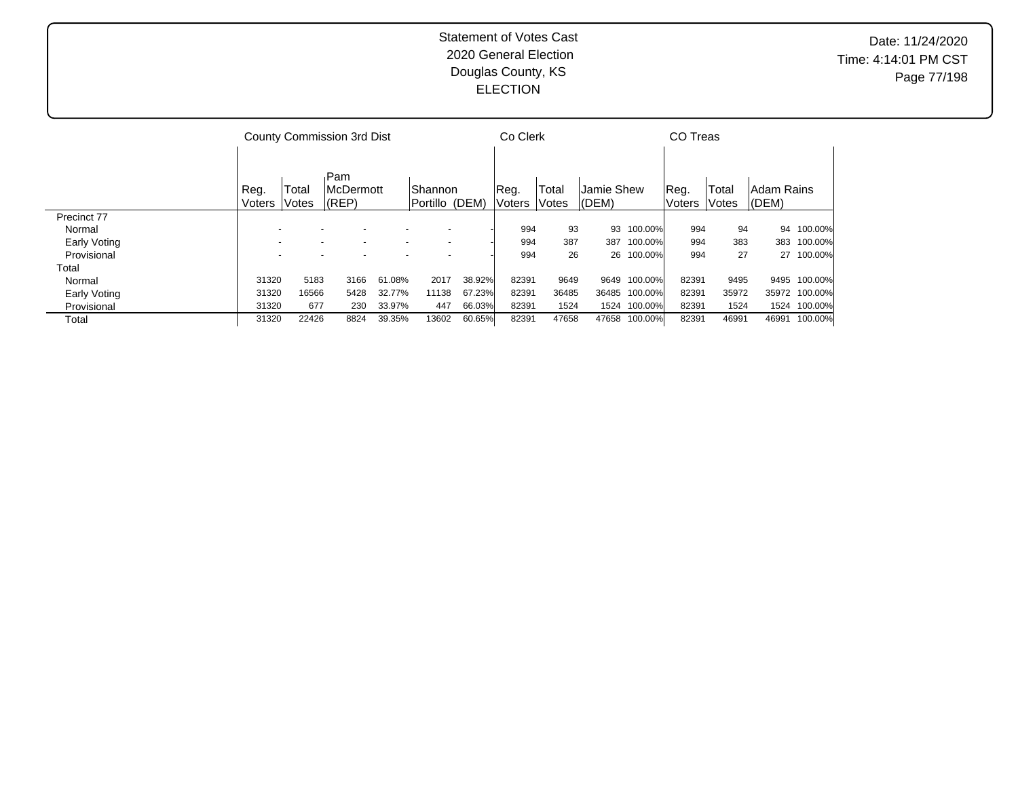|              |                |                          | County Commission 3rd Dist           |        |                                  |        | Co Clerk              |                |                                |              | CO Treas              |                 |                         |         |
|--------------|----------------|--------------------------|--------------------------------------|--------|----------------------------------|--------|-----------------------|----------------|--------------------------------|--------------|-----------------------|-----------------|-------------------------|---------|
|              | Reg.<br>Voters | Total<br>Votes           | Pam<br><b>McDermott</b><br>$ $ (REP) |        | <b>Shannon</b><br>Portillo (DEM) |        | Reg.<br><b>Voters</b> | Total<br>Votes | <b>Jamie Shew</b><br>$ $ (DEM) |              | Reg.<br><b>Voters</b> | Total<br> Votes | Adam Rains<br>$ $ (DEM) |         |
| Precinct 77  |                |                          |                                      |        |                                  |        |                       |                |                                |              |                       |                 |                         |         |
| Normal       |                |                          |                                      |        |                                  |        | 994                   | 93             | 93                             | 100.00%      | 994                   | 94              | 94                      | 100.00% |
| Early Voting |                | $\overline{\phantom{a}}$ | $\overline{\phantom{0}}$             |        | $\overline{\phantom{a}}$         |        | 994                   | 387            | 387                            | 100.00%      | 994                   | 383             | 383                     | 100.00% |
| Provisional  |                |                          |                                      |        | $\overline{\phantom{0}}$         |        | 994                   | 26             |                                | 26 100.00%   | 994                   | 27              | 27                      | 100.00% |
| Total        |                |                          |                                      |        |                                  |        |                       |                |                                |              |                       |                 |                         |         |
| Normal       | 31320          | 5183                     | 3166                                 | 61.08% | 2017                             | 38.92% | 82391                 | 9649           | 9649                           | 100.00%      | 82391                 | 9495            | 9495                    | 100.00% |
| Early Voting | 31320          | 16566                    | 5428                                 | 32.77% | 11138                            | 67.23% | 82391                 | 36485          | 36485                          | 100.00%      | 82391                 | 35972           | 35972                   | 100.00% |
| Provisional  | 31320          | 677                      | 230                                  | 33.97% | 447                              | 66.03% | 82391                 | 1524           |                                | 1524 100.00% | 82391                 | 1524            | 1524                    | 100.00% |
| Total        | 31320          | 22426                    | 8824                                 | 39.35% | 13602                            | 60.65% | 82391                 | 47658          | 47658                          | 100.00%      | 82391                 | 46991           | 46991                   | 100.00% |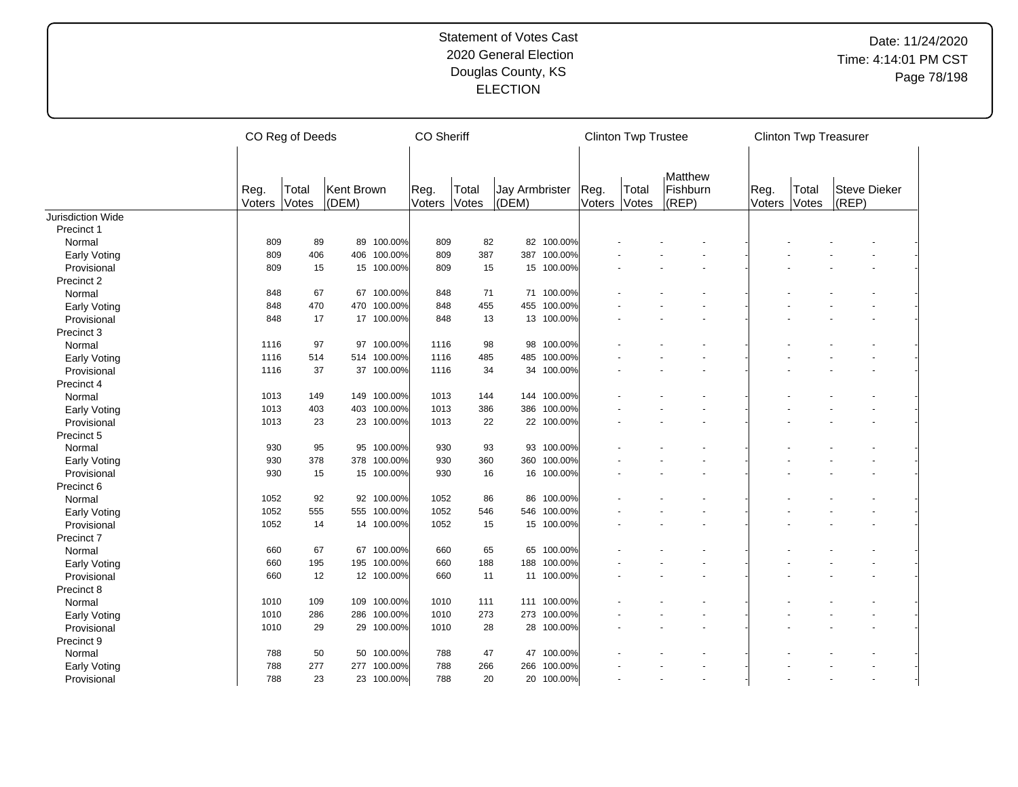|                   |                | CO Reg of Deeds<br>CO Sheriff |                     |             |                |                |                         |            |                | <b>Clinton Twp Trustee</b> |                                  |                |                | <b>Clinton Twp Treasurer</b> |  |
|-------------------|----------------|-------------------------------|---------------------|-------------|----------------|----------------|-------------------------|------------|----------------|----------------------------|----------------------------------|----------------|----------------|------------------------------|--|
|                   | Reg.<br>Voters | Total<br><b>Votes</b>         | Kent Brown<br>(DEM) |             | Reg.<br>Voters | Total<br>Votes | Jay Armbrister<br>(DEM) |            | Reg.<br>Voters | Total<br>Votes             | Matthew<br>Fishburn<br>$ $ (REP) | Reg.<br>Voters | Total<br>Votes | <b>Steve Dieker</b><br>(REP) |  |
| Jurisdiction Wide |                |                               |                     |             |                |                |                         |            |                |                            |                                  |                |                |                              |  |
| Precinct 1        |                |                               |                     |             |                |                |                         |            |                |                            |                                  |                |                |                              |  |
| Normal            | 809            | 89                            |                     | 89 100.00%  | 809            | 82             | 82                      | 100.00%    |                |                            |                                  |                |                |                              |  |
| Early Voting      | 809            | 406                           |                     | 406 100.00% | 809            | 387            | 387                     | 100.00%    |                |                            |                                  |                |                |                              |  |
| Provisional       | 809            | 15                            |                     | 15 100.00%  | 809            | 15             | 15                      | 100.00%    |                |                            |                                  |                |                |                              |  |
| Precinct 2        |                |                               |                     |             |                |                |                         |            |                |                            |                                  |                |                |                              |  |
| Normal            | 848            | 67                            |                     | 67 100.00%  | 848            | 71             |                         | 71 100.00% |                |                            |                                  |                |                |                              |  |
| Early Voting      | 848            | 470                           |                     | 470 100.00% | 848            | 455            | 455                     | 100.00%    |                |                            |                                  |                |                |                              |  |
| Provisional       | 848            | 17                            |                     | 17 100.00%  | 848            | 13             | 13                      | 100.00%    |                |                            |                                  |                |                |                              |  |
| Precinct 3        |                |                               |                     |             |                |                |                         |            |                |                            |                                  |                |                |                              |  |
| Normal            | 1116           | 97                            |                     | 97 100.00%  | 1116           | 98             | 98                      | 100.00%    |                |                            |                                  |                |                |                              |  |
| Early Voting      | 1116           | 514                           |                     | 514 100.00% | 1116           | 485            | 485                     | 100.00%    |                |                            |                                  |                |                |                              |  |
| Provisional       | 1116           | 37                            |                     | 37 100.00%  | 1116           | 34             | 34                      | 100.00%    |                |                            |                                  |                |                |                              |  |
| Precinct 4        |                |                               |                     |             |                |                |                         |            |                |                            |                                  |                |                |                              |  |
| Normal            | 1013           | 149                           |                     | 149 100.00% | 1013           | 144            | 144                     | 100.00%    |                |                            |                                  |                |                |                              |  |
| Early Voting      | 1013           | 403                           |                     | 403 100.00% | 1013           | 386            | 386                     | 100.00%    |                |                            |                                  |                |                |                              |  |
| Provisional       | 1013           | 23                            |                     | 23 100.00%  | 1013           | 22             |                         | 22 100.00% |                |                            |                                  |                |                |                              |  |
| Precinct 5        |                |                               |                     |             |                |                |                         |            |                |                            |                                  |                |                |                              |  |
| Normal            | 930            | 95                            |                     | 95 100.00%  | 930            | 93             | 93                      | 100.00%    |                |                            |                                  |                |                |                              |  |
| Early Voting      | 930            | 378                           |                     | 378 100.00% | 930            | 360            | 360                     | 100.00%    |                |                            |                                  |                |                |                              |  |
| Provisional       | 930            | 15                            |                     | 15 100.00%  | 930            | 16             | 16                      | 100.00%    |                |                            |                                  |                |                |                              |  |
| Precinct 6        |                |                               |                     |             |                |                |                         |            |                |                            |                                  |                |                |                              |  |
| Normal            | 1052           | 92                            |                     | 92 100.00%  | 1052           | 86             | 86                      | 100.00%    |                |                            |                                  |                |                |                              |  |
| Early Voting      | 1052           | 555                           |                     | 555 100.00% | 1052           | 546            | 546                     | 100.00%    |                |                            |                                  |                |                |                              |  |
| Provisional       | 1052           | 14                            |                     | 14 100.00%  | 1052           | 15             |                         | 15 100.00% |                |                            |                                  |                |                |                              |  |
| Precinct 7        |                |                               |                     |             |                |                |                         |            |                |                            |                                  |                |                |                              |  |
| Normal            | 660            | 67                            |                     | 67 100.00%  | 660            | 65             | 65                      | 100.00%    |                |                            |                                  |                |                |                              |  |
| Early Voting      | 660            | 195                           |                     | 195 100.00% | 660            | 188            | 188                     | 100.00%    |                |                            |                                  |                |                |                              |  |
| Provisional       | 660            | 12                            |                     | 12 100.00%  | 660            | 11             |                         | 11 100.00% |                |                            |                                  |                |                |                              |  |
| Precinct 8        |                |                               |                     |             |                |                |                         |            |                |                            |                                  |                |                |                              |  |
| Normal            | 1010           | 109                           | 109                 | 100.00%     | 1010           | 111            | 111                     | 100.00%    |                |                            |                                  |                |                |                              |  |
| Early Voting      | 1010           | 286                           |                     | 286 100.00% | 1010           | 273            | 273                     | 100.00%    |                |                            |                                  |                |                |                              |  |
| Provisional       | 1010           | 29                            |                     | 29 100.00%  | 1010           | 28             |                         | 28 100.00% |                |                            |                                  |                |                |                              |  |
| Precinct 9        |                |                               |                     |             |                |                |                         |            |                |                            |                                  |                |                |                              |  |
| Normal            | 788            | 50                            |                     | 50 100.00%  | 788            | 47             | 47                      | 100.00%    |                |                            |                                  |                |                |                              |  |
| Early Voting      | 788            | 277                           |                     | 277 100.00% | 788            | 266            | 266                     | 100.00%    |                |                            |                                  |                |                |                              |  |
| Provisional       | 788            | 23                            |                     | 23 100.00%  | 788            | 20             | 20                      | 100.00%    |                |                            |                                  |                |                |                              |  |
|                   |                |                               |                     |             |                |                |                         |            |                |                            |                                  |                |                |                              |  |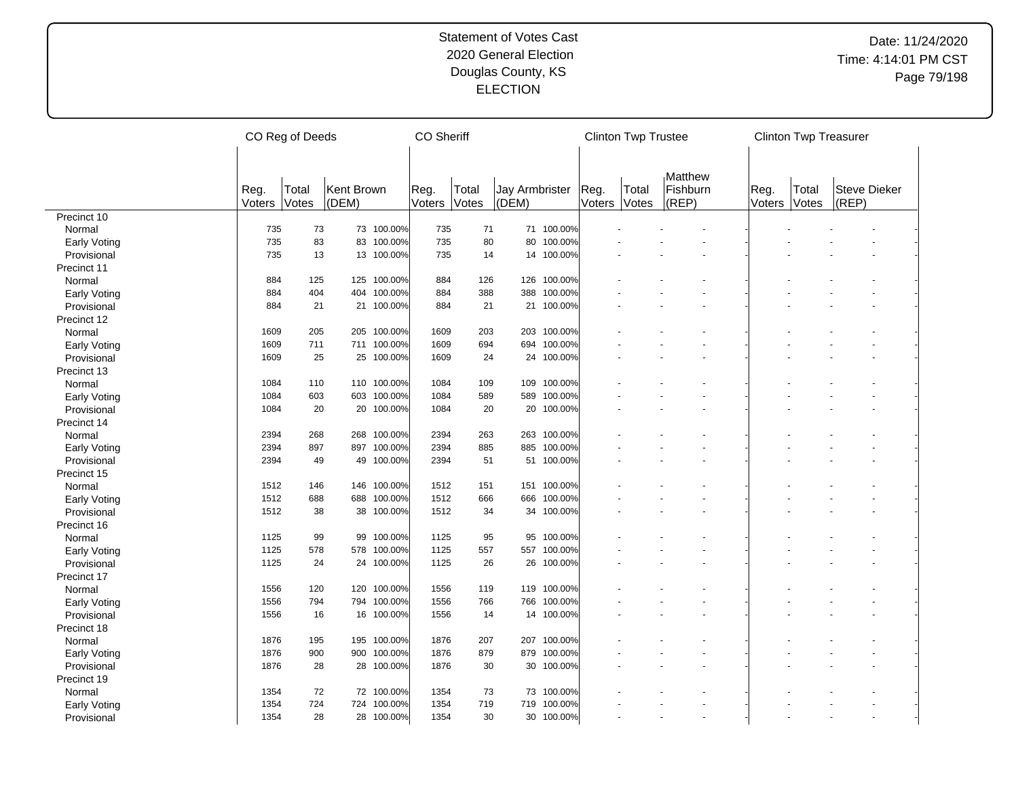|                     | CO Reg of Deeds |                | <b>CO Sheriff</b>   |             |                |                |                         | <b>Clinton Twp Trustee</b> |                |                | <b>Clinton Twp Treasurer</b> |                |                |                              |  |
|---------------------|-----------------|----------------|---------------------|-------------|----------------|----------------|-------------------------|----------------------------|----------------|----------------|------------------------------|----------------|----------------|------------------------------|--|
|                     | Reg.<br>Voters  | Total<br>Votes | Kent Brown<br>(DEM) |             | Reg.<br>Voters | Total<br>Votes | Jay Armbrister<br>(DEM) |                            | Reg.<br>Voters | Total<br>Votes | Matthew<br>Fishburn<br>(REP) | Reg.<br>Voters | Total<br>Votes | <b>Steve Dieker</b><br>(REP) |  |
| Precinct 10         |                 |                |                     |             |                |                |                         |                            |                |                |                              |                |                |                              |  |
| Normal              | 735             | 73             |                     | 73 100.00%  | 735            | 71             | 71                      | 100.00%                    |                |                |                              |                |                |                              |  |
| <b>Early Voting</b> | 735             | 83             |                     | 83 100.00%  | 735            | 80             | 80                      | 100.00%                    |                |                |                              |                |                |                              |  |
| Provisional         | 735             | 13             |                     | 13 100.00%  | 735            | 14             | 14                      | 100.00%                    |                |                |                              |                |                |                              |  |
| Precinct 11         |                 |                |                     |             |                |                |                         |                            |                |                |                              |                |                |                              |  |
| Normal              | 884             | 125            |                     | 125 100.00% | 884            | 126            | 126                     | 100.00%                    |                |                |                              |                |                |                              |  |
| <b>Early Voting</b> | 884             | 404            |                     | 404 100.00% | 884            | 388            | 388                     | 100.00%                    |                |                |                              |                |                |                              |  |
| Provisional         | 884             | 21             |                     | 21 100.00%  | 884            | 21             | 21                      | 100.00%                    |                |                |                              |                |                |                              |  |
| Precinct 12         |                 |                |                     |             |                |                |                         |                            |                |                |                              |                |                |                              |  |
| Normal              | 1609            | 205            | 205                 | 100.00%     | 1609           | 203            | 203                     | 100.00%                    |                |                |                              |                |                |                              |  |
| <b>Early Voting</b> | 1609            | 711            |                     | 711 100.00% | 1609           | 694            | 694                     | 100.00%                    |                |                |                              |                |                |                              |  |
| Provisional         | 1609            | 25             |                     | 25 100.00%  | 1609           | 24             | 24                      | 100.00%                    |                |                |                              |                |                |                              |  |
| Precinct 13         |                 |                |                     |             |                |                |                         |                            |                |                |                              |                |                |                              |  |
| Normal              | 1084            | 110            |                     | 110 100.00% | 1084           | 109            | 109                     | 100.00%                    |                |                |                              |                |                |                              |  |
| Early Voting        | 1084            | 603            |                     | 603 100.00% | 1084           | 589            | 589                     | 100.00%                    |                |                |                              |                |                |                              |  |
| Provisional         | 1084            | 20             |                     | 20 100.00%  | 1084           | 20             | 20                      | 100.00%                    |                |                |                              |                |                |                              |  |
| Precinct 14         |                 |                |                     |             |                |                |                         |                            |                |                |                              |                |                |                              |  |
| Normal              | 2394            | 268            | 268                 | 100.00%     | 2394           | 263            | 263                     | 100.00%                    |                |                |                              |                |                |                              |  |
| <b>Early Voting</b> | 2394            | 897            |                     | 897 100.00% | 2394           | 885            | 885                     | 100.00%                    |                |                |                              |                |                |                              |  |
| Provisional         | 2394            | 49             | 49                  | 100.00%     | 2394           | 51             | 51                      | 100.00%                    |                |                |                              |                |                |                              |  |
| Precinct 15         |                 |                |                     |             |                |                |                         |                            |                |                |                              |                |                |                              |  |
| Normal              | 1512            | 146            |                     | 146 100.00% | 1512           | 151            | 151                     | 100.00%                    |                |                |                              |                |                |                              |  |
| <b>Early Voting</b> | 1512            | 688            |                     | 688 100.00% | 1512           | 666            | 666                     | 100.00%                    |                |                |                              |                |                |                              |  |
| Provisional         | 1512            | 38             |                     | 38 100.00%  | 1512           | 34             | 34                      | 100.00%                    |                |                |                              |                |                |                              |  |
| Precinct 16         |                 |                |                     |             |                |                |                         |                            |                |                |                              |                |                |                              |  |
| Normal              | 1125            | 99             | 99                  | 100.00%     | 1125           | 95             | 95                      | 100.00%                    |                |                |                              |                |                |                              |  |
| <b>Early Voting</b> | 1125            | 578            |                     | 578 100.00% | 1125           | 557            | 557                     | 100.00%                    |                |                |                              |                |                |                              |  |
| Provisional         | 1125            | 24             |                     | 24 100.00%  | 1125           | 26             | 26                      | 100.00%                    |                |                |                              |                |                |                              |  |
| Precinct 17         |                 |                |                     |             |                |                |                         |                            |                |                |                              |                |                |                              |  |
| Normal              | 1556            | 120            | 120                 | 100.00%     | 1556           | 119            | 119                     | 100.00%                    |                |                |                              |                |                |                              |  |
| Early Voting        | 1556            | 794            |                     | 794 100.00% | 1556           | 766            | 766                     | 100.00%                    |                |                |                              |                |                |                              |  |
| Provisional         | 1556            | 16             |                     | 16 100.00%  | 1556           | 14             | 14                      | 100.00%                    |                |                |                              |                |                |                              |  |
| Precinct 18         |                 |                |                     |             |                |                |                         |                            |                |                |                              |                |                |                              |  |
| Normal              | 1876            | 195            |                     | 195 100.00% | 1876           | 207            | 207                     | 100.00%                    |                |                |                              |                |                |                              |  |
| <b>Early Voting</b> | 1876            | 900            |                     | 900 100.00% | 1876           | 879            | 879                     | 100.00%                    |                |                |                              |                |                |                              |  |
| Provisional         | 1876            | 28             |                     | 28 100.00%  | 1876           | 30             | 30                      | 100.00%                    |                |                |                              |                |                |                              |  |
| Precinct 19         |                 |                |                     |             |                |                |                         |                            |                |                |                              |                |                |                              |  |
| Normal              | 1354            | 72             |                     | 72 100.00%  | 1354           | 73             | 73                      | 100.00%                    |                |                |                              |                |                |                              |  |
| <b>Early Voting</b> | 1354            | 724            |                     | 724 100.00% | 1354           | 719            | 719                     | 100.00%                    |                |                |                              |                |                |                              |  |
| Provisional         | 1354            | 28             |                     | 28 100.00%  | 1354           | 30             | 30                      | 100.00%                    |                |                |                              |                |                |                              |  |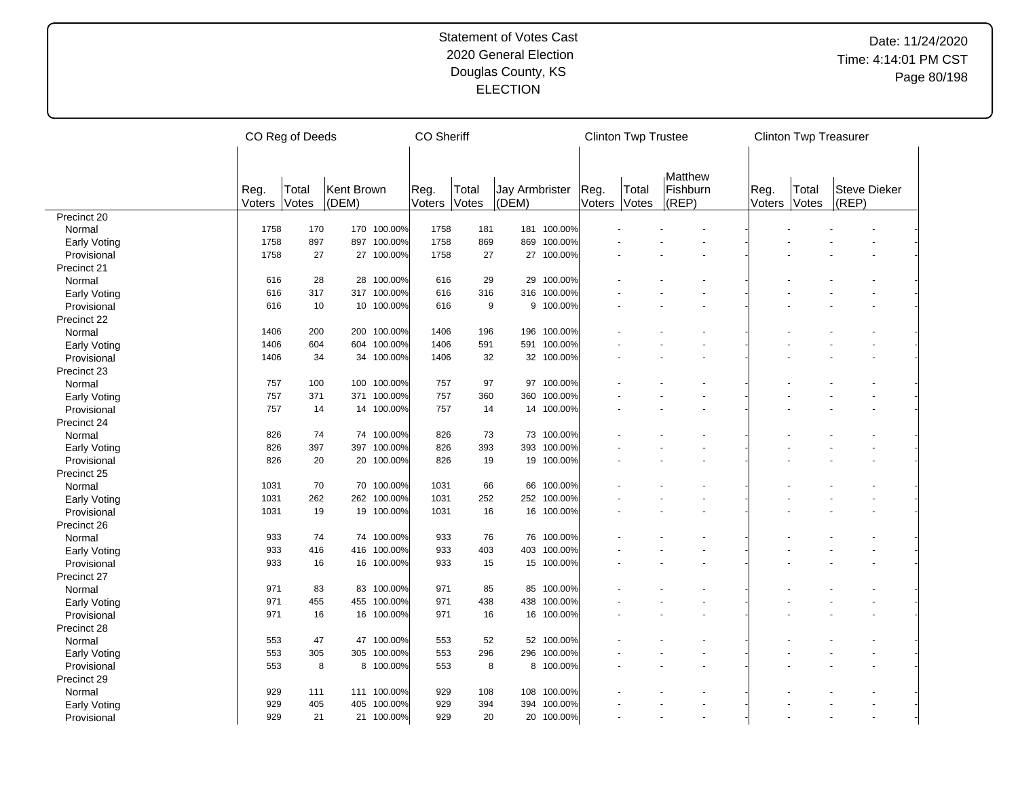|                             | CO Reg of Deeds |       |            |             | <b>CO Sheriff</b> |       |                |             |        | <b>Clinton Twp Trustee</b> |          |        | <b>Clinton Twp Treasurer</b> |              |  |
|-----------------------------|-----------------|-------|------------|-------------|-------------------|-------|----------------|-------------|--------|----------------------------|----------|--------|------------------------------|--------------|--|
|                             |                 |       |            |             |                   |       |                |             |        |                            |          |        |                              |              |  |
|                             |                 |       |            |             |                   |       |                |             |        |                            | Matthew  |        |                              |              |  |
|                             | Reg.            | Total | Kent Brown |             | Reg.              | Total | Jay Armbrister |             | Reg.   | Total                      | Fishburn | Reg.   | Total                        | Steve Dieker |  |
|                             | Voters          | Votes | (DEM)      |             | Voters            | Votes | (DEM)          |             | Voters | Votes                      | (REP)    | Voters | Votes                        | (REP)        |  |
| Precinct 20                 |                 |       |            |             |                   |       |                |             |        |                            |          |        |                              |              |  |
| Normal                      | 1758            | 170   |            | 170 100.00% | 1758              | 181   |                | 181 100.00% |        |                            |          |        |                              |              |  |
| Early Voting                | 1758            | 897   |            | 897 100.00% | 1758              | 869   | 869            | 100.00%     |        |                            |          |        |                              |              |  |
| Provisional                 | 1758            | 27    |            | 27 100.00%  | 1758              | 27    |                | 27 100.00%  |        |                            |          |        |                              |              |  |
| Precinct 21                 |                 |       |            |             |                   |       |                |             |        |                            |          |        |                              |              |  |
| Normal                      | 616             | 28    |            | 28 100.00%  | 616               | 29    | 29             | 100.00%     |        |                            |          |        |                              |              |  |
| Early Voting                | 616             | 317   |            | 317 100.00% | 616               | 316   | 316            | 100.00%     |        |                            |          |        |                              |              |  |
| Provisional                 | 616             | 10    |            | 10 100.00%  | 616               | 9     |                | 9 100.00%   |        |                            |          |        |                              |              |  |
| Precinct 22                 |                 |       |            |             |                   |       |                |             |        |                            |          |        |                              |              |  |
| Normal                      | 1406            | 200   |            | 200 100.00% | 1406              | 196   | 196            | 100.00%     |        |                            |          |        |                              |              |  |
| Early Voting                | 1406            | 604   |            | 604 100.00% | 1406              | 591   | 591            | 100.00%     |        |                            |          |        |                              |              |  |
| Provisional                 | 1406            | 34    |            | 34 100.00%  | 1406              | 32    |                | 32 100.00%  |        |                            |          |        |                              |              |  |
| Precinct 23                 |                 |       |            |             |                   |       |                |             |        |                            |          |        |                              |              |  |
| Normal                      | 757             | 100   |            | 100 100.00% | 757               | 97    | 97             | 100.00%     |        |                            |          |        |                              |              |  |
| Early Voting                | 757             | 371   |            | 371 100.00% | 757               | 360   | 360            | 100.00%     |        |                            |          |        |                              |              |  |
| Provisional                 | 757             | 14    |            | 14 100.00%  | 757               | 14    |                | 14 100.00%  |        |                            |          |        |                              |              |  |
| Precinct 24                 |                 |       |            |             |                   |       |                |             |        |                            |          |        |                              |              |  |
| Normal                      | 826             | 74    |            | 74 100.00%  | 826               | 73    |                | 73 100.00%  |        |                            |          |        |                              |              |  |
| Early Voting                | 826             | 397   |            | 397 100.00% | 826               | 393   | 393            | 100.00%     |        |                            |          |        |                              |              |  |
| Provisional                 | 826             | 20    |            | 20 100.00%  | 826               | 19    | 19             | 100.00%     |        |                            |          |        |                              |              |  |
| Precinct 25                 |                 |       |            |             |                   |       |                |             |        |                            |          |        |                              |              |  |
| Normal                      | 1031            | 70    |            | 70 100.00%  | 1031              | 66    | 66             | 100.00%     |        |                            |          |        |                              |              |  |
|                             | 1031            | 262   |            | 262 100.00% | 1031              | 252   | 252            | 100.00%     |        |                            |          |        |                              |              |  |
| Early Voting<br>Provisional | 1031            | 19    |            | 19 100.00%  | 1031              | 16    |                | 16 100.00%  |        |                            |          |        |                              |              |  |
|                             |                 |       |            |             |                   |       |                |             |        |                            |          |        |                              |              |  |
| Precinct 26                 |                 |       |            | 74 100.00%  |                   |       |                |             |        |                            |          |        |                              |              |  |
| Normal                      | 933<br>933      | 74    |            |             | 933               | 76    | 403            | 76 100.00%  |        |                            |          |        |                              |              |  |
| Early Voting                |                 | 416   |            | 416 100.00% | 933               | 403   |                | 100.00%     |        |                            |          |        |                              |              |  |
| Provisional                 | 933             | 16    |            | 16 100.00%  | 933               | 15    |                | 15 100.00%  |        |                            |          |        |                              |              |  |
| Precinct 27                 |                 |       |            |             |                   |       |                |             |        |                            |          |        |                              |              |  |
| Normal                      | 971             | 83    |            | 83 100.00%  | 971               | 85    | 85             | 100.00%     |        |                            |          |        |                              |              |  |
| Early Voting                | 971             | 455   |            | 455 100.00% | 971               | 438   | 438            | 100.00%     |        |                            |          |        |                              |              |  |
| Provisional                 | 971             | 16    |            | 16 100.00%  | 971               | 16    |                | 16 100.00%  |        |                            |          |        |                              |              |  |
| Precinct 28                 |                 |       |            |             |                   |       |                |             |        |                            |          |        |                              |              |  |
| Normal                      | 553             | 47    |            | 47 100.00%  | 553               | 52    |                | 52 100.00%  |        |                            |          |        |                              |              |  |
| Early Voting                | 553             | 305   |            | 305 100.00% | 553               | 296   | 296            | 100.00%     |        |                            |          |        |                              |              |  |
| Provisional                 | 553             | 8     |            | 8 100.00%   | 553               | 8     |                | 8 100.00%   |        |                            |          |        |                              |              |  |
| Precinct 29                 |                 |       |            |             |                   |       |                |             |        |                            |          |        |                              |              |  |
| Normal                      | 929             | 111   |            | 111 100.00% | 929               | 108   | 108            | 100.00%     |        |                            |          |        |                              |              |  |
| Early Voting                | 929             | 405   |            | 405 100.00% | 929               | 394   | 394            | 100.00%     |        |                            |          |        |                              |              |  |
| Provisional                 | 929             | 21    |            | 21 100.00%  | 929               | 20    |                | 20 100.00%  |        |                            |          |        |                              |              |  |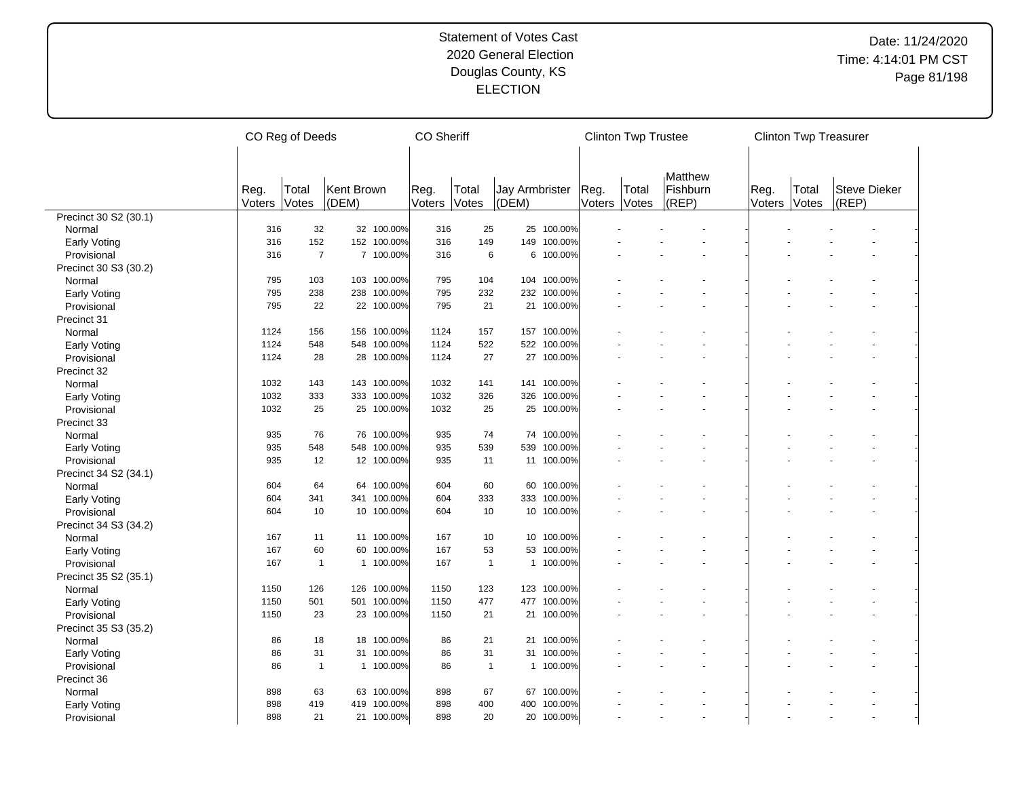|                       | CO Reg of Deeds |                |            |             |        | <b>CO Sheriff</b> |                 |            |        | <b>Clinton Twp Trustee</b> |                     |        | <b>Clinton Twp Treasurer</b> |                     |  |
|-----------------------|-----------------|----------------|------------|-------------|--------|-------------------|-----------------|------------|--------|----------------------------|---------------------|--------|------------------------------|---------------------|--|
|                       | Reg.            | Total          | Kent Brown |             | Reg.   | Total             | Jay Armbrister  |            | Reg.   | Total                      | Matthew<br>Fishburn | Reg.   | Total                        | <b>Steve Dieker</b> |  |
|                       | Voters          | Votes          | (DEM)      |             | Voters | Votes             | (DEM)           |            | Voters | Votes                      | (REP)               | Voters | Votes                        | (REP)               |  |
| Precinct 30 S2 (30.1) |                 |                |            |             |        |                   |                 |            |        |                            |                     |        |                              |                     |  |
| Normal                | 316             | 32             |            | 32 100.00%  | 316    | 25                | 25              | 100.00%    |        |                            |                     |        |                              |                     |  |
| <b>Early Voting</b>   | 316             | 152            |            | 152 100.00% | 316    | 149               | 149             | 100.00%    |        |                            |                     |        |                              |                     |  |
| Provisional           | 316             | $\overline{7}$ |            | 7 100.00%   | 316    | 6                 | 6               | 100.00%    |        |                            |                     |        |                              |                     |  |
| Precinct 30 S3 (30.2) |                 |                |            |             |        |                   |                 |            |        |                            |                     |        |                              |                     |  |
| Normal                | 795             | 103            |            | 103 100.00% | 795    | 104               | 104             | 100.00%    |        |                            |                     |        |                              |                     |  |
| <b>Early Voting</b>   | 795             | 238            |            | 238 100.00% | 795    | 232               | 232             | 100.00%    |        |                            |                     |        |                              |                     |  |
| Provisional           | 795             | 22             |            | 22 100.00%  | 795    | 21                | 21              | 100.00%    |        |                            |                     |        |                              |                     |  |
| Precinct 31           |                 |                |            |             |        |                   |                 |            |        |                            |                     |        |                              |                     |  |
| Normal                | 1124            | 156            | 156        | 100.00%     | 1124   | 157               | 157             | 100.00%    |        |                            |                     |        |                              |                     |  |
| <b>Early Voting</b>   | 1124            | 548            |            | 548 100.00% | 1124   | 522               | 522             | 100.00%    |        |                            |                     |        |                              |                     |  |
| Provisional           | 1124            | 28             |            | 28 100.00%  | 1124   | 27                | 27              | 100.00%    |        |                            |                     |        |                              |                     |  |
| Precinct 32           |                 |                |            |             |        |                   |                 |            |        |                            |                     |        |                              |                     |  |
| Normal                | 1032            | 143            |            | 143 100.00% | 1032   | 141               | 141             | 100.00%    |        |                            |                     |        |                              |                     |  |
| <b>Early Voting</b>   | 1032            | 333            |            | 333 100.00% | 1032   | 326               | 326             | 100.00%    |        |                            |                     |        |                              |                     |  |
| Provisional           | 1032            | 25             |            | 25 100.00%  | 1032   | 25                |                 | 25 100.00% |        |                            |                     |        |                              |                     |  |
| Precinct 33           |                 |                |            |             |        |                   |                 |            |        |                            |                     |        |                              |                     |  |
| Normal                | 935             | 76             |            | 76 100.00%  | 935    | 74                | 74              | 100.00%    |        |                            |                     |        |                              |                     |  |
|                       | 935             | 548            |            | 548 100.00% | 935    | 539               | 539             | 100.00%    |        |                            |                     |        |                              |                     |  |
| <b>Early Voting</b>   | 935             | 12             |            | 12 100.00%  | 935    | 11                | 11              | 100.00%    |        |                            |                     |        |                              |                     |  |
| Provisional           |                 |                |            |             |        |                   |                 |            |        |                            |                     |        |                              |                     |  |
| Precinct 34 S2 (34.1) | 604             | 64             |            | 64 100.00%  | 604    | 60                | 60              | 100.00%    |        |                            |                     |        |                              |                     |  |
| Normal                |                 |                |            |             |        |                   |                 |            |        |                            |                     |        |                              |                     |  |
| <b>Early Voting</b>   | 604             | 341            |            | 341 100.00% | 604    | 333               | 333             | 100.00%    |        |                            |                     |        |                              |                     |  |
| Provisional           | 604             | 10             |            | 10 100.00%  | 604    | 10                | 10 <sup>1</sup> | 100.00%    |        |                            |                     |        |                              |                     |  |
| Precinct 34 S3 (34.2) |                 |                |            |             |        |                   |                 |            |        |                            |                     |        |                              |                     |  |
| Normal                | 167             | 11             |            | 11 100.00%  | 167    | 10                | 10              | 100.00%    |        |                            |                     |        |                              |                     |  |
| <b>Early Voting</b>   | 167             | 60             | 60         | 100.00%     | 167    | 53                | 53              | 100.00%    |        |                            |                     |        |                              |                     |  |
| Provisional           | 167             | $\overline{1}$ |            | 1 100.00%   | 167    | $\mathbf{1}$      | $\mathbf{1}$    | 100.00%    |        |                            |                     |        |                              |                     |  |
| Precinct 35 S2 (35.1) |                 |                |            |             |        |                   |                 |            |        |                            |                     |        |                              |                     |  |
| Normal                | 1150            | 126            | 126        | 100.00%     | 1150   | 123               | 123             | 100.00%    |        |                            |                     |        |                              |                     |  |
| <b>Early Voting</b>   | 1150            | 501            |            | 501 100.00% | 1150   | 477               | 477             | 100.00%    |        |                            |                     |        |                              |                     |  |
| Provisional           | 1150            | 23             |            | 23 100.00%  | 1150   | 21                |                 | 21 100.00% |        |                            |                     |        |                              |                     |  |
| Precinct 35 S3 (35.2) |                 |                |            |             |        |                   |                 |            |        |                            |                     |        |                              |                     |  |
| Normal                | 86              | 18             |            | 18 100.00%  | 86     | 21                | 21              | 100.00%    |        |                            |                     |        |                              |                     |  |
| <b>Early Voting</b>   | 86              | 31             |            | 31 100.00%  | 86     | 31                | 31              | 100.00%    |        |                            |                     |        |                              |                     |  |
| Provisional           | 86              | $\overline{1}$ |            | 1 100.00%   | 86     | $\mathbf{1}$      |                 | 1 100.00%  |        |                            |                     |        |                              |                     |  |
| Precinct 36           |                 |                |            |             |        |                   |                 |            |        |                            |                     |        |                              |                     |  |
| Normal                | 898             | 63             | 63         | 100.00%     | 898    | 67                | 67              | 100.00%    |        |                            |                     |        |                              |                     |  |
| <b>Early Voting</b>   | 898             | 419            |            | 419 100.00% | 898    | 400               | 400             | 100.00%    |        |                            |                     |        |                              |                     |  |
| Provisional           | 898             | 21             |            | 21 100.00%  | 898    | 20                | 20              | 100.00%    |        |                            |                     |        |                              |                     |  |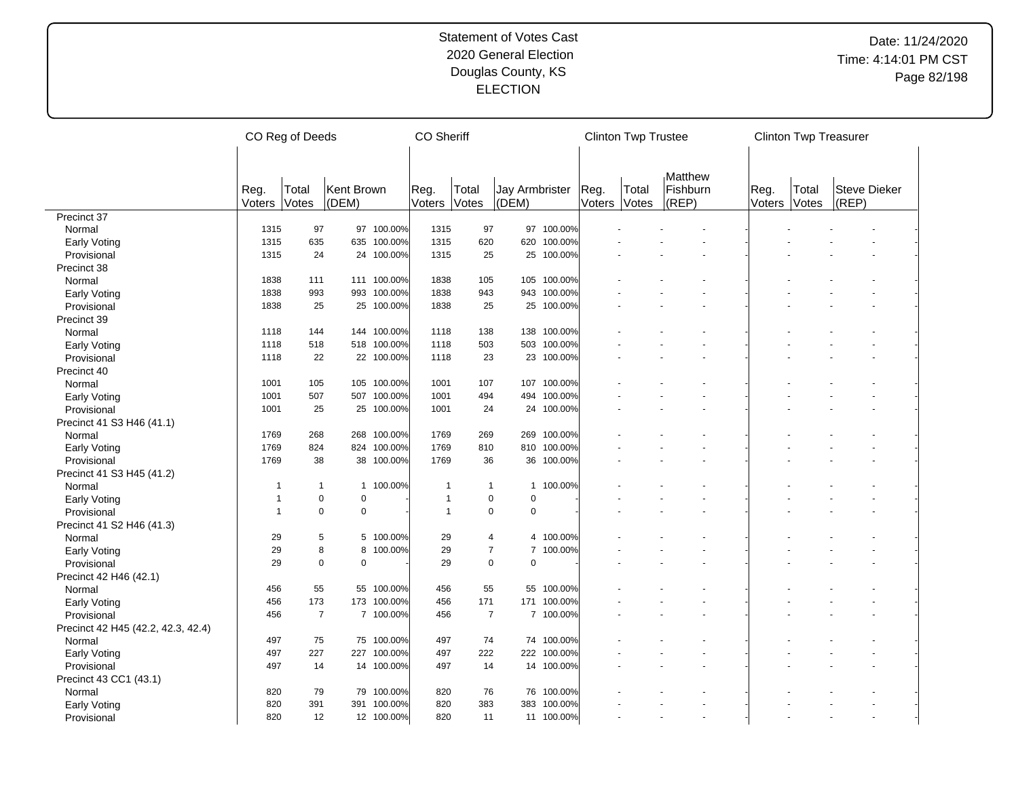|                                    | CO Reg of Deeds | <b>CO</b> Sheriff |                     |             |                |                | <b>Clinton Twp Trustee</b>     |             |                | <b>Clinton Twp Treasurer</b> |                   |                |                |                       |  |
|------------------------------------|-----------------|-------------------|---------------------|-------------|----------------|----------------|--------------------------------|-------------|----------------|------------------------------|-------------------|----------------|----------------|-----------------------|--|
|                                    |                 |                   |                     |             |                |                |                                |             |                |                              | Matthew           |                |                |                       |  |
|                                    | Reg.<br>Voters  | Total<br>Votes    | Kent Brown<br>(DEM) |             | Reg.<br>Voters | Total<br>Votes | <b>Jay Armbrister</b><br>(DEM) |             | Reg.<br>Voters | Total<br>Votes               | Fishburn<br>(REP) | Reg.<br>Voters | Total<br>Votes | Steve Dieker<br>(REP) |  |
| Precinct 37                        |                 |                   |                     |             |                |                |                                |             |                |                              |                   |                |                |                       |  |
| Normal                             | 1315            | 97                |                     | 97 100.00%  | 1315           | 97             | 97                             | 100.00%     |                |                              |                   |                |                |                       |  |
| <b>Early Voting</b>                | 1315            | 635               |                     | 635 100.00% | 1315           | 620            | 620                            | 100.00%     |                |                              |                   |                |                |                       |  |
| Provisional                        | 1315            | 24                |                     | 24 100.00%  | 1315           | 25             |                                | 25 100.00%  |                |                              |                   |                |                |                       |  |
| Precinct 38                        |                 |                   |                     |             |                |                |                                |             |                |                              |                   |                |                |                       |  |
| Normal                             | 1838            | 111               |                     | 111 100.00% | 1838           | 105            |                                | 105 100.00% |                |                              |                   |                |                |                       |  |
| <b>Early Voting</b>                | 1838            | 993               |                     | 993 100.00% | 1838           | 943            | 943                            | 100.00%     |                |                              |                   |                |                |                       |  |
| Provisional                        | 1838            | 25                |                     | 25 100.00%  | 1838           | 25             |                                | 25 100.00%  |                |                              |                   |                |                |                       |  |
| Precinct 39                        |                 |                   |                     |             |                |                |                                |             |                |                              |                   |                |                |                       |  |
| Normal                             | 1118            | 144               |                     | 144 100.00% | 1118           | 138            | 138                            | 100.00%     |                |                              |                   |                |                |                       |  |
| <b>Early Voting</b>                | 1118            | 518               |                     | 518 100.00% | 1118           | 503            | 503                            | 100.00%     |                |                              |                   |                |                |                       |  |
| Provisional                        | 1118            | 22                |                     | 22 100.00%  | 1118           | 23             | 23                             | 100.00%     |                |                              |                   |                |                |                       |  |
| Precinct 40                        |                 |                   |                     |             |                |                |                                |             |                |                              |                   |                |                |                       |  |
| Normal                             | 1001            | 105               |                     | 105 100.00% | 1001           | 107            | 107                            | 100.00%     |                |                              |                   |                |                |                       |  |
| <b>Early Voting</b>                | 1001            | 507               |                     | 507 100.00% | 1001           | 494            | 494                            | 100.00%     |                |                              |                   |                |                |                       |  |
| Provisional                        | 1001            | 25                |                     | 25 100.00%  | 1001           | 24             |                                | 24 100.00%  |                |                              |                   |                |                |                       |  |
| Precinct 41 S3 H46 (41.1)          |                 |                   |                     |             |                |                |                                |             |                |                              |                   |                |                |                       |  |
| Normal                             | 1769            | 268               |                     | 268 100.00% | 1769           | 269            | 269                            | 100.00%     |                |                              |                   |                |                |                       |  |
| <b>Early Voting</b>                | 1769            | 824               |                     | 824 100.00% | 1769           | 810            | 810                            | 100.00%     |                |                              |                   |                |                |                       |  |
| Provisional                        | 1769            | 38                |                     | 38 100.00%  | 1769           | 36             | 36                             | 100.00%     |                |                              |                   |                |                |                       |  |
| Precinct 41 S3 H45 (41.2)          |                 |                   |                     |             |                |                |                                |             |                |                              |                   |                |                |                       |  |
| Normal                             | 1               | $\overline{1}$    | $\mathbf{1}$        | 100.00%     | $\mathbf{1}$   | $\mathbf{1}$   | $\mathbf{1}$                   | 100.00%     |                |                              |                   |                |                |                       |  |
| <b>Early Voting</b>                | $\mathbf{1}$    | $\mathbf 0$       | $\Omega$            |             | $\mathbf{1}$   | $\pmb{0}$      | $\mathbf 0$                    |             |                |                              |                   |                |                |                       |  |
| Provisional                        | $\mathbf{1}$    | $\mathbf 0$       | $\mathbf 0$         |             | $\mathbf{1}$   | $\pmb{0}$      | $\mathbf 0$                    |             |                |                              |                   |                |                |                       |  |
| Precinct 41 S2 H46 (41.3)          |                 |                   |                     |             |                |                |                                |             |                |                              |                   |                |                |                       |  |
| Normal                             | 29              | 5                 |                     | 5 100.00%   | 29             | $\overline{4}$ | $\overline{4}$                 | 100.00%     |                |                              |                   |                |                |                       |  |
|                                    | 29              | 8                 | 8                   | 100.00%     | 29             | $\overline{7}$ | $\overline{7}$                 | 100.00%     |                |                              |                   |                |                |                       |  |
| <b>Early Voting</b>                | 29              | $\mathbf 0$       | $\mathbf 0$         |             | 29             | $\pmb{0}$      | $\Omega$                       |             |                |                              |                   |                |                |                       |  |
| Provisional                        |                 |                   |                     |             |                |                |                                |             |                |                              |                   |                |                |                       |  |
| Precinct 42 H46 (42.1)             | 456             | 55                |                     | 55 100.00%  | 456            | 55             | 55                             | 100.00%     |                |                              |                   |                |                |                       |  |
| Normal                             |                 |                   |                     |             |                |                |                                |             |                |                              |                   |                |                |                       |  |
| <b>Early Voting</b>                | 456             | 173               |                     | 173 100.00% | 456            | 171            | 171                            | 100.00%     |                |                              |                   |                |                |                       |  |
| Provisional                        | 456             | $\overline{7}$    |                     | 7 100.00%   | 456            | $\overline{7}$ |                                | 7 100.00%   |                |                              |                   |                |                |                       |  |
| Precinct 42 H45 (42.2, 42.3, 42.4) |                 |                   |                     |             |                |                |                                |             |                |                              |                   |                |                |                       |  |
| Normal                             | 497             | 75                |                     | 75 100.00%  | 497            | 74             |                                | 74 100.00%  |                |                              |                   |                |                |                       |  |
| <b>Early Voting</b>                | 497             | 227               |                     | 227 100.00% | 497            | 222            | 222                            | 100.00%     |                |                              |                   |                |                |                       |  |
| Provisional                        | 497             | 14                |                     | 14 100.00%  | 497            | 14             |                                | 14 100.00%  |                |                              |                   |                |                |                       |  |
| Precinct 43 CC1 (43.1)             |                 |                   |                     |             |                |                |                                |             |                |                              |                   |                |                |                       |  |
| Normal                             | 820             | 79                |                     | 79 100.00%  | 820            | 76             | 76                             | 100.00%     |                |                              |                   |                |                |                       |  |
| <b>Early Voting</b>                | 820             | 391               |                     | 391 100.00% | 820            | 383            | 383                            | 100.00%     |                |                              |                   |                |                |                       |  |
| Provisional                        | 820             | 12                |                     | 12 100.00%  | 820            | 11             |                                | 11 100.00%  |                |                              |                   |                |                |                       |  |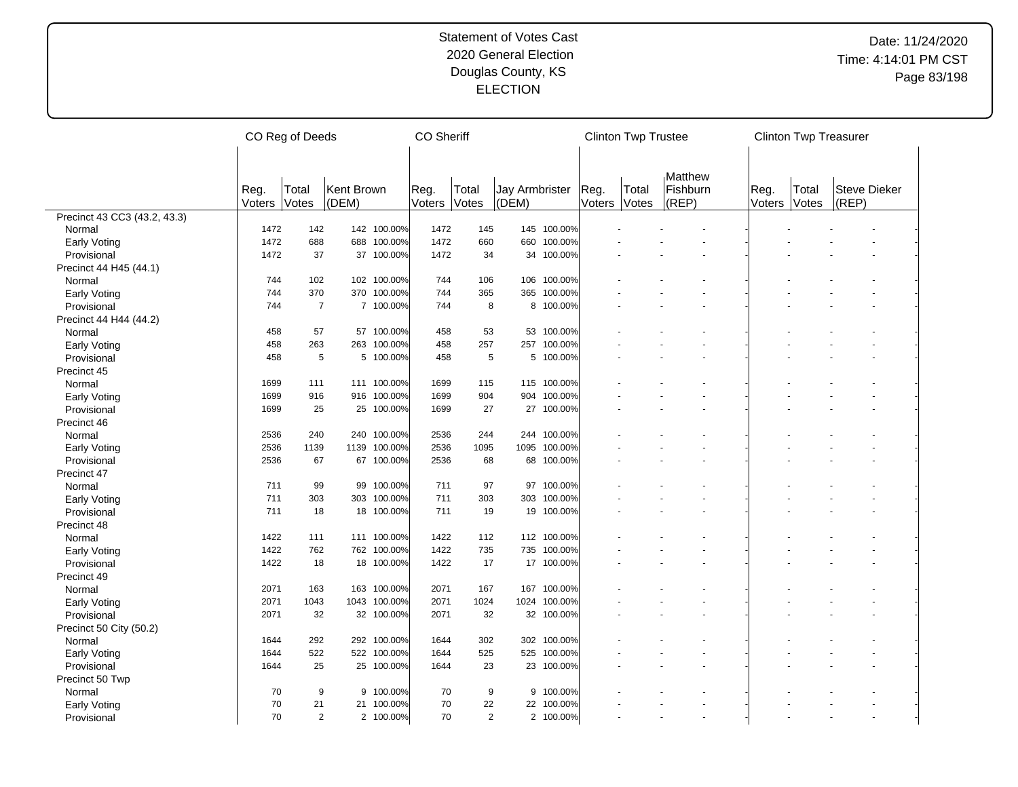|                                    | CO Reg of Deeds |                |                     |              |                | <b>CO</b> Sheriff |                                |              |                | <b>Clinton Twp Trustee</b> |                   |                | <b>Clinton Twp Treasurer</b> |                       |  |
|------------------------------------|-----------------|----------------|---------------------|--------------|----------------|-------------------|--------------------------------|--------------|----------------|----------------------------|-------------------|----------------|------------------------------|-----------------------|--|
|                                    |                 |                |                     |              |                |                   |                                |              |                |                            |                   |                |                              |                       |  |
|                                    |                 |                |                     |              |                |                   |                                |              |                |                            | Matthew           |                |                              |                       |  |
|                                    | Reg.<br>Voters  | Total<br>Votes | Kent Brown<br>(DEM) |              | Reg.<br>Voters | Total<br>Votes    | <b>Jay Armbrister</b><br>(DEM) |              | Reg.<br>Voters | Total<br>Votes             | Fishburn<br>(REP) | Reg.<br>Voters | Total<br>Votes               | Steve Dieker<br>(REP) |  |
| Precinct 43 CC3 (43.2, 43.3)       |                 |                |                     |              |                |                   |                                |              |                |                            |                   |                |                              |                       |  |
| Normal                             | 1472            | 142            |                     | 142 100.00%  | 1472           | 145               |                                | 145 100.00%  |                |                            |                   |                |                              |                       |  |
| <b>Early Voting</b>                | 1472            | 688            |                     | 688 100.00%  | 1472           | 660               | 660                            | 100.00%      |                |                            |                   |                |                              |                       |  |
| Provisional                        | 1472            | 37             |                     | 37 100.00%   | 1472           | 34                |                                | 34 100.00%   |                |                            |                   |                |                              |                       |  |
| Precinct 44 H45 (44.1)             |                 |                |                     |              |                |                   |                                |              |                |                            |                   |                |                              |                       |  |
| Normal                             | 744             | 102            |                     | 102 100.00%  | 744            | 106               |                                | 106 100.00%  |                |                            |                   |                |                              |                       |  |
| <b>Early Voting</b>                | 744             | 370            |                     | 370 100.00%  | 744            | 365               | 365                            | 100.00%      |                |                            |                   |                |                              |                       |  |
| Provisional                        | 744             | $\overline{7}$ |                     | 7 100.00%    | 744            | 8                 |                                | 8 100.00%    |                |                            |                   |                |                              |                       |  |
| Precinct 44 H44 (44.2)             |                 |                |                     |              |                |                   |                                |              |                |                            |                   |                |                              |                       |  |
| Normal                             | 458             | 57             |                     | 57 100.00%   | 458            | 53                | 53                             | 100.00%      |                |                            |                   |                |                              |                       |  |
| <b>Early Voting</b>                | 458             | 263            |                     | 263 100.00%  | 458            | 257               | 257                            | 100.00%      |                |                            |                   |                |                              |                       |  |
| Provisional                        | 458             | 5              |                     | 5 100.00%    | 458            | 5                 | 5                              | 100.00%      |                |                            |                   |                |                              |                       |  |
| Precinct 45                        |                 |                |                     |              |                |                   |                                |              |                |                            |                   |                |                              |                       |  |
| Normal                             | 1699            | 111            |                     | 111 100.00%  | 1699           | 115               |                                | 115 100.00%  |                |                            |                   |                |                              |                       |  |
| <b>Early Voting</b>                | 1699            | 916            |                     | 916 100.00%  | 1699           | 904               | 904                            | 100.00%      |                |                            |                   |                |                              |                       |  |
| Provisional                        | 1699            | 25             |                     | 25 100.00%   | 1699           | 27                |                                | 27 100.00%   |                |                            |                   |                |                              |                       |  |
| Precinct 46                        |                 |                |                     |              |                |                   |                                |              |                |                            |                   |                |                              |                       |  |
| Normal                             | 2536            | 240            |                     | 240 100.00%  | 2536           | 244               |                                | 244 100.00%  |                |                            |                   |                |                              |                       |  |
| <b>Early Voting</b>                | 2536            | 1139           |                     | 1139 100.00% | 2536           | 1095              | 1095                           | 100.00%      |                |                            |                   |                |                              |                       |  |
| Provisional                        | 2536            | 67             |                     | 67 100.00%   | 2536           | 68                | 68                             | 100.00%      |                |                            |                   |                |                              |                       |  |
| Precinct 47                        |                 |                |                     |              |                |                   |                                |              |                |                            |                   |                |                              |                       |  |
| Normal                             | 711             | 99             |                     | 99 100.00%   | 711            | 97                | 97                             | 100.00%      |                |                            |                   |                |                              |                       |  |
|                                    | 711             | 303            |                     | 303 100.00%  | 711            | 303               | 303                            | 100.00%      |                |                            |                   |                |                              |                       |  |
| <b>Early Voting</b><br>Provisional | 711             | 18             |                     | 18 100.00%   | 711            | 19                |                                | 19 100.00%   |                |                            |                   |                |                              |                       |  |
|                                    |                 |                |                     |              |                |                   |                                |              |                |                            |                   |                |                              |                       |  |
| Precinct 48                        | 1422            | 111            |                     | 111 100.00%  | 1422           | 112               |                                | 112 100.00%  |                |                            |                   |                |                              |                       |  |
| Normal                             | 1422            | 762            |                     | 762 100.00%  | 1422           | 735               |                                | 735 100.00%  |                |                            |                   |                |                              |                       |  |
| <b>Early Voting</b>                |                 |                |                     |              | 1422           | 17                |                                |              |                |                            |                   |                |                              |                       |  |
| Provisional                        | 1422            | 18             |                     | 18 100.00%   |                |                   |                                | 17 100.00%   |                |                            |                   |                |                              |                       |  |
| Precinct 49                        |                 |                |                     |              |                |                   |                                |              |                |                            |                   |                |                              |                       |  |
| Normal                             | 2071            | 163            |                     | 163 100.00%  | 2071           | 167               | 167                            | 100.00%      |                |                            |                   |                |                              |                       |  |
| <b>Early Voting</b>                | 2071            | 1043           |                     | 1043 100.00% | 2071           | 1024              |                                | 1024 100.00% |                |                            |                   |                |                              |                       |  |
| Provisional                        | 2071            | 32             |                     | 32 100.00%   | 2071           | 32                |                                | 32 100.00%   |                |                            |                   |                |                              |                       |  |
| Precinct 50 City (50.2)            |                 |                |                     |              |                |                   |                                |              |                |                            |                   |                |                              |                       |  |
| Normal                             | 1644            | 292            |                     | 292 100.00%  | 1644           | 302               | 302                            | 100.00%      |                |                            |                   |                |                              |                       |  |
| <b>Early Voting</b>                | 1644            | 522            |                     | 522 100.00%  | 1644           | 525               | 525                            | 100.00%      |                |                            |                   |                |                              |                       |  |
| Provisional                        | 1644            | 25             |                     | 25 100.00%   | 1644           | 23                |                                | 23 100.00%   |                |                            |                   |                |                              |                       |  |
| Precinct 50 Twp                    |                 |                |                     |              |                |                   |                                |              |                |                            |                   |                |                              |                       |  |
| Normal                             | 70              | 9              |                     | 9 100.00%    | 70             | 9                 | 9                              | 100.00%      |                |                            |                   |                |                              |                       |  |
| <b>Early Voting</b>                | 70              | 21             |                     | 21 100.00%   | 70             | 22                | 22                             | 100.00%      |                |                            |                   |                |                              |                       |  |
| Provisional                        | 70              | $\overline{2}$ |                     | 2 100.00%    | 70             | $\overline{2}$    |                                | 2 100.00%    |                |                            |                   |                |                              |                       |  |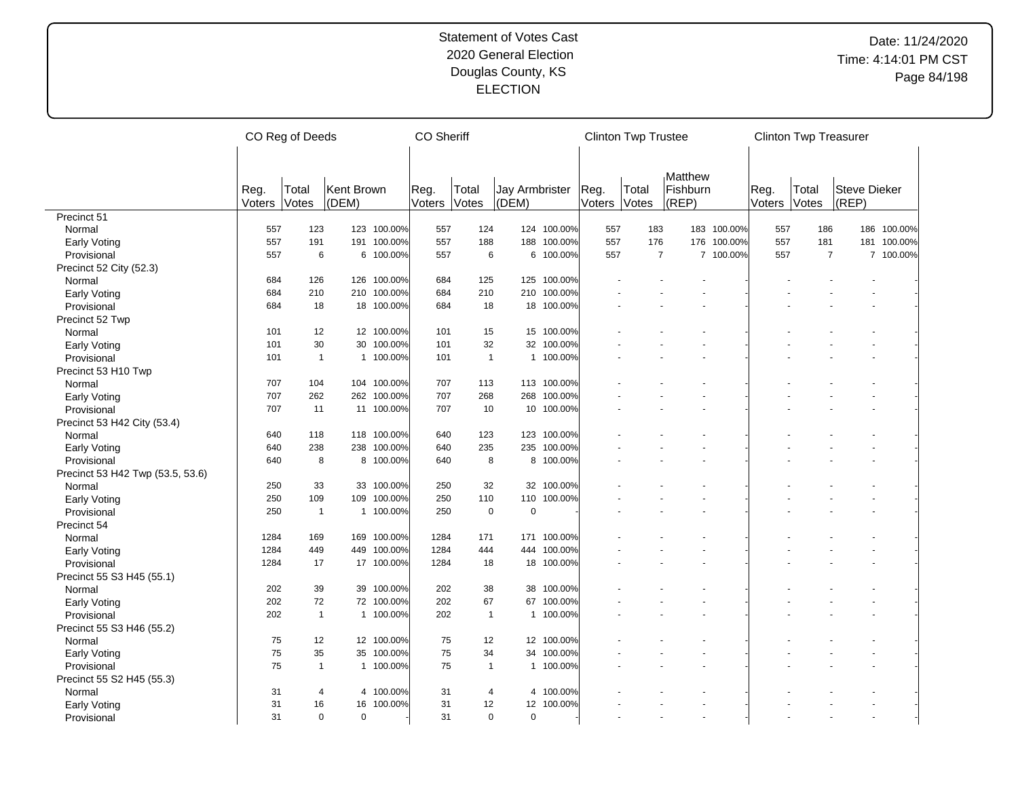|                                  |        | CO Reg of Deeds |             | <b>CO Sheriff</b> |        |                |                       |             | <b>Clinton Twp Trustee</b> |                |                     |             | <b>Clinton Twp Treasurer</b> |                |              |             |
|----------------------------------|--------|-----------------|-------------|-------------------|--------|----------------|-----------------------|-------------|----------------------------|----------------|---------------------|-------------|------------------------------|----------------|--------------|-------------|
|                                  | Reg.   | Total           | Kent Brown  |                   | Reg.   | Total          | <b>Jay Armbrister</b> |             | Reg.                       | Total          | Matthew<br>Fishburn |             | Reg.                         | Total          | Steve Dieker |             |
|                                  | Voters | Votes           | (DEM)       |                   | Voters | Votes          | (DEM)                 |             | Voters                     | Votes          | (REP)               |             | Voters                       | Votes          | (REP)        |             |
| Precinct 51                      |        |                 |             |                   |        |                |                       |             |                            |                |                     |             |                              |                |              |             |
| Normal                           | 557    | 123             |             | 123 100.00%       | 557    | 124            |                       | 124 100.00% | 557                        | 183            |                     | 183 100.00% | 557                          | 186            |              | 186 100.00% |
| <b>Early Voting</b>              | 557    | 191             |             | 191 100.00%       | 557    | 188            |                       | 188 100.00% | 557                        | 176            |                     | 176 100.00% | 557                          | 181            |              | 181 100.00% |
| Provisional                      | 557    | 6               | 6           | 100.00%           | 557    | 6              |                       | 6 100.00%   | 557                        | $\overline{7}$ |                     | 7 100.00%   | 557                          | $\overline{7}$ |              | 7 100.00%   |
| Precinct 52 City (52.3)          |        |                 |             |                   |        |                |                       |             |                            |                |                     |             |                              |                |              |             |
| Normal                           | 684    | 126             |             | 126 100.00%       | 684    | 125            |                       | 125 100.00% |                            |                |                     |             |                              |                |              |             |
| <b>Early Voting</b>              | 684    | 210             |             | 210 100.00%       | 684    | 210            | 210                   | 100.00%     |                            |                |                     |             |                              |                |              |             |
| Provisional                      | 684    | 18              |             | 18 100.00%        | 684    | 18             |                       | 18 100.00%  |                            |                |                     |             |                              |                |              |             |
| Precinct 52 Twp                  |        |                 |             |                   |        |                |                       |             |                            |                |                     |             |                              |                |              |             |
| Normal                           | 101    | 12              |             | 12 100.00%        | 101    | 15             | 15                    | 100.00%     |                            |                |                     |             |                              |                |              |             |
| <b>Early Voting</b>              | 101    | 30              |             | 30 100.00%        | 101    | 32             |                       | 32 100.00%  |                            |                |                     |             |                              |                |              |             |
| Provisional                      | 101    | $\mathbf{1}$    |             | 1 100.00%         | 101    | $\overline{1}$ | $\mathbf{1}$          | 100.00%     |                            |                |                     |             |                              |                |              |             |
| Precinct 53 H10 Twp              |        |                 |             |                   |        |                |                       |             |                            |                |                     |             |                              |                |              |             |
| Normal                           | 707    | 104             |             | 104 100.00%       | 707    | 113            |                       | 113 100.00% |                            |                |                     |             |                              |                |              |             |
| <b>Early Voting</b>              | 707    | 262             |             | 262 100.00%       | 707    | 268            | 268                   | 100.00%     |                            |                |                     |             |                              |                |              |             |
| Provisional                      | 707    | 11              |             | 11 100.00%        | 707    | 10             |                       | 10 100.00%  |                            |                |                     |             |                              |                |              |             |
| Precinct 53 H42 City (53.4)      |        |                 |             |                   |        |                |                       |             |                            |                |                     |             |                              |                |              |             |
| Normal                           | 640    | 118             |             | 118 100.00%       | 640    | 123            |                       | 123 100.00% |                            |                |                     |             |                              |                |              |             |
|                                  | 640    | 238             |             | 238 100.00%       | 640    | 235            | 235                   | 100.00%     |                            |                |                     |             |                              |                |              |             |
| <b>Early Voting</b>              | 640    | 8               |             | 8 100.00%         | 640    | 8              | 8                     | 100.00%     |                            |                |                     |             |                              |                |              |             |
| Provisional                      |        |                 |             |                   |        |                |                       |             |                            |                |                     |             |                              |                |              |             |
| Precinct 53 H42 Twp (53.5, 53.6) |        |                 |             |                   |        | 32             |                       |             |                            |                |                     |             |                              |                |              |             |
| Normal                           | 250    | 33              |             | 33 100.00%        | 250    |                |                       | 32 100.00%  |                            |                |                     |             |                              |                |              |             |
| <b>Early Voting</b>              | 250    | 109             |             | 109 100.00%       | 250    | 110            | 110                   | 100.00%     |                            |                |                     |             |                              |                |              |             |
| Provisional                      | 250    | $\overline{1}$  |             | 1 100.00%         | 250    | $\mathbf 0$    | $\mathbf 0$           |             |                            |                |                     |             |                              |                |              |             |
| Precinct 54                      |        |                 |             |                   |        |                |                       |             |                            |                |                     |             |                              |                |              |             |
| Normal                           | 1284   | 169             |             | 169 100.00%       | 1284   | 171            |                       | 171 100.00% |                            |                |                     |             |                              |                |              |             |
| <b>Early Voting</b>              | 1284   | 449             |             | 449 100.00%       | 1284   | 444            | 444                   | 100.00%     |                            |                |                     |             |                              |                |              |             |
| Provisional                      | 1284   | 17              |             | 17 100.00%        | 1284   | 18             |                       | 18 100.00%  |                            |                |                     |             |                              |                |              |             |
| Precinct 55 S3 H45 (55.1)        |        |                 |             |                   |        |                |                       |             |                            |                |                     |             |                              |                |              |             |
| Normal                           | 202    | 39              |             | 39 100.00%        | 202    | 38             | 38                    | 100.00%     |                            |                |                     |             |                              |                |              |             |
| <b>Early Voting</b>              | 202    | 72              |             | 72 100.00%        | 202    | 67             | 67                    | 100.00%     |                            |                |                     |             |                              |                |              |             |
| Provisional                      | 202    | $\mathbf{1}$    |             | 1 100.00%         | 202    | $\overline{1}$ |                       | 1 100.00%   |                            |                |                     |             |                              |                |              |             |
| Precinct 55 S3 H46 (55.2)        |        |                 |             |                   |        |                |                       |             |                            |                |                     |             |                              |                |              |             |
| Normal                           | 75     | 12              |             | 12 100.00%        | 75     | 12             |                       | 12 100.00%  |                            |                |                     |             |                              |                |              |             |
| <b>Early Voting</b>              | 75     | 35              |             | 35 100.00%        | 75     | 34             | 34                    | 100.00%     |                            |                |                     |             |                              |                |              |             |
| Provisional                      | 75     | $\mathbf{1}$    |             | 1 100.00%         | 75     | $\mathbf{1}$   |                       | 1 100.00%   |                            |                |                     |             |                              |                |              |             |
| Precinct 55 S2 H45 (55.3)        |        |                 |             |                   |        |                |                       |             |                            |                |                     |             |                              |                |              |             |
| Normal                           | 31     | $\overline{4}$  |             | 4 100.00%         | 31     | 4              | 4                     | 100.00%     |                            |                |                     |             |                              |                |              |             |
| <b>Early Voting</b>              | 31     | 16              |             | 16 100.00%        | 31     | 12             | 12                    | 100.00%     |                            |                |                     |             |                              |                |              |             |
| Provisional                      | 31     | $\mathbf 0$     | $\mathbf 0$ |                   | 31     | 0              | $\mathbf 0$           |             |                            |                |                     |             |                              |                |              |             |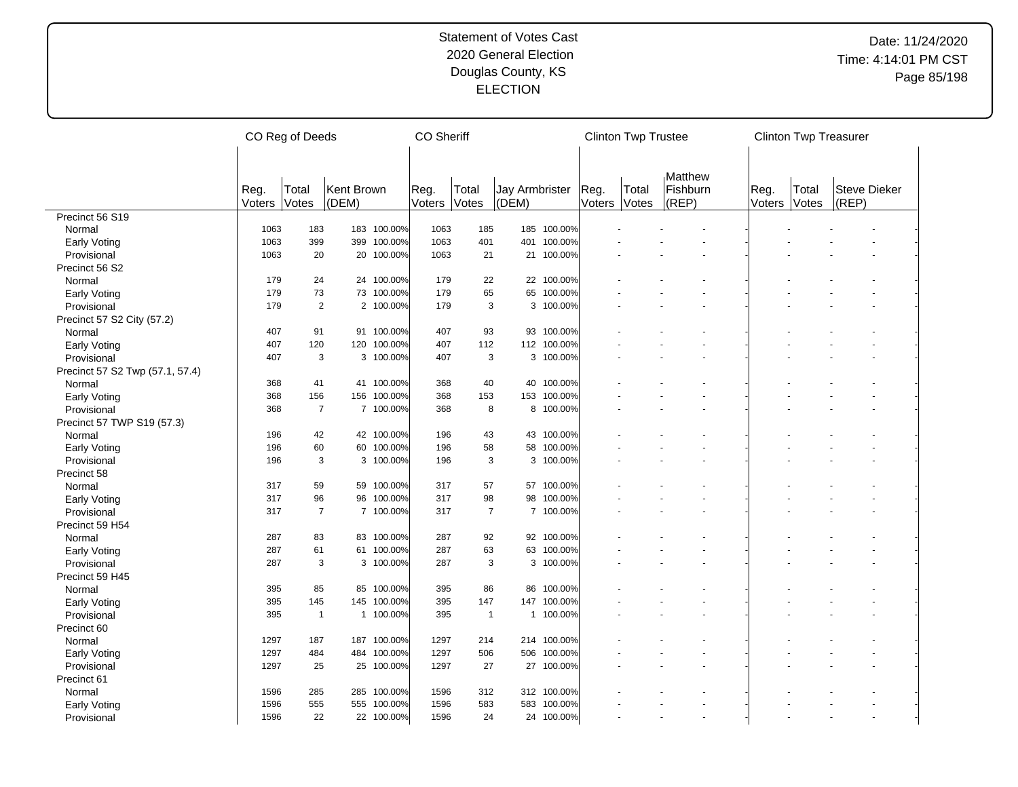|                                 |                | CO Reg of Deeds |                     |             | <b>CO</b> Sheriff |                |                                |             |                | <b>Clinton Twp Trustee</b> |                   |                | <b>Clinton Twp Treasurer</b> |                       |  |
|---------------------------------|----------------|-----------------|---------------------|-------------|-------------------|----------------|--------------------------------|-------------|----------------|----------------------------|-------------------|----------------|------------------------------|-----------------------|--|
|                                 |                |                 |                     |             |                   |                |                                |             |                |                            | Matthew           |                |                              |                       |  |
|                                 | Reg.<br>Voters | Total<br>Votes  | Kent Brown<br>(DEM) |             | Reg.<br>Voters    | Total<br>Votes | <b>Jay Armbrister</b><br>(DEM) |             | Reg.<br>Voters | Total<br>Votes             | Fishburn<br>(REP) | Reg.<br>Voters | Total<br>Votes               | Steve Dieker<br>(REP) |  |
| Precinct 56 S19                 |                |                 |                     |             |                   |                |                                |             |                |                            |                   |                |                              |                       |  |
| Normal                          | 1063           | 183             |                     | 183 100.00% | 1063              | 185            | 185                            | 100.00%     |                |                            |                   |                |                              |                       |  |
| Early Voting                    | 1063           | 399             |                     | 399 100.00% | 1063              | 401            | 401                            | 100.00%     |                |                            |                   |                |                              |                       |  |
| Provisional                     | 1063           | 20              |                     | 20 100.00%  | 1063              | 21             | 21                             | 100.00%     |                |                            |                   |                |                              |                       |  |
| Precinct 56 S2                  |                |                 |                     |             |                   |                |                                |             |                |                            |                   |                |                              |                       |  |
| Normal                          | 179            | 24              |                     | 24 100.00%  | 179               | 22             |                                | 22 100.00%  |                |                            |                   |                |                              |                       |  |
| <b>Early Voting</b>             | 179            | 73              |                     | 73 100.00%  | 179               | 65             | 65                             | 100.00%     |                |                            |                   |                |                              |                       |  |
| Provisional                     | 179            | $\overline{2}$  |                     | 2 100.00%   | 179               | 3              |                                | 3 100.00%   |                |                            |                   |                |                              |                       |  |
| Precinct 57 S2 City (57.2)      |                |                 |                     |             |                   |                |                                |             |                |                            |                   |                |                              |                       |  |
| Normal                          | 407            | 91              |                     | 91 100.00%  | 407               | 93             | 93                             | 100.00%     |                |                            |                   |                |                              |                       |  |
| <b>Early Voting</b>             | 407            | 120             |                     | 120 100.00% | 407               | 112            |                                | 112 100.00% |                |                            |                   |                |                              |                       |  |
| Provisional                     | 407            | 3               |                     | 3 100.00%   | 407               | 3              | 3                              | 100.00%     |                |                            |                   |                |                              |                       |  |
| Precinct 57 S2 Twp (57.1, 57.4) |                |                 |                     |             |                   |                |                                |             |                |                            |                   |                |                              |                       |  |
| Normal                          | 368            | 41              |                     | 41 100.00%  | 368               | 40             | 40                             | 100.00%     |                |                            |                   |                |                              |                       |  |
| <b>Early Voting</b>             | 368            | 156             |                     | 156 100.00% | 368               | 153            | 153                            | 100.00%     |                |                            |                   |                |                              |                       |  |
| Provisional                     | 368            | $\overline{7}$  |                     | 7 100.00%   | 368               | 8              |                                | 8 100.00%   |                |                            |                   |                |                              |                       |  |
| Precinct 57 TWP S19 (57.3)      |                |                 |                     |             |                   |                |                                |             |                |                            |                   |                |                              |                       |  |
| Normal                          | 196            | 42              |                     | 42 100.00%  | 196               | 43             | 43                             | 100.00%     |                |                            |                   |                |                              |                       |  |
|                                 | 196            | 60              |                     | 60 100.00%  | 196               | 58             | 58                             | 100.00%     |                |                            |                   |                |                              |                       |  |
| <b>Early Voting</b>             | 196            | 3               |                     | 3 100.00%   | 196               | 3              | 3                              | 100.00%     |                |                            |                   |                |                              |                       |  |
| Provisional                     |                |                 |                     |             |                   |                |                                |             |                |                            |                   |                |                              |                       |  |
| Precinct 58                     |                |                 |                     |             |                   |                |                                |             |                |                            |                   |                |                              |                       |  |
| Normal                          | 317            | 59              |                     | 59 100.00%  | 317               | 57             | 57                             | 100.00%     |                |                            |                   |                |                              |                       |  |
| <b>Early Voting</b>             | 317            | 96              |                     | 96 100.00%  | 317               | 98             | 98                             | 100.00%     |                |                            |                   |                |                              |                       |  |
| Provisional                     | 317            | $\overline{7}$  |                     | 7 100.00%   | 317               | $\overline{7}$ |                                | 7 100.00%   |                |                            |                   |                |                              |                       |  |
| Precinct 59 H54                 |                |                 |                     |             |                   |                |                                |             |                |                            |                   |                |                              |                       |  |
| Normal                          | 287            | 83              |                     | 83 100.00%  | 287               | 92             |                                | 92 100.00%  |                |                            |                   |                |                              |                       |  |
| <b>Early Voting</b>             | 287            | 61              |                     | 61 100.00%  | 287               | 63             | 63                             | 100.00%     |                |                            |                   |                |                              |                       |  |
| Provisional                     | 287            | 3               |                     | 3 100.00%   | 287               | 3              |                                | 3 100.00%   |                |                            |                   |                |                              |                       |  |
| Precinct 59 H45                 |                |                 |                     |             |                   |                |                                |             |                |                            |                   |                |                              |                       |  |
| Normal                          | 395            | 85              |                     | 85 100.00%  | 395               | 86             | 86                             | 100.00%     |                |                            |                   |                |                              |                       |  |
| <b>Early Voting</b>             | 395            | 145             |                     | 145 100.00% | 395               | 147            |                                | 147 100.00% |                |                            |                   |                |                              |                       |  |
| Provisional                     | 395            | $\overline{1}$  |                     | 1 100.00%   | 395               | $\overline{1}$ | $\mathbf{1}$                   | 100.00%     |                |                            |                   |                |                              |                       |  |
| Precinct 60                     |                |                 |                     |             |                   |                |                                |             |                |                            |                   |                |                              |                       |  |
| Normal                          | 1297           | 187             |                     | 187 100.00% | 1297              | 214            |                                | 214 100.00% |                |                            |                   |                |                              |                       |  |
| <b>Early Voting</b>             | 1297           | 484             |                     | 484 100.00% | 1297              | 506            | 506                            | 100.00%     |                |                            |                   |                |                              |                       |  |
| Provisional                     | 1297           | 25              |                     | 25 100.00%  | 1297              | 27             |                                | 27 100.00%  |                |                            |                   |                |                              |                       |  |
| Precinct 61                     |                |                 |                     |             |                   |                |                                |             |                |                            |                   |                |                              |                       |  |
| Normal                          | 1596           | 285             |                     | 285 100.00% | 1596              | 312            |                                | 312 100.00% |                |                            |                   |                |                              |                       |  |
| <b>Early Voting</b>             | 1596           | 555             |                     | 555 100.00% | 1596              | 583            | 583                            | 100.00%     |                |                            |                   |                |                              |                       |  |
| Provisional                     | 1596           | 22              |                     | 22 100.00%  | 1596              | 24             |                                | 24 100.00%  |                |                            |                   |                |                              | ä,                    |  |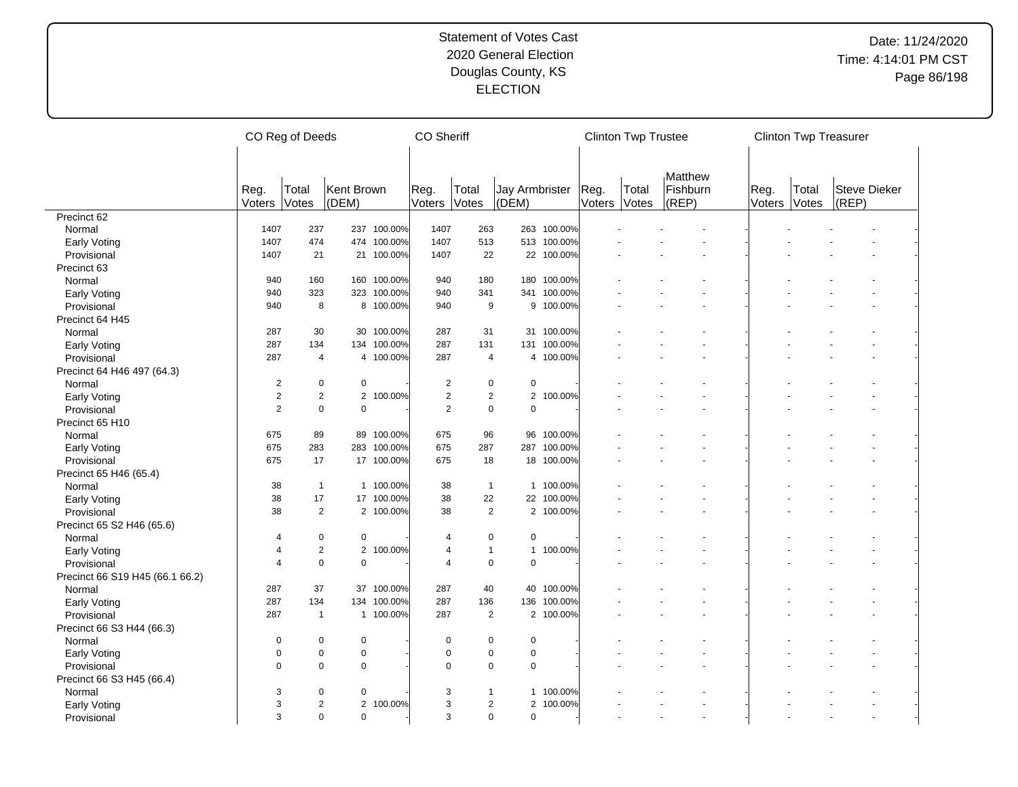|                                 |                | CO Reg of Deeds               |                     |             | <b>CO</b> Sheriff |                |                                |             |                | <b>Clinton Twp Trustee</b> |                              |                | <b>Clinton Twp Treasurer</b> |                       |  |
|---------------------------------|----------------|-------------------------------|---------------------|-------------|-------------------|----------------|--------------------------------|-------------|----------------|----------------------------|------------------------------|----------------|------------------------------|-----------------------|--|
|                                 | Reg.<br>Voters | Total<br>Votes                | Kent Brown<br>(DEM) |             | Reg.<br>Voters    | Total<br>Votes | <b>Jay Armbrister</b><br>(DEM) |             | Reg.<br>Voters | Total<br>Votes             | Matthew<br>Fishburn<br>(REP) | Reg.<br>Voters | Total<br>Votes               | Steve Dieker<br>(REP) |  |
| Precinct <sub>62</sub>          |                |                               |                     |             |                   |                |                                |             |                |                            |                              |                |                              |                       |  |
| Normal                          | 1407           | 237                           |                     | 237 100.00% | 1407              | 263            | 263                            | 100.00%     |                |                            |                              |                |                              |                       |  |
| Early Voting                    | 1407           | 474                           |                     | 474 100.00% | 1407              | 513            |                                | 513 100.00% |                |                            |                              |                |                              |                       |  |
| Provisional                     | 1407           | 21                            |                     | 21 100.00%  | 1407              | 22             |                                | 22 100.00%  |                |                            |                              |                |                              |                       |  |
| Precinct 63                     |                |                               |                     |             |                   |                |                                |             |                |                            |                              |                |                              |                       |  |
|                                 | 940            | 160                           |                     | 160 100.00% | 940               | 180            |                                | 180 100.00% |                |                            |                              |                |                              |                       |  |
| Normal                          | 940            | 323                           |                     | 323 100.00% | 940               | 341            | 341                            | 100.00%     |                |                            |                              |                |                              |                       |  |
| <b>Early Voting</b>             | 940            | 8                             |                     | 8 100.00%   | 940               | 9              |                                | 9 100.00%   |                |                            |                              |                |                              |                       |  |
| Provisional                     |                |                               |                     |             |                   |                |                                |             |                |                            |                              |                |                              |                       |  |
| Precinct 64 H45                 |                |                               |                     |             |                   |                |                                |             |                |                            |                              |                |                              |                       |  |
| Normal                          | 287            | 30                            |                     | 30 100.00%  | 287               | 31             | 31                             | 100.00%     |                |                            |                              |                |                              |                       |  |
| <b>Early Voting</b>             | 287            | 134                           |                     | 134 100.00% | 287               | 131            | 131                            | 100.00%     |                |                            |                              |                |                              |                       |  |
| Provisional                     | 287            | $\overline{4}$                |                     | 4 100.00%   | 287               | $\overline{4}$ | $\overline{4}$                 | 100.00%     |                |                            |                              |                |                              |                       |  |
| Precinct 64 H46 497 (64.3)      |                |                               |                     |             |                   |                |                                |             |                |                            |                              |                |                              |                       |  |
| Normal                          | $\overline{c}$ | $\pmb{0}$                     | 0                   |             | $\overline{2}$    | 0              | $\pmb{0}$                      |             |                |                            |                              |                |                              |                       |  |
| Early Voting                    | $\overline{c}$ | $\overline{2}$                |                     | 2 100.00%   | $\overline{2}$    | $\overline{c}$ | $\overline{2}$                 | 100.00%     |                |                            |                              |                |                              |                       |  |
| Provisional                     | $\overline{2}$ | $\mathbf 0$                   | $\mathbf 0$         |             | 2                 | $\mathbf 0$    | $\mathbf 0$                    |             |                |                            |                              |                |                              |                       |  |
| Precinct 65 H10                 |                |                               |                     |             |                   |                |                                |             |                |                            |                              |                |                              |                       |  |
| Normal                          | 675            | 89                            |                     | 89 100.00%  | 675               | 96             | 96                             | 100.00%     |                |                            |                              |                |                              |                       |  |
| Early Voting                    | 675            | 283                           |                     | 283 100.00% | 675               | 287            | 287                            | 100.00%     |                |                            |                              |                |                              |                       |  |
| Provisional                     | 675            | 17                            |                     | 17 100.00%  | 675               | 18             | 18                             | 100.00%     |                |                            |                              |                |                              |                       |  |
| Precinct 65 H46 (65.4)          |                |                               |                     |             |                   |                |                                |             |                |                            |                              |                |                              |                       |  |
| Normal                          | 38             | $\overline{1}$                |                     | 1 100.00%   | 38                | $\overline{1}$ | $\mathbf{1}$                   | 100.00%     |                |                            |                              |                |                              |                       |  |
| <b>Early Voting</b>             | 38             | 17                            |                     | 17 100.00%  | 38                | 22             | 22                             | 100.00%     |                |                            |                              |                |                              |                       |  |
| Provisional                     | 38             | $\overline{2}$                |                     | 2 100.00%   | 38                | $\overline{2}$ |                                | 2 100.00%   |                |                            |                              |                |                              |                       |  |
| Precinct 65 S2 H46 (65.6)       |                |                               |                     |             |                   |                |                                |             |                |                            |                              |                |                              |                       |  |
| Normal                          | 4              | $\mathbf 0$                   | 0                   |             | $\overline{4}$    | 0              | $\mathbf 0$                    |             |                |                            |                              |                |                              |                       |  |
| <b>Early Voting</b>             | 4              | $\overline{2}$                |                     | 2 100.00%   | $\overline{4}$    | $\mathbf{1}$   | $\mathbf{1}$                   | 100.00%     |                |                            |                              |                |                              |                       |  |
| Provisional                     | 4              | $\mathbf 0$                   | $\Omega$            |             | $\overline{4}$    | $\pmb{0}$      | $\Omega$                       |             |                |                            |                              |                |                              |                       |  |
| Precinct 66 S19 H45 (66.1 66.2) |                |                               |                     |             |                   |                |                                |             |                |                            |                              |                |                              |                       |  |
| Normal                          | 287            | 37                            |                     | 37 100.00%  | 287               | 40             | 40                             | 100.00%     |                |                            |                              |                |                              |                       |  |
| <b>Early Voting</b>             | 287            | 134                           |                     | 134 100.00% | 287               | 136            | 136                            | 100.00%     |                |                            |                              |                |                              |                       |  |
| Provisional                     | 287            | $\mathbf{1}$                  |                     | 1 100.00%   | 287               | $\overline{2}$ |                                | 2 100.00%   |                |                            |                              |                |                              |                       |  |
| Precinct 66 S3 H44 (66.3)       |                |                               |                     |             |                   |                |                                |             |                |                            |                              |                |                              |                       |  |
| Normal                          | 0              | $\mathbf 0$                   | $\pmb{0}$           |             | $\mathbf 0$       | 0              | $\mathbf 0$                    |             |                |                            |                              |                |                              |                       |  |
| Early Voting                    | $\pmb{0}$      | $\mathbf 0$                   | 0                   |             | $\pmb{0}$         | $\pmb{0}$      | $\mathbf 0$                    |             |                |                            |                              |                |                              |                       |  |
| Provisional                     | $\Omega$       | $\Omega$                      | $\Omega$            |             | $\mathbf 0$       | $\mathbf 0$    | $\Omega$                       |             |                |                            |                              |                |                              |                       |  |
|                                 |                |                               |                     |             |                   |                |                                |             |                |                            |                              |                |                              |                       |  |
| Precinct 66 S3 H45 (66.4)       |                |                               |                     |             | 3                 | $\mathbf{1}$   |                                |             |                |                            |                              |                |                              |                       |  |
| Normal                          | 3<br>3         | $\mathbf 0$<br>$\overline{2}$ | 0<br>$\overline{2}$ |             |                   |                | $\mathbf{1}$<br>$\overline{2}$ | 100.00%     |                |                            |                              |                |                              |                       |  |
| <b>Early Voting</b>             |                |                               |                     | 100.00%     | 3                 | $\overline{c}$ |                                | 100.00%     |                |                            |                              |                |                              |                       |  |
| Provisional                     | 3              | $\mathbf 0$                   | $\mathbf 0$         |             | 3                 | $\Omega$       | $\mathbf 0$                    |             |                |                            |                              |                |                              |                       |  |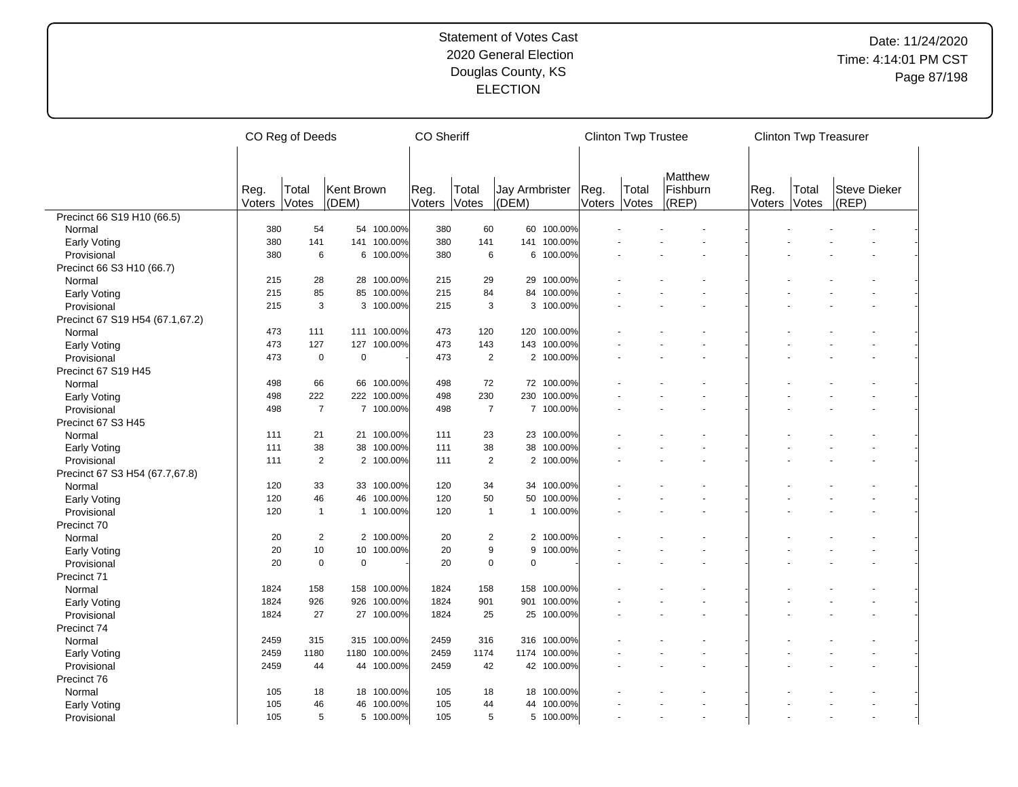|                                    |        | CO Reg of Deeds |             |             | <b>CO Sheriff</b> |                |                |            |        | <b>Clinton Twp Trustee</b> |          |        | <b>Clinton Twp Treasurer</b> |                     |  |
|------------------------------------|--------|-----------------|-------------|-------------|-------------------|----------------|----------------|------------|--------|----------------------------|----------|--------|------------------------------|---------------------|--|
|                                    |        |                 |             |             |                   |                |                |            |        |                            |          |        |                              |                     |  |
|                                    |        |                 |             |             |                   |                |                |            |        |                            | Matthew  |        |                              |                     |  |
|                                    | Reg.   | Total           | Kent Brown  |             | Reg.              | Total          | Jay Armbrister |            | Reg.   | Total                      | Fishburn | Reg.   | Total                        | <b>Steve Dieker</b> |  |
|                                    | Voters | Votes           | (DEM)       |             | Voters            | Votes          | (DEM)          |            | Voters | Votes                      | (REP)    | Voters | Votes                        | (REP)               |  |
| Precinct 66 S19 H10 (66.5)         |        |                 |             |             |                   |                |                |            |        |                            |          |        |                              |                     |  |
| Normal                             | 380    | 54              |             | 54 100.00%  | 380               | 60             | 60             | 100.00%    |        |                            |          |        |                              |                     |  |
| <b>Early Voting</b>                | 380    | 141             | 141         | 100.00%     | 380               | 141            | 141            | 100.00%    |        |                            |          |        |                              |                     |  |
| Provisional                        | 380    | 6               |             | 6 100.00%   | 380               | 6              | 6              | 100.00%    |        |                            |          |        |                              |                     |  |
| Precinct 66 S3 H10 (66.7)          |        |                 |             |             |                   |                |                |            |        |                            |          |        |                              |                     |  |
| Normal                             | 215    | 28              |             | 28 100.00%  | 215               | 29             | 29             | 100.00%    |        |                            |          |        |                              |                     |  |
| Early Voting                       | 215    | 85              | 85          | 100.00%     | 215               | 84             | 84             | 100.00%    |        |                            |          |        |                              |                     |  |
| Provisional                        | 215    | 3               |             | 3 100.00%   | 215               | 3              | 3              | 100.00%    |        |                            |          |        |                              |                     |  |
| Precinct 67 S19 H54 (67.1,67.2)    |        |                 |             |             |                   |                |                |            |        |                            |          |        |                              |                     |  |
| Normal                             | 473    | 111             |             | 111 100.00% | 473               | 120            | 120            | 100.00%    |        |                            |          |        |                              |                     |  |
| <b>Early Voting</b>                | 473    | 127             | 127         | 100.00%     | 473               | 143            | 143            | 100.00%    |        |                            |          |        |                              |                     |  |
| Provisional                        | 473    | $\mathbf 0$     | $\mathbf 0$ |             | 473               | $\overline{2}$ | $\overline{2}$ | 100.00%    |        |                            |          |        |                              |                     |  |
| Precinct 67 S19 H45                |        |                 |             |             |                   |                |                |            |        |                            |          |        |                              |                     |  |
| Normal                             | 498    | 66              | 66          | 100.00%     | 498               | 72             | 72             | 100.00%    |        |                            |          |        |                              |                     |  |
| <b>Early Voting</b>                | 498    | 222             |             | 222 100.00% | 498               | 230            | 230            | 100.00%    |        |                            |          |        |                              |                     |  |
| Provisional                        | 498    | $\overline{7}$  |             | 7 100.00%   | 498               | $\overline{7}$ |                | 7 100.00%  |        |                            |          |        |                              |                     |  |
| Precinct 67 S3 H45                 |        |                 |             |             |                   |                |                |            |        |                            |          |        |                              |                     |  |
| Normal                             | 111    | 21              |             | 21 100.00%  | 111               | 23             |                | 23 100.00% |        |                            |          |        |                              |                     |  |
| <b>Early Voting</b>                | 111    | 38              | 38          | 100.00%     | 111               | 38             | 38             | 100.00%    |        |                            |          |        |                              |                     |  |
| Provisional                        | 111    | $\overline{2}$  |             | 2 100.00%   | 111               | $\overline{2}$ | 2              | 100.00%    |        |                            |          |        |                              |                     |  |
| Precinct 67 S3 H54 (67.7,67.8)     |        |                 |             |             |                   |                |                |            |        |                            |          |        |                              |                     |  |
| Normal                             | 120    | 33              |             | 33 100.00%  | 120               | 34             | 34             | 100.00%    |        |                            |          |        |                              |                     |  |
| <b>Early Voting</b>                | 120    | 46              | 46          | 100.00%     | 120               | 50             | 50             | 100.00%    |        |                            |          |        |                              |                     |  |
| Provisional                        | 120    | $\mathbf{1}$    |             | 1 100.00%   | 120               | $\overline{1}$ | $\mathbf{1}$   | 100.00%    |        |                            |          |        |                              |                     |  |
| Precinct 70                        |        |                 |             |             |                   |                |                |            |        |                            |          |        |                              |                     |  |
| Normal                             | 20     | $\mathbf{2}$    |             | 2 100.00%   | 20                | $\overline{c}$ |                | 2 100.00%  |        |                            |          |        |                              |                     |  |
| <b>Early Voting</b>                | 20     | 10              | 10          | 100.00%     | 20                | 9              | 9              | 100.00%    |        |                            |          |        |                              |                     |  |
| Provisional                        | 20     | $\mathsf 0$     | $\pmb{0}$   |             | 20                | $\mathbf 0$    | $\mathbf 0$    |            |        |                            |          |        |                              |                     |  |
| Precinct 71                        |        |                 |             |             |                   |                |                |            |        |                            |          |        |                              |                     |  |
| Normal                             | 1824   | 158             | 158         | 100.00%     | 1824              | 158            | 158            | 100.00%    |        |                            |          |        |                              |                     |  |
|                                    | 1824   | 926             | 926         | 100.00%     | 1824              | 901            | 901            | 100.00%    |        |                            |          |        |                              |                     |  |
| <b>Early Voting</b><br>Provisional | 1824   | 27              |             | 27 100.00%  | 1824              | 25             | 25             | 100.00%    |        |                            |          |        |                              |                     |  |
|                                    |        |                 |             |             |                   |                |                |            |        |                            |          |        |                              |                     |  |
| Precinct 74                        | 2459   | 315             |             | 315 100.00% | 2459              | 316            | 316            | 100.00%    |        |                            |          |        |                              |                     |  |
| Normal                             |        |                 | 1180        | 100.00%     |                   |                | 1174           | 100.00%    |        |                            |          |        |                              |                     |  |
| Early Voting                       | 2459   | 1180            |             |             | 2459              | 1174           |                |            |        |                            |          |        |                              |                     |  |
| Provisional                        | 2459   | 44              |             | 44 100.00%  | 2459              | 42             |                | 42 100.00% |        |                            |          |        |                              |                     |  |
| Precinct 76                        |        |                 |             |             |                   |                |                |            |        |                            |          |        |                              |                     |  |
| Normal                             | 105    | 18              | 18          | 100.00%     | 105               | 18             | 18             | 100.00%    |        |                            |          |        |                              |                     |  |
| <b>Early Voting</b>                | 105    | 46              | 46          | 100.00%     | 105               | 44             | 44             | 100.00%    |        |                            |          |        |                              |                     |  |
| Provisional                        | 105    | 5               |             | 5 100.00%   | 105               | 5              | 5              | 100.00%    |        |                            |          |        |                              |                     |  |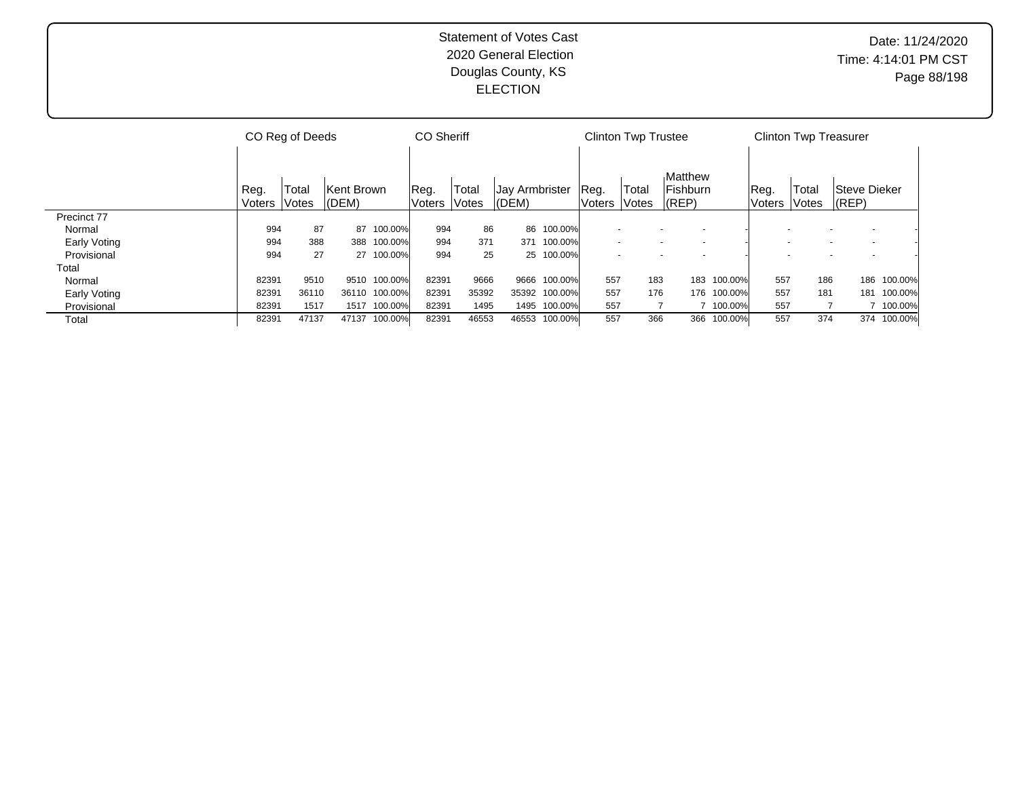|              |        | CO Reg of Deeds     |            |            | <b>CO Sheriff</b> |              |                |              |                | <b>Clinton Twp Trustee</b> |                     |         |               | <b>Clinton Twp Treasurer</b> |                     |             |
|--------------|--------|---------------------|------------|------------|-------------------|--------------|----------------|--------------|----------------|----------------------------|---------------------|---------|---------------|------------------------------|---------------------|-------------|
|              | Reg.   | Total               | Kent Brown |            | Reg.              | Total        | Jay Armbrister |              | Reg.           | Total                      | Matthew<br>Fishburn |         | Reg.          | Total                        | <b>Steve Dieker</b> |             |
|              | Voters | <i><b>Votes</b></i> | (DEM)      |            | Voters            | <b>Votes</b> | (DEM)          |              | Voters   Votes |                            | $ $ (REP)           |         | Voters  Votes |                              | (REP)               |             |
| Precinct 77  |        |                     |            |            |                   |              |                |              |                |                            |                     |         |               |                              |                     |             |
| Normal       | 994    | 87                  | 87         | 100.00%    | 994               | 86           | 86             | 100.00%      |                |                            |                     |         |               |                              |                     |             |
| Early Voting | 994    | 388                 | 388        | 100.00%    | 994               | 371          | 371            | 100.00%      |                |                            |                     |         | $\sim$        |                              |                     |             |
| Provisional  | 994    | 27                  |            | 27 100.00% | 994               | 25           | 25             | 100.00%      |                |                            |                     |         |               |                              |                     |             |
| Total        |        |                     |            |            |                   |              |                |              |                |                            |                     |         |               |                              |                     |             |
| Normal       | 82391  | 9510                | 9510       | 100.00%    | 82391             | 9666         | 9666           | 100.00%      | 557            | 183                        | 183                 | 100.00% | 557           | 186                          | 186                 | 100.00%     |
| Early Voting | 82391  | 36110               | 36110      | 100.00%    | 82391             | 35392        | 35392          | 100.00%      | 557            | 176                        | 176                 | 100.00% | 557           | 181                          | 181                 | 100.00%     |
| Provisional  | 82391  | 1517                | 1517       | 100.00%    | 82391             | 1495         |                | 1495 100.00% | 557            |                            |                     | 100.00% | 557           |                              |                     | 100.00%     |
| Total        | 82391  | 47137               | 47137      | 100.00%    | 82391             | 46553        | 46553          | 100.00%      | 557            | 366                        | 366                 | 100.00% | 557           | 374                          |                     | 374 100.00% |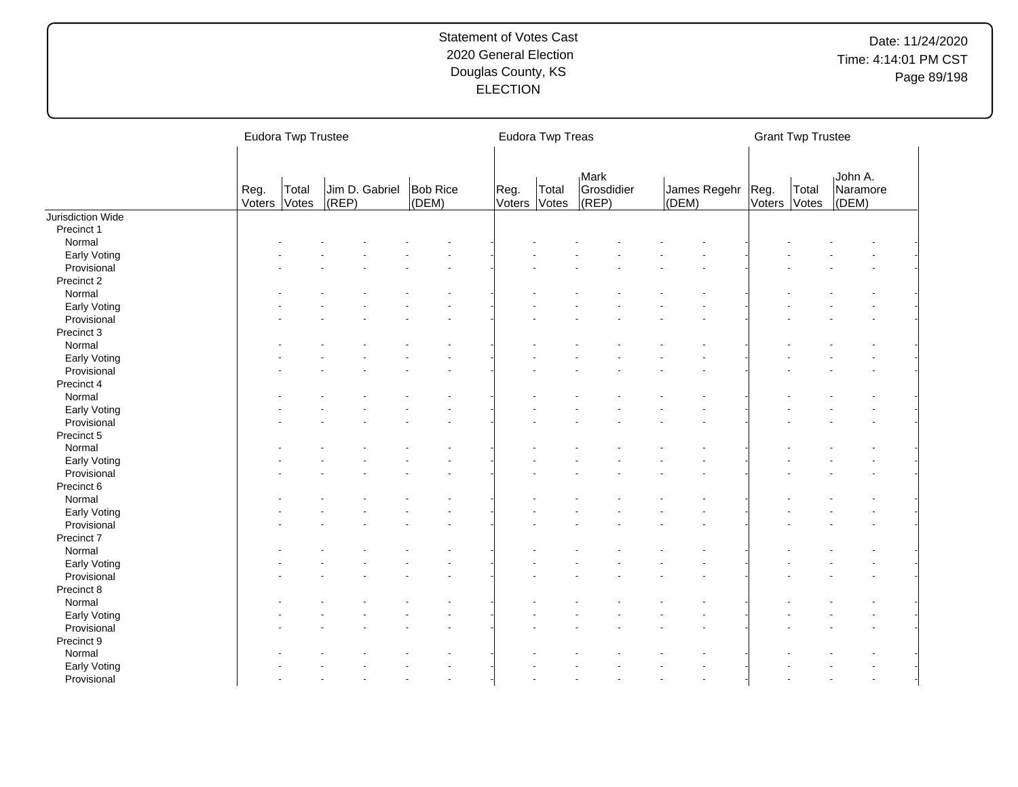|                   |                | <b>Eudora Twp Trustee</b> |       |                                  |                      | Eudora Twp Treas |                                          |                              |        | <b>Grant Twp Trustee</b> |                              |
|-------------------|----------------|---------------------------|-------|----------------------------------|----------------------|------------------|------------------------------------------|------------------------------|--------|--------------------------|------------------------------|
|                   | Reg.<br>Voters | Total<br>Votes            | (REP) | Jim D. Gabriel Bob Rice<br>(DEM) | Reg.<br>Voters Votes | Total            | <sub>I</sub> Mark<br>Grosdidier<br>(REP) | James Regehr   Reg.<br>(DEM) | Voters | Total<br>Votes           | John A.<br>Naramore<br>(DEM) |
| Jurisdiction Wide |                |                           |       |                                  |                      |                  |                                          |                              |        |                          |                              |
| Precinct 1        |                |                           |       |                                  |                      |                  |                                          |                              |        |                          |                              |
| Normal            |                |                           |       |                                  |                      |                  |                                          |                              |        |                          |                              |
| Early Voting      |                |                           |       |                                  |                      |                  |                                          |                              |        |                          |                              |
| Provisional       |                |                           |       |                                  |                      |                  |                                          |                              |        |                          |                              |
| Precinct 2        |                |                           |       |                                  |                      |                  |                                          |                              |        |                          |                              |
| Normal            |                |                           |       |                                  |                      |                  |                                          |                              |        |                          |                              |
| Early Voting      |                |                           |       |                                  |                      |                  |                                          |                              |        |                          |                              |
| Provisional       |                |                           |       |                                  |                      |                  |                                          |                              |        |                          |                              |
| Precinct 3        |                |                           |       |                                  |                      |                  |                                          |                              |        |                          |                              |
| Normal            |                |                           |       |                                  |                      |                  |                                          |                              |        |                          |                              |
| Early Voting      |                |                           |       |                                  |                      |                  |                                          |                              |        |                          |                              |
| Provisional       |                |                           |       |                                  |                      |                  |                                          |                              |        |                          |                              |
| Precinct 4        |                |                           |       |                                  |                      |                  |                                          |                              |        |                          |                              |
| Normal            |                |                           |       |                                  |                      |                  |                                          |                              |        |                          |                              |
| Early Voting      |                |                           |       |                                  |                      |                  |                                          |                              |        |                          |                              |
| Provisional       |                |                           |       |                                  |                      |                  |                                          |                              |        |                          |                              |
| Precinct 5        |                |                           |       |                                  |                      |                  |                                          |                              |        |                          |                              |
| Normal            |                |                           |       |                                  |                      |                  |                                          |                              |        |                          |                              |
| Early Voting      |                |                           |       |                                  |                      |                  |                                          |                              |        |                          |                              |
| Provisional       |                |                           |       |                                  |                      |                  |                                          |                              |        |                          |                              |
| Precinct 6        |                |                           |       |                                  |                      |                  |                                          |                              |        |                          |                              |
| Normal            |                |                           |       |                                  |                      |                  |                                          |                              |        |                          |                              |
| Early Voting      |                |                           |       |                                  |                      |                  |                                          |                              |        |                          |                              |
| Provisional       |                |                           |       |                                  |                      |                  |                                          |                              |        |                          |                              |
| Precinct 7        |                |                           |       |                                  |                      |                  |                                          |                              |        |                          |                              |
| Normal            |                |                           |       |                                  |                      |                  |                                          |                              |        |                          |                              |
| Early Voting      |                |                           |       |                                  |                      |                  |                                          |                              |        |                          |                              |
| Provisional       |                |                           |       |                                  |                      |                  |                                          |                              |        |                          |                              |
| Precinct 8        |                |                           |       |                                  |                      |                  |                                          |                              |        |                          |                              |
| Normal            |                |                           |       |                                  |                      |                  |                                          |                              |        |                          |                              |
| Early Voting      |                |                           |       |                                  |                      |                  |                                          |                              |        |                          |                              |
| Provisional       |                |                           |       |                                  |                      |                  |                                          |                              |        |                          |                              |
| Precinct 9        |                |                           |       |                                  |                      |                  |                                          |                              |        |                          |                              |
| Normal            |                |                           |       |                                  |                      |                  |                                          |                              |        |                          |                              |
| Early Voting      |                |                           |       |                                  |                      |                  |                                          |                              |        |                          |                              |
|                   |                |                           |       |                                  |                      |                  |                                          |                              |        |                          |                              |
| Provisional       |                |                           |       |                                  |                      |                  |                                          |                              |        |                          |                              |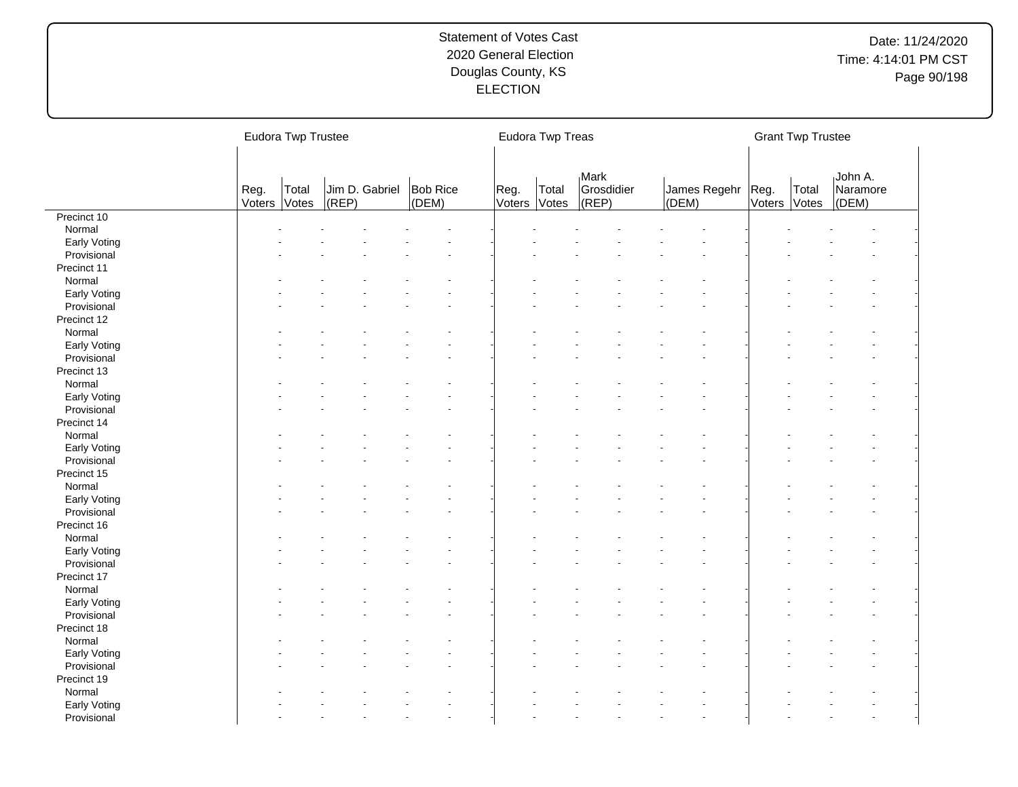|              |                | Eudora Twp Trustee |       |                                  |                      | Eudora Twp Treas |                             |                            |              | <b>Grant Twp Trustee</b> |                              |
|--------------|----------------|--------------------|-------|----------------------------------|----------------------|------------------|-----------------------------|----------------------------|--------------|--------------------------|------------------------------|
|              | Reg.<br>Voters | Total<br>Votes     | (REP) | Jim D. Gabriel Bob Rice<br>(DEM) | Reg.<br>Voters Votes | Total            | Mark<br>Grosdidier<br>(REF) | James Regehr Reg.<br>(DEM) | Voters Votes | Total                    | John A.<br>Naramore<br>(DEM) |
| Precinct 10  |                |                    |       |                                  |                      |                  |                             |                            |              |                          |                              |
| Normal       |                |                    |       |                                  |                      |                  |                             |                            |              |                          |                              |
| Early Voting |                |                    |       |                                  |                      |                  |                             |                            |              |                          |                              |
| Provisional  |                |                    |       |                                  |                      |                  |                             |                            |              |                          |                              |
| Precinct 11  |                |                    |       |                                  |                      |                  |                             |                            |              |                          |                              |
| Normal       |                |                    |       |                                  |                      |                  |                             |                            |              |                          |                              |
| Early Voting |                |                    |       |                                  |                      |                  |                             |                            |              |                          |                              |
| Provisional  |                |                    |       |                                  |                      |                  |                             |                            |              |                          |                              |
| Precinct 12  |                |                    |       |                                  |                      |                  |                             |                            |              |                          |                              |
| Normal       |                |                    |       |                                  |                      |                  |                             |                            |              |                          |                              |
| Early Voting |                |                    |       |                                  |                      |                  |                             |                            |              |                          |                              |
| Provisional  |                |                    |       |                                  |                      |                  |                             |                            |              |                          |                              |
| Precinct 13  |                |                    |       |                                  |                      |                  |                             |                            |              |                          |                              |
| Normal       |                |                    |       |                                  |                      |                  |                             |                            |              |                          |                              |
| Early Voting |                |                    |       |                                  |                      |                  |                             |                            |              |                          |                              |
| Provisional  |                |                    |       |                                  |                      |                  |                             |                            |              |                          |                              |
| Precinct 14  |                |                    |       |                                  |                      |                  |                             |                            |              |                          |                              |
| Normal       |                |                    |       |                                  |                      |                  |                             |                            |              |                          |                              |
| Early Voting |                |                    |       |                                  |                      |                  |                             |                            |              |                          |                              |
| Provisional  |                |                    |       |                                  |                      |                  |                             |                            |              |                          |                              |
| Precinct 15  |                |                    |       |                                  |                      |                  |                             |                            |              |                          |                              |
|              |                |                    |       |                                  |                      |                  |                             |                            |              |                          |                              |
| Normal       |                |                    |       |                                  |                      |                  |                             |                            |              |                          |                              |
| Early Voting |                |                    |       |                                  |                      |                  |                             |                            |              |                          |                              |
| Provisional  |                |                    |       |                                  |                      |                  |                             |                            |              |                          |                              |
| Precinct 16  |                |                    |       |                                  |                      |                  |                             |                            |              |                          |                              |
| Normal       |                |                    |       |                                  |                      |                  |                             |                            |              |                          |                              |
| Early Voting |                |                    |       |                                  |                      |                  |                             |                            |              |                          |                              |
| Provisional  |                |                    |       |                                  |                      |                  |                             |                            |              |                          |                              |
| Precinct 17  |                |                    |       |                                  |                      |                  |                             |                            |              |                          |                              |
| Normal       |                |                    |       |                                  |                      |                  |                             |                            |              |                          |                              |
| Early Voting |                |                    |       |                                  |                      |                  |                             |                            |              |                          |                              |
| Provisional  |                |                    |       |                                  |                      |                  |                             |                            |              |                          |                              |
| Precinct 18  |                |                    |       |                                  |                      |                  |                             |                            |              |                          |                              |
| Normal       |                |                    |       |                                  |                      |                  |                             |                            |              |                          |                              |
| Early Voting |                |                    |       |                                  |                      |                  |                             |                            |              |                          |                              |
| Provisional  |                |                    |       |                                  |                      |                  |                             |                            |              |                          |                              |
| Precinct 19  |                |                    |       |                                  |                      |                  |                             |                            |              |                          |                              |
| Normal       |                |                    |       |                                  |                      |                  |                             |                            |              |                          |                              |
| Early Voting |                |                    |       |                                  |                      |                  |                             |                            |              |                          |                              |
| Provisional  |                |                    |       |                                  |                      |                  |                             |                            |              |                          |                              |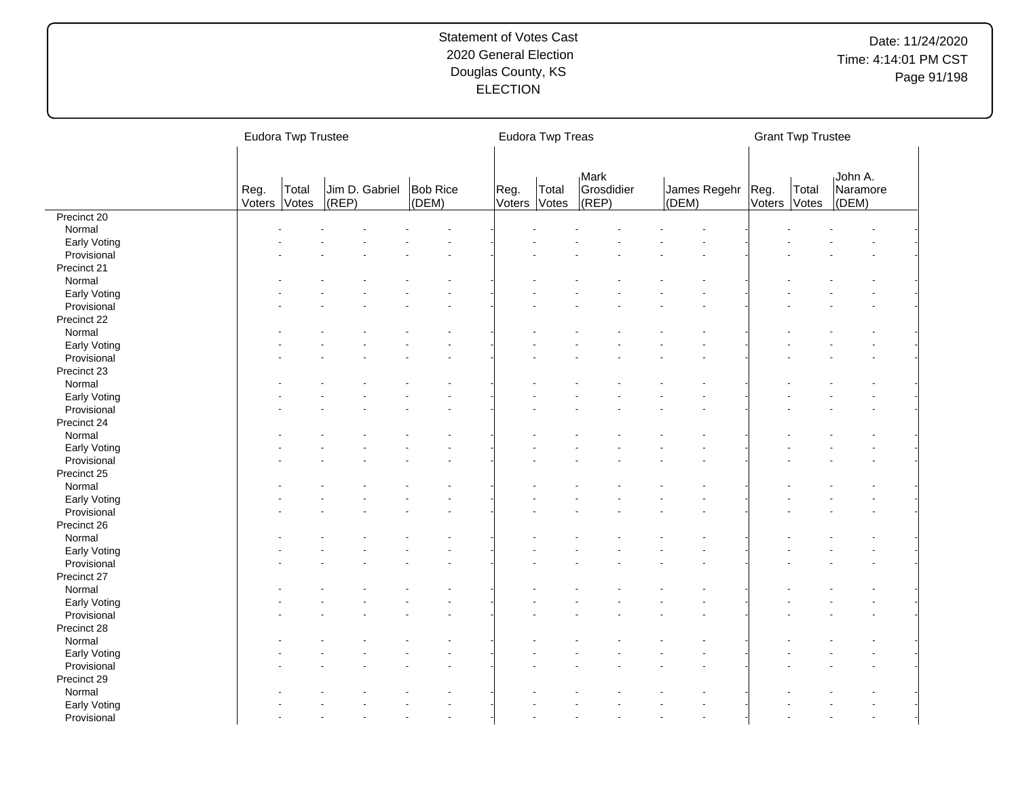|              |                | Eudora Twp Trustee |       |                                  |                      | Eudora Twp Treas |                             |       |                   |              | <b>Grant Twp Trustee</b> |                              |  |
|--------------|----------------|--------------------|-------|----------------------------------|----------------------|------------------|-----------------------------|-------|-------------------|--------------|--------------------------|------------------------------|--|
|              | Reg.<br>Voters | Total<br>Votes     | (REP) | Jim D. Gabriel Bob Rice<br>(DEM) | Reg.<br>Voters Votes | Total            | Mark<br>Grosdidier<br>(REF) | (DEM) | James Regehr Reg. | Voters Votes | Total                    | John A.<br>Naramore<br>(DEM) |  |
| Precinct 20  |                |                    |       |                                  |                      |                  |                             |       |                   |              |                          |                              |  |
| Normal       |                |                    |       |                                  |                      |                  |                             |       |                   |              |                          |                              |  |
| Early Voting |                |                    |       |                                  |                      |                  |                             |       |                   |              |                          |                              |  |
| Provisional  |                |                    |       |                                  |                      |                  |                             |       |                   |              |                          |                              |  |
| Precinct 21  |                |                    |       |                                  |                      |                  |                             |       |                   |              |                          |                              |  |
| Normal       |                |                    |       |                                  |                      |                  |                             |       |                   |              |                          |                              |  |
| Early Voting |                |                    |       |                                  |                      |                  |                             |       |                   |              |                          |                              |  |
| Provisional  |                |                    |       |                                  |                      |                  |                             |       |                   |              |                          |                              |  |
| Precinct 22  |                |                    |       |                                  |                      |                  |                             |       |                   |              |                          |                              |  |
| Normal       |                |                    |       |                                  |                      |                  |                             |       |                   |              |                          |                              |  |
| Early Voting |                |                    |       |                                  |                      |                  |                             |       |                   |              |                          |                              |  |
| Provisional  |                |                    |       |                                  |                      |                  |                             |       |                   |              |                          |                              |  |
| Precinct 23  |                |                    |       |                                  |                      |                  |                             |       |                   |              |                          |                              |  |
| Normal       |                |                    |       |                                  |                      |                  |                             |       |                   |              |                          |                              |  |
| Early Voting |                |                    |       |                                  |                      |                  |                             |       |                   |              |                          |                              |  |
| Provisional  |                |                    |       |                                  |                      |                  |                             |       |                   |              |                          |                              |  |
| Precinct 24  |                |                    |       |                                  |                      |                  |                             |       |                   |              |                          |                              |  |
| Normal       |                |                    |       |                                  |                      |                  |                             |       |                   |              |                          |                              |  |
| Early Voting |                |                    |       |                                  |                      |                  |                             |       |                   |              |                          |                              |  |
| Provisional  |                |                    |       |                                  |                      |                  |                             |       |                   |              |                          |                              |  |
| Precinct 25  |                |                    |       |                                  |                      |                  |                             |       |                   |              |                          |                              |  |
| Normal       |                |                    |       |                                  |                      |                  |                             |       |                   |              |                          |                              |  |
| Early Voting |                |                    |       |                                  |                      |                  |                             |       |                   |              |                          |                              |  |
| Provisional  |                |                    |       |                                  |                      |                  |                             |       |                   |              |                          |                              |  |
| Precinct 26  |                |                    |       |                                  |                      |                  |                             |       |                   |              |                          |                              |  |
| Normal       |                |                    |       |                                  |                      |                  |                             |       |                   |              |                          |                              |  |
| Early Voting |                |                    |       |                                  |                      |                  |                             |       |                   |              |                          |                              |  |
| Provisional  |                |                    |       |                                  |                      |                  |                             |       |                   |              |                          |                              |  |
| Precinct 27  |                |                    |       |                                  |                      |                  |                             |       |                   |              |                          |                              |  |
| Normal       |                |                    |       |                                  |                      |                  |                             |       |                   |              |                          |                              |  |
| Early Voting |                |                    |       |                                  |                      |                  |                             |       |                   |              |                          |                              |  |
| Provisional  |                |                    |       |                                  |                      |                  |                             |       |                   |              |                          |                              |  |
| Precinct 28  |                |                    |       |                                  |                      |                  |                             |       |                   |              |                          |                              |  |
| Normal       |                |                    |       |                                  |                      |                  |                             |       |                   |              |                          |                              |  |
| Early Voting |                |                    |       |                                  |                      |                  |                             |       |                   |              |                          |                              |  |
| Provisional  |                |                    |       |                                  |                      |                  |                             |       |                   |              |                          |                              |  |
| Precinct 29  |                |                    |       |                                  |                      |                  |                             |       |                   |              |                          |                              |  |
| Normal       |                |                    |       |                                  |                      |                  |                             |       |                   |              |                          |                              |  |
| Early Voting |                |                    |       |                                  |                      |                  |                             |       |                   |              |                          |                              |  |
|              |                |                    |       |                                  |                      |                  |                             |       |                   |              |                          |                              |  |
| Provisional  |                |                    |       |                                  |                      |                  |                             |       |                   |              |                          |                              |  |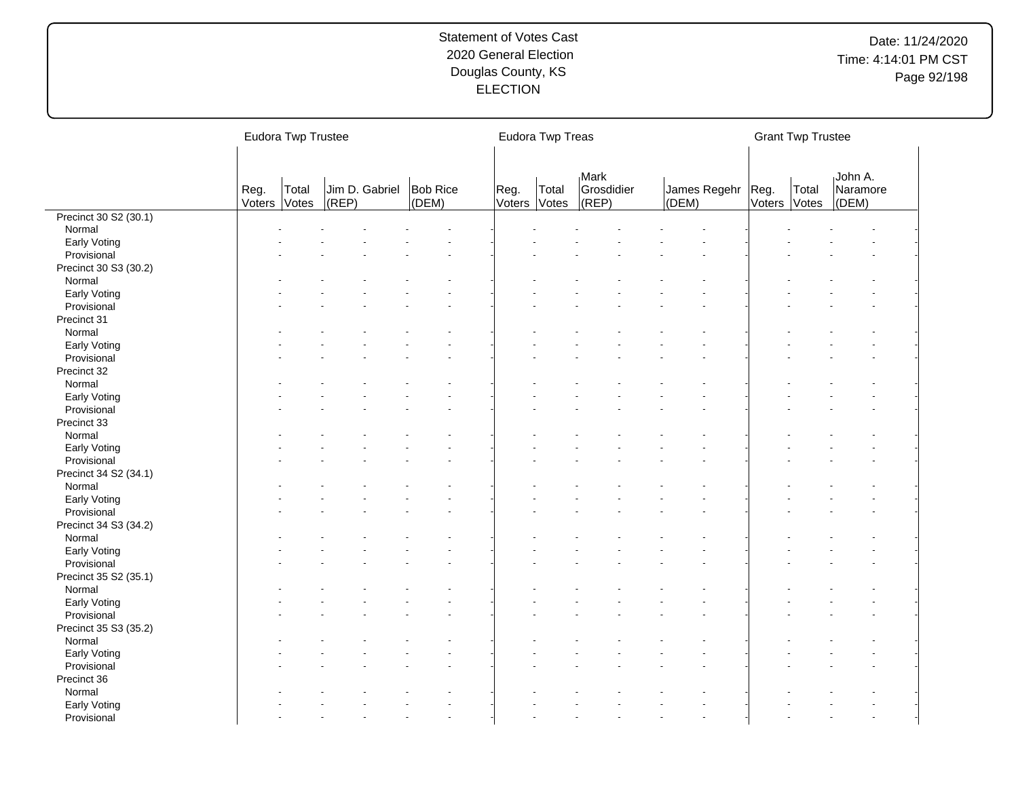| <b>Mark</b><br>John A.<br>Jim D. Gabriel<br>Bob Rice<br>Grosdidier<br>Reg.<br>James Regehr   Reg.<br>Total<br>Reg.<br>Total<br>Total<br>Naramore<br>(DEM)<br>$ $ (REP)<br>Voters Votes<br>Voters<br>Votes<br>$ $ (REP)<br>Voters Votes<br>(DEM)<br>(DEM)<br>Precinct 30 S2 (30.1)<br>Normal<br>Early Voting<br>Provisional<br>Precinct 30 S3 (30.2)<br>Normal<br>Early Voting<br>Provisional<br>Precinct 31 |  |
|-------------------------------------------------------------------------------------------------------------------------------------------------------------------------------------------------------------------------------------------------------------------------------------------------------------------------------------------------------------------------------------------------------------|--|
|                                                                                                                                                                                                                                                                                                                                                                                                             |  |
|                                                                                                                                                                                                                                                                                                                                                                                                             |  |
|                                                                                                                                                                                                                                                                                                                                                                                                             |  |
|                                                                                                                                                                                                                                                                                                                                                                                                             |  |
|                                                                                                                                                                                                                                                                                                                                                                                                             |  |
|                                                                                                                                                                                                                                                                                                                                                                                                             |  |
|                                                                                                                                                                                                                                                                                                                                                                                                             |  |
|                                                                                                                                                                                                                                                                                                                                                                                                             |  |
|                                                                                                                                                                                                                                                                                                                                                                                                             |  |
|                                                                                                                                                                                                                                                                                                                                                                                                             |  |
| Normal                                                                                                                                                                                                                                                                                                                                                                                                      |  |
| Early Voting                                                                                                                                                                                                                                                                                                                                                                                                |  |
| Provisional                                                                                                                                                                                                                                                                                                                                                                                                 |  |
| Precinct 32                                                                                                                                                                                                                                                                                                                                                                                                 |  |
| Normal                                                                                                                                                                                                                                                                                                                                                                                                      |  |
| Early Voting                                                                                                                                                                                                                                                                                                                                                                                                |  |
| Provisional                                                                                                                                                                                                                                                                                                                                                                                                 |  |
| Precinct 33                                                                                                                                                                                                                                                                                                                                                                                                 |  |
| Normal                                                                                                                                                                                                                                                                                                                                                                                                      |  |
|                                                                                                                                                                                                                                                                                                                                                                                                             |  |
| Early Voting                                                                                                                                                                                                                                                                                                                                                                                                |  |
| Provisional                                                                                                                                                                                                                                                                                                                                                                                                 |  |
| Precinct 34 S2 (34.1)                                                                                                                                                                                                                                                                                                                                                                                       |  |
| Normal                                                                                                                                                                                                                                                                                                                                                                                                      |  |
| Early Voting                                                                                                                                                                                                                                                                                                                                                                                                |  |
| Provisional                                                                                                                                                                                                                                                                                                                                                                                                 |  |
| Precinct 34 S3 (34.2)                                                                                                                                                                                                                                                                                                                                                                                       |  |
| Normal                                                                                                                                                                                                                                                                                                                                                                                                      |  |
| Early Voting                                                                                                                                                                                                                                                                                                                                                                                                |  |
| Provisional                                                                                                                                                                                                                                                                                                                                                                                                 |  |
| Precinct 35 S2 (35.1)                                                                                                                                                                                                                                                                                                                                                                                       |  |
| Normal                                                                                                                                                                                                                                                                                                                                                                                                      |  |
| Early Voting                                                                                                                                                                                                                                                                                                                                                                                                |  |
| Provisional                                                                                                                                                                                                                                                                                                                                                                                                 |  |
| Precinct 35 S3 (35.2)                                                                                                                                                                                                                                                                                                                                                                                       |  |
| Normal                                                                                                                                                                                                                                                                                                                                                                                                      |  |
| Early Voting                                                                                                                                                                                                                                                                                                                                                                                                |  |
| Provisional                                                                                                                                                                                                                                                                                                                                                                                                 |  |
| Precinct 36                                                                                                                                                                                                                                                                                                                                                                                                 |  |
| Normal                                                                                                                                                                                                                                                                                                                                                                                                      |  |
| Early Voting                                                                                                                                                                                                                                                                                                                                                                                                |  |
| Provisional                                                                                                                                                                                                                                                                                                                                                                                                 |  |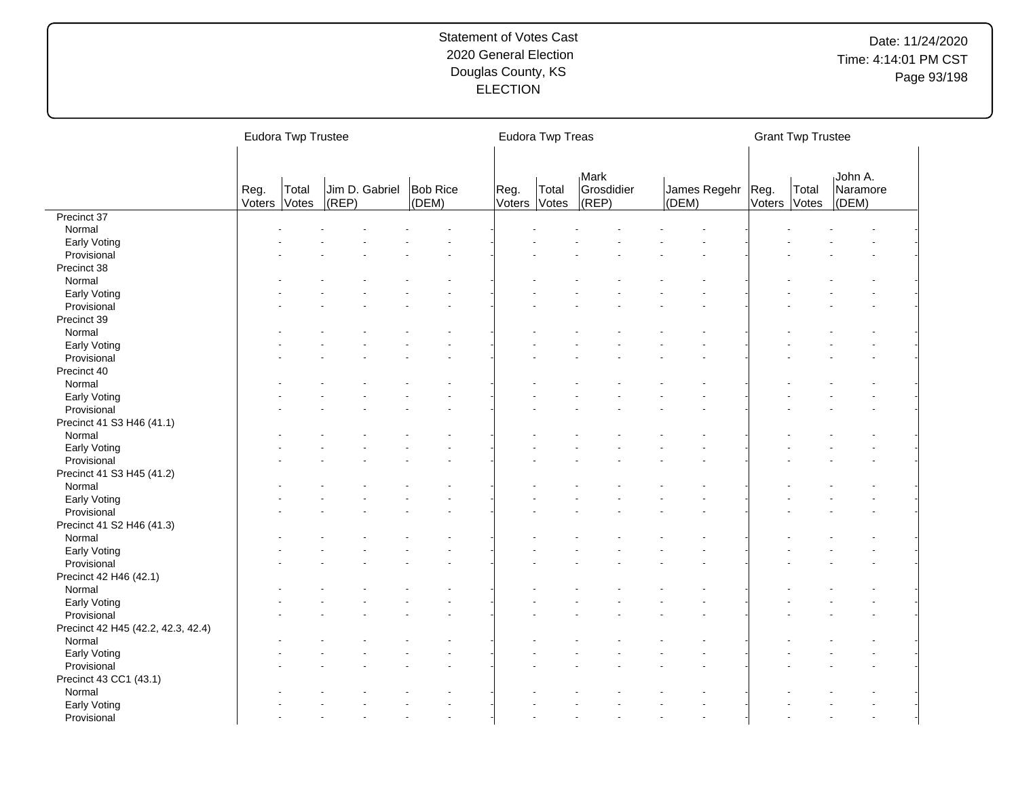|                                    |                | Eudora Twp Trustee |           |                |                          |                      | Eudora Twp Treas |                                        |       |                     |              | <b>Grant Twp Trustee</b> |                              |  |
|------------------------------------|----------------|--------------------|-----------|----------------|--------------------------|----------------------|------------------|----------------------------------------|-------|---------------------|--------------|--------------------------|------------------------------|--|
|                                    | Reg.<br>Voters | Total<br>Votes     | $ $ (REP) | Jim D. Gabriel | <b>Bob Rice</b><br>(DEM) | Reg.<br>Voters Votes | Total            | <b>Mark</b><br>Grosdidier<br>$ $ (REP) | (DEM) | James Regehr   Reg. | Voters Votes | Total                    | John A.<br>Naramore<br>(DEM) |  |
| Precinct 37                        |                |                    |           |                |                          |                      |                  |                                        |       |                     |              |                          |                              |  |
| Normal                             |                |                    |           |                |                          |                      |                  |                                        |       |                     |              |                          |                              |  |
| Early Voting                       |                |                    |           |                |                          |                      |                  |                                        |       |                     |              |                          |                              |  |
| Provisional                        |                |                    |           |                |                          |                      |                  |                                        |       |                     |              |                          |                              |  |
| Precinct 38                        |                |                    |           |                |                          |                      |                  |                                        |       |                     |              |                          |                              |  |
| Normal                             |                |                    |           |                |                          |                      |                  |                                        |       |                     |              |                          |                              |  |
| Early Voting                       |                |                    |           |                |                          |                      |                  |                                        |       |                     |              |                          |                              |  |
| Provisional                        |                |                    |           |                |                          |                      |                  |                                        |       |                     |              |                          |                              |  |
| Precinct 39                        |                |                    |           |                |                          |                      |                  |                                        |       |                     |              |                          |                              |  |
| Normal                             |                |                    |           |                |                          |                      |                  |                                        |       |                     |              |                          |                              |  |
| Early Voting                       |                |                    |           |                |                          |                      |                  |                                        |       |                     |              |                          |                              |  |
| Provisional                        |                |                    |           |                |                          |                      |                  |                                        |       |                     |              |                          |                              |  |
| Precinct 40                        |                |                    |           |                |                          |                      |                  |                                        |       |                     |              |                          |                              |  |
| Normal                             |                |                    |           |                |                          |                      |                  |                                        |       |                     |              |                          |                              |  |
| Early Voting                       |                |                    |           |                |                          |                      |                  |                                        |       |                     |              |                          |                              |  |
| Provisional                        |                |                    |           |                |                          |                      |                  |                                        |       |                     |              |                          |                              |  |
| Precinct 41 S3 H46 (41.1)          |                |                    |           |                |                          |                      |                  |                                        |       |                     |              |                          |                              |  |
|                                    |                |                    |           |                |                          |                      |                  |                                        |       |                     |              |                          |                              |  |
| Normal                             |                |                    |           |                |                          |                      |                  |                                        |       |                     |              |                          |                              |  |
| Early Voting                       |                |                    |           |                |                          |                      |                  |                                        |       |                     |              |                          |                              |  |
| Provisional                        |                |                    |           |                |                          |                      |                  |                                        |       |                     |              |                          |                              |  |
| Precinct 41 S3 H45 (41.2)          |                |                    |           |                |                          |                      |                  |                                        |       |                     |              |                          |                              |  |
| Normal                             |                |                    |           |                |                          |                      |                  |                                        |       |                     |              |                          |                              |  |
| Early Voting                       |                |                    |           |                |                          |                      |                  |                                        |       |                     |              |                          |                              |  |
| Provisional                        |                |                    |           |                |                          |                      |                  |                                        |       |                     |              |                          |                              |  |
| Precinct 41 S2 H46 (41.3)          |                |                    |           |                |                          |                      |                  |                                        |       |                     |              |                          |                              |  |
| Normal                             |                |                    |           |                |                          |                      |                  |                                        |       |                     |              |                          |                              |  |
| Early Voting                       |                |                    |           |                |                          |                      |                  |                                        |       |                     |              |                          |                              |  |
| Provisional                        |                |                    |           |                |                          |                      |                  |                                        |       |                     |              |                          |                              |  |
| Precinct 42 H46 (42.1)             |                |                    |           |                |                          |                      |                  |                                        |       |                     |              |                          |                              |  |
| Normal                             |                |                    |           |                |                          |                      |                  |                                        |       |                     |              |                          |                              |  |
| Early Voting                       |                |                    |           |                |                          |                      |                  |                                        |       |                     |              |                          |                              |  |
| Provisional                        |                |                    |           |                |                          |                      |                  |                                        |       |                     |              |                          |                              |  |
| Precinct 42 H45 (42.2, 42.3, 42.4) |                |                    |           |                |                          |                      |                  |                                        |       |                     |              |                          |                              |  |
| Normal                             |                |                    |           |                |                          |                      |                  |                                        |       |                     |              |                          |                              |  |
| Early Voting                       |                |                    |           |                |                          |                      |                  |                                        |       |                     |              |                          |                              |  |
| Provisional                        |                |                    |           |                |                          |                      |                  |                                        |       |                     |              |                          |                              |  |
| Precinct 43 CC1 (43.1)             |                |                    |           |                |                          |                      |                  |                                        |       |                     |              |                          |                              |  |
| Normal                             |                |                    |           |                |                          |                      |                  |                                        |       |                     |              |                          |                              |  |
| Early Voting                       |                |                    |           |                |                          |                      |                  |                                        |       |                     |              |                          |                              |  |
| Provisional                        |                |                    |           |                |                          |                      |                  |                                        |       |                     |              |                          |                              |  |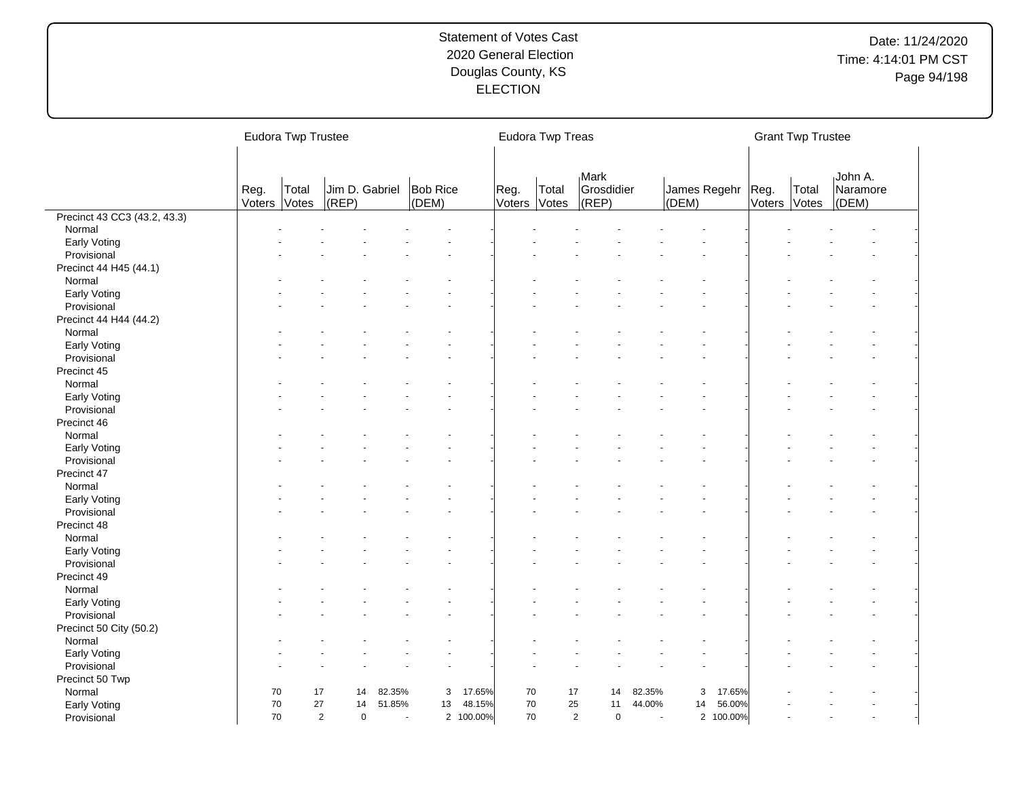|                              |                      | Eudora Twp Trustee |       |                |                          |           |                | Eudora Twp Treas |                             |        |                              |           |              | <b>Grant Twp Trustee</b> |                              |  |
|------------------------------|----------------------|--------------------|-------|----------------|--------------------------|-----------|----------------|------------------|-----------------------------|--------|------------------------------|-----------|--------------|--------------------------|------------------------------|--|
|                              | Reg.<br>Voters Votes | Total              | (REP) | Jim D. Gabriel | <b>Bob Rice</b><br>(DEM) |           | Reg.<br>Voters | Total<br>Votes   | Mark<br>Grosdidier<br>(REP) |        | James Regehr   Reg.<br>(DEM) |           | Voters Votes | Total                    | John A.<br>Naramore<br>(DEM) |  |
| Precinct 43 CC3 (43.2, 43.3) |                      |                    |       |                |                          |           |                |                  |                             |        |                              |           |              |                          |                              |  |
| Normal                       |                      |                    |       |                |                          |           |                |                  |                             |        |                              |           |              |                          |                              |  |
| Early Voting                 |                      |                    |       |                |                          |           |                |                  |                             |        |                              |           |              |                          |                              |  |
| Provisional                  |                      |                    |       |                |                          |           |                |                  |                             |        |                              |           |              |                          |                              |  |
| Precinct 44 H45 (44.1)       |                      |                    |       |                |                          |           |                |                  |                             |        |                              |           |              |                          |                              |  |
| Normal                       |                      |                    |       |                |                          |           |                |                  |                             |        |                              |           |              |                          |                              |  |
| Early Voting                 |                      |                    |       |                |                          |           |                |                  |                             |        |                              |           |              |                          |                              |  |
| Provisional                  |                      |                    |       |                |                          |           |                |                  |                             |        |                              |           |              |                          |                              |  |
| Precinct 44 H44 (44.2)       |                      |                    |       |                |                          |           |                |                  |                             |        |                              |           |              |                          |                              |  |
| Normal                       |                      |                    |       |                |                          |           |                |                  |                             |        |                              |           |              |                          |                              |  |
| Early Voting                 |                      |                    |       |                |                          |           |                |                  |                             |        |                              |           |              |                          |                              |  |
| Provisional                  |                      |                    |       |                |                          |           |                |                  |                             |        |                              |           |              |                          |                              |  |
| Precinct 45                  |                      |                    |       |                |                          |           |                |                  |                             |        |                              |           |              |                          |                              |  |
| Normal                       |                      |                    |       |                |                          |           |                |                  |                             |        |                              |           |              |                          |                              |  |
| Early Voting                 |                      |                    |       |                |                          |           |                |                  |                             |        |                              |           |              |                          |                              |  |
| Provisional                  |                      |                    |       |                |                          |           |                |                  |                             |        |                              |           |              |                          |                              |  |
| Precinct 46                  |                      |                    |       |                |                          |           |                |                  |                             |        |                              |           |              |                          |                              |  |
| Normal                       |                      |                    |       |                |                          |           |                |                  |                             |        |                              |           |              |                          |                              |  |
| Early Voting                 |                      |                    |       |                |                          |           |                |                  |                             |        |                              |           |              |                          |                              |  |
| Provisional                  |                      |                    |       |                |                          |           |                |                  |                             |        |                              |           |              |                          |                              |  |
| Precinct 47                  |                      |                    |       |                |                          |           |                |                  |                             |        |                              |           |              |                          |                              |  |
| Normal                       |                      |                    |       |                |                          |           |                |                  |                             |        |                              |           |              |                          |                              |  |
| Early Voting                 |                      |                    |       |                |                          |           |                |                  |                             |        |                              |           |              |                          |                              |  |
| Provisional                  |                      |                    |       |                |                          |           |                |                  |                             |        |                              |           |              |                          |                              |  |
| Precinct 48                  |                      |                    |       |                |                          |           |                |                  |                             |        |                              |           |              |                          |                              |  |
| Normal                       |                      |                    |       |                |                          |           |                |                  |                             |        |                              |           |              |                          |                              |  |
| Early Voting                 |                      |                    |       |                |                          |           |                |                  |                             |        |                              |           |              |                          |                              |  |
| Provisional                  |                      |                    |       |                |                          |           |                |                  |                             |        |                              |           |              |                          |                              |  |
| Precinct 49                  |                      |                    |       |                |                          |           |                |                  |                             |        |                              |           |              |                          |                              |  |
| Normal                       |                      |                    |       |                |                          |           |                |                  |                             |        |                              |           |              |                          |                              |  |
|                              |                      |                    |       |                |                          |           |                |                  |                             |        |                              |           |              |                          |                              |  |
| <b>Early Voting</b>          |                      |                    |       |                |                          |           |                |                  |                             |        |                              |           |              |                          |                              |  |
| Provisional                  |                      |                    |       |                |                          |           |                |                  |                             |        |                              |           |              |                          |                              |  |
| Precinct 50 City (50.2)      |                      |                    |       |                |                          |           |                |                  |                             |        |                              |           |              |                          |                              |  |
| Normal                       |                      |                    |       |                |                          |           |                |                  |                             |        |                              |           |              |                          |                              |  |
| Early Voting                 |                      |                    |       |                |                          |           |                |                  |                             |        |                              |           |              |                          |                              |  |
| Provisional                  |                      |                    |       |                |                          |           |                |                  |                             |        |                              |           |              |                          |                              |  |
| Precinct 50 Twp              |                      |                    |       |                |                          |           |                |                  |                             |        |                              |           |              |                          |                              |  |
| Normal                       | 70                   | 17                 | 14    | 82.35%         | 3                        | 17.65%    | 70             | 17               | 14                          | 82.35% | 3                            | 17.65%    |              |                          |                              |  |
| Early Voting                 | 70                   | 27                 | 14    | 51.85%         | 13                       | 48.15%    | 70             | 25               | 11                          | 44.00% | 14                           | 56.00%    |              |                          |                              |  |
| Provisional                  | 70                   |                    | 2     | $\mathbf 0$    | $\overline{\phantom{a}}$ | 2 100.00% | 70             |                  | 2<br>$\mathbf 0$            | ÷.     |                              | 2 100.00% |              |                          |                              |  |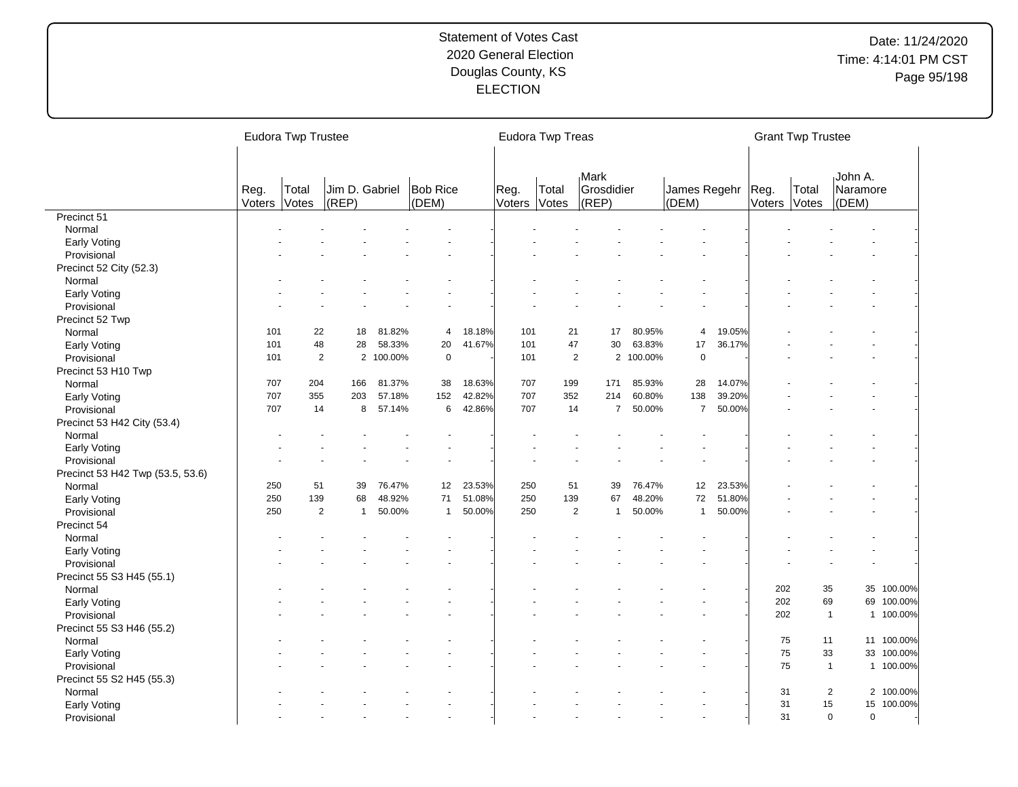|                                  |                | Eudora Twp Trustee |                             |           |                          |        |                | Eudora Twp Treas      |                             |           |                       |        |                | <b>Grant Twp Trustee</b> |                              |            |
|----------------------------------|----------------|--------------------|-----------------------------|-----------|--------------------------|--------|----------------|-----------------------|-----------------------------|-----------|-----------------------|--------|----------------|--------------------------|------------------------------|------------|
|                                  | Reg.<br>Voters | Total<br>Votes     | Jim D. Gabriel<br>$ $ (REP) |           | <b>Bob Rice</b><br>(DEM) |        | Reg.<br>Voters | Total<br><b>Votes</b> | Mark<br>Grosdidier<br>(REP) |           | James Regehr<br>(DEM) |        | Reg.<br>Voters | Total<br>Votes           | John A.<br>Naramore<br>(DEM) |            |
| Precinct 51                      |                |                    |                             |           |                          |        |                |                       |                             |           |                       |        |                |                          |                              |            |
| Normal                           |                |                    |                             |           |                          |        |                |                       |                             |           |                       |        |                |                          |                              |            |
| Early Voting                     |                |                    |                             |           |                          |        |                |                       |                             |           |                       |        |                |                          |                              |            |
| Provisional                      |                |                    |                             |           |                          |        |                |                       |                             |           |                       |        |                |                          |                              |            |
| Precinct 52 City (52.3)          |                |                    |                             |           |                          |        |                |                       |                             |           |                       |        |                |                          |                              |            |
| Normal                           |                |                    |                             |           |                          |        |                |                       |                             |           |                       |        |                |                          |                              |            |
| Early Voting                     |                |                    |                             |           |                          |        |                |                       |                             |           |                       |        |                |                          |                              |            |
| Provisional                      |                |                    |                             |           |                          |        |                |                       |                             |           |                       |        |                |                          |                              |            |
| Precinct 52 Twp                  |                |                    |                             |           |                          |        |                |                       |                             |           |                       |        |                |                          |                              |            |
| Normal                           | 101            | 22                 | 18                          | 81.82%    | 4                        | 18.18% | 101            | 21                    | 17                          | 80.95%    | 4                     | 19.05% |                |                          |                              |            |
| Early Voting                     | 101            | 48                 | 28                          | 58.33%    | 20                       | 41.67% | 101            | 47                    | 30                          | 63.83%    | 17                    | 36.17% |                |                          |                              |            |
| Provisional                      | 101            |                    | $\overline{2}$              | 2 100.00% | $\pmb{0}$                |        | 101            | $\overline{2}$        |                             | 2 100.00% | $\mathbf 0$           |        |                |                          |                              |            |
| Precinct 53 H10 Twp              |                |                    |                             |           |                          |        |                |                       |                             |           |                       |        |                |                          |                              |            |
| Normal                           | 707            | 204                | 166                         | 81.37%    | 38                       | 18.63% | 707            | 199                   | 171                         | 85.93%    | 28                    | 14.07% |                |                          |                              |            |
| Early Voting                     | 707            | 355                | 203                         | 57.18%    | 152                      | 42.82% | 707            | 352                   | 214                         | 60.80%    | 138                   | 39.20% |                |                          |                              |            |
| Provisional                      | 707            | 14                 | 8                           | 57.14%    | 6                        | 42.86% | 707            | 14                    | $\overline{7}$              | 50.00%    | $\overline{7}$        | 50.00% |                |                          |                              |            |
| Precinct 53 H42 City (53.4)      |                |                    |                             |           |                          |        |                |                       |                             |           |                       |        |                |                          |                              |            |
|                                  |                |                    |                             |           |                          |        |                |                       |                             |           |                       |        |                |                          |                              |            |
| Normal                           |                |                    |                             |           |                          |        |                |                       |                             |           |                       |        |                |                          |                              |            |
| Early Voting                     |                |                    |                             |           |                          |        |                |                       |                             |           |                       |        |                |                          |                              |            |
| Provisional                      |                |                    |                             |           |                          |        |                |                       |                             |           |                       |        |                |                          |                              |            |
| Precinct 53 H42 Twp (53.5, 53.6) |                |                    |                             |           |                          |        |                |                       |                             |           |                       |        |                |                          |                              |            |
| Normal                           | 250            | 51                 | 39                          | 76.47%    | 12                       | 23.53% | 250            | 51                    | 39                          | 76.47%    | 12                    | 23.53% |                |                          |                              |            |
| Early Voting                     | 250            | 139                | 68                          | 48.92%    | 71                       | 51.08% | 250            | 139                   | 67                          | 48.20%    | 72                    | 51.80% |                |                          |                              |            |
| Provisional                      | 250            |                    | 2<br>$\mathbf{1}$           | 50.00%    | $\mathbf{1}$             | 50.00% | 250            | 2                     | $\mathbf{1}$                | 50.00%    | $\mathbf{1}$          | 50.00% |                |                          |                              |            |
| Precinct 54                      |                |                    |                             |           |                          |        |                |                       |                             |           |                       |        |                |                          |                              |            |
| Normal                           |                |                    |                             |           |                          |        |                |                       |                             |           |                       |        |                |                          |                              |            |
| Early Voting                     |                |                    |                             |           |                          |        |                |                       |                             |           |                       |        |                |                          |                              |            |
| Provisional                      |                |                    |                             |           |                          |        |                |                       |                             |           |                       |        |                |                          |                              |            |
| Precinct 55 S3 H45 (55.1)        |                |                    |                             |           |                          |        |                |                       |                             |           |                       |        |                |                          |                              |            |
| Normal                           |                |                    |                             |           |                          |        |                |                       |                             |           |                       |        | 202            | 35                       |                              | 35 100.00% |
| Early Voting                     |                |                    |                             |           |                          |        |                |                       |                             |           |                       |        | 202            | 69                       |                              | 69 100.00% |
| Provisional                      |                |                    |                             |           |                          |        |                |                       |                             |           |                       |        | 202            | $\overline{1}$           |                              | 1 100.00%  |
| Precinct 55 S3 H46 (55.2)        |                |                    |                             |           |                          |        |                |                       |                             |           |                       |        |                |                          |                              |            |
| Normal                           |                |                    |                             |           |                          |        |                |                       |                             |           |                       |        | 75             | 11                       |                              | 11 100.00% |
| Early Voting                     |                |                    |                             |           |                          |        |                |                       |                             |           |                       |        | 75             | 33                       |                              | 33 100.00% |
| Provisional                      |                |                    |                             |           |                          |        |                |                       |                             |           |                       |        | 75             | $\overline{1}$           |                              | 1 100.00%  |
| Precinct 55 S2 H45 (55.3)        |                |                    |                             |           |                          |        |                |                       |                             |           |                       |        |                |                          |                              |            |
| Normal                           |                |                    |                             |           |                          |        |                |                       |                             |           |                       |        | 31             |                          | 2                            | 2 100.00%  |
| Early Voting                     |                |                    |                             |           |                          |        |                |                       |                             |           |                       |        | 31             | 15                       |                              | 15 100.00% |
| Provisional                      |                |                    |                             |           |                          |        |                |                       |                             |           |                       |        | 31             |                          | $\mathbf 0$<br>$\mathbf 0$   |            |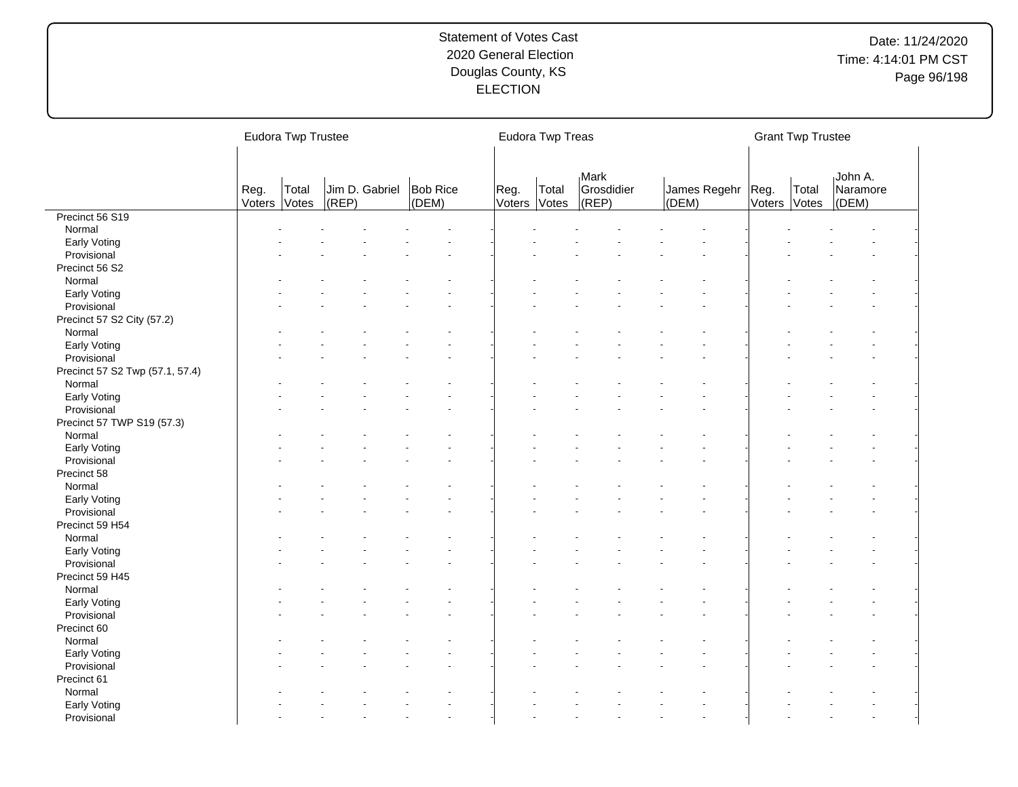|                                           |                | Eudora Twp Trustee |           |                |                          |                      | Eudora Twp Treas |                                        |       |                     |              | <b>Grant Twp Trustee</b> |                              |  |
|-------------------------------------------|----------------|--------------------|-----------|----------------|--------------------------|----------------------|------------------|----------------------------------------|-------|---------------------|--------------|--------------------------|------------------------------|--|
|                                           | Reg.<br>Voters | Total<br>Votes     | $ $ (REP) | Jim D. Gabriel | <b>Bob Rice</b><br>(DEM) | Reg.<br>Voters Votes | Total            | <b>Mark</b><br>Grosdidier<br>$ $ (REP) | (DEM) | James Regehr   Reg. | Voters Votes | Total                    | John A.<br>Naramore<br>(DEM) |  |
| Precinct 56 S19                           |                |                    |           |                |                          |                      |                  |                                        |       |                     |              |                          |                              |  |
| Normal                                    |                |                    |           |                |                          |                      |                  |                                        |       |                     |              |                          |                              |  |
| Early Voting                              |                |                    |           |                |                          |                      |                  |                                        |       |                     |              |                          |                              |  |
| Provisional                               |                |                    |           |                |                          |                      |                  |                                        |       |                     |              |                          |                              |  |
| Precinct 56 S2                            |                |                    |           |                |                          |                      |                  |                                        |       |                     |              |                          |                              |  |
| Normal                                    |                |                    |           |                |                          |                      |                  |                                        |       |                     |              |                          |                              |  |
| Early Voting                              |                |                    |           |                |                          |                      |                  |                                        |       |                     |              |                          |                              |  |
| Provisional                               |                |                    |           |                |                          |                      |                  |                                        |       |                     |              |                          |                              |  |
| Precinct 57 S2 City (57.2)                |                |                    |           |                |                          |                      |                  |                                        |       |                     |              |                          |                              |  |
| Normal                                    |                |                    |           |                |                          |                      |                  |                                        |       |                     |              |                          |                              |  |
| Early Voting                              |                |                    |           |                |                          |                      |                  |                                        |       |                     |              |                          |                              |  |
| Provisional                               |                |                    |           |                |                          |                      |                  |                                        |       |                     |              |                          |                              |  |
| Precinct 57 S2 Twp (57.1, 57.4)<br>Normal |                |                    |           |                |                          |                      |                  |                                        |       |                     |              |                          |                              |  |
|                                           |                |                    |           |                |                          |                      |                  |                                        |       |                     |              |                          |                              |  |
| Early Voting                              |                |                    |           |                |                          |                      |                  |                                        |       |                     |              |                          |                              |  |
| Provisional                               |                |                    |           |                |                          |                      |                  |                                        |       |                     |              |                          |                              |  |
| Precinct 57 TWP S19 (57.3)                |                |                    |           |                |                          |                      |                  |                                        |       |                     |              |                          |                              |  |
| Normal                                    |                |                    |           |                |                          |                      |                  |                                        |       |                     |              |                          |                              |  |
| Early Voting                              |                |                    |           |                |                          |                      |                  |                                        |       |                     |              |                          |                              |  |
| Provisional                               |                |                    |           |                |                          |                      |                  |                                        |       |                     |              |                          |                              |  |
| Precinct 58                               |                |                    |           |                |                          |                      |                  |                                        |       |                     |              |                          |                              |  |
| Normal                                    |                |                    |           |                |                          |                      |                  |                                        |       |                     |              |                          |                              |  |
| Early Voting                              |                |                    |           |                |                          |                      |                  |                                        |       |                     |              |                          |                              |  |
| Provisional                               |                |                    |           |                |                          |                      |                  |                                        |       |                     |              |                          |                              |  |
| Precinct 59 H54                           |                |                    |           |                |                          |                      |                  |                                        |       |                     |              |                          |                              |  |
| Normal                                    |                |                    |           |                |                          |                      |                  |                                        |       |                     |              |                          |                              |  |
| Early Voting                              |                |                    |           |                |                          |                      |                  |                                        |       |                     |              |                          |                              |  |
| Provisional                               |                |                    |           |                |                          |                      |                  |                                        |       |                     |              |                          |                              |  |
| Precinct 59 H45                           |                |                    |           |                |                          |                      |                  |                                        |       |                     |              |                          |                              |  |
| Normal                                    |                |                    |           |                |                          |                      |                  |                                        |       |                     |              |                          |                              |  |
| Early Voting                              |                |                    |           |                |                          |                      |                  |                                        |       |                     |              |                          |                              |  |
| Provisional                               |                |                    |           |                |                          |                      |                  |                                        |       |                     |              |                          |                              |  |
| Precinct 60                               |                |                    |           |                |                          |                      |                  |                                        |       |                     |              |                          |                              |  |
| Normal                                    |                |                    |           |                |                          |                      |                  |                                        |       |                     |              |                          |                              |  |
| Early Voting                              |                |                    |           |                |                          |                      |                  |                                        |       |                     |              |                          |                              |  |
| Provisional                               |                |                    |           |                |                          |                      |                  |                                        |       |                     |              |                          |                              |  |
| Precinct 61                               |                |                    |           |                |                          |                      |                  |                                        |       |                     |              |                          |                              |  |
| Normal                                    |                |                    |           |                |                          |                      |                  |                                        |       |                     |              |                          |                              |  |
| Early Voting                              |                |                    |           |                |                          |                      |                  |                                        |       |                     |              |                          |                              |  |
| Provisional                               |                |                    |           |                |                          |                      |                  |                                        |       |                     |              |                          |                              |  |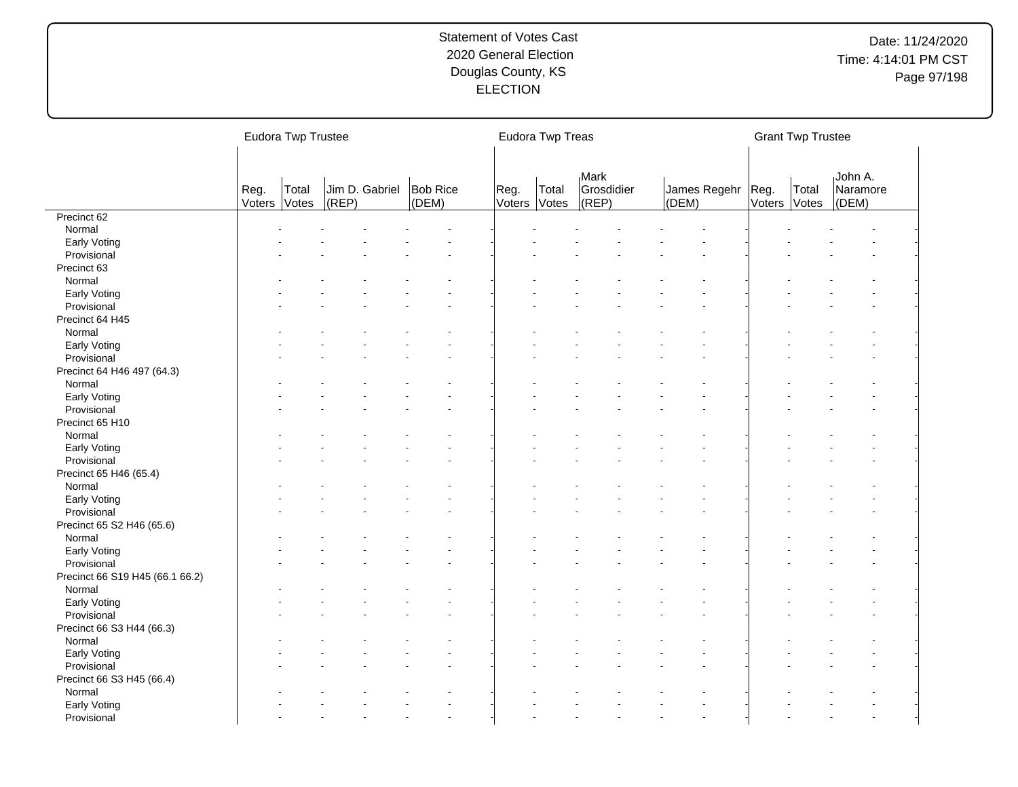|                                 |                | Eudora Twp Trustee |       |                |                   |                      | Eudora Twp Treas |                             |                            |              | <b>Grant Twp Trustee</b> |                              |  |
|---------------------------------|----------------|--------------------|-------|----------------|-------------------|----------------------|------------------|-----------------------------|----------------------------|--------------|--------------------------|------------------------------|--|
|                                 | Reg.<br>Voters | Total<br>Votes     | (REP) | Jim D. Gabriel | Bob Rice<br>(DEM) | Reg.<br>Voters Votes | Total            | Mark<br>Grosdidier<br>(REP) | James Regehr Reg.<br>(DEM) | Voters Votes | Total                    | John A.<br>Naramore<br>(DEM) |  |
| Precinct 62                     |                |                    |       |                |                   |                      |                  |                             |                            |              |                          |                              |  |
| Normal                          |                |                    |       |                |                   |                      |                  |                             |                            |              |                          |                              |  |
| Early Voting                    |                |                    |       |                |                   |                      |                  |                             |                            |              |                          |                              |  |
| Provisional                     |                |                    |       |                |                   |                      |                  |                             |                            |              |                          |                              |  |
| Precinct 63                     |                |                    |       |                |                   |                      |                  |                             |                            |              |                          |                              |  |
| Normal                          |                |                    |       |                |                   |                      |                  |                             |                            |              |                          |                              |  |
| Early Voting                    |                |                    |       |                |                   |                      |                  |                             |                            |              |                          |                              |  |
| Provisional                     |                |                    |       |                |                   |                      |                  |                             |                            |              |                          |                              |  |
| Precinct 64 H45                 |                |                    |       |                |                   |                      |                  |                             |                            |              |                          |                              |  |
| Normal                          |                |                    |       |                |                   |                      |                  |                             |                            |              |                          |                              |  |
| Early Voting                    |                |                    |       |                |                   |                      |                  |                             |                            |              |                          |                              |  |
| Provisional                     |                |                    |       |                |                   |                      |                  |                             |                            |              |                          |                              |  |
| Precinct 64 H46 497 (64.3)      |                |                    |       |                |                   |                      |                  |                             |                            |              |                          |                              |  |
| Normal                          |                |                    |       |                |                   |                      |                  |                             |                            |              |                          |                              |  |
| Early Voting                    |                |                    |       |                |                   |                      |                  |                             |                            |              |                          |                              |  |
| Provisional                     |                |                    |       |                |                   |                      |                  |                             |                            |              |                          |                              |  |
| Precinct 65 H10                 |                |                    |       |                |                   |                      |                  |                             |                            |              |                          |                              |  |
| Normal                          |                |                    |       |                |                   |                      |                  |                             |                            |              |                          |                              |  |
| Early Voting                    |                |                    |       |                |                   |                      |                  |                             |                            |              |                          |                              |  |
| Provisional                     |                |                    |       |                |                   |                      |                  |                             |                            |              |                          |                              |  |
|                                 |                |                    |       |                |                   |                      |                  |                             |                            |              |                          |                              |  |
| Precinct 65 H46 (65.4)          |                |                    |       |                |                   |                      |                  |                             |                            |              |                          |                              |  |
| Normal                          |                |                    |       |                |                   |                      |                  |                             |                            |              |                          |                              |  |
| Early Voting                    |                |                    |       |                |                   |                      |                  |                             |                            |              |                          |                              |  |
| Provisional                     |                |                    |       |                |                   |                      |                  |                             |                            |              |                          |                              |  |
| Precinct 65 S2 H46 (65.6)       |                |                    |       |                |                   |                      |                  |                             |                            |              |                          |                              |  |
| Normal                          |                |                    |       |                |                   |                      |                  |                             |                            |              |                          |                              |  |
| Early Voting                    |                |                    |       |                |                   |                      |                  |                             |                            |              |                          |                              |  |
| Provisional                     |                |                    |       |                |                   |                      |                  |                             |                            |              |                          |                              |  |
| Precinct 66 S19 H45 (66.1 66.2) |                |                    |       |                |                   |                      |                  |                             |                            |              |                          |                              |  |
| Normal                          |                |                    |       |                |                   |                      |                  |                             |                            |              |                          |                              |  |
| Early Voting                    |                |                    |       |                |                   |                      |                  |                             |                            |              |                          |                              |  |
| Provisional                     |                |                    |       |                |                   |                      |                  |                             |                            |              |                          |                              |  |
| Precinct 66 S3 H44 (66.3)       |                |                    |       |                |                   |                      |                  |                             |                            |              |                          |                              |  |
| Normal                          |                |                    |       |                |                   |                      |                  |                             |                            |              |                          |                              |  |
| Early Voting                    |                |                    |       |                |                   |                      |                  |                             |                            |              |                          |                              |  |
| Provisional                     |                |                    |       |                |                   |                      |                  |                             |                            |              |                          |                              |  |
| Precinct 66 S3 H45 (66.4)       |                |                    |       |                |                   |                      |                  |                             |                            |              |                          |                              |  |
| Normal                          |                |                    |       |                |                   |                      |                  |                             |                            |              |                          |                              |  |
| Early Voting                    |                |                    |       |                |                   |                      |                  |                             |                            |              |                          |                              |  |
| Provisional                     |                |                    |       |                |                   |                      |                  |                             |                            |              |                          |                              |  |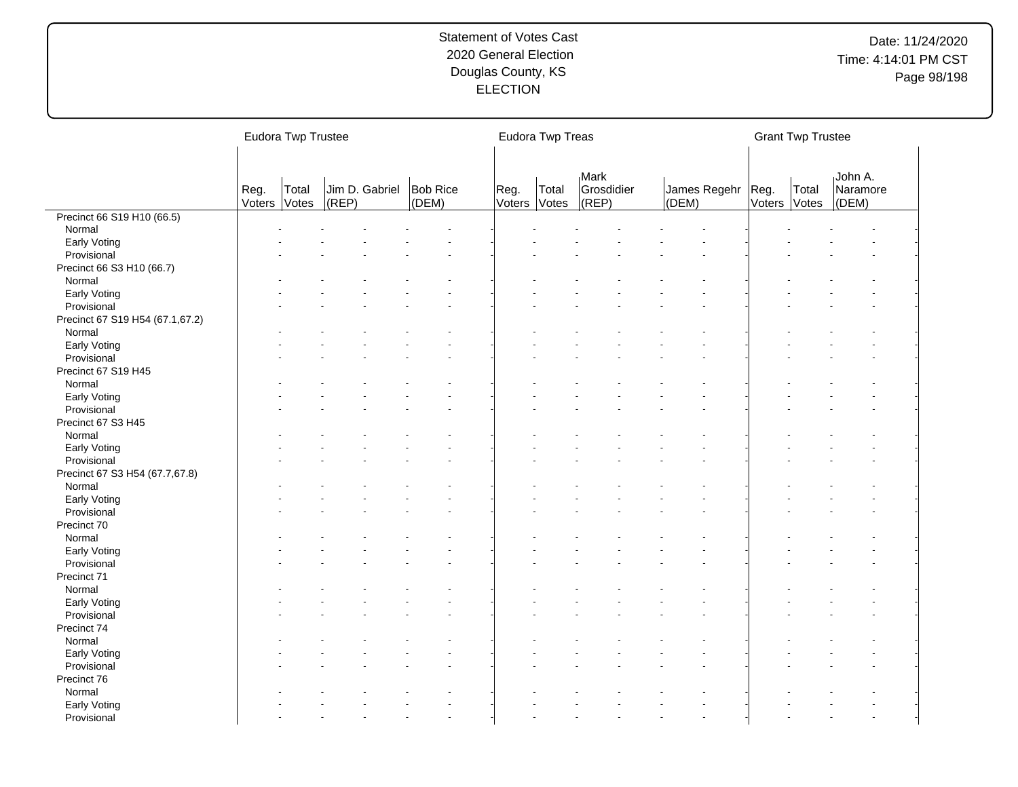|                                 |                | Eudora Twp Trustee |           |                |                          |                      | Eudora Twp Treas |                                          |                            |        | <b>Grant Twp Trustee</b> |                              |
|---------------------------------|----------------|--------------------|-----------|----------------|--------------------------|----------------------|------------------|------------------------------------------|----------------------------|--------|--------------------------|------------------------------|
|                                 | Reg.<br>Voters | Total<br>Votes     | $ $ (REP) | Jim D. Gabriel | <b>Bob Rice</b><br>(DEM) | Reg.<br>Voters Votes | Total            | <sub>I</sub> Mark<br>Grosdidier<br>(REP) | James Regehr Reg.<br>(DEM) | Voters | Total<br>Votes           | John A.<br>Naramore<br>(DEM) |
| Precinct 66 S19 H10 (66.5)      |                |                    |           |                |                          |                      |                  |                                          |                            |        |                          |                              |
| Normal                          |                |                    |           |                |                          |                      |                  |                                          |                            |        |                          |                              |
| Early Voting                    |                |                    |           |                |                          |                      |                  |                                          |                            |        |                          |                              |
| Provisional                     |                |                    |           |                |                          |                      |                  |                                          |                            |        |                          |                              |
| Precinct 66 S3 H10 (66.7)       |                |                    |           |                |                          |                      |                  |                                          |                            |        |                          |                              |
| Normal                          |                |                    |           |                |                          |                      |                  |                                          |                            |        |                          |                              |
| Early Voting                    |                |                    |           |                |                          |                      |                  |                                          |                            |        |                          |                              |
| Provisional                     |                |                    |           |                |                          |                      |                  |                                          |                            |        |                          |                              |
| Precinct 67 S19 H54 (67.1,67.2) |                |                    |           |                |                          |                      |                  |                                          |                            |        |                          |                              |
| Normal                          |                |                    |           |                |                          |                      |                  |                                          |                            |        |                          |                              |
| Early Voting                    |                |                    |           |                |                          |                      |                  |                                          |                            |        |                          |                              |
| Provisional                     |                |                    |           |                |                          |                      |                  |                                          |                            |        |                          |                              |
| Precinct 67 S19 H45             |                |                    |           |                |                          |                      |                  |                                          |                            |        |                          |                              |
| Normal                          |                |                    |           |                |                          |                      |                  |                                          |                            |        |                          |                              |
| Early Voting                    |                |                    |           |                |                          |                      |                  |                                          |                            |        |                          |                              |
| Provisional                     |                |                    |           |                |                          |                      |                  |                                          |                            |        |                          |                              |
| Precinct 67 S3 H45              |                |                    |           |                |                          |                      |                  |                                          |                            |        |                          |                              |
|                                 |                |                    |           |                |                          |                      |                  |                                          |                            |        |                          |                              |
| Normal                          |                |                    |           |                |                          |                      |                  |                                          |                            |        |                          |                              |
| Early Voting                    |                |                    |           |                |                          |                      |                  |                                          |                            |        |                          |                              |
| Provisional                     |                |                    |           |                |                          |                      |                  |                                          |                            |        |                          |                              |
| Precinct 67 S3 H54 (67.7,67.8)  |                |                    |           |                |                          |                      |                  |                                          |                            |        |                          |                              |
| Normal                          |                |                    |           |                |                          |                      |                  |                                          |                            |        |                          |                              |
| Early Voting                    |                |                    |           |                |                          |                      |                  |                                          |                            |        |                          |                              |
| Provisional                     |                |                    |           |                |                          |                      |                  |                                          |                            |        |                          |                              |
| Precinct 70                     |                |                    |           |                |                          |                      |                  |                                          |                            |        |                          |                              |
| Normal                          |                |                    |           |                |                          |                      |                  |                                          |                            |        |                          |                              |
| Early Voting                    |                |                    |           |                |                          |                      |                  |                                          |                            |        |                          |                              |
| Provisional                     |                |                    |           |                |                          |                      |                  |                                          |                            |        |                          |                              |
| Precinct 71                     |                |                    |           |                |                          |                      |                  |                                          |                            |        |                          |                              |
| Normal                          |                |                    |           |                |                          |                      |                  |                                          |                            |        |                          |                              |
| Early Voting                    |                |                    |           |                |                          |                      |                  |                                          |                            |        |                          |                              |
| Provisional                     |                |                    |           |                |                          |                      |                  |                                          |                            |        |                          |                              |
| Precinct 74                     |                |                    |           |                |                          |                      |                  |                                          |                            |        |                          |                              |
| Normal                          |                |                    |           |                |                          |                      |                  |                                          |                            |        |                          |                              |
| Early Voting                    |                |                    |           |                |                          |                      |                  |                                          |                            |        |                          |                              |
| Provisional                     |                |                    |           |                |                          |                      |                  |                                          |                            |        |                          |                              |
| Precinct 76                     |                |                    |           |                |                          |                      |                  |                                          |                            |        |                          |                              |
| Normal                          |                |                    |           |                |                          |                      |                  |                                          |                            |        |                          |                              |
| Early Voting                    |                |                    |           |                |                          |                      |                  |                                          |                            |        |                          |                              |
| Provisional                     |                |                    |           |                |                          |                      |                  |                                          |                            |        |                          |                              |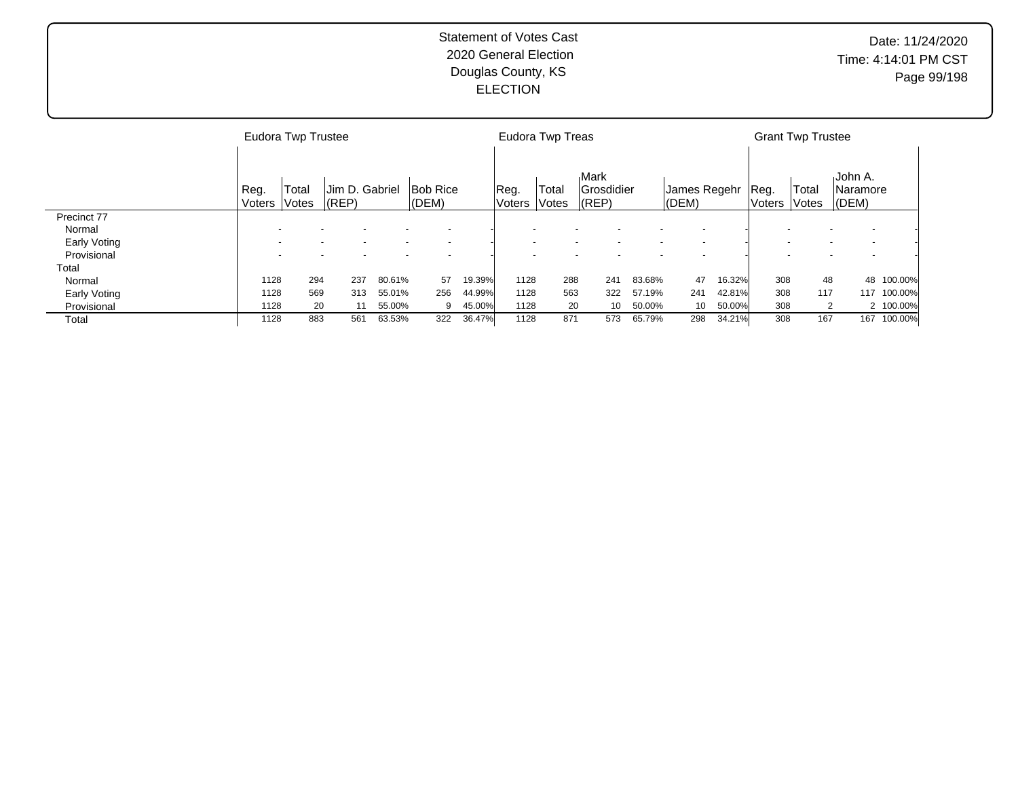|              |                | Eudora Twp Trustee |                             |        |                              |        |                 | Eudora Twp Treas |                                               |        |                           |        |                 | <b>Grant Twp Trustee</b>     |                                |           |
|--------------|----------------|--------------------|-----------------------------|--------|------------------------------|--------|-----------------|------------------|-----------------------------------------------|--------|---------------------------|--------|-----------------|------------------------------|--------------------------------|-----------|
|              | Reg.<br>Voters | Total<br>Votes     | Jim D. Gabriel<br>$ $ (REP) |        | <b>Bob Rice</b><br>$ $ (DEM) |        | Reg.<br> Voters | Total<br>Votes   | <b>Mark</b><br><b>Grosdidier</b><br>$ $ (REP) |        | James Regehr<br>$ $ (DEM) |        | Reg.<br> Voters | Total<br><i><b>Notes</b></i> | ،John A.<br>lNaramore<br>(DEM) |           |
| Precinct 77  |                |                    |                             |        |                              |        |                 |                  |                                               |        |                           |        |                 |                              |                                |           |
| Normal       |                |                    |                             |        |                              |        |                 |                  |                                               |        |                           |        |                 |                              |                                |           |
| Early Voting |                |                    |                             |        |                              |        |                 |                  |                                               |        |                           |        |                 |                              |                                |           |
| Provisional  |                |                    |                             |        |                              |        |                 |                  |                                               |        |                           |        |                 |                              |                                |           |
| Total        |                |                    |                             |        |                              |        |                 |                  |                                               |        |                           |        |                 |                              |                                |           |
| Normal       | 1128           | 294                | 237                         | 80.61% | 57                           | 19.39% | 1128            | 288              | 241                                           | 83.68% | 47                        | 16.32% | 308             | 48                           | 48                             | 100.00%   |
| Early Voting | 1128           | 569                | 313                         | 55.01% | 256                          | 44.99% | 1128            | 563              | 322                                           | 57.19% | 241                       | 42.81% | 308             | 117                          | 117                            | 100.00%   |
| Provisional  | 1128           | 20                 | 11                          | 55.00% | 9                            | 45.00% | 1128            | 20               | 10                                            | 50.00% | 10                        | 50.00% | 308             | 2                            |                                | 2 100.00% |
| Total        | 1128           | 883                | 561                         | 63.53% | 322                          | 36.47% | 1128            | 871              | 573                                           | 65.79% | 298                       | 34.21% | 308             | 167                          | 167                            | 100.00%   |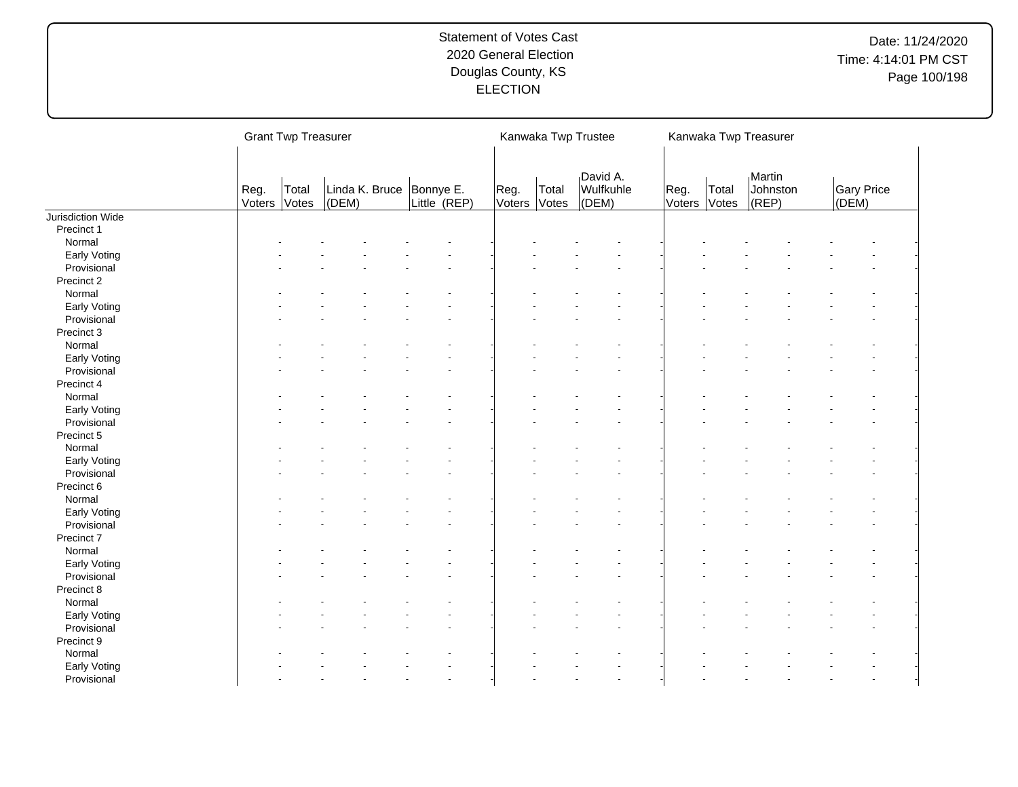|                   |                | <b>Grant Twp Treasurer</b> |       |                                            |                      |       | Kanwaka Twp Trustee            |                |                | Kanwaka Twp Treasurer           |       |                   |
|-------------------|----------------|----------------------------|-------|--------------------------------------------|----------------------|-------|--------------------------------|----------------|----------------|---------------------------------|-------|-------------------|
|                   | Reg.<br>Voters | Total<br>Votes             | (DEM) | Linda K. Bruce   Bonnye E.<br>Little (REP) | Reg.<br>Voters Votes | Total | David A.<br>Wulfkuhle<br>(DEM) | Reg.<br>Voters | Total<br>Votes | Martin<br>Johnston<br>$ $ (REP) | (DEM) | <b>Gary Price</b> |
| Jurisdiction Wide |                |                            |       |                                            |                      |       |                                |                |                |                                 |       |                   |
| Precinct 1        |                |                            |       |                                            |                      |       |                                |                |                |                                 |       |                   |
| Normal            |                |                            |       |                                            |                      |       |                                |                |                |                                 |       |                   |
| Early Voting      |                |                            |       |                                            |                      |       |                                |                |                |                                 |       |                   |
| Provisional       |                |                            |       |                                            |                      |       |                                |                |                |                                 |       |                   |
| Precinct 2        |                |                            |       |                                            |                      |       |                                |                |                |                                 |       |                   |
| Normal            |                |                            |       |                                            |                      |       |                                |                |                |                                 |       |                   |
| Early Voting      |                |                            |       |                                            |                      |       |                                |                |                |                                 |       |                   |
| Provisional       |                |                            |       |                                            |                      |       |                                |                |                |                                 |       |                   |
| Precinct 3        |                |                            |       |                                            |                      |       |                                |                |                |                                 |       |                   |
| Normal            |                |                            |       |                                            |                      |       |                                |                |                |                                 |       |                   |
| Early Voting      |                |                            |       |                                            |                      |       |                                |                |                |                                 |       |                   |
| Provisional       |                |                            |       |                                            |                      |       |                                |                |                |                                 |       |                   |
| Precinct 4        |                |                            |       |                                            |                      |       |                                |                |                |                                 |       |                   |
| Normal            |                |                            |       |                                            |                      |       |                                |                |                |                                 |       |                   |
| Early Voting      |                |                            |       |                                            |                      |       |                                |                |                |                                 |       |                   |
| Provisional       |                |                            |       |                                            |                      |       |                                |                |                |                                 |       |                   |
| Precinct 5        |                |                            |       |                                            |                      |       |                                |                |                |                                 |       |                   |
| Normal            |                |                            |       |                                            |                      |       |                                |                |                |                                 |       |                   |
| Early Voting      |                |                            |       |                                            |                      |       |                                |                |                |                                 |       |                   |
| Provisional       |                |                            |       |                                            |                      |       |                                |                |                |                                 |       |                   |
| Precinct 6        |                |                            |       |                                            |                      |       |                                |                |                |                                 |       |                   |
| Normal            |                |                            |       |                                            |                      |       |                                |                |                |                                 |       |                   |
| Early Voting      |                |                            |       |                                            |                      |       |                                |                |                |                                 |       |                   |
| Provisional       |                |                            |       |                                            |                      |       |                                |                |                |                                 |       |                   |
| Precinct 7        |                |                            |       |                                            |                      |       |                                |                |                |                                 |       |                   |
| Normal            |                |                            |       |                                            |                      |       |                                |                |                |                                 |       |                   |
| Early Voting      |                |                            |       |                                            |                      |       |                                |                |                |                                 |       |                   |
| Provisional       |                |                            |       |                                            |                      |       |                                |                |                |                                 |       |                   |
| Precinct 8        |                |                            |       |                                            |                      |       |                                |                |                |                                 |       |                   |
| Normal            |                |                            |       |                                            |                      |       |                                |                |                |                                 |       |                   |
| Early Voting      |                |                            |       |                                            |                      |       |                                |                |                |                                 |       |                   |
| Provisional       |                |                            |       |                                            |                      |       |                                |                |                |                                 |       |                   |
| Precinct 9        |                |                            |       |                                            |                      |       |                                |                |                |                                 |       |                   |
| Normal            |                |                            |       |                                            |                      |       |                                |                |                |                                 |       |                   |
| Early Voting      |                |                            |       |                                            |                      |       |                                |                |                |                                 |       |                   |
| Provisional       |                |                            |       |                                            |                      |       |                                |                |                |                                 |       |                   |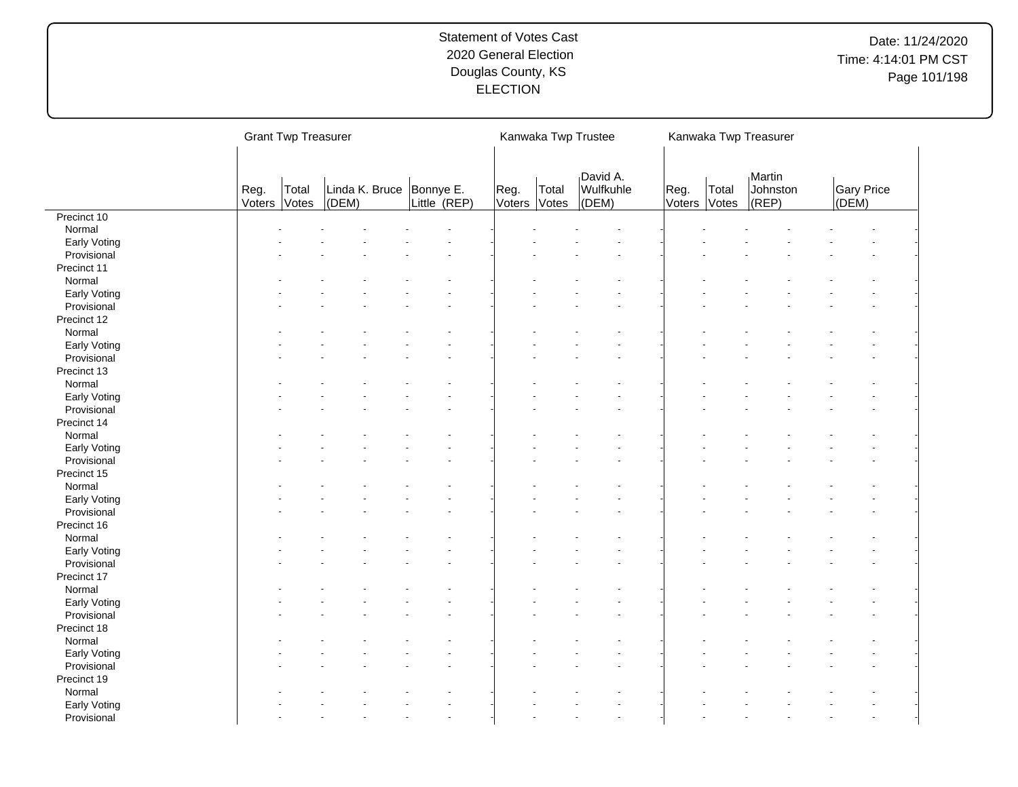|              |                | <b>Grant Twp Treasurer</b> |                                     |              |                      | Kanwaka Twp Trustee |                                |                      |       | Kanwaka Twp Treasurer           |                            |  |
|--------------|----------------|----------------------------|-------------------------------------|--------------|----------------------|---------------------|--------------------------------|----------------------|-------|---------------------------------|----------------------------|--|
|              | Reg.<br>Voters | Total<br>Votes             | Linda K. Bruce   Bonnye E.<br>(DEM) | Little (REP) | Reg.<br>Voters Votes | Total               | David A.<br>Wulfkuhle<br>(DEM) | Reg.<br>Voters Votes | Total | Martin<br>Johnston<br>$ $ (REP) | <b>Gary Price</b><br>(DEM) |  |
| Precinct 10  |                |                            |                                     |              |                      |                     |                                |                      |       |                                 |                            |  |
| Normal       |                |                            |                                     |              |                      |                     |                                |                      |       |                                 |                            |  |
| Early Voting |                |                            |                                     |              |                      |                     |                                |                      |       |                                 |                            |  |
| Provisional  |                |                            |                                     |              |                      |                     |                                |                      |       |                                 |                            |  |
| Precinct 11  |                |                            |                                     |              |                      |                     |                                |                      |       |                                 |                            |  |
| Normal       |                |                            |                                     |              |                      |                     |                                |                      |       |                                 |                            |  |
| Early Voting |                |                            |                                     |              |                      |                     |                                |                      |       |                                 |                            |  |
| Provisional  |                |                            |                                     |              |                      |                     |                                |                      |       |                                 |                            |  |
| Precinct 12  |                |                            |                                     |              |                      |                     |                                |                      |       |                                 |                            |  |
| Normal       |                |                            |                                     |              |                      |                     |                                |                      |       |                                 |                            |  |
| Early Voting |                |                            |                                     |              |                      |                     |                                |                      |       |                                 |                            |  |
| Provisional  |                |                            |                                     |              |                      |                     |                                |                      |       |                                 |                            |  |
| Precinct 13  |                |                            |                                     |              |                      |                     |                                |                      |       |                                 |                            |  |
| Normal       |                |                            |                                     |              |                      |                     |                                |                      |       |                                 |                            |  |
|              |                |                            |                                     |              |                      |                     |                                |                      |       |                                 |                            |  |
| Early Voting |                |                            |                                     |              |                      |                     |                                |                      |       |                                 |                            |  |
| Provisional  |                |                            |                                     |              |                      |                     |                                |                      |       |                                 |                            |  |
| Precinct 14  |                |                            |                                     |              |                      |                     |                                |                      |       |                                 |                            |  |
| Normal       |                |                            |                                     |              |                      |                     |                                |                      |       |                                 |                            |  |
| Early Voting |                |                            |                                     |              |                      |                     |                                |                      |       |                                 |                            |  |
| Provisional  |                |                            |                                     |              |                      |                     |                                |                      |       |                                 |                            |  |
| Precinct 15  |                |                            |                                     |              |                      |                     |                                |                      |       |                                 |                            |  |
| Normal       |                |                            |                                     |              |                      |                     |                                |                      |       |                                 |                            |  |
| Early Voting |                |                            |                                     |              |                      |                     |                                |                      |       |                                 |                            |  |
| Provisional  |                |                            |                                     |              |                      |                     |                                |                      |       |                                 |                            |  |
| Precinct 16  |                |                            |                                     |              |                      |                     |                                |                      |       |                                 |                            |  |
| Normal       |                |                            |                                     |              |                      |                     |                                |                      |       |                                 |                            |  |
| Early Voting |                |                            |                                     |              |                      |                     |                                |                      |       |                                 |                            |  |
| Provisional  |                |                            |                                     |              |                      |                     |                                |                      |       |                                 |                            |  |
| Precinct 17  |                |                            |                                     |              |                      |                     |                                |                      |       |                                 |                            |  |
| Normal       |                |                            |                                     |              |                      |                     |                                |                      |       |                                 |                            |  |
| Early Voting |                |                            |                                     |              |                      |                     |                                |                      |       |                                 |                            |  |
| Provisional  |                |                            |                                     |              |                      |                     |                                |                      |       |                                 |                            |  |
| Precinct 18  |                |                            |                                     |              |                      |                     |                                |                      |       |                                 |                            |  |
| Normal       |                |                            |                                     |              |                      |                     |                                |                      |       |                                 |                            |  |
| Early Voting |                |                            |                                     |              |                      |                     |                                |                      |       |                                 |                            |  |
| Provisional  |                |                            |                                     |              |                      |                     |                                |                      |       |                                 |                            |  |
| Precinct 19  |                |                            |                                     |              |                      |                     |                                |                      |       |                                 |                            |  |
| Normal       |                |                            |                                     |              |                      |                     |                                |                      |       |                                 |                            |  |
|              |                |                            |                                     |              |                      |                     |                                |                      |       |                                 |                            |  |
| Early Voting |                |                            |                                     |              |                      |                     |                                |                      |       |                                 |                            |  |
| Provisional  |                |                            |                                     |              |                      |                     |                                |                      |       |                                 |                            |  |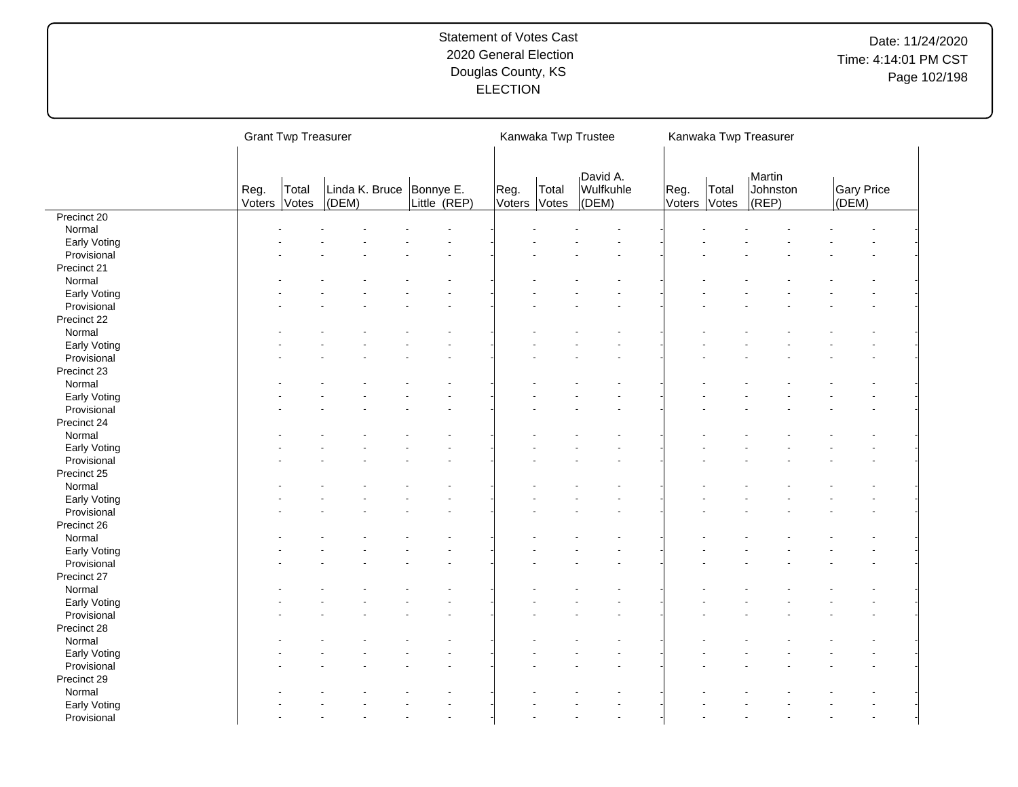|              |                | <b>Grant Twp Treasurer</b> |                                   |              |                      |       | Kanwaka Twp Trustee            |                      |       | Kanwaka Twp Treasurer           |                     |  |
|--------------|----------------|----------------------------|-----------------------------------|--------------|----------------------|-------|--------------------------------|----------------------|-------|---------------------------------|---------------------|--|
|              | Reg.<br>Voters | Total<br>Votes             | Linda K. Bruce Bonnye E.<br>(DEM) | Little (REP) | Reg.<br>Voters Votes | Total | David A.<br>Wulfkuhle<br>(DEM) | Reg.<br>Voters Votes | Total | Martin<br>Johnston<br>$ $ (REP) | Gary Price<br>(DEM) |  |
| Precinct 20  |                |                            |                                   |              |                      |       |                                |                      |       |                                 |                     |  |
| Normal       |                |                            |                                   |              |                      |       |                                |                      |       |                                 |                     |  |
| Early Voting |                |                            |                                   |              |                      |       |                                |                      |       |                                 |                     |  |
| Provisional  |                |                            |                                   |              |                      |       |                                |                      |       |                                 |                     |  |
| Precinct 21  |                |                            |                                   |              |                      |       |                                |                      |       |                                 |                     |  |
| Normal       |                |                            |                                   |              |                      |       |                                |                      |       |                                 |                     |  |
| Early Voting |                |                            |                                   |              |                      |       |                                |                      |       |                                 |                     |  |
| Provisional  |                |                            |                                   |              |                      |       |                                |                      |       |                                 |                     |  |
| Precinct 22  |                |                            |                                   |              |                      |       |                                |                      |       |                                 |                     |  |
| Normal       |                |                            |                                   |              |                      |       |                                |                      |       |                                 |                     |  |
| Early Voting |                |                            |                                   |              |                      |       |                                |                      |       |                                 |                     |  |
| Provisional  |                |                            |                                   |              |                      |       |                                |                      |       |                                 |                     |  |
|              |                |                            |                                   |              |                      |       |                                |                      |       |                                 |                     |  |
| Precinct 23  |                |                            |                                   |              |                      |       |                                |                      |       |                                 |                     |  |
| Normal       |                |                            |                                   |              |                      |       |                                |                      |       |                                 |                     |  |
| Early Voting |                |                            |                                   |              |                      |       |                                |                      |       |                                 |                     |  |
| Provisional  |                |                            |                                   |              |                      |       |                                |                      |       |                                 |                     |  |
| Precinct 24  |                |                            |                                   |              |                      |       |                                |                      |       |                                 |                     |  |
| Normal       |                |                            |                                   |              |                      |       |                                |                      |       |                                 |                     |  |
| Early Voting |                |                            |                                   |              |                      |       |                                |                      |       |                                 |                     |  |
| Provisional  |                |                            |                                   |              |                      |       |                                |                      |       |                                 |                     |  |
| Precinct 25  |                |                            |                                   |              |                      |       |                                |                      |       |                                 |                     |  |
| Normal       |                |                            |                                   |              |                      |       |                                |                      |       |                                 |                     |  |
| Early Voting |                |                            |                                   |              |                      |       |                                |                      |       |                                 |                     |  |
| Provisional  |                |                            |                                   |              |                      |       |                                |                      |       |                                 |                     |  |
| Precinct 26  |                |                            |                                   |              |                      |       |                                |                      |       |                                 |                     |  |
| Normal       |                |                            |                                   |              |                      |       |                                |                      |       |                                 |                     |  |
| Early Voting |                |                            |                                   |              |                      |       |                                |                      |       |                                 |                     |  |
| Provisional  |                |                            |                                   |              |                      |       |                                |                      |       |                                 |                     |  |
| Precinct 27  |                |                            |                                   |              |                      |       |                                |                      |       |                                 |                     |  |
| Normal       |                |                            |                                   |              |                      |       |                                |                      |       |                                 |                     |  |
| Early Voting |                |                            |                                   |              |                      |       |                                |                      |       |                                 |                     |  |
| Provisional  |                |                            |                                   |              |                      |       |                                |                      |       |                                 |                     |  |
|              |                |                            |                                   |              |                      |       |                                |                      |       |                                 |                     |  |
| Precinct 28  |                |                            |                                   |              |                      |       |                                |                      |       |                                 |                     |  |
| Normal       |                |                            |                                   |              |                      |       |                                |                      |       |                                 |                     |  |
| Early Voting |                |                            |                                   |              |                      |       |                                |                      |       |                                 |                     |  |
| Provisional  |                |                            |                                   |              |                      |       |                                |                      |       |                                 |                     |  |
| Precinct 29  |                |                            |                                   |              |                      |       |                                |                      |       |                                 |                     |  |
| Normal       |                |                            |                                   |              |                      |       |                                |                      |       |                                 |                     |  |
| Early Voting |                |                            |                                   |              |                      |       |                                |                      |       |                                 |                     |  |
| Provisional  |                |                            |                                   |              |                      |       |                                |                      |       |                                 |                     |  |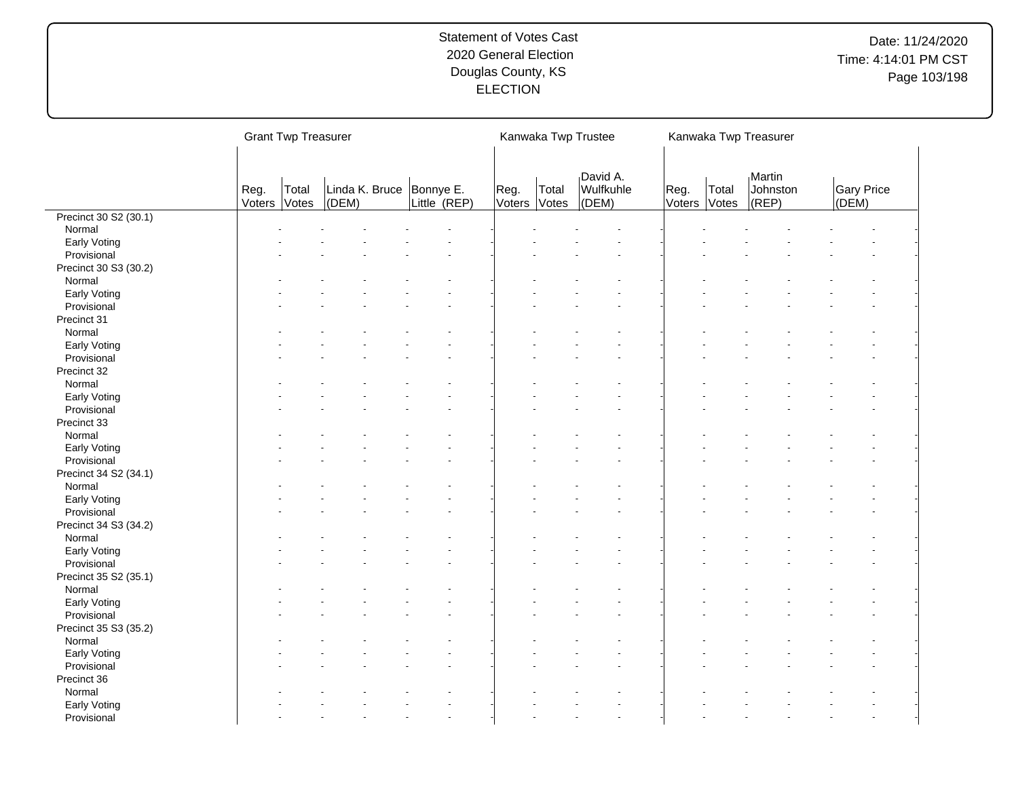|                       |                | <b>Grant Twp Treasurer</b> |       |                                            |      | Kanwaka Twp Trustee   |                                |                |                | Kanwaka Twp Treasurer           |                            |
|-----------------------|----------------|----------------------------|-------|--------------------------------------------|------|-----------------------|--------------------------------|----------------|----------------|---------------------------------|----------------------------|
|                       | Reg.<br>Voters | Total<br>Votes             | (DEM) | Linda K. Bruce   Bonnye E.<br>Little (REP) | Reg. | Total<br>Voters Votes | David A.<br>Wulfkuhle<br>(DEM) | Reg.<br>Voters | Total<br>Votes | Martin<br>Johnston<br>$ $ (REP) | <b>Gary Price</b><br>(DEM) |
| Precinct 30 S2 (30.1) |                |                            |       |                                            |      |                       |                                |                |                |                                 |                            |
| Normal                |                |                            |       |                                            |      |                       |                                |                |                |                                 |                            |
| Early Voting          |                |                            |       |                                            |      |                       |                                |                |                |                                 |                            |
| Provisional           |                |                            |       |                                            |      |                       |                                |                |                |                                 |                            |
| Precinct 30 S3 (30.2) |                |                            |       |                                            |      |                       |                                |                |                |                                 |                            |
| Normal                |                |                            |       |                                            |      |                       |                                |                |                |                                 |                            |
| Early Voting          |                |                            |       |                                            |      |                       |                                |                |                |                                 |                            |
| Provisional           |                |                            |       |                                            |      |                       |                                |                |                |                                 |                            |
| Precinct 31           |                |                            |       |                                            |      |                       |                                |                |                |                                 |                            |
| Normal                |                |                            |       |                                            |      |                       |                                |                |                |                                 |                            |
| Early Voting          |                |                            |       |                                            |      |                       |                                |                |                |                                 |                            |
| Provisional           |                |                            |       |                                            |      |                       |                                |                |                |                                 |                            |
| Precinct 32           |                |                            |       |                                            |      |                       |                                |                |                |                                 |                            |
| Normal                |                |                            |       |                                            |      |                       |                                |                |                |                                 |                            |
| Early Voting          |                |                            |       |                                            |      |                       |                                |                |                |                                 |                            |
| Provisional           |                |                            |       |                                            |      |                       |                                |                |                |                                 |                            |
| Precinct 33           |                |                            |       |                                            |      |                       |                                |                |                |                                 |                            |
| Normal                |                |                            |       |                                            |      |                       |                                |                |                |                                 |                            |
| Early Voting          |                |                            |       |                                            |      |                       |                                |                |                |                                 |                            |
| Provisional           |                |                            |       |                                            |      |                       |                                |                |                |                                 |                            |
| Precinct 34 S2 (34.1) |                |                            |       |                                            |      |                       |                                |                |                |                                 |                            |
| Normal                |                |                            |       |                                            |      |                       |                                |                |                |                                 |                            |
| Early Voting          |                |                            |       |                                            |      |                       |                                |                |                |                                 |                            |
| Provisional           |                |                            |       |                                            |      |                       |                                |                |                |                                 |                            |
| Precinct 34 S3 (34.2) |                |                            |       |                                            |      |                       |                                |                |                |                                 |                            |
| Normal                |                |                            |       |                                            |      |                       |                                |                |                |                                 |                            |
| Early Voting          |                |                            |       |                                            |      |                       |                                |                |                |                                 |                            |
| Provisional           |                |                            |       |                                            |      |                       |                                |                |                |                                 |                            |
| Precinct 35 S2 (35.1) |                |                            |       |                                            |      |                       |                                |                |                |                                 |                            |
| Normal                |                |                            |       |                                            |      |                       |                                |                |                |                                 |                            |
| Early Voting          |                |                            |       |                                            |      |                       |                                |                |                |                                 |                            |
| Provisional           |                |                            |       |                                            |      |                       |                                |                |                |                                 |                            |
| Precinct 35 S3 (35.2) |                |                            |       |                                            |      |                       |                                |                |                |                                 |                            |
| Normal                |                |                            |       |                                            |      |                       |                                |                |                |                                 |                            |
| Early Voting          |                |                            |       |                                            |      |                       |                                |                |                |                                 |                            |
| Provisional           |                |                            |       |                                            |      |                       |                                |                |                |                                 |                            |
| Precinct 36           |                |                            |       |                                            |      |                       |                                |                |                |                                 |                            |
| Normal                |                |                            |       |                                            |      |                       |                                |                |                |                                 |                            |
|                       |                |                            |       |                                            |      |                       |                                |                |                |                                 |                            |
| Early Voting          |                |                            |       |                                            |      |                       |                                |                |                |                                 |                            |
| Provisional           |                |                            |       |                                            |      |                       |                                |                |                |                                 |                            |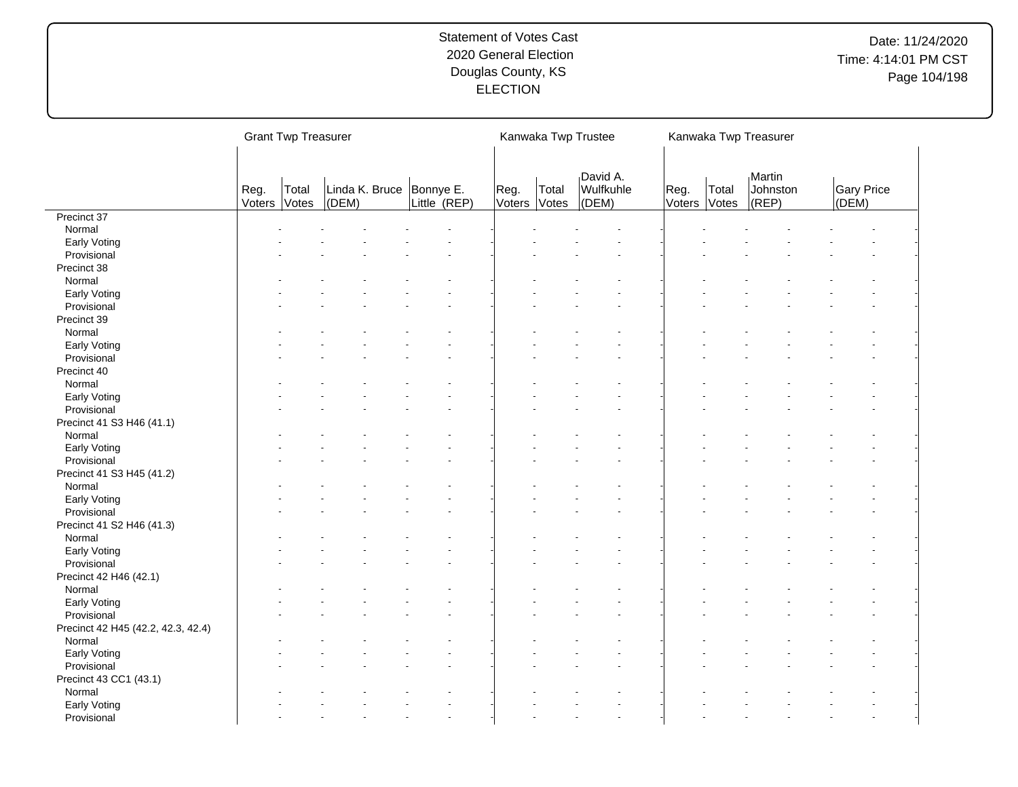|                                    |                | <b>Grant Twp Treasurer</b> |           |                                            |                      |       | Kanwaka Twp Trustee            |                |                | Kanwaka Twp Treasurer           |       |                   |
|------------------------------------|----------------|----------------------------|-----------|--------------------------------------------|----------------------|-------|--------------------------------|----------------|----------------|---------------------------------|-------|-------------------|
|                                    | Reg.<br>Voters | Total<br>Votes             | $ $ (DEM) | Linda K. Bruce   Bonnye E.<br>Little (REP) | Reg.<br>Voters Votes | Total | David A.<br>Wulfkuhle<br>(DEM) | Reg.<br>Voters | Total<br>Votes | Martin<br>Johnston<br>$ $ (REP) | (DEM) | <b>Gary Price</b> |
| Precinct 37                        |                |                            |           |                                            |                      |       |                                |                |                |                                 |       |                   |
| Normal                             |                |                            |           |                                            |                      |       |                                |                |                |                                 |       |                   |
| Early Voting                       |                |                            |           |                                            |                      |       |                                |                |                |                                 |       |                   |
| Provisional                        |                |                            |           |                                            |                      |       |                                |                |                |                                 |       |                   |
| Precinct 38                        |                |                            |           |                                            |                      |       |                                |                |                |                                 |       |                   |
| Normal                             |                |                            |           |                                            |                      |       |                                |                |                |                                 |       |                   |
| Early Voting                       |                |                            |           |                                            |                      |       |                                |                |                |                                 |       |                   |
| Provisional                        |                |                            |           |                                            |                      |       |                                |                |                |                                 |       |                   |
|                                    |                |                            |           |                                            |                      |       |                                |                |                |                                 |       |                   |
| Precinct 39                        |                |                            |           |                                            |                      |       |                                |                |                |                                 |       |                   |
| Normal                             |                |                            |           |                                            |                      |       |                                |                |                |                                 |       |                   |
| Early Voting                       |                |                            |           |                                            |                      |       |                                |                |                |                                 |       |                   |
| Provisional                        |                |                            |           |                                            |                      |       |                                |                |                |                                 |       |                   |
| Precinct 40                        |                |                            |           |                                            |                      |       |                                |                |                |                                 |       |                   |
| Normal                             |                |                            |           |                                            |                      |       |                                |                |                |                                 |       |                   |
| Early Voting                       |                |                            |           |                                            |                      |       |                                |                |                |                                 |       |                   |
| Provisional                        |                |                            |           |                                            |                      |       |                                |                |                |                                 |       |                   |
| Precinct 41 S3 H46 (41.1)          |                |                            |           |                                            |                      |       |                                |                |                |                                 |       |                   |
| Normal                             |                |                            |           |                                            |                      |       |                                |                |                |                                 |       |                   |
| Early Voting                       |                |                            |           |                                            |                      |       |                                |                |                |                                 |       |                   |
| Provisional                        |                |                            |           |                                            |                      |       |                                |                |                |                                 |       |                   |
| Precinct 41 S3 H45 (41.2)          |                |                            |           |                                            |                      |       |                                |                |                |                                 |       |                   |
|                                    |                |                            |           |                                            |                      |       |                                |                |                |                                 |       |                   |
| Normal                             |                |                            |           |                                            |                      |       |                                |                |                |                                 |       |                   |
| Early Voting                       |                |                            |           |                                            |                      |       |                                |                |                |                                 |       |                   |
| Provisional                        |                |                            |           |                                            |                      |       |                                |                |                |                                 |       |                   |
| Precinct 41 S2 H46 (41.3)          |                |                            |           |                                            |                      |       |                                |                |                |                                 |       |                   |
| Normal                             |                |                            |           |                                            |                      |       |                                |                |                |                                 |       |                   |
| Early Voting                       |                |                            |           |                                            |                      |       |                                |                |                |                                 |       |                   |
| Provisional                        |                |                            |           |                                            |                      |       |                                |                |                |                                 |       |                   |
| Precinct 42 H46 (42.1)             |                |                            |           |                                            |                      |       |                                |                |                |                                 |       |                   |
| Normal                             |                |                            |           |                                            |                      |       |                                |                |                |                                 |       |                   |
| Early Voting                       |                |                            |           |                                            |                      |       |                                |                |                |                                 |       |                   |
| Provisional                        |                |                            |           |                                            |                      |       |                                |                |                |                                 |       |                   |
| Precinct 42 H45 (42.2, 42.3, 42.4) |                |                            |           |                                            |                      |       |                                |                |                |                                 |       |                   |
| Normal                             |                |                            |           |                                            |                      |       |                                |                |                |                                 |       |                   |
| Early Voting                       |                |                            |           |                                            |                      |       |                                |                |                |                                 |       |                   |
| Provisional                        |                |                            |           |                                            |                      |       |                                |                |                |                                 |       |                   |
|                                    |                |                            |           |                                            |                      |       |                                |                |                |                                 |       |                   |
| Precinct 43 CC1 (43.1)             |                |                            |           |                                            |                      |       |                                |                |                |                                 |       |                   |
| Normal                             |                |                            |           |                                            |                      |       |                                |                |                |                                 |       |                   |
| Early Voting                       |                |                            |           |                                            |                      |       |                                |                |                |                                 |       |                   |
| Provisional                        |                |                            |           |                                            |                      |       |                                |                |                |                                 |       |                   |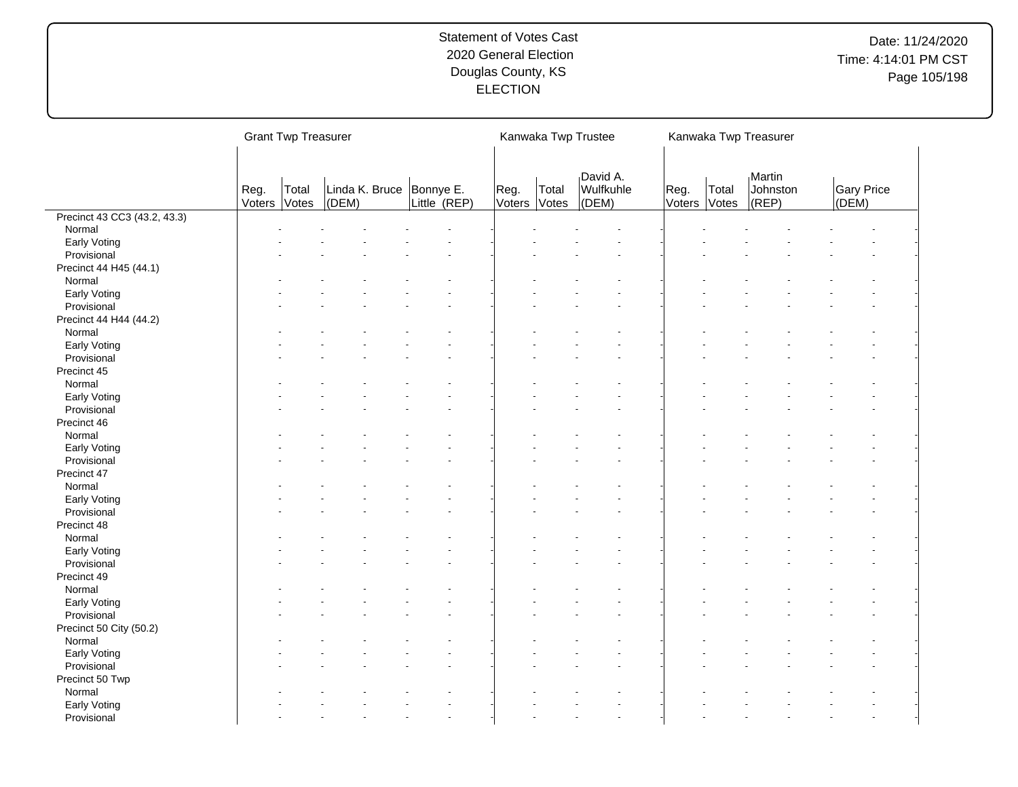|                              |                | <b>Grant Twp Treasurer</b> |                             |                           |                |                | Kanwaka Twp Trustee            |                      |       | Kanwaka Twp Treasurer           |           |            |
|------------------------------|----------------|----------------------------|-----------------------------|---------------------------|----------------|----------------|--------------------------------|----------------------|-------|---------------------------------|-----------|------------|
|                              | Reg.<br>Voters | Total<br>Votes             | Linda K. Bruce<br>$ $ (DEM) | Bonnye E.<br>Little (REP) | Reg.<br>Voters | Total<br>Votes | David A.<br>Wulfkuhle<br>(DEM) | Reg.<br>Voters Votes | Total | Martin<br>Johnston<br>$ $ (REP) | $ $ (DEM) | Gary Price |
| Precinct 43 CC3 (43.2, 43.3) |                |                            |                             |                           |                |                |                                |                      |       |                                 |           |            |
| Normal                       |                |                            |                             |                           |                |                |                                |                      |       |                                 |           |            |
| Early Voting                 |                |                            |                             |                           |                |                |                                |                      |       |                                 |           |            |
| Provisional                  |                |                            |                             |                           |                |                |                                |                      |       |                                 |           |            |
| Precinct 44 H45 (44.1)       |                |                            |                             |                           |                |                |                                |                      |       |                                 |           |            |
| Normal                       |                |                            |                             |                           |                |                |                                |                      |       |                                 |           |            |
| Early Voting                 |                |                            |                             |                           |                |                |                                |                      |       |                                 |           |            |
| Provisional                  |                |                            |                             |                           |                |                |                                |                      |       |                                 |           |            |
| Precinct 44 H44 (44.2)       |                |                            |                             |                           |                |                |                                |                      |       |                                 |           |            |
| Normal                       |                |                            |                             |                           |                |                |                                |                      |       |                                 |           |            |
| Early Voting                 |                |                            |                             |                           |                |                |                                |                      |       |                                 |           |            |
| Provisional                  |                |                            |                             |                           |                |                |                                |                      |       |                                 |           |            |
| Precinct 45                  |                |                            |                             |                           |                |                |                                |                      |       |                                 |           |            |
| Normal                       |                |                            |                             |                           |                |                |                                |                      |       |                                 |           |            |
|                              |                |                            |                             |                           |                |                |                                |                      |       |                                 |           |            |
| Early Voting                 |                |                            |                             |                           |                |                |                                |                      |       |                                 |           |            |
| Provisional                  |                |                            |                             |                           |                |                |                                |                      |       |                                 |           |            |
| Precinct 46                  |                |                            |                             |                           |                |                |                                |                      |       |                                 |           |            |
| Normal                       |                |                            |                             |                           |                |                |                                |                      |       |                                 |           |            |
| Early Voting                 |                |                            |                             |                           |                |                |                                |                      |       |                                 |           |            |
| Provisional                  |                |                            |                             |                           |                |                |                                |                      |       |                                 |           |            |
| Precinct 47                  |                |                            |                             |                           |                |                |                                |                      |       |                                 |           |            |
| Normal                       |                |                            |                             |                           |                |                |                                |                      |       |                                 |           |            |
| Early Voting                 |                |                            |                             |                           |                |                |                                |                      |       |                                 |           |            |
| Provisional                  |                |                            |                             |                           |                |                |                                |                      |       |                                 |           |            |
| Precinct 48                  |                |                            |                             |                           |                |                |                                |                      |       |                                 |           |            |
| Normal                       |                |                            |                             |                           |                |                |                                |                      |       |                                 |           |            |
| Early Voting                 |                |                            |                             |                           |                |                |                                |                      |       |                                 |           |            |
| Provisional                  |                |                            |                             |                           |                |                |                                |                      |       |                                 |           |            |
| Precinct 49                  |                |                            |                             |                           |                |                |                                |                      |       |                                 |           |            |
| Normal                       |                |                            |                             |                           |                |                |                                |                      |       |                                 |           |            |
| Early Voting                 |                |                            |                             |                           |                |                |                                |                      |       |                                 |           |            |
| Provisional                  |                |                            |                             |                           |                |                |                                |                      |       |                                 |           |            |
| Precinct 50 City (50.2)      |                |                            |                             |                           |                |                |                                |                      |       |                                 |           |            |
| Normal                       |                |                            |                             |                           |                |                |                                |                      |       |                                 |           |            |
| Early Voting                 |                |                            |                             |                           |                |                |                                |                      |       |                                 |           |            |
| Provisional                  |                |                            |                             |                           |                |                |                                |                      |       |                                 |           |            |
|                              |                |                            |                             |                           |                |                |                                |                      |       |                                 |           |            |
| Precinct 50 Twp              |                |                            |                             |                           |                |                |                                |                      |       |                                 |           |            |
| Normal                       |                |                            |                             |                           |                |                |                                |                      |       |                                 |           |            |
| Early Voting                 |                |                            |                             |                           |                |                |                                |                      |       |                                 |           |            |
| Provisional                  |                |                            |                             |                           |                |                |                                |                      |       |                                 |           |            |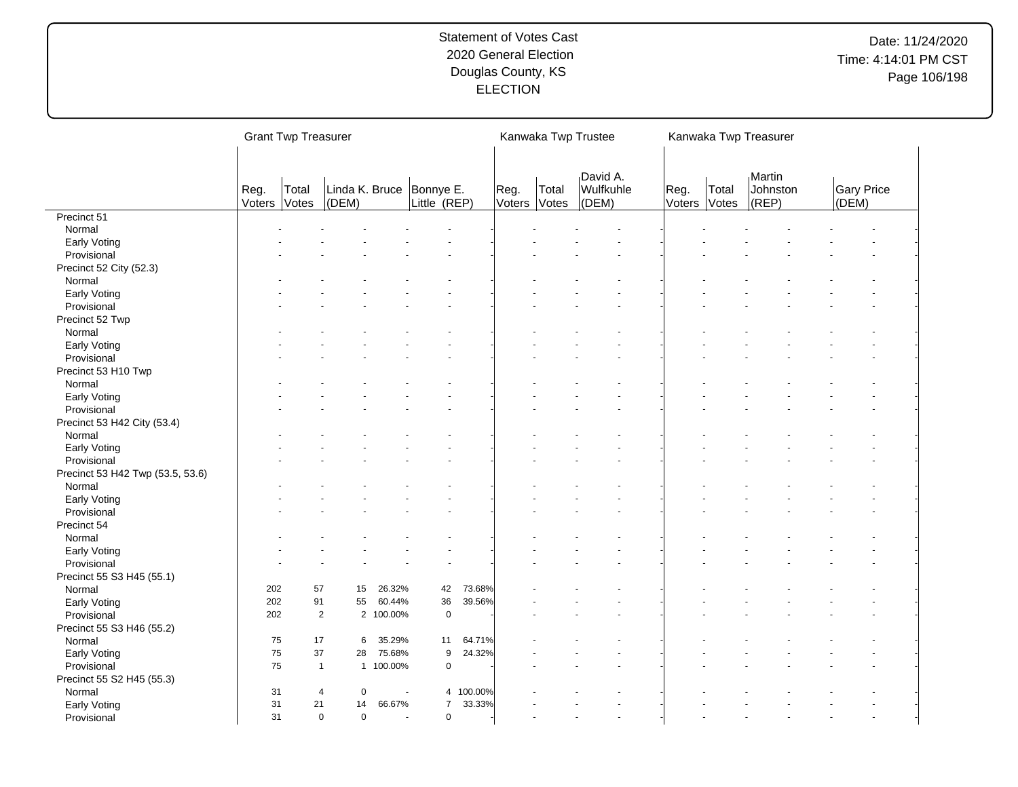| David A.<br>Martin<br><b>Gary Price</b><br>Linda K. Bruce<br>Bonnye E.<br>Wulfkuhle<br>Reg.<br>Johnston<br>Total<br>Reg.<br>Total<br>Reg.<br>Total<br>(DEM)<br>Little (REP)<br>(DEM)<br>(REP)<br>Voters Votes<br>Voters<br>Voters<br>(DEM)<br>Votes<br>Votes<br>Precinct 51<br>Normal<br>Early Voting<br>Provisional<br>Precinct 52 City (52.3)<br>Normal<br>Early Voting<br>Provisional<br>Precinct 52 Twp<br>Normal<br>Early Voting<br>Provisional<br>Precinct 53 H10 Twp<br>Normal<br>Early Voting<br>Provisional<br>Precinct 53 H42 City (53.4)<br>Normal<br>Early Voting<br>Provisional<br>Precinct 53 H42 Twp (53.5, 53.6)<br>Normal<br>Early Voting<br>Provisional<br>Precinct 54<br>Normal<br><b>Early Voting</b><br>Provisional<br>Precinct 55 S3 H45 (55.1) |  | <b>Grant Twp Treasurer</b> |  |  | Kanwaka Twp Trustee |  | Kanwaka Twp Treasurer |  |  |
|-----------------------------------------------------------------------------------------------------------------------------------------------------------------------------------------------------------------------------------------------------------------------------------------------------------------------------------------------------------------------------------------------------------------------------------------------------------------------------------------------------------------------------------------------------------------------------------------------------------------------------------------------------------------------------------------------------------------------------------------------------------------------|--|----------------------------|--|--|---------------------|--|-----------------------|--|--|
|                                                                                                                                                                                                                                                                                                                                                                                                                                                                                                                                                                                                                                                                                                                                                                       |  |                            |  |  |                     |  |                       |  |  |
|                                                                                                                                                                                                                                                                                                                                                                                                                                                                                                                                                                                                                                                                                                                                                                       |  |                            |  |  |                     |  |                       |  |  |
|                                                                                                                                                                                                                                                                                                                                                                                                                                                                                                                                                                                                                                                                                                                                                                       |  |                            |  |  |                     |  |                       |  |  |
|                                                                                                                                                                                                                                                                                                                                                                                                                                                                                                                                                                                                                                                                                                                                                                       |  |                            |  |  |                     |  |                       |  |  |
|                                                                                                                                                                                                                                                                                                                                                                                                                                                                                                                                                                                                                                                                                                                                                                       |  |                            |  |  |                     |  |                       |  |  |
|                                                                                                                                                                                                                                                                                                                                                                                                                                                                                                                                                                                                                                                                                                                                                                       |  |                            |  |  |                     |  |                       |  |  |
|                                                                                                                                                                                                                                                                                                                                                                                                                                                                                                                                                                                                                                                                                                                                                                       |  |                            |  |  |                     |  |                       |  |  |
|                                                                                                                                                                                                                                                                                                                                                                                                                                                                                                                                                                                                                                                                                                                                                                       |  |                            |  |  |                     |  |                       |  |  |
|                                                                                                                                                                                                                                                                                                                                                                                                                                                                                                                                                                                                                                                                                                                                                                       |  |                            |  |  |                     |  |                       |  |  |
|                                                                                                                                                                                                                                                                                                                                                                                                                                                                                                                                                                                                                                                                                                                                                                       |  |                            |  |  |                     |  |                       |  |  |
|                                                                                                                                                                                                                                                                                                                                                                                                                                                                                                                                                                                                                                                                                                                                                                       |  |                            |  |  |                     |  |                       |  |  |
|                                                                                                                                                                                                                                                                                                                                                                                                                                                                                                                                                                                                                                                                                                                                                                       |  |                            |  |  |                     |  |                       |  |  |
|                                                                                                                                                                                                                                                                                                                                                                                                                                                                                                                                                                                                                                                                                                                                                                       |  |                            |  |  |                     |  |                       |  |  |
|                                                                                                                                                                                                                                                                                                                                                                                                                                                                                                                                                                                                                                                                                                                                                                       |  |                            |  |  |                     |  |                       |  |  |
|                                                                                                                                                                                                                                                                                                                                                                                                                                                                                                                                                                                                                                                                                                                                                                       |  |                            |  |  |                     |  |                       |  |  |
|                                                                                                                                                                                                                                                                                                                                                                                                                                                                                                                                                                                                                                                                                                                                                                       |  |                            |  |  |                     |  |                       |  |  |
|                                                                                                                                                                                                                                                                                                                                                                                                                                                                                                                                                                                                                                                                                                                                                                       |  |                            |  |  |                     |  |                       |  |  |
|                                                                                                                                                                                                                                                                                                                                                                                                                                                                                                                                                                                                                                                                                                                                                                       |  |                            |  |  |                     |  |                       |  |  |
|                                                                                                                                                                                                                                                                                                                                                                                                                                                                                                                                                                                                                                                                                                                                                                       |  |                            |  |  |                     |  |                       |  |  |
|                                                                                                                                                                                                                                                                                                                                                                                                                                                                                                                                                                                                                                                                                                                                                                       |  |                            |  |  |                     |  |                       |  |  |
|                                                                                                                                                                                                                                                                                                                                                                                                                                                                                                                                                                                                                                                                                                                                                                       |  |                            |  |  |                     |  |                       |  |  |
|                                                                                                                                                                                                                                                                                                                                                                                                                                                                                                                                                                                                                                                                                                                                                                       |  |                            |  |  |                     |  |                       |  |  |
|                                                                                                                                                                                                                                                                                                                                                                                                                                                                                                                                                                                                                                                                                                                                                                       |  |                            |  |  |                     |  |                       |  |  |
|                                                                                                                                                                                                                                                                                                                                                                                                                                                                                                                                                                                                                                                                                                                                                                       |  |                            |  |  |                     |  |                       |  |  |
|                                                                                                                                                                                                                                                                                                                                                                                                                                                                                                                                                                                                                                                                                                                                                                       |  |                            |  |  |                     |  |                       |  |  |
|                                                                                                                                                                                                                                                                                                                                                                                                                                                                                                                                                                                                                                                                                                                                                                       |  |                            |  |  |                     |  |                       |  |  |
|                                                                                                                                                                                                                                                                                                                                                                                                                                                                                                                                                                                                                                                                                                                                                                       |  |                            |  |  |                     |  |                       |  |  |
|                                                                                                                                                                                                                                                                                                                                                                                                                                                                                                                                                                                                                                                                                                                                                                       |  |                            |  |  |                     |  |                       |  |  |
|                                                                                                                                                                                                                                                                                                                                                                                                                                                                                                                                                                                                                                                                                                                                                                       |  |                            |  |  |                     |  |                       |  |  |
|                                                                                                                                                                                                                                                                                                                                                                                                                                                                                                                                                                                                                                                                                                                                                                       |  |                            |  |  |                     |  |                       |  |  |
| 202<br>57<br>26.32%<br>42<br>73.68%<br>Normal<br>15                                                                                                                                                                                                                                                                                                                                                                                                                                                                                                                                                                                                                                                                                                                   |  |                            |  |  |                     |  |                       |  |  |
| 202<br>91<br>55<br>60.44%<br>36<br>39.56%<br>Early Voting                                                                                                                                                                                                                                                                                                                                                                                                                                                                                                                                                                                                                                                                                                             |  |                            |  |  |                     |  |                       |  |  |
| $\overline{2}$<br>$\mathbf 0$<br>Provisional<br>2 100.00%<br>202                                                                                                                                                                                                                                                                                                                                                                                                                                                                                                                                                                                                                                                                                                      |  |                            |  |  |                     |  |                       |  |  |
| Precinct 55 S3 H46 (55.2)                                                                                                                                                                                                                                                                                                                                                                                                                                                                                                                                                                                                                                                                                                                                             |  |                            |  |  |                     |  |                       |  |  |
| 75<br>17<br>35.29%<br>64.71%<br>Normal<br>6<br>11                                                                                                                                                                                                                                                                                                                                                                                                                                                                                                                                                                                                                                                                                                                     |  |                            |  |  |                     |  |                       |  |  |
| 75<br>37<br>75.68%<br>9<br>24.32%<br>Early Voting<br>28                                                                                                                                                                                                                                                                                                                                                                                                                                                                                                                                                                                                                                                                                                               |  |                            |  |  |                     |  |                       |  |  |
| 75<br>1 100.00%<br>$\mathbf 0$<br>Provisional<br>$\overline{1}$                                                                                                                                                                                                                                                                                                                                                                                                                                                                                                                                                                                                                                                                                                       |  |                            |  |  |                     |  |                       |  |  |
| Precinct 55 S2 H45 (55.3)                                                                                                                                                                                                                                                                                                                                                                                                                                                                                                                                                                                                                                                                                                                                             |  |                            |  |  |                     |  |                       |  |  |
| 100.00%<br>Normal<br>31<br>$\mathbf 0$<br>4<br>$\overline{4}$                                                                                                                                                                                                                                                                                                                                                                                                                                                                                                                                                                                                                                                                                                         |  |                            |  |  |                     |  |                       |  |  |
| 31<br>66.67%<br>$\overline{7}$<br>33.33%<br>Early Voting<br>21<br>14                                                                                                                                                                                                                                                                                                                                                                                                                                                                                                                                                                                                                                                                                                  |  |                            |  |  |                     |  |                       |  |  |
| 31<br>$\mathbf 0$<br>$\mathbf 0$<br>$\mathbf 0$<br>Provisional<br>$\overline{a}$                                                                                                                                                                                                                                                                                                                                                                                                                                                                                                                                                                                                                                                                                      |  |                            |  |  |                     |  |                       |  |  |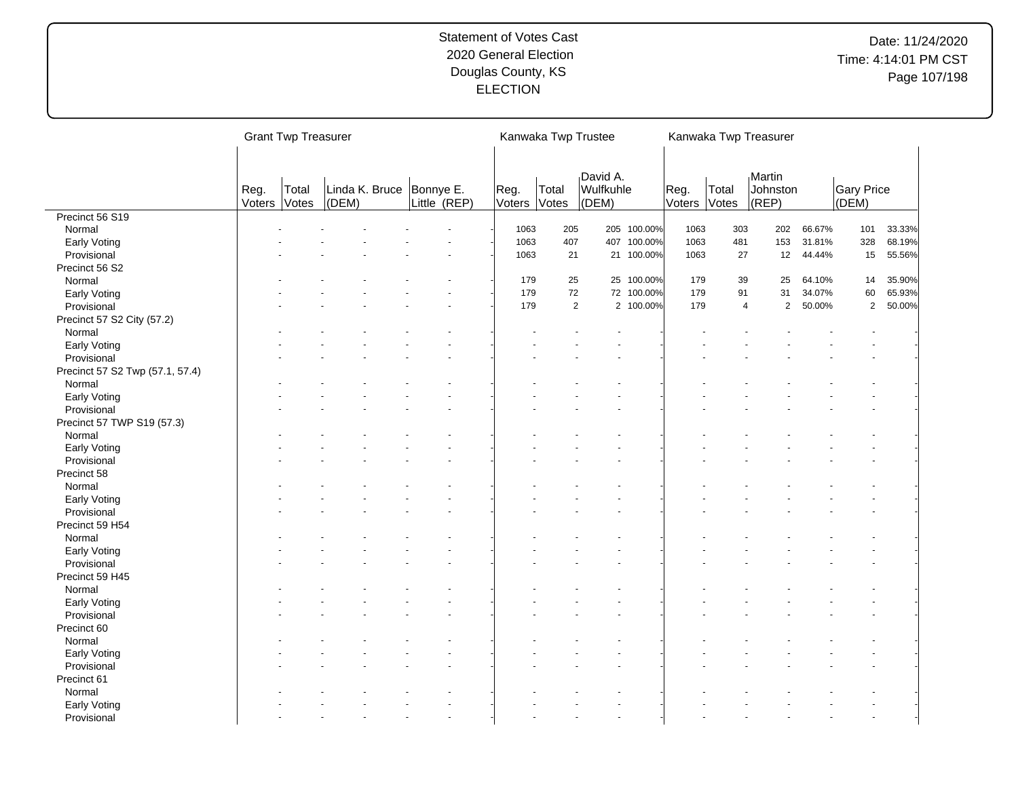|                                 |                | <b>Grant Twp Treasurer</b> |       |                |                           |                | Kanwaka Twp Trustee |                                |             |                |                | Kanwaka Twp Treasurer           |        |                     |        |
|---------------------------------|----------------|----------------------------|-------|----------------|---------------------------|----------------|---------------------|--------------------------------|-------------|----------------|----------------|---------------------------------|--------|---------------------|--------|
|                                 | Reg.<br>Voters | Total<br>Votes             | (DEM) | Linda K. Bruce | Bonnye E.<br>Little (REP) | Reg.<br>Voters | Total<br>Votes      | David A.<br>Wulfkuhle<br>(DEM) |             | Reg.<br>Voters | Total<br>Votes | Martin<br>Johnston<br>$ $ (REP) |        | Gary Price<br>(DEM) |        |
| Precinct 56 S19                 |                |                            |       |                |                           |                |                     |                                |             |                |                |                                 |        |                     |        |
| Normal                          |                |                            |       |                |                           | 1063           | 205                 |                                | 205 100.00% | 1063           | 303            | 202                             | 66.67% | 101                 | 33.33% |
| Early Voting                    |                |                            |       |                |                           | 1063           | 407                 |                                | 407 100.00% | 1063           | 481            | 153                             | 31.81% | 328                 | 68.19% |
| Provisional                     |                |                            |       |                |                           | 1063           | 21                  |                                | 21 100.00%  | 1063           | 27             | 12                              | 44.44% | 15                  | 55.56% |
| Precinct 56 S2                  |                |                            |       |                |                           |                |                     |                                |             |                |                |                                 |        |                     |        |
| Normal                          |                |                            |       |                |                           | 179            | 25                  |                                | 25 100.00%  | 179            | 39             | 25                              | 64.10% | 14                  | 35.90% |
| Early Voting                    |                |                            |       |                |                           | 179            | 72                  |                                | 72 100.00%  | 179            | 91             | 31                              | 34.07% | 60                  | 65.93% |
| Provisional                     |                |                            |       |                |                           | 179            | $\overline{2}$      |                                | 2 100.00%   | 179            | $\overline{4}$ | $\overline{2}$                  | 50.00% | $\overline{2}$      | 50.00% |
| Precinct 57 S2 City (57.2)      |                |                            |       |                |                           |                |                     |                                |             |                |                |                                 |        |                     |        |
| Normal                          |                |                            |       |                |                           |                |                     |                                |             |                |                |                                 |        |                     |        |
| Early Voting                    |                |                            |       |                |                           |                |                     |                                |             |                |                |                                 |        |                     |        |
| Provisional                     |                |                            |       |                |                           |                |                     |                                |             |                |                |                                 |        |                     |        |
| Precinct 57 S2 Twp (57.1, 57.4) |                |                            |       |                |                           |                |                     |                                |             |                |                |                                 |        |                     |        |
| Normal                          |                |                            |       |                |                           |                |                     |                                |             |                |                |                                 |        |                     |        |
| Early Voting                    |                |                            |       |                |                           |                |                     |                                |             |                |                |                                 |        |                     |        |
| Provisional                     |                |                            |       |                |                           |                |                     |                                |             |                |                |                                 |        |                     |        |
| Precinct 57 TWP S19 (57.3)      |                |                            |       |                |                           |                |                     |                                |             |                |                |                                 |        |                     |        |
| Normal                          |                |                            |       |                |                           |                |                     |                                |             |                |                |                                 |        |                     |        |
| Early Voting                    |                |                            |       |                |                           |                |                     |                                |             |                |                |                                 |        |                     |        |
| Provisional                     |                |                            |       |                |                           |                |                     |                                |             |                |                |                                 |        |                     |        |
|                                 |                |                            |       |                |                           |                |                     |                                |             |                |                |                                 |        |                     |        |
| Precinct 58                     |                |                            |       |                |                           |                |                     |                                |             |                |                |                                 |        |                     |        |
| Normal                          |                |                            |       |                |                           |                |                     |                                |             |                |                |                                 |        |                     |        |
| Early Voting                    |                |                            |       |                |                           |                |                     |                                |             |                |                |                                 |        |                     |        |
| Provisional                     |                |                            |       |                |                           |                |                     |                                |             |                |                |                                 |        |                     |        |
| Precinct 59 H54                 |                |                            |       |                |                           |                |                     |                                |             |                |                |                                 |        |                     |        |
| Normal                          |                |                            |       |                |                           |                |                     |                                |             |                |                |                                 |        |                     |        |
| Early Voting                    |                |                            |       |                |                           |                |                     |                                |             |                |                |                                 |        |                     |        |
| Provisional                     |                |                            |       |                |                           |                |                     |                                |             |                |                |                                 |        |                     |        |
| Precinct 59 H45                 |                |                            |       |                |                           |                |                     |                                |             |                |                |                                 |        |                     |        |
| Normal                          |                |                            |       |                |                           |                |                     |                                |             |                |                |                                 |        |                     |        |
| Early Voting                    |                |                            |       |                |                           |                |                     |                                |             |                |                |                                 |        |                     |        |
| Provisional                     |                |                            |       |                |                           |                |                     |                                |             |                |                |                                 |        |                     |        |
| Precinct 60                     |                |                            |       |                |                           |                |                     |                                |             |                |                |                                 |        |                     |        |
| Normal                          |                |                            |       |                |                           |                |                     |                                |             |                |                |                                 |        |                     |        |
| Early Voting                    |                |                            |       |                |                           |                |                     |                                |             |                |                |                                 |        |                     |        |
| Provisional                     |                |                            |       |                |                           |                |                     |                                |             |                |                |                                 |        |                     |        |
| Precinct 61                     |                |                            |       |                |                           |                |                     |                                |             |                |                |                                 |        |                     |        |
| Normal                          |                |                            |       |                |                           |                |                     |                                |             |                |                |                                 |        |                     |        |
| Early Voting                    |                |                            |       |                |                           |                |                     |                                |             |                |                |                                 |        |                     |        |
| Provisional                     |                |                            |       |                |                           |                |                     |                                |             |                |                |                                 |        |                     |        |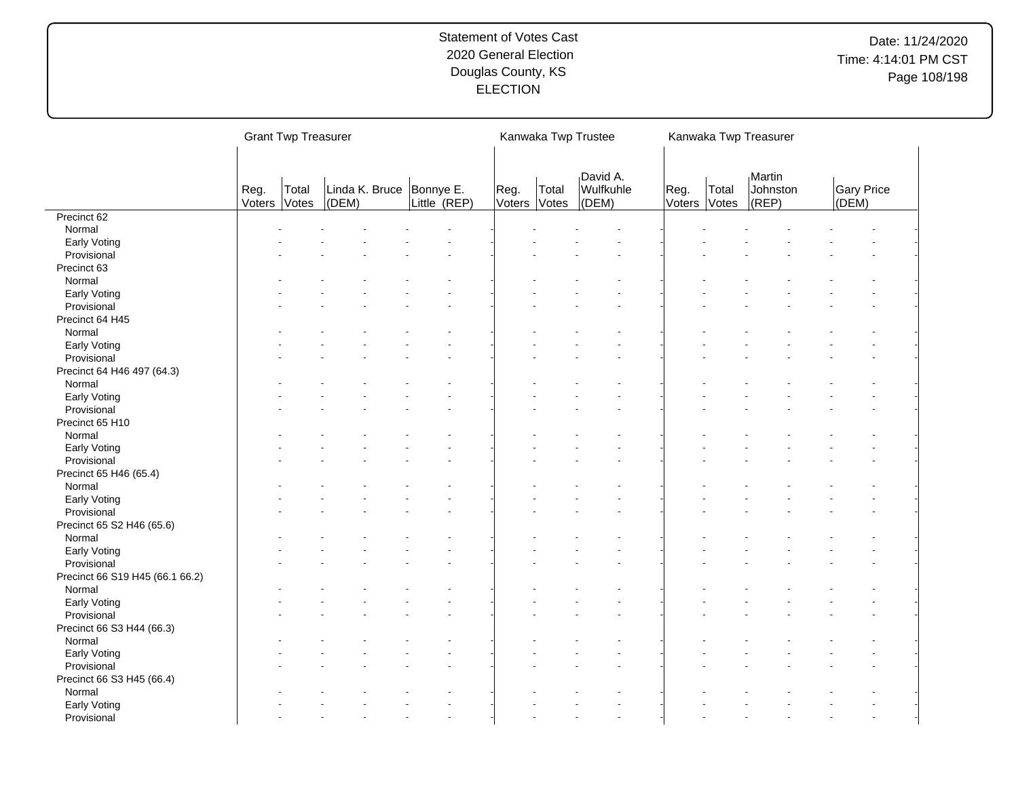|                                 |                | <b>Grant Twp Treasurer</b> |           |                                            |                      | Kanwaka Twp Trustee |                                |                |                | Kanwaka Twp Treasurer           |                            |
|---------------------------------|----------------|----------------------------|-----------|--------------------------------------------|----------------------|---------------------|--------------------------------|----------------|----------------|---------------------------------|----------------------------|
|                                 | Reg.<br>Voters | Total<br>Votes             | $ $ (DEM) | Linda K. Bruce   Bonnye E.<br>Little (REP) | Reg.<br>Voters Votes | Total               | David A.<br>Wulfkuhle<br>(DEM) | Reg.<br>Voters | Total<br>Votes | Martin<br>Johnston<br>$ $ (REP) | <b>Gary Price</b><br>(DEM) |
| Precinct 62                     |                |                            |           |                                            |                      |                     |                                |                |                |                                 |                            |
| Normal                          |                |                            |           |                                            |                      |                     |                                |                |                |                                 |                            |
| Early Voting                    |                |                            |           |                                            |                      |                     |                                |                |                |                                 |                            |
| Provisional                     |                |                            |           |                                            |                      |                     |                                |                |                |                                 |                            |
| Precinct 63                     |                |                            |           |                                            |                      |                     |                                |                |                |                                 |                            |
| Normal                          |                |                            |           |                                            |                      |                     |                                |                |                |                                 |                            |
| Early Voting                    |                |                            |           |                                            |                      |                     |                                |                |                |                                 |                            |
| Provisional                     |                |                            |           |                                            |                      |                     |                                |                |                |                                 |                            |
| Precinct 64 H45                 |                |                            |           |                                            |                      |                     |                                |                |                |                                 |                            |
| Normal                          |                |                            |           |                                            |                      |                     |                                |                |                |                                 |                            |
| Early Voting                    |                |                            |           |                                            |                      |                     |                                |                |                |                                 |                            |
| Provisional                     |                |                            |           |                                            |                      |                     |                                |                |                |                                 |                            |
|                                 |                |                            |           |                                            |                      |                     |                                |                |                |                                 |                            |
| Precinct 64 H46 497 (64.3)      |                |                            |           |                                            |                      |                     |                                |                |                |                                 |                            |
| Normal                          |                |                            |           |                                            |                      |                     |                                |                |                |                                 |                            |
| Early Voting                    |                |                            |           |                                            |                      |                     |                                |                |                |                                 |                            |
| Provisional                     |                |                            |           |                                            |                      |                     |                                |                |                |                                 |                            |
| Precinct 65 H10                 |                |                            |           |                                            |                      |                     |                                |                |                |                                 |                            |
| Normal                          |                |                            |           |                                            |                      |                     |                                |                |                |                                 |                            |
| Early Voting                    |                |                            |           |                                            |                      |                     |                                |                |                |                                 |                            |
| Provisional                     |                |                            |           |                                            |                      |                     |                                |                |                |                                 |                            |
| Precinct 65 H46 (65.4)          |                |                            |           |                                            |                      |                     |                                |                |                |                                 |                            |
| Normal                          |                |                            |           |                                            |                      |                     |                                |                |                |                                 |                            |
| Early Voting                    |                |                            |           |                                            |                      |                     |                                |                |                |                                 |                            |
| Provisional                     |                |                            |           |                                            |                      |                     |                                |                |                |                                 |                            |
| Precinct 65 S2 H46 (65.6)       |                |                            |           |                                            |                      |                     |                                |                |                |                                 |                            |
| Normal                          |                |                            |           |                                            |                      |                     |                                |                |                |                                 |                            |
| Early Voting                    |                |                            |           |                                            |                      |                     |                                |                |                |                                 |                            |
| Provisional                     |                |                            |           |                                            |                      |                     |                                |                |                |                                 |                            |
| Precinct 66 S19 H45 (66.1 66.2) |                |                            |           |                                            |                      |                     |                                |                |                |                                 |                            |
| Normal                          |                |                            |           |                                            |                      |                     |                                |                |                |                                 |                            |
| Early Voting                    |                |                            |           |                                            |                      |                     |                                |                |                |                                 |                            |
| Provisional                     |                |                            |           |                                            |                      |                     |                                |                |                |                                 |                            |
| Precinct 66 S3 H44 (66.3)       |                |                            |           |                                            |                      |                     |                                |                |                |                                 |                            |
| Normal                          |                |                            |           |                                            |                      |                     |                                |                |                |                                 |                            |
|                                 |                |                            |           |                                            |                      |                     |                                |                |                |                                 |                            |
| Early Voting                    |                |                            |           |                                            |                      |                     |                                |                |                |                                 |                            |
| Provisional                     |                |                            |           |                                            |                      |                     |                                |                |                |                                 |                            |
| Precinct 66 S3 H45 (66.4)       |                |                            |           |                                            |                      |                     |                                |                |                |                                 |                            |
| Normal                          |                |                            |           |                                            |                      |                     |                                |                |                |                                 |                            |
| Early Voting                    |                |                            |           |                                            |                      |                     |                                |                |                |                                 |                            |
| Provisional                     |                |                            |           |                                            |                      |                     |                                |                |                |                                 |                            |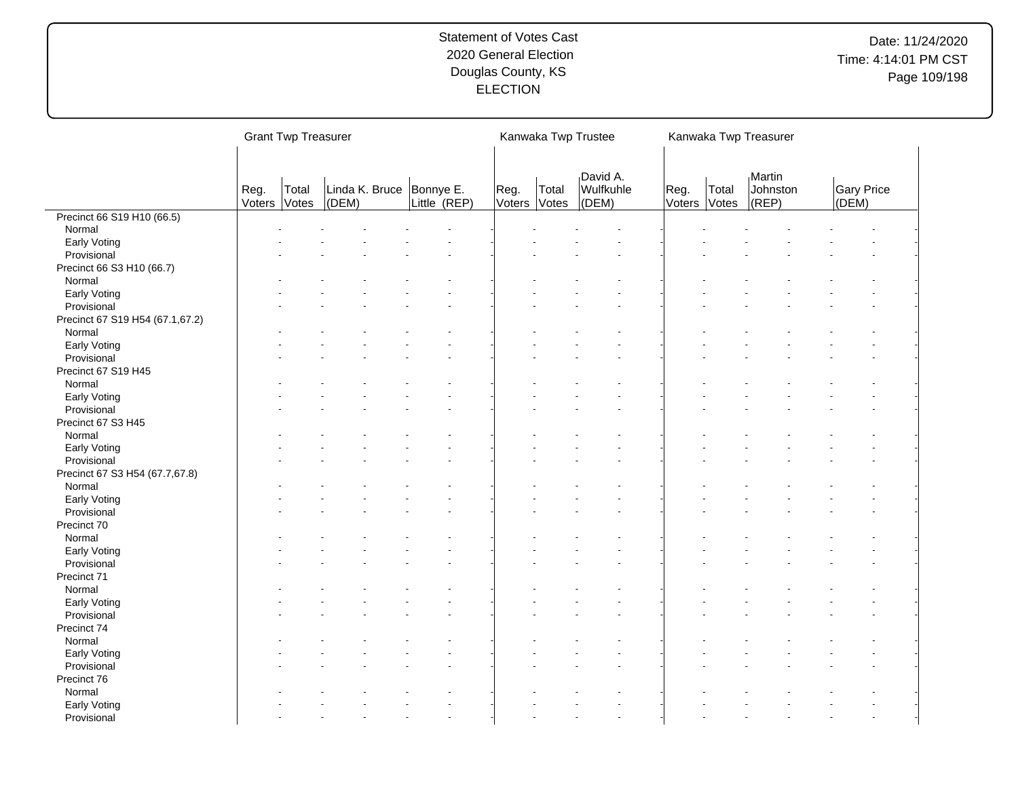|                                 |                | <b>Grant Twp Treasurer</b> |                             |                           |                |                | Kanwaka Twp Trustee            |                      |       | Kanwaka Twp Treasurer       |                     |
|---------------------------------|----------------|----------------------------|-----------------------------|---------------------------|----------------|----------------|--------------------------------|----------------------|-------|-----------------------------|---------------------|
|                                 | Reg.<br>Voters | Total<br>Votes             | Linda K. Bruce<br>$ $ (DEM) | Bonnye E.<br>Little (REP) | Reg.<br>Voters | Total<br>Votes | David A.<br>Wulfkuhle<br>(DEM) | Reg.<br>Voters Votes | Total | Martin<br>Johnston<br>(REP) | Gary Price<br>(DEM) |
| Precinct 66 S19 H10 (66.5)      |                |                            |                             |                           |                |                |                                |                      |       |                             |                     |
| Normal                          |                |                            |                             |                           |                |                |                                |                      |       |                             |                     |
| Early Voting                    |                |                            |                             |                           |                |                |                                |                      |       |                             |                     |
| Provisional                     |                |                            |                             |                           |                |                |                                |                      |       |                             |                     |
| Precinct 66 S3 H10 (66.7)       |                |                            |                             |                           |                |                |                                |                      |       |                             |                     |
| Normal                          |                |                            |                             |                           |                |                |                                |                      |       |                             |                     |
| Early Voting                    |                |                            |                             |                           |                |                |                                |                      |       |                             |                     |
| Provisional                     |                |                            |                             |                           |                |                |                                |                      |       |                             |                     |
| Precinct 67 S19 H54 (67.1,67.2) |                |                            |                             |                           |                |                |                                |                      |       |                             |                     |
| Normal                          |                |                            |                             |                           |                |                |                                |                      |       |                             |                     |
| Early Voting                    |                |                            |                             |                           |                |                |                                |                      |       |                             |                     |
| Provisional                     |                |                            |                             |                           |                |                |                                |                      |       |                             |                     |
| Precinct 67 S19 H45             |                |                            |                             |                           |                |                |                                |                      |       |                             |                     |
| Normal                          |                |                            |                             |                           |                |                |                                |                      |       |                             |                     |
| Early Voting                    |                |                            |                             |                           |                |                |                                |                      |       |                             |                     |
| Provisional                     |                |                            |                             |                           |                |                |                                |                      |       |                             |                     |
| Precinct 67 S3 H45              |                |                            |                             |                           |                |                |                                |                      |       |                             |                     |
| Normal                          |                |                            |                             |                           |                |                |                                |                      |       |                             |                     |
| Early Voting                    |                |                            |                             |                           |                |                |                                |                      |       |                             |                     |
| Provisional                     |                |                            |                             |                           |                |                |                                |                      |       |                             |                     |
|                                 |                |                            |                             |                           |                |                |                                |                      |       |                             |                     |
| Precinct 67 S3 H54 (67.7,67.8)  |                |                            |                             |                           |                |                |                                |                      |       |                             |                     |
| Normal                          |                |                            |                             |                           |                |                |                                |                      |       |                             |                     |
| Early Voting                    |                |                            |                             |                           |                |                |                                |                      |       |                             |                     |
| Provisional                     |                |                            |                             |                           |                |                |                                |                      |       |                             |                     |
| Precinct 70                     |                |                            |                             |                           |                |                |                                |                      |       |                             |                     |
| Normal                          |                |                            |                             |                           |                |                |                                |                      |       |                             |                     |
| Early Voting                    |                |                            |                             |                           |                |                |                                |                      |       |                             |                     |
| Provisional                     |                |                            |                             |                           |                |                |                                |                      |       |                             |                     |
| Precinct 71                     |                |                            |                             |                           |                |                |                                |                      |       |                             |                     |
| Normal                          |                |                            |                             |                           |                |                |                                |                      |       |                             |                     |
| Early Voting                    |                |                            |                             |                           |                |                |                                |                      |       |                             |                     |
| Provisional                     |                |                            |                             |                           |                |                |                                |                      |       |                             |                     |
| Precinct 74                     |                |                            |                             |                           |                |                |                                |                      |       |                             |                     |
| Normal                          |                |                            |                             |                           |                |                |                                |                      |       |                             |                     |
| Early Voting                    |                |                            |                             |                           |                |                |                                |                      |       |                             |                     |
| Provisional                     |                |                            |                             |                           |                |                |                                |                      |       |                             |                     |
| Precinct 76                     |                |                            |                             |                           |                |                |                                |                      |       |                             |                     |
| Normal                          |                |                            |                             |                           |                |                |                                |                      |       |                             |                     |
| Early Voting                    |                |                            |                             |                           |                |                |                                |                      |       |                             |                     |
| Provisional                     |                |                            |                             |                           |                |                |                                |                      |       |                             |                     |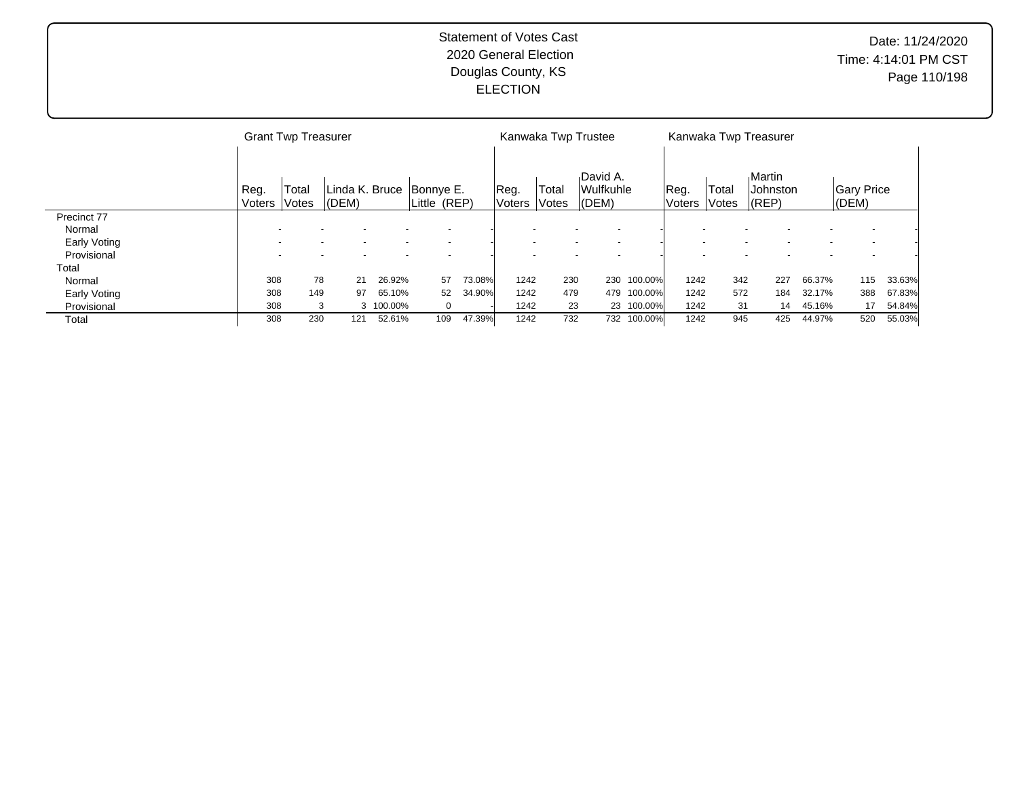|              |                | <b>Grant Twp Treasurer</b> |                          |           |                           |        |                          |                | Kanwaka Twp Trustee                                  |             |                |                | Kanwaka Twp Treasurer                  |        |                                |        |
|--------------|----------------|----------------------------|--------------------------|-----------|---------------------------|--------|--------------------------|----------------|------------------------------------------------------|-------------|----------------|----------------|----------------------------------------|--------|--------------------------------|--------|
|              | Reg.<br>Voters | Total<br> Votes            | Linda K. Bruce<br> (DEM) |           | Bonnye E.<br>Little (REP) |        | Reg.<br> Voters          | Total<br>Votes | David A.<br><b>Wulfkuhle</b><br>(DEM)                |             | Reg.<br>Voters | Total<br>Votes | Martin<br><b>Johnston</b><br>$ $ (REP) |        | <b>Gary Price</b><br>$ $ (DEM) |        |
| Precinct 77  |                |                            |                          |           |                           |        |                          |                |                                                      |             |                |                |                                        |        |                                |        |
| Normal       |                |                            |                          |           |                           |        |                          |                |                                                      |             |                |                |                                        |        |                                |        |
| Early Voting |                |                            | $\overline{\phantom{a}}$ |           | $\overline{\phantom{a}}$  |        | $\overline{\phantom{a}}$ |                | $\overline{\phantom{a}}$<br>$\overline{\phantom{a}}$ |             |                |                |                                        |        |                                |        |
| Provisional  |                |                            |                          |           |                           |        |                          |                |                                                      |             |                |                |                                        |        |                                |        |
| Total        |                |                            |                          |           |                           |        |                          |                |                                                      |             |                |                |                                        |        |                                |        |
| Normal       | 308            | 78                         | 21                       | 26.92%    | 57                        | 73.08% | 1242                     | 230            |                                                      | 230 100.00% | 1242           | 342            | 227                                    | 66.37% | 115                            | 33.63% |
| Early Voting | 308            | 149                        | 97                       | 65.10%    | 52                        | 34.90% | 1242                     | 479            |                                                      | 479 100.00% | 1242           | 572            | 184                                    | 32.17% | 388                            | 67.83% |
| Provisional  | 308            | 3                          |                          | 3 100.00% | $\mathbf 0$               |        | 1242                     | 23             |                                                      | 23 100.00%  | 1242           | 31             | 14                                     | 45.16% | 17                             | 54.84% |
| Total        | 308            | 230                        | 121                      | 52.61%    | 109                       | 47.39% | 1242                     | 732            |                                                      | 732 100.00% | 1242           | 945            | 425                                    | 44.97% | 520                            | 55.03% |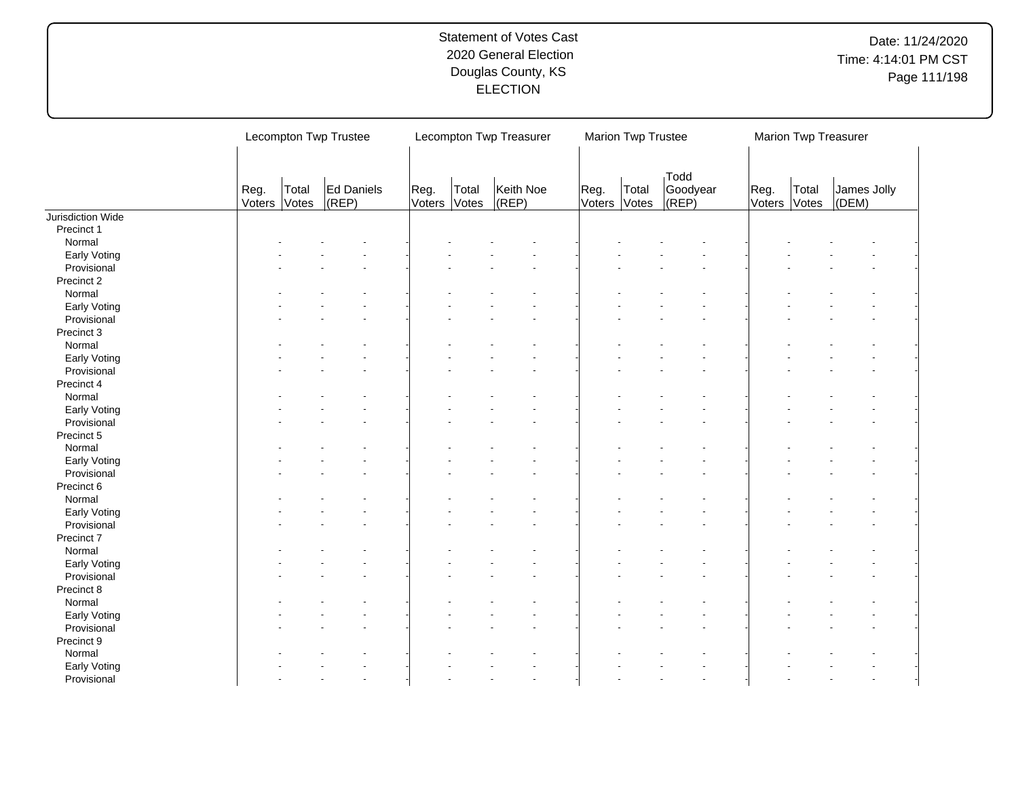|                   |      | Lecompton Twp Trustee |                         |                |                | Lecompton Twp Treasurer |      | Marion Twp Trustee    |                           |                |                | Marion Twp Treasurer |
|-------------------|------|-----------------------|-------------------------|----------------|----------------|-------------------------|------|-----------------------|---------------------------|----------------|----------------|----------------------|
|                   | Reg. | Total<br>Voters Votes | Ed Daniels<br>$ $ (REP) | Reg.<br>Voters | Total<br>Votes | Keith Noe<br>(REP)      | Reg. | Total<br>Voters Votes | Todd<br>Goodyear<br>(REP) | Reg.<br>Voters | Total<br>Votes | James Jolly<br>(DEM) |
| Jurisdiction Wide |      |                       |                         |                |                |                         |      |                       |                           |                |                |                      |
| Precinct 1        |      |                       |                         |                |                |                         |      |                       |                           |                |                |                      |
| Normal            |      |                       |                         |                |                |                         |      |                       |                           |                |                |                      |
| Early Voting      |      |                       |                         |                |                |                         |      |                       |                           |                |                |                      |
| Provisional       |      |                       |                         |                |                |                         |      |                       |                           |                |                |                      |
| Precinct 2        |      |                       |                         |                |                |                         |      |                       |                           |                |                |                      |
| Normal            |      |                       |                         |                |                |                         |      |                       |                           |                |                |                      |
| Early Voting      |      |                       |                         |                |                |                         |      |                       |                           |                |                |                      |
| Provisional       |      |                       |                         |                |                |                         |      |                       |                           |                |                |                      |
| Precinct 3        |      |                       |                         |                |                |                         |      |                       |                           |                |                |                      |
| Normal            |      |                       |                         |                |                |                         |      |                       |                           |                |                |                      |
| Early Voting      |      |                       |                         |                |                |                         |      |                       |                           |                |                |                      |
| Provisional       |      |                       |                         |                |                |                         |      |                       |                           |                |                |                      |
| Precinct 4        |      |                       |                         |                |                |                         |      |                       |                           |                |                |                      |
| Normal            |      |                       |                         |                |                |                         |      |                       |                           |                |                |                      |
| Early Voting      |      |                       |                         |                |                |                         |      |                       |                           |                |                |                      |
| Provisional       |      |                       |                         |                |                |                         |      |                       |                           |                |                |                      |
| Precinct 5        |      |                       |                         |                |                |                         |      |                       |                           |                |                |                      |
| Normal            |      |                       |                         |                |                |                         |      |                       |                           |                |                |                      |
| Early Voting      |      |                       |                         |                |                |                         |      |                       |                           |                |                |                      |
| Provisional       |      |                       |                         |                |                |                         |      |                       |                           |                |                |                      |
| Precinct 6        |      |                       |                         |                |                |                         |      |                       |                           |                |                |                      |
| Normal            |      |                       |                         |                |                |                         |      |                       |                           |                |                |                      |
| Early Voting      |      |                       |                         |                |                |                         |      |                       |                           |                |                |                      |
| Provisional       |      |                       |                         |                |                |                         |      |                       |                           |                |                |                      |
| Precinct 7        |      |                       |                         |                |                |                         |      |                       |                           |                |                |                      |
| Normal            |      |                       |                         |                |                |                         |      |                       |                           |                |                |                      |
| Early Voting      |      |                       |                         |                |                |                         |      |                       |                           |                |                |                      |
| Provisional       |      |                       |                         |                |                |                         |      |                       |                           |                |                |                      |
| Precinct 8        |      |                       |                         |                |                |                         |      |                       |                           |                |                |                      |
| Normal            |      |                       |                         |                |                |                         |      |                       |                           |                |                |                      |
| Early Voting      |      |                       |                         |                |                |                         |      |                       |                           |                |                |                      |
| Provisional       |      |                       |                         |                |                |                         |      |                       |                           |                |                |                      |
| Precinct 9        |      |                       |                         |                |                |                         |      |                       |                           |                |                |                      |
| Normal            |      |                       |                         |                |                |                         |      |                       |                           |                |                |                      |
|                   |      |                       |                         |                |                |                         |      |                       |                           |                |                |                      |
| Early Voting      |      |                       |                         |                |                |                         |      |                       |                           |                |                |                      |
| Provisional       |      |                       |                         |                |                |                         |      |                       |                           |                |                |                      |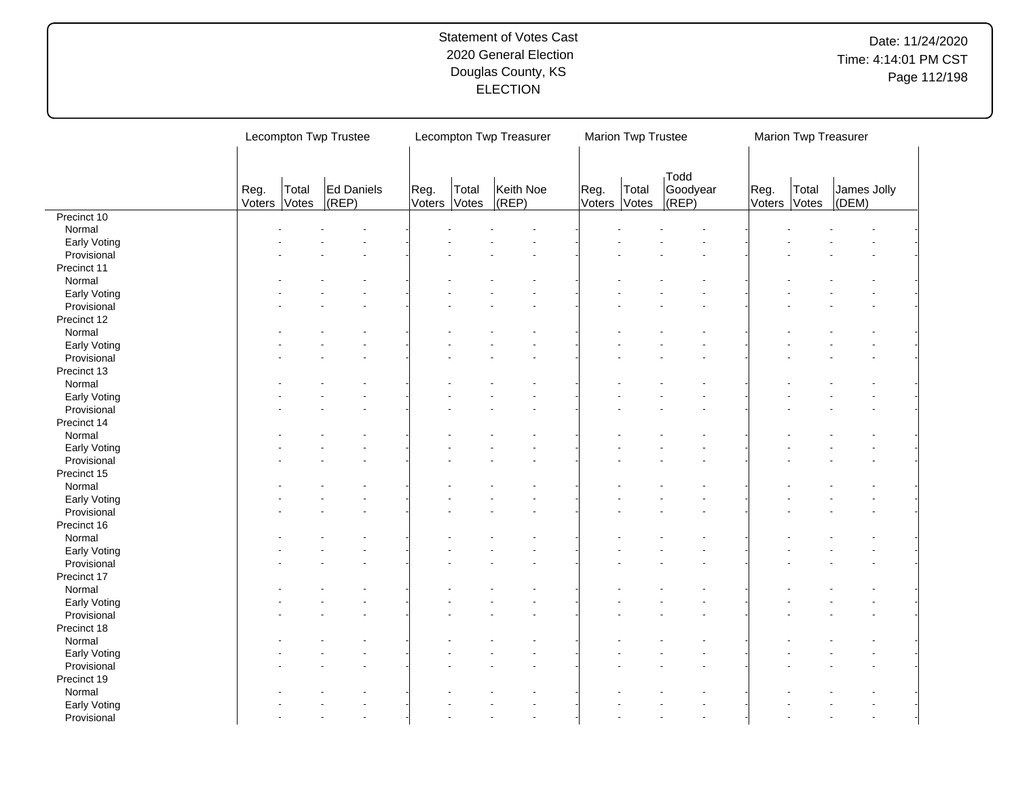|                            |                | Lecompton Twp Trustee |                     |                |                | Lecompton Twp Treasurer |                | Marion Twp Trustee |                                  |                | Marion Twp Treasurer |                      |
|----------------------------|----------------|-----------------------|---------------------|----------------|----------------|-------------------------|----------------|--------------------|----------------------------------|----------------|----------------------|----------------------|
|                            | Reg.<br>Voters | Total<br>Votes        | Ed Daniels<br>(REP) | Reg.<br>Voters | Total<br>Votes | Keith Noe<br>$ $ (REP)  | Reg.<br>Voters | Total<br>Votes     | <b>Todd</b><br>Goodyear<br>(REP) | Reg.<br>Voters | Total<br>Votes       | James Jolly<br>(DEM) |
| Precinct 10                |                |                       |                     |                |                |                         |                |                    |                                  |                |                      |                      |
| Normal                     |                |                       |                     |                |                |                         |                |                    |                                  |                |                      |                      |
| Early Voting               |                |                       |                     |                |                |                         |                |                    |                                  |                |                      |                      |
| Provisional                |                |                       |                     |                |                |                         |                |                    |                                  |                |                      |                      |
| Precinct 11                |                |                       |                     |                |                |                         |                |                    |                                  |                |                      |                      |
| Normal                     |                |                       |                     |                |                |                         |                |                    |                                  |                |                      |                      |
| Early Voting               |                |                       |                     |                |                |                         |                |                    |                                  |                |                      |                      |
| Provisional                |                |                       |                     |                |                |                         |                |                    |                                  |                |                      |                      |
| Precinct 12                |                |                       |                     |                |                |                         |                |                    |                                  |                |                      |                      |
| Normal                     |                |                       |                     |                |                |                         |                |                    |                                  |                |                      |                      |
| Early Voting               |                |                       |                     |                |                |                         |                |                    |                                  |                |                      |                      |
| Provisional                |                |                       |                     |                |                |                         |                |                    |                                  |                |                      |                      |
| Precinct 13                |                |                       |                     |                |                |                         |                |                    |                                  |                |                      |                      |
| Normal                     |                |                       |                     |                |                |                         |                |                    |                                  |                |                      |                      |
| Early Voting               |                |                       |                     |                |                |                         |                |                    |                                  |                |                      |                      |
|                            |                |                       |                     |                |                |                         |                |                    |                                  |                |                      |                      |
| Provisional<br>Precinct 14 |                |                       |                     |                |                |                         |                |                    |                                  |                |                      |                      |
|                            |                |                       |                     |                |                |                         |                |                    |                                  |                |                      |                      |
| Normal                     |                |                       |                     |                |                |                         |                |                    |                                  |                |                      |                      |
| Early Voting               |                |                       |                     |                |                |                         |                |                    |                                  |                |                      |                      |
| Provisional                |                |                       |                     |                |                |                         |                |                    |                                  |                |                      |                      |
| Precinct 15                |                |                       |                     |                |                |                         |                |                    |                                  |                |                      |                      |
| Normal                     |                |                       |                     |                |                |                         |                |                    |                                  |                |                      |                      |
| Early Voting               |                |                       |                     |                |                |                         |                |                    |                                  |                |                      |                      |
| Provisional                |                |                       |                     |                |                |                         |                |                    |                                  |                |                      |                      |
| Precinct 16                |                |                       |                     |                |                |                         |                |                    |                                  |                |                      |                      |
| Normal                     |                |                       |                     |                |                |                         |                |                    |                                  |                |                      |                      |
| Early Voting               |                |                       |                     |                |                |                         |                |                    |                                  |                |                      |                      |
| Provisional                |                |                       |                     |                |                |                         |                |                    |                                  |                |                      |                      |
| Precinct 17                |                |                       |                     |                |                |                         |                |                    |                                  |                |                      |                      |
| Normal                     |                |                       |                     |                |                |                         |                |                    |                                  |                |                      |                      |
| Early Voting               |                |                       |                     |                |                |                         |                |                    |                                  |                |                      |                      |
| Provisional                |                |                       |                     |                |                |                         |                |                    |                                  |                |                      |                      |
| Precinct 18                |                |                       |                     |                |                |                         |                |                    |                                  |                |                      |                      |
| Normal                     |                |                       |                     |                |                |                         |                |                    |                                  |                |                      |                      |
| Early Voting               |                |                       |                     |                |                |                         |                |                    |                                  |                |                      |                      |
| Provisional                |                |                       |                     |                |                |                         |                |                    |                                  |                |                      |                      |
| Precinct 19                |                |                       |                     |                |                |                         |                |                    |                                  |                |                      |                      |
| Normal                     |                |                       |                     |                |                |                         |                |                    |                                  |                |                      |                      |
|                            |                |                       |                     |                |                |                         |                |                    |                                  |                |                      |                      |
| Early Voting               |                |                       |                     |                |                |                         |                |                    |                                  |                |                      |                      |
| Provisional                |                |                       |                     |                |                |                         |                |                    |                                  |                |                      |                      |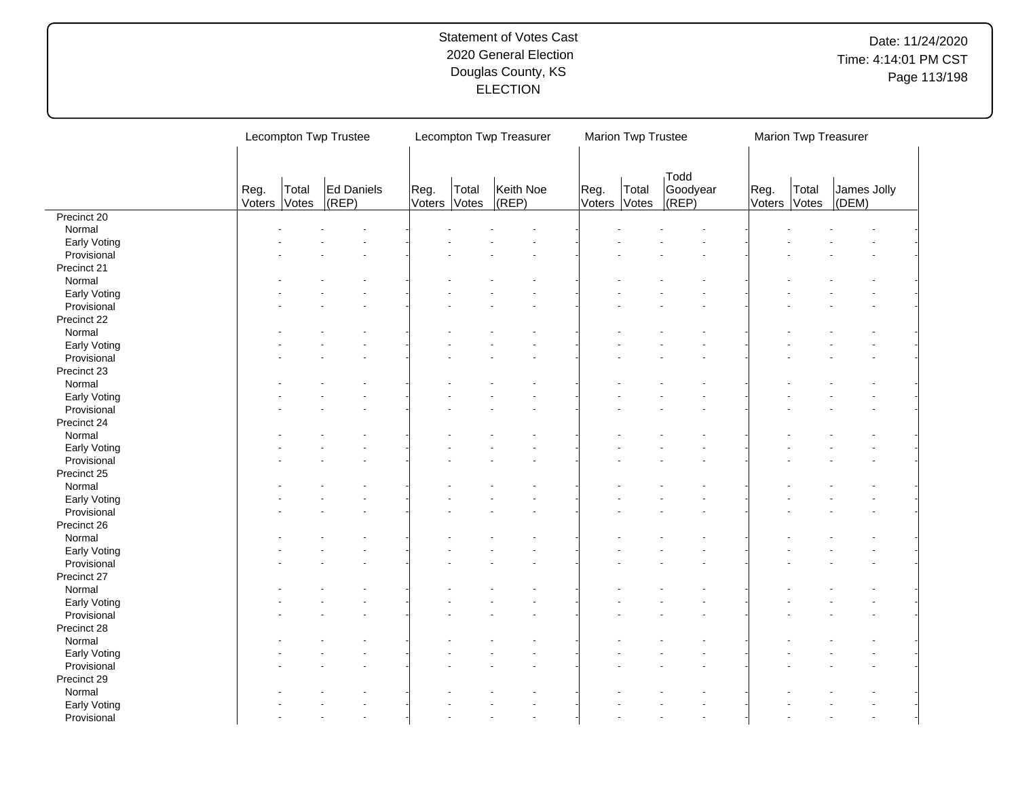|              |                | Lecompton Twp Trustee |                         |                |                | Lecompton Twp Treasurer |                | Marion Twp Trustee |                           |                | Marion Twp Treasurer |                      |
|--------------|----------------|-----------------------|-------------------------|----------------|----------------|-------------------------|----------------|--------------------|---------------------------|----------------|----------------------|----------------------|
|              | Reg.<br>Voters | Total<br>Votes        | Ed Daniels<br>$ $ (REP) | Reg.<br>Voters | Total<br>Votes | Keith Noe<br>$ $ (REP)  | Reg.<br>Voters | Total<br>Votes     | Todd<br>Goodyear<br>(REP) | Reg.<br>Voters | Total<br>Votes       | James Jolly<br>(DEM) |
| Precinct 20  |                |                       |                         |                |                |                         |                |                    |                           |                |                      |                      |
| Normal       |                |                       |                         |                |                |                         |                |                    |                           |                |                      |                      |
| Early Voting |                |                       |                         |                |                |                         |                |                    |                           |                |                      |                      |
| Provisional  |                |                       |                         |                |                |                         |                |                    |                           |                |                      |                      |
| Precinct 21  |                |                       |                         |                |                |                         |                |                    |                           |                |                      |                      |
| Normal       |                |                       |                         |                |                |                         |                |                    |                           |                |                      |                      |
| Early Voting |                |                       |                         |                |                |                         |                |                    |                           |                |                      |                      |
| Provisional  |                |                       |                         |                |                |                         |                |                    |                           |                |                      |                      |
| Precinct 22  |                |                       |                         |                |                |                         |                |                    |                           |                |                      |                      |
| Normal       |                |                       |                         |                |                |                         |                |                    |                           |                |                      |                      |
| Early Voting |                |                       |                         |                |                |                         |                |                    |                           |                |                      |                      |
| Provisional  |                |                       |                         |                |                |                         |                |                    |                           |                |                      |                      |
| Precinct 23  |                |                       |                         |                |                |                         |                |                    |                           |                |                      |                      |
|              |                |                       |                         |                |                |                         |                |                    |                           |                |                      |                      |
| Normal       |                |                       |                         |                |                |                         |                |                    |                           |                |                      |                      |
| Early Voting |                |                       |                         |                |                |                         |                |                    |                           |                |                      |                      |
| Provisional  |                |                       |                         |                |                |                         |                |                    |                           |                |                      |                      |
| Precinct 24  |                |                       |                         |                |                |                         |                |                    |                           |                |                      |                      |
| Normal       |                |                       |                         |                |                |                         |                |                    |                           |                |                      |                      |
| Early Voting |                |                       |                         |                |                |                         |                |                    |                           |                |                      |                      |
| Provisional  |                |                       |                         |                |                |                         |                |                    |                           |                |                      |                      |
| Precinct 25  |                |                       |                         |                |                |                         |                |                    |                           |                |                      |                      |
| Normal       |                |                       |                         |                |                |                         |                |                    |                           |                |                      |                      |
| Early Voting |                |                       |                         |                |                |                         |                |                    |                           |                |                      |                      |
| Provisional  |                |                       |                         |                |                |                         |                |                    |                           |                |                      |                      |
| Precinct 26  |                |                       |                         |                |                |                         |                |                    |                           |                |                      |                      |
| Normal       |                |                       |                         |                |                |                         |                |                    |                           |                |                      |                      |
| Early Voting |                |                       |                         |                |                |                         |                |                    |                           |                |                      |                      |
| Provisional  |                |                       |                         |                |                |                         |                |                    |                           |                |                      |                      |
| Precinct 27  |                |                       |                         |                |                |                         |                |                    |                           |                |                      |                      |
|              |                |                       |                         |                |                |                         |                |                    |                           |                |                      |                      |
| Normal       |                |                       |                         |                |                |                         |                |                    |                           |                |                      |                      |
| Early Voting |                |                       |                         |                |                |                         |                |                    |                           |                |                      |                      |
| Provisional  |                |                       |                         |                |                |                         |                |                    |                           |                |                      |                      |
| Precinct 28  |                |                       |                         |                |                |                         |                |                    |                           |                |                      |                      |
| Normal       |                |                       |                         |                |                |                         |                |                    |                           |                |                      |                      |
| Early Voting |                |                       |                         |                |                |                         |                |                    |                           |                |                      |                      |
| Provisional  |                |                       |                         |                |                |                         |                |                    |                           |                |                      |                      |
| Precinct 29  |                |                       |                         |                |                |                         |                |                    |                           |                |                      |                      |
| Normal       |                |                       |                         |                |                |                         |                |                    |                           |                |                      |                      |
| Early Voting |                |                       |                         |                |                |                         |                |                    |                           |                |                      |                      |
| Provisional  |                |                       |                         |                |                |                         |                |                    |                           |                |                      |                      |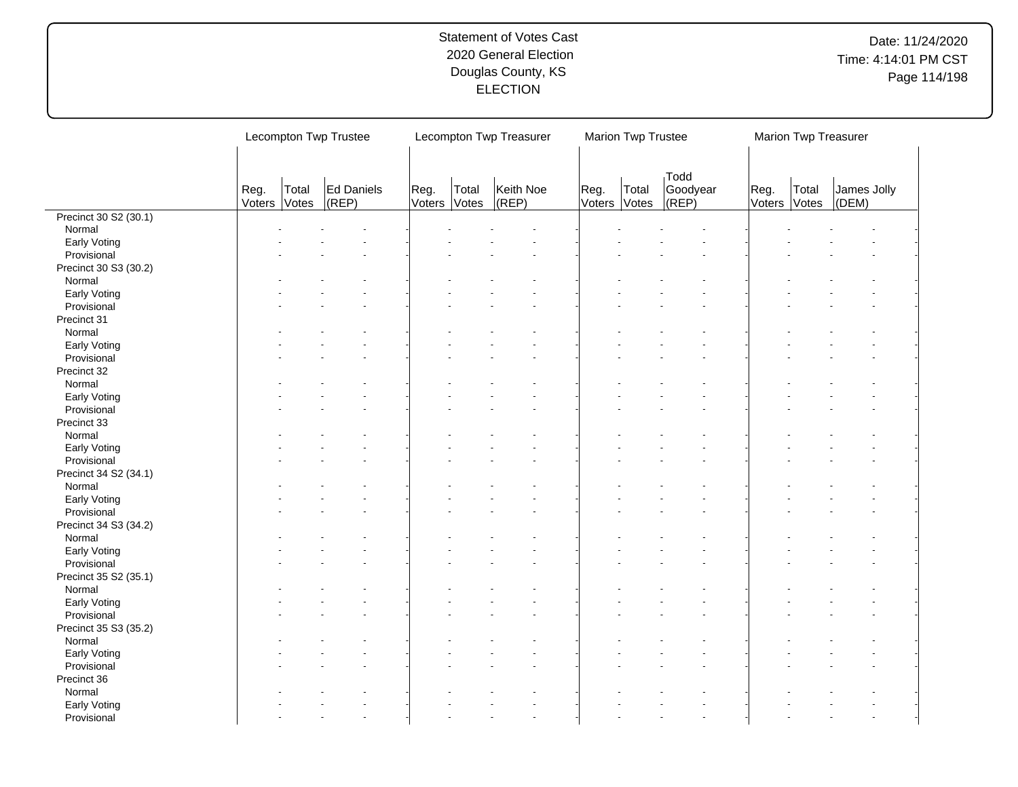| Todd<br>Ed Daniels<br>Goodyear<br>Total<br>Keith Noe<br>James Jolly<br>Reg.<br>Total<br>Reg.<br>Reg.<br>Total<br>Total<br>Reg.<br>$ $ (REP)<br>Votes<br>(DEM)<br>Voters<br>(REP)<br>Voters<br>Votes<br>Votes<br>(REP)<br>Voters<br>Votes<br>Voters<br>Precinct 30 S2 (30.1)<br>Normal<br>Early Voting<br>Provisional<br>Precinct 30 S3 (30.2)<br>Normal<br>Early Voting<br>Provisional<br>Precinct 31<br>Normal<br>Early Voting<br>Provisional<br>Precinct 32<br>Normal<br>Early Voting<br>Provisional<br>Precinct 33<br>Normal<br>Early Voting<br>Provisional<br>Precinct 34 S2 (34.1)<br>Normal<br>Early Voting<br>Provisional<br>Precinct 34 S3 (34.2)<br>Normal<br>Early Voting<br>Provisional<br>Precinct 35 S2 (35.1)<br>Normal<br>Early Voting<br>Provisional<br>Precinct 35 S3 (35.2)<br>Normal<br>Early Voting<br>Provisional<br>Precinct 36<br>Normal<br>Early Voting<br>Provisional |  | Lecompton Twp Trustee |  |  | Lecompton Twp Treasurer | Marion Twp Trustee |  | Marion Twp Treasurer |  |
|------------------------------------------------------------------------------------------------------------------------------------------------------------------------------------------------------------------------------------------------------------------------------------------------------------------------------------------------------------------------------------------------------------------------------------------------------------------------------------------------------------------------------------------------------------------------------------------------------------------------------------------------------------------------------------------------------------------------------------------------------------------------------------------------------------------------------------------------------------------------------------------------|--|-----------------------|--|--|-------------------------|--------------------|--|----------------------|--|
|                                                                                                                                                                                                                                                                                                                                                                                                                                                                                                                                                                                                                                                                                                                                                                                                                                                                                                |  |                       |  |  |                         |                    |  |                      |  |
|                                                                                                                                                                                                                                                                                                                                                                                                                                                                                                                                                                                                                                                                                                                                                                                                                                                                                                |  |                       |  |  |                         |                    |  |                      |  |
|                                                                                                                                                                                                                                                                                                                                                                                                                                                                                                                                                                                                                                                                                                                                                                                                                                                                                                |  |                       |  |  |                         |                    |  |                      |  |
|                                                                                                                                                                                                                                                                                                                                                                                                                                                                                                                                                                                                                                                                                                                                                                                                                                                                                                |  |                       |  |  |                         |                    |  |                      |  |
|                                                                                                                                                                                                                                                                                                                                                                                                                                                                                                                                                                                                                                                                                                                                                                                                                                                                                                |  |                       |  |  |                         |                    |  |                      |  |
|                                                                                                                                                                                                                                                                                                                                                                                                                                                                                                                                                                                                                                                                                                                                                                                                                                                                                                |  |                       |  |  |                         |                    |  |                      |  |
|                                                                                                                                                                                                                                                                                                                                                                                                                                                                                                                                                                                                                                                                                                                                                                                                                                                                                                |  |                       |  |  |                         |                    |  |                      |  |
|                                                                                                                                                                                                                                                                                                                                                                                                                                                                                                                                                                                                                                                                                                                                                                                                                                                                                                |  |                       |  |  |                         |                    |  |                      |  |
|                                                                                                                                                                                                                                                                                                                                                                                                                                                                                                                                                                                                                                                                                                                                                                                                                                                                                                |  |                       |  |  |                         |                    |  |                      |  |
|                                                                                                                                                                                                                                                                                                                                                                                                                                                                                                                                                                                                                                                                                                                                                                                                                                                                                                |  |                       |  |  |                         |                    |  |                      |  |
|                                                                                                                                                                                                                                                                                                                                                                                                                                                                                                                                                                                                                                                                                                                                                                                                                                                                                                |  |                       |  |  |                         |                    |  |                      |  |
|                                                                                                                                                                                                                                                                                                                                                                                                                                                                                                                                                                                                                                                                                                                                                                                                                                                                                                |  |                       |  |  |                         |                    |  |                      |  |
|                                                                                                                                                                                                                                                                                                                                                                                                                                                                                                                                                                                                                                                                                                                                                                                                                                                                                                |  |                       |  |  |                         |                    |  |                      |  |
|                                                                                                                                                                                                                                                                                                                                                                                                                                                                                                                                                                                                                                                                                                                                                                                                                                                                                                |  |                       |  |  |                         |                    |  |                      |  |
|                                                                                                                                                                                                                                                                                                                                                                                                                                                                                                                                                                                                                                                                                                                                                                                                                                                                                                |  |                       |  |  |                         |                    |  |                      |  |
|                                                                                                                                                                                                                                                                                                                                                                                                                                                                                                                                                                                                                                                                                                                                                                                                                                                                                                |  |                       |  |  |                         |                    |  |                      |  |
|                                                                                                                                                                                                                                                                                                                                                                                                                                                                                                                                                                                                                                                                                                                                                                                                                                                                                                |  |                       |  |  |                         |                    |  |                      |  |
|                                                                                                                                                                                                                                                                                                                                                                                                                                                                                                                                                                                                                                                                                                                                                                                                                                                                                                |  |                       |  |  |                         |                    |  |                      |  |
|                                                                                                                                                                                                                                                                                                                                                                                                                                                                                                                                                                                                                                                                                                                                                                                                                                                                                                |  |                       |  |  |                         |                    |  |                      |  |
|                                                                                                                                                                                                                                                                                                                                                                                                                                                                                                                                                                                                                                                                                                                                                                                                                                                                                                |  |                       |  |  |                         |                    |  |                      |  |
|                                                                                                                                                                                                                                                                                                                                                                                                                                                                                                                                                                                                                                                                                                                                                                                                                                                                                                |  |                       |  |  |                         |                    |  |                      |  |
|                                                                                                                                                                                                                                                                                                                                                                                                                                                                                                                                                                                                                                                                                                                                                                                                                                                                                                |  |                       |  |  |                         |                    |  |                      |  |
|                                                                                                                                                                                                                                                                                                                                                                                                                                                                                                                                                                                                                                                                                                                                                                                                                                                                                                |  |                       |  |  |                         |                    |  |                      |  |
|                                                                                                                                                                                                                                                                                                                                                                                                                                                                                                                                                                                                                                                                                                                                                                                                                                                                                                |  |                       |  |  |                         |                    |  |                      |  |
|                                                                                                                                                                                                                                                                                                                                                                                                                                                                                                                                                                                                                                                                                                                                                                                                                                                                                                |  |                       |  |  |                         |                    |  |                      |  |
|                                                                                                                                                                                                                                                                                                                                                                                                                                                                                                                                                                                                                                                                                                                                                                                                                                                                                                |  |                       |  |  |                         |                    |  |                      |  |
|                                                                                                                                                                                                                                                                                                                                                                                                                                                                                                                                                                                                                                                                                                                                                                                                                                                                                                |  |                       |  |  |                         |                    |  |                      |  |
|                                                                                                                                                                                                                                                                                                                                                                                                                                                                                                                                                                                                                                                                                                                                                                                                                                                                                                |  |                       |  |  |                         |                    |  |                      |  |
|                                                                                                                                                                                                                                                                                                                                                                                                                                                                                                                                                                                                                                                                                                                                                                                                                                                                                                |  |                       |  |  |                         |                    |  |                      |  |
|                                                                                                                                                                                                                                                                                                                                                                                                                                                                                                                                                                                                                                                                                                                                                                                                                                                                                                |  |                       |  |  |                         |                    |  |                      |  |
|                                                                                                                                                                                                                                                                                                                                                                                                                                                                                                                                                                                                                                                                                                                                                                                                                                                                                                |  |                       |  |  |                         |                    |  |                      |  |
|                                                                                                                                                                                                                                                                                                                                                                                                                                                                                                                                                                                                                                                                                                                                                                                                                                                                                                |  |                       |  |  |                         |                    |  |                      |  |
|                                                                                                                                                                                                                                                                                                                                                                                                                                                                                                                                                                                                                                                                                                                                                                                                                                                                                                |  |                       |  |  |                         |                    |  |                      |  |
|                                                                                                                                                                                                                                                                                                                                                                                                                                                                                                                                                                                                                                                                                                                                                                                                                                                                                                |  |                       |  |  |                         |                    |  |                      |  |
|                                                                                                                                                                                                                                                                                                                                                                                                                                                                                                                                                                                                                                                                                                                                                                                                                                                                                                |  |                       |  |  |                         |                    |  |                      |  |
|                                                                                                                                                                                                                                                                                                                                                                                                                                                                                                                                                                                                                                                                                                                                                                                                                                                                                                |  |                       |  |  |                         |                    |  |                      |  |
|                                                                                                                                                                                                                                                                                                                                                                                                                                                                                                                                                                                                                                                                                                                                                                                                                                                                                                |  |                       |  |  |                         |                    |  |                      |  |
|                                                                                                                                                                                                                                                                                                                                                                                                                                                                                                                                                                                                                                                                                                                                                                                                                                                                                                |  |                       |  |  |                         |                    |  |                      |  |
|                                                                                                                                                                                                                                                                                                                                                                                                                                                                                                                                                                                                                                                                                                                                                                                                                                                                                                |  |                       |  |  |                         |                    |  |                      |  |
|                                                                                                                                                                                                                                                                                                                                                                                                                                                                                                                                                                                                                                                                                                                                                                                                                                                                                                |  |                       |  |  |                         |                    |  |                      |  |
|                                                                                                                                                                                                                                                                                                                                                                                                                                                                                                                                                                                                                                                                                                                                                                                                                                                                                                |  |                       |  |  |                         |                    |  |                      |  |
|                                                                                                                                                                                                                                                                                                                                                                                                                                                                                                                                                                                                                                                                                                                                                                                                                                                                                                |  |                       |  |  |                         |                    |  |                      |  |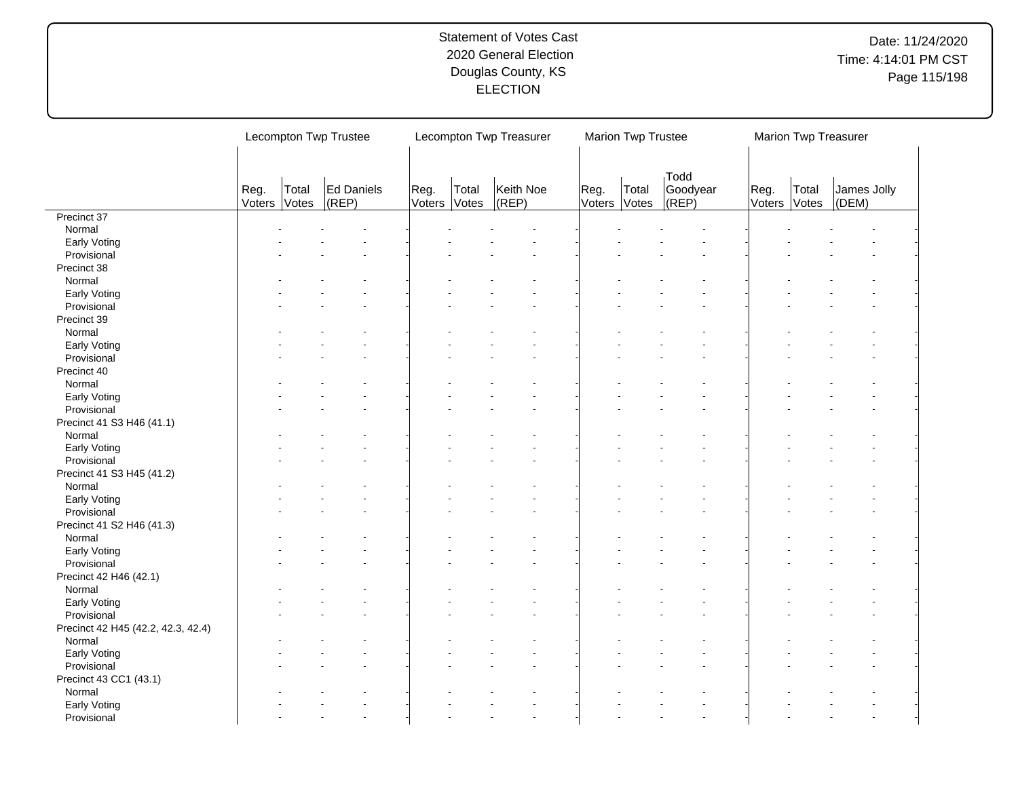|                                    |                | Lecompton Twp Trustee |                         |                |                | Lecompton Twp Treasurer |      | Marion Twp Trustee    |                           |                | Marion Twp Treasurer |                      |
|------------------------------------|----------------|-----------------------|-------------------------|----------------|----------------|-------------------------|------|-----------------------|---------------------------|----------------|----------------------|----------------------|
|                                    | Reg.<br>Voters | Total<br>Votes        | Ed Daniels<br>$ $ (REP) | Reg.<br>Voters | Total<br>Votes | Keith Noe<br>$ $ (REP)  | Reg. | Total<br>Voters Votes | Todd<br>Goodyear<br>(REP) | Reg.<br>Voters | Total<br>Votes       | James Jolly<br>(DEM) |
| Precinct 37                        |                |                       |                         |                |                |                         |      |                       |                           |                |                      |                      |
| Normal                             |                |                       |                         |                |                |                         |      |                       |                           |                |                      |                      |
| Early Voting                       |                |                       |                         |                |                |                         |      |                       |                           |                |                      |                      |
| Provisional                        |                |                       |                         |                |                |                         |      |                       |                           |                |                      |                      |
| Precinct 38                        |                |                       |                         |                |                |                         |      |                       |                           |                |                      |                      |
| Normal                             |                |                       |                         |                |                |                         |      |                       |                           |                |                      |                      |
| Early Voting                       |                |                       |                         |                |                |                         |      |                       |                           |                |                      |                      |
| Provisional                        |                |                       |                         |                |                |                         |      |                       |                           |                |                      |                      |
| Precinct 39                        |                |                       |                         |                |                |                         |      |                       |                           |                |                      |                      |
|                                    |                |                       |                         |                |                |                         |      |                       |                           |                |                      |                      |
| Normal                             |                |                       |                         |                |                |                         |      |                       |                           |                |                      |                      |
| Early Voting                       |                |                       |                         |                |                |                         |      |                       |                           |                |                      |                      |
| Provisional                        |                |                       |                         |                |                |                         |      |                       |                           |                |                      |                      |
| Precinct 40                        |                |                       |                         |                |                |                         |      |                       |                           |                |                      |                      |
| Normal                             |                |                       |                         |                |                |                         |      |                       |                           |                |                      |                      |
| Early Voting                       |                |                       |                         |                |                |                         |      |                       |                           |                |                      |                      |
| Provisional                        |                |                       |                         |                |                |                         |      |                       |                           |                |                      |                      |
| Precinct 41 S3 H46 (41.1)          |                |                       |                         |                |                |                         |      |                       |                           |                |                      |                      |
| Normal                             |                |                       |                         |                |                |                         |      |                       |                           |                |                      |                      |
| Early Voting                       |                |                       |                         |                |                |                         |      |                       |                           |                |                      |                      |
| Provisional                        |                |                       |                         |                |                |                         |      |                       |                           |                |                      |                      |
| Precinct 41 S3 H45 (41.2)          |                |                       |                         |                |                |                         |      |                       |                           |                |                      |                      |
| Normal                             |                |                       |                         |                |                |                         |      |                       |                           |                |                      |                      |
|                                    |                |                       |                         |                |                |                         |      |                       |                           |                |                      |                      |
| Early Voting                       |                |                       |                         |                |                |                         |      |                       |                           |                |                      |                      |
| Provisional                        |                |                       |                         |                |                |                         |      |                       |                           |                |                      |                      |
| Precinct 41 S2 H46 (41.3)          |                |                       |                         |                |                |                         |      |                       |                           |                |                      |                      |
| Normal                             |                |                       |                         |                |                |                         |      |                       |                           |                |                      |                      |
| Early Voting                       |                |                       |                         |                |                |                         |      |                       |                           |                |                      |                      |
| Provisional                        |                |                       |                         |                |                |                         |      |                       |                           |                |                      |                      |
| Precinct 42 H46 (42.1)             |                |                       |                         |                |                |                         |      |                       |                           |                |                      |                      |
| Normal                             |                |                       |                         |                |                |                         |      |                       |                           |                |                      |                      |
| Early Voting                       |                |                       |                         |                |                |                         |      |                       |                           |                |                      |                      |
| Provisional                        |                |                       |                         |                |                |                         |      |                       |                           |                |                      |                      |
| Precinct 42 H45 (42.2, 42.3, 42.4) |                |                       |                         |                |                |                         |      |                       |                           |                |                      |                      |
| Normal                             |                |                       |                         |                |                |                         |      |                       |                           |                |                      |                      |
| Early Voting                       |                |                       |                         |                |                |                         |      |                       |                           |                |                      |                      |
| Provisional                        |                |                       |                         |                |                |                         |      |                       |                           |                |                      |                      |
| Precinct 43 CC1 (43.1)             |                |                       |                         |                |                |                         |      |                       |                           |                |                      |                      |
| Normal                             |                |                       |                         |                |                |                         |      |                       |                           |                |                      |                      |
|                                    |                |                       |                         |                |                |                         |      |                       |                           |                |                      |                      |
| Early Voting                       |                |                       |                         |                |                |                         |      |                       |                           |                |                      |                      |
| Provisional                        |                |                       |                         |                |                |                         |      |                       |                           |                |                      |                      |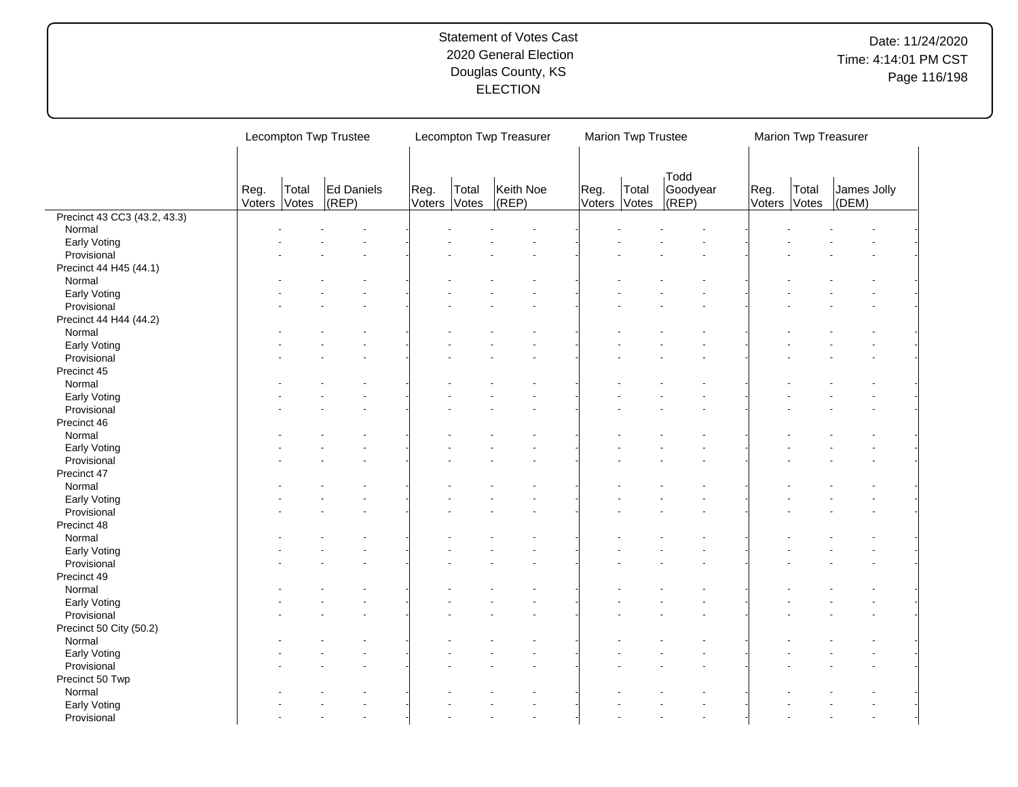|                              |                | Lecompton Twp Trustee                                             |  |  |  | Lecompton Twp Treasurer |                | Marion Twp Trustee |                                  |                      | Marion Twp Treasurer |                      |  |
|------------------------------|----------------|-------------------------------------------------------------------|--|--|--|-------------------------|----------------|--------------------|----------------------------------|----------------------|----------------------|----------------------|--|
|                              | Reg.<br>Voters | Ed Daniels<br>Total<br>Reg.<br>$ $ (REP)<br>Voters Votes<br>Votes |  |  |  | Keith Noe<br>(REP)      | Reg.<br>Voters | Total<br>Votes     | <b>Todd</b><br>Goodyear<br>(REF) | Reg.<br>Voters Votes | Total                | James Jolly<br>(DEM) |  |
| Precinct 43 CC3 (43.2, 43.3) |                |                                                                   |  |  |  |                         |                |                    |                                  |                      |                      |                      |  |
| Normal                       |                |                                                                   |  |  |  |                         |                |                    |                                  |                      |                      |                      |  |
| Early Voting                 |                |                                                                   |  |  |  |                         |                |                    |                                  |                      |                      |                      |  |
| Provisional                  |                |                                                                   |  |  |  |                         |                |                    |                                  |                      |                      |                      |  |
| Precinct 44 H45 (44.1)       |                |                                                                   |  |  |  |                         |                |                    |                                  |                      |                      |                      |  |
| Normal                       |                |                                                                   |  |  |  |                         |                |                    |                                  |                      |                      |                      |  |
| Early Voting                 |                |                                                                   |  |  |  |                         |                |                    |                                  |                      |                      |                      |  |
| Provisional                  |                |                                                                   |  |  |  |                         |                |                    |                                  |                      |                      |                      |  |
| Precinct 44 H44 (44.2)       |                |                                                                   |  |  |  |                         |                |                    |                                  |                      |                      |                      |  |
| Normal                       |                |                                                                   |  |  |  |                         |                |                    |                                  |                      |                      |                      |  |
| Early Voting                 |                |                                                                   |  |  |  |                         |                |                    |                                  |                      |                      |                      |  |
| Provisional                  |                |                                                                   |  |  |  |                         |                |                    |                                  |                      |                      |                      |  |
| Precinct 45                  |                |                                                                   |  |  |  |                         |                |                    |                                  |                      |                      |                      |  |
| Normal                       |                |                                                                   |  |  |  |                         |                |                    |                                  |                      |                      |                      |  |
| Early Voting                 |                |                                                                   |  |  |  |                         |                |                    |                                  |                      |                      |                      |  |
| Provisional                  |                |                                                                   |  |  |  |                         |                |                    |                                  |                      |                      |                      |  |
|                              |                |                                                                   |  |  |  |                         |                |                    |                                  |                      |                      |                      |  |
| Precinct 46                  |                |                                                                   |  |  |  |                         |                |                    |                                  |                      |                      |                      |  |
| Normal                       |                |                                                                   |  |  |  |                         |                |                    |                                  |                      |                      |                      |  |
| Early Voting                 |                |                                                                   |  |  |  |                         |                |                    |                                  |                      |                      |                      |  |
| Provisional                  |                |                                                                   |  |  |  |                         |                |                    |                                  |                      |                      |                      |  |
| Precinct 47                  |                |                                                                   |  |  |  |                         |                |                    |                                  |                      |                      |                      |  |
| Normal                       |                |                                                                   |  |  |  |                         |                |                    |                                  |                      |                      |                      |  |
| Early Voting                 |                |                                                                   |  |  |  |                         |                |                    |                                  |                      |                      |                      |  |
| Provisional                  |                |                                                                   |  |  |  |                         |                |                    |                                  |                      |                      |                      |  |
| Precinct 48                  |                |                                                                   |  |  |  |                         |                |                    |                                  |                      |                      |                      |  |
| Normal                       |                |                                                                   |  |  |  |                         |                |                    |                                  |                      |                      |                      |  |
| Early Voting                 |                |                                                                   |  |  |  |                         |                |                    |                                  |                      |                      |                      |  |
| Provisional                  |                |                                                                   |  |  |  |                         |                |                    |                                  |                      |                      |                      |  |
| Precinct 49                  |                |                                                                   |  |  |  |                         |                |                    |                                  |                      |                      |                      |  |
| Normal                       |                |                                                                   |  |  |  |                         |                |                    |                                  |                      |                      |                      |  |
| Early Voting                 |                |                                                                   |  |  |  |                         |                |                    |                                  |                      |                      |                      |  |
| Provisional                  |                |                                                                   |  |  |  |                         |                |                    |                                  |                      |                      |                      |  |
| Precinct 50 City (50.2)      |                |                                                                   |  |  |  |                         |                |                    |                                  |                      |                      |                      |  |
| Normal                       |                |                                                                   |  |  |  |                         |                |                    |                                  |                      |                      |                      |  |
| Early Voting                 |                |                                                                   |  |  |  |                         |                |                    |                                  |                      |                      |                      |  |
| Provisional                  |                |                                                                   |  |  |  |                         |                |                    |                                  |                      |                      |                      |  |
| Precinct 50 Twp              |                |                                                                   |  |  |  |                         |                |                    |                                  |                      |                      |                      |  |
| Normal                       |                |                                                                   |  |  |  |                         |                |                    |                                  |                      |                      |                      |  |
| Early Voting                 |                |                                                                   |  |  |  |                         |                |                    |                                  |                      |                      |                      |  |
| Provisional                  |                |                                                                   |  |  |  |                         |                |                    |                                  |                      |                      |                      |  |
|                              |                |                                                                   |  |  |  |                         |                |                    |                                  |                      |                      |                      |  |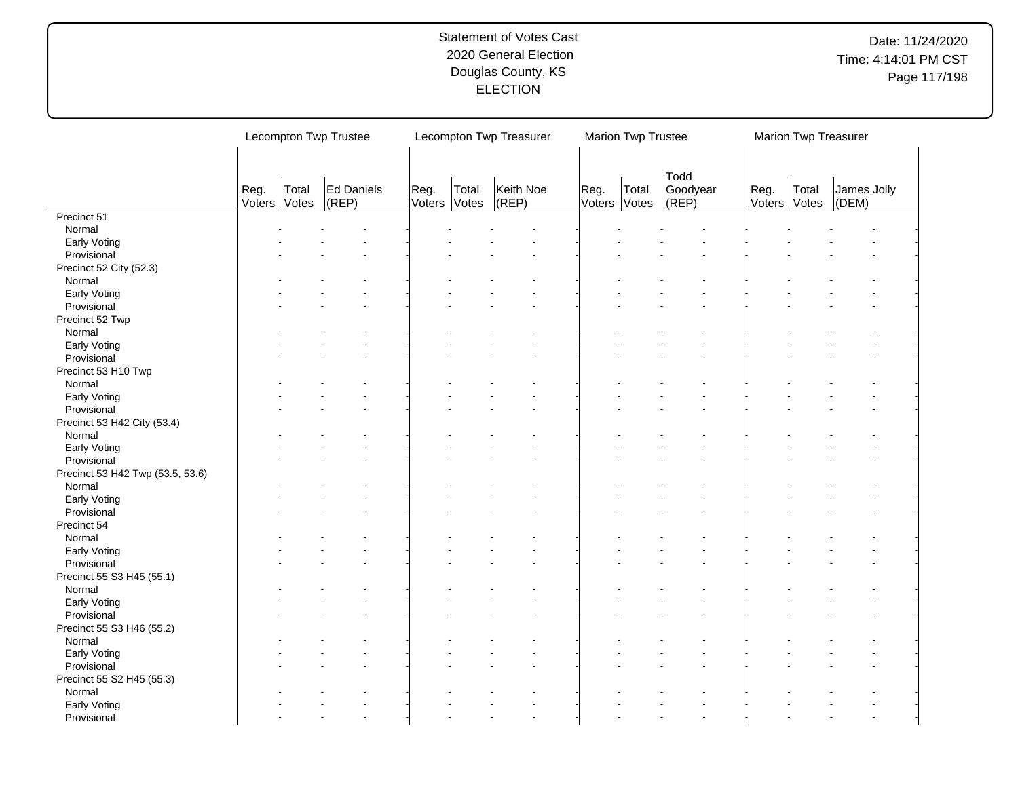|                                  |                | Lecompton Twp Trustee |                         |                |                | Lecompton Twp Treasurer |      | Marion Twp Trustee    |                           |                | Marion Twp Treasurer |                      |
|----------------------------------|----------------|-----------------------|-------------------------|----------------|----------------|-------------------------|------|-----------------------|---------------------------|----------------|----------------------|----------------------|
|                                  | Reg.<br>Voters | Total<br>Votes        | Ed Daniels<br>$ $ (REP) | Reg.<br>Voters | Total<br>Votes | Keith Noe<br>$ $ (REP)  | Reg. | Total<br>Voters Votes | Todd<br>Goodyear<br>(REP) | Reg.<br>Voters | Total<br>Votes       | James Jolly<br>(DEM) |
| Precinct 51                      |                |                       |                         |                |                |                         |      |                       |                           |                |                      |                      |
| Normal                           |                |                       |                         |                |                |                         |      |                       |                           |                |                      |                      |
| Early Voting                     |                |                       |                         |                |                |                         |      |                       |                           |                |                      |                      |
| Provisional                      |                |                       |                         |                |                |                         |      |                       |                           |                |                      |                      |
| Precinct 52 City (52.3)          |                |                       |                         |                |                |                         |      |                       |                           |                |                      |                      |
| Normal                           |                |                       |                         |                |                |                         |      |                       |                           |                |                      |                      |
| Early Voting                     |                |                       |                         |                |                |                         |      |                       |                           |                |                      |                      |
| Provisional                      |                |                       |                         |                |                |                         |      |                       |                           |                |                      |                      |
| Precinct 52 Twp                  |                |                       |                         |                |                |                         |      |                       |                           |                |                      |                      |
| Normal                           |                |                       |                         |                |                |                         |      |                       |                           |                |                      |                      |
| Early Voting                     |                |                       |                         |                |                |                         |      |                       |                           |                |                      |                      |
| Provisional                      |                |                       |                         |                |                |                         |      |                       |                           |                |                      |                      |
| Precinct 53 H10 Twp              |                |                       |                         |                |                |                         |      |                       |                           |                |                      |                      |
| Normal                           |                |                       |                         |                |                |                         |      |                       |                           |                |                      |                      |
|                                  |                |                       |                         |                |                |                         |      |                       |                           |                |                      |                      |
| Early Voting                     |                |                       |                         |                |                |                         |      |                       |                           |                |                      |                      |
| Provisional                      |                |                       |                         |                |                |                         |      |                       |                           |                |                      |                      |
| Precinct 53 H42 City (53.4)      |                |                       |                         |                |                |                         |      |                       |                           |                |                      |                      |
| Normal                           |                |                       |                         |                |                |                         |      |                       |                           |                |                      |                      |
| Early Voting                     |                |                       |                         |                |                |                         |      |                       |                           |                |                      |                      |
| Provisional                      |                |                       |                         |                |                |                         |      |                       |                           |                |                      |                      |
| Precinct 53 H42 Twp (53.5, 53.6) |                |                       |                         |                |                |                         |      |                       |                           |                |                      |                      |
| Normal                           |                |                       |                         |                |                |                         |      |                       |                           |                |                      |                      |
| Early Voting                     |                |                       |                         |                |                |                         |      |                       |                           |                |                      |                      |
| Provisional                      |                |                       |                         |                |                |                         |      |                       |                           |                |                      |                      |
| Precinct 54                      |                |                       |                         |                |                |                         |      |                       |                           |                |                      |                      |
| Normal                           |                |                       |                         |                |                |                         |      |                       |                           |                |                      |                      |
| Early Voting                     |                |                       |                         |                |                |                         |      |                       |                           |                |                      |                      |
| Provisional                      |                |                       |                         |                |                |                         |      |                       |                           |                |                      |                      |
| Precinct 55 S3 H45 (55.1)        |                |                       |                         |                |                |                         |      |                       |                           |                |                      |                      |
| Normal                           |                |                       |                         |                |                |                         |      |                       |                           |                |                      |                      |
| Early Voting                     |                |                       |                         |                |                |                         |      |                       |                           |                |                      |                      |
| Provisional                      |                |                       |                         |                |                |                         |      |                       |                           |                |                      |                      |
| Precinct 55 S3 H46 (55.2)        |                |                       |                         |                |                |                         |      |                       |                           |                |                      |                      |
| Normal                           |                |                       |                         |                |                |                         |      |                       |                           |                |                      |                      |
|                                  |                |                       |                         |                |                |                         |      |                       |                           |                |                      |                      |
| Early Voting                     |                |                       |                         |                |                |                         |      |                       |                           |                |                      |                      |
| Provisional                      |                |                       |                         |                |                |                         |      |                       |                           |                |                      |                      |
| Precinct 55 S2 H45 (55.3)        |                |                       |                         |                |                |                         |      |                       |                           |                |                      |                      |
| Normal                           |                |                       |                         |                |                |                         |      |                       |                           |                |                      |                      |
| Early Voting                     |                |                       |                         |                |                |                         |      |                       |                           |                |                      |                      |
| Provisional                      |                |                       |                         |                |                |                         |      |                       |                           |                |                      |                      |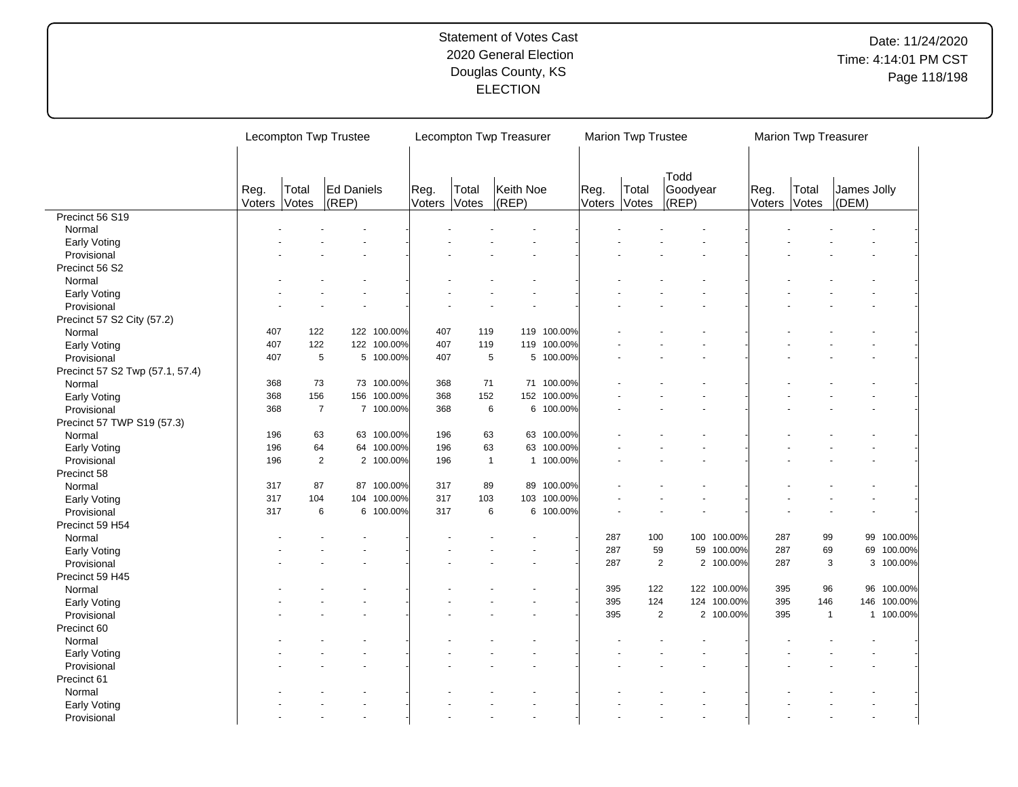|                                 |                | Lecompton Twp Trustee |                     |             |                |                | Lecompton Twp Treasurer |            |                | Marion Twp Trustee |                           |             |                | <b>Marion Twp Treasurer</b> |                      |             |
|---------------------------------|----------------|-----------------------|---------------------|-------------|----------------|----------------|-------------------------|------------|----------------|--------------------|---------------------------|-------------|----------------|-----------------------------|----------------------|-------------|
|                                 | Reg.<br>Voters | Total<br>Votes        | Ed Daniels<br>(REP) |             | Reg.<br>Voters | Total<br>Votes | Keith Noe<br>(REP)      |            | Reg.<br>Voters | Total<br>Votes     | Todd<br>Goodyear<br>(REP) |             | Reg.<br>Voters | Total<br>Votes              | James Jolly<br>(DEM) |             |
| Precinct 56 S19                 |                |                       |                     |             |                |                |                         |            |                |                    |                           |             |                |                             |                      |             |
| Normal                          |                |                       |                     |             |                |                |                         |            |                |                    |                           |             |                |                             |                      |             |
| Early Voting                    |                |                       |                     |             |                |                |                         |            |                |                    |                           |             |                |                             |                      |             |
| Provisional                     |                |                       |                     |             |                |                |                         |            |                |                    |                           |             |                |                             |                      |             |
| Precinct 56 S2                  |                |                       |                     |             |                |                |                         |            |                |                    |                           |             |                |                             |                      |             |
| Normal                          |                |                       |                     |             |                |                |                         |            |                |                    |                           |             |                |                             |                      |             |
| Early Voting                    |                |                       |                     |             |                |                |                         |            |                |                    |                           |             |                |                             |                      |             |
| Provisional                     |                |                       |                     |             |                |                |                         |            |                |                    |                           |             |                |                             |                      |             |
| Precinct 57 S2 City (57.2)      |                |                       |                     |             |                |                |                         |            |                |                    |                           |             |                |                             |                      |             |
| Normal                          | 407            | 122                   |                     | 122 100.00% | 407            | 119            | 119                     | 100.00%    |                |                    |                           |             |                |                             |                      |             |
| Early Voting                    | 407            | 122                   |                     | 122 100.00% | 407            | 119            | 119                     | 100.00%    |                |                    |                           |             |                |                             |                      |             |
| Provisional                     | 407            | 5                     |                     | 5 100.00%   | 407            | 5              | 5                       | 100.00%    |                |                    |                           |             |                |                             |                      |             |
| Precinct 57 S2 Twp (57.1, 57.4) |                |                       |                     |             |                |                |                         |            |                |                    |                           |             |                |                             |                      |             |
| Normal                          | 368            | 73                    |                     | 73 100.00%  | 368            | 71             |                         | 71 100.00% |                |                    |                           |             |                |                             |                      |             |
| Early Voting                    | 368            | 156                   |                     | 156 100.00% | 368            | 152            | 152                     | 100.00%    |                |                    |                           |             |                |                             |                      |             |
| Provisional                     | 368            | $\overline{7}$        |                     | 7 100.00%   | 368            | 6              |                         | 6 100.00%  |                |                    |                           |             |                |                             |                      |             |
| Precinct 57 TWP S19 (57.3)      |                |                       |                     |             |                |                |                         |            |                |                    |                           |             |                |                             |                      |             |
| Normal                          | 196            | 63                    |                     | 63 100.00%  | 196            | 63             | 63                      | 100.00%    |                |                    |                           |             |                |                             |                      |             |
| Early Voting                    | 196            | 64                    |                     | 64 100.00%  | 196            | 63             | 63                      | 100.00%    |                |                    |                           |             |                |                             |                      |             |
| Provisional                     | 196            | $\overline{2}$        |                     | 2 100.00%   | 196            | $\mathbf{1}$   | $\mathbf{1}$            | 100.00%    |                |                    |                           |             |                |                             |                      |             |
|                                 |                |                       |                     |             |                |                |                         |            |                |                    |                           |             |                |                             |                      |             |
| Precinct 58                     | 317            | 87                    |                     | 87 100.00%  | 317            | 89             | 89                      | 100.00%    |                |                    |                           |             |                |                             |                      |             |
| Normal                          | 317            | 104                   | 104                 | 100.00%     | 317            | 103            | 103                     | 100.00%    |                |                    |                           |             |                |                             |                      |             |
| Early Voting                    | 317            | 6                     |                     | 6 100.00%   | 317            | 6              |                         |            |                |                    |                           |             |                |                             |                      |             |
| Provisional                     |                |                       |                     |             |                |                |                         | 6 100.00%  |                |                    |                           |             |                |                             |                      |             |
| Precinct 59 H54                 |                |                       |                     |             |                |                |                         |            |                |                    |                           |             |                |                             |                      |             |
| Normal                          |                |                       |                     |             |                |                |                         |            | 287            | 100                |                           | 100 100.00% | 287            | 99                          |                      | 99 100.00%  |
| Early Voting                    |                |                       |                     |             |                |                |                         |            | 287            | 59                 |                           | 59 100.00%  | 287            | 69                          |                      | 69 100.00%  |
| Provisional                     |                |                       |                     |             |                |                |                         |            | 287            |                    | 2                         | 2 100.00%   | 287            |                             | 3                    | 3 100.00%   |
| Precinct 59 H45                 |                |                       |                     |             |                |                |                         |            |                |                    |                           |             |                |                             |                      |             |
| Normal                          |                |                       |                     |             |                |                |                         |            | 395            | 122                |                           | 122 100.00% | 395            | 96                          |                      | 96 100.00%  |
| Early Voting                    |                |                       |                     |             |                |                |                         |            | 395            | 124                |                           | 124 100.00% | 395            | 146                         |                      | 146 100.00% |
| Provisional                     |                |                       |                     |             |                |                |                         |            | 395            |                    | $\overline{2}$            | 2 100.00%   | 395            | $\mathbf{1}$                |                      | 1 100.00%   |
| Precinct 60                     |                |                       |                     |             |                |                |                         |            |                |                    |                           |             |                |                             |                      |             |
| Normal                          |                |                       |                     |             |                |                |                         |            |                |                    |                           |             |                |                             |                      |             |
| Early Voting                    |                |                       |                     |             |                |                |                         |            |                |                    |                           |             |                |                             |                      |             |
| Provisional                     |                |                       |                     |             |                |                |                         |            |                |                    |                           |             |                |                             |                      |             |
| Precinct 61                     |                |                       |                     |             |                |                |                         |            |                |                    |                           |             |                |                             |                      |             |
| Normal                          |                |                       |                     |             |                |                |                         |            |                |                    |                           |             |                |                             |                      |             |
| Early Voting                    |                |                       |                     |             |                |                |                         |            |                |                    |                           |             |                |                             |                      |             |
| Provisional                     |                |                       |                     |             |                |                |                         |            |                |                    |                           |             |                |                             |                      |             |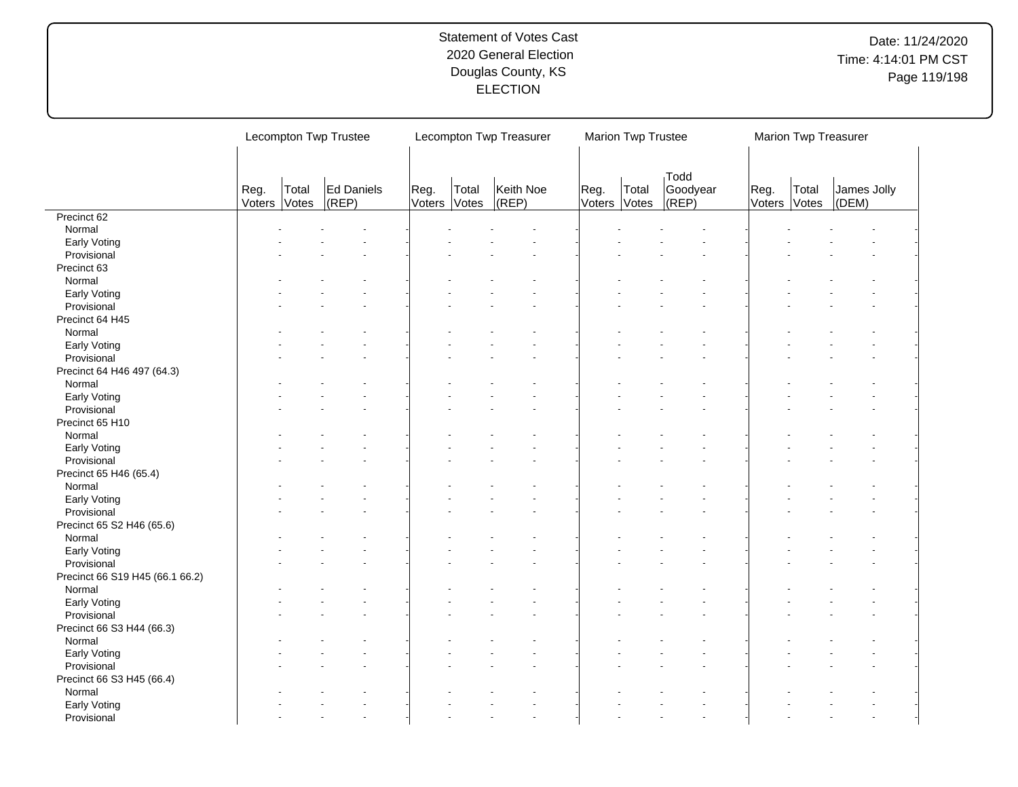|                                 |                | Lecompton Twp Trustee |                     |                |                | Lecompton Twp Treasurer |                | Marion Twp Trustee |                           |                | Marion Twp Treasurer |                      |
|---------------------------------|----------------|-----------------------|---------------------|----------------|----------------|-------------------------|----------------|--------------------|---------------------------|----------------|----------------------|----------------------|
|                                 | Reg.<br>Voters | Total<br>Votes        | Ed Daniels<br>(REP) | Reg.<br>Voters | Total<br>Votes | Keith Noe<br>$ $ (REP)  | Reg.<br>Voters | Total<br>Votes     | Todd<br>Goodyear<br>(REP) | Reg.<br>Voters | Total<br>Votes       | James Jolly<br>(DEM) |
| Precinct 62                     |                |                       |                     |                |                |                         |                |                    |                           |                |                      |                      |
| Normal                          |                |                       |                     |                |                |                         |                |                    |                           |                |                      |                      |
| Early Voting                    |                |                       |                     |                |                |                         |                |                    |                           |                |                      |                      |
| Provisional                     |                |                       |                     |                |                |                         |                |                    |                           |                |                      |                      |
| Precinct 63                     |                |                       |                     |                |                |                         |                |                    |                           |                |                      |                      |
| Normal                          |                |                       |                     |                |                |                         |                |                    |                           |                |                      |                      |
| Early Voting                    |                |                       |                     |                |                |                         |                |                    |                           |                |                      |                      |
| Provisional                     |                |                       |                     |                |                |                         |                |                    |                           |                |                      |                      |
| Precinct 64 H45                 |                |                       |                     |                |                |                         |                |                    |                           |                |                      |                      |
| Normal                          |                |                       |                     |                |                |                         |                |                    |                           |                |                      |                      |
| Early Voting                    |                |                       |                     |                |                |                         |                |                    |                           |                |                      |                      |
| Provisional                     |                |                       |                     |                |                |                         |                |                    |                           |                |                      |                      |
| Precinct 64 H46 497 (64.3)      |                |                       |                     |                |                |                         |                |                    |                           |                |                      |                      |
| Normal                          |                |                       |                     |                |                |                         |                |                    |                           |                |                      |                      |
|                                 |                |                       |                     |                |                |                         |                |                    |                           |                |                      |                      |
| Early Voting                    |                |                       |                     |                |                |                         |                |                    |                           |                |                      |                      |
| Provisional                     |                |                       |                     |                |                |                         |                |                    |                           |                |                      |                      |
| Precinct 65 H10                 |                |                       |                     |                |                |                         |                |                    |                           |                |                      |                      |
| Normal                          |                |                       |                     |                |                |                         |                |                    |                           |                |                      |                      |
| Early Voting                    |                |                       |                     |                |                |                         |                |                    |                           |                |                      |                      |
| Provisional                     |                |                       |                     |                |                |                         |                |                    |                           |                |                      |                      |
| Precinct 65 H46 (65.4)          |                |                       |                     |                |                |                         |                |                    |                           |                |                      |                      |
| Normal                          |                |                       |                     |                |                |                         |                |                    |                           |                |                      |                      |
| Early Voting                    |                |                       |                     |                |                |                         |                |                    |                           |                |                      |                      |
| Provisional                     |                |                       |                     |                |                |                         |                |                    |                           |                |                      |                      |
| Precinct 65 S2 H46 (65.6)       |                |                       |                     |                |                |                         |                |                    |                           |                |                      |                      |
| Normal                          |                |                       |                     |                |                |                         |                |                    |                           |                |                      |                      |
| Early Voting                    |                |                       |                     |                |                |                         |                |                    |                           |                |                      |                      |
| Provisional                     |                |                       |                     |                |                |                         |                |                    |                           |                |                      |                      |
| Precinct 66 S19 H45 (66.1 66.2) |                |                       |                     |                |                |                         |                |                    |                           |                |                      |                      |
| Normal                          |                |                       |                     |                |                |                         |                |                    |                           |                |                      |                      |
| Early Voting                    |                |                       |                     |                |                |                         |                |                    |                           |                |                      |                      |
| Provisional                     |                |                       |                     |                |                |                         |                |                    |                           |                |                      |                      |
| Precinct 66 S3 H44 (66.3)       |                |                       |                     |                |                |                         |                |                    |                           |                |                      |                      |
| Normal                          |                |                       |                     |                |                |                         |                |                    |                           |                |                      |                      |
|                                 |                |                       |                     |                |                |                         |                |                    |                           |                |                      |                      |
| Early Voting                    |                |                       |                     |                |                |                         |                |                    |                           |                |                      |                      |
| Provisional                     |                |                       |                     |                |                |                         |                |                    |                           |                |                      |                      |
| Precinct 66 S3 H45 (66.4)       |                |                       |                     |                |                |                         |                |                    |                           |                |                      |                      |
| Normal                          |                |                       |                     |                |                |                         |                |                    |                           |                |                      |                      |
| Early Voting                    |                |                       |                     |                |                |                         |                |                    |                           |                |                      |                      |
| Provisional                     |                |                       |                     |                |                |                         |                |                    |                           |                |                      |                      |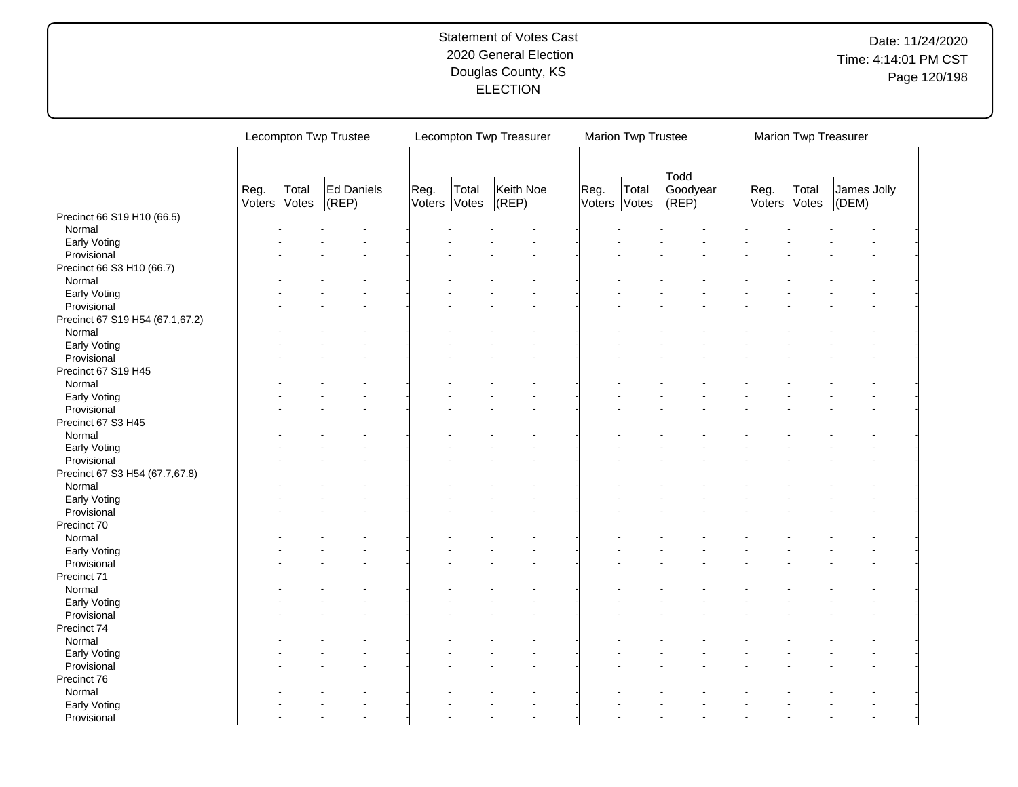|                                 |                | Lecompton Twp Trustee |                         |                |                | Lecompton Twp Treasurer |      | Marion Twp Trustee    |                           |                | Marion Twp Treasurer |                              |
|---------------------------------|----------------|-----------------------|-------------------------|----------------|----------------|-------------------------|------|-----------------------|---------------------------|----------------|----------------------|------------------------------|
|                                 | Reg.<br>Voters | Total<br>Votes        | Ed Daniels<br>$ $ (REP) | Reg.<br>Voters | Total<br>Votes | Keith Noe<br>$ $ (REP)  | Reg. | Total<br>Voters Votes | Todd<br>Goodyear<br>(REP) | Reg.<br>Voters | Total<br>Votes       | James Jolly<br>$\vert$ (DEM) |
| Precinct 66 S19 H10 (66.5)      |                |                       |                         |                |                |                         |      |                       |                           |                |                      |                              |
| Normal                          |                |                       |                         |                |                |                         |      |                       |                           |                |                      |                              |
| Early Voting                    |                |                       |                         |                |                |                         |      |                       |                           |                |                      |                              |
| Provisional                     |                |                       |                         |                |                |                         |      |                       |                           |                |                      |                              |
| Precinct 66 S3 H10 (66.7)       |                |                       |                         |                |                |                         |      |                       |                           |                |                      |                              |
| Normal                          |                |                       |                         |                |                |                         |      |                       |                           |                |                      |                              |
| Early Voting                    |                |                       |                         |                |                |                         |      |                       |                           |                |                      |                              |
| Provisional                     |                |                       |                         |                |                |                         |      |                       |                           |                |                      |                              |
| Precinct 67 S19 H54 (67.1,67.2) |                |                       |                         |                |                |                         |      |                       |                           |                |                      |                              |
| Normal                          |                |                       |                         |                |                |                         |      |                       |                           |                |                      |                              |
| Early Voting                    |                |                       |                         |                |                |                         |      |                       |                           |                |                      |                              |
| Provisional                     |                |                       |                         |                |                |                         |      |                       |                           |                |                      |                              |
| Precinct 67 S19 H45             |                |                       |                         |                |                |                         |      |                       |                           |                |                      |                              |
| Normal                          |                |                       |                         |                |                |                         |      |                       |                           |                |                      |                              |
| Early Voting                    |                |                       |                         |                |                |                         |      |                       |                           |                |                      |                              |
|                                 |                |                       |                         |                |                |                         |      |                       |                           |                |                      |                              |
| Provisional                     |                |                       |                         |                |                |                         |      |                       |                           |                |                      |                              |
| Precinct 67 S3 H45              |                |                       |                         |                |                |                         |      |                       |                           |                |                      |                              |
| Normal                          |                |                       |                         |                |                |                         |      |                       |                           |                |                      |                              |
| Early Voting                    |                |                       |                         |                |                |                         |      |                       |                           |                |                      |                              |
| Provisional                     |                |                       |                         |                |                |                         |      |                       |                           |                |                      |                              |
| Precinct 67 S3 H54 (67.7,67.8)  |                |                       |                         |                |                |                         |      |                       |                           |                |                      |                              |
| Normal                          |                |                       |                         |                |                |                         |      |                       |                           |                |                      |                              |
| Early Voting                    |                |                       |                         |                |                |                         |      |                       |                           |                |                      |                              |
| Provisional                     |                |                       |                         |                |                |                         |      |                       |                           |                |                      |                              |
| Precinct 70                     |                |                       |                         |                |                |                         |      |                       |                           |                |                      |                              |
| Normal                          |                |                       |                         |                |                |                         |      |                       |                           |                |                      |                              |
| Early Voting                    |                |                       |                         |                |                |                         |      |                       |                           |                |                      |                              |
| Provisional                     |                |                       |                         |                |                |                         |      |                       |                           |                |                      |                              |
| Precinct 71                     |                |                       |                         |                |                |                         |      |                       |                           |                |                      |                              |
| Normal                          |                |                       |                         |                |                |                         |      |                       |                           |                |                      |                              |
| Early Voting                    |                |                       |                         |                |                |                         |      |                       |                           |                |                      |                              |
| Provisional                     |                |                       |                         |                |                |                         |      |                       |                           |                |                      |                              |
| Precinct 74                     |                |                       |                         |                |                |                         |      |                       |                           |                |                      |                              |
| Normal                          |                |                       |                         |                |                |                         |      |                       |                           |                |                      |                              |
| Early Voting                    |                |                       |                         |                |                |                         |      |                       |                           |                |                      |                              |
| Provisional                     |                |                       |                         |                |                |                         |      |                       |                           |                |                      |                              |
| Precinct 76                     |                |                       |                         |                |                |                         |      |                       |                           |                |                      |                              |
| Normal                          |                |                       |                         |                |                |                         |      |                       |                           |                |                      |                              |
| Early Voting                    |                |                       |                         |                |                |                         |      |                       |                           |                |                      |                              |
|                                 |                |                       |                         |                |                |                         |      |                       |                           |                |                      |                              |
| Provisional                     |                |                       |                         |                |                |                         |      |                       |                           |                |                      |                              |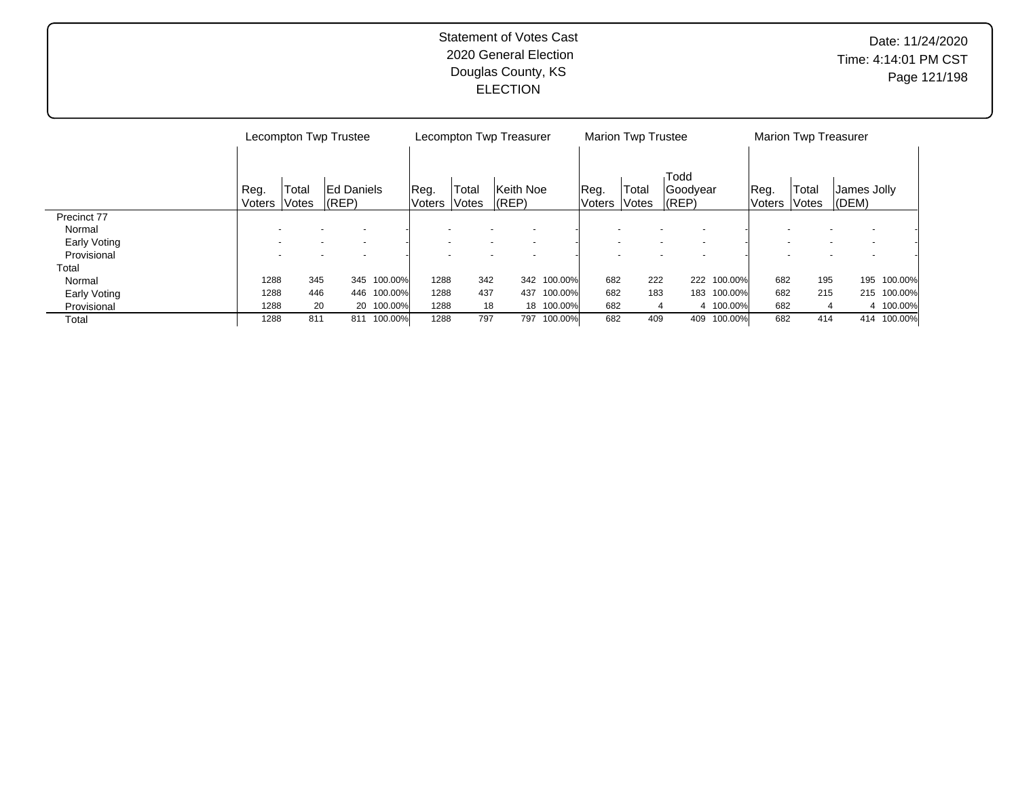|              |        |       | Lecompton Twp Trustee |            |        | Lecompton Twp Treasurer |           |             |               | <b>Marion Twp Trustee</b> |           |             |         | <b>Marion Twp Treasurer</b> |             |             |
|--------------|--------|-------|-----------------------|------------|--------|-------------------------|-----------|-------------|---------------|---------------------------|-----------|-------------|---------|-----------------------------|-------------|-------------|
|              |        |       |                       |            |        |                         |           |             |               |                           |           |             |         |                             |             |             |
|              |        |       |                       |            |        |                         |           |             |               |                           | Todd      |             |         |                             |             |             |
|              | Reg.   | Total | <b>IEd Daniels</b>    |            | Reg.   | 'Total                  | Keith Noe |             | Reg.          | Total                     | Goodyear  |             | Reg.    | Total                       | James Jolly |             |
|              | Voters | Votes | $ $ (REP)             |            | Voters | <i><b>Notes</b></i>     | $ $ (REP) |             | <b>Voters</b> | Votes                     | $ $ (REP) |             | ∣Voters | <b>Notes</b>                | $ $ (DEM)   |             |
| Precinct 77  |        |       |                       |            |        |                         |           |             |               |                           |           |             |         |                             |             |             |
| Normal       |        |       |                       |            |        |                         |           |             |               |                           |           |             |         |                             |             |             |
| Early Voting |        |       |                       |            |        |                         |           |             |               |                           |           |             |         |                             |             |             |
| Provisional  |        |       |                       |            |        |                         |           |             |               |                           |           |             |         |                             |             |             |
| Total        |        |       |                       |            |        |                         |           |             |               |                           |           |             |         |                             |             |             |
| Normal       | 1288   | 345   | 345                   | 100.00%    | 1288   | 342                     |           | 342 100.00% | 682           | 222                       |           | 222 100.00% | 682     | 195                         | 195         | 100.00%     |
| Early Voting | 1288   | 446   | 446                   | 100.00%    | 1288   | 437                     | 437       | 100.00%     | 682           | 183                       |           | 183 100.00% | 682     | 215                         |             | 215 100.00% |
| Provisional  | 1288   | 20    |                       | 20 100.00% | 1288   | 18                      |           | 18 100.00%  | 682           | 4                         |           | 4 100.00%   | 682     |                             |             | 4 100.00%   |
| Total        | 1288   | 811   | 811                   | 100.00%    | 1288   | 797                     | 797       | 100.00%     | 682           | 409                       | 409       | 100.00%     | 682     | 414                         |             | 414 100.00% |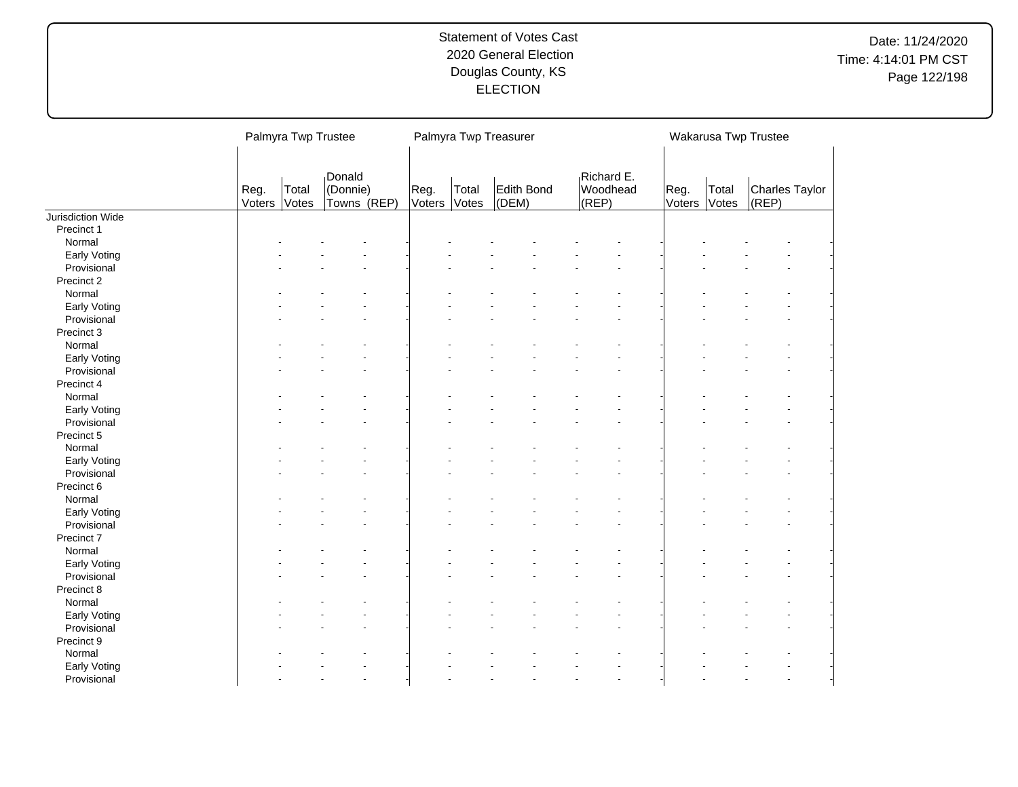Date: 11/24/2020 Time: 4:14:01 PM CST Page 122/198

|                   |                | Palmyra Twp Trustee |                                   |                |                | Palmyra Twp Treasurer |                                 |                |                | Wakarusa Twp Trustee    |  |
|-------------------|----------------|---------------------|-----------------------------------|----------------|----------------|-----------------------|---------------------------------|----------------|----------------|-------------------------|--|
|                   | Reg.<br>Voters | Total<br>Votes      | Donald<br>(Donnie)<br>Towns (REP) | Reg.<br>Voters | Total<br>Votes | Edith Bond<br>(DEM)   | Richard E.<br>Woodhead<br>(REP) | Reg.<br>Voters | Total<br>Votes | Charles Taylor<br>(REP) |  |
| Jurisdiction Wide |                |                     |                                   |                |                |                       |                                 |                |                |                         |  |
| Precinct 1        |                |                     |                                   |                |                |                       |                                 |                |                |                         |  |
| Normal            |                |                     |                                   |                |                |                       |                                 |                |                |                         |  |
| Early Voting      |                |                     |                                   |                |                |                       |                                 |                |                |                         |  |
| Provisional       |                |                     |                                   |                |                |                       |                                 |                |                |                         |  |
| Precinct 2        |                |                     |                                   |                |                |                       |                                 |                |                |                         |  |
| Normal            |                |                     |                                   |                |                |                       |                                 |                |                |                         |  |
| Early Voting      |                |                     |                                   |                |                |                       |                                 |                |                |                         |  |
| Provisional       |                |                     |                                   |                |                |                       |                                 |                |                |                         |  |
| Precinct 3        |                |                     |                                   |                |                |                       |                                 |                |                |                         |  |
| Normal            |                |                     |                                   |                |                |                       |                                 |                |                |                         |  |
| Early Voting      |                |                     |                                   |                |                |                       |                                 |                |                |                         |  |
| Provisional       |                |                     |                                   |                |                |                       |                                 |                |                |                         |  |
| Precinct 4        |                |                     |                                   |                |                |                       |                                 |                |                |                         |  |
| Normal            |                |                     |                                   |                |                |                       |                                 |                |                |                         |  |
| Early Voting      |                |                     |                                   |                |                |                       |                                 |                |                |                         |  |
| Provisional       |                |                     |                                   |                |                |                       |                                 |                |                |                         |  |
| Precinct 5        |                |                     |                                   |                |                |                       |                                 |                |                |                         |  |
| Normal            |                |                     |                                   |                |                |                       |                                 |                |                |                         |  |
| Early Voting      |                |                     |                                   |                |                |                       |                                 |                |                |                         |  |
| Provisional       |                |                     |                                   |                |                |                       |                                 |                |                |                         |  |
| Precinct 6        |                |                     |                                   |                |                |                       |                                 |                |                |                         |  |
| Normal            |                |                     |                                   |                |                |                       |                                 |                |                |                         |  |
| Early Voting      |                |                     |                                   |                |                |                       |                                 |                |                |                         |  |
| Provisional       |                |                     |                                   |                |                |                       |                                 |                |                |                         |  |
| Precinct 7        |                |                     |                                   |                |                |                       |                                 |                |                |                         |  |
| Normal            |                |                     |                                   |                |                |                       |                                 |                |                |                         |  |
| Early Voting      |                |                     |                                   |                |                |                       |                                 |                |                |                         |  |
| Provisional       |                |                     |                                   |                |                |                       |                                 |                |                |                         |  |
| Precinct 8        |                |                     |                                   |                |                |                       |                                 |                |                |                         |  |
| Normal            |                |                     |                                   |                |                |                       |                                 |                |                |                         |  |
| Early Voting      |                |                     |                                   |                |                |                       |                                 |                |                |                         |  |
| Provisional       |                |                     |                                   |                |                |                       |                                 |                |                |                         |  |
| Precinct 9        |                |                     |                                   |                |                |                       |                                 |                |                |                         |  |
| Normal            |                |                     |                                   |                |                |                       |                                 |                |                |                         |  |
| Early Voting      |                |                     |                                   |                |                |                       |                                 |                |                |                         |  |
| Provisional       |                |                     |                                   |                |                |                       |                                 |                |                |                         |  |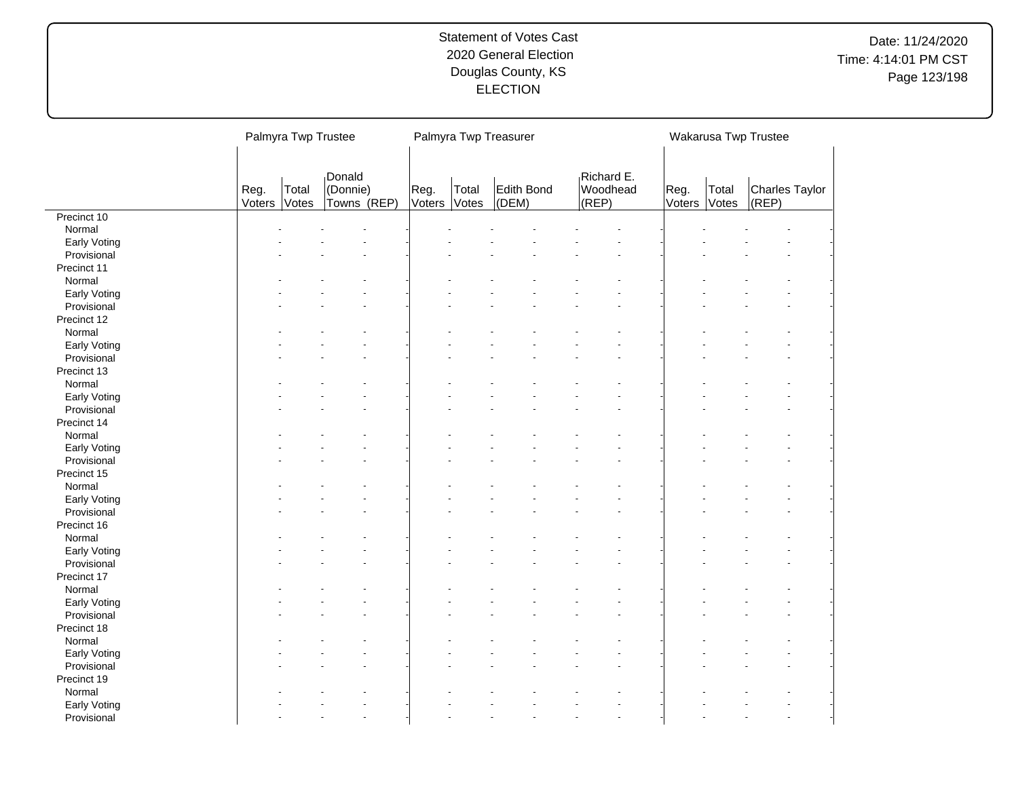# Date: 11/24/2020 Time: 4:14:01 PM CST Page 123/198

|              |                | Palmyra Twp Trustee |                                   |                |                | Palmyra Twp Treasurer |                                 |                |                | Wakarusa Twp Trustee    |  |
|--------------|----------------|---------------------|-----------------------------------|----------------|----------------|-----------------------|---------------------------------|----------------|----------------|-------------------------|--|
|              |                |                     |                                   |                |                |                       |                                 |                |                |                         |  |
|              | Reg.<br>Voters | Total<br>Votes      | Donald<br>(Donnie)<br>Towns (REP) | Reg.<br>Voters | Total<br>Votes | Edith Bond<br>(DEM)   | Richard E.<br>Woodhead<br>(REP) | Reg.<br>Voters | Total<br>Votes | Charles Taylor<br>(REP) |  |
| Precinct 10  |                |                     |                                   |                |                |                       |                                 |                |                |                         |  |
| Normal       |                |                     |                                   |                |                |                       |                                 |                |                |                         |  |
| Early Voting |                |                     |                                   |                |                |                       |                                 |                |                |                         |  |
| Provisional  |                |                     |                                   |                |                |                       |                                 |                |                |                         |  |
| Precinct 11  |                |                     |                                   |                |                |                       |                                 |                |                |                         |  |
| Normal       |                |                     |                                   |                |                |                       |                                 |                |                |                         |  |
| Early Voting |                |                     |                                   |                |                |                       |                                 |                |                |                         |  |
| Provisional  |                |                     |                                   |                |                |                       |                                 |                |                |                         |  |
| Precinct 12  |                |                     |                                   |                |                |                       |                                 |                |                |                         |  |
| Normal       |                |                     |                                   |                |                |                       |                                 |                |                |                         |  |
| Early Voting |                |                     |                                   |                |                |                       |                                 |                |                |                         |  |
| Provisional  |                |                     |                                   |                |                |                       |                                 |                |                |                         |  |
| Precinct 13  |                |                     |                                   |                |                |                       |                                 |                |                |                         |  |
| Normal       |                |                     |                                   |                |                |                       |                                 |                |                |                         |  |
| Early Voting |                |                     |                                   |                |                |                       |                                 |                |                |                         |  |
| Provisional  |                |                     |                                   |                |                |                       |                                 |                |                |                         |  |
| Precinct 14  |                |                     |                                   |                |                |                       |                                 |                |                |                         |  |
| Normal       |                |                     |                                   |                |                |                       |                                 |                |                |                         |  |
| Early Voting |                |                     |                                   |                |                |                       |                                 |                |                |                         |  |
| Provisional  |                |                     |                                   |                |                |                       |                                 |                |                |                         |  |
| Precinct 15  |                |                     |                                   |                |                |                       |                                 |                |                |                         |  |
| Normal       |                |                     |                                   |                |                |                       |                                 |                |                |                         |  |
| Early Voting |                |                     |                                   |                |                |                       |                                 |                |                |                         |  |
| Provisional  |                |                     |                                   |                |                |                       |                                 |                |                |                         |  |
| Precinct 16  |                |                     |                                   |                |                |                       |                                 |                |                |                         |  |
| Normal       |                |                     |                                   |                |                |                       |                                 |                |                |                         |  |
| Early Voting |                |                     |                                   |                |                |                       |                                 |                |                |                         |  |
| Provisional  |                |                     |                                   |                |                |                       |                                 |                |                |                         |  |
| Precinct 17  |                |                     |                                   |                |                |                       |                                 |                |                |                         |  |
| Normal       |                |                     |                                   |                |                |                       |                                 |                |                |                         |  |
| Early Voting |                |                     |                                   |                |                |                       |                                 |                |                |                         |  |
| Provisional  |                |                     |                                   |                |                |                       |                                 |                |                |                         |  |
| Precinct 18  |                |                     |                                   |                |                |                       |                                 |                |                |                         |  |
| Normal       |                |                     |                                   |                |                |                       |                                 |                |                |                         |  |
| Early Voting |                |                     |                                   |                |                |                       |                                 |                |                |                         |  |
| Provisional  |                |                     |                                   |                |                |                       |                                 |                |                |                         |  |
| Precinct 19  |                |                     |                                   |                |                |                       |                                 |                |                |                         |  |
| Normal       |                |                     |                                   |                |                |                       |                                 |                |                |                         |  |
| Early Voting |                |                     |                                   |                |                |                       |                                 |                |                |                         |  |
| Provisional  |                |                     |                                   |                |                |                       | $\overline{a}$                  |                |                |                         |  |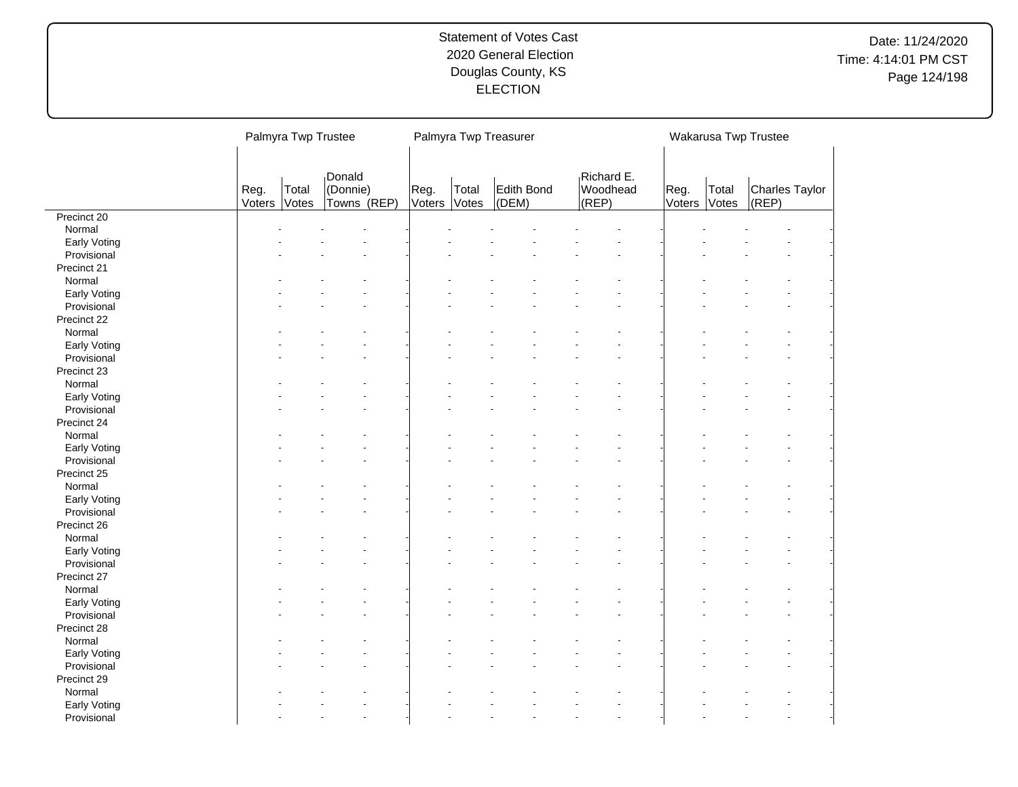# Date: 11/24/2020 Time: 4:14:01 PM CST Page 124/198

|              | Palmyra Twp Trustee |                |                                   |                       |                | Palmyra Twp Treasurer |                                 |                |                | Wakarusa Twp Trustee    |  |
|--------------|---------------------|----------------|-----------------------------------|-----------------------|----------------|-----------------------|---------------------------------|----------------|----------------|-------------------------|--|
|              |                     |                |                                   |                       |                |                       |                                 |                |                |                         |  |
|              | Reg.<br>Voters      | Total<br>Votes | Donald<br>(Donnie)<br>Towns (REP) | Reg.<br><b>Voters</b> | Total<br>Votes | Edith Bond<br>(DEM)   | Richard E.<br>Woodhead<br>(REP) | Reg.<br>Voters | Total<br>Votes | Charles Taylor<br>(REP) |  |
| Precinct 20  |                     |                |                                   |                       |                |                       |                                 |                |                |                         |  |
| Normal       |                     |                |                                   |                       |                |                       |                                 |                |                |                         |  |
| Early Voting |                     |                |                                   |                       |                |                       |                                 |                |                |                         |  |
| Provisional  |                     |                |                                   |                       |                |                       |                                 |                |                |                         |  |
| Precinct 21  |                     |                |                                   |                       |                |                       |                                 |                |                |                         |  |
| Normal       |                     |                |                                   |                       |                |                       |                                 |                |                |                         |  |
| Early Voting |                     |                |                                   |                       |                |                       |                                 |                |                |                         |  |
| Provisional  |                     |                |                                   |                       |                |                       |                                 |                |                |                         |  |
| Precinct 22  |                     |                |                                   |                       |                |                       |                                 |                |                |                         |  |
| Normal       |                     |                |                                   |                       |                |                       |                                 |                |                |                         |  |
| Early Voting |                     |                |                                   |                       |                |                       |                                 |                |                |                         |  |
| Provisional  |                     |                |                                   |                       |                |                       |                                 |                |                |                         |  |
| Precinct 23  |                     |                |                                   |                       |                |                       |                                 |                |                |                         |  |
| Normal       |                     |                |                                   |                       |                |                       |                                 |                |                |                         |  |
| Early Voting |                     |                |                                   |                       |                |                       |                                 |                |                |                         |  |
| Provisional  |                     |                |                                   |                       |                |                       |                                 |                |                |                         |  |
| Precinct 24  |                     |                |                                   |                       |                |                       |                                 |                |                |                         |  |
| Normal       |                     |                |                                   |                       |                |                       |                                 |                |                |                         |  |
| Early Voting |                     |                |                                   |                       |                |                       |                                 |                |                |                         |  |
| Provisional  |                     |                |                                   |                       |                |                       |                                 |                |                |                         |  |
| Precinct 25  |                     |                |                                   |                       |                |                       |                                 |                |                |                         |  |
| Normal       |                     |                |                                   |                       |                |                       |                                 |                |                |                         |  |
| Early Voting |                     |                |                                   |                       |                |                       |                                 |                |                |                         |  |
| Provisional  |                     |                |                                   |                       |                |                       |                                 |                |                |                         |  |
| Precinct 26  |                     |                |                                   |                       |                |                       |                                 |                |                |                         |  |
| Normal       |                     |                |                                   |                       |                |                       |                                 |                |                |                         |  |
| Early Voting |                     |                |                                   |                       |                |                       |                                 |                |                |                         |  |
| Provisional  |                     |                |                                   |                       |                |                       |                                 |                |                |                         |  |
| Precinct 27  |                     |                |                                   |                       |                |                       |                                 |                |                |                         |  |
| Normal       |                     |                |                                   |                       |                |                       |                                 |                |                |                         |  |
| Early Voting |                     |                |                                   |                       |                |                       |                                 |                |                |                         |  |
| Provisional  |                     |                |                                   |                       |                |                       |                                 |                |                |                         |  |
| Precinct 28  |                     |                |                                   |                       |                |                       |                                 |                |                |                         |  |
| Normal       |                     |                |                                   |                       |                |                       |                                 |                |                |                         |  |
| Early Voting |                     |                |                                   |                       |                |                       |                                 |                |                |                         |  |
| Provisional  |                     |                |                                   |                       |                |                       |                                 |                |                |                         |  |
|              |                     |                |                                   |                       |                |                       |                                 |                |                |                         |  |
| Precinct 29  |                     |                |                                   |                       |                |                       |                                 |                |                |                         |  |
| Normal       |                     |                |                                   |                       |                |                       |                                 |                |                |                         |  |
| Early Voting |                     |                |                                   |                       |                |                       | $\overline{a}$                  |                |                |                         |  |
| Provisional  |                     |                |                                   |                       |                |                       |                                 |                |                |                         |  |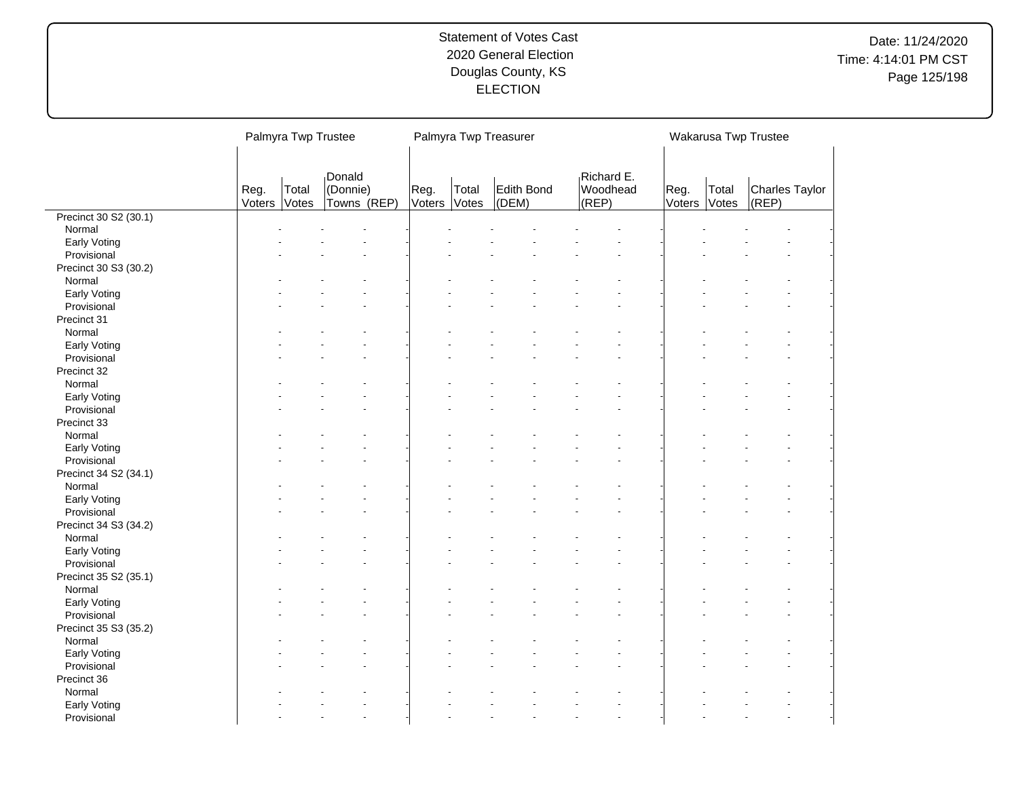# Date: 11/24/2020 Time: 4:14:01 PM CST Page 125/198

|                       | Palmyra Twp Trustee |                |                                   |                |                | Palmyra Twp Treasurer |                                 |                |                | Wakarusa Twp Trustee    |  |
|-----------------------|---------------------|----------------|-----------------------------------|----------------|----------------|-----------------------|---------------------------------|----------------|----------------|-------------------------|--|
|                       |                     |                |                                   |                |                |                       |                                 |                |                |                         |  |
|                       | Reg.<br>Voters      | Total<br>Votes | Donald<br>(Donnie)<br>Towns (REP) | Reg.<br>Voters | Total<br>Votes | Edith Bond<br>(DEM)   | Richard E.<br>Woodhead<br>(REP) | Reg.<br>Voters | Total<br>Votes | Charles Taylor<br>(REP) |  |
| Precinct 30 S2 (30.1) |                     |                |                                   |                |                |                       |                                 |                |                |                         |  |
| Normal                |                     |                |                                   |                |                |                       |                                 |                |                |                         |  |
| Early Voting          |                     |                |                                   |                |                |                       |                                 |                |                |                         |  |
| Provisional           |                     |                |                                   |                |                |                       |                                 |                |                |                         |  |
| Precinct 30 S3 (30.2) |                     |                |                                   |                |                |                       |                                 |                |                |                         |  |
| Normal                |                     |                |                                   |                |                |                       |                                 |                |                |                         |  |
| Early Voting          |                     |                |                                   |                |                |                       |                                 |                |                |                         |  |
| Provisional           |                     |                |                                   |                |                |                       |                                 |                |                |                         |  |
| Precinct 31           |                     |                |                                   |                |                |                       |                                 |                |                |                         |  |
| Normal                |                     |                |                                   |                |                |                       |                                 |                |                |                         |  |
| Early Voting          |                     |                |                                   |                |                |                       |                                 |                |                |                         |  |
| Provisional           |                     |                |                                   |                |                |                       |                                 |                |                |                         |  |
| Precinct 32           |                     |                |                                   |                |                |                       |                                 |                |                |                         |  |
| Normal                |                     |                |                                   |                |                |                       |                                 |                |                |                         |  |
| Early Voting          |                     |                |                                   |                |                |                       |                                 |                |                |                         |  |
| Provisional           |                     |                |                                   |                |                |                       |                                 |                |                |                         |  |
| Precinct 33           |                     |                |                                   |                |                |                       |                                 |                |                |                         |  |
| Normal                |                     |                |                                   |                |                |                       |                                 |                |                |                         |  |
| Early Voting          |                     |                |                                   |                |                |                       |                                 |                |                |                         |  |
| Provisional           |                     |                |                                   |                |                |                       |                                 |                |                |                         |  |
| Precinct 34 S2 (34.1) |                     |                |                                   |                |                |                       |                                 |                |                |                         |  |
| Normal                |                     |                |                                   |                |                |                       |                                 |                |                |                         |  |
| Early Voting          |                     |                |                                   |                |                |                       |                                 |                |                |                         |  |
| Provisional           |                     |                |                                   |                |                |                       |                                 |                |                |                         |  |
| Precinct 34 S3 (34.2) |                     |                |                                   |                |                |                       |                                 |                |                |                         |  |
| Normal                |                     |                |                                   |                |                |                       |                                 |                |                |                         |  |
| Early Voting          |                     |                |                                   |                |                |                       |                                 |                |                |                         |  |
| Provisional           |                     |                |                                   |                |                |                       |                                 |                |                |                         |  |
| Precinct 35 S2 (35.1) |                     |                |                                   |                |                |                       |                                 |                |                |                         |  |
| Normal                |                     |                |                                   |                |                |                       |                                 |                |                |                         |  |
| Early Voting          |                     |                |                                   |                |                |                       |                                 |                |                |                         |  |
| Provisional           |                     |                |                                   |                |                |                       |                                 |                |                |                         |  |
| Precinct 35 S3 (35.2) |                     |                |                                   |                |                |                       |                                 |                |                |                         |  |
| Normal                |                     |                |                                   |                |                |                       |                                 |                |                |                         |  |
| Early Voting          |                     |                |                                   |                |                |                       |                                 |                |                |                         |  |
| Provisional           |                     |                |                                   |                |                |                       |                                 |                |                |                         |  |
| Precinct 36           |                     |                |                                   |                |                |                       |                                 |                |                |                         |  |
| Normal                |                     |                |                                   |                |                |                       |                                 |                |                |                         |  |
|                       |                     |                |                                   |                |                |                       |                                 |                |                |                         |  |
| Early Voting          |                     |                |                                   |                |                |                       | $\overline{a}$                  |                |                |                         |  |
| Provisional           |                     |                |                                   |                |                |                       |                                 |                |                |                         |  |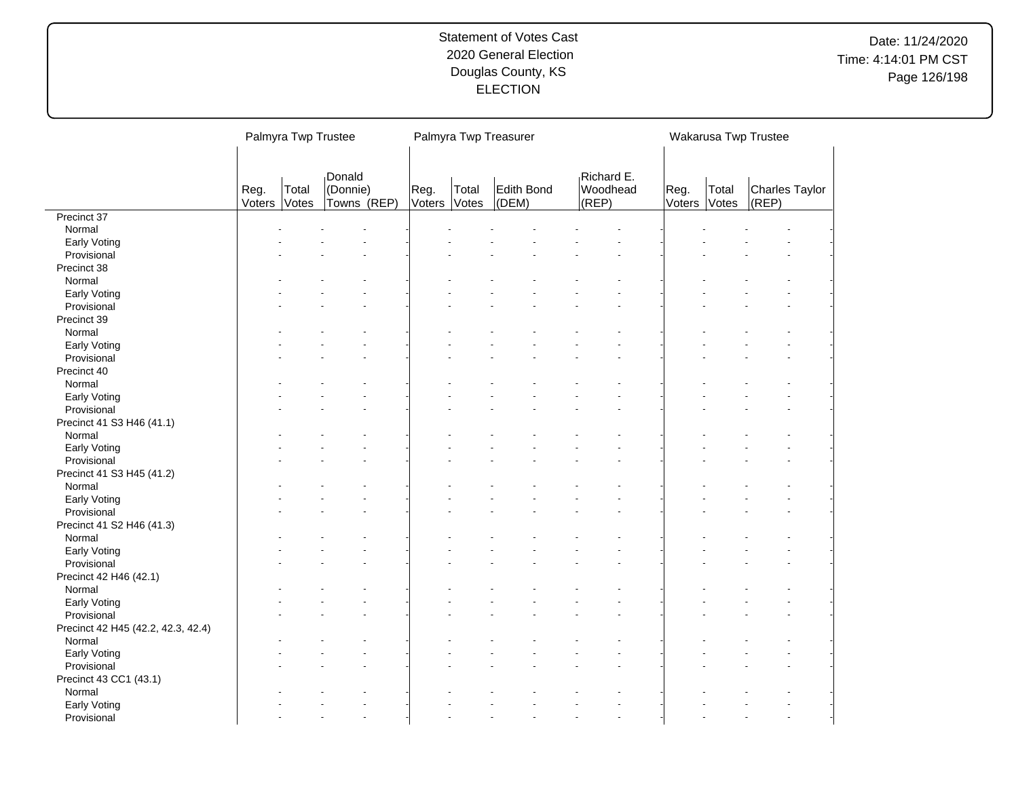# Date: 11/24/2020 Time: 4:14:01 PM CST Page 126/198

|                                    |                | Palmyra Twp Trustee |                                   |                |                | Palmyra Twp Treasurer |                                 |                |                | Wakarusa Twp Trustee    |
|------------------------------------|----------------|---------------------|-----------------------------------|----------------|----------------|-----------------------|---------------------------------|----------------|----------------|-------------------------|
|                                    | Reg.<br>Voters | Total<br>Votes      | Donald<br>(Donnie)<br>Towns (REP) | Reg.<br>Voters | Total<br>Votes | Edith Bond<br>(DEM)   | Richard E.<br>Woodhead<br>(REP) | Reg.<br>Voters | Total<br>Votes | Charles Taylor<br>(REP) |
| Precinct 37                        |                |                     |                                   |                |                |                       |                                 |                |                |                         |
| Normal                             |                |                     |                                   |                |                |                       |                                 |                |                |                         |
| Early Voting                       |                |                     |                                   |                |                |                       |                                 |                |                |                         |
| Provisional                        |                |                     |                                   |                |                |                       |                                 |                |                |                         |
| Precinct 38                        |                |                     |                                   |                |                |                       |                                 |                |                |                         |
| Normal                             |                |                     |                                   |                |                |                       |                                 |                |                |                         |
| Early Voting                       |                |                     |                                   |                |                |                       |                                 |                |                |                         |
| Provisional                        |                |                     |                                   |                |                |                       |                                 |                |                |                         |
| Precinct 39                        |                |                     |                                   |                |                |                       |                                 |                |                |                         |
| Normal                             |                |                     |                                   |                |                |                       |                                 |                |                |                         |
| Early Voting                       |                |                     |                                   |                |                |                       |                                 |                |                |                         |
| Provisional                        |                |                     |                                   |                |                |                       |                                 |                |                |                         |
| Precinct 40                        |                |                     |                                   |                |                |                       |                                 |                |                |                         |
| Normal                             |                |                     |                                   |                |                |                       |                                 |                |                |                         |
| Early Voting                       |                |                     |                                   |                |                |                       |                                 |                |                |                         |
| Provisional                        |                |                     |                                   |                |                |                       |                                 |                |                |                         |
| Precinct 41 S3 H46 (41.1)          |                |                     |                                   |                |                |                       |                                 |                |                |                         |
| Normal                             |                |                     |                                   |                |                |                       |                                 |                |                |                         |
| Early Voting                       |                |                     |                                   |                |                |                       |                                 |                |                |                         |
| Provisional                        |                |                     |                                   |                |                |                       |                                 |                |                |                         |
| Precinct 41 S3 H45 (41.2)          |                |                     |                                   |                |                |                       |                                 |                |                |                         |
| Normal                             |                |                     |                                   |                |                |                       |                                 |                |                |                         |
| Early Voting                       |                |                     |                                   |                |                |                       |                                 |                |                |                         |
| Provisional                        |                |                     |                                   |                |                |                       |                                 |                |                |                         |
| Precinct 41 S2 H46 (41.3)          |                |                     |                                   |                |                |                       |                                 |                |                |                         |
| Normal                             |                |                     |                                   |                |                |                       |                                 |                |                |                         |
| Early Voting                       |                |                     |                                   |                |                |                       |                                 |                |                |                         |
| Provisional                        |                |                     |                                   |                |                |                       |                                 |                |                |                         |
| Precinct 42 H46 (42.1)             |                |                     |                                   |                |                |                       |                                 |                |                |                         |
| Normal                             |                |                     |                                   |                |                |                       |                                 |                |                |                         |
| Early Voting                       |                |                     |                                   |                |                |                       |                                 |                |                |                         |
| Provisional                        |                |                     |                                   |                |                |                       |                                 |                |                |                         |
| Precinct 42 H45 (42.2, 42.3, 42.4) |                |                     |                                   |                |                |                       |                                 |                |                |                         |
| Normal                             |                |                     |                                   |                |                |                       |                                 |                |                |                         |
| Early Voting                       |                |                     |                                   |                |                |                       |                                 |                |                |                         |
| Provisional                        |                |                     |                                   |                |                |                       |                                 |                |                |                         |
| Precinct 43 CC1 (43.1)             |                |                     |                                   |                |                |                       |                                 |                |                |                         |
| Normal                             |                |                     |                                   |                |                |                       |                                 |                |                |                         |
| Early Voting                       |                |                     |                                   |                |                |                       |                                 |                |                |                         |
| Provisional                        |                |                     |                                   |                |                |                       |                                 |                |                |                         |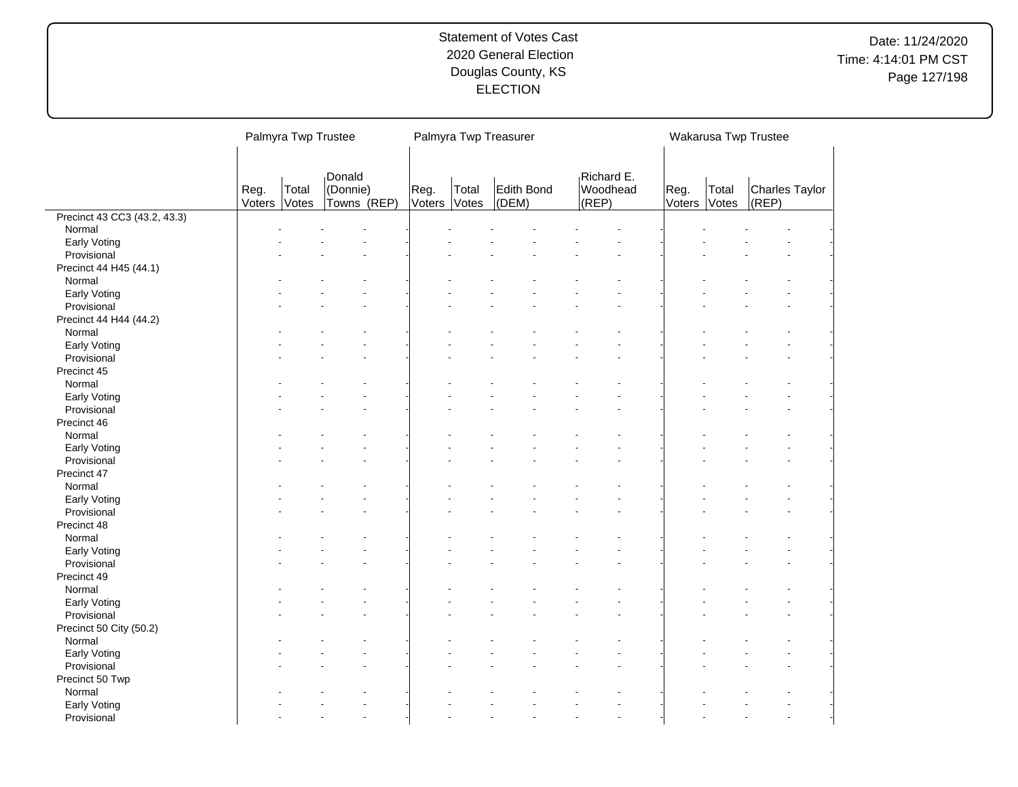|                              |                | Palmyra Twp Trustee                                                   |  |  |  | Palmyra Twp Treasurer |                                 |                |                | Wakarusa Twp Trustee    |
|------------------------------|----------------|-----------------------------------------------------------------------|--|--|--|-----------------------|---------------------------------|----------------|----------------|-------------------------|
|                              | Reg.<br>Voters | Donald<br>(Donnie)<br>Reg.<br>Total<br>Towns (REP)<br>Voters<br>Votes |  |  |  | Edith Bond<br>(DEM)   | Richard E.<br>Woodhead<br>(REP) | Reg.<br>Voters | Total<br>Votes | Charles Taylor<br>(REP) |
| Precinct 43 CC3 (43.2, 43.3) |                |                                                                       |  |  |  |                       |                                 |                |                |                         |
| Normal                       |                |                                                                       |  |  |  |                       |                                 |                |                |                         |
| Early Voting                 |                |                                                                       |  |  |  |                       |                                 |                |                |                         |
| Provisional                  |                |                                                                       |  |  |  |                       |                                 |                |                |                         |
| Precinct 44 H45 (44.1)       |                |                                                                       |  |  |  |                       |                                 |                |                |                         |
| Normal                       |                |                                                                       |  |  |  |                       |                                 |                |                |                         |
| Early Voting                 |                |                                                                       |  |  |  |                       |                                 |                |                |                         |
| Provisional                  |                |                                                                       |  |  |  |                       |                                 |                |                |                         |
| Precinct 44 H44 (44.2)       |                |                                                                       |  |  |  |                       |                                 |                |                |                         |
| Normal                       |                |                                                                       |  |  |  |                       |                                 |                |                |                         |
| Early Voting                 |                |                                                                       |  |  |  |                       |                                 |                |                |                         |
| Provisional                  |                |                                                                       |  |  |  |                       |                                 |                |                |                         |
| Precinct 45                  |                |                                                                       |  |  |  |                       |                                 |                |                |                         |
| Normal                       |                |                                                                       |  |  |  |                       |                                 |                |                |                         |
| Early Voting                 |                |                                                                       |  |  |  |                       |                                 |                |                |                         |
| Provisional                  |                |                                                                       |  |  |  |                       |                                 |                |                |                         |
| Precinct 46                  |                |                                                                       |  |  |  |                       |                                 |                |                |                         |
| Normal                       |                |                                                                       |  |  |  |                       |                                 |                |                |                         |
| Early Voting                 |                |                                                                       |  |  |  |                       |                                 |                |                |                         |
| Provisional                  |                |                                                                       |  |  |  |                       |                                 |                |                |                         |
| Precinct 47                  |                |                                                                       |  |  |  |                       |                                 |                |                |                         |
| Normal                       |                |                                                                       |  |  |  |                       |                                 |                |                |                         |
| Early Voting                 |                |                                                                       |  |  |  |                       |                                 |                |                |                         |
| Provisional                  |                |                                                                       |  |  |  |                       |                                 |                |                |                         |
| Precinct 48                  |                |                                                                       |  |  |  |                       |                                 |                |                |                         |
| Normal                       |                |                                                                       |  |  |  |                       |                                 |                |                |                         |
| Early Voting                 |                |                                                                       |  |  |  |                       |                                 |                |                |                         |
| Provisional                  |                |                                                                       |  |  |  |                       |                                 |                |                |                         |
| Precinct 49                  |                |                                                                       |  |  |  |                       |                                 |                |                |                         |
| Normal                       |                |                                                                       |  |  |  |                       |                                 |                |                |                         |
| Early Voting                 |                |                                                                       |  |  |  |                       |                                 |                |                |                         |
| Provisional                  |                |                                                                       |  |  |  |                       |                                 |                |                |                         |
| Precinct 50 City (50.2)      |                |                                                                       |  |  |  |                       |                                 |                |                |                         |
| Normal                       |                |                                                                       |  |  |  |                       |                                 |                |                |                         |
| Early Voting                 |                |                                                                       |  |  |  |                       |                                 |                |                |                         |
| Provisional                  |                |                                                                       |  |  |  |                       |                                 |                |                |                         |
| Precinct 50 Twp              |                |                                                                       |  |  |  |                       |                                 |                |                |                         |
| Normal                       |                |                                                                       |  |  |  |                       |                                 |                |                |                         |
| Early Voting                 |                |                                                                       |  |  |  |                       |                                 |                |                |                         |
| Provisional                  |                |                                                                       |  |  |  |                       |                                 |                |                |                         |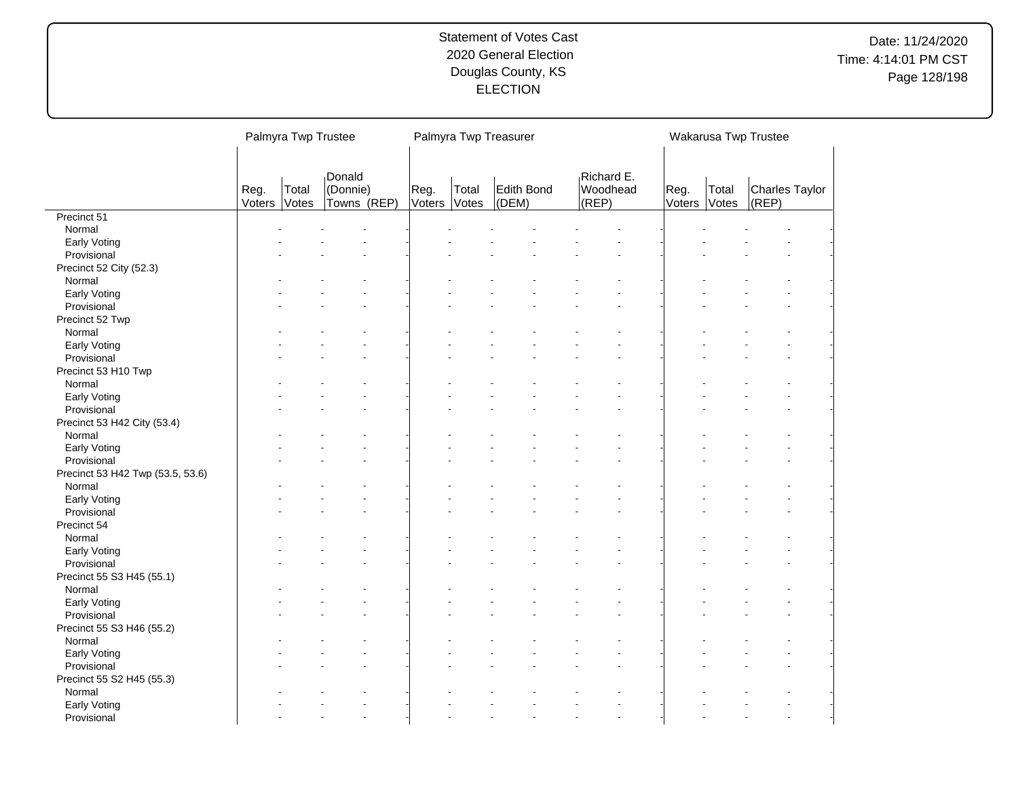# Date: 11/24/2020 Time: 4:14:01 PM CST Page 128/198

|                                  |                | Palmyra Twp Trustee |                                   |                |                | Palmyra Twp Treasurer |                                 |                |                | Wakarusa Twp Trustee    |  |
|----------------------------------|----------------|---------------------|-----------------------------------|----------------|----------------|-----------------------|---------------------------------|----------------|----------------|-------------------------|--|
|                                  | Reg.<br>Voters | Total<br>Votes      | Donald<br>(Donnie)<br>Towns (REP) | Reg.<br>Voters | Total<br>Votes | Edith Bond<br>(DEM)   | Richard E.<br>Woodhead<br>(REP) | Reg.<br>Voters | Total<br>Votes | Charles Taylor<br>(REP) |  |
| Precinct 51                      |                |                     |                                   |                |                |                       |                                 |                |                |                         |  |
| Normal                           |                |                     |                                   |                |                |                       |                                 |                |                |                         |  |
| Early Voting                     |                |                     |                                   |                |                |                       |                                 |                |                |                         |  |
| Provisional                      |                |                     |                                   |                |                |                       |                                 |                |                |                         |  |
| Precinct 52 City (52.3)          |                |                     |                                   |                |                |                       |                                 |                |                |                         |  |
| Normal                           |                |                     |                                   |                |                |                       |                                 |                |                |                         |  |
| Early Voting                     |                |                     |                                   |                |                |                       |                                 |                |                |                         |  |
| Provisional                      |                |                     |                                   |                |                |                       |                                 |                |                |                         |  |
| Precinct 52 Twp                  |                |                     |                                   |                |                |                       |                                 |                |                |                         |  |
| Normal                           |                |                     |                                   |                |                |                       |                                 |                |                |                         |  |
| Early Voting                     |                |                     |                                   |                |                |                       |                                 |                |                |                         |  |
| Provisional                      |                |                     |                                   |                |                |                       |                                 |                |                |                         |  |
| Precinct 53 H10 Twp              |                |                     |                                   |                |                |                       |                                 |                |                |                         |  |
| Normal                           |                |                     |                                   |                |                |                       |                                 |                |                |                         |  |
| Early Voting                     |                |                     |                                   |                |                |                       |                                 |                |                |                         |  |
| Provisional                      |                |                     |                                   |                |                |                       |                                 |                |                |                         |  |
| Precinct 53 H42 City (53.4)      |                |                     |                                   |                |                |                       |                                 |                |                |                         |  |
| Normal                           |                |                     |                                   |                |                |                       |                                 |                |                |                         |  |
| Early Voting                     |                |                     |                                   |                |                |                       |                                 |                |                |                         |  |
| Provisional                      |                |                     |                                   |                |                |                       |                                 |                |                |                         |  |
| Precinct 53 H42 Twp (53.5, 53.6) |                |                     |                                   |                |                |                       |                                 |                |                |                         |  |
| Normal                           |                |                     |                                   |                |                |                       |                                 |                |                |                         |  |
| Early Voting                     |                |                     |                                   |                |                |                       |                                 |                |                |                         |  |
| Provisional                      |                |                     |                                   |                |                |                       |                                 |                |                |                         |  |
| Precinct 54                      |                |                     |                                   |                |                |                       |                                 |                |                |                         |  |
| Normal                           |                |                     |                                   |                |                |                       |                                 |                |                |                         |  |
|                                  |                |                     |                                   |                |                |                       |                                 |                |                |                         |  |
| Early Voting                     |                |                     |                                   |                |                |                       |                                 |                |                |                         |  |
| Provisional                      |                |                     |                                   |                |                |                       |                                 |                |                |                         |  |
| Precinct 55 S3 H45 (55.1)        |                |                     |                                   |                |                |                       |                                 |                |                |                         |  |
| Normal                           |                |                     |                                   |                |                |                       |                                 |                |                |                         |  |
| Early Voting                     |                |                     |                                   |                |                |                       |                                 |                |                |                         |  |
| Provisional                      |                |                     |                                   |                |                |                       |                                 |                |                |                         |  |
| Precinct 55 S3 H46 (55.2)        |                |                     |                                   |                |                |                       |                                 |                |                |                         |  |
| Normal                           |                |                     |                                   |                |                |                       |                                 |                |                |                         |  |
| Early Voting                     |                |                     |                                   |                |                |                       |                                 |                |                |                         |  |
| Provisional                      |                |                     |                                   |                |                |                       |                                 |                |                |                         |  |
| Precinct 55 S2 H45 (55.3)        |                |                     |                                   |                |                |                       |                                 |                |                |                         |  |
| Normal                           |                |                     |                                   |                |                |                       |                                 |                |                |                         |  |
| Early Voting                     |                |                     |                                   |                |                |                       |                                 |                |                |                         |  |
| Provisional                      |                |                     |                                   |                |                |                       |                                 |                |                |                         |  |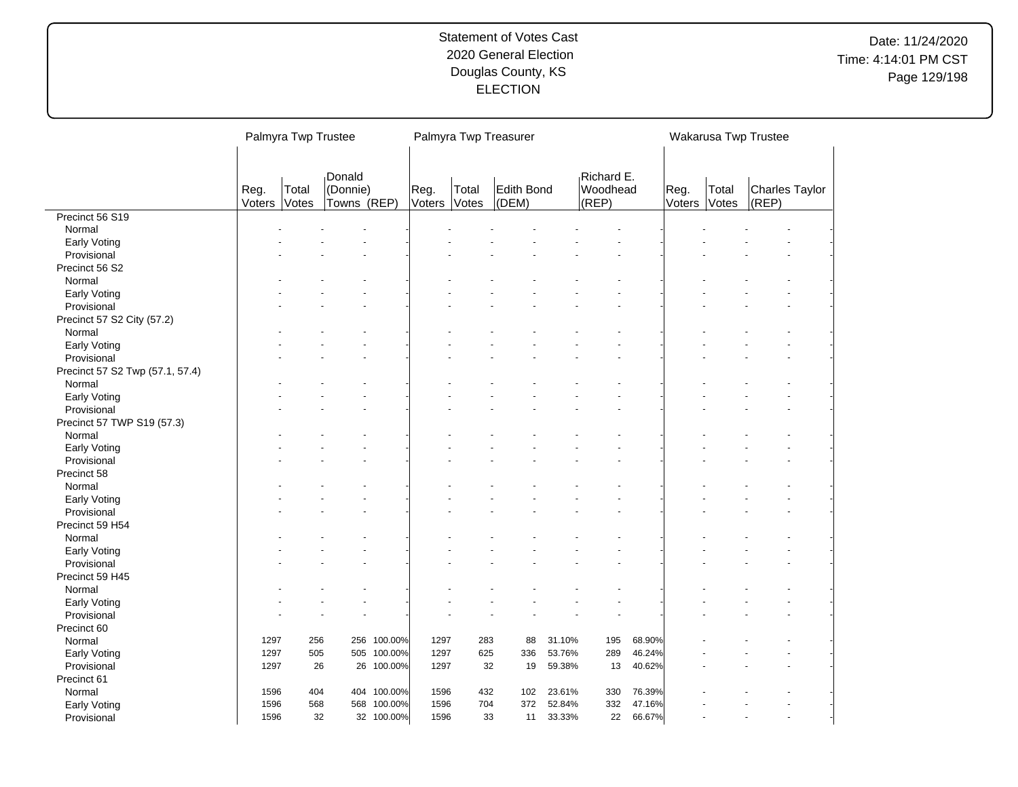# Date: 11/24/2020 Time: 4:14:01 PM CST Page 129/198

|                                 | Palmyra Twp Trustee |                |                         |            |                |                | Palmyra Twp Treasurer |        |                   |        |                |                | Wakarusa Twp Trustee |                |
|---------------------------------|---------------------|----------------|-------------------------|------------|----------------|----------------|-----------------------|--------|-------------------|--------|----------------|----------------|----------------------|----------------|
|                                 |                     |                |                         |            |                |                |                       |        |                   |        |                |                |                      |                |
|                                 |                     |                | Donald                  |            |                |                |                       |        | Richard E.        |        |                |                |                      |                |
|                                 | Reg.<br>Voters      | Total<br>Votes | (Donnie)<br>Towns (REP) |            | Reg.<br>Voters | Total<br>Votes | Edith Bond<br>(DEM)   |        | Woodhead<br>(REP) |        | Reg.<br>Voters | Total<br>Votes | $ $ (REP)            | Charles Taylor |
| Precinct 56 S19                 |                     |                |                         |            |                |                |                       |        |                   |        |                |                |                      |                |
| Normal                          |                     |                |                         |            |                |                |                       |        |                   |        |                |                |                      |                |
| Early Voting                    |                     |                |                         |            |                |                |                       |        |                   |        |                |                |                      |                |
| Provisional                     |                     |                |                         |            |                |                |                       |        |                   |        |                |                |                      |                |
| Precinct 56 S2                  |                     |                |                         |            |                |                |                       |        |                   |        |                |                |                      |                |
| Normal                          |                     |                |                         |            |                |                |                       |        |                   |        |                |                |                      |                |
| Early Voting                    |                     |                |                         |            |                |                |                       |        |                   |        |                |                |                      |                |
| Provisional                     |                     |                |                         |            |                |                |                       |        |                   |        |                |                |                      |                |
| Precinct 57 S2 City (57.2)      |                     |                |                         |            |                |                |                       |        |                   |        |                |                |                      |                |
| Normal                          |                     |                |                         |            |                |                |                       |        |                   |        |                |                |                      |                |
| Early Voting                    |                     |                |                         |            |                |                |                       |        |                   |        |                |                |                      |                |
| Provisional                     |                     |                |                         |            |                |                |                       |        |                   |        |                |                |                      |                |
| Precinct 57 S2 Twp (57.1, 57.4) |                     |                |                         |            |                |                |                       |        |                   |        |                |                |                      |                |
| Normal                          |                     |                |                         |            |                |                |                       |        |                   |        |                |                |                      |                |
| Early Voting                    |                     |                |                         |            |                |                |                       |        |                   |        |                |                |                      |                |
| Provisional                     |                     |                |                         |            |                |                |                       |        |                   |        |                |                |                      |                |
| Precinct 57 TWP S19 (57.3)      |                     |                |                         |            |                |                |                       |        |                   |        |                |                |                      |                |
| Normal                          |                     |                |                         |            |                |                |                       |        |                   |        |                |                |                      |                |
| Early Voting                    |                     |                |                         |            |                |                |                       |        |                   |        |                |                |                      |                |
| Provisional                     |                     |                |                         |            |                |                |                       |        |                   |        |                |                |                      |                |
| Precinct 58                     |                     |                |                         |            |                |                |                       |        |                   |        |                |                |                      |                |
| Normal                          |                     |                |                         |            |                |                |                       |        |                   |        |                |                |                      |                |
| Early Voting                    |                     |                |                         |            |                |                |                       |        |                   |        |                |                |                      |                |
| Provisional                     |                     |                |                         |            |                |                |                       |        |                   |        |                |                |                      |                |
| Precinct 59 H54                 |                     |                |                         |            |                |                |                       |        |                   |        |                |                |                      |                |
| Normal                          |                     |                |                         |            |                |                |                       |        |                   |        |                |                |                      |                |
| Early Voting                    |                     |                |                         |            |                |                |                       |        |                   |        |                |                |                      |                |
| Provisional                     |                     |                |                         |            |                |                |                       |        |                   |        |                |                |                      |                |
| Precinct 59 H45                 |                     |                |                         |            |                |                |                       |        |                   |        |                |                |                      |                |
| Normal                          |                     |                |                         |            |                |                |                       |        |                   |        |                |                |                      |                |
| Early Voting                    |                     |                |                         |            |                |                |                       |        |                   |        |                |                |                      |                |
| Provisional                     |                     |                |                         |            |                |                |                       |        |                   |        |                |                |                      |                |
| Precinct 60                     |                     |                |                         |            |                |                |                       |        |                   |        |                |                |                      |                |
| Normal                          | 1297                | 256            | 256                     | 100.00%    | 1297           | 283            | 88                    | 31.10% | 195               | 68.90% |                |                |                      |                |
| Early Voting                    | 1297                | 505            | 505                     | 100.00%    | 1297           | 625            | 336                   | 53.76% | 289               | 46.24% |                |                |                      |                |
| Provisional                     | 1297                | 26             |                         | 26 100.00% | 1297           | 32             | 19                    | 59.38% | 13                | 40.62% |                |                |                      |                |
| Precinct 61                     |                     |                |                         |            |                |                |                       |        |                   |        |                |                |                      |                |
| Normal                          | 1596                | 404            | 404                     | 100.00%    | 1596           | 432            | 102                   | 23.61% | 330               | 76.39% |                |                |                      |                |
| Early Voting                    | 1596                | 568            | 568                     | 100.00%    | 1596           | 704            | 372                   | 52.84% | 332               | 47.16% |                |                |                      |                |
| Provisional                     | 1596                | 32             |                         | 32 100.00% | 1596           | 33             | 11                    | 33.33% | 22                | 66.67% |                |                |                      |                |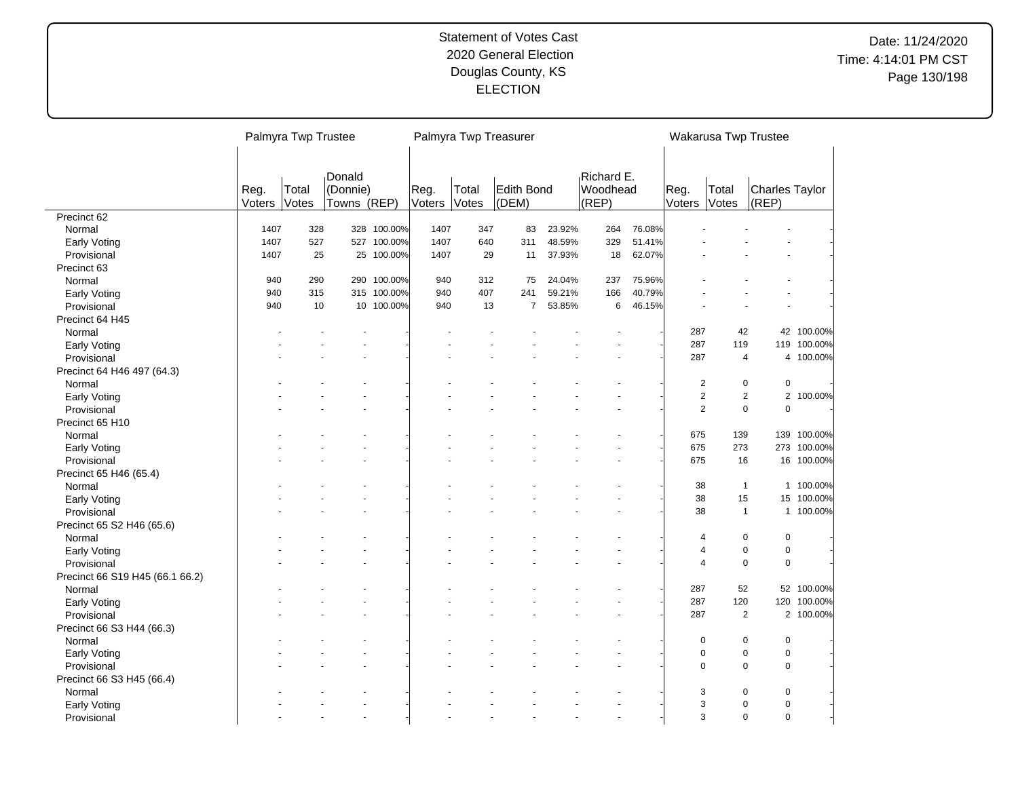|                                     |                | Palmyra Twp Trustee |                                   |             |                |                | Palmyra Twp Treasurer |        |                                 |        |                | Wakarusa Twp Trustee |                         |             |
|-------------------------------------|----------------|---------------------|-----------------------------------|-------------|----------------|----------------|-----------------------|--------|---------------------------------|--------|----------------|----------------------|-------------------------|-------------|
|                                     | Reg.<br>Voters | Total<br>Votes      | Donald<br>(Donnie)<br>Towns (REP) |             | Reg.<br>Voters | Total<br>Votes | Edith Bond<br>(DEM)   |        | Richard E.<br>Woodhead<br>(REP) |        | Reg.<br>Voters | Total<br>Votes       | Charles Taylor<br>(REP) |             |
| Precinct 62                         |                |                     |                                   |             |                |                |                       |        |                                 |        |                |                      |                         |             |
| Normal                              | 1407           | 328                 |                                   | 328 100.00% | 1407           | 347            | 83                    | 23.92% | 264                             | 76.08% |                |                      |                         |             |
| Early Voting                        | 1407           | 527                 |                                   | 527 100.00% | 1407           | 640            | 311                   | 48.59% | 329                             | 51.41% |                |                      |                         |             |
| Provisional                         | 1407           | 25                  | 25                                | 100.00%     | 1407           | 29             | 11                    | 37.93% | 18                              | 62.07% |                |                      |                         |             |
| Precinct 63                         |                |                     |                                   |             |                |                |                       |        |                                 |        |                |                      |                         |             |
| Normal                              | 940            | 290                 |                                   | 290 100.00% | 940            | 312            | 75                    | 24.04% | 237                             | 75.96% |                |                      |                         |             |
| Early Voting                        | 940            | 315                 |                                   | 315 100.00% | 940            | 407            | 241                   | 59.21% | 166                             | 40.79% |                |                      |                         |             |
| Provisional                         | 940            | 10                  |                                   | 10 100.00%  | 940            | 13             | $\overline{7}$        | 53.85% | 6                               | 46.15% |                |                      |                         |             |
| Precinct 64 H45                     |                |                     |                                   |             |                |                |                       |        |                                 |        |                |                      |                         |             |
| Normal                              |                |                     |                                   |             |                |                |                       |        |                                 |        | 287            | 42                   |                         | 42 100.00%  |
| Early Voting                        |                |                     |                                   |             |                |                |                       |        |                                 |        | 287            | 119                  |                         | 119 100.00% |
| Provisional                         |                |                     |                                   |             |                |                |                       |        |                                 |        | 287            | 4                    |                         | 4 100.00%   |
| Precinct 64 H46 497 (64.3)          |                |                     |                                   |             |                |                |                       |        |                                 |        |                |                      |                         |             |
| Normal                              |                |                     |                                   |             |                |                |                       |        |                                 |        | $\overline{c}$ | $\pmb{0}$            | $\pmb{0}$               |             |
| Early Voting                        |                |                     |                                   |             |                |                |                       |        |                                 |        |                | 2<br>$\mathbf{2}$    |                         | 2 100.00%   |
| Provisional                         |                |                     |                                   |             |                |                |                       |        |                                 |        |                | 2<br>$\mathbf 0$     | $\mathbf 0$             |             |
| Precinct 65 H10                     |                |                     |                                   |             |                |                |                       |        |                                 |        |                |                      |                         |             |
| Normal                              |                |                     |                                   |             |                |                |                       |        |                                 |        | 675            | 139                  |                         | 139 100.00% |
| Early Voting                        |                |                     |                                   |             |                |                |                       |        |                                 |        | 675            | 273                  |                         | 273 100.00% |
| Provisional                         |                |                     |                                   |             |                |                |                       |        |                                 |        | 675            | 16                   |                         | 16 100.00%  |
| Precinct 65 H46 (65.4)              |                |                     |                                   |             |                |                |                       |        |                                 |        |                |                      |                         |             |
| Normal                              |                |                     |                                   |             |                |                |                       |        |                                 |        | 38             | $\mathbf{1}$         |                         | 1 100.00%   |
| Early Voting                        |                |                     |                                   |             |                |                |                       |        |                                 |        | 38             | 15                   | 15                      | 100.00%     |
| Provisional                         |                |                     |                                   |             |                |                |                       |        |                                 |        | 38             | $\mathbf{1}$         |                         | 1 100.00%   |
|                                     |                |                     |                                   |             |                |                |                       |        |                                 |        |                |                      |                         |             |
| Precinct 65 S2 H46 (65.6)<br>Normal |                |                     |                                   |             |                |                |                       |        |                                 |        | $\overline{4}$ | $\pmb{0}$            | $\mathbf 0$             |             |
|                                     |                |                     |                                   |             |                |                |                       |        |                                 |        | $\overline{4}$ | $\mathbf 0$          | $\mathbf 0$             |             |
| Early Voting                        |                |                     |                                   |             |                |                |                       |        |                                 |        |                | $\mathbf 0$          |                         |             |
| Provisional                         |                |                     |                                   |             |                |                |                       |        |                                 |        | 4              |                      | $\mathbf 0$             |             |
| Precinct 66 S19 H45 (66.1 66.2)     |                |                     |                                   |             |                |                |                       |        |                                 |        |                |                      |                         |             |
| Normal                              |                |                     |                                   |             |                |                |                       |        |                                 |        | 287            | 52                   |                         | 52 100.00%  |
| Early Voting                        |                |                     |                                   |             |                |                |                       |        |                                 |        | 287            | 120                  |                         | 120 100.00% |
| Provisional                         |                |                     |                                   |             |                |                |                       |        |                                 |        | 287            | $\overline{2}$       |                         | 2 100.00%   |
| Precinct 66 S3 H44 (66.3)           |                |                     |                                   |             |                |                |                       |        |                                 |        |                |                      |                         |             |
| Normal                              |                |                     |                                   |             |                |                |                       |        |                                 |        | 0              | 0                    | $\mathbf 0$             |             |
| Early Voting                        |                |                     |                                   |             |                |                |                       |        |                                 |        | $\mathbf 0$    | $\pmb{0}$            | $\mathbf 0$             |             |
| Provisional                         |                |                     |                                   |             |                |                |                       |        |                                 |        | $\mathbf 0$    | $\mathbf 0$          | $\mathbf 0$             |             |
| Precinct 66 S3 H45 (66.4)           |                |                     |                                   |             |                |                |                       |        |                                 |        |                |                      |                         |             |
| Normal                              |                |                     |                                   |             |                |                |                       |        |                                 |        | 3              | $\pmb{0}$            | $\pmb{0}$               |             |
| Early Voting                        |                |                     |                                   |             |                |                |                       |        |                                 |        | 3              | $\mathbf 0$          | $\mathbf 0$             |             |
| Provisional                         |                |                     |                                   |             |                |                |                       |        |                                 |        |                | 3<br>$\Omega$        | $\Omega$                |             |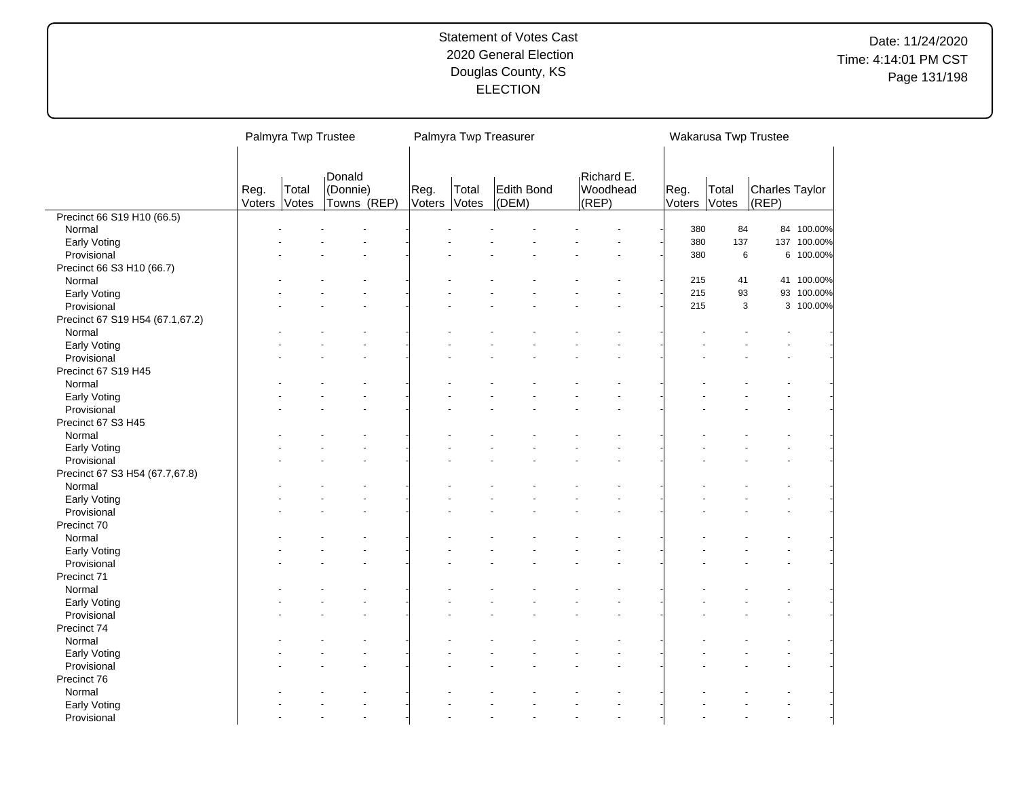# Date: 11/24/2020 Time: 4:14:01 PM CST Page 131/198

|                                 |                | Palmyra Twp Trustee |                         |                |                | Palmyra Twp Treasurer |                   |                | Wakarusa Twp Trustee |                                |             |
|---------------------------------|----------------|---------------------|-------------------------|----------------|----------------|-----------------------|-------------------|----------------|----------------------|--------------------------------|-------------|
|                                 |                |                     |                         |                |                |                       |                   |                |                      |                                |             |
|                                 |                |                     | Donald                  |                |                |                       | Richard E.        |                |                      |                                |             |
|                                 | Reg.<br>Voters | Total<br>Votes      | (Donnie)<br>Towns (REP) | Reg.<br>Voters | Total<br>Votes | Edith Bond<br>(DEM)   | Woodhead<br>(REP) | Reg.<br>Voters | Total<br>Votes       | <b>Charles Taylor</b><br>(REP) |             |
| Precinct 66 S19 H10 (66.5)      |                |                     |                         |                |                |                       |                   |                |                      |                                |             |
| Normal                          |                |                     |                         |                |                |                       |                   | 380            | 84                   |                                | 84 100.00%  |
| <b>Early Voting</b>             |                |                     |                         |                |                |                       |                   | 380            | 137                  |                                | 137 100.00% |
| Provisional                     |                |                     |                         |                |                |                       |                   | 380            | 6                    |                                | 6 100.00%   |
| Precinct 66 S3 H10 (66.7)       |                |                     |                         |                |                |                       |                   |                |                      |                                |             |
| Normal                          |                |                     |                         |                |                |                       |                   | 215            | 41                   |                                | 41 100.00%  |
| Early Voting                    |                |                     |                         |                |                |                       |                   | 215            | 93                   |                                | 93 100.00%  |
| Provisional                     |                |                     |                         |                |                |                       |                   | 215            | 3                    |                                | 3 100.00%   |
| Precinct 67 S19 H54 (67.1,67.2) |                |                     |                         |                |                |                       |                   |                |                      |                                |             |
| Normal                          |                |                     |                         |                |                |                       |                   |                |                      |                                |             |
| Early Voting                    |                |                     |                         |                |                |                       |                   |                |                      |                                |             |
| Provisional                     |                |                     |                         |                |                |                       |                   |                |                      |                                |             |
| Precinct 67 S19 H45             |                |                     |                         |                |                |                       |                   |                |                      |                                |             |
| Normal                          |                |                     |                         |                |                |                       |                   |                |                      |                                |             |
| Early Voting                    |                |                     |                         |                |                |                       |                   |                |                      |                                |             |
| Provisional                     |                |                     |                         |                |                |                       |                   |                |                      |                                |             |
| Precinct 67 S3 H45              |                |                     |                         |                |                |                       |                   |                |                      |                                |             |
| Normal                          |                |                     |                         |                |                |                       |                   |                |                      |                                |             |
| Early Voting                    |                |                     |                         |                |                |                       |                   |                |                      |                                |             |
| Provisional                     |                |                     |                         |                |                |                       |                   |                |                      |                                |             |
| Precinct 67 S3 H54 (67.7,67.8)  |                |                     |                         |                |                |                       |                   |                |                      |                                |             |
| Normal                          |                |                     |                         |                |                |                       |                   |                |                      |                                |             |
| Early Voting                    |                |                     |                         |                |                |                       |                   |                |                      |                                |             |
| Provisional                     |                |                     |                         |                |                |                       |                   |                |                      |                                |             |
| Precinct 70                     |                |                     |                         |                |                |                       |                   |                |                      |                                |             |
| Normal                          |                |                     |                         |                |                |                       |                   |                |                      |                                |             |
| Early Voting                    |                |                     |                         |                |                |                       |                   |                |                      |                                |             |
| Provisional                     |                |                     |                         |                |                |                       |                   |                |                      |                                |             |
| Precinct 71                     |                |                     |                         |                |                |                       |                   |                |                      |                                |             |
| Normal                          |                |                     |                         |                |                |                       |                   |                |                      |                                |             |
| Early Voting                    |                |                     |                         |                |                |                       |                   |                |                      |                                |             |
| Provisional                     |                |                     |                         |                |                |                       |                   |                |                      |                                |             |
| Precinct 74                     |                |                     |                         |                |                |                       |                   |                |                      |                                |             |
| Normal                          |                |                     |                         |                |                |                       |                   |                |                      |                                |             |
| Early Voting                    |                |                     |                         |                |                |                       |                   |                |                      |                                |             |
| Provisional                     |                |                     |                         |                |                |                       |                   |                |                      |                                |             |
| Precinct 76                     |                |                     |                         |                |                |                       |                   |                |                      |                                |             |
| Normal                          |                |                     |                         |                |                |                       |                   |                |                      |                                |             |
| Early Voting                    |                |                     |                         |                |                |                       |                   |                |                      |                                |             |
| Provisional                     |                |                     | $\overline{a}$          |                |                |                       |                   |                |                      |                                |             |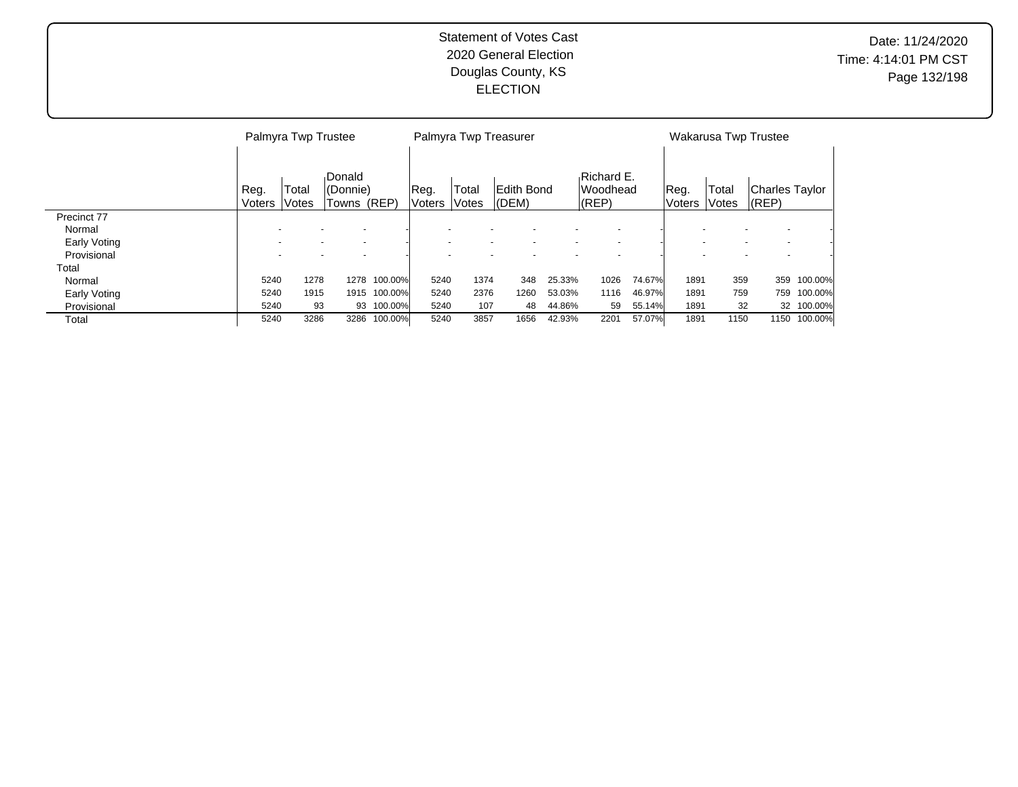|                     |                | Palmyra Twp Trustee      |                                    |            |                       |                          | Palmyra Twp Treasurer |        |                                        |        |                          |                | Wakarusa Twp Trustee                                 |            |
|---------------------|----------------|--------------------------|------------------------------------|------------|-----------------------|--------------------------|-----------------------|--------|----------------------------------------|--------|--------------------------|----------------|------------------------------------------------------|------------|
|                     | Reg.<br>Voters | Total<br>Votes           | Donald<br>l(Donnie)<br>Towns (REP) |            | Reg.<br><b>Voters</b> | Total<br>Votes           | Edith Bond<br>(DEM)   |        | Richard E.<br><b>Woodhead</b><br>(REP) |        | Reg.<br><b>Voters</b>    | Total<br>Votes | Charles Taylor<br>$ $ (REP)                          |            |
| Precinct 77         |                |                          |                                    |            |                       |                          |                       |        |                                        |        |                          |                |                                                      |            |
| Normal              |                |                          |                                    |            |                       |                          |                       |        |                                        |        |                          |                | $\overline{\phantom{0}}$<br>$\overline{\phantom{0}}$ |            |
| <b>Early Voting</b> |                |                          |                                    |            |                       | $\overline{\phantom{0}}$ |                       |        |                                        |        |                          |                | $\overline{\phantom{a}}$<br>$\overline{\phantom{a}}$ |            |
| Provisional         |                | $\overline{\phantom{0}}$ |                                    |            |                       | $\overline{\phantom{0}}$ |                       |        |                                        |        | $\overline{\phantom{a}}$ |                | $\overline{\phantom{a}}$<br>$\overline{\phantom{0}}$ |            |
| Total               |                |                          |                                    |            |                       |                          |                       |        |                                        |        |                          |                |                                                      |            |
| Normal              | 5240           | 1278                     | 1278                               | 100.00%    | 5240                  | 1374                     | 348                   | 25.33% | 1026                                   | 74.67% | 1891                     | 359            | 359                                                  | 100.00%    |
| Early Voting        | 5240           | 1915                     | 1915                               | 100.00%    | 5240                  | 2376                     | 1260                  | 53.03% | 1116                                   | 46.97% | 1891                     | 759            | 759                                                  | 100.00%    |
| Provisional         | 5240           | 93                       |                                    | 93 100.00% | 5240                  | 107                      | 48                    | 44.86% | 59                                     | 55.14% | 1891                     | 32             |                                                      | 32 100.00% |
| Total               | 5240           | 3286                     | 3286                               | 100.00%    | 5240                  | 3857                     | 1656                  | 42.93% | 2201                                   | 57.07% | 1891                     | 1150           | 1150                                                 | 100.00%    |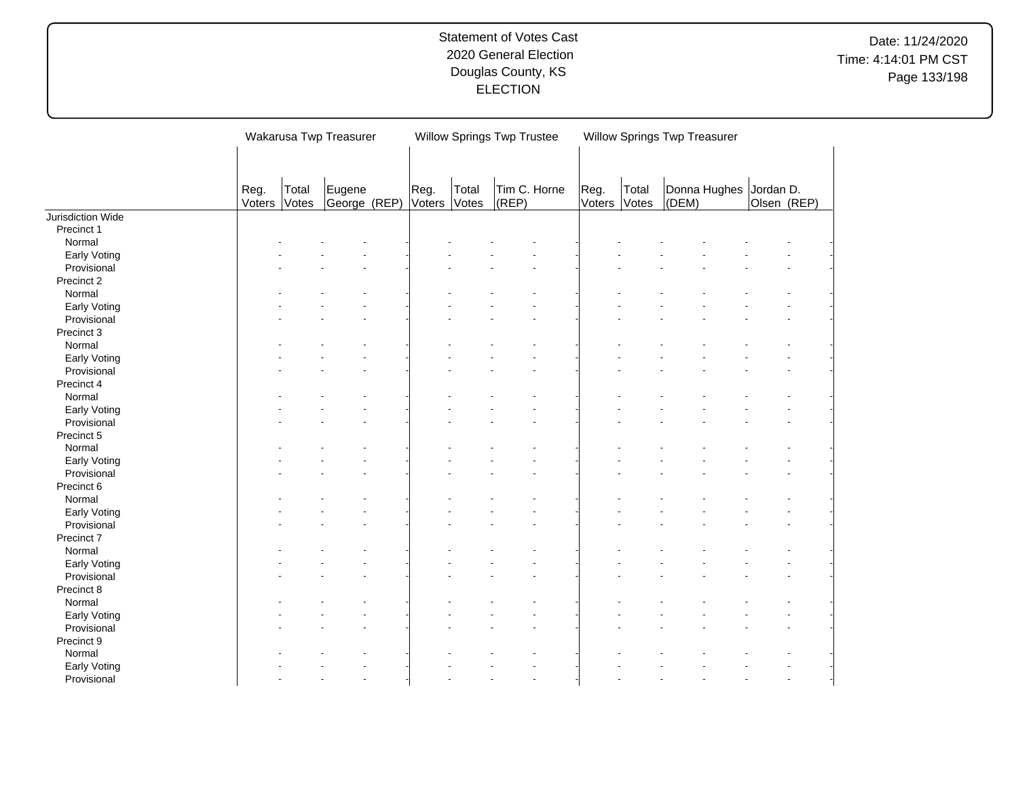|                   |                |                | Wakarusa Twp Treasurer |                |                | <b>Willow Springs Twp Trustee</b> |                      |                | Willow Springs Twp Treasurer |       |              |                          |  |
|-------------------|----------------|----------------|------------------------|----------------|----------------|-----------------------------------|----------------------|----------------|------------------------------|-------|--------------|--------------------------|--|
|                   |                |                |                        |                |                |                                   |                      |                |                              |       |              |                          |  |
|                   |                |                |                        |                |                |                                   |                      |                |                              |       |              |                          |  |
|                   | Reg.<br>Voters | Total<br>Votes | Eugene<br>George (REP) | Reg.<br>Voters | Total<br>Votes | Tim C. Horne<br>(REP)             |                      | Reg.<br>Voters | Total<br>Votes               | (DEM) | Donna Hughes | Jordan D.<br>Olsen (REP) |  |
| Jurisdiction Wide |                |                |                        |                |                |                                   |                      |                |                              |       |              |                          |  |
| Precinct 1        |                |                |                        |                |                |                                   |                      |                |                              |       |              |                          |  |
| Normal            |                |                |                        |                |                |                                   |                      |                |                              |       |              |                          |  |
| Early Voting      |                |                |                        |                |                |                                   |                      |                |                              |       |              |                          |  |
| Provisional       |                |                |                        |                |                |                                   |                      |                |                              |       |              |                          |  |
| Precinct 2        |                |                |                        |                |                |                                   |                      |                |                              |       |              |                          |  |
| Normal            |                |                |                        |                |                |                                   |                      |                |                              |       |              |                          |  |
| Early Voting      |                |                |                        |                |                |                                   |                      |                |                              |       |              |                          |  |
| Provisional       |                |                |                        |                |                |                                   |                      |                |                              |       |              |                          |  |
| Precinct 3        |                |                |                        |                |                |                                   |                      |                |                              |       |              |                          |  |
| Normal            |                |                |                        |                |                |                                   |                      |                |                              |       |              |                          |  |
| Early Voting      |                |                |                        |                |                |                                   |                      |                |                              |       |              |                          |  |
| Provisional       |                |                |                        |                |                |                                   | $\ddot{\phantom{1}}$ |                |                              |       |              |                          |  |
| Precinct 4        |                |                |                        |                |                |                                   |                      |                |                              |       |              |                          |  |
| Normal            |                |                |                        |                |                |                                   |                      |                |                              |       |              |                          |  |
| Early Voting      |                |                |                        |                |                |                                   |                      |                |                              |       |              |                          |  |
| Provisional       |                |                |                        |                |                |                                   |                      |                |                              |       |              |                          |  |
| Precinct 5        |                |                |                        |                |                |                                   |                      |                |                              |       |              |                          |  |
| Normal            |                |                |                        |                |                |                                   |                      |                |                              |       |              |                          |  |
| Early Voting      |                |                |                        |                |                |                                   |                      |                |                              |       |              |                          |  |
| Provisional       |                |                |                        |                |                |                                   |                      |                |                              |       |              |                          |  |
| Precinct 6        |                |                |                        |                |                |                                   |                      |                |                              |       |              |                          |  |
| Normal            |                |                |                        |                |                |                                   |                      |                |                              |       |              |                          |  |
| Early Voting      |                |                |                        |                |                |                                   |                      |                |                              |       |              |                          |  |
| Provisional       |                |                |                        |                |                |                                   |                      |                |                              |       |              |                          |  |
| Precinct 7        |                |                |                        |                |                |                                   |                      |                |                              |       |              |                          |  |
| Normal            |                |                |                        |                |                |                                   |                      |                |                              |       |              |                          |  |
| Early Voting      |                |                |                        |                |                |                                   |                      |                |                              |       |              |                          |  |
| Provisional       |                |                |                        |                |                |                                   |                      |                |                              |       |              |                          |  |
| Precinct 8        |                |                |                        |                |                |                                   |                      |                |                              |       |              |                          |  |
| Normal            |                |                |                        |                |                |                                   |                      |                |                              |       |              |                          |  |
| Early Voting      |                |                |                        |                |                |                                   |                      |                |                              |       |              |                          |  |
| Provisional       |                |                |                        |                |                |                                   |                      |                |                              |       |              |                          |  |
| Precinct 9        |                |                |                        |                |                |                                   |                      |                |                              |       |              |                          |  |
| Normal            |                |                |                        |                |                |                                   |                      |                |                              |       |              |                          |  |
| Early Voting      |                |                |                        |                |                |                                   |                      |                |                              |       |              |                          |  |
| Provisional       |                |                |                        |                |                |                                   |                      |                |                              |       |              |                          |  |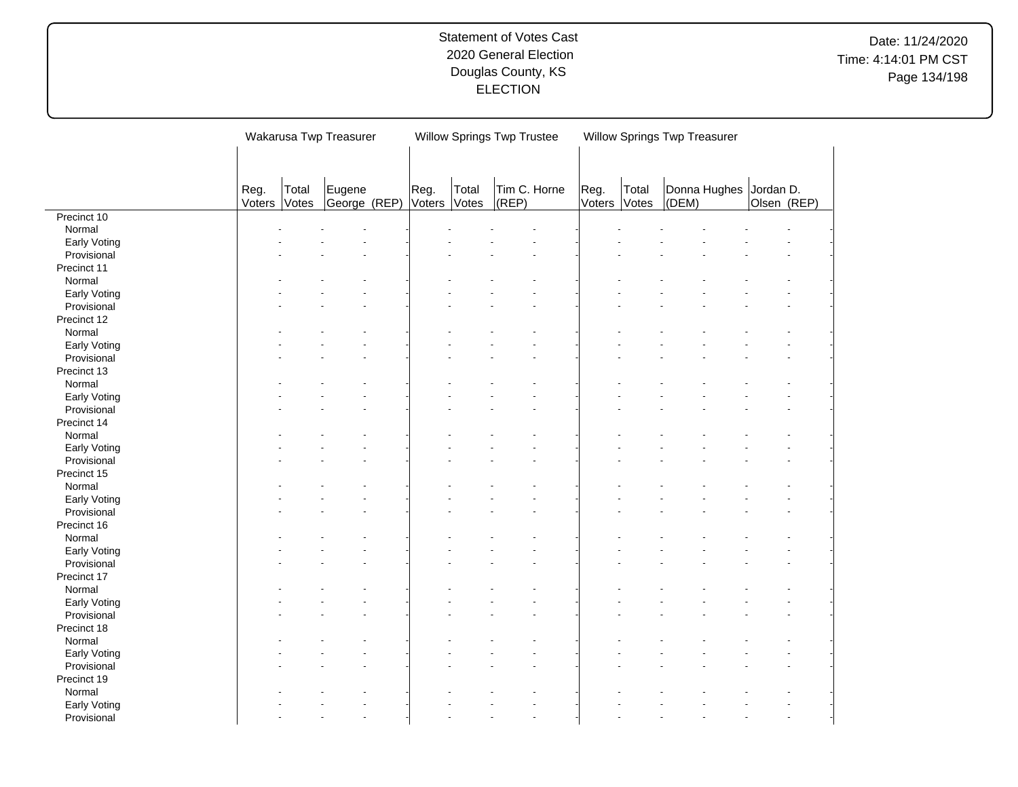|              |        |       | Wakarusa Twp Treasurer |        |       | <b>Willow Springs Twp Trustee</b> |        | Willow Springs Twp Treasurer |       |                        |             |  |
|--------------|--------|-------|------------------------|--------|-------|-----------------------------------|--------|------------------------------|-------|------------------------|-------------|--|
|              |        |       |                        |        |       |                                   |        |                              |       |                        |             |  |
|              |        |       |                        |        |       |                                   |        |                              |       |                        |             |  |
|              |        |       |                        |        |       |                                   |        |                              |       |                        |             |  |
|              | Reg.   | Total | Eugene                 | Reg.   | Total | Tim C. Horne                      | Reg.   | Total                        |       | Donna Hughes Jordan D. |             |  |
|              | Voters | Votes | George (REP)           | Voters | Votes | (REP)                             | Voters | Votes                        | (DEM) |                        | Olsen (REP) |  |
| Precinct 10  |        |       |                        |        |       |                                   |        |                              |       |                        |             |  |
| Normal       |        |       |                        |        |       |                                   |        |                              |       |                        |             |  |
| Early Voting |        |       |                        |        |       |                                   |        |                              |       |                        |             |  |
| Provisional  |        |       |                        |        |       |                                   |        |                              |       |                        |             |  |
| Precinct 11  |        |       |                        |        |       |                                   |        |                              |       |                        |             |  |
| Normal       |        |       |                        |        |       |                                   |        |                              |       |                        |             |  |
| Early Voting |        |       |                        |        |       |                                   |        |                              |       |                        |             |  |
| Provisional  |        |       |                        |        |       |                                   |        |                              |       |                        |             |  |
| Precinct 12  |        |       |                        |        |       |                                   |        |                              |       |                        |             |  |
| Normal       |        |       |                        |        |       |                                   |        |                              |       |                        |             |  |
| Early Voting |        |       |                        |        |       |                                   |        |                              |       |                        |             |  |
| Provisional  |        |       |                        |        |       |                                   |        |                              |       |                        |             |  |
| Precinct 13  |        |       |                        |        |       |                                   |        |                              |       |                        |             |  |
| Normal       |        |       |                        |        |       |                                   |        |                              |       |                        |             |  |
| Early Voting |        |       |                        |        |       |                                   |        |                              |       |                        |             |  |
| Provisional  |        |       |                        |        |       |                                   |        |                              |       |                        |             |  |
| Precinct 14  |        |       |                        |        |       |                                   |        |                              |       |                        |             |  |
| Normal       |        |       |                        |        |       |                                   |        |                              |       |                        |             |  |
| Early Voting |        |       |                        |        |       |                                   |        |                              |       |                        |             |  |
| Provisional  |        |       |                        |        |       |                                   |        |                              |       |                        |             |  |
| Precinct 15  |        |       |                        |        |       |                                   |        |                              |       |                        |             |  |
| Normal       |        |       |                        |        |       |                                   |        |                              |       |                        |             |  |
| Early Voting |        |       |                        |        |       |                                   |        |                              |       |                        |             |  |
| Provisional  |        |       |                        |        |       |                                   |        |                              |       |                        |             |  |
| Precinct 16  |        |       |                        |        |       |                                   |        |                              |       |                        |             |  |
| Normal       |        |       |                        |        |       |                                   |        |                              |       |                        |             |  |
| Early Voting |        |       |                        |        |       |                                   |        |                              |       |                        |             |  |
| Provisional  |        |       |                        |        |       |                                   |        |                              |       |                        |             |  |
| Precinct 17  |        |       |                        |        |       |                                   |        |                              |       |                        |             |  |
| Normal       |        |       |                        |        |       |                                   |        |                              |       |                        |             |  |
| Early Voting |        |       |                        |        |       |                                   |        |                              |       |                        |             |  |
| Provisional  |        |       |                        |        |       |                                   |        |                              |       |                        |             |  |
| Precinct 18  |        |       |                        |        |       |                                   |        |                              |       |                        |             |  |
| Normal       |        |       |                        |        |       |                                   |        |                              |       |                        |             |  |
| Early Voting |        |       |                        |        |       |                                   |        |                              |       |                        |             |  |
| Provisional  |        |       |                        |        |       |                                   |        |                              |       |                        |             |  |
| Precinct 19  |        |       |                        |        |       |                                   |        |                              |       |                        |             |  |
| Normal       |        |       |                        |        |       |                                   |        |                              |       |                        |             |  |
| Early Voting |        |       |                        |        |       |                                   |        |                              |       |                        |             |  |
| Provisional  |        |       |                        |        |       |                                   |        |                              |       |                        |             |  |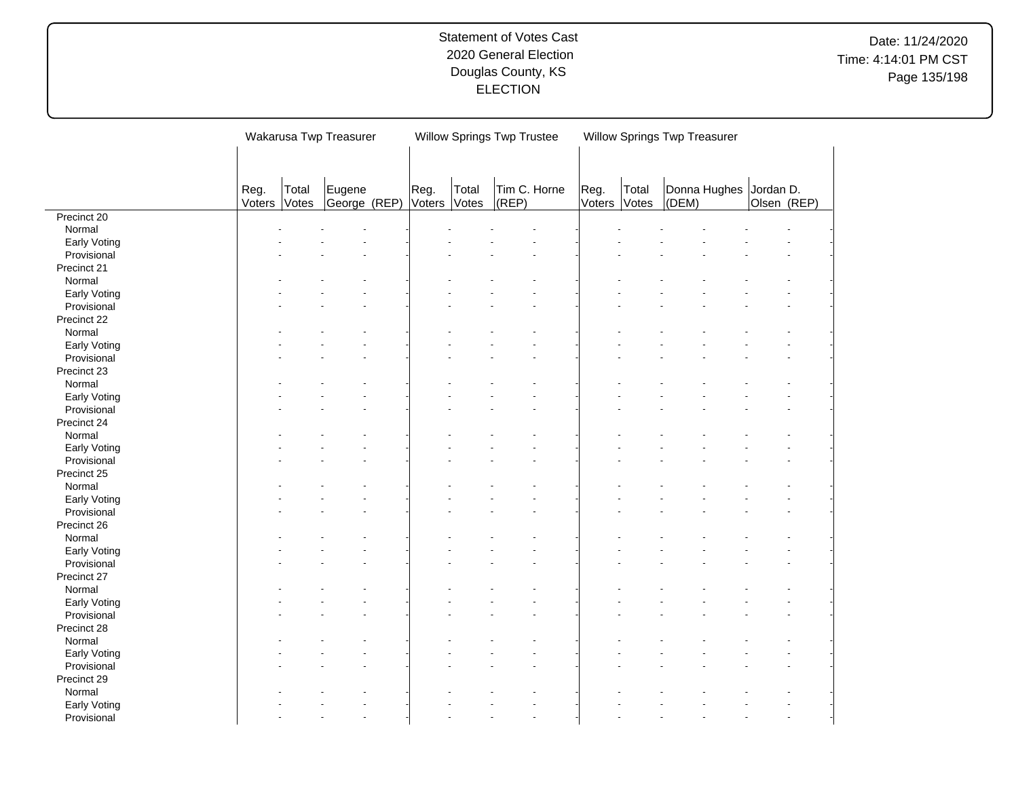|              |        |       | Wakarusa Twp Treasurer |        |       | <b>Willow Springs Twp Trustee</b> |   |        | Willow Springs Twp Treasurer |       |                        |             |  |
|--------------|--------|-------|------------------------|--------|-------|-----------------------------------|---|--------|------------------------------|-------|------------------------|-------------|--|
|              |        |       |                        |        |       |                                   |   |        |                              |       |                        |             |  |
|              |        |       |                        |        |       |                                   |   |        |                              |       |                        |             |  |
|              | Reg.   | Total | Eugene                 | Reg.   | Total | Tim C. Horne                      |   | Reg.   | Total                        |       | Donna Hughes Jordan D. |             |  |
|              | Voters | Votes | George (REP)           | Voters | Votes | (REP)                             |   | Voters | Votes                        | (DEM) |                        | Olsen (REP) |  |
| Precinct 20  |        |       |                        |        |       |                                   |   |        |                              |       |                        |             |  |
| Normal       |        |       |                        |        |       |                                   |   |        |                              |       |                        |             |  |
| Early Voting |        |       |                        |        |       |                                   |   |        |                              |       |                        |             |  |
| Provisional  |        |       |                        |        |       |                                   |   |        |                              |       |                        |             |  |
| Precinct 21  |        |       |                        |        |       |                                   |   |        |                              |       |                        |             |  |
| Normal       |        |       |                        |        |       |                                   |   |        |                              |       |                        |             |  |
| Early Voting |        |       |                        |        |       |                                   |   |        |                              |       |                        |             |  |
| Provisional  |        |       |                        |        |       |                                   |   |        |                              |       |                        |             |  |
| Precinct 22  |        |       |                        |        |       |                                   |   |        |                              |       |                        |             |  |
| Normal       |        |       |                        |        |       |                                   |   |        |                              |       |                        |             |  |
| Early Voting |        |       |                        |        |       |                                   |   |        |                              |       |                        |             |  |
| Provisional  |        |       |                        |        |       |                                   |   |        |                              |       |                        |             |  |
| Precinct 23  |        |       |                        |        |       |                                   |   |        |                              |       |                        |             |  |
| Normal       |        |       |                        |        |       |                                   |   |        |                              |       |                        |             |  |
| Early Voting |        |       |                        |        |       |                                   |   |        |                              |       |                        |             |  |
| Provisional  |        |       |                        |        |       |                                   |   |        |                              |       |                        |             |  |
| Precinct 24  |        |       |                        |        |       |                                   |   |        |                              |       |                        |             |  |
| Normal       |        |       |                        |        |       |                                   |   |        |                              |       |                        |             |  |
| Early Voting |        |       |                        |        |       |                                   |   |        |                              |       |                        |             |  |
| Provisional  |        |       |                        |        |       |                                   |   |        |                              |       |                        |             |  |
| Precinct 25  |        |       |                        |        |       |                                   |   |        |                              |       |                        |             |  |
| Normal       |        |       |                        |        |       |                                   |   |        |                              |       |                        |             |  |
| Early Voting |        |       |                        |        |       |                                   |   |        |                              |       |                        |             |  |
| Provisional  |        |       |                        |        |       |                                   |   |        |                              |       |                        |             |  |
| Precinct 26  |        |       |                        |        |       |                                   |   |        |                              |       |                        |             |  |
| Normal       |        |       |                        |        |       |                                   |   |        |                              |       |                        |             |  |
|              |        |       |                        |        |       |                                   |   |        |                              |       |                        |             |  |
| Early Voting |        |       |                        |        |       |                                   | ÷ |        |                              |       |                        |             |  |
| Provisional  |        |       |                        |        |       |                                   |   |        |                              |       |                        |             |  |
| Precinct 27  |        |       |                        |        |       |                                   |   |        |                              |       |                        |             |  |
| Normal       |        |       |                        |        |       |                                   |   |        |                              |       |                        |             |  |
| Early Voting |        |       |                        |        |       |                                   |   |        |                              |       |                        |             |  |
| Provisional  |        |       |                        |        |       |                                   |   |        |                              |       |                        |             |  |
| Precinct 28  |        |       |                        |        |       |                                   |   |        |                              |       |                        |             |  |
| Normal       |        |       |                        |        |       |                                   |   |        |                              |       |                        |             |  |
| Early Voting |        |       |                        |        |       |                                   |   |        |                              |       |                        |             |  |
| Provisional  |        |       |                        |        |       |                                   |   |        |                              |       |                        |             |  |
| Precinct 29  |        |       |                        |        |       |                                   |   |        |                              |       |                        |             |  |
| Normal       |        |       |                        |        |       |                                   |   |        |                              |       |                        |             |  |
| Early Voting |        |       |                        |        |       |                                   |   |        |                              |       |                        |             |  |
| Provisional  |        |       | $\overline{a}$         |        |       |                                   | ÷ |        |                              |       |                        |             |  |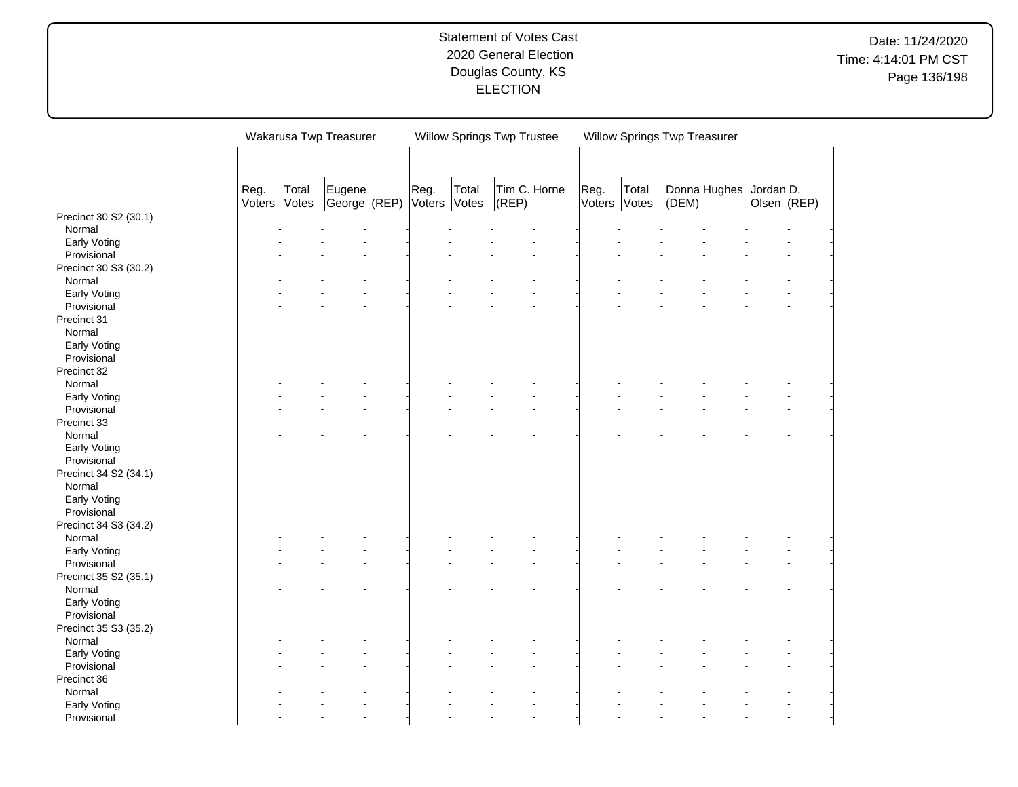|                       |        |       | Wakarusa Twp Treasurer |        |       | <b>Willow Springs Twp Trustee</b> |        | Willow Springs Twp Treasurer |       |                        |             |  |
|-----------------------|--------|-------|------------------------|--------|-------|-----------------------------------|--------|------------------------------|-------|------------------------|-------------|--|
|                       |        |       |                        |        |       |                                   |        |                              |       |                        |             |  |
|                       |        |       |                        |        |       |                                   |        |                              |       |                        |             |  |
|                       | Reg.   | Total | Eugene                 | Reg.   | Total | Tim C. Horne                      | Reg.   | Total                        |       | Donna Hughes Jordan D. |             |  |
|                       | Voters | Votes | George (REP)           | Voters | Votes | $ $ (REP)                         | Voters | Votes                        | (DEM) |                        | Olsen (REP) |  |
| Precinct 30 S2 (30.1) |        |       |                        |        |       |                                   |        |                              |       |                        |             |  |
| Normal                |        |       |                        |        |       |                                   |        |                              |       |                        |             |  |
| Early Voting          |        |       |                        |        |       |                                   |        |                              |       |                        |             |  |
| Provisional           |        |       |                        |        |       |                                   |        |                              |       |                        |             |  |
| Precinct 30 S3 (30.2) |        |       |                        |        |       |                                   |        |                              |       |                        |             |  |
| Normal                |        |       |                        |        |       |                                   |        |                              |       |                        |             |  |
| Early Voting          |        |       |                        |        |       |                                   |        |                              |       |                        |             |  |
| Provisional           |        |       |                        |        |       |                                   |        |                              |       |                        |             |  |
| Precinct 31           |        |       |                        |        |       |                                   |        |                              |       |                        |             |  |
| Normal                |        |       |                        |        |       |                                   |        |                              |       |                        |             |  |
| Early Voting          |        |       |                        |        |       |                                   |        |                              |       |                        |             |  |
| Provisional           |        |       |                        |        |       |                                   |        |                              |       |                        |             |  |
| Precinct 32           |        |       |                        |        |       |                                   |        |                              |       |                        |             |  |
| Normal                |        |       |                        |        |       |                                   |        |                              |       |                        |             |  |
| Early Voting          |        |       |                        |        |       |                                   |        |                              |       |                        |             |  |
| Provisional           |        |       |                        |        |       |                                   |        |                              |       |                        |             |  |
| Precinct 33           |        |       |                        |        |       |                                   |        |                              |       |                        |             |  |
| Normal                |        |       |                        |        |       |                                   |        |                              |       |                        |             |  |
| Early Voting          |        |       |                        |        |       |                                   |        |                              |       |                        |             |  |
| Provisional           |        |       |                        |        |       |                                   |        |                              |       |                        |             |  |
|                       |        |       |                        |        |       |                                   |        |                              |       |                        |             |  |
| Precinct 34 S2 (34.1) |        |       |                        |        |       |                                   |        |                              |       |                        |             |  |
| Normal                |        |       |                        |        |       |                                   |        |                              |       |                        |             |  |
| Early Voting          |        |       |                        |        |       |                                   |        |                              |       |                        |             |  |
| Provisional           |        |       |                        |        |       |                                   |        |                              |       |                        |             |  |
| Precinct 34 S3 (34.2) |        |       |                        |        |       |                                   |        |                              |       |                        |             |  |
| Normal                |        |       |                        |        |       |                                   |        |                              |       |                        |             |  |
| Early Voting          |        |       |                        |        |       |                                   |        |                              |       |                        |             |  |
| Provisional           |        |       |                        |        |       |                                   |        |                              |       |                        |             |  |
| Precinct 35 S2 (35.1) |        |       |                        |        |       |                                   |        |                              |       |                        |             |  |
| Normal                |        |       |                        |        |       |                                   |        |                              |       |                        |             |  |
| Early Voting          |        |       |                        |        |       |                                   |        |                              |       |                        |             |  |
| Provisional           |        |       |                        |        |       |                                   |        |                              |       |                        |             |  |
| Precinct 35 S3 (35.2) |        |       |                        |        |       |                                   |        |                              |       |                        |             |  |
| Normal                |        |       |                        |        |       |                                   |        |                              |       |                        |             |  |
| Early Voting          |        |       |                        |        |       |                                   |        |                              |       |                        |             |  |
| Provisional           |        |       |                        |        |       |                                   |        |                              |       |                        |             |  |
| Precinct 36           |        |       |                        |        |       |                                   |        |                              |       |                        |             |  |
| Normal                |        |       |                        |        |       |                                   |        |                              |       |                        |             |  |
| Early Voting          |        |       |                        |        |       |                                   |        |                              |       |                        |             |  |
| Provisional           |        |       | L.                     |        |       |                                   |        |                              |       |                        |             |  |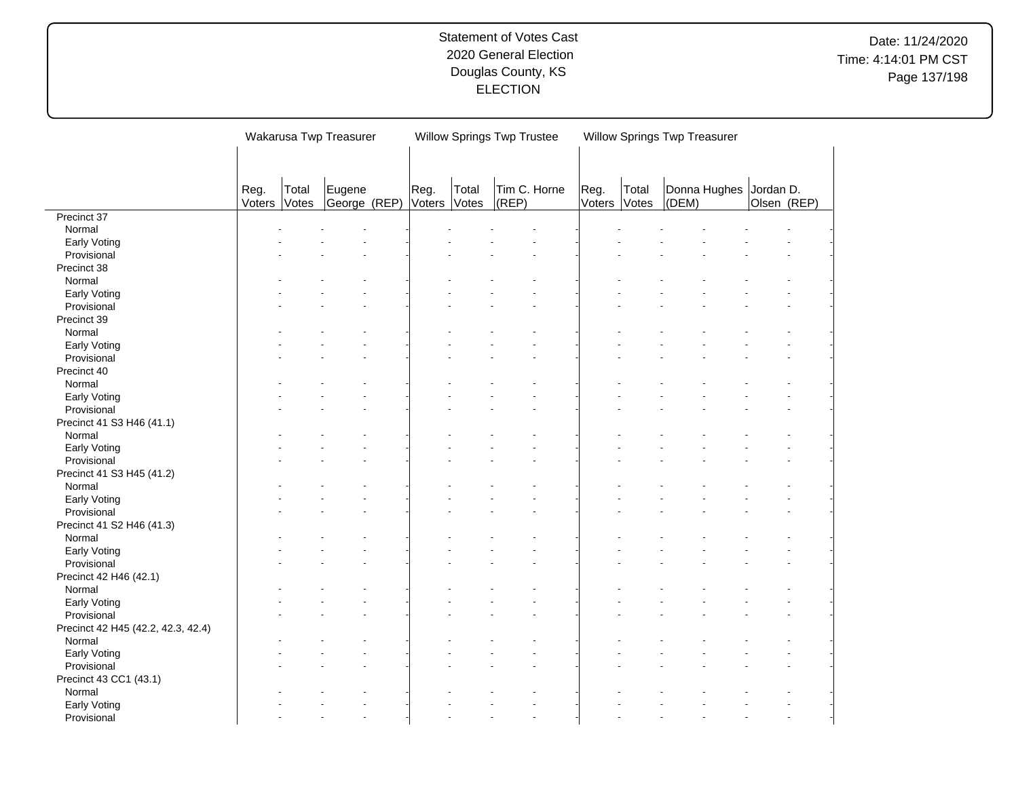|                                     |        |       | Wakarusa Twp Treasurer |        |       | <b>Willow Springs Twp Trustee</b> |        | Willow Springs Twp Treasurer |       |                        |             |  |
|-------------------------------------|--------|-------|------------------------|--------|-------|-----------------------------------|--------|------------------------------|-------|------------------------|-------------|--|
|                                     |        |       |                        |        |       |                                   |        |                              |       |                        |             |  |
|                                     |        |       |                        |        |       |                                   |        |                              |       |                        |             |  |
|                                     | Reg.   | Total | Eugene                 | Reg.   | Total | Tim C. Horne                      | Reg.   | Total                        |       | Donna Hughes Jordan D. |             |  |
|                                     | Voters | Votes | George (REP)           | Voters | Votes | (REP)                             | Voters | Votes                        | (DEM) |                        | Olsen (REP) |  |
| Precinct 37                         |        |       |                        |        |       |                                   |        |                              |       |                        |             |  |
| Normal                              |        |       |                        |        |       |                                   |        |                              |       |                        |             |  |
| Early Voting                        |        |       |                        |        |       |                                   |        |                              |       |                        |             |  |
| Provisional                         |        |       |                        |        |       |                                   |        |                              |       |                        |             |  |
| Precinct 38                         |        |       |                        |        |       |                                   |        |                              |       |                        |             |  |
| Normal                              |        |       |                        |        |       |                                   |        |                              |       |                        |             |  |
| Early Voting                        |        |       |                        |        |       |                                   |        |                              |       |                        |             |  |
| Provisional                         |        |       |                        |        |       |                                   |        |                              |       |                        |             |  |
| Precinct 39                         |        |       |                        |        |       |                                   |        |                              |       |                        |             |  |
| Normal                              |        |       |                        |        |       |                                   |        |                              |       |                        |             |  |
| Early Voting                        |        |       |                        |        |       |                                   |        |                              |       |                        |             |  |
| Provisional                         |        |       |                        |        |       |                                   |        |                              |       |                        |             |  |
| Precinct 40                         |        |       |                        |        |       |                                   |        |                              |       |                        |             |  |
| Normal                              |        |       |                        |        |       |                                   |        |                              |       |                        |             |  |
| Early Voting                        |        |       |                        |        |       |                                   |        |                              |       |                        |             |  |
| Provisional                         |        |       |                        |        |       |                                   |        |                              |       |                        |             |  |
| Precinct 41 S3 H46 (41.1)           |        |       |                        |        |       |                                   |        |                              |       |                        |             |  |
| Normal                              |        |       |                        |        |       |                                   |        |                              |       |                        |             |  |
| Early Voting                        |        |       |                        |        |       |                                   |        |                              |       |                        |             |  |
| Provisional                         |        |       |                        |        |       |                                   |        |                              |       |                        |             |  |
| Precinct 41 S3 H45 (41.2)           |        |       |                        |        |       |                                   |        |                              |       |                        |             |  |
| Normal                              |        |       |                        |        |       |                                   |        |                              |       |                        |             |  |
| Early Voting                        |        |       |                        |        |       |                                   |        |                              |       |                        |             |  |
| Provisional                         |        |       | ÷                      |        |       |                                   |        |                              |       |                        |             |  |
|                                     |        |       |                        |        |       |                                   |        |                              |       |                        |             |  |
| Precinct 41 S2 H46 (41.3)<br>Normal |        |       |                        |        |       |                                   |        |                              |       |                        |             |  |
|                                     |        |       |                        |        |       |                                   |        |                              |       |                        |             |  |
| Early Voting                        |        |       | ÷                      |        |       |                                   |        |                              |       |                        |             |  |
| Provisional                         |        |       |                        |        |       |                                   |        |                              |       |                        |             |  |
| Precinct 42 H46 (42.1)              |        |       |                        |        |       |                                   |        |                              |       |                        |             |  |
| Normal                              |        |       |                        |        |       |                                   |        |                              |       |                        |             |  |
| Early Voting                        |        |       |                        |        |       |                                   |        |                              |       |                        |             |  |
| Provisional                         |        |       |                        |        |       |                                   |        |                              |       |                        |             |  |
| Precinct 42 H45 (42.2, 42.3, 42.4)  |        |       |                        |        |       |                                   |        |                              |       |                        |             |  |
| Normal                              |        |       |                        |        |       |                                   |        |                              |       |                        |             |  |
| Early Voting                        |        |       |                        |        |       |                                   |        |                              |       |                        |             |  |
| Provisional                         |        |       |                        |        |       |                                   |        |                              |       |                        |             |  |
| Precinct 43 CC1 (43.1)              |        |       |                        |        |       |                                   |        |                              |       |                        |             |  |
| Normal                              |        |       |                        |        |       |                                   |        |                              |       |                        |             |  |
| Early Voting                        |        |       |                        |        |       |                                   |        |                              |       |                        |             |  |
| Provisional                         |        |       | L.                     |        |       |                                   |        |                              |       |                        |             |  |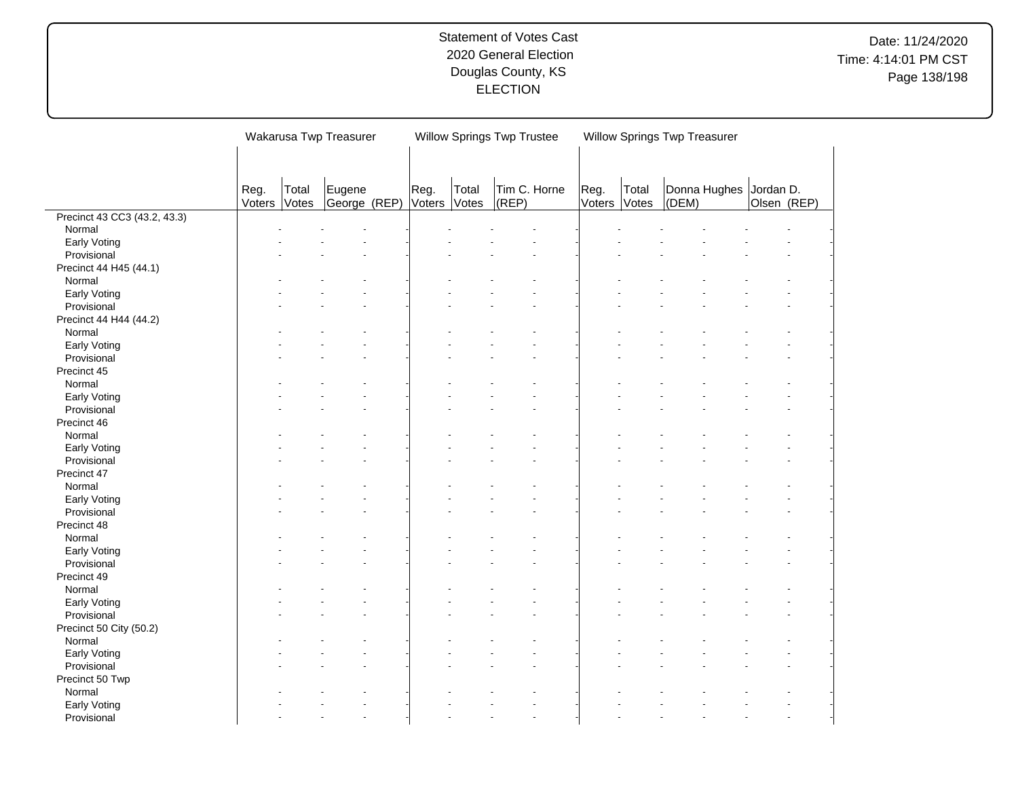|                              |        |       | Wakarusa Twp Treasurer |        |       | <b>Willow Springs Twp Trustee</b> |        | Willow Springs Twp Treasurer |       |                        |             |  |
|------------------------------|--------|-------|------------------------|--------|-------|-----------------------------------|--------|------------------------------|-------|------------------------|-------------|--|
|                              |        |       |                        |        |       |                                   |        |                              |       |                        |             |  |
|                              |        |       |                        |        |       |                                   |        |                              |       |                        |             |  |
|                              | Reg.   | Total | Eugene                 | Reg.   | Total | Tim C. Horne                      | Reg.   | Total                        |       | Donna Hughes Jordan D. |             |  |
|                              | Voters | Votes | George (REP)           | Voters | Votes | (REP)                             | Voters | Votes                        | (DEM) |                        | Olsen (REP) |  |
| Precinct 43 CC3 (43.2, 43.3) |        |       |                        |        |       |                                   |        |                              |       |                        |             |  |
| Normal                       |        |       |                        |        |       |                                   |        |                              |       |                        |             |  |
| Early Voting                 |        |       |                        |        |       |                                   |        |                              |       |                        |             |  |
| Provisional                  |        |       |                        |        |       |                                   |        |                              |       |                        |             |  |
| Precinct 44 H45 (44.1)       |        |       |                        |        |       |                                   |        |                              |       |                        |             |  |
| Normal                       |        |       |                        |        |       |                                   |        |                              |       |                        |             |  |
| Early Voting                 |        |       |                        |        |       |                                   |        |                              |       |                        |             |  |
| Provisional                  |        |       |                        |        |       |                                   |        |                              |       |                        |             |  |
| Precinct 44 H44 (44.2)       |        |       |                        |        |       |                                   |        |                              |       |                        |             |  |
| Normal                       |        |       |                        |        |       |                                   |        |                              |       |                        |             |  |
| Early Voting                 |        |       |                        |        |       |                                   |        |                              |       |                        |             |  |
| Provisional                  |        |       |                        |        |       |                                   |        |                              |       |                        |             |  |
| Precinct 45                  |        |       |                        |        |       |                                   |        |                              |       |                        |             |  |
| Normal                       |        |       |                        |        |       |                                   |        |                              |       |                        |             |  |
| Early Voting                 |        |       |                        |        |       |                                   |        |                              |       |                        |             |  |
| Provisional                  |        |       |                        |        |       |                                   |        |                              |       |                        |             |  |
| Precinct 46                  |        |       |                        |        |       |                                   |        |                              |       |                        |             |  |
| Normal                       |        |       |                        |        |       |                                   |        |                              |       |                        |             |  |
| Early Voting                 |        |       |                        |        |       |                                   |        |                              |       |                        |             |  |
| Provisional                  |        |       |                        |        |       |                                   |        |                              |       |                        |             |  |
| Precinct 47                  |        |       |                        |        |       |                                   |        |                              |       |                        |             |  |
| Normal                       |        |       |                        |        |       |                                   |        |                              |       |                        |             |  |
| Early Voting                 |        |       |                        |        |       |                                   |        |                              |       |                        |             |  |
| Provisional                  |        |       | ä,                     |        |       |                                   |        |                              |       |                        |             |  |
| Precinct 48                  |        |       |                        |        |       |                                   |        |                              |       |                        |             |  |
| Normal                       |        |       |                        |        |       |                                   |        |                              |       |                        |             |  |
| Early Voting                 |        |       |                        |        |       |                                   |        |                              |       |                        |             |  |
| Provisional                  |        |       |                        |        |       |                                   |        |                              |       |                        |             |  |
| Precinct 49                  |        |       |                        |        |       |                                   |        |                              |       |                        |             |  |
| Normal                       |        |       |                        |        |       |                                   |        |                              |       |                        |             |  |
|                              |        |       |                        |        |       |                                   |        |                              |       |                        |             |  |
| Early Voting                 |        |       |                        |        |       |                                   |        |                              |       |                        |             |  |
| Provisional                  |        |       |                        |        |       |                                   |        |                              |       |                        |             |  |
| Precinct 50 City (50.2)      |        |       |                        |        |       |                                   |        |                              |       |                        |             |  |
| Normal                       |        |       |                        |        |       |                                   |        |                              |       |                        |             |  |
| Early Voting                 |        |       |                        |        |       |                                   |        |                              |       |                        |             |  |
| Provisional                  |        |       |                        |        |       |                                   |        |                              |       |                        |             |  |
| Precinct 50 Twp              |        |       |                        |        |       |                                   |        |                              |       |                        |             |  |
| Normal                       |        |       |                        |        |       |                                   |        |                              |       |                        |             |  |
| Early Voting                 |        |       |                        |        |       |                                   |        |                              |       |                        |             |  |
| Provisional                  |        |       | ÷                      |        |       |                                   |        |                              |       |                        |             |  |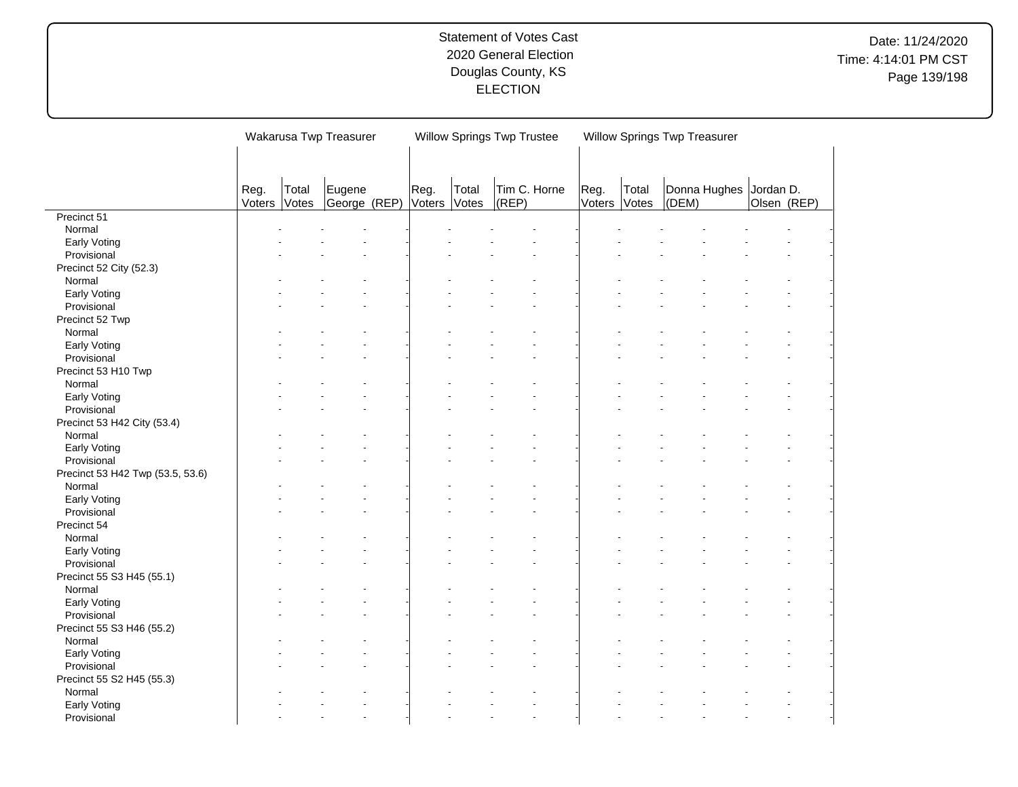|                                  |        |       | Wakarusa Twp Treasurer |        |       | <b>Willow Springs Twp Trustee</b> |        | Willow Springs Twp Treasurer |       |                        |             |  |
|----------------------------------|--------|-------|------------------------|--------|-------|-----------------------------------|--------|------------------------------|-------|------------------------|-------------|--|
|                                  |        |       |                        |        |       |                                   |        |                              |       |                        |             |  |
|                                  |        |       |                        |        |       |                                   |        |                              |       |                        |             |  |
|                                  | Reg.   | Total | Eugene                 | Reg.   | Total | Tim C. Horne                      | Reg.   | Total                        |       | Donna Hughes Jordan D. |             |  |
|                                  | Voters | Votes | George (REP)           | Voters | Votes | (REP)                             | Voters | Votes                        | (DEM) |                        | Olsen (REP) |  |
| Precinct 51                      |        |       |                        |        |       |                                   |        |                              |       |                        |             |  |
| Normal                           |        |       |                        |        |       |                                   |        |                              |       |                        |             |  |
| Early Voting                     |        |       |                        |        |       |                                   |        |                              |       |                        |             |  |
| Provisional                      |        |       |                        |        |       |                                   |        |                              |       |                        |             |  |
| Precinct 52 City (52.3)          |        |       |                        |        |       |                                   |        |                              |       |                        |             |  |
| Normal                           |        |       |                        |        |       |                                   |        |                              |       |                        |             |  |
| Early Voting                     |        |       |                        |        |       |                                   |        |                              |       |                        |             |  |
| Provisional                      |        |       |                        |        |       |                                   |        |                              |       |                        |             |  |
| Precinct 52 Twp                  |        |       |                        |        |       |                                   |        |                              |       |                        |             |  |
| Normal                           |        |       |                        |        |       |                                   |        |                              |       |                        |             |  |
| Early Voting                     |        |       |                        |        |       |                                   |        |                              |       |                        |             |  |
| Provisional                      |        |       |                        |        |       |                                   |        |                              |       |                        |             |  |
| Precinct 53 H10 Twp              |        |       |                        |        |       |                                   |        |                              |       |                        |             |  |
| Normal                           |        |       |                        |        |       |                                   |        |                              |       |                        |             |  |
| Early Voting                     |        |       |                        |        |       |                                   |        |                              |       |                        |             |  |
| Provisional                      |        |       |                        |        |       |                                   |        |                              |       |                        |             |  |
| Precinct 53 H42 City (53.4)      |        |       |                        |        |       |                                   |        |                              |       |                        |             |  |
| Normal                           |        |       |                        |        |       |                                   |        |                              |       |                        |             |  |
| Early Voting                     |        |       |                        |        |       |                                   |        |                              |       |                        |             |  |
| Provisional                      |        |       |                        |        |       |                                   |        |                              |       |                        |             |  |
| Precinct 53 H42 Twp (53.5, 53.6) |        |       |                        |        |       |                                   |        |                              |       |                        |             |  |
|                                  |        |       |                        |        |       |                                   |        |                              |       |                        |             |  |
| Normal                           |        |       |                        |        |       |                                   |        |                              |       |                        |             |  |
| Early Voting<br>Provisional      |        |       | ÷                      |        |       |                                   |        |                              |       |                        |             |  |
|                                  |        |       |                        |        |       |                                   |        |                              |       |                        |             |  |
| Precinct 54                      |        |       |                        |        |       |                                   |        |                              |       |                        |             |  |
| Normal                           |        |       |                        |        |       |                                   |        |                              |       |                        |             |  |
| Early Voting                     |        |       | ÷                      |        |       |                                   |        |                              |       |                        |             |  |
| Provisional                      |        |       |                        |        |       |                                   |        |                              |       |                        |             |  |
| Precinct 55 S3 H45 (55.1)        |        |       |                        |        |       |                                   |        |                              |       |                        |             |  |
| Normal                           |        |       |                        |        |       |                                   |        |                              |       |                        |             |  |
| Early Voting                     |        |       |                        |        |       |                                   |        |                              |       |                        |             |  |
| Provisional                      |        |       |                        |        |       |                                   |        |                              |       |                        |             |  |
| Precinct 55 S3 H46 (55.2)        |        |       |                        |        |       |                                   |        |                              |       |                        |             |  |
| Normal                           |        |       |                        |        |       |                                   |        |                              |       |                        |             |  |
| Early Voting                     |        |       |                        |        |       |                                   |        |                              |       |                        |             |  |
| Provisional                      |        |       |                        |        |       |                                   |        |                              |       |                        |             |  |
| Precinct 55 S2 H45 (55.3)        |        |       |                        |        |       |                                   |        |                              |       |                        |             |  |
| Normal                           |        |       |                        |        |       |                                   |        |                              |       |                        |             |  |
| Early Voting                     |        |       |                        |        |       |                                   |        |                              |       |                        |             |  |
| Provisional                      |        |       | L.                     |        |       |                                   |        |                              |       |                        |             |  |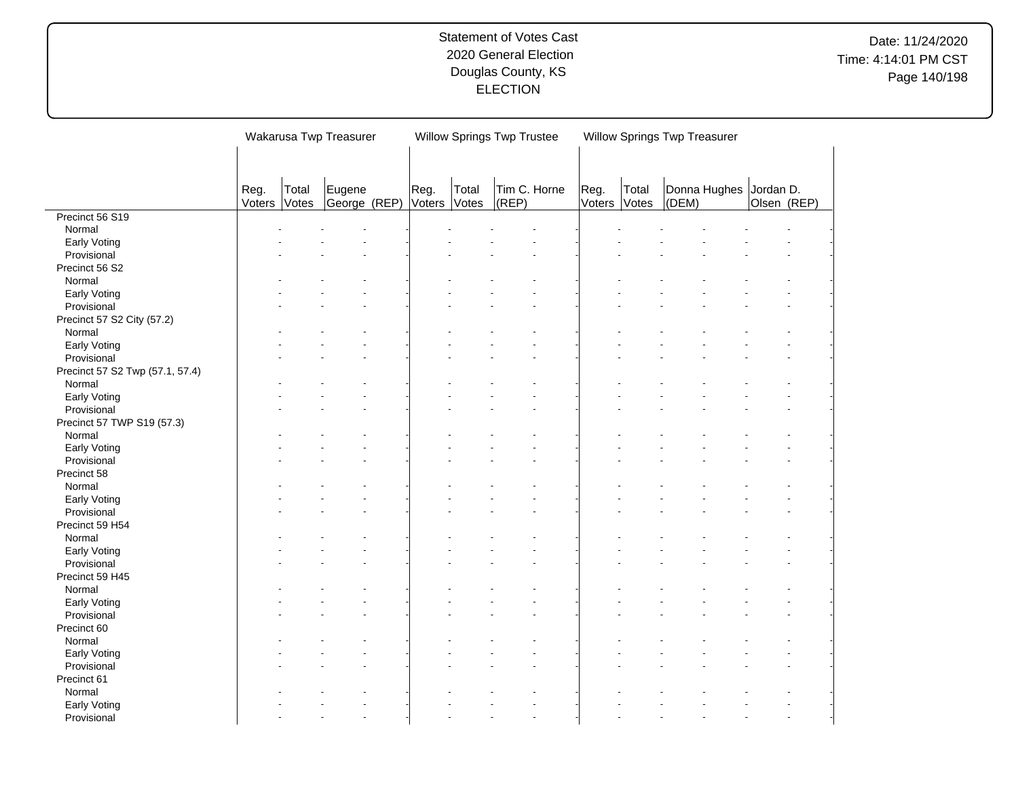|                                 |        |       | Wakarusa Twp Treasurer |               |       | <b>Willow Springs Twp Trustee</b> |              |        | Willow Springs Twp Treasurer |       |                        |             |  |
|---------------------------------|--------|-------|------------------------|---------------|-------|-----------------------------------|--------------|--------|------------------------------|-------|------------------------|-------------|--|
|                                 |        |       |                        |               |       |                                   |              |        |                              |       |                        |             |  |
|                                 |        |       |                        |               |       |                                   |              |        |                              |       |                        |             |  |
|                                 | Reg.   | Total | Eugene                 | Reg.          | Total |                                   | Tim C. Horne | Reg.   | Total                        |       | Donna Hughes Jordan D. |             |  |
|                                 | Voters | Votes | George (REP)           | <b>Voters</b> | Votes | (REP)                             |              | Voters | Votes                        | (DEM) |                        | Olsen (REP) |  |
| Precinct 56 S19                 |        |       |                        |               |       |                                   |              |        |                              |       |                        |             |  |
| Normal                          |        |       |                        |               |       |                                   |              |        |                              |       |                        |             |  |
| Early Voting                    |        |       |                        |               |       |                                   |              |        |                              |       |                        |             |  |
| Provisional                     |        |       |                        |               |       |                                   |              |        |                              |       |                        |             |  |
| Precinct 56 S2                  |        |       |                        |               |       |                                   |              |        |                              |       |                        |             |  |
| Normal                          |        |       |                        |               |       |                                   |              |        |                              |       |                        |             |  |
| Early Voting                    |        |       |                        |               |       |                                   |              |        |                              |       |                        |             |  |
| Provisional                     |        |       |                        |               |       |                                   |              |        |                              |       |                        |             |  |
| Precinct 57 S2 City (57.2)      |        |       |                        |               |       |                                   |              |        |                              |       |                        |             |  |
| Normal                          |        |       |                        |               |       |                                   |              |        |                              |       |                        |             |  |
| Early Voting                    |        |       |                        |               |       |                                   |              |        |                              |       |                        |             |  |
| Provisional                     |        |       |                        |               |       |                                   |              |        |                              |       |                        |             |  |
| Precinct 57 S2 Twp (57.1, 57.4) |        |       |                        |               |       |                                   |              |        |                              |       |                        |             |  |
| Normal                          |        |       |                        |               |       |                                   |              |        |                              |       |                        |             |  |
| Early Voting                    |        |       |                        |               |       |                                   |              |        |                              |       |                        |             |  |
| Provisional                     |        |       |                        |               |       |                                   |              |        |                              |       |                        |             |  |
| Precinct 57 TWP S19 (57.3)      |        |       |                        |               |       |                                   |              |        |                              |       |                        |             |  |
| Normal                          |        |       |                        |               |       |                                   |              |        |                              |       |                        |             |  |
| Early Voting                    |        |       |                        |               |       |                                   |              |        |                              |       |                        |             |  |
| Provisional                     |        |       |                        |               |       |                                   |              |        |                              |       |                        |             |  |
| Precinct 58                     |        |       |                        |               |       |                                   |              |        |                              |       |                        |             |  |
| Normal                          |        |       |                        |               |       |                                   |              |        |                              |       |                        |             |  |
| Early Voting                    |        |       |                        |               |       |                                   |              |        |                              |       |                        |             |  |
| Provisional                     |        |       | ä,                     |               |       |                                   |              |        |                              |       |                        |             |  |
| Precinct 59 H54                 |        |       |                        |               |       |                                   |              |        |                              |       |                        |             |  |
| Normal                          |        |       |                        |               |       |                                   |              |        |                              |       |                        |             |  |
|                                 |        |       |                        |               |       |                                   |              |        |                              |       |                        |             |  |
| Early Voting                    |        |       |                        |               |       |                                   |              |        |                              |       |                        |             |  |
| Provisional                     |        |       |                        |               |       |                                   |              |        |                              |       |                        |             |  |
| Precinct 59 H45                 |        |       |                        |               |       |                                   |              |        |                              |       |                        |             |  |
| Normal                          |        |       |                        |               |       |                                   |              |        |                              |       |                        |             |  |
| Early Voting                    |        |       |                        |               |       |                                   |              |        |                              |       |                        |             |  |
| Provisional                     |        |       |                        |               |       |                                   |              |        |                              |       |                        |             |  |
| Precinct 60                     |        |       |                        |               |       |                                   |              |        |                              |       |                        |             |  |
| Normal                          |        |       |                        |               |       |                                   |              |        |                              |       |                        |             |  |
| Early Voting                    |        |       |                        |               |       |                                   |              |        |                              |       |                        |             |  |
| Provisional                     |        |       |                        |               |       |                                   |              |        |                              |       |                        |             |  |
| Precinct 61                     |        |       |                        |               |       |                                   |              |        |                              |       |                        |             |  |
| Normal                          |        |       |                        |               |       |                                   |              |        |                              |       |                        |             |  |
| Early Voting                    |        |       |                        |               |       |                                   |              |        |                              |       |                        |             |  |
| Provisional                     |        |       | ÷                      |               |       |                                   |              |        |                              |       |                        |             |  |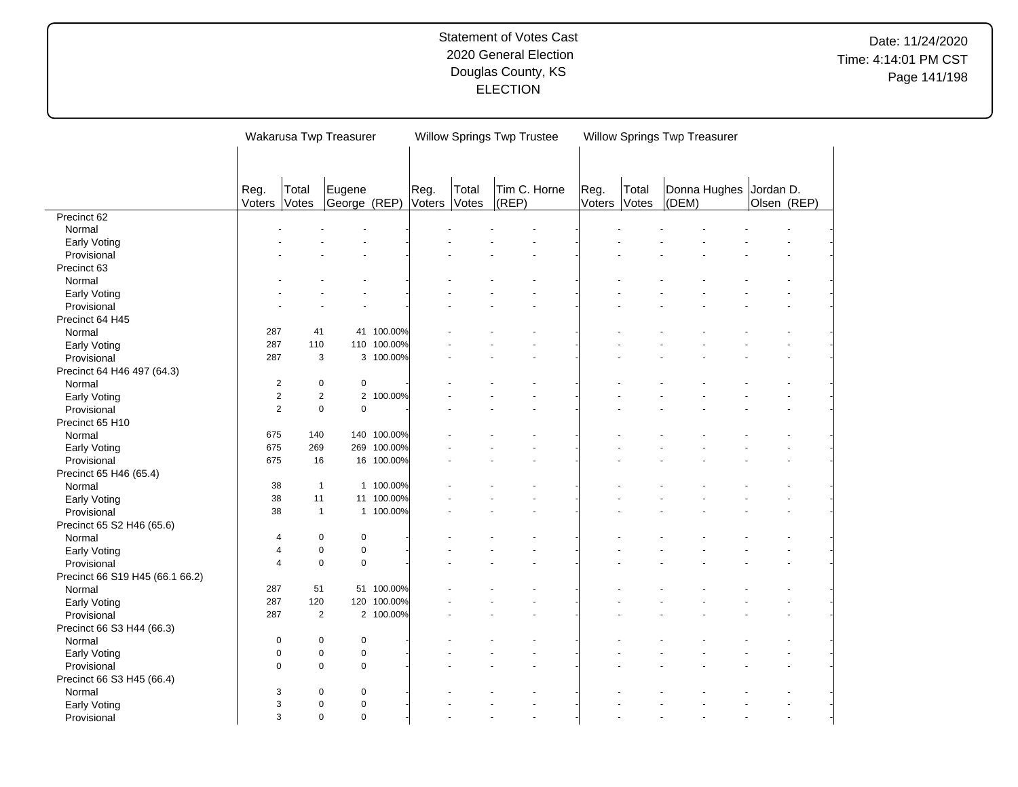|                                 |                |              | Wakarusa Twp Treasurer                |             |        |       | Willow Springs Twp Trustee |        |       | Willow Springs Twp Treasurer |                        |             |                |
|---------------------------------|----------------|--------------|---------------------------------------|-------------|--------|-------|----------------------------|--------|-------|------------------------------|------------------------|-------------|----------------|
|                                 |                |              |                                       |             |        |       |                            |        |       |                              |                        |             |                |
|                                 |                |              |                                       |             |        |       |                            |        |       |                              |                        |             |                |
|                                 | Reg.           | Total        | Eugene                                |             | Reg.   | Total | Tim C. Horne               | Reg.   | Total |                              | Donna Hughes Jordan D. |             |                |
|                                 | Voters         | Votes        | George (REP)                          |             | Voters | Votes | $ $ (REP)                  | Voters | Votes | (DEM)                        |                        | Olsen (REP) |                |
| Precinct 62                     |                |              |                                       |             |        |       |                            |        |       |                              |                        |             |                |
| Normal                          |                |              |                                       |             |        |       |                            |        |       |                              |                        |             |                |
| Early Voting                    |                |              |                                       |             |        |       |                            |        |       |                              |                        |             |                |
| Provisional                     |                |              |                                       |             |        |       |                            |        |       |                              |                        |             |                |
| Precinct 63                     |                |              |                                       |             |        |       |                            |        |       |                              |                        |             |                |
| Normal                          |                |              |                                       |             |        |       |                            |        |       |                              |                        |             |                |
| Early Voting                    |                |              |                                       |             |        |       |                            |        |       |                              |                        |             |                |
| Provisional                     |                |              |                                       |             |        |       |                            |        |       |                              |                        |             |                |
| Precinct 64 H45                 |                |              |                                       |             |        |       |                            |        |       |                              |                        |             |                |
| Normal                          | 287            | 41           |                                       | 41 100.00%  |        |       |                            |        |       |                              |                        |             |                |
| Early Voting                    | 287            | 110          |                                       | 110 100.00% |        |       |                            |        |       |                              |                        |             |                |
| Provisional                     | 287            |              | 3                                     | 3 100.00%   |        |       |                            |        |       |                              |                        |             |                |
| Precinct 64 H46 497 (64.3)      |                |              |                                       |             |        |       |                            |        |       |                              |                        |             |                |
| Normal                          | $\overline{2}$ |              | $\mathbf 0$<br>$\pmb{0}$              |             |        |       |                            |        |       |                              |                        |             |                |
| Early Voting                    | $\overline{2}$ |              | $\overline{2}$<br>$\overline{2}$      | 100.00%     |        |       |                            |        |       |                              |                        |             |                |
| Provisional                     | $\overline{2}$ |              | $\mathbf 0$<br>$\mathbf 0$            |             |        |       |                            |        |       |                              |                        |             |                |
| Precinct 65 H10                 |                |              |                                       |             |        |       |                            |        |       |                              |                        |             |                |
| Normal                          | 675            | 140          |                                       | 140 100.00% |        |       |                            |        |       |                              |                        |             |                |
| Early Voting                    | 675            | 269          | 269                                   | 100.00%     |        |       |                            |        |       |                              |                        |             |                |
| Provisional                     | 675            | 16           |                                       | 16 100.00%  |        |       |                            |        |       |                              |                        |             |                |
| Precinct 65 H46 (65.4)          |                |              |                                       |             |        |       |                            |        |       |                              |                        |             |                |
|                                 | 38             | $\mathbf{1}$ |                                       | 1 100.00%   |        |       |                            |        |       |                              |                        |             |                |
| Normal                          | 38             | 11           |                                       | 11 100.00%  |        |       |                            |        |       |                              |                        |             |                |
| Early Voting                    | 38             |              | $\mathbf{1}$                          | 1 100.00%   |        |       |                            |        |       |                              |                        |             |                |
| Provisional                     |                |              |                                       |             |        |       |                            |        |       |                              |                        |             |                |
| Precinct 65 S2 H46 (65.6)       |                |              |                                       |             |        |       |                            |        |       |                              |                        |             |                |
| Normal                          | 4              |              | $\pmb{0}$<br>$\mathbf 0$<br>$\pmb{0}$ |             |        |       |                            |        |       |                              |                        |             |                |
| Early Voting                    | 4              |              | $\mathbf 0$                           |             |        |       |                            |        |       |                              |                        |             |                |
| Provisional                     | 4              |              | $\mathbf 0$<br>$\pmb{0}$              |             |        |       |                            |        |       |                              |                        |             |                |
| Precinct 66 S19 H45 (66.1 66.2) |                |              |                                       |             |        |       |                            |        |       |                              |                        |             |                |
| Normal                          | 287            | 51           |                                       | 51 100.00%  |        |       |                            |        |       |                              |                        |             |                |
| Early Voting                    | 287            | 120          | 120                                   | 100.00%     |        |       |                            |        |       |                              |                        |             |                |
| Provisional                     | 287            |              | $\overline{2}$                        | 2 100.00%   |        |       |                            |        |       |                              |                        |             |                |
| Precinct 66 S3 H44 (66.3)       |                |              |                                       |             |        |       |                            |        |       |                              |                        |             |                |
| Normal                          | 0              |              | $\pmb{0}$<br>$\pmb{0}$                |             |        |       |                            |        |       |                              |                        |             |                |
| Early Voting                    | $\mathbf 0$    |              | $\mathbf 0$<br>$\pmb{0}$              |             |        |       |                            |        |       |                              |                        |             |                |
| Provisional                     | $\pmb{0}$      |              | $\pmb{0}$<br>$\pmb{0}$                |             |        |       |                            |        |       |                              |                        |             |                |
| Precinct 66 S3 H45 (66.4)       |                |              |                                       |             |        |       |                            |        |       |                              |                        |             |                |
| Normal                          | 3              |              | $\pmb{0}$<br>$\pmb{0}$                |             |        |       |                            |        |       |                              |                        |             |                |
| Early Voting                    | 3              |              | $\mathbf 0$<br>$\mathbf 0$            |             |        |       |                            |        |       |                              |                        |             |                |
| Provisional                     | 3              |              | $\mathbf 0$<br>$\Omega$               |             |        |       |                            |        |       |                              |                        |             | $\overline{a}$ |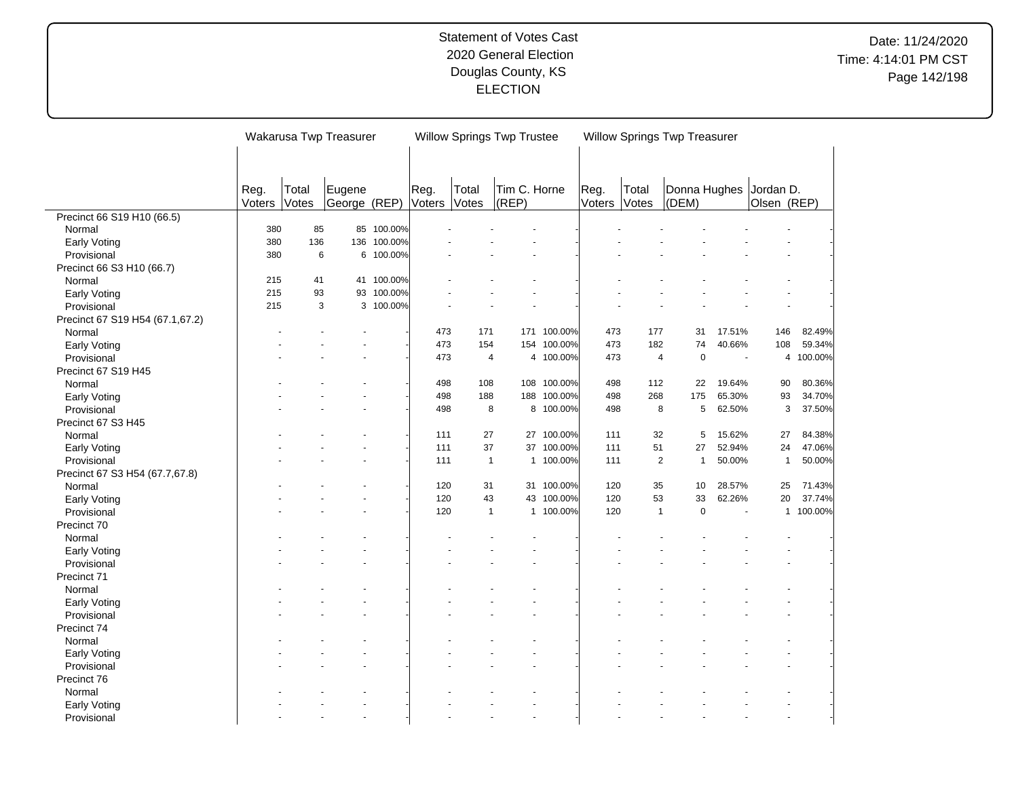|                                 |        |       | Wakarusa Twp Treasurer |            |        | <b>Willow Springs Twp Trustee</b> |              |             |        |                | Willow Springs Twp Treasurer |        |                |           |
|---------------------------------|--------|-------|------------------------|------------|--------|-----------------------------------|--------------|-------------|--------|----------------|------------------------------|--------|----------------|-----------|
|                                 |        |       |                        |            |        |                                   |              |             |        |                |                              |        |                |           |
|                                 |        |       |                        |            |        |                                   |              |             |        |                |                              |        |                |           |
|                                 |        |       |                        |            |        |                                   |              |             |        |                |                              |        |                |           |
|                                 | Reg.   | Total | Eugene                 |            | Reg.   | Total                             | Tim C. Horne |             | Reg.   | Total          | Donna Hughes                 |        | Jordan D.      |           |
|                                 | Voters | Votes | George (REP)           |            | Voters | Votes                             | (REP)        |             | Voters | Votes          | (DEM)                        |        | Olsen (REP)    |           |
| Precinct 66 S19 H10 (66.5)      |        |       |                        |            |        |                                   |              |             |        |                |                              |        |                |           |
| Normal                          | 380    | 85    |                        | 85 100.00% |        |                                   |              |             |        |                |                              |        |                |           |
| <b>Early Voting</b>             | 380    | 136   | 136                    | 100.00%    |        |                                   |              |             |        |                |                              |        |                |           |
| Provisional                     | 380    | 6     | 6                      | 100.00%    |        |                                   |              |             |        |                |                              |        |                |           |
| Precinct 66 S3 H10 (66.7)       |        |       |                        |            |        |                                   |              |             |        |                |                              |        |                |           |
| Normal                          | 215    | 41    |                        | 41 100.00% |        |                                   |              |             |        |                |                              |        |                |           |
| Early Voting                    | 215    | 93    |                        | 93 100.00% |        |                                   |              |             |        |                |                              |        |                |           |
| Provisional                     | 215    | 3     |                        | 3 100.00%  |        |                                   |              |             |        |                |                              |        |                |           |
| Precinct 67 S19 H54 (67.1,67.2) |        |       |                        |            |        |                                   |              |             |        |                |                              |        |                |           |
| Normal                          |        |       |                        |            | 473    | 171                               |              | 171 100.00% | 473    | 177            | 31                           | 17.51% | 146            | 82.49%    |
| <b>Early Voting</b>             |        |       |                        |            | 473    | 154                               |              | 154 100.00% | 473    | 182            | 74                           | 40.66% | 108            | 59.34%    |
| Provisional                     |        |       |                        |            | 473    | $\overline{4}$                    |              | 4 100.00%   | 473    | $\overline{4}$ | $\mathbf 0$                  | ÷,     | $\overline{4}$ | 100.00%   |
| Precinct 67 S19 H45             |        |       |                        |            |        |                                   |              |             |        |                |                              |        |                |           |
| Normal                          |        |       |                        |            | 498    | 108                               |              | 108 100.00% | 498    | 112            | 22                           | 19.64% | 90             | 80.36%    |
| <b>Early Voting</b>             |        |       |                        |            | 498    | 188                               | 188          | 100.00%     | 498    | 268            | 175                          | 65.30% | 93             | 34.70%    |
| Provisional                     |        |       |                        |            | 498    | 8                                 |              | 8 100.00%   | 498    | 8              | 5                            | 62.50% | 3              | 37.50%    |
| Precinct 67 S3 H45              |        |       |                        |            |        |                                   |              |             |        |                |                              |        |                |           |
| Normal                          |        |       |                        |            | 111    | 27                                |              | 27 100.00%  | 111    | 32             | 5                            | 15.62% | 27             | 84.38%    |
| Early Voting                    |        |       |                        |            | 111    | 37                                |              | 37 100.00%  | 111    | 51             | 27                           | 52.94% | 24             | 47.06%    |
| Provisional                     |        |       |                        |            | 111    | $\mathbf{1}$                      |              | 1 100.00%   | 111    | $\overline{2}$ | $\mathbf{1}$                 | 50.00% | $\overline{1}$ | 50.00%    |
| Precinct 67 S3 H54 (67.7,67.8)  |        |       |                        |            |        |                                   |              |             |        |                |                              |        |                |           |
| Normal                          |        |       |                        |            | 120    | 31                                |              | 31 100.00%  | 120    | 35             | 10                           | 28.57% | 25             | 71.43%    |
| <b>Early Voting</b>             |        |       |                        |            | 120    | 43                                |              | 43 100.00%  | 120    | 53             | 33                           | 62.26% | 20             | 37.74%    |
| Provisional                     |        |       |                        |            | 120    | $\mathbf{1}$                      |              | 1 100.00%   | 120    | $\mathbf{1}$   | $\mathbf 0$                  |        |                | 1 100.00% |
| Precinct 70                     |        |       |                        |            |        |                                   |              |             |        |                |                              |        |                |           |
| Normal                          |        |       |                        |            |        |                                   |              |             |        |                |                              |        |                |           |
| Early Voting                    |        |       |                        |            |        |                                   |              |             |        |                |                              |        |                |           |
| Provisional                     |        |       |                        |            |        |                                   |              |             |        |                |                              |        |                |           |
| Precinct 71                     |        |       |                        |            |        |                                   |              |             |        |                |                              |        |                |           |
| Normal                          |        |       |                        |            |        |                                   |              |             |        |                |                              |        |                |           |
| Early Voting                    |        |       |                        |            |        |                                   |              |             |        |                |                              |        |                |           |
| Provisional                     |        |       |                        |            |        |                                   |              |             |        |                |                              |        |                |           |
| Precinct 74                     |        |       |                        |            |        |                                   |              |             |        |                |                              |        |                |           |
| Normal                          |        |       |                        |            |        |                                   |              |             |        |                |                              |        |                |           |
| <b>Early Voting</b>             |        |       |                        |            |        |                                   |              |             |        |                |                              |        |                |           |
| Provisional                     |        |       |                        |            |        |                                   |              |             |        |                |                              |        |                |           |
| Precinct 76                     |        |       |                        |            |        |                                   |              |             |        |                |                              |        |                |           |
| Normal                          |        |       |                        |            |        |                                   |              |             |        |                |                              |        |                |           |
| Early Voting                    |        |       |                        |            |        |                                   |              |             |        |                |                              |        |                |           |
| Provisional                     |        |       |                        |            |        |                                   |              |             |        |                |                              |        |                |           |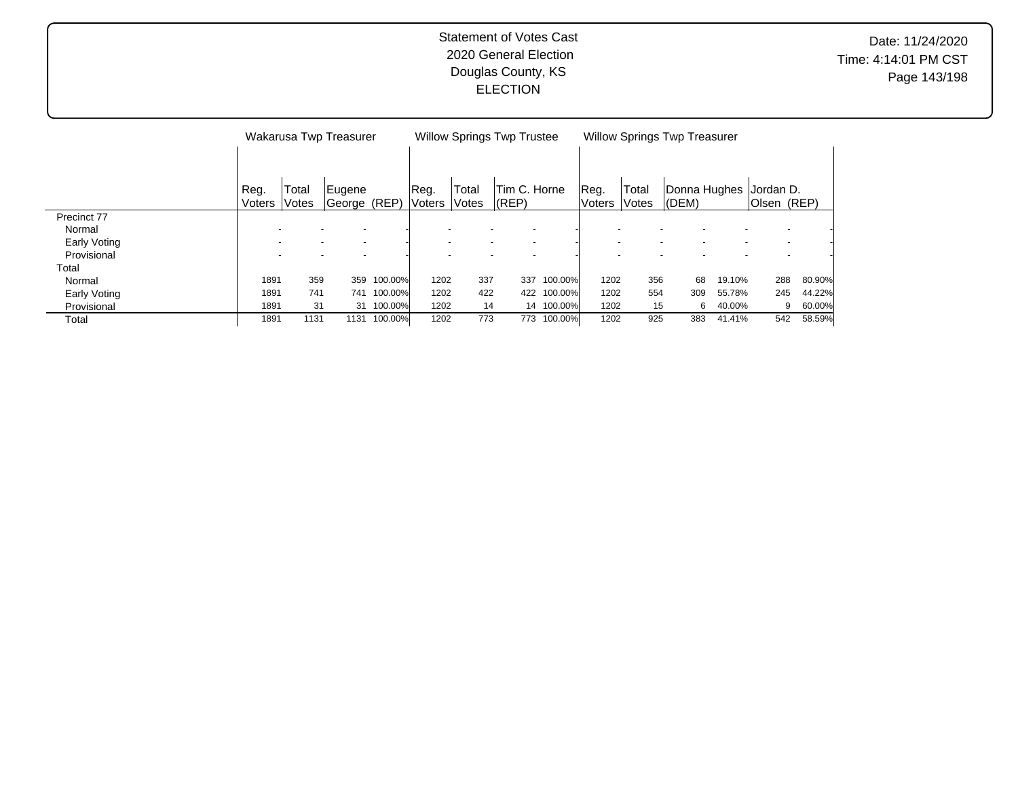|              |               |       | Wakarusa Twp Treasurer   |            |        |                          | <b>Willow Springs Twp Trustee</b> |                          |               |       | <b>Willow Springs Twp Treasurer</b> |        |             |        |
|--------------|---------------|-------|--------------------------|------------|--------|--------------------------|-----------------------------------|--------------------------|---------------|-------|-------------------------------------|--------|-------------|--------|
|              |               |       |                          |            |        |                          |                                   |                          |               |       |                                     |        |             |        |
|              |               |       |                          |            |        |                          |                                   |                          |               |       |                                     |        |             |        |
|              | Reg.          | Total | Eugene                   |            | Reg.   | Total                    | Tim C. Horne                      |                          | Reg.          | Total | Donna Hughes                        |        | Jordan D.   |        |
|              | <b>Voters</b> | Votes | George (REP)             |            | Voters | Votes                    | $ $ (REP)                         |                          | <b>Voters</b> | Votes | $ $ (DEM)                           |        | Olsen (REP) |        |
| Precinct 77  |               |       |                          |            |        |                          |                                   |                          |               |       |                                     |        |             |        |
| Normal       |               |       | $\overline{\phantom{a}}$ |            |        |                          |                                   |                          |               |       |                                     |        |             |        |
| Early Voting |               |       | $\overline{\phantom{0}}$ |            |        | $\overline{\phantom{a}}$ |                                   | $\overline{\phantom{a}}$ |               |       |                                     |        |             |        |
| Provisional  |               |       |                          |            |        |                          |                                   |                          |               |       |                                     |        |             |        |
| Total        |               |       |                          |            |        |                          |                                   |                          |               |       |                                     |        |             |        |
| Normal       | 1891          | 359   | 359                      | 100.00%    | 1202   | 337                      | 337                               | 100.00%                  | 1202          | 356   | 68                                  | 19.10% | 288         | 80.90% |
| Early Voting | 1891          | 741   | 741                      | 100.00%    | 1202   | 422                      | 422                               | 100.00%                  | 1202          | 554   | 309                                 | 55.78% | 245         | 44.22% |
| Provisional  | 1891          | 31    |                          | 31 100.00% | 1202   | 14                       |                                   | 14 100.00%               | 1202          | 15    | 6                                   | 40.00% | 9           | 60.00% |
| Total        | 1891          | 1131  | 1131                     | 100.00%    | 1202   | 773                      | 773                               | 100.00%                  | 1202          | 925   | 383                                 | 41.41% | 542         | 58.59% |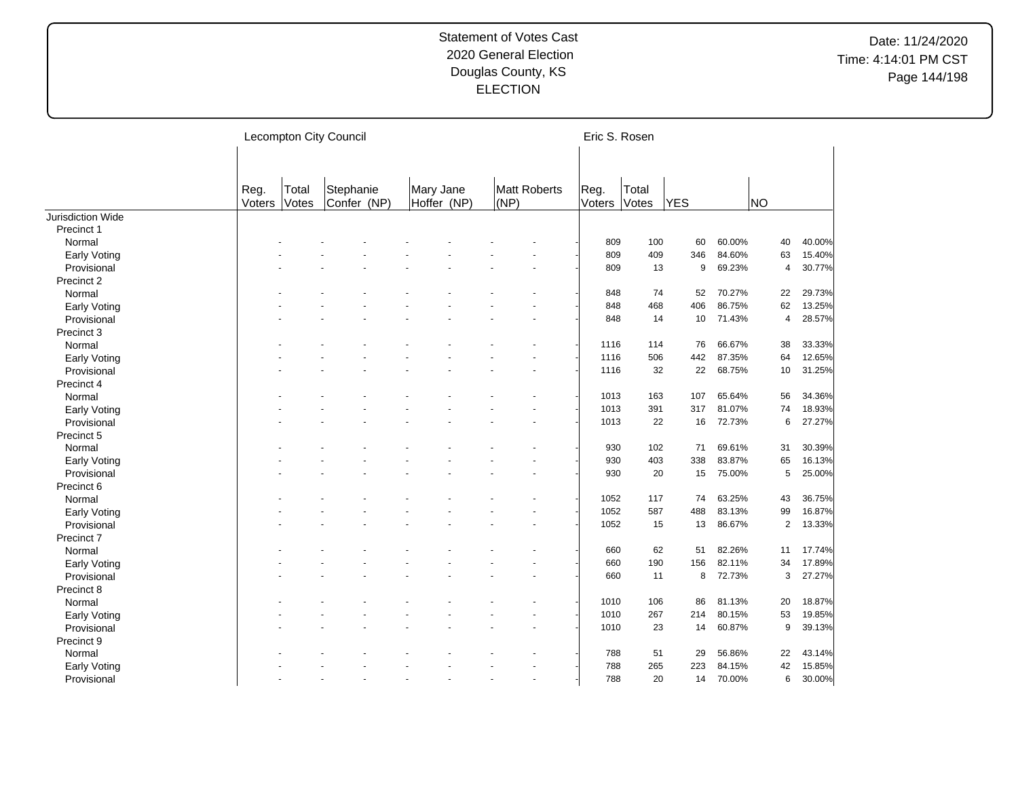|                     |                |                | <b>Lecompton City Council</b> |                          |      |              | Eric S. Rosen  |                |            |        |                |        |
|---------------------|----------------|----------------|-------------------------------|--------------------------|------|--------------|----------------|----------------|------------|--------|----------------|--------|
|                     | Reg.<br>Voters | Total<br>Votes | Stephanie<br>Confer (NP)      | Mary Jane<br>Hoffer (NP) | (NP) | Matt Roberts | Reg.<br>Voters | Total<br>Votes | <b>YES</b> |        | NO)            |        |
| Jurisdiction Wide   |                |                |                               |                          |      |              |                |                |            |        |                |        |
| Precinct 1          |                |                |                               |                          |      |              |                |                |            |        |                |        |
| Normal              |                |                |                               |                          |      |              | 809            | 100            | 60         | 60.00% | 40             | 40.00% |
| <b>Early Voting</b> |                |                |                               |                          |      |              | 809            | 409            | 346        | 84.60% | 63             | 15.40% |
| Provisional         |                |                |                               |                          |      |              | 809            | 13             | 9          | 69.23% | $\overline{4}$ | 30.77% |
| Precinct 2          |                |                |                               |                          |      |              |                |                |            |        |                |        |
| Normal              |                |                |                               |                          |      |              | 848            | 74             | 52         | 70.27% | 22             | 29.73% |
| Early Voting        |                |                |                               |                          |      |              | 848            | 468            | 406        | 86.75% | 62             | 13.25% |
| Provisional         |                |                |                               |                          |      |              | 848            | 14             | 10         | 71.43% | 4              | 28.57% |
| Precinct 3          |                |                |                               |                          |      |              |                |                |            |        |                |        |
| Normal              |                |                |                               |                          |      |              | 1116           | 114            | 76         | 66.67% | 38             | 33.33% |
| Early Voting        |                |                |                               |                          |      |              | 1116           | 506            | 442        | 87.35% | 64             | 12.65% |
| Provisional         |                |                |                               |                          |      |              | 1116           | 32             | 22         | 68.75% | 10             | 31.25% |
| Precinct 4          |                |                |                               |                          |      |              |                |                |            |        |                |        |
| Normal              |                |                |                               |                          |      |              | 1013           | 163            | 107        | 65.64% | 56             | 34.36% |
| <b>Early Voting</b> |                |                |                               |                          |      |              | 1013           | 391            | 317        | 81.07% | 74             | 18.93% |
| Provisional         |                |                |                               |                          |      |              | 1013           | 22             | 16         | 72.73% | 6              | 27.27% |
| Precinct 5          |                |                |                               |                          |      |              |                |                |            |        |                |        |
| Normal              |                |                |                               |                          |      |              | 930            | 102            | 71         | 69.61% | 31             | 30.39% |
| <b>Early Voting</b> |                |                |                               |                          |      |              | 930            | 403            | 338        | 83.87% | 65             | 16.13% |
| Provisional         |                |                |                               |                          |      |              | 930            | 20             | 15         | 75.00% | 5              | 25.00% |
| Precinct 6          |                |                |                               |                          |      |              |                |                |            |        |                |        |
| Normal              |                |                |                               |                          |      |              | 1052           | 117            | 74         | 63.25% | 43             | 36.75% |
| Early Voting        |                |                |                               |                          |      |              | 1052           | 587            | 488        | 83.13% | 99             | 16.87% |
| Provisional         |                |                |                               |                          |      |              | 1052           | 15             | 13         | 86.67% | $\overline{2}$ | 13.33% |
| Precinct 7          |                |                |                               |                          |      |              |                |                |            |        |                |        |
| Normal              |                |                |                               |                          |      |              | 660            | 62             | 51         | 82.26% | 11             | 17.74% |
| Early Voting        |                |                |                               |                          |      |              | 660            | 190            | 156        | 82.11% | 34             | 17.89% |
| Provisional         |                |                |                               |                          |      |              | 660            | 11             | 8          | 72.73% | 3              | 27.27% |
| Precinct 8          |                |                |                               |                          |      |              |                |                |            |        |                |        |
| Normal              |                |                |                               |                          |      |              | 1010           | 106            | 86         | 81.13% | 20             | 18.87% |
| Early Voting        |                |                |                               |                          |      |              | 1010           | 267            | 214        | 80.15% | 53             | 19.85% |
| Provisional         |                |                |                               |                          |      |              | 1010           | 23             | 14         | 60.87% | 9              | 39.13% |
| Precinct 9          |                |                |                               |                          |      |              |                |                |            |        |                |        |
| Normal              |                |                |                               |                          |      |              | 788            | 51             | 29         | 56.86% | 22             | 43.14% |
|                     |                |                |                               |                          |      |              | 788            | 265            | 223        | 84.15% | 42             | 15.85% |
| Early Voting        |                |                |                               |                          |      |              | 788            | 20             | 14         | 70.00% | 6              | 30.00% |
| Provisional         |                |                |                               |                          |      |              |                |                |            |        |                |        |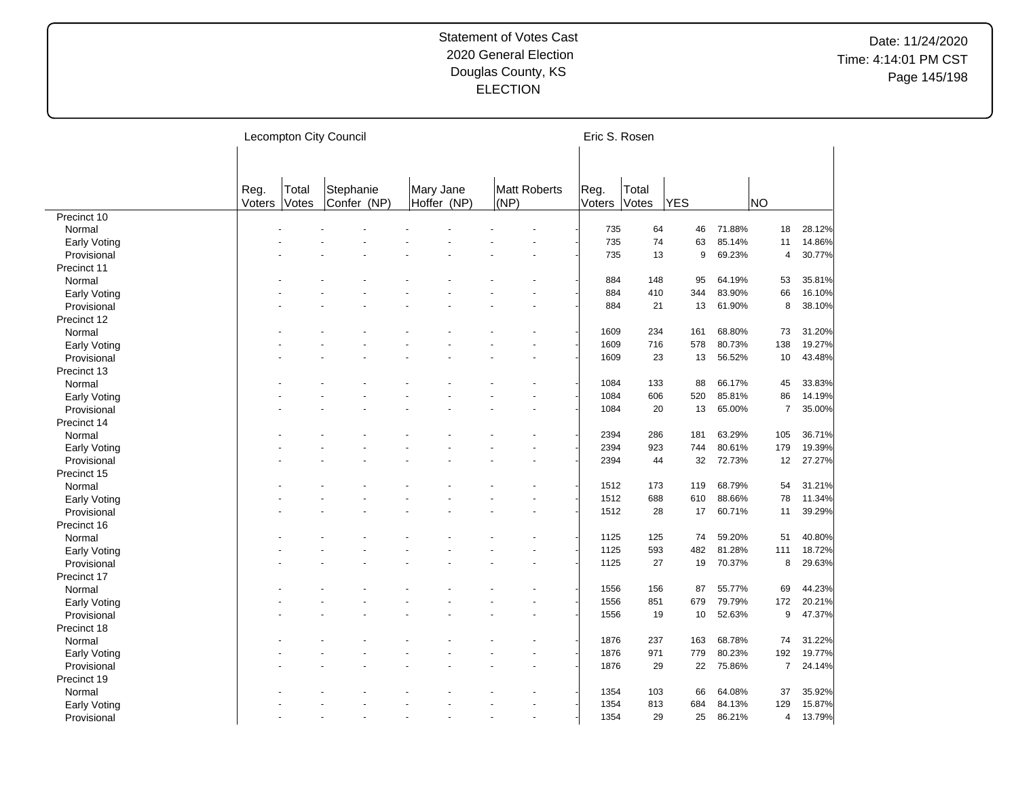|                     |                |                | Lecompton City Council   |                          |      |              | Eric S. Rosen  |                |            |        |                |        |
|---------------------|----------------|----------------|--------------------------|--------------------------|------|--------------|----------------|----------------|------------|--------|----------------|--------|
|                     | Reg.<br>Voters | Total<br>Votes | Stephanie<br>Confer (NP) | Mary Jane<br>Hoffer (NP) | (NP) | Matt Roberts | Reg.<br>Voters | Total<br>Votes | <b>YES</b> |        | <b>NO</b>      |        |
| Precinct 10         |                |                |                          |                          |      |              |                |                |            |        |                |        |
| Normal              |                |                |                          |                          |      |              | 735            | 64             | 46         | 71.88% | 18             | 28.12% |
| <b>Early Voting</b> |                |                |                          |                          |      |              | 735            | 74             | 63         | 85.14% | 11             | 14.86% |
| Provisional         |                |                |                          |                          |      |              | 735            | 13             | 9          | 69.23% | 4              | 30.77% |
| Precinct 11         |                |                |                          |                          |      |              |                |                |            |        |                |        |
| Normal              |                |                |                          |                          |      |              | 884            | 148            | 95         | 64.19% | 53             | 35.81% |
| <b>Early Voting</b> |                |                |                          |                          |      |              | 884            | 410            | 344        | 83.90% | 66             | 16.10% |
| Provisional         |                |                |                          |                          |      |              | 884            | 21             | 13         | 61.90% | 8              | 38.10% |
| Precinct 12         |                |                |                          |                          |      |              |                |                |            |        |                |        |
| Normal              |                |                |                          |                          |      |              | 1609           | 234            | 161        | 68.80% | 73             | 31.20% |
| Early Voting        |                |                |                          |                          |      |              | 1609           | 716            | 578        | 80.73% | 138            | 19.27% |
| Provisional         |                |                |                          |                          |      |              | 1609           | 23             | 13         | 56.52% | 10             | 43.48% |
| Precinct 13         |                |                |                          |                          |      |              |                |                |            |        |                |        |
| Normal              |                |                |                          |                          |      |              | 1084           | 133            | 88         | 66.17% | 45             | 33.83% |
| <b>Early Voting</b> |                |                |                          |                          |      |              | 1084           | 606            | 520        | 85.81% | 86             | 14.19% |
| Provisional         |                |                |                          |                          |      |              | 1084           | 20             | 13         | 65.00% | $\overline{7}$ | 35.00% |
| Precinct 14         |                |                |                          |                          |      |              |                |                |            |        |                |        |
| Normal              |                |                |                          |                          |      |              | 2394           | 286            | 181        | 63.29% | 105            | 36.71% |
| Early Voting        |                |                |                          |                          |      |              | 2394           | 923            | 744        | 80.61% | 179            | 19.39% |
| Provisional         |                |                |                          |                          |      |              | 2394           | 44             | 32         | 72.73% | 12             | 27.27% |
| Precinct 15         |                |                |                          |                          |      |              |                |                |            |        |                |        |
| Normal              |                |                |                          |                          |      |              | 1512           | 173            | 119        | 68.79% | 54             | 31.21% |
| <b>Early Voting</b> |                |                |                          |                          |      |              | 1512           | 688            | 610        | 88.66% | 78             | 11.34% |
| Provisional         |                |                |                          |                          |      |              | 1512           | 28             | 17         | 60.71% | 11             | 39.29% |
|                     |                |                |                          |                          |      |              |                |                |            |        |                |        |
| Precinct 16         |                |                |                          |                          |      |              | 1125           | 125            | 74         | 59.20% | 51             | 40.80% |
| Normal              |                |                |                          |                          |      |              | 1125           | 593            | 482        | 81.28% | 111            |        |
| <b>Early Voting</b> |                |                |                          |                          |      |              |                | 27             |            |        | 8              | 18.72% |
| Provisional         |                |                |                          |                          |      |              | 1125           |                | 19         | 70.37% |                | 29.63% |
| Precinct 17         |                |                |                          |                          |      |              |                |                |            |        |                |        |
| Normal              |                |                |                          |                          |      |              | 1556           | 156            | 87         | 55.77% | 69             | 44.23% |
| Early Voting        |                |                |                          |                          |      |              | 1556           | 851            | 679        | 79.79% | 172            | 20.21% |
| Provisional         |                |                |                          |                          |      |              | 1556           | 19             | 10         | 52.63% | 9              | 47.37% |
| Precinct 18         |                |                |                          |                          |      |              |                |                |            |        |                |        |
| Normal              |                |                |                          |                          |      |              | 1876           | 237            | 163        | 68.78% | 74             | 31.22% |
| <b>Early Voting</b> |                |                |                          |                          |      |              | 1876           | 971            | 779        | 80.23% | 192            | 19.77% |
| Provisional         |                |                |                          |                          |      |              | 1876           | 29             | 22         | 75.86% | $\overline{7}$ | 24.14% |
| Precinct 19         |                |                |                          |                          |      |              |                |                |            |        |                |        |
| Normal              |                |                |                          |                          |      |              | 1354           | 103            | 66         | 64.08% | 37             | 35.92% |
| <b>Early Voting</b> |                |                |                          |                          |      |              | 1354           | 813            | 684        | 84.13% | 129            | 15.87% |
| Provisional         |                |                |                          |                          |      |              | 1354           | 29             | 25         | 86.21% | $\overline{4}$ | 13.79% |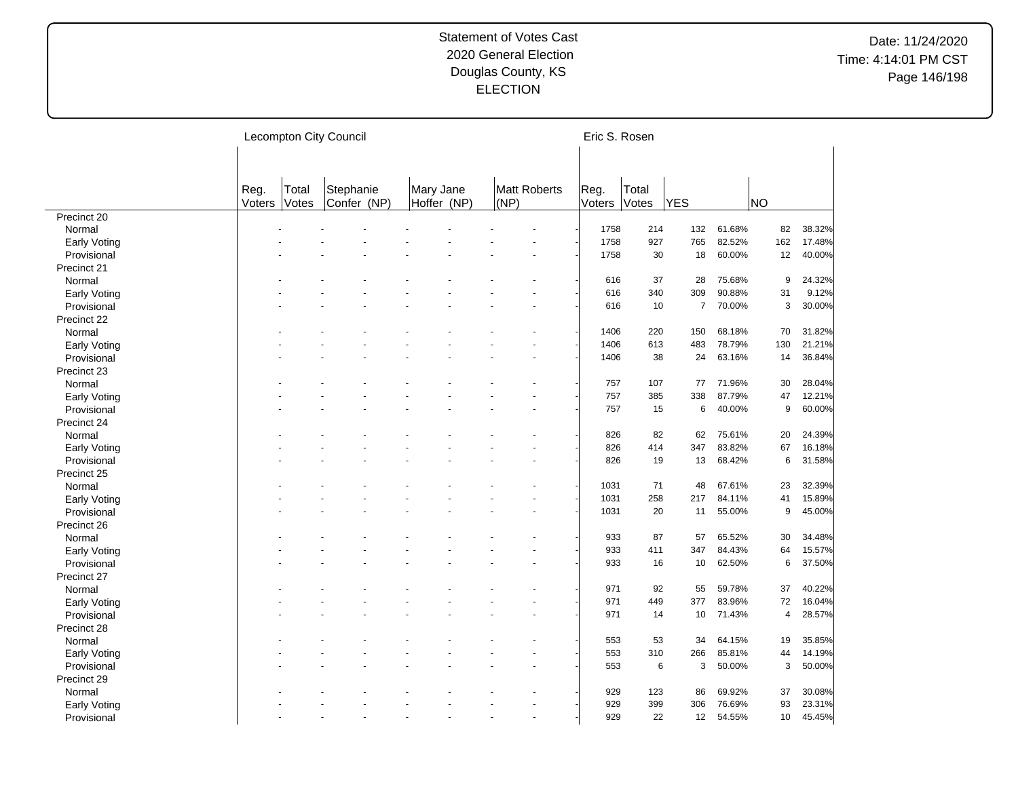|              |                |                | Lecompton City Council   |                          |                      | Eric S. Rosen  |                |                |        |                |        |
|--------------|----------------|----------------|--------------------------|--------------------------|----------------------|----------------|----------------|----------------|--------|----------------|--------|
|              | Reg.<br>Voters | Total<br>Votes | Stephanie<br>Confer (NP) | Mary Jane<br>Hoffer (NP) | Matt Roberts<br>(NP) | Reg.<br>Voters | Total<br>Votes | <b>YES</b>     |        | NO)            |        |
| Precinct 20  |                |                |                          |                          |                      |                |                |                |        |                |        |
| Normal       |                |                |                          |                          |                      | 1758           | 214            | 132            | 61.68% | 82             | 38.32% |
| Early Voting |                |                |                          |                          |                      | 1758           | 927            | 765            | 82.52% | 162            | 17.48% |
| Provisional  |                |                |                          |                          |                      | 1758           | 30             | 18             | 60.00% | 12             | 40.00% |
| Precinct 21  |                |                |                          |                          |                      |                |                |                |        |                |        |
| Normal       |                |                |                          |                          |                      | 616            | 37             | 28             | 75.68% | 9              | 24.32% |
| Early Voting |                |                |                          |                          |                      | 616            | 340            | 309            | 90.88% | 31             | 9.12%  |
| Provisional  |                |                |                          |                          |                      | 616            | 10             | $\overline{7}$ | 70.00% | 3              | 30.00% |
| Precinct 22  |                |                |                          |                          |                      |                |                |                |        |                |        |
| Normal       |                |                |                          |                          |                      | 1406           | 220            | 150            | 68.18% | 70             | 31.82% |
| Early Voting |                |                |                          |                          |                      | 1406           | 613            | 483            | 78.79% | 130            | 21.21% |
| Provisional  |                |                |                          |                          |                      | 1406           | 38             | 24             | 63.16% | 14             | 36.84% |
| Precinct 23  |                |                |                          |                          |                      |                |                |                |        |                |        |
| Normal       |                |                |                          |                          |                      | 757            | 107            | 77             | 71.96% | 30             | 28.04% |
| Early Voting |                |                |                          |                          |                      | 757            | 385            | 338            | 87.79% | 47             | 12.21% |
| Provisional  |                |                |                          |                          |                      | 757            | 15             | 6              | 40.00% | 9              | 60.00% |
| Precinct 24  |                |                |                          |                          |                      |                |                |                |        |                |        |
| Normal       |                |                |                          |                          |                      | 826            | 82             | 62             | 75.61% | 20             | 24.39% |
| Early Voting |                |                |                          |                          |                      | 826            | 414            | 347            | 83.82% | 67             | 16.18% |
| Provisional  |                |                |                          |                          |                      | 826            | 19             | 13             | 68.42% | 6              | 31.58% |
| Precinct 25  |                |                |                          |                          |                      |                |                |                |        |                |        |
| Normal       |                |                |                          |                          |                      | 1031           | 71             | 48             | 67.61% | 23             | 32.39% |
| Early Voting |                |                |                          |                          |                      | 1031           | 258            | 217            | 84.11% | 41             | 15.89% |
| Provisional  |                |                |                          |                          |                      | 1031           | 20             | 11             | 55.00% | 9              | 45.00% |
| Precinct 26  |                |                |                          |                          |                      |                |                |                |        |                |        |
| Normal       |                |                |                          |                          |                      | 933            | 87             | 57             | 65.52% | 30             | 34.48% |
| Early Voting |                |                |                          |                          |                      | 933            | 411            | 347            | 84.43% | 64             | 15.57% |
| Provisional  |                |                |                          |                          |                      | 933            | 16             | 10             | 62.50% | 6              | 37.50% |
| Precinct 27  |                |                |                          |                          |                      |                |                |                |        |                |        |
| Normal       |                |                |                          |                          |                      | 971            | 92             | 55             | 59.78% | 37             | 40.22% |
|              |                |                |                          |                          |                      | 971            | 449            | 377            | 83.96% | 72             | 16.04% |
| Early Voting |                |                |                          |                          |                      | 971            |                | 10             | 71.43% | $\overline{4}$ |        |
| Provisional  |                |                |                          |                          |                      |                | 14             |                |        |                | 28.57% |
| Precinct 28  |                |                |                          |                          |                      |                |                |                |        |                |        |
| Normal       |                |                |                          |                          |                      | 553            | 53             | 34             | 64.15% | 19             | 35.85% |
| Early Voting |                |                |                          |                          |                      | 553            | 310            | 266            | 85.81% | 44             | 14.19% |
| Provisional  |                |                |                          |                          |                      | 553            | 6              | 3              | 50.00% | 3              | 50.00% |
| Precinct 29  |                |                |                          |                          |                      |                |                |                |        |                |        |
| Normal       |                |                |                          |                          |                      | 929            | 123            | 86             | 69.92% | 37             | 30.08% |
| Early Voting |                |                |                          |                          |                      | 929            | 399            | 306            | 76.69% | 93             | 23.31% |
| Provisional  |                |                |                          |                          | $\overline{a}$       | 929            | 22             | 12             | 54.55% | 10             | 45.45% |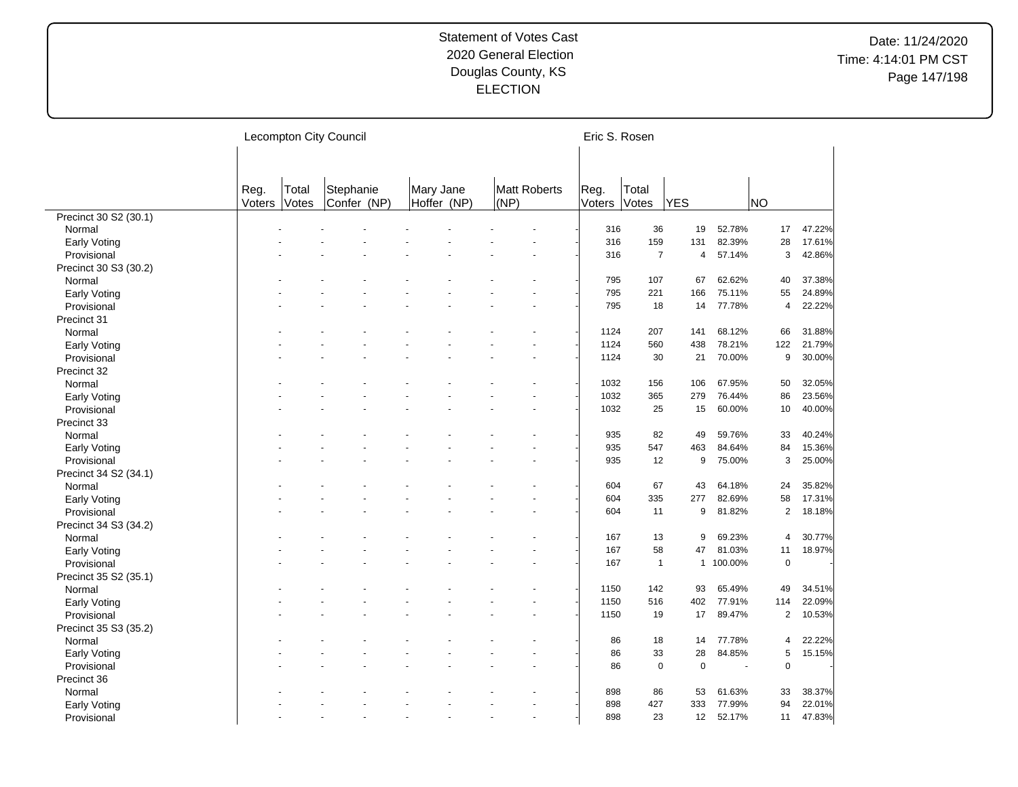|                       |                |                | Lecompton City Council   |                          |                      |                | Eric S. Rosen         |              |         |                |        |
|-----------------------|----------------|----------------|--------------------------|--------------------------|----------------------|----------------|-----------------------|--------------|---------|----------------|--------|
|                       | Reg.<br>Voters | Total<br>Votes | Stephanie<br>Confer (NP) | Mary Jane<br>Hoffer (NP) | Matt Roberts<br>(NP) | Reg.<br>Voters | Total<br>Votes        | <b>YES</b>   |         | NO             |        |
| Precinct 30 S2 (30.1) |                |                |                          |                          |                      |                |                       |              |         |                |        |
| Normal                |                |                |                          |                          |                      |                | 36<br>316             | 19           | 52.78%  | 17             | 47.22% |
| Early Voting          |                |                |                          |                          |                      |                | 316<br>159            | 131          | 82.39%  | 28             | 17.61% |
| Provisional           |                |                |                          |                          |                      |                | $\overline{7}$<br>316 | 4            | 57.14%  | 3              | 42.86% |
| Precinct 30 S3 (30.2) |                |                |                          |                          |                      |                |                       |              |         |                |        |
| Normal                |                |                |                          |                          |                      |                | 107<br>795            | 67           | 62.62%  | 40             | 37.38% |
| Early Voting          |                |                |                          |                          |                      |                | 795<br>221            | 166          | 75.11%  | 55             | 24.89% |
| Provisional           |                |                |                          |                          |                      |                | 795<br>18             | 14           | 77.78%  | 4              | 22.22% |
| Precinct 31           |                |                |                          |                          |                      |                |                       |              |         |                |        |
| Normal                |                |                |                          |                          |                      |                | 207<br>1124           | 141          | 68.12%  | 66             | 31.88% |
| Early Voting          |                |                |                          |                          |                      |                | 1124<br>560           | 438          | 78.21%  | 122            | 21.79% |
| Provisional           |                |                |                          |                          |                      |                | 1124<br>30            | 21           | 70.00%  | 9              | 30.00% |
| Precinct 32           |                |                |                          |                          |                      |                |                       |              |         |                |        |
| Normal                |                |                |                          |                          |                      |                | 1032<br>156           | 106          | 67.95%  | 50             | 32.05% |
|                       |                |                |                          |                          |                      |                | 1032<br>365           | 279          | 76.44%  | 86             | 23.56% |
| Early Voting          |                |                |                          |                          |                      |                | 1032<br>25            | 15           | 60.00%  | 10             | 40.00% |
| Provisional           |                |                |                          |                          |                      |                |                       |              |         |                |        |
| Precinct 33           |                |                |                          |                          |                      |                |                       |              |         |                |        |
| Normal                |                |                |                          |                          |                      |                | 82<br>935             | 49           | 59.76%  | 33             | 40.24% |
| Early Voting          |                |                |                          |                          |                      |                | 547<br>935            | 463          | 84.64%  | 84             | 15.36% |
| Provisional           |                |                |                          |                          |                      |                | 12<br>935             | 9            | 75.00%  | 3              | 25.00% |
| Precinct 34 S2 (34.1) |                |                |                          |                          |                      |                |                       |              |         |                |        |
| Normal                |                |                |                          |                          |                      |                | 67<br>604             | 43           | 64.18%  | 24             | 35.82% |
| Early Voting          |                |                |                          |                          |                      |                | 604<br>335            | 277          | 82.69%  | 58             | 17.31% |
| Provisional           |                |                |                          |                          |                      |                | 604<br>11             | 9            | 81.82%  | $\overline{c}$ | 18.18% |
| Precinct 34 S3 (34.2) |                |                |                          |                          |                      |                |                       |              |         |                |        |
| Normal                |                |                |                          |                          |                      |                | 167<br>13             | 9            | 69.23%  | 4              | 30.77% |
| Early Voting          |                |                |                          |                          |                      |                | 167<br>58             | 47           | 81.03%  | 11             | 18.97% |
| Provisional           |                |                |                          |                          |                      |                | 167<br>$\overline{1}$ | $\mathbf{1}$ | 100.00% | $\mathbf 0$    |        |
| Precinct 35 S2 (35.1) |                |                |                          |                          |                      |                |                       |              |         |                |        |
| Normal                |                |                |                          |                          |                      |                | 1150<br>142           | 93           | 65.49%  | 49             | 34.51% |
| Early Voting          |                |                |                          |                          |                      |                | 1150<br>516           | 402          | 77.91%  | 114            | 22.09% |
| Provisional           |                |                |                          |                          |                      |                | 1150<br>19            | 17           | 89.47%  | $\overline{a}$ | 10.53% |
| Precinct 35 S3 (35.2) |                |                |                          |                          |                      |                |                       |              |         |                |        |
| Normal                |                |                |                          |                          |                      |                | 18<br>86              | 14           | 77.78%  | 4              | 22.22% |
| Early Voting          |                |                |                          |                          |                      |                | 33<br>86              | 28           | 84.85%  | 5              | 15.15% |
| Provisional           |                |                |                          |                          |                      |                | $\mathbf 0$<br>86     | $\mathbf 0$  | ÷,      | $\mathbf 0$    |        |
| Precinct 36           |                |                |                          |                          |                      |                |                       |              |         |                |        |
| Normal                |                |                |                          |                          |                      |                | 898<br>86             | 53           | 61.63%  | 33             | 38.37% |
| Early Voting          |                |                |                          |                          |                      |                | 898<br>427            | 333          | 77.99%  | 94             | 22.01% |
| Provisional           |                |                |                          |                          | $\overline{a}$       |                | 898<br>23             | 12           | 52.17%  | 11             | 47.83% |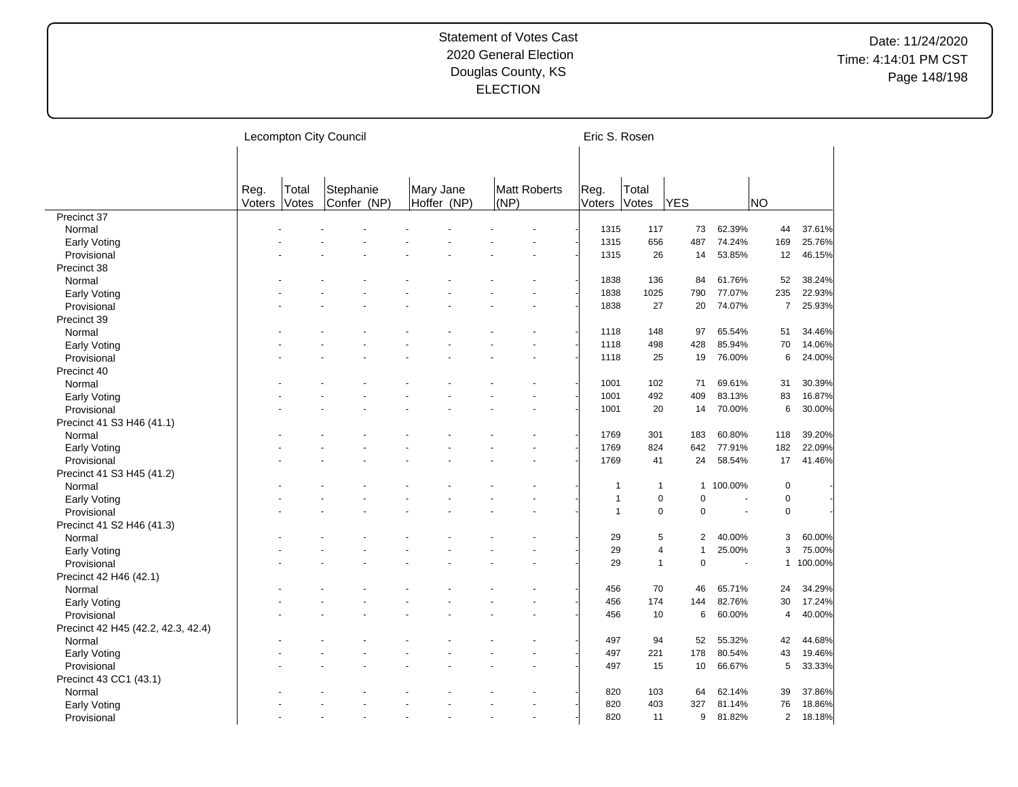|                                     |                |                | Lecompton City Council   |                          |                      | Eric S. Rosen  |                         |                |         |                |         |
|-------------------------------------|----------------|----------------|--------------------------|--------------------------|----------------------|----------------|-------------------------|----------------|---------|----------------|---------|
|                                     |                |                |                          |                          |                      |                |                         |                |         |                |         |
|                                     | Reg.<br>Voters | Total<br>Votes | Stephanie<br>Confer (NP) | Mary Jane<br>Hoffer (NP) | Matt Roberts<br>(NP) | Reg.<br>Voters | Total<br>Votes          | <b>YES</b>     |         | NO)            |         |
| Precinct 37                         |                |                |                          |                          |                      |                |                         |                |         |                |         |
| Normal                              |                |                |                          |                          |                      | 1315           | 117                     | 73             | 62.39%  | 44             | 37.61%  |
| Early Voting                        |                |                |                          |                          |                      | 1315           | 656                     | 487            | 74.24%  | 169            | 25.76%  |
| Provisional                         |                |                |                          |                          |                      | 1315           | 26                      | 14             | 53.85%  | 12             | 46.15%  |
| Precinct 38                         |                |                |                          |                          |                      |                |                         |                |         |                |         |
| Normal                              |                |                |                          |                          |                      | 1838           | 136                     | 84             | 61.76%  | 52             | 38.24%  |
| Early Voting                        |                |                |                          |                          |                      | 1838           | 1025                    | 790            | 77.07%  | 235            | 22.93%  |
| Provisional                         |                |                |                          |                          |                      | 1838           | 27                      | 20             | 74.07%  | $\overline{7}$ | 25.93%  |
| Precinct 39                         |                |                |                          |                          |                      |                |                         |                |         |                |         |
| Normal                              |                |                |                          |                          |                      | 1118           | 148                     | 97             | 65.54%  | 51             | 34.46%  |
| <b>Early Voting</b>                 |                |                |                          |                          |                      | 1118           | 498                     | 428            | 85.94%  | 70             | 14.06%  |
| Provisional                         |                |                |                          |                          |                      | 1118           | 25                      | 19             | 76.00%  | 6              | 24.00%  |
| Precinct 40                         |                |                |                          |                          |                      |                |                         |                |         |                |         |
| Normal                              |                |                |                          |                          |                      | 1001           | 102                     | 71             | 69.61%  | 31             | 30.39%  |
| Early Voting                        |                |                |                          |                          |                      | 1001           | 492                     | 409            | 83.13%  | 83             | 16.87%  |
| Provisional                         |                |                |                          |                          |                      | 1001           | 20                      | 14             | 70.00%  | 6              | 30.00%  |
| Precinct 41 S3 H46 (41.1)           |                |                |                          |                          |                      |                |                         |                |         |                |         |
| Normal                              |                |                |                          |                          |                      | 1769           | 301                     | 183            | 60.80%  | 118            | 39.20%  |
| <b>Early Voting</b>                 |                |                |                          |                          |                      | 1769           | 824                     | 642            | 77.91%  | 182            | 22.09%  |
| Provisional                         |                |                |                          |                          |                      | 1769           | 41                      | 24             | 58.54%  | 17             | 41.46%  |
| Precinct 41 S3 H45 (41.2)           |                |                |                          |                          |                      |                |                         |                |         |                |         |
| Normal                              |                |                |                          |                          |                      | $\mathbf{1}$   | $\mathbf 1$             | 1              | 100.00% | $\pmb{0}$      |         |
| Early Voting                        |                |                |                          |                          |                      | $\mathbf{1}$   | $\pmb{0}$               | 0              | ÷.      | $\pmb{0}$      |         |
| Provisional                         |                |                |                          |                          |                      | $\overline{1}$ | $\mathbf 0$             | $\mathbf 0$    | ÷,      | $\mathbf 0$    |         |
|                                     |                |                |                          |                          |                      |                |                         |                |         |                |         |
| Precinct 41 S2 H46 (41.3)<br>Normal |                |                |                          |                          |                      | 29             | 5                       | 2              | 40.00%  | 3              | 60.00%  |
|                                     |                |                |                          |                          |                      | 29             | $\overline{\mathbf{4}}$ | $\overline{1}$ | 25.00%  | 3              | 75.00%  |
| Early Voting                        |                |                |                          |                          |                      | 29             | $\mathbf{1}$            | $\mathbf 0$    | ÷.      | $\mathbf{1}$   | 100.00% |
| Provisional                         |                |                |                          |                          |                      |                |                         |                |         |                |         |
| Precinct 42 H46 (42.1)              |                |                |                          |                          |                      |                | 70                      | 46             | 65.71%  |                | 34.29%  |
| Normal                              |                |                |                          |                          |                      | 456            |                         |                |         | 24             |         |
| <b>Early Voting</b>                 |                |                |                          |                          |                      | 456            | 174                     | 144            | 82.76%  | 30             | 17.24%  |
| Provisional                         |                |                |                          |                          |                      | 456            | 10                      | 6              | 60.00%  | 4              | 40.00%  |
| Precinct 42 H45 (42.2, 42.3, 42.4)  |                |                |                          |                          |                      |                |                         |                |         |                |         |
| Normal                              |                |                |                          |                          |                      | 497            | 94                      | 52             | 55.32%  | 42             | 44.68%  |
| <b>Early Voting</b>                 |                |                |                          |                          |                      | 497            | 221                     | 178            | 80.54%  | 43             | 19.46%  |
| Provisional                         |                |                |                          |                          |                      | 497            | 15                      | 10             | 66.67%  | 5              | 33.33%  |
| Precinct 43 CC1 (43.1)              |                |                |                          |                          |                      |                |                         |                |         |                |         |
| Normal                              |                |                |                          |                          |                      | 820            | 103                     | 64             | 62.14%  | 39             | 37.86%  |
| <b>Early Voting</b>                 |                |                |                          |                          |                      | 820            | 403                     | 327            | 81.14%  | 76             | 18.86%  |
| Provisional                         |                |                |                          |                          |                      | 820            | 11                      | 9              | 81.82%  | $\overline{2}$ | 18.18%  |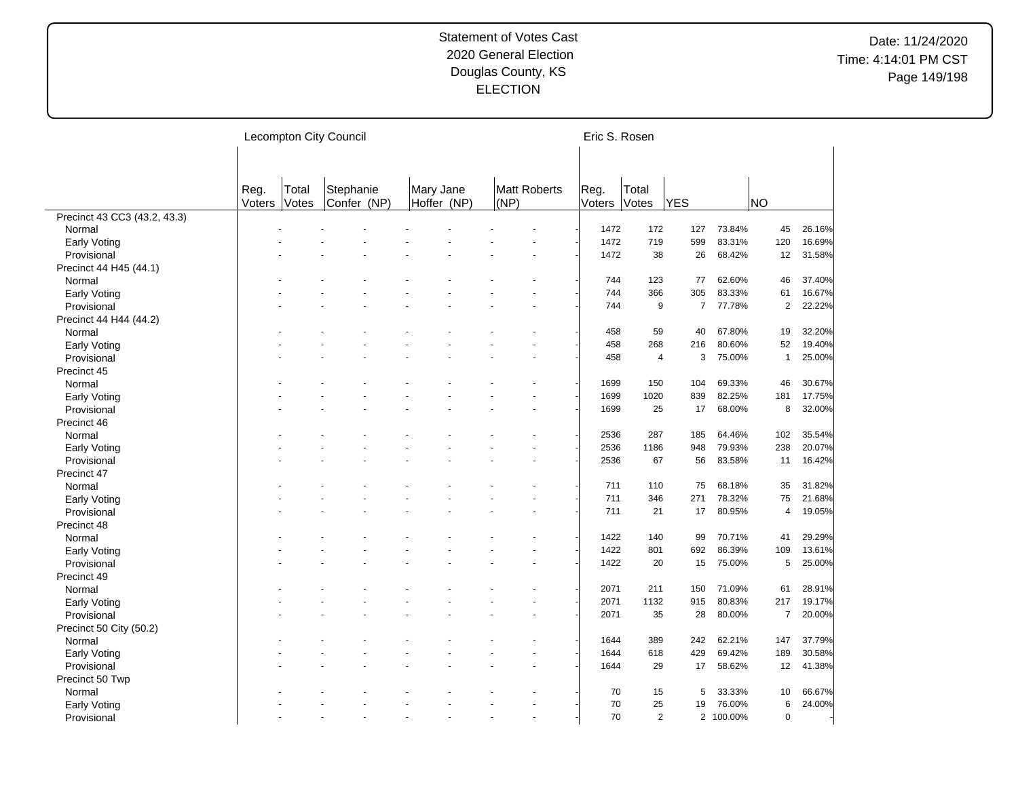|                              |                |                | Lecompton City Council   |                          |      |              | Eric S. Rosen  |                |                |           |                |        |
|------------------------------|----------------|----------------|--------------------------|--------------------------|------|--------------|----------------|----------------|----------------|-----------|----------------|--------|
|                              | Reg.<br>Voters | Total<br>Votes | Stephanie<br>Confer (NP) | Mary Jane<br>Hoffer (NP) | (NP) | Matt Roberts | Reg.<br>Voters | Total<br>Votes | <b>YES</b>     |           | <b>NO</b>      |        |
| Precinct 43 CC3 (43.2, 43.3) |                |                |                          |                          |      |              |                |                |                |           |                |        |
| Normal                       |                |                |                          |                          |      |              | 1472           | 172            | 127            | 73.84%    | 45             | 26.16% |
| Early Voting                 |                |                |                          |                          |      |              | 1472           | 719            | 599            | 83.31%    | 120            | 16.69% |
| Provisional                  |                |                |                          |                          |      |              | 1472           | 38             | 26             | 68.42%    | 12             | 31.58% |
| Precinct 44 H45 (44.1)       |                |                |                          |                          |      |              |                |                |                |           |                |        |
| Normal                       |                |                |                          |                          |      |              | 744            | 123            | 77             | 62.60%    | 46             | 37.40% |
| Early Voting                 |                |                |                          |                          |      |              | 744            | 366            | 305            | 83.33%    | 61             | 16.67% |
| Provisional                  |                |                |                          |                          |      |              | 744            | 9              | $\overline{7}$ | 77.78%    | $\overline{2}$ | 22.22% |
| Precinct 44 H44 (44.2)       |                |                |                          |                          |      |              |                |                |                |           |                |        |
| Normal                       |                |                |                          |                          |      |              | 458            | 59             | 40             | 67.80%    | 19             | 32.20% |
| Early Voting                 |                |                |                          |                          |      |              | 458            | 268            | 216            | 80.60%    | 52             | 19.40% |
| Provisional                  |                |                |                          |                          |      |              | 458            | 4              | 3              | 75.00%    | $\overline{1}$ | 25.00% |
| Precinct 45                  |                |                |                          |                          |      |              |                |                |                |           |                |        |
| Normal                       |                |                |                          |                          |      |              | 1699           | 150            | 104            | 69.33%    | 46             | 30.67% |
| Early Voting                 |                |                |                          |                          |      |              | 1699           | 1020           | 839            | 82.25%    | 181            | 17.75% |
| Provisional                  |                |                |                          |                          |      |              | 1699           | 25             | 17             | 68.00%    | 8              | 32.00% |
| Precinct 46                  |                |                |                          |                          |      |              |                |                |                |           |                |        |
| Normal                       |                |                |                          |                          |      |              | 2536           | 287            | 185            | 64.46%    | 102            | 35.54% |
|                              |                |                |                          |                          |      |              | 2536           | 1186           | 948            | 79.93%    | 238            | 20.07% |
| Early Voting<br>Provisional  |                |                |                          |                          |      |              | 2536           | 67             | 56             | 83.58%    | 11             | 16.42% |
|                              |                |                |                          |                          |      |              |                |                |                |           |                |        |
| Precinct 47                  |                |                |                          |                          |      |              |                |                |                |           |                |        |
| Normal                       |                |                |                          |                          |      |              | 711            | 110            | 75             | 68.18%    | 35             | 31.82% |
| Early Voting                 |                |                |                          |                          |      |              | 711            | 346            | 271            | 78.32%    | 75             | 21.68% |
| Provisional                  |                |                |                          |                          |      |              | 711            | 21             | 17             | 80.95%    | 4              | 19.05% |
| Precinct 48                  |                |                |                          |                          |      |              |                |                |                |           |                |        |
| Normal                       |                |                |                          |                          |      |              | 1422           | 140            | 99             | 70.71%    | 41             | 29.29% |
| Early Voting                 |                |                |                          |                          |      |              | 1422           | 801            | 692            | 86.39%    | 109            | 13.61% |
| Provisional                  |                |                |                          |                          |      |              | 1422           | 20             | 15             | 75.00%    | 5              | 25.00% |
| Precinct 49                  |                |                |                          |                          |      |              |                |                |                |           |                |        |
| Normal                       |                |                |                          |                          |      |              | 2071           | 211            | 150            | 71.09%    | 61             | 28.91% |
| Early Voting                 |                |                |                          |                          |      |              | 2071           | 1132           | 915            | 80.83%    | 217            | 19.17% |
| Provisional                  |                |                |                          |                          |      |              | 2071           | 35             | 28             | 80.00%    | $\overline{7}$ | 20.00% |
| Precinct 50 City (50.2)      |                |                |                          |                          |      |              |                |                |                |           |                |        |
| Normal                       |                |                |                          |                          |      |              | 1644           | 389            | 242            | 62.21%    | 147            | 37.79% |
| Early Voting                 |                |                |                          |                          |      |              | 1644           | 618            | 429            | 69.42%    | 189            | 30.58% |
| Provisional                  |                |                |                          |                          |      |              | 1644           | 29             | 17             | 58.62%    | 12             | 41.38% |
| Precinct 50 Twp              |                |                |                          |                          |      |              |                |                |                |           |                |        |
| Normal                       |                |                |                          |                          |      |              | 70             | 15             | 5              | 33.33%    | 10             | 66.67% |
| Early Voting                 |                |                |                          |                          |      |              | 70             | 25             | 19             | 76.00%    | 6              | 24.00% |
| Provisional                  |                |                |                          |                          |      |              | 70             | 2              |                | 2 100.00% | $\Omega$       |        |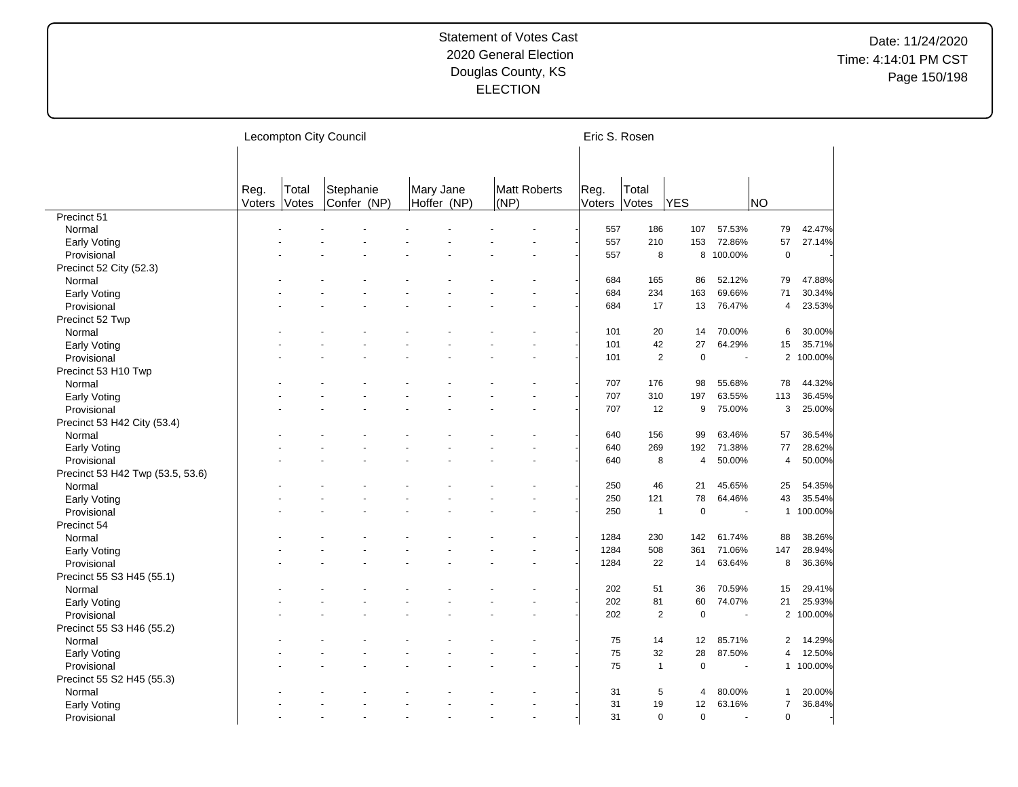|                                  |                |                | Lecompton City Council   |                          |      |                     | Eric S. Rosen  |                |                |                |                |           |
|----------------------------------|----------------|----------------|--------------------------|--------------------------|------|---------------------|----------------|----------------|----------------|----------------|----------------|-----------|
|                                  | Reg.<br>Voters | Total<br>Votes | Stephanie<br>Confer (NP) | Mary Jane<br>Hoffer (NP) | (NP) | <b>Matt Roberts</b> | Reg.<br>Voters | Total<br>Votes | YES            |                | NO             |           |
| Precinct 51                      |                |                |                          |                          |      |                     |                |                |                |                |                |           |
| Normal                           |                |                |                          |                          |      |                     | 557            | 186            | 107            | 57.53%         | 79             | 42.47%    |
| Early Voting                     |                |                |                          |                          |      |                     | 557            | 210            | 153            | 72.86%         | 57             | 27.14%    |
| Provisional                      |                |                |                          |                          |      |                     | 557            | 8              |                | 8 100.00%      | $\mathbf 0$    |           |
| Precinct 52 City (52.3)          |                |                |                          |                          |      |                     |                |                |                |                |                |           |
| Normal                           |                |                |                          |                          |      |                     | 684            | 165            | 86             | 52.12%         | 79             | 47.88%    |
| Early Voting                     |                |                |                          |                          |      |                     | 684            | 234            | 163            | 69.66%         | 71             | 30.34%    |
| Provisional                      |                |                |                          |                          |      |                     | 684            | 17             | 13             | 76.47%         | 4              | 23.53%    |
| Precinct 52 Twp                  |                |                |                          |                          |      |                     |                |                |                |                |                |           |
| Normal                           |                |                |                          |                          |      |                     | 101            | 20             | 14             | 70.00%         | 6              | 30.00%    |
| Early Voting                     |                |                |                          |                          |      |                     | 101            | 42             | 27             | 64.29%         | 15             | 35.71%    |
| Provisional                      |                |                |                          |                          |      |                     | 101            | $\overline{2}$ | $\mathbf 0$    | ÷,             |                | 2 100.00% |
| Precinct 53 H10 Twp              |                |                |                          |                          |      |                     |                |                |                |                |                |           |
| Normal                           |                |                |                          |                          |      |                     | 707            | 176            | 98             | 55.68%         | 78             | 44.32%    |
| Early Voting                     |                |                |                          |                          |      |                     | 707            | 310            | 197            | 63.55%         | 113            | 36.45%    |
| Provisional                      |                |                |                          |                          |      |                     | 707            | 12             | 9              | 75.00%         | 3              | 25.00%    |
| Precinct 53 H42 City (53.4)      |                |                |                          |                          |      |                     |                |                |                |                |                |           |
| Normal                           |                |                |                          |                          |      |                     | 640            | 156            | 99             | 63.46%         | 57             | 36.54%    |
| Early Voting                     |                |                |                          |                          |      |                     | 640            | 269            | 192            | 71.38%         | 77             | 28.62%    |
|                                  |                |                |                          |                          |      |                     | 640            | 8              | $\overline{4}$ | 50.00%         | 4              | 50.00%    |
| Provisional                      |                |                |                          |                          |      |                     |                |                |                |                |                |           |
| Precinct 53 H42 Twp (53.5, 53.6) |                |                |                          |                          |      |                     |                |                |                |                |                |           |
| Normal                           |                |                |                          |                          |      |                     | 250            | 46             | 21             | 45.65%         | 25             | 54.35%    |
| Early Voting                     |                |                |                          |                          |      |                     | 250            | 121            | 78             | 64.46%         | 43             | 35.54%    |
| Provisional                      |                |                |                          |                          |      |                     | 250            | $\mathbf{1}$   | $\mathbf 0$    | ÷,             |                | 1 100.00% |
| Precinct 54                      |                |                |                          |                          |      |                     |                |                |                |                |                |           |
| Normal                           |                |                |                          |                          |      |                     | 1284           | 230            | 142            | 61.74%         | 88             | 38.26%    |
| Early Voting                     |                |                |                          |                          |      |                     | 1284           | 508            | 361            | 71.06%         | 147            | 28.94%    |
| Provisional                      |                |                |                          |                          |      |                     | 1284           | 22             | 14             | 63.64%         | 8              | 36.36%    |
| Precinct 55 S3 H45 (55.1)        |                |                |                          |                          |      |                     |                |                |                |                |                |           |
| Normal                           |                |                |                          |                          |      |                     | 202            | 51             | 36             | 70.59%         | 15             | 29.41%    |
| Early Voting                     |                |                |                          |                          |      |                     | 202            | 81             | 60             | 74.07%         | 21             | 25.93%    |
| Provisional                      |                |                |                          |                          |      |                     | 202            | 2              | $\mathbf 0$    | ÷,             |                | 2 100.00% |
| Precinct 55 S3 H46 (55.2)        |                |                |                          |                          |      |                     |                |                |                |                |                |           |
| Normal                           |                |                |                          |                          |      |                     | 75             | 14             | 12             | 85.71%         | $\overline{2}$ | 14.29%    |
| Early Voting                     |                |                |                          |                          |      |                     | 75             | 32             | 28             | 87.50%         | 4              | 12.50%    |
| Provisional                      |                |                |                          |                          |      |                     | 75             | $\mathbf{1}$   | $\mathbf 0$    |                |                | 1 100.00% |
| Precinct 55 S2 H45 (55.3)        |                |                |                          |                          |      |                     |                |                |                |                |                |           |
| Normal                           |                |                |                          |                          |      |                     | 31             | 5              | 4              | 80.00%         | 1              | 20.00%    |
| Early Voting                     |                |                |                          |                          |      |                     | 31             | 19             | 12             | 63.16%         | 7              | 36.84%    |
| Provisional                      |                |                |                          |                          |      | $\overline{a}$      | 31             | $\Omega$       | $\Omega$       | $\overline{a}$ | $\Omega$       |           |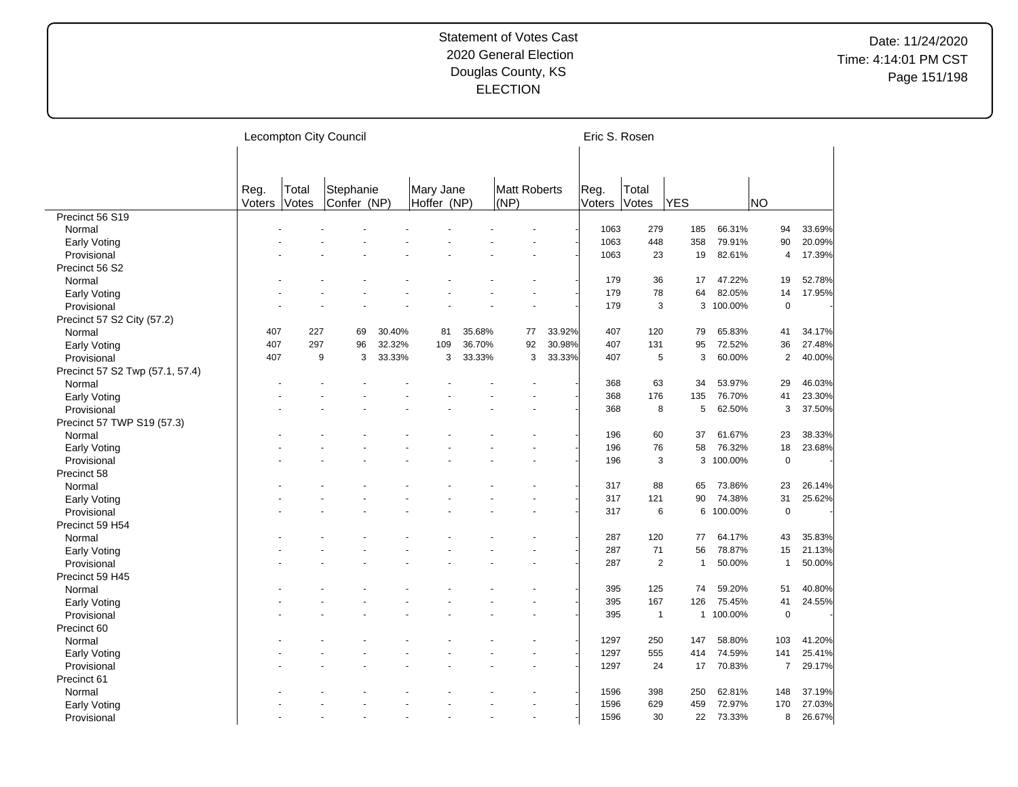|                                 |        |       | Lecompton City Council |        |             |        |              |    |        | Eric S. Rosen |                |                |           |                |        |
|---------------------------------|--------|-------|------------------------|--------|-------------|--------|--------------|----|--------|---------------|----------------|----------------|-----------|----------------|--------|
|                                 |        |       |                        |        |             |        |              |    |        |               |                |                |           |                |        |
|                                 |        |       |                        |        |             |        |              |    |        |               |                |                |           |                |        |
|                                 | Reg.   | Total | Stephanie              |        | Mary Jane   |        | Matt Roberts |    |        | Reg.          | Total          |                |           |                |        |
|                                 | Voters | Votes | Confer (NP)            |        | Hoffer (NP) |        | (NP)         |    |        | Voters        | Votes          | <b>YES</b>     |           | <b>NO</b>      |        |
| Precinct 56 S19                 |        |       |                        |        |             |        |              |    |        |               |                |                |           |                |        |
| Normal                          |        |       |                        |        |             |        |              |    |        | 1063          | 279            | 185            | 66.31%    | 94             | 33.69% |
| <b>Early Voting</b>             |        |       |                        |        |             |        |              |    |        | 1063          | 448            | 358            | 79.91%    | 90             | 20.09% |
| Provisional                     |        |       |                        |        |             |        |              |    |        | 1063          | 23             | 19             | 82.61%    | $\overline{4}$ | 17.39% |
| Precinct 56 S2                  |        |       |                        |        |             |        |              |    |        |               |                |                |           |                |        |
| Normal                          |        |       |                        |        |             |        |              |    |        | 179           | 36             | 17             | 47.22%    | 19             | 52.78% |
| <b>Early Voting</b>             |        |       |                        |        |             |        |              |    |        | 179           | 78             | 64             | 82.05%    | 14             | 17.95% |
| Provisional                     |        |       |                        |        |             |        |              |    |        | 179           | 3              | 3              | 100.00%   | $\mathbf 0$    |        |
| Precinct 57 S2 City (57.2)      |        |       |                        |        |             |        |              |    |        |               |                |                |           |                |        |
| Normal                          | 407    | 227   | 69                     | 30.40% | 81          | 35.68% |              | 77 | 33.92% | 407           | 120            | 79             | 65.83%    | 41             | 34.17% |
| <b>Early Voting</b>             | 407    | 297   | 96                     | 32.32% | 109         | 36.70% |              | 92 | 30.98% | 407           | 131            | 95             | 72.52%    | 36             | 27.48% |
| Provisional                     | 407    | 9     | 3                      | 33.33% | 3           | 33.33% |              | 3  | 33.33% | 407           | 5              | 3              | 60.00%    | $\overline{2}$ | 40.00% |
| Precinct 57 S2 Twp (57.1, 57.4) |        |       |                        |        |             |        |              |    |        |               |                |                |           |                |        |
| Normal                          |        |       |                        |        |             |        |              |    |        | 368           | 63             | 34             | 53.97%    | 29             | 46.03% |
| <b>Early Voting</b>             |        |       |                        |        |             |        |              |    |        | 368           | 176            | 135            | 76.70%    | 41             | 23.30% |
| Provisional                     |        |       |                        |        |             |        |              |    |        | 368           | 8              | 5              | 62.50%    | 3              | 37.50% |
| Precinct 57 TWP S19 (57.3)      |        |       |                        |        |             |        |              |    |        |               |                |                |           |                |        |
| Normal                          |        |       |                        |        |             |        |              |    |        | 196           | 60             | 37             | 61.67%    | 23             | 38.33% |
| <b>Early Voting</b>             |        |       |                        |        |             |        |              |    |        | 196           | 76             | 58             | 76.32%    | 18             | 23.68% |
| Provisional                     |        |       |                        |        |             |        |              |    |        | 196           | 3              | 3              | 100.00%   | $\mathbf 0$    |        |
| Precinct 58                     |        |       |                        |        |             |        |              |    |        |               |                |                |           |                |        |
|                                 |        |       |                        |        |             |        |              |    |        | 317           | 88             | 65             | 73.86%    | 23             | 26.14% |
| Normal                          |        |       |                        |        |             |        |              |    |        | 317           | 121            | 90             | 74.38%    | 31             | 25.62% |
| <b>Early Voting</b>             |        |       |                        |        |             |        |              |    |        | 317           | 6              | 6              | 100.00%   | $\mathbf 0$    |        |
| Provisional                     |        |       |                        |        |             |        |              |    |        |               |                |                |           |                |        |
| Precinct 59 H54                 |        |       |                        |        |             |        |              |    |        |               |                |                |           |                |        |
| Normal                          |        |       |                        |        |             |        |              |    |        | 287           | 120            | 77             | 64.17%    | 43             | 35.83% |
| <b>Early Voting</b>             |        |       |                        |        |             |        |              |    |        | 287           | 71             | 56             | 78.87%    | 15             | 21.13% |
| Provisional                     |        |       |                        |        |             |        |              |    |        | 287           | $\overline{2}$ | $\overline{1}$ | 50.00%    | $\mathbf{1}$   | 50.00% |
| Precinct 59 H45                 |        |       |                        |        |             |        |              |    |        |               |                |                |           |                |        |
| Normal                          |        |       |                        |        |             |        |              |    |        | 395           | 125            | 74             | 59.20%    | 51             | 40.80% |
| Early Voting                    |        |       |                        |        |             |        |              |    |        | 395           | 167            | 126            | 75.45%    | 41             | 24.55% |
| Provisional                     |        |       |                        |        |             |        |              |    |        | 395           | $\overline{1}$ |                | 1 100.00% | $\mathbf 0$    |        |
| Precinct 60                     |        |       |                        |        |             |        |              |    |        |               |                |                |           |                |        |
| Normal                          |        |       |                        |        |             |        |              |    |        | 1297          | 250            | 147            | 58.80%    | 103            | 41.20% |
| Early Voting                    |        |       |                        |        |             |        |              |    |        | 1297          | 555            | 414            | 74.59%    | 141            | 25.41% |
| Provisional                     |        |       |                        |        |             |        |              |    |        | 1297          | 24             | 17             | 70.83%    | $\overline{7}$ | 29.17% |
| Precinct 61                     |        |       |                        |        |             |        |              |    |        |               |                |                |           |                |        |
| Normal                          |        |       |                        |        |             |        |              |    |        | 1596          | 398            | 250            | 62.81%    | 148            | 37.19% |
| <b>Early Voting</b>             |        |       |                        |        |             |        |              |    |        | 1596          | 629            | 459            | 72.97%    | 170            | 27.03% |
| Provisional                     |        |       |                        |        |             |        |              |    |        | 1596          | 30             | 22             | 73.33%    | 8              | 26.67% |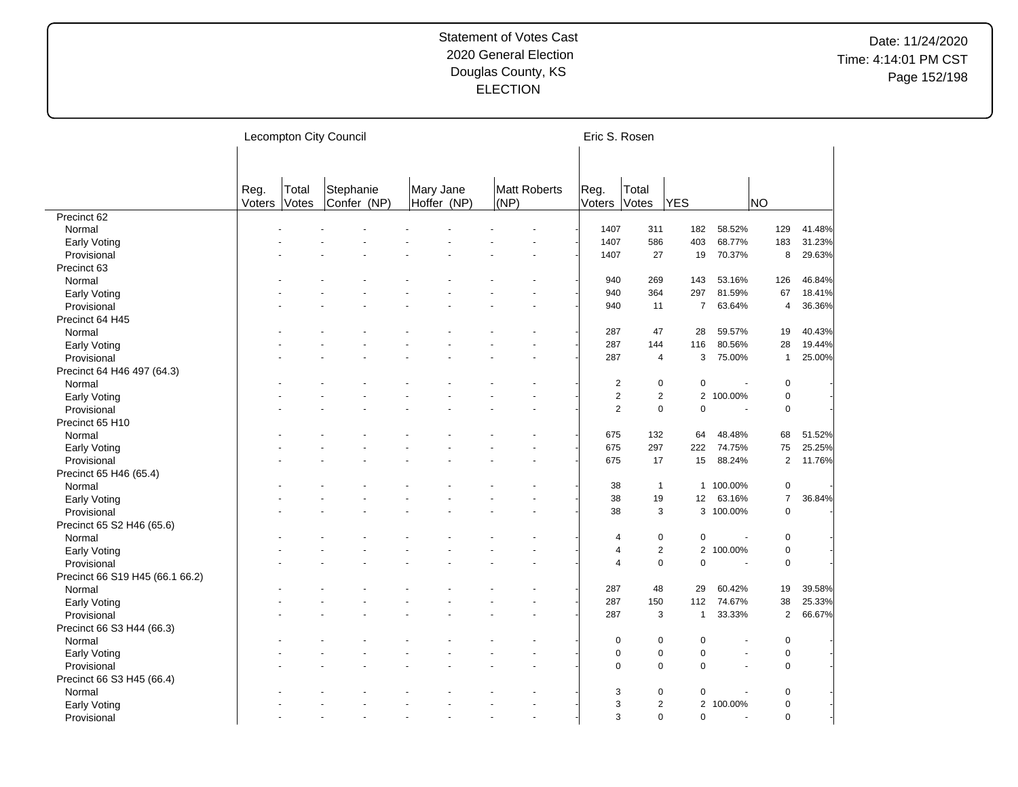|                                 |                |                | Lecompton City Council   |                          |                      | Eric S. Rosen  |                |                |                          |                |        |
|---------------------------------|----------------|----------------|--------------------------|--------------------------|----------------------|----------------|----------------|----------------|--------------------------|----------------|--------|
|                                 | Reg.<br>Voters | Total<br>Votes | Stephanie<br>Confer (NP) | Mary Jane<br>Hoffer (NP) | Matt Roberts<br>(NP) | Reg.<br>Voters | Total<br>Votes | <b>YES</b>     |                          | <b>NO</b>      |        |
| Precinct 62                     |                |                |                          |                          |                      |                |                |                |                          |                |        |
| Normal                          |                |                |                          |                          |                      | 1407           | 311            | 182            | 58.52%                   | 129            | 41.48% |
| Early Voting                    |                |                |                          |                          |                      | 1407           | 586            | 403            | 68.77%                   | 183            | 31.23% |
| Provisional                     |                |                |                          |                          |                      | 1407           | 27             | 19             | 70.37%                   | 8              | 29.63% |
| Precinct 63                     |                |                |                          |                          |                      |                |                |                |                          |                |        |
| Normal                          |                |                |                          |                          |                      | 940            | 269            | 143            | 53.16%                   | 126            | 46.84% |
| Early Voting                    |                |                |                          |                          |                      | 940            | 364            | 297            | 81.59%                   | 67             | 18.41% |
| Provisional                     |                |                |                          |                          |                      | 940            | 11             | $\overline{7}$ | 63.64%                   | 4              | 36.36% |
| Precinct 64 H45                 |                |                |                          |                          |                      |                |                |                |                          |                |        |
| Normal                          |                |                |                          |                          |                      | 287            | 47             | 28             | 59.57%                   | 19             | 40.43% |
| Early Voting                    |                |                |                          |                          |                      | 287            | 144            | 116            | 80.56%                   | 28             | 19.44% |
| Provisional                     |                |                |                          |                          |                      | 287            | 4              | 3              | 75.00%                   | $\mathbf{1}$   | 25.00% |
| Precinct 64 H46 497 (64.3)      |                |                |                          |                          |                      |                |                |                |                          |                |        |
| Normal                          |                |                |                          |                          |                      | 2              | $\mathbf 0$    | $\mathbf 0$    |                          | $\mathbf 0$    |        |
| Early Voting                    |                |                |                          |                          |                      | $\overline{2}$ | $\overline{2}$ |                | 2 100.00%                | $\pmb{0}$      |        |
| Provisional                     |                |                |                          |                          |                      | 2              | $\mathbf 0$    | $\mathbf 0$    | $\overline{\phantom{a}}$ | $\mathbf 0$    |        |
| Precinct 65 H10                 |                |                |                          |                          |                      |                |                |                |                          |                |        |
| Normal                          |                |                |                          |                          |                      | 675            | 132            | 64             | 48.48%                   | 68             | 51.52% |
|                                 |                |                |                          |                          |                      | 675            | 297            | 222            | 74.75%                   | 75             | 25.25% |
| Early Voting                    |                |                |                          |                          |                      |                |                |                |                          | $\overline{2}$ |        |
| Provisional                     |                |                |                          |                          |                      | 675            | 17             | 15             | 88.24%                   |                | 11.76% |
| Precinct 65 H46 (65.4)          |                |                |                          |                          |                      |                |                |                |                          |                |        |
| Normal                          |                |                |                          |                          |                      | 38             | $\mathbf{1}$   | $\mathbf{1}$   | 100.00%                  | 0              |        |
| Early Voting                    |                |                |                          |                          |                      | 38             | 19             | 12             | 63.16%                   | $\overline{7}$ | 36.84% |
| Provisional                     |                |                |                          |                          |                      | 38             | 3              |                | 3 100.00%                | $\mathbf 0$    |        |
| Precinct 65 S2 H46 (65.6)       |                |                |                          |                          |                      |                |                |                |                          |                |        |
| Normal                          |                |                |                          |                          |                      | $\overline{4}$ | $\mathbf 0$    | 0              |                          | $\mathbf 0$    |        |
| Early Voting                    |                |                |                          |                          |                      | $\overline{4}$ | 2              |                | 2 100.00%                | $\pmb{0}$      |        |
| Provisional                     |                |                |                          |                          |                      | $\overline{4}$ | $\mathbf 0$    | $\mathbf 0$    | ÷,                       | $\mathbf 0$    |        |
| Precinct 66 S19 H45 (66.1 66.2) |                |                |                          |                          |                      |                |                |                |                          |                |        |
| Normal                          |                |                |                          |                          |                      | 287            | 48             | 29             | 60.42%                   | 19             | 39.58% |
| Early Voting                    |                |                |                          |                          |                      | 287            | 150            | 112            | 74.67%                   | 38             | 25.33% |
| Provisional                     |                |                |                          |                          |                      | 287            | 3              | $\mathbf{1}$   | 33.33%                   | 2              | 66.67% |
| Precinct 66 S3 H44 (66.3)       |                |                |                          |                          |                      |                |                |                |                          |                |        |
| Normal                          |                |                |                          |                          |                      | 0              | $\mathbf 0$    | $\mathbf 0$    | ٠                        | $\mathbf 0$    |        |
| Early Voting                    |                |                |                          |                          |                      | $\mathbf 0$    | $\pmb{0}$      | $\mathbf 0$    | $\blacksquare$           | $\mathbf 0$    |        |
| Provisional                     |                |                |                          |                          |                      | $\mathbf 0$    | $\mathbf 0$    | $\mathbf 0$    | $\blacksquare$           | $\mathbf 0$    |        |
| Precinct 66 S3 H45 (66.4)       |                |                |                          |                          |                      |                |                |                |                          |                |        |
| Normal                          |                |                |                          |                          |                      | 3              | $\mathbf 0$    | $\mathbf 0$    |                          | 0              |        |
| Early Voting                    |                |                |                          |                          |                      | 3              | $\overline{2}$ |                | 2 100.00%                | $\mathbf 0$    |        |
| Provisional                     |                |                |                          |                          | $\overline{a}$       | 3              | $\Omega$       | $\Omega$       | $\overline{a}$           | $\Omega$       |        |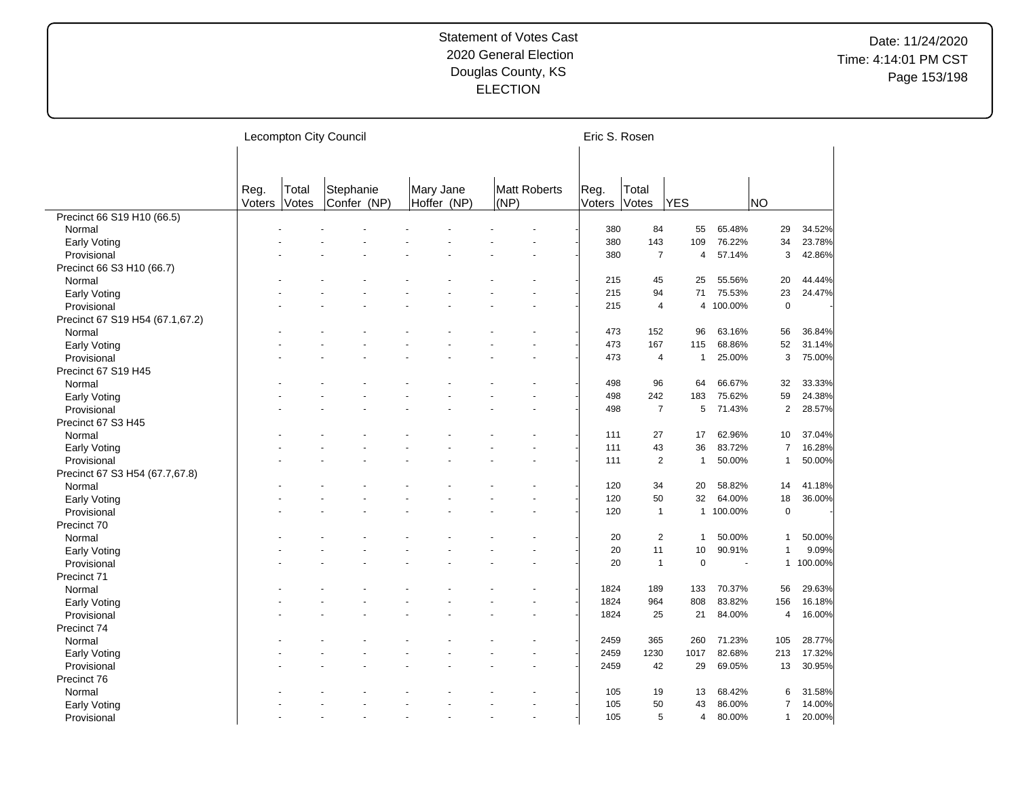|                                 |                |                | Lecompton City Council   |                          |                      | Eric S. Rosen  |                |              |                          |                     |         |
|---------------------------------|----------------|----------------|--------------------------|--------------------------|----------------------|----------------|----------------|--------------|--------------------------|---------------------|---------|
|                                 |                |                |                          |                          |                      |                |                |              |                          |                     |         |
|                                 | Reg.<br>Voters | Total<br>Votes | Stephanie<br>Confer (NP) | Mary Jane<br>Hoffer (NP) | Matt Roberts<br>(NP) | Reg.<br>Voters | Total<br>Votes | <b>YES</b>   |                          | <b>NO</b>           |         |
| Precinct 66 S19 H10 (66.5)      |                |                |                          |                          |                      |                |                |              |                          |                     |         |
| Normal                          |                |                |                          |                          |                      | 380            | 84             | 55           | 65.48%                   | 29                  | 34.52%  |
| Early Voting                    |                |                |                          |                          |                      | 380            | 143            | 109          | 76.22%                   | 34                  | 23.78%  |
| Provisional                     |                |                |                          |                          |                      | 380            | $\overline{7}$ | 4            | 57.14%                   | 3                   | 42.86%  |
| Precinct 66 S3 H10 (66.7)       |                |                |                          |                          |                      |                |                |              |                          |                     |         |
| Normal                          |                |                |                          |                          |                      | 215            | 45             | 25           | 55.56%                   | 20                  | 44.44%  |
| Early Voting                    |                |                |                          |                          |                      | 215            | 94             | 71           | 75.53%                   | 23                  | 24.47%  |
| Provisional                     |                |                |                          |                          |                      | 215            | 4              |              | 4 100.00%                | $\mathbf 0$         |         |
| Precinct 67 S19 H54 (67.1,67.2) |                |                |                          |                          |                      |                |                |              |                          |                     |         |
| Normal                          |                |                |                          |                          |                      | 473            | 152            | 96           | 63.16%                   | 56                  | 36.84%  |
| Early Voting                    |                |                |                          |                          |                      | 473            | 167            | 115          | 68.86%                   | 52                  | 31.14%  |
| Provisional                     |                |                |                          |                          |                      | 473            | $\overline{4}$ | $\mathbf{1}$ | 25.00%                   | 3                   | 75.00%  |
| Precinct 67 S19 H45             |                |                |                          |                          |                      |                |                |              |                          |                     |         |
| Normal                          |                |                |                          |                          |                      | 498            | 96             | 64           | 66.67%                   | 32                  | 33.33%  |
| Early Voting                    |                |                |                          |                          |                      | 498            | 242            | 183          | 75.62%                   | 59                  | 24.38%  |
| Provisional                     |                |                |                          |                          |                      | 498            | $\overline{7}$ | 5            | 71.43%                   | $\mathbf{2}$        | 28.57%  |
| Precinct 67 S3 H45              |                |                |                          |                          |                      |                |                |              |                          |                     |         |
| Normal                          |                |                |                          |                          |                      | 111            | 27             | 17           | 62.96%                   | 10                  | 37.04%  |
| Early Voting                    |                |                |                          |                          |                      | 111            | 43             | 36           | 83.72%                   | $\overline{7}$      | 16.28%  |
| Provisional                     |                |                |                          |                          |                      | 111            | $\overline{2}$ | $\mathbf{1}$ | 50.00%                   | $\overline{1}$      | 50.00%  |
| Precinct 67 S3 H54 (67.7,67.8)  |                |                |                          |                          |                      |                |                |              |                          |                     |         |
| Normal                          |                |                |                          |                          |                      | 120            | 34             | 20           | 58.82%                   | 14                  | 41.18%  |
| Early Voting                    |                |                |                          |                          |                      | 120            | 50             | 32           | 64.00%                   | 18                  | 36.00%  |
| Provisional                     |                |                |                          |                          |                      | 120            | $\overline{1}$ |              | 1 100.00%                | $\mathbf 0$         |         |
| Precinct 70                     |                |                |                          |                          |                      |                |                |              |                          |                     |         |
| Normal                          |                |                |                          |                          |                      | 20             | $\overline{2}$ | $\mathbf{1}$ | 50.00%                   | $\overline{1}$      | 50.00%  |
| Early Voting                    |                |                |                          |                          |                      | 20             | 11             | 10           | 90.91%                   | $\mathbf{1}$        | 9.09%   |
| Provisional                     |                |                |                          |                          |                      | 20             | $\overline{1}$ | $\mathbf 0$  | $\overline{\phantom{a}}$ | $\mathbf{1}$        | 100.00% |
| Precinct 71                     |                |                |                          |                          |                      |                |                |              |                          |                     |         |
| Normal                          |                |                |                          |                          |                      | 1824           | 189            | 133          | 70.37%                   | 56                  | 29.63%  |
| Early Voting                    |                |                |                          |                          |                      | 1824           | 964            | 808          | 83.82%                   | 156                 | 16.18%  |
| Provisional                     |                |                |                          |                          |                      | 1824           | 25             | 21           | 84.00%                   | $\overline{4}$      | 16.00%  |
| Precinct 74                     |                |                |                          |                          |                      |                |                |              |                          |                     |         |
| Normal                          |                |                |                          |                          |                      | 2459           | 365            | 260          | 71.23%                   | 105                 | 28.77%  |
|                                 |                |                |                          |                          |                      | 2459           | 1230           | 1017         | 82.68%                   | 213                 | 17.32%  |
| Early Voting                    |                |                |                          |                          |                      | 2459           | 42             | 29           | 69.05%                   | 13                  | 30.95%  |
| Provisional                     |                |                |                          |                          |                      |                |                |              |                          |                     |         |
| Precinct 76                     |                |                |                          |                          |                      |                |                |              |                          |                     |         |
| Normal                          |                |                |                          |                          |                      | 105            | 19<br>50       | 13           | 68.42%                   | 6<br>$\overline{7}$ | 31.58%  |
| Early Voting                    |                |                |                          |                          |                      | 105            |                | 43           | 86.00%                   |                     | 14.00%  |
| Provisional                     |                |                |                          |                          |                      | 105            | 5              | 4            | 80.00%                   | $\overline{1}$      | 20.00%  |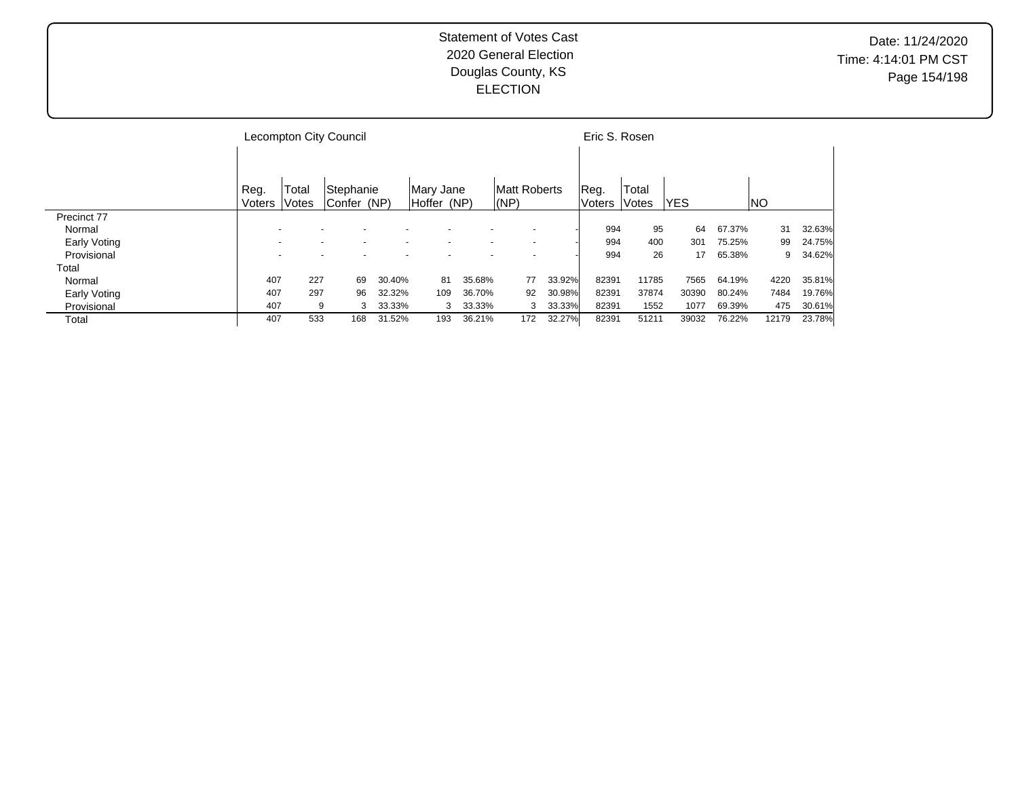|              |        |       | Lecompton City Council |        |             |                          |              |                          |        | Eric S. Rosen |              |            |        |       |        |
|--------------|--------|-------|------------------------|--------|-------------|--------------------------|--------------|--------------------------|--------|---------------|--------------|------------|--------|-------|--------|
|              |        |       |                        |        |             |                          |              |                          |        |               |              |            |        |       |        |
|              | Reg.   | Total | Stephanie              |        | Mary Jane   |                          | Matt Roberts |                          |        | Reg.          | Total        |            |        |       |        |
|              | Voters | Votes | Confer (NP)            |        | Hoffer (NP) |                          | (NP)         |                          |        | <b>Voters</b> | <b>Votes</b> | <b>YES</b> |        | INO.  |        |
| Precinct 77  |        |       |                        |        |             |                          |              |                          |        |               |              |            |        |       |        |
| Normal       |        |       |                        |        |             |                          |              |                          |        | 994           | 95           | 64         | 67.37% | 31    | 32.63% |
| Early Voting |        |       |                        |        |             | $\overline{\phantom{0}}$ |              | $\overline{\phantom{a}}$ |        | 994           | 400          | 301        | 75.25% | 99    | 24.75% |
| Provisional  |        |       | $\overline{a}$         |        |             | $\overline{\phantom{0}}$ |              | $\overline{\phantom{0}}$ |        | 994           | 26           | 17         | 65.38% | 9     | 34.62% |
| Total        |        |       |                        |        |             |                          |              |                          |        |               |              |            |        |       |        |
| Normal       | 407    | 227   | 69                     | 30.40% | 81          | 35.68%                   |              | 77                       | 33.92% | 82391         | 11785        | 7565       | 64.19% | 4220  | 35.81% |
| Early Voting | 407    | 297   | 96                     | 32.32% | 109         | 36.70%                   |              | 92                       | 30.98% | 82391         | 37874        | 30390      | 80.24% | 7484  | 19.76% |
| Provisional  | 407    | 9     | 3                      | 33.33% | 3           | 33.33%                   |              | 3                        | 33.33% | 82391         | 1552         | 1077       | 69.39% | 475   | 30.61% |
| Total        | 407    | 533   | 168                    | 31.52% | 193         | 36.21%                   |              | 172                      | 32.27% | 82391         | 51211        | 39032      | 76.22% | 12179 | 23.78% |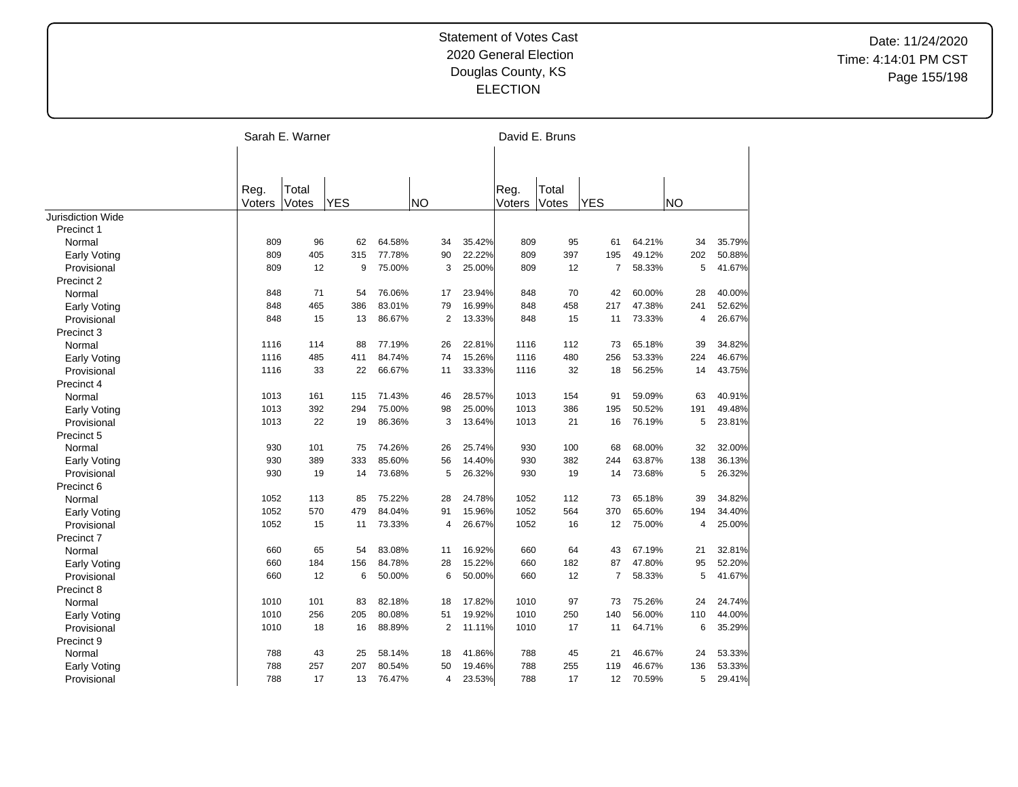|                          |        | Sarah E. Warner |            |        |           |                |        | David E. Bruns |       |                |        |           |        |
|--------------------------|--------|-----------------|------------|--------|-----------|----------------|--------|----------------|-------|----------------|--------|-----------|--------|
|                          |        |                 |            |        |           |                |        |                |       |                |        |           |        |
|                          |        |                 |            |        |           |                |        |                |       |                |        |           |        |
|                          | Reg.   | Total           |            |        |           |                |        | Reg.           | Total |                |        |           |        |
|                          | Voters | Votes           | <b>YES</b> |        | <b>NO</b> |                |        | Voters         | Votes | <b>YES</b>     |        | <b>NO</b> |        |
| <b>Jurisdiction Wide</b> |        |                 |            |        |           |                |        |                |       |                |        |           |        |
| Precinct 1               |        |                 |            |        |           |                |        |                |       |                |        |           |        |
| Normal                   | 809    | 96              | 62         | 64.58% |           | 34             | 35.42% | 809            | 95    | 61             | 64.21% | 34        | 35.79% |
| <b>Early Voting</b>      | 809    | 405             | 315        | 77.78% |           | 90             | 22.22% | 809            | 397   | 195            | 49.12% | 202       | 50.88% |
| Provisional              | 809    | 12              | 9          | 75.00% |           | 3              | 25.00% | 809            | 12    | $\overline{7}$ | 58.33% | 5         | 41.67% |
| Precinct 2               |        |                 |            |        |           |                |        |                |       |                |        |           |        |
| Normal                   | 848    | 71              | 54         | 76.06% |           | 17             | 23.94% | 848            | 70    | 42             | 60.00% | 28        | 40.00% |
| <b>Early Voting</b>      | 848    | 465             | 386        | 83.01% |           | 79             | 16.99% | 848            | 458   | 217            | 47.38% | 241       | 52.62% |
| Provisional              | 848    | 15              | 13         | 86.67% |           | 2              | 13.33% | 848            | 15    | 11             | 73.33% | 4         | 26.67% |
| Precinct 3               |        |                 |            |        |           |                |        |                |       |                |        |           |        |
| Normal                   | 1116   | 114             | 88         | 77.19% |           | 26             | 22.81% | 1116           | 112   | 73             | 65.18% | 39        | 34.82% |
| Early Voting             | 1116   | 485             | 411        | 84.74% |           | 74             | 15.26% | 1116           | 480   | 256            | 53.33% | 224       | 46.67% |
| Provisional              | 1116   | 33              | 22         | 66.67% |           | 11             | 33.33% | 1116           | 32    | 18             | 56.25% | 14        | 43.75% |
| Precinct 4               |        |                 |            |        |           |                |        |                |       |                |        |           |        |
| Normal                   | 1013   | 161             | 115        | 71.43% |           | 46             | 28.57% | 1013           | 154   | 91             | 59.09% | 63        | 40.91% |
| Early Voting             | 1013   | 392             | 294        | 75.00% |           | 98             | 25.00% | 1013           | 386   | 195            | 50.52% | 191       | 49.48% |
| Provisional              | 1013   | 22              | 19         | 86.36% |           | 3              | 13.64% | 1013           | 21    | 16             | 76.19% | 5         | 23.81% |
| Precinct 5               |        |                 |            |        |           |                |        |                |       |                |        |           |        |
| Normal                   | 930    | 101             | 75         | 74.26% |           | 26             | 25.74% | 930            | 100   | 68             | 68.00% | 32        | 32.00% |
| <b>Early Voting</b>      | 930    | 389             | 333        | 85.60% |           | 56             | 14.40% | 930            | 382   | 244            | 63.87% | 138       | 36.13% |
| Provisional              | 930    | 19              | 14         | 73.68% |           | 5              | 26.32% | 930            | 19    | 14             | 73.68% | 5         | 26.32% |
| Precinct 6               |        |                 |            |        |           |                |        |                |       |                |        |           |        |
| Normal                   | 1052   | 113             | 85         | 75.22% |           | 28             | 24.78% | 1052           | 112   | 73             | 65.18% | 39        | 34.82% |
| <b>Early Voting</b>      | 1052   | 570             | 479        | 84.04% |           | 91             | 15.96% | 1052           | 564   | 370            | 65.60% | 194       | 34.40% |
| Provisional              | 1052   | 15              | 11         | 73.33% |           | 4              | 26.67% | 1052           | 16    | 12             | 75.00% | 4         | 25.00% |
| Precinct 7               |        |                 |            |        |           |                |        |                |       |                |        |           |        |
| Normal                   | 660    | 65              | 54         | 83.08% |           | 11             | 16.92% | 660            | 64    | 43             | 67.19% | 21        | 32.81% |
| <b>Early Voting</b>      | 660    | 184             | 156        | 84.78% |           | 28             | 15.22% | 660            | 182   | 87             | 47.80% | 95        | 52.20% |
| Provisional              | 660    | 12              | 6          | 50.00% |           | 6              | 50.00% | 660            | 12    | $\overline{7}$ | 58.33% | 5         | 41.67% |
| Precinct 8               |        |                 |            |        |           |                |        |                |       |                |        |           |        |
| Normal                   | 1010   | 101             | 83         | 82.18% |           | 18             | 17.82% | 1010           | 97    | 73             | 75.26% | 24        | 24.74% |
| <b>Early Voting</b>      | 1010   | 256             | 205        | 80.08% |           | 51             | 19.92% | 1010           | 250   | 140            | 56.00% | 110       | 44.00% |
| Provisional              | 1010   | 18              | 16         | 88.89% |           | 2              | 11.11% | 1010           | 17    | 11             | 64.71% | 6         | 35.29% |
| Precinct 9               |        |                 |            |        |           |                |        |                |       |                |        |           |        |
| Normal                   | 788    | 43              | 25         | 58.14% |           | 18             | 41.86% | 788            | 45    | 21             | 46.67% | 24        | 53.33% |
| Early Voting             | 788    | 257             | 207        | 80.54% |           | 50             | 19.46% | 788            | 255   | 119            | 46.67% | 136       | 53.33% |
| Provisional              | 788    | 17              | 13         | 76.47% |           | $\overline{4}$ | 23.53% | 788            | 17    | 12             | 70.59% | 5         | 29.41% |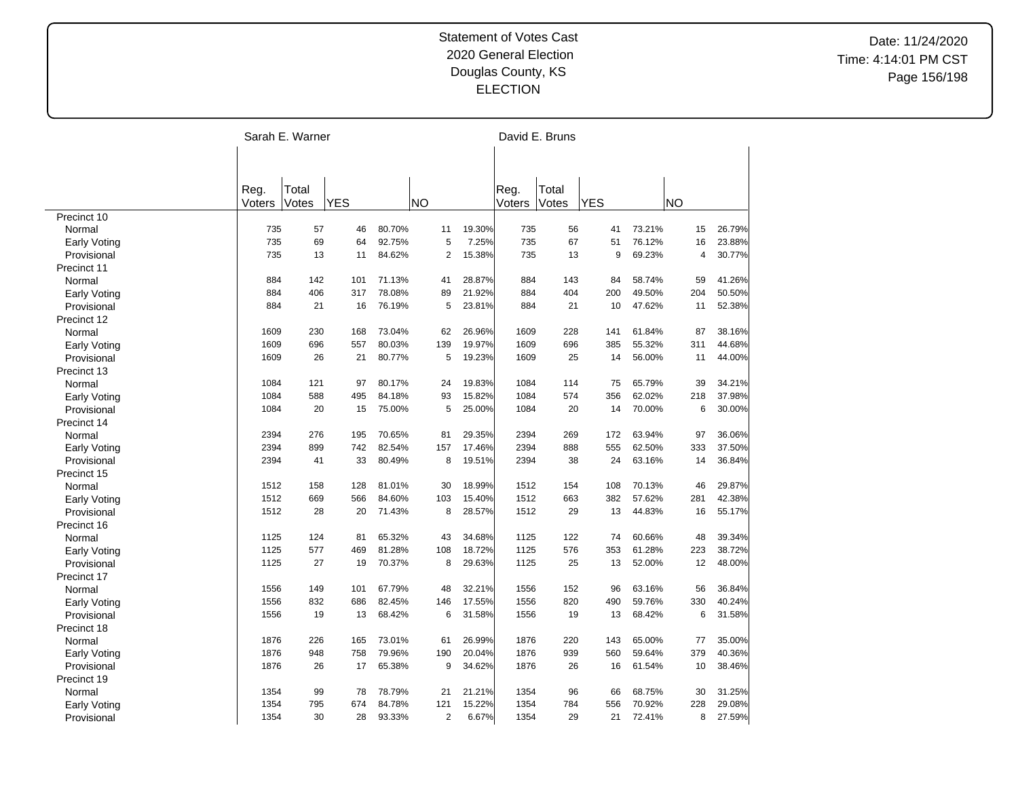|                     |        | Sarah E. Warner |            |        |                |        |        | David E. Bruns |            |        |           |        |
|---------------------|--------|-----------------|------------|--------|----------------|--------|--------|----------------|------------|--------|-----------|--------|
|                     |        |                 |            |        |                |        |        |                |            |        |           |        |
|                     | Reg.   | Total           |            |        |                |        | Reg.   | Total          |            |        |           |        |
|                     | Voters | Votes           | <b>YES</b> |        | <b>NO</b>      |        | Voters | Votes          | <b>YES</b> |        | <b>NO</b> |        |
| Precinct 10         |        |                 |            |        |                |        |        |                |            |        |           |        |
| Normal              | 735    | 57              | 46         | 80.70% | 11             | 19.30% | 735    | 56             | 41         | 73.21% | 15        | 26.79% |
| Early Voting        | 735    | 69              | 64         | 92.75% | 5              | 7.25%  | 735    | 67             | 51         | 76.12% | 16        | 23.88% |
| Provisional         | 735    | 13              | 11         | 84.62% | $\overline{2}$ | 15.38% | 735    | 13             | 9          | 69.23% | 4         | 30.77% |
| Precinct 11         |        |                 |            |        |                |        |        |                |            |        |           |        |
| Normal              | 884    | 142             | 101        | 71.13% | 41             | 28.87% | 884    | 143            | 84         | 58.74% | 59        | 41.26% |
| Early Voting        | 884    | 406             | 317        | 78.08% | 89             | 21.92% | 884    | 404            | 200        | 49.50% | 204       | 50.50% |
| Provisional         | 884    | 21              | 16         | 76.19% | 5              | 23.81% | 884    | 21             | 10         | 47.62% | 11        | 52.38% |
| Precinct 12         |        |                 |            |        |                |        |        |                |            |        |           |        |
| Normal              | 1609   | 230             | 168        | 73.04% | 62             | 26.96% | 1609   | 228            | 141        | 61.84% | 87        | 38.16% |
| <b>Early Voting</b> | 1609   | 696             | 557        | 80.03% | 139            | 19.97% | 1609   | 696            | 385        | 55.32% | 311       | 44.68% |
| Provisional         | 1609   | 26              | 21         | 80.77% | 5              | 19.23% | 1609   | 25             | 14         | 56.00% | 11        | 44.00% |
| Precinct 13         |        |                 |            |        |                |        |        |                |            |        |           |        |
| Normal              | 1084   | 121             | 97         | 80.17% | 24             | 19.83% | 1084   | 114            | 75         | 65.79% | 39        | 34.21% |
| <b>Early Voting</b> | 1084   | 588             | 495        | 84.18% | 93             | 15.82% | 1084   | 574            | 356        | 62.02% | 218       | 37.98% |
| Provisional         | 1084   | 20              | 15         | 75.00% | 5              | 25.00% | 1084   | 20             | 14         | 70.00% | 6         | 30.00% |
| Precinct 14         |        |                 |            |        |                |        |        |                |            |        |           |        |
| Normal              | 2394   | 276             | 195        | 70.65% | 81             | 29.35% | 2394   | 269            | 172        | 63.94% | 97        | 36.06% |
| <b>Early Voting</b> | 2394   | 899             | 742        | 82.54% | 157            | 17.46% | 2394   | 888            | 555        | 62.50% | 333       | 37.50% |
| Provisional         | 2394   | 41              | 33         | 80.49% | 8              | 19.51% | 2394   | 38             | 24         | 63.16% | 14        | 36.84% |
| Precinct 15         |        |                 |            |        |                |        |        |                |            |        |           |        |
| Normal              | 1512   | 158             | 128        | 81.01% | 30             | 18.99% | 1512   | 154            | 108        | 70.13% | 46        | 29.87% |
| <b>Early Voting</b> | 1512   | 669             | 566        | 84.60% | 103            | 15.40% | 1512   | 663            | 382        | 57.62% | 281       | 42.38% |
| Provisional         | 1512   | 28              | 20         | 71.43% | 8              | 28.57% | 1512   | 29             | 13         | 44.83% | 16        | 55.17% |
| Precinct 16         |        |                 |            |        |                |        |        |                |            |        |           |        |
| Normal              | 1125   | 124             | 81         | 65.32% | 43             | 34.68% | 1125   | 122            | 74         | 60.66% | 48        | 39.34% |
| Early Voting        | 1125   | 577             | 469        | 81.28% | 108            | 18.72% | 1125   | 576            | 353        | 61.28% | 223       | 38.72% |
| Provisional         | 1125   | 27              | 19         | 70.37% | 8              | 29.63% | 1125   | 25             | 13         | 52.00% | 12        | 48.00% |
| Precinct 17         |        |                 |            |        |                |        |        |                |            |        |           |        |
| Normal              | 1556   | 149             | 101        | 67.79% | 48             | 32.21% | 1556   | 152            | 96         | 63.16% | 56        | 36.84% |
| <b>Early Voting</b> | 1556   | 832             | 686        | 82.45% | 146            | 17.55% | 1556   | 820            | 490        | 59.76% | 330       | 40.24% |
| Provisional         | 1556   | 19              | 13         | 68.42% | 6              | 31.58% | 1556   | 19             | 13         | 68.42% | 6         | 31.58% |
| Precinct 18         |        |                 |            |        |                |        |        |                |            |        |           |        |
| Normal              | 1876   | 226             | 165        | 73.01% | 61             | 26.99% | 1876   | 220            | 143        | 65.00% | 77        | 35.00% |
| <b>Early Voting</b> | 1876   | 948             | 758        | 79.96% | 190            | 20.04% | 1876   | 939            | 560        | 59.64% | 379       | 40.36% |
| Provisional         | 1876   | 26              | 17         | 65.38% | 9              | 34.62% | 1876   | 26             | 16         | 61.54% | 10        | 38.46% |
| Precinct 19         |        |                 |            |        |                |        |        |                |            |        |           |        |
| Normal              | 1354   | 99              | 78         | 78.79% | 21             | 21.21% | 1354   | 96             | 66         | 68.75% | 30        | 31.25% |
| Early Voting        | 1354   | 795             | 674        | 84.78% | 121            | 15.22% | 1354   | 784            | 556        | 70.92% | 228       | 29.08% |
| Provisional         | 1354   | 30              | 28         | 93.33% | $\overline{2}$ | 6.67%  | 1354   | 29             | 21         | 72.41% | 8         | 27.59% |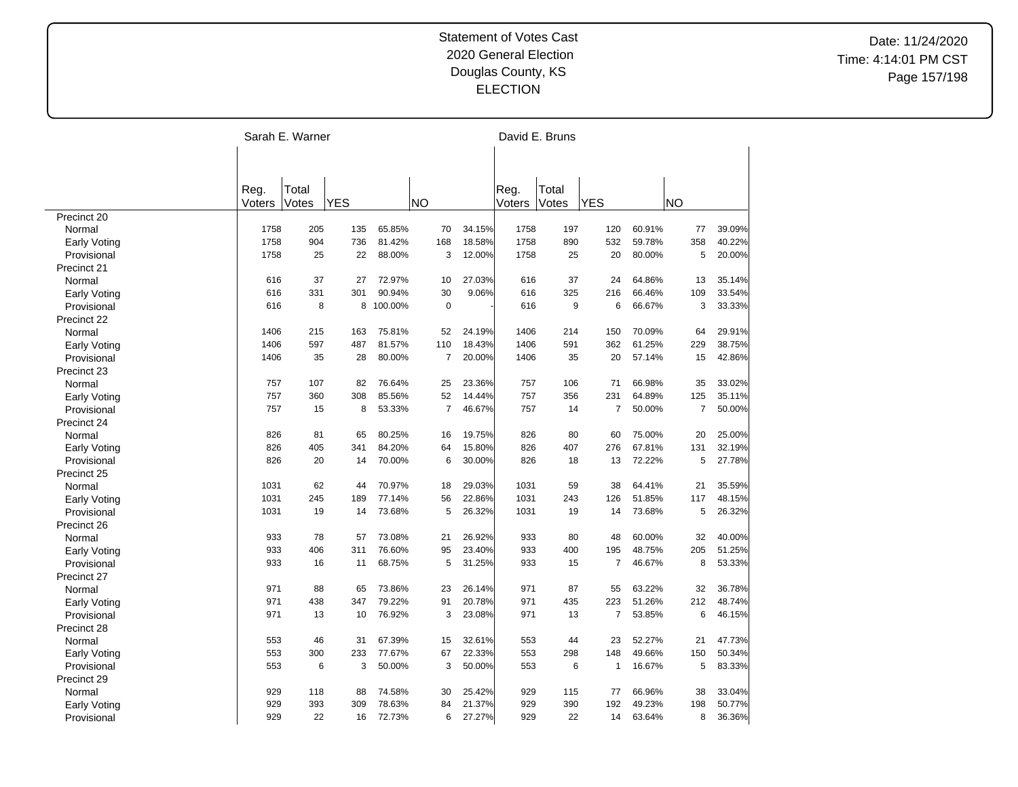|                     |                | Sarah E. Warner |            |         |                |        |                | David E. Bruns |                |        |                |        |
|---------------------|----------------|-----------------|------------|---------|----------------|--------|----------------|----------------|----------------|--------|----------------|--------|
|                     |                |                 |            |         |                |        |                |                |                |        |                |        |
|                     | Reg.<br>Voters | Total<br>Votes  | <b>YES</b> |         | NΟ             |        | Reg.<br>Voters | Total<br>Votes | <b>YES</b>     |        | <b>NO</b>      |        |
| Precinct 20         |                |                 |            |         |                |        |                |                |                |        |                |        |
| Normal              | 1758           | 205             | 135        | 65.85%  | 70             | 34.15% | 1758           | 197            | 120            | 60.91% | 77             | 39.09% |
| <b>Early Voting</b> | 1758           | 904             | 736        | 81.42%  | 168            | 18.58% | 1758           | 890            | 532            | 59.78% | 358            | 40.22% |
| Provisional         | 1758           | 25              | 22         | 88.00%  | 3              | 12.00% | 1758           | 25             | 20             | 80.00% | 5              | 20.00% |
| Precinct 21         |                |                 |            |         |                |        |                |                |                |        |                |        |
| Normal              | 616            | 37              | 27         | 72.97%  | 10             | 27.03% | 616            | 37             | 24             | 64.86% | 13             | 35.14% |
| Early Voting        | 616            | 331             | 301        | 90.94%  | 30             | 9.06%  | 616            | 325            | 216            | 66.46% | 109            | 33.54% |
| Provisional         | 616            | 8               | 8          | 100.00% | $\mathbf 0$    |        | 616            | 9              | 6              | 66.67% | 3              | 33.33% |
| Precinct 22         |                |                 |            |         |                |        |                |                |                |        |                |        |
| Normal              | 1406           | 215             | 163        | 75.81%  | 52             | 24.19% | 1406           | 214            | 150            | 70.09% | 64             | 29.91% |
| <b>Early Voting</b> | 1406           | 597             | 487        | 81.57%  | 110            | 18.43% | 1406           | 591            | 362            | 61.25% | 229            | 38.75% |
| Provisional         | 1406           | 35              | 28         | 80.00%  | $\overline{7}$ | 20.00% | 1406           | 35             | 20             | 57.14% | 15             | 42.86% |
| Precinct 23         |                |                 |            |         |                |        |                |                |                |        |                |        |
| Normal              | 757            | 107             | 82         | 76.64%  | 25             | 23.36% | 757            | 106            | 71             | 66.98% | 35             | 33.02% |
| Early Voting        | 757            | 360             | 308        | 85.56%  | 52             | 14.44% | 757            | 356            | 231            | 64.89% | 125            | 35.11% |
| Provisional         | 757            | 15              | 8          | 53.33%  | $\overline{7}$ | 46.67% | 757            | 14             | 7              | 50.00% | $\overline{7}$ | 50.00% |
| Precinct 24         |                |                 |            |         |                |        |                |                |                |        |                |        |
| Normal              | 826            | 81              | 65         | 80.25%  | 16             | 19.75% | 826            | 80             | 60             | 75.00% | 20             | 25.00% |
| Early Voting        | 826            | 405             | 341        | 84.20%  | 64             | 15.80% | 826            | 407            | 276            | 67.81% | 131            | 32.19% |
| Provisional         | 826            | 20              | 14         | 70.00%  | 6              | 30.00% | 826            | 18             | 13             | 72.22% | 5              | 27.78% |
| Precinct 25         |                |                 |            |         |                |        |                |                |                |        |                |        |
| Normal              | 1031           | 62              | 44         | 70.97%  | 18             | 29.03% | 1031           | 59             | 38             | 64.41% | 21             | 35.59% |
| <b>Early Voting</b> | 1031           | 245             | 189        | 77.14%  | 56             | 22.86% | 1031           | 243            | 126            | 51.85% | 117            | 48.15% |
| Provisional         | 1031           | 19              | 14         | 73.68%  | 5              | 26.32% | 1031           | 19             | 14             | 73.68% | 5              | 26.32% |
| Precinct 26         |                |                 |            |         |                |        |                |                |                |        |                |        |
| Normal              | 933            | 78              | 57         | 73.08%  | 21             | 26.92% | 933            | 80             | 48             | 60.00% | 32             | 40.00% |
| <b>Early Voting</b> | 933            | 406             | 311        | 76.60%  | 95             | 23.40% | 933            | 400            | 195            | 48.75% | 205            | 51.25% |
| Provisional         | 933            | 16              | 11         | 68.75%  | 5              | 31.25% | 933            | 15             | $\overline{7}$ | 46.67% | 8              | 53.33% |
| Precinct 27         |                |                 |            |         |                |        |                |                |                |        |                |        |
| Normal              | 971            | 88              | 65         | 73.86%  | 23             | 26.14% | 971            | 87             | 55             | 63.22% | 32             | 36.78% |
| Early Voting        | 971            | 438             | 347        | 79.22%  | 91             | 20.78% | 971            | 435            | 223            | 51.26% | 212            | 48.74% |
| Provisional         | 971            | 13              | 10         | 76.92%  | 3              | 23.08% | 971            | 13             | $\overline{7}$ | 53.85% | 6              | 46.15% |
| Precinct 28         |                |                 |            |         |                |        |                |                |                |        |                |        |
| Normal              | 553            | 46              | 31         | 67.39%  | 15             | 32.61% | 553            | 44             | 23             | 52.27% | 21             | 47.73% |
| <b>Early Voting</b> | 553            | 300             | 233        | 77.67%  | 67             | 22.33% | 553            | 298            | 148            | 49.66% | 150            | 50.34% |
| Provisional         | 553            | 6               | 3          | 50.00%  | 3              | 50.00% | 553            | 6              | $\mathbf{1}$   | 16.67% | 5              | 83.33% |
| Precinct 29         |                |                 |            |         |                |        |                |                |                |        |                |        |
| Normal              | 929            | 118             | 88         | 74.58%  | 30             | 25.42% | 929            | 115            | 77             | 66.96% | 38             | 33.04% |
| Early Voting        | 929            | 393             | 309        | 78.63%  | 84             | 21.37% | 929            | 390            | 192            | 49.23% | 198            | 50.77% |
| Provisional         | 929            | 22              | 16         | 72.73%  | 6              | 27.27% | 929            | 22             | 14             | 63.64% | 8              | 36.36% |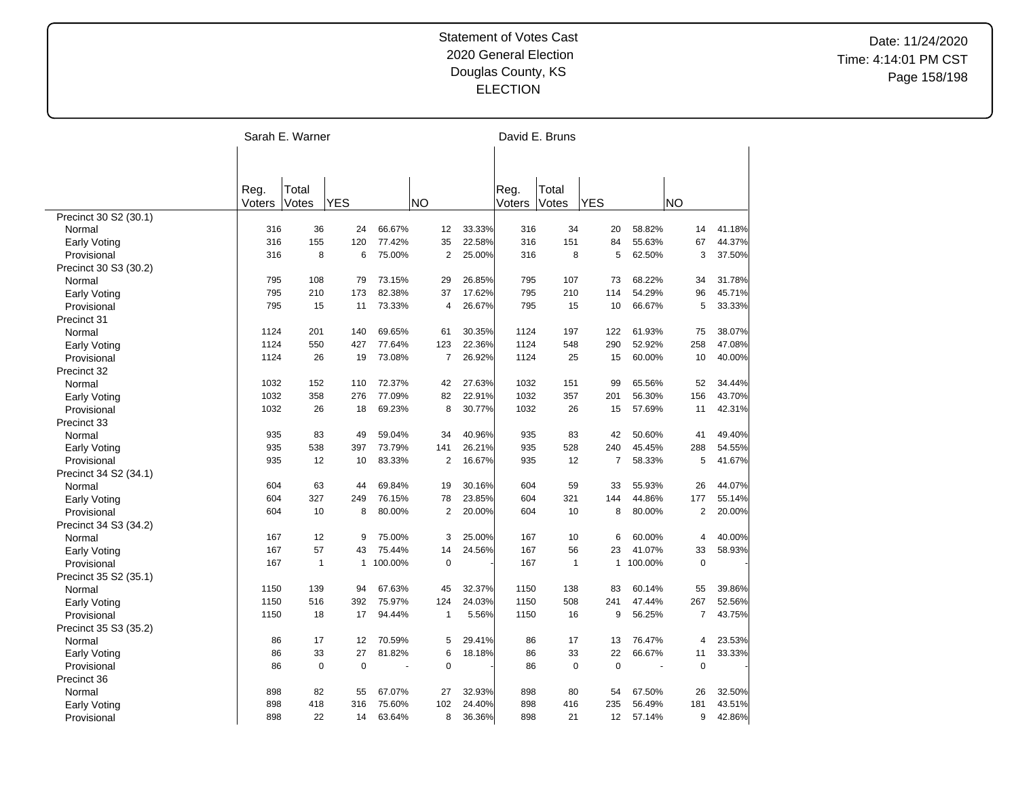|                                 |        | Sarah E. Warner |              |         |                |        |        | David E. Bruns |                |         |                       |        |
|---------------------------------|--------|-----------------|--------------|---------|----------------|--------|--------|----------------|----------------|---------|-----------------------|--------|
|                                 |        |                 |              |         |                |        |        |                |                |         |                       |        |
|                                 |        |                 |              |         |                |        |        |                |                |         |                       |        |
|                                 | Reg.   | Total           |              |         |                |        | Reg.   | Total          |                |         |                       |        |
|                                 | Voters | Votes           | <b>YES</b>   |         | <b>NO</b>      |        | Voters | Votes          | <b>YES</b>     |         | <b>NO</b>             |        |
| Precinct 30 S2 (30.1)           |        |                 |              |         |                |        |        |                |                |         |                       |        |
| Normal                          | 316    | 36              | 24           | 66.67%  | 12             | 33.33% | 316    | 34             | 20             | 58.82%  | 14                    | 41.18% |
| <b>Early Voting</b>             | 316    | 155             | 120          | 77.42%  | 35             | 22.58% | 316    | 151            | 84             | 55.63%  | 67                    | 44.37% |
| Provisional                     | 316    | 8               | 6            | 75.00%  | $\overline{2}$ | 25.00% | 316    | 8              | 5              | 62.50%  | 3                     | 37.50% |
| Precinct 30 S3 (30.2)           |        |                 |              |         |                |        |        |                |                |         |                       |        |
| Normal                          | 795    | 108             | 79           | 73.15%  | 29             | 26.85% | 795    | 107            | 73             | 68.22%  | 34                    | 31.78% |
| Early Voting                    | 795    | 210             | 173          | 82.38%  | 37             | 17.62% | 795    | 210            | 114            | 54.29%  | 96                    | 45.71% |
| Provisional                     | 795    | 15              | 11           | 73.33%  | $\overline{4}$ | 26.67% | 795    | 15             | 10             | 66.67%  | 5                     | 33.33% |
| Precinct 31                     |        |                 |              |         |                |        |        |                |                |         |                       |        |
| Normal                          | 1124   | 201             | 140          | 69.65%  | 61             | 30.35% | 1124   | 197            | 122            | 61.93%  | 75                    | 38.07% |
| Early Voting                    | 1124   | 550             | 427          | 77.64%  | 123            | 22.36% | 1124   | 548            | 290            | 52.92%  | 258                   | 47.08% |
| Provisional                     | 1124   | 26              | 19           | 73.08%  | $\overline{7}$ | 26.92% | 1124   | 25             | 15             | 60.00%  | 10                    | 40.00% |
| Precinct 32                     |        |                 |              |         |                |        |        |                |                |         |                       |        |
| Normal                          | 1032   | 152             | 110          | 72.37%  | 42             | 27.63% | 1032   | 151            | 99             | 65.56%  | 52                    | 34.44% |
| <b>Early Voting</b>             | 1032   | 358             | 276          | 77.09%  | 82             | 22.91% | 1032   | 357            | 201            | 56.30%  | 156                   | 43.70% |
| Provisional                     | 1032   | 26              | 18           | 69.23%  | 8              | 30.77% | 1032   | 26             | 15             | 57.69%  | 11                    | 42.31% |
| Precinct 33                     |        |                 |              |         |                |        |        |                |                |         |                       |        |
| Normal                          | 935    | 83              | 49           | 59.04%  | 34             | 40.96% | 935    | 83             | 42             | 50.60%  | 41                    | 49.40% |
| <b>Early Voting</b>             | 935    | 538             | 397          | 73.79%  | 141            | 26.21% | 935    | 528            | 240            | 45.45%  | 288                   | 54.55% |
| Provisional                     | 935    | 12              | 10           | 83.33%  | $\overline{2}$ | 16.67% | 935    | 12             | $\overline{7}$ | 58.33%  | 5                     | 41.67% |
| Precinct 34 S2 (34.1)           |        |                 |              |         |                |        |        |                |                |         |                       |        |
| Normal                          | 604    | 63              | 44           | 69.84%  | 19             | 30.16% | 604    | 59             | 33             | 55.93%  | 26                    | 44.07% |
| Early Voting                    | 604    | 327             | 249          | 76.15%  | 78             | 23.85% | 604    | 321            | 144            | 44.86%  | 177                   | 55.14% |
| Provisional                     | 604    | 10              | 8            | 80.00%  | $\overline{2}$ | 20.00% | 604    | 10             | 8              | 80.00%  | $\overline{2}$        | 20.00% |
|                                 |        |                 |              |         |                |        |        |                |                |         |                       |        |
| Precinct 34 S3 (34.2)<br>Normal | 167    | 12              | 9            | 75.00%  | 3              | 25.00% | 167    | 10             | 6              | 60.00%  | 4                     | 40.00% |
|                                 | 167    | 57              | 43           | 75.44%  | 14             | 24.56% | 167    | 56             | 23             | 41.07%  | 33                    | 58.93% |
| Early Voting                    | 167    | $\mathbf{1}$    | $\mathbf{1}$ | 100.00% | $\mathbf 0$    |        | 167    | $\mathbf{1}$   | $\mathbf{1}$   | 100.00% | $\mathbf 0$           |        |
| Provisional                     |        |                 |              |         |                |        |        |                |                |         |                       |        |
| Precinct 35 S2 (35.1)           | 1150   | 139             | 94           | 67.63%  | 45             |        | 1150   |                | 83             | 60.14%  | 55                    |        |
| Normal                          |        |                 |              | 75.97%  |                | 32.37% |        | 138            |                |         |                       | 39.86% |
| <b>Early Voting</b>             | 1150   | 516             | 392          |         | 124            | 24.03% | 1150   | 508            | 241            | 47.44%  | 267<br>$\overline{7}$ | 52.56% |
| Provisional                     | 1150   | 18              | 17           | 94.44%  | $\mathbf{1}$   | 5.56%  | 1150   | 16             | 9              | 56.25%  |                       | 43.75% |
| Precinct 35 S3 (35.2)           |        |                 |              |         |                |        |        |                |                |         |                       |        |
| Normal                          | 86     | 17              | 12           | 70.59%  | 5              | 29.41% | 86     | 17             | 13             | 76.47%  | $\overline{4}$        | 23.53% |
| <b>Early Voting</b>             | 86     | 33              | 27           | 81.82%  | 6              | 18.18% | 86     | 33             | 22             | 66.67%  | 11                    | 33.33% |
| Provisional                     | 86     | $\mathbf 0$     | $\mathbf 0$  | ÷,      | $\pmb{0}$      |        | 86     | 0              | $\mathbf 0$    | ÷,      | $\pmb{0}$             |        |
| Precinct 36                     |        |                 |              |         |                |        |        |                |                |         |                       |        |
| Normal                          | 898    | 82              | 55           | 67.07%  | 27             | 32.93% | 898    | 80             | 54             | 67.50%  | 26                    | 32.50% |
| Early Voting                    | 898    | 418             | 316          | 75.60%  | 102            | 24.40% | 898    | 416            | 235            | 56.49%  | 181                   | 43.51% |
| Provisional                     | 898    | 22              | 14           | 63.64%  | 8              | 36.36% | 898    | 21             | 12             | 57.14%  | 9                     | 42.86% |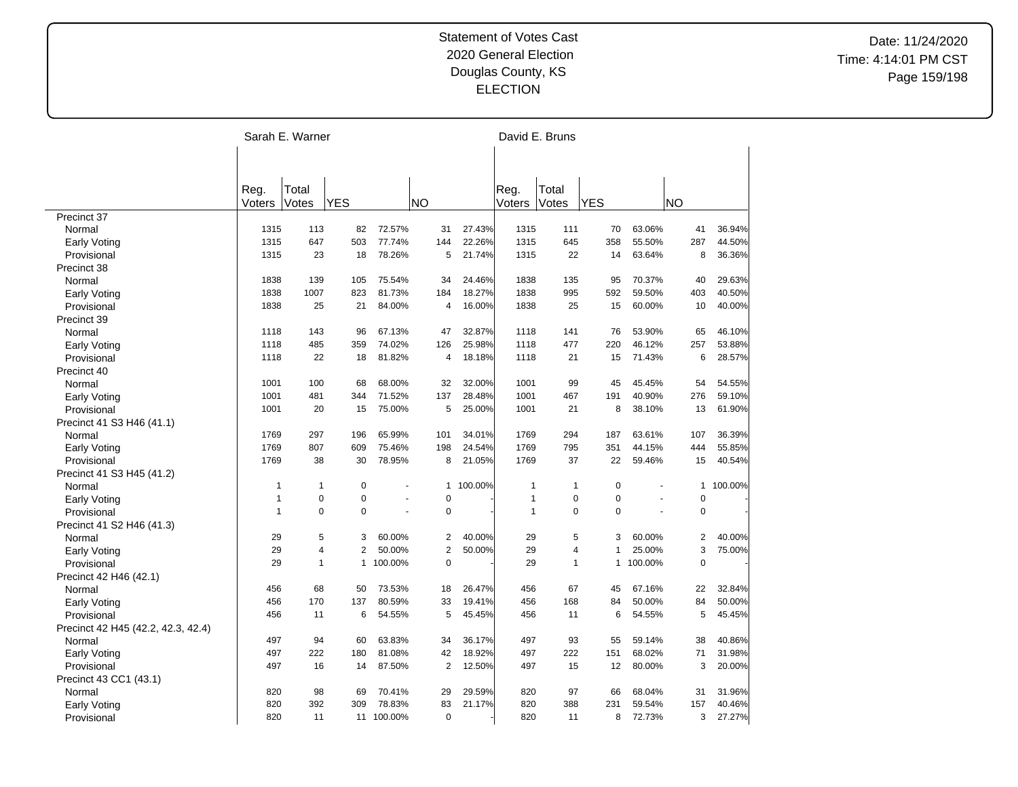|                                    | Sarah E. Warner |                |                |            |                |           |                | David E. Bruns |              |         |                |         |
|------------------------------------|-----------------|----------------|----------------|------------|----------------|-----------|----------------|----------------|--------------|---------|----------------|---------|
|                                    |                 |                |                |            |                |           |                |                |              |         |                |         |
|                                    | Reg.<br>Voters  | Total<br>Votes | <b>YES</b>     |            | <b>NO</b>      |           | Reg.<br>Voters | Total<br>Votes | <b>YES</b>   |         | NΟ             |         |
| Precinct 37                        |                 |                |                |            |                |           |                |                |              |         |                |         |
| Normal                             | 1315            | 113            | 82             | 72.57%     | 31             | 27.43%    | 1315           | 111            | 70           | 63.06%  | 41             | 36.94%  |
| <b>Early Voting</b>                | 1315            | 647            | 503            | 77.74%     | 144            | 22.26%    | 1315           | 645            | 358          | 55.50%  | 287            | 44.50%  |
| Provisional                        | 1315            | 23             | 18             | 78.26%     | 5              | 21.74%    | 1315           | 22             | 14           | 63.64%  | 8              | 36.36%  |
| Precinct 38                        |                 |                |                |            |                |           |                |                |              |         |                |         |
| Normal                             | 1838            | 139            | 105            | 75.54%     | 34             | 24.46%    | 1838           | 135            | 95           | 70.37%  | 40             | 29.63%  |
| Early Voting                       | 1838            | 1007           | 823            | 81.73%     | 184            | 18.27%    | 1838           | 995            | 592          | 59.50%  | 403            | 40.50%  |
| Provisional                        | 1838            | 25             | 21             | 84.00%     | 4              | 16.00%    | 1838           | 25             | 15           | 60.00%  | 10             | 40.00%  |
| Precinct 39                        |                 |                |                |            |                |           |                |                |              |         |                |         |
| Normal                             | 1118            | 143            | 96             | 67.13%     | 47             | 32.87%    | 1118           | 141            | 76           | 53.90%  | 65             | 46.10%  |
| <b>Early Voting</b>                | 1118            | 485            | 359            | 74.02%     | 126            | 25.98%    | 1118           | 477            | 220          | 46.12%  | 257            | 53.88%  |
| Provisional                        | 1118            | 22             | 18             | 81.82%     | $\overline{4}$ | 18.18%    | 1118           | 21             | 15           | 71.43%  | 6              | 28.57%  |
| Precinct 40                        |                 |                |                |            |                |           |                |                |              |         |                |         |
| Normal                             | 1001            | 100            | 68             | 68.00%     | 32             | 32.00%    | 1001           | 99             | 45           | 45.45%  | 54             | 54.55%  |
| Early Voting                       | 1001            | 481            | 344            | 71.52%     | 137            | 28.48%    | 1001           | 467            | 191          | 40.90%  | 276            | 59.10%  |
| Provisional                        | 1001            | 20             | 15             | 75.00%     | 5              | 25.00%    | 1001           | 21             | 8            | 38.10%  | 13             | 61.90%  |
| Precinct 41 S3 H46 (41.1)          |                 |                |                |            |                |           |                |                |              |         |                |         |
| Normal                             | 1769            | 297            | 196            | 65.99%     | 101            | 34.01%    | 1769           | 294            | 187          | 63.61%  | 107            | 36.39%  |
| Early Voting                       | 1769            | 807            | 609            | 75.46%     | 198            | 24.54%    | 1769           | 795            | 351          | 44.15%  | 444            | 55.85%  |
| Provisional                        | 1769            | 38             | 30             | 78.95%     | 8              | 21.05%    | 1769           | 37             | 22           | 59.46%  | 15             | 40.54%  |
| Precinct 41 S3 H45 (41.2)          |                 |                |                |            |                |           |                |                |              |         |                |         |
| Normal                             | $\overline{1}$  | $\mathbf{1}$   | $\mathbf 0$    |            |                | 1 100.00% | $\mathbf{1}$   | 1              | $\mathbf 0$  |         | $\mathbf{1}$   | 100.00% |
| <b>Early Voting</b>                | $\overline{1}$  | $\mathbf 0$    | $\mathbf 0$    |            | $\mathbf 0$    |           | $\mathbf{1}$   | $\mathbf 0$    | $\mathbf 0$  |         | $\Omega$       |         |
| Provisional                        | $\overline{1}$  | $\Omega$       | $\Omega$       | L.         | $\pmb{0}$      |           | $\mathbf{1}$   | $\Omega$       | $\Omega$     |         | $\pmb{0}$      |         |
| Precinct 41 S2 H46 (41.3)          |                 |                |                |            |                |           |                |                |              |         |                |         |
| Normal                             | 29              | $\sqrt{5}$     | 3              | 60.00%     | 2              | 40.00%    | 29             | 5              | 3            | 60.00%  | $\overline{c}$ | 40.00%  |
| <b>Early Voting</b>                | 29              | $\overline{4}$ | $\overline{2}$ | 50.00%     | $\overline{2}$ | 50.00%    | 29             | 4              | $\mathbf{1}$ | 25.00%  | 3              | 75.00%  |
| Provisional                        | 29              | $\mathbf{1}$   | $\mathbf{1}$   | 100.00%    | $\mathbf 0$    |           | 29             | 1              | $\mathbf{1}$ | 100.00% | $\mathbf 0$    |         |
| Precinct 42 H46 (42.1)             |                 |                |                |            |                |           |                |                |              |         |                |         |
| Normal                             | 456             | 68             | 50             | 73.53%     | 18             | 26.47%    | 456            | 67             | 45           | 67.16%  | 22             | 32.84%  |
| Early Voting                       | 456             | 170            | 137            | 80.59%     | 33             | 19.41%    | 456            | 168            | 84           | 50.00%  | 84             | 50.00%  |
| Provisional                        | 456             | 11             | 6              | 54.55%     | 5              | 45.45%    | 456            | 11             | 6            | 54.55%  | 5              | 45.45%  |
| Precinct 42 H45 (42.2, 42.3, 42.4) |                 |                |                |            |                |           |                |                |              |         |                |         |
| Normal                             | 497             | 94             | 60             | 63.83%     | 34             | 36.17%    | 497            | 93             | 55           | 59.14%  | 38             | 40.86%  |
| <b>Early Voting</b>                | 497             | 222            | 180            | 81.08%     | 42             | 18.92%    | 497            | 222            | 151          | 68.02%  | 71             | 31.98%  |
| Provisional                        | 497             | 16             | 14             | 87.50%     | $\overline{2}$ | 12.50%    | 497            | 15             | 12           | 80.00%  | 3              | 20.00%  |
| Precinct 43 CC1 (43.1)             |                 |                |                |            |                |           |                |                |              |         |                |         |
| Normal                             | 820             | 98             | 69             | 70.41%     | 29             | 29.59%    | 820            | 97             | 66           | 68.04%  | 31             | 31.96%  |
| <b>Early Voting</b>                | 820             | 392            | 309            | 78.83%     | 83             | 21.17%    | 820            | 388            | 231          | 59.54%  | 157            | 40.46%  |
| Provisional                        | 820             | 11             |                | 11 100.00% | $\mathbf 0$    |           | 820            | 11             | 8            | 72.73%  | 3              | 27.27%  |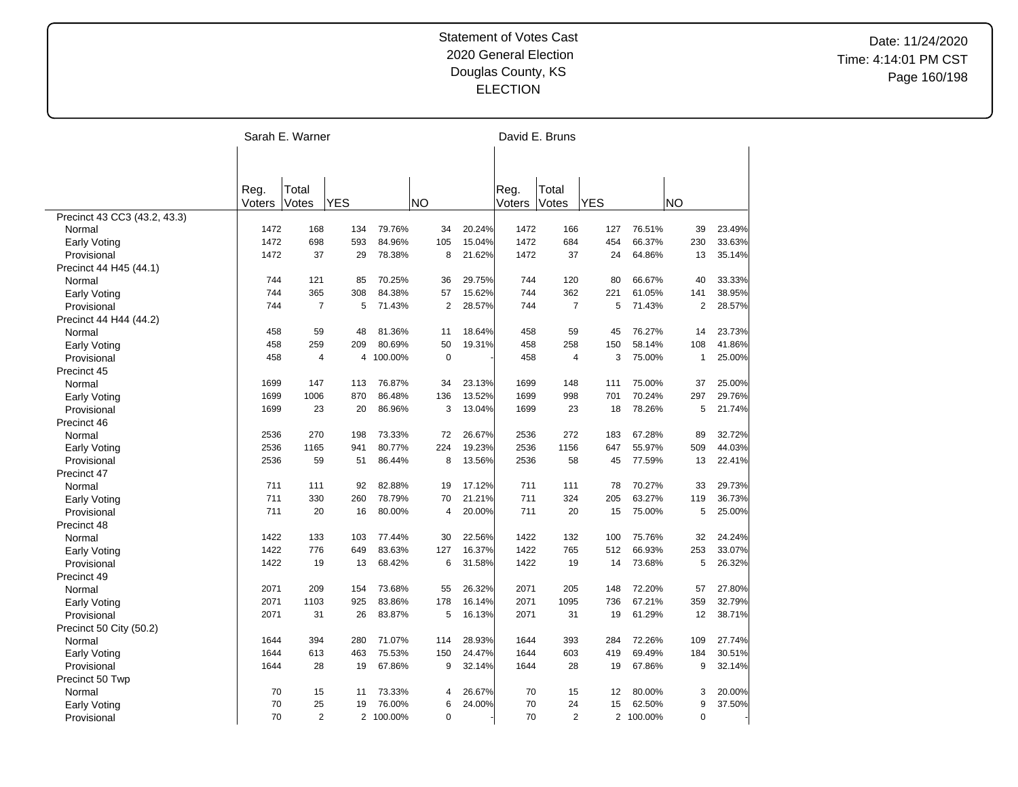|                              |        | Sarah E. Warner |            |           |                |        |        | David E. Bruns |            |           |                |        |
|------------------------------|--------|-----------------|------------|-----------|----------------|--------|--------|----------------|------------|-----------|----------------|--------|
|                              |        |                 |            |           |                |        |        |                |            |           |                |        |
|                              |        |                 |            |           |                |        |        |                |            |           |                |        |
|                              | Reg.   | Total           |            |           |                |        | Reg.   | Total          |            |           |                |        |
|                              | Voters | Votes           | <b>YES</b> |           | <b>NO</b>      |        | Voters | Votes          | <b>YES</b> |           | <b>NO</b>      |        |
| Precinct 43 CC3 (43.2, 43.3) |        |                 |            |           |                |        |        |                |            |           |                |        |
| Normal                       | 1472   | 168             | 134        | 79.76%    | 34             | 20.24% | 1472   | 166            | 127        | 76.51%    | 39             | 23.49% |
| <b>Early Voting</b>          | 1472   | 698             | 593        | 84.96%    | 105            | 15.04% | 1472   | 684            | 454        | 66.37%    | 230            | 33.63% |
| Provisional                  | 1472   | 37              | 29         | 78.38%    | 8              | 21.62% | 1472   | 37             | 24         | 64.86%    | 13             | 35.14% |
| Precinct 44 H45 (44.1)       |        |                 |            |           |                |        |        |                |            |           |                |        |
| Normal                       | 744    | 121             | 85         | 70.25%    | 36             | 29.75% | 744    | 120            | 80         | 66.67%    | 40             | 33.33% |
| Early Voting                 | 744    | 365             | 308        | 84.38%    | 57             | 15.62% | 744    | 362            | 221        | 61.05%    | 141            | 38.95% |
| Provisional                  | 744    | $\overline{7}$  | 5          | 71.43%    | $\overline{2}$ | 28.57% | 744    | $\overline{7}$ | 5          | 71.43%    | $\overline{2}$ | 28.57% |
| Precinct 44 H44 (44.2)       |        |                 |            |           |                |        |        |                |            |           |                |        |
| Normal                       | 458    | 59              | 48         | 81.36%    | 11             | 18.64% | 458    | 59             | 45         | 76.27%    | 14             | 23.73% |
| Early Voting                 | 458    | 259             | 209        | 80.69%    | 50             | 19.31% | 458    | 258            | 150        | 58.14%    | 108            | 41.86% |
| Provisional                  | 458    | $\overline{4}$  | 4          | 100.00%   | $\mathbf 0$    |        | 458    | $\overline{4}$ | 3          | 75.00%    | $\mathbf{1}$   | 25.00% |
| Precinct 45                  |        |                 |            |           |                |        |        |                |            |           |                |        |
| Normal                       | 1699   | 147             | 113        | 76.87%    | 34             | 23.13% | 1699   | 148            | 111        | 75.00%    | 37             | 25.00% |
| <b>Early Voting</b>          | 1699   | 1006            | 870        | 86.48%    | 136            | 13.52% | 1699   | 998            | 701        | 70.24%    | 297            | 29.76% |
| Provisional                  | 1699   | 23              | 20         | 86.96%    | 3              | 13.04% | 1699   | 23             | 18         | 78.26%    | 5              | 21.74% |
| Precinct 46                  |        |                 |            |           |                |        |        |                |            |           |                |        |
| Normal                       | 2536   | 270             | 198        | 73.33%    | 72             | 26.67% | 2536   | 272            | 183        | 67.28%    | 89             | 32.72% |
| Early Voting                 | 2536   | 1165            | 941        | 80.77%    | 224            | 19.23% | 2536   | 1156           | 647        | 55.97%    | 509            | 44.03% |
| Provisional                  | 2536   | 59              | 51         | 86.44%    | 8              | 13.56% | 2536   | 58             | 45         | 77.59%    | 13             | 22.41% |
| Precinct 47                  |        |                 |            |           |                |        |        |                |            |           |                |        |
| Normal                       | 711    | 111             | 92         | 82.88%    | 19             | 17.12% | 711    | 111            | 78         | 70.27%    | 33             | 29.73% |
| Early Voting                 | 711    | 330             | 260        | 78.79%    | 70             | 21.21% | 711    | 324            | 205        | 63.27%    | 119            | 36.73% |
| Provisional                  | 711    | 20              | 16         | 80.00%    | 4              | 20.00% | 711    | 20             | 15         | 75.00%    | 5              | 25.00% |
| Precinct 48                  |        |                 |            |           |                |        |        |                |            |           |                |        |
| Normal                       | 1422   | 133             | 103        | 77.44%    | 30             | 22.56% | 1422   | 132            | 100        | 75.76%    | 32             | 24.24% |
| Early Voting                 | 1422   | 776             | 649        | 83.63%    | 127            | 16.37% | 1422   | 765            | 512        | 66.93%    | 253            | 33.07% |
| Provisional                  | 1422   | 19              | 13         | 68.42%    | 6              | 31.58% | 1422   | 19             | 14         | 73.68%    | 5              | 26.32% |
| Precinct 49                  |        |                 |            |           |                |        |        |                |            |           |                |        |
| Normal                       | 2071   | 209             | 154        | 73.68%    | 55             | 26.32% | 2071   | 205            | 148        | 72.20%    | 57             | 27.80% |
| <b>Early Voting</b>          | 2071   | 1103            | 925        | 83.86%    | 178            | 16.14% | 2071   | 1095           | 736        | 67.21%    | 359            | 32.79% |
| Provisional                  | 2071   | 31              | 26         | 83.87%    | 5              | 16.13% | 2071   | 31             | 19         | 61.29%    | 12             | 38.71% |
| Precinct 50 City (50.2)      |        |                 |            |           |                |        |        |                |            |           |                |        |
| Normal                       | 1644   | 394             | 280        | 71.07%    | 114            | 28.93% | 1644   | 393            | 284        | 72.26%    | 109            | 27.74% |
| <b>Early Voting</b>          | 1644   | 613             | 463        | 75.53%    | 150            | 24.47% | 1644   | 603            | 419        | 69.49%    | 184            | 30.51% |
| Provisional                  | 1644   | 28              | 19         | 67.86%    | 9              | 32.14% | 1644   | 28             | 19         | 67.86%    | 9              | 32.14% |
|                              |        |                 |            |           |                |        |        |                |            |           |                |        |
| Precinct 50 Twp              | 70     | 15              | 11         | 73.33%    | 4              | 26.67% | 70     | 15             | 12         | 80.00%    | 3              | 20.00% |
| Normal                       | 70     | 25              | 19         | 76.00%    | 6              | 24.00% | 70     | 24             | 15         | 62.50%    | 9              | 37.50% |
| Early Voting                 | 70     | $\overline{2}$  |            | 2 100.00% | 0              |        | 70     | $\overline{2}$ |            |           | 0              |        |
| Provisional                  |        |                 |            |           |                |        |        |                |            | 2 100.00% |                |        |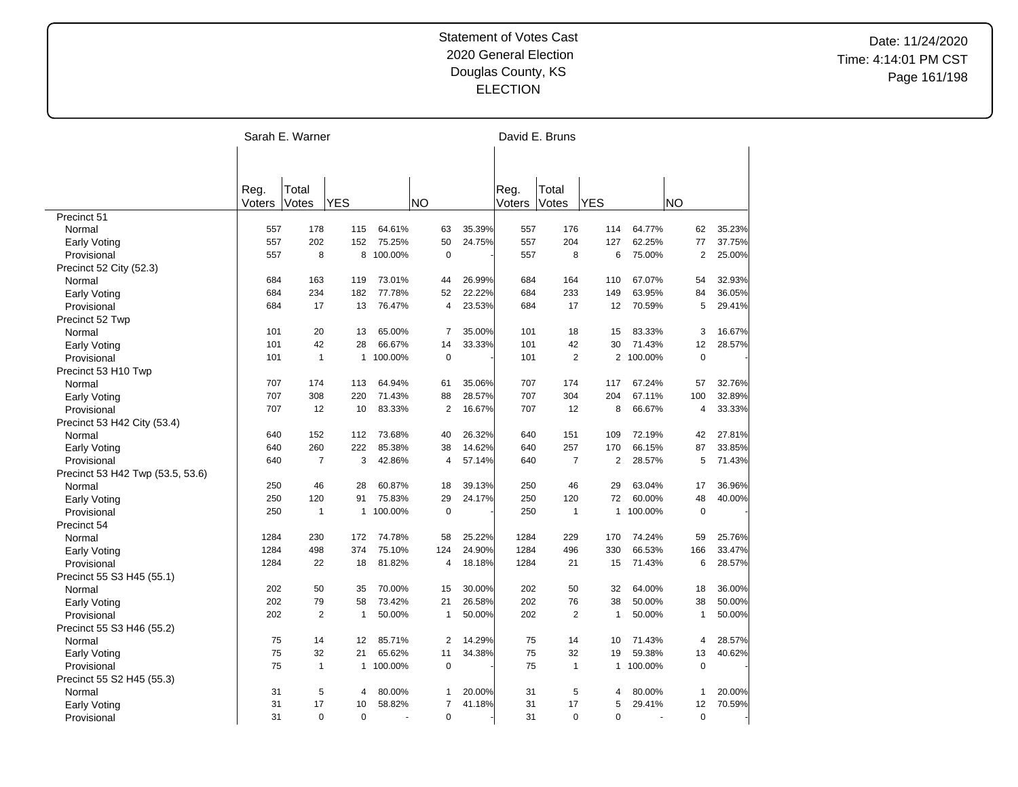|                                  | Sarah E. Warner |                |              |           |           |                |        |        | David E. Bruns |                |                          |                |        |
|----------------------------------|-----------------|----------------|--------------|-----------|-----------|----------------|--------|--------|----------------|----------------|--------------------------|----------------|--------|
|                                  |                 |                |              |           |           |                |        |        |                |                |                          |                |        |
|                                  | Reg.            | Total          |              |           |           |                |        | Reg.   | Total          |                |                          |                |        |
|                                  | Voters          | Votes          | <b>YES</b>   |           | <b>NO</b> |                |        | Voters | Votes          | <b>YES</b>     |                          | <b>NO</b>      |        |
| Precinct 51                      |                 |                |              |           |           |                |        |        |                |                |                          |                |        |
| Normal                           | 557             | 178            | 115          | 64.61%    |           | 63             | 35.39% | 557    | 176            | 114            | 64.77%                   | 62             | 35.23% |
| Early Voting                     | 557             | 202            | 152          | 75.25%    |           | 50             | 24.75% | 557    | 204            | 127            | 62.25%                   | 77             | 37.75% |
| Provisional                      | 557             | 8              | 8            | 100.00%   |           | $\mathbf 0$    |        | 557    | 8              | 6              | 75.00%                   | $\overline{2}$ | 25.00% |
| Precinct 52 City (52.3)          |                 |                |              |           |           |                |        |        |                |                |                          |                |        |
| Normal                           | 684             | 163            | 119          | 73.01%    |           | 44             | 26.99% | 684    | 164            | 110            | 67.07%                   | 54             | 32.93% |
| Early Voting                     | 684             | 234            | 182          | 77.78%    |           | 52             | 22.22% | 684    | 233            | 149            | 63.95%                   | 84             | 36.05% |
| Provisional                      | 684             | 17             | 13           | 76.47%    |           | 4              | 23.53% | 684    | 17             | 12             | 70.59%                   | 5              | 29.41% |
| Precinct 52 Twp                  |                 |                |              |           |           |                |        |        |                |                |                          |                |        |
| Normal                           | 101             | 20             | 13           | 65.00%    |           | 7              | 35.00% | 101    | 18             | 15             | 83.33%                   | 3              | 16.67% |
| Early Voting                     | 101             | 42             | 28           | 66.67%    |           | 14             | 33.33% | 101    | 42             | 30             | 71.43%                   | 12             | 28.57% |
| Provisional                      | 101             | $\mathbf{1}$   | 1            | 100.00%   |           | $\mathbf 0$    |        | 101    | $\overline{2}$ |                | 2 100.00%                | $\mathbf 0$    |        |
| Precinct 53 H10 Twp              |                 |                |              |           |           |                |        |        |                |                |                          |                |        |
| Normal                           | 707             | 174            | 113          | 64.94%    |           | 61             | 35.06% | 707    | 174            | 117            | 67.24%                   | 57             | 32.76% |
| <b>Early Voting</b>              | 707             | 308            | 220          | 71.43%    |           | 88             | 28.57% | 707    | 304            | 204            | 67.11%                   | 100            | 32.89% |
| Provisional                      | 707             | 12             | 10           | 83.33%    |           | $\mathbf{2}$   | 16.67% | 707    | 12             | 8              | 66.67%                   | 4              | 33.33% |
| Precinct 53 H42 City (53.4)      |                 |                |              |           |           |                |        |        |                |                |                          |                |        |
| Normal                           | 640             | 152            | 112          | 73.68%    |           | 40             | 26.32% | 640    | 151            | 109            | 72.19%                   | 42             | 27.81% |
| <b>Early Voting</b>              | 640             | 260            | 222          | 85.38%    |           | 38             | 14.62% | 640    | 257            | 170            | 66.15%                   | 87             | 33.85% |
| Provisional                      | 640             | $\overline{7}$ | 3            | 42.86%    |           | 4              | 57.14% | 640    | $\overline{7}$ | $\overline{2}$ | 28.57%                   | 5              | 71.43% |
| Precinct 53 H42 Twp (53.5, 53.6) |                 |                |              |           |           |                |        |        |                |                |                          |                |        |
| Normal                           | 250             | 46             | 28           | 60.87%    |           | 18             | 39.13% | 250    | 46             | 29             | 63.04%                   | 17             | 36.96% |
| Early Voting                     | 250             | 120            | 91           | 75.83%    |           | 29             | 24.17% | 250    | 120            | 72             | 60.00%                   | 48             | 40.00% |
| Provisional                      | 250             | $\mathbf{1}$   | $\mathbf{1}$ | 100.00%   |           | $\mathbf 0$    |        | 250    | $\mathbf{1}$   | $\mathbf{1}$   | 100.00%                  | $\mathbf 0$    |        |
| Precinct 54                      |                 |                |              |           |           |                |        |        |                |                |                          |                |        |
| Normal                           | 1284            | 230            | 172          | 74.78%    |           | 58             | 25.22% | 1284   | 229            | 170            | 74.24%                   | 59             | 25.76% |
| <b>Early Voting</b>              | 1284            | 498            | 374          | 75.10%    |           | 124            | 24.90% | 1284   | 496            | 330            | 66.53%                   | 166            | 33.47% |
| Provisional                      | 1284            | 22             | 18           | 81.82%    |           | 4              | 18.18% | 1284   | 21             | 15             | 71.43%                   | 6              | 28.57% |
| Precinct 55 S3 H45 (55.1)        |                 |                |              |           |           |                |        |        |                |                |                          |                |        |
| Normal                           | 202             | 50             | 35           | 70.00%    |           | 15             | 30.00% | 202    | 50             | 32             | 64.00%                   | 18             | 36.00% |
| <b>Early Voting</b>              | 202             | 79             | 58           | 73.42%    |           | 21             | 26.58% | 202    | 76             | 38             | 50.00%                   | 38             | 50.00% |
| Provisional                      | 202             | $\overline{2}$ | $\mathbf{1}$ | 50.00%    |           | $\mathbf{1}$   | 50.00% | 202    | 2              | $\mathbf{1}$   | 50.00%                   | $\mathbf{1}$   | 50.00% |
| Precinct 55 S3 H46 (55.2)        |                 |                |              |           |           |                |        |        |                |                |                          |                |        |
| Normal                           | 75              | 14             | 12           | 85.71%    |           | $\overline{2}$ | 14.29% | 75     | 14             | 10             | 71.43%                   | $\overline{4}$ | 28.57% |
| <b>Early Voting</b>              | 75              | 32             | 21           | 65.62%    |           | 11             | 34.38% | 75     | 32             | 19             | 59.38%                   | 13             | 40.62% |
| Provisional                      | 75              | $\mathbf{1}$   |              | 1 100.00% |           | $\pmb{0}$      |        | 75     | $\mathbf{1}$   | $\mathbf{1}$   | 100.00%                  | $\mathbf 0$    |        |
| Precinct 55 S2 H45 (55.3)        |                 |                |              |           |           |                |        |        |                |                |                          |                |        |
| Normal                           | 31              | 5              | 4            | 80.00%    |           | 1              | 20.00% | 31     | 5              | 4              | 80.00%                   | $\mathbf{1}$   | 20.00% |
| Early Voting                     | 31              | 17             | 10           | 58.82%    |           | $\overline{7}$ | 41.18% | 31     | 17             | 5              | 29.41%                   | 12             | 70.59% |
| Provisional                      | 31              | $\Omega$       | $\mathbf 0$  |           |           | $\mathbf 0$    |        | 31     | $\Omega$       | $\mathbf 0$    | $\overline{\phantom{a}}$ | $\mathbf 0$    |        |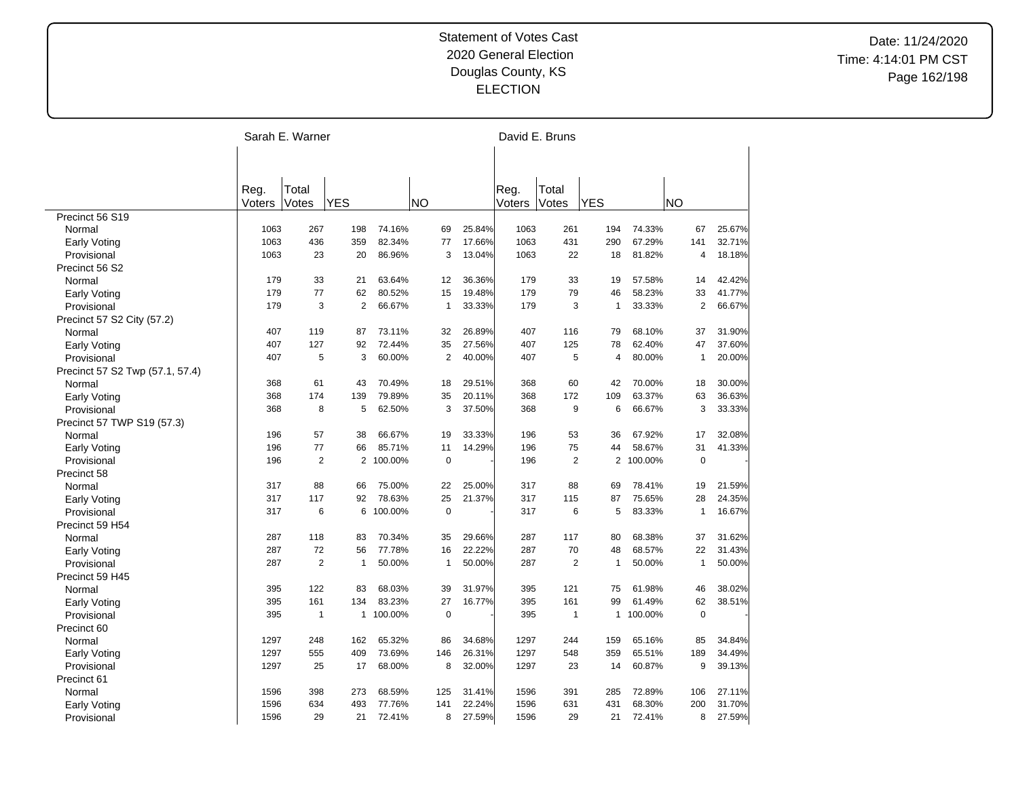|                                 |            | Sarah E. Warner |                |         |           |                |        |            | David E. Bruns |              |         |                |        |
|---------------------------------|------------|-----------------|----------------|---------|-----------|----------------|--------|------------|----------------|--------------|---------|----------------|--------|
|                                 |            |                 |                |         |           |                |        |            |                |              |         |                |        |
|                                 |            |                 |                |         |           |                |        |            |                |              |         |                |        |
|                                 | Reg.       | Total           |                |         |           |                |        | Reg.       | Total          |              |         |                |        |
|                                 | Voters     | Votes           | <b>YES</b>     |         | <b>NO</b> |                |        | Voters     | Votes          | <b>YES</b>   |         | <b>NO</b>      |        |
| Precinct 56 S19                 |            |                 |                |         |           |                |        |            |                |              |         |                |        |
| Normal                          | 1063       | 267             | 198            | 74.16%  |           | 69             | 25.84% | 1063       | 261            | 194          | 74.33%  | 67             | 25.67% |
| <b>Early Voting</b>             | 1063       | 436             | 359            | 82.34%  |           | 77             | 17.66% | 1063       | 431            | 290          | 67.29%  | 141            | 32.71% |
| Provisional                     | 1063       | 23              | 20             | 86.96%  |           | 3              | 13.04% | 1063       | 22             | 18           | 81.82%  | 4              | 18.18% |
| Precinct 56 S2                  |            |                 |                |         |           |                |        |            |                |              |         |                |        |
| Normal                          | 179        | 33              | 21             | 63.64%  |           | 12             | 36.36% | 179        | 33             | 19           | 57.58%  | 14             | 42.42% |
| Early Voting                    | 179        | 77              | 62             | 80.52%  |           | 15             | 19.48% | 179        | 79             | 46           | 58.23%  | 33             | 41.77% |
| Provisional                     | 179        | 3               | $\overline{2}$ | 66.67%  |           | $\mathbf{1}$   | 33.33% | 179        | 3              | 1            | 33.33%  | $\overline{2}$ | 66.67% |
| Precinct 57 S2 City (57.2)      |            |                 |                |         |           |                |        |            |                |              |         |                |        |
| Normal                          | 407        | 119             | 87             | 73.11%  |           | 32             | 26.89% | 407        | 116            | 79           | 68.10%  | 37             | 31.90% |
| Early Voting                    | 407        | 127             | 92             | 72.44%  |           | 35             | 27.56% | 407        | 125            | 78           | 62.40%  | 47             | 37.60% |
| Provisional                     | 407        | 5               | 3              | 60.00%  |           | $\overline{2}$ | 40.00% | 407        | 5              | 4            | 80.00%  | $\mathbf{1}$   | 20.00% |
| Precinct 57 S2 Twp (57.1, 57.4) |            |                 |                |         |           |                |        |            |                |              |         |                |        |
| Normal                          | 368        | 61              | 43             | 70.49%  |           | 18             | 29.51% | 368        | 60             | 42           | 70.00%  | 18             | 30.00% |
| Early Voting                    | 368        | 174             | 139            | 79.89%  |           | 35             | 20.11% | 368        | 172            | 109          | 63.37%  | 63             | 36.63% |
| Provisional                     | 368        | 8               | 5              | 62.50%  |           | 3              | 37.50% | 368        | 9              | 6            | 66.67%  | 3              | 33.33% |
| Precinct 57 TWP S19 (57.3)      |            |                 |                |         |           |                |        |            |                |              |         |                |        |
| Normal                          | 196        | 57              | 38             | 66.67%  |           | 19             | 33.33% | 196        | 53             | 36           | 67.92%  | 17             | 32.08% |
| <b>Early Voting</b>             | 196        | 77              | 66             | 85.71%  |           | 11             | 14.29% | 196        | 75             | 44           | 58.67%  | 31             | 41.33% |
| Provisional                     | 196        | $\overline{2}$  | $\overline{2}$ | 100.00% |           | $\mathbf 0$    |        | 196        | $\overline{2}$ | 2            | 100.00% | $\mathbf 0$    |        |
|                                 |            |                 |                |         |           |                |        |            |                |              |         |                |        |
| Precinct 58                     | 317        | 88              | 66             | 75.00%  |           | 22             | 25.00% | 317        | 88             | 69           | 78.41%  | 19             | 21.59% |
| Normal                          |            | 117             |                | 78.63%  |           | 25             | 21.37% |            |                | 87           | 75.65%  | 28             | 24.35% |
| Early Voting                    | 317<br>317 | 6               | 92<br>6        | 100.00% |           | $\mathbf 0$    |        | 317<br>317 | 115<br>6       | 5            | 83.33%  | $\mathbf{1}$   |        |
| Provisional                     |            |                 |                |         |           |                |        |            |                |              |         |                | 16.67% |
| Precinct 59 H54                 |            |                 |                |         |           |                |        |            |                |              |         |                |        |
| Normal                          | 287        | 118             | 83             | 70.34%  |           | 35             | 29.66% | 287        | 117            | 80           | 68.38%  | 37             | 31.62% |
| Early Voting                    | 287        | 72              | 56             | 77.78%  |           | 16             | 22.22% | 287        | 70             | 48           | 68.57%  | 22             | 31.43% |
| Provisional                     | 287        | $\overline{2}$  | 1              | 50.00%  |           | $\mathbf{1}$   | 50.00% | 287        | $\overline{2}$ | 1            | 50.00%  | $\mathbf{1}$   | 50.00% |
| Precinct 59 H45                 |            |                 |                |         |           |                |        |            |                |              |         |                |        |
| Normal                          | 395        | 122             | 83             | 68.03%  |           | 39             | 31.97% | 395        | 121            | 75           | 61.98%  | 46             | 38.02% |
| <b>Early Voting</b>             | 395        | 161             | 134            | 83.23%  |           | 27             | 16.77% | 395        | 161            | 99           | 61.49%  | 62             | 38.51% |
| Provisional                     | 395        | $\mathbf{1}$    | $\mathbf{1}$   | 100.00% |           | $\mathbf 0$    |        | 395        | $\overline{1}$ | $\mathbf{1}$ | 100.00% | $\mathbf 0$    |        |
| Precinct 60                     |            |                 |                |         |           |                |        |            |                |              |         |                |        |
| Normal                          | 1297       | 248             | 162            | 65.32%  |           | 86             | 34.68% | 1297       | 244            | 159          | 65.16%  | 85             | 34.84% |
| <b>Early Voting</b>             | 1297       | 555             | 409            | 73.69%  |           | 146            | 26.31% | 1297       | 548            | 359          | 65.51%  | 189            | 34.49% |
| Provisional                     | 1297       | 25              | 17             | 68.00%  |           | 8              | 32.00% | 1297       | 23             | 14           | 60.87%  | 9              | 39.13% |
| Precinct 61                     |            |                 |                |         |           |                |        |            |                |              |         |                |        |
| Normal                          | 1596       | 398             | 273            | 68.59%  |           | 125            | 31.41% | 1596       | 391            | 285          | 72.89%  | 106            | 27.11% |
| Early Voting                    | 1596       | 634             | 493            | 77.76%  |           | 141            | 22.24% | 1596       | 631            | 431          | 68.30%  | 200            | 31.70% |
| Provisional                     | 1596       | 29              | 21             | 72.41%  |           | 8              | 27.59% | 1596       | 29             | 21           | 72.41%  | 8              | 27.59% |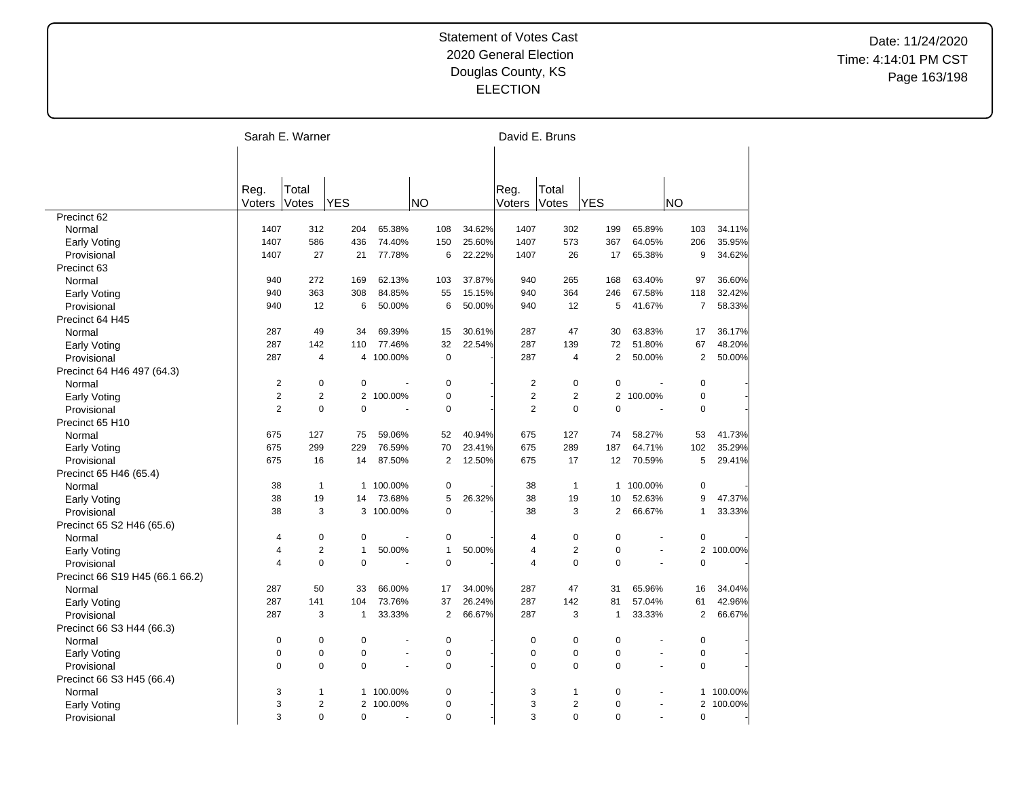|                                 |                | Sarah E. Warner |                |           |                |        |                | David E. Bruns |                |                          |                |         |
|---------------------------------|----------------|-----------------|----------------|-----------|----------------|--------|----------------|----------------|----------------|--------------------------|----------------|---------|
|                                 |                |                 |                |           |                |        |                |                |                |                          |                |         |
|                                 |                |                 |                |           |                |        |                |                |                |                          |                |         |
|                                 | Reg.           | Total           |                |           |                |        | Reg.           | Total          |                |                          |                |         |
|                                 | Voters         | Votes           | <b>YES</b>     |           | <b>NO</b>      |        | Voters         | Votes          | <b>YES</b>     |                          | <b>NO</b>      |         |
| Precinct 62                     |                |                 |                |           |                |        |                |                |                |                          |                |         |
| Normal                          | 1407           | 312             | 204            | 65.38%    | 108            | 34.62% | 1407           | 302            | 199            | 65.89%                   | 103            | 34.11%  |
| <b>Early Voting</b>             | 1407           | 586             | 436            | 74.40%    | 150            | 25.60% | 1407           | 573            | 367            | 64.05%                   | 206            | 35.95%  |
| Provisional                     | 1407           | 27              | 21             | 77.78%    | 6              | 22.22% | 1407           | 26             | 17             | 65.38%                   | 9              | 34.62%  |
| Precinct 63                     |                |                 |                |           |                |        |                |                |                |                          |                |         |
| Normal                          | 940            | 272             | 169            | 62.13%    | 103            | 37.87% | 940            | 265            | 168            | 63.40%                   | 97             | 36.60%  |
| Early Voting                    | 940            | 363             | 308            | 84.85%    | 55             | 15.15% | 940            | 364            | 246            | 67.58%                   | 118            | 32.42%  |
| Provisional                     | 940            | 12              | 6              | 50.00%    | 6              | 50.00% | 940            | 12             | 5              | 41.67%                   | $\overline{7}$ | 58.33%  |
| Precinct 64 H45                 |                |                 |                |           |                |        |                |                |                |                          |                |         |
| Normal                          | 287            | 49              | 34             | 69.39%    | 15             | 30.61% | 287            | 47             | 30             | 63.83%                   | 17             | 36.17%  |
| <b>Early Voting</b>             | 287            | 142             | 110            | 77.46%    | 32             | 22.54% | 287            | 139            | 72             | 51.80%                   | 67             | 48.20%  |
| Provisional                     | 287            | $\overline{4}$  | 4              | 100.00%   | $\overline{0}$ |        | 287            | 4              | $\overline{2}$ | 50.00%                   | $\overline{2}$ | 50.00%  |
| Precinct 64 H46 497 (64.3)      |                |                 |                |           |                |        |                |                |                |                          |                |         |
| Normal                          | $\overline{2}$ | $\mathbf 0$     | $\mathbf 0$    |           | 0              |        | $\overline{2}$ | 0              | $\mathbf 0$    |                          | $\mathbf 0$    |         |
| <b>Early Voting</b>             | $\overline{2}$ | $\overline{2}$  | $\overline{2}$ | 100.00%   | $\mathbf 0$    |        | $\overline{2}$ | $\overline{2}$ | $\overline{2}$ | 100.00%                  | $\pmb{0}$      |         |
| Provisional                     | $\overline{2}$ | $\mathbf 0$     | $\mathbf 0$    | ÷,        | $\mathbf 0$    |        | $\overline{2}$ | 0              | $\mathbf 0$    | ÷,                       | $\mathbf 0$    |         |
| Precinct 65 H10                 |                |                 |                |           |                |        |                |                |                |                          |                |         |
| Normal                          | 675            | 127             | 75             | 59.06%    | 52             | 40.94% | 675            | 127            | 74             | 58.27%                   | 53             | 41.73%  |
| Early Voting                    | 675            | 299             | 229            | 76.59%    | 70             | 23.41% | 675            | 289            | 187            | 64.71%                   | 102            | 35.29%  |
| Provisional                     | 675            | 16              | 14             | 87.50%    | $\overline{2}$ | 12.50% | 675            | 17             | 12             | 70.59%                   | 5              | 29.41%  |
| Precinct 65 H46 (65.4)          |                |                 |                |           |                |        |                |                |                |                          |                |         |
|                                 | 38             | $\mathbf{1}$    | 1              | 100.00%   | 0              |        | 38             | $\mathbf{1}$   | $\mathbf{1}$   | 100.00%                  | 0              |         |
| Normal                          | 38             | 19              | 14             | 73.68%    | 5              | 26.32% | 38             | 19             | 10             | 52.63%                   | 9              | 47.37%  |
| <b>Early Voting</b>             | 38             | 3               |                | 3 100.00% | $\mathbf 0$    |        | 38             | 3              | 2              | 66.67%                   | $\mathbf{1}$   | 33.33%  |
| Provisional                     |                |                 |                |           |                |        |                |                |                |                          |                |         |
| Precinct 65 S2 H46 (65.6)       |                |                 |                |           |                |        |                |                |                |                          |                |         |
| Normal                          | 4              | $\pmb{0}$       | $\mathbf 0$    |           | 0              |        | 4              | $\mathbf 0$    | $\mathbf 0$    |                          | 0              |         |
| <b>Early Voting</b>             | 4              | $\overline{2}$  | $\mathbf{1}$   | 50.00%    | $\mathbf{1}$   | 50.00% | 4              | $\overline{2}$ | $\mathbf 0$    |                          | $\mathbf{2}$   | 100.00% |
| Provisional                     | $\overline{4}$ | $\mathbf 0$     | $\Omega$       | Ĭ.        | $\mathbf 0$    |        | $\overline{4}$ | $\mathbf 0$    | $\mathbf 0$    | $\overline{a}$           | $\mathbf 0$    |         |
| Precinct 66 S19 H45 (66.1 66.2) |                |                 |                |           |                |        |                |                |                |                          |                |         |
| Normal                          | 287            | 50              | 33             | 66.00%    | 17             | 34.00% | 287            | 47             | 31             | 65.96%                   | 16             | 34.04%  |
| Early Voting                    | 287            | 141             | 104            | 73.76%    | 37             | 26.24% | 287            | 142            | 81             | 57.04%                   | 61             | 42.96%  |
| Provisional                     | 287            | 3               | $\mathbf{1}$   | 33.33%    | 2              | 66.67% | 287            | 3              | $\mathbf{1}$   | 33.33%                   | 2              | 66.67%  |
| Precinct 66 S3 H44 (66.3)       |                |                 |                |           |                |        |                |                |                |                          |                |         |
| Normal                          | 0              | $\mathbf 0$     | $\mathbf 0$    | Ĭ.        | $\pmb{0}$      |        | $\mathbf 0$    | 0              | $\mathbf 0$    |                          | $\mathbf 0$    |         |
| <b>Early Voting</b>             | $\mathbf 0$    | $\mathbf 0$     | $\mathbf 0$    | ä,        | $\mathbf 0$    |        | 0              | 0              | $\mathbf 0$    | ÷.                       | 0              |         |
| Provisional                     | $\mathbf 0$    | $\mathbf 0$     | $\mathbf 0$    | ÷,        | $\mathbf 0$    |        | $\Omega$       | 0              | $\mathbf 0$    | $\overline{\phantom{a}}$ | $\mathbf 0$    |         |
| Precinct 66 S3 H45 (66.4)       |                |                 |                |           |                |        |                |                |                |                          |                |         |
| Normal                          | 3              | $\mathbf{1}$    | 1              | 100.00%   | $\mathbf 0$    |        | 3              | 1              | $\pmb{0}$      |                          | 1              | 100.00% |
| <b>Early Voting</b>             | 3              | $\overline{2}$  | 2              | 100.00%   | $\mathbf 0$    |        | 3              | 2              | $\mathbf 0$    | $\sim$                   | 2              | 100.00% |
| Provisional                     | 3              | $\Omega$        | $\Omega$       | L.        | $\Omega$       |        | 3              | $\Omega$       | $\Omega$       | ÷.                       | $\mathbf 0$    |         |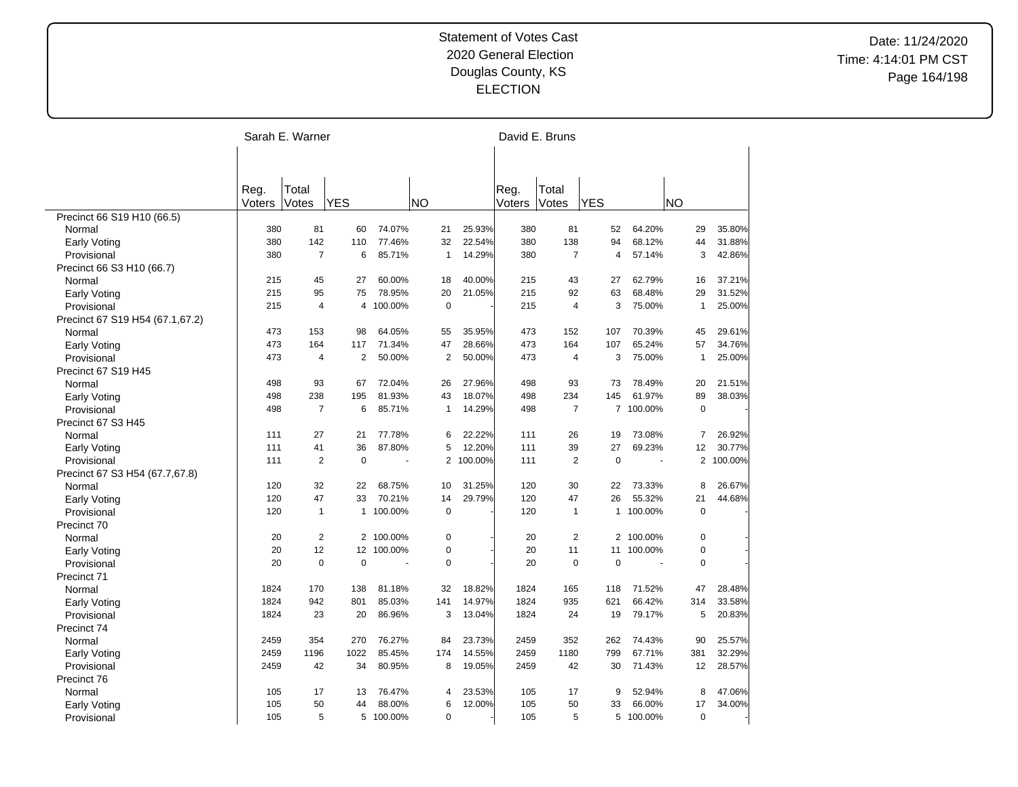|                                    |        | Sarah E. Warner |                |           |     |                |         |        | David E. Bruns |                |           |                |         |
|------------------------------------|--------|-----------------|----------------|-----------|-----|----------------|---------|--------|----------------|----------------|-----------|----------------|---------|
|                                    |        |                 |                |           |     |                |         |        |                |                |           |                |         |
|                                    |        |                 |                |           |     |                |         |        |                |                |           |                |         |
|                                    | Reg.   | Total           |                |           |     |                |         | Reg.   | Total          |                |           |                |         |
|                                    | Voters | Votes           | <b>YES</b>     |           | NΟ  |                |         | Voters | Votes          | <b>YES</b>     |           | <b>NO</b>      |         |
| Precinct 66 S19 H10 (66.5)         |        |                 |                |           |     |                |         |        |                |                |           |                |         |
| Normal                             | 380    | 81              | 60             | 74.07%    |     | 21             | 25.93%  | 380    | 81             | 52             | 64.20%    | 29             | 35.80%  |
| <b>Early Voting</b>                | 380    | 142             | 110            | 77.46%    |     | 32             | 22.54%  | 380    | 138            | 94             | 68.12%    | 44             | 31.88%  |
| Provisional                        | 380    | $\overline{7}$  | 6              | 85.71%    |     | $\mathbf{1}$   | 14.29%  | 380    | $\overline{7}$ | $\overline{4}$ | 57.14%    | 3              | 42.86%  |
| Precinct 66 S3 H10 (66.7)          |        |                 |                |           |     |                |         |        |                |                |           |                |         |
| Normal                             | 215    | 45              | 27             | 60.00%    |     | 18             | 40.00%  | 215    | 43             | 27             | 62.79%    | 16             | 37.21%  |
| <b>Early Voting</b>                | 215    | 95              | 75             | 78.95%    |     | 20             | 21.05%  | 215    | 92             | 63             | 68.48%    | 29             | 31.52%  |
| Provisional                        | 215    | 4               | 4              | 100.00%   |     | $\mathbf 0$    |         | 215    | 4              | 3              | 75.00%    | $\mathbf{1}$   | 25.00%  |
| Precinct 67 S19 H54 (67.1,67.2)    |        |                 |                |           |     |                |         |        |                |                |           |                |         |
| Normal                             | 473    | 153             | 98             | 64.05%    |     | 55             | 35.95%  | 473    | 152            | 107            | 70.39%    | 45             | 29.61%  |
| <b>Early Voting</b>                | 473    | 164             | 117            | 71.34%    |     | 47             | 28.66%  | 473    | 164            | 107            | 65.24%    | 57             | 34.76%  |
| Provisional                        | 473    | $\overline{4}$  | $\overline{2}$ | 50.00%    |     | $\overline{2}$ | 50.00%  | 473    | $\overline{4}$ | 3              | 75.00%    | $\mathbf{1}$   | 25.00%  |
| Precinct 67 S19 H45                |        |                 |                |           |     |                |         |        |                |                |           |                |         |
| Normal                             | 498    | 93              | 67             | 72.04%    |     | 26             | 27.96%  | 498    | 93             | 73             | 78.49%    | 20             | 21.51%  |
| Early Voting                       | 498    | 238             | 195            | 81.93%    |     | 43             | 18.07%  | 498    | 234            | 145            | 61.97%    | 89             | 38.03%  |
| Provisional                        | 498    | $\overline{7}$  | 6              | 85.71%    |     | $\mathbf{1}$   | 14.29%  | 498    | $\overline{7}$ |                | 7 100.00% | $\mathbf 0$    |         |
| Precinct 67 S3 H45                 |        |                 |                |           |     |                |         |        |                |                |           |                |         |
| Normal                             | 111    | 27              | 21             | 77.78%    |     | 6              | 22.22%  | 111    | 26             | 19             | 73.08%    | 7              | 26.92%  |
| Early Voting                       | 111    | 41              | 36             | 87.80%    |     | 5              | 12.20%  | 111    | 39             | 27             | 69.23%    | 12             | 30.77%  |
| Provisional                        | 111    | 2               | $\Omega$       |           |     | 2              | 100.00% | 111    | $\overline{2}$ | $\mathbf 0$    |           | $\overline{2}$ | 100.00% |
| Precinct 67 S3 H54 (67.7,67.8)     |        |                 |                |           |     |                |         |        |                |                |           |                |         |
| Normal                             | 120    | 32              | 22             | 68.75%    |     | 10             | 31.25%  | 120    | 30             | 22             | 73.33%    | 8              | 26.67%  |
| <b>Early Voting</b>                | 120    | 47              | 33             | 70.21%    |     | 14             | 29.79%  | 120    | 47             | 26             | 55.32%    | 21             | 44.68%  |
| Provisional                        | 120    | $\mathbf{1}$    |                | 1 100.00% |     | $\mathbf 0$    |         | 120    | 1              | $\mathbf{1}$   | 100.00%   | $\mathbf 0$    |         |
| Precinct 70                        |        |                 |                |           |     |                |         |        |                |                |           |                |         |
| Normal                             | 20     | $\overline{2}$  |                | 2 100.00% |     | $\mathbf 0$    |         | 20     | $\overline{2}$ |                | 2 100.00% | 0              |         |
| <b>Early Voting</b>                | 20     | 12              | 12             | 100.00%   |     | $\pmb{0}$      |         | 20     | 11             | 11             | 100.00%   | $\pmb{0}$      |         |
| Provisional                        | 20     | $\mathbf 0$     | 0              |           |     | $\mathbf 0$    |         | 20     | $\mathbf 0$    | 0              |           | $\pmb{0}$      |         |
| Precinct 71                        |        |                 |                |           |     |                |         |        |                |                |           |                |         |
| Normal                             | 1824   | 170             | 138            | 81.18%    |     | 32             | 18.82%  | 1824   | 165            | 118            | 71.52%    | 47             | 28.48%  |
|                                    | 1824   | 942             | 801            | 85.03%    | 141 |                | 14.97%  | 1824   | 935            | 621            | 66.42%    | 314            | 33.58%  |
| <b>Early Voting</b><br>Provisional | 1824   | 23              | 20             | 86.96%    |     | 3              | 13.04%  | 1824   | 24             | 19             | 79.17%    | 5              | 20.83%  |
|                                    |        |                 |                |           |     |                |         |        |                |                |           |                |         |
| Precinct 74                        | 2459   | 354             | 270            | 76.27%    |     | 84             | 23.73%  | 2459   | 352            | 262            | 74.43%    | 90             | 25.57%  |
| Normal                             |        |                 |                | 85.45%    | 174 |                | 14.55%  |        | 1180           | 799            | 67.71%    |                | 32.29%  |
| <b>Early Voting</b>                | 2459   | 1196            | 1022           |           |     |                |         | 2459   |                |                |           | 381            |         |
| Provisional                        | 2459   | 42              | 34             | 80.95%    |     | 8              | 19.05%  | 2459   | 42             | 30             | 71.43%    | 12             | 28.57%  |
| Precinct 76                        |        |                 |                |           |     |                |         |        |                |                |           |                |         |
| Normal                             | 105    | 17              | 13             | 76.47%    |     | 4              | 23.53%  | 105    | 17             | 9              | 52.94%    | 8              | 47.06%  |
| Early Voting                       | 105    | 50              | 44             | 88.00%    |     | 6              | 12.00%  | 105    | 50             | 33             | 66.00%    | 17             | 34.00%  |
| Provisional                        | 105    | 5               | 5              | 100.00%   |     | $\mathbf 0$    |         | 105    | 5              |                | 5 100.00% | $\Omega$       |         |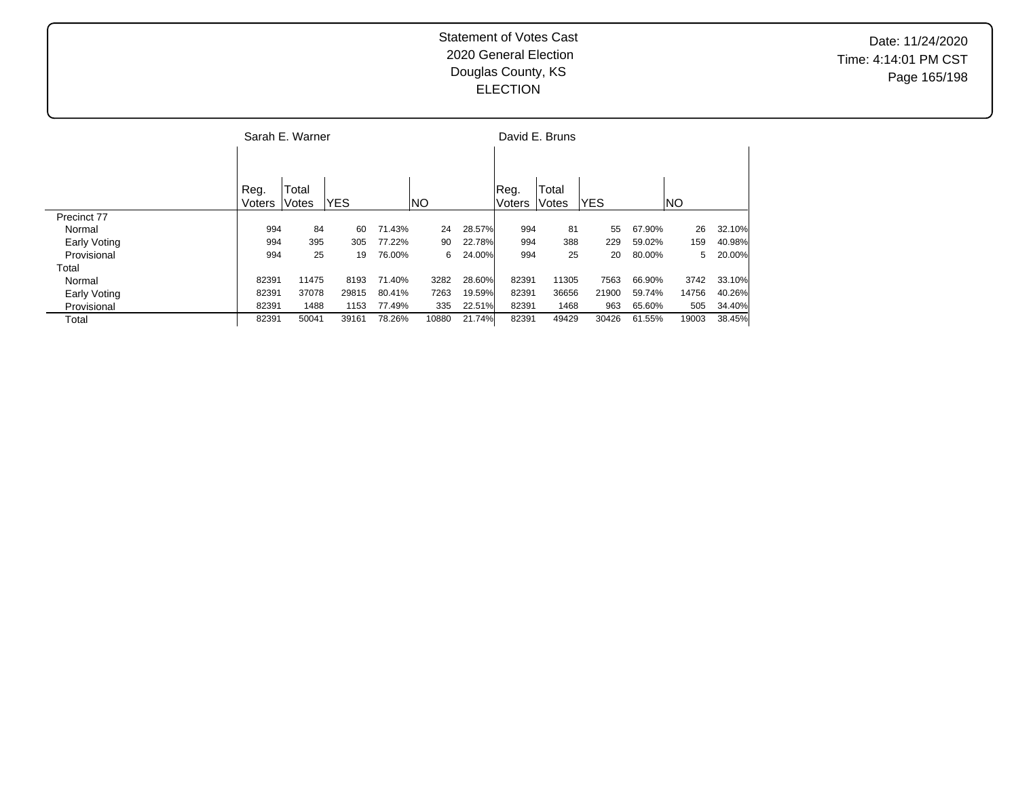|              |        | Sarah E. Warner |            |        |           |        |        | David E. Bruns |            |        |           |        |
|--------------|--------|-----------------|------------|--------|-----------|--------|--------|----------------|------------|--------|-----------|--------|
|              |        |                 |            |        |           |        |        |                |            |        |           |        |
|              | Reg.   | Total           |            |        |           |        | Reg.   | Total          |            |        |           |        |
|              | Voters | Votes           | <b>YES</b> |        | <b>NO</b> |        | Voters | Votes          | <b>YES</b> |        | <b>NO</b> |        |
| Precinct 77  |        |                 |            |        |           |        |        |                |            |        |           |        |
| Normal       | 994    | 84              | 60         | 71.43% | 24        | 28.57% | 994    | 81             | 55         | 67.90% | 26        | 32.10% |
| Early Voting | 994    | 395             | 305        | 77.22% | 90        | 22.78% | 994    | 388            | 229        | 59.02% | 159       | 40.98% |
| Provisional  | 994    | 25              | 19         | 76.00% | 6         | 24.00% | 994    | 25             | 20         | 80.00% | 5.        | 20.00% |
| Total        |        |                 |            |        |           |        |        |                |            |        |           |        |
| Normal       | 82391  | 11475           | 8193       | 71.40% | 3282      | 28.60% | 82391  | 11305          | 7563       | 66.90% | 3742      | 33.10% |
| Early Voting | 82391  | 37078           | 29815      | 80.41% | 7263      | 19.59% | 82391  | 36656          | 21900      | 59.74% | 14756     | 40.26% |
| Provisional  | 82391  | 1488            | 1153       | 77.49% | 335       | 22.51% | 82391  | 1468           | 963        | 65.60% | 505       | 34.40% |
| Total        | 82391  | 50041           | 39161      | 78.26% | 10880     | 21.74% | 82391  | 49429          | 30426      | 61.55% | 19003     | 38.45% |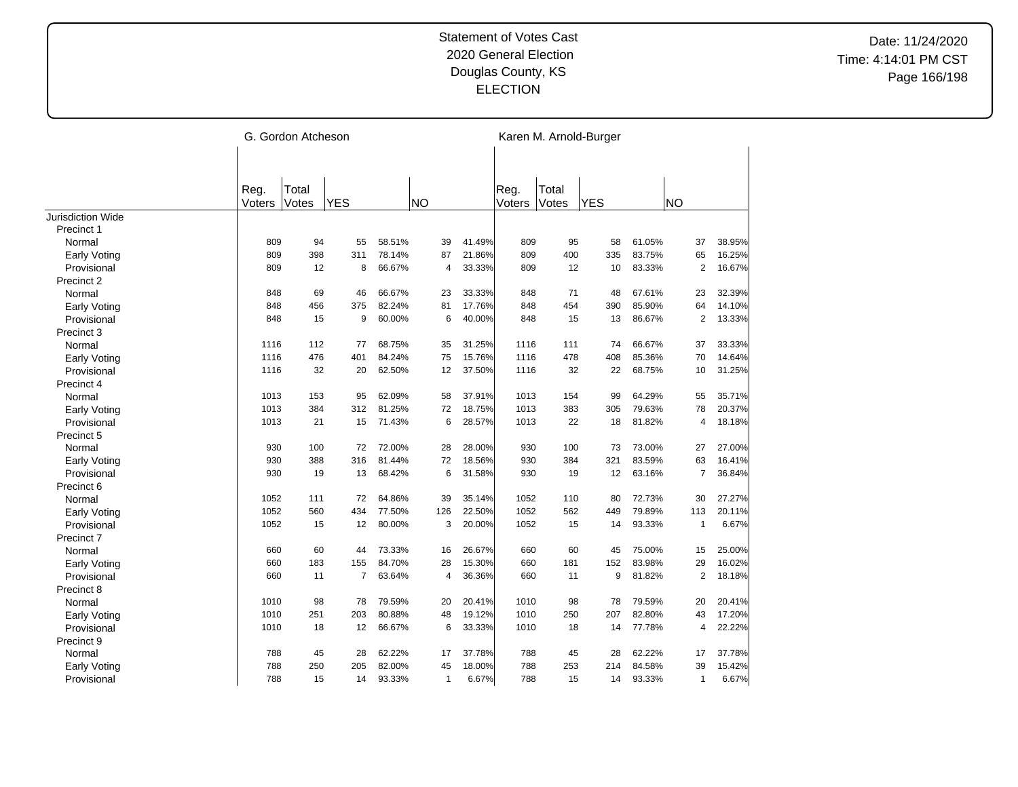|                          |        | G. Gordon Atcheson |            |        |           |              |        |        |       | Karen M. Arnold-Burger |        |                |        |
|--------------------------|--------|--------------------|------------|--------|-----------|--------------|--------|--------|-------|------------------------|--------|----------------|--------|
|                          |        |                    |            |        |           |              |        |        |       |                        |        |                |        |
|                          | Reg.   | Total              |            |        |           |              |        | Reg.   | Total |                        |        |                |        |
|                          | Voters | Votes              | <b>YES</b> |        | <b>NO</b> |              |        | Voters | Votes | <b>YES</b>             |        | <b>NO</b>      |        |
| <b>Jurisdiction Wide</b> |        |                    |            |        |           |              |        |        |       |                        |        |                |        |
| Precinct 1               |        |                    |            |        |           |              |        |        |       |                        |        |                |        |
| Normal                   | 809    | 94                 | 55         | 58.51% |           | 39           | 41.49% | 809    | 95    | 58                     | 61.05% | 37             | 38.95% |
| <b>Early Voting</b>      | 809    | 398                | 311        | 78.14% |           | 87           | 21.86% | 809    | 400   | 335                    | 83.75% | 65             | 16.25% |
| Provisional              | 809    | 12                 | 8          | 66.67% |           | 4            | 33.33% | 809    | 12    | 10                     | 83.33% | $\overline{2}$ | 16.67% |
| Precinct 2               |        |                    |            |        |           |              |        |        |       |                        |        |                |        |
| Normal                   | 848    | 69                 | 46         | 66.67% |           | 23           | 33.33% | 848    | 71    | 48                     | 67.61% | 23             | 32.39% |
| <b>Early Voting</b>      | 848    | 456                | 375        | 82.24% |           | 81           | 17.76% | 848    | 454   | 390                    | 85.90% | 64             | 14.10% |
| Provisional              | 848    | 15                 | 9          | 60.00% |           | 6            | 40.00% | 848    | 15    | 13                     | 86.67% | $\overline{2}$ | 13.33% |
| Precinct 3               |        |                    |            |        |           |              |        |        |       |                        |        |                |        |
| Normal                   | 1116   | 112                | 77         | 68.75% |           | 35           | 31.25% | 1116   | 111   | 74                     | 66.67% | 37             | 33.33% |
| <b>Early Voting</b>      | 1116   | 476                | 401        | 84.24% |           | 75           | 15.76% | 1116   | 478   | 408                    | 85.36% | 70             | 14.64% |
| Provisional              | 1116   | 32                 | 20         | 62.50% |           | 12           | 37.50% | 1116   | 32    | 22                     | 68.75% | 10             | 31.25% |
| Precinct 4               |        |                    |            |        |           |              |        |        |       |                        |        |                |        |
| Normal                   | 1013   | 153                | 95         | 62.09% |           | 58           | 37.91% | 1013   | 154   | 99                     | 64.29% | 55             | 35.71% |
| <b>Early Voting</b>      | 1013   | 384                | 312        | 81.25% |           | 72           | 18.75% | 1013   | 383   | 305                    | 79.63% | 78             | 20.37% |
| Provisional              | 1013   | 21                 | 15         | 71.43% |           | 6            | 28.57% | 1013   | 22    | 18                     | 81.82% | 4              | 18.18% |
| Precinct 5               |        |                    |            |        |           |              |        |        |       |                        |        |                |        |
| Normal                   | 930    | 100                | 72         | 72.00% |           | 28           | 28.00% | 930    | 100   | 73                     | 73.00% | 27             | 27.00% |
| <b>Early Voting</b>      | 930    | 388                | 316        | 81.44% |           | 72           | 18.56% | 930    | 384   | 321                    | 83.59% | 63             | 16.41% |
| Provisional              | 930    | 19                 | 13         | 68.42% |           | 6            | 31.58% | 930    | 19    | 12                     | 63.16% | $\overline{7}$ | 36.84% |
| Precinct 6               |        |                    |            |        |           |              |        |        |       |                        |        |                |        |
| Normal                   | 1052   | 111                | 72         | 64.86% |           | 39           | 35.14% | 1052   | 110   | 80                     | 72.73% | 30             | 27.27% |
| <b>Early Voting</b>      | 1052   | 560                | 434        | 77.50% |           | 126          | 22.50% | 1052   | 562   | 449                    | 79.89% | 113            | 20.11% |
| Provisional              | 1052   | 15                 | 12         | 80.00% |           | 3            | 20.00% | 1052   | 15    | 14                     | 93.33% | $\mathbf{1}$   | 6.67%  |
| Precinct 7               |        |                    |            |        |           |              |        |        |       |                        |        |                |        |
| Normal                   | 660    | 60                 | 44         | 73.33% |           | 16           | 26.67% | 660    | 60    | 45                     | 75.00% | 15             | 25.00% |
| <b>Early Voting</b>      | 660    | 183                | 155        | 84.70% |           | 28           | 15.30% | 660    | 181   | 152                    | 83.98% | 29             | 16.02% |
| Provisional              | 660    | 11                 | 7          | 63.64% |           | 4            | 36.36% | 660    | 11    | 9                      | 81.82% | $\overline{2}$ | 18.18% |
| Precinct 8               |        |                    |            |        |           |              |        |        |       |                        |        |                |        |
| Normal                   | 1010   | 98                 | 78         | 79.59% |           | 20           | 20.41% | 1010   | 98    | 78                     | 79.59% | 20             | 20.41% |
| <b>Early Voting</b>      | 1010   | 251                | 203        | 80.88% |           | 48           | 19.12% | 1010   | 250   | 207                    | 82.80% | 43             | 17.20% |
| Provisional              | 1010   | 18                 | 12         | 66.67% |           | 6            | 33.33% | 1010   | 18    | 14                     | 77.78% | 4              | 22.22% |
| Precinct 9               |        |                    |            |        |           |              |        |        |       |                        |        |                |        |
| Normal                   | 788    | 45                 | 28         | 62.22% |           | 17           | 37.78% | 788    | 45    | 28                     | 62.22% | 17             | 37.78% |
| Early Voting             | 788    | 250                | 205        | 82.00% |           | 45           | 18.00% | 788    | 253   | 214                    | 84.58% | 39             | 15.42% |
| Provisional              | 788    | 15                 | 14         | 93.33% |           | $\mathbf{1}$ | 6.67%  | 788    | 15    | 14                     | 93.33% | $\mathbf{1}$   | 6.67%  |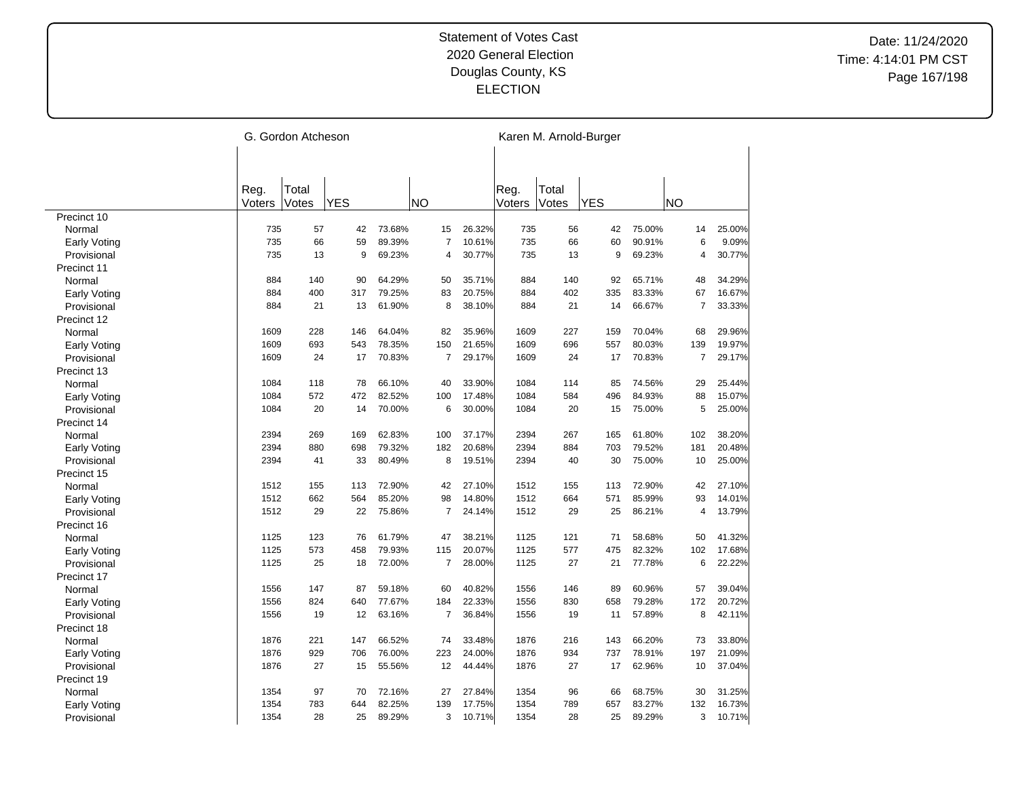|                     |        | G. Gordon Atcheson |            |        |                |        |        |       | Karen M. Arnold-Burger |        |                |        |
|---------------------|--------|--------------------|------------|--------|----------------|--------|--------|-------|------------------------|--------|----------------|--------|
|                     |        |                    |            |        |                |        |        |       |                        |        |                |        |
|                     | Reg.   | Total              |            |        |                |        | Reg.   | Total |                        |        |                |        |
|                     | Voters | Votes              | <b>YES</b> |        | <b>NO</b>      |        | Voters | Votes | <b>YES</b>             |        | <b>NO</b>      |        |
| Precinct 10         |        |                    |            |        |                |        |        |       |                        |        |                |        |
| Normal              | 735    | 57                 | 42         | 73.68% | 15             | 26.32% | 735    | 56    | 42                     | 75.00% | 14             | 25.00% |
| Early Voting        | 735    | 66                 | 59         | 89.39% | $\overline{7}$ | 10.61% | 735    | 66    | 60                     | 90.91% | 6              | 9.09%  |
| Provisional         | 735    | 13                 | 9          | 69.23% | $\overline{4}$ | 30.77% | 735    | 13    | 9                      | 69.23% | $\overline{4}$ | 30.77% |
| Precinct 11         |        |                    |            |        |                |        |        |       |                        |        |                |        |
| Normal              | 884    | 140                | 90         | 64.29% | 50             | 35.71% | 884    | 140   | 92                     | 65.71% | 48             | 34.29% |
| <b>Early Voting</b> | 884    | 400                | 317        | 79.25% | 83             | 20.75% | 884    | 402   | 335                    | 83.33% | 67             | 16.67% |
| Provisional         | 884    | 21                 | 13         | 61.90% | 8              | 38.10% | 884    | 21    | 14                     | 66.67% | $\overline{7}$ | 33.33% |
| Precinct 12         |        |                    |            |        |                |        |        |       |                        |        |                |        |
| Normal              | 1609   | 228                | 146        | 64.04% | 82             | 35.96% | 1609   | 227   | 159                    | 70.04% | 68             | 29.96% |
| <b>Early Voting</b> | 1609   | 693                | 543        | 78.35% | 150            | 21.65% | 1609   | 696   | 557                    | 80.03% | 139            | 19.97% |
| Provisional         | 1609   | 24                 | 17         | 70.83% | $\overline{7}$ | 29.17% | 1609   | 24    | 17                     | 70.83% | $\overline{7}$ | 29.17% |
| Precinct 13         |        |                    |            |        |                |        |        |       |                        |        |                |        |
| Normal              | 1084   | 118                | 78         | 66.10% | 40             | 33.90% | 1084   | 114   | 85                     | 74.56% | 29             | 25.44% |
| <b>Early Voting</b> | 1084   | 572                | 472        | 82.52% | 100            | 17.48% | 1084   | 584   | 496                    | 84.93% | 88             | 15.07% |
| Provisional         | 1084   | 20                 | 14         | 70.00% | 6              | 30.00% | 1084   | 20    | 15                     | 75.00% | 5              | 25.00% |
| Precinct 14         |        |                    |            |        |                |        |        |       |                        |        |                |        |
| Normal              | 2394   | 269                | 169        | 62.83% | 100            | 37.17% | 2394   | 267   | 165                    | 61.80% | 102            | 38.20% |
| <b>Early Voting</b> | 2394   | 880                | 698        | 79.32% | 182            | 20.68% | 2394   | 884   | 703                    | 79.52% | 181            | 20.48% |
| Provisional         | 2394   | 41                 | 33         | 80.49% | 8              | 19.51% | 2394   | 40    | 30                     | 75.00% | 10             | 25.00% |
| Precinct 15         |        |                    |            |        |                |        |        |       |                        |        |                |        |
| Normal              | 1512   | 155                | 113        | 72.90% | 42             | 27.10% | 1512   | 155   | 113                    | 72.90% | 42             | 27.10% |
| <b>Early Voting</b> | 1512   | 662                | 564        | 85.20% | 98             | 14.80% | 1512   | 664   | 571                    | 85.99% | 93             | 14.01% |
| Provisional         | 1512   | 29                 | 22         | 75.86% | $\overline{7}$ | 24.14% | 1512   | 29    | 25                     | 86.21% | 4              | 13.79% |
|                     |        |                    |            |        |                |        |        |       |                        |        |                |        |
| Precinct 16         |        | 123                |            |        |                |        | 1125   |       | 71                     |        |                |        |
| Normal              | 1125   |                    | 76         | 61.79% | 47             | 38.21% |        | 121   |                        | 58.68% | 50             | 41.32% |
| <b>Early Voting</b> | 1125   | 573                | 458        | 79.93% | 115            | 20.07% | 1125   | 577   | 475                    | 82.32% | 102            | 17.68% |
| Provisional         | 1125   | 25                 | 18         | 72.00% | $\overline{7}$ | 28.00% | 1125   | 27    | 21                     | 77.78% | 6              | 22.22% |
| Precinct 17         |        |                    |            |        |                |        |        |       |                        |        |                |        |
| Normal              | 1556   | 147                | 87         | 59.18% | 60             | 40.82% | 1556   | 146   | 89                     | 60.96% | 57             | 39.04% |
| Early Voting        | 1556   | 824                | 640        | 77.67% | 184            | 22.33% | 1556   | 830   | 658                    | 79.28% | 172            | 20.72% |
| Provisional         | 1556   | 19                 | 12         | 63.16% | $\overline{7}$ | 36.84% | 1556   | 19    | 11                     | 57.89% | 8              | 42.11% |
| Precinct 18         |        |                    |            |        |                |        |        |       |                        |        |                |        |
| Normal              | 1876   | 221                | 147        | 66.52% | 74             | 33.48% | 1876   | 216   | 143                    | 66.20% | 73             | 33.80% |
| Early Voting        | 1876   | 929                | 706        | 76.00% | 223            | 24.00% | 1876   | 934   | 737                    | 78.91% | 197            | 21.09% |
| Provisional         | 1876   | 27                 | 15         | 55.56% | 12             | 44.44% | 1876   | 27    | 17                     | 62.96% | 10             | 37.04% |
| Precinct 19         |        |                    |            |        |                |        |        |       |                        |        |                |        |
| Normal              | 1354   | 97                 | 70         | 72.16% | 27             | 27.84% | 1354   | 96    | 66                     | 68.75% | 30             | 31.25% |
| Early Voting        | 1354   | 783                | 644        | 82.25% | 139            | 17.75% | 1354   | 789   | 657                    | 83.27% | 132            | 16.73% |
| Provisional         | 1354   | 28                 | 25         | 89.29% | 3              | 10.71% | 1354   | 28    | 25                     | 89.29% | 3              | 10.71% |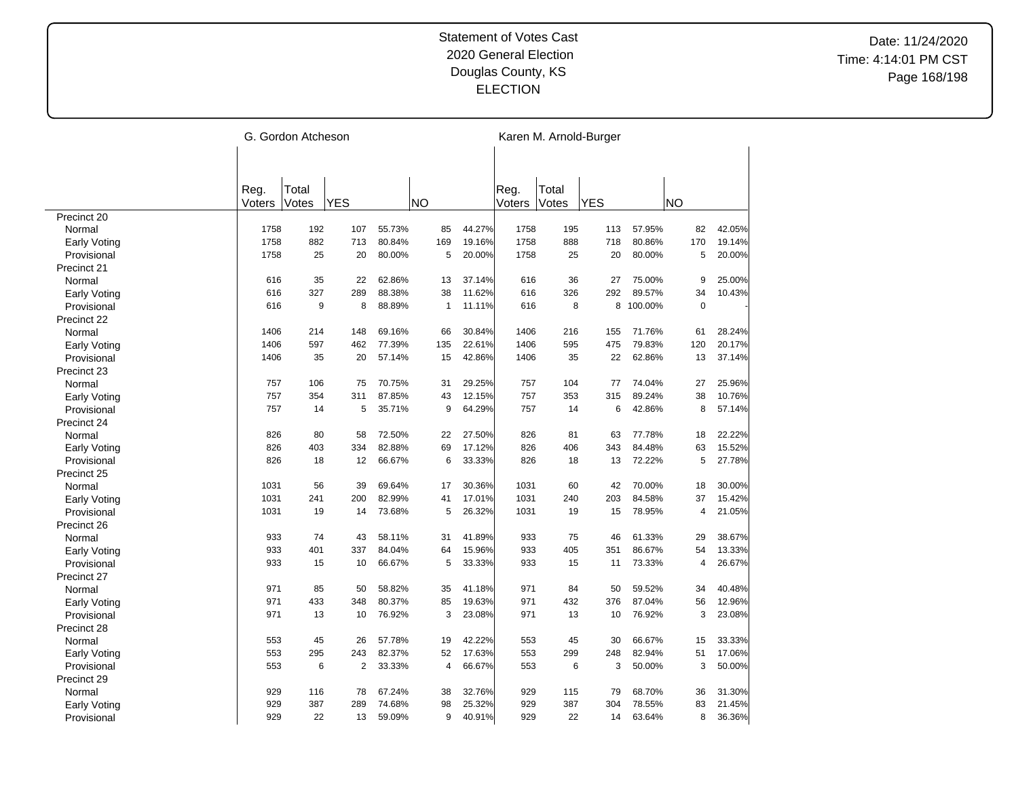|                     |        | G. Gordon Atcheson |            |        |              |        |        |       | Karen M. Arnold-Burger |         |             |        |
|---------------------|--------|--------------------|------------|--------|--------------|--------|--------|-------|------------------------|---------|-------------|--------|
|                     |        |                    |            |        |              |        |        |       |                        |         |             |        |
|                     | Reg.   | Total              |            |        |              |        | Reg.   | Total |                        |         |             |        |
|                     | Voters | Votes              | <b>YES</b> |        | <b>NO</b>    |        | Voters | Votes | <b>YES</b>             |         | <b>NO</b>   |        |
| Precinct 20         |        |                    |            |        |              |        |        |       |                        |         |             |        |
| Normal              | 1758   | 192                | 107        | 55.73% | 85           | 44.27% | 1758   | 195   | 113                    | 57.95%  | 82          | 42.05% |
| <b>Early Voting</b> | 1758   | 882                | 713        | 80.84% | 169          | 19.16% | 1758   | 888   | 718                    | 80.86%  | 170         | 19.14% |
| Provisional         | 1758   | 25                 | 20         | 80.00% | 5            | 20.00% | 1758   | 25    | 20                     | 80.00%  | 5           | 20.00% |
| Precinct 21         |        |                    |            |        |              |        |        |       |                        |         |             |        |
| Normal              | 616    | 35                 | 22         | 62.86% | 13           | 37.14% | 616    | 36    | 27                     | 75.00%  | 9           | 25.00% |
| <b>Early Voting</b> | 616    | 327                | 289        | 88.38% | 38           | 11.62% | 616    | 326   | 292                    | 89.57%  | 34          | 10.43% |
| Provisional         | 616    | 9                  | 8          | 88.89% | $\mathbf{1}$ | 11.11% | 616    | 8     | 8                      | 100.00% | $\mathbf 0$ |        |
| Precinct 22         |        |                    |            |        |              |        |        |       |                        |         |             |        |
| Normal              | 1406   | 214                | 148        | 69.16% | 66           | 30.84% | 1406   | 216   | 155                    | 71.76%  | 61          | 28.24% |
| <b>Early Voting</b> | 1406   | 597                | 462        | 77.39% | 135          | 22.61% | 1406   | 595   | 475                    | 79.83%  | 120         | 20.17% |
| Provisional         | 1406   | 35                 | 20         | 57.14% | 15           | 42.86% | 1406   | 35    | 22                     | 62.86%  | 13          | 37.14% |
| Precinct 23         |        |                    |            |        |              |        |        |       |                        |         |             |        |
| Normal              | 757    | 106                | 75         | 70.75% | 31           | 29.25% | 757    | 104   | 77                     | 74.04%  | 27          | 25.96% |
| <b>Early Voting</b> | 757    | 354                | 311        | 87.85% | 43           | 12.15% | 757    | 353   | 315                    | 89.24%  | 38          | 10.76% |
| Provisional         | 757    | 14                 | 5          | 35.71% | 9            | 64.29% | 757    | 14    | 6                      | 42.86%  | 8           | 57.14% |
| Precinct 24         |        |                    |            |        |              |        |        |       |                        |         |             |        |
| Normal              | 826    | 80                 | 58         | 72.50% | 22           | 27.50% | 826    | 81    | 63                     | 77.78%  | 18          | 22.22% |
| <b>Early Voting</b> | 826    | 403                | 334        | 82.88% | 69           | 17.12% | 826    | 406   | 343                    | 84.48%  | 63          | 15.52% |
| Provisional         | 826    | 18                 | 12         | 66.67% | 6            | 33.33% | 826    | 18    | 13                     | 72.22%  | 5           | 27.78% |
| Precinct 25         |        |                    |            |        |              |        |        |       |                        |         |             |        |
| Normal              | 1031   | 56                 | 39         | 69.64% | 17           | 30.36% | 1031   | 60    | 42                     | 70.00%  | 18          | 30.00% |
| <b>Early Voting</b> | 1031   | 241                | 200        | 82.99% | 41           | 17.01% | 1031   | 240   | 203                    | 84.58%  | 37          | 15.42% |
| Provisional         | 1031   | 19                 | 14         | 73.68% | 5            | 26.32% | 1031   | 19    | 15                     | 78.95%  | 4           | 21.05% |
| Precinct 26         |        |                    |            |        |              |        |        |       |                        |         |             |        |
| Normal              | 933    | 74                 | 43         | 58.11% | 31           | 41.89% | 933    | 75    | 46                     | 61.33%  | 29          | 38.67% |
| <b>Early Voting</b> | 933    | 401                | 337        | 84.04% | 64           | 15.96% | 933    | 405   | 351                    | 86.67%  | 54          | 13.33% |
| Provisional         | 933    | 15                 | 10         | 66.67% | 5            | 33.33% | 933    | 15    | 11                     | 73.33%  | 4           | 26.67% |
| Precinct 27         |        |                    |            |        |              |        |        |       |                        |         |             |        |
| Normal              | 971    | 85                 | 50         | 58.82% | 35           | 41.18% | 971    | 84    | 50                     | 59.52%  | 34          | 40.48% |
| <b>Early Voting</b> | 971    | 433                | 348        | 80.37% | 85           | 19.63% | 971    | 432   | 376                    | 87.04%  | 56          | 12.96% |
| Provisional         | 971    | 13                 | 10         | 76.92% | 3            | 23.08% | 971    | 13    | 10                     | 76.92%  | 3           | 23.08% |
| Precinct 28         |        |                    |            |        |              |        |        |       |                        |         |             |        |
| Normal              | 553    | 45                 | 26         | 57.78% | 19           | 42.22% | 553    | 45    | 30                     | 66.67%  | 15          | 33.33% |
| Early Voting        | 553    | 295                | 243        | 82.37% | 52           | 17.63% | 553    | 299   | 248                    | 82.94%  | 51          | 17.06% |
| Provisional         | 553    | 6                  | 2          | 33.33% | 4            | 66.67% | 553    | 6     | 3                      | 50.00%  | 3           | 50.00% |
| Precinct 29         |        |                    |            |        |              |        |        |       |                        |         |             |        |
| Normal              | 929    | 116                | 78         | 67.24% | 38           | 32.76% | 929    | 115   | 79                     | 68.70%  | 36          | 31.30% |
| Early Voting        | 929    | 387                | 289        | 74.68% | 98           | 25.32% | 929    | 387   | 304                    | 78.55%  | 83          | 21.45% |
| Provisional         | 929    | 22                 | 13         | 59.09% | 9            | 40.91% | 929    | 22    | 14                     | 63.64%  | 8           | 36.36% |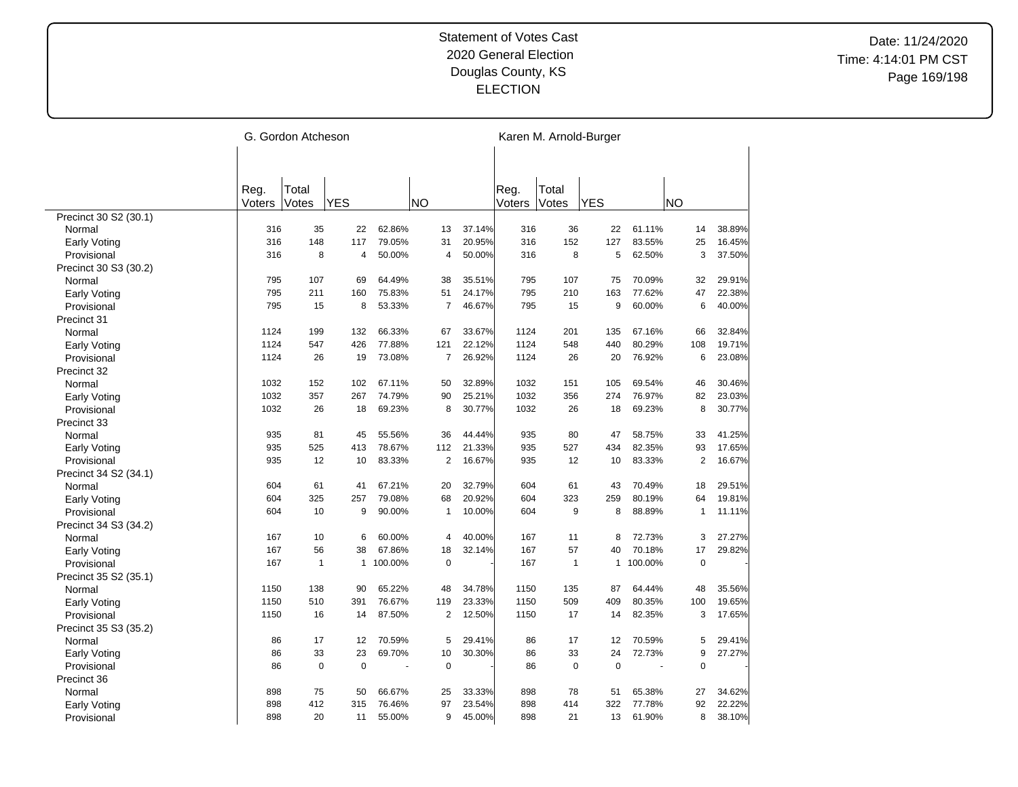|                       |        | G. Gordon Atcheson |              |         |                |        |        |                | Karen M. Arnold-Burger |           |                |        |
|-----------------------|--------|--------------------|--------------|---------|----------------|--------|--------|----------------|------------------------|-----------|----------------|--------|
|                       |        |                    |              |         |                |        |        |                |                        |           |                |        |
|                       |        |                    |              |         |                |        |        |                |                        |           |                |        |
|                       | Reg.   | Total              |              |         |                |        | Reg.   | Total          |                        |           |                |        |
|                       | Voters | Votes              | <b>YES</b>   |         | <b>NO</b>      |        | Voters | Votes          | <b>YES</b>             |           | NO             |        |
| Precinct 30 S2 (30.1) |        |                    |              |         |                |        |        |                |                        |           |                |        |
| Normal                | 316    | 35                 | 22           | 62.86%  | 13             | 37.14% | 316    | 36             | 22                     | 61.11%    | 14             | 38.89% |
| Early Voting          | 316    | 148                | 117          | 79.05%  | 31             | 20.95% | 316    | 152            | 127                    | 83.55%    | 25             | 16.45% |
| Provisional           | 316    | 8                  | 4            | 50.00%  | $\overline{4}$ | 50.00% | 316    | 8              | 5                      | 62.50%    | 3              | 37.50% |
| Precinct 30 S3 (30.2) |        |                    |              |         |                |        |        |                |                        |           |                |        |
| Normal                | 795    | 107                | 69           | 64.49%  | 38             | 35.51% | 795    | 107            | 75                     | 70.09%    | 32             | 29.91% |
| <b>Early Voting</b>   | 795    | 211                | 160          | 75.83%  | 51             | 24.17% | 795    | 210            | 163                    | 77.62%    | 47             | 22.38% |
| Provisional           | 795    | 15                 | 8            | 53.33%  | $\overline{7}$ | 46.67% | 795    | 15             | 9                      | 60.00%    | 6              | 40.00% |
| Precinct 31           |        |                    |              |         |                |        |        |                |                        |           |                |        |
| Normal                | 1124   | 199                | 132          | 66.33%  | 67             | 33.67% | 1124   | 201            | 135                    | 67.16%    | 66             | 32.84% |
| <b>Early Voting</b>   | 1124   | 547                | 426          | 77.88%  | 121            | 22.12% | 1124   | 548            | 440                    | 80.29%    | 108            | 19.71% |
| Provisional           | 1124   | 26                 | 19           | 73.08%  | $\overline{7}$ | 26.92% | 1124   | 26             | 20                     | 76.92%    | 6              | 23.08% |
| Precinct 32           |        |                    |              |         |                |        |        |                |                        |           |                |        |
| Normal                | 1032   | 152                | 102          | 67.11%  | 50             | 32.89% | 1032   | 151            | 105                    | 69.54%    | 46             | 30.46% |
| <b>Early Voting</b>   | 1032   | 357                | 267          | 74.79%  | 90             | 25.21% | 1032   | 356            | 274                    | 76.97%    | 82             | 23.03% |
| Provisional           | 1032   | 26                 | 18           | 69.23%  | 8              | 30.77% | 1032   | 26             | 18                     | 69.23%    | 8              | 30.77% |
| Precinct 33           |        |                    |              |         |                |        |        |                |                        |           |                |        |
| Normal                | 935    | 81                 | 45           | 55.56%  | 36             | 44.44% | 935    | 80             | 47                     | 58.75%    | 33             | 41.25% |
| <b>Early Voting</b>   | 935    | 525                | 413          | 78.67%  | 112            | 21.33% | 935    | 527            | 434                    | 82.35%    | 93             | 17.65% |
| Provisional           | 935    | 12                 | 10           | 83.33%  | $\overline{2}$ | 16.67% | 935    | 12             | 10                     | 83.33%    | $\overline{2}$ | 16.67% |
| Precinct 34 S2 (34.1) |        |                    |              |         |                |        |        |                |                        |           |                |        |
| Normal                | 604    | 61                 | 41           | 67.21%  | 20             | 32.79% | 604    | 61             | 43                     | 70.49%    | 18             | 29.51% |
| <b>Early Voting</b>   | 604    | 325                | 257          | 79.08%  | 68             | 20.92% | 604    | 323            | 259                    | 80.19%    | 64             | 19.81% |
| Provisional           | 604    | 10                 | 9            | 90.00%  | $\mathbf{1}$   | 10.00% | 604    | 9              | 8                      | 88.89%    | 1              | 11.11% |
| Precinct 34 S3 (34.2) |        |                    |              |         |                |        |        |                |                        |           |                |        |
| Normal                | 167    | 10                 | 6            | 60.00%  | $\overline{4}$ | 40.00% | 167    | 11             | 8                      | 72.73%    | 3              | 27.27% |
| <b>Early Voting</b>   | 167    | 56                 | 38           | 67.86%  | 18             | 32.14% | 167    | 57             | 40                     | 70.18%    | 17             | 29.82% |
| Provisional           | 167    | $\overline{1}$     | $\mathbf{1}$ | 100.00% | $\mathbf 0$    |        | 167    | $\mathbf{1}$   |                        | 1 100.00% | $\mathbf 0$    |        |
|                       |        |                    |              |         |                |        |        |                |                        |           |                |        |
| Precinct 35 S2 (35.1) | 1150   | 138                | 90           | 65.22%  | 48             | 34.78% | 1150   | 135            | 87                     | 64.44%    | 48             | 35.56% |
| Normal                | 1150   | 510                | 391          | 76.67%  | 119            | 23.33% | 1150   | 509            | 409                    | 80.35%    | 100            | 19.65% |
| <b>Early Voting</b>   |        |                    |              |         |                |        |        |                |                        |           |                |        |
| Provisional           | 1150   | 16                 | 14           | 87.50%  | $\mathbf{2}$   | 12.50% | 1150   | 17             | 14                     | 82.35%    | 3              | 17.65% |
| Precinct 35 S3 (35.2) |        |                    |              |         |                |        |        |                |                        |           |                |        |
| Normal                | 86     | 17                 | 12           | 70.59%  | 5              | 29.41% | 86     | 17             | 12                     | 70.59%    | 5              | 29.41% |
| <b>Early Voting</b>   | 86     | 33                 | 23           | 69.70%  | 10             | 30.30% | 86     | 33             | 24                     | 72.73%    | 9              | 27.27% |
| Provisional           | 86     | $\mathbf 0$        | $\mathbf 0$  |         | $\pmb{0}$      |        | 86     | $\overline{0}$ | $\overline{0}$         | ÷,        | 0              |        |
| Precinct 36           |        |                    |              |         |                |        |        |                |                        |           |                |        |
| Normal                | 898    | 75                 | 50           | 66.67%  | 25             | 33.33% | 898    | 78             | 51                     | 65.38%    | 27             | 34.62% |
| Early Voting          | 898    | 412                | 315          | 76.46%  | 97             | 23.54% | 898    | 414            | 322                    | 77.78%    | 92             | 22.22% |
| Provisional           | 898    | 20                 | 11           | 55.00%  | 9              | 45.00% | 898    | 21             | 13                     | 61.90%    | 8              | 38.10% |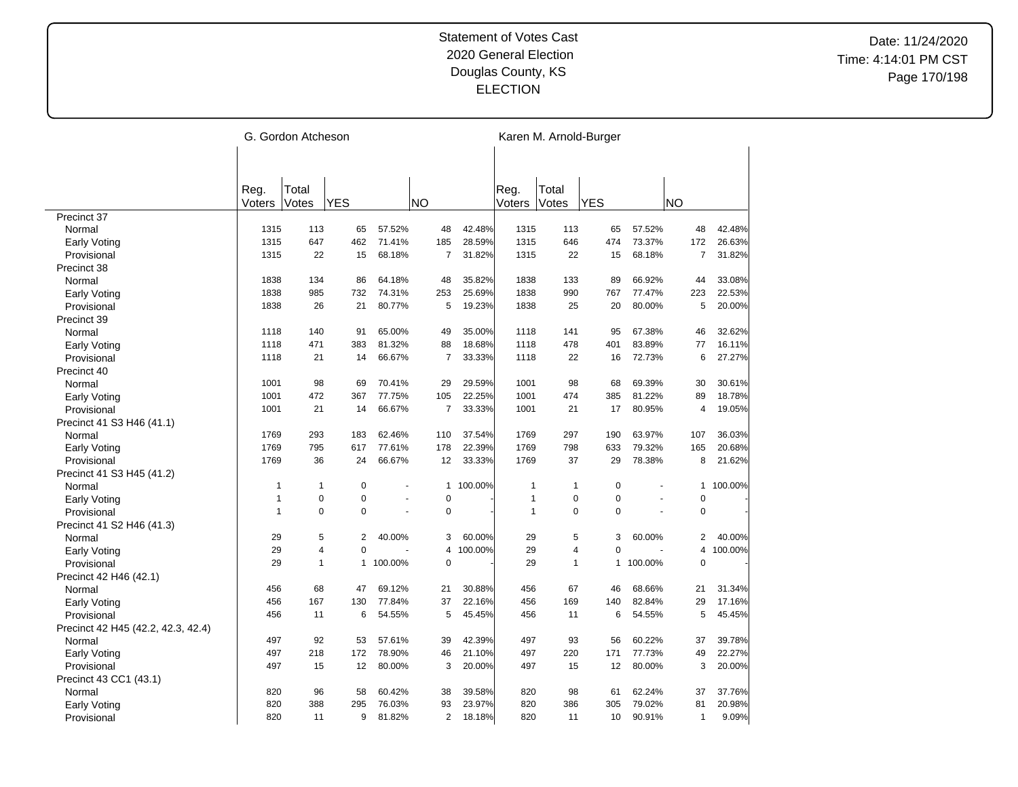|                                    |                | G. Gordon Atcheson |                |         |                |         |                |                | Karen M. Arnold-Burger |                |                |         |
|------------------------------------|----------------|--------------------|----------------|---------|----------------|---------|----------------|----------------|------------------------|----------------|----------------|---------|
|                                    |                |                    |                |         |                |         |                |                |                        |                |                |         |
|                                    |                |                    |                |         |                |         |                |                |                        |                |                |         |
|                                    | Reg.<br>Voters | Total<br>Votes     | <b>YES</b>     |         | <b>NO</b>      |         | Reg.<br>Voters | Total<br>Votes | <b>YES</b>             |                | <b>NO</b>      |         |
| Precinct 37                        |                |                    |                |         |                |         |                |                |                        |                |                |         |
| Normal                             | 1315           | 113                | 65             | 57.52%  | 48             | 42.48%  | 1315           | 113            | 65                     | 57.52%         | 48             | 42.48%  |
| <b>Early Voting</b>                | 1315           | 647                | 462            | 71.41%  | 185            | 28.59%  | 1315           | 646            | 474                    | 73.37%         | 172            | 26.63%  |
| Provisional                        | 1315           | 22                 | 15             | 68.18%  | $\overline{7}$ | 31.82%  | 1315           | 22             | 15                     | 68.18%         | 7              | 31.82%  |
| Precinct 38                        |                |                    |                |         |                |         |                |                |                        |                |                |         |
| Normal                             | 1838           | 134                | 86             | 64.18%  | 48             | 35.82%  | 1838           | 133            | 89                     | 66.92%         | 44             | 33.08%  |
| <b>Early Voting</b>                | 1838           | 985                | 732            | 74.31%  | 253            | 25.69%  | 1838           | 990            | 767                    | 77.47%         | 223            | 22.53%  |
| Provisional                        | 1838           | 26                 | 21             | 80.77%  | 5              | 19.23%  | 1838           | 25             | 20                     | 80.00%         | 5              | 20.00%  |
| Precinct 39                        |                |                    |                |         |                |         |                |                |                        |                |                |         |
| Normal                             | 1118           | 140                | 91             | 65.00%  | 49             | 35.00%  | 1118           | 141            | 95                     | 67.38%         | 46             | 32.62%  |
| <b>Early Voting</b>                | 1118           | 471                | 383            | 81.32%  | 88             | 18.68%  | 1118           | 478            | 401                    | 83.89%         | 77             | 16.11%  |
| Provisional                        | 1118           | 21                 | 14             | 66.67%  | $\overline{7}$ | 33.33%  | 1118           | 22             | 16                     | 72.73%         | 6              | 27.27%  |
| Precinct 40                        |                |                    |                |         |                |         |                |                |                        |                |                |         |
| Normal                             | 1001           | 98                 | 69             | 70.41%  | 29             | 29.59%  | 1001           | 98             | 68                     | 69.39%         | 30             | 30.61%  |
| Early Voting                       | 1001           | 472                | 367            | 77.75%  | 105            | 22.25%  | 1001           | 474            | 385                    | 81.22%         | 89             | 18.78%  |
| Provisional                        | 1001           | 21                 | 14             | 66.67%  | $\overline{7}$ | 33.33%  | 1001           | 21             | 17                     | 80.95%         | 4              | 19.05%  |
| Precinct 41 S3 H46 (41.1)          |                |                    |                |         |                |         |                |                |                        |                |                |         |
| Normal                             | 1769           | 293                | 183            | 62.46%  | 110            | 37.54%  | 1769           | 297            | 190                    | 63.97%         | 107            | 36.03%  |
| <b>Early Voting</b>                | 1769           | 795                | 617            | 77.61%  | 178            | 22.39%  | 1769           | 798            | 633                    | 79.32%         | 165            | 20.68%  |
| Provisional                        | 1769           | 36                 | 24             | 66.67%  | 12             | 33.33%  | 1769           | 37             | 29                     | 78.38%         | 8              | 21.62%  |
| Precinct 41 S3 H45 (41.2)          |                |                    |                |         |                |         |                |                |                        |                |                |         |
| Normal                             | $\mathbf{1}$   | $\mathbf{1}$       | $\mathbf 0$    |         | 1              | 100.00% | $\mathbf{1}$   | 1              | $\mathbf 0$            |                | 1              | 100.00% |
| Early Voting                       | $\mathbf{1}$   | $\pmb{0}$          | $\mathbf 0$    |         | $\mathbf 0$    |         | $\mathbf{1}$   | $\mathbf 0$    | 0                      | $\overline{a}$ | $\mathbf 0$    |         |
| Provisional                        | $\overline{1}$ | $\Omega$           | $\Omega$       |         | $\pmb{0}$      |         | $\overline{1}$ | $\Omega$       | $\Omega$               |                | $\mathbf 0$    |         |
| Precinct 41 S2 H46 (41.3)          |                |                    |                |         |                |         |                |                |                        |                |                |         |
| Normal                             | 29             | 5                  | $\overline{2}$ | 40.00%  | 3              | 60.00%  | 29             | 5              | 3                      | 60.00%         | 2              | 40.00%  |
| <b>Early Voting</b>                | 29             | $\overline{4}$     | $\mathbf 0$    |         | $\overline{4}$ | 100.00% | 29             | 4              | $\overline{0}$         |                | 4              | 100.00% |
| Provisional                        | 29             | $\mathbf{1}$       | $\mathbf{1}$   | 100.00% | $\mathbf 0$    |         | 29             | 1              | 1                      | 100.00%        | $\Omega$       |         |
| Precinct 42 H46 (42.1)             |                |                    |                |         |                |         |                |                |                        |                |                |         |
| Normal                             | 456            | 68                 | 47             | 69.12%  | 21             | 30.88%  | 456            | 67             | 46                     | 68.66%         | 21             | 31.34%  |
| <b>Early Voting</b>                | 456            | 167                | 130            | 77.84%  | 37             | 22.16%  | 456            | 169            | 140                    | 82.84%         | 29             | 17.16%  |
| Provisional                        | 456            | 11                 | 6              | 54.55%  | 5              | 45.45%  | 456            | 11             | 6                      | 54.55%         | 5              | 45.45%  |
| Precinct 42 H45 (42.2, 42.3, 42.4) |                |                    |                |         |                |         |                |                |                        |                |                |         |
| Normal                             | 497            | 92                 | 53             | 57.61%  | 39             | 42.39%  | 497            | 93             | 56                     | 60.22%         | 37             | 39.78%  |
| Early Voting                       | 497            | 218                | 172            | 78.90%  | 46             | 21.10%  | 497            | 220            | 171                    | 77.73%         | 49             | 22.27%  |
| Provisional                        | 497            | 15                 | 12             | 80.00%  | 3              | 20.00%  | 497            | 15             | 12                     | 80.00%         | 3              | 20.00%  |
| Precinct 43 CC1 (43.1)             |                |                    |                |         |                |         |                |                |                        |                |                |         |
| Normal                             | 820            | 96                 | 58             | 60.42%  | 38             | 39.58%  | 820            | 98             | 61                     | 62.24%         | 37             | 37.76%  |
| <b>Early Voting</b>                | 820            | 388                | 295            | 76.03%  | 93             | 23.97%  | 820            | 386            | 305                    | 79.02%         | 81             | 20.98%  |
| Provisional                        | 820            | 11                 | 9              | 81.82%  | 2              | 18.18%  | 820            | 11             | 10                     | 90.91%         | $\overline{1}$ | 9.09%   |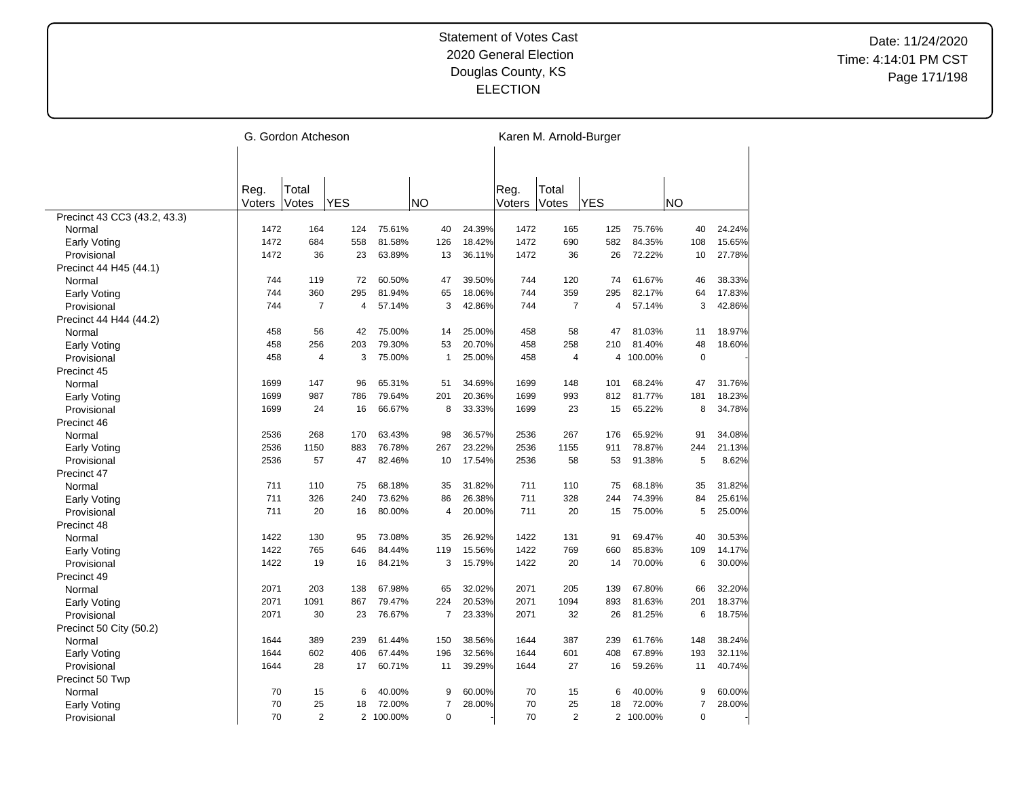|                              |        | G. Gordon Atcheson |                |         |                |        |        |                | Karen M. Arnold-Burger |           |                |        |
|------------------------------|--------|--------------------|----------------|---------|----------------|--------|--------|----------------|------------------------|-----------|----------------|--------|
|                              |        |                    |                |         |                |        |        |                |                        |           |                |        |
|                              |        |                    |                |         |                |        |        |                |                        |           |                |        |
|                              | Reg.   | Total              |                |         |                |        | Reg.   | Total          |                        |           |                |        |
|                              | Voters | Votes              | <b>YES</b>     |         | <b>NO</b>      |        | Voters | Votes          | <b>YES</b>             |           | <b>NO</b>      |        |
| Precinct 43 CC3 (43.2, 43.3) |        |                    |                |         |                |        |        |                |                        |           |                |        |
| Normal                       | 1472   | 164                | 124            | 75.61%  | 40             | 24.39% | 1472   | 165            | 125                    | 75.76%    | 40             | 24.24% |
| <b>Early Voting</b>          | 1472   | 684                | 558            | 81.58%  | 126            | 18.42% | 1472   | 690            | 582                    | 84.35%    | 108            | 15.65% |
| Provisional                  | 1472   | 36                 | 23             | 63.89%  | 13             | 36.11% | 1472   | 36             | 26                     | 72.22%    | 10             | 27.78% |
| Precinct 44 H45 (44.1)       |        |                    |                |         |                |        |        |                |                        |           |                |        |
| Normal                       | 744    | 119                | 72             | 60.50%  | 47             | 39.50% | 744    | 120            | 74                     | 61.67%    | 46             | 38.33% |
| Early Voting                 | 744    | 360                | 295            | 81.94%  | 65             | 18.06% | 744    | 359            | 295                    | 82.17%    | 64             | 17.83% |
| Provisional                  | 744    | $\overline{7}$     | $\overline{4}$ | 57.14%  | 3              | 42.86% | 744    | $\overline{7}$ | 4                      | 57.14%    | 3              | 42.86% |
| Precinct 44 H44 (44.2)       |        |                    |                |         |                |        |        |                |                        |           |                |        |
| Normal                       | 458    | 56                 | 42             | 75.00%  | 14             | 25.00% | 458    | 58             | 47                     | 81.03%    | 11             | 18.97% |
| Early Voting                 | 458    | 256                | 203            | 79.30%  | 53             | 20.70% | 458    | 258            | 210                    | 81.40%    | 48             | 18.60% |
| Provisional                  | 458    | $\overline{4}$     | 3              | 75.00%  | $\mathbf{1}$   | 25.00% | 458    | 4              |                        | 4 100.00% | $\mathbf 0$    |        |
| Precinct 45                  |        |                    |                |         |                |        |        |                |                        |           |                |        |
| Normal                       | 1699   | 147                | 96             | 65.31%  | 51             | 34.69% | 1699   | 148            | 101                    | 68.24%    | 47             | 31.76% |
| Early Voting                 | 1699   | 987                | 786            | 79.64%  | 201            | 20.36% | 1699   | 993            | 812                    | 81.77%    | 181            | 18.23% |
| Provisional                  | 1699   | 24                 | 16             | 66.67%  | 8              | 33.33% | 1699   | 23             | 15                     | 65.22%    | 8              | 34.78% |
| Precinct 46                  |        |                    |                |         |                |        |        |                |                        |           |                |        |
| Normal                       | 2536   | 268                | 170            | 63.43%  | 98             | 36.57% | 2536   | 267            | 176                    | 65.92%    | 91             | 34.08% |
| Early Voting                 | 2536   | 1150               | 883            | 76.78%  | 267            | 23.22% | 2536   | 1155           | 911                    | 78.87%    | 244            | 21.13% |
| Provisional                  | 2536   | 57                 | 47             | 82.46%  | 10             | 17.54% | 2536   | 58             | 53                     | 91.38%    | 5              | 8.62%  |
| Precinct 47                  |        |                    |                |         |                |        |        |                |                        |           |                |        |
| Normal                       | 711    | 110                | 75             | 68.18%  | 35             | 31.82% | 711    | 110            | 75                     | 68.18%    | 35             | 31.82% |
| <b>Early Voting</b>          | 711    | 326                | 240            | 73.62%  | 86             | 26.38% | 711    | 328            | 244                    | 74.39%    | 84             | 25.61% |
| Provisional                  | 711    | 20                 | 16             | 80.00%  | 4              | 20.00% | 711    | 20             | 15                     | 75.00%    | 5              | 25.00% |
| Precinct 48                  |        |                    |                |         |                |        |        |                |                        |           |                |        |
| Normal                       | 1422   | 130                | 95             | 73.08%  | 35             | 26.92% | 1422   | 131            | 91                     | 69.47%    | 40             | 30.53% |
| <b>Early Voting</b>          | 1422   | 765                | 646            | 84.44%  | 119            | 15.56% | 1422   | 769            | 660                    | 85.83%    | 109            | 14.17% |
| Provisional                  | 1422   | 19                 | 16             | 84.21%  | 3              | 15.79% | 1422   | 20             | 14                     | 70.00%    | 6              | 30.00% |
| Precinct 49                  |        |                    |                |         |                |        |        |                |                        |           |                |        |
| Normal                       | 2071   | 203                | 138            | 67.98%  | 65             | 32.02% | 2071   | 205            | 139                    | 67.80%    | 66             | 32.20% |
| Early Voting                 | 2071   | 1091               | 867            | 79.47%  | 224            | 20.53% | 2071   | 1094           | 893                    | 81.63%    | 201            | 18.37% |
| Provisional                  | 2071   | 30                 | 23             | 76.67%  | $\overline{7}$ | 23.33% | 2071   | 32             | 26                     | 81.25%    | 6              | 18.75% |
| Precinct 50 City (50.2)      |        |                    |                |         |                |        |        |                |                        |           |                |        |
| Normal                       | 1644   | 389                | 239            | 61.44%  | 150            | 38.56% | 1644   | 387            | 239                    | 61.76%    | 148            | 38.24% |
| <b>Early Voting</b>          | 1644   | 602                | 406            | 67.44%  | 196            | 32.56% | 1644   | 601            | 408                    | 67.89%    | 193            | 32.11% |
| Provisional                  | 1644   | 28                 | 17             | 60.71%  | 11             | 39.29% | 1644   | 27             | 16                     | 59.26%    | 11             | 40.74% |
| Precinct 50 Twp              |        |                    |                |         |                |        |        |                |                        |           |                |        |
| Normal                       | 70     | 15                 | 6              | 40.00%  | 9              | 60.00% | 70     | 15             | 6                      | 40.00%    | 9              | 60.00% |
| Early Voting                 | 70     | 25                 | 18             | 72.00%  | $\overline{7}$ | 28.00% | 70     | 25             | 18                     | 72.00%    | $\overline{7}$ | 28.00% |
| Provisional                  | 70     | 2                  | $\overline{2}$ | 100.00% | $\mathbf 0$    |        | 70     | $\overline{2}$ |                        | 2 100.00% | $\mathbf 0$    |        |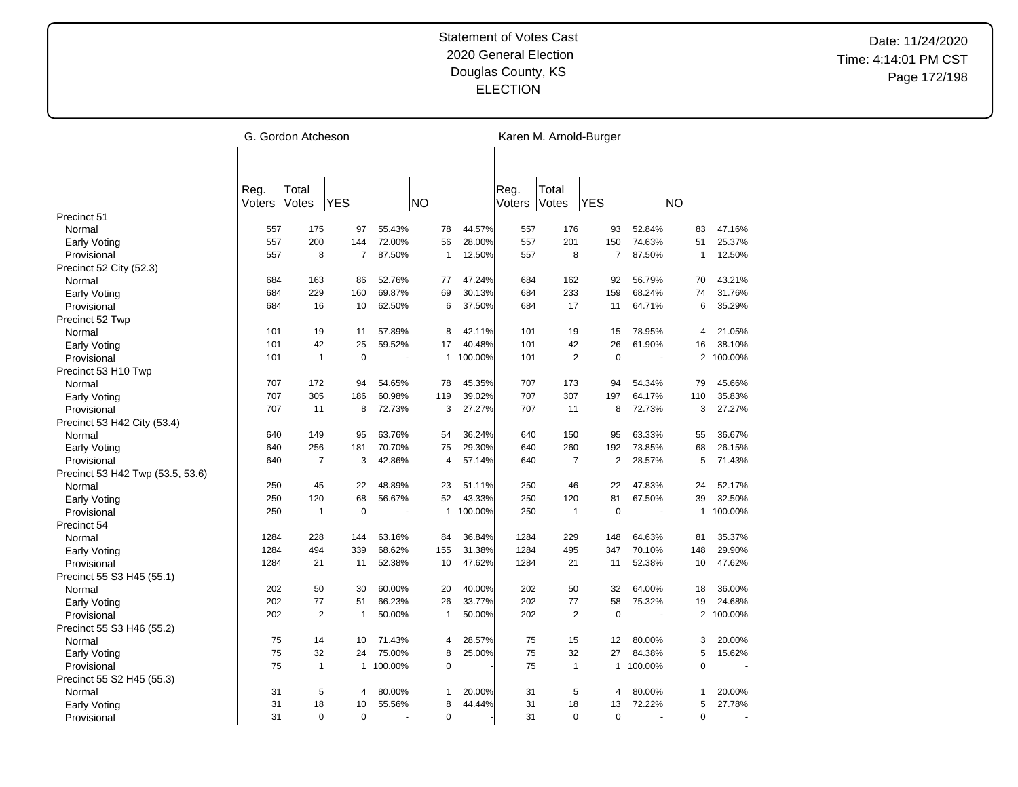|                                  |        | G. Gordon Atcheson |                |           |              |                         |        |                | Karen M. Arnold-Burger |           |                |         |
|----------------------------------|--------|--------------------|----------------|-----------|--------------|-------------------------|--------|----------------|------------------------|-----------|----------------|---------|
|                                  |        |                    |                |           |              |                         |        |                |                        |           |                |         |
|                                  |        |                    |                |           |              |                         |        |                |                        |           |                |         |
|                                  | Reg.   | Total              |                |           |              |                         | Reg.   | Total          |                        |           |                |         |
|                                  | Voters | Votes              | <b>YES</b>     |           | <b>NO</b>    |                         | Voters | Votes          | <b>YES</b>             |           | NO             |         |
| Precinct 51                      |        |                    |                |           |              |                         |        |                |                        |           |                |         |
| Normal                           | 557    | 175                | 97             | 55.43%    | 78           | 44.57%                  | 557    | 176            | 93                     | 52.84%    | 83             | 47.16%  |
| Early Voting                     | 557    | 200                | 144            | 72.00%    | 56           | 28.00%                  | 557    | 201            | 150                    | 74.63%    | 51             | 25.37%  |
| Provisional                      | 557    | 8                  | $\overline{7}$ | 87.50%    | $\mathbf{1}$ | 12.50%                  | 557    | 8              | $\overline{7}$         | 87.50%    | $\mathbf{1}$   | 12.50%  |
| Precinct 52 City (52.3)          |        |                    |                |           |              |                         |        |                |                        |           |                |         |
| Normal                           | 684    | 163                | 86             | 52.76%    | 77           | 47.24%                  | 684    | 162            | 92                     | 56.79%    | 70             | 43.21%  |
| Early Voting                     | 684    | 229                | 160            | 69.87%    | 69           | 30.13%                  | 684    | 233            | 159                    | 68.24%    | 74             | 31.76%  |
| Provisional                      | 684    | 16                 | 10             | 62.50%    | 6            | 37.50%                  | 684    | 17             | 11                     | 64.71%    | 6              | 35.29%  |
| Precinct 52 Twp                  |        |                    |                |           |              |                         |        |                |                        |           |                |         |
| Normal                           | 101    | 19                 | 11             | 57.89%    | 8            | 42.11%                  | 101    | 19             | 15                     | 78.95%    | 4              | 21.05%  |
| Early Voting                     | 101    | 42                 | 25             | 59.52%    | 17           | 40.48%                  | 101    | 42             | 26                     | 61.90%    | 16             | 38.10%  |
| Provisional                      | 101    | $\mathbf{1}$       | $\mathbf 0$    |           |              | 100.00%<br>$\mathbf{1}$ | 101    | $\overline{2}$ | $\mathbf 0$            |           | $\overline{2}$ | 100.00% |
| Precinct 53 H10 Twp              |        |                    |                |           |              |                         |        |                |                        |           |                |         |
| Normal                           | 707    | 172                | 94             | 54.65%    | 78           | 45.35%                  | 707    | 173            | 94                     | 54.34%    | 79             | 45.66%  |
| Early Voting                     | 707    | 305                | 186            | 60.98%    | 119          | 39.02%                  | 707    | 307            | 197                    | 64.17%    | 110            | 35.83%  |
| Provisional                      | 707    | 11                 | 8              | 72.73%    | 3            | 27.27%                  | 707    | 11             | 8                      | 72.73%    | 3              | 27.27%  |
| Precinct 53 H42 City (53.4)      |        |                    |                |           |              |                         |        |                |                        |           |                |         |
| Normal                           | 640    | 149                | 95             | 63.76%    | 54           | 36.24%                  | 640    | 150            | 95                     | 63.33%    | 55             | 36.67%  |
| Early Voting                     | 640    | 256                | 181            | 70.70%    | 75           | 29.30%                  | 640    | 260            | 192                    | 73.85%    | 68             | 26.15%  |
| Provisional                      | 640    | $\overline{7}$     | 3              | 42.86%    | 4            | 57.14%                  | 640    | $\overline{7}$ | 2                      | 28.57%    | 5              | 71.43%  |
| Precinct 53 H42 Twp (53.5, 53.6) |        |                    |                |           |              |                         |        |                |                        |           |                |         |
| Normal                           | 250    | 45                 | 22             | 48.89%    | 23           | 51.11%                  | 250    | 46             | 22                     | 47.83%    | 24             | 52.17%  |
| <b>Early Voting</b>              | 250    | 120                | 68             | 56.67%    | 52           | 43.33%                  | 250    | 120            | 81                     | 67.50%    | 39             | 32.50%  |
| Provisional                      | 250    | $\mathbf{1}$       | $\mathbf 0$    |           |              | 1 100.00%               | 250    | 1              | $\mathbf 0$            |           | $\mathbf{1}$   | 100.00% |
| Precinct 54                      |        |                    |                |           |              |                         |        |                |                        |           |                |         |
| Normal                           | 1284   | 228                | 144            | 63.16%    | 84           | 36.84%                  | 1284   | 229            | 148                    | 64.63%    | 81             | 35.37%  |
| <b>Early Voting</b>              | 1284   | 494                | 339            | 68.62%    | 155          | 31.38%                  | 1284   | 495            | 347                    | 70.10%    | 148            | 29.90%  |
| Provisional                      | 1284   | 21                 | 11             | 52.38%    | 10           | 47.62%                  | 1284   | 21             | 11                     | 52.38%    | 10             | 47.62%  |
| Precinct 55 S3 H45 (55.1)        |        |                    |                |           |              |                         |        |                |                        |           |                |         |
| Normal                           | 202    | 50                 | 30             | 60.00%    | 20           | 40.00%                  | 202    | 50             | 32                     | 64.00%    | 18             | 36.00%  |
| Early Voting                     | 202    | 77                 | 51             | 66.23%    | 26           | 33.77%                  | 202    | 77             | 58                     | 75.32%    | 19             | 24.68%  |
| Provisional                      | 202    | $\overline{2}$     | $\mathbf{1}$   | 50.00%    | $\mathbf{1}$ | 50.00%                  | 202    | $\overline{2}$ | $\mathbf 0$            |           | $\mathbf{2}$   | 100.00% |
| Precinct 55 S3 H46 (55.2)        |        |                    |                |           |              |                         |        |                |                        |           |                |         |
| Normal                           | 75     | 14                 | 10             | 71.43%    | 4            | 28.57%                  | 75     | 15             | 12                     | 80.00%    | 3              | 20.00%  |
| Early Voting                     | 75     | 32                 | 24             | 75.00%    | 8            | 25.00%                  | 75     | 32             | 27                     | 84.38%    | 5              | 15.62%  |
| Provisional                      | 75     | $\mathbf{1}$       |                | 1 100.00% | 0            |                         | 75     | 1              |                        | 1 100.00% | $\mathbf 0$    |         |
| Precinct 55 S2 H45 (55.3)        |        |                    |                |           |              |                         |        |                |                        |           |                |         |
| Normal                           | 31     | 5                  | 4              | 80.00%    | 1            | 20.00%                  | 31     | 5              | 4                      | 80.00%    | $\mathbf{1}$   | 20.00%  |
| Early Voting                     | 31     | 18                 | 10             | 55.56%    | 8            | 44.44%                  | 31     | 18             | 13                     | 72.22%    | 5              | 27.78%  |
| Provisional                      | 31     | $\Omega$           | $\mathbf 0$    |           | 0            |                         | 31     | $\Omega$       | $\mathbf 0$            |           | $\mathbf 0$    |         |
|                                  |        |                    |                |           |              |                         |        |                |                        |           |                |         |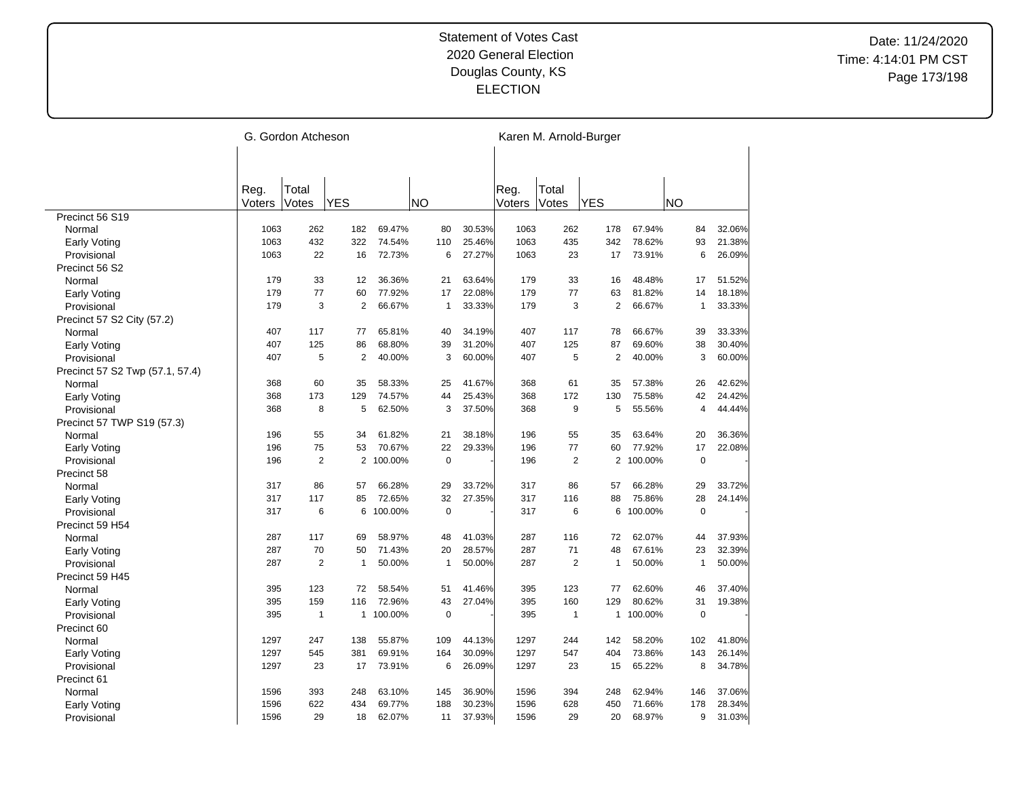|                                    |        | G. Gordon Atcheson |                |         |           |              |        |        |                | Karen M. Arnold-Burger |         |                |        |
|------------------------------------|--------|--------------------|----------------|---------|-----------|--------------|--------|--------|----------------|------------------------|---------|----------------|--------|
|                                    |        |                    |                |         |           |              |        |        |                |                        |         |                |        |
|                                    |        |                    |                |         |           |              |        |        |                |                        |         |                |        |
|                                    | Reg.   | Total              |                |         |           |              |        | Reg.   | Total          |                        |         |                |        |
|                                    | Voters | Votes              | <b>YES</b>     |         | <b>NO</b> |              |        | Voters | Votes          | <b>YES</b>             |         | <b>NO</b>      |        |
| Precinct 56 S19                    |        |                    |                |         |           |              |        |        |                |                        |         |                |        |
| Normal                             | 1063   | 262                | 182            | 69.47%  |           | 80           | 30.53% | 1063   | 262            | 178                    | 67.94%  | 84             | 32.06% |
| Early Voting                       | 1063   | 432                | 322            | 74.54%  |           | 110          | 25.46% | 1063   | 435            | 342                    | 78.62%  | 93             | 21.38% |
| Provisional                        | 1063   | 22                 | 16             | 72.73%  |           | 6            | 27.27% | 1063   | 23             | 17                     | 73.91%  | 6              | 26.09% |
| Precinct 56 S2                     |        |                    |                |         |           |              |        |        |                |                        |         |                |        |
| Normal                             | 179    | 33                 | 12             | 36.36%  |           | 21           | 63.64% | 179    | 33             | 16                     | 48.48%  | 17             | 51.52% |
| <b>Early Voting</b>                | 179    | 77                 | 60             | 77.92%  |           | 17           | 22.08% | 179    | 77             | 63                     | 81.82%  | 14             | 18.18% |
| Provisional                        | 179    | 3                  | $\overline{2}$ | 66.67%  |           | 1            | 33.33% | 179    | 3              | $\overline{2}$         | 66.67%  | 1              | 33.33% |
| Precinct 57 S2 City (57.2)         |        |                    |                |         |           |              |        |        |                |                        |         |                |        |
| Normal                             | 407    | 117                | 77             | 65.81%  |           | 40           | 34.19% | 407    | 117            | 78                     | 66.67%  | 39             | 33.33% |
| Early Voting                       | 407    | 125                | 86             | 68.80%  |           | 39           | 31.20% | 407    | 125            | 87                     | 69.60%  | 38             | 30.40% |
| Provisional                        | 407    | 5                  | $\overline{2}$ | 40.00%  |           | 3            | 60.00% | 407    | 5              | $\overline{2}$         | 40.00%  | 3              | 60.00% |
| Precinct 57 S2 Twp (57.1, 57.4)    |        |                    |                |         |           |              |        |        |                |                        |         |                |        |
| Normal                             | 368    | 60                 | 35             | 58.33%  |           | 25           | 41.67% | 368    | 61             | 35                     | 57.38%  | 26             | 42.62% |
| Early Voting                       | 368    | 173                | 129            | 74.57%  |           | 44           | 25.43% | 368    | 172            | 130                    | 75.58%  | 42             | 24.42% |
| Provisional                        | 368    | 8                  | 5              | 62.50%  |           | 3            | 37.50% | 368    | 9              | 5                      | 55.56%  | $\overline{4}$ | 44.44% |
| Precinct 57 TWP S19 (57.3)         |        |                    |                |         |           |              |        |        |                |                        |         |                |        |
| Normal                             | 196    | 55                 | 34             | 61.82%  |           | 21           | 38.18% | 196    | 55             | 35                     | 63.64%  | 20             | 36.36% |
| Early Voting                       | 196    | 75                 | 53             | 70.67%  |           | 22           | 29.33% | 196    | 77             | 60                     | 77.92%  | 17             | 22.08% |
| Provisional                        | 196    | $\overline{2}$     | 2              | 100.00% |           | $\pmb{0}$    |        | 196    | $\overline{2}$ | $\overline{2}$         | 100.00% | $\mathbf 0$    |        |
| Precinct 58                        |        |                    |                |         |           |              |        |        |                |                        |         |                |        |
| Normal                             | 317    | 86                 | 57             | 66.28%  |           | 29           | 33.72% | 317    | 86             | 57                     | 66.28%  | 29             | 33.72% |
| <b>Early Voting</b>                | 317    | 117                | 85             | 72.65%  |           | 32           | 27.35% | 317    | 116            | 88                     | 75.86%  | 28             | 24.14% |
| Provisional                        | 317    | 6                  | 6              | 100.00% |           | 0            |        | 317    | 6              | 6                      | 100.00% | 0              |        |
| Precinct 59 H54                    |        |                    |                |         |           |              |        |        |                |                        |         |                |        |
| Normal                             | 287    | 117                | 69             | 58.97%  |           | 48           | 41.03% | 287    | 116            | 72                     | 62.07%  | 44             | 37.93% |
|                                    | 287    | 70                 | 50             | 71.43%  |           | 20           | 28.57% | 287    | 71             | 48                     | 67.61%  | 23             | 32.39% |
| <b>Early Voting</b><br>Provisional | 287    | 2                  | $\mathbf{1}$   | 50.00%  |           | $\mathbf{1}$ | 50.00% | 287    | $\overline{2}$ | $\mathbf{1}$           | 50.00%  | $\mathbf{1}$   | 50.00% |
| Precinct 59 H45                    |        |                    |                |         |           |              |        |        |                |                        |         |                |        |
|                                    | 395    | 123                | 72             | 58.54%  |           | 51           | 41.46% | 395    | 123            | 77                     | 62.60%  | 46             | 37.40% |
| Normal                             | 395    | 159                | 116            | 72.96%  |           | 43           | 27.04% | 395    | 160            | 129                    | 80.62%  | 31             | 19.38% |
| Early Voting                       | 395    | $\mathbf{1}$       | $\mathbf{1}$   |         |           | 0            |        | 395    | $\mathbf{1}$   |                        | 100.00% | $\mathbf 0$    |        |
| Provisional                        |        |                    |                | 100.00% |           |              |        |        |                | 1                      |         |                |        |
| Precinct 60                        |        |                    |                |         |           |              |        |        |                |                        |         |                |        |
| Normal                             | 1297   | 247                | 138            | 55.87%  |           | 109          | 44.13% | 1297   | 244            | 142                    | 58.20%  | 102            | 41.80% |
| <b>Early Voting</b>                | 1297   | 545                | 381            | 69.91%  |           | 164          | 30.09% | 1297   | 547            | 404                    | 73.86%  | 143            | 26.14% |
| Provisional                        | 1297   | 23                 | 17             | 73.91%  |           | 6            | 26.09% | 1297   | 23             | 15                     | 65.22%  | 8              | 34.78% |
| Precinct 61                        |        |                    |                |         |           |              |        |        |                |                        |         |                |        |
| Normal                             | 1596   | 393                | 248            | 63.10%  |           | 145          | 36.90% | 1596   | 394            | 248                    | 62.94%  | 146            | 37.06% |
| Early Voting                       | 1596   | 622                | 434            | 69.77%  |           | 188          | 30.23% | 1596   | 628            | 450                    | 71.66%  | 178            | 28.34% |
| Provisional                        | 1596   | 29                 | 18             | 62.07%  |           | 11           | 37.93% | 1596   | 29             | 20                     | 68.97%  | 9              | 31.03% |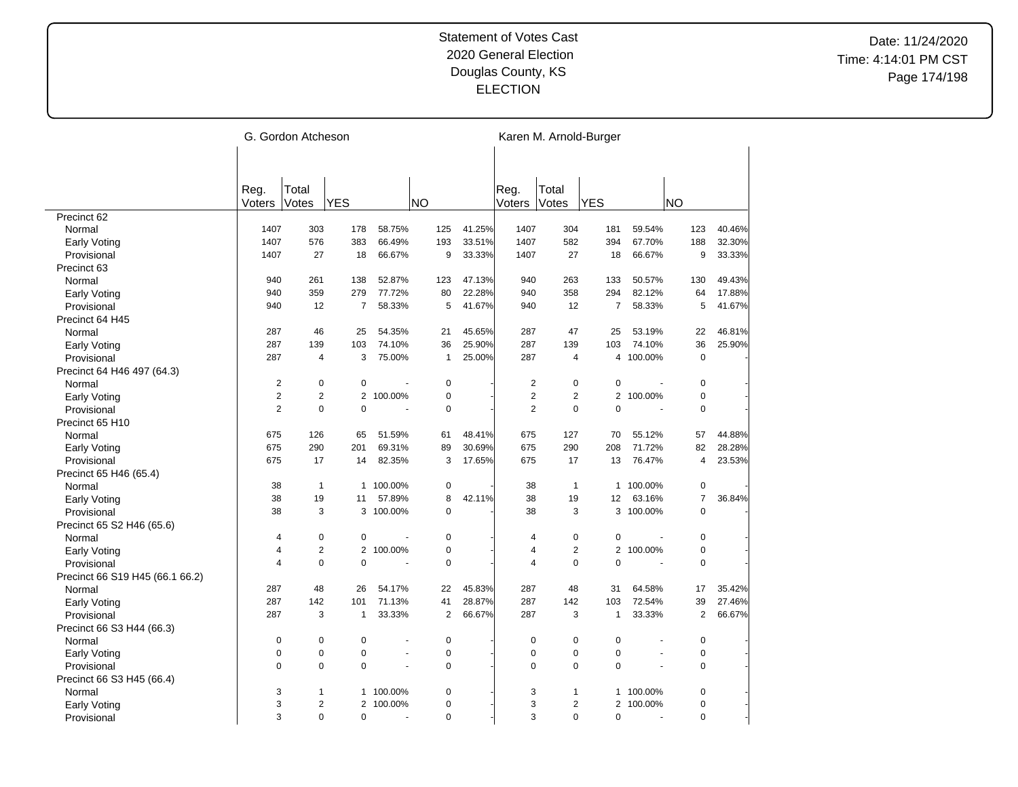|                                 |                | G. Gordon Atcheson |                |                |              |                          |                         |                         | Karen M. Arnold-Burger |                |                |        |
|---------------------------------|----------------|--------------------|----------------|----------------|--------------|--------------------------|-------------------------|-------------------------|------------------------|----------------|----------------|--------|
|                                 |                |                    |                |                |              |                          |                         |                         |                        |                |                |        |
|                                 |                |                    |                |                |              |                          |                         |                         |                        |                |                |        |
|                                 | Reg.           | Total              |                |                |              |                          | Reg.                    | Total                   |                        |                |                |        |
|                                 | Voters         | Votes              | <b>YES</b>     |                | <b>NO</b>    |                          | Voters                  | Votes                   | <b>YES</b>             |                | <b>NO</b>      |        |
| Precinct 62                     |                |                    |                |                |              |                          |                         |                         |                        |                |                |        |
| Normal                          | 1407           | 303                | 178            | 58.75%         | 125          | 41.25%                   | 1407                    | 304                     | 181                    | 59.54%         | 123            | 40.46% |
| Early Voting                    | 1407           | 576                | 383            | 66.49%         | 193          | 33.51%                   | 1407                    | 582                     | 394                    | 67.70%         | 188            | 32.30% |
| Provisional                     | 1407           | 27                 | 18             | 66.67%         | 9            | 33.33%                   | 1407                    | 27                      | 18                     | 66.67%         | 9              | 33.33% |
| Precinct 63                     |                |                    |                |                |              |                          |                         |                         |                        |                |                |        |
| Normal                          | 940            | 261                | 138            | 52.87%         | 123          | 47.13%                   | 940                     | 263                     | 133                    | 50.57%         | 130            | 49.43% |
| Early Voting                    | 940            | 359                | 279            | 77.72%         | 80           | 22.28%                   | 940                     | 358                     | 294                    | 82.12%         | 64             | 17.88% |
| Provisional                     | 940            | 12                 | $\overline{7}$ | 58.33%         | 5            | 41.67%                   | 940                     | 12                      | 7                      | 58.33%         | 5              | 41.67% |
| Precinct 64 H45                 |                |                    |                |                |              |                          |                         |                         |                        |                |                |        |
| Normal                          | 287            | 46                 | 25             | 54.35%         | 21           | 45.65%                   | 287                     | 47                      | 25                     | 53.19%         | 22             | 46.81% |
| <b>Early Voting</b>             | 287            | 139                | 103            | 74.10%         | 36           | 25.90%                   | 287                     | 139                     | 103                    | 74.10%         | 36             | 25.90% |
| Provisional                     | 287            | $\overline{4}$     | 3              | 75.00%         | $\mathbf{1}$ | 25.00%                   | 287                     | $\overline{4}$          |                        | 4 100.00%      | $\mathbf 0$    |        |
| Precinct 64 H46 497 (64.3)      |                |                    |                |                |              |                          |                         |                         |                        |                |                |        |
| Normal                          | $\overline{2}$ | $\pmb{0}$          | 0              |                | $\mathbf 0$  |                          | $\boldsymbol{2}$        | 0                       | $\pmb{0}$              |                | $\pmb{0}$      |        |
| Early Voting                    | $\overline{c}$ | $\sqrt{2}$         | $\mathbf{2}$   | 100.00%        | $\pmb{0}$    |                          | $\overline{\mathbf{c}}$ | $\overline{2}$          | $\mathbf{2}$           | 100.00%        | $\pmb{0}$      |        |
| Provisional                     | $\overline{2}$ | $\pmb{0}$          | $\mathbf 0$    | $\overline{a}$ | $\pmb{0}$    |                          | $\overline{2}$          | 0                       | $\mathbf 0$            | ÷,             | $\pmb{0}$      |        |
| Precinct 65 H10                 |                |                    |                |                |              |                          |                         |                         |                        |                |                |        |
| Normal                          | 675            | 126                | 65             | 51.59%         | 61           | 48.41%                   | 675                     | 127                     | 70                     | 55.12%         | 57             | 44.88% |
| Early Voting                    | 675            | 290                | 201            | 69.31%         | 89           | 30.69%                   | 675                     | 290                     | 208                    | 71.72%         | 82             | 28.28% |
| Provisional                     | 675            | 17                 | 14             | 82.35%         | 3            | 17.65%                   | 675                     | 17                      | 13                     | 76.47%         | $\overline{4}$ | 23.53% |
| Precinct 65 H46 (65.4)          |                |                    |                |                |              |                          |                         |                         |                        |                |                |        |
| Normal                          | 38             | $\mathbf{1}$       | $\mathbf{1}$   | 100.00%        | $\pmb{0}$    |                          | 38                      | $\mathbf{1}$            | $\mathbf{1}$           | 100.00%        | $\pmb{0}$      |        |
| Early Voting                    | 38             | 19                 | 11             | 57.89%         | 8            | 42.11%                   | 38                      | 19                      | 12                     | 63.16%         | $\overline{7}$ | 36.84% |
| Provisional                     | 38             | 3                  |                | 3 100.00%      | $\Omega$     |                          | 38                      | 3                       |                        | 3 100.00%      | $\Omega$       |        |
| Precinct 65 S2 H46 (65.6)       |                |                    |                |                |              |                          |                         |                         |                        |                |                |        |
| Normal                          | 4              | $\pmb{0}$          | 0              | ÷,             | $\pmb{0}$    |                          | 4                       | $\mathbf 0$             | $\mathbf 0$            | ÷,             | 0              |        |
| Early Voting                    | 4              | $\sqrt{2}$         | 2              | 100.00%        | $\pmb{0}$    |                          | 4                       | $\overline{\mathbf{c}}$ | 2                      | 100.00%        | $\pmb{0}$      |        |
| Provisional                     | 4              | $\Omega$           | $\Omega$       |                | $\mathbf 0$  |                          | 4                       | $\mathbf 0$             | $\Omega$               | ÷.             | $\mathbf 0$    |        |
| Precinct 66 S19 H45 (66.1 66.2) |                |                    |                |                |              |                          |                         |                         |                        |                |                |        |
| Normal                          | 287            | 48                 | 26             | 54.17%         | 22           | 45.83%                   | 287                     | 48                      | 31                     | 64.58%         | 17             | 35.42% |
| Early Voting                    | 287            | 142                | 101            | 71.13%         | 41           | 28.87%                   | 287                     | 142                     | 103                    | 72.54%         | 39             | 27.46% |
| Provisional                     | 287            | 3                  | $\mathbf{1}$   | 33.33%         |              | $\overline{2}$<br>66.67% | 287                     | 3                       | $\mathbf{1}$           | 33.33%         | $\overline{2}$ | 66.67% |
| Precinct 66 S3 H44 (66.3)       |                |                    |                |                |              |                          |                         |                         |                        |                |                |        |
| Normal                          | 0              | $\mathbf 0$        | $\mathbf 0$    | ä,             | $\mathbf 0$  |                          | $\mathbf 0$             | 0                       | $\mathbf 0$            |                | $\mathbf 0$    |        |
| Early Voting                    | $\mathbf 0$    | $\mathbf 0$        | $\mathbf 0$    | ä,             | $\mathbf 0$  |                          | 0                       | 0                       | $\mathbf 0$            | $\overline{a}$ | $\mathbf 0$    |        |
| Provisional                     | $\Omega$       | $\mathbf 0$        | $\mathbf 0$    | ÷,             | $\mathbf 0$  |                          | $\Omega$                | 0                       | $\Omega$               | ÷,             | $\mathbf 0$    |        |
| Precinct 66 S3 H45 (66.4)       |                |                    |                |                |              |                          |                         |                         |                        |                |                |        |
| Normal                          | 3              | $\mathbf{1}$       | 1              | 100.00%        | $\mathbf 0$  |                          | 3                       | 1                       | 1                      | 100.00%        | $\mathbf 0$    |        |
| <b>Early Voting</b>             | 3              | $\overline{2}$     | $\overline{2}$ | 100.00%        | $\mathbf 0$  |                          | 3                       | 2                       |                        | 2 100.00%      | $\mathbf 0$    |        |
| Provisional                     | 3              | $\Omega$           | $\Omega$       | L.             | $\Omega$     |                          | 3                       | $\Omega$                | $\Omega$               | ÷.             | $\Omega$       |        |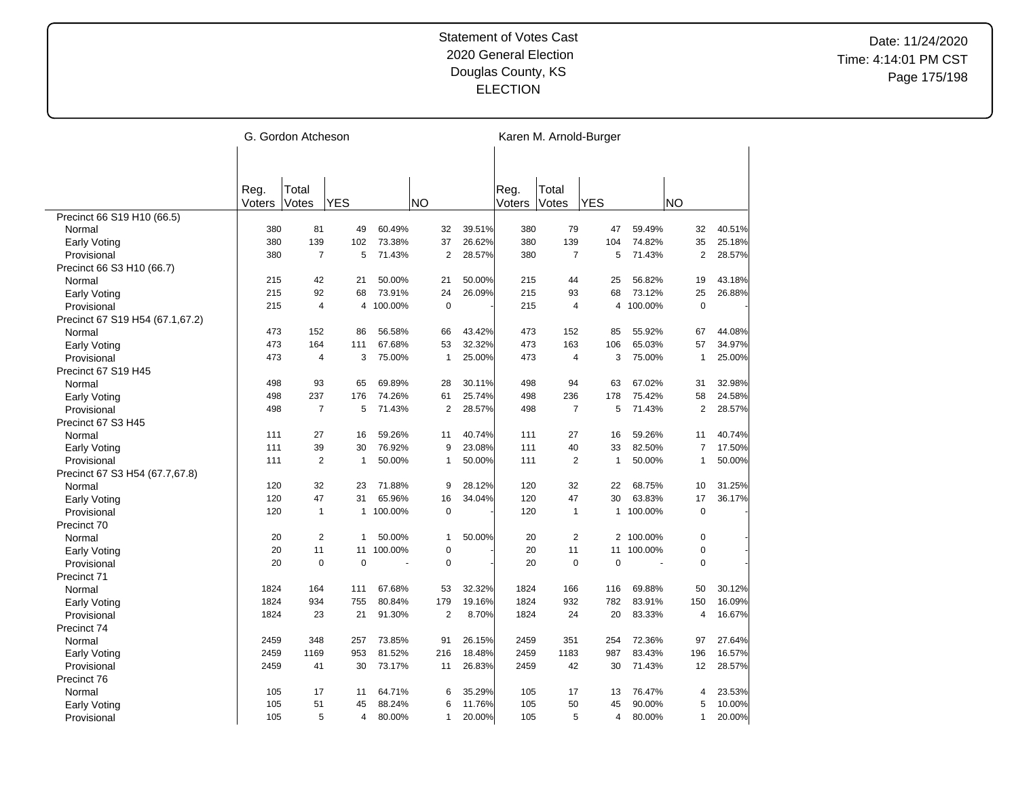|                                    |        | G. Gordon Atcheson |                |           |           |                |        |        | Karen M. Arnold-Burger |              |           |                |        |
|------------------------------------|--------|--------------------|----------------|-----------|-----------|----------------|--------|--------|------------------------|--------------|-----------|----------------|--------|
|                                    |        |                    |                |           |           |                |        |        |                        |              |           |                |        |
|                                    |        |                    |                |           |           |                |        |        |                        |              |           |                |        |
|                                    | Reg.   | Total              |                |           |           |                |        | Reg.   | Total                  |              |           |                |        |
|                                    | Voters | Votes              | <b>YES</b>     |           | <b>NO</b> |                |        | Voters | Votes                  | <b>YES</b>   |           | <b>NO</b>      |        |
| Precinct 66 S19 H10 (66.5)         |        |                    |                |           |           |                |        |        |                        |              |           |                |        |
| Normal                             | 380    | 81                 | 49             | 60.49%    |           | 32             | 39.51% | 380    | 79                     | 47           | 59.49%    | 32             | 40.51% |
| <b>Early Voting</b>                | 380    | 139                | 102            | 73.38%    |           | 37             | 26.62% | 380    | 139                    | 104          | 74.82%    | 35             | 25.18% |
| Provisional                        | 380    | $\overline{7}$     | 5              | 71.43%    |           | $\overline{2}$ | 28.57% | 380    | $\overline{7}$         | 5            | 71.43%    | $\overline{2}$ | 28.57% |
| Precinct 66 S3 H10 (66.7)          |        |                    |                |           |           |                |        |        |                        |              |           |                |        |
| Normal                             | 215    | 42                 | 21             | 50.00%    |           | 21             | 50.00% | 215    | 44                     | 25           | 56.82%    | 19             | 43.18% |
| Early Voting                       | 215    | 92                 | 68             | 73.91%    |           | 24             | 26.09% | 215    | 93                     | 68           | 73.12%    | 25             | 26.88% |
| Provisional                        | 215    | $\overline{4}$     | $\overline{4}$ | 100.00%   |           | $\mathbf 0$    |        | 215    | $\overline{4}$         | 4            | 100.00%   | $\mathbf 0$    |        |
| Precinct 67 S19 H54 (67.1,67.2)    |        |                    |                |           |           |                |        |        |                        |              |           |                |        |
| Normal                             | 473    | 152                | 86             | 56.58%    |           | 66             | 43.42% | 473    | 152                    | 85           | 55.92%    | 67             | 44.08% |
| Early Voting                       | 473    | 164                | 111            | 67.68%    |           | 53             | 32.32% | 473    | 163                    | 106          | 65.03%    | 57             | 34.97% |
| Provisional                        | 473    | $\overline{4}$     | 3              | 75.00%    |           | $\mathbf{1}$   | 25.00% | 473    | $\overline{4}$         | 3            | 75.00%    | $\mathbf{1}$   | 25.00% |
| Precinct 67 S19 H45                |        |                    |                |           |           |                |        |        |                        |              |           |                |        |
| Normal                             | 498    | 93                 | 65             | 69.89%    |           | 28             | 30.11% | 498    | 94                     | 63           | 67.02%    | 31             | 32.98% |
| Early Voting                       | 498    | 237                | 176            | 74.26%    |           | 61             | 25.74% | 498    | 236                    | 178          | 75.42%    | 58             | 24.58% |
| Provisional                        | 498    | $\overline{7}$     | 5              | 71.43%    |           | $\overline{2}$ | 28.57% | 498    | $\overline{7}$         | 5            | 71.43%    | $\overline{2}$ | 28.57% |
| Precinct 67 S3 H45                 |        |                    |                |           |           |                |        |        |                        |              |           |                |        |
| Normal                             | 111    | 27                 | 16             | 59.26%    |           | 11             | 40.74% | 111    | 27                     | 16           | 59.26%    | 11             | 40.74% |
| Early Voting                       | 111    | 39                 | 30             | 76.92%    |           | 9              | 23.08% | 111    | 40                     | 33           | 82.50%    | $\overline{7}$ | 17.50% |
| Provisional                        | 111    | $\overline{2}$     | 1              | 50.00%    |           | 1              | 50.00% | 111    | $\overline{2}$         | 1            | 50.00%    | $\overline{1}$ | 50.00% |
| Precinct 67 S3 H54 (67.7,67.8)     |        |                    |                |           |           |                |        |        |                        |              |           |                |        |
| Normal                             | 120    | 32                 | 23             | 71.88%    |           | 9              | 28.12% | 120    | 32                     | 22           | 68.75%    | 10             | 31.25% |
| Early Voting                       | 120    | 47                 | 31             | 65.96%    |           | 16             | 34.04% | 120    | 47                     | 30           | 63.83%    | 17             | 36.17% |
| Provisional                        | 120    | 1                  |                | 1 100.00% |           | $\mathbf 0$    |        | 120    | $\mathbf{1}$           | $\mathbf{1}$ | 100.00%   | $\mathbf 0$    |        |
| Precinct 70                        |        |                    |                |           |           |                |        |        |                        |              |           |                |        |
| Normal                             | 20     | $\overline{2}$     | 1              | 50.00%    |           | $\mathbf{1}$   | 50.00% | 20     | $\overline{2}$         |              | 2 100.00% | $\mathbf 0$    |        |
|                                    | 20     | 11                 | 11             | 100.00%   |           | $\mathbf 0$    |        | 20     | 11                     | 11           | 100.00%   | $\pmb{0}$      |        |
| <b>Early Voting</b><br>Provisional | 20     | $\mathbf 0$        | $\Omega$       |           |           | $\mathbf 0$    |        | 20     | $\mathbf 0$            | $\mathbf 0$  | ÷,        | $\mathbf 0$    |        |
| Precinct 71                        |        |                    |                |           |           |                |        |        |                        |              |           |                |        |
| Normal                             | 1824   | 164                | 111            | 67.68%    |           | 53             | 32.32% | 1824   | 166                    | 116          | 69.88%    | 50             | 30.12% |
|                                    | 1824   | 934                | 755            | 80.84%    |           | 179            | 19.16% | 1824   | 932                    | 782          | 83.91%    | 150            | 16.09% |
| Early Voting                       | 1824   | 23                 | 21             | 91.30%    |           | $\overline{2}$ | 8.70%  | 1824   | 24                     | 20           | 83.33%    | 4              | 16.67% |
| Provisional                        |        |                    |                |           |           |                |        |        |                        |              |           |                |        |
| Precinct 74                        | 2459   | 348                | 257            | 73.85%    |           | 91             | 26.15% | 2459   | 351                    | 254          | 72.36%    | 97             |        |
| Normal                             |        |                    |                |           |           |                |        |        |                        |              |           |                | 27.64% |
| <b>Early Voting</b>                | 2459   | 1169               | 953            | 81.52%    |           | 216            | 18.48% | 2459   | 1183                   | 987          | 83.43%    | 196            | 16.57% |
| Provisional                        | 2459   | 41                 | 30             | 73.17%    |           | 11             | 26.83% | 2459   | 42                     | 30           | 71.43%    | 12             | 28.57% |
| Precinct 76                        |        |                    |                |           |           |                |        |        |                        |              |           |                |        |
| Normal                             | 105    | 17                 | 11             | 64.71%    |           | 6              | 35.29% | 105    | 17                     | 13           | 76.47%    | 4              | 23.53% |
| Early Voting                       | 105    | 51                 | 45             | 88.24%    |           | 6              | 11.76% | 105    | 50                     | 45           | 90.00%    | 5              | 10.00% |
| Provisional                        | 105    | 5                  | 4              | 80.00%    |           | $\mathbf{1}$   | 20.00% | 105    | 5                      | 4            | 80.00%    | $\mathbf{1}$   | 20.00% |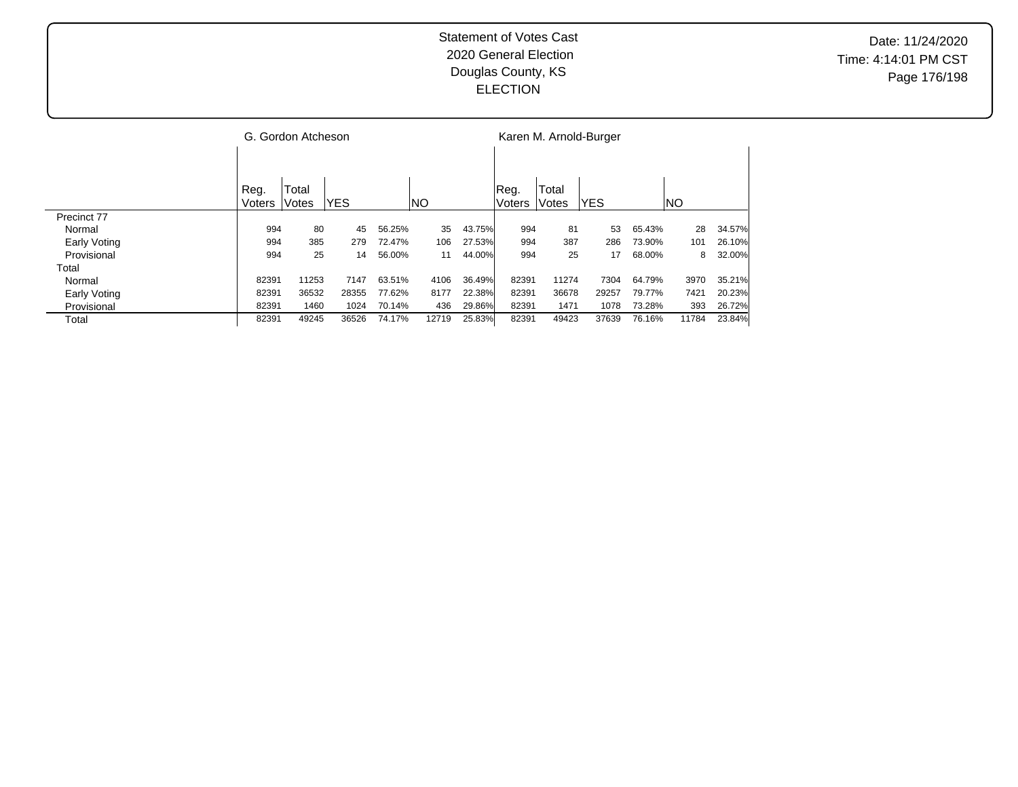|              |        | G. Gordon Atcheson |            |        |       |        |        |              | Karen M. Arnold-Burger |        |       |        |
|--------------|--------|--------------------|------------|--------|-------|--------|--------|--------------|------------------------|--------|-------|--------|
|              |        |                    |            |        |       |        |        |              |                        |        |       |        |
|              | Reg.   | Total              |            |        |       |        | Reg.   | Total        |                        |        |       |        |
|              | Voters | Votes              | <b>YES</b> |        | INO   |        | Voters | <b>Votes</b> | lYES.                  |        | INO.  |        |
| Precinct 77  |        |                    |            |        |       |        |        |              |                        |        |       |        |
| Normal       | 994    | 80                 | 45         | 56.25% | 35    | 43.75% | 994    | 81           | 53                     | 65.43% | 28    | 34.57% |
| Early Voting | 994    | 385                | 279        | 72.47% | 106   | 27.53% | 994    | 387          | 286                    | 73.90% | 101   | 26.10% |
| Provisional  | 994    | 25                 | 14         | 56.00% | 11    | 44.00% | 994    | 25           | 17                     | 68.00% | 8     | 32.00% |
| Total        |        |                    |            |        |       |        |        |              |                        |        |       |        |
| Normal       | 82391  | 11253              | 7147       | 63.51% | 4106  | 36.49% | 82391  | 11274        | 7304                   | 64.79% | 3970  | 35.21% |
| Early Voting | 82391  | 36532              | 28355      | 77.62% | 8177  | 22.38% | 82391  | 36678        | 29257                  | 79.77% | 7421  | 20.23% |
| Provisional  | 82391  | 1460               | 1024       | 70.14% | 436   | 29.86% | 82391  | 1471         | 1078                   | 73.28% | 393   | 26.72% |
| Total        | 82391  | 49245              | 36526      | 74.17% | 12719 | 25.83% | 82391  | 49423        | 37639                  | 76.16% | 11784 | 23.84% |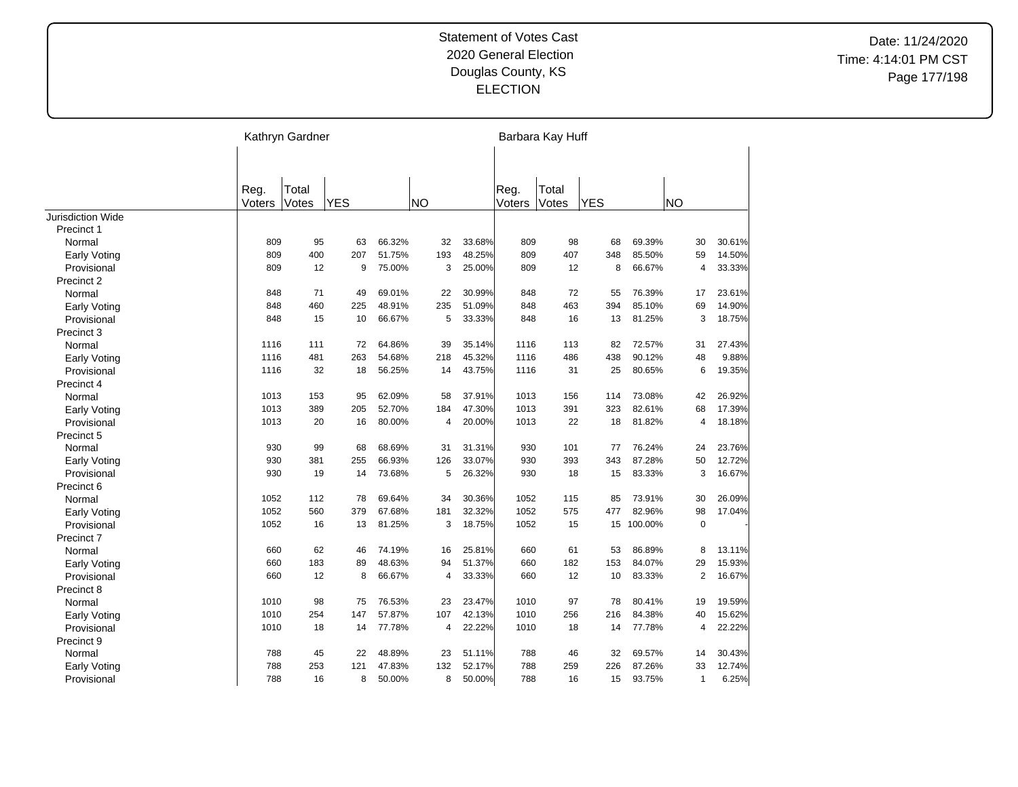| Reg.<br>Total<br>Total<br>Reg.<br><b>YES</b><br><b>NO</b><br><b>YES</b><br><b>NO</b><br>Voters<br>Votes<br>Voters<br>Votes<br>Precinct 1<br>809<br>95<br>66.32%<br>32<br>33.68%<br>809<br>98<br>69.39%<br>30<br>30.61%<br>63<br>68<br>Normal<br>400<br>51.75%<br>193<br>48.25%<br>809<br>407<br>85.50%<br>14.50%<br>809<br>207<br>348<br>59<br><b>Early Voting</b><br>12<br>75.00%<br>3<br>25.00%<br>809<br>8<br>66.67%<br>33.33%<br>Provisional<br>809<br>9<br>12<br>$\overline{4}$<br>Precinct 2<br>71<br>76.39%<br>848<br>49<br>69.01%<br>22<br>30.99%<br>848<br>72<br>55<br>17<br>23.61%<br>Normal<br>848<br>460<br>48.91%<br>235<br>51.09%<br>848<br>463<br>394<br>85.10%<br>69<br>14.90%<br>225<br><b>Early Voting</b><br>848<br>15<br>66.67%<br>5<br>33.33%<br>848<br>16<br>13<br>81.25%<br>3<br>18.75%<br>Provisional<br>10<br>Precinct 3<br>72.57%<br>1116<br>111<br>72<br>64.86%<br>39<br>35.14%<br>1116<br>113<br>82<br>31<br>27.43%<br>Normal<br>481<br>54.68%<br>218<br>45.32%<br>486<br>438<br>90.12%<br>48<br>9.88%<br>1116<br>263<br>1116<br>Early Voting<br>1116<br>32<br>56.25%<br>14<br>43.75%<br>25<br>80.65%<br>6<br>19.35%<br>Provisional<br>18<br>1116<br>31<br>Precinct 4<br>1013<br>153<br>95<br>62.09%<br>58<br>37.91%<br>1013<br>156<br>73.08%<br>42<br>26.92%<br>114<br>Normal<br>52.70%<br>47.30%<br>1013<br>389<br>205<br>184<br>1013<br>391<br>323<br>82.61%<br>68<br>17.39%<br>Early Voting<br>20.00%<br>Provisional<br>1013<br>20<br>80.00%<br>4<br>1013<br>22<br>18<br>81.82%<br>4<br>18.18%<br>16<br>Precinct 5<br>76.24%<br>930<br>99<br>68<br>68.69%<br>31<br>31.31%<br>930<br>101<br>77<br>24<br>23.76%<br>Normal<br>87.28%<br>50<br>930<br>381<br>66.93%<br>126<br>33.07%<br>930<br>393<br>343<br>12.72%<br>Early Voting<br>255<br>930<br>73.68%<br>26.32%<br>930<br>83.33%<br>3<br>16.67%<br>19<br>14<br>5<br>18<br>15<br>Provisional<br>Precinct 6<br>1052<br>112<br>78<br>69.64%<br>34<br>30.36%<br>1052<br>115<br>85<br>73.91%<br>30<br>26.09%<br>Normal<br>32.32%<br>1052<br>560<br>379<br>67.68%<br>181<br>1052<br>575<br>82.96%<br>98<br>17.04%<br>477<br><b>Early Voting</b><br>18.75%<br>$\mathbf 0$<br>1052<br>16<br>13<br>81.25%<br>3<br>1052<br>15<br>15 100.00%<br>Provisional<br>Precinct 7<br>62<br>660<br>46<br>74.19%<br>16<br>25.81%<br>660<br>61<br>53<br>86.89%<br>8<br>13.11%<br>Normal<br>84.07%<br>660<br>183<br>48.63%<br>94<br>51.37%<br>660<br>182<br>29<br>15.93%<br>89<br>153<br><b>Early Voting</b><br>660<br>12<br>8<br>66.67%<br>33.33%<br>660<br>12<br>10<br>83.33%<br>$\overline{2}$<br>16.67%<br>Provisional<br>4<br>Precinct 8<br>1010<br>98<br>75<br>76.53%<br>23<br>23.47%<br>1010<br>97<br>78<br>80.41%<br>19<br>19.59%<br>Normal<br>254<br>57.87%<br>42.13%<br>84.38%<br>1010<br>147<br>107<br>1010<br>256<br>216<br>40<br>15.62%<br><b>Early Voting</b><br>1010<br>18<br>77.78%<br>22.22%<br>18<br>77.78%<br>22.22%<br>14<br>4<br>1010<br>14<br>4<br>Provisional<br>Precinct 9<br>788<br>45<br>48.89%<br>51.11%<br>788<br>32<br>69.57%<br>30.43%<br>22<br>23<br>46<br>14<br>Normal |                          | Kathryn Gardner |  |  | Barbara Kay Huff |  |  |
|-------------------------------------------------------------------------------------------------------------------------------------------------------------------------------------------------------------------------------------------------------------------------------------------------------------------------------------------------------------------------------------------------------------------------------------------------------------------------------------------------------------------------------------------------------------------------------------------------------------------------------------------------------------------------------------------------------------------------------------------------------------------------------------------------------------------------------------------------------------------------------------------------------------------------------------------------------------------------------------------------------------------------------------------------------------------------------------------------------------------------------------------------------------------------------------------------------------------------------------------------------------------------------------------------------------------------------------------------------------------------------------------------------------------------------------------------------------------------------------------------------------------------------------------------------------------------------------------------------------------------------------------------------------------------------------------------------------------------------------------------------------------------------------------------------------------------------------------------------------------------------------------------------------------------------------------------------------------------------------------------------------------------------------------------------------------------------------------------------------------------------------------------------------------------------------------------------------------------------------------------------------------------------------------------------------------------------------------------------------------------------------------------------------------------------------------------------------------------------------------------------------------------------------------------------------------------------------------------------------------------------------------------------------------------------------------------------------------------------------------------------------------------------------------------------------------------------------------------------------------------------------------------------------------------------------------------------------------------------------------------------------------------------------------------------------------|--------------------------|-----------------|--|--|------------------|--|--|
|                                                                                                                                                                                                                                                                                                                                                                                                                                                                                                                                                                                                                                                                                                                                                                                                                                                                                                                                                                                                                                                                                                                                                                                                                                                                                                                                                                                                                                                                                                                                                                                                                                                                                                                                                                                                                                                                                                                                                                                                                                                                                                                                                                                                                                                                                                                                                                                                                                                                                                                                                                                                                                                                                                                                                                                                                                                                                                                                                                                                                                                                   |                          |                 |  |  |                  |  |  |
|                                                                                                                                                                                                                                                                                                                                                                                                                                                                                                                                                                                                                                                                                                                                                                                                                                                                                                                                                                                                                                                                                                                                                                                                                                                                                                                                                                                                                                                                                                                                                                                                                                                                                                                                                                                                                                                                                                                                                                                                                                                                                                                                                                                                                                                                                                                                                                                                                                                                                                                                                                                                                                                                                                                                                                                                                                                                                                                                                                                                                                                                   |                          |                 |  |  |                  |  |  |
|                                                                                                                                                                                                                                                                                                                                                                                                                                                                                                                                                                                                                                                                                                                                                                                                                                                                                                                                                                                                                                                                                                                                                                                                                                                                                                                                                                                                                                                                                                                                                                                                                                                                                                                                                                                                                                                                                                                                                                                                                                                                                                                                                                                                                                                                                                                                                                                                                                                                                                                                                                                                                                                                                                                                                                                                                                                                                                                                                                                                                                                                   |                          |                 |  |  |                  |  |  |
|                                                                                                                                                                                                                                                                                                                                                                                                                                                                                                                                                                                                                                                                                                                                                                                                                                                                                                                                                                                                                                                                                                                                                                                                                                                                                                                                                                                                                                                                                                                                                                                                                                                                                                                                                                                                                                                                                                                                                                                                                                                                                                                                                                                                                                                                                                                                                                                                                                                                                                                                                                                                                                                                                                                                                                                                                                                                                                                                                                                                                                                                   |                          |                 |  |  |                  |  |  |
|                                                                                                                                                                                                                                                                                                                                                                                                                                                                                                                                                                                                                                                                                                                                                                                                                                                                                                                                                                                                                                                                                                                                                                                                                                                                                                                                                                                                                                                                                                                                                                                                                                                                                                                                                                                                                                                                                                                                                                                                                                                                                                                                                                                                                                                                                                                                                                                                                                                                                                                                                                                                                                                                                                                                                                                                                                                                                                                                                                                                                                                                   | <b>Jurisdiction Wide</b> |                 |  |  |                  |  |  |
|                                                                                                                                                                                                                                                                                                                                                                                                                                                                                                                                                                                                                                                                                                                                                                                                                                                                                                                                                                                                                                                                                                                                                                                                                                                                                                                                                                                                                                                                                                                                                                                                                                                                                                                                                                                                                                                                                                                                                                                                                                                                                                                                                                                                                                                                                                                                                                                                                                                                                                                                                                                                                                                                                                                                                                                                                                                                                                                                                                                                                                                                   |                          |                 |  |  |                  |  |  |
|                                                                                                                                                                                                                                                                                                                                                                                                                                                                                                                                                                                                                                                                                                                                                                                                                                                                                                                                                                                                                                                                                                                                                                                                                                                                                                                                                                                                                                                                                                                                                                                                                                                                                                                                                                                                                                                                                                                                                                                                                                                                                                                                                                                                                                                                                                                                                                                                                                                                                                                                                                                                                                                                                                                                                                                                                                                                                                                                                                                                                                                                   |                          |                 |  |  |                  |  |  |
|                                                                                                                                                                                                                                                                                                                                                                                                                                                                                                                                                                                                                                                                                                                                                                                                                                                                                                                                                                                                                                                                                                                                                                                                                                                                                                                                                                                                                                                                                                                                                                                                                                                                                                                                                                                                                                                                                                                                                                                                                                                                                                                                                                                                                                                                                                                                                                                                                                                                                                                                                                                                                                                                                                                                                                                                                                                                                                                                                                                                                                                                   |                          |                 |  |  |                  |  |  |
|                                                                                                                                                                                                                                                                                                                                                                                                                                                                                                                                                                                                                                                                                                                                                                                                                                                                                                                                                                                                                                                                                                                                                                                                                                                                                                                                                                                                                                                                                                                                                                                                                                                                                                                                                                                                                                                                                                                                                                                                                                                                                                                                                                                                                                                                                                                                                                                                                                                                                                                                                                                                                                                                                                                                                                                                                                                                                                                                                                                                                                                                   |                          |                 |  |  |                  |  |  |
|                                                                                                                                                                                                                                                                                                                                                                                                                                                                                                                                                                                                                                                                                                                                                                                                                                                                                                                                                                                                                                                                                                                                                                                                                                                                                                                                                                                                                                                                                                                                                                                                                                                                                                                                                                                                                                                                                                                                                                                                                                                                                                                                                                                                                                                                                                                                                                                                                                                                                                                                                                                                                                                                                                                                                                                                                                                                                                                                                                                                                                                                   |                          |                 |  |  |                  |  |  |
|                                                                                                                                                                                                                                                                                                                                                                                                                                                                                                                                                                                                                                                                                                                                                                                                                                                                                                                                                                                                                                                                                                                                                                                                                                                                                                                                                                                                                                                                                                                                                                                                                                                                                                                                                                                                                                                                                                                                                                                                                                                                                                                                                                                                                                                                                                                                                                                                                                                                                                                                                                                                                                                                                                                                                                                                                                                                                                                                                                                                                                                                   |                          |                 |  |  |                  |  |  |
|                                                                                                                                                                                                                                                                                                                                                                                                                                                                                                                                                                                                                                                                                                                                                                                                                                                                                                                                                                                                                                                                                                                                                                                                                                                                                                                                                                                                                                                                                                                                                                                                                                                                                                                                                                                                                                                                                                                                                                                                                                                                                                                                                                                                                                                                                                                                                                                                                                                                                                                                                                                                                                                                                                                                                                                                                                                                                                                                                                                                                                                                   |                          |                 |  |  |                  |  |  |
|                                                                                                                                                                                                                                                                                                                                                                                                                                                                                                                                                                                                                                                                                                                                                                                                                                                                                                                                                                                                                                                                                                                                                                                                                                                                                                                                                                                                                                                                                                                                                                                                                                                                                                                                                                                                                                                                                                                                                                                                                                                                                                                                                                                                                                                                                                                                                                                                                                                                                                                                                                                                                                                                                                                                                                                                                                                                                                                                                                                                                                                                   |                          |                 |  |  |                  |  |  |
|                                                                                                                                                                                                                                                                                                                                                                                                                                                                                                                                                                                                                                                                                                                                                                                                                                                                                                                                                                                                                                                                                                                                                                                                                                                                                                                                                                                                                                                                                                                                                                                                                                                                                                                                                                                                                                                                                                                                                                                                                                                                                                                                                                                                                                                                                                                                                                                                                                                                                                                                                                                                                                                                                                                                                                                                                                                                                                                                                                                                                                                                   |                          |                 |  |  |                  |  |  |
|                                                                                                                                                                                                                                                                                                                                                                                                                                                                                                                                                                                                                                                                                                                                                                                                                                                                                                                                                                                                                                                                                                                                                                                                                                                                                                                                                                                                                                                                                                                                                                                                                                                                                                                                                                                                                                                                                                                                                                                                                                                                                                                                                                                                                                                                                                                                                                                                                                                                                                                                                                                                                                                                                                                                                                                                                                                                                                                                                                                                                                                                   |                          |                 |  |  |                  |  |  |
|                                                                                                                                                                                                                                                                                                                                                                                                                                                                                                                                                                                                                                                                                                                                                                                                                                                                                                                                                                                                                                                                                                                                                                                                                                                                                                                                                                                                                                                                                                                                                                                                                                                                                                                                                                                                                                                                                                                                                                                                                                                                                                                                                                                                                                                                                                                                                                                                                                                                                                                                                                                                                                                                                                                                                                                                                                                                                                                                                                                                                                                                   |                          |                 |  |  |                  |  |  |
|                                                                                                                                                                                                                                                                                                                                                                                                                                                                                                                                                                                                                                                                                                                                                                                                                                                                                                                                                                                                                                                                                                                                                                                                                                                                                                                                                                                                                                                                                                                                                                                                                                                                                                                                                                                                                                                                                                                                                                                                                                                                                                                                                                                                                                                                                                                                                                                                                                                                                                                                                                                                                                                                                                                                                                                                                                                                                                                                                                                                                                                                   |                          |                 |  |  |                  |  |  |
|                                                                                                                                                                                                                                                                                                                                                                                                                                                                                                                                                                                                                                                                                                                                                                                                                                                                                                                                                                                                                                                                                                                                                                                                                                                                                                                                                                                                                                                                                                                                                                                                                                                                                                                                                                                                                                                                                                                                                                                                                                                                                                                                                                                                                                                                                                                                                                                                                                                                                                                                                                                                                                                                                                                                                                                                                                                                                                                                                                                                                                                                   |                          |                 |  |  |                  |  |  |
|                                                                                                                                                                                                                                                                                                                                                                                                                                                                                                                                                                                                                                                                                                                                                                                                                                                                                                                                                                                                                                                                                                                                                                                                                                                                                                                                                                                                                                                                                                                                                                                                                                                                                                                                                                                                                                                                                                                                                                                                                                                                                                                                                                                                                                                                                                                                                                                                                                                                                                                                                                                                                                                                                                                                                                                                                                                                                                                                                                                                                                                                   |                          |                 |  |  |                  |  |  |
|                                                                                                                                                                                                                                                                                                                                                                                                                                                                                                                                                                                                                                                                                                                                                                                                                                                                                                                                                                                                                                                                                                                                                                                                                                                                                                                                                                                                                                                                                                                                                                                                                                                                                                                                                                                                                                                                                                                                                                                                                                                                                                                                                                                                                                                                                                                                                                                                                                                                                                                                                                                                                                                                                                                                                                                                                                                                                                                                                                                                                                                                   |                          |                 |  |  |                  |  |  |
|                                                                                                                                                                                                                                                                                                                                                                                                                                                                                                                                                                                                                                                                                                                                                                                                                                                                                                                                                                                                                                                                                                                                                                                                                                                                                                                                                                                                                                                                                                                                                                                                                                                                                                                                                                                                                                                                                                                                                                                                                                                                                                                                                                                                                                                                                                                                                                                                                                                                                                                                                                                                                                                                                                                                                                                                                                                                                                                                                                                                                                                                   |                          |                 |  |  |                  |  |  |
|                                                                                                                                                                                                                                                                                                                                                                                                                                                                                                                                                                                                                                                                                                                                                                                                                                                                                                                                                                                                                                                                                                                                                                                                                                                                                                                                                                                                                                                                                                                                                                                                                                                                                                                                                                                                                                                                                                                                                                                                                                                                                                                                                                                                                                                                                                                                                                                                                                                                                                                                                                                                                                                                                                                                                                                                                                                                                                                                                                                                                                                                   |                          |                 |  |  |                  |  |  |
|                                                                                                                                                                                                                                                                                                                                                                                                                                                                                                                                                                                                                                                                                                                                                                                                                                                                                                                                                                                                                                                                                                                                                                                                                                                                                                                                                                                                                                                                                                                                                                                                                                                                                                                                                                                                                                                                                                                                                                                                                                                                                                                                                                                                                                                                                                                                                                                                                                                                                                                                                                                                                                                                                                                                                                                                                                                                                                                                                                                                                                                                   |                          |                 |  |  |                  |  |  |
|                                                                                                                                                                                                                                                                                                                                                                                                                                                                                                                                                                                                                                                                                                                                                                                                                                                                                                                                                                                                                                                                                                                                                                                                                                                                                                                                                                                                                                                                                                                                                                                                                                                                                                                                                                                                                                                                                                                                                                                                                                                                                                                                                                                                                                                                                                                                                                                                                                                                                                                                                                                                                                                                                                                                                                                                                                                                                                                                                                                                                                                                   |                          |                 |  |  |                  |  |  |
|                                                                                                                                                                                                                                                                                                                                                                                                                                                                                                                                                                                                                                                                                                                                                                                                                                                                                                                                                                                                                                                                                                                                                                                                                                                                                                                                                                                                                                                                                                                                                                                                                                                                                                                                                                                                                                                                                                                                                                                                                                                                                                                                                                                                                                                                                                                                                                                                                                                                                                                                                                                                                                                                                                                                                                                                                                                                                                                                                                                                                                                                   |                          |                 |  |  |                  |  |  |
|                                                                                                                                                                                                                                                                                                                                                                                                                                                                                                                                                                                                                                                                                                                                                                                                                                                                                                                                                                                                                                                                                                                                                                                                                                                                                                                                                                                                                                                                                                                                                                                                                                                                                                                                                                                                                                                                                                                                                                                                                                                                                                                                                                                                                                                                                                                                                                                                                                                                                                                                                                                                                                                                                                                                                                                                                                                                                                                                                                                                                                                                   |                          |                 |  |  |                  |  |  |
|                                                                                                                                                                                                                                                                                                                                                                                                                                                                                                                                                                                                                                                                                                                                                                                                                                                                                                                                                                                                                                                                                                                                                                                                                                                                                                                                                                                                                                                                                                                                                                                                                                                                                                                                                                                                                                                                                                                                                                                                                                                                                                                                                                                                                                                                                                                                                                                                                                                                                                                                                                                                                                                                                                                                                                                                                                                                                                                                                                                                                                                                   |                          |                 |  |  |                  |  |  |
|                                                                                                                                                                                                                                                                                                                                                                                                                                                                                                                                                                                                                                                                                                                                                                                                                                                                                                                                                                                                                                                                                                                                                                                                                                                                                                                                                                                                                                                                                                                                                                                                                                                                                                                                                                                                                                                                                                                                                                                                                                                                                                                                                                                                                                                                                                                                                                                                                                                                                                                                                                                                                                                                                                                                                                                                                                                                                                                                                                                                                                                                   |                          |                 |  |  |                  |  |  |
|                                                                                                                                                                                                                                                                                                                                                                                                                                                                                                                                                                                                                                                                                                                                                                                                                                                                                                                                                                                                                                                                                                                                                                                                                                                                                                                                                                                                                                                                                                                                                                                                                                                                                                                                                                                                                                                                                                                                                                                                                                                                                                                                                                                                                                                                                                                                                                                                                                                                                                                                                                                                                                                                                                                                                                                                                                                                                                                                                                                                                                                                   |                          |                 |  |  |                  |  |  |
|                                                                                                                                                                                                                                                                                                                                                                                                                                                                                                                                                                                                                                                                                                                                                                                                                                                                                                                                                                                                                                                                                                                                                                                                                                                                                                                                                                                                                                                                                                                                                                                                                                                                                                                                                                                                                                                                                                                                                                                                                                                                                                                                                                                                                                                                                                                                                                                                                                                                                                                                                                                                                                                                                                                                                                                                                                                                                                                                                                                                                                                                   |                          |                 |  |  |                  |  |  |
|                                                                                                                                                                                                                                                                                                                                                                                                                                                                                                                                                                                                                                                                                                                                                                                                                                                                                                                                                                                                                                                                                                                                                                                                                                                                                                                                                                                                                                                                                                                                                                                                                                                                                                                                                                                                                                                                                                                                                                                                                                                                                                                                                                                                                                                                                                                                                                                                                                                                                                                                                                                                                                                                                                                                                                                                                                                                                                                                                                                                                                                                   |                          |                 |  |  |                  |  |  |
|                                                                                                                                                                                                                                                                                                                                                                                                                                                                                                                                                                                                                                                                                                                                                                                                                                                                                                                                                                                                                                                                                                                                                                                                                                                                                                                                                                                                                                                                                                                                                                                                                                                                                                                                                                                                                                                                                                                                                                                                                                                                                                                                                                                                                                                                                                                                                                                                                                                                                                                                                                                                                                                                                                                                                                                                                                                                                                                                                                                                                                                                   |                          |                 |  |  |                  |  |  |
|                                                                                                                                                                                                                                                                                                                                                                                                                                                                                                                                                                                                                                                                                                                                                                                                                                                                                                                                                                                                                                                                                                                                                                                                                                                                                                                                                                                                                                                                                                                                                                                                                                                                                                                                                                                                                                                                                                                                                                                                                                                                                                                                                                                                                                                                                                                                                                                                                                                                                                                                                                                                                                                                                                                                                                                                                                                                                                                                                                                                                                                                   |                          |                 |  |  |                  |  |  |
|                                                                                                                                                                                                                                                                                                                                                                                                                                                                                                                                                                                                                                                                                                                                                                                                                                                                                                                                                                                                                                                                                                                                                                                                                                                                                                                                                                                                                                                                                                                                                                                                                                                                                                                                                                                                                                                                                                                                                                                                                                                                                                                                                                                                                                                                                                                                                                                                                                                                                                                                                                                                                                                                                                                                                                                                                                                                                                                                                                                                                                                                   |                          |                 |  |  |                  |  |  |
|                                                                                                                                                                                                                                                                                                                                                                                                                                                                                                                                                                                                                                                                                                                                                                                                                                                                                                                                                                                                                                                                                                                                                                                                                                                                                                                                                                                                                                                                                                                                                                                                                                                                                                                                                                                                                                                                                                                                                                                                                                                                                                                                                                                                                                                                                                                                                                                                                                                                                                                                                                                                                                                                                                                                                                                                                                                                                                                                                                                                                                                                   |                          |                 |  |  |                  |  |  |
|                                                                                                                                                                                                                                                                                                                                                                                                                                                                                                                                                                                                                                                                                                                                                                                                                                                                                                                                                                                                                                                                                                                                                                                                                                                                                                                                                                                                                                                                                                                                                                                                                                                                                                                                                                                                                                                                                                                                                                                                                                                                                                                                                                                                                                                                                                                                                                                                                                                                                                                                                                                                                                                                                                                                                                                                                                                                                                                                                                                                                                                                   |                          |                 |  |  |                  |  |  |
|                                                                                                                                                                                                                                                                                                                                                                                                                                                                                                                                                                                                                                                                                                                                                                                                                                                                                                                                                                                                                                                                                                                                                                                                                                                                                                                                                                                                                                                                                                                                                                                                                                                                                                                                                                                                                                                                                                                                                                                                                                                                                                                                                                                                                                                                                                                                                                                                                                                                                                                                                                                                                                                                                                                                                                                                                                                                                                                                                                                                                                                                   |                          |                 |  |  |                  |  |  |
|                                                                                                                                                                                                                                                                                                                                                                                                                                                                                                                                                                                                                                                                                                                                                                                                                                                                                                                                                                                                                                                                                                                                                                                                                                                                                                                                                                                                                                                                                                                                                                                                                                                                                                                                                                                                                                                                                                                                                                                                                                                                                                                                                                                                                                                                                                                                                                                                                                                                                                                                                                                                                                                                                                                                                                                                                                                                                                                                                                                                                                                                   |                          |                 |  |  |                  |  |  |
|                                                                                                                                                                                                                                                                                                                                                                                                                                                                                                                                                                                                                                                                                                                                                                                                                                                                                                                                                                                                                                                                                                                                                                                                                                                                                                                                                                                                                                                                                                                                                                                                                                                                                                                                                                                                                                                                                                                                                                                                                                                                                                                                                                                                                                                                                                                                                                                                                                                                                                                                                                                                                                                                                                                                                                                                                                                                                                                                                                                                                                                                   |                          |                 |  |  |                  |  |  |
| 788<br>253<br>47.83%<br>132<br>52.17%<br>788<br>259<br>226<br>87.26%<br>33<br>12.74%<br>121<br>Early Voting                                                                                                                                                                                                                                                                                                                                                                                                                                                                                                                                                                                                                                                                                                                                                                                                                                                                                                                                                                                                                                                                                                                                                                                                                                                                                                                                                                                                                                                                                                                                                                                                                                                                                                                                                                                                                                                                                                                                                                                                                                                                                                                                                                                                                                                                                                                                                                                                                                                                                                                                                                                                                                                                                                                                                                                                                                                                                                                                                       |                          |                 |  |  |                  |  |  |
| 788<br>16<br>8<br>50.00%<br>8<br>50.00%<br>788<br>16<br>93.75%<br>6.25%<br>15<br>$\mathbf{1}$<br>Provisional                                                                                                                                                                                                                                                                                                                                                                                                                                                                                                                                                                                                                                                                                                                                                                                                                                                                                                                                                                                                                                                                                                                                                                                                                                                                                                                                                                                                                                                                                                                                                                                                                                                                                                                                                                                                                                                                                                                                                                                                                                                                                                                                                                                                                                                                                                                                                                                                                                                                                                                                                                                                                                                                                                                                                                                                                                                                                                                                                      |                          |                 |  |  |                  |  |  |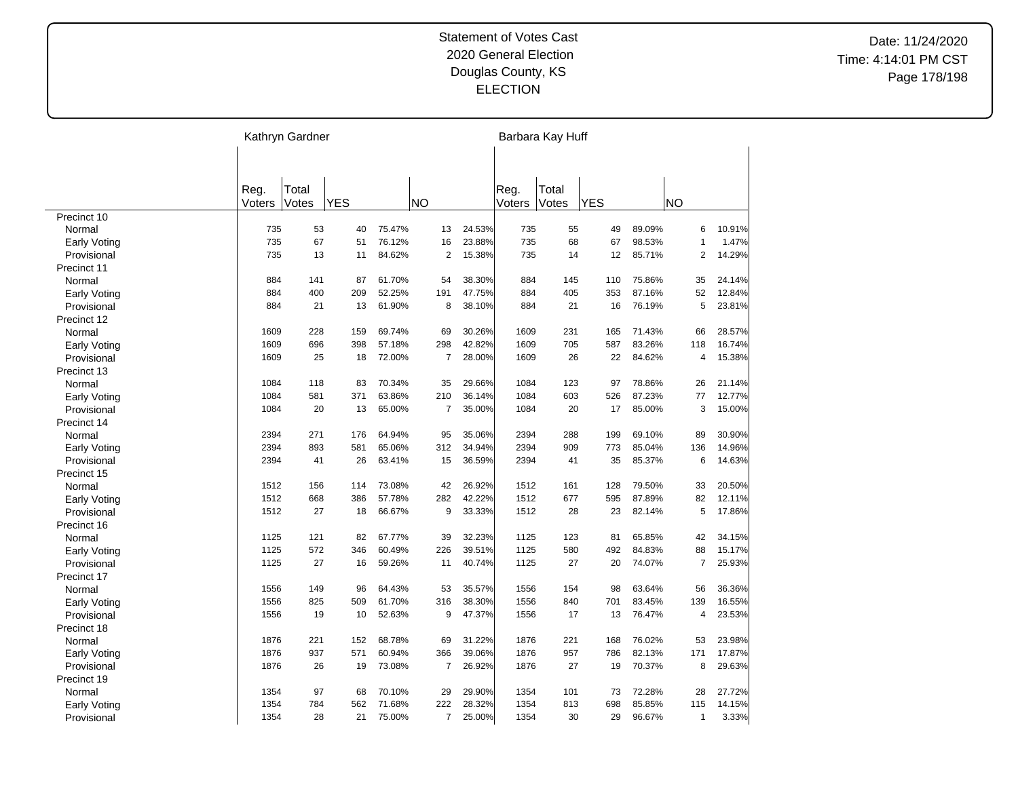|                     | Kathryn Gardner |       |            |        |                |        |        | Barbara Kay Huff |            |        |                |        |
|---------------------|-----------------|-------|------------|--------|----------------|--------|--------|------------------|------------|--------|----------------|--------|
|                     |                 |       |            |        |                |        |        |                  |            |        |                |        |
|                     | Reg.            | Total |            |        |                |        | Reg.   | Total            |            |        |                |        |
|                     | Voters          | Votes | <b>YES</b> |        | <b>NO</b>      |        | Voters | Votes            | <b>YES</b> |        | NO             |        |
| Precinct 10         |                 |       |            |        |                |        |        |                  |            |        |                |        |
| Normal              | 735             | 53    | 40         | 75.47% | 13             | 24.53% | 735    | 55               | 49         | 89.09% | 6              | 10.91% |
| <b>Early Voting</b> | 735             | 67    | 51         | 76.12% | 16             | 23.88% | 735    | 68               | 67         | 98.53% | $\overline{1}$ | 1.47%  |
| Provisional         | 735             | 13    | 11         | 84.62% | $\overline{2}$ | 15.38% | 735    | 14               | 12         | 85.71% | $\overline{2}$ | 14.29% |
| Precinct 11         |                 |       |            |        |                |        |        |                  |            |        |                |        |
| Normal              | 884             | 141   | 87         | 61.70% | 54             | 38.30% | 884    | 145              | 110        | 75.86% | 35             | 24.14% |
| Early Voting        | 884             | 400   | 209        | 52.25% | 191            | 47.75% | 884    | 405              | 353        | 87.16% | 52             | 12.84% |
| Provisional         | 884             | 21    | 13         | 61.90% | 8              | 38.10% | 884    | 21               | 16         | 76.19% | 5              | 23.81% |
| Precinct 12         |                 |       |            |        |                |        |        |                  |            |        |                |        |
| Normal              | 1609            | 228   | 159        | 69.74% | 69             | 30.26% | 1609   | 231              | 165        | 71.43% | 66             | 28.57% |
| Early Voting        | 1609            | 696   | 398        | 57.18% | 298            | 42.82% | 1609   | 705              | 587        | 83.26% | 118            | 16.74% |
| Provisional         | 1609            | 25    | 18         | 72.00% | $\overline{7}$ | 28.00% | 1609   | 26               | 22         | 84.62% | 4              | 15.38% |
| Precinct 13         |                 |       |            |        |                |        |        |                  |            |        |                |        |
| Normal              | 1084            | 118   | 83         | 70.34% | 35             | 29.66% | 1084   | 123              | 97         | 78.86% | 26             | 21.14% |
| Early Voting        | 1084            | 581   | 371        | 63.86% | 210            | 36.14% | 1084   | 603              | 526        | 87.23% | 77             | 12.77% |
| Provisional         | 1084            | 20    | 13         | 65.00% | $\overline{7}$ | 35.00% | 1084   | 20               | 17         | 85.00% | 3              | 15.00% |
| Precinct 14         |                 |       |            |        |                |        |        |                  |            |        |                |        |
| Normal              | 2394            | 271   | 176        | 64.94% | 95             | 35.06% | 2394   | 288              | 199        | 69.10% | 89             | 30.90% |
| Early Voting        | 2394            | 893   | 581        | 65.06% | 312            | 34.94% | 2394   | 909              | 773        | 85.04% | 136            | 14.96% |
| Provisional         | 2394            | 41    | 26         | 63.41% | 15             | 36.59% | 2394   | 41               | 35         | 85.37% | 6              | 14.63% |
| Precinct 15         |                 |       |            |        |                |        |        |                  |            |        |                |        |
| Normal              | 1512            | 156   | 114        | 73.08% | 42             | 26.92% | 1512   | 161              | 128        | 79.50% | 33             | 20.50% |
| <b>Early Voting</b> | 1512            | 668   | 386        | 57.78% | 282            | 42.22% | 1512   | 677              | 595        | 87.89% | 82             | 12.11% |
| Provisional         | 1512            | 27    | 18         | 66.67% | 9              | 33.33% | 1512   | 28               | 23         | 82.14% | 5              | 17.86% |
| Precinct 16         |                 |       |            |        |                |        |        |                  |            |        |                |        |
| Normal              | 1125            | 121   | 82         | 67.77% | 39             | 32.23% | 1125   | 123              | 81         | 65.85% | 42             | 34.15% |
| <b>Early Voting</b> | 1125            | 572   | 346        | 60.49% | 226            | 39.51% | 1125   | 580              | 492        | 84.83% | 88             | 15.17% |
| Provisional         | 1125            | 27    | 16         | 59.26% | 11             | 40.74% | 1125   | 27               | 20         | 74.07% | $\overline{7}$ | 25.93% |
| Precinct 17         |                 |       |            |        |                |        |        |                  |            |        |                |        |
| Normal              | 1556            | 149   | 96         | 64.43% | 53             | 35.57% | 1556   | 154              | 98         | 63.64% | 56             | 36.36% |
| <b>Early Voting</b> | 1556            | 825   | 509        | 61.70% | 316            | 38.30% | 1556   | 840              | 701        | 83.45% | 139            | 16.55% |
| Provisional         | 1556            | 19    | 10         | 52.63% | 9              | 47.37% | 1556   | 17               | 13         | 76.47% | 4              | 23.53% |
| Precinct 18         |                 |       |            |        |                |        |        |                  |            |        |                |        |
| Normal              | 1876            | 221   | 152        | 68.78% | 69             | 31.22% | 1876   | 221              | 168        | 76.02% | 53             | 23.98% |
| <b>Early Voting</b> | 1876            | 937   | 571        | 60.94% | 366            | 39.06% | 1876   | 957              | 786        | 82.13% | 171            | 17.87% |
| Provisional         | 1876            | 26    | 19         | 73.08% | $\overline{7}$ | 26.92% | 1876   | 27               | 19         | 70.37% | 8              | 29.63% |
| Precinct 19         |                 |       |            |        |                |        |        |                  |            |        |                |        |
| Normal              | 1354            | 97    | 68         | 70.10% | 29             | 29.90% | 1354   | 101              | 73         | 72.28% | 28             | 27.72% |
| Early Voting        | 1354            | 784   | 562        | 71.68% | 222            | 28.32% | 1354   | 813              | 698        | 85.85% | 115            | 14.15% |
| Provisional         | 1354            | 28    | 21         | 75.00% | $\overline{7}$ | 25.00% | 1354   | 30               | 29         | 96.67% | $\mathbf{1}$   | 3.33%  |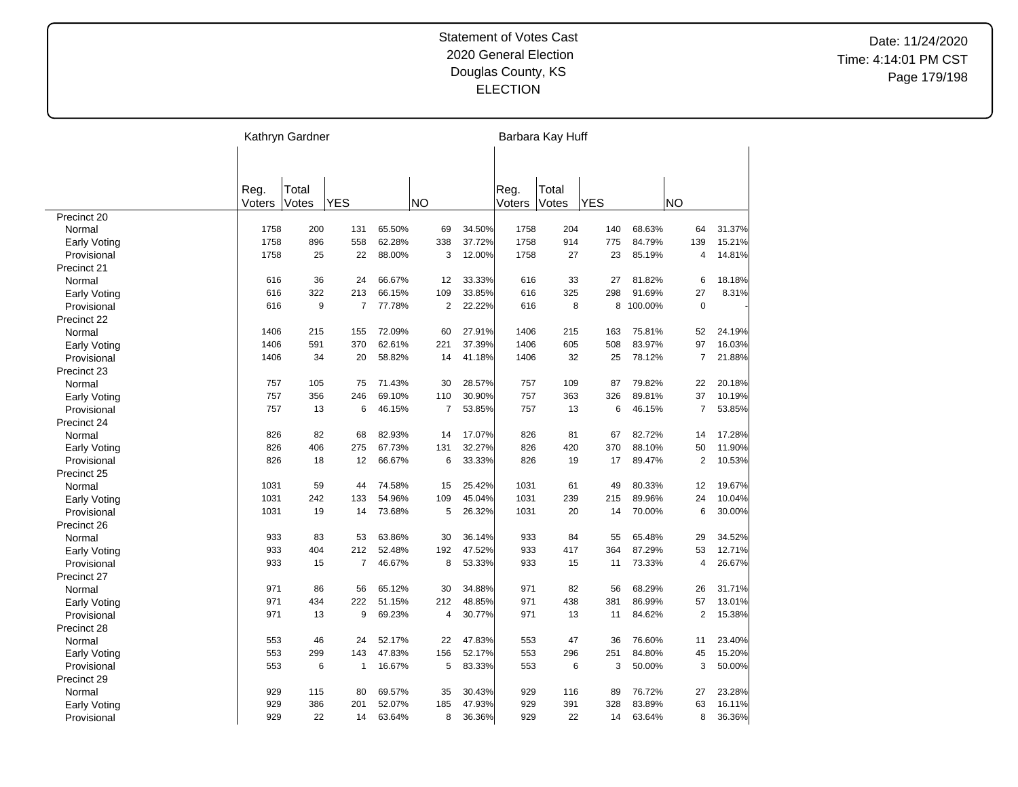|                     | Kathryn Gardner |       |                |        |                |        |        | Barbara Kay Huff |            |         |                |        |
|---------------------|-----------------|-------|----------------|--------|----------------|--------|--------|------------------|------------|---------|----------------|--------|
|                     |                 |       |                |        |                |        |        |                  |            |         |                |        |
|                     | Reg.            | Total |                |        |                |        | Reg.   | Total            |            |         |                |        |
|                     | Voters          | Votes | <b>YES</b>     |        | NO             |        | Voters | Votes            | <b>YES</b> |         | NO             |        |
| Precinct 20         |                 |       |                |        |                |        |        |                  |            |         |                |        |
| Normal              | 1758            | 200   | 131            | 65.50% | 69             | 34.50% | 1758   | 204              | 140        | 68.63%  | 64             | 31.37% |
| <b>Early Voting</b> | 1758            | 896   | 558            | 62.28% | 338            | 37.72% | 1758   | 914              | 775        | 84.79%  | 139            | 15.21% |
| Provisional         | 1758            | 25    | 22             | 88.00% | 3              | 12.00% | 1758   | 27               | 23         | 85.19%  | 4              | 14.81% |
| Precinct 21         |                 |       |                |        |                |        |        |                  |            |         |                |        |
| Normal              | 616             | 36    | 24             | 66.67% | 12             | 33.33% | 616    | 33               | 27         | 81.82%  | 6              | 18.18% |
| Early Voting        | 616             | 322   | 213            | 66.15% | 109            | 33.85% | 616    | 325              | 298        | 91.69%  | 27             | 8.31%  |
| Provisional         | 616             | 9     | $\overline{7}$ | 77.78% | $\overline{2}$ | 22.22% | 616    | 8                | 8          | 100.00% | $\mathbf 0$    |        |
| Precinct 22         |                 |       |                |        |                |        |        |                  |            |         |                |        |
| Normal              | 1406            | 215   | 155            | 72.09% | 60             | 27.91% | 1406   | 215              | 163        | 75.81%  | 52             | 24.19% |
| Early Voting        | 1406            | 591   | 370            | 62.61% | 221            | 37.39% | 1406   | 605              | 508        | 83.97%  | 97             | 16.03% |
| Provisional         | 1406            | 34    | 20             | 58.82% | 14             | 41.18% | 1406   | 32               | 25         | 78.12%  | $\overline{7}$ | 21.88% |
| Precinct 23         |                 |       |                |        |                |        |        |                  |            |         |                |        |
| Normal              | 757             | 105   | 75             | 71.43% | 30             | 28.57% | 757    | 109              | 87         | 79.82%  | 22             | 20.18% |
| <b>Early Voting</b> | 757             | 356   | 246            | 69.10% | 110            | 30.90% | 757    | 363              | 326        | 89.81%  | 37             | 10.19% |
| Provisional         | 757             | 13    | 6              | 46.15% | $\overline{7}$ | 53.85% | 757    | 13               | 6          | 46.15%  | 7              | 53.85% |
| Precinct 24         |                 |       |                |        |                |        |        |                  |            |         |                |        |
| Normal              | 826             | 82    | 68             | 82.93% | 14             | 17.07% | 826    | 81               | 67         | 82.72%  | 14             | 17.28% |
| <b>Early Voting</b> | 826             | 406   | 275            | 67.73% | 131            | 32.27% | 826    | 420              | 370        | 88.10%  | 50             | 11.90% |
| Provisional         | 826             | 18    | 12             | 66.67% | 6              | 33.33% | 826    | 19               | 17         | 89.47%  | $\overline{2}$ | 10.53% |
| Precinct 25         |                 |       |                |        |                |        |        |                  |            |         |                |        |
| Normal              | 1031            | 59    | 44             | 74.58% | 15             | 25.42% | 1031   | 61               | 49         | 80.33%  | 12             | 19.67% |
| <b>Early Voting</b> | 1031            | 242   | 133            | 54.96% | 109            | 45.04% | 1031   | 239              | 215        | 89.96%  | 24             | 10.04% |
| Provisional         | 1031            | 19    | 14             | 73.68% | 5              | 26.32% | 1031   | 20               | 14         | 70.00%  | 6              | 30.00% |
| Precinct 26         |                 |       |                |        |                |        |        |                  |            |         |                |        |
| Normal              | 933             | 83    | 53             | 63.86% | 30             | 36.14% | 933    | 84               | 55         | 65.48%  | 29             | 34.52% |
| <b>Early Voting</b> | 933             | 404   | 212            | 52.48% | 192            | 47.52% | 933    | 417              | 364        | 87.29%  | 53             | 12.71% |
| Provisional         | 933             | 15    | $\overline{7}$ | 46.67% | 8              | 53.33% | 933    | 15               | 11         | 73.33%  | 4              | 26.67% |
| Precinct 27         |                 |       |                |        |                |        |        |                  |            |         |                |        |
| Normal              | 971             | 86    | 56             | 65.12% | 30             | 34.88% | 971    | 82               | 56         | 68.29%  | 26             | 31.71% |
| <b>Early Voting</b> | 971             | 434   | 222            | 51.15% | 212            | 48.85% | 971    | 438              | 381        | 86.99%  | 57             | 13.01% |
| Provisional         | 971             | 13    | 9              | 69.23% | $\overline{4}$ | 30.77% | 971    | 13               | 11         | 84.62%  | $\overline{2}$ | 15.38% |
| Precinct 28         |                 |       |                |        |                |        |        |                  |            |         |                |        |
| Normal              | 553             | 46    | 24             | 52.17% | 22             | 47.83% | 553    | 47               | 36         | 76.60%  | 11             | 23.40% |
| <b>Early Voting</b> | 553             | 299   | 143            | 47.83% | 156            | 52.17% | 553    | 296              | 251        | 84.80%  | 45             | 15.20% |
| Provisional         | 553             | 6     | $\mathbf{1}$   | 16.67% | 5              | 83.33% | 553    | 6                | 3          | 50.00%  | 3              | 50.00% |
| Precinct 29         |                 |       |                |        |                |        |        |                  |            |         |                |        |
| Normal              | 929             | 115   | 80             | 69.57% | 35             | 30.43% | 929    | 116              | 89         | 76.72%  | 27             | 23.28% |
| Early Voting        | 929             | 386   | 201            | 52.07% | 185            | 47.93% | 929    | 391              | 328        | 83.89%  | 63             | 16.11% |
| Provisional         | 929             | 22    | 14             | 63.64% | 8              | 36.36% | 929    | 22               | 14         | 63.64%  | 8              | 36.36% |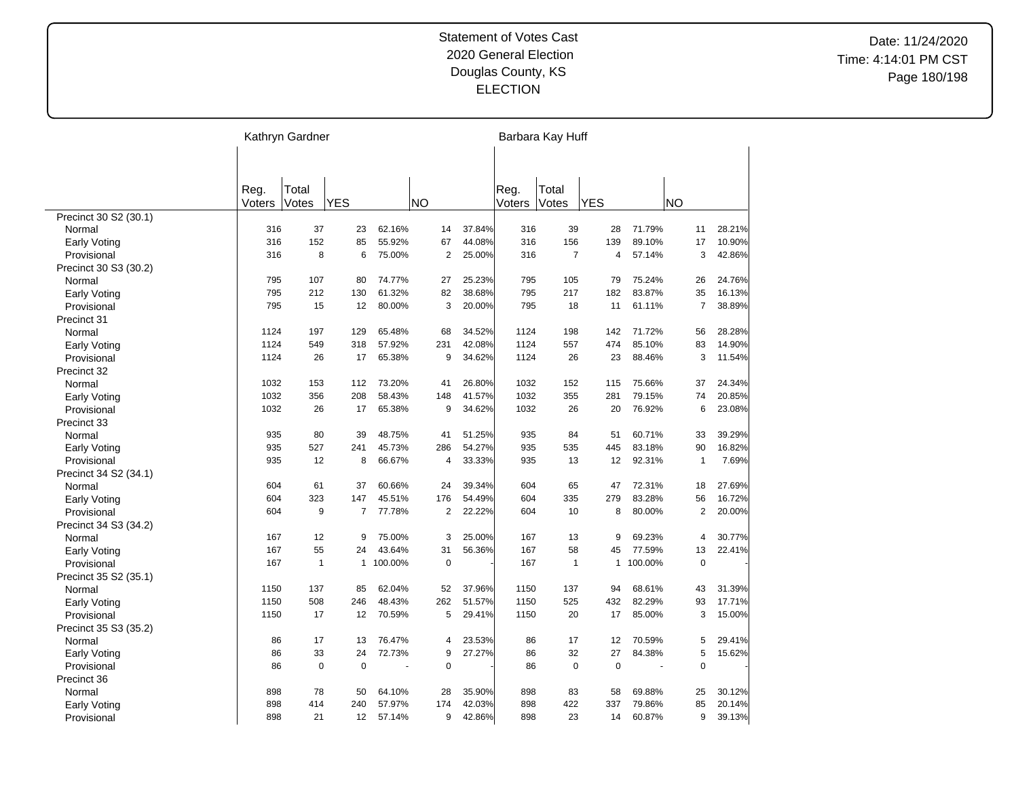|                       |        | Kathryn Gardner |                |         |                |        |        | Barbara Kay Huff |              |         |                |        |
|-----------------------|--------|-----------------|----------------|---------|----------------|--------|--------|------------------|--------------|---------|----------------|--------|
|                       |        |                 |                |         |                |        |        |                  |              |         |                |        |
|                       | Reg.   | Total           |                |         |                |        | Reg.   | Total            |              |         |                |        |
|                       | Voters | Votes           | <b>YES</b>     |         | <b>NO</b>      |        | Voters | Votes            | <b>YES</b>   |         | NΟ             |        |
| Precinct 30 S2 (30.1) |        |                 |                |         |                |        |        |                  |              |         |                |        |
| Normal                | 316    | 37              | 23             | 62.16%  | 14             | 37.84% | 316    | 39               | 28           | 71.79%  | 11             | 28.21% |
| <b>Early Voting</b>   | 316    | 152             | 85             | 55.92%  | 67             | 44.08% | 316    | 156              | 139          | 89.10%  | 17             | 10.90% |
| Provisional           | 316    | 8               | 6              | 75.00%  | 2              | 25.00% | 316    | $\overline{7}$   | 4            | 57.14%  | 3              | 42.86% |
| Precinct 30 S3 (30.2) |        |                 |                |         |                |        |        |                  |              |         |                |        |
| Normal                | 795    | 107             | 80             | 74.77%  | 27             | 25.23% | 795    | 105              | 79           | 75.24%  | 26             | 24.76% |
| <b>Early Voting</b>   | 795    | 212             | 130            | 61.32%  | 82             | 38.68% | 795    | 217              | 182          | 83.87%  | 35             | 16.13% |
| Provisional           | 795    | 15              | 12             | 80.00%  | 3              | 20.00% | 795    | 18               | 11           | 61.11%  | $\overline{7}$ | 38.89% |
| Precinct 31           |        |                 |                |         |                |        |        |                  |              |         |                |        |
| Normal                | 1124   | 197             | 129            | 65.48%  | 68             | 34.52% | 1124   | 198              | 142          | 71.72%  | 56             | 28.28% |
| <b>Early Voting</b>   | 1124   | 549             | 318            | 57.92%  | 231            | 42.08% | 1124   | 557              | 474          | 85.10%  | 83             | 14.90% |
| Provisional           | 1124   | 26              | 17             | 65.38%  | 9              | 34.62% | 1124   | 26               | 23           | 88.46%  | 3              | 11.54% |
| Precinct 32           |        |                 |                |         |                |        |        |                  |              |         |                |        |
| Normal                | 1032   | 153             | 112            | 73.20%  | 41             | 26.80% | 1032   | 152              | 115          | 75.66%  | 37             | 24.34% |
| Early Voting          | 1032   | 356             | 208            | 58.43%  | 148            | 41.57% | 1032   | 355              | 281          | 79.15%  | 74             | 20.85% |
| Provisional           | 1032   | 26              | 17             | 65.38%  | 9              | 34.62% | 1032   | 26               | 20           | 76.92%  | 6              | 23.08% |
| Precinct 33           |        |                 |                |         |                |        |        |                  |              |         |                |        |
| Normal                | 935    | 80              | 39             | 48.75%  | 41             | 51.25% | 935    | 84               | 51           | 60.71%  | 33             | 39.29% |
| Early Voting          | 935    | 527             | 241            | 45.73%  | 286            | 54.27% | 935    | 535              | 445          | 83.18%  | 90             | 16.82% |
| Provisional           | 935    | 12              | 8              | 66.67%  | 4              | 33.33% | 935    | 13               | 12           | 92.31%  | $\mathbf{1}$   | 7.69%  |
| Precinct 34 S2 (34.1) |        |                 |                |         |                |        |        |                  |              |         |                |        |
| Normal                | 604    | 61              | 37             | 60.66%  | 24             | 39.34% | 604    | 65               | 47           | 72.31%  | 18             | 27.69% |
| <b>Early Voting</b>   | 604    | 323             | 147            | 45.51%  | 176            | 54.49% | 604    | 335              | 279          | 83.28%  | 56             | 16.72% |
| Provisional           | 604    | 9               | $\overline{7}$ | 77.78%  | $\overline{2}$ | 22.22% | 604    | 10               | 8            | 80.00%  | $\overline{c}$ | 20.00% |
| Precinct 34 S3 (34.2) |        |                 |                |         |                |        |        |                  |              |         |                |        |
| Normal                | 167    | 12              | 9              | 75.00%  | 3              | 25.00% | 167    | 13               | 9            | 69.23%  | 4              | 30.77% |
| <b>Early Voting</b>   | 167    | 55              | 24             | 43.64%  | 31             | 56.36% | 167    | 58               | 45           | 77.59%  | 13             | 22.41% |
| Provisional           | 167    | $\mathbf{1}$    | $\mathbf{1}$   | 100.00% | $\mathbf 0$    |        | 167    | $\mathbf{1}$     | $\mathbf{1}$ | 100.00% | $\mathbf 0$    |        |
| Precinct 35 S2 (35.1) |        |                 |                |         |                |        |        |                  |              |         |                |        |
| Normal                | 1150   | 137             | 85             | 62.04%  | 52             | 37.96% | 1150   | 137              | 94           | 68.61%  | 43             | 31.39% |
| Early Voting          | 1150   | 508             | 246            | 48.43%  | 262            | 51.57% | 1150   | 525              | 432          | 82.29%  | 93             | 17.71% |
| Provisional           | 1150   | 17              | 12             | 70.59%  | 5              | 29.41% | 1150   | 20               | 17           | 85.00%  | 3              | 15.00% |
| Precinct 35 S3 (35.2) |        |                 |                |         |                |        |        |                  |              |         |                |        |
| Normal                | 86     | 17              | 13             | 76.47%  | 4              | 23.53% | 86     | 17               | 12           | 70.59%  | 5              | 29.41% |
| <b>Early Voting</b>   | 86     | 33              | 24             | 72.73%  | 9              | 27.27% | 86     | 32               | 27           | 84.38%  | 5              | 15.62% |
| Provisional           | 86     | $\mathbf 0$     | $\mathbf 0$    |         | $\pmb{0}$      |        | 86     | $\mathbf 0$      | $\mathbf 0$  |         | $\mathbf 0$    |        |
| Precinct 36           |        |                 |                |         |                |        |        |                  |              |         |                |        |
| Normal                | 898    | 78              | 50             | 64.10%  | 28             | 35.90% | 898    | 83               | 58           | 69.88%  | 25             | 30.12% |
| <b>Early Voting</b>   | 898    | 414             | 240            | 57.97%  | 174            | 42.03% | 898    | 422              | 337          | 79.86%  | 85             | 20.14% |
| Provisional           | 898    | 21              | 12             | 57.14%  | 9              | 42.86% | 898    | 23               | 14           | 60.87%  | 9              | 39.13% |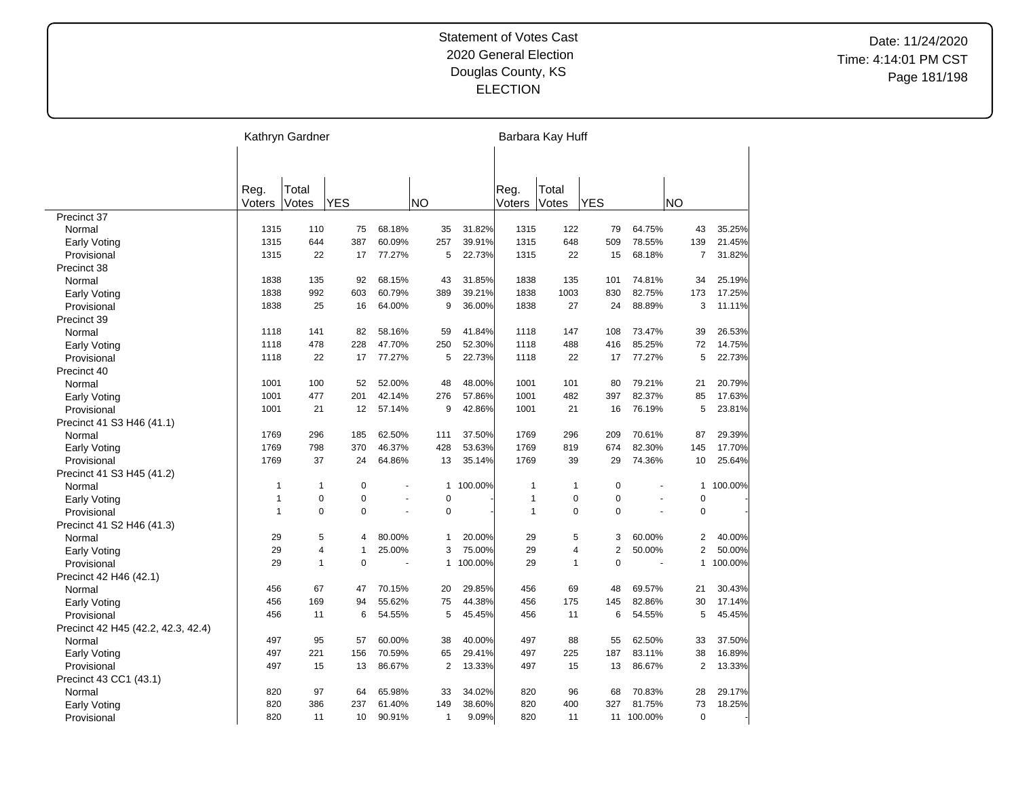|                                    |                | Kathryn Gardner |              |        |                |         |                | Barbara Kay Huff |                |         |                |         |
|------------------------------------|----------------|-----------------|--------------|--------|----------------|---------|----------------|------------------|----------------|---------|----------------|---------|
|                                    | Reg.<br>Voters | Total<br>Votes  | <b>YES</b>   |        | NO             |         | Reg.<br>Voters | Total<br>Votes   | <b>YES</b>     |         | ΝO             |         |
| Precinct 37                        |                |                 |              |        |                |         |                |                  |                |         |                |         |
| Normal                             | 1315           | 110             | 75           | 68.18% | 35             | 31.82%  | 1315           | 122              | 79             | 64.75%  | 43             | 35.25%  |
| <b>Early Voting</b>                | 1315           | 644             | 387          | 60.09% | 257            | 39.91%  | 1315           | 648              | 509            | 78.55%  | 139            | 21.45%  |
| Provisional                        | 1315           | 22              | 17           | 77.27% | 5              | 22.73%  | 1315           | 22               | 15             | 68.18%  | $\overline{7}$ | 31.82%  |
| Precinct 38                        |                |                 |              |        |                |         |                |                  |                |         |                |         |
| Normal                             | 1838           | 135             | 92           | 68.15% | 43             | 31.85%  | 1838           | 135              | 101            | 74.81%  | 34             | 25.19%  |
| <b>Early Voting</b>                | 1838           | 992             | 603          | 60.79% | 389            | 39.21%  | 1838           | 1003             | 830            | 82.75%  | 173            | 17.25%  |
| Provisional                        | 1838           | 25              | 16           | 64.00% | 9              | 36.00%  | 1838           | 27               | 24             | 88.89%  | 3              | 11.11%  |
| Precinct 39                        |                |                 |              |        |                |         |                |                  |                |         |                |         |
| Normal                             | 1118           | 141             | 82           | 58.16% | 59             | 41.84%  | 1118           | 147              | 108            | 73.47%  | 39             | 26.53%  |
| Early Voting                       | 1118           | 478             | 228          | 47.70% | 250            | 52.30%  | 1118           | 488              | 416            | 85.25%  | 72             | 14.75%  |
| Provisional                        | 1118           | 22              | 17           | 77.27% | 5              | 22.73%  | 1118           | 22               | 17             | 77.27%  | 5              | 22.73%  |
| Precinct 40                        |                |                 |              |        |                |         |                |                  |                |         |                |         |
| Normal                             | 1001           | 100             | 52           | 52.00% | 48             | 48.00%  | 1001           | 101              | 80             | 79.21%  | 21             | 20.79%  |
| <b>Early Voting</b>                | 1001           | 477             | 201          | 42.14% | 276            | 57.86%  | 1001           | 482              | 397            | 82.37%  | 85             | 17.63%  |
| Provisional                        | 1001           | 21              | 12           | 57.14% | 9              | 42.86%  | 1001           | 21               | 16             | 76.19%  | 5              | 23.81%  |
| Precinct 41 S3 H46 (41.1)          |                |                 |              |        |                |         |                |                  |                |         |                |         |
| Normal                             | 1769           | 296             | 185          | 62.50% | 111            | 37.50%  | 1769           | 296              | 209            | 70.61%  | 87             | 29.39%  |
| <b>Early Voting</b>                | 1769           | 798             | 370          | 46.37% | 428            | 53.63%  | 1769           | 819              | 674            | 82.30%  | 145            | 17.70%  |
| Provisional                        | 1769           | 37              | 24           | 64.86% | 13             | 35.14%  | 1769           | 39               | 29             | 74.36%  | 10             | 25.64%  |
| Precinct 41 S3 H45 (41.2)          |                |                 |              |        |                |         |                |                  |                |         |                |         |
| Normal                             | 1              | $\mathbf{1}$    | $\mathbf 0$  |        | 1              | 100.00% | 1              | 1                | $\pmb{0}$      |         | 1              | 100.00% |
| <b>Early Voting</b>                | $\overline{1}$ | $\mathbf 0$     | 0            |        | 0              |         | 1              | 0                | $\overline{0}$ |         | $\mathbf 0$    |         |
| Provisional                        | $\overline{1}$ | $\mathbf 0$     | $\Omega$     | ä,     | 0              |         | 1              | 0                | $\mathbf 0$    |         | $\mathbf 0$    |         |
| Precinct 41 S2 H46 (41.3)          |                |                 |              |        |                |         |                |                  |                |         |                |         |
| Normal                             | 29             | 5               | 4            | 80.00% | 1              | 20.00%  | 29             | 5                | 3              | 60.00%  | $\overline{2}$ | 40.00%  |
| <b>Early Voting</b>                | 29             | $\overline{4}$  | $\mathbf{1}$ | 25.00% | 3              | 75.00%  | 29             | 4                | $\overline{2}$ | 50.00%  | 2              | 50.00%  |
| Provisional                        | 29             | $\mathbf{1}$    | $\Omega$     |        | 1              | 100.00% | 29             | 1                | $\Omega$       |         | 1              | 100.00% |
| Precinct 42 H46 (42.1)             |                |                 |              |        |                |         |                |                  |                |         |                |         |
| Normal                             | 456            | 67              | 47           | 70.15% | 20             | 29.85%  | 456            | 69               | 48             | 69.57%  | 21             | 30.43%  |
| <b>Early Voting</b>                | 456            | 169             | 94           | 55.62% | 75             | 44.38%  | 456            | 175              | 145            | 82.86%  | 30             | 17.14%  |
| Provisional                        | 456            | 11              | 6            | 54.55% | 5              | 45.45%  | 456            | 11               | 6              | 54.55%  | 5              | 45.45%  |
| Precinct 42 H45 (42.2, 42.3, 42.4) |                |                 |              |        |                |         |                |                  |                |         |                |         |
| Normal                             | 497            | 95              | 57           | 60.00% | 38             | 40.00%  | 497            | 88               | 55             | 62.50%  | 33             | 37.50%  |
| <b>Early Voting</b>                | 497            | 221             | 156          | 70.59% | 65             | 29.41%  | 497            | 225              | 187            | 83.11%  | 38             | 16.89%  |
| Provisional                        | 497            | 15              | 13           | 86.67% | $\overline{2}$ | 13.33%  | 497            | 15               | 13             | 86.67%  | $\overline{2}$ | 13.33%  |
| Precinct 43 CC1 (43.1)             |                |                 |              |        |                |         |                |                  |                |         |                |         |
| Normal                             | 820            | 97              | 64           | 65.98% | 33             | 34.02%  | 820            | 96               | 68             | 70.83%  | 28             | 29.17%  |
| Early Voting                       | 820            | 386             | 237          | 61.40% | 149            | 38.60%  | 820            | 400              | 327            | 81.75%  | 73             | 18.25%  |
| Provisional                        | 820            | 11              | 10           | 90.91% | 1              | 9.09%   | 820            | 11               | 11             | 100.00% | $\mathbf 0$    |         |

 $\overline{\phantom{a}}$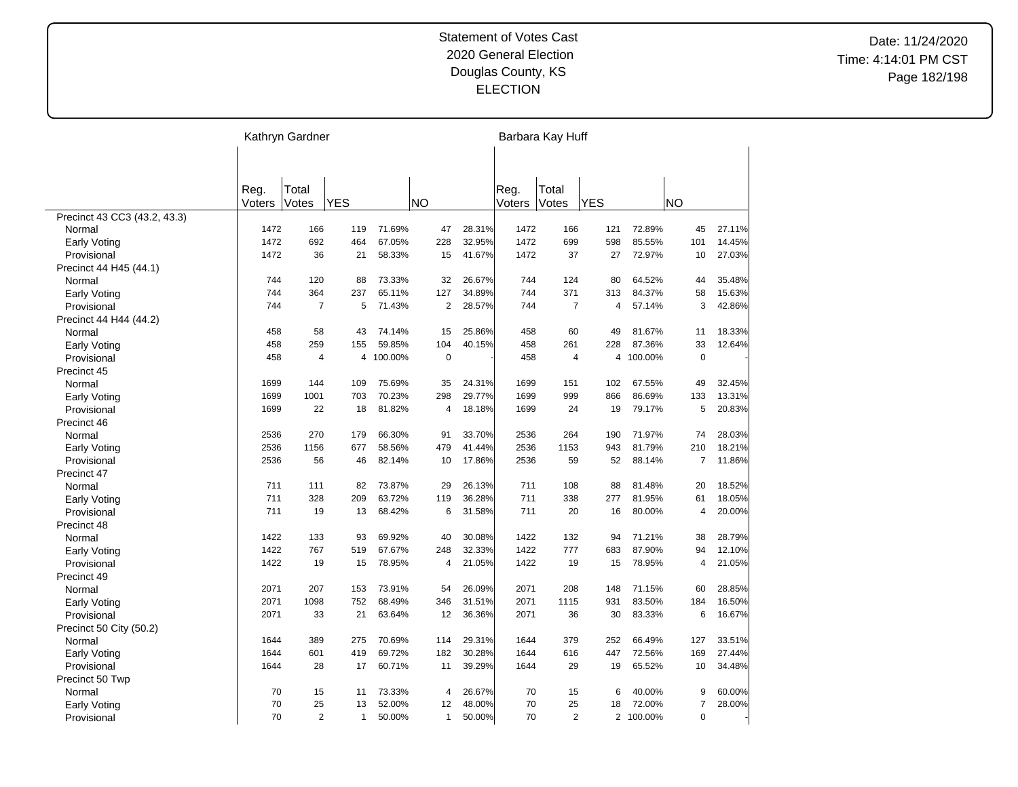|                              | Kathryn Gardner |                |                |         |           |                |        |        | Barbara Kay Huff |            |           |                     |        |
|------------------------------|-----------------|----------------|----------------|---------|-----------|----------------|--------|--------|------------------|------------|-----------|---------------------|--------|
|                              |                 |                |                |         |           |                |        |        |                  |            |           |                     |        |
|                              | Reg.            | Total          |                |         |           |                |        | Reg.   | Total            |            |           |                     |        |
|                              | Voters          | Votes          | <b>YES</b>     |         | <b>NO</b> |                |        | Voters | Votes            | <b>YES</b> |           | <b>NO</b>           |        |
| Precinct 43 CC3 (43.2, 43.3) |                 |                |                |         |           |                |        |        |                  |            |           |                     |        |
| Normal                       | 1472            | 166            | 119            | 71.69%  |           | 47             | 28.31% | 1472   | 166              | 121        | 72.89%    | 45                  | 27.11% |
| Early Voting                 | 1472            | 692            | 464            | 67.05%  |           | 228            | 32.95% | 1472   | 699              | 598        | 85.55%    | 101                 | 14.45% |
| Provisional                  | 1472            | 36             | 21             | 58.33%  |           | 15             | 41.67% | 1472   | 37               | 27         | 72.97%    | 10                  | 27.03% |
| Precinct 44 H45 (44.1)       |                 |                |                |         |           |                |        |        |                  |            |           |                     |        |
| Normal                       | 744             | 120            | 88             | 73.33%  |           | 32             | 26.67% | 744    | 124              | 80         | 64.52%    | 44                  | 35.48% |
| Early Voting                 | 744             | 364            | 237            | 65.11%  |           | 127            | 34.89% | 744    | 371              | 313        | 84.37%    | 58                  | 15.63% |
| Provisional                  | 744             | $\overline{7}$ | 5              | 71.43%  |           | $\overline{2}$ | 28.57% | 744    | $\overline{7}$   | 4          | 57.14%    | 3                   | 42.86% |
| Precinct 44 H44 (44.2)       |                 |                |                |         |           |                |        |        |                  |            |           |                     |        |
| Normal                       | 458             | 58             | 43             | 74.14%  |           | 15             | 25.86% | 458    | 60               | 49         | 81.67%    | 11                  | 18.33% |
| Early Voting                 | 458             | 259            | 155            | 59.85%  |           | 104            | 40.15% | 458    | 261              | 228        | 87.36%    | 33                  | 12.64% |
| Provisional                  | 458             | $\overline{4}$ | $\overline{4}$ | 100.00% |           | 0              |        | 458    | 4                |            | 4 100.00% | $\mathbf 0$         |        |
| Precinct 45                  |                 |                |                |         |           |                |        |        |                  |            |           |                     |        |
| Normal                       | 1699            | 144            | 109            | 75.69%  |           | 35             | 24.31% | 1699   | 151              | 102        | 67.55%    | 49                  | 32.45% |
| <b>Early Voting</b>          | 1699            | 1001           | 703            | 70.23%  |           | 298            | 29.77% | 1699   | 999              | 866        | 86.69%    | 133                 | 13.31% |
| Provisional                  | 1699            | 22             | 18             | 81.82%  |           | 4              | 18.18% | 1699   | 24               | 19         | 79.17%    | 5                   | 20.83% |
| Precinct 46                  |                 |                |                |         |           |                |        |        |                  |            |           |                     |        |
| Normal                       | 2536            | 270            | 179            | 66.30%  |           | 91             | 33.70% | 2536   | 264              | 190        | 71.97%    | 74                  | 28.03% |
| Early Voting                 | 2536            | 1156           | 677            | 58.56%  |           | 479            | 41.44% | 2536   | 1153             | 943        | 81.79%    | 210                 | 18.21% |
| Provisional                  | 2536            | 56             | 46             | 82.14%  |           | 10             | 17.86% | 2536   | 59               | 52         | 88.14%    | $\overline{7}$      | 11.86% |
| Precinct 47                  |                 |                |                |         |           |                |        |        |                  |            |           |                     |        |
| Normal                       | 711             | 111            | 82             | 73.87%  |           | 29             | 26.13% | 711    | 108              | 88         | 81.48%    | 20                  | 18.52% |
| <b>Early Voting</b>          | 711             | 328            | 209            | 63.72%  |           | 119            | 36.28% | 711    | 338              | 277        | 81.95%    | 61                  | 18.05% |
| Provisional                  | 711             | 19             | 13             | 68.42%  |           | 6              | 31.58% | 711    | 20               | 16         | 80.00%    | 4                   | 20.00% |
| Precinct 48                  |                 |                |                |         |           |                |        |        |                  |            |           |                     |        |
| Normal                       | 1422            | 133            | 93             | 69.92%  |           | 40             | 30.08% | 1422   | 132              | 94         | 71.21%    | 38                  | 28.79% |
| <b>Early Voting</b>          | 1422            | 767            | 519            | 67.67%  |           | 248            | 32.33% | 1422   | 777              | 683        | 87.90%    | 94                  | 12.10% |
| Provisional                  | 1422            | 19             | 15             | 78.95%  |           | 4              | 21.05% | 1422   | 19               | 15         | 78.95%    | $\overline{4}$      | 21.05% |
| Precinct 49                  |                 |                |                |         |           |                |        |        |                  |            |           |                     |        |
| Normal                       | 2071            | 207            | 153            | 73.91%  |           | 54             | 26.09% | 2071   | 208              | 148        | 71.15%    | 60                  | 28.85% |
| <b>Early Voting</b>          | 2071            | 1098           | 752            | 68.49%  |           | 346            | 31.51% | 2071   | 1115             | 931        | 83.50%    | 184                 | 16.50% |
| Provisional                  | 2071            | 33             | 21             | 63.64%  |           | 12             | 36.36% | 2071   | 36               | 30         | 83.33%    | 6                   | 16.67% |
| Precinct 50 City (50.2)      |                 |                |                |         |           |                |        |        |                  |            |           |                     |        |
| Normal                       | 1644            | 389            | 275            | 70.69%  |           | 114            | 29.31% | 1644   | 379              | 252        | 66.49%    | 127                 | 33.51% |
| <b>Early Voting</b>          | 1644            | 601            | 419            | 69.72%  |           | 182            | 30.28% | 1644   | 616              | 447        | 72.56%    | 169                 | 27.44% |
| Provisional                  | 1644            | 28             | 17             | 60.71%  |           | 11             | 39.29% | 1644   | 29               | 19         | 65.52%    | 10                  | 34.48% |
| Precinct 50 Twp              |                 |                |                |         |           |                |        | 70     |                  |            |           |                     |        |
| Normal                       | 70              | 15<br>25       | 11             | 73.33%  |           | 4              | 26.67% | 70     | 15               | 6          | 40.00%    | 9<br>$\overline{7}$ | 60.00% |
| <b>Early Voting</b>          | 70              |                | 13             | 52.00%  |           | 12             | 48.00% |        | 25               | 18         | 72.00%    |                     | 28.00% |
| Provisional                  | 70              | 2              | $\mathbf{1}$   | 50.00%  |           | $\mathbf{1}$   | 50.00% | 70     | $\overline{2}$   |            | 2 100.00% | $\mathbf 0$         |        |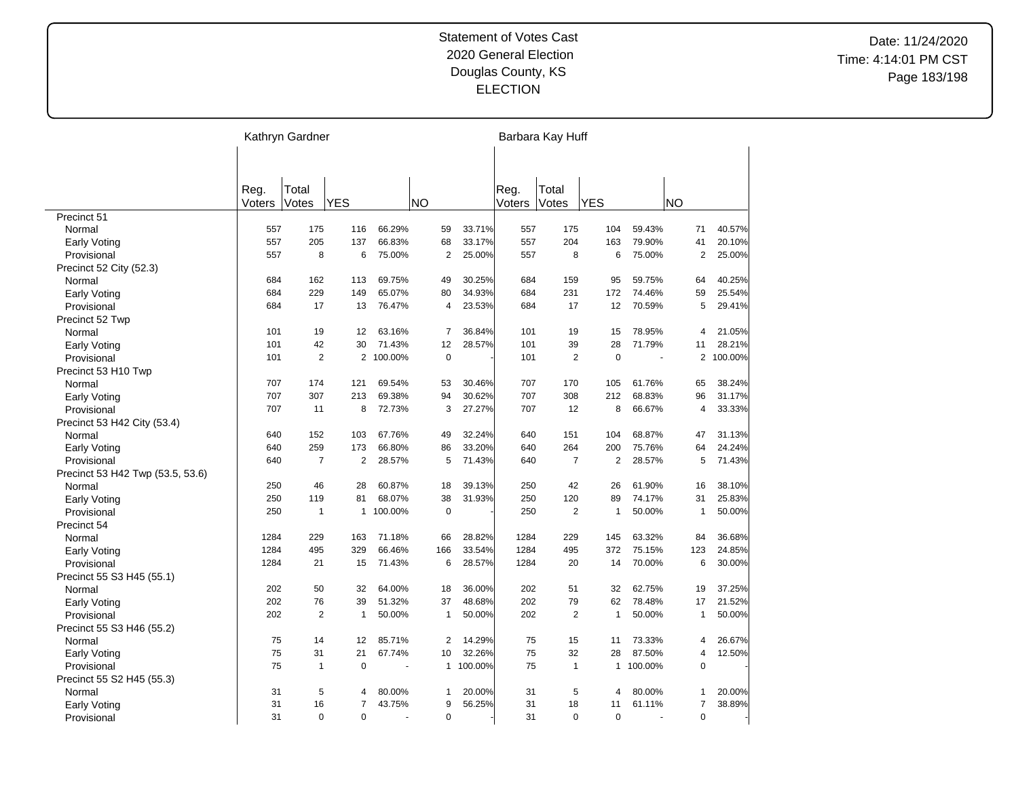|                                  |        | Kathryn Gardner |                |         |     |                |           |        | Barbara Kay Huff |                |           |                |         |
|----------------------------------|--------|-----------------|----------------|---------|-----|----------------|-----------|--------|------------------|----------------|-----------|----------------|---------|
|                                  |        |                 |                |         |     |                |           |        |                  |                |           |                |         |
|                                  | Reg.   | Total           |                |         |     |                |           | Reg.   | Total            |                |           |                |         |
|                                  | Voters | Votes           | <b>YES</b>     |         | NΟ  |                |           | Voters | Votes            | <b>YES</b>     |           | <b>NO</b>      |         |
| Precinct 51                      |        |                 |                |         |     |                |           |        |                  |                |           |                |         |
| Normal                           | 557    | 175             | 116            | 66.29%  |     | 59             | 33.71%    | 557    | 175              | 104            | 59.43%    | 71             | 40.57%  |
| Early Voting                     | 557    | 205             | 137            | 66.83%  |     | 68             | 33.17%    | 557    | 204              | 163            | 79.90%    | 41             | 20.10%  |
| Provisional                      | 557    | 8               | 6              | 75.00%  |     | $\overline{2}$ | 25.00%    | 557    | 8                | 6              | 75.00%    | $\overline{2}$ | 25.00%  |
| Precinct 52 City (52.3)          |        |                 |                |         |     |                |           |        |                  |                |           |                |         |
| Normal                           | 684    | 162             | 113            | 69.75%  |     | 49             | 30.25%    | 684    | 159              | 95             | 59.75%    | 64             | 40.25%  |
| <b>Early Voting</b>              | 684    | 229             | 149            | 65.07%  |     | 80             | 34.93%    | 684    | 231              | 172            | 74.46%    | 59             | 25.54%  |
| Provisional                      | 684    | 17              | 13             | 76.47%  |     | 4              | 23.53%    | 684    | 17               | 12             | 70.59%    | 5              | 29.41%  |
| Precinct 52 Twp                  |        |                 |                |         |     |                |           |        |                  |                |           |                |         |
| Normal                           | 101    | 19              | 12             | 63.16%  |     | $\overline{7}$ | 36.84%    | 101    | 19               | 15             | 78.95%    | 4              | 21.05%  |
| <b>Early Voting</b>              | 101    | 42              | 30             | 71.43%  |     | 12             | 28.57%    | 101    | 39               | 28             | 71.79%    | 11             | 28.21%  |
| Provisional                      | 101    | $\overline{2}$  | 2              | 100.00% |     | $\mathbf 0$    |           | 101    | $\overline{2}$   | $\mathbf 0$    |           | $\overline{2}$ | 100.00% |
| Precinct 53 H10 Twp              |        |                 |                |         |     |                |           |        |                  |                |           |                |         |
| Normal                           | 707    | 174             | 121            | 69.54%  |     | 53             | 30.46%    | 707    | 170              | 105            | 61.76%    | 65             | 38.24%  |
| <b>Early Voting</b>              | 707    | 307             | 213            | 69.38%  |     | 94             | 30.62%    | 707    | 308              | 212            | 68.83%    | 96             | 31.17%  |
| Provisional                      | 707    | 11              | 8              | 72.73%  |     | 3              | 27.27%    | 707    | 12               | 8              | 66.67%    | 4              | 33.33%  |
| Precinct 53 H42 City (53.4)      |        |                 |                |         |     |                |           |        |                  |                |           |                |         |
| Normal                           | 640    | 152             | 103            | 67.76%  |     | 49             | 32.24%    | 640    | 151              | 104            | 68.87%    | 47             | 31.13%  |
| <b>Early Voting</b>              | 640    | 259             | 173            | 66.80%  |     | 86             | 33.20%    | 640    | 264              | 200            | 75.76%    | 64             | 24.24%  |
| Provisional                      | 640    | $\overline{7}$  | $\overline{2}$ | 28.57%  |     | 5              | 71.43%    | 640    | $\overline{7}$   | $\overline{2}$ | 28.57%    | 5              | 71.43%  |
| Precinct 53 H42 Twp (53.5, 53.6) |        |                 |                |         |     |                |           |        |                  |                |           |                |         |
| Normal                           | 250    | 46              | 28             | 60.87%  |     | 18             | 39.13%    | 250    | 42               | 26             | 61.90%    | 16             | 38.10%  |
| Early Voting                     | 250    | 119             | 81             | 68.07%  |     | 38             | 31.93%    | 250    | 120              | 89             | 74.17%    | 31             | 25.83%  |
| Provisional                      | 250    | $\overline{1}$  | $\mathbf{1}$   | 100.00% |     | $\mathbf 0$    |           | 250    | $\overline{2}$   | 1              | 50.00%    | $\mathbf{1}$   | 50.00%  |
| Precinct 54                      |        |                 |                |         |     |                |           |        |                  |                |           |                |         |
| Normal                           | 1284   | 229             | 163            | 71.18%  |     | 66             | 28.82%    | 1284   | 229              | 145            | 63.32%    | 84             | 36.68%  |
| Early Voting                     | 1284   | 495             | 329            | 66.46%  | 166 |                | 33.54%    | 1284   | 495              | 372            | 75.15%    | 123            | 24.85%  |
| Provisional                      | 1284   | 21              | 15             | 71.43%  |     | 6              | 28.57%    | 1284   | 20               | 14             | 70.00%    | 6              | 30.00%  |
| Precinct 55 S3 H45 (55.1)        |        |                 |                |         |     |                |           |        |                  |                |           |                |         |
| Normal                           | 202    | 50              | 32             | 64.00%  |     | 18             | 36.00%    | 202    | 51               | 32             | 62.75%    | 19             | 37.25%  |
| <b>Early Voting</b>              | 202    | 76              | 39             | 51.32%  |     | 37             | 48.68%    | 202    | 79               | 62             | 78.48%    | 17             | 21.52%  |
| Provisional                      | 202    | $\overline{2}$  | $\mathbf{1}$   | 50.00%  |     | $\mathbf{1}$   | 50.00%    | 202    | $\overline{2}$   | $\mathbf{1}$   | 50.00%    | $\mathbf{1}$   | 50.00%  |
| Precinct 55 S3 H46 (55.2)        |        |                 |                |         |     |                |           |        |                  |                |           |                |         |
| Normal                           | 75     | 14              | 12             | 85.71%  |     | $\overline{2}$ | 14.29%    | 75     | 15               | 11             | 73.33%    | 4              | 26.67%  |
| <b>Early Voting</b>              | 75     | 31              | 21             | 67.74%  |     | 10             | 32.26%    | 75     | 32               | 28             | 87.50%    | 4              | 12.50%  |
| Provisional                      | 75     | $\overline{1}$  | $\mathbf 0$    |         |     |                | 1 100.00% | 75     | $\mathbf{1}$     |                | 1 100.00% | $\mathbf 0$    |         |
| Precinct 55 S2 H45 (55.3)        |        |                 |                |         |     |                |           |        |                  |                |           |                |         |
| Normal                           | 31     | 5               | $\overline{4}$ | 80.00%  |     | $\mathbf{1}$   | 20.00%    | 31     | 5                | 4              | 80.00%    | 1              | 20.00%  |
| <b>Early Voting</b>              | 31     | 16              | $\overline{7}$ | 43.75%  |     | 9              | 56.25%    | 31     | 18               | 11             | 61.11%    | $\overline{7}$ | 38.89%  |
| Provisional                      | 31     | $\Omega$        | $\mathbf 0$    |         |     | $\mathbf 0$    |           | 31     | $\Omega$         | $\mathbf 0$    |           | 0              |         |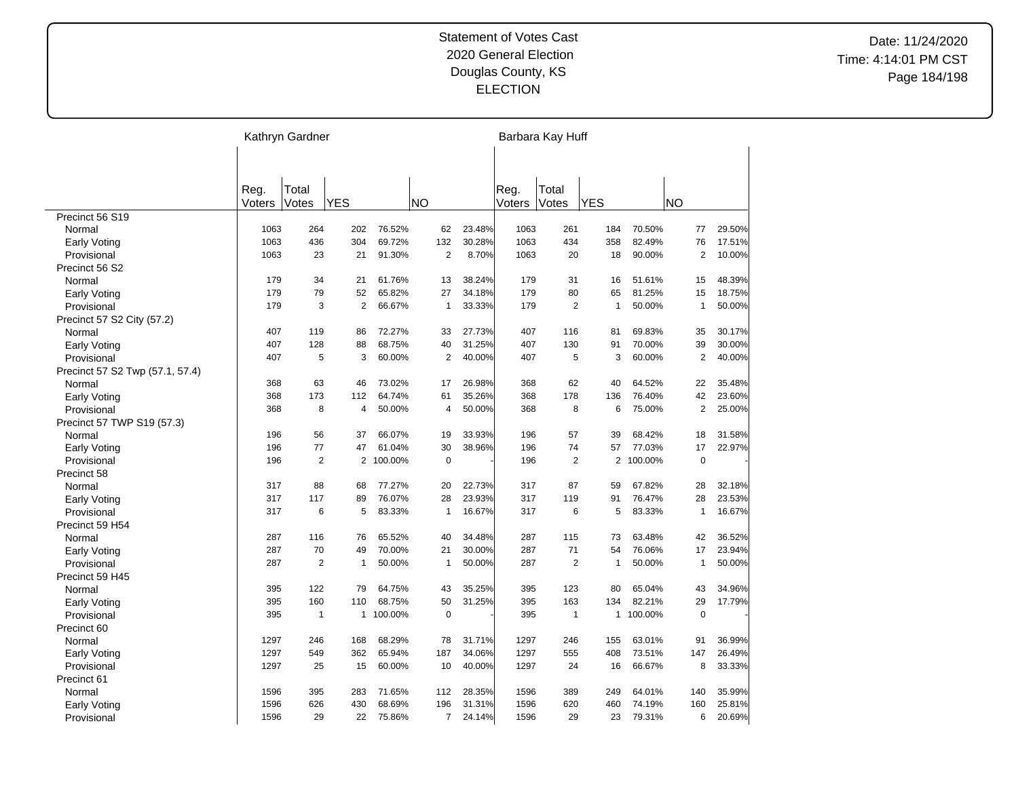|                                 |        | Kathryn Gardner |                |         |           |                |        |        | Barbara Kay Huff |                |         |                |        |
|---------------------------------|--------|-----------------|----------------|---------|-----------|----------------|--------|--------|------------------|----------------|---------|----------------|--------|
|                                 |        |                 |                |         |           |                |        |        |                  |                |         |                |        |
|                                 | Reg.   | Total           |                |         |           |                |        | Reg.   | Total            |                |         |                |        |
|                                 | Voters | Votes           | <b>YES</b>     |         | <b>NO</b> |                |        | Voters | Votes            | <b>YES</b>     |         | <b>NO</b>      |        |
| Precinct 56 S19                 |        |                 |                |         |           |                |        |        |                  |                |         |                |        |
| Normal                          | 1063   | 264             | 202            | 76.52%  |           | 62             | 23.48% | 1063   | 261              | 184            | 70.50%  | 77             | 29.50% |
| Early Voting                    | 1063   | 436             | 304            | 69.72%  |           | 132            | 30.28% | 1063   | 434              | 358            | 82.49%  | 76             | 17.51% |
| Provisional                     | 1063   | 23              | 21             | 91.30%  |           | $\overline{2}$ | 8.70%  | 1063   | 20               | 18             | 90.00%  | $\overline{2}$ | 10.00% |
| Precinct 56 S2                  |        |                 |                |         |           |                |        |        |                  |                |         |                |        |
| Normal                          | 179    | 34              | 21             | 61.76%  |           | 13             | 38.24% | 179    | 31               | 16             | 51.61%  | 15             | 48.39% |
| Early Voting                    | 179    | 79              | 52             | 65.82%  |           | 27             | 34.18% | 179    | 80               | 65             | 81.25%  | 15             | 18.75% |
| Provisional                     | 179    | 3               | $\overline{2}$ | 66.67%  |           | $\mathbf{1}$   | 33.33% | 179    | $\overline{2}$   | $\mathbf{1}$   | 50.00%  | $\mathbf{1}$   | 50.00% |
| Precinct 57 S2 City (57.2)      |        |                 |                |         |           |                |        |        |                  |                |         |                |        |
| Normal                          | 407    | 119             | 86             | 72.27%  |           | 33             | 27.73% | 407    | 116              | 81             | 69.83%  | 35             | 30.17% |
| <b>Early Voting</b>             | 407    | 128             | 88             | 68.75%  |           | 40             | 31.25% | 407    | 130              | 91             | 70.00%  | 39             | 30.00% |
| Provisional                     | 407    | 5               | 3              | 60.00%  |           | $\overline{2}$ | 40.00% | 407    | 5                | 3              | 60.00%  | $\overline{2}$ | 40.00% |
| Precinct 57 S2 Twp (57.1, 57.4) |        |                 |                |         |           |                |        |        |                  |                |         |                |        |
| Normal                          | 368    | 63              | 46             | 73.02%  |           | 17             | 26.98% | 368    | 62               | 40             | 64.52%  | 22             | 35.48% |
| <b>Early Voting</b>             | 368    | 173             | 112            | 64.74%  |           | 61             | 35.26% | 368    | 178              | 136            | 76.40%  | 42             | 23.60% |
| Provisional                     | 368    | 8               | $\overline{4}$ | 50.00%  |           | 4              | 50.00% | 368    | 8                | 6              | 75.00%  | $\overline{2}$ | 25.00% |
| Precinct 57 TWP S19 (57.3)      |        |                 |                |         |           |                |        |        |                  |                |         |                |        |
| Normal                          | 196    | 56              | 37             | 66.07%  |           | 19             | 33.93% | 196    | 57               | 39             | 68.42%  | 18             | 31.58% |
| <b>Early Voting</b>             | 196    | 77              | 47             | 61.04%  |           | 30             | 38.96% | 196    | 74               | 57             | 77.03%  | 17             | 22.97% |
| Provisional                     | 196    | 2               | 2              | 100.00% |           | 0              |        | 196    | $\overline{2}$   | $\overline{2}$ | 100.00% | $\mathbf 0$    |        |
| Precinct 58                     |        |                 |                |         |           |                |        |        |                  |                |         |                |        |
| Normal                          | 317    | 88              | 68             | 77.27%  |           | 20             | 22.73% | 317    | 87               | 59             | 67.82%  | 28             | 32.18% |
| <b>Early Voting</b>             | 317    | 117             | 89             | 76.07%  |           | 28             | 23.93% | 317    | 119              | 91             | 76.47%  | 28             | 23.53% |
| Provisional                     | 317    | 6               | 5              | 83.33%  |           | $\mathbf{1}$   | 16.67% | 317    | 6                | 5              | 83.33%  | $\mathbf{1}$   | 16.67% |
| Precinct 59 H54                 |        |                 |                |         |           |                |        |        |                  |                |         |                |        |
| Normal                          | 287    | 116             | 76             | 65.52%  |           | 40             | 34.48% | 287    | 115              | 73             | 63.48%  | 42             | 36.52% |
| Early Voting                    | 287    | 70              | 49             | 70.00%  |           | 21             | 30.00% | 287    | 71               | 54             | 76.06%  | 17             | 23.94% |
| Provisional                     | 287    | 2               | $\mathbf{1}$   | 50.00%  |           | $\mathbf{1}$   | 50.00% | 287    | $\overline{2}$   | $\mathbf{1}$   | 50.00%  | $\mathbf{1}$   | 50.00% |
| Precinct 59 H45                 |        |                 |                |         |           |                |        |        |                  |                |         |                |        |
| Normal                          | 395    | 122             | 79             | 64.75%  |           | 43             | 35.25% | 395    | 123              | 80             | 65.04%  | 43             | 34.96% |
| <b>Early Voting</b>             | 395    | 160             | 110            | 68.75%  |           | 50             | 31.25% | 395    | 163              | 134            | 82.21%  | 29             | 17.79% |
| Provisional                     | 395    | $\mathbf{1}$    | $\mathbf{1}$   | 100.00% |           | $\mathbf 0$    |        | 395    | $\overline{1}$   | $\mathbf{1}$   | 100.00% | $\mathbf 0$    |        |
| Precinct 60                     |        |                 |                |         |           |                |        |        |                  |                |         |                |        |
| Normal                          | 1297   | 246             | 168            | 68.29%  |           | 78             | 31.71% | 1297   | 246              | 155            | 63.01%  | 91             | 36.99% |
| <b>Early Voting</b>             | 1297   | 549             | 362            | 65.94%  |           | 187            | 34.06% | 1297   | 555              | 408            | 73.51%  | 147            | 26.49% |
| Provisional                     | 1297   | 25              | 15             | 60.00%  |           | 10             | 40.00% | 1297   | 24               | 16             | 66.67%  | 8              | 33.33% |
| Precinct 61                     |        |                 |                |         |           |                |        |        |                  |                |         |                |        |
| Normal                          | 1596   | 395             | 283            | 71.65%  |           | 112            | 28.35% | 1596   | 389              | 249            | 64.01%  | 140            | 35.99% |
| Early Voting                    | 1596   | 626             | 430            | 68.69%  |           | 196            | 31.31% | 1596   | 620              | 460            | 74.19%  | 160            | 25.81% |
| Provisional                     | 1596   | 29              | 22             | 75.86%  |           | $\overline{7}$ | 24.14% | 1596   | 29               | 23             | 79.31%  | 6              | 20.69% |
|                                 |        |                 |                |         |           |                |        |        |                  |                |         |                |        |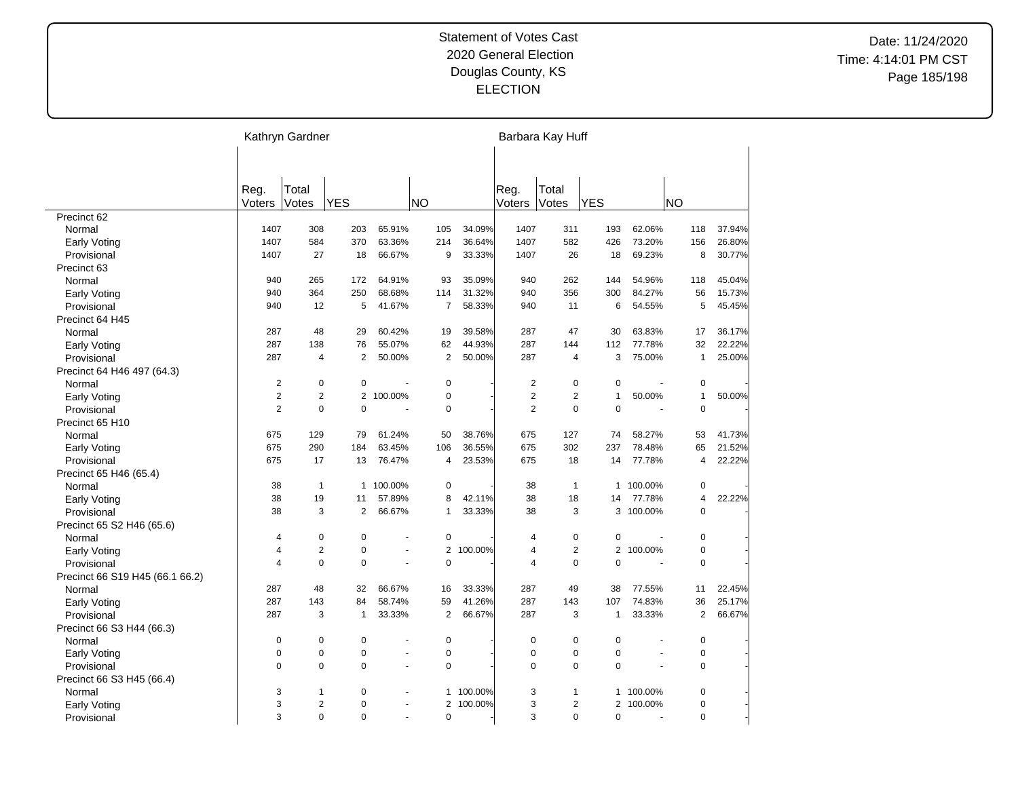|                                 | Kathryn Gardner |                |                |         |           |                           |        | Barbara Kay Huff                 |                |                      |                |        |
|---------------------------------|-----------------|----------------|----------------|---------|-----------|---------------------------|--------|----------------------------------|----------------|----------------------|----------------|--------|
|                                 |                 |                |                |         |           |                           |        |                                  |                |                      |                |        |
|                                 | Reg.            | Total          |                |         |           |                           | Reg.   | Total                            |                |                      |                |        |
|                                 | Voters          | Votes          | <b>YES</b>     |         | <b>NO</b> |                           | Voters | Votes                            | <b>YES</b>     |                      | NΟ             |        |
| Precinct 62                     |                 |                |                |         |           |                           |        |                                  |                |                      |                |        |
| Normal                          | 1407            | 308            | 203            | 65.91%  | 105       | 34.09%                    | 1407   | 311                              | 193            | 62.06%               | 118            | 37.94% |
| Early Voting                    | 1407            | 584            | 370            | 63.36%  | 214       | 36.64%                    | 1407   | 582                              | 426            | 73.20%               | 156            | 26.80% |
| Provisional                     | 1407            | 27             | 18             | 66.67%  |           | 33.33%<br>9               | 1407   | 26                               | 18             | 69.23%               | 8              | 30.77% |
| Precinct 63                     |                 |                |                |         |           |                           |        |                                  |                |                      |                |        |
| Normal                          | 940             | 265            | 172            | 64.91%  | 93        | 35.09%                    | 940    | 262                              | 144            | 54.96%               | 118            | 45.04% |
| Early Voting                    | 940             | 364            | 250            | 68.68%  | 114       | 31.32%                    | 940    | 356                              | 300            | 84.27%               | 56             | 15.73% |
| Provisional                     | 940             | 12             | 5              | 41.67%  |           | $\overline{7}$<br>58.33%  | 940    | 11                               | 6              | 54.55%               | 5              | 45.45% |
| Precinct 64 H45                 |                 |                |                |         |           |                           |        |                                  |                |                      |                |        |
| Normal                          | 287             | 48             | 29             | 60.42%  |           | 19<br>39.58%              | 287    | 47                               | 30             | 63.83%               | 17             | 36.17% |
| Early Voting                    | 287             | 138            | 76             | 55.07%  |           | 62<br>44.93%              | 287    | 144                              | 112            | 77.78%               | 32             | 22.22% |
| Provisional                     | 287             | $\overline{4}$ | $\overline{2}$ | 50.00%  |           | 2<br>50.00%               | 287    | 4                                | 3              | 75.00%               | $\mathbf{1}$   | 25.00% |
| Precinct 64 H46 497 (64.3)      |                 |                |                |         |           |                           |        |                                  |                |                      |                |        |
| Normal                          | $\overline{2}$  | $\pmb{0}$      | $\mathbf 0$    |         |           | $\mathbf 0$               |        | $\overline{2}$<br>$\mathbf 0$    | $\mathbf 0$    |                      | $\pmb{0}$      |        |
| <b>Early Voting</b>             | $\overline{2}$  | $\overline{2}$ | 2              | 100.00% |           | $\pmb{0}$                 |        | $\overline{2}$<br>$\overline{2}$ | $\mathbf{1}$   | 50.00%               | $\mathbf{1}$   | 50.00% |
| Provisional                     | $\overline{2}$  | $\mathbf 0$    | $\overline{0}$ |         |           | $\overline{0}$            |        | $\overline{2}$<br>0              | $\overline{0}$ |                      | $\overline{0}$ |        |
| Precinct 65 H10                 |                 |                |                |         |           |                           |        |                                  |                |                      |                |        |
| Normal                          | 675             | 129            | 79             | 61.24%  |           | 38.76%<br>50              | 675    | 127                              | 74             | 58.27%               | 53             | 41.73% |
| Early Voting                    | 675             | 290            | 184            | 63.45%  | 106       | 36.55%                    | 675    | 302                              | 237            | 78.48%               | 65             | 21.52% |
| Provisional                     | 675             | 17             | 13             | 76.47%  |           | 4<br>23.53%               | 675    | 18                               | 14             | 77.78%               | $\overline{4}$ | 22.22% |
| Precinct 65 H46 (65.4)          |                 |                |                |         |           |                           |        |                                  |                |                      |                |        |
| Normal                          | 38              | $\mathbf{1}$   | $\mathbf{1}$   | 100.00% |           | $\mathbf 0$               | 38     | $\mathbf{1}$                     | $\mathbf{1}$   | 100.00%              | $\mathbf 0$    |        |
| <b>Early Voting</b>             | 38              | 19             | 11             | 57.89%  |           | 8<br>42.11%               | 38     | 18                               | 14             | 77.78%               | $\overline{4}$ | 22.22% |
| Provisional                     | 38              | 3              | $\overline{2}$ | 66.67%  |           | 33.33%<br>$\mathbf{1}$    | 38     | 3                                |                | 3 100.00%            | $\Omega$       |        |
| Precinct 65 S2 H46 (65.6)       |                 |                |                |         |           |                           |        |                                  |                |                      |                |        |
| Normal                          | 4               | $\mathbf 0$    | 0              |         |           | 0                         |        | $\mathbf 0$<br>4                 | $\mathbf 0$    |                      | $\pmb{0}$      |        |
| Early Voting                    | $\overline{4}$  | $\overline{2}$ | $\mathbf 0$    |         |           | $\overline{2}$<br>100.00% |        | $\overline{\mathbf{c}}$<br>4     | $\mathbf{2}$   | 100.00%              | $\pmb{0}$      |        |
| Provisional                     | $\overline{4}$  | $\mathbf 0$    | $\mathbf 0$    | ÷,      |           | $\mathbf 0$               |        | $\overline{4}$<br>0              | $\mathbf 0$    |                      | $\mathbf 0$    |        |
| Precinct 66 S19 H45 (66.1 66.2) |                 |                |                |         |           |                           |        |                                  |                |                      |                |        |
| Normal                          | 287             | 48             | 32             | 66.67%  |           | 16<br>33.33%              | 287    | 49                               | 38             | 77.55%               | 11             | 22.45% |
| Early Voting                    | 287             | 143            | 84             | 58.74%  |           | 41.26%<br>59              | 287    | 143                              | 107            | 74.83%               | 36             | 25.17% |
| Provisional                     | 287             | 3              | $\mathbf{1}$   | 33.33%  |           | 2<br>66.67%               | 287    | 3                                | $\mathbf{1}$   | 33.33%               | $\overline{2}$ | 66.67% |
| Precinct 66 S3 H44 (66.3)       |                 |                |                |         |           |                           |        |                                  |                |                      |                |        |
| Normal                          | $\mathbf 0$     | $\mathbf 0$    | $\mathbf 0$    | Ĭ.      |           | $\pmb{0}$                 |        | $\pmb{0}$<br>0                   | $\mathbf 0$    |                      | $\pmb{0}$      |        |
| <b>Early Voting</b>             | $\mathbf 0$     | $\pmb{0}$      | $\mathbf 0$    | ÷,      |           | $\pmb{0}$                 |        | 0<br>0                           | $\pmb{0}$      | ÷.                   | $\pmb{0}$      |        |
| Provisional                     | $\mathbf 0$     | $\mathbf 0$    | $\mathbf 0$    | ÷,      |           | $\overline{0}$            |        | $\overline{0}$<br>0              | $\mathbf 0$    |                      | $\mathbf 0$    |        |
| Precinct 66 S3 H45 (66.4)       |                 |                |                |         |           |                           |        |                                  |                |                      |                |        |
| Normal                          | 3               | 1              | $\mathbf 0$    |         |           | 100.00%<br>1              |        | 3<br>$\mathbf{1}$                | 1              | 100.00%              | 0              |        |
| <b>Early Voting</b>             | 3               | $\overline{2}$ | $\mathbf 0$    | ÷,      |           | 2 100.00%                 |        | 3<br>2                           |                | 2 100.00%            | $\mathbf 0$    |        |
| Provisional                     | 3               | $\Omega$       | $\Omega$       | ä,      |           | $\Omega$                  |        | 3<br>$\Omega$                    | $\Omega$       | $\ddot{\phantom{1}}$ | $\Omega$       |        |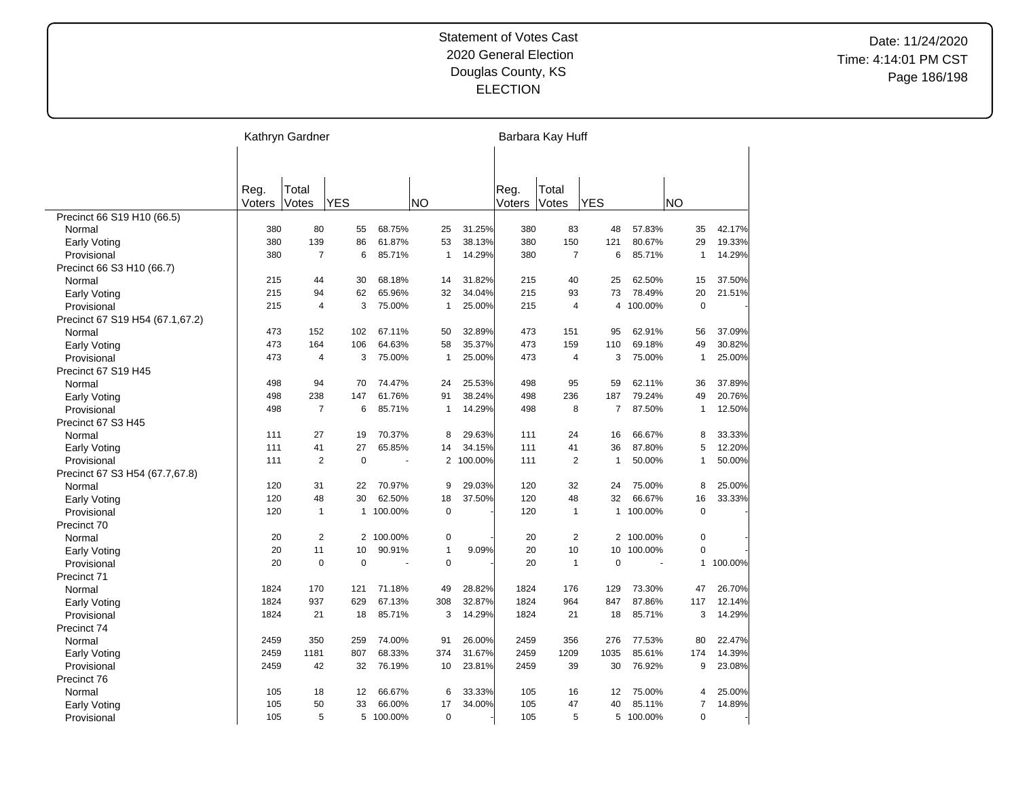|                                 |        | Kathryn Gardner |              |           |           |                |         |        | Barbara Kay Huff |              |           |                |         |
|---------------------------------|--------|-----------------|--------------|-----------|-----------|----------------|---------|--------|------------------|--------------|-----------|----------------|---------|
|                                 |        |                 |              |           |           |                |         |        |                  |              |           |                |         |
|                                 |        |                 |              |           |           |                |         |        |                  |              |           |                |         |
|                                 | Reg.   | Total           |              |           |           |                |         | Reg.   | Total            |              |           |                |         |
|                                 | Voters | Votes           | <b>YES</b>   |           | <b>NO</b> |                |         | Voters | Votes            | <b>YES</b>   |           | <b>NO</b>      |         |
| Precinct 66 S19 H10 (66.5)      |        |                 |              |           |           |                |         |        |                  |              |           |                |         |
| Normal                          | 380    | 80              | 55           | 68.75%    |           | 25             | 31.25%  | 380    | 83               | 48           | 57.83%    | 35             | 42.17%  |
| <b>Early Voting</b>             | 380    | 139             | 86           | 61.87%    |           | 53             | 38.13%  | 380    | 150              | 121          | 80.67%    | 29             | 19.33%  |
| Provisional                     | 380    | $\overline{7}$  | 6            | 85.71%    |           | $\mathbf{1}$   | 14.29%  | 380    | $\overline{7}$   | 6            | 85.71%    | $\mathbf{1}$   | 14.29%  |
| Precinct 66 S3 H10 (66.7)       |        |                 |              |           |           |                |         |        |                  |              |           |                |         |
| Normal                          | 215    | 44              | 30           | 68.18%    |           | 14             | 31.82%  | 215    | 40               | 25           | 62.50%    | 15             | 37.50%  |
| <b>Early Voting</b>             | 215    | 94              | 62           | 65.96%    |           | 32             | 34.04%  | 215    | 93               | 73           | 78.49%    | 20             | 21.51%  |
| Provisional                     | 215    | $\overline{4}$  | 3            | 75.00%    |           | $\mathbf{1}$   | 25.00%  | 215    | $\overline{4}$   | 4            | 100.00%   | $\mathbf 0$    |         |
| Precinct 67 S19 H54 (67.1,67.2) |        |                 |              |           |           |                |         |        |                  |              |           |                |         |
| Normal                          | 473    | 152             | 102          | 67.11%    |           | 50             | 32.89%  | 473    | 151              | 95           | 62.91%    | 56             | 37.09%  |
| Early Voting                    | 473    | 164             | 106          | 64.63%    |           | 58             | 35.37%  | 473    | 159              | 110          | 69.18%    | 49             | 30.82%  |
| Provisional                     | 473    | $\overline{4}$  | 3            | 75.00%    |           | $\mathbf{1}$   | 25.00%  | 473    | 4                | 3            | 75.00%    | $\mathbf{1}$   | 25.00%  |
| Precinct 67 S19 H45             |        |                 |              |           |           |                |         |        |                  |              |           |                |         |
| Normal                          | 498    | 94              | 70           | 74.47%    |           | 24             | 25.53%  | 498    | 95               | 59           | 62.11%    | 36             | 37.89%  |
| Early Voting                    | 498    | 238             | 147          | 61.76%    |           | 91             | 38.24%  | 498    | 236              | 187          | 79.24%    | 49             | 20.76%  |
| Provisional                     | 498    | $\overline{7}$  | 6            | 85.71%    |           | $\mathbf{1}$   | 14.29%  | 498    | 8                | 7            | 87.50%    | 1              | 12.50%  |
| Precinct 67 S3 H45              |        |                 |              |           |           |                |         |        |                  |              |           |                |         |
| Normal                          | 111    | 27              | 19           | 70.37%    |           | 8              | 29.63%  | 111    | 24               | 16           | 66.67%    | 8              | 33.33%  |
| <b>Early Voting</b>             | 111    | 41              | 27           | 65.85%    |           | 14             | 34.15%  | 111    | 41               | 36           | 87.80%    | 5              | 12.20%  |
| Provisional                     | 111    | $\overline{2}$  | $\mathbf 0$  |           |           | $\overline{2}$ | 100.00% | 111    | $\overline{2}$   | $\mathbf{1}$ | 50.00%    | $\mathbf{1}$   | 50.00%  |
| Precinct 67 S3 H54 (67.7,67.8)  |        |                 |              |           |           |                |         |        |                  |              |           |                |         |
| Normal                          | 120    | 31              | 22           | 70.97%    |           | 9              | 29.03%  | 120    | 32               | 24           | 75.00%    | 8              | 25.00%  |
| Early Voting                    | 120    | 48              | 30           | 62.50%    |           | 18             | 37.50%  | 120    | 48               | 32           | 66.67%    | 16             | 33.33%  |
| Provisional                     | 120    | $\mathbf{1}$    | $\mathbf{1}$ | 100.00%   |           | $\mathbf 0$    |         | 120    | 1                | $\mathbf{1}$ | 100.00%   | $\mathbf 0$    |         |
| Precinct 70                     |        |                 |              |           |           |                |         |        |                  |              |           |                |         |
| Normal                          | 20     | 2               | 2            | 100.00%   |           | $\pmb{0}$      |         | 20     | 2                |              | 2 100.00% | $\mathbf 0$    |         |
| Early Voting                    | 20     | 11              | 10           | 90.91%    |           | $\mathbf{1}$   | 9.09%   | 20     | 10               | 10           | 100.00%   | $\mathbf 0$    |         |
| Provisional                     | 20     | $\mathbf 0$     | $\mathbf 0$  |           |           | $\mathbf 0$    |         | 20     | $\mathbf{1}$     | $\mathbf 0$  | ÷.        | $\mathbf{1}$   | 100.00% |
| Precinct 71                     |        |                 |              |           |           |                |         |        |                  |              |           |                |         |
| Normal                          | 1824   | 170             | 121          | 71.18%    |           | 49             | 28.82%  | 1824   | 176              | 129          | 73.30%    | 47             | 26.70%  |
| <b>Early Voting</b>             | 1824   | 937             | 629          | 67.13%    |           | 308            | 32.87%  | 1824   | 964              | 847          | 87.86%    | 117            | 12.14%  |
| Provisional                     | 1824   | 21              | 18           | 85.71%    |           | 3              | 14.29%  | 1824   | 21               | 18           | 85.71%    | 3              | 14.29%  |
| Precinct 74                     |        |                 |              |           |           |                |         |        |                  |              |           |                |         |
| Normal                          | 2459   | 350             | 259          | 74.00%    |           | 91             | 26.00%  | 2459   | 356              | 276          | 77.53%    | 80             | 22.47%  |
| <b>Early Voting</b>             | 2459   | 1181            | 807          | 68.33%    |           | 374            | 31.67%  | 2459   | 1209             | 1035         | 85.61%    | 174            | 14.39%  |
| Provisional                     | 2459   | 42              | 32           | 76.19%    |           | 10             | 23.81%  | 2459   | 39               | 30           | 76.92%    | 9              | 23.08%  |
| Precinct 76                     |        |                 |              |           |           |                |         |        |                  |              |           |                |         |
| Normal                          | 105    | 18              | 12           | 66.67%    |           | 6              | 33.33%  | 105    | 16               | 12           | 75.00%    | $\overline{4}$ | 25.00%  |
| Early Voting                    | 105    | 50              | 33           | 66.00%    |           | 17             | 34.00%  | 105    | 47               | 40           | 85.11%    | $\overline{7}$ | 14.89%  |
|                                 | 105    | 5               |              | 5 100.00% |           | $\mathbf 0$    |         | 105    | 5                |              | 5 100.00% | $\Omega$       |         |
| Provisional                     |        |                 |              |           |           |                |         |        |                  |              |           |                |         |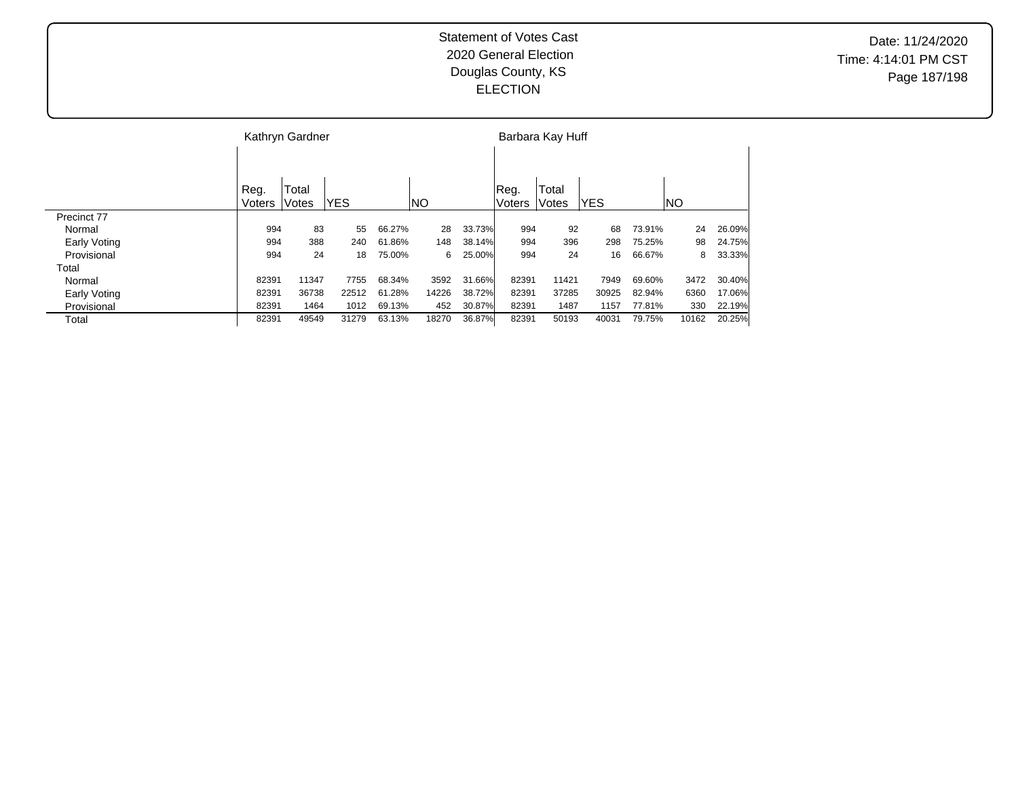|              |        | Kathryn Gardner |       |        |       |        |               | Barbara Kay Huff |            |        |       |        |
|--------------|--------|-----------------|-------|--------|-------|--------|---------------|------------------|------------|--------|-------|--------|
|              |        |                 |       |        |       |        |               |                  |            |        |       |        |
|              | Reg.   | Total           |       |        |       |        | Reg.          | Total            |            |        |       |        |
|              | Voters | Votes           | IYES  |        | INO   |        | <b>Voters</b> | Votes            | <b>YES</b> |        | NO    |        |
| Precinct 77  |        |                 |       |        |       |        |               |                  |            |        |       |        |
| Normal       | 994    | 83              | 55    | 66.27% | 28    | 33.73% | 994           | 92               | 68         | 73.91% | 24    | 26.09% |
| Early Voting | 994    | 388             | 240   | 61.86% | 148   | 38.14% | 994           | 396              | 298        | 75.25% | 98    | 24.75% |
| Provisional  | 994    | 24              | 18    | 75.00% | 6     | 25.00% | 994           | 24               | 16         | 66.67% | 8     | 33.33% |
| Total        |        |                 |       |        |       |        |               |                  |            |        |       |        |
| Normal       | 82391  | 11347           | 7755  | 68.34% | 3592  | 31.66% | 82391         | 11421            | 7949       | 69.60% | 3472  | 30.40% |
| Early Voting | 82391  | 36738           | 22512 | 61.28% | 14226 | 38.72% | 82391         | 37285            | 30925      | 82.94% | 6360  | 17.06% |
| Provisional  | 82391  | 1464            | 1012  | 69.13% | 452   | 30.87% | 82391         | 1487             | 1157       | 77.81% | 330   | 22.19% |
| Total        | 82391  | 49549           | 31279 | 63.13% | 18270 | 36.87% | 82391         | 50193            | 40031      | 79.75% | 10162 | 20.25% |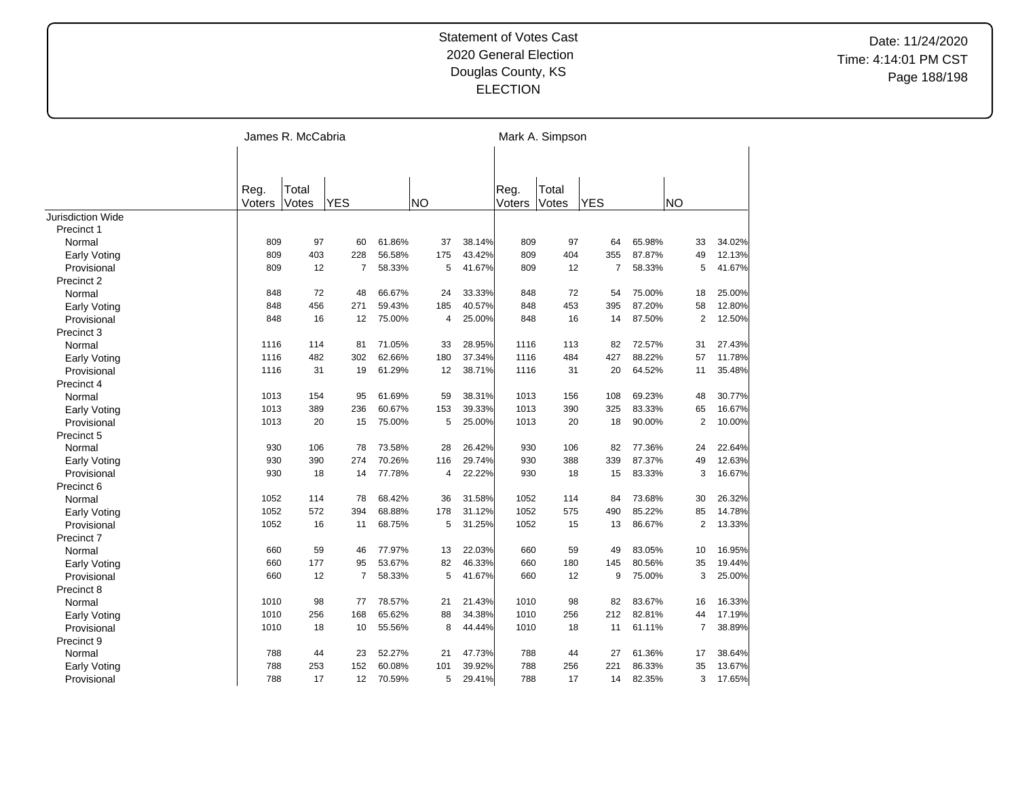|                             |                | James R. McCabria |                |        |           |        |                | Mark A. Simpson |                |        |                |        |
|-----------------------------|----------------|-------------------|----------------|--------|-----------|--------|----------------|-----------------|----------------|--------|----------------|--------|
|                             |                |                   |                |        |           |        |                |                 |                |        |                |        |
|                             |                |                   |                |        |           |        |                |                 |                |        |                |        |
|                             | Reg.<br>Voters | Total<br>Votes    | <b>YES</b>     |        | <b>NO</b> |        | Reg.<br>Voters | Total<br>Votes  | <b>YES</b>     |        | <b>NO</b>      |        |
| Jurisdiction Wide           |                |                   |                |        |           |        |                |                 |                |        |                |        |
| Precinct 1                  |                |                   |                |        |           |        |                |                 |                |        |                |        |
| Normal                      | 809            | 97                | 60             | 61.86% | 37        | 38.14% | 809            | 97              | 64             | 65.98% | 33             | 34.02% |
| Early Voting                | 809            | 403               | 228            | 56.58% | 175       | 43.42% | 809            | 404             | 355            | 87.87% | 49             | 12.13% |
| Provisional                 | 809            | 12                | 7              | 58.33% | 5         | 41.67% | 809            | 12              | $\overline{7}$ | 58.33% | 5              | 41.67% |
| Precinct 2                  |                |                   |                |        |           |        |                |                 |                |        |                |        |
| Normal                      | 848            | 72                | 48             | 66.67% | 24        | 33.33% | 848            | 72              | 54             | 75.00% | 18             | 25.00% |
| <b>Early Voting</b>         | 848            | 456               | 271            | 59.43% | 185       | 40.57% | 848            | 453             | 395            | 87.20% | 58             | 12.80% |
| Provisional                 | 848            | 16                | 12             | 75.00% | 4         | 25.00% | 848            | 16              | 14             | 87.50% | $\overline{2}$ | 12.50% |
|                             |                |                   |                |        |           |        |                |                 |                |        |                |        |
| Precinct 3<br>Normal        | 1116           | 114               | 81             | 71.05% | 33        | 28.95% | 1116           | 113             | 82             | 72.57% | 31             | 27.43% |
|                             | 1116           | 482               | 302            | 62.66% | 180       | 37.34% | 1116           | 484             | 427            | 88.22% | 57             | 11.78% |
| Early Voting<br>Provisional | 1116           | 31                | 19             | 61.29% | 12        | 38.71% | 1116           | 31              | 20             | 64.52% | 11             | 35.48% |
| Precinct 4                  |                |                   |                |        |           |        |                |                 |                |        |                |        |
|                             | 1013           | 154               | 95             | 61.69% | 59        | 38.31% | 1013           | 156             | 108            | 69.23% | 48             | 30.77% |
| Normal                      | 1013           | 389               | 236            | 60.67% | 153       | 39.33% | 1013           | 390             | 325            | 83.33% | 65             | 16.67% |
| Early Voting                |                |                   |                |        |           |        |                |                 |                |        |                |        |
| Provisional                 | 1013           | 20                | 15             | 75.00% | 5         | 25.00% | 1013           | 20              | 18             | 90.00% | $\overline{2}$ | 10.00% |
| Precinct 5                  |                |                   |                |        |           |        |                |                 |                |        |                |        |
| Normal                      | 930            | 106               | 78             | 73.58% | 28        | 26.42% | 930            | 106             | 82             | 77.36% | 24             | 22.64% |
| Early Voting                | 930            | 390               | 274            | 70.26% | 116       | 29.74% | 930            | 388             | 339            | 87.37% | 49             | 12.63% |
| Provisional                 | 930            | 18                | 14             | 77.78% | 4         | 22.22% | 930            | 18              | 15             | 83.33% | 3              | 16.67% |
| Precinct 6                  |                |                   |                |        |           |        |                |                 |                |        |                |        |
| Normal                      | 1052           | 114               | 78             | 68.42% | 36        | 31.58% | 1052           | 114             | 84             | 73.68% | 30             | 26.32% |
| <b>Early Voting</b>         | 1052           | 572               | 394            | 68.88% | 178       | 31.12% | 1052           | 575             | 490            | 85.22% | 85             | 14.78% |
| Provisional                 | 1052           | 16                | 11             | 68.75% | 5         | 31.25% | 1052           | 15              | 13             | 86.67% | $\overline{2}$ | 13.33% |
| Precinct 7                  |                |                   |                |        |           |        |                |                 |                |        |                |        |
| Normal                      | 660            | 59                | 46             | 77.97% | 13        | 22.03% | 660            | 59              | 49             | 83.05% | 10             | 16.95% |
| Early Voting                | 660            | 177               | 95             | 53.67% | 82        | 46.33% | 660            | 180             | 145            | 80.56% | 35             | 19.44% |
| Provisional                 | 660            | 12                | $\overline{7}$ | 58.33% | 5         | 41.67% | 660            | 12              | 9              | 75.00% | 3              | 25.00% |
| Precinct 8                  |                |                   |                |        |           |        |                |                 |                |        |                |        |
| Normal                      | 1010           | 98                | 77             | 78.57% | 21        | 21.43% | 1010           | 98              | 82             | 83.67% | 16             | 16.33% |
| Early Voting                | 1010           | 256               | 168            | 65.62% | 88        | 34.38% | 1010           | 256             | 212            | 82.81% | 44             | 17.19% |
| Provisional                 | 1010           | 18                | 10             | 55.56% | 8         | 44.44% | 1010           | 18              | 11             | 61.11% | $\overline{7}$ | 38.89% |
| Precinct 9                  |                |                   |                |        |           |        |                |                 |                |        |                |        |
| Normal                      | 788            | 44                | 23             | 52.27% | 21        | 47.73% | 788            | 44              | 27             | 61.36% | 17             | 38.64% |
| Early Voting                | 788            | 253               | 152            | 60.08% | 101       | 39.92% | 788            | 256             | 221            | 86.33% | 35             | 13.67% |
| Provisional                 | 788            | 17                | 12             | 70.59% | 5         | 29.41% | 788            | 17              | 14             | 82.35% | 3              | 17.65% |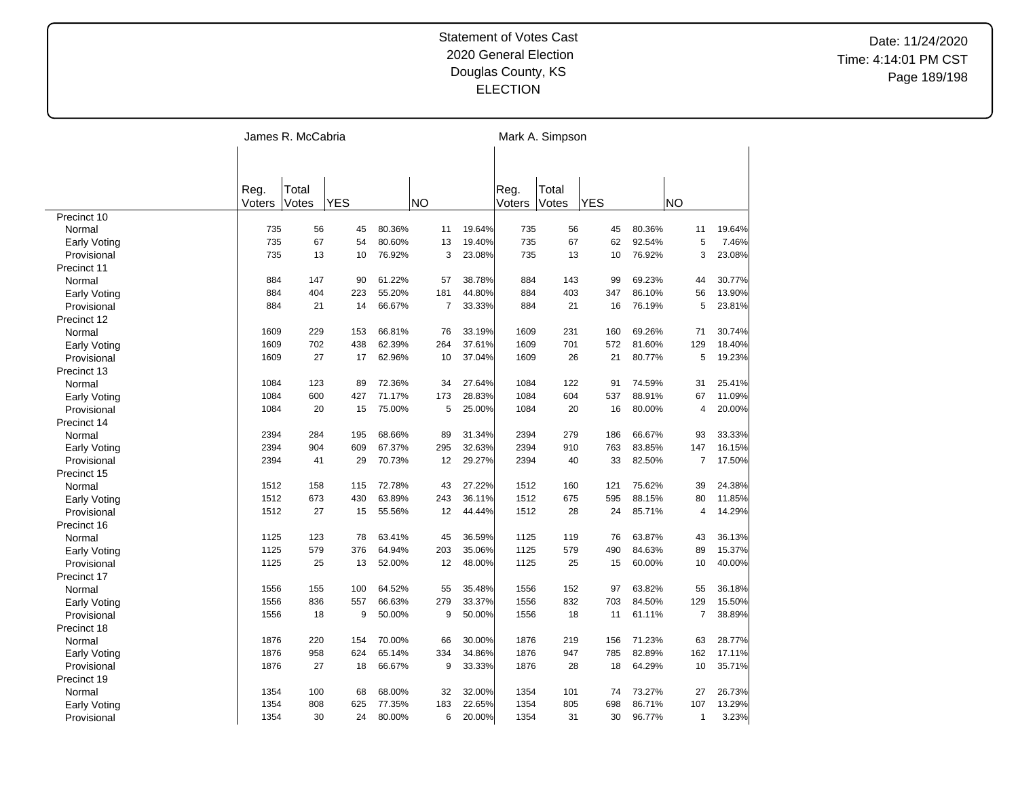|                     |        | James R. McCabria |            |        |           |                          |        | Mark A. Simpson |            |        |                |        |
|---------------------|--------|-------------------|------------|--------|-----------|--------------------------|--------|-----------------|------------|--------|----------------|--------|
|                     |        |                   |            |        |           |                          |        |                 |            |        |                |        |
|                     |        |                   |            |        |           |                          |        |                 |            |        |                |        |
|                     | Reg.   | Total             |            |        |           |                          | Reg.   | Total           |            |        |                |        |
|                     | Voters | Votes             | <b>YES</b> |        | <b>NO</b> |                          | Voters | Votes           | <b>YES</b> |        | <b>NO</b>      |        |
| Precinct 10         |        |                   |            |        |           |                          |        |                 |            |        |                |        |
| Normal              | 735    | 56                | 45         | 80.36% | 11        | 19.64%                   | 735    | 56              | 45         | 80.36% | 11             | 19.64% |
| <b>Early Voting</b> | 735    | 67                | 54         | 80.60% | 13        | 19.40%                   | 735    | 67              | 62         | 92.54% | 5              | 7.46%  |
| Provisional         | 735    | 13                | 10         | 76.92% |           | 3<br>23.08%              | 735    | 13              | 10         | 76.92% | 3              | 23.08% |
| Precinct 11         |        |                   |            |        |           |                          |        |                 |            |        |                |        |
| Normal              | 884    | 147               | 90         | 61.22% | 57        | 38.78%                   | 884    | 143             | 99         | 69.23% | 44             | 30.77% |
| <b>Early Voting</b> | 884    | 404               | 223        | 55.20% | 181       | 44.80%                   | 884    | 403             | 347        | 86.10% | 56             | 13.90% |
| Provisional         | 884    | 21                | 14         | 66.67% |           | 33.33%<br>$\overline{7}$ | 884    | 21              | 16         | 76.19% | 5              | 23.81% |
| Precinct 12         |        |                   |            |        |           |                          |        |                 |            |        |                |        |
| Normal              | 1609   | 229               | 153        | 66.81% | 76        | 33.19%                   | 1609   | 231             | 160        | 69.26% | 71             | 30.74% |
| <b>Early Voting</b> | 1609   | 702               | 438        | 62.39% | 264       | 37.61%                   | 1609   | 701             | 572        | 81.60% | 129            | 18.40% |
| Provisional         | 1609   | 27                | 17         | 62.96% | 10        | 37.04%                   | 1609   | 26              | 21         | 80.77% | 5              | 19.23% |
| Precinct 13         |        |                   |            |        |           |                          |        |                 |            |        |                |        |
| Normal              | 1084   | 123               | 89         | 72.36% | 34        | 27.64%                   | 1084   | 122             | 91         | 74.59% | 31             | 25.41% |
| Early Voting        | 1084   | 600               | 427        | 71.17% | 173       | 28.83%                   | 1084   | 604             | 537        | 88.91% | 67             | 11.09% |
| Provisional         | 1084   | 20                | 15         | 75.00% |           | 5<br>25.00%              | 1084   | 20              | 16         | 80.00% | 4              | 20.00% |
| Precinct 14         |        |                   |            |        |           |                          |        |                 |            |        |                |        |
| Normal              | 2394   | 284               | 195        | 68.66% | 89        | 31.34%                   | 2394   | 279             | 186        | 66.67% | 93             | 33.33% |
| Early Voting        | 2394   | 904               | 609        | 67.37% | 295       | 32.63%                   | 2394   | 910             | 763        | 83.85% | 147            | 16.15% |
| Provisional         | 2394   | 41                | 29         | 70.73% | 12        | 29.27%                   | 2394   | 40              | 33         | 82.50% | $\overline{7}$ | 17.50% |
| Precinct 15         |        |                   |            |        |           |                          |        |                 |            |        |                |        |
| Normal              | 1512   | 158               | 115        | 72.78% | 43        | 27.22%                   | 1512   | 160             | 121        | 75.62% | 39             | 24.38% |
| <b>Early Voting</b> | 1512   | 673               | 430        | 63.89% | 243       | 36.11%                   | 1512   | 675             | 595        | 88.15% | 80             | 11.85% |
| Provisional         | 1512   | 27                | 15         | 55.56% | 12        | 44.44%                   | 1512   | 28              | 24         | 85.71% | $\overline{4}$ | 14.29% |
| Precinct 16         |        |                   |            |        |           |                          |        |                 |            |        |                |        |
| Normal              | 1125   | 123               | 78         | 63.41% | 45        | 36.59%                   | 1125   | 119             | 76         | 63.87% | 43             | 36.13% |
| <b>Early Voting</b> | 1125   | 579               | 376        | 64.94% | 203       | 35.06%                   | 1125   | 579             | 490        | 84.63% | 89             | 15.37% |
| Provisional         | 1125   | 25                | 13         | 52.00% | 12        | 48.00%                   | 1125   | 25              | 15         | 60.00% | 10             | 40.00% |
| Precinct 17         |        |                   |            |        |           |                          |        |                 |            |        |                |        |
| Normal              | 1556   | 155               | 100        | 64.52% | 55        | 35.48%                   | 1556   | 152             | 97         | 63.82% | 55             | 36.18% |
| <b>Early Voting</b> | 1556   | 836               | 557        | 66.63% | 279       | 33.37%                   | 1556   | 832             | 703        | 84.50% | 129            | 15.50% |
| Provisional         | 1556   | 18                | 9          | 50.00% | 9         | 50.00%                   | 1556   | 18              | 11         | 61.11% | $\overline{7}$ | 38.89% |
| Precinct 18         |        |                   |            |        |           |                          |        |                 |            |        |                |        |
| Normal              | 1876   | 220               | 154        | 70.00% | 66        | 30.00%                   | 1876   | 219             | 156        | 71.23% | 63             | 28.77% |
| <b>Early Voting</b> | 1876   | 958               | 624        | 65.14% | 334       | 34.86%                   | 1876   | 947             | 785        | 82.89% | 162            | 17.11% |
| Provisional         | 1876   | 27                | 18         | 66.67% | 9         | 33.33%                   | 1876   | 28              | 18         | 64.29% | 10             | 35.71% |
| Precinct 19         |        |                   |            |        |           |                          |        |                 |            |        |                |        |
| Normal              | 1354   | 100               | 68         | 68.00% | 32        | 32.00%                   | 1354   | 101             | 74         | 73.27% | 27             | 26.73% |
|                     | 1354   | 808               | 625        | 77.35% | 183       | 22.65%                   | 1354   | 805             | 698        | 86.71% | 107            | 13.29% |
| Early Voting        | 1354   | 30                | 24         | 80.00% |           | 6<br>20.00%              | 1354   | 31              | 30         | 96.77% | $\mathbf{1}$   | 3.23%  |
| Provisional         |        |                   |            |        |           |                          |        |                 |            |        |                |        |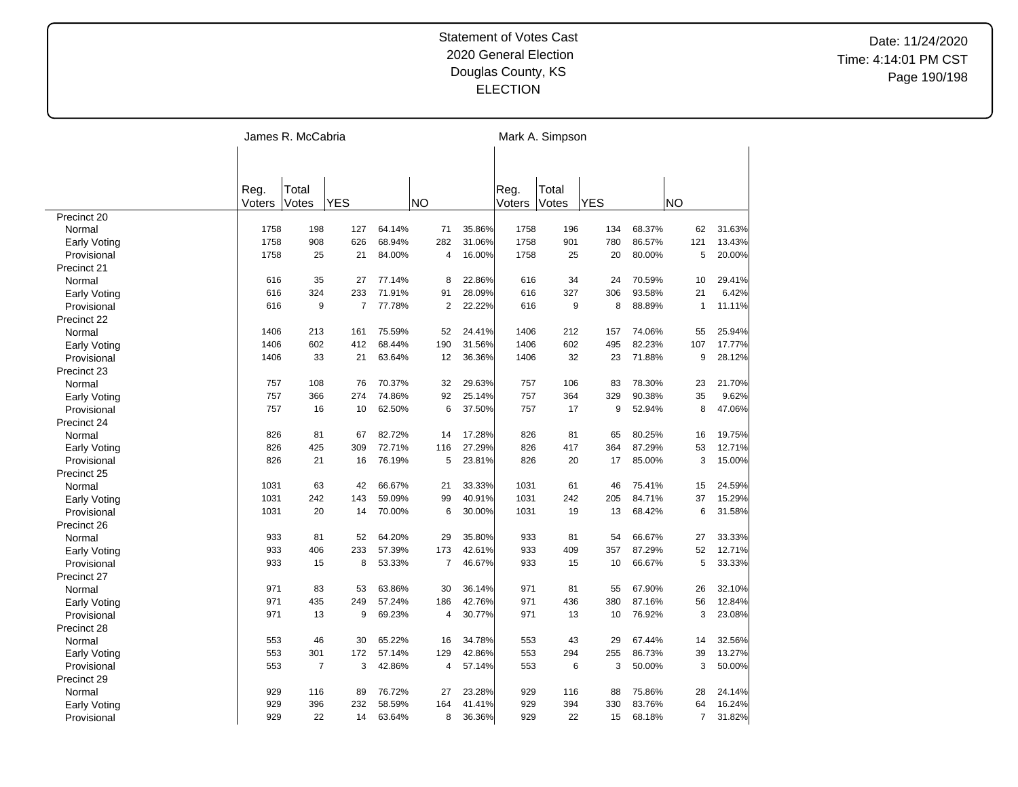|                             |        | James R. McCabria |                |        |                |        |        | Mark A. Simpson |            |        |                |        |
|-----------------------------|--------|-------------------|----------------|--------|----------------|--------|--------|-----------------|------------|--------|----------------|--------|
|                             |        |                   |                |        |                |        |        |                 |            |        |                |        |
|                             |        |                   |                |        |                |        |        |                 |            |        |                |        |
|                             | Reg.   | Total             |                |        |                |        | Reg.   | Total           |            |        |                |        |
|                             | Voters | Votes             | <b>YES</b>     |        | <b>NO</b>      |        | Voters | Votes           | <b>YES</b> |        | <b>NO</b>      |        |
| Precinct 20                 |        |                   |                |        |                |        |        |                 |            |        |                |        |
| Normal                      | 1758   | 198               | 127            | 64.14% | 71             | 35.86% | 1758   | 196             | 134        | 68.37% | 62             | 31.63% |
| Early Voting                | 1758   | 908               | 626            | 68.94% | 282            | 31.06% | 1758   | 901             | 780        | 86.57% | 121            | 13.43% |
| Provisional                 | 1758   | 25                | 21             | 84.00% | 4              | 16.00% | 1758   | 25              | 20         | 80.00% | 5              | 20.00% |
| Precinct 21                 |        |                   |                |        |                |        |        |                 |            |        |                |        |
| Normal                      | 616    | 35                | 27             | 77.14% | 8              | 22.86% | 616    | 34              | 24         | 70.59% | 10             | 29.41% |
| <b>Early Voting</b>         | 616    | 324               | 233            | 71.91% | 91             | 28.09% | 616    | 327             | 306        | 93.58% | 21             | 6.42%  |
| Provisional                 | 616    | 9                 | $\overline{7}$ | 77.78% | $\overline{2}$ | 22.22% | 616    | 9               | 8          | 88.89% | $\mathbf{1}$   | 11.11% |
| Precinct 22                 |        |                   |                |        |                |        |        |                 |            |        |                |        |
| Normal                      | 1406   | 213               | 161            | 75.59% | 52             | 24.41% | 1406   | 212             | 157        | 74.06% | 55             | 25.94% |
| <b>Early Voting</b>         | 1406   | 602               | 412            | 68.44% | 190            | 31.56% | 1406   | 602             | 495        | 82.23% | 107            | 17.77% |
| Provisional                 | 1406   | 33                | 21             | 63.64% | 12             | 36.36% | 1406   | 32              | 23         | 71.88% | 9              | 28.12% |
| Precinct 23                 |        |                   |                |        |                |        |        |                 |            |        |                |        |
| Normal                      | 757    | 108               | 76             | 70.37% | 32             | 29.63% | 757    | 106             | 83         | 78.30% | 23             | 21.70% |
| <b>Early Voting</b>         | 757    | 366               | 274            | 74.86% | 92             | 25.14% | 757    | 364             | 329        | 90.38% | 35             | 9.62%  |
| Provisional                 | 757    | 16                | 10             | 62.50% | 6              | 37.50% | 757    | 17              | 9          | 52.94% | 8              | 47.06% |
| Precinct 24                 |        |                   |                |        |                |        |        |                 |            |        |                |        |
| Normal                      | 826    | 81                | 67             | 82.72% | 14             | 17.28% | 826    | 81              | 65         | 80.25% | 16             | 19.75% |
| Early Voting                | 826    | 425               | 309            | 72.71% | 116            | 27.29% | 826    | 417             | 364        | 87.29% | 53             | 12.71% |
| Provisional                 | 826    | 21                | 16             | 76.19% | 5              | 23.81% | 826    | 20              | 17         | 85.00% | 3              | 15.00% |
| Precinct 25                 |        |                   |                |        |                |        |        |                 |            |        |                |        |
| Normal                      | 1031   | 63                | 42             | 66.67% | 21             | 33.33% | 1031   | 61              | 46         | 75.41% | 15             | 24.59% |
| <b>Early Voting</b>         | 1031   | 242               | 143            | 59.09% | 99             | 40.91% | 1031   | 242             | 205        | 84.71% | 37             | 15.29% |
| Provisional                 | 1031   | 20                | 14             | 70.00% | 6              | 30.00% | 1031   | 19              | 13         | 68.42% | 6              | 31.58% |
| Precinct 26                 |        |                   |                |        |                |        |        |                 |            |        |                |        |
| Normal                      | 933    | 81                | 52             | 64.20% | 29             | 35.80% | 933    | 81              | 54         | 66.67% | 27             | 33.33% |
| Early Voting                | 933    | 406               | 233            | 57.39% | 173            | 42.61% | 933    | 409             | 357        | 87.29% | 52             | 12.71% |
| Provisional                 | 933    | 15                | 8              | 53.33% | $\overline{7}$ | 46.67% | 933    | 15              | 10         | 66.67% | 5              | 33.33% |
| Precinct 27                 |        |                   |                |        |                |        |        |                 |            |        |                |        |
| Normal                      | 971    | 83                | 53             | 63.86% | 30             | 36.14% | 971    | 81              | 55         | 67.90% | 26             | 32.10% |
| Early Voting                | 971    | 435               | 249            | 57.24% | 186            | 42.76% | 971    | 436             | 380        | 87.16% | 56             | 12.84% |
| Provisional                 | 971    | 13                | 9              | 69.23% | $\overline{4}$ | 30.77% | 971    | 13              | 10         | 76.92% | 3              | 23.08% |
| Precinct 28                 |        |                   |                |        |                |        |        |                 |            |        |                |        |
| Normal                      | 553    | 46                | 30             | 65.22% | 16             | 34.78% | 553    | 43              | 29         | 67.44% | 14             | 32.56% |
|                             | 553    | 301               | 172            | 57.14% | 129            | 42.86% | 553    | 294             | 255        | 86.73% | 39             | 13.27% |
| Early Voting<br>Provisional | 553    | $\overline{7}$    | 3              | 42.86% | 4              | 57.14% | 553    | 6               | 3          | 50.00% | 3              | 50.00% |
|                             |        |                   |                |        |                |        |        |                 |            |        |                |        |
| Precinct 29                 | 929    |                   |                |        |                |        |        |                 |            |        |                |        |
| Normal                      |        | 116               | 89             | 76.72% | 27             | 23.28% | 929    | 116             | 88         | 75.86% | 28<br>64       | 24.14% |
| Early Voting                | 929    | 396               | 232            | 58.59% | 164            | 41.41% | 929    | 394             | 330        | 83.76% |                | 16.24% |
| Provisional                 | 929    | 22                | 14             | 63.64% | 8              | 36.36% | 929    | 22              | 15         | 68.18% | $\overline{7}$ | 31.82% |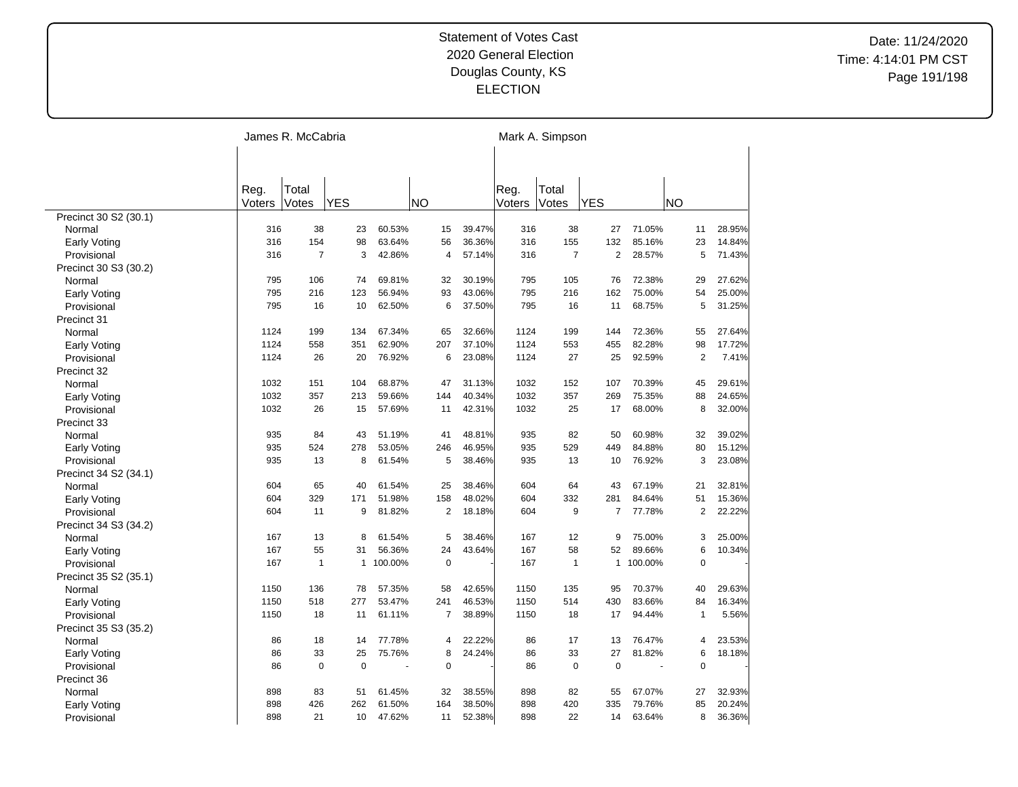|                                 |        | James R. McCabria |              |         |                |        |        | Mark A. Simpson |                |         |                |        |
|---------------------------------|--------|-------------------|--------------|---------|----------------|--------|--------|-----------------|----------------|---------|----------------|--------|
|                                 |        |                   |              |         |                |        |        |                 |                |         |                |        |
|                                 |        |                   |              |         |                |        |        |                 |                |         |                |        |
|                                 | Reg.   | Total             |              |         |                |        | Reg.   | Total           |                |         |                |        |
|                                 | Voters | Votes             | <b>YES</b>   |         | <b>NO</b>      |        | Voters | <b>Votes</b>    | <b>YES</b>     |         | NO             |        |
| Precinct 30 S2 (30.1)           |        |                   |              |         |                |        |        |                 |                |         |                |        |
| Normal                          | 316    | 38                | 23           | 60.53%  | 15             | 39.47% | 316    | 38              | 27             | 71.05%  | 11             | 28.95% |
| Early Voting                    | 316    | 154               | 98           | 63.64%  | 56             | 36.36% | 316    | 155             | 132            | 85.16%  | 23             | 14.84% |
| Provisional                     | 316    | $\overline{7}$    | 3            | 42.86%  | 4              | 57.14% | 316    | $\overline{7}$  | $\overline{2}$ | 28.57%  | 5              | 71.43% |
| Precinct 30 S3 (30.2)           |        |                   |              |         |                |        |        |                 |                |         |                |        |
| Normal                          | 795    | 106               | 74           | 69.81%  | 32             | 30.19% | 795    | 105             | 76             | 72.38%  | 29             | 27.62% |
| <b>Early Voting</b>             | 795    | 216               | 123          | 56.94%  | 93             | 43.06% | 795    | 216             | 162            | 75.00%  | 54             | 25.00% |
| Provisional                     | 795    | 16                | 10           | 62.50%  | 6              | 37.50% | 795    | 16              | 11             | 68.75%  | 5              | 31.25% |
| Precinct 31                     |        |                   |              |         |                |        |        |                 |                |         |                |        |
| Normal                          | 1124   | 199               | 134          | 67.34%  | 65             | 32.66% | 1124   | 199             | 144            | 72.36%  | 55             | 27.64% |
| <b>Early Voting</b>             | 1124   | 558               | 351          | 62.90%  | 207            | 37.10% | 1124   | 553             | 455            | 82.28%  | 98             | 17.72% |
| Provisional                     | 1124   | 26                | 20           | 76.92%  | 6              | 23.08% | 1124   | 27              | 25             | 92.59%  | $\overline{2}$ | 7.41%  |
| Precinct 32                     |        |                   |              |         |                |        |        |                 |                |         |                |        |
| Normal                          | 1032   | 151               | 104          | 68.87%  | 47             | 31.13% | 1032   | 152             | 107            | 70.39%  | 45             | 29.61% |
| <b>Early Voting</b>             | 1032   | 357               | 213          | 59.66%  | 144            | 40.34% | 1032   | 357             | 269            | 75.35%  | 88             | 24.65% |
| Provisional                     | 1032   | 26                | 15           | 57.69%  | 11             | 42.31% | 1032   | 25              | 17             | 68.00%  | 8              | 32.00% |
| Precinct 33                     |        |                   |              |         |                |        |        |                 |                |         |                |        |
| Normal                          | 935    | 84                | 43           | 51.19%  | 41             | 48.81% | 935    | 82              | 50             | 60.98%  | 32             | 39.02% |
| <b>Early Voting</b>             | 935    | 524               | 278          | 53.05%  | 246            | 46.95% | 935    | 529             | 449            | 84.88%  | 80             | 15.12% |
| Provisional                     | 935    | 13                | 8            | 61.54%  | 5              | 38.46% | 935    | 13              | 10             | 76.92%  | 3              | 23.08% |
| Precinct 34 S2 (34.1)           |        |                   |              |         |                |        |        |                 |                |         |                |        |
| Normal                          | 604    | 65                | 40           | 61.54%  | 25             | 38.46% | 604    | 64              | 43             | 67.19%  | 21             | 32.81% |
| <b>Early Voting</b>             | 604    | 329               | 171          | 51.98%  | 158            | 48.02% | 604    | 332             | 281            | 84.64%  | 51             | 15.36% |
| Provisional                     | 604    | 11                | 9            | 81.82%  | 2              | 18.18% | 604    | 9               | $\overline{7}$ | 77.78%  | $\overline{2}$ | 22.22% |
|                                 |        |                   |              |         |                |        |        |                 |                |         |                |        |
| Precinct 34 S3 (34.2)<br>Normal | 167    | 13                | 8            | 61.54%  | 5              | 38.46% | 167    | 12              | 9              | 75.00%  | 3              | 25.00% |
|                                 | 167    | 55                | 31           | 56.36%  | 24             | 43.64% | 167    | 58              | 52             | 89.66%  | 6              | 10.34% |
| <b>Early Voting</b>             | 167    | $\mathbf{1}$      | $\mathbf{1}$ | 100.00% | $\mathbf 0$    |        | 167    | $\mathbf{1}$    | $\mathbf{1}$   | 100.00% | $\mathbf 0$    |        |
| Provisional                     |        |                   |              |         |                |        |        |                 |                |         |                |        |
| Precinct 35 S2 (35.1)           |        |                   |              |         |                |        |        |                 | 95             |         |                |        |
| Normal                          | 1150   | 136               | 78           | 57.35%  | 58             | 42.65% | 1150   | 135             |                | 70.37%  | 40             | 29.63% |
| <b>Early Voting</b>             | 1150   | 518               | 277          | 53.47%  | 241            | 46.53% | 1150   | 514             | 430            | 83.66%  | 84             | 16.34% |
| Provisional                     | 1150   | 18                | 11           | 61.11%  | $\overline{7}$ | 38.89% | 1150   | 18              | 17             | 94.44%  | $\mathbf{1}$   | 5.56%  |
| Precinct 35 S3 (35.2)           |        |                   |              |         |                |        |        |                 |                |         |                |        |
| Normal                          | 86     | 18                | 14           | 77.78%  | 4              | 22.22% | 86     | 17              | 13             | 76.47%  | $\overline{4}$ | 23.53% |
| Early Voting                    | 86     | 33                | 25           | 75.76%  | 8              | 24.24% | 86     | 33              | 27             | 81.82%  | 6              | 18.18% |
| Provisional                     | 86     | $\mathbf 0$       | $\mathbf 0$  | ÷,      | $\mathbf 0$    |        | 86     | 0               | $\mathbf 0$    | ÷,      | $\mathbf 0$    |        |
| Precinct 36                     |        |                   |              |         |                |        |        |                 |                |         |                |        |
| Normal                          | 898    | 83                | 51           | 61.45%  | 32             | 38.55% | 898    | 82              | 55             | 67.07%  | 27             | 32.93% |
| Early Voting                    | 898    | 426               | 262          | 61.50%  | 164            | 38.50% | 898    | 420             | 335            | 79.76%  | 85             | 20.24% |
| Provisional                     | 898    | 21                | 10           | 47.62%  | 11             | 52.38% | 898    | 22              | 14             | 63.64%  | 8              | 36.36% |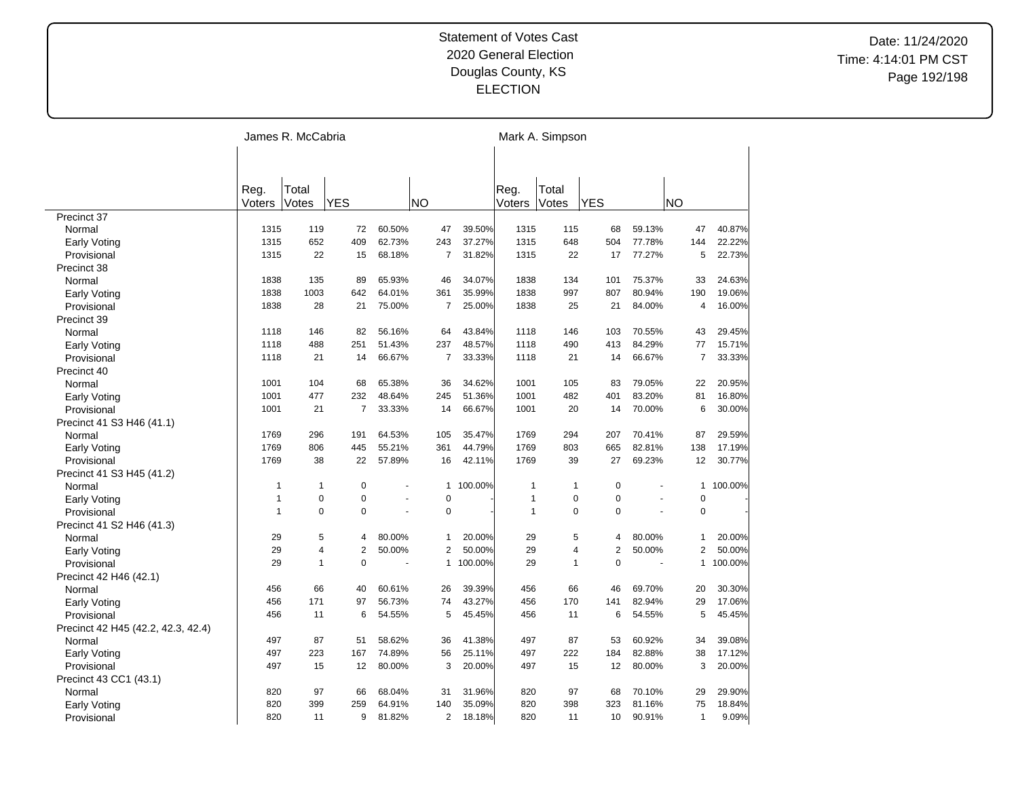|                                    |              | James R. McCabria |                |        |                |         |              | Mark A. Simpson |             |        |                |         |
|------------------------------------|--------------|-------------------|----------------|--------|----------------|---------|--------------|-----------------|-------------|--------|----------------|---------|
|                                    |              |                   |                |        |                |         |              |                 |             |        |                |         |
|                                    |              |                   |                |        |                |         |              |                 |             |        |                |         |
|                                    | Reg.         | Total             |                |        |                |         | Reg.         | Total           |             |        |                |         |
|                                    | Voters       | Votes             | <b>YES</b>     |        | <b>NO</b>      |         | Voters       | Votes           | <b>YES</b>  |        | <b>NO</b>      |         |
| Precinct 37                        |              |                   |                |        |                |         |              |                 |             |        |                |         |
| Normal                             | 1315         | 119               | 72             | 60.50% | 47             | 39.50%  | 1315         | 115             | 68          | 59.13% | 47             | 40.87%  |
| Early Voting                       | 1315         | 652               | 409            | 62.73% | 243            | 37.27%  | 1315         | 648             | 504         | 77.78% | 144            | 22.22%  |
| Provisional                        | 1315         | 22                | 15             | 68.18% | $\overline{7}$ | 31.82%  | 1315         | 22              | 17          | 77.27% | 5              | 22.73%  |
| Precinct 38                        |              |                   |                |        |                |         |              |                 |             |        |                |         |
| Normal                             | 1838         | 135               | 89             | 65.93% | 46             | 34.07%  | 1838         | 134             | 101         | 75.37% | 33             | 24.63%  |
| Early Voting                       | 1838         | 1003              | 642            | 64.01% | 361            | 35.99%  | 1838         | 997             | 807         | 80.94% | 190            | 19.06%  |
| Provisional                        | 1838         | 28                | 21             | 75.00% | $\overline{7}$ | 25.00%  | 1838         | 25              | 21          | 84.00% | $\overline{4}$ | 16.00%  |
| Precinct 39                        |              |                   |                |        |                |         |              |                 |             |        |                |         |
| Normal                             | 1118         | 146               | 82             | 56.16% | 64             | 43.84%  | 1118         | 146             | 103         | 70.55% | 43             | 29.45%  |
| Early Voting                       | 1118         | 488               | 251            | 51.43% | 237            | 48.57%  | 1118         | 490             | 413         | 84.29% | 77             | 15.71%  |
| Provisional                        | 1118         | 21                | 14             | 66.67% | $\overline{7}$ | 33.33%  | 1118         | 21              | 14          | 66.67% | $\overline{7}$ | 33.33%  |
| Precinct 40                        |              |                   |                |        |                |         |              |                 |             |        |                |         |
| Normal                             | 1001         | 104               | 68             | 65.38% | 36             | 34.62%  | 1001         | 105             | 83          | 79.05% | 22             | 20.95%  |
| <b>Early Voting</b>                | 1001         | 477               | 232            | 48.64% | 245            | 51.36%  | 1001         | 482             | 401         | 83.20% | 81             | 16.80%  |
| Provisional                        | 1001         | 21                | 7              | 33.33% | 14             | 66.67%  | 1001         | 20              | 14          | 70.00% | 6              | 30.00%  |
| Precinct 41 S3 H46 (41.1)          |              |                   |                |        |                |         |              |                 |             |        |                |         |
| Normal                             | 1769         | 296               | 191            | 64.53% | 105            | 35.47%  | 1769         | 294             | 207         | 70.41% | 87             | 29.59%  |
| Early Voting                       | 1769         | 806               | 445            | 55.21% | 361            | 44.79%  | 1769         | 803             | 665         | 82.81% | 138            | 17.19%  |
| Provisional                        | 1769         | 38                | 22             | 57.89% | 16             | 42.11%  | 1769         | 39              | 27          | 69.23% | 12             | 30.77%  |
|                                    |              |                   |                |        |                |         |              |                 |             |        |                |         |
| Precinct 41 S3 H45 (41.2)          | $\mathbf{1}$ | 1                 | $\mathbf 0$    |        | $\mathbf{1}$   | 100.00% | 1            | $\mathbf 1$     | 0           |        | $\mathbf{1}$   | 100.00% |
| Normal                             | $\mathbf{1}$ | $\overline{0}$    | $\mathbf 0$    | ä,     | $\mathbf 0$    |         | $\mathbf{1}$ | $\mathbf 0$     | 0           | ä,     | $\mathbf 0$    |         |
| <b>Early Voting</b>                | $\mathbf{1}$ | $\Omega$          | $\Omega$       | ä,     | $\mathbf 0$    |         | $\mathbf{1}$ | $\Omega$        | $\mathbf 0$ |        | $\mathbf 0$    |         |
| Provisional                        |              |                   |                |        |                |         |              |                 |             |        |                |         |
| Precinct 41 S2 H46 (41.3)          |              |                   |                |        |                |         |              |                 |             |        |                |         |
| Normal                             | 29           | 5                 | 4              | 80.00% | 1              | 20.00%  | 29           | 5               | 4           | 80.00% | 1              | 20.00%  |
| Early Voting                       | 29           | $\overline{4}$    | $\overline{2}$ | 50.00% | 2              | 50.00%  | 29           | $\overline{4}$  | 2           | 50.00% | 2              | 50.00%  |
| Provisional                        | 29           | $\mathbf{1}$      | $\Omega$       | ÷,     | $\mathbf{1}$   | 100.00% | 29           | $\mathbf{1}$    | $\mathbf 0$ | ÷,     | 1              | 100.00% |
| Precinct 42 H46 (42.1)             |              |                   |                |        |                |         |              |                 |             |        |                |         |
| Normal                             | 456          | 66                | 40             | 60.61% | 26             | 39.39%  | 456          | 66              | 46          | 69.70% | 20             | 30.30%  |
| Early Voting                       | 456          | 171               | 97             | 56.73% | 74             | 43.27%  | 456          | 170             | 141         | 82.94% | 29             | 17.06%  |
| Provisional                        | 456          | 11                | 6              | 54.55% | 5              | 45.45%  | 456          | 11              | 6           | 54.55% | 5              | 45.45%  |
| Precinct 42 H45 (42.2, 42.3, 42.4) |              |                   |                |        |                |         |              |                 |             |        |                |         |
| Normal                             | 497          | 87                | 51             | 58.62% | 36             | 41.38%  | 497          | 87              | 53          | 60.92% | 34             | 39.08%  |
| Early Voting                       | 497          | 223               | 167            | 74.89% | 56             | 25.11%  | 497          | 222             | 184         | 82.88% | 38             | 17.12%  |
| Provisional                        | 497          | 15                | 12             | 80.00% | 3              | 20.00%  | 497          | 15              | 12          | 80.00% | 3              | 20.00%  |
| Precinct 43 CC1 (43.1)             |              |                   |                |        |                |         |              |                 |             |        |                |         |
| Normal                             | 820          | 97                | 66             | 68.04% | 31             | 31.96%  | 820          | 97              | 68          | 70.10% | 29             | 29.90%  |
| Early Voting                       | 820          | 399               | 259            | 64.91% | 140            | 35.09%  | 820          | 398             | 323         | 81.16% | 75             | 18.84%  |
| Provisional                        | 820          | 11                | 9              | 81.82% | 2              | 18.18%  | 820          | 11              | 10          | 90.91% | $\mathbf{1}$   | 9.09%   |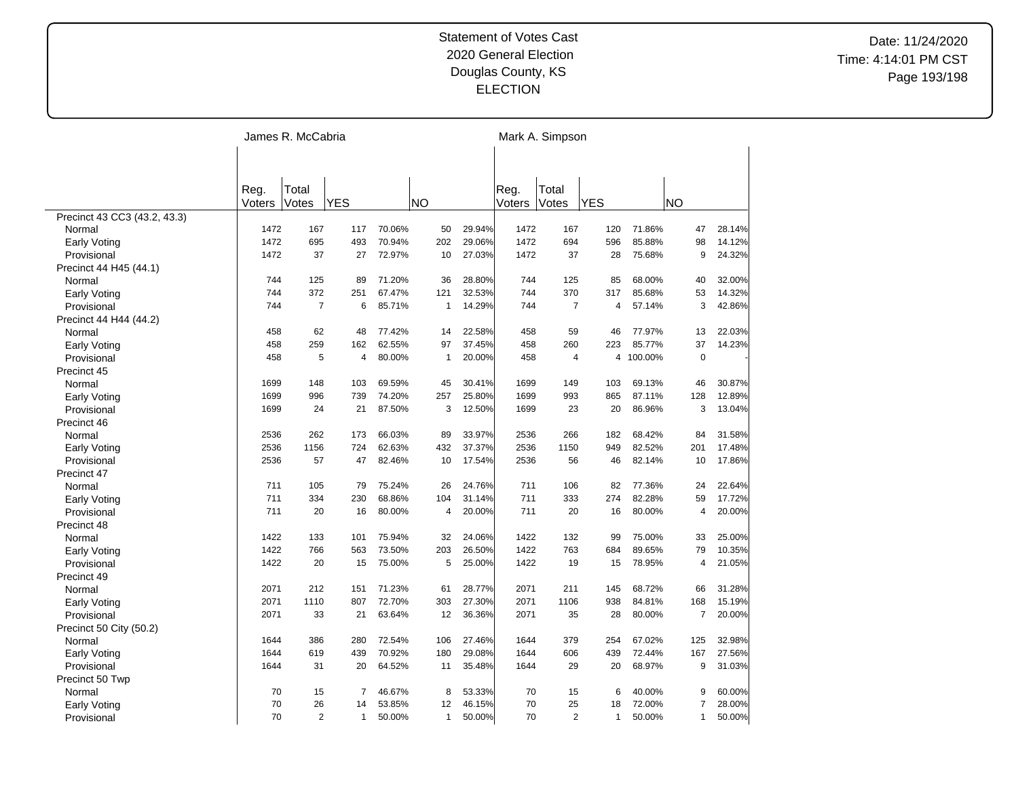|                              | James R. McCabria |                |              |        |              |        |                | Mark A. Simpson |              |         |                |        |  |  |
|------------------------------|-------------------|----------------|--------------|--------|--------------|--------|----------------|-----------------|--------------|---------|----------------|--------|--|--|
|                              |                   |                |              |        |              |        |                |                 |              |         |                |        |  |  |
|                              |                   |                |              |        |              |        |                |                 |              |         |                |        |  |  |
|                              | Reg.<br>Voters    | Total<br>Votes | <b>YES</b>   |        | <b>NO</b>    |        | Reg.<br>Voters | Total<br>Votes  | <b>YES</b>   |         | <b>NO</b>      |        |  |  |
| Precinct 43 CC3 (43.2, 43.3) |                   |                |              |        |              |        |                |                 |              |         |                |        |  |  |
| Normal                       | 1472              | 167            | 117          | 70.06% | 50           | 29.94% | 1472           | 167             | 120          | 71.86%  | 47             | 28.14% |  |  |
| Early Voting                 | 1472              | 695            | 493          | 70.94% | 202          | 29.06% | 1472           | 694             | 596          | 85.88%  | 98             | 14.12% |  |  |
| Provisional                  | 1472              | 37             | 27           | 72.97% | 10           | 27.03% | 1472           | 37              | 28           | 75.68%  | 9              | 24.32% |  |  |
| Precinct 44 H45 (44.1)       |                   |                |              |        |              |        |                |                 |              |         |                |        |  |  |
| Normal                       | 744               | 125            | 89           | 71.20% | 36           | 28.80% | 744            | 125             | 85           | 68.00%  | 40             | 32.00% |  |  |
| <b>Early Voting</b>          | 744               | 372            | 251          | 67.47% | 121          | 32.53% | 744            | 370             | 317          | 85.68%  | 53             | 14.32% |  |  |
| Provisional                  | 744               | $\overline{7}$ | 6            | 85.71% | $\mathbf{1}$ | 14.29% | 744            | $\overline{7}$  | 4            | 57.14%  | 3              | 42.86% |  |  |
| Precinct 44 H44 (44.2)       |                   |                |              |        |              |        |                |                 |              |         |                |        |  |  |
| Normal                       | 458               | 62             | 48           | 77.42% | 14           | 22.58% | 458            | 59              | 46           | 77.97%  | 13             | 22.03% |  |  |
| Early Voting                 | 458               | 259            | 162          | 62.55% | 97           | 37.45% | 458            | 260             | 223          | 85.77%  | 37             | 14.23% |  |  |
| Provisional                  | 458               | 5              | 4            | 80.00% | $\mathbf{1}$ | 20.00% | 458            | $\overline{4}$  | 4            | 100.00% | $\Omega$       |        |  |  |
| Precinct 45                  |                   |                |              |        |              |        |                |                 |              |         |                |        |  |  |
| Normal                       | 1699              | 148            | 103          | 69.59% | 45           | 30.41% | 1699           | 149             | 103          | 69.13%  | 46             | 30.87% |  |  |
| Early Voting                 | 1699              | 996            | 739          | 74.20% | 257          | 25.80% | 1699           | 993             | 865          | 87.11%  | 128            | 12.89% |  |  |
| Provisional                  | 1699              | 24             | 21           | 87.50% | 3            | 12.50% | 1699           | 23              | 20           | 86.96%  | 3              | 13.04% |  |  |
| Precinct 46                  |                   |                |              |        |              |        |                |                 |              |         |                |        |  |  |
| Normal                       | 2536              | 262            | 173          | 66.03% | 89           | 33.97% | 2536           | 266             | 182          | 68.42%  | 84             | 31.58% |  |  |
| <b>Early Voting</b>          | 2536              | 1156           | 724          | 62.63% | 432          | 37.37% | 2536           | 1150            | 949          | 82.52%  | 201            | 17.48% |  |  |
| Provisional                  | 2536              | 57             | 47           | 82.46% | 10           | 17.54% | 2536           | 56              | 46           | 82.14%  | 10             | 17.86% |  |  |
| Precinct 47                  |                   |                |              |        |              |        |                |                 |              |         |                |        |  |  |
| Normal                       | 711               | 105            | 79           | 75.24% | 26           | 24.76% | 711            | 106             | 82           | 77.36%  | 24             | 22.64% |  |  |
| <b>Early Voting</b>          | 711               | 334            | 230          | 68.86% | 104          | 31.14% | 711            | 333             | 274          | 82.28%  | 59             | 17.72% |  |  |
| Provisional                  | 711               | 20             | 16           | 80.00% | 4            | 20.00% | 711            | 20              | 16           | 80.00%  | $\overline{4}$ | 20.00% |  |  |
| Precinct 48                  |                   |                |              |        |              |        |                |                 |              |         |                |        |  |  |
| Normal                       | 1422              | 133            | 101          | 75.94% | 32           | 24.06% | 1422           | 132             | 99           | 75.00%  | 33             | 25.00% |  |  |
| <b>Early Voting</b>          | 1422              | 766            | 563          | 73.50% | 203          | 26.50% | 1422           | 763             | 684          | 89.65%  | 79             | 10.35% |  |  |
| Provisional                  | 1422              | 20             | 15           | 75.00% | 5            | 25.00% | 1422           | 19              | 15           | 78.95%  | $\overline{4}$ | 21.05% |  |  |
| Precinct 49                  |                   |                |              |        |              |        |                |                 |              |         |                |        |  |  |
| Normal                       | 2071              | 212            | 151          | 71.23% | 61           | 28.77% | 2071           | 211             | 145          | 68.72%  | 66             | 31.28% |  |  |
| Early Voting                 | 2071              | 1110           | 807          | 72.70% | 303          | 27.30% | 2071           | 1106            | 938          | 84.81%  | 168            | 15.19% |  |  |
| Provisional                  | 2071              | 33             | 21           | 63.64% | 12           | 36.36% | 2071           | 35              | 28           | 80.00%  | $\overline{7}$ | 20.00% |  |  |
| Precinct 50 City (50.2)      |                   |                |              |        |              |        |                |                 |              |         |                |        |  |  |
| Normal                       | 1644              | 386            | 280          | 72.54% | 106          | 27.46% | 1644           | 379             | 254          | 67.02%  | 125            | 32.98% |  |  |
| Early Voting                 | 1644              | 619            | 439          | 70.92% | 180          | 29.08% | 1644           | 606             | 439          | 72.44%  | 167            | 27.56% |  |  |
| Provisional                  | 1644              | 31             | 20           | 64.52% | 11           | 35.48% | 1644           | 29              | 20           | 68.97%  | 9              | 31.03% |  |  |
| Precinct 50 Twp              |                   |                |              |        |              |        |                |                 |              |         |                |        |  |  |
| Normal                       | 70                | 15             | 7            | 46.67% | 8            | 53.33% | 70             | 15              | 6            | 40.00%  | 9              | 60.00% |  |  |
| Early Voting                 | 70                | 26             | 14           | 53.85% | 12           | 46.15% | 70             | 25              | 18           | 72.00%  | 7              | 28.00% |  |  |
| Provisional                  | 70                | $\overline{2}$ | $\mathbf{1}$ | 50.00% | $\mathbf{1}$ | 50.00% | 70             | $\overline{2}$  | $\mathbf{1}$ | 50.00%  | $\mathbf{1}$   | 50.00% |  |  |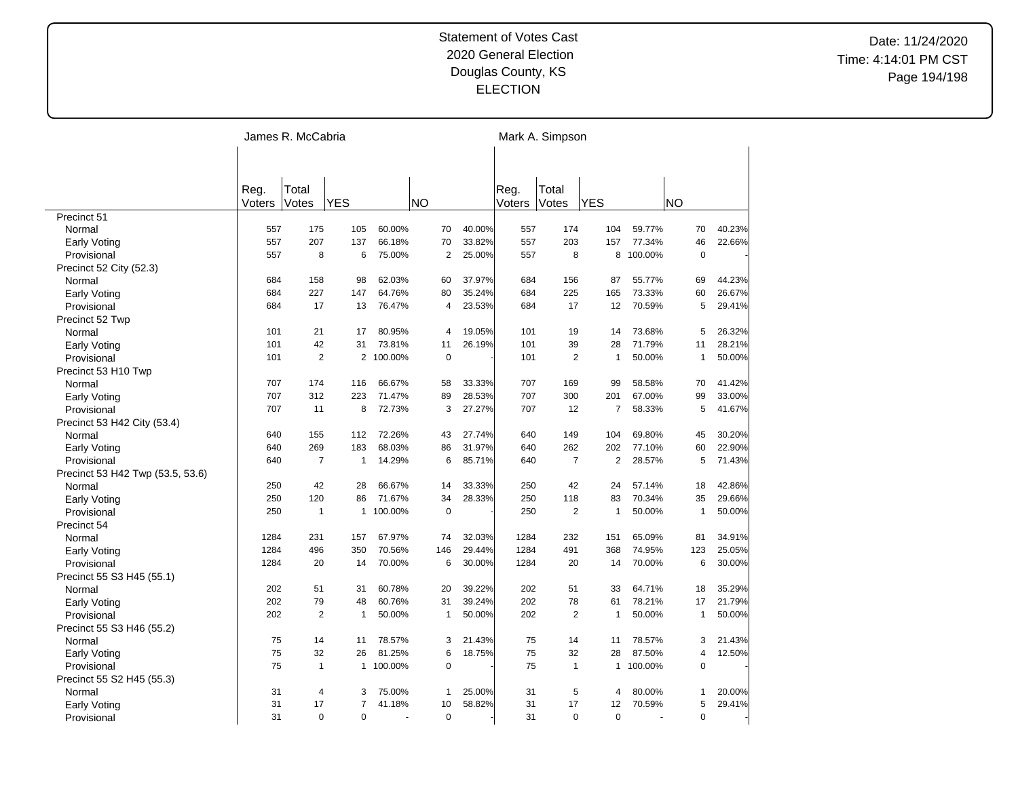|                                  | James R. McCabria |                |                |         |           |                |        | Mark A. Simpson |                |                |         |              |        |  |
|----------------------------------|-------------------|----------------|----------------|---------|-----------|----------------|--------|-----------------|----------------|----------------|---------|--------------|--------|--|
|                                  |                   |                |                |         |           |                |        |                 |                |                |         |              |        |  |
|                                  |                   |                |                |         |           |                |        |                 |                |                |         |              |        |  |
|                                  | Reg.<br>Voters    | Total<br>Votes | <b>YES</b>     |         | <b>NO</b> |                |        | Reg.<br>Voters  | Total<br>Votes | <b>YES</b>     |         | <b>NO</b>    |        |  |
| Precinct 51                      |                   |                |                |         |           |                |        |                 |                |                |         |              |        |  |
| Normal                           | 557               | 175            | 105            | 60.00%  |           | 70             | 40.00% | 557             | 174            | 104            | 59.77%  | 70           | 40.23% |  |
| <b>Early Voting</b>              | 557               | 207            | 137            | 66.18%  |           | 70             | 33.82% | 557             | 203            | 157            | 77.34%  | 46           | 22.66% |  |
| Provisional                      | 557               | 8              | 6              | 75.00%  |           | $\overline{2}$ | 25.00% | 557             | 8              | 8              | 100.00% | $\mathbf 0$  |        |  |
|                                  |                   |                |                |         |           |                |        |                 |                |                |         |              |        |  |
| Precinct 52 City (52.3)          | 684               | 158            | 98             | 62.03%  |           | 60             | 37.97% | 684             | 156            | 87             | 55.77%  | 69           | 44.23% |  |
| Normal                           |                   |                |                |         |           |                |        |                 | 225            |                |         |              |        |  |
| Early Voting                     | 684               | 227            | 147            | 64.76%  |           | 80             | 35.24% | 684             |                | 165            | 73.33%  | 60           | 26.67% |  |
| Provisional                      | 684               | 17             | 13             | 76.47%  |           | 4              | 23.53% | 684             | 17             | 12             | 70.59%  | 5            | 29.41% |  |
| Precinct 52 Twp                  |                   |                |                |         |           |                |        |                 |                |                |         |              |        |  |
| Normal                           | 101               | 21             | 17             | 80.95%  |           | 4              | 19.05% | 101             | 19             | 14             | 73.68%  | 5            | 26.32% |  |
| Early Voting                     | 101               | 42             | 31             | 73.81%  |           | 11             | 26.19% | 101             | 39             | 28             | 71.79%  | 11           | 28.21% |  |
| Provisional                      | 101               | $\overline{2}$ | $\overline{2}$ | 100.00% |           | $\mathbf 0$    |        | 101             | 2              | $\mathbf{1}$   | 50.00%  | $\mathbf{1}$ | 50.00% |  |
| Precinct 53 H10 Twp              |                   |                |                |         |           |                |        |                 |                |                |         |              |        |  |
| Normal                           | 707               | 174            | 116            | 66.67%  |           | 58             | 33.33% | 707             | 169            | 99             | 58.58%  | 70           | 41.42% |  |
| Early Voting                     | 707               | 312            | 223            | 71.47%  |           | 89             | 28.53% | 707             | 300            | 201            | 67.00%  | 99           | 33.00% |  |
| Provisional                      | 707               | 11             | 8              | 72.73%  |           | 3              | 27.27% | 707             | 12             | 7              | 58.33%  | 5            | 41.67% |  |
| Precinct 53 H42 City (53.4)      |                   |                |                |         |           |                |        |                 |                |                |         |              |        |  |
| Normal                           | 640               | 155            | 112            | 72.26%  |           | 43             | 27.74% | 640             | 149            | 104            | 69.80%  | 45           | 30.20% |  |
| Early Voting                     | 640               | 269            | 183            | 68.03%  |           | 86             | 31.97% | 640             | 262            | 202            | 77.10%  | 60           | 22.90% |  |
| Provisional                      | 640               | $\overline{7}$ | $\mathbf{1}$   | 14.29%  |           | 6              | 85.71% | 640             | $\overline{7}$ | $\overline{2}$ | 28.57%  | 5            | 71.43% |  |
| Precinct 53 H42 Twp (53.5, 53.6) |                   |                |                |         |           |                |        |                 |                |                |         |              |        |  |
| Normal                           | 250               | 42             | 28             | 66.67%  |           | 14             | 33.33% | 250             | 42             | 24             | 57.14%  | 18           | 42.86% |  |
| <b>Early Voting</b>              | 250               | 120            | 86             | 71.67%  |           | 34             | 28.33% | 250             | 118            | 83             | 70.34%  | 35           | 29.66% |  |
| Provisional                      | 250               | $\mathbf{1}$   | $\mathbf{1}$   | 100.00% |           | $\mathbf 0$    |        | 250             | $\overline{2}$ | 1              | 50.00%  | $\mathbf{1}$ | 50.00% |  |
| Precinct 54                      |                   |                |                |         |           |                |        |                 |                |                |         |              |        |  |
| Normal                           | 1284              | 231            | 157            | 67.97%  |           | 74             | 32.03% | 1284            | 232            | 151            | 65.09%  | 81           | 34.91% |  |
| Early Voting                     | 1284              | 496            | 350            | 70.56%  | 146       |                | 29.44% | 1284            | 491            | 368            | 74.95%  | 123          | 25.05% |  |
| Provisional                      | 1284              | 20             | 14             | 70.00%  |           | 6              | 30.00% | 1284            | 20             | 14             | 70.00%  | 6            | 30.00% |  |
| Precinct 55 S3 H45 (55.1)        |                   |                |                |         |           |                |        |                 |                |                |         |              |        |  |
| Normal                           | 202               | 51             | 31             | 60.78%  |           | 20             | 39.22% | 202             | 51             | 33             | 64.71%  | 18           | 35.29% |  |
|                                  | 202               | 79             | 48             | 60.76%  |           | 31             | 39.24% | 202             | 78             | 61             | 78.21%  | 17           | 21.79% |  |
| Early Voting                     |                   | $\overline{2}$ |                |         |           |                |        | 202             | $\overline{2}$ |                |         | $\mathbf{1}$ |        |  |
| Provisional                      | 202               |                | $\mathbf{1}$   | 50.00%  |           | $\mathbf{1}$   | 50.00% |                 |                | $\mathbf{1}$   | 50.00%  |              | 50.00% |  |
| Precinct 55 S3 H46 (55.2)        |                   |                |                |         |           |                |        |                 |                |                |         |              |        |  |
| Normal                           | 75                | 14             | 11             | 78.57%  |           | 3              | 21.43% | 75              | 14             | 11             | 78.57%  | 3            | 21.43% |  |
| Early Voting                     | 75                | 32             | 26             | 81.25%  |           | 6              | 18.75% | 75              | 32             | 28             | 87.50%  | 4            | 12.50% |  |
| Provisional                      | 75                | $\mathbf{1}$   | 1              | 100.00% |           | $\mathbf 0$    |        | 75              | $\mathbf{1}$   | $\mathbf{1}$   | 100.00% | $\mathbf 0$  |        |  |
| Precinct 55 S2 H45 (55.3)        |                   |                |                |         |           |                |        |                 |                |                |         |              |        |  |
| Normal                           | 31                | 4              | 3              | 75.00%  |           | 1              | 25.00% | 31              | 5              | 4              | 80.00%  | 1            | 20.00% |  |
| <b>Early Voting</b>              | 31                | 17             | $\overline{7}$ | 41.18%  |           | 10             | 58.82% | 31              | 17             | 12             | 70.59%  | 5            | 29.41% |  |
| Provisional                      | 31                | $\Omega$       | $\Omega$       |         |           | $\mathbf 0$    |        | 31              | $\Omega$       | $\Omega$       | L.      | $\Omega$     |        |  |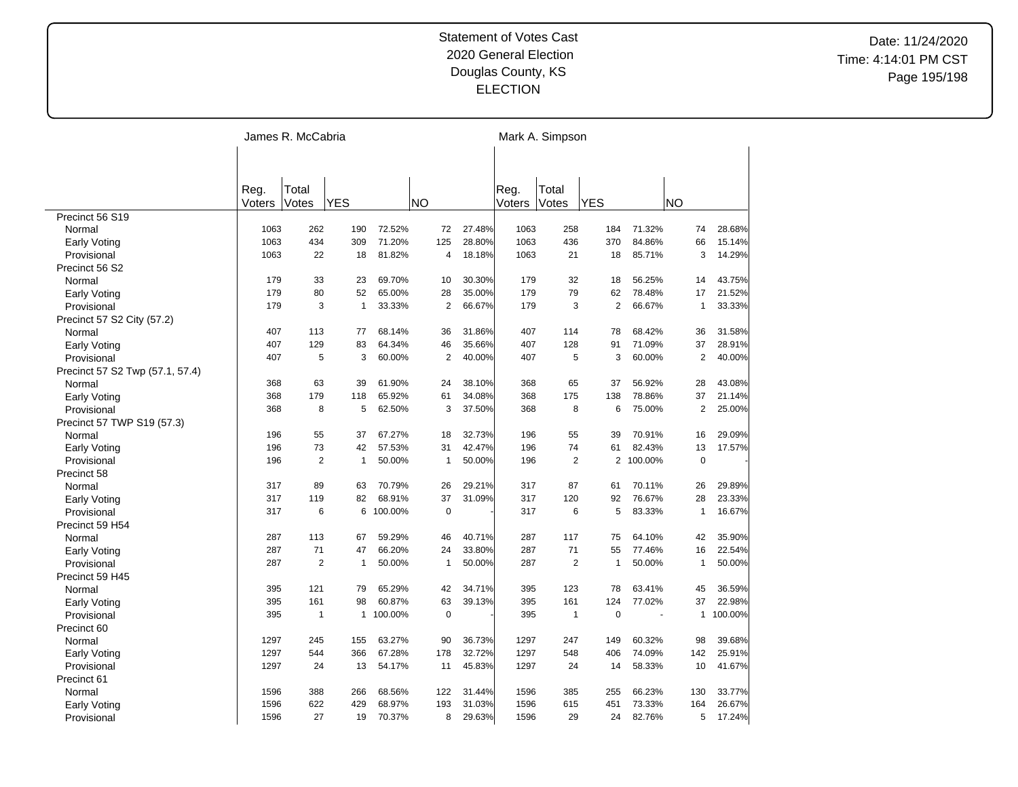|                                 | James R. McCabria |                |              |           |                |        |        | Mark A. Simpson |                |         |                |         |  |  |
|---------------------------------|-------------------|----------------|--------------|-----------|----------------|--------|--------|-----------------|----------------|---------|----------------|---------|--|--|
|                                 |                   |                |              |           |                |        |        |                 |                |         |                |         |  |  |
|                                 |                   |                |              |           |                |        |        |                 |                |         |                |         |  |  |
|                                 | Reg.              | Total          |              |           |                |        | Reg.   | Total           |                |         |                |         |  |  |
|                                 | Voters            | Votes          | <b>YES</b>   |           | <b>NO</b>      |        | Voters | Votes           | <b>YES</b>     |         | NO             |         |  |  |
| Precinct 56 S19                 |                   |                |              |           |                |        |        |                 |                |         |                |         |  |  |
| Normal                          | 1063              | 262            | 190          | 72.52%    | 72             | 27.48% | 1063   | 258             | 184            | 71.32%  | 74             | 28.68%  |  |  |
| <b>Early Voting</b>             | 1063              | 434            | 309          | 71.20%    | 125            | 28.80% | 1063   | 436             | 370            | 84.86%  | 66             | 15.14%  |  |  |
| Provisional                     | 1063              | 22             | 18           | 81.82%    | 4              | 18.18% | 1063   | 21              | 18             | 85.71%  | 3              | 14.29%  |  |  |
| Precinct 56 S2                  |                   |                |              |           |                |        |        |                 |                |         |                |         |  |  |
| Normal                          | 179               | 33             | 23           | 69.70%    | 10             | 30.30% | 179    | 32              | 18             | 56.25%  | 14             | 43.75%  |  |  |
| <b>Early Voting</b>             | 179               | 80             | 52           | 65.00%    | 28             | 35.00% | 179    | 79              | 62             | 78.48%  | 17             | 21.52%  |  |  |
| Provisional                     | 179               | 3              | $\mathbf{1}$ | 33.33%    | 2              | 66.67% | 179    | 3               | $\overline{2}$ | 66.67%  | $\mathbf{1}$   | 33.33%  |  |  |
| Precinct 57 S2 City (57.2)      |                   |                |              |           |                |        |        |                 |                |         |                |         |  |  |
| Normal                          | 407               | 113            | 77           | 68.14%    | 36             | 31.86% | 407    | 114             | 78             | 68.42%  | 36             | 31.58%  |  |  |
| <b>Early Voting</b>             | 407               | 129            | 83           | 64.34%    | 46             | 35.66% | 407    | 128             | 91             | 71.09%  | 37             | 28.91%  |  |  |
| Provisional                     | 407               | 5              | 3            | 60.00%    | $\overline{2}$ | 40.00% | 407    | 5               | 3              | 60.00%  | $\overline{2}$ | 40.00%  |  |  |
| Precinct 57 S2 Twp (57.1, 57.4) |                   |                |              |           |                |        |        |                 |                |         |                |         |  |  |
| Normal                          | 368               | 63             | 39           | 61.90%    | 24             | 38.10% | 368    | 65              | 37             | 56.92%  | 28             | 43.08%  |  |  |
| Early Voting                    | 368               | 179            | 118          | 65.92%    | 61             | 34.08% | 368    | 175             | 138            | 78.86%  | 37             | 21.14%  |  |  |
| Provisional                     | 368               | 8              | 5            | 62.50%    | 3              | 37.50% | 368    | 8               | 6              | 75.00%  | $\overline{2}$ | 25.00%  |  |  |
| Precinct 57 TWP S19 (57.3)      |                   |                |              |           |                |        |        |                 |                |         |                |         |  |  |
| Normal                          | 196               | 55             | 37           | 67.27%    | 18             | 32.73% | 196    | 55              | 39             | 70.91%  | 16             | 29.09%  |  |  |
| <b>Early Voting</b>             | 196               | 73             | 42           | 57.53%    | 31             | 42.47% | 196    | 74              | 61             | 82.43%  | 13             | 17.57%  |  |  |
| Provisional                     | 196               | $\overline{2}$ | 1            | 50.00%    | $\mathbf{1}$   | 50.00% | 196    | $\overline{2}$  | $\overline{2}$ | 100.00% | $\mathbf 0$    |         |  |  |
| Precinct 58                     |                   |                |              |           |                |        |        |                 |                |         |                |         |  |  |
| Normal                          | 317               | 89             | 63           | 70.79%    | 26             | 29.21% | 317    | 87              | 61             | 70.11%  | 26             | 29.89%  |  |  |
| <b>Early Voting</b>             | 317               | 119            | 82           | 68.91%    | 37             | 31.09% | 317    | 120             | 92             | 76.67%  | 28             | 23.33%  |  |  |
| Provisional                     | 317               | 6              | 6            | 100.00%   | $\mathbf 0$    |        | 317    | 6               | 5              | 83.33%  | $\mathbf{1}$   | 16.67%  |  |  |
| Precinct 59 H54                 |                   |                |              |           |                |        |        |                 |                |         |                |         |  |  |
| Normal                          | 287               | 113            | 67           | 59.29%    | 46             | 40.71% | 287    | 117             | 75             | 64.10%  | 42             | 35.90%  |  |  |
| <b>Early Voting</b>             | 287               | 71             | 47           | 66.20%    | 24             | 33.80% | 287    | 71              | 55             | 77.46%  | 16             | 22.54%  |  |  |
|                                 | 287               | $\overline{2}$ | $\mathbf{1}$ | 50.00%    | $\mathbf{1}$   | 50.00% | 287    | $\overline{2}$  | $\mathbf{1}$   | 50.00%  | $\mathbf{1}$   | 50.00%  |  |  |
| Provisional<br>Precinct 59 H45  |                   |                |              |           |                |        |        |                 |                |         |                |         |  |  |
|                                 | 395               | 121            | 79           | 65.29%    | 42             | 34.71% | 395    | 123             | 78             | 63.41%  | 45             | 36.59%  |  |  |
| Normal                          | 395               | 161            | 98           | 60.87%    | 63             | 39.13% | 395    | 161             | 124            | 77.02%  | 37             | 22.98%  |  |  |
| Early Voting                    |                   | $\mathbf{1}$   |              |           | $\mathsf 0$    |        |        | $\mathbf{1}$    | $\mathbf 0$    |         | $\mathbf{1}$   |         |  |  |
| Provisional                     | 395               |                |              | 1 100.00% |                |        | 395    |                 |                |         |                | 100.00% |  |  |
| Precinct 60                     |                   | 245            |              |           | 90             |        |        |                 |                |         |                |         |  |  |
| Normal                          | 1297              |                | 155          | 63.27%    |                | 36.73% | 1297   | 247             | 149            | 60.32%  | 98             | 39.68%  |  |  |
| <b>Early Voting</b>             | 1297              | 544            | 366          | 67.28%    | 178            | 32.72% | 1297   | 548             | 406            | 74.09%  | 142            | 25.91%  |  |  |
| Provisional                     | 1297              | 24             | 13           | 54.17%    | 11             | 45.83% | 1297   | 24              | 14             | 58.33%  | 10             | 41.67%  |  |  |
| Precinct 61                     |                   |                |              |           |                |        |        |                 |                |         |                |         |  |  |
| Normal                          | 1596              | 388            | 266          | 68.56%    | 122            | 31.44% | 1596   | 385             | 255            | 66.23%  | 130            | 33.77%  |  |  |
| Early Voting                    | 1596              | 622            | 429          | 68.97%    | 193            | 31.03% | 1596   | 615             | 451            | 73.33%  | 164            | 26.67%  |  |  |
| Provisional                     | 1596              | 27             | 19           | 70.37%    | 8              | 29.63% | 1596   | 29              | 24             | 82.76%  | 5              | 17.24%  |  |  |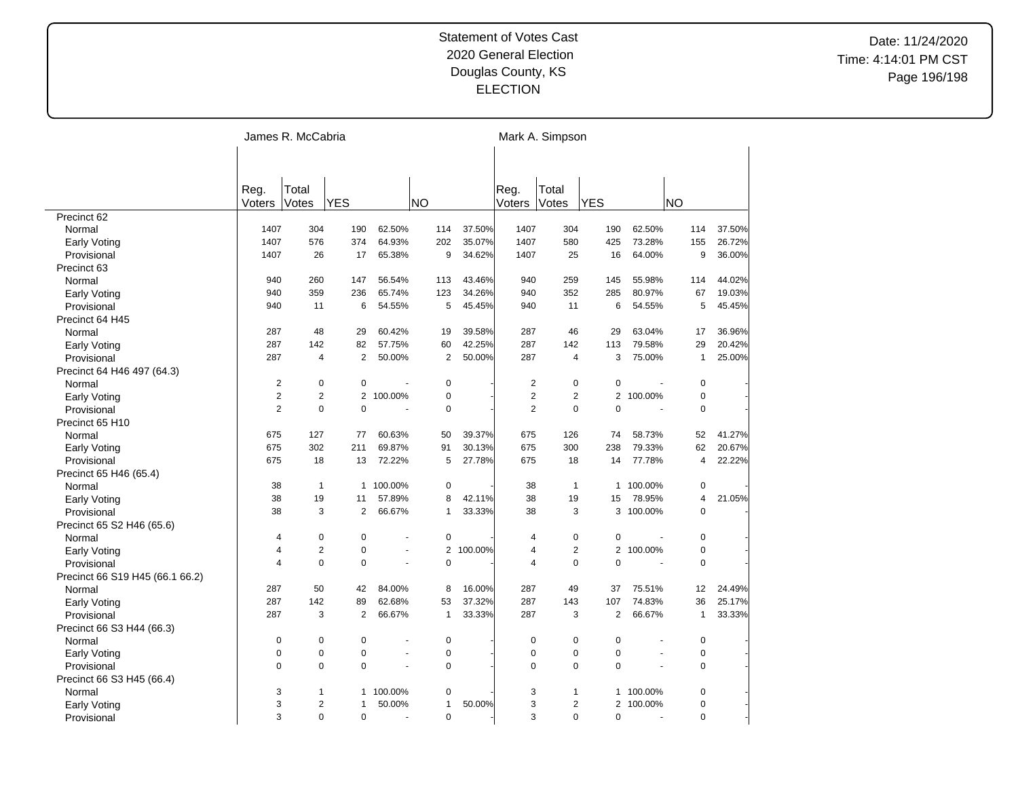|                                 | James R. McCabria |                |                |         |                |         | Mark A. Simpson |                |                |                |              |        |  |
|---------------------------------|-------------------|----------------|----------------|---------|----------------|---------|-----------------|----------------|----------------|----------------|--------------|--------|--|
|                                 |                   |                |                |         |                |         |                 |                |                |                |              |        |  |
|                                 |                   |                |                |         |                |         |                 |                |                |                |              |        |  |
|                                 | Reg.              | Total          |                |         |                |         | Reg.            | Total          |                |                |              |        |  |
|                                 | Voters            | Votes          | <b>YES</b>     |         | <b>NO</b>      |         | Voters          | Votes          | <b>YES</b>     |                | <b>NO</b>    |        |  |
| Precinct 62                     |                   |                |                |         |                |         |                 |                |                |                |              |        |  |
| Normal                          | 1407              | 304            | 190            | 62.50%  | 114            | 37.50%  | 1407            | 304            | 190            | 62.50%         | 114          | 37.50% |  |
| <b>Early Voting</b>             | 1407              | 576            | 374            | 64.93%  | 202            | 35.07%  | 1407            | 580            | 425            | 73.28%         | 155          | 26.72% |  |
| Provisional                     | 1407              | 26             | 17             | 65.38%  | 9              | 34.62%  | 1407            | 25             | 16             | 64.00%         | 9            | 36.00% |  |
| Precinct 63                     |                   |                |                |         |                |         |                 |                |                |                |              |        |  |
| Normal                          | 940               | 260            | 147            | 56.54%  | 113            | 43.46%  | 940             | 259            | 145            | 55.98%         | 114          | 44.02% |  |
| Early Voting                    | 940               | 359            | 236            | 65.74%  | 123            | 34.26%  | 940             | 352            | 285            | 80.97%         | 67           | 19.03% |  |
| Provisional                     | 940               | 11             | 6              | 54.55%  | 5              | 45.45%  | 940             | 11             | 6              | 54.55%         | 5            | 45.45% |  |
| Precinct 64 H45                 |                   |                |                |         |                |         |                 |                |                |                |              |        |  |
| Normal                          | 287               | 48             | 29             | 60.42%  | 19             | 39.58%  | 287             | 46             | 29             | 63.04%         | 17           | 36.96% |  |
| <b>Early Voting</b>             | 287               | 142            | 82             | 57.75%  | 60             | 42.25%  | 287             | 142            | 113            | 79.58%         | 29           | 20.42% |  |
| Provisional                     | 287               | $\overline{4}$ | $\overline{2}$ | 50.00%  | $\overline{2}$ | 50.00%  | 287             | $\overline{4}$ | 3              | 75.00%         | $\mathbf{1}$ | 25.00% |  |
| Precinct 64 H46 497 (64.3)      |                   |                |                |         |                |         |                 |                |                |                |              |        |  |
| Normal                          | $\overline{2}$    | $\pmb{0}$      | $\mathbf 0$    |         | $\mathbf 0$    |         | $\overline{2}$  | $\mathbf 0$    | $\mathbf 0$    |                | $\mathbf 0$  |        |  |
| <b>Early Voting</b>             | $\overline{2}$    | $\overline{2}$ | $\overline{2}$ | 100.00% | $\mathbf 0$    |         | $\overline{2}$  | $\overline{2}$ | $\overline{2}$ | 100.00%        | 0            |        |  |
| Provisional                     | $\overline{2}$    | $\mathbf 0$    | $\mathbf 0$    | Ĭ.      | $\mathbf 0$    |         | $\overline{2}$  | $\mathbf 0$    | $\mathbf 0$    | ä,             | $\mathbf 0$  |        |  |
| Precinct 65 H10                 |                   |                |                |         |                |         |                 |                |                |                |              |        |  |
|                                 | 675               | 127            | 77             | 60.63%  | 50             | 39.37%  | 675             | 126            | 74             | 58.73%         | 52           | 41.27% |  |
| Normal                          | 675               | 302            | 211            | 69.87%  | 91             | 30.13%  | 675             | 300            | 238            | 79.33%         | 62           | 20.67% |  |
| <b>Early Voting</b>             |                   |                |                |         | 5              |         | 675             |                |                |                | 4            |        |  |
| Provisional                     | 675               | 18             | 13             | 72.22%  |                | 27.78%  |                 | 18             | 14             | 77.78%         |              | 22.22% |  |
| Precinct 65 H46 (65.4)          |                   |                |                |         |                |         |                 |                |                |                |              |        |  |
| Normal                          | 38                | $\mathbf{1}$   | $\mathbf{1}$   | 100.00% | 0              |         | 38              | $\mathbf{1}$   | $\mathbf{1}$   | 100.00%        | 0            |        |  |
| <b>Early Voting</b>             | 38                | 19             | 11             | 57.89%  | 8              | 42.11%  | 38              | 19             | 15             | 78.95%         | 4            | 21.05% |  |
| Provisional                     | 38                | 3              | 2              | 66.67%  | 1              | 33.33%  | 38              | 3              |                | 3 100.00%      | $\Omega$     |        |  |
| Precinct 65 S2 H46 (65.6)       |                   |                |                |         |                |         |                 |                |                |                |              |        |  |
| Normal                          | 4                 | $\pmb{0}$      | $\mathbf 0$    |         | 0              |         | 4               | $\mathbf 0$    | 0              |                | $\mathbf 0$  |        |  |
| <b>Early Voting</b>             | $\overline{4}$    | $\overline{2}$ | $\mathbf 0$    |         | $\overline{2}$ | 100.00% | 4               | $\overline{2}$ | $\overline{2}$ | 100.00%        | 0            |        |  |
| Provisional                     | $\overline{4}$    | $\mathbf 0$    | $\mathbf 0$    | ä,      | 0              |         | 4               | $\mathbf 0$    | $\Omega$       |                | 0            |        |  |
| Precinct 66 S19 H45 (66.1 66.2) |                   |                |                |         |                |         |                 |                |                |                |              |        |  |
| Normal                          | 287               | 50             | 42             | 84.00%  | 8              | 16.00%  | 287             | 49             | 37             | 75.51%         | 12           | 24.49% |  |
| Early Voting                    | 287               | 142            | 89             | 62.68%  | 53             | 37.32%  | 287             | 143            | 107            | 74.83%         | 36           | 25.17% |  |
| Provisional                     | 287               | 3              | 2              | 66.67%  | 1              | 33.33%  | 287             | 3              | $\overline{2}$ | 66.67%         | $\mathbf{1}$ | 33.33% |  |
| Precinct 66 S3 H44 (66.3)       |                   |                |                |         |                |         |                 |                |                |                |              |        |  |
| Normal                          | 0                 | $\pmb{0}$      | $\mathbf 0$    | Ĭ.      | $\mathbf 0$    |         | $\mathbf 0$     | 0              | 0              |                | $\mathbf 0$  |        |  |
| <b>Early Voting</b>             | $\mathbf 0$       | $\pmb{0}$      | $\mathbf 0$    | ä,      | $\mathbf 0$    |         | $\mathbf 0$     | $\mathbf 0$    | $\mathbf 0$    | $\overline{a}$ | $\mathbf 0$  |        |  |
| Provisional                     | $\mathbf 0$       | $\mathbf 0$    | $\mathbf 0$    | ä,      | $\mathbf 0$    |         | $\Omega$        | $\mathbf 0$    | $\mathbf 0$    |                | 0            |        |  |
| Precinct 66 S3 H45 (66.4)       |                   |                |                |         |                |         |                 |                |                |                |              |        |  |
| Normal                          | 3                 | $\mathbf{1}$   | 1              | 100.00% | 0              |         | 3               | 1              | 1              | 100.00%        | 0            |        |  |
| <b>Early Voting</b>             | 3                 | $\overline{2}$ | $\mathbf{1}$   | 50.00%  | 1              | 50.00%  | 3               | $\overline{2}$ |                | 2 100.00%      | 0            |        |  |
| Provisional                     | 3                 | $\Omega$       | $\Omega$       |         | $\mathbf 0$    |         | 3               | $\Omega$       | $\Omega$       | ÷.             | $\Omega$     |        |  |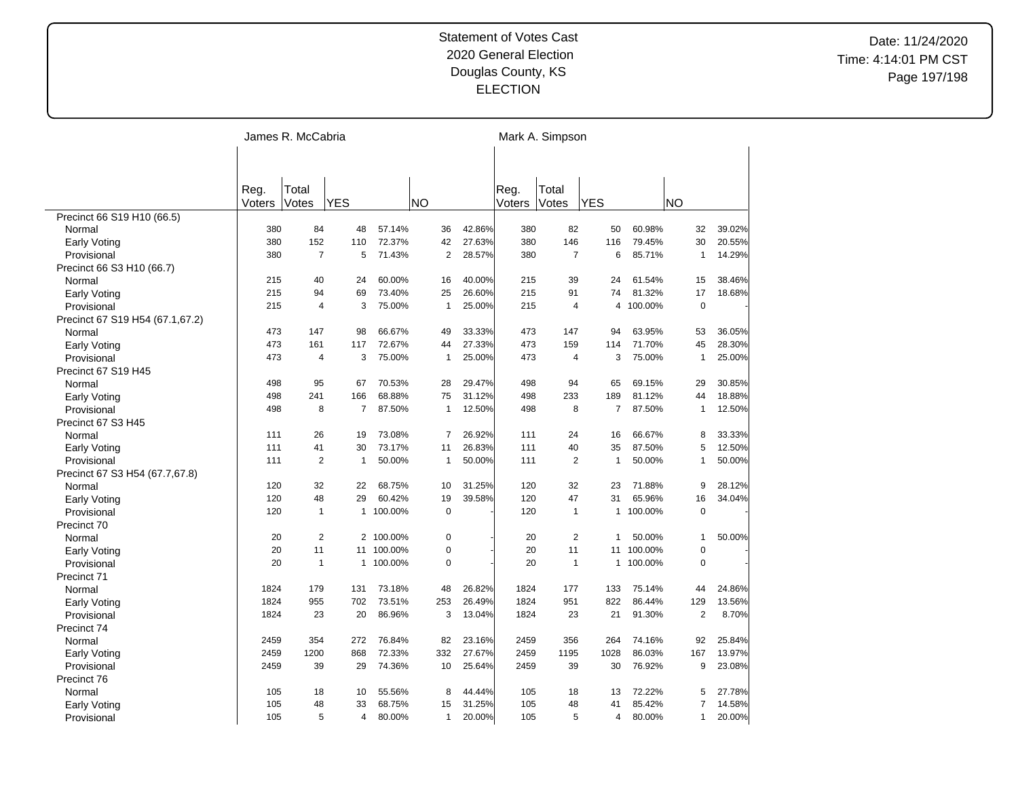|                                 | James R. McCabria |                         |              |           |           |                |        | Mark A. Simpson |                  |              |         |                |        |  |
|---------------------------------|-------------------|-------------------------|--------------|-----------|-----------|----------------|--------|-----------------|------------------|--------------|---------|----------------|--------|--|
|                                 |                   |                         |              |           |           |                |        |                 |                  |              |         |                |        |  |
|                                 |                   |                         |              |           |           |                |        |                 |                  |              |         |                |        |  |
|                                 | Reg.              | Total                   |              |           |           |                |        | Reg.            | Total            |              |         |                |        |  |
|                                 | Voters            | Votes                   | <b>YES</b>   |           | <b>NO</b> |                |        | Voters          | Votes            | <b>YES</b>   |         | <b>NO</b>      |        |  |
| Precinct 66 S19 H10 (66.5)      |                   |                         |              |           |           |                |        |                 |                  |              |         |                |        |  |
| Normal                          | 380               | 84                      | 48           | 57.14%    |           | 36             | 42.86% | 380             | 82               | 50           | 60.98%  | 32             | 39.02% |  |
| Early Voting                    | 380               | 152                     | 110          | 72.37%    |           | 42             | 27.63% | 380             | 146              | 116          | 79.45%  | 30             | 20.55% |  |
| Provisional                     | 380               | $\overline{7}$          | 5            | 71.43%    |           | 2              | 28.57% | 380             | $\overline{7}$   | 6            | 85.71%  | $\mathbf{1}$   | 14.29% |  |
| Precinct 66 S3 H10 (66.7)       |                   |                         |              |           |           |                |        |                 |                  |              |         |                |        |  |
| Normal                          | 215               | 40                      | 24           | 60.00%    |           | 16             | 40.00% | 215             | 39               | 24           | 61.54%  | 15             | 38.46% |  |
| Early Voting                    | 215               | 94                      | 69           | 73.40%    |           | 25             | 26.60% | 215             | 91               | 74           | 81.32%  | 17             | 18.68% |  |
| Provisional                     | 215               | $\overline{4}$          | 3            | 75.00%    |           | $\mathbf{1}$   | 25.00% | 215             | $\overline{4}$   | 4            | 100.00% | $\mathbf 0$    |        |  |
| Precinct 67 S19 H54 (67.1,67.2) |                   |                         |              |           |           |                |        |                 |                  |              |         |                |        |  |
| Normal                          | 473               | 147                     | 98           | 66.67%    |           | 49             | 33.33% | 473             | 147              | 94           | 63.95%  | 53             | 36.05% |  |
| <b>Early Voting</b>             | 473               | 161                     | 117          | 72.67%    |           | 44             | 27.33% | 473             | 159              | 114          | 71.70%  | 45             | 28.30% |  |
| Provisional                     | 473               | $\overline{4}$          | 3            | 75.00%    |           | $\mathbf{1}$   | 25.00% | 473             | $\overline{4}$   | 3            | 75.00%  | $\mathbf{1}$   | 25.00% |  |
| Precinct 67 S19 H45             |                   |                         |              |           |           |                |        |                 |                  |              |         |                |        |  |
| Normal                          | 498               | 95                      | 67           | 70.53%    |           | 28             | 29.47% | 498             | 94               | 65           | 69.15%  | 29             | 30.85% |  |
| Early Voting                    | 498               | 241                     | 166          | 68.88%    |           | 75             | 31.12% | 498             | 233              | 189          | 81.12%  | 44             | 18.88% |  |
| Provisional                     | 498               | 8                       | 7            | 87.50%    |           | $\mathbf{1}$   | 12.50% | 498             | 8                | 7            | 87.50%  | $\mathbf{1}$   | 12.50% |  |
| Precinct 67 S3 H45              |                   |                         |              |           |           |                |        |                 |                  |              |         |                |        |  |
| Normal                          | 111               | 26                      | 19           | 73.08%    |           | $\overline{7}$ | 26.92% | 111             | 24               | 16           | 66.67%  | 8              | 33.33% |  |
| <b>Early Voting</b>             | 111               | 41                      | 30           | 73.17%    |           | 11             | 26.83% | 111             | 40               | 35           | 87.50%  | 5              | 12.50% |  |
| Provisional                     | 111               | $\overline{\mathbf{c}}$ | $\mathbf{1}$ | 50.00%    |           | $\mathbf{1}$   | 50.00% | 111             | $\boldsymbol{2}$ | 1            | 50.00%  | $\mathbf{1}$   | 50.00% |  |
| Precinct 67 S3 H54 (67.7,67.8)  |                   |                         |              |           |           |                |        |                 |                  |              |         |                |        |  |
| Normal                          | 120               | 32                      | 22           | 68.75%    |           | 10             | 31.25% | 120             | 32               | 23           | 71.88%  | 9              | 28.12% |  |
| <b>Early Voting</b>             | 120               | 48                      | 29           | 60.42%    |           | 19             | 39.58% | 120             | 47               | 31           | 65.96%  | 16             | 34.04% |  |
| Provisional                     | 120               | $\mathbf{1}$            |              | 1 100.00% |           | $\mathbf 0$    |        | 120             | $\mathbf{1}$     | 1            | 100.00% | $\mathbf 0$    |        |  |
| Precinct 70                     |                   |                         |              |           |           |                |        |                 |                  |              |         |                |        |  |
| Normal                          | 20                | $\overline{2}$          |              | 2 100.00% |           | $\mathbf 0$    |        | 20              | $\overline{2}$   | $\mathbf{1}$ | 50.00%  | $\mathbf{1}$   | 50.00% |  |
| <b>Early Voting</b>             | 20                | 11                      | 11           | 100.00%   |           | $\pmb{0}$      |        | 20              | 11               | 11           | 100.00% | $\mathbf 0$    |        |  |
| Provisional                     | 20                | $\mathbf{1}$            |              | 1 100.00% |           | $\mathbf 0$    |        | 20              | $\mathbf{1}$     | $\mathbf{1}$ | 100.00% | $\mathbf 0$    |        |  |
| Precinct 71                     |                   |                         |              |           |           |                |        |                 |                  |              |         |                |        |  |
| Normal                          | 1824              | 179                     | 131          | 73.18%    |           | 48             | 26.82% | 1824            | 177              | 133          | 75.14%  | 44             | 24.86% |  |
| Early Voting                    | 1824              | 955                     | 702          | 73.51%    |           | 253            | 26.49% | 1824            | 951              | 822          | 86.44%  | 129            | 13.56% |  |
| Provisional                     | 1824              | 23                      | 20           | 86.96%    |           | 3              | 13.04% | 1824            | 23               | 21           | 91.30%  | $\overline{2}$ | 8.70%  |  |
| Precinct 74                     |                   |                         |              |           |           |                |        |                 |                  |              |         |                |        |  |
| Normal                          | 2459              | 354                     | 272          | 76.84%    |           | 82             | 23.16% | 2459            | 356              | 264          | 74.16%  | 92             | 25.84% |  |
| <b>Early Voting</b>             | 2459              | 1200                    | 868          | 72.33%    |           | 332            | 27.67% | 2459            | 1195             | 1028         | 86.03%  | 167            | 13.97% |  |
| Provisional                     | 2459              | 39                      | 29           | 74.36%    |           | 10             | 25.64% | 2459            | 39               | 30           | 76.92%  | 9              | 23.08% |  |
| Precinct 76                     |                   |                         |              |           |           |                |        |                 |                  |              |         |                |        |  |
| Normal                          | 105               | 18                      | 10           | 55.56%    |           | 8              | 44.44% | 105             | 18               | 13           | 72.22%  | 5              | 27.78% |  |
| Early Voting                    | 105               | 48                      | 33           | 68.75%    |           | 15             | 31.25% | 105             | 48               | 41           | 85.42%  | 7              | 14.58% |  |
|                                 | 105               | 5                       | 4            | 80.00%    |           | $\mathbf{1}$   | 20.00% | 105             | 5                | 4            | 80.00%  | $\mathbf{1}$   | 20.00% |  |
| Provisional                     |                   |                         |              |           |           |                |        |                 |                  |              |         |                |        |  |